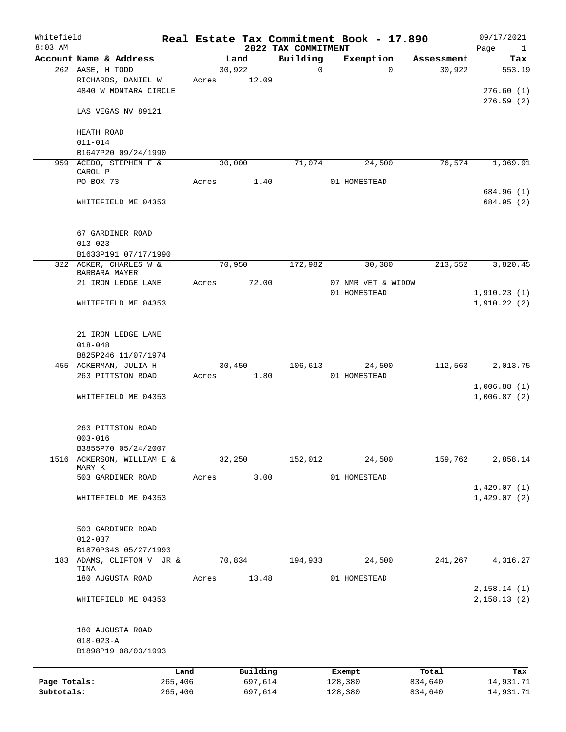| Whitefield<br>$8:03$ AM |                                         |         |        |          | 2022 TAX COMMITMENT | Real Estate Tax Commitment Book - 17.890 |            | 09/17/2021<br>Page<br>$\mathbf{1}$ |
|-------------------------|-----------------------------------------|---------|--------|----------|---------------------|------------------------------------------|------------|------------------------------------|
|                         | Account Name & Address                  |         |        | Land     | Building            | Exemption                                | Assessment | Tax                                |
|                         | 262 AASE, H TODD                        |         | 30,922 |          | $\mathbf 0$         | $\Omega$                                 | 30,922     | 553.19                             |
|                         | RICHARDS, DANIEL W                      |         | Acres  | 12.09    |                     |                                          |            |                                    |
|                         | 4840 W MONTARA CIRCLE                   |         |        |          |                     |                                          |            | 276.60(1)                          |
|                         |                                         |         |        |          |                     |                                          |            | 276.59(2)                          |
|                         | LAS VEGAS NV 89121                      |         |        |          |                     |                                          |            |                                    |
|                         | HEATH ROAD                              |         |        |          |                     |                                          |            |                                    |
|                         | $011 - 014$                             |         |        |          |                     |                                          |            |                                    |
|                         | B1647P20 09/24/1990                     |         |        |          |                     |                                          |            |                                    |
|                         | 959 ACEDO, STEPHEN F &                  |         | 30,000 |          | 71,074              | 24,500                                   | 76,574     | 1,369.91                           |
|                         | CAROL P                                 |         |        |          |                     |                                          |            |                                    |
|                         | PO BOX 73                               |         | Acres  | 1.40     |                     | 01 HOMESTEAD                             |            |                                    |
|                         |                                         |         |        |          |                     |                                          |            | 684.96 (1)                         |
|                         | WHITEFIELD ME 04353                     |         |        |          |                     |                                          |            | 684.95 (2)                         |
|                         |                                         |         |        |          |                     |                                          |            |                                    |
|                         | 67 GARDINER ROAD                        |         |        |          |                     |                                          |            |                                    |
|                         | $013 - 023$                             |         |        |          |                     |                                          |            |                                    |
|                         | B1633P191 07/17/1990                    |         |        |          |                     |                                          |            |                                    |
|                         | 322 ACKER, CHARLES W &<br>BARBARA MAYER |         | 70,950 |          | 172,982             | 30,380                                   | 213,552    | 3,820.45                           |
|                         | 21 IRON LEDGE LANE                      |         | Acres  | 72.00    |                     | 07 NMR VET & WIDOW                       |            |                                    |
|                         |                                         |         |        |          |                     | 01 HOMESTEAD                             |            | 1,910.23(1)                        |
|                         | WHITEFIELD ME 04353                     |         |        |          |                     |                                          |            | 1,910.22(2)                        |
|                         |                                         |         |        |          |                     |                                          |            |                                    |
|                         | 21 IRON LEDGE LANE                      |         |        |          |                     |                                          |            |                                    |
|                         | $018 - 048$                             |         |        |          |                     |                                          |            |                                    |
|                         | B825P246 11/07/1974                     |         |        |          |                     |                                          |            |                                    |
|                         | 455 ACKERMAN, JULIA H                   |         | 30,450 |          | 106,613             | 24,500                                   | 112,563    | 2,013.75                           |
|                         | 263 PITTSTON ROAD                       |         | Acres  | 1.80     |                     | 01 HOMESTEAD                             |            |                                    |
|                         |                                         |         |        |          |                     |                                          |            | 1,006.88(1)                        |
|                         | WHITEFIELD ME 04353                     |         |        |          |                     |                                          |            | 1,006.87(2)                        |
|                         |                                         |         |        |          |                     |                                          |            |                                    |
|                         | 263 PITTSTON ROAD                       |         |        |          |                     |                                          |            |                                    |
|                         | $003 - 016$                             |         |        |          |                     |                                          |            |                                    |
|                         | B3855P70 05/24/2007                     |         |        |          |                     |                                          |            |                                    |
|                         | 1516 ACKERSON, WILLIAM E &              |         | 32,250 |          | 152,012             | 24,500                                   | 159,762    | 2,858.14                           |
|                         | MARY K<br>503 GARDINER ROAD             |         | Acres  | 3.00     |                     | 01 HOMESTEAD                             |            |                                    |
|                         |                                         |         |        |          |                     |                                          |            | 1,429.07(1)                        |
|                         | WHITEFIELD ME 04353                     |         |        |          |                     |                                          |            | 1,429.07(2)                        |
|                         |                                         |         |        |          |                     |                                          |            |                                    |
|                         | 503 GARDINER ROAD                       |         |        |          |                     |                                          |            |                                    |
|                         | $012 - 037$                             |         |        |          |                     |                                          |            |                                    |
|                         | B1876P343 05/27/1993                    |         |        |          |                     |                                          |            |                                    |
|                         | 183 ADAMS, CLIFTON V JR &               |         | 70,834 |          | 194,933             | 24,500                                   | 241,267    | 4,316.27                           |
|                         | TINA                                    |         |        |          |                     |                                          |            |                                    |
|                         | 180 AUGUSTA ROAD                        |         | Acres  | 13.48    |                     | 01 HOMESTEAD                             |            |                                    |
|                         |                                         |         |        |          |                     |                                          |            | 2,158.14(1)                        |
|                         | WHITEFIELD ME 04353                     |         |        |          |                     |                                          |            | 2,158.13(2)                        |
|                         |                                         |         |        |          |                     |                                          |            |                                    |
|                         | 180 AUGUSTA ROAD                        |         |        |          |                     |                                          |            |                                    |
|                         | $018 - 023 - A$                         |         |        |          |                     |                                          |            |                                    |
|                         | B1898P19 08/03/1993                     |         |        |          |                     |                                          |            |                                    |
|                         |                                         | Land    |        | Building |                     | Exempt                                   | Total      | Tax                                |
| Page Totals:            |                                         | 265,406 |        | 697,614  |                     | 128,380                                  | 834,640    | 14,931.71                          |
| Subtotals:              |                                         | 265,406 |        | 697,614  |                     | 128,380                                  | 834,640    | 14,931.71                          |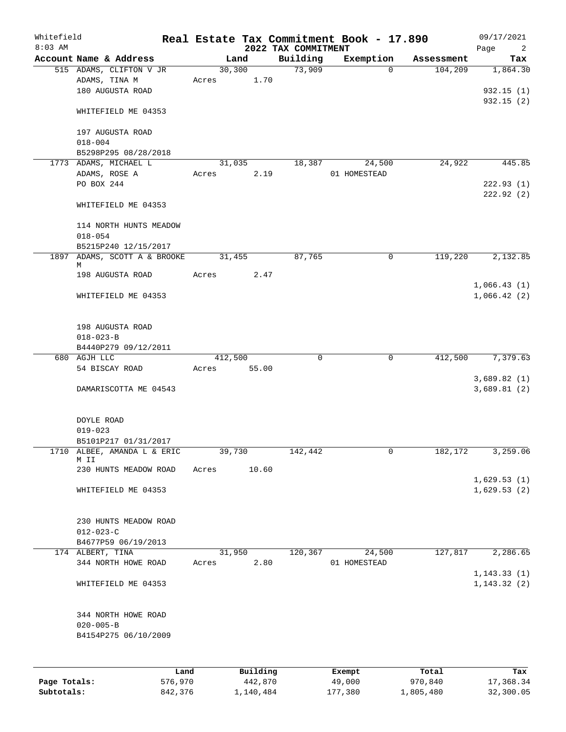| Whitefield<br>$8:03$ AM |                                          |         |       |         |           | 2022 TAX COMMITMENT | Real Estate Tax Commitment Book - 17.890 |                        | 09/17/2021<br>Page<br>2 |
|-------------------------|------------------------------------------|---------|-------|---------|-----------|---------------------|------------------------------------------|------------------------|-------------------------|
|                         | Account Name & Address                   |         |       | Land    |           | Building            | Exemption                                | Assessment             | Tax                     |
|                         | 515 ADAMS, CLIFTON V JR                  |         |       | 30, 300 |           | 73,909              |                                          | 104,209<br>$\Omega$    | 1,864.30                |
|                         | ADAMS, TINA M                            |         | Acres |         | 1.70      |                     |                                          |                        |                         |
|                         | 180 AUGUSTA ROAD                         |         |       |         |           |                     |                                          |                        | 932.15(1)               |
|                         |                                          |         |       |         |           |                     |                                          |                        | 932.15(2)               |
|                         | WHITEFIELD ME 04353                      |         |       |         |           |                     |                                          |                        |                         |
|                         |                                          |         |       |         |           |                     |                                          |                        |                         |
|                         | 197 AUGUSTA ROAD                         |         |       |         |           |                     |                                          |                        |                         |
|                         | $018 - 004$                              |         |       |         |           |                     |                                          |                        |                         |
|                         | B5298P295 08/28/2018                     |         |       |         |           |                     |                                          |                        |                         |
|                         | 1773 ADAMS, MICHAEL L                    |         |       | 31,035  |           | 18,387              | 24,500                                   | 24,922                 | 445.85                  |
|                         | ADAMS, ROSE A                            |         | Acres |         | 2.19      |                     | 01 HOMESTEAD                             |                        |                         |
|                         | PO BOX 244                               |         |       |         |           |                     |                                          |                        | 222.93(1)               |
|                         |                                          |         |       |         |           |                     |                                          |                        | 222.92(2)               |
|                         | WHITEFIELD ME 04353                      |         |       |         |           |                     |                                          |                        |                         |
|                         |                                          |         |       |         |           |                     |                                          |                        |                         |
|                         | 114 NORTH HUNTS MEADOW                   |         |       |         |           |                     |                                          |                        |                         |
|                         | $018 - 054$                              |         |       |         |           |                     |                                          |                        |                         |
|                         | B5215P240 12/15/2017                     |         |       |         |           |                     |                                          |                        |                         |
| 1897                    | ADAMS, SCOTT A & BROOKE<br>М             |         |       | 31,455  |           | 87,765              |                                          | 119,220<br>0           | 2,132.85                |
|                         | 198 AUGUSTA ROAD                         |         | Acres |         | 2.47      |                     |                                          |                        |                         |
|                         |                                          |         |       |         |           |                     |                                          |                        | 1,066.43(1)             |
|                         | WHITEFIELD ME 04353                      |         |       |         |           |                     |                                          |                        | 1,066.42(2)             |
|                         |                                          |         |       |         |           |                     |                                          |                        |                         |
|                         |                                          |         |       |         |           |                     |                                          |                        |                         |
|                         | 198 AUGUSTA ROAD                         |         |       |         |           |                     |                                          |                        |                         |
|                         | $018 - 023 - B$                          |         |       |         |           |                     |                                          |                        |                         |
|                         | B4440P279 09/12/2011                     |         |       |         |           |                     |                                          |                        |                         |
|                         | 680 AGJH LLC                             |         |       | 412,500 |           | $\mathbf 0$         |                                          | $\mathbf 0$<br>412,500 | 7,379.63                |
|                         | 54 BISCAY ROAD                           |         | Acres |         | 55.00     |                     |                                          |                        |                         |
|                         |                                          |         |       |         |           |                     |                                          |                        | 3,689.82(1)             |
|                         | DAMARISCOTTA ME 04543                    |         |       |         |           |                     |                                          |                        | 3,689.81(2)             |
|                         |                                          |         |       |         |           |                     |                                          |                        |                         |
|                         |                                          |         |       |         |           |                     |                                          |                        |                         |
|                         | DOYLE ROAD                               |         |       |         |           |                     |                                          |                        |                         |
|                         | $019 - 023$                              |         |       |         |           |                     |                                          |                        |                         |
|                         | B5101P217 01/31/2017                     |         |       |         |           |                     |                                          |                        |                         |
|                         | 1710 ALBEE, AMANDA L & ERIC              |         |       | 39,730  |           | 142,442             |                                          | 0<br>182,172           | 3,259.06                |
|                         | M II                                     |         |       |         |           |                     |                                          |                        |                         |
|                         | 230 HUNTS MEADOW ROAD                    |         | Acres |         | 10.60     |                     |                                          |                        |                         |
|                         |                                          |         |       |         |           |                     |                                          |                        | 1,629.53(1)             |
|                         | WHITEFIELD ME 04353                      |         |       |         |           |                     |                                          |                        | 1,629.53(2)             |
|                         |                                          |         |       |         |           |                     |                                          |                        |                         |
|                         |                                          |         |       |         |           |                     |                                          |                        |                         |
|                         | 230 HUNTS MEADOW ROAD<br>$012 - 023 - C$ |         |       |         |           |                     |                                          |                        |                         |
|                         | B4677P59 06/19/2013                      |         |       |         |           |                     |                                          |                        |                         |
|                         | 174 ALBERT, TINA                         |         |       | 31,950  |           | 120,367             | 24,500                                   | 127,817                | 2,286.65                |
|                         | 344 NORTH HOWE ROAD                      |         | Acres |         | 2.80      |                     | 01 HOMESTEAD                             |                        |                         |
|                         |                                          |         |       |         |           |                     |                                          |                        | 1, 143.33(1)            |
|                         | WHITEFIELD ME 04353                      |         |       |         |           |                     |                                          |                        | 1, 143.32(2)            |
|                         |                                          |         |       |         |           |                     |                                          |                        |                         |
|                         |                                          |         |       |         |           |                     |                                          |                        |                         |
|                         | 344 NORTH HOWE ROAD                      |         |       |         |           |                     |                                          |                        |                         |
|                         | $020 - 005 - B$                          |         |       |         |           |                     |                                          |                        |                         |
|                         | B4154P275 06/10/2009                     |         |       |         |           |                     |                                          |                        |                         |
|                         |                                          |         |       |         |           |                     |                                          |                        |                         |
|                         |                                          |         |       |         |           |                     |                                          |                        |                         |
|                         |                                          |         |       |         |           |                     |                                          |                        |                         |
|                         |                                          | Land    |       |         | Building  |                     | Exempt                                   | Total                  | Tax                     |
| Page Totals:            |                                          | 576,970 |       |         | 442,870   |                     | 49,000                                   | 970,840                | 17,368.34               |
| Subtotals:              |                                          | 842,376 |       |         | 1,140,484 |                     | 177,380                                  | 1,805,480              | 32,300.05               |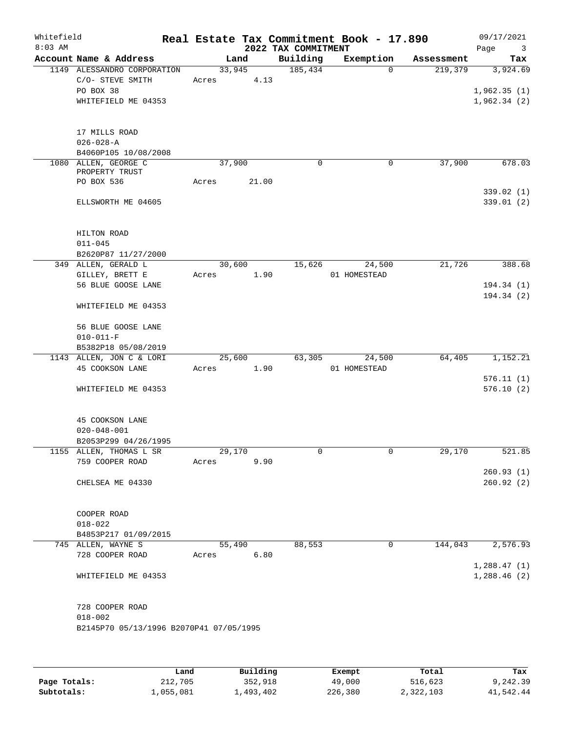| Whitefield<br>$8:03$ AM |                                                                                     |        |                | 2022 TAX COMMITMENT | Real Estate Tax Commitment Book - 17.890 |            | 09/17/2021<br>Page<br>$\overline{\mathbf{3}}$ |
|-------------------------|-------------------------------------------------------------------------------------|--------|----------------|---------------------|------------------------------------------|------------|-----------------------------------------------|
|                         | Account Name & Address                                                              |        | Land           | Building            | Exemption                                | Assessment | Tax                                           |
|                         | 1149 ALESSANDRO CORPORATION<br>C/O- STEVE SMITH<br>PO BOX 38<br>WHITEFIELD ME 04353 | Acres  | 33,945<br>4.13 | 185,434             | $\Omega$                                 | 219,379    | 3,924.69<br>1,962.35(1)<br>1,962.34(2)        |
|                         | 17 MILLS ROAD<br>$026 - 028 - A$                                                    |        |                |                     |                                          |            |                                               |
|                         | B4060P105 10/08/2008<br>1080 ALLEN, GEORGE C                                        | 37,900 |                | $\mathbf 0$         | 0                                        | 37,900     | 678.03                                        |
|                         | PROPERTY TRUST                                                                      |        |                |                     |                                          |            |                                               |
|                         | PO BOX 536                                                                          | Acres  | 21.00          |                     |                                          |            |                                               |
|                         | ELLSWORTH ME 04605                                                                  |        |                |                     |                                          |            | 339.02(1)<br>339.01(2)                        |
|                         | HILTON ROAD<br>$011 - 045$<br>B2620P87 11/27/2000                                   |        |                |                     |                                          |            |                                               |
|                         | 349 ALLEN, GERALD L                                                                 |        | 30,600         | 15,626              | 24,500                                   | 21,726     | 388.68                                        |
|                         | GILLEY, BRETT E                                                                     | Acres  | 1.90           |                     | 01 HOMESTEAD                             |            |                                               |
|                         | 56 BLUE GOOSE LANE                                                                  |        |                |                     |                                          |            | 194.34 (1)                                    |
|                         | WHITEFIELD ME 04353                                                                 |        |                |                     |                                          |            | 194.34 (2)                                    |
|                         | 56 BLUE GOOSE LANE<br>$010 - 011 - F$                                               |        |                |                     |                                          |            |                                               |
|                         | B5382P18 05/08/2019                                                                 |        |                |                     |                                          |            |                                               |
|                         | 1143 ALLEN, JON C & LORI                                                            | 25,600 |                | 63,305              | 24,500                                   | 64,405     | 1,152.21                                      |
|                         | 45 COOKSON LANE                                                                     | Acres  | 1.90           |                     | 01 HOMESTEAD                             |            |                                               |
|                         |                                                                                     |        |                |                     |                                          |            | 576.11(1)                                     |
|                         | WHITEFIELD ME 04353                                                                 |        |                |                     |                                          |            | 576.10(2)                                     |
|                         | 45 COOKSON LANE<br>$020 - 048 - 001$<br>B2053P299 04/26/1995                        |        |                |                     |                                          |            |                                               |
|                         | 1155 ALLEN, THOMAS L SR                                                             | 29,170 |                | 0                   | 0                                        | 29,170     | 521.85                                        |
|                         | 759 COOPER ROAD                                                                     | Acres  | 9.90           |                     |                                          |            |                                               |
|                         |                                                                                     |        |                |                     |                                          |            | 260.93(1)                                     |
|                         | CHELSEA ME 04330                                                                    |        |                |                     |                                          |            | 260.92(2)                                     |
|                         | COOPER ROAD<br>$018 - 022$                                                          |        |                |                     |                                          |            |                                               |
|                         | B4853P217 01/09/2015                                                                |        |                |                     |                                          |            |                                               |
|                         | 745 ALLEN, WAYNE S                                                                  |        | 55,490         | 88,553              | $\mathbf 0$                              | 144,043    | 2,576.93                                      |
|                         | 728 COOPER ROAD                                                                     | Acres  | 6.80           |                     |                                          |            |                                               |
|                         | WHITEFIELD ME 04353                                                                 |        |                |                     |                                          |            | 1,288.47(1)<br>1,288.46(2)                    |
|                         | 728 COOPER ROAD<br>$018 - 002$<br>B2145P70 05/13/1996 B2070P41 07/05/1995           |        |                |                     |                                          |            |                                               |
|                         |                                                                                     |        |                |                     |                                          |            |                                               |

|              | Land      | Building  | Exempt  | Total     | Tax       |
|--------------|-----------|-----------|---------|-----------|-----------|
| Page Totals: | 212,705   | 352,918   | 49,000  | 516,623   | 9,242.39  |
| Subtotals:   | 1,055,081 | 1,493,402 | 226,380 | 2,322,103 | 41,542.44 |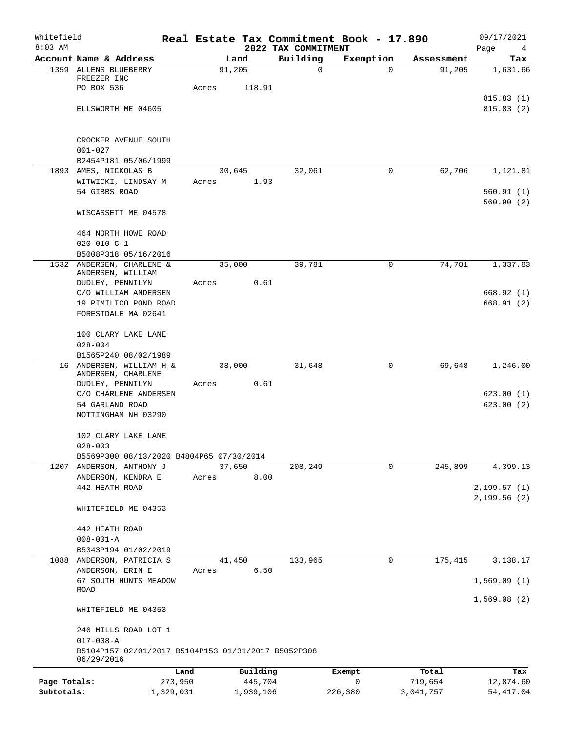| Whitefield   |                                                                   |       |           |                                 | Real Estate Tax Commitment Book - 17.890 |            | 09/17/2021             |
|--------------|-------------------------------------------------------------------|-------|-----------|---------------------------------|------------------------------------------|------------|------------------------|
| $8:03$ AM    | Account Name & Address                                            |       | Land      | 2022 TAX COMMITMENT<br>Building | Exemption                                | Assessment | Page<br>4<br>Tax       |
|              | 1359 ALLENS BLUEBERRY                                             |       | 91,205    | 0                               | $\Omega$                                 | 91,205     | 1,631.66               |
|              | FREEZER INC                                                       |       |           |                                 |                                          |            |                        |
|              | PO BOX 536                                                        | Acres | 118.91    |                                 |                                          |            |                        |
|              | ELLSWORTH ME 04605                                                |       |           |                                 |                                          |            | 815.83(1)<br>815.83(2) |
|              |                                                                   |       |           |                                 |                                          |            |                        |
|              | CROCKER AVENUE SOUTH                                              |       |           |                                 |                                          |            |                        |
|              | $001 - 027$                                                       |       |           |                                 |                                          |            |                        |
|              | B2454P181 05/06/1999                                              |       |           |                                 |                                          |            |                        |
|              | 1893 AMES, NICKOLAS B                                             |       | 30,645    | 32,061                          | $\mathbf 0$                              | 62,706     | 1,121.81               |
|              | WITWICKI, LINDSAY M<br>54 GIBBS ROAD                              | Acres | 1.93      |                                 |                                          |            | 560.91(1)              |
|              |                                                                   |       |           |                                 |                                          |            | 560.90(2)              |
|              | WISCASSETT ME 04578                                               |       |           |                                 |                                          |            |                        |
|              | 464 NORTH HOWE ROAD                                               |       |           |                                 |                                          |            |                        |
|              | $020 - 010 - C - 1$                                               |       |           |                                 |                                          |            |                        |
| 1532         | B5008P318 05/16/2016<br>ANDERSEN, CHARLENE &                      |       | 35,000    | 39,781                          | 0                                        | 74,781     | 1,337.83               |
|              | ANDERSEN, WILLIAM                                                 |       |           |                                 |                                          |            |                        |
|              | DUDLEY, PENNILYN                                                  | Acres | 0.61      |                                 |                                          |            |                        |
|              | C/O WILLIAM ANDERSEN                                              |       |           |                                 |                                          |            | 668.92(1)              |
|              | 19 PIMILICO POND ROAD                                             |       |           |                                 |                                          |            | 668.91(2)              |
|              | FORESTDALE MA 02641                                               |       |           |                                 |                                          |            |                        |
|              | 100 CLARY LAKE LANE                                               |       |           |                                 |                                          |            |                        |
|              | $028 - 004$                                                       |       |           |                                 |                                          |            |                        |
|              | B1565P240 08/02/1989<br>16 ANDERSEN, WILLIAM H &                  |       | 38,000    | 31,648                          | 0                                        | 69,648     | 1,246.00               |
|              | ANDERSEN, CHARLENE                                                |       |           |                                 |                                          |            |                        |
|              | DUDLEY, PENNILYN                                                  | Acres | 0.61      |                                 |                                          |            |                        |
|              | C/O CHARLENE ANDERSEN                                             |       |           |                                 |                                          |            | 623.00(1)              |
|              | 54 GARLAND ROAD                                                   |       |           |                                 |                                          |            | 623.00(2)              |
|              | NOTTINGHAM NH 03290                                               |       |           |                                 |                                          |            |                        |
|              | 102 CLARY LAKE LANE                                               |       |           |                                 |                                          |            |                        |
|              | $028 - 003$                                                       |       |           |                                 |                                          |            |                        |
|              | B5569P300 08/13/2020 B4804P65 07/30/2014                          |       |           |                                 |                                          |            |                        |
|              | 1207 ANDERSON, ANTHONY J                                          |       | 37,650    | 208,249                         | 0                                        | 245,899    | 4,399.13               |
|              | ANDERSON, KENDRA E<br>442 HEATH ROAD                              | Acres | 8.00      |                                 |                                          |            | 2,199.57(1)            |
|              |                                                                   |       |           |                                 |                                          |            | 2,199.56(2)            |
|              | WHITEFIELD ME 04353                                               |       |           |                                 |                                          |            |                        |
|              | 442 HEATH ROAD                                                    |       |           |                                 |                                          |            |                        |
|              | $008 - 001 - A$                                                   |       |           |                                 |                                          |            |                        |
|              | B5343P194 01/02/2019                                              |       |           |                                 |                                          |            |                        |
|              | 1088 ANDERSON, PATRICIA S                                         |       | 41,450    | 133,965                         | 0                                        | 175,415    | 3,138.17               |
|              | ANDERSON, ERIN E                                                  | Acres | 6.50      |                                 |                                          |            |                        |
|              | 67 SOUTH HUNTS MEADOW<br>ROAD                                     |       |           |                                 |                                          |            | 1,569.09(1)            |
|              | WHITEFIELD ME 04353                                               |       |           |                                 |                                          |            | 1,569.08(2)            |
|              | 246 MILLS ROAD LOT 1                                              |       |           |                                 |                                          |            |                        |
|              | $017 - 008 - A$                                                   |       |           |                                 |                                          |            |                        |
|              | B5104P157 02/01/2017 B5104P153 01/31/2017 B5052P308<br>06/29/2016 |       |           |                                 |                                          |            |                        |
|              | Land                                                              |       | Building  |                                 | Exempt                                   | Total      | Tax                    |
| Page Totals: | 273,950                                                           |       | 445,704   |                                 | 0                                        | 719,654    | 12,874.60              |
| Subtotals:   | 1,329,031                                                         |       | 1,939,106 |                                 | 226,380                                  | 3,041,757  | 54, 417.04             |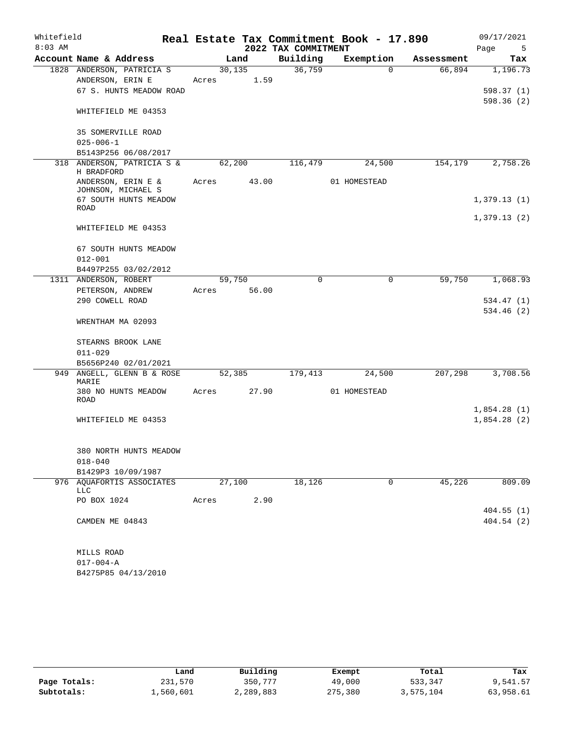| Whitefield |                                               |                  |                 |                     | Real Estate Tax Commitment Book - 17.890 |            | 09/17/2021  |
|------------|-----------------------------------------------|------------------|-----------------|---------------------|------------------------------------------|------------|-------------|
| $8:03$ AM  |                                               |                  |                 | 2022 TAX COMMITMENT |                                          |            | Page<br>5   |
|            | Account Name & Address                        |                  | Land            | Building            | Exemption                                | Assessment | Tax         |
|            | 1828 ANDERSON, PATRICIA S<br>ANDERSON, ERIN E | 30, 135<br>Acres | 1.59            | 36,759              | $\Omega$                                 | 66,894     | 1,196.73    |
|            | 67 S. HUNTS MEADOW ROAD                       |                  |                 |                     |                                          |            | 598.37(1)   |
|            |                                               |                  |                 |                     |                                          |            | 598.36(2)   |
|            | WHITEFIELD ME 04353                           |                  |                 |                     |                                          |            |             |
|            | <b>35 SOMERVILLE ROAD</b>                     |                  |                 |                     |                                          |            |             |
|            | $025 - 006 - 1$                               |                  |                 |                     |                                          |            |             |
|            | B5143P256 06/08/2017                          |                  |                 |                     |                                          |            |             |
| 318        | ANDERSON, PATRICIA S &<br>H BRADFORD          |                  | 62,200          | 116,479             | 24,500                                   | 154,179    | 2,758.26    |
|            | ANDERSON, ERIN E &<br>JOHNSON, MICHAEL S      | Acres            | 43.00           |                     | 01 HOMESTEAD                             |            |             |
|            | 67 SOUTH HUNTS MEADOW                         |                  |                 |                     |                                          |            | 1,379.13(1) |
|            | <b>ROAD</b>                                   |                  |                 |                     |                                          |            | 1,379.13(2) |
|            | WHITEFIELD ME 04353                           |                  |                 |                     |                                          |            |             |
|            | 67 SOUTH HUNTS MEADOW                         |                  |                 |                     |                                          |            |             |
|            | $012 - 001$                                   |                  |                 |                     |                                          |            |             |
|            | B4497P255 03/02/2012                          |                  |                 |                     |                                          |            |             |
|            | 1311 ANDERSON, ROBERT                         | Acres            | 59,750<br>56.00 | $\mathbf 0$         | $\mathbf 0$                              | 59,750     | 1,068.93    |
|            | PETERSON, ANDREW<br>290 COWELL ROAD           |                  |                 |                     |                                          |            | 534.47 (1)  |
|            |                                               |                  |                 |                     |                                          |            | 534.46 (2)  |
|            | WRENTHAM MA 02093                             |                  |                 |                     |                                          |            |             |
|            | STEARNS BROOK LANE                            |                  |                 |                     |                                          |            |             |
|            | $011 - 029$                                   |                  |                 |                     |                                          |            |             |
|            | B5656P240 02/01/2021                          |                  |                 |                     |                                          |            |             |
| 949        | ANGELL, GLENN B & ROSE<br>MARIE               |                  | 52,385          | 179,413             | 24,500                                   | 207,298    | 3,708.56    |
|            | 380 NO HUNTS MEADOW<br>ROAD                   | Acres            | 27.90           |                     | 01 HOMESTEAD                             |            |             |
|            |                                               |                  |                 |                     |                                          |            | 1,854.28(1) |
|            | WHITEFIELD ME 04353                           |                  |                 |                     |                                          |            | 1,854.28(2) |
|            |                                               |                  |                 |                     |                                          |            |             |
|            | 380 NORTH HUNTS MEADOW                        |                  |                 |                     |                                          |            |             |
|            | $018 - 040$                                   |                  |                 |                     |                                          |            |             |
|            | B1429P3 10/09/1987                            |                  |                 |                     |                                          |            |             |
|            | 976 AQUAFORTIS ASSOCIATES<br><b>LLC</b>       |                  | 27,100          | 18,126              | 0                                        | 45,226     | 809.09      |
|            | PO BOX 1024                                   | Acres            | 2.90            |                     |                                          |            |             |
|            |                                               |                  |                 |                     |                                          |            | 404.55(1)   |
|            | CAMDEN ME 04843                               |                  |                 |                     |                                          |            | 404.54(2)   |
|            | MILLS ROAD                                    |                  |                 |                     |                                          |            |             |
|            | $017 - 004 - A$                               |                  |                 |                     |                                          |            |             |
|            | B4275P85 04/13/2010                           |                  |                 |                     |                                          |            |             |

|              | Land      | Building  | Exempt  | Total     | Tax       |
|--------------|-----------|-----------|---------|-----------|-----------|
| Page Totals: | 231,570   | 350,777   | 49,000  | 533,347   | 9,541.57  |
| Subtotals:   | 1,560,601 | 2,289,883 | 275,380 | 3,575,104 | 63,958.61 |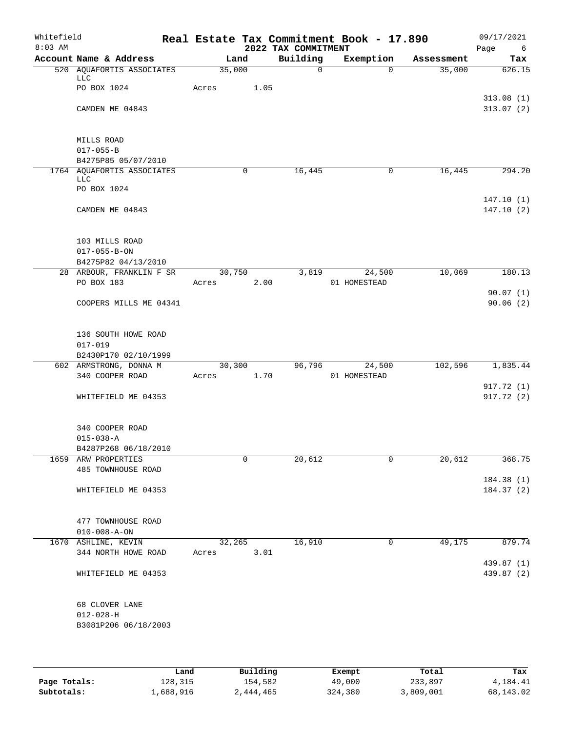| Whitefield<br>$8:03$ AM |                                                   |            |        |         | 2022 TAX COMMITMENT | Real Estate Tax Commitment Book - 17.890 |            | 09/17/2021<br>Page<br>6  |
|-------------------------|---------------------------------------------------|------------|--------|---------|---------------------|------------------------------------------|------------|--------------------------|
|                         | Account Name & Address                            |            | Land   |         | Building            | Exemption                                | Assessment | Tax                      |
|                         | 520 AQUAFORTIS ASSOCIATES<br>LLC                  |            | 35,000 |         | $\mathbf 0$         | $\Omega$                                 | 35,000     | 626.15                   |
|                         | PO BOX 1024                                       | Acres      |        | 1.05    |                     |                                          |            |                          |
|                         | CAMDEN ME 04843                                   |            |        |         |                     |                                          |            | 313.08(1)<br>313.07(2)   |
|                         |                                                   |            |        |         |                     |                                          |            |                          |
|                         | MILLS ROAD                                        |            |        |         |                     |                                          |            |                          |
|                         | $017 - 055 - B$                                   |            |        |         |                     |                                          |            |                          |
|                         | B4275P85 05/07/2010<br>1764 AQUAFORTIS ASSOCIATES |            | 0      |         | 16,445              | 0                                        | 16,445     | 294.20                   |
|                         | LLC<br>PO BOX 1024                                |            |        |         |                     |                                          |            |                          |
|                         |                                                   |            |        |         |                     |                                          |            | 147.10(1)                |
|                         | CAMDEN ME 04843                                   |            |        |         |                     |                                          |            | 147.10(2)                |
|                         | 103 MILLS ROAD                                    |            |        |         |                     |                                          |            |                          |
|                         | $017 - 055 - B - ON$                              |            |        |         |                     |                                          |            |                          |
|                         | B4275P82 04/13/2010                               |            |        |         |                     |                                          |            |                          |
|                         | 28 ARBOUR, FRANKLIN F SR                          |            | 30,750 |         | 3,819               | 24,500                                   | 10,069     | 180.13                   |
|                         | PO BOX 183                                        | Acres      |        | 2.00    |                     | 01 HOMESTEAD                             |            |                          |
|                         |                                                   |            |        |         |                     |                                          |            | 90.07(1)                 |
|                         | COOPERS MILLS ME 04341                            |            |        |         |                     |                                          |            | 90.06(2)                 |
|                         | 136 SOUTH HOWE ROAD                               |            |        |         |                     |                                          |            |                          |
|                         | $017 - 019$                                       |            |        |         |                     |                                          |            |                          |
|                         | B2430P170 02/10/1999                              |            |        |         |                     |                                          |            |                          |
|                         | 602 ARMSTRONG, DONNA M                            |            |        | 30, 300 |                     | 96,796 24,500                            | 102,596    | 1,835.44                 |
|                         | 340 COOPER ROAD                                   | Acres 1.70 |        |         |                     | 01 HOMESTEAD                             |            |                          |
|                         |                                                   |            |        |         |                     |                                          |            | 917.72 (1)               |
|                         | WHITEFIELD ME 04353                               |            |        |         |                     |                                          |            | 917.72(2)                |
|                         | 340 COOPER ROAD                                   |            |        |         |                     |                                          |            |                          |
|                         | $015 - 038 - A$                                   |            |        |         |                     |                                          |            |                          |
|                         | B4287P268 06/18/2010                              |            |        |         |                     |                                          |            |                          |
|                         | 1659 ARW PROPERTIES                               |            | 0      |         | 20,612              | 0                                        | 20,612     | 368.75                   |
|                         | 485 TOWNHOUSE ROAD                                |            |        |         |                     |                                          |            |                          |
|                         |                                                   |            |        |         |                     |                                          |            | 184.38(1)                |
|                         | WHITEFIELD ME 04353                               |            |        |         |                     |                                          |            | 184.37(2)                |
|                         | 477 TOWNHOUSE ROAD                                |            |        |         |                     |                                          |            |                          |
|                         | $010 - 008 - A - ON$                              |            |        |         |                     |                                          |            |                          |
|                         | 1670 ASHLINE, KEVIN                               |            | 32,265 |         | 16,910              | 0                                        | 49,175     | 879.74                   |
|                         | 344 NORTH HOWE ROAD                               | Acres      |        | 3.01    |                     |                                          |            |                          |
|                         | WHITEFIELD ME 04353                               |            |        |         |                     |                                          |            | 439.87 (1)<br>439.87 (2) |
|                         | 68 CLOVER LANE                                    |            |        |         |                     |                                          |            |                          |
|                         | $012 - 028 - H$                                   |            |        |         |                     |                                          |            |                          |
|                         | B3081P206 06/18/2003                              |            |        |         |                     |                                          |            |                          |
|                         |                                                   |            |        |         |                     |                                          |            |                          |

|              | Land      | Building  | Exempt  | Total     | Tax       |
|--------------|-----------|-----------|---------|-----------|-----------|
| Page Totals: | 128,315   | 154,582   | 49,000  | 233,897   | 4,184.41  |
| Subtotals:   | 1,688,916 | 2,444,465 | 324,380 | 3,809,001 | 68,143.02 |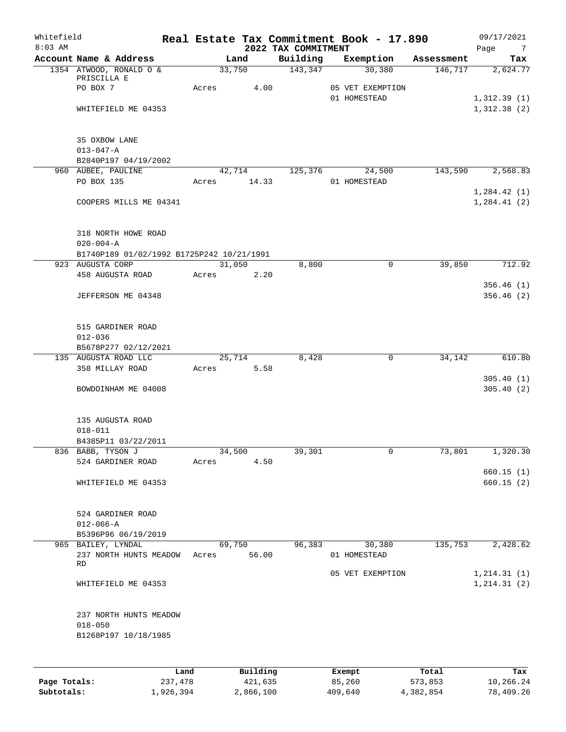| Whitefield<br>$8:03$ AM |                                                               |       |                       | 2022 TAX COMMITMENT | Real Estate Tax Commitment Book - 17.890   |            | 09/17/2021<br>Page<br>$\overline{7}$ |
|-------------------------|---------------------------------------------------------------|-------|-----------------------|---------------------|--------------------------------------------|------------|--------------------------------------|
|                         | Account Name & Address                                        |       | Land                  | Building            | Exemption                                  | Assessment | Tax                                  |
|                         | 1354 ATWOOD, RONALD O &<br>PRISCILLA E<br>PO BOX 7            | Acres | 33,750<br>4.00        | 143,347             | 30,380<br>05 VET EXEMPTION<br>01 HOMESTEAD | 146,717    | 2,624.77                             |
|                         | WHITEFIELD ME 04353                                           |       |                       |                     |                                            |            | 1,312.39(1)<br>1,312.38(2)           |
|                         | 35 OXBOW LANE<br>$013 - 047 - A$<br>B2840P197 04/19/2002      |       |                       |                     |                                            |            |                                      |
|                         | 960 AUBEE, PAULINE<br>PO BOX 135                              |       | 42,714<br>Acres 14.33 | 125,376             | 24,500<br>01 HOMESTEAD                     | 143,590    | 2,568.83                             |
|                         | COOPERS MILLS ME 04341                                        |       |                       |                     |                                            |            | 1,284.42(1)<br>1, 284.41(2)          |
|                         | 318 NORTH HOWE ROAD<br>$020 - 004 - A$                        |       |                       |                     |                                            |            |                                      |
|                         | B1740P189 01/02/1992 B1725P242 10/21/1991<br>923 AUGUSTA CORP |       | 31,050                | 8,800               | 0                                          | 39,850     | 712.92                               |
|                         | 458 AUGUSTA ROAD                                              | Acres | 2.20                  |                     |                                            |            |                                      |
|                         | JEFFERSON ME 04348                                            |       |                       |                     |                                            |            | 356.46(1)<br>356.46(2)               |
|                         | 515 GARDINER ROAD<br>$012 - 036$                              |       |                       |                     |                                            |            |                                      |
|                         | B5678P277 02/12/2021<br>135 AUGUSTA ROAD LLC                  |       | 25,714                | 8,428               | $\mathbf 0$                                | 34,142     | 610.80                               |
|                         | 358 MILLAY ROAD                                               | Acres | 5.58                  |                     |                                            |            | 305.40(1)                            |
|                         | BOWDOINHAM ME 04008                                           |       |                       |                     |                                            |            | 305.40(2)                            |
|                         | 135 AUGUSTA ROAD<br>$018 - 011$                               |       |                       |                     |                                            |            |                                      |
|                         | B4385P11 03/22/2011                                           |       |                       |                     |                                            |            |                                      |
|                         | 836 BABB, TYSON J<br>524 GARDINER ROAD                        | Acres | 34,500<br>4.50        | 39,301              | 0                                          | 73,801     | 1,320.30                             |
|                         | WHITEFIELD ME 04353                                           |       |                       |                     |                                            |            | 660.15(1)<br>660.15(2)               |
|                         | 524 GARDINER ROAD<br>$012 - 066 - A$<br>B5396P96 06/19/2019   |       |                       |                     |                                            |            |                                      |
|                         | 965 BAILEY, LYNDAL<br>237 NORTH HUNTS MEADOW                  | Acres | 69,750<br>56.00       | 96,383              | 30,380<br>01 HOMESTEAD                     | 135,753    | 2,428.62                             |
|                         | RD                                                            |       |                       |                     | 05 VET EXEMPTION                           |            | 1, 214.31(1)                         |
|                         | WHITEFIELD ME 04353                                           |       |                       |                     |                                            |            | 1, 214.31(2)                         |
|                         | 237 NORTH HUNTS MEADOW<br>$018 - 050$<br>B1268P197 10/18/1985 |       |                       |                     |                                            |            |                                      |
|                         |                                                               |       |                       |                     |                                            |            |                                      |

|              | Land      | Building  | Exempt  | Total     | Tax       |
|--------------|-----------|-----------|---------|-----------|-----------|
| Page Totals: | 237,478   | 421,635   | 85,260  | 573,853   | 10,266.24 |
| Subtotals:   | 1,926,394 | 2,866,100 | 409,640 | 4,382,854 | 78,409.26 |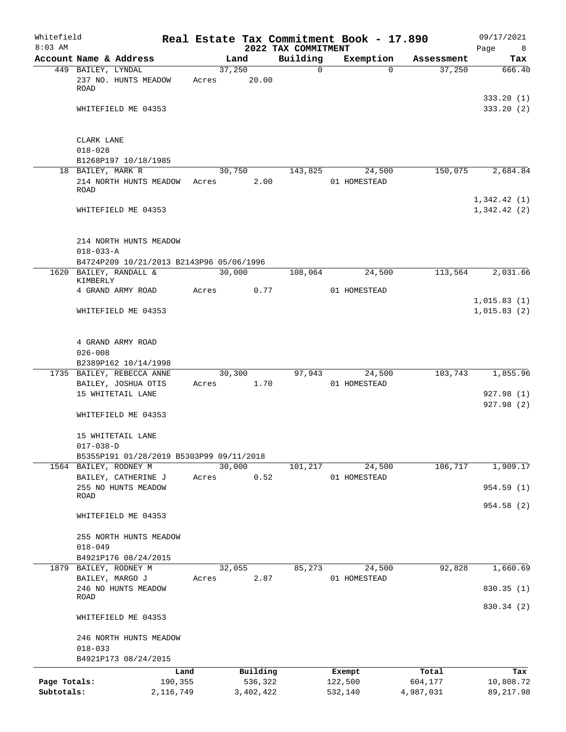| Whitefield<br>$8:03$ AM |                                                                    |         |           | 2022 TAX COMMITMENT | Real Estate Tax Commitment Book - 17.890 |          |            | 09/17/2021             |
|-------------------------|--------------------------------------------------------------------|---------|-----------|---------------------|------------------------------------------|----------|------------|------------------------|
|                         | Account Name & Address                                             |         | Land      | Building            | Exemption                                |          | Assessment | Page<br>8<br>Tax       |
|                         | 449 BAILEY, LYNDAL                                                 |         | 37,250    |                     | $\mathbf 0$                              | $\Omega$ | 37,250     | 666.40                 |
|                         | 237 NO. HUNTS MEADOW<br><b>ROAD</b>                                | Acres   | 20.00     |                     |                                          |          |            |                        |
|                         | WHITEFIELD ME 04353                                                |         |           |                     |                                          |          |            | 333.20(1)<br>333.20(2) |
|                         |                                                                    |         |           |                     |                                          |          |            |                        |
|                         | CLARK LANE<br>$018 - 028$                                          |         |           |                     |                                          |          |            |                        |
|                         | B1268P197 10/18/1985                                               |         |           |                     |                                          |          |            |                        |
|                         | 18 BAILEY, MARK R                                                  |         | 30,750    | 143,825             |                                          | 24,500   | 150,075    | 2,684.84               |
|                         | 214 NORTH HUNTS MEADOW<br>ROAD                                     | Acres   |           | 2.00                | 01 HOMESTEAD                             |          |            | 1,342.42(1)            |
|                         | WHITEFIELD ME 04353                                                |         |           |                     |                                          |          |            | 1,342.42(2)            |
|                         | 214 NORTH HUNTS MEADOW                                             |         |           |                     |                                          |          |            |                        |
|                         | $018 - 033 - A$                                                    |         |           |                     |                                          |          |            |                        |
|                         | B4724P209 10/21/2013 B2143P96 05/06/1996<br>1620 BAILEY, RANDALL & |         | 30,000    | 108,064             |                                          | 24,500   | 113,564    | 2,031.66               |
|                         | KIMBERLY                                                           |         |           |                     |                                          |          |            |                        |
|                         | 4 GRAND ARMY ROAD                                                  | Acres   |           | 0.77                | 01 HOMESTEAD                             |          |            | 1,015.83(1)            |
|                         | WHITEFIELD ME 04353                                                |         |           |                     |                                          |          |            | 1,015.83(2)            |
|                         |                                                                    |         |           |                     |                                          |          |            |                        |
|                         | 4 GRAND ARMY ROAD                                                  |         |           |                     |                                          |          |            |                        |
|                         | $026 - 008$                                                        |         |           |                     |                                          |          |            |                        |
|                         | B2389P162 10/14/1998                                               |         |           |                     |                                          |          |            |                        |
|                         | 1735 BAILEY, REBECCA ANNE                                          | Acres   | 30,300    | 97,943<br>1.70      | 01 HOMESTEAD                             | 24,500   | 103,743    | 1,855.96               |
|                         | BAILEY, JOSHUA OTIS<br>15 WHITETAIL LANE                           |         |           |                     |                                          |          |            | 927.98 (1)             |
|                         |                                                                    |         |           |                     |                                          |          |            | 927.98(2)              |
|                         | WHITEFIELD ME 04353                                                |         |           |                     |                                          |          |            |                        |
|                         | 15 WHITETAIL LANE                                                  |         |           |                     |                                          |          |            |                        |
|                         | $017 - 038 - D$<br>B5355P191 01/28/2019 B5303P99 09/11/2018        |         |           |                     |                                          |          |            |                        |
|                         | 1564 BAILEY, RODNEY M                                              |         | 30,000    | 101,217             |                                          | 24,500   | 106,717    | 1,909.17               |
|                         | BAILEY, CATHERINE J                                                | Acres   |           | 0.52                | 01 HOMESTEAD                             |          |            |                        |
|                         | 255 NO HUNTS MEADOW                                                |         |           |                     |                                          |          |            | 954.59 (1)             |
|                         | ROAD                                                               |         |           |                     |                                          |          |            | 954.58(2)              |
|                         | WHITEFIELD ME 04353                                                |         |           |                     |                                          |          |            |                        |
|                         | 255 NORTH HUNTS MEADOW                                             |         |           |                     |                                          |          |            |                        |
|                         | $018 - 049$                                                        |         |           |                     |                                          |          |            |                        |
|                         | B4921P176 08/24/2015                                               |         |           |                     |                                          |          |            |                        |
|                         | 1879 BAILEY, RODNEY M                                              |         | 32,055    | 85,273              |                                          | 24,500   | 92,828     | 1,660.69               |
|                         | BAILEY, MARGO J<br>246 NO HUNTS MEADOW                             | Acres   |           | 2.87                | 01 HOMESTEAD                             |          |            | 830.35 (1)             |
|                         | <b>ROAD</b>                                                        |         |           |                     |                                          |          |            |                        |
|                         | WHITEFIELD ME 04353                                                |         |           |                     |                                          |          |            | 830.34 (2)             |
|                         | 246 NORTH HUNTS MEADOW                                             |         |           |                     |                                          |          |            |                        |
|                         | $018 - 033$                                                        |         |           |                     |                                          |          |            |                        |
|                         | B4921P173 08/24/2015                                               |         |           |                     |                                          |          |            |                        |
|                         |                                                                    | Land    | Building  |                     | Exempt                                   |          | Total      | Tax                    |
| Page Totals:            |                                                                    | 190,355 | 536,322   |                     | 122,500                                  |          | 604,177    | 10,808.72              |
| Subtotals:              | 2,116,749                                                          |         | 3,402,422 |                     | 532,140                                  |          | 4,987,031  | 89, 217.98             |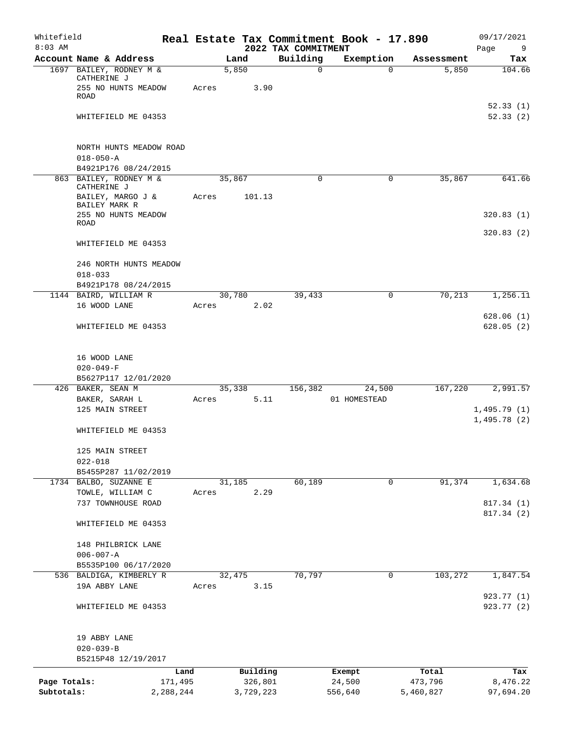| Whitefield<br>$8:03$ AM    |                                                                              |                 |                      | 2022 TAX COMMITMENT | Real Estate Tax Commitment Book - 17.890 |                      | 09/17/2021<br>Page<br>9    |
|----------------------------|------------------------------------------------------------------------------|-----------------|----------------------|---------------------|------------------------------------------|----------------------|----------------------------|
|                            | Account Name & Address                                                       | Land            |                      | Building            | Exemption                                | Assessment           | Tax                        |
|                            | 1697 BAILEY, RODNEY M &<br>CATHERINE J<br>255 NO HUNTS MEADOW<br><b>ROAD</b> | 5,850<br>Acres  | 3.90                 | 0                   | 0                                        | 5,850                | 104.66<br>52.33(1)         |
|                            | WHITEFIELD ME 04353                                                          |                 |                      |                     |                                          |                      | 52.33(2)                   |
|                            | NORTH HUNTS MEADOW ROAD<br>$018 - 050 - A$<br>B4921P176 08/24/2015           |                 |                      |                     |                                          |                      |                            |
|                            | 863 BAILEY, RODNEY M &<br>CATHERINE J<br>BAILEY, MARGO J &                   | 35,867<br>Acres | 101.13               | $\mathbf 0$         | 0                                        | 35,867               | 641.66                     |
|                            | BAILEY MARK R<br>255 NO HUNTS MEADOW<br>ROAD                                 |                 |                      |                     |                                          |                      | 320.83(1)                  |
|                            | WHITEFIELD ME 04353                                                          |                 |                      |                     |                                          |                      | 320.83(2)                  |
|                            | 246 NORTH HUNTS MEADOW<br>$018 - 033$                                        |                 |                      |                     |                                          |                      |                            |
|                            | B4921P178 08/24/2015                                                         |                 |                      |                     |                                          |                      |                            |
|                            | 1144 BAIRD, WILLIAM R<br>16 WOOD LANE                                        | 30,780<br>Acres | 2.02                 | 39,433              | 0                                        | 70,213               | 1,256.11                   |
|                            | WHITEFIELD ME 04353                                                          |                 |                      |                     |                                          |                      | 628.06(1)<br>628.05(2)     |
|                            | 16 WOOD LANE<br>$020 - 049 - F$                                              |                 |                      |                     |                                          |                      |                            |
|                            | B5627P117 12/01/2020                                                         |                 |                      |                     |                                          |                      |                            |
|                            | 426 BAKER, SEAN M                                                            | 35,338<br>Acres | 5.11                 | 156,382             | 24,500<br>01 HOMESTEAD                   | 167,220              | 2,991.57                   |
|                            | BAKER, SARAH L<br>125 MAIN STREET                                            |                 |                      |                     |                                          |                      | 1,495.79(1)<br>1,495.78(2) |
|                            | WHITEFIELD ME 04353                                                          |                 |                      |                     |                                          |                      |                            |
|                            | 125 MAIN STREET<br>$022 - 018$                                               |                 |                      |                     |                                          |                      |                            |
|                            | B5455P287 11/02/2019                                                         |                 |                      |                     |                                          |                      |                            |
|                            | 1734 BALBO, SUZANNE E<br>TOWLE, WILLIAM C<br>737 TOWNHOUSE ROAD              | 31,185<br>Acres | 2.29                 | 60,189              | 0                                        | 91,374               | 1,634.68<br>817.34 (1)     |
|                            | WHITEFIELD ME 04353                                                          |                 |                      |                     |                                          |                      | 817.34 (2)                 |
|                            | 148 PHILBRICK LANE                                                           |                 |                      |                     |                                          |                      |                            |
|                            | $006 - 007 - A$<br>B5535P100 06/17/2020                                      |                 |                      |                     |                                          |                      |                            |
|                            | 536 BALDIGA, KIMBERLY R<br>19A ABBY LANE                                     | 32,475<br>Acres | 3.15                 | 70,797              | $\mathbf 0$                              | 103,272              | 1,847.54                   |
|                            | WHITEFIELD ME 04353                                                          |                 |                      |                     |                                          |                      | 923.77 (1)<br>923.77 (2)   |
|                            | 19 ABBY LANE<br>$020 - 039 - B$<br>B5215P48 12/19/2017                       |                 |                      |                     |                                          |                      |                            |
|                            | Land                                                                         |                 | Building             |                     | Exempt                                   | Total                | Tax                        |
| Page Totals:<br>Subtotals: | 171,495<br>2,288,244                                                         |                 | 326,801<br>3,729,223 |                     | 24,500<br>556,640                        | 473,796<br>5,460,827 | 8,476.22<br>97,694.20      |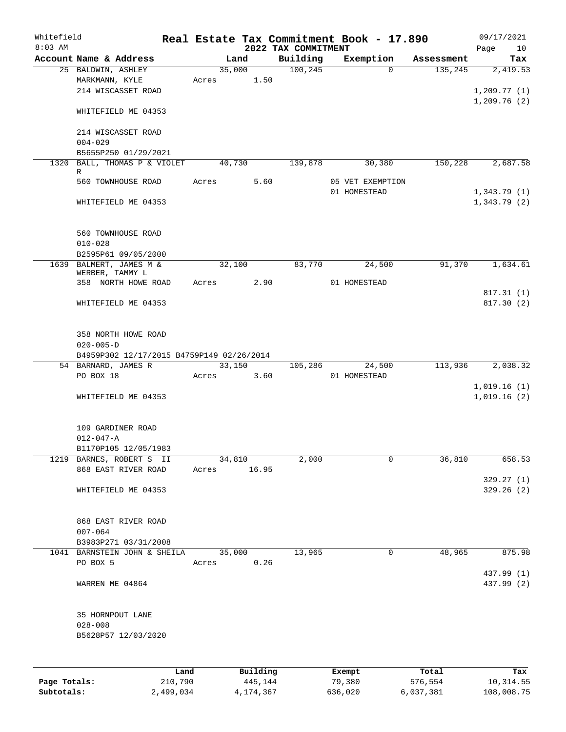| Whitefield<br>$8:03$ AM |                                            |           |       |        |           | 2022 TAX COMMITMENT | Real Estate Tax Commitment Book - 17.890 |            | 09/17/2021                     |
|-------------------------|--------------------------------------------|-----------|-------|--------|-----------|---------------------|------------------------------------------|------------|--------------------------------|
|                         | Account Name & Address                     |           |       | Land   |           | Building            | Exemption                                | Assessment | Page<br>10 <sup>°</sup><br>Tax |
|                         | 25 BALDWIN, ASHLEY                         |           |       | 35,000 |           | 100, 245            | $\Omega$                                 | 135,245    | 2,419.53                       |
|                         | MARKMANN, KYLE                             |           | Acres |        | 1.50      |                     |                                          |            |                                |
|                         | 214 WISCASSET ROAD                         |           |       |        |           |                     |                                          |            | 1,209.77(1)                    |
|                         |                                            |           |       |        |           |                     |                                          |            | 1,209.76(2)                    |
|                         | WHITEFIELD ME 04353                        |           |       |        |           |                     |                                          |            |                                |
|                         |                                            |           |       |        |           |                     |                                          |            |                                |
|                         | 214 WISCASSET ROAD                         |           |       |        |           |                     |                                          |            |                                |
|                         | $004 - 029$                                |           |       |        |           |                     |                                          |            |                                |
|                         | B5655P250 01/29/2021                       |           |       |        |           | 139,878             |                                          |            |                                |
| 1320                    | BALL, THOMAS P & VIOLET<br>R               |           |       | 40,730 |           |                     | 30,380                                   | 150,228    | 2,687.58                       |
|                         | 560 TOWNHOUSE ROAD                         |           | Acres |        | 5.60      |                     | 05 VET EXEMPTION                         |            |                                |
|                         |                                            |           |       |        |           |                     | 01 HOMESTEAD                             |            | 1,343.79(1)                    |
|                         | WHITEFIELD ME 04353                        |           |       |        |           |                     |                                          |            | 1,343.79(2)                    |
|                         |                                            |           |       |        |           |                     |                                          |            |                                |
|                         |                                            |           |       |        |           |                     |                                          |            |                                |
|                         | 560 TOWNHOUSE ROAD                         |           |       |        |           |                     |                                          |            |                                |
|                         | $010 - 028$                                |           |       |        |           |                     |                                          |            |                                |
|                         | B2595P61 09/05/2000                        |           |       |        |           |                     |                                          |            |                                |
|                         | 1639 BALMERT, JAMES M &<br>WERBER, TAMMY L |           |       | 32,100 |           | 83,770              | 24,500                                   | 91,370     | 1,634.61                       |
|                         | 358 NORTH HOWE ROAD                        |           | Acres |        | 2.90      |                     | 01 HOMESTEAD                             |            |                                |
|                         |                                            |           |       |        |           |                     |                                          |            | 817.31(1)                      |
|                         | WHITEFIELD ME 04353                        |           |       |        |           |                     |                                          |            | 817.30(2)                      |
|                         |                                            |           |       |        |           |                     |                                          |            |                                |
|                         |                                            |           |       |        |           |                     |                                          |            |                                |
|                         | 358 NORTH HOWE ROAD                        |           |       |        |           |                     |                                          |            |                                |
|                         | $020 - 005 - D$                            |           |       |        |           |                     |                                          |            |                                |
|                         | B4959P302 12/17/2015 B4759P149 02/26/2014  |           |       |        |           |                     |                                          |            |                                |
|                         | 54 BARNARD, JAMES R<br>PO BOX 18           |           | Acres | 33,150 | 3.60      | 105,286             | 24,500<br>01 HOMESTEAD                   | 113,936    | 2,038.32                       |
|                         |                                            |           |       |        |           |                     |                                          |            | 1,019.16(1)                    |
|                         | WHITEFIELD ME 04353                        |           |       |        |           |                     |                                          |            | 1,019.16(2)                    |
|                         |                                            |           |       |        |           |                     |                                          |            |                                |
|                         |                                            |           |       |        |           |                     |                                          |            |                                |
|                         | 109 GARDINER ROAD                          |           |       |        |           |                     |                                          |            |                                |
|                         | $012 - 047 - A$                            |           |       |        |           |                     |                                          |            |                                |
|                         | B1170P105 12/05/1983                       |           |       |        |           |                     |                                          |            |                                |
| 1219                    | BARNES, ROBERT S II                        |           |       | 34,810 |           | 2,000               | 0                                        | 36,810     | 658.53                         |
|                         | 868 EAST RIVER ROAD                        |           | Acres |        | 16.95     |                     |                                          |            |                                |
|                         | WHITEFIELD ME 04353                        |           |       |        |           |                     |                                          |            | 329.27(1)<br>329.26(2)         |
|                         |                                            |           |       |        |           |                     |                                          |            |                                |
|                         |                                            |           |       |        |           |                     |                                          |            |                                |
|                         | 868 EAST RIVER ROAD                        |           |       |        |           |                     |                                          |            |                                |
|                         | $007 - 064$                                |           |       |        |           |                     |                                          |            |                                |
|                         | B3983P271 03/31/2008                       |           |       |        |           |                     |                                          |            |                                |
| 1041                    | BARNSTEIN JOHN & SHEILA                    |           |       | 35,000 |           | 13,965              | $\mathsf{O}$                             | 48,965     | 875.98                         |
|                         | PO BOX 5                                   |           | Acres |        | 0.26      |                     |                                          |            |                                |
|                         |                                            |           |       |        |           |                     |                                          |            | 437.99 (1)                     |
|                         | WARREN ME 04864                            |           |       |        |           |                     |                                          |            | 437.99 (2)                     |
|                         |                                            |           |       |        |           |                     |                                          |            |                                |
|                         | 35 HORNPOUT LANE                           |           |       |        |           |                     |                                          |            |                                |
|                         | $028 - 008$                                |           |       |        |           |                     |                                          |            |                                |
|                         | B5628P57 12/03/2020                        |           |       |        |           |                     |                                          |            |                                |
|                         |                                            |           |       |        |           |                     |                                          |            |                                |
|                         |                                            |           |       |        |           |                     |                                          |            |                                |
|                         |                                            | Land      |       |        | Building  |                     | Exempt                                   | Total      | Tax                            |
| Page Totals:            |                                            | 210,790   |       |        | 445,144   |                     | 79,380                                   | 576,554    | 10,314.55                      |
| Subtotals:              |                                            | 2,499,034 |       |        | 4,174,367 |                     | 636,020                                  | 6,037,381  | 108,008.75                     |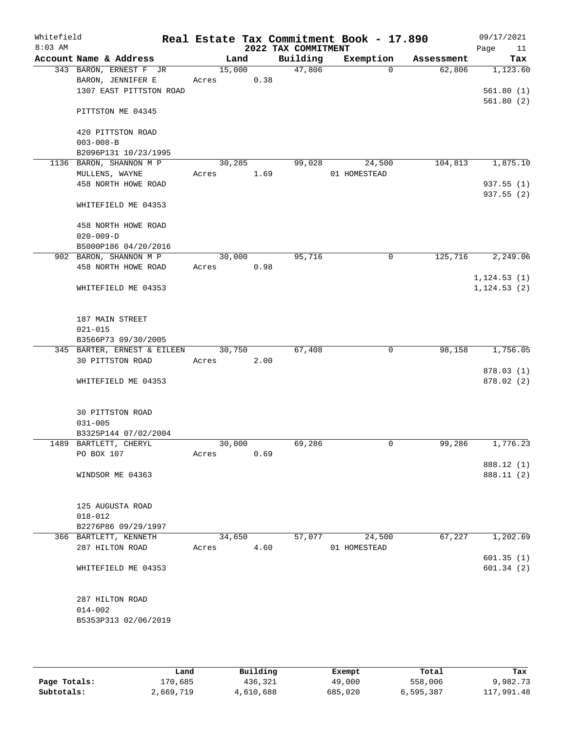| Whitefield<br>$8:03$ AM |                                                                        |                 |      | 2022 TAX COMMITMENT | Real Estate Tax Commitment Book - 17.890 |            | 09/17/2021<br>Page<br>11 |
|-------------------------|------------------------------------------------------------------------|-----------------|------|---------------------|------------------------------------------|------------|--------------------------|
|                         | Account Name & Address                                                 | Land            |      | Building            | Exemption                                | Assessment | Tax                      |
|                         | 343 BARON, ERNEST F JR<br>BARON, JENNIFER E<br>1307 EAST PITTSTON ROAD | 15,000<br>Acres | 0.38 | 47,806              | $\Omega$                                 | 62,806     | 1,123.60<br>561.80(1)    |
|                         | PITTSTON ME 04345                                                      |                 |      |                     |                                          |            | 561.80(2)                |
|                         | 420 PITTSTON ROAD<br>$003 - 008 - B$                                   |                 |      |                     |                                          |            |                          |
|                         | B2096P131 10/23/1995<br>1136 BARON, SHANNON M P                        | 30,285          |      | 99,028              | 24,500                                   | 104,813    |                          |
|                         | MULLENS, WAYNE<br>458 NORTH HOWE ROAD                                  | Acres           | 1.69 |                     | 01 HOMESTEAD                             |            | 1,875.10<br>937.55(1)    |
|                         | WHITEFIELD ME 04353                                                    |                 |      |                     |                                          |            | 937.55 (2)               |
|                         | 458 NORTH HOWE ROAD<br>$020 - 009 - D$<br>B5000P186 04/20/2016         |                 |      |                     |                                          |            |                          |
|                         | 902 BARON, SHANNON M P                                                 | 30,000          |      | 95,716              | 0                                        | 125,716    | 2,249.06                 |
|                         | 458 NORTH HOWE ROAD                                                    | Acres           | 0.98 |                     |                                          |            |                          |
|                         |                                                                        |                 |      |                     |                                          |            | 1, 124.53(1)             |
|                         | WHITEFIELD ME 04353                                                    |                 |      |                     |                                          |            | 1, 124.53(2)             |
|                         | 187 MAIN STREET<br>$021 - 015$                                         |                 |      |                     |                                          |            |                          |
|                         | B3566P73 09/30/2005                                                    |                 |      |                     |                                          |            |                          |
|                         | 345 BARTER, ERNEST & EILEEN                                            | 30,750          |      | 67,408              | $\mathbf 0$                              | 98,158     | 1,756.05                 |
|                         | 30 PITTSTON ROAD                                                       | Acres           | 2.00 |                     |                                          |            |                          |
|                         | WHITEFIELD ME 04353                                                    |                 |      |                     |                                          |            | 878.03 (1)<br>878.02(2)  |
|                         | 30 PITTSTON ROAD<br>$031 - 005$                                        |                 |      |                     |                                          |            |                          |
|                         | B3325P144 07/02/2004                                                   |                 |      |                     |                                          |            |                          |
|                         | 1489 BARTLETT, CHERYL                                                  | 30,000          |      | 69,286              | 0                                        | 99,286     | 1,776.23                 |
|                         | PO BOX 107                                                             | Acres           | 0.69 |                     |                                          |            |                          |
|                         |                                                                        |                 |      |                     |                                          |            | 888.12 (1)               |
|                         | WINDSOR ME 04363                                                       |                 |      |                     |                                          |            | 888.11 (2)               |
|                         | 125 AUGUSTA ROAD                                                       |                 |      |                     |                                          |            |                          |
|                         | $018 - 012$<br>B2276P86 09/29/1997                                     |                 |      |                     |                                          |            |                          |
|                         | 366 BARTLETT, KENNETH                                                  | 34,650          |      | 57,077              | 24,500                                   | 67,227     | 1,202.69                 |
|                         | 287 HILTON ROAD                                                        | Acres           | 4.60 |                     | 01 HOMESTEAD                             |            |                          |
|                         |                                                                        |                 |      |                     |                                          |            | 601.35(1)                |
|                         | WHITEFIELD ME 04353                                                    |                 |      |                     |                                          |            | 601.34(2)                |
|                         | 287 HILTON ROAD                                                        |                 |      |                     |                                          |            |                          |
|                         | $014 - 002$                                                            |                 |      |                     |                                          |            |                          |
|                         | B5353P313 02/06/2019                                                   |                 |      |                     |                                          |            |                          |

|              | Land      | Building  | Exempt  | Total     | Tax        |
|--------------|-----------|-----------|---------|-----------|------------|
| Page Totals: | 170,685   | 436,321   | 49,000  | 558,006   | 9,982.73   |
| Subtotals:   | 2,669,719 | 4,610,688 | 685,020 | 6,595,387 | 117,991.48 |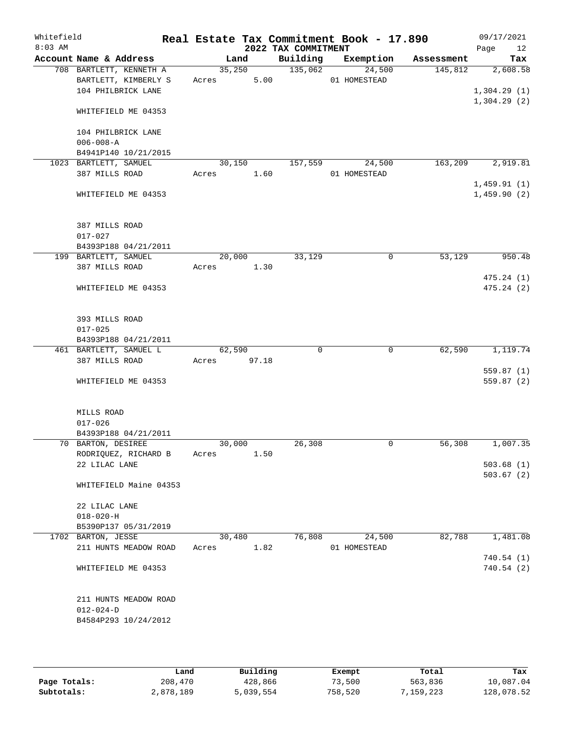| Whitefield<br>$8:03$ AM |                                                |            |        | 2022 TAX COMMITMENT | Real Estate Tax Commitment Book - 17.890 |            | 09/17/2021<br>12<br>Page |
|-------------------------|------------------------------------------------|------------|--------|---------------------|------------------------------------------|------------|--------------------------|
|                         | Account Name & Address                         |            | Land   | Building            | Exemption                                | Assessment | Tax                      |
|                         | 708 BARTLETT, KENNETH A                        |            | 35,250 | 135,062             | 24,500                                   | 145,812    | 2,608.58                 |
|                         | BARTLETT, KIMBERLY S                           | Acres      | 5.00   |                     | 01 HOMESTEAD                             |            |                          |
|                         | 104 PHILBRICK LANE                             |            |        |                     |                                          |            | 1,304.29(1)              |
|                         | WHITEFIELD ME 04353                            |            |        |                     |                                          |            | 1,304.29(2)              |
|                         | 104 PHILBRICK LANE                             |            |        |                     |                                          |            |                          |
|                         | $006 - 008 - A$                                |            |        |                     |                                          |            |                          |
|                         | B4941P140 10/21/2015                           |            |        |                     |                                          |            |                          |
|                         | 1023 BARTLETT, SAMUEL                          | 30,150     |        | 157,559             | 24,500                                   | 163, 209   | 2,919.81                 |
|                         | 387 MILLS ROAD                                 | Acres      | 1.60   |                     | 01 HOMESTEAD                             |            | 1,459.91(1)              |
|                         | WHITEFIELD ME 04353                            |            |        |                     |                                          |            | 1,459.90(2)              |
|                         | 387 MILLS ROAD                                 |            |        |                     |                                          |            |                          |
|                         | $017 - 027$                                    |            |        |                     |                                          |            |                          |
|                         | B4393P188 04/21/2011                           |            |        |                     |                                          |            |                          |
|                         | 199 BARTLETT, SAMUEL                           | 20,000     |        | 33,129              | $\mathbf 0$                              | 53,129     | 950.48                   |
|                         | 387 MILLS ROAD                                 | Acres 1.30 |        |                     |                                          |            | 475.24(1)                |
|                         | WHITEFIELD ME 04353                            |            |        |                     |                                          |            | 475.24(2)                |
|                         | 393 MILLS ROAD                                 |            |        |                     |                                          |            |                          |
|                         | $017 - 025$                                    |            |        |                     |                                          |            |                          |
|                         | B4393P188 04/21/2011<br>461 BARTLETT, SAMUEL L | 62,590     |        | $\Omega$            | 0                                        | 62,590     | 1,119.74                 |
|                         | 387 MILLS ROAD                                 | Acres      | 97.18  |                     |                                          |            |                          |
|                         |                                                |            |        |                     |                                          |            | 559.87(1)                |
|                         | WHITEFIELD ME 04353                            |            |        |                     |                                          |            | 559.87 (2)               |
|                         | MILLS ROAD                                     |            |        |                     |                                          |            |                          |
|                         | $017 - 026$                                    |            |        |                     |                                          |            |                          |
|                         | B4393P188 04/21/2011                           |            |        |                     |                                          |            |                          |
|                         | 70 BARTON, DESIREE                             | 30,000     |        | 26,308              | $\mathbf 0$                              | 56,308     | 1,007.35                 |
|                         | RODRIQUEZ, RICHARD B                           | Acres      | 1.50   |                     |                                          |            |                          |
|                         | 22 LILAC LANE                                  |            |        |                     |                                          |            | 503.68(1)                |
|                         | WHITEFIELD Maine 04353                         |            |        |                     |                                          |            | 503.67(2)                |
|                         | 22 LILAC LANE                                  |            |        |                     |                                          |            |                          |
|                         | $018 - 020 - H$                                |            |        |                     |                                          |            |                          |
|                         | B5390P137 05/31/2019                           |            |        |                     |                                          |            |                          |
|                         | 1702 BARTON, JESSE                             | 30,480     |        | 76,808              | 24,500                                   | 82,788     | 1,481.08                 |
|                         | 211 HUNTS MEADOW ROAD                          | Acres      | 1.82   |                     | 01 HOMESTEAD                             |            |                          |
|                         |                                                |            |        |                     |                                          |            | 740.54(1)                |
|                         | WHITEFIELD ME 04353                            |            |        |                     |                                          |            | 740.54(2)                |
|                         | 211 HUNTS MEADOW ROAD                          |            |        |                     |                                          |            |                          |
|                         | $012 - 024 - D$                                |            |        |                     |                                          |            |                          |
|                         | B4584P293 10/24/2012                           |            |        |                     |                                          |            |                          |
|                         |                                                |            |        |                     |                                          |            |                          |

|              | Land      | Building  | Exempt  | Total      | Tax        |
|--------------|-----------|-----------|---------|------------|------------|
| Page Totals: | 208,470   | 428,866   | 73,500  | 563,836    | 10,087.04  |
| Subtotals:   | 2,878,189 | 5,039,554 | 758,520 | , 159, 223 | 128,078.52 |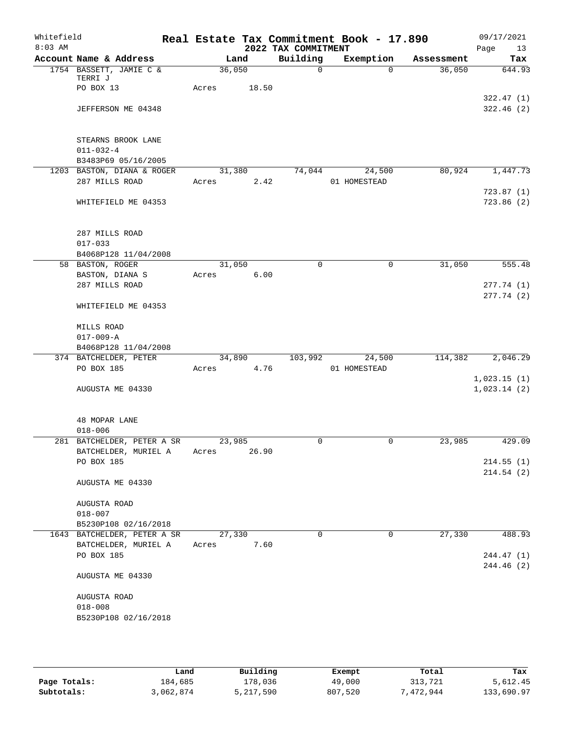| Whitefield<br>$8:03$ AM |                                                    |        |       | 2022 TAX COMMITMENT | Real Estate Tax Commitment Book - 17.890 |            | 09/17/2021<br>Page<br>13 |
|-------------------------|----------------------------------------------------|--------|-------|---------------------|------------------------------------------|------------|--------------------------|
|                         | Account Name & Address                             | Land   |       | Building            | Exemption                                | Assessment | Tax                      |
|                         | 1754 BASSETT, JAMIE C &                            | 36,050 |       | $\mathsf{O}$        | $\Omega$                                 | 36,050     | 644.93                   |
|                         | TERRI J<br>PO BOX 13                               | Acres  | 18.50 |                     |                                          |            |                          |
|                         |                                                    |        |       |                     |                                          |            | 322.47(1)                |
|                         | JEFFERSON ME 04348                                 |        |       |                     |                                          |            | 322.46(2)                |
|                         | STEARNS BROOK LANE                                 |        |       |                     |                                          |            |                          |
|                         | $011 - 032 - 4$                                    |        |       |                     |                                          |            |                          |
|                         | B3483P69 05/16/2005                                |        |       |                     |                                          |            |                          |
|                         | 1203 BASTON, DIANA & ROGER                         | 31,380 |       | 74,044              | 24,500                                   | 80,924     | 1,447.73                 |
|                         | 287 MILLS ROAD                                     | Acres  | 2.42  |                     | 01 HOMESTEAD                             |            |                          |
|                         | WHITEFIELD ME 04353                                |        |       |                     |                                          |            | 723.87(1)<br>723.86(2)   |
|                         | 287 MILLS ROAD                                     |        |       |                     |                                          |            |                          |
|                         | $017 - 033$                                        |        |       |                     |                                          |            |                          |
|                         | B4068P128 11/04/2008                               |        |       |                     |                                          |            |                          |
|                         | 58 BASTON, ROGER                                   | 31,050 |       | $\mathbf 0$         | $\mathbf 0$                              | 31,050     | 555.48                   |
|                         | BASTON, DIANA S                                    | Acres  | 6.00  |                     |                                          |            |                          |
|                         | 287 MILLS ROAD                                     |        |       |                     |                                          |            | 277.74(1)                |
|                         | WHITEFIELD ME 04353                                |        |       |                     |                                          |            | 277.74(2)                |
|                         | MILLS ROAD                                         |        |       |                     |                                          |            |                          |
|                         | $017 - 009 - A$                                    |        |       |                     |                                          |            |                          |
|                         | B4068P128 11/04/2008                               |        |       |                     |                                          |            |                          |
|                         | 374 BATCHELDER, PETER                              | 34,890 |       | 103,992             | 24,500                                   | 114,382    | 2,046.29                 |
|                         | PO BOX 185                                         | Acres  | 4.76  |                     | 01 HOMESTEAD                             |            |                          |
|                         |                                                    |        |       |                     |                                          |            | 1,023.15(1)              |
|                         | AUGUSTA ME 04330                                   |        |       |                     |                                          |            | 1,023.14(2)              |
|                         | 48 MOPAR LANE                                      |        |       |                     |                                          |            |                          |
|                         | $018 - 006$                                        | 23,985 |       | 0                   | 0                                        | 23,985     | 429.09                   |
|                         | 281 BATCHELDER, PETER A SR<br>BATCHELDER, MURIEL A | Acres  | 26.90 |                     |                                          |            |                          |
|                         | PO BOX 185                                         |        |       |                     |                                          |            | 214.55(1)                |
|                         |                                                    |        |       |                     |                                          |            | 214.54(2)                |
|                         | AUGUSTA ME 04330                                   |        |       |                     |                                          |            |                          |
|                         | AUGUSTA ROAD                                       |        |       |                     |                                          |            |                          |
|                         | $018 - 007$                                        |        |       |                     |                                          |            |                          |
|                         | B5230P108 02/16/2018                               |        |       |                     |                                          |            |                          |
|                         | 1643 BATCHELDER, PETER A SR                        | 27,330 |       | 0                   | $\mathbf 0$                              | 27,330     | 488.93                   |
|                         | BATCHELDER, MURIEL A                               | Acres  | 7.60  |                     |                                          |            |                          |
|                         | PO BOX 185                                         |        |       |                     |                                          |            | 244.47 (1)<br>244.46 (2) |
|                         | AUGUSTA ME 04330                                   |        |       |                     |                                          |            |                          |
|                         | AUGUSTA ROAD                                       |        |       |                     |                                          |            |                          |
|                         | $018 - 008$                                        |        |       |                     |                                          |            |                          |
|                         | B5230P108 02/16/2018                               |        |       |                     |                                          |            |                          |
|                         |                                                    |        |       |                     |                                          |            |                          |

|              | Land      | Building  | Exempt  | Total     | Tax        |
|--------------|-----------|-----------|---------|-----------|------------|
| Page Totals: | 184,685   | 178,036   | 49,000  | 313,721   | 5,612.45   |
| Subtotals:   | 3,062,874 | 5,217,590 | 807,520 | 1,472,944 | 133,690.97 |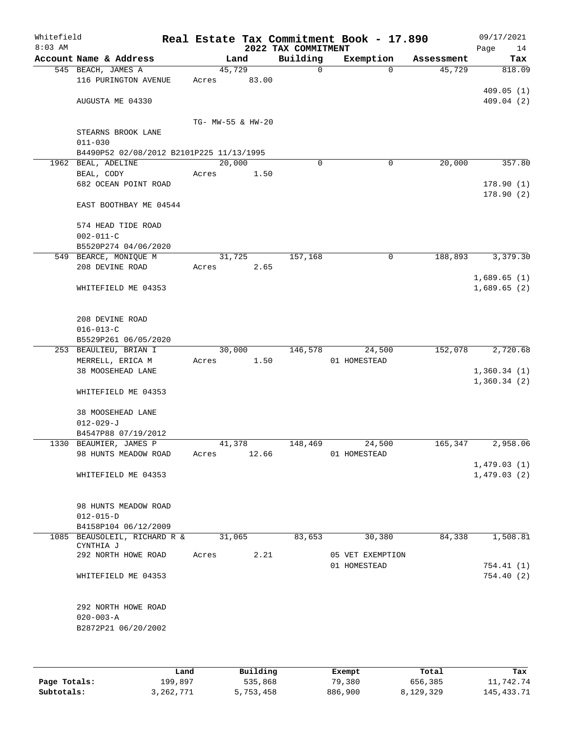| Whitefield<br>$8:03$ AM |                                                                |                   |        | 2022 TAX COMMITMENT | Real Estate Tax Commitment Book - 17.890 |            | 09/17/2021<br>Page<br>14 |
|-------------------------|----------------------------------------------------------------|-------------------|--------|---------------------|------------------------------------------|------------|--------------------------|
|                         | Account Name & Address                                         |                   | Land   | Building            | Exemption                                | Assessment | Tax                      |
|                         | 545 BEACH, JAMES A                                             | 45,729            |        | 0                   | $\Omega$                                 | 45,729     | 818.09                   |
|                         | 116 PURINGTON AVENUE                                           | Acres             | 83.00  |                     |                                          |            |                          |
|                         |                                                                |                   |        |                     |                                          |            | 409.05(1)                |
|                         | AUGUSTA ME 04330                                               |                   |        |                     |                                          |            | 409.04(2)                |
|                         |                                                                |                   |        |                     |                                          |            |                          |
|                         |                                                                | TG- MW-55 & HW-20 |        |                     |                                          |            |                          |
|                         | STEARNS BROOK LANE                                             |                   |        |                     |                                          |            |                          |
|                         | $011 - 030$                                                    |                   |        |                     |                                          |            |                          |
|                         | B4490P52 02/08/2012 B2101P225 11/13/1995<br>1962 BEAL, ADELINE | 20,000            |        | $\Omega$            | 0                                        | 20,000     | 357.80                   |
|                         | BEAL, CODY                                                     | Acres             | 1.50   |                     |                                          |            |                          |
|                         | 682 OCEAN POINT ROAD                                           |                   |        |                     |                                          |            | 178.90(1)                |
|                         |                                                                |                   |        |                     |                                          |            | 178.90(2)                |
|                         | EAST BOOTHBAY ME 04544                                         |                   |        |                     |                                          |            |                          |
|                         |                                                                |                   |        |                     |                                          |            |                          |
|                         | 574 HEAD TIDE ROAD                                             |                   |        |                     |                                          |            |                          |
|                         | $002 - 011 - C$                                                |                   |        |                     |                                          |            |                          |
|                         | B5520P274 04/06/2020                                           |                   |        |                     |                                          |            |                          |
|                         | 549 BEARCE, MONIQUE M                                          | 31,725            |        | 157,168             | $\mathbf 0$                              | 188,893    | 3,379.30                 |
|                         | 208 DEVINE ROAD                                                | Acres             | 2.65   |                     |                                          |            |                          |
|                         |                                                                |                   |        |                     |                                          |            | 1,689.65(1)              |
|                         | WHITEFIELD ME 04353                                            |                   |        |                     |                                          |            | 1,689.65(2)              |
|                         |                                                                |                   |        |                     |                                          |            |                          |
|                         | 208 DEVINE ROAD                                                |                   |        |                     |                                          |            |                          |
|                         | $016 - 013 - C$                                                |                   |        |                     |                                          |            |                          |
|                         | B5529P261 06/05/2020                                           |                   |        |                     |                                          |            |                          |
|                         | 253 BEAULIEU, BRIAN I                                          |                   | 30,000 | 146,578             | 24,500                                   | 152,078    | 2,720.68                 |
|                         | MERRELL, ERICA M                                               | Acres             | 1.50   |                     | 01 HOMESTEAD                             |            |                          |
|                         | 38 MOOSEHEAD LANE                                              |                   |        |                     |                                          |            | 1,360.34(1)              |
|                         |                                                                |                   |        |                     |                                          |            | 1,360.34(2)              |
|                         | WHITEFIELD ME 04353                                            |                   |        |                     |                                          |            |                          |
|                         |                                                                |                   |        |                     |                                          |            |                          |
|                         | 38 MOOSEHEAD LANE                                              |                   |        |                     |                                          |            |                          |
|                         | $012 - 029 - J$                                                |                   |        |                     |                                          |            |                          |
|                         | B4547P88 07/19/2012<br>1330 BEAUMIER, JAMES P                  | 41,378            |        | 148,469             | 24,500                                   | 165,347    | 2,958.06                 |
|                         | 98 HUNTS MEADOW ROAD                                           | Acres             | 12.66  |                     | 01 HOMESTEAD                             |            |                          |
|                         |                                                                |                   |        |                     |                                          |            | 1,479.03(1)              |
|                         | WHITEFIELD ME 04353                                            |                   |        |                     |                                          |            | 1,479.03(2)              |
|                         |                                                                |                   |        |                     |                                          |            |                          |
|                         |                                                                |                   |        |                     |                                          |            |                          |
|                         | 98 HUNTS MEADOW ROAD                                           |                   |        |                     |                                          |            |                          |
|                         | $012 - 015 - D$                                                |                   |        |                     |                                          |            |                          |
|                         | B4158P104 06/12/2009                                           |                   |        |                     |                                          |            |                          |
|                         | 1085 BEAUSOLEIL, RICHARD R &<br>CYNTHIA J                      | 31,065            |        | 83,653              | 30,380                                   | 84,338     | 1,508.81                 |
|                         | 292 NORTH HOWE ROAD                                            | Acres             | 2.21   |                     | 05 VET EXEMPTION                         |            |                          |
|                         |                                                                |                   |        |                     | 01 HOMESTEAD                             |            | 754.41 (1)               |
|                         | WHITEFIELD ME 04353                                            |                   |        |                     |                                          |            | 754.40(2)                |
|                         |                                                                |                   |        |                     |                                          |            |                          |
|                         |                                                                |                   |        |                     |                                          |            |                          |
|                         | 292 NORTH HOWE ROAD                                            |                   |        |                     |                                          |            |                          |
|                         | $020 - 003 - A$                                                |                   |        |                     |                                          |            |                          |
|                         | B2872P21 06/20/2002                                            |                   |        |                     |                                          |            |                          |
|                         |                                                                |                   |        |                     |                                          |            |                          |
|                         |                                                                |                   |        |                     |                                          |            |                          |

|              | Land      | Building  | Exempt  | Total     | Tax          |
|--------------|-----------|-----------|---------|-----------|--------------|
| Page Totals: | 199,897   | 535,868   | 79,380  | 656,385   | 11,742.74    |
| Subtotals:   | 3,262,771 | 5,753,458 | 886,900 | 8,129,329 | 145, 433. 71 |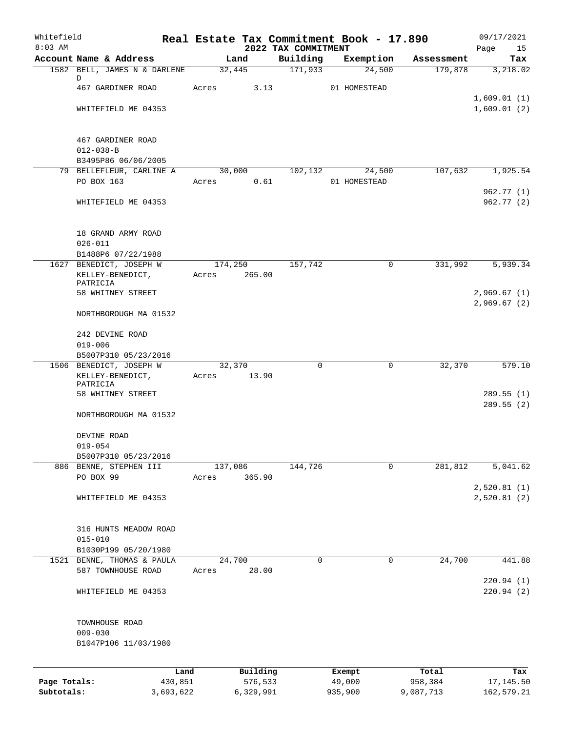| Whitefield<br>$8:03$ AM |                                                    | Real Estate Tax Commitment Book - 17.890 | 2022 TAX COMMITMENT |              |            | 09/17/2021<br>Page<br>15 |
|-------------------------|----------------------------------------------------|------------------------------------------|---------------------|--------------|------------|--------------------------|
|                         | Account Name & Address                             | Land                                     | Building            | Exemption    | Assessment | Tax                      |
|                         | 1582 BELL, JAMES N & DARLENE                       | 32,445                                   | 171,933             | 24,500       | 179,878    | 3,218.02                 |
|                         | D<br>467 GARDINER ROAD                             | Acres<br>3.13                            |                     | 01 HOMESTEAD |            |                          |
|                         |                                                    |                                          |                     |              |            | 1,609.01(1)              |
|                         | WHITEFIELD ME 04353                                |                                          |                     |              |            | 1,609.01(2)              |
|                         | 467 GARDINER ROAD                                  |                                          |                     |              |            |                          |
|                         | $012 - 038 - B$                                    |                                          |                     |              |            |                          |
|                         | B3495P86 06/06/2005<br>79 BELLEFLEUR, CARLINE A    | 30,000                                   | 102,132             | 24,500       | 107,632    | 1,925.54                 |
|                         | PO BOX 163                                         | 0.61<br>Acres                            |                     | 01 HOMESTEAD |            |                          |
|                         |                                                    |                                          |                     |              |            | 962.77(1)                |
|                         | WHITEFIELD ME 04353                                |                                          |                     |              |            | 962.77(2)                |
|                         | 18 GRAND ARMY ROAD                                 |                                          |                     |              |            |                          |
|                         | $026 - 011$                                        |                                          |                     |              |            |                          |
|                         | B1488P6 07/22/1988<br>1627 BENEDICT, JOSEPH W      | 174,250                                  | 157,742             | 0            | 331,992    | 5,939.34                 |
|                         | KELLEY-BENEDICT,<br>PATRICIA                       | Acres<br>265.00                          |                     |              |            |                          |
|                         | 58 WHITNEY STREET                                  |                                          |                     |              |            | 2,969.67(1)              |
|                         | NORTHBOROUGH MA 01532                              |                                          |                     |              |            | 2,969.67(2)              |
|                         | 242 DEVINE ROAD                                    |                                          |                     |              |            |                          |
|                         | $019 - 006$                                        |                                          |                     |              |            |                          |
|                         | B5007P310 05/23/2016<br>1506 BENEDICT, JOSEPH W    | 32,370                                   | 0                   | 0            | 32,370     | 579.10                   |
|                         | KELLEY-BENEDICT,                                   | 13.90<br>Acres                           |                     |              |            |                          |
|                         | PATRICIA<br>58 WHITNEY STREET                      |                                          |                     |              |            |                          |
|                         |                                                    |                                          |                     |              |            | 289.55(1)<br>289.55(2)   |
|                         | NORTHBOROUGH MA 01532                              |                                          |                     |              |            |                          |
|                         | DEVINE ROAD                                        |                                          |                     |              |            |                          |
|                         | $019 - 054$                                        |                                          |                     |              |            |                          |
|                         | B5007P310 05/23/2016                               |                                          |                     |              |            |                          |
|                         | 886 BENNE, STEPHEN III<br>PO BOX 99                | 137,086<br>365.90<br>Acres               | 144,726             | $\mathbf 0$  | 281,812    | 5,041.62                 |
|                         |                                                    |                                          |                     |              |            | 2,520.81(1)              |
|                         | WHITEFIELD ME 04353                                |                                          |                     |              |            | 2,520.81(2)              |
|                         | 316 HUNTS MEADOW ROAD                              |                                          |                     |              |            |                          |
|                         | $015 - 010$                                        |                                          |                     |              |            |                          |
|                         | B1030P199 05/20/1980<br>1521 BENNE, THOMAS & PAULA |                                          | $\mathbf 0$         | 0            |            | 441.88                   |
|                         | 587 TOWNHOUSE ROAD                                 | 24,700<br>28.00<br>Acres                 |                     |              | 24,700     |                          |
|                         | WHITEFIELD ME 04353                                |                                          |                     |              |            | 220.94(1)<br>220.94(2)   |
|                         |                                                    |                                          |                     |              |            |                          |
|                         | TOWNHOUSE ROAD<br>$009 - 030$                      |                                          |                     |              |            |                          |
|                         | B1047P106 11/03/1980                               |                                          |                     |              |            |                          |
|                         | Land                                               | Building                                 |                     | Exempt       | Total      | Tax                      |
| Page Totals:            | 430,851                                            | 576,533                                  |                     | 49,000       | 958,384    | 17,145.50                |
| Subtotals:              | 3,693,622                                          | 6,329,991                                |                     | 935,900      | 9,087,713  | 162,579.21               |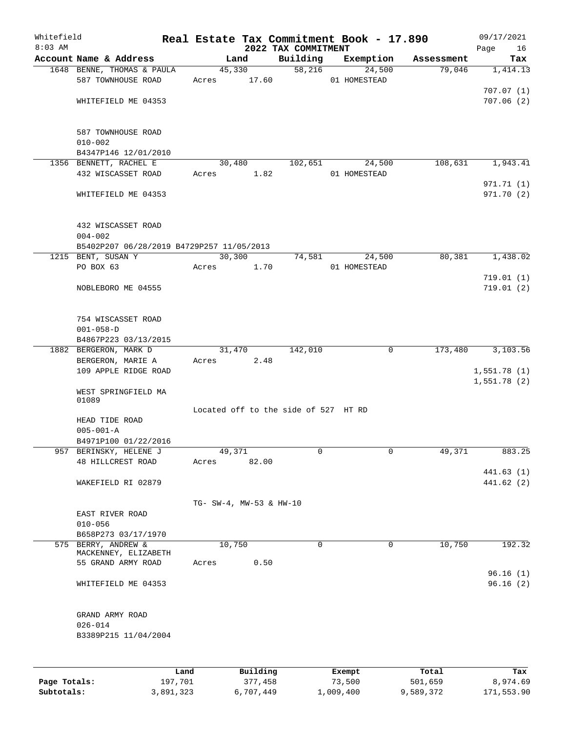| Whitefield<br>$8:03$ AM |                                           |       |                         |                                      | Real Estate Tax Commitment Book - 17.890 |            | 09/17/2021             |
|-------------------------|-------------------------------------------|-------|-------------------------|--------------------------------------|------------------------------------------|------------|------------------------|
|                         | Account Name & Address                    |       | Land                    | 2022 TAX COMMITMENT<br>Building      | Exemption                                | Assessment | Page<br>16<br>Tax      |
|                         | 1648 BENNE, THOMAS & PAULA                |       | 45,330                  | 58,216                               | 24,500                                   | 79,046     | 1,414.13               |
|                         | 587 TOWNHOUSE ROAD                        | Acres | 17.60                   |                                      | 01 HOMESTEAD                             |            |                        |
|                         |                                           |       |                         |                                      |                                          |            | 707.07(1)              |
|                         | WHITEFIELD ME 04353                       |       |                         |                                      |                                          |            | 707.06(2)              |
|                         |                                           |       |                         |                                      |                                          |            |                        |
|                         |                                           |       |                         |                                      |                                          |            |                        |
|                         | 587 TOWNHOUSE ROAD                        |       |                         |                                      |                                          |            |                        |
|                         | $010 - 002$<br>B4347P146 12/01/2010       |       |                         |                                      |                                          |            |                        |
|                         | 1356 BENNETT, RACHEL E                    |       | 30,480                  | 102,651                              | 24,500                                   | 108,631    | 1,943.41               |
|                         | 432 WISCASSET ROAD                        | Acres | 1.82                    |                                      | 01 HOMESTEAD                             |            |                        |
|                         |                                           |       |                         |                                      |                                          |            | 971.71 (1)             |
|                         | WHITEFIELD ME 04353                       |       |                         |                                      |                                          |            | 971.70 (2)             |
|                         |                                           |       |                         |                                      |                                          |            |                        |
|                         |                                           |       |                         |                                      |                                          |            |                        |
|                         | 432 WISCASSET ROAD                        |       |                         |                                      |                                          |            |                        |
|                         | $004 - 002$                               |       |                         |                                      |                                          |            |                        |
|                         | B5402P207 06/28/2019 B4729P257 11/05/2013 |       |                         |                                      |                                          |            |                        |
|                         | 1215 BENT, SUSAN Y                        |       | 30,300                  | 74,581                               | 24,500                                   | 80,381     | 1,438.02               |
|                         | PO BOX 63                                 | Acres | 1.70                    |                                      | 01 HOMESTEAD                             |            |                        |
|                         | NOBLEBORO ME 04555                        |       |                         |                                      |                                          |            | 719.01(1)<br>719.01(2) |
|                         |                                           |       |                         |                                      |                                          |            |                        |
|                         |                                           |       |                         |                                      |                                          |            |                        |
|                         | 754 WISCASSET ROAD                        |       |                         |                                      |                                          |            |                        |
|                         | $001 - 058 - D$                           |       |                         |                                      |                                          |            |                        |
|                         | B4867P223 03/13/2015                      |       |                         |                                      |                                          |            |                        |
|                         | 1882 BERGERON, MARK D                     |       | 31,470                  | 142,010                              | $\mathbf 0$                              | 173,480    | 3,103.56               |
|                         | BERGERON, MARIE A                         | Acres | 2.48                    |                                      |                                          |            |                        |
|                         | 109 APPLE RIDGE ROAD                      |       |                         |                                      |                                          |            | 1,551.78(1)            |
|                         |                                           |       |                         |                                      |                                          |            | 1,551.78(2)            |
|                         | WEST SPRINGFIELD MA<br>01089              |       |                         |                                      |                                          |            |                        |
|                         |                                           |       |                         | Located off to the side of 527 HT RD |                                          |            |                        |
|                         | HEAD TIDE ROAD                            |       |                         |                                      |                                          |            |                        |
|                         | $005 - 001 - A$                           |       |                         |                                      |                                          |            |                        |
|                         | B4971P100 01/22/2016                      |       |                         |                                      |                                          |            |                        |
|                         | 957 BERINSKY, HELENE J                    |       | 49,371                  | 0                                    | 0                                        | 49,371     | 883.25                 |
|                         | 48 HILLCREST ROAD                         | Acres | 82.00                   |                                      |                                          |            |                        |
|                         |                                           |       |                         |                                      |                                          |            | 441.63(1)              |
|                         | WAKEFIELD RI 02879                        |       |                         |                                      |                                          |            | 441.62 (2)             |
|                         |                                           |       |                         |                                      |                                          |            |                        |
|                         |                                           |       | TG- SW-4, MW-53 & HW-10 |                                      |                                          |            |                        |
|                         | EAST RIVER ROAD                           |       |                         |                                      |                                          |            |                        |
|                         | $010 - 056$<br>B658P273 03/17/1970        |       |                         |                                      |                                          |            |                        |
|                         | 575 BERRY, ANDREW &                       |       | 10,750                  | $\Omega$                             | $\mathbf 0$                              | 10,750     | 192.32                 |
|                         | MACKENNEY, ELIZABETH                      |       |                         |                                      |                                          |            |                        |
|                         | 55 GRAND ARMY ROAD                        | Acres | 0.50                    |                                      |                                          |            |                        |
|                         |                                           |       |                         |                                      |                                          |            | 96.16(1)               |
|                         | WHITEFIELD ME 04353                       |       |                         |                                      |                                          |            | 96.16(2)               |
|                         |                                           |       |                         |                                      |                                          |            |                        |
|                         |                                           |       |                         |                                      |                                          |            |                        |
|                         | GRAND ARMY ROAD                           |       |                         |                                      |                                          |            |                        |
|                         | $026 - 014$                               |       |                         |                                      |                                          |            |                        |
|                         | B3389P215 11/04/2004                      |       |                         |                                      |                                          |            |                        |
|                         |                                           |       |                         |                                      |                                          |            |                        |
|                         |                                           |       |                         |                                      |                                          |            |                        |
|                         |                                           | Land  | Building                |                                      | Exempt                                   | Total      | Tax                    |
| Page Totals:            | 197,701                                   |       | 377,458                 |                                      | 73,500                                   | 501,659    | 8,974.69               |

**Subtotals:** 3,891,323 6,707,449 1,009,400 9,589,372 171,553.90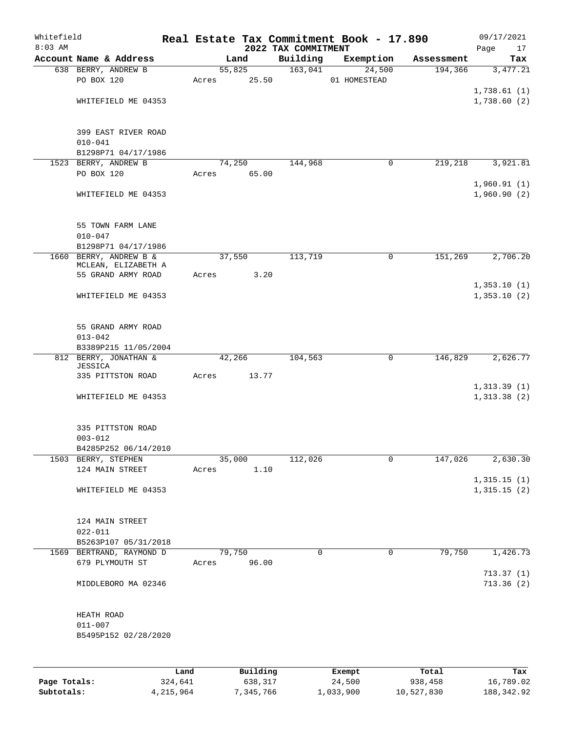| Whitefield<br>$8:03$ AM |                          |       |        |          | 2022 TAX COMMITMENT | Real Estate Tax Commitment Book - 17.890 |            | 09/17/2021<br>Page<br>17 |
|-------------------------|--------------------------|-------|--------|----------|---------------------|------------------------------------------|------------|--------------------------|
|                         | Account Name & Address   |       | Land   |          | Building            | Exemption                                | Assessment | Tax                      |
|                         | 638 BERRY, ANDREW B      |       | 55,825 |          | 163,041             | 24,500                                   | 194,366    | 3,477.21                 |
|                         | PO BOX 120               | Acres |        | 25.50    |                     | 01 HOMESTEAD                             |            |                          |
|                         |                          |       |        |          |                     |                                          |            | 1,738.61(1)              |
|                         | WHITEFIELD ME 04353      |       |        |          |                     |                                          |            | 1,738.60(2)              |
|                         |                          |       |        |          |                     |                                          |            |                          |
|                         |                          |       |        |          |                     |                                          |            |                          |
|                         | 399 EAST RIVER ROAD      |       |        |          |                     |                                          |            |                          |
|                         | $010 - 041$              |       |        |          |                     |                                          |            |                          |
|                         | B1298P71 04/17/1986      |       |        |          |                     |                                          |            |                          |
|                         | 1523 BERRY, ANDREW B     |       | 74,250 |          | 144,968             | 0                                        | 219,218    | 3,921.81                 |
|                         | PO BOX 120               | Acres |        | 65.00    |                     |                                          |            |                          |
|                         |                          |       |        |          |                     |                                          |            | 1,960.91(1)              |
|                         | WHITEFIELD ME 04353      |       |        |          |                     |                                          |            | 1,960.90(2)              |
|                         |                          |       |        |          |                     |                                          |            |                          |
|                         |                          |       |        |          |                     |                                          |            |                          |
|                         | 55 TOWN FARM LANE        |       |        |          |                     |                                          |            |                          |
|                         | $010 - 047$              |       |        |          |                     |                                          |            |                          |
|                         | B1298P71 04/17/1986      |       |        |          |                     |                                          |            |                          |
|                         | 1660 BERRY, ANDREW B &   |       | 37,550 |          | 113,719             | 0                                        | 151,269    | 2,706.20                 |
|                         | MCLEAN, ELIZABETH A      |       |        |          |                     |                                          |            |                          |
|                         | 55 GRAND ARMY ROAD       | Acres |        | 3.20     |                     |                                          |            |                          |
|                         |                          |       |        |          |                     |                                          |            | 1,353.10(1)              |
|                         | WHITEFIELD ME 04353      |       |        |          |                     |                                          |            | 1,353.10(2)              |
|                         |                          |       |        |          |                     |                                          |            |                          |
|                         |                          |       |        |          |                     |                                          |            |                          |
|                         | 55 GRAND ARMY ROAD       |       |        |          |                     |                                          |            |                          |
|                         | $013 - 042$              |       |        |          |                     |                                          |            |                          |
|                         | B3389P215 11/05/2004     |       |        |          |                     |                                          |            |                          |
|                         | 812 BERRY, JONATHAN &    |       | 42,266 |          | 104,563             | 0                                        | 146,829    | 2,626.77                 |
|                         | JESSICA                  |       |        |          |                     |                                          |            |                          |
|                         | 335 PITTSTON ROAD        | Acres |        | 13.77    |                     |                                          |            |                          |
|                         |                          |       |        |          |                     |                                          |            | 1,313.39(1)              |
|                         | WHITEFIELD ME 04353      |       |        |          |                     |                                          |            | 1,313.38(2)              |
|                         |                          |       |        |          |                     |                                          |            |                          |
|                         |                          |       |        |          |                     |                                          |            |                          |
|                         | 335 PITTSTON ROAD        |       |        |          |                     |                                          |            |                          |
|                         | $003 - 012$              |       |        |          |                     |                                          |            |                          |
|                         | B4285P252 06/14/2010     |       |        |          |                     |                                          |            |                          |
|                         | 1503 BERRY, STEPHEN      |       | 35,000 |          | 112,026             | 0                                        | 147,026    | 2,630.30                 |
|                         | 124 MAIN STREET          | Acres |        | 1.10     |                     |                                          |            |                          |
|                         |                          |       |        |          |                     |                                          |            | 1,315.15(1)              |
|                         | WHITEFIELD ME 04353      |       |        |          |                     |                                          |            | 1,315.15(2)              |
|                         |                          |       |        |          |                     |                                          |            |                          |
|                         |                          |       |        |          |                     |                                          |            |                          |
|                         | 124 MAIN STREET          |       |        |          |                     |                                          |            |                          |
|                         | $022 - 011$              |       |        |          |                     |                                          |            |                          |
|                         | B5263P107 05/31/2018     |       |        |          |                     |                                          |            |                          |
|                         | 1569 BERTRAND, RAYMOND D |       | 79,750 |          | 0                   | $\mathsf{O}$                             | 79,750     | 1,426.73                 |
|                         | 679 PLYMOUTH ST          | Acres |        | 96.00    |                     |                                          |            |                          |
|                         |                          |       |        |          |                     |                                          |            | 713.37(1)                |
|                         | MIDDLEBORO MA 02346      |       |        |          |                     |                                          |            | 713.36(2)                |
|                         |                          |       |        |          |                     |                                          |            |                          |
|                         |                          |       |        |          |                     |                                          |            |                          |
|                         | HEATH ROAD               |       |        |          |                     |                                          |            |                          |
|                         | $011 - 007$              |       |        |          |                     |                                          |            |                          |
|                         | B5495P152 02/28/2020     |       |        |          |                     |                                          |            |                          |
|                         |                          |       |        |          |                     |                                          |            |                          |
|                         |                          |       |        |          |                     |                                          |            |                          |
|                         |                          | Land  |        | Building |                     | Exempt                                   | Total      | Tax                      |

|              | --------  | ____________ | _______   | --------   | -------    |
|--------------|-----------|--------------|-----------|------------|------------|
| Page Totals: | 324,641   | 638,317      | 24,500    | 938,458    | 16,789.02  |
| Subtotals:   | 4,215,964 | 7,345,766    | 1,033,900 | 10,527,830 | 188,342.92 |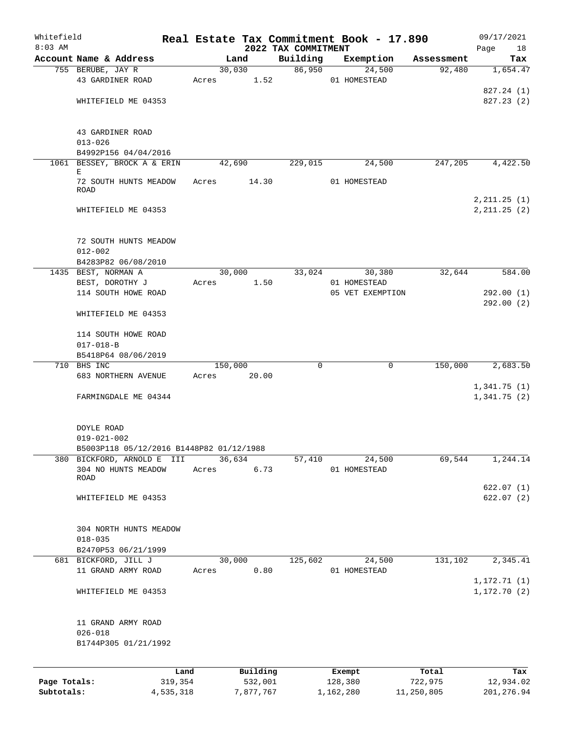| Whitefield                 |                                                                             |                      |                      |                     | Real Estate Tax Commitment Book - 17.890 |                        | 09/17/2021                 |
|----------------------------|-----------------------------------------------------------------------------|----------------------|----------------------|---------------------|------------------------------------------|------------------------|----------------------------|
| $8:03$ AM                  |                                                                             |                      |                      | 2022 TAX COMMITMENT |                                          |                        | Page<br>18                 |
|                            | Account Name & Address                                                      |                      | Land                 | Building<br>86,950  | Exemption                                | Assessment             | Tax                        |
|                            | 755 BERUBE, JAY R<br>43 GARDINER ROAD                                       | Acres                | 30,030<br>1.52       |                     | 24,500<br>01 HOMESTEAD                   | 92,480                 | 1,654.47                   |
|                            | WHITEFIELD ME 04353                                                         |                      |                      |                     |                                          |                        | 827.24 (1)<br>827.23(2)    |
|                            | 43 GARDINER ROAD<br>$013 - 026$<br>B4992P156 04/04/2016                     |                      |                      |                     |                                          |                        |                            |
|                            | 1061 BESSEY, BROCK A & ERIN<br>Е                                            |                      | 42,690               | 229,015             | 24,500                                   | 247,205                | 4,422.50                   |
|                            | 72 SOUTH HUNTS MEADOW<br>ROAD                                               | Acres                | 14.30                |                     | 01 HOMESTEAD                             |                        | 2, 211.25 (1)              |
|                            | WHITEFIELD ME 04353                                                         |                      |                      |                     |                                          |                        | 2, 211.25 (2)              |
|                            | 72 SOUTH HUNTS MEADOW<br>$012 - 002$<br>B4283P82 06/08/2010                 |                      |                      |                     |                                          |                        |                            |
|                            | 1435 BEST, NORMAN A                                                         |                      | 30,000               | 33,024              | 30,380                                   | 32,644                 | 584.00                     |
|                            | BEST, DOROTHY J<br>114 SOUTH HOWE ROAD                                      | Acres                |                      | 1.50                | 01 HOMESTEAD<br>05 VET EXEMPTION         |                        | 292.00(1)                  |
|                            | WHITEFIELD ME 04353                                                         |                      |                      |                     |                                          |                        | 292.00(2)                  |
|                            | 114 SOUTH HOWE ROAD<br>$017 - 018 - B$                                      |                      |                      |                     |                                          |                        |                            |
|                            | B5418P64 08/06/2019<br>710 BHS INC                                          |                      | 150,000              | $\mathbf 0$         |                                          | 150,000<br>$\mathbf 0$ | 2,683.50                   |
|                            | 683 NORTHERN AVENUE                                                         | Acres                | 20.00                |                     |                                          |                        |                            |
|                            | FARMINGDALE ME 04344                                                        |                      |                      |                     |                                          |                        | 1,341.75(1)<br>1,341.75(2) |
|                            | DOYLE ROAD<br>$019 - 021 - 002$<br>B5003P118 05/12/2016 B1448P82 01/12/1988 |                      |                      |                     |                                          |                        |                            |
| 380                        | BICKFORD, ARNOLD E III                                                      |                      | 36,634               | 57,410              | 24,500                                   | 69,544                 | 1,244.14                   |
|                            | 304 NO HUNTS MEADOW<br>ROAD                                                 | Acres                |                      | 6.73                | 01 HOMESTEAD                             |                        |                            |
|                            | WHITEFIELD ME 04353                                                         |                      |                      |                     |                                          |                        | 622.07(1)<br>622.07(2)     |
|                            | 304 NORTH HUNTS MEADOW<br>$018 - 035$<br>B2470P53 06/21/1999                |                      |                      |                     |                                          |                        |                            |
|                            | 681 BICKFORD, JILL J                                                        |                      | 30,000               | 125,602             | 24,500                                   | 131,102                | 2,345.41                   |
|                            | 11 GRAND ARMY ROAD                                                          | Acres                |                      | 0.80                | 01 HOMESTEAD                             |                        | 1,172.71(1)                |
|                            | WHITEFIELD ME 04353                                                         |                      |                      |                     |                                          |                        | 1, 172.70(2)               |
|                            | 11 GRAND ARMY ROAD<br>$026 - 018$<br>B1744P305 01/21/1992                   |                      |                      |                     |                                          |                        |                            |
|                            |                                                                             | Land                 | Building             |                     | Exempt                                   | Total                  | Tax                        |
| Page Totals:<br>Subtotals: |                                                                             | 319,354<br>4,535,318 | 532,001<br>7,877,767 |                     | 128,380<br>1,162,280                     | 722,975<br>11,250,805  | 12,934.02<br>201, 276.94   |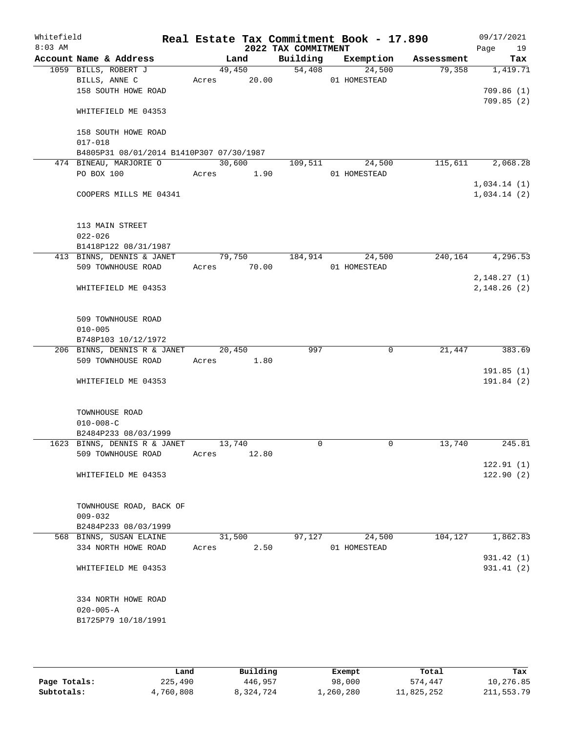| Whitefield<br>$8:03$ AM |                                                         | Real Estate Tax Commitment Book - 17.890 | 2022 TAX COMMITMENT |                        |            | 09/17/2021<br>Page<br>19 |
|-------------------------|---------------------------------------------------------|------------------------------------------|---------------------|------------------------|------------|--------------------------|
|                         | Account Name & Address                                  | Land                                     | Building            | Exemption              | Assessment | Tax                      |
|                         | 1059 BILLS, ROBERT J                                    | 49,450                                   | 54,408              | 24,500                 | 79,358     | 1,419.71                 |
|                         | BILLS, ANNE C                                           | 20.00<br>Acres                           |                     | 01 HOMESTEAD           |            |                          |
|                         | 158 SOUTH HOWE ROAD                                     |                                          |                     |                        |            | 709.86(1)                |
|                         | WHITEFIELD ME 04353                                     |                                          |                     |                        |            | 709.85(2)                |
|                         | 158 SOUTH HOWE ROAD                                     |                                          |                     |                        |            |                          |
|                         | $017 - 018$<br>B4805P31 08/01/2014 B1410P307 07/30/1987 |                                          |                     |                        |            |                          |
|                         | 474 BINEAU, MARJORIE O                                  | 30,600                                   | 109,511             | 24,500                 | 115,611    | 2,068.28                 |
|                         | PO BOX 100                                              | Acres<br>1.90                            |                     | 01 HOMESTEAD           |            |                          |
|                         |                                                         |                                          |                     |                        |            | 1,034.14(1)              |
|                         | COOPERS MILLS ME 04341                                  |                                          |                     |                        |            | 1,034.14(2)              |
|                         | 113 MAIN STREET                                         |                                          |                     |                        |            |                          |
|                         | $022 - 026$                                             |                                          |                     |                        |            |                          |
|                         | B1418P122 08/31/1987                                    |                                          |                     |                        |            |                          |
|                         | 413 BINNS, DENNIS & JANET<br>509 TOWNHOUSE ROAD         | 79,750<br>70.00<br>Acres                 | 184,914             | 24,500<br>01 HOMESTEAD | 240,164    | 4, 296.53                |
|                         |                                                         |                                          |                     |                        |            | 2,148.27(1)              |
|                         | WHITEFIELD ME 04353                                     |                                          |                     |                        |            | 2, 148.26 (2)            |
|                         | 509 TOWNHOUSE ROAD<br>$010 - 005$                       |                                          |                     |                        |            |                          |
|                         | B748P103 10/12/1972                                     |                                          |                     |                        |            |                          |
|                         | 206 BINNS, DENNIS R & JANET                             | 20,450                                   | 997                 | $\mathbf 0$            | 21,447     | 383.69                   |
|                         | 509 TOWNHOUSE ROAD                                      | 1.80<br>Acres                            |                     |                        |            |                          |
|                         |                                                         |                                          |                     |                        |            | 191.85(1)                |
|                         | WHITEFIELD ME 04353                                     |                                          |                     |                        |            | 191.84(2)                |
|                         | TOWNHOUSE ROAD                                          |                                          |                     |                        |            |                          |
|                         | $010 - 008 - C$                                         |                                          |                     |                        |            |                          |
|                         | B2484P233 08/03/1999                                    |                                          |                     |                        |            |                          |
|                         | 1623 BINNS, DENNIS R & JANET                            | 13,740                                   | 0                   | 0                      | 13,740     | 245.81                   |
|                         | 509 TOWNHOUSE ROAD                                      | 12.80<br>Acres                           |                     |                        |            |                          |
|                         |                                                         |                                          |                     |                        |            | 122.91(1)                |
|                         | WHITEFIELD ME 04353                                     |                                          |                     |                        |            | 122.90(2)                |
|                         | TOWNHOUSE ROAD, BACK OF                                 |                                          |                     |                        |            |                          |
|                         | $009 - 032$                                             |                                          |                     |                        |            |                          |
|                         | B2484P233 08/03/1999<br>568 BINNS, SUSAN ELAINE         | 31,500                                   | 97,127              | 24,500                 | 104,127    | 1,862.83                 |
|                         | 334 NORTH HOWE ROAD                                     | 2.50<br>Acres                            |                     | 01 HOMESTEAD           |            |                          |
|                         |                                                         |                                          |                     |                        |            | 931.42 (1)               |
|                         | WHITEFIELD ME 04353                                     |                                          |                     |                        |            | 931.41 (2)               |
|                         | 334 NORTH HOWE ROAD                                     |                                          |                     |                        |            |                          |
|                         | $020 - 005 - A$                                         |                                          |                     |                        |            |                          |
|                         | B1725P79 10/18/1991                                     |                                          |                     |                        |            |                          |
|                         |                                                         |                                          |                     |                        |            |                          |

|              | Land      | Building  | Exempt    | Total      | Tax          |
|--------------|-----------|-----------|-----------|------------|--------------|
| Page Totals: | 225,490   | 446,957   | 98,000    | 574,447    | 10,276.85    |
| Subtotals:   | 4,760,808 | 8,324,724 | 1,260,280 | 11,825,252 | 211, 553. 79 |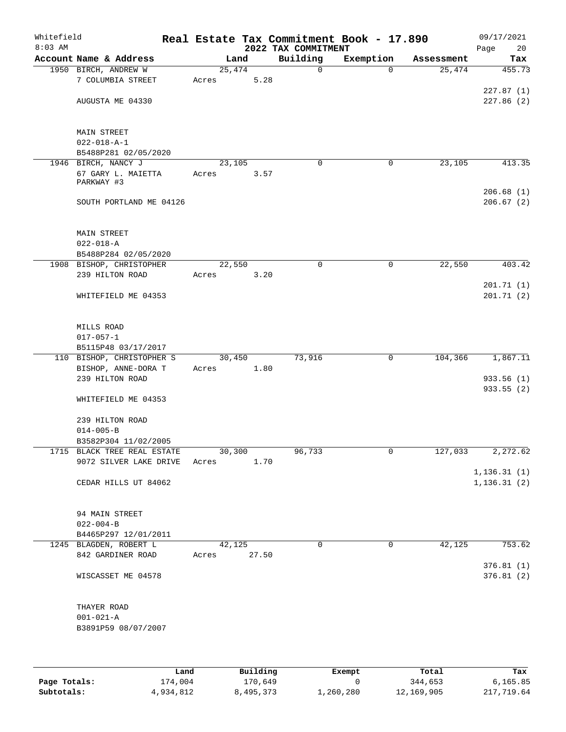| Whitefield<br>$8:03$ AM |                                                       |                 |        | 2022 TAX COMMITMENT | Real Estate Tax Commitment Book - 17.890 |            | 09/17/2021<br>20<br>Page     |
|-------------------------|-------------------------------------------------------|-----------------|--------|---------------------|------------------------------------------|------------|------------------------------|
|                         | Account Name & Address                                |                 | Land   | Building            | Exemption                                | Assessment | Tax                          |
|                         | 1950 BIRCH, ANDREW W<br>7 COLUMBIA STREET             | 25,474<br>Acres | 5.28   | 0                   | $\Omega$                                 | 25,474     | 455.73                       |
|                         | AUGUSTA ME 04330                                      |                 |        |                     |                                          |            | 227.87(1)<br>227.86(2)       |
|                         |                                                       |                 |        |                     |                                          |            |                              |
|                         | MAIN STREET                                           |                 |        |                     |                                          |            |                              |
|                         | $022 - 018 - A - 1$<br>B5488P281 02/05/2020           |                 |        |                     |                                          |            |                              |
|                         | 1946 BIRCH, NANCY J                                   | 23,105          |        | 0                   | $\mathbf 0$                              | 23,105     | 413.35                       |
|                         | 67 GARY L. MAIETTA<br>PARKWAY #3                      | Acres           | 3.57   |                     |                                          |            |                              |
|                         | SOUTH PORTLAND ME 04126                               |                 |        |                     |                                          |            | 206.68(1)<br>206.67(2)       |
|                         | MAIN STREET                                           |                 |        |                     |                                          |            |                              |
|                         | $022 - 018 - A$<br>B5488P284 02/05/2020               |                 |        |                     |                                          |            |                              |
|                         | 1908 BISHOP, CHRISTOPHER                              | 22,550          |        | 0                   | 0                                        | 22,550     | 403.42                       |
|                         | 239 HILTON ROAD                                       | Acres           | 3.20   |                     |                                          |            |                              |
|                         |                                                       |                 |        |                     |                                          |            | 201.71(1)                    |
|                         | WHITEFIELD ME 04353                                   |                 |        |                     |                                          |            | 201.71(2)                    |
|                         | MILLS ROAD<br>$017 - 057 - 1$                         |                 |        |                     |                                          |            |                              |
|                         | B5115P48 03/17/2017                                   |                 |        |                     |                                          |            |                              |
|                         | 110 BISHOP, CHRISTOPHER S                             |                 | 30,450 | 73,916              | 0                                        | 104,366    | 1,867.11                     |
|                         | BISHOP, ANNE-DORA T                                   | Acres           | 1.80   |                     |                                          |            |                              |
|                         | 239 HILTON ROAD                                       |                 |        |                     |                                          |            | 933.56 (1)                   |
|                         | WHITEFIELD ME 04353                                   |                 |        |                     |                                          |            | 933.55 (2)                   |
|                         | 239 HILTON ROAD                                       |                 |        |                     |                                          |            |                              |
|                         | $014 - 005 - B$                                       |                 |        |                     |                                          |            |                              |
|                         | B3582P304 11/02/2005                                  |                 |        |                     |                                          |            |                              |
|                         | 1715 BLACK TREE REAL ESTATE<br>9072 SILVER LAKE DRIVE | 30,300<br>Acres | 1.70   | 96,733              | 0                                        | 127,033    | 2,272.62                     |
|                         | CEDAR HILLS UT 84062                                  |                 |        |                     |                                          |            | 1, 136.31(1)<br>1, 136.31(2) |
|                         |                                                       |                 |        |                     |                                          |            |                              |
|                         | 94 MAIN STREET                                        |                 |        |                     |                                          |            |                              |
|                         | $022 - 004 - B$                                       |                 |        |                     |                                          |            |                              |
|                         | B4465P297 12/01/2011<br>1245 BLAGDEN, ROBERT L        |                 | 42,125 | 0                   | 0                                        | 42,125     | 753.62                       |
|                         | 842 GARDINER ROAD                                     | Acres           | 27.50  |                     |                                          |            | 376.81 (1)                   |
|                         | WISCASSET ME 04578                                    |                 |        |                     |                                          |            | 376.81(2)                    |
|                         | THAYER ROAD                                           |                 |        |                     |                                          |            |                              |
|                         | $001 - 021 - A$                                       |                 |        |                     |                                          |            |                              |
|                         | B3891P59 08/07/2007                                   |                 |        |                     |                                          |            |                              |
|                         |                                                       |                 |        |                     |                                          |            |                              |

|              | Land      | Building  | Exempt    | Total      | Tax        |
|--------------|-----------|-----------|-----------|------------|------------|
| Page Totals: | 174,004   | 170,649   |           | 344,653    | 6.165.85   |
| Subtotals:   | 4,934,812 | 8,495,373 | 1,260,280 | 12,169,905 | 217,719.64 |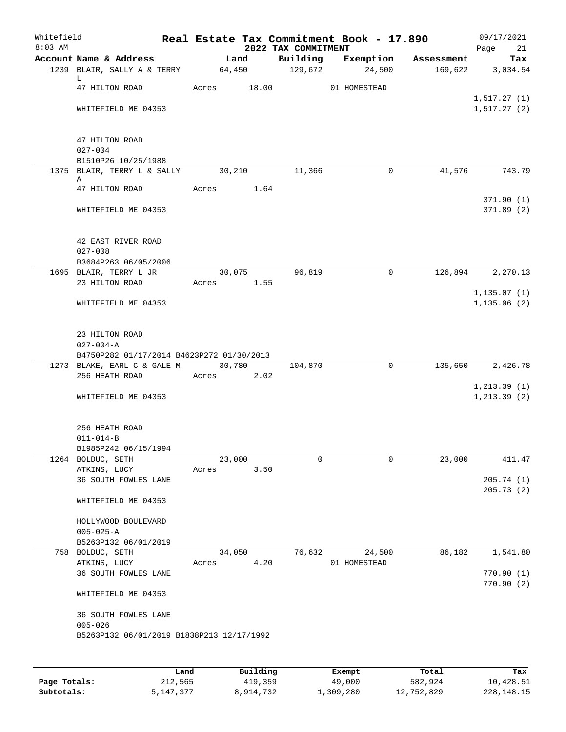| Whitefield<br>$8:03$ AM |                                                                                 |             |        | 2022 TAX COMMITMENT | Real Estate Tax Commitment Book - 17.890 |            | 09/17/2021<br>Page 21        |
|-------------------------|---------------------------------------------------------------------------------|-------------|--------|---------------------|------------------------------------------|------------|------------------------------|
|                         | Account Name & Address                                                          |             | Land   | Building            | Exemption                                | Assessment | Tax                          |
|                         | 1239 BLAIR, SALLY A & TERRY                                                     |             |        | 64,450 129,672      | 24,500                                   | 169,622    | 3,034.54                     |
|                         | L.<br>47 HILTON ROAD                                                            | Acres 18.00 |        |                     | 01 HOMESTEAD                             |            |                              |
|                         | WHITEFIELD ME 04353                                                             |             |        |                     |                                          |            | 1, 517.27(1)<br>1, 517.27(2) |
|                         | 47 HILTON ROAD<br>$027 - 004$                                                   |             |        |                     |                                          |            |                              |
|                         | B1510P26 10/25/1988                                                             |             |        |                     |                                          |            |                              |
|                         | 1375 BLAIR, TERRY L & SALLY 30,210<br>Α                                         |             |        | 11,366              | 0                                        | 41,576     | 743.79                       |
|                         | 47 HILTON ROAD                                                                  | Acres 1.64  |        |                     |                                          |            | 371.90(1)                    |
|                         | WHITEFIELD ME 04353                                                             |             |        |                     |                                          |            | 371.89(2)                    |
|                         | 42 EAST RIVER ROAD<br>$027 - 008$                                               |             |        |                     |                                          |            |                              |
|                         | B3684P263 06/05/2006<br>1695 BLAIR, TERRY L JR                                  |             | 30,075 | 96,819              | $\overline{0}$                           |            | 126,894 2,270.13             |
|                         | 23 HILTON ROAD                                                                  | Acres 1.55  |        |                     |                                          |            |                              |
|                         | WHITEFIELD ME 04353                                                             |             |        |                     |                                          |            | 1, 135.07(1)<br>1, 135.06(2) |
|                         | 23 HILTON ROAD<br>$027 - 004 - A$                                               |             |        |                     |                                          |            |                              |
|                         | B4750P282 01/17/2014 B4623P272 01/30/2013<br>1273 BLAKE, EARL C & GALE M 30,780 |             |        | 104,870             | $\mathbf 0$                              | 135,650    | 2,426.78                     |
|                         | 256 HEATH ROAD                                                                  | Acres 2.02  |        |                     |                                          |            |                              |
|                         | WHITEFIELD ME 04353                                                             |             |        |                     |                                          |            | 1, 213.39(1)<br>1, 213.39(2) |
|                         | 256 HEATH ROAD<br>$011 - 014 - B$<br>B1985P242 06/15/1994                       |             |        |                     |                                          |            |                              |
|                         | 1264 BOLDUC, SETH                                                               | 23,000      |        | 0                   | 0                                        | 23,000     | 411.47                       |
|                         | ATKINS, LUCY                                                                    | Acres       | 3.50   |                     |                                          |            |                              |
|                         | 36 SOUTH FOWLES LANE                                                            |             |        |                     |                                          |            | 205.74(1)<br>205.73(2)       |
|                         | WHITEFIELD ME 04353                                                             |             |        |                     |                                          |            |                              |
|                         | HOLLYWOOD BOULEVARD                                                             |             |        |                     |                                          |            |                              |
|                         | $005 - 025 - A$                                                                 |             |        |                     |                                          |            |                              |
|                         | B5263P132 06/01/2019<br>758 BOLDUC, SETH                                        | 34,050      |        | 76,632              | 24,500                                   | 86,182     | 1,541.80                     |
|                         | ATKINS, LUCY                                                                    | Acres       | 4.20   |                     | 01 HOMESTEAD                             |            |                              |
|                         | 36 SOUTH FOWLES LANE                                                            |             |        |                     |                                          |            | 770.90(1)<br>770.90(2)       |
|                         | WHITEFIELD ME 04353                                                             |             |        |                     |                                          |            |                              |
|                         | 36 SOUTH FOWLES LANE<br>$005 - 026$                                             |             |        |                     |                                          |            |                              |
|                         | B5263P132 06/01/2019 B1838P213 12/17/1992                                       |             |        |                     |                                          |            |                              |
|                         |                                                                                 |             |        |                     |                                          |            |                              |
|                         |                                                                                 |             |        |                     |                                          |            |                              |

|              | Land        | Building  | Exempt    | Total      | Tax          |
|--------------|-------------|-----------|-----------|------------|--------------|
| Page Totals: | 212,565     | 419,359   | 49,000    | 582,924    | 10,428.51    |
| Subtotals:   | 5, 147, 377 | 8,914,732 | 1,309,280 | 12,752,829 | 228, 148. 15 |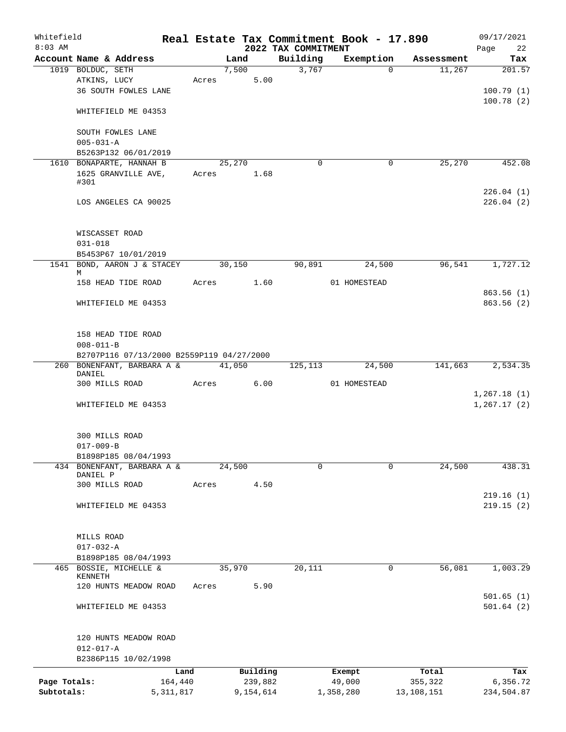| Whitefield   |                                           |             |       |        |           |                                 | Real Estate Tax Commitment Book - 17.890 |                      | 09/17/2021             |
|--------------|-------------------------------------------|-------------|-------|--------|-----------|---------------------------------|------------------------------------------|----------------------|------------------------|
| $8:03$ AM    | Account Name & Address                    |             |       | Land   |           | 2022 TAX COMMITMENT<br>Building | Exemption                                |                      | Page<br>22             |
|              | 1019 BOLDUC, SETH                         |             |       | 7,500  |           | 3,767                           | $\Omega$                                 | Assessment<br>11,267 | Tax<br>201.57          |
|              | ATKINS, LUCY                              |             | Acres |        | 5.00      |                                 |                                          |                      |                        |
|              | 36 SOUTH FOWLES LANE                      |             |       |        |           |                                 |                                          |                      | 100.79(1)              |
|              |                                           |             |       |        |           |                                 |                                          |                      | 100.78(2)              |
|              | WHITEFIELD ME 04353                       |             |       |        |           |                                 |                                          |                      |                        |
|              | SOUTH FOWLES LANE                         |             |       |        |           |                                 |                                          |                      |                        |
|              | $005 - 031 - A$                           |             |       |        |           |                                 |                                          |                      |                        |
|              | B5263P132 06/01/2019                      |             |       |        |           |                                 |                                          |                      |                        |
|              | 1610 BONAPARTE, HANNAH B                  |             |       | 25,270 |           | $\Omega$                        | 0                                        | 25,270               | 452.08                 |
|              | 1625 GRANVILLE AVE,                       |             | Acres |        | 1.68      |                                 |                                          |                      |                        |
|              | #301                                      |             |       |        |           |                                 |                                          |                      |                        |
|              | LOS ANGELES CA 90025                      |             |       |        |           |                                 |                                          |                      | 226.04(1)<br>226.04(2) |
|              |                                           |             |       |        |           |                                 |                                          |                      |                        |
|              | WISCASSET ROAD                            |             |       |        |           |                                 |                                          |                      |                        |
|              | $031 - 018$                               |             |       |        |           |                                 |                                          |                      |                        |
|              | B5453P67 10/01/2019                       |             |       |        |           |                                 |                                          |                      |                        |
|              | 1541 BOND, AARON J & STACEY               |             |       | 30,150 |           | 90,891                          | 24,500                                   | 96,541               | 1,727.12               |
|              | M                                         |             |       |        |           |                                 |                                          |                      |                        |
|              | 158 HEAD TIDE ROAD                        |             | Acres |        | 1.60      |                                 | 01 HOMESTEAD                             |                      |                        |
|              |                                           |             |       |        |           |                                 |                                          |                      | 863.56(1)              |
|              | WHITEFIELD ME 04353                       |             |       |        |           |                                 |                                          |                      | 863.56(2)              |
|              | 158 HEAD TIDE ROAD                        |             |       |        |           |                                 |                                          |                      |                        |
|              | $008 - 011 - B$                           |             |       |        |           |                                 |                                          |                      |                        |
|              | B2707P116 07/13/2000 B2559P119 04/27/2000 |             |       |        |           |                                 |                                          |                      |                        |
|              | 260 BONENFANT, BARBARA A &                |             |       | 41,050 |           | 125,113                         | 24,500                                   | 141,663              | 2,534.35               |
|              | DANIEL                                    |             |       |        |           |                                 |                                          |                      |                        |
|              | 300 MILLS ROAD                            |             | Acres |        | 6.00      |                                 | 01 HOMESTEAD                             |                      |                        |
|              |                                           |             |       |        |           |                                 |                                          |                      | 1,267.18(1)            |
|              | WHITEFIELD ME 04353                       |             |       |        |           |                                 |                                          |                      | 1, 267.17(2)           |
|              | 300 MILLS ROAD                            |             |       |        |           |                                 |                                          |                      |                        |
|              | $017 - 009 - B$                           |             |       |        |           |                                 |                                          |                      |                        |
|              | B1898P185 08/04/1993                      |             |       |        |           |                                 |                                          |                      |                        |
|              | 434 BONENFANT, BARBARA A &                |             |       | 24,500 |           | $\mathbf 0$                     | $\mathbf 0$                              | 24,500               | 438.31                 |
|              | DANIEL P                                  |             |       |        |           |                                 |                                          |                      |                        |
|              | 300 MILLS ROAD                            |             | Acres |        | 4.50      |                                 |                                          |                      |                        |
|              |                                           |             |       |        |           |                                 |                                          |                      | 219.16(1)              |
|              | WHITEFIELD ME 04353                       |             |       |        |           |                                 |                                          |                      | 219.15(2)              |
|              | MILLS ROAD                                |             |       |        |           |                                 |                                          |                      |                        |
|              | $017 - 032 - A$                           |             |       |        |           |                                 |                                          |                      |                        |
|              | B1898P185 08/04/1993                      |             |       |        |           |                                 |                                          |                      |                        |
|              | 465 BOSSIE, MICHELLE &                    |             |       | 35,970 |           | 20,111                          | 0                                        | 56,081               | 1,003.29               |
|              | KENNETH                                   |             |       |        |           |                                 |                                          |                      |                        |
|              | 120 HUNTS MEADOW ROAD                     |             | Acres |        | 5.90      |                                 |                                          |                      |                        |
|              | WHITEFIELD ME 04353                       |             |       |        |           |                                 |                                          |                      | 501.65(1)<br>501.64(2) |
|              |                                           |             |       |        |           |                                 |                                          |                      |                        |
|              | 120 HUNTS MEADOW ROAD                     |             |       |        |           |                                 |                                          |                      |                        |
|              | $012 - 017 - A$                           |             |       |        |           |                                 |                                          |                      |                        |
|              | B2386P115 10/02/1998                      |             |       |        |           |                                 |                                          |                      |                        |
|              |                                           | Land        |       |        | Building  |                                 | Exempt                                   | Total                | Tax                    |
| Page Totals: |                                           | 164,440     |       |        | 239,882   |                                 | 49,000                                   | 355,322              | 6,356.72               |
| Subtotals:   |                                           | 5, 311, 817 |       |        | 9,154,614 |                                 | 1,358,280                                | 13,108,151           | 234,504.87             |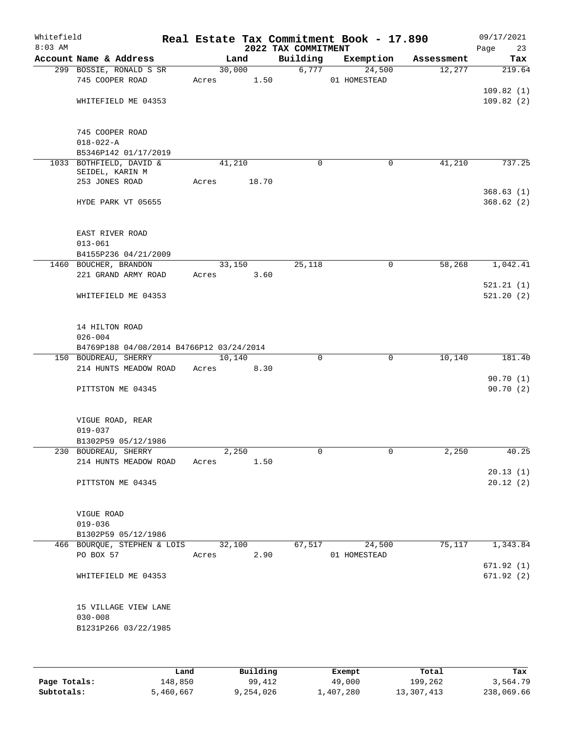| Whitefield<br>$8:03$ AM |                                                             |       |                | 2022 TAX COMMITMENT | Real Estate Tax Commitment Book - 17.890 |            | 09/17/2021<br>Page<br>23 |
|-------------------------|-------------------------------------------------------------|-------|----------------|---------------------|------------------------------------------|------------|--------------------------|
|                         | Account Name & Address                                      |       | Land           | Building            | Exemption                                | Assessment | Tax                      |
|                         | 299 BOSSIE, RONALD S SR<br>745 COOPER ROAD                  | Acres | 30,000<br>1.50 | 6,777               | 24,500<br>01 HOMESTEAD                   | 12,277     | 219.64                   |
|                         | WHITEFIELD ME 04353                                         |       |                |                     |                                          |            | 109.82(1)<br>109.82(2)   |
|                         | 745 COOPER ROAD<br>$018 - 022 - A$                          |       |                |                     |                                          |            |                          |
|                         | B5346P142 01/17/2019                                        |       |                |                     |                                          |            |                          |
|                         | 1033 BOTHFIELD, DAVID &<br>SEIDEL, KARIN M                  |       | 41,210         | $\mathbf 0$         | $\mathbf 0$                              | 41,210     | 737.25                   |
|                         | 253 JONES ROAD                                              | Acres | 18.70          |                     |                                          |            |                          |
|                         | HYDE PARK VT 05655                                          |       |                |                     |                                          |            | 368.63(1)<br>368.62(2)   |
|                         | EAST RIVER ROAD<br>$013 - 061$                              |       |                |                     |                                          |            |                          |
|                         | B4155P236 04/21/2009                                        |       |                |                     |                                          |            |                          |
|                         | 1460 BOUCHER, BRANDON                                       |       | 33,150         | 25,118              | $\mathsf{O}$                             | 58,268     | 1,042.41                 |
|                         | 221 GRAND ARMY ROAD                                         | Acres | 3.60           |                     |                                          |            | 521.21(1)                |
|                         | WHITEFIELD ME 04353                                         |       |                |                     |                                          |            | 521.20(2)                |
|                         | 14 HILTON ROAD<br>$026 - 004$                               |       |                |                     |                                          |            |                          |
|                         | B4769P188 04/08/2014 B4766P12 03/24/2014                    |       |                |                     |                                          |            |                          |
|                         | 150 BOUDREAU, SHERRY<br>214 HUNTS MEADOW ROAD               | Acres | 10,140<br>8.30 | $\mathbf 0$         | $\mathbf 0$                              | 10,140     | 181.40                   |
|                         |                                                             |       |                |                     |                                          |            | 90.70(1)                 |
|                         | PITTSTON ME 04345                                           |       |                |                     |                                          |            | 90.70(2)                 |
|                         | VIGUE ROAD, REAR<br>$019 - 037$                             |       |                |                     |                                          |            |                          |
|                         | B1302P59 05/12/1986                                         |       |                |                     |                                          |            |                          |
|                         | 230 BOUDREAU, SHERRY<br>214 HUNTS MEADOW ROAD               | Acres | 2,250<br>1.50  | 0                   | $\mathbf 0$                              | 2,250      | 40.25                    |
|                         | PITTSTON ME 04345                                           |       |                |                     |                                          |            | 20.13(1)<br>20.12(2)     |
|                         | VIGUE ROAD<br>$019 - 036$                                   |       |                |                     |                                          |            |                          |
|                         | B1302P59 05/12/1986                                         |       |                |                     |                                          |            |                          |
|                         | 466 BOURQUE, STEPHEN & LOIS<br>PO BOX 57                    | Acres | 32,100<br>2.90 | 67,517              | 24,500<br>01 HOMESTEAD                   | 75,117     | 1,343.84                 |
|                         | WHITEFIELD ME 04353                                         |       |                |                     |                                          |            | 671.92(1)<br>671.92(2)   |
|                         | 15 VILLAGE VIEW LANE<br>$030 - 008$<br>B1231P266 03/22/1985 |       |                |                     |                                          |            |                          |
|                         |                                                             |       |                |                     |                                          |            |                          |

|              | Land      | Building  | Exempt    | Total      | Tax        |
|--------------|-----------|-----------|-----------|------------|------------|
| Page Totals: | 148,850   | 99,412    | 49,000    | 199,262    | 3,564.79   |
| Subtotals:   | 5,460,667 | 9,254,026 | ⊥,407,280 | 13,307,413 | 238,069.66 |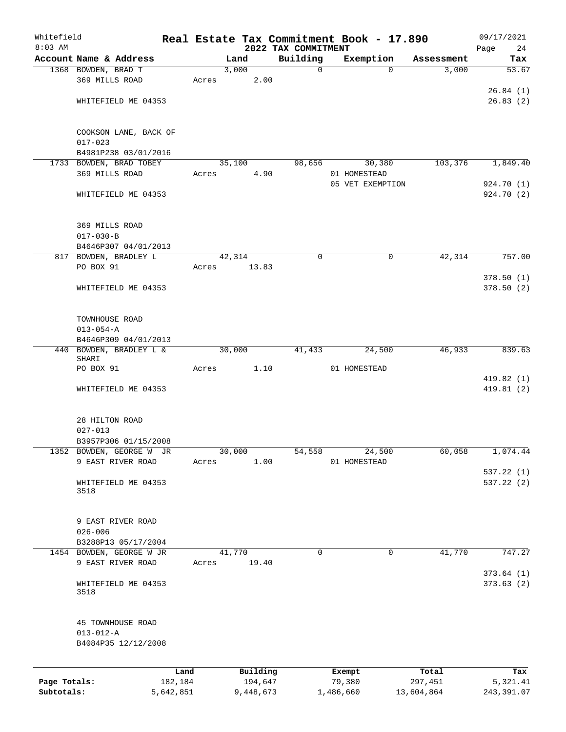| Whitefield<br>$8:03$ AM    |                                                             |                      |                 |                      |                                 | Real Estate Tax Commitment Book - 17.890 |                       | 09/17/2021              |
|----------------------------|-------------------------------------------------------------|----------------------|-----------------|----------------------|---------------------------------|------------------------------------------|-----------------------|-------------------------|
|                            | Account Name & Address                                      |                      | Land            |                      | 2022 TAX COMMITMENT<br>Building | Exemption                                | Assessment            | Page<br>24<br>Tax       |
|                            | 1368 BOWDEN, BRAD T                                         |                      | 3,000           |                      | $\mathbf 0$                     | $\Omega$                                 | 3,000                 | 53.67                   |
|                            | 369 MILLS ROAD                                              |                      | Acres           | 2.00                 |                                 |                                          |                       |                         |
|                            |                                                             |                      |                 |                      |                                 |                                          |                       | 26.84(1)                |
|                            | WHITEFIELD ME 04353                                         |                      |                 |                      |                                 |                                          |                       | 26.83(2)                |
|                            | COOKSON LANE, BACK OF                                       |                      |                 |                      |                                 |                                          |                       |                         |
|                            | $017 - 023$                                                 |                      |                 |                      |                                 |                                          |                       |                         |
|                            | B4981P238 03/01/2016                                        |                      |                 |                      |                                 |                                          |                       |                         |
|                            | 1733 BOWDEN, BRAD TOBEY<br>369 MILLS ROAD                   |                      | 35,100<br>Acres | 4.90                 | 98,656                          | 30,380<br>01 HOMESTEAD                   | 103,376               | 1,849.40                |
|                            |                                                             |                      |                 |                      |                                 | 05 VET EXEMPTION                         |                       | 924.70 (1)              |
|                            | WHITEFIELD ME 04353                                         |                      |                 |                      |                                 |                                          |                       | 924.70 (2)              |
|                            | 369 MILLS ROAD                                              |                      |                 |                      |                                 |                                          |                       |                         |
|                            | $017 - 030 - B$                                             |                      |                 |                      |                                 |                                          |                       |                         |
|                            | B4646P307 04/01/2013                                        |                      |                 |                      |                                 |                                          |                       |                         |
|                            | 817 BOWDEN, BRADLEY L                                       |                      | 42,314          |                      | $\mathbf 0$                     | $\mathbf 0$                              | 42,314                | 757.00                  |
|                            | PO BOX 91                                                   |                      | Acres           | 13.83                |                                 |                                          |                       |                         |
|                            | WHITEFIELD ME 04353                                         |                      |                 |                      |                                 |                                          |                       | 378.50(1)<br>378.50(2)  |
|                            | TOWNHOUSE ROAD                                              |                      |                 |                      |                                 |                                          |                       |                         |
|                            | $013 - 054 - A$                                             |                      |                 |                      |                                 |                                          |                       |                         |
|                            | B4646P309 04/01/2013                                        |                      |                 |                      |                                 |                                          |                       |                         |
|                            | 440 BOWDEN, BRADLEY L &<br>SHARI                            |                      | 30,000          |                      | 41,433                          | 24,500                                   | 46,933                | 839.63                  |
|                            | PO BOX 91                                                   |                      | Acres           | 1.10                 |                                 | 01 HOMESTEAD                             |                       |                         |
|                            | WHITEFIELD ME 04353                                         |                      |                 |                      |                                 |                                          |                       | 419.82(1)<br>419.81(2)  |
|                            | 28 HILTON ROAD                                              |                      |                 |                      |                                 |                                          |                       |                         |
|                            | $027 - 013$                                                 |                      |                 |                      |                                 |                                          |                       |                         |
|                            | B3957P306 01/15/2008                                        |                      |                 |                      |                                 |                                          |                       |                         |
|                            | 1352 BOWDEN, GEORGE W JR                                    |                      | 30,000          |                      | 54,558                          | 24,500                                   | 60,058                | 1,074.44                |
|                            | 9 EAST RIVER ROAD                                           |                      | Acres           | 1.00                 |                                 | 01 HOMESTEAD                             |                       | 537.22(1)               |
|                            | WHITEFIELD ME 04353<br>3518                                 |                      |                 |                      |                                 |                                          |                       | 537.22 (2)              |
|                            |                                                             |                      |                 |                      |                                 |                                          |                       |                         |
|                            | 9 EAST RIVER ROAD<br>$026 - 006$                            |                      |                 |                      |                                 |                                          |                       |                         |
|                            | B3288P13 05/17/2004                                         |                      |                 |                      |                                 |                                          |                       |                         |
|                            | 1454 BOWDEN, GEORGE W JR                                    |                      | 41,770          |                      | $\mathbf 0$                     | $\mathbf 0$                              | 41,770                | 747.27                  |
|                            | 9 EAST RIVER ROAD                                           |                      | Acres           | 19.40                |                                 |                                          |                       |                         |
|                            | WHITEFIELD ME 04353<br>3518                                 |                      |                 |                      |                                 |                                          |                       | 373.64(1)<br>373.63(2)  |
|                            | 45 TOWNHOUSE ROAD<br>$013 - 012 - A$<br>B4084P35 12/12/2008 |                      |                 |                      |                                 |                                          |                       |                         |
|                            |                                                             |                      |                 |                      |                                 |                                          |                       |                         |
|                            |                                                             | Land                 |                 | Building             |                                 | Exempt                                   | Total                 | Tax                     |
| Page Totals:<br>Subtotals: |                                                             | 182,184<br>5,642,851 |                 | 194,647<br>9,448,673 |                                 | 79,380<br>1,486,660                      | 297,451<br>13,604,864 | 5,321.41<br>243, 391.07 |
|                            |                                                             |                      |                 |                      |                                 |                                          |                       |                         |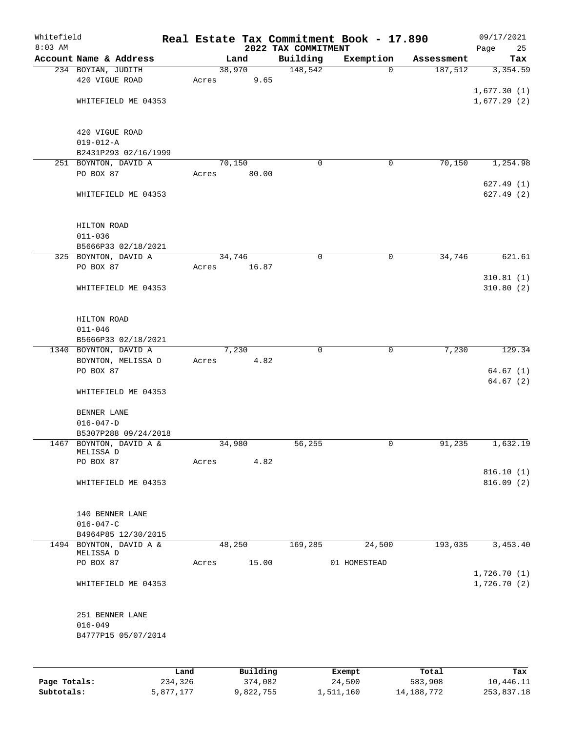| Whitefield<br>$8:03$ AM |                                                 |       |        |       | 2022 TAX COMMITMENT | Real Estate Tax Commitment Book - 17.890 |            | 09/17/2021<br>Page<br>25 |
|-------------------------|-------------------------------------------------|-------|--------|-------|---------------------|------------------------------------------|------------|--------------------------|
|                         | Account Name & Address                          |       | Land   |       | Building            | Exemption                                | Assessment | Tax                      |
|                         | 234 BOYIAN, JUDITH                              |       | 38,970 |       | 148,542             | $\Omega$                                 | 187,512    | 3,354.59                 |
|                         | 420 VIGUE ROAD                                  | Acres |        | 9.65  |                     |                                          |            |                          |
|                         |                                                 |       |        |       |                     |                                          |            | 1,677.30(1)              |
|                         | WHITEFIELD ME 04353                             |       |        |       |                     |                                          |            | 1,677.29(2)              |
|                         |                                                 |       |        |       |                     |                                          |            |                          |
|                         | 420 VIGUE ROAD                                  |       |        |       |                     |                                          |            |                          |
|                         | $019 - 012 - A$                                 |       |        |       |                     |                                          |            |                          |
|                         | B2431P293 02/16/1999                            |       |        |       |                     |                                          |            |                          |
|                         | 251 BOYNTON, DAVID A                            |       | 70,150 |       | $\mathbf 0$         | 0                                        | 70,150     | 1,254.98                 |
|                         | PO BOX 87                                       | Acres |        | 80.00 |                     |                                          |            |                          |
|                         |                                                 |       |        |       |                     |                                          |            | 627.49(1)                |
|                         | WHITEFIELD ME 04353                             |       |        |       |                     |                                          |            | 627.49(2)                |
|                         |                                                 |       |        |       |                     |                                          |            |                          |
|                         | HILTON ROAD                                     |       |        |       |                     |                                          |            |                          |
|                         | $011 - 036$                                     |       |        |       |                     |                                          |            |                          |
|                         | B5666P33 02/18/2021                             |       |        |       |                     |                                          |            |                          |
|                         | 325 BOYNTON, DAVID A                            |       | 34,746 |       | $\mathbf 0$         | $\mathbf 0$                              | 34,746     | 621.61                   |
|                         | PO BOX 87                                       | Acres |        | 16.87 |                     |                                          |            |                          |
|                         |                                                 |       |        |       |                     |                                          |            | 310.81(1)                |
|                         | WHITEFIELD ME 04353                             |       |        |       |                     |                                          |            | 310.80(2)                |
|                         |                                                 |       |        |       |                     |                                          |            |                          |
|                         | HILTON ROAD                                     |       |        |       |                     |                                          |            |                          |
|                         | $011 - 046$                                     |       |        |       |                     |                                          |            |                          |
|                         | B5666P33 02/18/2021                             |       |        |       |                     |                                          |            | 129.34                   |
|                         | 1340 BOYNTON, DAVID A<br>BOYNTON, MELISSA D     | Acres | 7,230  | 4.82  | $\mathbf 0$         | $\mathbf 0$                              | 7,230      |                          |
|                         | PO BOX 87                                       |       |        |       |                     |                                          |            | 64.67(1)                 |
|                         |                                                 |       |        |       |                     |                                          |            | 64.67(2)                 |
|                         | WHITEFIELD ME 04353                             |       |        |       |                     |                                          |            |                          |
|                         |                                                 |       |        |       |                     |                                          |            |                          |
|                         | BENNER LANE                                     |       |        |       |                     |                                          |            |                          |
|                         | $016 - 047 - D$                                 |       |        |       |                     |                                          |            |                          |
|                         | B5307P288 09/24/2018<br>1467 BOYNTON, DAVID A & |       | 34,980 |       | 56,255              | 0                                        | 91,235     | 1,632.19                 |
|                         | MELISSA D                                       |       |        |       |                     |                                          |            |                          |
|                         | PO BOX 87                                       | Acres |        | 4.82  |                     |                                          |            |                          |
|                         |                                                 |       |        |       |                     |                                          |            | 816.10(1)                |
|                         | WHITEFIELD ME 04353                             |       |        |       |                     |                                          |            | 816.09(2)                |
|                         |                                                 |       |        |       |                     |                                          |            |                          |
|                         | 140 BENNER LANE                                 |       |        |       |                     |                                          |            |                          |
|                         | $016 - 047 - C$                                 |       |        |       |                     |                                          |            |                          |
|                         | B4964P85 12/30/2015                             |       |        |       |                     |                                          |            |                          |
|                         | 1494 BOYNTON, DAVID A &                         |       | 48,250 |       | 169,285             | 24,500                                   | 193,035    | 3,453.40                 |
|                         | MELISSA D<br>PO BOX 87                          | Acres |        | 15.00 |                     | 01 HOMESTEAD                             |            |                          |
|                         |                                                 |       |        |       |                     |                                          |            | 1,726.70(1)              |
|                         | WHITEFIELD ME 04353                             |       |        |       |                     |                                          |            | 1,726.70(2)              |
|                         |                                                 |       |        |       |                     |                                          |            |                          |
|                         | 251 BENNER LANE                                 |       |        |       |                     |                                          |            |                          |
|                         | $016 - 049$                                     |       |        |       |                     |                                          |            |                          |
|                         | B4777P15 05/07/2014                             |       |        |       |                     |                                          |            |                          |
|                         |                                                 |       |        |       |                     |                                          |            |                          |
|                         |                                                 |       |        |       |                     |                                          |            |                          |
|                         |                                                 |       |        |       |                     |                                          |            |                          |

|              | Land      | Building  | Exempt    | Total      | Tax        |
|--------------|-----------|-----------|-----------|------------|------------|
| Page Totals: | 234,326   | 374,082   | 24,500    | 583,908    | 10,446.11  |
| Subtotals:   | 5,877,177 | 9,822,755 | 1,511,160 | 14,188,772 | 253,837.18 |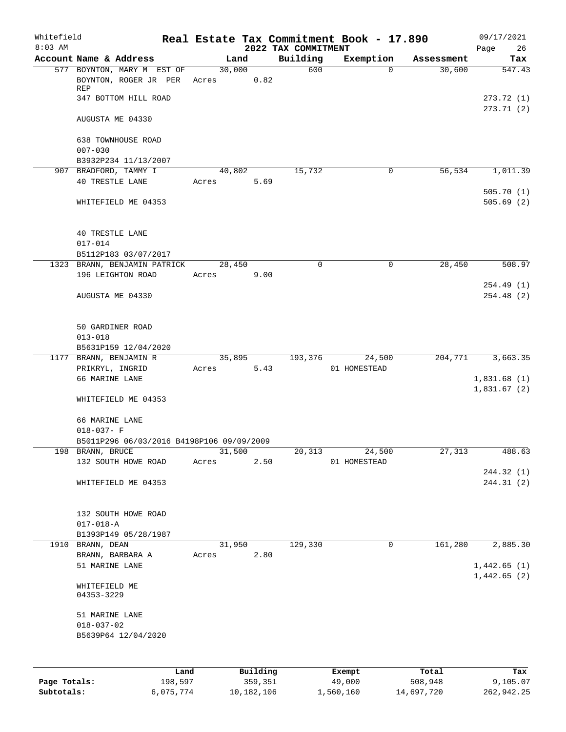| Whitefield<br>$8:03$ AM |                                                     |                 |          | 2022 TAX COMMITMENT | Real Estate Tax Commitment Book - 17.890 |            | 09/17/2021<br>26<br>Page   |
|-------------------------|-----------------------------------------------------|-----------------|----------|---------------------|------------------------------------------|------------|----------------------------|
|                         | Account Name & Address                              | Land            |          | Building            | Exemption                                | Assessment | Tax                        |
|                         | 577 BOYNTON, MARY M EST OF<br>BOYNTON, ROGER JR PER | 30,000<br>Acres | 0.82     | 600                 | $\Omega$                                 | 30,600     | 547.43                     |
|                         | REP<br>347 BOTTOM HILL ROAD                         |                 |          |                     |                                          |            | 273.72 (1)                 |
|                         | AUGUSTA ME 04330                                    |                 |          |                     |                                          |            | 273.71(2)                  |
|                         | 638 TOWNHOUSE ROAD<br>$007 - 030$                   |                 |          |                     |                                          |            |                            |
|                         | B3932P234 11/13/2007                                |                 |          |                     |                                          |            |                            |
|                         | 907 BRADFORD, TAMMY I                               | 40,802          |          | 15,732              | 0                                        | 56,534     | 1,011.39                   |
|                         | <b>40 TRESTLE LANE</b>                              | Acres           | 5.69     |                     |                                          |            | 505.70(1)                  |
|                         | WHITEFIELD ME 04353                                 |                 |          |                     |                                          |            | 505.69(2)                  |
|                         | <b>40 TRESTLE LANE</b><br>$017 - 014$               |                 |          |                     |                                          |            |                            |
|                         | B5112P183 03/07/2017                                |                 |          |                     |                                          |            |                            |
|                         | 1323 BRANN, BENJAMIN PATRICK                        | 28,450          |          | 0                   | 0                                        | 28,450     | 508.97                     |
|                         | 196 LEIGHTON ROAD                                   | Acres           | 9.00     |                     |                                          |            |                            |
|                         |                                                     |                 |          |                     |                                          |            | 254.49(1)                  |
|                         | AUGUSTA ME 04330                                    |                 |          |                     |                                          |            | 254.48 (2)                 |
|                         | 50 GARDINER ROAD                                    |                 |          |                     |                                          |            |                            |
|                         | $013 - 018$                                         |                 |          |                     |                                          |            |                            |
|                         | B5631P159 12/04/2020                                |                 |          |                     |                                          |            |                            |
|                         | 1177 BRANN, BENJAMIN R                              | 35,895          |          | 193,376             | 24,500                                   | 204,771    | 3,663.35                   |
|                         | PRIKRYL, INGRID                                     | Acres           | 5.43     |                     | 01 HOMESTEAD                             |            |                            |
|                         | 66 MARINE LANE                                      |                 |          |                     |                                          |            | 1,831.68(1)<br>1,831.67(2) |
|                         | WHITEFIELD ME 04353                                 |                 |          |                     |                                          |            |                            |
|                         | 66 MARINE LANE<br>$018 - 037 - F$                   |                 |          |                     |                                          |            |                            |
|                         | B5011P296 06/03/2016 B4198P106 09/09/2009           |                 |          |                     |                                          |            |                            |
|                         | 198 BRANN, BRUCE                                    | 31,500          |          | 20, 313             | 24,500                                   | 27,313     | 488.63                     |
|                         | 132 SOUTH HOWE ROAD                                 | Acres           | 2.50     |                     | 01 HOMESTEAD                             |            |                            |
|                         |                                                     |                 |          |                     |                                          |            | 244.32 (1)                 |
|                         | WHITEFIELD ME 04353                                 |                 |          |                     |                                          |            | 244.31 (2)                 |
|                         | 132 SOUTH HOWE ROAD                                 |                 |          |                     |                                          |            |                            |
|                         | $017 - 018 - A$                                     |                 |          |                     |                                          |            |                            |
|                         | B1393P149 05/28/1987                                |                 |          |                     |                                          |            |                            |
|                         | 1910 BRANN, DEAN                                    | 31,950          |          | 129,330             | 0                                        | 161,280    | 2,885.30                   |
|                         | BRANN, BARBARA A                                    | Acres           | 2.80     |                     |                                          |            |                            |
|                         | 51 MARINE LANE                                      |                 |          |                     |                                          |            | 1,442.65(1)                |
|                         | WHITEFIELD ME<br>04353-3229                         |                 |          |                     |                                          |            | 1,442.65(2)                |
|                         | 51 MARINE LANE                                      |                 |          |                     |                                          |            |                            |
|                         | $018 - 037 - 02$<br>B5639P64 12/04/2020             |                 |          |                     |                                          |            |                            |
|                         |                                                     |                 |          |                     |                                          |            |                            |
|                         |                                                     |                 |          |                     |                                          |            |                            |
|                         | Land                                                |                 | Building |                     | Exempt                                   | Total      | Tax                        |
| Page Totals:            | 198,597                                             |                 | 359,351  |                     | 49,000                                   | 508,948    | 9,105.07                   |

**Subtotals:** 6,075,774 10,182,106 1,560,160 14,697,720 262,942.25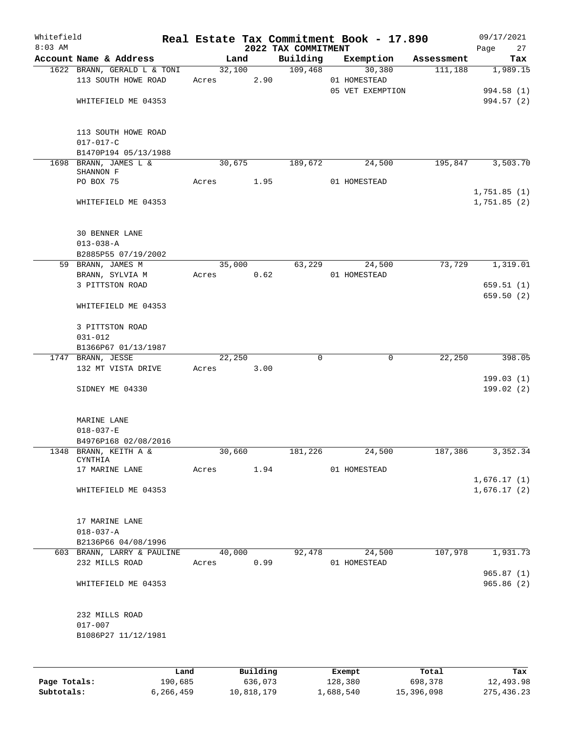| Whitefield<br>$8:03$ AM |                                                    |       |        |          | 2022 TAX COMMITMENT | Real Estate Tax Commitment Book - 17.890 |            | 09/17/2021<br>27<br>Page   |
|-------------------------|----------------------------------------------------|-------|--------|----------|---------------------|------------------------------------------|------------|----------------------------|
|                         | Account Name & Address                             |       | Land   |          | Building            | Exemption                                | Assessment | Tax                        |
|                         | 1622 BRANN, GERALD L & TONI<br>113 SOUTH HOWE ROAD | Acres | 32,100 | 2.90     | 109,468             | 30,380<br>01 HOMESTEAD                   | 111,188    | 1,989.15                   |
|                         |                                                    |       |        |          |                     | 05 VET EXEMPTION                         |            | 994.58 (1)                 |
|                         | WHITEFIELD ME 04353                                |       |        |          |                     |                                          |            | 994.57 (2)                 |
|                         | 113 SOUTH HOWE ROAD                                |       |        |          |                     |                                          |            |                            |
|                         | $017 - 017 - C$<br>B1470P194 05/13/1988            |       |        |          |                     |                                          |            |                            |
|                         | 1698 BRANN, JAMES L &                              |       | 30,675 |          | 189,672             | 24,500                                   | 195,847    | 3,503.70                   |
|                         | SHANNON F                                          |       |        |          |                     |                                          |            |                            |
|                         | PO BOX 75                                          | Acres |        | 1.95     |                     | 01 HOMESTEAD                             |            | 1,751.85(1)                |
|                         | WHITEFIELD ME 04353                                |       |        |          |                     |                                          |            | 1,751.85(2)                |
|                         | <b>30 BENNER LANE</b>                              |       |        |          |                     |                                          |            |                            |
|                         | $013 - 038 - A$                                    |       |        |          |                     |                                          |            |                            |
|                         | B2885P55 07/19/2002                                |       |        |          |                     |                                          |            |                            |
|                         | 59 BRANN, JAMES M<br>BRANN, SYLVIA M               | Acres | 35,000 | 0.62     | 63,229              | 24,500<br>01 HOMESTEAD                   | 73,729     | 1,319.01                   |
|                         | 3 PITTSTON ROAD                                    |       |        |          |                     |                                          |            | 659.51(1)                  |
|                         |                                                    |       |        |          |                     |                                          |            | 659.50 (2)                 |
|                         | WHITEFIELD ME 04353                                |       |        |          |                     |                                          |            |                            |
|                         | 3 PITTSTON ROAD                                    |       |        |          |                     |                                          |            |                            |
|                         | $031 - 012$                                        |       |        |          |                     |                                          |            |                            |
|                         | B1366P67 01/13/1987<br>1747 BRANN, JESSE           |       | 22,250 |          | 0                   | $\mathbf 0$                              | 22,250     | 398.05                     |
|                         | 132 MT VISTA DRIVE                                 | Acres |        | 3.00     |                     |                                          |            |                            |
|                         |                                                    |       |        |          |                     |                                          |            | 199.03(1)                  |
|                         | SIDNEY ME 04330                                    |       |        |          |                     |                                          |            | 199.02(2)                  |
|                         | MARINE LANE                                        |       |        |          |                     |                                          |            |                            |
|                         | $018 - 037 - E$                                    |       |        |          |                     |                                          |            |                            |
|                         | B4976P168 02/08/2016                               |       |        |          | 181,226             |                                          |            |                            |
|                         | 1348 BRANN, KEITH A &<br>CYNTHIA                   |       | 30,660 |          |                     | 24,500                                   | 187,386    | 3,352.34                   |
|                         | 17 MARINE LANE                                     | Acres |        | 1.94     |                     | 01 HOMESTEAD                             |            |                            |
|                         | WHITEFIELD ME 04353                                |       |        |          |                     |                                          |            | 1,676.17(1)<br>1,676.17(2) |
|                         |                                                    |       |        |          |                     |                                          |            |                            |
|                         | 17 MARINE LANE                                     |       |        |          |                     |                                          |            |                            |
|                         | $018 - 037 - A$<br>B2136P66 04/08/1996             |       |        |          |                     |                                          |            |                            |
|                         | 603 BRANN, LARRY & PAULINE                         |       | 40,000 |          | 92,478              | 24,500                                   | 107,978    | 1,931.73                   |
|                         | 232 MILLS ROAD                                     | Acres |        | 0.99     |                     | 01 HOMESTEAD                             |            |                            |
|                         |                                                    |       |        |          |                     |                                          |            | 965.87(1)                  |
|                         | WHITEFIELD ME 04353                                |       |        |          |                     |                                          |            | 965.86(2)                  |
|                         | 232 MILLS ROAD                                     |       |        |          |                     |                                          |            |                            |
|                         | $017 - 007$                                        |       |        |          |                     |                                          |            |                            |
|                         | B1086P27 11/12/1981                                |       |        |          |                     |                                          |            |                            |
|                         |                                                    |       |        |          |                     |                                          |            |                            |
|                         | Land                                               |       |        | Building |                     | Exempt                                   | Total      | Tax                        |

|              | Land      | Building   | Exempt    | Total      | Tax          |
|--------------|-----------|------------|-----------|------------|--------------|
| Page Totals: | 190,685   | 636,073    | 128,380   | 698,378    | 12,493.98    |
| Subtotals:   | 6,266,459 | 10,818,179 | 1,688,540 | 15,396,098 | 275, 436, 23 |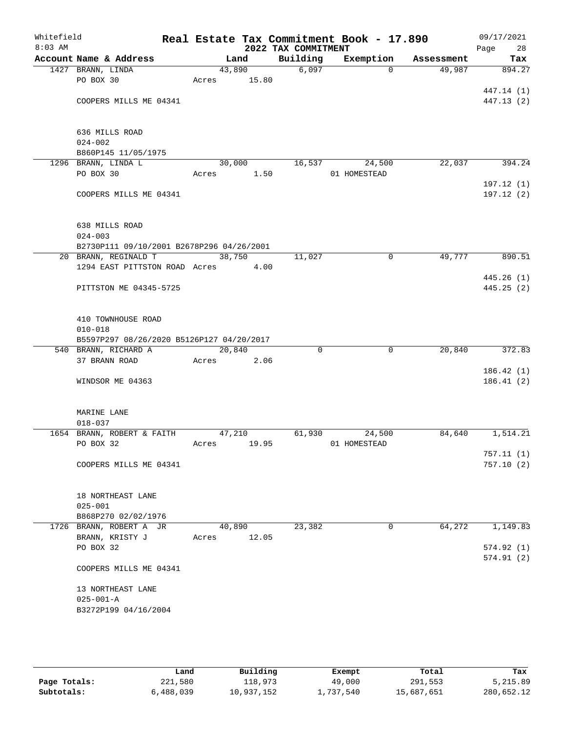| Whitefield<br>$8:03$ AM |                                           |        |        | 2022 TAX COMMITMENT | Real Estate Tax Commitment Book - 17.890 |            | 09/17/2021<br>Page<br>28 |
|-------------------------|-------------------------------------------|--------|--------|---------------------|------------------------------------------|------------|--------------------------|
|                         | Account Name & Address                    |        | Land   | Building            | Exemption                                | Assessment | Tax                      |
|                         | 1427 BRANN, LINDA                         | 43,890 |        | 6,097               | $\Omega$                                 | 49,987     | 894.27                   |
|                         | PO BOX 30                                 | Acres  | 15.80  |                     |                                          |            |                          |
|                         |                                           |        |        |                     |                                          |            | 447.14 (1)               |
|                         | COOPERS MILLS ME 04341                    |        |        |                     |                                          |            | 447.13 (2)               |
|                         |                                           |        |        |                     |                                          |            |                          |
|                         |                                           |        |        |                     |                                          |            |                          |
|                         | 636 MILLS ROAD                            |        |        |                     |                                          |            |                          |
|                         | $024 - 002$<br>B860P145 11/05/1975        |        |        |                     |                                          |            |                          |
|                         | 1296 BRANN, LINDA L                       | 30,000 |        |                     | 16,537<br>24,500                         | 22,037     | 394.24                   |
|                         | PO BOX 30                                 | Acres  | 1.50   |                     | 01 HOMESTEAD                             |            |                          |
|                         |                                           |        |        |                     |                                          |            | 197.12(1)                |
|                         | COOPERS MILLS ME 04341                    |        |        |                     |                                          |            | 197.12 (2)               |
|                         |                                           |        |        |                     |                                          |            |                          |
|                         |                                           |        |        |                     |                                          |            |                          |
|                         | 638 MILLS ROAD                            |        |        |                     |                                          |            |                          |
|                         | $024 - 003$                               |        |        |                     |                                          |            |                          |
|                         | B2730P111 09/10/2001 B2678P296 04/26/2001 |        |        |                     |                                          |            |                          |
|                         | 20 BRANN, REGINALD T                      |        | 38,750 | 11,027              | $\mathbf 0$                              | 49,777     | 890.51                   |
|                         | 1294 EAST PITTSTON ROAD Acres 4.00        |        |        |                     |                                          |            | 445.26(1)                |
|                         | PITTSTON ME 04345-5725                    |        |        |                     |                                          |            | 445.25(2)                |
|                         |                                           |        |        |                     |                                          |            |                          |
|                         |                                           |        |        |                     |                                          |            |                          |
|                         | 410 TOWNHOUSE ROAD                        |        |        |                     |                                          |            |                          |
|                         | $010 - 018$                               |        |        |                     |                                          |            |                          |
|                         | B5597P297 08/26/2020 B5126P127 04/20/2017 |        |        |                     |                                          |            |                          |
|                         | 540 BRANN, RICHARD A                      | 20,840 |        | $\Omega$            | 0                                        | 20,840     | 372.83                   |
|                         | 37 BRANN ROAD                             | Acres  | 2.06   |                     |                                          |            |                          |
|                         |                                           |        |        |                     |                                          |            | 186.42(1)                |
|                         | WINDSOR ME 04363                          |        |        |                     |                                          |            | 186.41(2)                |
|                         |                                           |        |        |                     |                                          |            |                          |
|                         | MARINE LANE                               |        |        |                     |                                          |            |                          |
|                         | $018 - 037$                               |        |        |                     |                                          |            |                          |
|                         | 1654 BRANN, ROBERT & FAITH                | 47,210 |        | 61,930              | 24,500                                   | 84,640     | 1,514.21                 |
|                         | PO BOX 32                                 | Acres  | 19.95  |                     | 01 HOMESTEAD                             |            |                          |
|                         |                                           |        |        |                     |                                          |            | 757.11(1)                |
|                         | COOPERS MILLS ME 04341                    |        |        |                     |                                          |            | 757.10(2)                |
|                         |                                           |        |        |                     |                                          |            |                          |
|                         | 18 NORTHEAST LANE                         |        |        |                     |                                          |            |                          |
|                         | $025 - 001$                               |        |        |                     |                                          |            |                          |
|                         | B868P270 02/02/1976                       |        |        |                     |                                          |            |                          |
|                         | 1726 BRANN, ROBERT A JR                   | 40,890 |        | 23,382              | 0                                        | 64,272     | 1,149.83                 |
|                         | BRANN, KRISTY J                           | Acres  | 12.05  |                     |                                          |            |                          |
|                         | PO BOX 32                                 |        |        |                     |                                          |            | 574.92(1)                |
|                         |                                           |        |        |                     |                                          |            | 574.91(2)                |
|                         | COOPERS MILLS ME 04341                    |        |        |                     |                                          |            |                          |
|                         |                                           |        |        |                     |                                          |            |                          |
|                         | 13 NORTHEAST LANE                         |        |        |                     |                                          |            |                          |
|                         | $025 - 001 - A$                           |        |        |                     |                                          |            |                          |
|                         | B3272P199 04/16/2004                      |        |        |                     |                                          |            |                          |
|                         |                                           |        |        |                     |                                          |            |                          |

|              | Land      | Building   | Exempt    | Total      | Tax        |
|--------------|-----------|------------|-----------|------------|------------|
| Page Totals: | 221,580   | 118,973    | 49,000    | 291,553    | 5,215.89   |
| Subtotals:   | 6,488,039 | 10,937,152 | 1,737,540 | 15,687,651 | 280,652.12 |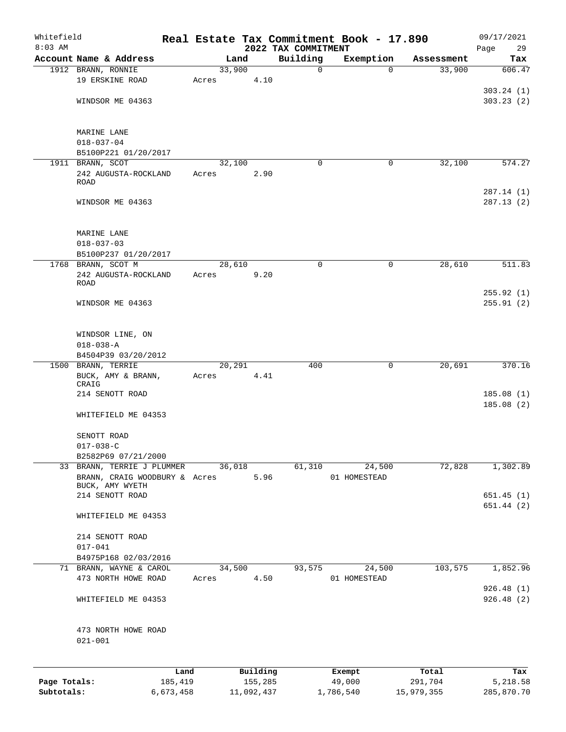| Whitefield                 |                                                             |                      |       |        |                       |                                 | Real Estate Tax Commitment Book - 17.890 |                       | 09/17/2021             |
|----------------------------|-------------------------------------------------------------|----------------------|-------|--------|-----------------------|---------------------------------|------------------------------------------|-----------------------|------------------------|
| $8:03$ AM                  | Account Name & Address                                      |                      |       | Land   |                       | 2022 TAX COMMITMENT<br>Building | Exemption                                |                       | Page<br>29             |
|                            | 1912 BRANN, RONNIE                                          |                      |       | 33,900 |                       | 0                               | $\Omega$                                 | Assessment<br>33,900  | Tax<br>606.47          |
|                            | 19 ERSKINE ROAD                                             |                      | Acres |        | 4.10                  |                                 |                                          |                       |                        |
|                            |                                                             |                      |       |        |                       |                                 |                                          |                       | 303.24(1)              |
|                            | WINDSOR ME 04363                                            |                      |       |        |                       |                                 |                                          |                       | 303.23(2)              |
|                            |                                                             |                      |       |        |                       |                                 |                                          |                       |                        |
|                            | MARINE LANE                                                 |                      |       |        |                       |                                 |                                          |                       |                        |
|                            | $018 - 037 - 04$                                            |                      |       |        |                       |                                 |                                          |                       |                        |
|                            | B5100P221 01/20/2017                                        |                      |       |        |                       |                                 |                                          |                       |                        |
|                            | 1911 BRANN, SCOT                                            |                      |       | 32,100 |                       | 0                               | 0                                        | 32,100                | 574.27                 |
|                            | 242 AUGUSTA-ROCKLAND<br>ROAD                                |                      | Acres |        | 2.90                  |                                 |                                          |                       |                        |
|                            |                                                             |                      |       |        |                       |                                 |                                          |                       | 287.14 (1)             |
|                            | WINDSOR ME 04363                                            |                      |       |        |                       |                                 |                                          |                       | 287.13(2)              |
|                            |                                                             |                      |       |        |                       |                                 |                                          |                       |                        |
|                            | MARINE LANE                                                 |                      |       |        |                       |                                 |                                          |                       |                        |
|                            | $018 - 037 - 03$                                            |                      |       |        |                       |                                 |                                          |                       |                        |
|                            | B5100P237 01/20/2017                                        |                      |       |        |                       |                                 |                                          |                       |                        |
|                            | 1768 BRANN, SCOT M                                          |                      |       | 28,610 |                       | $\mathbf 0$                     | $\mathsf{O}$                             | 28,610                | 511.83                 |
|                            | 242 AUGUSTA-ROCKLAND                                        |                      | Acres |        | 9.20                  |                                 |                                          |                       |                        |
|                            | ROAD                                                        |                      |       |        |                       |                                 |                                          |                       |                        |
|                            |                                                             |                      |       |        |                       |                                 |                                          |                       | 255.92(1)              |
|                            | WINDSOR ME 04363                                            |                      |       |        |                       |                                 |                                          |                       | 255.91(2)              |
|                            | WINDSOR LINE, ON                                            |                      |       |        |                       |                                 |                                          |                       |                        |
|                            | $018 - 038 - A$                                             |                      |       |        |                       |                                 |                                          |                       |                        |
|                            | B4504P39 03/20/2012                                         |                      |       |        |                       |                                 |                                          |                       |                        |
|                            | 1500 BRANN, TERRIE                                          |                      |       | 20,291 |                       | 400                             | $\mathbf 0$                              | 20,691                | 370.16                 |
|                            | BUCK, AMY & BRANN,                                          |                      | Acres |        | 4.41                  |                                 |                                          |                       |                        |
|                            | CRAIG                                                       |                      |       |        |                       |                                 |                                          |                       |                        |
|                            | 214 SENOTT ROAD                                             |                      |       |        |                       |                                 |                                          |                       | 185.08(1)              |
|                            |                                                             |                      |       |        |                       |                                 |                                          |                       | 185.08(2)              |
|                            | WHITEFIELD ME 04353                                         |                      |       |        |                       |                                 |                                          |                       |                        |
|                            | SENOTT ROAD                                                 |                      |       |        |                       |                                 |                                          |                       |                        |
|                            | $017 - 038 - C$                                             |                      |       |        |                       |                                 |                                          |                       |                        |
|                            | B2582P69 07/21/2000                                         |                      |       |        |                       |                                 |                                          |                       |                        |
|                            | 33 BRANN, TERRIE J PLUMMER<br>BRANN, CRAIG WOODBURY & Acres |                      |       | 36,018 | 5.96                  | 61,310                          | 24,500<br>01 HOMESTEAD                   | 72,828                | 1,302.89               |
|                            | BUCK, AMY WYETH                                             |                      |       |        |                       |                                 |                                          |                       |                        |
|                            | 214 SENOTT ROAD                                             |                      |       |        |                       |                                 |                                          |                       | 651.45(1)              |
|                            |                                                             |                      |       |        |                       |                                 |                                          |                       | 651.44(2)              |
|                            | WHITEFIELD ME 04353                                         |                      |       |        |                       |                                 |                                          |                       |                        |
|                            | 214 SENOTT ROAD                                             |                      |       |        |                       |                                 |                                          |                       |                        |
|                            | $017 - 041$                                                 |                      |       |        |                       |                                 |                                          |                       |                        |
|                            | B4975P168 02/03/2016                                        |                      |       |        |                       |                                 |                                          |                       |                        |
|                            | 71 BRANN, WAYNE & CAROL                                     |                      |       | 34,500 |                       | 93,575                          | 24,500                                   | 103,575               | 1,852.96               |
|                            | 473 NORTH HOWE ROAD                                         |                      | Acres |        | 4.50                  |                                 | 01 HOMESTEAD                             |                       |                        |
|                            |                                                             |                      |       |        |                       |                                 |                                          |                       | 926.48(1)              |
|                            | WHITEFIELD ME 04353                                         |                      |       |        |                       |                                 |                                          |                       | 926.48(2)              |
|                            | 473 NORTH HOWE ROAD                                         |                      |       |        |                       |                                 |                                          |                       |                        |
|                            | $021 - 001$                                                 |                      |       |        |                       |                                 |                                          |                       |                        |
|                            |                                                             |                      |       |        |                       |                                 |                                          |                       |                        |
|                            |                                                             | Land                 |       |        | Building              |                                 | Exempt                                   | Total                 | Tax                    |
| Page Totals:<br>Subtotals: |                                                             | 185,419<br>6,673,458 |       |        | 155,285<br>11,092,437 |                                 | 49,000<br>1,786,540                      | 291,704<br>15,979,355 | 5,218.58<br>285,870.70 |
|                            |                                                             |                      |       |        |                       |                                 |                                          |                       |                        |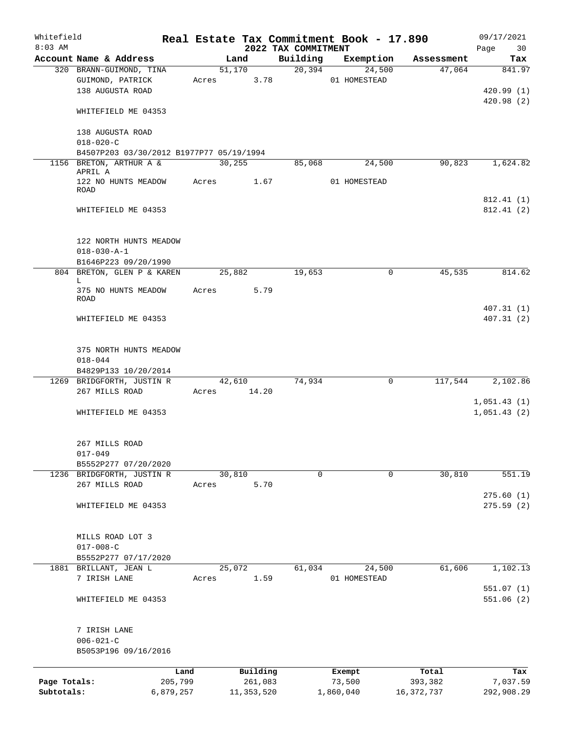| Whitefield   |                                          |           |       |         |              | Real Estate Tax Commitment Book - 17.890 |              |             |            | 09/17/2021                 |
|--------------|------------------------------------------|-----------|-------|---------|--------------|------------------------------------------|--------------|-------------|------------|----------------------------|
| $8:03$ AM    | Account Name & Address                   |           |       | Land    |              | 2022 TAX COMMITMENT<br>Building          |              | Exemption   | Assessment | Page<br>30                 |
|              | 320 BRANN-GUIMOND, TINA                  |           |       |         | 51,170       | 20,394                                   |              | 24,500      | 47,064     | Tax<br>841.97              |
|              | GUIMOND, PATRICK                         |           | Acres |         | 3.78         |                                          | 01 HOMESTEAD |             |            |                            |
|              | 138 AUGUSTA ROAD                         |           |       |         |              |                                          |              |             |            | 420.99 (1)                 |
|              |                                          |           |       |         |              |                                          |              |             |            | 420.98(2)                  |
|              | WHITEFIELD ME 04353                      |           |       |         |              |                                          |              |             |            |                            |
|              | 138 AUGUSTA ROAD                         |           |       |         |              |                                          |              |             |            |                            |
|              | $018 - 020 - C$                          |           |       |         |              |                                          |              |             |            |                            |
|              | B4507P203 03/30/2012 B1977P77 05/19/1994 |           |       |         |              |                                          |              |             |            |                            |
|              | 1156 BRETON, ARTHUR A &                  |           |       | 30, 255 |              | 85,068                                   |              | 24,500      | 90,823     | 1,624.82                   |
|              | APRIL A                                  |           |       |         | 1.67         |                                          |              |             |            |                            |
|              | 122 NO HUNTS MEADOW<br>ROAD              |           | Acres |         |              |                                          | 01 HOMESTEAD |             |            |                            |
|              | WHITEFIELD ME 04353                      |           |       |         |              |                                          |              |             |            | 812.41 (1)<br>812.41(2)    |
|              |                                          |           |       |         |              |                                          |              |             |            |                            |
|              | 122 NORTH HUNTS MEADOW                   |           |       |         |              |                                          |              |             |            |                            |
|              | $018 - 030 - A - 1$                      |           |       |         |              |                                          |              |             |            |                            |
|              | B1646P223 09/20/1990                     |           |       |         |              |                                          |              |             |            |                            |
|              | 804 BRETON, GLEN P & KAREN               |           |       | 25,882  |              | 19,653                                   |              | 0           | 45,535     | 814.62                     |
|              | L                                        |           |       |         |              |                                          |              |             |            |                            |
|              | 375 NO HUNTS MEADOW                      |           | Acres |         | 5.79         |                                          |              |             |            |                            |
|              | ROAD                                     |           |       |         |              |                                          |              |             |            |                            |
|              |                                          |           |       |         |              |                                          |              |             |            | 407.31(1)                  |
|              | WHITEFIELD ME 04353                      |           |       |         |              |                                          |              |             |            | 407.31(2)                  |
|              |                                          |           |       |         |              |                                          |              |             |            |                            |
|              | 375 NORTH HUNTS MEADOW                   |           |       |         |              |                                          |              |             |            |                            |
|              | $018 - 044$                              |           |       |         |              |                                          |              |             |            |                            |
|              | B4829P133 10/20/2014                     |           |       |         |              |                                          |              |             |            |                            |
|              | 1269 BRIDGFORTH, JUSTIN R                |           |       | 42,610  |              | 74,934                                   |              | $\mathbf 0$ | 117,544    | 2,102.86                   |
|              | 267 MILLS ROAD                           |           | Acres |         | 14.20        |                                          |              |             |            |                            |
|              | WHITEFIELD ME 04353                      |           |       |         |              |                                          |              |             |            | 1,051.43(1)<br>1,051.43(2) |
|              |                                          |           |       |         |              |                                          |              |             |            |                            |
|              | 267 MILLS ROAD                           |           |       |         |              |                                          |              |             |            |                            |
|              | $017 - 049$                              |           |       |         |              |                                          |              |             |            |                            |
|              | B5552P277 07/20/2020                     |           |       |         |              |                                          |              |             |            |                            |
|              | 1236 BRIDGFORTH, JUSTIN R                |           |       | 30,810  |              | 0                                        |              | $\mathbf 0$ | 30,810     | 551.19                     |
|              | 267 MILLS ROAD                           |           | Acres |         | 5.70         |                                          |              |             |            |                            |
|              |                                          |           |       |         |              |                                          |              |             |            | 275.60(1)                  |
|              | WHITEFIELD ME 04353                      |           |       |         |              |                                          |              |             |            | 275.59(2)                  |
|              |                                          |           |       |         |              |                                          |              |             |            |                            |
|              | MILLS ROAD LOT 3                         |           |       |         |              |                                          |              |             |            |                            |
|              | $017 - 008 - C$                          |           |       |         |              |                                          |              |             |            |                            |
|              | B5552P277 07/17/2020                     |           |       |         |              |                                          |              |             |            |                            |
| 1881         | BRILLANT, JEAN L                         |           |       | 25,072  |              | 61,034                                   |              | 24,500      | 61,606     | 1,102.13                   |
|              | 7 IRISH LANE                             |           | Acres |         | 1.59         |                                          | 01 HOMESTEAD |             |            |                            |
|              |                                          |           |       |         |              |                                          |              |             |            | 551.07(1)                  |
|              | WHITEFIELD ME 04353                      |           |       |         |              |                                          |              |             |            | 551.06(2)                  |
|              | 7 IRISH LANE                             |           |       |         |              |                                          |              |             |            |                            |
|              | $006 - 021 - C$                          |           |       |         |              |                                          |              |             |            |                            |
|              | B5053P196 09/16/2016                     |           |       |         |              |                                          |              |             |            |                            |
|              |                                          | Land      |       |         | Building     |                                          | Exempt       |             | Total      | Tax                        |
| Page Totals: |                                          | 205,799   |       |         | 261,083      |                                          | 73,500       |             | 393,382    | 7,037.59                   |
| Subtotals:   |                                          | 6,879,257 |       |         | 11, 353, 520 |                                          | 1,860,040    |             | 16,372,737 | 292,908.29                 |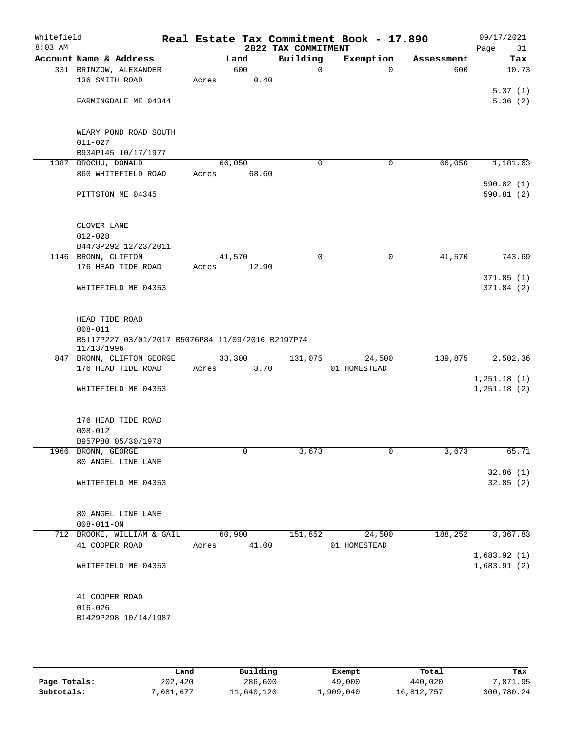| Whitefield<br>$8:03$ AM |                                                                 |       |        | 2022 TAX COMMITMENT | Real Estate Tax Commitment Book - 17.890 |            | 09/17/2021<br>Page<br>31 |
|-------------------------|-----------------------------------------------------------------|-------|--------|---------------------|------------------------------------------|------------|--------------------------|
|                         | Account Name & Address                                          |       | Land   | Building            | Exemption                                | Assessment | Tax                      |
|                         | 331 BRINZOW, ALEXANDER                                          |       | 600    | 0                   | $\mathbf 0$                              | 600        | 10.73                    |
|                         | 136 SMITH ROAD                                                  | Acres | 0.40   |                     |                                          |            |                          |
|                         |                                                                 |       |        |                     |                                          |            | 5.37(1)                  |
|                         | FARMINGDALE ME 04344                                            |       |        |                     |                                          |            | 5.36(2)                  |
|                         | WEARY POND ROAD SOUTH                                           |       |        |                     |                                          |            |                          |
|                         | $011 - 027$                                                     |       |        |                     |                                          |            |                          |
|                         | B934P145 10/17/1977                                             |       |        |                     |                                          |            |                          |
|                         | 1387 BROCHU, DONALD                                             |       | 66,050 | $\Omega$            | 0                                        | 66,050     | 1,181.63                 |
|                         | 860 WHITEFIELD ROAD                                             | Acres | 68.60  |                     |                                          |            |                          |
|                         |                                                                 |       |        |                     |                                          |            | 590.82(1)                |
|                         | PITTSTON ME 04345                                               |       |        |                     |                                          |            | 590.81 (2)               |
|                         | CLOVER LANE                                                     |       |        |                     |                                          |            |                          |
|                         | $012 - 028$                                                     |       |        |                     |                                          |            |                          |
|                         | B4473P292 12/23/2011                                            |       |        |                     |                                          |            |                          |
|                         | 1146 BRONN, CLIFTON                                             |       | 41,570 | 0                   | $\mathbf 0$                              | 41,570     | 743.69                   |
|                         | 176 HEAD TIDE ROAD                                              | Acres | 12.90  |                     |                                          |            |                          |
|                         |                                                                 |       |        |                     |                                          |            | 371.85(1)                |
|                         | WHITEFIELD ME 04353                                             |       |        |                     |                                          |            | 371.84(2)                |
|                         | HEAD TIDE ROAD                                                  |       |        |                     |                                          |            |                          |
|                         | $008 - 011$                                                     |       |        |                     |                                          |            |                          |
|                         | B5117P227 03/01/2017 B5076P84 11/09/2016 B2197P74<br>11/13/1996 |       |        |                     |                                          |            |                          |
|                         | 847 BRONN, CLIFTON GEORGE                                       |       | 33,300 | 131,075             | 24,500                                   | 139,875    | 2,502.36                 |
|                         | 176 HEAD TIDE ROAD                                              | Acres | 3.70   |                     | 01 HOMESTEAD                             |            |                          |
|                         |                                                                 |       |        |                     |                                          |            | 1,251.18(1)              |
|                         | WHITEFIELD ME 04353                                             |       |        |                     |                                          |            | 1,251.18(2)              |
|                         | 176 HEAD TIDE ROAD                                              |       |        |                     |                                          |            |                          |
|                         | $008 - 012$                                                     |       |        |                     |                                          |            |                          |
|                         | B957P80 05/30/1978                                              |       |        |                     |                                          |            |                          |
|                         | 1966 BRONN, GEORGE                                              |       | 0      | 3,673               | 0                                        | 3,673      | 65.71                    |
|                         | 80 ANGEL LINE LANE                                              |       |        |                     |                                          |            |                          |
|                         |                                                                 |       |        |                     |                                          |            | 32.86(1)                 |
|                         | WHITEFIELD ME 04353                                             |       |        |                     |                                          |            | 32.85(2)                 |
|                         | 80 ANGEL LINE LANE                                              |       |        |                     |                                          |            |                          |
|                         | $008 - 011 - ON$                                                |       |        |                     |                                          |            |                          |
|                         | 712 BROOKE, WILLIAM & GAIL                                      |       | 60,900 | 151,852             | 24,500                                   | 188,252    | 3,367.83                 |
|                         | 41 COOPER ROAD                                                  | Acres | 41.00  |                     | 01 HOMESTEAD                             |            |                          |
|                         |                                                                 |       |        |                     |                                          |            | 1,683.92(1)              |
|                         | WHITEFIELD ME 04353                                             |       |        |                     |                                          |            | 1,683.91(2)              |
|                         | 41 COOPER ROAD                                                  |       |        |                     |                                          |            |                          |
|                         | $016 - 026$                                                     |       |        |                     |                                          |            |                          |
|                         | B1429P298 10/14/1987                                            |       |        |                     |                                          |            |                          |
|                         |                                                                 |       |        |                     |                                          |            |                          |

|              | Land     | Building   | Exempt    | Total      | Tax        |
|--------------|----------|------------|-----------|------------|------------|
| Page Totals: | 202,420  | 286,600    | 49,000    | 440,020    | .871.95    |
| Subtotals:   | ,081,677 | 11,640,120 | 1,909,040 | 16,812,757 | 300,780.24 |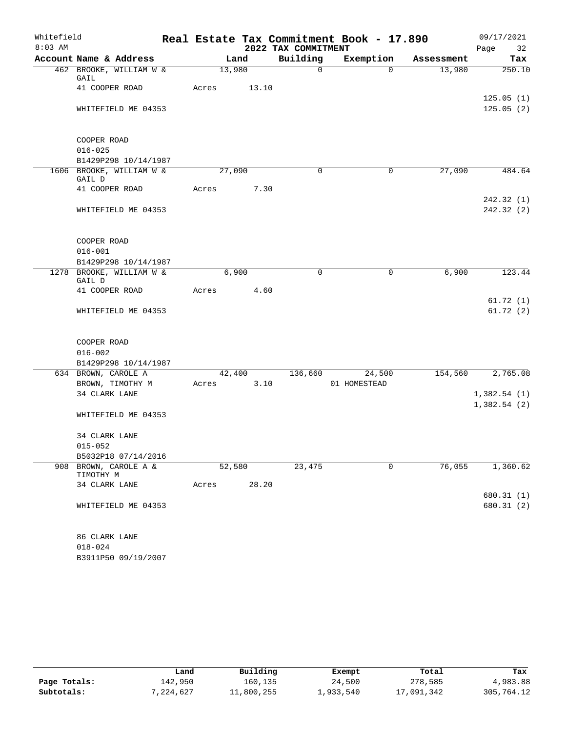| Whitefield |                                         |       |        |       |                     | Real Estate Tax Commitment Book - 17.890 |            | 09/17/2021               |
|------------|-----------------------------------------|-------|--------|-------|---------------------|------------------------------------------|------------|--------------------------|
| $8:03$ AM  |                                         |       |        |       | 2022 TAX COMMITMENT |                                          |            | Page<br>32               |
|            | Account Name & Address                  |       | Land   |       | Building            | Exemption                                | Assessment | Tax                      |
|            | 462 BROOKE, WILLIAM W &<br>GAIL         |       | 13,980 |       | $\mathbf 0$         | $\Omega$                                 | 13,980     | 250.10                   |
|            | 41 COOPER ROAD                          | Acres |        | 13.10 |                     |                                          |            | 125.05(1)                |
|            | WHITEFIELD ME 04353                     |       |        |       |                     |                                          |            | 125.05(2)                |
|            | COOPER ROAD                             |       |        |       |                     |                                          |            |                          |
|            | $016 - 025$                             |       |        |       |                     |                                          |            |                          |
|            | B1429P298 10/14/1987                    |       |        |       |                     |                                          |            |                          |
|            | 1606 BROOKE, WILLIAM W &<br>GAIL D      |       | 27,090 |       | $\Omega$            | $\mathbf 0$                              | 27,090     | 484.64                   |
|            | 41 COOPER ROAD                          | Acres |        | 7.30  |                     |                                          |            |                          |
|            | WHITEFIELD ME 04353                     |       |        |       |                     |                                          |            | 242.32(1)<br>242.32 (2)  |
|            | COOPER ROAD                             |       |        |       |                     |                                          |            |                          |
|            | $016 - 001$                             |       |        |       |                     |                                          |            |                          |
|            | B1429P298 10/14/1987                    |       |        |       |                     |                                          |            |                          |
|            | 1278 BROOKE, WILLIAM W &<br>GAIL D      |       | 6,900  |       | $\Omega$            | 0                                        | 6,900      | 123.44                   |
|            | 41 COOPER ROAD                          | Acres |        | 4.60  |                     |                                          |            |                          |
|            | WHITEFIELD ME 04353                     |       |        |       |                     |                                          |            | 61.72(1)<br>61.72(2)     |
|            | COOPER ROAD                             |       |        |       |                     |                                          |            |                          |
|            | $016 - 002$                             |       |        |       |                     |                                          |            |                          |
|            | B1429P298 10/14/1987                    |       |        |       |                     |                                          |            |                          |
|            | 634 BROWN, CAROLE A<br>BROWN, TIMOTHY M | Acres | 42,400 | 3.10  | 136,660             | 24,500<br>01 HOMESTEAD                   | 154,560    | 2,765.08                 |
|            | 34 CLARK LANE                           |       |        |       |                     |                                          |            | 1,382.54(1)              |
|            |                                         |       |        |       |                     |                                          |            | 1,382.54(2)              |
|            | WHITEFIELD ME 04353                     |       |        |       |                     |                                          |            |                          |
|            | 34 CLARK LANE                           |       |        |       |                     |                                          |            |                          |
|            | $015 - 052$                             |       |        |       |                     |                                          |            |                          |
|            | B5032P18 07/14/2016                     |       |        |       |                     |                                          |            |                          |
| 908        | BROWN, CAROLE A &<br>TIMOTHY M          |       | 52,580 |       | 23,475              | 0                                        | 76,055     | 1,360.62                 |
|            | 34 CLARK LANE                           | Acres |        | 28.20 |                     |                                          |            |                          |
|            | WHITEFIELD ME 04353                     |       |        |       |                     |                                          |            | 680.31 (1)<br>680.31 (2) |
|            |                                         |       |        |       |                     |                                          |            |                          |
|            | 86 CLARK LANE<br>$018 - 024$            |       |        |       |                     |                                          |            |                          |

B3911P50 09/19/2007

|              | Land      | Building   | Exempt    | Total      | Tax        |
|--------------|-----------|------------|-----------|------------|------------|
| Page Totals: | 142,950   | 160,135    | 24,500    | 278,585    | 4,983.88   |
| Subtotals:   | 7,224,627 | 11,800,255 | 1,933,540 | 17,091,342 | 305,764.12 |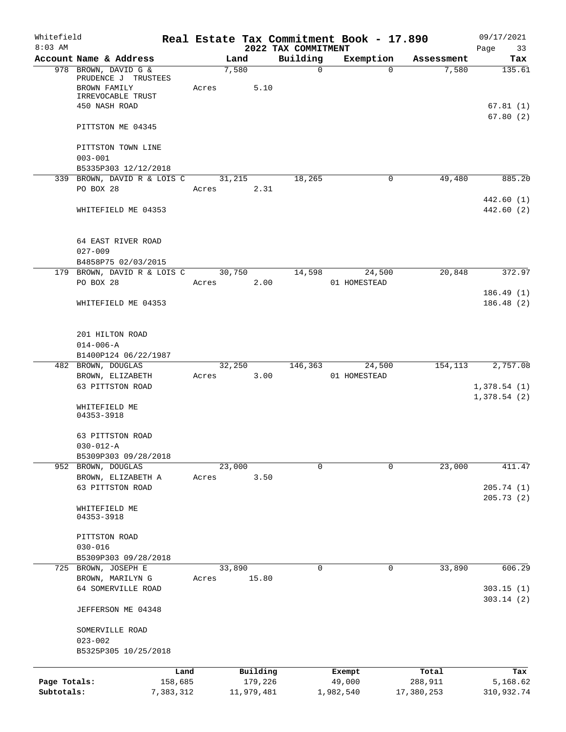| Whitefield                 |                                                                                  |       |                       |                                 | Real Estate Tax Commitment Book - 17.890 |                       | 09/17/2021                 |
|----------------------------|----------------------------------------------------------------------------------|-------|-----------------------|---------------------------------|------------------------------------------|-----------------------|----------------------------|
| $8:03$ AM                  | Account Name & Address                                                           |       | Land                  | 2022 TAX COMMITMENT<br>Building | Exemption                                | Assessment            | Page<br>33<br>Tax          |
|                            | 978 BROWN, DAVID G &<br>PRUDENCE J TRUSTEES<br>BROWN FAMILY<br>IRREVOCABLE TRUST | Acres | 7,580<br>5.10         | $\mathsf{O}$                    | $\Omega$                                 | 7,580                 | 135.61                     |
|                            | 450 NASH ROAD                                                                    |       |                       |                                 |                                          |                       | 67.81(1)<br>67.80(2)       |
|                            | PITTSTON ME 04345                                                                |       |                       |                                 |                                          |                       |                            |
|                            | PITTSTON TOWN LINE<br>$003 - 001$<br>B5335P303 12/12/2018                        |       |                       |                                 |                                          |                       |                            |
|                            | 339 BROWN, DAVID R & LOIS C                                                      |       | 31,215                | 18,265                          | 0                                        | 49,480                | 885.20                     |
|                            | PO BOX 28                                                                        | Acres | 2.31                  |                                 |                                          |                       | 442.60 (1)                 |
|                            | WHITEFIELD ME 04353                                                              |       |                       |                                 |                                          |                       | 442.60 (2)                 |
|                            | 64 EAST RIVER ROAD<br>$027 - 009$                                                |       |                       |                                 |                                          |                       |                            |
|                            | B4858P75 02/03/2015<br>179 BROWN, DAVID R & LOIS C                               |       | 30,750                | 14,598                          | 24,500                                   | 20,848                | 372.97                     |
|                            | PO BOX 28                                                                        | Acres | 2.00                  |                                 | 01 HOMESTEAD                             |                       |                            |
|                            | WHITEFIELD ME 04353                                                              |       |                       |                                 |                                          |                       | 186.49(1)<br>186.48(2)     |
|                            | 201 HILTON ROAD<br>$014 - 006 - A$                                               |       |                       |                                 |                                          |                       |                            |
|                            | B1400P124 06/22/1987<br>482 BROWN, DOUGLAS                                       |       | 32,250                | 146,363                         | 24,500                                   | 154,113               | 2,757.08                   |
|                            | BROWN, ELIZABETH                                                                 | Acres | 3.00                  |                                 | 01 HOMESTEAD                             |                       |                            |
|                            | 63 PITTSTON ROAD                                                                 |       |                       |                                 |                                          |                       | 1,378.54(1)<br>1,378.54(2) |
|                            | WHITEFIELD ME<br>04353-3918                                                      |       |                       |                                 |                                          |                       |                            |
|                            | 63 PITTSTON ROAD<br>$030 - 012 - A$                                              |       |                       |                                 |                                          |                       |                            |
|                            | B5309P303 09/28/2018                                                             |       |                       | $\Omega$                        | 0                                        | 23,000                | 411.47                     |
|                            | 952 BROWN, DOUGLAS<br>BROWN, ELIZABETH A                                         | Acres | 23,000<br>3.50        |                                 |                                          |                       |                            |
|                            | 63 PITTSTON ROAD                                                                 |       |                       |                                 |                                          |                       | 205.74 (1)<br>205.73(2)    |
|                            | WHITEFIELD ME<br>04353-3918                                                      |       |                       |                                 |                                          |                       |                            |
|                            | PITTSTON ROAD                                                                    |       |                       |                                 |                                          |                       |                            |
|                            | $030 - 016$<br>B5309P303 09/28/2018                                              |       |                       |                                 |                                          |                       |                            |
|                            | 725 BROWN, JOSEPH E                                                              |       | 33,890                | 0                               | 0                                        | 33,890                | 606.29                     |
|                            | BROWN, MARILYN G                                                                 | Acres | 15.80                 |                                 |                                          |                       |                            |
|                            | 64 SOMERVILLE ROAD                                                               |       |                       |                                 |                                          |                       | 303.15(1)<br>303.14(2)     |
|                            | JEFFERSON ME 04348                                                               |       |                       |                                 |                                          |                       |                            |
|                            | SOMERVILLE ROAD<br>$023 - 002$                                                   |       |                       |                                 |                                          |                       |                            |
|                            | B5325P305 10/25/2018                                                             |       |                       |                                 |                                          |                       |                            |
|                            |                                                                                  | Land  | Building              |                                 | Exempt                                   | Total                 | Tax                        |
| Page Totals:<br>Subtotals: | 158,685<br>7,383,312                                                             |       | 179,226<br>11,979,481 |                                 | 49,000<br>1,982,540                      | 288,911<br>17,380,253 | 5,168.62<br>310,932.74     |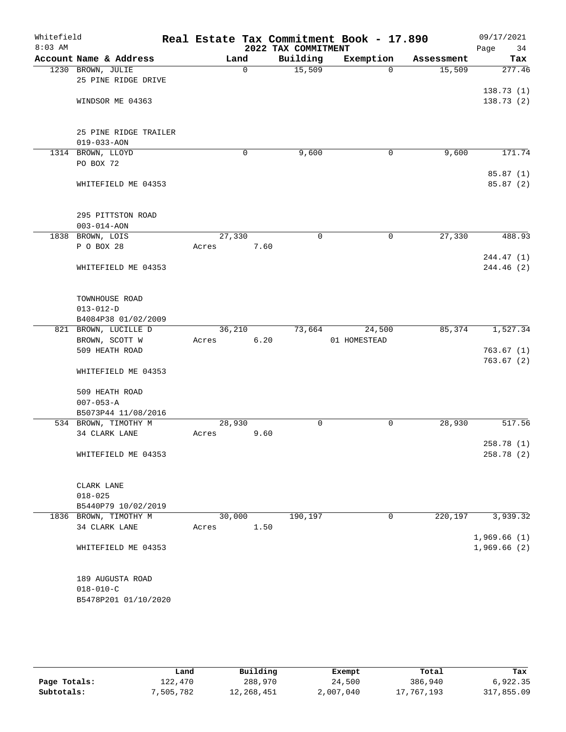| Whitefield<br>$8:03$ AM |                                |        |             | 2022 TAX COMMITMENT | Real Estate Tax Commitment Book - 17.890 |            | 09/17/2021<br>Page<br>34 |
|-------------------------|--------------------------------|--------|-------------|---------------------|------------------------------------------|------------|--------------------------|
|                         | Account Name & Address         | Land   |             | Building            | Exemption                                | Assessment | Tax                      |
|                         | 1230 BROWN, JULIE              |        | $\mathbf 0$ | 15,509              | $\Omega$                                 | 15,509     | 277.46                   |
|                         | 25 PINE RIDGE DRIVE            |        |             |                     |                                          |            |                          |
|                         |                                |        |             |                     |                                          |            | 138.73(1)                |
|                         | WINDSOR ME 04363               |        |             |                     |                                          |            | 138.73(2)                |
|                         |                                |        |             |                     |                                          |            |                          |
|                         |                                |        |             |                     |                                          |            |                          |
|                         | 25 PINE RIDGE TRAILER          |        |             |                     |                                          |            |                          |
|                         | $019 - 033 - AON$              |        |             |                     |                                          |            |                          |
|                         | 1314 BROWN, LLOYD<br>PO BOX 72 |        | $\mathbf 0$ | 9,600               | 0                                        | 9,600      | 171.74                   |
|                         |                                |        |             |                     |                                          |            | 85.87(1)                 |
|                         | WHITEFIELD ME 04353            |        |             |                     |                                          |            | 85.87 (2)                |
|                         |                                |        |             |                     |                                          |            |                          |
|                         |                                |        |             |                     |                                          |            |                          |
|                         | 295 PITTSTON ROAD              |        |             |                     |                                          |            |                          |
|                         | $003 - 014 - AON$              |        |             |                     |                                          |            |                          |
|                         | 1838 BROWN, LOIS               | 27,330 |             | $\mathbf 0$         | $\mathsf{O}$                             | 27,330     | 488.93                   |
|                         | P O BOX 28                     | Acres  | 7.60        |                     |                                          |            |                          |
|                         |                                |        |             |                     |                                          |            | 244.47 (1)               |
|                         | WHITEFIELD ME 04353            |        |             |                     |                                          |            | 244.46 (2)               |
|                         |                                |        |             |                     |                                          |            |                          |
|                         |                                |        |             |                     |                                          |            |                          |
|                         | TOWNHOUSE ROAD                 |        |             |                     |                                          |            |                          |
|                         | $013 - 012 - D$                |        |             |                     |                                          |            |                          |
|                         | B4084P38 01/02/2009            |        |             |                     |                                          |            |                          |
|                         | 821 BROWN, LUCILLE D           | 36,210 |             | 73,664              | 24,500                                   | 85,374     | 1,527.34                 |
|                         | BROWN, SCOTT W                 | Acres  | 6.20        |                     | 01 HOMESTEAD                             |            |                          |
|                         | 509 HEATH ROAD                 |        |             |                     |                                          |            | 763.67(1)                |
|                         | WHITEFIELD ME 04353            |        |             |                     |                                          |            | 763.67(2)                |
|                         |                                |        |             |                     |                                          |            |                          |
|                         | 509 HEATH ROAD                 |        |             |                     |                                          |            |                          |
|                         | $007 - 053 - A$                |        |             |                     |                                          |            |                          |
|                         | B5073P44 11/08/2016            |        |             |                     |                                          |            |                          |
|                         | 534 BROWN, TIMOTHY M           | 28,930 |             | 0                   | $\mathsf{O}$                             | 28,930     | 517.56                   |
|                         | 34 CLARK LANE                  | Acres  | 9.60        |                     |                                          |            |                          |
|                         |                                |        |             |                     |                                          |            | 258.78(1)                |
|                         | WHITEFIELD ME 04353            |        |             |                     |                                          |            | 258.78 (2)               |
|                         |                                |        |             |                     |                                          |            |                          |
|                         |                                |        |             |                     |                                          |            |                          |
|                         | CLARK LANE                     |        |             |                     |                                          |            |                          |
|                         | $018 - 025$                    |        |             |                     |                                          |            |                          |
|                         | B5440P79 10/02/2019            |        |             |                     |                                          |            |                          |
|                         | 1836 BROWN, TIMOTHY M          | 30,000 |             | 190,197             | 0                                        | 220,197    | 3,939.32                 |
|                         | 34 CLARK LANE                  | Acres  | 1.50        |                     |                                          |            |                          |
|                         |                                |        |             |                     |                                          |            | 1,969.66(1)              |
|                         | WHITEFIELD ME 04353            |        |             |                     |                                          |            | 1,969.66(2)              |
|                         |                                |        |             |                     |                                          |            |                          |
|                         | 189 AUGUSTA ROAD               |        |             |                     |                                          |            |                          |
|                         | $018 - 010 - C$                |        |             |                     |                                          |            |                          |
|                         | B5478P201 01/10/2020           |        |             |                     |                                          |            |                          |
|                         |                                |        |             |                     |                                          |            |                          |

|              | Land      | Building   | Exempt    | Total      | Tax        |
|--------------|-----------|------------|-----------|------------|------------|
| Page Totals: | 122,470   | 288,970    | 24,500    | 386,940    | 6,922.35   |
| Subtotals:   | 7,505,782 | 12,268,451 | 2,007,040 | 17,767,193 | 317,855.09 |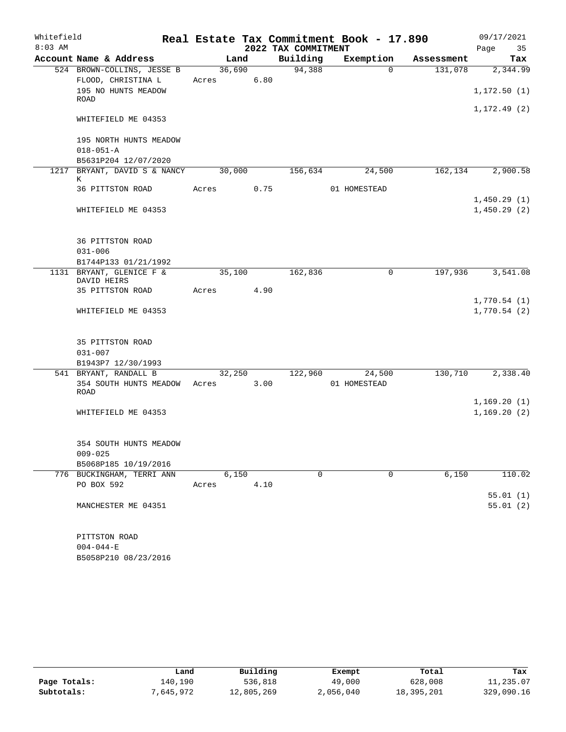| Whitefield |                                      |       |        |      |                     | Real Estate Tax Commitment Book - 17.890 |            | 09/17/2021   |
|------------|--------------------------------------|-------|--------|------|---------------------|------------------------------------------|------------|--------------|
| $8:03$ AM  |                                      |       |        |      | 2022 TAX COMMITMENT |                                          |            | 35<br>Page   |
|            | Account Name & Address               |       | Land   |      | Building            | Exemption                                | Assessment | Tax          |
|            | 524 BROWN-COLLINS, JESSE B           |       | 36,690 |      | 94,388              | $\Omega$                                 | 131,078    | 2,344.99     |
|            | FLOOD, CHRISTINA L                   | Acres |        | 6.80 |                     |                                          |            |              |
|            | 195 NO HUNTS MEADOW<br>ROAD          |       |        |      |                     |                                          |            | 1,172.50(1)  |
|            | WHITEFIELD ME 04353                  |       |        |      |                     |                                          |            | 1, 172.49(2) |
|            | 195 NORTH HUNTS MEADOW               |       |        |      |                     |                                          |            |              |
|            | $018 - 051 - A$                      |       |        |      |                     |                                          |            |              |
|            | B5631P204 12/07/2020                 |       |        |      |                     |                                          |            |              |
|            | 1217 BRYANT, DAVID S & NANCY<br>K    |       | 30,000 |      | 156,634             | 24,500                                   | 162,134    | 2,900.58     |
|            | 36 PITTSTON ROAD                     | Acres |        | 0.75 |                     | 01 HOMESTEAD                             |            |              |
|            |                                      |       |        |      |                     |                                          |            | 1,450.29(1)  |
|            | WHITEFIELD ME 04353                  |       |        |      |                     |                                          |            | 1,450.29(2)  |
|            | <b>36 PITTSTON ROAD</b>              |       |        |      |                     |                                          |            |              |
|            | $031 - 006$                          |       |        |      |                     |                                          |            |              |
|            | B1744P133 01/21/1992                 |       |        |      |                     |                                          |            |              |
|            | 1131 BRYANT, GLENICE F &             |       | 35,100 |      | 162,836             | 0                                        | 197,936    | 3,541.08     |
|            | DAVID HEIRS                          |       |        |      |                     |                                          |            |              |
|            | 35 PITTSTON ROAD                     | Acres |        | 4.90 |                     |                                          |            |              |
|            |                                      |       |        |      |                     |                                          |            | 1,770.54(1)  |
|            | WHITEFIELD ME 04353                  |       |        |      |                     |                                          |            | 1,770.54(2)  |
|            | 35 PITTSTON ROAD                     |       |        |      |                     |                                          |            |              |
|            | $031 - 007$                          |       |        |      |                     |                                          |            |              |
|            | B1943P7 12/30/1993                   |       |        |      |                     |                                          |            |              |
|            | 541 BRYANT, RANDALL B                |       | 32,250 |      | 122,960             | 24,500                                   | 130,710    | 2,338.40     |
|            | 354 SOUTH HUNTS MEADOW Acres<br>ROAD |       |        | 3.00 |                     | 01 HOMESTEAD                             |            |              |
|            |                                      |       |        |      |                     |                                          |            | 1,169.20(1)  |
|            | WHITEFIELD ME 04353                  |       |        |      |                     |                                          |            | 1,169.20(2)  |
|            |                                      |       |        |      |                     |                                          |            |              |
|            | 354 SOUTH HUNTS MEADOW               |       |        |      |                     |                                          |            |              |
|            | $009 - 025$                          |       |        |      |                     |                                          |            |              |
|            | B5068P185 10/19/2016                 |       |        |      |                     |                                          |            |              |
|            | 776 BUCKINGHAM, TERRI ANN            |       | 6,150  |      | 0                   | $\mathbf 0$                              | 6,150      | 110.02       |
|            | PO BOX 592                           | Acres |        | 4.10 |                     |                                          |            |              |
|            |                                      |       |        |      |                     |                                          |            | 55.01(1)     |
|            | MANCHESTER ME 04351                  |       |        |      |                     |                                          |            | 55.01(2)     |
|            | PITTSTON ROAD                        |       |        |      |                     |                                          |            |              |
|            | $004 - 044 - E$                      |       |        |      |                     |                                          |            |              |

B5058P210 08/23/2016

|              | Land     | Building   | Exempt    | Total      | Tax        |
|--------------|----------|------------|-----------|------------|------------|
| Page Totals: | 140,190  | 536,818    | 49,000    | 628,008    | 11,235.07  |
| Subtotals:   | ,645,972 | 12,805,269 | 2,056,040 | 18,395,201 | 329,090.16 |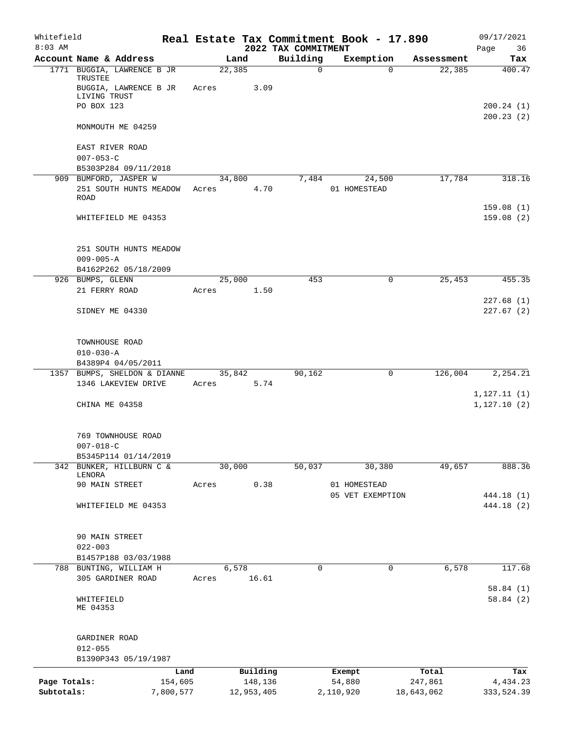| Whitefield<br>$8:03$ AM |                                                                                |       |                 | 2022 TAX COMMITMENT | Real Estate Tax Commitment Book - 17.890 |            | 09/17/2021<br>Page<br>36    |
|-------------------------|--------------------------------------------------------------------------------|-------|-----------------|---------------------|------------------------------------------|------------|-----------------------------|
|                         | Account Name & Address                                                         |       | Land            | Building            | Exemption                                | Assessment | Tax                         |
|                         | 1771 BUGGIA, LAWRENCE B JR<br>TRUSTEE<br>BUGGIA, LAWRENCE B JR<br>LIVING TRUST | Acres | 22, 385<br>3.09 | $\mathbf 0$         | $\Omega$                                 | 22,385     | 400.47                      |
|                         | PO BOX 123                                                                     |       |                 |                     |                                          |            | 200.24(1)<br>200.23(2)      |
|                         | MONMOUTH ME 04259                                                              |       |                 |                     |                                          |            |                             |
|                         | EAST RIVER ROAD<br>$007 - 053 - C$<br>B5303P284 09/11/2018                     |       |                 |                     |                                          |            |                             |
|                         | 909 BUMFORD, JASPER W                                                          |       | 34,800          | 7,484               | 24,500                                   | 17,784     | 318.16                      |
|                         | 251 SOUTH HUNTS MEADOW<br>ROAD                                                 | Acres | 4.70            |                     | 01 HOMESTEAD                             |            |                             |
|                         | WHITEFIELD ME 04353                                                            |       |                 |                     |                                          |            | 159.08(1)<br>159.08(2)      |
|                         | 251 SOUTH HUNTS MEADOW<br>$009 - 005 - A$<br>B4162P262 05/18/2009              |       |                 |                     |                                          |            |                             |
|                         | 926 BUMPS, GLENN                                                               |       | 25,000          | 453                 | $\mathbf 0$                              | 25,453     | 455.35                      |
|                         | 21 FERRY ROAD                                                                  | Acres | 1.50            |                     |                                          |            |                             |
|                         | SIDNEY ME 04330                                                                |       |                 |                     |                                          |            | 227.68(1)<br>227.67(2)      |
|                         | TOWNHOUSE ROAD<br>$010 - 030 - A$<br>B4389P4 04/05/2011                        |       |                 |                     |                                          |            |                             |
|                         | 1357 BUMPS, SHELDON & DIANNE                                                   |       | 35,842          | 90,162              | 0                                        | 126,004    | 2,254.21                    |
|                         | 1346 LAKEVIEW DRIVE                                                            | Acres | 5.74            |                     |                                          |            |                             |
|                         | CHINA ME 04358                                                                 |       |                 |                     |                                          |            | 1, 127.11(1)<br>1,127.10(2) |
|                         | 769 TOWNHOUSE ROAD<br>$007 - 018 - C$                                          |       |                 |                     |                                          |            |                             |
|                         | B5345P114 01/14/2019                                                           |       |                 |                     |                                          |            |                             |
|                         | 342 BUNKER, HILLBURN C &<br>LENORA                                             |       | 30,000          | 50,037              | 30,380                                   | 49,657     | 888.36                      |
|                         | 90 MAIN STREET                                                                 | Acres | 0.38            |                     | 01 HOMESTEAD<br>05 VET EXEMPTION         |            | 444.18 (1)                  |
|                         | WHITEFIELD ME 04353                                                            |       |                 |                     |                                          |            | 444.18 (2)                  |
|                         | 90 MAIN STREET<br>$022 - 003$                                                  |       |                 |                     |                                          |            |                             |
|                         | B1457P188 03/03/1988                                                           |       |                 |                     |                                          |            |                             |
|                         | 788 BUNTING, WILLIAM H                                                         |       | 6,578           | 0                   | 0                                        | 6,578      | 117.68                      |
|                         | 305 GARDINER ROAD                                                              | Acres | 16.61           |                     |                                          |            | 58.84(1)                    |
|                         | WHITEFIELD<br>ME 04353                                                         |       |                 |                     |                                          |            | 58.84(2)                    |
|                         | GARDINER ROAD<br>$012 - 055$<br>B1390P343 05/19/1987                           |       |                 |                     |                                          |            |                             |
|                         |                                                                                | Land  | Building        |                     | Exempt                                   | Total      | Tax                         |
| Page Totals:            | 154,605                                                                        |       | 148,136         |                     | 54,880                                   | 247,861    | 4,434.23                    |
| Subtotals:              | 7,800,577                                                                      |       | 12,953,405      |                     | 2,110,920                                | 18,643,062 | 333,524.39                  |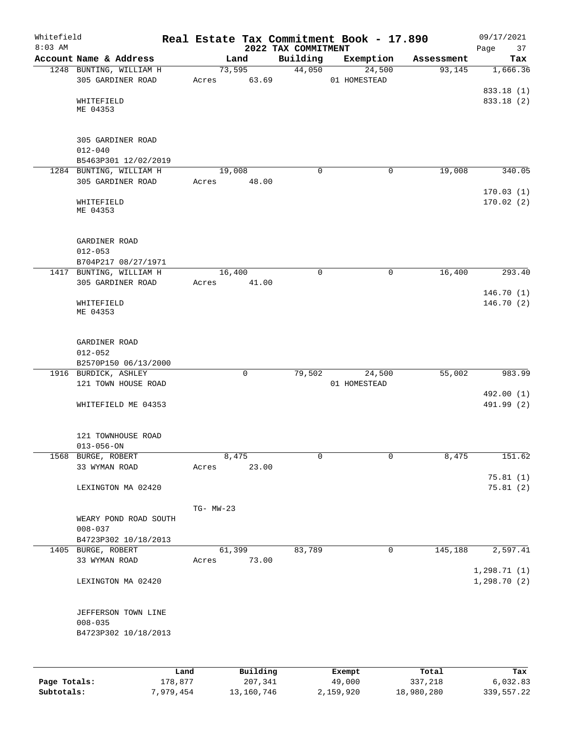| Whitefield<br>$8:03$ AM |                                                                        |                 |                     | 2022 TAX COMMITMENT | Real Estate Tax Commitment Book - 17.890 |                  | 09/17/2021<br>Page<br>37             |
|-------------------------|------------------------------------------------------------------------|-----------------|---------------------|---------------------|------------------------------------------|------------------|--------------------------------------|
|                         | Account Name & Address                                                 | Land            |                     | Building            | Exemption                                | Assessment       | Tax                                  |
|                         | 1248 BUNTING, WILLIAM H<br>305 GARDINER ROAD<br>WHITEFIELD<br>ME 04353 | 73,595<br>Acres | 63.69               | 44,050              | 24,500<br>01 HOMESTEAD                   | 93,145           | 1,666.36<br>833.18 (1)<br>833.18 (2) |
|                         | 305 GARDINER ROAD<br>$012 - 040$<br>B5463P301 12/02/2019               |                 |                     |                     |                                          |                  |                                      |
|                         | 1284 BUNTING, WILLIAM H<br>305 GARDINER ROAD                           | 19,008<br>Acres | 48.00               | $\Omega$            | 0                                        | 19,008           | 340.05                               |
|                         | WHITEFIELD<br>ME 04353                                                 |                 |                     |                     |                                          |                  | 170.03(1)<br>170.02(2)               |
|                         | GARDINER ROAD<br>$012 - 053$<br>B704P217 08/27/1971                    |                 |                     |                     |                                          |                  |                                      |
|                         | 1417 BUNTING, WILLIAM H<br>305 GARDINER ROAD                           | 16,400<br>Acres | 41.00               | $\Omega$            | $\mathbf 0$                              | 16,400           | 293.40                               |
|                         | WHITEFIELD<br>ME 04353                                                 |                 |                     |                     |                                          |                  | 146.70(1)<br>146.70(2)               |
|                         | GARDINER ROAD<br>$012 - 052$<br>B2570P150 06/13/2000                   |                 |                     |                     |                                          |                  |                                      |
|                         | 1916 BURDICK, ASHLEY                                                   |                 | $\mathbf 0$         | 79,502              | 24,500                                   | 55,002           | 983.99                               |
|                         | 121 TOWN HOUSE ROAD<br>WHITEFIELD ME 04353                             |                 |                     |                     | 01 HOMESTEAD                             |                  | 492.00 (1)<br>491.99 (2)             |
|                         | 121 TOWNHOUSE ROAD<br>$013 - 056 - ON$                                 |                 |                     |                     |                                          |                  |                                      |
| 1568                    | BURGE, ROBERT<br>33 WYMAN ROAD                                         | 8,475<br>Acres  | 23.00               | $\mathbf 0$         | 0                                        | 8,475            | 151.62                               |
|                         | LEXINGTON MA 02420                                                     |                 |                     |                     |                                          |                  | 75.81(1)<br>75.81(2)                 |
|                         | WEARY POND ROAD SOUTH<br>$008 - 037$<br>B4723P302 10/18/2013           | TG- MW-23       |                     |                     |                                          |                  |                                      |
|                         | 1405 BURGE, ROBERT                                                     | 61,399          |                     | 83,789              | 0                                        | 145,188          | 2,597.41                             |
|                         | 33 WYMAN ROAD                                                          | Acres           | 73.00               |                     |                                          |                  |                                      |
|                         | LEXINGTON MA 02420                                                     |                 |                     |                     |                                          |                  | 1, 298.71(1)<br>1, 298.70(2)         |
|                         | JEFFERSON TOWN LINE<br>$008 - 035$<br>B4723P302 10/18/2013             |                 |                     |                     |                                          |                  |                                      |
| Page Totals:            | Land<br>178,877                                                        |                 | Building<br>207,341 |                     | Exempt<br>49,000                         | Total<br>337,218 | Tax<br>6,032.83                      |

**Subtotals:** 7,979,454 13,160,746 2,159,920 18,980,280 339,557.22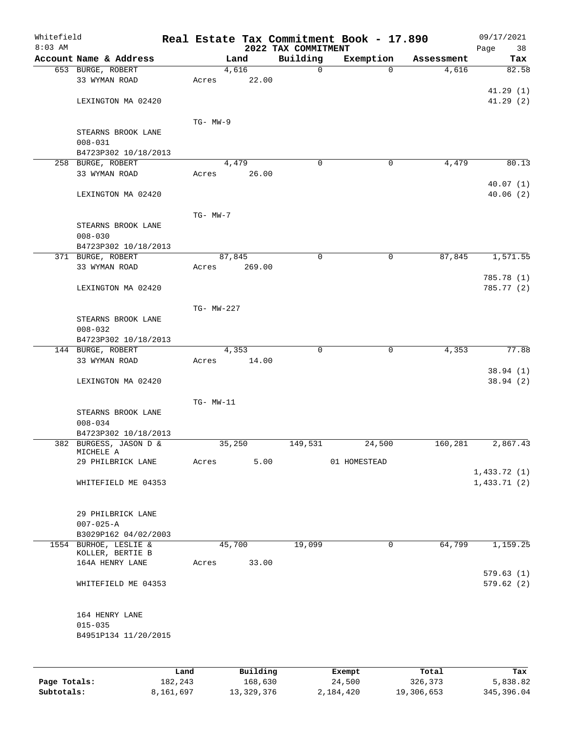| Whitefield<br>$8:03$ AM |                                                |      |            |          | 2022 TAX COMMITMENT | Real Estate Tax Commitment Book - 17.890 |            | 09/17/2021<br>Page<br>38 |
|-------------------------|------------------------------------------------|------|------------|----------|---------------------|------------------------------------------|------------|--------------------------|
|                         | Account Name & Address                         |      |            | Land     | Building            | Exemption                                | Assessment | Tax                      |
|                         | 653 BURGE, ROBERT                              |      |            | 4,616    | $\mathbf 0$         | $\Omega$                                 | 4,616      | 82.58                    |
|                         | 33 WYMAN ROAD                                  |      | Acres      | 22.00    |                     |                                          |            |                          |
|                         |                                                |      |            |          |                     |                                          |            | 41.29(1)                 |
|                         | LEXINGTON MA 02420                             |      |            |          |                     |                                          |            | 41.29(2)                 |
|                         |                                                |      |            |          |                     |                                          |            |                          |
|                         |                                                |      | $TG-MW-9$  |          |                     |                                          |            |                          |
|                         | STEARNS BROOK LANE                             |      |            |          |                     |                                          |            |                          |
|                         | $008 - 031$                                    |      |            |          |                     |                                          |            |                          |
|                         | B4723P302 10/18/2013                           |      |            |          |                     |                                          |            |                          |
|                         | 258 BURGE, ROBERT                              |      |            | 4,479    | 0                   | 0                                        | 4,479      | 80.13                    |
|                         | 33 WYMAN ROAD                                  |      | Acres      | 26.00    |                     |                                          |            |                          |
|                         |                                                |      |            |          |                     |                                          |            | 40.07(1)                 |
|                         | LEXINGTON MA 02420                             |      |            |          |                     |                                          |            | 40.06(2)                 |
|                         |                                                |      |            |          |                     |                                          |            |                          |
|                         |                                                |      | $TG-MW-7$  |          |                     |                                          |            |                          |
|                         | STEARNS BROOK LANE                             |      |            |          |                     |                                          |            |                          |
|                         | $008 - 030$                                    |      |            |          |                     |                                          |            |                          |
|                         | B4723P302 10/18/2013<br>371 BURGE, ROBERT      |      | 87,845     |          | 0                   | 0                                        | 87,845     | 1,571.55                 |
|                         | 33 WYMAN ROAD                                  |      | Acres      | 269.00   |                     |                                          |            |                          |
|                         |                                                |      |            |          |                     |                                          |            | 785.78 (1)               |
|                         | LEXINGTON MA 02420                             |      |            |          |                     |                                          |            | 785.77 (2)               |
|                         |                                                |      |            |          |                     |                                          |            |                          |
|                         |                                                |      | TG- MW-227 |          |                     |                                          |            |                          |
|                         | STEARNS BROOK LANE                             |      |            |          |                     |                                          |            |                          |
|                         | $008 - 032$                                    |      |            |          |                     |                                          |            |                          |
|                         | B4723P302 10/18/2013                           |      |            |          |                     |                                          |            |                          |
|                         | 144 BURGE, ROBERT                              |      |            | 4,353    | $\mathbf 0$         | $\mathbf 0$                              | 4,353      | 77.88                    |
|                         | 33 WYMAN ROAD                                  |      | Acres      | 14.00    |                     |                                          |            |                          |
|                         |                                                |      |            |          |                     |                                          |            | 38.94(1)                 |
|                         | LEXINGTON MA 02420                             |      |            |          |                     |                                          |            | 38.94(2)                 |
|                         |                                                |      |            |          |                     |                                          |            |                          |
|                         |                                                |      | TG- MW-11  |          |                     |                                          |            |                          |
|                         | STEARNS BROOK LANE                             |      |            |          |                     |                                          |            |                          |
|                         | $008 - 034$                                    |      |            |          |                     |                                          |            |                          |
|                         | B4723P302 10/18/2013<br>382 BURGESS, JASON D & |      | 35,250     |          | 149,531             | 24,500                                   | 160,281    | 2,867.43                 |
|                         | MICHELE A                                      |      |            |          |                     |                                          |            |                          |
|                         | 29 PHILBRICK LANE                              |      | Acres      | 5.00     |                     | 01 HOMESTEAD                             |            |                          |
|                         |                                                |      |            |          |                     |                                          |            | 1,433.72(1)              |
|                         | WHITEFIELD ME 04353                            |      |            |          |                     |                                          |            | 1,433.71(2)              |
|                         |                                                |      |            |          |                     |                                          |            |                          |
|                         |                                                |      |            |          |                     |                                          |            |                          |
|                         | 29 PHILBRICK LANE                              |      |            |          |                     |                                          |            |                          |
|                         | $007 - 025 - A$                                |      |            |          |                     |                                          |            |                          |
|                         | B3029P162 04/02/2003                           |      |            |          |                     |                                          |            |                          |
|                         | 1554 BURHOE, LESLIE &<br>KOLLER, BERTIE B      |      | 45,700     |          | 19,099              | $\mathbf 0$                              | 64,799     | 1,159.25                 |
|                         | 164A HENRY LANE                                |      | Acres      | 33.00    |                     |                                          |            |                          |
|                         |                                                |      |            |          |                     |                                          |            | 579.63(1)                |
|                         | WHITEFIELD ME 04353                            |      |            |          |                     |                                          |            | 579.62(2)                |
|                         |                                                |      |            |          |                     |                                          |            |                          |
|                         |                                                |      |            |          |                     |                                          |            |                          |
|                         | 164 HENRY LANE                                 |      |            |          |                     |                                          |            |                          |
|                         | $015 - 035$                                    |      |            |          |                     |                                          |            |                          |
|                         | B4951P134 11/20/2015                           |      |            |          |                     |                                          |            |                          |
|                         |                                                |      |            |          |                     |                                          |            |                          |
|                         |                                                |      |            |          |                     |                                          |            |                          |
|                         |                                                | Land |            | Building |                     | Exempt                                   | Total      | Tax                      |
|                         |                                                |      |            |          |                     |                                          |            |                          |

| Page Totals: | 182,243   | 168,630    | 24,500    | 326,373    | 5,838.82   |
|--------------|-----------|------------|-----------|------------|------------|
| Subtotals:   | 8,161,697 | 13,329,376 | 2,184,420 | 19,306,653 | 345,396.04 |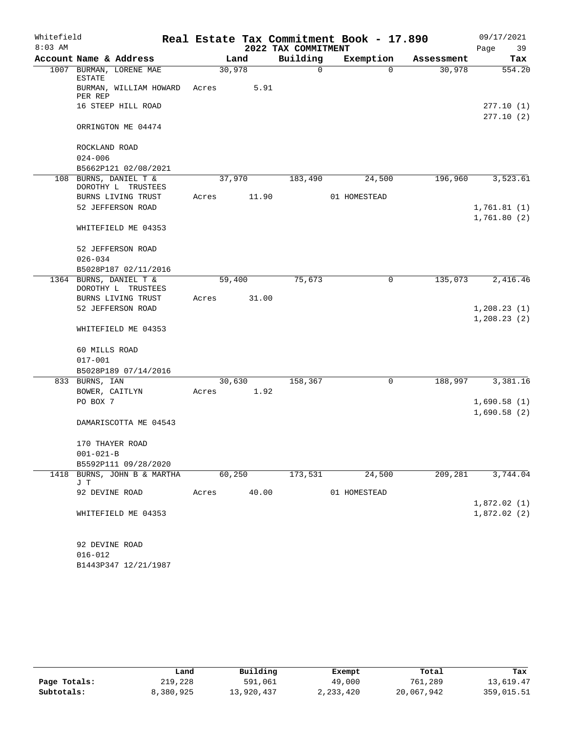| Whitefield |                                              |       |                     |             | Real Estate Tax Commitment Book - 17.890 |            | 09/17/2021   |  |
|------------|----------------------------------------------|-------|---------------------|-------------|------------------------------------------|------------|--------------|--|
| $8:03$ AM  |                                              |       | 2022 TAX COMMITMENT |             |                                          |            |              |  |
|            | Account Name & Address                       |       | Land                | Building    | Exemption                                | Assessment | Tax          |  |
|            | 1007 BURMAN, LORENE MAE<br><b>ESTATE</b>     |       | 30,978              | $\mathbf 0$ | 0                                        | 30,978     | 554.20       |  |
|            | BURMAN, WILLIAM HOWARD<br>PER REP            | Acres | 5.91                |             |                                          |            |              |  |
|            | 16 STEEP HILL ROAD                           |       |                     |             |                                          |            | 277.10(1)    |  |
|            | ORRINGTON ME 04474                           |       |                     |             |                                          |            | 277.10(2)    |  |
|            | ROCKLAND ROAD                                |       |                     |             |                                          |            |              |  |
|            | $024 - 006$                                  |       |                     |             |                                          |            |              |  |
|            | B5662P121 02/08/2021                         |       |                     |             |                                          |            |              |  |
| 108        | BURNS, DANIEL T &<br>DOROTHY L TRUSTEES      |       | 37,970              | 183,490     | 24,500                                   | 196,960    | 3,523.61     |  |
|            | BURNS LIVING TRUST                           | Acres | 11.90               |             | 01 HOMESTEAD                             |            |              |  |
|            | 52 JEFFERSON ROAD                            |       |                     |             |                                          |            | 1,761.81(1)  |  |
|            |                                              |       |                     |             |                                          |            | 1,761.80(2)  |  |
|            | WHITEFIELD ME 04353                          |       |                     |             |                                          |            |              |  |
|            | 52 JEFFERSON ROAD                            |       |                     |             |                                          |            |              |  |
|            | $026 - 034$                                  |       |                     |             |                                          |            |              |  |
|            | B5028P187 02/11/2016                         |       |                     |             |                                          |            |              |  |
|            | 1364 BURNS, DANIEL T &<br>DOROTHY L TRUSTEES |       | 59,400              | 75,673      | $\mathbf 0$                              | 135,073    | 2,416.46     |  |
|            | BURNS LIVING TRUST                           | Acres | 31.00               |             |                                          |            |              |  |
|            | 52 JEFFERSON ROAD                            |       |                     |             |                                          |            | 1, 208.23(1) |  |
|            | WHITEFIELD ME 04353                          |       |                     |             |                                          |            | 1, 208.23(2) |  |
|            | 60 MILLS ROAD                                |       |                     |             |                                          |            |              |  |
|            | $017 - 001$                                  |       |                     |             |                                          |            |              |  |
|            | B5028P189 07/14/2016                         |       |                     |             |                                          |            |              |  |
|            | 833 BURNS, IAN                               |       | 30,630              | 158,367     | $\mathbf 0$                              | 188,997    | 3,381.16     |  |
|            | BOWER, CAITLYN                               | Acres | 1.92                |             |                                          |            |              |  |
|            | PO BOX 7                                     |       |                     |             |                                          |            | 1,690.58(1)  |  |
|            | DAMARISCOTTA ME 04543                        |       |                     |             |                                          |            | 1,690.58(2)  |  |
|            | 170 THAYER ROAD                              |       |                     |             |                                          |            |              |  |
|            | $001 - 021 - B$                              |       |                     |             |                                          |            |              |  |
|            | B5592P111 09/28/2020                         |       |                     |             |                                          |            |              |  |
| 1418       | BURNS, JOHN B & MARTHA<br>JΤ                 |       | 60,250              | 173,531     | 24,500                                   | 209,281    | 3,744.04     |  |
|            | 92 DEVINE ROAD                               | Acres | 40.00               |             | 01 HOMESTEAD                             |            |              |  |
|            |                                              |       |                     |             |                                          |            | 1,872.02(1)  |  |
|            | WHITEFIELD ME 04353                          |       |                     |             |                                          |            | 1,872.02(2)  |  |
|            | 92 DEVINE ROAD                               |       |                     |             |                                          |            |              |  |
|            | $016 - 012$                                  |       |                     |             |                                          |            |              |  |
|            | B1443P347 12/21/1987                         |       |                     |             |                                          |            |              |  |

|              | Land      | Building   | Exempt      | Total      | Tax        |
|--------------|-----------|------------|-------------|------------|------------|
| Page Totals: | 219,228   | 591,061    | 49,000      | 761,289    | 13,619.47  |
| Subtotals:   | 8,380,925 | 13,920,437 | 2, 233, 420 | 20,067,942 | 359,015.51 |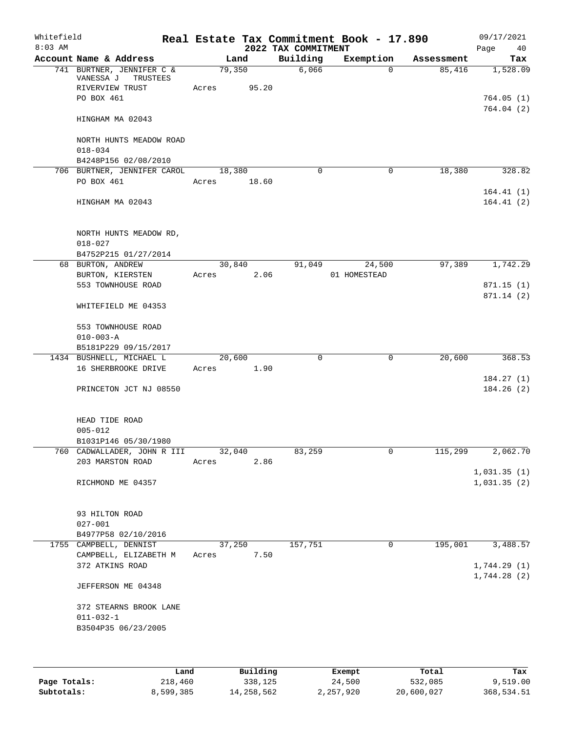| Whitefield<br>$8:03$ AM |                                                     |             |        |       | Real Estate Tax Commitment Book - 17.890<br>2022 TAX COMMITMENT |              |             |            | Page | 09/17/2021<br>40           |
|-------------------------|-----------------------------------------------------|-------------|--------|-------|-----------------------------------------------------------------|--------------|-------------|------------|------|----------------------------|
|                         | Account Name & Address                              |             | Land   |       | Building                                                        | Exemption    |             | Assessment |      | Tax                        |
|                         | 741 BURTNER, JENNIFER C &<br>VANESSA J<br>TRUSTEES  |             | 79,350 |       | 6,066                                                           |              | $\Omega$    | 85,416     |      | 1,528.09                   |
|                         | RIVERVIEW TRUST<br>PO BOX 461                       | Acres       |        | 95.20 |                                                                 |              |             |            |      | 764.05(1)<br>764.04(2)     |
|                         | HINGHAM MA 02043                                    |             |        |       |                                                                 |              |             |            |      |                            |
|                         | NORTH HUNTS MEADOW ROAD<br>$018 - 034$              |             |        |       |                                                                 |              |             |            |      |                            |
|                         | B4248P156 02/08/2010<br>706 BURTNER, JENNIFER CAROL |             |        |       | $\Omega$                                                        |              | $\mathbf 0$ |            |      | 328.82                     |
|                         | PO BOX 461                                          | Acres 18.60 | 18,380 |       |                                                                 |              |             | 18,380     |      |                            |
|                         | HINGHAM MA 02043                                    |             |        |       |                                                                 |              |             |            |      | 164.41(1)<br>164.41(2)     |
|                         | NORTH HUNTS MEADOW RD,<br>$018 - 027$               |             |        |       |                                                                 |              |             |            |      |                            |
|                         | B4752P215 01/27/2014<br>68 BURTON, ANDREW           |             | 30,840 |       | 91,049                                                          |              | 24,500      | 97,389     |      | 1,742.29                   |
|                         | BURTON, KIERSTEN                                    | Acres       |        | 2.06  |                                                                 | 01 HOMESTEAD |             |            |      |                            |
|                         | 553 TOWNHOUSE ROAD                                  |             |        |       |                                                                 |              |             |            |      | 871.15(1)                  |
|                         | WHITEFIELD ME 04353                                 |             |        |       |                                                                 |              |             |            |      | 871.14 (2)                 |
|                         | 553 TOWNHOUSE ROAD<br>$010 - 003 - A$               |             |        |       |                                                                 |              |             |            |      |                            |
|                         | B5181P229 09/15/2017                                |             |        |       |                                                                 |              |             |            |      |                            |
|                         | 1434 BUSHNELL, MICHAEL L                            |             | 20,600 |       | $\mathbf 0$                                                     |              | $\mathbf 0$ | 20,600     |      | 368.53                     |
|                         | 16 SHERBROOKE DRIVE                                 | Acres       |        | 1.90  |                                                                 |              |             |            |      |                            |
|                         |                                                     |             |        |       |                                                                 |              |             |            |      | 184.27(1)                  |
|                         | PRINCETON JCT NJ 08550                              |             |        |       |                                                                 |              |             |            |      | 184.26 (2)                 |
|                         | HEAD TIDE ROAD<br>$005 - 012$                       |             |        |       |                                                                 |              |             |            |      |                            |
|                         | B1031P146 05/30/1980                                |             |        |       |                                                                 |              |             |            |      |                            |
|                         | 760 CADWALLADER, JOHN R III                         |             | 32,040 |       | 83,259                                                          |              | 0           | 115,299    |      | 2,062.70                   |
|                         | 203 MARSTON ROAD                                    | Acres       |        | 2.86  |                                                                 |              |             |            |      |                            |
|                         | RICHMOND ME 04357                                   |             |        |       |                                                                 |              |             |            |      | 1,031.35(1)<br>1,031.35(2) |
|                         |                                                     |             |        |       |                                                                 |              |             |            |      |                            |
|                         | 93 HILTON ROAD<br>$027 - 001$                       |             |        |       |                                                                 |              |             |            |      |                            |
|                         | B4977P58 02/10/2016                                 |             |        |       |                                                                 |              |             |            |      |                            |
|                         | 1755 CAMPBELL, DENNIST                              |             | 37,250 |       | 157,751                                                         |              | 0           | 195,001    |      | 3,488.57                   |
|                         | CAMPBELL, ELIZABETH M                               | Acres       |        | 7.50  |                                                                 |              |             |            |      |                            |
|                         | 372 ATKINS ROAD                                     |             |        |       |                                                                 |              |             |            |      | 1,744.29(1)                |
|                         | JEFFERSON ME 04348                                  |             |        |       |                                                                 |              |             |            |      | 1,744.28(2)                |
|                         | 372 STEARNS BROOK LANE                              |             |        |       |                                                                 |              |             |            |      |                            |
|                         | $011 - 032 - 1$<br>B3504P35 06/23/2005              |             |        |       |                                                                 |              |             |            |      |                            |
|                         |                                                     |             |        |       |                                                                 |              |             |            |      |                            |

|              | Land      | Building   | Exempt    | Total      | Tax        |
|--------------|-----------|------------|-----------|------------|------------|
| Page Totals: | 218,460   | 338,125    | 24,500    | 532,085    | 9,519.00   |
| Subtotals:   | 8,599,385 | 14,258,562 | 2,257,920 | 20,600,027 | 368,534.51 |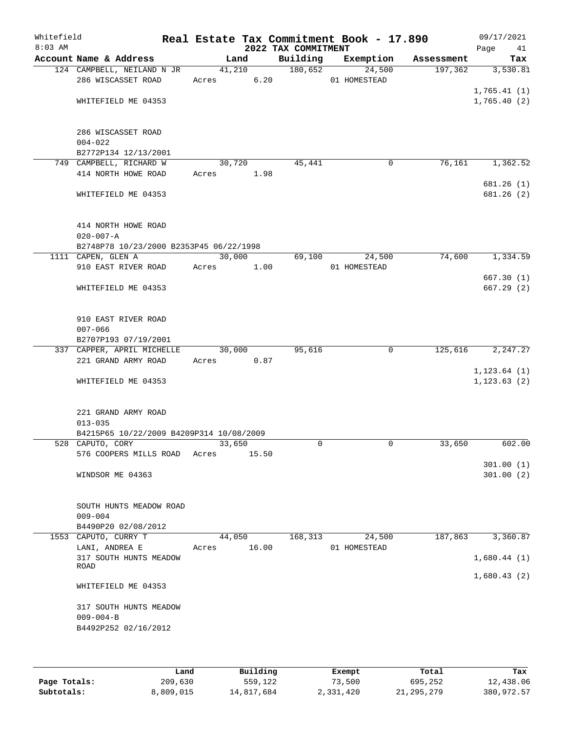| Whitefield<br>$8:03$ AM |                                                         |            |        | 2022 TAX COMMITMENT | Real Estate Tax Commitment Book - 17.890 |            | 09/17/2021<br>Page<br>41   |
|-------------------------|---------------------------------------------------------|------------|--------|---------------------|------------------------------------------|------------|----------------------------|
|                         | Account Name & Address                                  | Land       |        | Building            | Exemption                                | Assessment | Tax                        |
|                         | 124 CAMPBELL, NEILAND N JR<br>286 WISCASSET ROAD        | Acres 6.20 | 41,210 | 180,652             | 24,500<br>01 HOMESTEAD                   | 197,362    | 3,530.81                   |
|                         | WHITEFIELD ME 04353                                     |            |        |                     |                                          |            | 1,765.41(1)<br>1,765.40(2) |
|                         |                                                         |            |        |                     |                                          |            |                            |
|                         | 286 WISCASSET ROAD<br>$004 - 022$                       |            |        |                     |                                          |            |                            |
|                         | B2772P134 12/13/2001                                    |            |        |                     |                                          |            |                            |
|                         | 749 CAMPBELL, RICHARD W                                 | 30,720     |        | 45,441              | 0                                        | 76,161     | 1,362.52                   |
|                         | 414 NORTH HOWE ROAD                                     | Acres      | 1.98   |                     |                                          |            | 681.26(1)                  |
|                         | WHITEFIELD ME 04353                                     |            |        |                     |                                          |            | 681.26 (2)                 |
|                         | 414 NORTH HOWE ROAD                                     |            |        |                     |                                          |            |                            |
|                         | $020 - 007 - A$                                         |            |        |                     |                                          |            |                            |
|                         | B2748P78 10/23/2000 B2353P45 06/22/1998                 |            |        |                     |                                          |            |                            |
|                         | 1111 CAPEN, GLEN A<br>910 EAST RIVER ROAD               |            | 30,000 | 69,100              | 24,500                                   | 74,600     | 1,334.59                   |
|                         |                                                         | Acres      | 1.00   |                     | 01 HOMESTEAD                             |            | 667.30(1)                  |
|                         | WHITEFIELD ME 04353                                     |            |        |                     |                                          |            | 667.29(2)                  |
|                         | 910 EAST RIVER ROAD                                     |            |        |                     |                                          |            |                            |
|                         | $007 - 066$                                             |            |        |                     |                                          |            |                            |
|                         | B2707P193 07/19/2001                                    |            |        |                     |                                          |            |                            |
|                         | 337 CAPPER, APRIL MICHELLE                              | 30,000     |        | 95,616              | $\mathbf 0$                              | 125,616    | 2,247.27                   |
|                         | 221 GRAND ARMY ROAD                                     | Acres      | 0.87   |                     |                                          |            |                            |
|                         |                                                         |            |        |                     |                                          |            | 1, 123.64(1)               |
|                         | WHITEFIELD ME 04353                                     |            |        |                     |                                          |            | 1, 123.63(2)               |
|                         | 221 GRAND ARMY ROAD                                     |            |        |                     |                                          |            |                            |
|                         | $013 - 035$<br>B4215P65 10/22/2009 B4209P314 10/08/2009 |            |        |                     |                                          |            |                            |
|                         | 528 CAPUTO, CORY                                        | 33,650     |        | $\Omega$            | $\mathbf 0$                              | 33,650     | 602.00                     |
|                         | 576 COOPERS MILLS ROAD                                  | Acres      | 15.50  |                     |                                          |            |                            |
|                         |                                                         |            |        |                     |                                          |            | 301.00(1)                  |
|                         | WINDSOR ME 04363                                        |            |        |                     |                                          |            | 301.00(2)                  |
|                         | SOUTH HUNTS MEADOW ROAD                                 |            |        |                     |                                          |            |                            |
|                         | $009 - 004$                                             |            |        |                     |                                          |            |                            |
|                         | B4490P20 02/08/2012                                     |            |        |                     |                                          |            |                            |
|                         | 1553 CAPUTO, CURRY T                                    | 44,050     |        | 168, 313            | 24,500                                   | 187,863    | 3,360.87                   |
|                         | LANI, ANDREA E                                          | Acres      | 16.00  |                     | 01 HOMESTEAD                             |            |                            |
|                         | 317 SOUTH HUNTS MEADOW<br>ROAD                          |            |        |                     |                                          |            | 1,680.44(1)                |
|                         | WHITEFIELD ME 04353                                     |            |        |                     |                                          |            | 1,680.43(2)                |
|                         |                                                         |            |        |                     |                                          |            |                            |
|                         | 317 SOUTH HUNTS MEADOW                                  |            |        |                     |                                          |            |                            |
|                         | $009 - 004 - B$                                         |            |        |                     |                                          |            |                            |
|                         | B4492P252 02/16/2012                                    |            |        |                     |                                          |            |                            |
|                         |                                                         |            |        |                     |                                          |            |                            |

|              | Land      | Building   | Exempt    | Total        | Tax        |
|--------------|-----------|------------|-----------|--------------|------------|
| Page Totals: | 209,630   | 559,122    | 73,500    | 695,252      | 12,438.06  |
| Subtotals:   | 8,809,015 | 14,817,684 | 2,331,420 | 21, 295, 279 | 380,972.57 |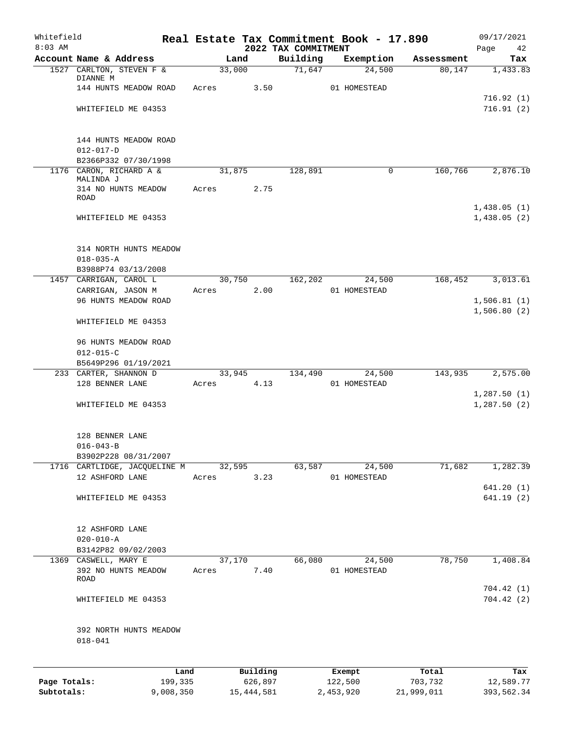| Whitefield<br>$8:03$ AM |                                       |       |              | 2022 TAX COMMITMENT | Real Estate Tax Commitment Book - 17.890 |            | 09/17/2021             |
|-------------------------|---------------------------------------|-------|--------------|---------------------|------------------------------------------|------------|------------------------|
|                         | Account Name & Address                |       | Land         | Building            | Exemption                                | Assessment | Page<br>42<br>Tax      |
|                         | 1527 CARLTON, STEVEN F &              |       | 33,000       | 71,647              | 24,500                                   | 80,147     | 1,433.83               |
|                         | DIANNE M                              |       |              |                     |                                          |            |                        |
|                         | 144 HUNTS MEADOW ROAD                 | Acres | 3.50         |                     | 01 HOMESTEAD                             |            |                        |
|                         |                                       |       |              |                     |                                          |            | 716.92(1)              |
|                         | WHITEFIELD ME 04353                   |       |              |                     |                                          |            | 716.91(2)              |
|                         | 144 HUNTS MEADOW ROAD                 |       |              |                     |                                          |            |                        |
|                         | $012 - 017 - D$                       |       |              |                     |                                          |            |                        |
|                         | B2366P332 07/30/1998                  |       |              |                     |                                          |            |                        |
|                         | 1176 CARON, RICHARD A &               |       | 31,875       | 128,891             | 0                                        | 160,766    | 2,876.10               |
|                         | MALINDA J<br>314 NO HUNTS MEADOW      | Acres | 2.75         |                     |                                          |            |                        |
|                         | ROAD                                  |       |              |                     |                                          |            |                        |
|                         |                                       |       |              |                     |                                          |            | 1,438.05(1)            |
|                         | WHITEFIELD ME 04353                   |       |              |                     |                                          |            | 1,438.05(2)            |
|                         | 314 NORTH HUNTS MEADOW                |       |              |                     |                                          |            |                        |
|                         | $018 - 035 - A$                       |       |              |                     |                                          |            |                        |
|                         | B3988P74 03/13/2008                   |       |              |                     |                                          |            |                        |
|                         | 1457 CARRIGAN, CAROL L                |       | 30,750       | 162,202             | 24,500                                   | 168,452    | 3,013.61               |
|                         | CARRIGAN, JASON M                     | Acres | 2.00         |                     | 01 HOMESTEAD                             |            |                        |
|                         | 96 HUNTS MEADOW ROAD                  |       |              |                     |                                          |            | 1,506.81(1)            |
|                         | WHITEFIELD ME 04353                   |       |              |                     |                                          |            | 1,506.80(2)            |
|                         |                                       |       |              |                     |                                          |            |                        |
|                         | 96 HUNTS MEADOW ROAD                  |       |              |                     |                                          |            |                        |
|                         | $012 - 015 - C$                       |       |              |                     |                                          |            |                        |
|                         | B5649P296 01/19/2021                  |       |              |                     |                                          |            |                        |
|                         | 233 CARTER, SHANNON D                 |       | 33,945       | 134,490             | 24,500                                   | 143,935    | 2,575.00               |
|                         | 128 BENNER LANE                       | Acres | 4.13         |                     | 01 HOMESTEAD                             |            | 1,287.50(1)            |
|                         | WHITEFIELD ME 04353                   |       |              |                     |                                          |            | 1,287.50(2)            |
|                         |                                       |       |              |                     |                                          |            |                        |
|                         | 128 BENNER LANE                       |       |              |                     |                                          |            |                        |
|                         | $016 - 043 - B$                       |       |              |                     |                                          |            |                        |
|                         | B3902P228 08/31/2007                  |       |              |                     |                                          |            |                        |
|                         | 1716 CARTLIDGE, JACQUELINE M          |       | 32,595       | 63,587              | 24,500                                   | 71,682     | 1,282.39               |
|                         | 12 ASHFORD LANE                       | Acres | 3.23         |                     | 01 HOMESTEAD                             |            |                        |
|                         | WHITEFIELD ME 04353                   |       |              |                     |                                          |            | 641.20(1)<br>641.19(2) |
|                         |                                       |       |              |                     |                                          |            |                        |
|                         | 12 ASHFORD LANE                       |       |              |                     |                                          |            |                        |
|                         | $020 - 010 - A$                       |       |              |                     |                                          |            |                        |
|                         | B3142P82 09/02/2003                   |       |              |                     |                                          |            |                        |
|                         | 1369 CASWELL, MARY E                  |       | 37,170       | 66,080              | 24,500                                   | 78,750     | 1,408.84               |
|                         | 392 NO HUNTS MEADOW<br>ROAD           | Acres | 7.40         |                     | 01 HOMESTEAD                             |            |                        |
|                         | WHITEFIELD ME 04353                   |       |              |                     |                                          |            | 704.42(1)<br>704.42(2) |
|                         |                                       |       |              |                     |                                          |            |                        |
|                         | 392 NORTH HUNTS MEADOW<br>$018 - 041$ |       |              |                     |                                          |            |                        |
|                         | Land                                  |       | Building     |                     | Exempt                                   | Total      | Tax                    |
| Page Totals:            | 199,335                               |       | 626,897      |                     | 122,500                                  | 703,732    | 12,589.77              |
| Subtotals:              | 9,008,350                             |       | 15, 444, 581 |                     | 2,453,920                                | 21,999,011 | 393,562.34             |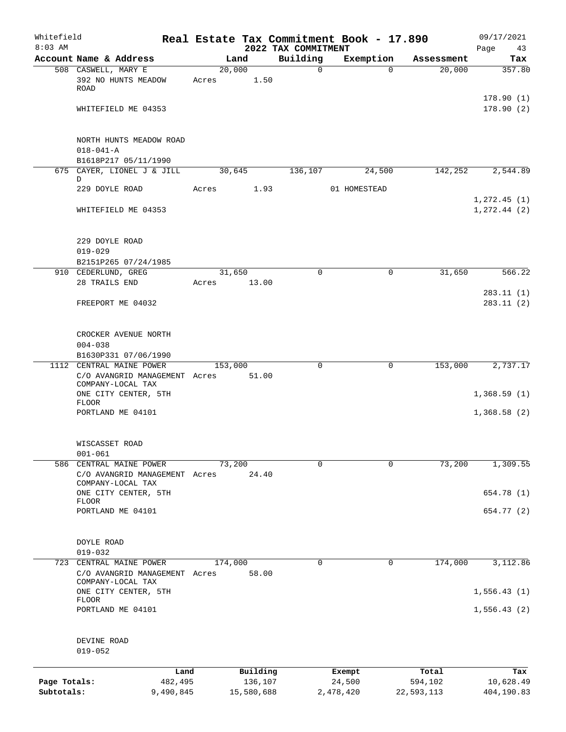| Whitefield<br>$8:03$ AM |                                                                                |                 |            |                                 | Real Estate Tax Commitment Book - 17.890 |            | 09/17/2021                    |
|-------------------------|--------------------------------------------------------------------------------|-----------------|------------|---------------------------------|------------------------------------------|------------|-------------------------------|
|                         | Account Name & Address                                                         |                 | Land       | 2022 TAX COMMITMENT<br>Building | Exemption                                | Assessment | Page<br>43<br>Tax             |
|                         | 508 CASWELL, MARY E<br>392 NO HUNTS MEADOW                                     | 20,000<br>Acres | 1.50       | $\mathbf 0$                     | $\Omega$                                 | 20,000     | 357.80                        |
|                         | <b>ROAD</b>                                                                    |                 |            |                                 |                                          |            | 178.90(1)                     |
|                         | WHITEFIELD ME 04353                                                            |                 |            |                                 |                                          |            | 178.90(2)                     |
|                         | NORTH HUNTS MEADOW ROAD<br>$018 - 041 - A$                                     |                 |            |                                 |                                          |            |                               |
|                         | B1618P217 05/11/1990                                                           |                 |            |                                 |                                          |            |                               |
|                         | 675 CAYER, LIONEL J & JILL                                                     |                 | 30,645     | 136,107                         | 24,500                                   | 142,252    | 2,544.89                      |
|                         | D<br>229 DOYLE ROAD                                                            | Acres           | 1.93       |                                 | 01 HOMESTEAD                             |            |                               |
|                         | WHITEFIELD ME 04353                                                            |                 |            |                                 |                                          |            | 1, 272.45(1)<br>1, 272.44 (2) |
|                         | 229 DOYLE ROAD                                                                 |                 |            |                                 |                                          |            |                               |
|                         | $019 - 029$                                                                    |                 |            |                                 |                                          |            |                               |
|                         | B2151P265 07/24/1985<br>910 CEDERLUND, GREG                                    |                 | 31,650     | $\Omega$                        | $\mathbf 0$                              | 31,650     | 566.22                        |
|                         | 28 TRAILS END                                                                  | Acres           | 13.00      |                                 |                                          |            |                               |
|                         | FREEPORT ME 04032                                                              |                 |            |                                 |                                          |            | 283.11(1)<br>283.11(2)        |
|                         | CROCKER AVENUE NORTH<br>$004 - 038$                                            |                 |            |                                 |                                          |            |                               |
|                         | B1630P331 07/06/1990                                                           |                 |            |                                 |                                          |            |                               |
|                         | 1112 CENTRAL MAINE POWER<br>C/O AVANGRID MANAGEMENT Acres<br>COMPANY-LOCAL TAX | 153,000         | 51.00      | $\mathbf 0$                     | $\mathbf 0$                              | 153,000    | 2,737.17                      |
|                         | ONE CITY CENTER, 5TH<br><b>FLOOR</b>                                           |                 |            |                                 |                                          |            | 1,368.59(1)                   |
|                         | PORTLAND ME 04101                                                              |                 |            |                                 |                                          |            | 1,368.58(2)                   |
|                         | WISCASSET ROAD<br>$001 - 061$                                                  |                 |            |                                 |                                          |            |                               |
| 586                     | CENTRAL MAINE POWER                                                            | 73,200          |            | $\mathbf 0$                     | 0                                        | 73,200     | 1,309.55                      |
|                         | C/O AVANGRID MANAGEMENT Acres<br>COMPANY-LOCAL TAX                             |                 | 24.40      |                                 |                                          |            |                               |
|                         | ONE CITY CENTER, 5TH<br><b>FLOOR</b>                                           |                 |            |                                 |                                          |            | 654.78 (1)                    |
|                         | PORTLAND ME 04101                                                              |                 |            |                                 |                                          |            | 654.77 (2)                    |
|                         | DOYLE ROAD<br>$019 - 032$                                                      |                 |            |                                 |                                          |            |                               |
| 723                     | CENTRAL MAINE POWER<br>C/O AVANGRID MANAGEMENT Acres<br>COMPANY-LOCAL TAX      | 174,000         | 58.00      | 0                               | 0                                        | 174,000    | 3,112.86                      |
|                         | ONE CITY CENTER, 5TH<br><b>FLOOR</b>                                           |                 |            |                                 |                                          |            | 1,556.43(1)                   |
|                         | PORTLAND ME 04101                                                              |                 |            |                                 |                                          |            | 1,556.43(2)                   |
|                         | DEVINE ROAD<br>$019 - 052$                                                     |                 |            |                                 |                                          |            |                               |
|                         |                                                                                | Land            | Building   |                                 | Exempt                                   | Total      | Tax                           |
| Page Totals:            | 482,495                                                                        |                 | 136,107    |                                 | 24,500                                   | 594,102    | 10,628.49                     |
| Subtotals:              | 9,490,845                                                                      |                 | 15,580,688 |                                 | 2,478,420                                | 22,593,113 | 404,190.83                    |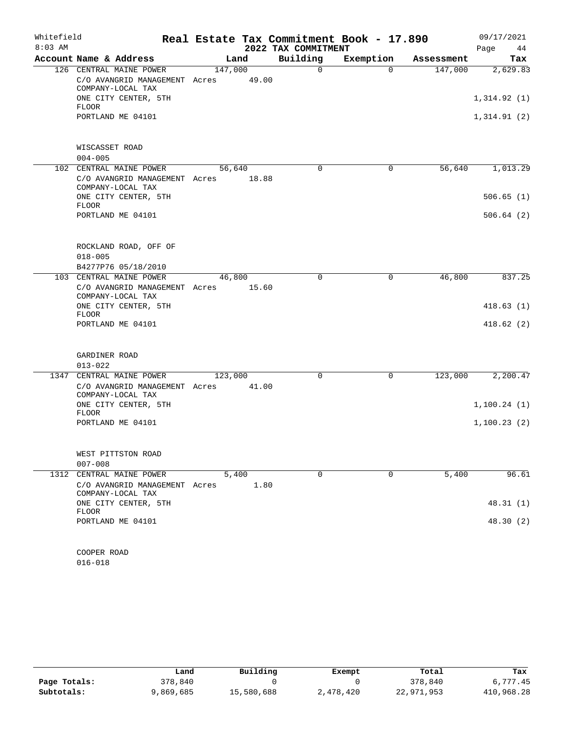| Whitefield |                                                                               |         |       |                     | Real Estate Tax Commitment Book - 17.890 |            | 09/17/2021  |
|------------|-------------------------------------------------------------------------------|---------|-------|---------------------|------------------------------------------|------------|-------------|
| $8:03$ AM  |                                                                               |         |       | 2022 TAX COMMITMENT |                                          |            | Page<br>44  |
|            | Account Name & Address                                                        | Land    |       | Building            | Exemption                                | Assessment | Tax         |
|            | 126 CENTRAL MAINE POWER<br>C/O AVANGRID MANAGEMENT Acres<br>COMPANY-LOCAL TAX | 147,000 | 49.00 | $\Omega$            | $\Omega$                                 | 147,000    | 2,629.83    |
|            | ONE CITY CENTER, 5TH<br>FLOOR                                                 |         |       |                     |                                          |            | 1,314.92(1) |
|            | PORTLAND ME 04101                                                             |         |       |                     |                                          |            | 1,314.91(2) |
|            | WISCASSET ROAD<br>$004 - 005$                                                 |         |       |                     |                                          |            |             |
|            | 102 CENTRAL MAINE POWER                                                       | 56,640  |       | $\mathbf 0$         | $\mathbf 0$                              | 56,640     | 1,013.29    |
|            | C/O AVANGRID MANAGEMENT Acres<br>COMPANY-LOCAL TAX                            |         | 18.88 |                     |                                          |            |             |
|            | ONE CITY CENTER, 5TH<br><b>FLOOR</b>                                          |         |       |                     |                                          |            | 506.65(1)   |
|            | PORTLAND ME 04101                                                             |         |       |                     |                                          |            | 506.64(2)   |
|            | ROCKLAND ROAD, OFF OF<br>$018 - 005$                                          |         |       |                     |                                          |            |             |
|            | B4277P76 05/18/2010                                                           |         |       | $\mathbf 0$         | $\mathsf{O}$                             | 46,800     | 837.25      |
|            | 103 CENTRAL MAINE POWER<br>C/O AVANGRID MANAGEMENT Acres<br>COMPANY-LOCAL TAX | 46,800  | 15.60 |                     |                                          |            |             |
|            | ONE CITY CENTER, 5TH<br><b>FLOOR</b>                                          |         |       |                     |                                          |            | 418.63(1)   |
|            | PORTLAND ME 04101                                                             |         |       |                     |                                          |            | 418.62(2)   |
|            | GARDINER ROAD<br>$013 - 022$                                                  |         |       |                     |                                          |            |             |
|            | 1347 CENTRAL MAINE POWER                                                      | 123,000 |       | 0                   | $\mathsf{O}$                             | 123,000    | 2,200.47    |
|            | C/O AVANGRID MANAGEMENT Acres<br>COMPANY-LOCAL TAX                            |         | 41.00 |                     |                                          |            |             |
|            | ONE CITY CENTER, 5TH<br>FLOOR                                                 |         |       |                     |                                          |            | 1,100.24(1) |
|            | PORTLAND ME 04101                                                             |         |       |                     |                                          |            | 1,100.23(2) |
|            | WEST PITTSTON ROAD<br>$007 - 008$                                             |         |       |                     |                                          |            |             |
|            | 1312 CENTRAL MAINE POWER                                                      | 5,400   |       | $\Omega$            | $\Omega$                                 | 5,400      | 96.61       |
|            | C/O AVANGRID MANAGEMENT Acres<br>COMPANY-LOCAL TAX                            |         | 1.80  |                     |                                          |            |             |
|            | ONE CITY CENTER, 5TH<br><b>FLOOR</b>                                          |         |       |                     |                                          |            | 48.31(1)    |
|            | PORTLAND ME 04101                                                             |         |       |                     |                                          |            | 48.30 (2)   |
|            | COOPER ROAD                                                                   |         |       |                     |                                          |            |             |
|            | $016 - 018$                                                                   |         |       |                     |                                          |            |             |

|              | Land      | Building   | Exempt    | Total      | Tax        |
|--------------|-----------|------------|-----------|------------|------------|
| Page Totals: | 378,840   |            |           | 378,840    | 6,777.45   |
| Subtotals:   | 9,869,685 | 15,580,688 | 2,478,420 | 22,971,953 | 410,968.28 |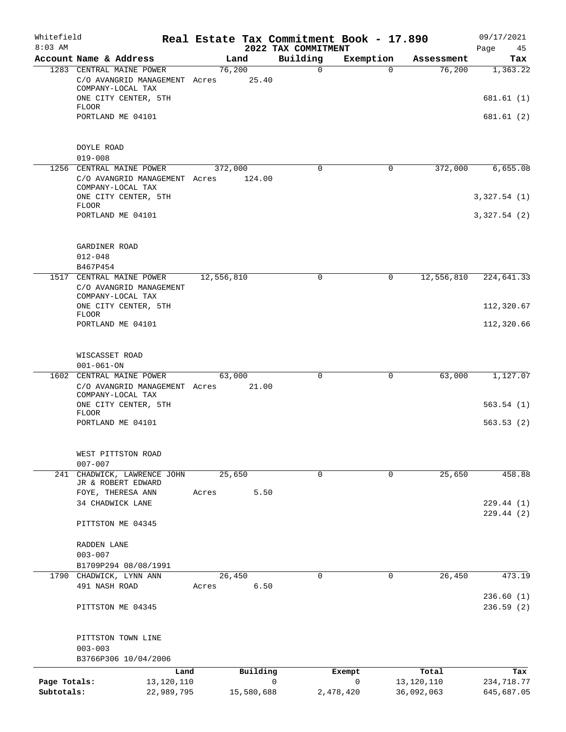| Whitefield<br>$8:03$ AM |                                                                                |                      |            | Real Estate Tax Commitment Book - 17.890<br>2022 TAX COMMITMENT |             |                     | 09/17/2021<br>45<br>Page |
|-------------------------|--------------------------------------------------------------------------------|----------------------|------------|-----------------------------------------------------------------|-------------|---------------------|--------------------------|
|                         | Account Name & Address                                                         | Land                 |            | Building                                                        | Exemption   | Assessment          | Tax                      |
|                         | 1283 CENTRAL MAINE POWER<br>C/O AVANGRID MANAGEMENT Acres<br>COMPANY-LOCAL TAX | 76,200               | 25.40      | $\mathbf 0$                                                     | $\Omega$    | 76,200              | 1,363.22                 |
|                         | ONE CITY CENTER, 5TH<br>FLOOR<br>PORTLAND ME 04101                             |                      |            |                                                                 |             |                     | 681.61 (1)<br>681.61 (2) |
|                         | DOYLE ROAD<br>$019 - 008$                                                      |                      |            |                                                                 |             |                     |                          |
|                         | 1256 CENTRAL MAINE POWER<br>C/O AVANGRID MANAGEMENT Acres<br>COMPANY-LOCAL TAX | 372,000              | 124.00     | $\mathbf 0$                                                     | $\mathbf 0$ | 372,000             | 6,655.08                 |
|                         | ONE CITY CENTER, 5TH<br>FLOOR                                                  |                      |            |                                                                 |             |                     | 3,327.54(1)              |
|                         | PORTLAND ME 04101                                                              |                      |            |                                                                 |             |                     | 3,327.54(2)              |
|                         | GARDINER ROAD<br>$012 - 048$<br>B467P454                                       |                      |            |                                                                 |             |                     |                          |
|                         | 1517 CENTRAL MAINE POWER<br>C/O AVANGRID MANAGEMENT                            | 12,556,810<br>0<br>0 | 12,556,810 | 224,641.33                                                      |             |                     |                          |
|                         | COMPANY-LOCAL TAX<br>ONE CITY CENTER, 5TH<br><b>FLOOR</b>                      |                      |            |                                                                 |             |                     | 112,320.67               |
|                         | PORTLAND ME 04101                                                              |                      |            |                                                                 |             |                     | 112,320.66               |
|                         | WISCASSET ROAD<br>$001 - 061 - ON$                                             |                      |            |                                                                 |             |                     |                          |
|                         | 1602 CENTRAL MAINE POWER<br>C/O AVANGRID MANAGEMENT Acres<br>COMPANY-LOCAL TAX | 63,000               | 21.00      | $\mathbf 0$                                                     | 0           | 63,000              | 1,127.07                 |
|                         | ONE CITY CENTER, 5TH<br><b>FLOOR</b><br>PORTLAND ME 04101                      |                      |            |                                                                 |             |                     | 563.54(1)<br>563.53(2)   |
|                         |                                                                                |                      |            |                                                                 |             |                     |                          |
|                         | WEST PITTSTON ROAD<br>$007 - 007$                                              |                      |            |                                                                 |             |                     |                          |
| 241                     | CHADWICK, LAWRENCE JOHN<br>JR & ROBERT EDWARD<br>FOYE, THERESA ANN             | 25,650<br>Acres      | 5.50       | $\mathbf 0$                                                     | $\Omega$    | 25,650              | 458.88                   |
|                         | 34 CHADWICK LANE                                                               |                      |            |                                                                 |             |                     | 229.44(1)<br>229.44 (2)  |
|                         | PITTSTON ME 04345                                                              |                      |            |                                                                 |             |                     |                          |
|                         | RADDEN LANE<br>$003 - 007$                                                     |                      |            |                                                                 |             |                     |                          |
|                         | B1709P294 08/08/1991                                                           |                      |            | $\Omega$                                                        | $\mathbf 0$ |                     |                          |
|                         | 1790 CHADWICK, LYNN ANN<br>491 NASH ROAD                                       | 26,450<br>Acres      | 6.50       |                                                                 |             | 26,450              | 473.19<br>236.60(1)      |
|                         | PITTSTON ME 04345                                                              |                      |            |                                                                 |             |                     | 236.59(2)                |
|                         | PITTSTON TOWN LINE<br>$003 - 003$                                              |                      |            |                                                                 |             |                     |                          |
|                         | B3766P306 10/04/2006                                                           |                      |            |                                                                 |             |                     |                          |
| Page Totals:            | Land<br>13, 120, 110                                                           |                      | Building   | 0                                                               | Exempt<br>0 | Total<br>13,120,110 | Tax<br>234,718.77        |
| Subtotals:              | 22,989,795                                                                     |                      | 15,580,688 |                                                                 | 2,478,420   | 36,092,063          | 645,687.05               |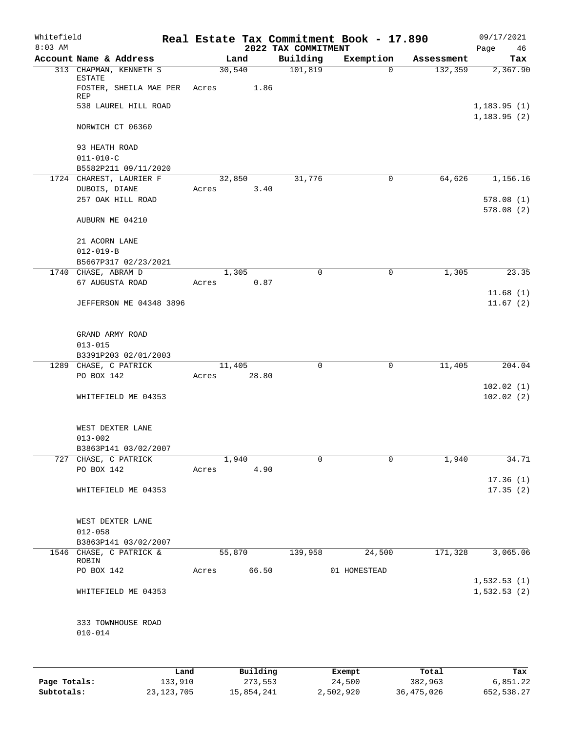| Whitefield<br>$8:03$ AM |                                                                  | Real Estate Tax Commitment Book - 17.890 | 2022 TAX COMMITMENT |                        |            | 09/17/2021<br>Page<br>46           |
|-------------------------|------------------------------------------------------------------|------------------------------------------|---------------------|------------------------|------------|------------------------------------|
|                         | Account Name & Address                                           | Land                                     | Building            | Exemption              | Assessment | Tax                                |
|                         | 313 CHAPMAN, KENNETH S<br>ESTATE<br>FOSTER, SHEILA MAE PER Acres | 30,540<br>1.86                           | 101,819             | $\Omega$               | 132,359    | 2,367.90                           |
|                         | REP<br>538 LAUREL HILL ROAD                                      |                                          |                     |                        |            | 1,183.95(1)                        |
|                         | NORWICH CT 06360                                                 |                                          |                     |                        |            | 1, 183.95(2)                       |
|                         | 93 HEATH ROAD<br>$011 - 010 - C$                                 |                                          |                     |                        |            |                                    |
|                         | B5582P211 09/11/2020                                             |                                          |                     |                        |            |                                    |
|                         | 1724 CHAREST, LAURIER F<br>DUBOIS, DIANE<br>257 OAK HILL ROAD    | 32,850<br>3.40<br>Acres                  | 31,776              | 0                      | 64,626     | 1,156.16<br>578.08(1)<br>578.08(2) |
|                         | AUBURN ME 04210                                                  |                                          |                     |                        |            |                                    |
|                         | 21 ACORN LANE<br>$012 - 019 - B$                                 |                                          |                     |                        |            |                                    |
|                         | B5667P317 02/23/2021                                             |                                          |                     |                        |            |                                    |
|                         | 1740 CHASE, ABRAM D<br>67 AUGUSTA ROAD                           | 1,305<br>0.87<br>Acres                   | $\Omega$            | $\mathbf 0$            | 1,305      | 23.35                              |
|                         | JEFFERSON ME 04348 3896                                          |                                          |                     |                        |            | 11.68(1)<br>11.67(2)               |
|                         | GRAND ARMY ROAD<br>$013 - 015$<br>B3391P203 02/01/2003           |                                          |                     |                        |            |                                    |
|                         | 1289 CHASE, C PATRICK                                            | 11,405                                   | $\mathbf 0$         | 0                      | 11,405     | 204.04                             |
|                         | PO BOX 142                                                       | 28.80<br>Acres                           |                     |                        |            |                                    |
|                         | WHITEFIELD ME 04353                                              |                                          |                     |                        |            | 102.02(1)<br>102.02(2)             |
|                         | WEST DEXTER LANE<br>$013 - 002$                                  |                                          |                     |                        |            |                                    |
|                         | B3863P141 03/02/2007<br>727 CHASE, C PATRICK                     | 1,940                                    | 0                   | $\mathbf 0$            | 1,940      | 34.71                              |
|                         | PO BOX 142                                                       | Acres 4.90                               |                     |                        |            |                                    |
|                         | WHITEFIELD ME 04353                                              |                                          |                     |                        |            | 17.36(1)<br>17.35(2)               |
|                         |                                                                  |                                          |                     |                        |            |                                    |
|                         | WEST DEXTER LANE                                                 |                                          |                     |                        |            |                                    |
|                         | $012 - 058$                                                      |                                          |                     |                        |            |                                    |
|                         | B3863P141 03/02/2007                                             |                                          |                     |                        |            |                                    |
|                         | 1546 CHASE, C PATRICK &<br>ROBIN<br>PO BOX 142                   | 55,870<br>Acres 66.50                    | 139,958             | 24,500<br>01 HOMESTEAD | 171,328    | 3,065.06                           |
|                         |                                                                  |                                          |                     |                        |            | 1,532.53(1)                        |
|                         | WHITEFIELD ME 04353                                              |                                          |                     |                        |            | 1,532.53(2)                        |
|                         | 333 TOWNHOUSE ROAD<br>$010 - 014$                                |                                          |                     |                        |            |                                    |
|                         |                                                                  |                                          |                     |                        |            |                                    |
|                         |                                                                  | Building<br>Land                         |                     | <b>Exempt</b>          | Total      | Tax                                |

|              | Land         | Building   | Exempt    | Total        | Tax        |
|--------------|--------------|------------|-----------|--------------|------------|
| Page Totals: | 133,910      | 273,553    | 24,500    | 382,963      | 6,851.22   |
| Subtotals:   | 23, 123, 705 | 15,854,241 | 2,502,920 | 36, 475, 026 | 652,538.27 |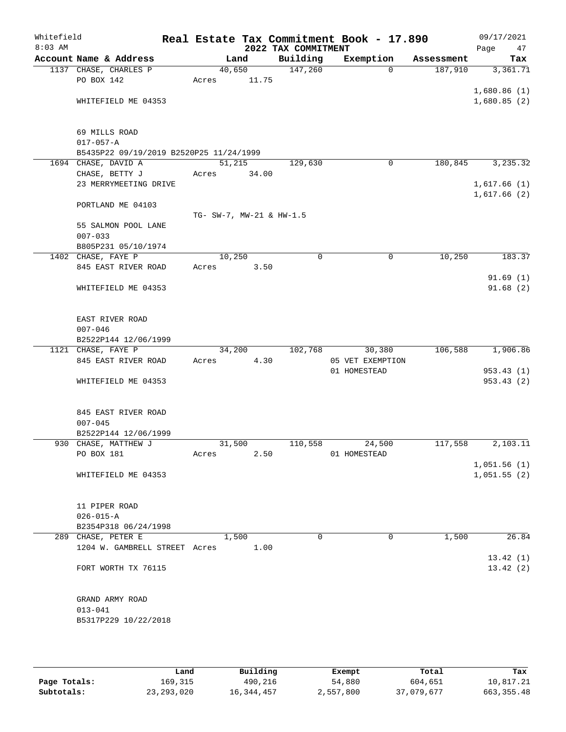| Whitefield<br>$8:03$ AM |                                         |                          |       | 2022 TAX COMMITMENT | Real Estate Tax Commitment Book - 17.890 |            | 09/17/2021<br>47<br>Page |
|-------------------------|-----------------------------------------|--------------------------|-------|---------------------|------------------------------------------|------------|--------------------------|
|                         | Account Name & Address                  |                          | Land  | Building            | Exemption                                | Assessment | Tax                      |
|                         | 1137 CHASE, CHARLES P                   | 40,650                   |       | 147,260             | $\Omega$                                 | 187,910    | 3,361.71                 |
|                         | PO BOX 142                              | Acres                    | 11.75 |                     |                                          |            |                          |
|                         |                                         |                          |       |                     |                                          |            | 1,680.86(1)              |
|                         | WHITEFIELD ME 04353                     |                          |       |                     |                                          |            | 1,680.85(2)              |
|                         |                                         |                          |       |                     |                                          |            |                          |
|                         | 69 MILLS ROAD                           |                          |       |                     |                                          |            |                          |
|                         | $017 - 057 - A$                         |                          |       |                     |                                          |            |                          |
|                         | B5435P22 09/19/2019 B2520P25 11/24/1999 |                          |       |                     |                                          |            |                          |
|                         | 1694 CHASE, DAVID A                     | 51,215                   |       | 129,630             | $\mathbf 0$                              | 180,845    | 3,235.32                 |
|                         | CHASE, BETTY J                          | Acres                    | 34.00 |                     |                                          |            |                          |
|                         | 23 MERRYMEETING DRIVE                   |                          |       |                     |                                          |            | 1,617.66(1)              |
|                         |                                         |                          |       |                     |                                          |            | 1,617.66(2)              |
|                         | PORTLAND ME 04103                       |                          |       |                     |                                          |            |                          |
|                         |                                         | TG- SW-7, MW-21 & HW-1.5 |       |                     |                                          |            |                          |
|                         | 55 SALMON POOL LANE<br>$007 - 033$      |                          |       |                     |                                          |            |                          |
|                         | B805P231 05/10/1974                     |                          |       |                     |                                          |            |                          |
|                         | 1402 CHASE, FAYE P                      | 10,250                   |       | $\mathbf 0$         | $\mathbf 0$                              | 10,250     | 183.37                   |
|                         | 845 EAST RIVER ROAD                     | Acres                    | 3.50  |                     |                                          |            |                          |
|                         |                                         |                          |       |                     |                                          |            | 91.69(1)                 |
|                         | WHITEFIELD ME 04353                     |                          |       |                     |                                          |            | 91.68(2)                 |
|                         |                                         |                          |       |                     |                                          |            |                          |
|                         |                                         |                          |       |                     |                                          |            |                          |
|                         | EAST RIVER ROAD                         |                          |       |                     |                                          |            |                          |
|                         | $007 - 046$<br>B2522P144 12/06/1999     |                          |       |                     |                                          |            |                          |
|                         | 1121 CHASE, FAYE P                      | 34,200                   |       | 102,768             | 30,380                                   | 106,588    | 1,906.86                 |
|                         | 845 EAST RIVER ROAD                     | Acres                    | 4.30  |                     | 05 VET EXEMPTION                         |            |                          |
|                         |                                         |                          |       |                     | 01 HOMESTEAD                             |            | 953.43(1)                |
|                         | WHITEFIELD ME 04353                     |                          |       |                     |                                          |            | 953.43(2)                |
|                         |                                         |                          |       |                     |                                          |            |                          |
|                         |                                         |                          |       |                     |                                          |            |                          |
|                         | 845 EAST RIVER ROAD                     |                          |       |                     |                                          |            |                          |
|                         | $007 - 045$<br>B2522P144 12/06/1999     |                          |       |                     |                                          |            |                          |
|                         | 930 CHASE, MATTHEW J                    | 31,500                   |       | 110,558             | 24,500                                   | 117,558    | 2,103.11                 |
|                         | PO BOX 181                              | Acres                    | 2.50  |                     | 01 HOMESTEAD                             |            |                          |
|                         |                                         |                          |       |                     |                                          |            | 1,051.56(1)              |
|                         | WHITEFIELD ME 04353                     |                          |       |                     |                                          |            | 1,051.55(2)              |
|                         |                                         |                          |       |                     |                                          |            |                          |
|                         |                                         |                          |       |                     |                                          |            |                          |
|                         | 11 PIPER ROAD<br>$026 - 015 - A$        |                          |       |                     |                                          |            |                          |
|                         | B2354P318 06/24/1998                    |                          |       |                     |                                          |            |                          |
|                         | 289 CHASE, PETER E                      |                          | 1,500 | $\mathbf 0$         | 0                                        | 1,500      | 26.84                    |
|                         | 1204 W. GAMBRELL STREET Acres           |                          | 1.00  |                     |                                          |            |                          |
|                         |                                         |                          |       |                     |                                          |            | 13.42(1)                 |
|                         | FORT WORTH TX 76115                     |                          |       |                     |                                          |            | 13.42(2)                 |
|                         |                                         |                          |       |                     |                                          |            |                          |
|                         |                                         |                          |       |                     |                                          |            |                          |
|                         | GRAND ARMY ROAD                         |                          |       |                     |                                          |            |                          |
|                         | $013 - 041$<br>B5317P229 10/22/2018     |                          |       |                     |                                          |            |                          |
|                         |                                         |                          |       |                     |                                          |            |                          |
|                         |                                         |                          |       |                     |                                          |            |                          |

|              | Land         | Building   | Exempt    | Total      | Tax          |
|--------------|--------------|------------|-----------|------------|--------------|
| Page Totals: | 169.315      | 490,216    | 54,880    | 604,651    | 10,817.21    |
| Subtotals:   | 23, 293, 020 | 16,344,457 | 2,557,800 | 37,079,677 | 663, 355, 48 |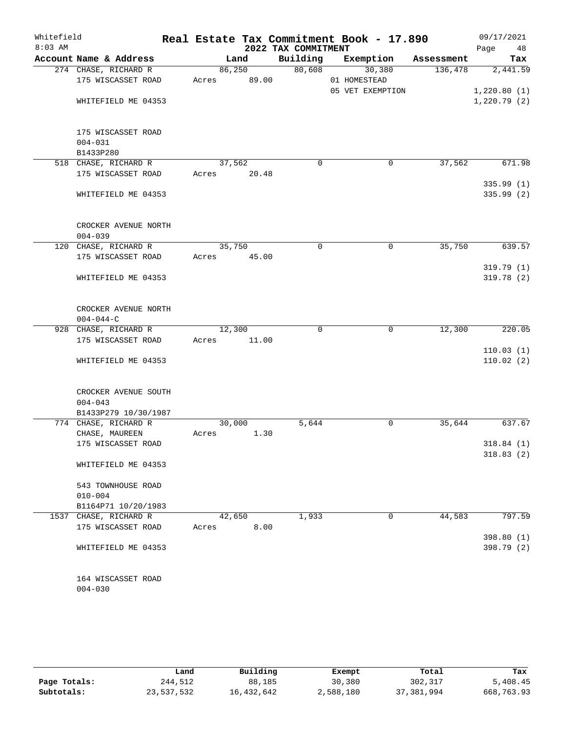| Whitefield<br>$8:03$ AM |                                            |        |       | 2022 TAX COMMITMENT | Real Estate Tax Commitment Book - 17.890 |            | 09/17/2021<br>Page<br>48 |
|-------------------------|--------------------------------------------|--------|-------|---------------------|------------------------------------------|------------|--------------------------|
|                         | Account Name & Address                     | Land   |       | Building            | Exemption                                | Assessment | Tax                      |
|                         | 274 CHASE, RICHARD R                       | 86,250 |       | 80,608              | 30,380                                   | 136,478    | 2,441.59                 |
|                         | 175 WISCASSET ROAD                         | Acres  | 89.00 |                     | 01 HOMESTEAD<br>05 VET EXEMPTION         |            | 1,220.80(1)              |
|                         | WHITEFIELD ME 04353                        |        |       |                     |                                          |            | 1,220.79(2)              |
|                         | 175 WISCASSET ROAD                         |        |       |                     |                                          |            |                          |
|                         | $004 - 031$                                |        |       |                     |                                          |            |                          |
|                         | B1433P280                                  | 37,562 |       | $\mathbf 0$         | 0                                        | 37,562     | 671.98                   |
|                         | 518 CHASE, RICHARD R<br>175 WISCASSET ROAD | Acres  | 20.48 |                     |                                          |            |                          |
|                         |                                            |        |       |                     |                                          |            | 335.99(1)                |
|                         | WHITEFIELD ME 04353                        |        |       |                     |                                          |            | 335.99(2)                |
|                         | CROCKER AVENUE NORTH<br>$004 - 039$        |        |       |                     |                                          |            |                          |
|                         | 120 CHASE, RICHARD R                       | 35,750 |       | $\Omega$            | $\mathbf 0$                              | 35,750     | 639.57                   |
|                         | 175 WISCASSET ROAD                         | Acres  | 45.00 |                     |                                          |            |                          |
|                         |                                            |        |       |                     |                                          |            | 319.79 (1)               |
|                         | WHITEFIELD ME 04353                        |        |       |                     |                                          |            | 319.78(2)                |
|                         | CROCKER AVENUE NORTH<br>$004 - 044 - C$    |        |       |                     |                                          |            |                          |
|                         | 928 CHASE, RICHARD R                       | 12,300 |       | $\mathbf 0$         | $\mathbf 0$                              | 12,300     | 220.05                   |
|                         | 175 WISCASSET ROAD                         | Acres  | 11.00 |                     |                                          |            |                          |
|                         | WHITEFIELD ME 04353                        |        |       |                     |                                          |            | 110.03(1)<br>110.02(2)   |
|                         | CROCKER AVENUE SOUTH<br>$004 - 043$        |        |       |                     |                                          |            |                          |
|                         | B1433P279 10/30/1987                       |        |       |                     |                                          |            |                          |
|                         | 774 CHASE, RICHARD R                       | 30,000 |       | 5,644               | 0                                        | 35,644     | 637.67                   |
|                         | CHASE, MAUREEN                             | Acres  | 1.30  |                     |                                          |            |                          |
|                         | 175 WISCASSET ROAD                         |        |       |                     |                                          |            | 318.84(1)<br>318.83(2)   |
|                         | WHITEFIELD ME 04353                        |        |       |                     |                                          |            |                          |
|                         | 543 TOWNHOUSE ROAD                         |        |       |                     |                                          |            |                          |
|                         | $010 - 004$                                |        |       |                     |                                          |            |                          |
|                         | B1164P71 10/20/1983                        |        |       |                     |                                          |            |                          |
|                         | 1537 CHASE, RICHARD R                      | 42,650 |       | 1,933               | 0                                        | 44,583     | 797.59                   |
|                         | 175 WISCASSET ROAD                         | Acres  | 8.00  |                     |                                          |            |                          |
|                         | WHITEFIELD ME 04353                        |        |       |                     |                                          |            | 398.80 (1)<br>398.79 (2) |
|                         | 164 WISCASSET ROAD<br>$004 - 030$          |        |       |                     |                                          |            |                          |

|              | Land       | Building   | Exempt    | Total        | Tax        |
|--------------|------------|------------|-----------|--------------|------------|
| Page Totals: | 244,512    | 88,185     | 30,380    | 302,317      | 5,408.45   |
| Subtotals:   | 23,537,532 | 16,432,642 | 2,588,180 | 37, 381, 994 | 668,763.93 |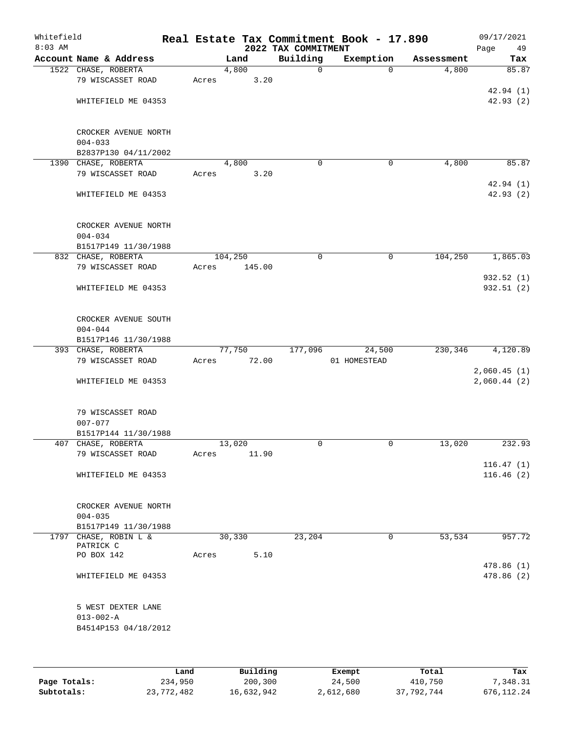| Whitefield<br>$8:03$ AM |                                    |         |        | 2022 TAX COMMITMENT | Real Estate Tax Commitment Book - 17.890 |            | 09/17/2021<br>Page<br>49   |
|-------------------------|------------------------------------|---------|--------|---------------------|------------------------------------------|------------|----------------------------|
|                         | Account Name & Address             |         | Land   | Building            | Exemption                                | Assessment | Tax                        |
|                         | 1522 CHASE, ROBERTA                |         | 4,800  | $\mathbf 0$         | $\Omega$                                 | 4,800      | 85.87                      |
|                         | 79 WISCASSET ROAD                  | Acres   | 3.20   |                     |                                          |            |                            |
|                         |                                    |         |        |                     |                                          |            | 42.94(1)                   |
|                         | WHITEFIELD ME 04353                |         |        |                     |                                          |            | 42.93(2)                   |
|                         | CROCKER AVENUE NORTH               |         |        |                     |                                          |            |                            |
|                         | $004 - 033$                        |         |        |                     |                                          |            |                            |
|                         | B2837P130 04/11/2002               |         |        |                     |                                          |            |                            |
|                         | 1390 CHASE, ROBERTA                |         | 4,800  | $\mathbf 0$         | $\mathbf 0$                              | 4,800      | 85.87                      |
|                         | 79 WISCASSET ROAD                  | Acres   | 3.20   |                     |                                          |            |                            |
|                         |                                    |         |        |                     |                                          |            | 42.94 (1)                  |
|                         | WHITEFIELD ME 04353                |         |        |                     |                                          |            | 42.93(2)                   |
|                         | CROCKER AVENUE NORTH               |         |        |                     |                                          |            |                            |
|                         | $004 - 034$                        |         |        |                     |                                          |            |                            |
|                         | B1517P149 11/30/1988               |         |        |                     |                                          |            |                            |
|                         | 832 CHASE, ROBERTA                 | 104,250 |        | 0                   | 0                                        | 104,250    | 1,865.03                   |
|                         | 79 WISCASSET ROAD                  | Acres   | 145.00 |                     |                                          |            |                            |
|                         |                                    |         |        |                     |                                          |            | 932.52(1)                  |
|                         | WHITEFIELD ME 04353                |         |        |                     |                                          |            | 932.51 (2)                 |
|                         | CROCKER AVENUE SOUTH               |         |        |                     |                                          |            |                            |
|                         | $004 - 044$                        |         |        |                     |                                          |            |                            |
|                         | B1517P146 11/30/1988               |         |        |                     |                                          |            |                            |
|                         | 393 CHASE, ROBERTA                 |         | 77,750 | 177,096             | 24,500                                   | 230,346    | 4,120.89                   |
|                         | 79 WISCASSET ROAD                  | Acres   | 72.00  |                     | 01 HOMESTEAD                             |            |                            |
|                         | WHITEFIELD ME 04353                |         |        |                     |                                          |            | 2,060.45(1)<br>2,060.44(2) |
|                         |                                    |         |        |                     |                                          |            |                            |
|                         | 79 WISCASSET ROAD                  |         |        |                     |                                          |            |                            |
|                         | $007 - 077$                        |         |        |                     |                                          |            |                            |
|                         | B1517P144 11/30/1988               |         |        |                     |                                          |            |                            |
|                         | 407 CHASE, ROBERTA                 |         | 13,020 | $\mathbf 0$         | 0                                        | 13,020     | 232.93                     |
|                         | 79 WISCASSET ROAD                  | Acres   | 11.90  |                     |                                          |            |                            |
|                         | WHITEFIELD ME 04353                |         |        |                     |                                          |            | 116.47(1)<br>116.46(2)     |
|                         |                                    |         |        |                     |                                          |            |                            |
|                         | CROCKER AVENUE NORTH               |         |        |                     |                                          |            |                            |
|                         | $004 - 035$                        |         |        |                     |                                          |            |                            |
|                         | B1517P149 11/30/1988               |         |        |                     |                                          |            |                            |
|                         | 1797 CHASE, ROBIN L &<br>PATRICK C |         | 30,330 | 23,204              | $\mathbf 0$                              | 53,534     | 957.72                     |
|                         | PO BOX 142                         | Acres   | 5.10   |                     |                                          |            |                            |
|                         | WHITEFIELD ME 04353                |         |        |                     |                                          |            | 478.86 (1)<br>478.86 (2)   |
|                         |                                    |         |        |                     |                                          |            |                            |
|                         | 5 WEST DEXTER LANE                 |         |        |                     |                                          |            |                            |
|                         | $013 - 002 - A$                    |         |        |                     |                                          |            |                            |
|                         | B4514P153 04/18/2012               |         |        |                     |                                          |            |                            |
|                         |                                    |         |        |                     |                                          |            |                            |
|                         |                                    |         |        |                     |                                          |            |                            |
|                         |                                    |         |        |                     |                                          |            |                            |

|              | Land       | Building   | Exempt    | Total      | Tax        |
|--------------|------------|------------|-----------|------------|------------|
| Page Totals: | 234,950    | 200,300    | 24,500    | 410,750    | 7,348.31   |
| Subtotals:   | 23,772,482 | 16,632,942 | 2,612,680 | 37,792,744 | 676.112.24 |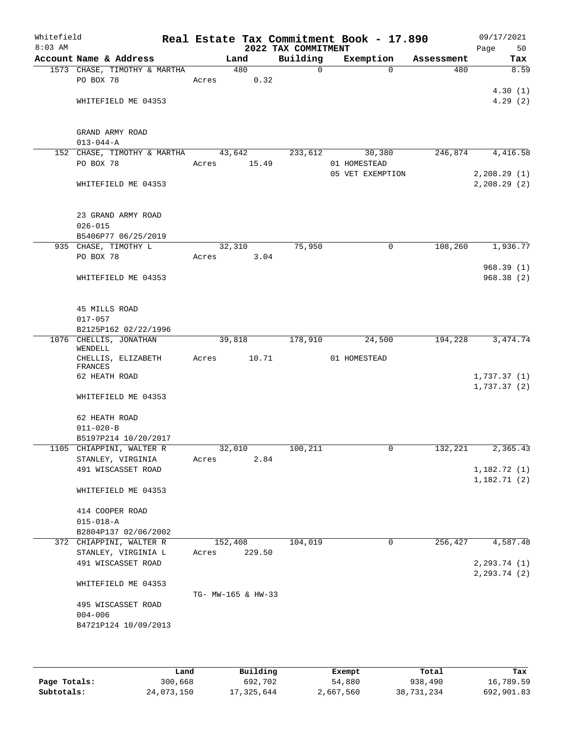| Whitefield<br>$8:03$ AM |                                                 |       |                    | 2022 TAX COMMITMENT | Real Estate Tax Commitment Book - 17.890 |            | 09/17/2021<br>Page<br>50 |
|-------------------------|-------------------------------------------------|-------|--------------------|---------------------|------------------------------------------|------------|--------------------------|
|                         | Account Name & Address                          |       | Land               | Building            | Exemption                                | Assessment | Tax                      |
|                         | 1573 CHASE, TIMOTHY & MARTHA                    |       | 480                | $\Omega$            | $\Omega$                                 | 480        | 8.59                     |
|                         | PO BOX 78                                       | Acres |                    | 0.32                |                                          |            |                          |
|                         |                                                 |       |                    |                     |                                          |            | 4.30(1)                  |
|                         | WHITEFIELD ME 04353                             |       |                    |                     |                                          |            | 4.29(2)                  |
|                         |                                                 |       |                    |                     |                                          |            |                          |
|                         |                                                 |       |                    |                     |                                          |            |                          |
|                         | GRAND ARMY ROAD                                 |       |                    |                     |                                          |            |                          |
|                         | $013 - 044 - A$                                 |       |                    |                     |                                          |            |                          |
|                         | 152 CHASE, TIMOTHY & MARTHA 43,642<br>PO BOX 78 | Acres | 15.49              | 233,612             | 30,380<br>01 HOMESTEAD                   | 246,874    | 4,416.58                 |
|                         |                                                 |       |                    |                     | 05 VET EXEMPTION                         |            | 2,208.29(1)              |
|                         | WHITEFIELD ME 04353                             |       |                    |                     |                                          |            | 2, 208.29(2)             |
|                         |                                                 |       |                    |                     |                                          |            |                          |
|                         |                                                 |       |                    |                     |                                          |            |                          |
|                         | 23 GRAND ARMY ROAD                              |       |                    |                     |                                          |            |                          |
|                         | $026 - 015$                                     |       |                    |                     |                                          |            |                          |
|                         | B5406P77 06/25/2019                             |       |                    |                     |                                          |            |                          |
|                         | 935 CHASE, TIMOTHY L                            |       | 32,310             | 75,950              | 0                                        | 108,260    | 1,936.77                 |
|                         | PO BOX 78                                       | Acres |                    | 3.04                |                                          |            |                          |
|                         |                                                 |       |                    |                     |                                          |            | 968.39(1)                |
|                         | WHITEFIELD ME 04353                             |       |                    |                     |                                          |            | 968.38(2)                |
|                         |                                                 |       |                    |                     |                                          |            |                          |
|                         | 45 MILLS ROAD                                   |       |                    |                     |                                          |            |                          |
|                         | $017 - 057$                                     |       |                    |                     |                                          |            |                          |
|                         | B2125P162 02/22/1996                            |       |                    |                     |                                          |            |                          |
|                         | 1076 CHELLIS, JONATHAN<br>WENDELL               |       | 39,818             | 178,910             | 24,500                                   | 194,228    | 3, 474.74                |
|                         | CHELLIS, ELIZABETH<br>FRANCES                   | Acres | 10.71              |                     | 01 HOMESTEAD                             |            |                          |
|                         | 62 HEATH ROAD                                   |       |                    |                     |                                          |            | 1,737.37(1)              |
|                         |                                                 |       |                    |                     |                                          |            | 1,737.37(2)              |
|                         | WHITEFIELD ME 04353                             |       |                    |                     |                                          |            |                          |
|                         |                                                 |       |                    |                     |                                          |            |                          |
|                         | 62 HEATH ROAD<br>$011 - 020 - B$                |       |                    |                     |                                          |            |                          |
|                         | B5197P214 10/20/2017                            |       |                    |                     |                                          |            |                          |
|                         | 1105 CHIAPPINI, WALTER R                        |       | 32,010             | 100, 211            | $\mathbf{0}$                             | 132,221    | 2, 365.43                |
|                         | STANLEY, VIRGINIA                               | Acres |                    | 2.84                |                                          |            |                          |
|                         | 491 WISCASSET ROAD                              |       |                    |                     |                                          |            | 1,182.72(1)              |
|                         |                                                 |       |                    |                     |                                          |            | 1,182.71(2)              |
|                         | WHITEFIELD ME 04353                             |       |                    |                     |                                          |            |                          |
|                         |                                                 |       |                    |                     |                                          |            |                          |
|                         | 414 COOPER ROAD<br>$015 - 018 - A$              |       |                    |                     |                                          |            |                          |
|                         | B2804P137 02/06/2002                            |       |                    |                     |                                          |            |                          |
|                         | 372 CHIAPPINI, WALTER R                         |       | 152,408            | 104,019             | 0                                        | 256, 427   | 4,587.48                 |
|                         | STANLEY, VIRGINIA L                             | Acres | 229.50             |                     |                                          |            |                          |
|                         | 491 WISCASSET ROAD                              |       |                    |                     |                                          |            | 2, 293.74 (1)            |
|                         |                                                 |       |                    |                     |                                          |            | 2, 293.74 (2)            |
|                         | WHITEFIELD ME 04353                             |       |                    |                     |                                          |            |                          |
|                         |                                                 |       | TG- MW-165 & HW-33 |                     |                                          |            |                          |
|                         | 495 WISCASSET ROAD                              |       |                    |                     |                                          |            |                          |
|                         | $004 - 006$                                     |       |                    |                     |                                          |            |                          |
|                         | B4721P124 10/09/2013                            |       |                    |                     |                                          |            |                          |
|                         |                                                 |       |                    |                     |                                          |            |                          |
|                         |                                                 |       |                    |                     |                                          |            |                          |

|              | Land       | Building   | Exempt    | Total      | Tax        |
|--------------|------------|------------|-----------|------------|------------|
| Page Totals: | 300,668    | 692,702    | 54,880    | 938,490    | 16,789.59  |
| Subtotals:   | 24,073,150 | 17,325,644 | 2,667,560 | 38,731,234 | 692,901.83 |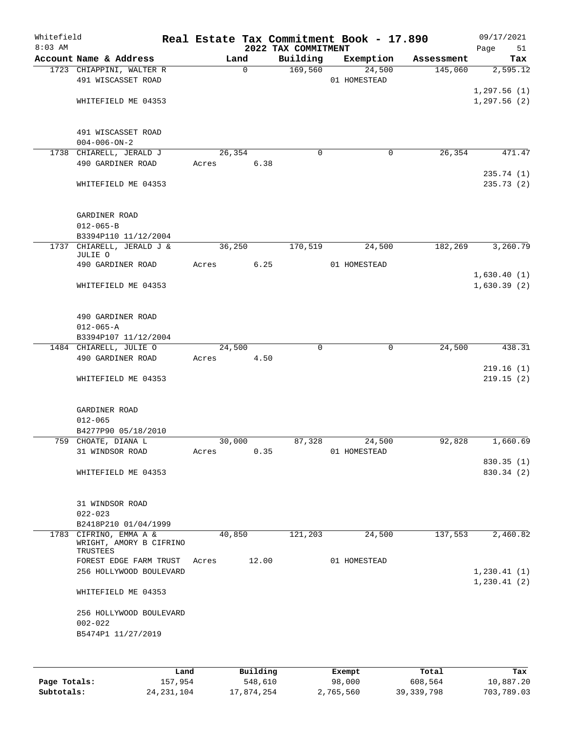| Whitefield<br>$8:03$ AM |                                                              |        |             | 2022 TAX COMMITMENT | Real Estate Tax Commitment Book - 17.890 |            | 09/17/2021<br>51<br>Page     |
|-------------------------|--------------------------------------------------------------|--------|-------------|---------------------|------------------------------------------|------------|------------------------------|
|                         | Account Name & Address                                       |        | Land        | Building            | Exemption                                | Assessment | Tax                          |
|                         | 1723 CHIAPPINI, WALTER R<br>491 WISCASSET ROAD               |        | $\mathbf 0$ | 169,560             | 24,500<br>01 HOMESTEAD                   | 145,060    | 2,595.12                     |
|                         | WHITEFIELD ME 04353                                          |        |             |                     |                                          |            | 1, 297.56(1)<br>1, 297.56(2) |
|                         | 491 WISCASSET ROAD<br>$004 - 006 - ON - 2$                   |        |             |                     |                                          |            |                              |
|                         | 1738 CHIARELL, JERALD J                                      |        | 26,354      | $\mathbf 0$         | 0                                        | 26, 354    | 471.47                       |
|                         | 490 GARDINER ROAD                                            | Acres  | 6.38        |                     |                                          |            |                              |
|                         | WHITEFIELD ME 04353                                          |        |             |                     |                                          |            | 235.74(1)<br>235.73(2)       |
|                         | GARDINER ROAD<br>$012 - 065 - B$                             |        |             |                     |                                          |            |                              |
|                         | B3394P110 11/12/2004                                         |        |             |                     |                                          |            |                              |
| 1737                    | CHIARELL, JERALD J &<br>JULIE O                              |        | 36,250      | 170,519             | 24,500                                   | 182,269    | 3,260.79                     |
|                         | 490 GARDINER ROAD                                            | Acres  | 6.25        |                     | 01 HOMESTEAD                             |            |                              |
|                         |                                                              |        |             |                     |                                          |            | 1,630.40(1)                  |
|                         | WHITEFIELD ME 04353                                          |        |             |                     |                                          |            | 1,630.39(2)                  |
|                         | 490 GARDINER ROAD<br>$012 - 065 - A$                         |        |             |                     |                                          |            |                              |
|                         | B3394P107 11/12/2004                                         |        |             |                     |                                          |            |                              |
|                         | 1484 CHIARELL, JULIE O                                       |        | 24,500      | $\Omega$            | 0                                        | 24,500     | 438.31                       |
|                         | 490 GARDINER ROAD                                            | Acres  | 4.50        |                     |                                          |            | 219.16(1)                    |
|                         | WHITEFIELD ME 04353                                          |        |             |                     |                                          |            | 219.15(2)                    |
|                         | GARDINER ROAD<br>$012 - 065$<br>B4277P90 05/18/2010          |        |             |                     |                                          |            |                              |
|                         | 759 CHOATE, DIANA L                                          | 30,000 |             | 87,328              | 24,500                                   | 92,828     | 1,660.69                     |
|                         | 31 WINDSOR ROAD                                              | Acres  | 0.35        |                     | 01 HOMESTEAD                             |            |                              |
|                         | WHITEFIELD ME 04353                                          |        |             |                     |                                          |            | 830.35(1)<br>830.34 (2)      |
|                         | 31 WINDSOR ROAD<br>$022 - 023$                               |        |             |                     |                                          |            |                              |
|                         | B2418P210 01/04/1999                                         |        |             |                     |                                          |            |                              |
| 1783                    | CIFRINO, EMMA A &<br>WRIGHT, AMORY B CIFRINO<br>TRUSTEES     |        | 40,850      | 121,203             | 24,500                                   | 137,553    | 2,460.82                     |
|                         | FOREST EDGE FARM TRUST<br>256 HOLLYWOOD BOULEVARD            | Acres  | 12.00       |                     | 01 HOMESTEAD                             |            | 1,230.41(1)                  |
|                         | WHITEFIELD ME 04353                                          |        |             |                     |                                          |            | 1,230.41(2)                  |
|                         | 256 HOLLYWOOD BOULEVARD<br>$002 - 022$<br>B5474P1 11/27/2019 |        |             |                     |                                          |            |                              |
|                         | Land                                                         |        | Building    |                     | Exempt                                   | Total      | Tax                          |

|              | Land         | Building   | Exempt    | Total        | Tax        |
|--------------|--------------|------------|-----------|--------------|------------|
| Page Totals: | 157,954      | 548,610    | 98,000    | 608,564      | 10,887.20  |
| Subtotals:   | 24, 231, 104 | 17,874,254 | 2,765,560 | 39, 339, 798 | 703,789.03 |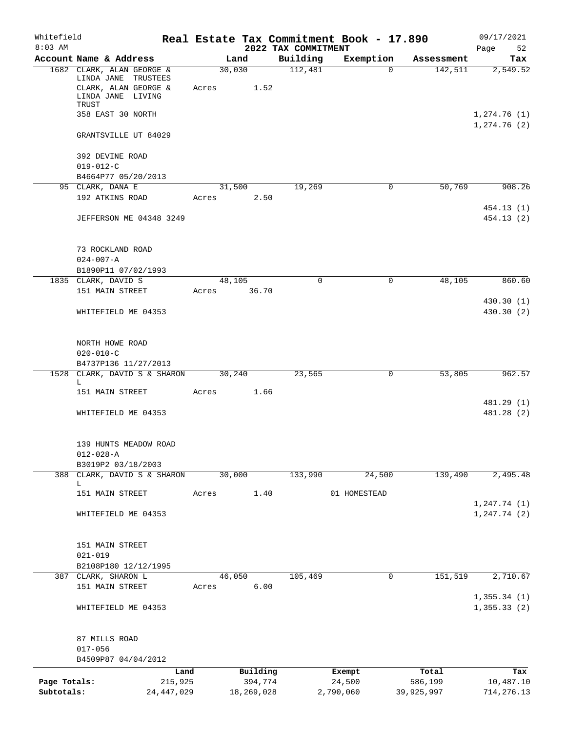| Whitefield<br>$8:03$ AM |                                                                                                        |                 |            | 2022 TAX COMMITMENT | Real Estate Tax Commitment Book - 17.890 |            | 09/17/2021<br>52<br>Page     |
|-------------------------|--------------------------------------------------------------------------------------------------------|-----------------|------------|---------------------|------------------------------------------|------------|------------------------------|
|                         | Account Name & Address                                                                                 | Land            |            | Building            | Exemption                                | Assessment | Tax                          |
|                         | 1682 CLARK, ALAN GEORGE &<br>LINDA JANE TRUSTEES<br>CLARK, ALAN GEORGE &<br>LINDA JANE LIVING<br>TRUST | 30,030<br>Acres | 1.52       | 112,481             | $\Omega$                                 | 142,511    | 2,549.52                     |
|                         | 358 EAST 30 NORTH                                                                                      |                 |            |                     |                                          |            | 1,274.76(1)<br>1, 274.76(2)  |
|                         | GRANTSVILLE UT 84029                                                                                   |                 |            |                     |                                          |            |                              |
|                         | 392 DEVINE ROAD<br>$019 - 012 - C$<br>B4664P77 05/20/2013                                              |                 |            |                     |                                          |            |                              |
|                         | 95 CLARK, DANA E                                                                                       | 31,500          |            | 19,269              | 0                                        | 50,769     | 908.26                       |
|                         | 192 ATKINS ROAD                                                                                        | Acres           | 2.50       |                     |                                          |            |                              |
|                         | <b>JEFFERSON ME 04348 3249</b>                                                                         |                 |            |                     |                                          |            | 454.13 (1)<br>454.13(2)      |
|                         | 73 ROCKLAND ROAD<br>$024 - 007 - A$                                                                    |                 |            |                     |                                          |            |                              |
|                         | B1890P11 07/02/1993<br>1835 CLARK, DAVID S                                                             | 48,105          |            | $\Omega$            | $\mathbf 0$                              | 48,105     | 860.60                       |
|                         | 151 MAIN STREET                                                                                        | Acres           | 36.70      |                     |                                          |            |                              |
|                         |                                                                                                        |                 |            |                     |                                          |            | 430.30(1)                    |
|                         | WHITEFIELD ME 04353                                                                                    |                 |            |                     |                                          |            | 430.30 (2)                   |
|                         | NORTH HOWE ROAD                                                                                        |                 |            |                     |                                          |            |                              |
|                         | $020 - 010 - C$                                                                                        |                 |            |                     |                                          |            |                              |
|                         | B4737P136 11/27/2013                                                                                   |                 |            |                     |                                          |            |                              |
|                         | 1528 CLARK, DAVID S & SHARON<br>L                                                                      | 30,240          |            | 23,565              | 0                                        | 53,805     | 962.57                       |
|                         | 151 MAIN STREET                                                                                        | Acres           | 1.66       |                     |                                          |            |                              |
|                         | WHITEFIELD ME 04353                                                                                    |                 |            |                     |                                          |            | 481.29 (1)<br>481.28 (2)     |
|                         | 139 HUNTS MEADOW ROAD<br>$012 - 028 - A$                                                               |                 |            |                     |                                          |            |                              |
|                         | B3019P2 03/18/2003<br>388 CLARK, DAVID S & SHARON                                                      | 30,000          |            | 133,990             | 24,500                                   | 139,490    | 2,495.48                     |
|                         | L                                                                                                      |                 |            |                     |                                          |            |                              |
|                         | 151 MAIN STREET                                                                                        | Acres           | 1.40       |                     | 01 HOMESTEAD                             |            |                              |
|                         | WHITEFIELD ME 04353                                                                                    |                 |            |                     |                                          |            | 1, 247.74(1)<br>1, 247.74(2) |
|                         | 151 MAIN STREET<br>$021 - 019$                                                                         |                 |            |                     |                                          |            |                              |
|                         | B2108P180 12/12/1995                                                                                   |                 |            |                     |                                          |            |                              |
|                         | 387 CLARK, SHARON L                                                                                    | 46,050          |            | 105,469             | $\mathbf 0$                              | 151,519    | 2,710.67                     |
|                         | 151 MAIN STREET                                                                                        | Acres           | 6.00       |                     |                                          |            | 1,355.34(1)                  |
|                         | WHITEFIELD ME 04353                                                                                    |                 |            |                     |                                          |            | 1, 355.33(2)                 |
|                         |                                                                                                        |                 |            |                     |                                          |            |                              |
|                         | 87 MILLS ROAD<br>$017 - 056$                                                                           |                 |            |                     |                                          |            |                              |
|                         | B4509P87 04/04/2012                                                                                    |                 |            |                     |                                          |            |                              |
|                         |                                                                                                        | Land            | Building   |                     | Exempt                                   | Total      | Tax                          |
| Page Totals:            | 215,925                                                                                                |                 | 394,774    |                     | 24,500                                   | 586,199    | 10,487.10                    |
| Subtotals:              | 24, 447, 029                                                                                           |                 | 18,269,028 |                     | 2,790,060                                | 39,925,997 | 714, 276.13                  |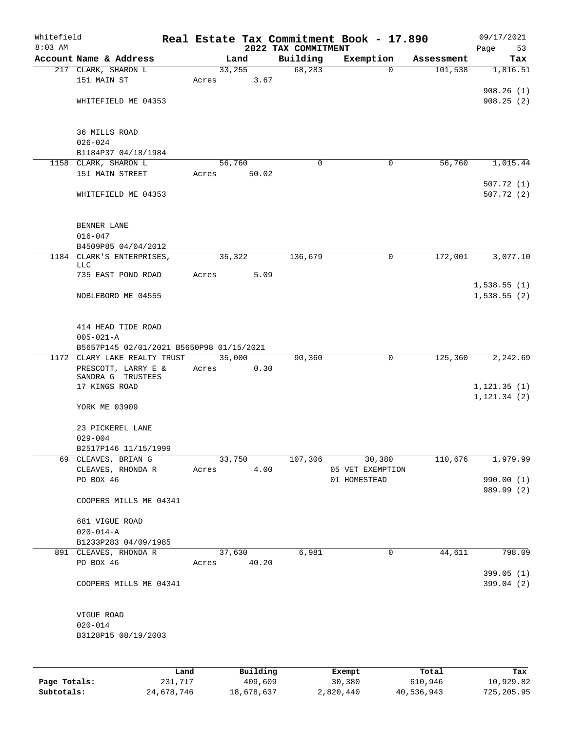| Whitefield   |                                          |         |       |                |          |                     | Real Estate Tax Commitment Book - 17.890 |                       | 09/17/2021      |
|--------------|------------------------------------------|---------|-------|----------------|----------|---------------------|------------------------------------------|-----------------------|-----------------|
| $8:03$ AM    | Account Name & Address                   |         |       |                |          | 2022 TAX COMMITMENT |                                          |                       | Page<br>53      |
|              | 217 CLARK, SHARON L                      |         |       | Land<br>33,255 |          | Building<br>68,283  | Exemption<br>0                           | Assessment<br>101,538 | Tax<br>1,816.51 |
|              | 151 MAIN ST                              |         | Acres |                | 3.67     |                     |                                          |                       |                 |
|              |                                          |         |       |                |          |                     |                                          |                       | 908.26(1)       |
|              | WHITEFIELD ME 04353                      |         |       |                |          |                     |                                          |                       | 908.25(2)       |
|              |                                          |         |       |                |          |                     |                                          |                       |                 |
|              | 36 MILLS ROAD                            |         |       |                |          |                     |                                          |                       |                 |
|              | $026 - 024$                              |         |       |                |          |                     |                                          |                       |                 |
|              | B1184P37 04/18/1984                      |         |       |                |          |                     |                                          |                       |                 |
|              | 1158 CLARK, SHARON L                     |         |       | 56,760         |          | 0                   | 0                                        | 56,760                | 1,015.44        |
|              | 151 MAIN STREET                          |         | Acres |                | 50.02    |                     |                                          |                       |                 |
|              |                                          |         |       |                |          |                     |                                          |                       | 507.72(1)       |
|              | WHITEFIELD ME 04353                      |         |       |                |          |                     |                                          |                       | 507.72(2)       |
|              | BENNER LANE                              |         |       |                |          |                     |                                          |                       |                 |
|              | $016 - 047$                              |         |       |                |          |                     |                                          |                       |                 |
|              | B4509P85 04/04/2012                      |         |       |                |          |                     |                                          |                       |                 |
|              | 1184 CLARK'S ENTERPRISES,                |         |       | 35,322         |          | 136,679             | 0                                        | 172,001               | 3,077.10        |
|              | LLC                                      |         |       |                |          |                     |                                          |                       |                 |
|              | 735 EAST POND ROAD                       |         | Acres |                | 5.09     |                     |                                          |                       |                 |
|              |                                          |         |       |                |          |                     |                                          |                       | 1,538.55(1)     |
|              | NOBLEBORO ME 04555                       |         |       |                |          |                     |                                          |                       | 1,538.55(2)     |
|              | 414 HEAD TIDE ROAD                       |         |       |                |          |                     |                                          |                       |                 |
|              | $005 - 021 - A$                          |         |       |                |          |                     |                                          |                       |                 |
|              | B5657P145 02/01/2021 B5650P98 01/15/2021 |         |       |                |          |                     |                                          |                       |                 |
|              | 1172 CLARY LAKE REALTY TRUST             |         |       | 35,000         |          | 90,360              | 0                                        | 125,360               | 2,242.69        |
|              | PRESCOTT, LARRY E &                      |         | Acres |                | 0.30     |                     |                                          |                       |                 |
|              | SANDRA G TRUSTEES                        |         |       |                |          |                     |                                          |                       |                 |
|              | 17 KINGS ROAD                            |         |       |                |          |                     |                                          |                       | 1, 121.35(1)    |
|              | YORK ME 03909                            |         |       |                |          |                     |                                          |                       | 1, 121.34(2)    |
|              | 23 PICKEREL LANE                         |         |       |                |          |                     |                                          |                       |                 |
|              | $029 - 004$                              |         |       |                |          |                     |                                          |                       |                 |
|              | B2517P146 11/15/1999                     |         |       |                |          |                     |                                          |                       |                 |
|              | 69 CLEAVES, BRIAN G                      |         |       | 33,750         |          | 107,306             | 30,380                                   | 110,676               | 1,979.99        |
|              | CLEAVES, RHONDA R                        |         | Acres |                | 4.00     |                     | 05 VET EXEMPTION                         |                       |                 |
|              | PO BOX 46                                |         |       |                |          |                     | 01 HOMESTEAD                             |                       | 990.00 (1)      |
|              | COOPERS MILLS ME 04341                   |         |       |                |          |                     |                                          |                       | 989.99 (2)      |
|              | 681 VIGUE ROAD                           |         |       |                |          |                     |                                          |                       |                 |
|              | $020 - 014 - A$                          |         |       |                |          |                     |                                          |                       |                 |
|              | B1233P283 04/09/1985                     |         |       |                |          |                     |                                          |                       |                 |
|              | 891 CLEAVES, RHONDA R                    |         |       | 37,630         |          | 6,981               | 0                                        | 44,611                | 798.09          |
|              | PO BOX 46                                |         | Acres |                | 40.20    |                     |                                          |                       | 399.05(1)       |
|              | COOPERS MILLS ME 04341                   |         |       |                |          |                     |                                          |                       | 399.04(2)       |
|              | VIGUE ROAD                               |         |       |                |          |                     |                                          |                       |                 |
|              | $020 - 014$                              |         |       |                |          |                     |                                          |                       |                 |
|              | B3128P15 08/19/2003                      |         |       |                |          |                     |                                          |                       |                 |
|              |                                          |         |       |                |          |                     |                                          |                       |                 |
|              |                                          | Land    |       |                | Building |                     | Exempt                                   | Total                 | Tax             |
| Page Totals: |                                          | 231,717 |       |                | 409,609  |                     | 30,380                                   | 610,946               | 10,929.82       |

**Subtotals:** 24,678,746 18,678,637 2,820,440 40,536,943 725,205.95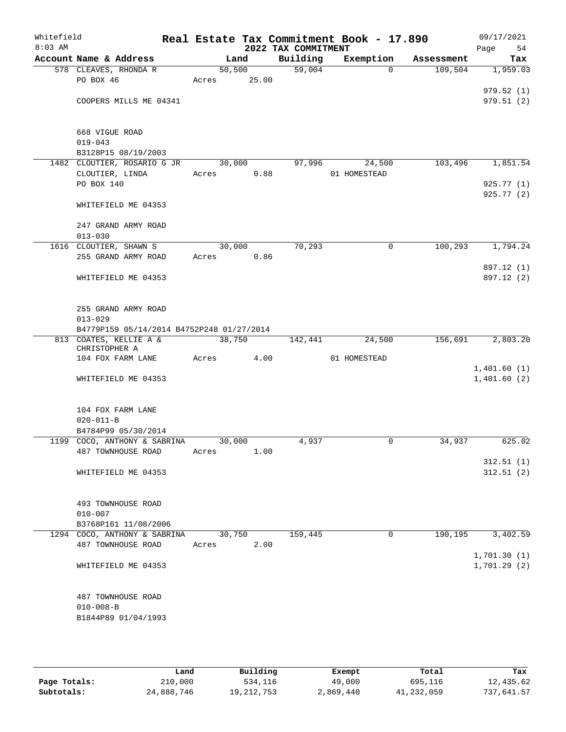| Whitefield<br>$8:03$ AM |                                                    |        |       | 2022 TAX COMMITMENT | Real Estate Tax Commitment Book - 17.890 |            | 09/17/2021<br>Page<br>54 |
|-------------------------|----------------------------------------------------|--------|-------|---------------------|------------------------------------------|------------|--------------------------|
|                         | Account Name & Address                             | Land   |       | Building            | Exemption                                | Assessment | Tax                      |
|                         | 578 CLEAVES, RHONDA R                              | 50,500 |       | 59,004              | $\Omega$                                 | 109,504    | 1,959.03                 |
|                         | PO BOX 46                                          | Acres  | 25.00 |                     |                                          |            |                          |
|                         |                                                    |        |       |                     |                                          |            | 979.52(1)                |
|                         | COOPERS MILLS ME 04341                             |        |       |                     |                                          |            | 979.51(2)                |
|                         |                                                    |        |       |                     |                                          |            |                          |
|                         |                                                    |        |       |                     |                                          |            |                          |
|                         | 668 VIGUE ROAD<br>$019 - 043$                      |        |       |                     |                                          |            |                          |
|                         |                                                    |        |       |                     |                                          |            |                          |
|                         | B3128P15 08/19/2003<br>1482 CLOUTIER, ROSARIO G JR | 30,000 |       | 97,996              | 24,500                                   | 103,496    | 1,851.54                 |
|                         | CLOUTIER, LINDA                                    |        | 0.88  |                     |                                          |            |                          |
|                         | PO BOX 140                                         | Acres  |       |                     | 01 HOMESTEAD                             |            | 925.77(1)                |
|                         |                                                    |        |       |                     |                                          |            | 925.77(2)                |
|                         | WHITEFIELD ME 04353                                |        |       |                     |                                          |            |                          |
|                         |                                                    |        |       |                     |                                          |            |                          |
|                         | 247 GRAND ARMY ROAD                                |        |       |                     |                                          |            |                          |
|                         | $013 - 030$                                        |        |       |                     |                                          |            |                          |
|                         | 1616 CLOUTIER, SHAWN S                             | 30,000 |       | 70, 293             | 0                                        | 100, 293   | 1,794.24                 |
|                         | 255 GRAND ARMY ROAD                                | Acres  | 0.86  |                     |                                          |            |                          |
|                         |                                                    |        |       |                     |                                          |            | 897.12 (1)               |
|                         | WHITEFIELD ME 04353                                |        |       |                     |                                          |            | 897.12 (2)               |
|                         |                                                    |        |       |                     |                                          |            |                          |
|                         |                                                    |        |       |                     |                                          |            |                          |
|                         | 255 GRAND ARMY ROAD                                |        |       |                     |                                          |            |                          |
|                         | $013 - 029$                                        |        |       |                     |                                          |            |                          |
|                         | B4779P159 05/14/2014 B4752P248 01/27/2014          |        |       |                     |                                          |            |                          |
|                         | 813 COATES, KELLIE A &                             | 38,750 |       | 142,441             | 24,500                                   | 156,691    | 2,803.20                 |
|                         | CHRISTOPHER A                                      |        |       |                     |                                          |            |                          |
|                         | 104 FOX FARM LANE                                  | Acres  | 4.00  |                     | 01 HOMESTEAD                             |            |                          |
|                         |                                                    |        |       |                     |                                          |            | 1,401.60(1)              |
|                         | WHITEFIELD ME 04353                                |        |       |                     |                                          |            | 1,401.60(2)              |
|                         |                                                    |        |       |                     |                                          |            |                          |
|                         |                                                    |        |       |                     |                                          |            |                          |
|                         | 104 FOX FARM LANE                                  |        |       |                     |                                          |            |                          |
|                         | $020 - 011 - B$                                    |        |       |                     |                                          |            |                          |
|                         | B4784P99 05/30/2014                                |        |       |                     |                                          |            |                          |
|                         | 1199 COCO, ANTHONY & SABRINA                       | 30,000 |       | 4,937               | 0                                        | 34,937     | 625.02                   |
|                         | 487 TOWNHOUSE ROAD                                 | Acres  | 1.00  |                     |                                          |            |                          |
|                         |                                                    |        |       |                     |                                          |            | 312.51(1)                |
|                         | WHITEFIELD ME 04353                                |        |       |                     |                                          |            | 312.51(2)                |
|                         |                                                    |        |       |                     |                                          |            |                          |
|                         |                                                    |        |       |                     |                                          |            |                          |
|                         | 493 TOWNHOUSE ROAD                                 |        |       |                     |                                          |            |                          |
|                         | $010 - 007$                                        |        |       |                     |                                          |            |                          |
|                         | B3768P161 11/08/2006                               |        |       |                     |                                          |            |                          |
|                         | 1294 COCO, ANTHONY & SABRINA                       | 30,750 |       | 159,445             | 0                                        | 190,195    | 3,402.59                 |
|                         | 487 TOWNHOUSE ROAD                                 | Acres  | 2.00  |                     |                                          |            |                          |
|                         |                                                    |        |       |                     |                                          |            | 1,701.30(1)              |
|                         | WHITEFIELD ME 04353                                |        |       |                     |                                          |            | 1,701.29(2)              |
|                         |                                                    |        |       |                     |                                          |            |                          |
|                         |                                                    |        |       |                     |                                          |            |                          |
|                         | 487 TOWNHOUSE ROAD                                 |        |       |                     |                                          |            |                          |
|                         | $010 - 008 - B$                                    |        |       |                     |                                          |            |                          |
|                         | B1844P89 01/04/1993                                |        |       |                     |                                          |            |                          |
|                         |                                                    |        |       |                     |                                          |            |                          |

|              | Land       | Building     | Exempt    | Total      | Tax        |
|--------------|------------|--------------|-----------|------------|------------|
| Page Totals: | 210,000    | 534,116      | 49,000    | 695,116    | 12,435.62  |
| Subtotals:   | 24,888,746 | 19, 212, 753 | 2,869,440 | 41,232,059 | 737,641.57 |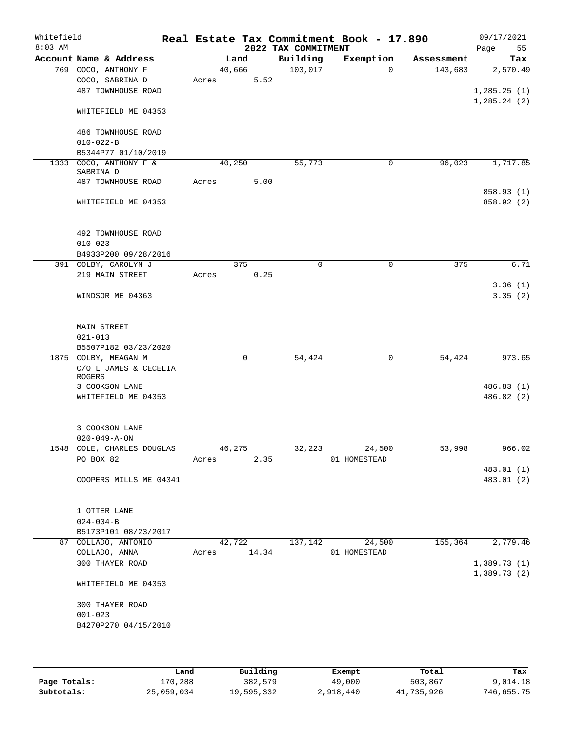| Whitefield<br>$8:03$ AM |                                              |             |             | 2022 TAX COMMITMENT | Real Estate Tax Commitment Book - 17.890 |            | 09/17/2021<br>55<br>Page |
|-------------------------|----------------------------------------------|-------------|-------------|---------------------|------------------------------------------|------------|--------------------------|
|                         | Account Name & Address                       | Land        |             | Building            | Exemption                                | Assessment | Tax                      |
|                         | 769 COCO, ANTHONY F                          | 40,666      |             | 103,017             | $\Omega$                                 | 143,683    | 2,570.49                 |
|                         | COCO, SABRINA D                              | Acres       | 5.52        |                     |                                          |            |                          |
|                         | 487 TOWNHOUSE ROAD                           |             |             |                     |                                          |            | 1, 285.25(1)             |
|                         | WHITEFIELD ME 04353                          |             |             |                     |                                          |            | 1, 285.24 (2)            |
|                         | 486 TOWNHOUSE ROAD<br>$010 - 022 - B$        |             |             |                     |                                          |            |                          |
|                         | B5344P77 01/10/2019                          |             |             |                     |                                          |            |                          |
| 1333                    | COCO, ANTHONY F &                            | 40,250      |             | 55,773              | 0                                        | 96,023     | 1,717.85                 |
|                         | SABRINA D                                    |             |             |                     |                                          |            |                          |
|                         | 487 TOWNHOUSE ROAD                           | Acres       | 5.00        |                     |                                          |            | 858.93 (1)               |
|                         | WHITEFIELD ME 04353                          |             |             |                     |                                          |            | 858.92 (2)               |
|                         | 492 TOWNHOUSE ROAD                           |             |             |                     |                                          |            |                          |
|                         | $010 - 023$                                  |             |             |                     |                                          |            |                          |
|                         | B4933P200 09/28/2016<br>391 COLBY, CAROLYN J | 375         |             | $\mathbf 0$         | $\mathbf 0$                              | 375        | 6.71                     |
|                         | 219 MAIN STREET                              | Acres       | 0.25        |                     |                                          |            |                          |
|                         |                                              |             |             |                     |                                          |            | 3.36(1)                  |
|                         | WINDSOR ME 04363                             |             |             |                     |                                          |            | 3.35(2)                  |
|                         | <b>MAIN STREET</b>                           |             |             |                     |                                          |            |                          |
|                         | $021 - 013$                                  |             |             |                     |                                          |            |                          |
|                         | B5507P182 03/23/2020                         |             |             |                     |                                          |            |                          |
|                         | 1875 COLBY, MEAGAN M                         |             | $\mathbf 0$ | 54,424              | 0                                        | 54,424     | 973.65                   |
|                         | C/O L JAMES & CECELIA<br>ROGERS              |             |             |                     |                                          |            |                          |
|                         | 3 COOKSON LANE                               |             |             |                     |                                          |            | 486.83(1)                |
|                         | WHITEFIELD ME 04353                          |             |             |                     |                                          |            | 486.82 (2)               |
|                         |                                              |             |             |                     |                                          |            |                          |
|                         | 3 COOKSON LANE                               |             |             |                     |                                          |            |                          |
|                         | $020 - 049 - A - ON$                         |             |             |                     |                                          |            |                          |
|                         | 1548 COLE, CHARLES DOUGLAS 46,275            |             |             |                     | 32, 223 24, 500                          | 53,998     | 966.02                   |
|                         | PO BOX 82                                    | Acres       | 2.35        |                     | 01 HOMESTEAD                             |            |                          |
|                         | COOPERS MILLS ME 04341                       |             |             |                     |                                          |            | 483.01 (1)<br>483.01 (2) |
|                         |                                              |             |             |                     |                                          |            |                          |
|                         | 1 OTTER LANE                                 |             |             |                     |                                          |            |                          |
|                         | $024 - 004 - B$                              |             |             |                     |                                          |            |                          |
|                         | B5173P101 08/23/2017                         |             |             |                     |                                          |            |                          |
|                         | 87 COLLADO, ANTONIO                          |             | 42,722      | 137,142             | 24,500                                   | 155,364    | 2,779.46                 |
|                         | COLLADO, ANNA                                | Acres 14.34 |             |                     | 01 HOMESTEAD                             |            |                          |
|                         | 300 THAYER ROAD                              |             |             |                     |                                          |            | 1,389.73(1)              |
|                         | WHITEFIELD ME 04353                          |             |             |                     |                                          |            | 1,389.73(2)              |
|                         |                                              |             |             |                     |                                          |            |                          |
|                         | 300 THAYER ROAD                              |             |             |                     |                                          |            |                          |
|                         | $001 - 023$<br>B4270P270 04/15/2010          |             |             |                     |                                          |            |                          |
|                         |                                              |             |             |                     |                                          |            |                          |
|                         |                                              |             |             |                     |                                          |            |                          |

|              | Land       | Building   | Exempt    | Total      | Tax        |
|--------------|------------|------------|-----------|------------|------------|
| Page Totals: | 170,288    | 382,579    | 49,000    | 503,867    | 9,014.18   |
| Subtotals:   | 25,059,034 | 19,595,332 | 2,918,440 | 41,735,926 | 746,655.75 |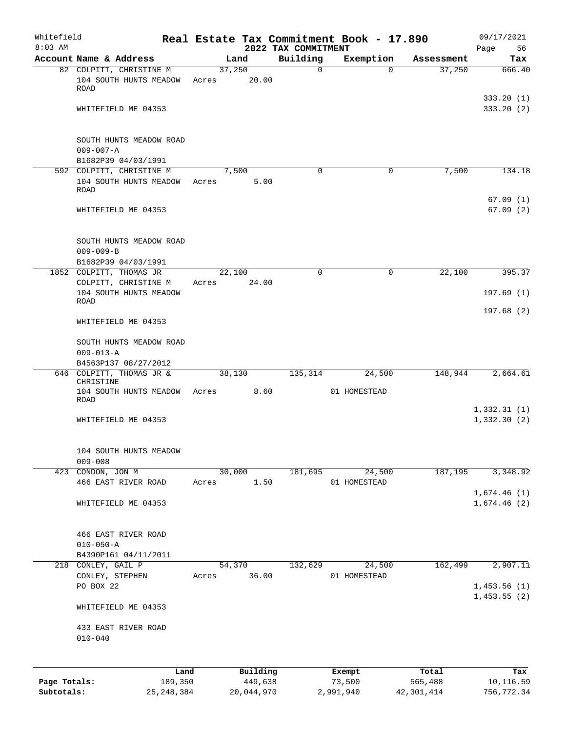| Whitefield                 |                                                            |                         |       |                       |                                 | Real Estate Tax Commitment Book - 17.890 |                       | 09/17/2021                 |
|----------------------------|------------------------------------------------------------|-------------------------|-------|-----------------------|---------------------------------|------------------------------------------|-----------------------|----------------------------|
| $8:03$ AM                  | Account Name & Address                                     |                         |       | Land                  | 2022 TAX COMMITMENT<br>Building | Exemption                                | Assessment            | 56<br>Page<br>Tax          |
|                            | 82 COLPITT, CHRISTINE M                                    |                         |       | 37,250                | 0                               | $\Omega$                                 | 37,250                | 666.40                     |
|                            | 104 SOUTH HUNTS MEADOW<br><b>ROAD</b>                      |                         | Acres | 20.00                 |                                 |                                          |                       |                            |
|                            | WHITEFIELD ME 04353                                        |                         |       |                       |                                 |                                          |                       | 333.20(1)<br>333.20(2)     |
|                            | SOUTH HUNTS MEADOW ROAD<br>$009 - 007 - A$                 |                         |       |                       |                                 |                                          |                       |                            |
|                            | B1682P39 04/03/1991                                        |                         |       |                       |                                 |                                          |                       |                            |
|                            | 592 COLPITT, CHRISTINE M<br>104 SOUTH HUNTS MEADOW<br>ROAD |                         | Acres | 7,500<br>5.00         | $\Omega$                        | $\mathbf 0$                              | 7,500                 | 134.18                     |
|                            | WHITEFIELD ME 04353                                        |                         |       |                       |                                 |                                          |                       | 67.09(1)<br>67.09(2)       |
|                            | SOUTH HUNTS MEADOW ROAD<br>$009 - 009 - B$                 |                         |       |                       |                                 |                                          |                       |                            |
|                            | B1682P39 04/03/1991                                        |                         |       |                       |                                 |                                          |                       |                            |
|                            | 1852 COLPITT, THOMAS JR<br>COLPITT, CHRISTINE M            |                         | Acres | 22,100<br>24.00       | $\Omega$                        | $\mathbf 0$                              | 22,100                | 395.37                     |
|                            | 104 SOUTH HUNTS MEADOW                                     |                         |       |                       |                                 |                                          |                       | 197.69(1)                  |
|                            | ROAD                                                       |                         |       |                       |                                 |                                          |                       | 197.68(2)                  |
|                            | WHITEFIELD ME 04353                                        |                         |       |                       |                                 |                                          |                       |                            |
|                            | SOUTH HUNTS MEADOW ROAD<br>$009 - 013 - A$                 |                         |       |                       |                                 |                                          |                       |                            |
|                            | B4563P137 08/27/2012                                       |                         |       |                       |                                 |                                          |                       |                            |
|                            | 646 COLPITT, THOMAS JR &<br>CHRISTINE                      |                         |       | 38,130                | 135,314                         | 24,500                                   | 148,944               | 2,664.61                   |
|                            | 104 SOUTH HUNTS MEADOW<br>ROAD                             |                         | Acres | 8.60                  |                                 | 01 HOMESTEAD                             |                       |                            |
|                            | WHITEFIELD ME 04353                                        |                         |       |                       |                                 |                                          |                       | 1,332.31(1)<br>1,332.30(2) |
|                            | 104 SOUTH HUNTS MEADOW<br>$009 - 008$                      |                         |       |                       |                                 |                                          |                       |                            |
|                            | 423 CONDON, JON M                                          |                         |       | 30,000                | 181,695                         | 24,500                                   | 187,195               | 3,348.92                   |
|                            | 466 EAST RIVER ROAD                                        |                         | Acres | 1.50                  |                                 | 01 HOMESTEAD                             |                       |                            |
|                            | WHITEFIELD ME 04353                                        |                         |       |                       |                                 |                                          |                       | 1,674.46(1)<br>1,674.46(2) |
|                            | 466 EAST RIVER ROAD<br>$010 - 050 - A$                     |                         |       |                       |                                 |                                          |                       |                            |
|                            | B4390P161 04/11/2011                                       |                         |       |                       |                                 |                                          |                       |                            |
|                            | 218 CONLEY, GAIL P<br>CONLEY, STEPHEN                      |                         | Acres | 54,370<br>36.00       | 132,629                         | 24,500<br>01 HOMESTEAD                   | 162,499               | 2,907.11                   |
|                            | PO BOX 22                                                  |                         |       |                       |                                 |                                          |                       | 1,453.56(1)<br>1,453.55(2) |
|                            | WHITEFIELD ME 04353                                        |                         |       |                       |                                 |                                          |                       |                            |
|                            | 433 EAST RIVER ROAD<br>$010 - 040$                         |                         |       |                       |                                 |                                          |                       |                            |
|                            |                                                            | Land                    |       | Building              |                                 | Exempt                                   | Total                 | Tax                        |
| Page Totals:<br>Subtotals: |                                                            | 189,350<br>25, 248, 384 |       | 449,638<br>20,044,970 |                                 | 73,500<br>2,991,940                      | 565,488<br>42,301,414 | 10,116.59<br>756,772.34    |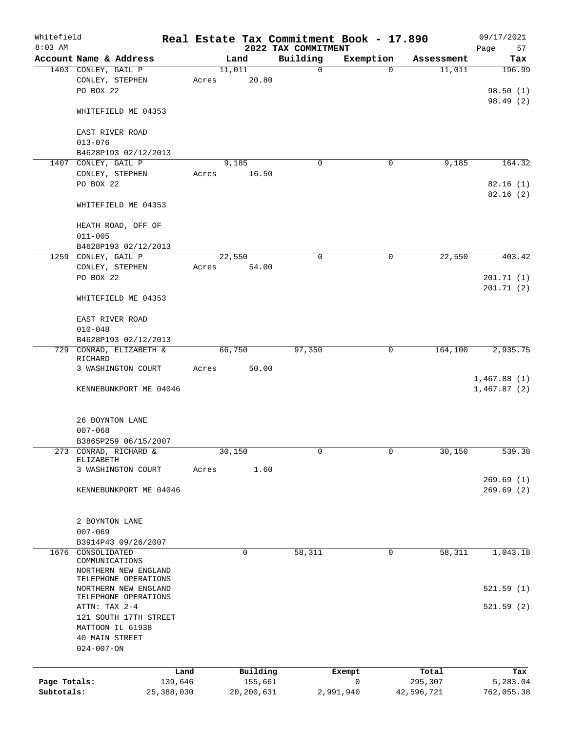| Whitefield<br>$8:03$ AM |                                                             |                 |       |                     | 2022 TAX COMMITMENT | Real Estate Tax Commitment Book - 17.890 |                  | 09/17/2021<br>57<br>Page        |
|-------------------------|-------------------------------------------------------------|-----------------|-------|---------------------|---------------------|------------------------------------------|------------------|---------------------------------|
|                         | Account Name & Address                                      |                 |       | Land                | Building            | Exemption                                | Assessment       | Tax                             |
|                         | 1403 CONLEY, GAIL P<br>CONLEY, STEPHEN<br>PO BOX 22         |                 | Acres | 11,011<br>20.80     | $\mathbf 0$         | $\Omega$                                 | 11,011           | 196.99<br>98.50(1)<br>98.49 (2) |
|                         | WHITEFIELD ME 04353                                         |                 |       |                     |                     |                                          |                  |                                 |
|                         | EAST RIVER ROAD<br>$013 - 076$                              |                 |       |                     |                     |                                          |                  |                                 |
|                         | B4628P193 02/12/2013                                        |                 |       |                     |                     |                                          |                  |                                 |
|                         | 1407 CONLEY, GAIL P                                         |                 |       | 9,185               | 0                   | 0                                        | 9,185            | 164.32                          |
|                         | CONLEY, STEPHEN<br>PO BOX 22                                |                 | Acres | 16.50               |                     |                                          |                  | 82.16(1)<br>82.16(2)            |
|                         | WHITEFIELD ME 04353                                         |                 |       |                     |                     |                                          |                  |                                 |
|                         | HEATH ROAD, OFF OF<br>$011 - 005$                           |                 |       |                     |                     |                                          |                  |                                 |
|                         | B4628P193 02/12/2013                                        |                 |       |                     |                     |                                          |                  |                                 |
|                         | 1259 CONLEY, GAIL P                                         |                 |       | 22,550              | 0                   | 0                                        | 22,550           | 403.42                          |
|                         | CONLEY, STEPHEN                                             |                 | Acres | 54.00               |                     |                                          |                  |                                 |
|                         | PO BOX 22                                                   |                 |       |                     |                     |                                          |                  | 201.71(1)                       |
|                         | WHITEFIELD ME 04353                                         |                 |       |                     |                     |                                          |                  | 201.71(2)                       |
|                         | EAST RIVER ROAD                                             |                 |       |                     |                     |                                          |                  |                                 |
|                         | $010 - 048$                                                 |                 |       |                     |                     |                                          |                  |                                 |
|                         | B4628P193 02/12/2013                                        |                 |       |                     |                     |                                          |                  |                                 |
|                         | 729 CONRAD, ELIZABETH &<br>RICHARD                          |                 |       | 66,750              | 97,350              | 0                                        | 164,100          | 2,935.75                        |
|                         | 3 WASHINGTON COURT                                          |                 | Acres | 50.00               |                     |                                          |                  | 1,467.88(1)                     |
|                         | KENNEBUNKPORT ME 04046                                      |                 |       |                     |                     |                                          |                  | 1,467.87(2)                     |
|                         | 26 BOYNTON LANE                                             |                 |       |                     |                     |                                          |                  |                                 |
|                         | $007 - 068$                                                 |                 |       |                     |                     |                                          |                  |                                 |
|                         | B3865P259 06/15/2007<br>273 CONRAD, RICHARD &               |                 |       | 30,150              | 0                   | 0                                        | 30,150           | 539.38                          |
|                         | ELIZABETH                                                   |                 |       |                     |                     |                                          |                  |                                 |
|                         | 3 WASHINGTON COURT                                          |                 | Acres | 1.60                |                     |                                          |                  |                                 |
|                         | KENNEBUNKPORT ME 04046                                      |                 |       |                     |                     |                                          |                  | 269.69(1)<br>269.69(2)          |
|                         |                                                             |                 |       |                     |                     |                                          |                  |                                 |
|                         | 2 BOYNTON LANE                                              |                 |       |                     |                     |                                          |                  |                                 |
|                         | $007 - 069$                                                 |                 |       |                     |                     |                                          |                  |                                 |
|                         | B3914P43 09/26/2007                                         |                 |       |                     |                     |                                          |                  |                                 |
| 1676                    | CONSOLIDATED<br>COMMUNICATIONS<br>NORTHERN NEW ENGLAND      |                 |       | $\mathbf 0$         | 58,311              | 0                                        | 58,311           | 1,043.18                        |
|                         | TELEPHONE OPERATIONS<br>NORTHERN NEW ENGLAND                |                 |       |                     |                     |                                          |                  | 521.59(1)                       |
|                         | TELEPHONE OPERATIONS<br>ATTN: TAX 2-4                       |                 |       |                     |                     |                                          |                  | 521.59(2)                       |
|                         | 121 SOUTH 17TH STREET<br>MATTOON IL 61938<br>40 MAIN STREET |                 |       |                     |                     |                                          |                  |                                 |
|                         | $024 - 007 - ON$                                            |                 |       |                     |                     |                                          |                  |                                 |
|                         |                                                             |                 |       |                     |                     |                                          |                  |                                 |
| Page Totals:            |                                                             | Land<br>139,646 |       | Building<br>155,661 |                     | Exempt<br>0                              | Total<br>295,307 | Tax<br>5,283.04                 |
| Subtotals:              |                                                             | 25,388,030      |       | 20, 200, 631        |                     | 2,991,940                                | 42,596,721       | 762,055.38                      |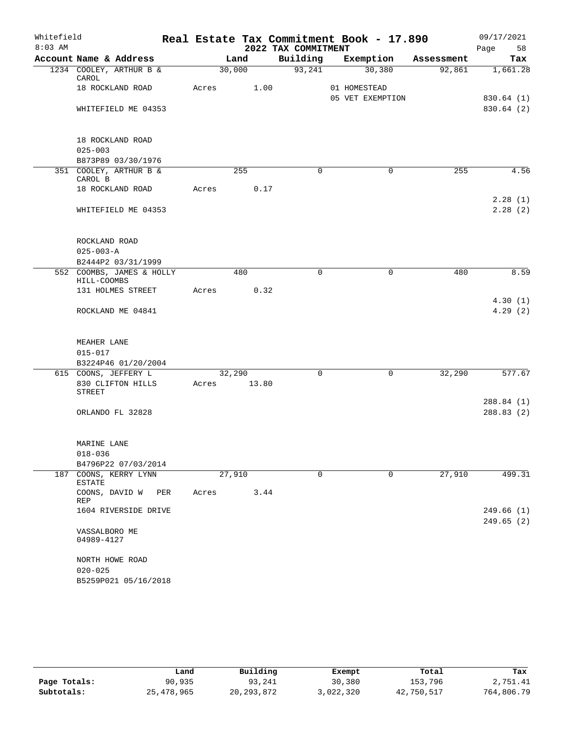| Whitefield |                                                        |     |             |        |      |                     | Real Estate Tax Commitment Book - 17.890 |            | 09/17/2021             |
|------------|--------------------------------------------------------|-----|-------------|--------|------|---------------------|------------------------------------------|------------|------------------------|
| $8:03$ AM  |                                                        |     |             |        |      | 2022 TAX COMMITMENT |                                          |            | Page<br>58             |
|            | Account Name & Address                                 |     |             | Land   |      |                     | Building Exemption                       | Assessment | Tax                    |
|            | 1234 COOLEY, ARTHUR B &<br>CAROL                       |     |             | 30,000 |      | 93,241              | 30,380                                   | 92,861     | 1,661.28               |
|            | 18 ROCKLAND ROAD                                       |     | Acres       |        | 1.00 |                     | 01 HOMESTEAD<br>05 VET EXEMPTION         |            | 830.64(1)              |
|            | WHITEFIELD ME 04353                                    |     |             |        |      |                     |                                          |            | 830.64 (2)             |
|            | 18 ROCKLAND ROAD<br>$025 - 003$                        |     |             |        |      |                     |                                          |            |                        |
|            | B873P89 03/30/1976                                     |     |             |        |      |                     |                                          |            |                        |
|            | 351 COOLEY, ARTHUR B &<br>CAROL B                      |     |             | 255    |      | $\Omega$            | $\Omega$                                 | 255        | 4.56                   |
|            | 18 ROCKLAND ROAD                                       |     | Acres       |        | 0.17 |                     |                                          |            |                        |
|            | WHITEFIELD ME 04353                                    |     |             |        |      |                     |                                          |            | 2.28(1)<br>2.28(2)     |
|            | ROCKLAND ROAD<br>$025 - 003 - A$<br>B2444P2 03/31/1999 |     |             |        |      |                     |                                          |            |                        |
|            | 552 COOMBS, JAMES & HOLLY                              |     |             | 480    |      | $\Omega$            | $\mathbf 0$                              | 480        | 8.59                   |
|            | HILL-COOMBS                                            |     |             |        |      |                     |                                          |            |                        |
|            | 131 HOLMES STREET                                      |     | Acres       |        | 0.32 |                     |                                          |            |                        |
|            | ROCKLAND ME 04841                                      |     |             |        |      |                     |                                          |            | 4.30(1)<br>4.29(2)     |
|            | MEAHER LANE<br>$015 - 017$                             |     |             |        |      |                     |                                          |            |                        |
|            | B3224P46 01/20/2004                                    |     |             |        |      |                     |                                          |            |                        |
|            | 615 COONS, JEFFERY L                                   |     |             | 32,290 |      | $\Omega$            | $\mathbf 0$                              | 32,290     | 577.67                 |
|            | 830 CLIFTON HILLS<br><b>STREET</b>                     |     | Acres 13.80 |        |      |                     |                                          |            |                        |
|            | ORLANDO FL 32828                                       |     |             |        |      |                     |                                          |            | 288.84(1)<br>288.83(2) |
|            | MARINE LANE                                            |     |             |        |      |                     |                                          |            |                        |
|            | $018 - 036$<br>B4796P22 07/03/2014                     |     |             |        |      |                     |                                          |            |                        |
|            | 187 COONS, KERRY LYNN<br><b>ESTATE</b>                 |     |             | 27,910 |      | $\mathbf 0$         | $\mathbf 0$                              | 27,910     | 499.31                 |
|            | COONS, DAVID W<br>REP                                  | PER | Acres       |        | 3.44 |                     |                                          |            |                        |
|            | 1604 RIVERSIDE DRIVE                                   |     |             |        |      |                     |                                          |            | 249.66(1)              |
|            | VASSALBORO ME<br>04989-4127                            |     |             |        |      |                     |                                          |            | 249.65(2)              |
|            | NORTH HOWE ROAD<br>$020 - 025$                         |     |             |        |      |                     |                                          |            |                        |
|            | B5259P021 05/16/2018                                   |     |             |        |      |                     |                                          |            |                        |

|              | Land       | Building     | Exempt    | Total      | Tax        |
|--------------|------------|--------------|-----------|------------|------------|
| Page Totals: | 90,935     | 93,241       | 30,380    | 153,796    | 2,751.41   |
| Subtotals:   | 25,478,965 | 20, 293, 872 | 3,022,320 | 42,750,517 | 764,806.79 |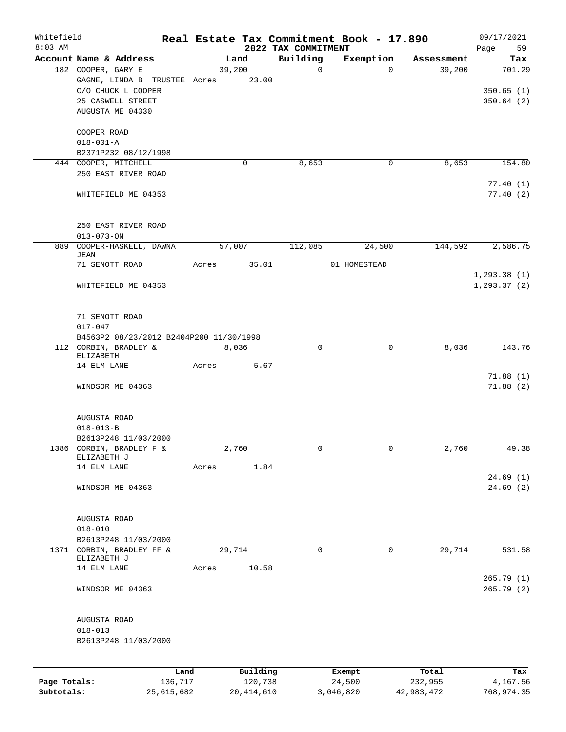| Whitefield   |                                                                                                   |            |        |              |                                 | Real Estate Tax Commitment Book - 17.890 |            | 09/17/2021             |
|--------------|---------------------------------------------------------------------------------------------------|------------|--------|--------------|---------------------------------|------------------------------------------|------------|------------------------|
| $8:03$ AM    | Account Name & Address                                                                            |            |        | Land         | 2022 TAX COMMITMENT<br>Building | Exemption                                | Assessment | Page<br>59<br>Tax      |
|              | 182 COOPER, GARY E                                                                                |            | 39,200 |              | $\mathbf 0$                     | $\Omega$                                 | 39,200     | 701.29                 |
|              | GAGNE, LINDA B TRUSTEE Acres 23.00<br>C/O CHUCK L COOPER<br>25 CASWELL STREET<br>AUGUSTA ME 04330 |            |        |              |                                 |                                          |            | 350.65(1)<br>350.64(2) |
|              | COOPER ROAD                                                                                       |            |        |              |                                 |                                          |            |                        |
|              | $018 - 001 - A$<br>B2371P232 08/12/1998                                                           |            |        |              |                                 |                                          |            |                        |
|              | 444 COOPER, MITCHELL                                                                              |            |        | $\mathbf 0$  | 8,653                           | 0                                        | 8,653      | 154.80                 |
|              | 250 EAST RIVER ROAD                                                                               |            |        |              |                                 |                                          |            | 77.40(1)               |
|              | WHITEFIELD ME 04353                                                                               |            |        |              |                                 |                                          |            | 77.40(2)               |
|              | 250 EAST RIVER ROAD<br>$013 - 073 - ON$                                                           |            |        |              |                                 |                                          |            |                        |
| 889          | COOPER-HASKELL, DAWNA                                                                             |            | 57,007 |              | 112,085                         | 24,500                                   | 144,592    | 2,586.75               |
|              | JEAN                                                                                              |            |        |              |                                 |                                          |            |                        |
|              | 71 SENOTT ROAD                                                                                    | Acres      |        | 35.01        |                                 | 01 HOMESTEAD                             |            | 1, 293.38(1)           |
|              | WHITEFIELD ME 04353                                                                               |            |        |              |                                 |                                          |            | 1, 293.37(2)           |
|              | 71 SENOTT ROAD<br>$017 - 047$                                                                     |            |        |              |                                 |                                          |            |                        |
|              | B4563P2 08/23/2012 B2404P200 11/30/1998                                                           |            |        |              |                                 |                                          |            |                        |
|              | 112 CORBIN, BRADLEY &<br>ELIZABETH                                                                |            | 8,036  |              | $\mathbf 0$                     | $\Omega$                                 | 8,036      | 143.76                 |
|              | 14 ELM LANE                                                                                       | Acres      |        | 5.67         |                                 |                                          |            | 71.88(1)               |
|              | WINDSOR ME 04363                                                                                  |            |        |              |                                 |                                          |            | 71.88(2)               |
|              | AUGUSTA ROAD                                                                                      |            |        |              |                                 |                                          |            |                        |
|              | $018 - 013 - B$                                                                                   |            |        |              |                                 |                                          |            |                        |
|              | B2613P248 11/03/2000                                                                              |            |        |              |                                 |                                          |            |                        |
|              | 1386 CORBIN, BRADLEY F &<br>ELIZABETH J                                                           |            | 2,760  |              |                                 |                                          | 2,760      | 49.38                  |
|              | 14 ELM LANE                                                                                       | Acres      |        | 1.84         |                                 |                                          |            |                        |
|              |                                                                                                   |            |        |              |                                 |                                          |            | 24.69(1)               |
|              | WINDSOR ME 04363                                                                                  |            |        |              |                                 |                                          |            | 24.69(2)               |
|              | AUGUSTA ROAD                                                                                      |            |        |              |                                 |                                          |            |                        |
|              | $018 - 010$                                                                                       |            |        |              |                                 |                                          |            |                        |
|              | B2613P248 11/03/2000                                                                              |            |        |              |                                 |                                          |            |                        |
|              | 1371 CORBIN, BRADLEY FF &<br>ELIZABETH J                                                          |            | 29,714 |              | 0                               | 0                                        | 29,714     | 531.58                 |
|              | 14 ELM LANE                                                                                       | Acres      |        | 10.58        |                                 |                                          |            |                        |
|              | WINDSOR ME 04363                                                                                  |            |        |              |                                 |                                          |            | 265.79(1)<br>265.79(2) |
|              | AUGUSTA ROAD                                                                                      |            |        |              |                                 |                                          |            |                        |
|              | $018 - 013$                                                                                       |            |        |              |                                 |                                          |            |                        |
|              | B2613P248 11/03/2000                                                                              |            |        |              |                                 |                                          |            |                        |
|              |                                                                                                   | Land       |        | Building     |                                 | Exempt                                   | Total      | Tax                    |
| Page Totals: |                                                                                                   | 136,717    |        | 120,738      |                                 | 24,500                                   | 232,955    | 4,167.56               |
| Subtotals:   |                                                                                                   | 25,615,682 |        | 20, 414, 610 |                                 | 3,046,820                                | 42,983,472 | 768,974.35             |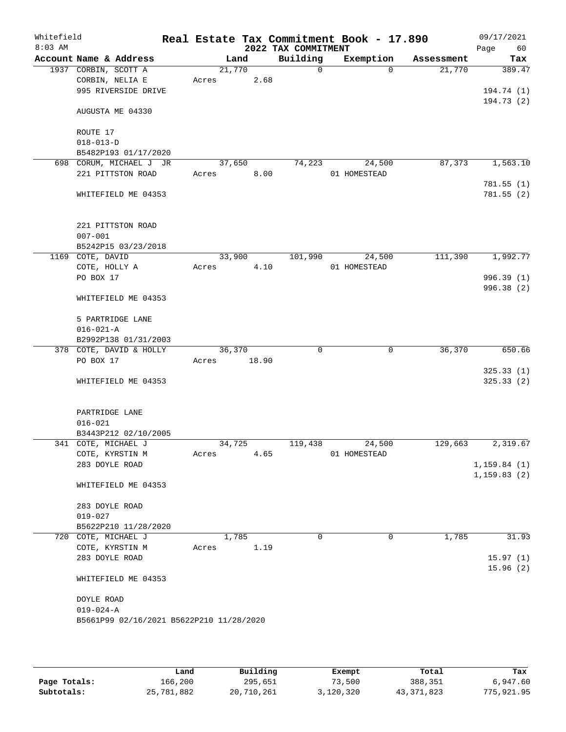| Whitefield<br>$8:03$ AM |                                                 |       |        | 2022 TAX COMMITMENT | Real Estate Tax Commitment Book - 17.890 |                       | 09/17/2021<br>Page<br>60 |
|-------------------------|-------------------------------------------------|-------|--------|---------------------|------------------------------------------|-----------------------|--------------------------|
|                         | Account Name & Address                          |       | Land   | Building            | Exemption                                | Assessment            | Tax                      |
|                         | 1937 CORBIN, SCOTT A                            |       | 21,770 | $\mathsf{O}$        |                                          | 21,770<br>$\Omega$    | 389.47                   |
|                         | CORBIN, NELIA E                                 | Acres | 2.68   |                     |                                          |                       |                          |
|                         | 995 RIVERSIDE DRIVE                             |       |        |                     |                                          |                       | 194.74 (1)               |
|                         |                                                 |       |        |                     |                                          |                       | 194.73(2)                |
|                         | AUGUSTA ME 04330                                |       |        |                     |                                          |                       |                          |
|                         |                                                 |       |        |                     |                                          |                       |                          |
|                         | ROUTE 17                                        |       |        |                     |                                          |                       |                          |
|                         | $018 - 013 - D$                                 |       |        |                     |                                          |                       |                          |
|                         | B5482P193 01/17/2020                            |       | 37,650 | 74,223              | 24,500                                   | 87,373                |                          |
|                         | 698 CORUM, MICHAEL J JR<br>221 PITTSTON ROAD    | Acres | 8.00   |                     | 01 HOMESTEAD                             |                       | 1,563.10                 |
|                         |                                                 |       |        |                     |                                          |                       | 781.55(1)                |
|                         | WHITEFIELD ME 04353                             |       |        |                     |                                          |                       | 781.55 (2)               |
|                         |                                                 |       |        |                     |                                          |                       |                          |
|                         |                                                 |       |        |                     |                                          |                       |                          |
|                         | 221 PITTSTON ROAD                               |       |        |                     |                                          |                       |                          |
|                         | $007 - 001$                                     |       |        |                     |                                          |                       |                          |
|                         | B5242P15 03/23/2018                             |       |        |                     |                                          |                       |                          |
|                         | 1169 COTE, DAVID                                |       | 33,900 | 101,990             | 24,500                                   | 111,390               | 1,992.77                 |
|                         | COTE, HOLLY A                                   | Acres | 4.10   |                     | 01 HOMESTEAD                             |                       |                          |
|                         | PO BOX 17                                       |       |        |                     |                                          |                       | 996.39(1)                |
|                         |                                                 |       |        |                     |                                          |                       | 996.38 (2)               |
|                         | WHITEFIELD ME 04353                             |       |        |                     |                                          |                       |                          |
|                         |                                                 |       |        |                     |                                          |                       |                          |
|                         | 5 PARTRIDGE LANE                                |       |        |                     |                                          |                       |                          |
|                         | $016 - 021 - A$                                 |       |        |                     |                                          |                       |                          |
|                         | B2992P138 01/31/2003<br>378 COTE, DAVID & HOLLY |       | 36,370 | $\mathbf 0$         |                                          | 36,370<br>$\mathbf 0$ | 650.66                   |
|                         | PO BOX 17                                       | Acres | 18.90  |                     |                                          |                       |                          |
|                         |                                                 |       |        |                     |                                          |                       | 325.33(1)                |
|                         | WHITEFIELD ME 04353                             |       |        |                     |                                          |                       | 325.33(2)                |
|                         |                                                 |       |        |                     |                                          |                       |                          |
|                         |                                                 |       |        |                     |                                          |                       |                          |
|                         | PARTRIDGE LANE                                  |       |        |                     |                                          |                       |                          |
|                         | $016 - 021$                                     |       |        |                     |                                          |                       |                          |
|                         | B3443P212 02/10/2005                            |       |        |                     |                                          |                       |                          |
|                         | 341 COTE, MICHAEL J                             |       | 34,725 | 119,438             | 24,500                                   | 129,663               | 2,319.67                 |
|                         | COTE, KYRSTIN M                                 | Acres | 4.65   |                     | 01 HOMESTEAD                             |                       |                          |
|                         | 283 DOYLE ROAD                                  |       |        |                     |                                          |                       | 1, 159.84(1)             |
|                         |                                                 |       |        |                     |                                          |                       | 1, 159.83(2)             |
|                         | WHITEFIELD ME 04353                             |       |        |                     |                                          |                       |                          |
|                         | 283 DOYLE ROAD                                  |       |        |                     |                                          |                       |                          |
|                         | $019 - 027$                                     |       |        |                     |                                          |                       |                          |
|                         | B5622P210 11/28/2020                            |       |        |                     |                                          |                       |                          |
|                         | 720 COTE, MICHAEL J                             |       | 1,785  | $\Omega$            |                                          | 1,785<br>0            | 31.93                    |
|                         | COTE, KYRSTIN M                                 | Acres | 1.19   |                     |                                          |                       |                          |
|                         | 283 DOYLE ROAD                                  |       |        |                     |                                          |                       | 15.97(1)                 |
|                         |                                                 |       |        |                     |                                          |                       | 15.96(2)                 |
|                         | WHITEFIELD ME 04353                             |       |        |                     |                                          |                       |                          |
|                         |                                                 |       |        |                     |                                          |                       |                          |
|                         | DOYLE ROAD                                      |       |        |                     |                                          |                       |                          |
|                         | $019 - 024 - A$                                 |       |        |                     |                                          |                       |                          |
|                         | B5661P99 02/16/2021 B5622P210 11/28/2020        |       |        |                     |                                          |                       |                          |
|                         |                                                 |       |        |                     |                                          |                       |                          |
|                         |                                                 |       |        |                     |                                          |                       |                          |

|              | Land       | Building   | Exempt    | Total        | Tax        |
|--------------|------------|------------|-----------|--------------|------------|
| Page Totals: | 166,200    | 295,651    | 73,500    | 388,351      | 6,947.60   |
| Subtotals:   | 25,781,882 | 20,710,261 | 3,120,320 | 43, 371, 823 | 775,921.95 |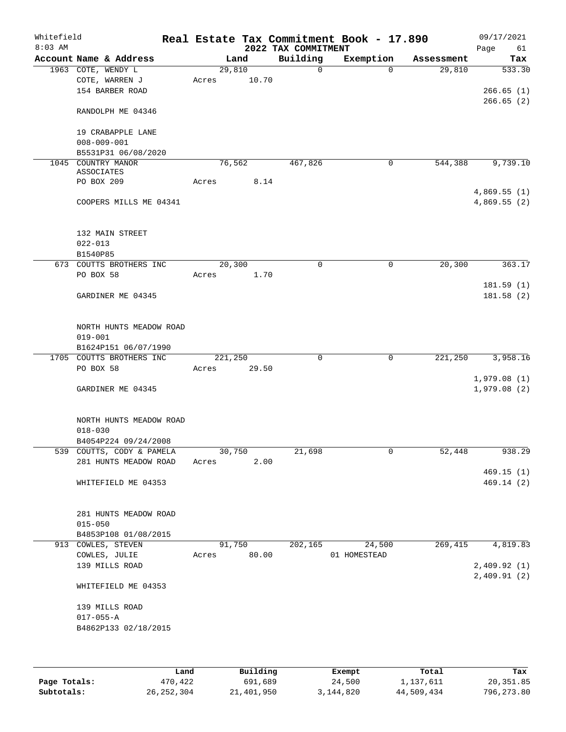| Whitefield                             |                                                                                                                                                              |                |                                                                                     | Real Estate Tax Commitment Book - 17.890 |                                                            | 09/17/2021<br>Page<br>61   |
|----------------------------------------|--------------------------------------------------------------------------------------------------------------------------------------------------------------|----------------|-------------------------------------------------------------------------------------|------------------------------------------|------------------------------------------------------------|----------------------------|
| Account Name & Address                 |                                                                                                                                                              |                |                                                                                     |                                          | Assessment                                                 | Tax                        |
| 1963 COTE, WENDY L<br>COTE, WARREN J   | Acres                                                                                                                                                        | 10.70          | 0                                                                                   | $\mathbf 0$                              | 29,810                                                     | 533.30                     |
| 154 BARBER ROAD                        |                                                                                                                                                              |                |                                                                                     |                                          |                                                            | 266.65(1)<br>266.65(2)     |
| RANDOLPH ME 04346                      |                                                                                                                                                              |                |                                                                                     |                                          |                                                            |                            |
| 19 CRABAPPLE LANE<br>$008 - 009 - 001$ |                                                                                                                                                              |                |                                                                                     |                                          |                                                            |                            |
| B5531P31 06/08/2020                    |                                                                                                                                                              |                |                                                                                     |                                          |                                                            |                            |
| ASSOCIATES                             |                                                                                                                                                              |                |                                                                                     |                                          |                                                            | 9,739.10                   |
|                                        |                                                                                                                                                              |                |                                                                                     |                                          |                                                            | 4,869.55(1)                |
| COOPERS MILLS ME 04341                 |                                                                                                                                                              |                |                                                                                     |                                          |                                                            | 4,869.55(2)                |
| 132 MAIN STREET                        |                                                                                                                                                              |                |                                                                                     |                                          |                                                            |                            |
| B1540P85                               |                                                                                                                                                              |                |                                                                                     |                                          |                                                            |                            |
| 673 COUTTS BROTHERS INC                |                                                                                                                                                              |                | $\mathbf 0$                                                                         | 0                                        | 20,300                                                     | 363.17                     |
| PO BOX 58                              | Acres                                                                                                                                                        | 1.70           |                                                                                     |                                          |                                                            |                            |
| GARDINER ME 04345                      |                                                                                                                                                              |                |                                                                                     |                                          |                                                            | 181.59(1)<br>181.58(2)     |
| NORTH HUNTS MEADOW ROAD<br>$019 - 001$ |                                                                                                                                                              |                |                                                                                     |                                          |                                                            |                            |
| B1624P151 06/07/1990                   |                                                                                                                                                              |                |                                                                                     |                                          |                                                            |                            |
|                                        |                                                                                                                                                              |                | $\mathbf 0$                                                                         | 0                                        | 221,250                                                    | 3,958.16                   |
|                                        |                                                                                                                                                              |                |                                                                                     |                                          |                                                            |                            |
| GARDINER ME 04345                      |                                                                                                                                                              |                |                                                                                     |                                          |                                                            | 1,979.08(1)<br>1,979.08(2) |
| NORTH HUNTS MEADOW ROAD<br>$018 - 030$ |                                                                                                                                                              |                |                                                                                     |                                          |                                                            |                            |
|                                        |                                                                                                                                                              |                |                                                                                     |                                          |                                                            |                            |
| 281 HUNTS MEADOW ROAD                  | Acres                                                                                                                                                        | 2.00           |                                                                                     |                                          |                                                            | 938.29                     |
| WHITEFIELD ME 04353                    |                                                                                                                                                              |                |                                                                                     |                                          |                                                            | 469.15(1)<br>469.14(2)     |
| 281 HUNTS MEADOW ROAD                  |                                                                                                                                                              |                |                                                                                     |                                          |                                                            |                            |
| B4853P108 01/08/2015                   |                                                                                                                                                              |                |                                                                                     |                                          |                                                            |                            |
| 913 COWLES, STEVEN                     |                                                                                                                                                              |                | 202,165                                                                             | 24,500                                   | 269, 415                                                   | 4,819.83                   |
| COWLES, JULIE                          | Acres                                                                                                                                                        |                |                                                                                     |                                          |                                                            |                            |
| 139 MILLS ROAD                         |                                                                                                                                                              |                |                                                                                     |                                          |                                                            | 2,409.92(1)<br>2,409.91(2) |
| WHITEFIELD ME 04353                    |                                                                                                                                                              |                |                                                                                     |                                          |                                                            |                            |
| 139 MILLS ROAD<br>$017 - 055 - A$      |                                                                                                                                                              |                |                                                                                     |                                          |                                                            |                            |
|                                        | 1045 COUNTRY MANOR<br>PO BOX 209<br>$022 - 013$<br>1705 COUTTS BROTHERS INC<br>PO BOX 58<br>B4054P224 09/24/2008<br>539 COUTTS, CODY & PAMELA<br>$015 - 050$ | Acres<br>Acres | Land<br>29,810<br>76, 562<br>8.14<br>20,300<br>221,250<br>29.50<br>30,750<br>91,750 | Building<br>467,826<br>21,698<br>80.00   | 2022 TAX COMMITMENT<br>Exemption<br>0<br>0<br>01 HOMESTEAD | 544,388<br>52,448          |

|              | Land       | Building   | Exempt      | Total      | Tax        |
|--------------|------------|------------|-------------|------------|------------|
| Page Totals: | 470,422    | 691,689    | 24,500      | 1,137,611  | 20,351.85  |
| Subtotals:   | 26,252,304 | 21,401,950 | 3, 144, 820 | 44,509,434 | 796,273.80 |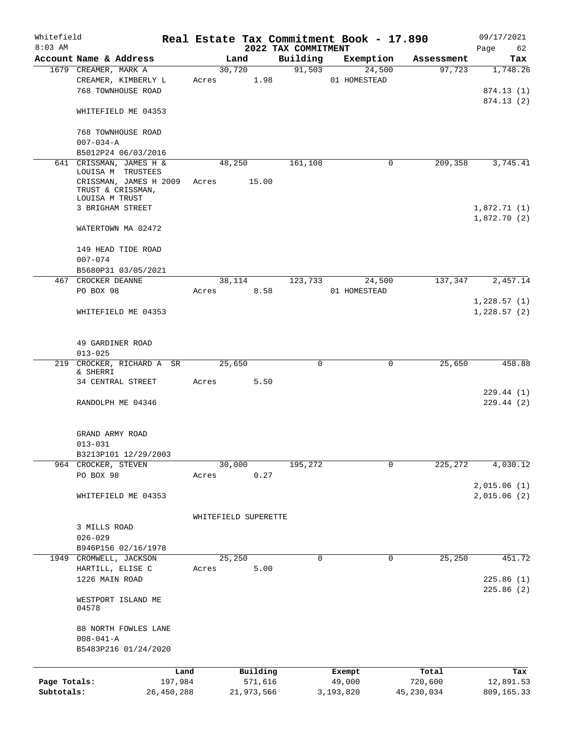| Whitefield<br>$8:03$ AM |                                               |              |                      |            |          | 2022 TAX COMMITMENT |             | Real Estate Tax Commitment Book - 17.890 |             |              | 09/17/2021<br>62<br>Page |
|-------------------------|-----------------------------------------------|--------------|----------------------|------------|----------|---------------------|-------------|------------------------------------------|-------------|--------------|--------------------------|
|                         | Account Name & Address                        |              |                      | Land       |          | Building            |             |                                          | Exemption   | Assessment   | Tax                      |
|                         | 1679 CREAMER, MARK A                          |              |                      | 30,720     |          |                     | 91,503      |                                          | 24,500      | 97,723       | 1,748.26                 |
|                         | CREAMER, KIMBERLY L                           |              | Acres                |            | 1.98     |                     |             | 01 HOMESTEAD                             |             |              |                          |
|                         | 768 TOWNHOUSE ROAD                            |              |                      |            |          |                     |             |                                          |             |              | 874.13 (1)               |
|                         |                                               |              |                      |            |          |                     |             |                                          |             |              | 874.13(2)                |
|                         | WHITEFIELD ME 04353                           |              |                      |            |          |                     |             |                                          |             |              |                          |
|                         |                                               |              |                      |            |          |                     |             |                                          |             |              |                          |
|                         | 768 TOWNHOUSE ROAD                            |              |                      |            |          |                     |             |                                          |             |              |                          |
|                         | $007 - 034 - A$<br>B5012P24 06/03/2016        |              |                      |            |          |                     |             |                                          |             |              |                          |
|                         | 641 CRISSMAN, JAMES H &                       |              |                      | 48,250     |          |                     | 161,108     |                                          | 0           | 209,358      | 3,745.41                 |
|                         | LOUISA M TRUSTEES                             |              |                      |            |          |                     |             |                                          |             |              |                          |
|                         | CRISSMAN, JAMES H 2009                        |              | Acres                |            | 15.00    |                     |             |                                          |             |              |                          |
|                         | TRUST & CRISSMAN,                             |              |                      |            |          |                     |             |                                          |             |              |                          |
|                         | LOUISA M TRUST                                |              |                      |            |          |                     |             |                                          |             |              |                          |
|                         | 3 BRIGHAM STREET                              |              |                      |            |          |                     |             |                                          |             |              | 1,872.71(1)              |
|                         | WATERTOWN MA 02472                            |              |                      |            |          |                     |             |                                          |             |              | 1,872.70(2)              |
|                         |                                               |              |                      |            |          |                     |             |                                          |             |              |                          |
|                         | 149 HEAD TIDE ROAD                            |              |                      |            |          |                     |             |                                          |             |              |                          |
|                         | $007 - 074$                                   |              |                      |            |          |                     |             |                                          |             |              |                          |
|                         | B5680P31 03/05/2021                           |              |                      |            |          |                     |             |                                          |             |              |                          |
|                         | 467 CROCKER DEANNE                            |              |                      | 38,114     |          |                     | 123,733     |                                          | 24,500      | 137,347      | 2,457.14                 |
|                         | PO BOX 98                                     |              | Acres                |            | 8.58     |                     |             | 01 HOMESTEAD                             |             |              |                          |
|                         |                                               |              |                      |            |          |                     |             |                                          |             |              | 1,228.57(1)              |
|                         | WHITEFIELD ME 04353                           |              |                      |            |          |                     |             |                                          |             |              | 1,228.57(2)              |
|                         |                                               |              |                      |            |          |                     |             |                                          |             |              |                          |
|                         |                                               |              |                      |            |          |                     |             |                                          |             |              |                          |
|                         | 49 GARDINER ROAD                              |              |                      |            |          |                     |             |                                          |             |              |                          |
|                         | $013 - 025$                                   |              |                      |            |          |                     |             |                                          |             |              |                          |
|                         | 219 CROCKER, RICHARD A SR                     |              |                      | 25,650     |          |                     | $\mathbf 0$ |                                          | $\mathbf 0$ | 25,650       | 458.88                   |
|                         | & SHERRI<br>34 CENTRAL STREET                 |              | Acres                |            | 5.50     |                     |             |                                          |             |              |                          |
|                         |                                               |              |                      |            |          |                     |             |                                          |             |              | 229.44(1)                |
|                         | RANDOLPH ME 04346                             |              |                      |            |          |                     |             |                                          |             |              | 229.44(2)                |
|                         |                                               |              |                      |            |          |                     |             |                                          |             |              |                          |
|                         |                                               |              |                      |            |          |                     |             |                                          |             |              |                          |
|                         | GRAND ARMY ROAD                               |              |                      |            |          |                     |             |                                          |             |              |                          |
|                         | $013 - 031$                                   |              |                      |            |          |                     |             |                                          |             |              |                          |
|                         | B3213P101 12/29/2003                          |              |                      |            |          |                     |             |                                          |             |              |                          |
|                         | 964 CROCKER, STEVEN                           |              |                      | 30,000     |          |                     | 195,272     |                                          | $\mathbf 0$ | 225,272      | 4,030.12                 |
|                         | PO BOX 98                                     |              | Acres                |            | 0.27     |                     |             |                                          |             |              |                          |
|                         |                                               |              |                      |            |          |                     |             |                                          |             |              | 2,015.06(1)              |
|                         | WHITEFIELD ME 04353                           |              |                      |            |          |                     |             |                                          |             |              | 2,015.06(2)              |
|                         |                                               |              |                      |            |          |                     |             |                                          |             |              |                          |
|                         |                                               |              | WHITEFIELD SUPERETTE |            |          |                     |             |                                          |             |              |                          |
|                         | 3 MILLS ROAD                                  |              |                      |            |          |                     |             |                                          |             |              |                          |
|                         | $026 - 029$                                   |              |                      |            |          |                     |             |                                          |             |              |                          |
|                         | B946P156 02/16/1978<br>1949 CROMWELL, JACKSON |              |                      | 25,250     |          |                     | $\mathbf 0$ |                                          | $\mathbf 0$ | 25,250       | 451.72                   |
|                         | HARTILL, ELISE C                              |              | Acres                |            | 5.00     |                     |             |                                          |             |              |                          |
|                         | 1226 MAIN ROAD                                |              |                      |            |          |                     |             |                                          |             |              | 225.86(1)                |
|                         |                                               |              |                      |            |          |                     |             |                                          |             |              | 225.86(2)                |
|                         | WESTPORT ISLAND ME                            |              |                      |            |          |                     |             |                                          |             |              |                          |
|                         | 04578                                         |              |                      |            |          |                     |             |                                          |             |              |                          |
|                         |                                               |              |                      |            |          |                     |             |                                          |             |              |                          |
|                         | 88 NORTH FOWLES LANE                          |              |                      |            |          |                     |             |                                          |             |              |                          |
|                         | $008 - 041 - A$                               |              |                      |            |          |                     |             |                                          |             |              |                          |
|                         | B5483P216 01/24/2020                          |              |                      |            |          |                     |             |                                          |             |              |                          |
|                         |                                               | Land         |                      |            | Building |                     |             |                                          |             | Total        | Tax                      |
| Page Totals:            |                                               | 197,984      |                      |            | 571,616  |                     |             | Exempt<br>49,000                         |             | 720,600      | 12,891.53                |
| Subtotals:              |                                               | 26, 450, 288 |                      | 21,973,566 |          |                     |             | 3,193,820                                |             | 45, 230, 034 | 809,165.33               |
|                         |                                               |              |                      |            |          |                     |             |                                          |             |              |                          |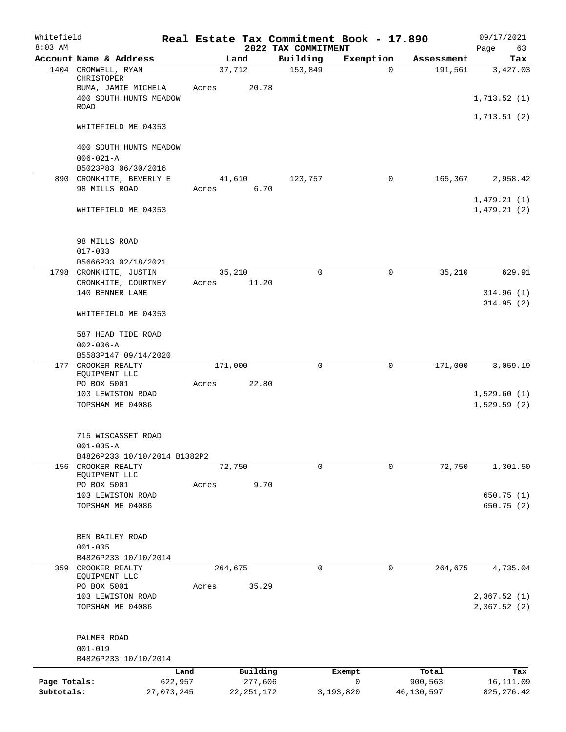| Whitefield<br>$8:03$ AM    |                                                    |            |       |              |                                 | Real Estate Tax Commitment Book - 17.890 |            | 09/17/2021                 |
|----------------------------|----------------------------------------------------|------------|-------|--------------|---------------------------------|------------------------------------------|------------|----------------------------|
|                            | Account Name & Address                             |            |       | Land         | 2022 TAX COMMITMENT<br>Building | Exemption                                | Assessment | 63<br>Page<br>Tax          |
|                            | 1404 CROMWELL, RYAN<br>CHRISTOPER                  |            |       | 37,712       | 153,849                         | $\mathbf 0$                              | 191,561    | 3,427.03                   |
|                            | BUMA, JAMIE MICHELA                                |            | Acres | 20.78        |                                 |                                          |            |                            |
|                            | 400 SOUTH HUNTS MEADOW<br>ROAD                     |            |       |              |                                 |                                          |            | 1,713.52(1)                |
|                            | WHITEFIELD ME 04353                                |            |       |              |                                 |                                          |            | 1, 713.51(2)               |
|                            |                                                    |            |       |              |                                 |                                          |            |                            |
|                            | 400 SOUTH HUNTS MEADOW<br>$006 - 021 - A$          |            |       |              |                                 |                                          |            |                            |
|                            | B5023P83 06/30/2016                                |            |       |              |                                 |                                          |            |                            |
|                            | 890 CRONKHITE, BEVERLY E                           |            |       | 41,610       | 123,757                         | 0                                        | 165,367    | 2,958.42                   |
|                            | 98 MILLS ROAD                                      |            | Acres | 6.70         |                                 |                                          |            | 1,479.21(1)                |
|                            | WHITEFIELD ME 04353                                |            |       |              |                                 |                                          |            | 1,479.21(2)                |
|                            | 98 MILLS ROAD                                      |            |       |              |                                 |                                          |            |                            |
|                            | $017 - 003$                                        |            |       |              |                                 |                                          |            |                            |
|                            | B5666P33 02/18/2021                                |            |       |              |                                 |                                          |            |                            |
|                            | 1798 CRONKHITE, JUSTIN                             |            |       | 35,210       | $\Omega$                        | $\Omega$                                 | 35,210     | 629.91                     |
|                            | CRONKHITE, COURTNEY                                |            | Acres | 11.20        |                                 |                                          |            |                            |
|                            | 140 BENNER LANE                                    |            |       |              |                                 |                                          |            | 314.96(1)<br>314.95(2)     |
|                            | WHITEFIELD ME 04353                                |            |       |              |                                 |                                          |            |                            |
|                            | 587 HEAD TIDE ROAD                                 |            |       |              |                                 |                                          |            |                            |
|                            | $002 - 006 - A$                                    |            |       |              |                                 |                                          |            |                            |
|                            | B5583P147 09/14/2020                               |            |       |              |                                 |                                          |            |                            |
|                            | 177 CROOKER REALTY<br>EQUIPMENT LLC                |            |       | 171,000      | $\mathbf 0$                     | $\mathbf 0$                              | 171,000    | 3,059.19                   |
|                            | PO BOX 5001                                        |            | Acres | 22.80        |                                 |                                          |            |                            |
|                            | 103 LEWISTON ROAD<br>TOPSHAM ME 04086              |            |       |              |                                 |                                          |            | 1,529.60(1)<br>1,529.59(2) |
|                            |                                                    |            |       |              |                                 |                                          |            |                            |
|                            | 715 WISCASSET ROAD                                 |            |       |              |                                 |                                          |            |                            |
|                            | $001 - 035 - A$                                    |            |       |              |                                 |                                          |            |                            |
|                            | B4826P233 10/10/2014 B1382P2<br>156 CROOKER REALTY |            |       | 72,750       | $\mathbf 0$                     | 0                                        | 72,750     | 1,301.50                   |
|                            | EQUIPMENT LLC                                      |            |       |              |                                 |                                          |            |                            |
|                            | PO BOX 5001                                        |            | Acres | 9.70         |                                 |                                          |            |                            |
|                            | 103 LEWISTON ROAD                                  |            |       |              |                                 |                                          |            | 650.75(1)                  |
|                            | TOPSHAM ME 04086                                   |            |       |              |                                 |                                          |            | 650.75 (2)                 |
|                            | BEN BAILEY ROAD                                    |            |       |              |                                 |                                          |            |                            |
|                            | $001 - 005$                                        |            |       |              |                                 |                                          |            |                            |
|                            | B4826P233 10/10/2014                               |            |       |              |                                 |                                          |            |                            |
| 359                        | CROOKER REALTY                                     |            |       | 264,675      | 0                               | 0                                        | 264,675    | 4,735.04                   |
|                            | EQUIPMENT LLC                                      |            |       |              |                                 |                                          |            |                            |
|                            | PO BOX 5001                                        |            | Acres | 35.29        |                                 |                                          |            |                            |
|                            | 103 LEWISTON ROAD                                  |            |       |              |                                 |                                          |            | 2,367.52 (1)               |
|                            | TOPSHAM ME 04086                                   |            |       |              |                                 |                                          |            | 2,367.52(2)                |
|                            | PALMER ROAD                                        |            |       |              |                                 |                                          |            |                            |
|                            | $001 - 019$                                        |            |       |              |                                 |                                          |            |                            |
|                            | B4826P233 10/10/2014                               |            |       |              |                                 |                                          |            |                            |
|                            |                                                    | Land       |       | Building     |                                 | Exempt                                   | Total      | Tax                        |
| Page Totals:<br>Subtotals: |                                                    | 622,957    |       | 277,606      |                                 | $\mathbf 0$                              | 900,563    | 16,111.09                  |
|                            |                                                    | 27,073,245 |       | 22, 251, 172 |                                 | 3,193,820                                | 46,130,597 | 825, 276.42                |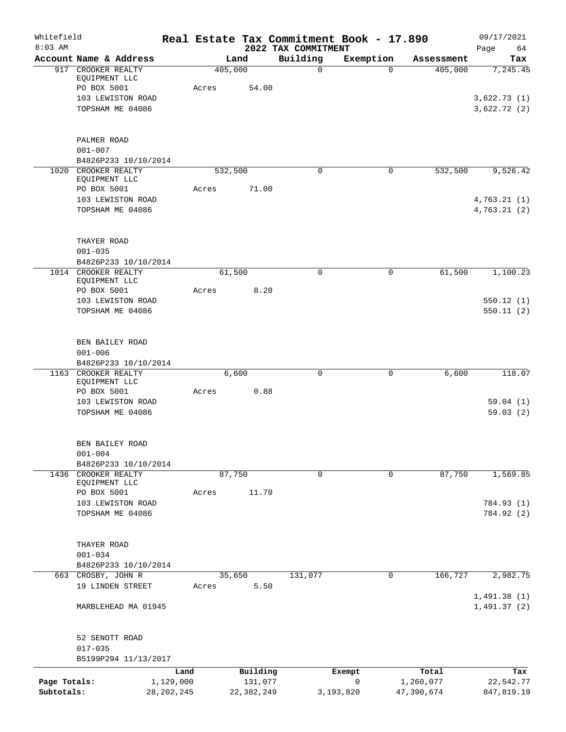| Whitefield<br>$8:03$ AM    |                                        |                           |         |                         | 2022 TAX COMMITMENT | Real Estate Tax Commitment Book - 17.890 |                         | 09/17/2021<br>Page<br>64   |
|----------------------------|----------------------------------------|---------------------------|---------|-------------------------|---------------------|------------------------------------------|-------------------------|----------------------------|
|                            | Account Name & Address                 |                           |         | Land                    | Building            | Exemption                                | Assessment              | Tax                        |
| 917                        | CROOKER REALTY                         |                           | 405,000 |                         | 0                   | $\mathbf 0$                              | 405,000                 | 7, 245.45                  |
|                            | EQUIPMENT LLC                          |                           |         |                         |                     |                                          |                         |                            |
|                            | PO BOX 5001<br>103 LEWISTON ROAD       |                           | Acres   | 54.00                   |                     |                                          |                         | 3,622.73(1)                |
|                            | TOPSHAM ME 04086                       |                           |         |                         |                     |                                          |                         | 3,622.72(2)                |
|                            |                                        |                           |         |                         |                     |                                          |                         |                            |
|                            |                                        |                           |         |                         |                     |                                          |                         |                            |
|                            | PALMER ROAD                            |                           |         |                         |                     |                                          |                         |                            |
|                            | $001 - 007$<br>B4826P233 10/10/2014    |                           |         |                         |                     |                                          |                         |                            |
| 1020                       | CROOKER REALTY                         |                           | 532,500 |                         | 0                   | $\mathbf 0$                              | 532,500                 | 9,526.42                   |
|                            | EQUIPMENT LLC                          |                           |         |                         |                     |                                          |                         |                            |
|                            | PO BOX 5001                            |                           | Acres   | 71.00                   |                     |                                          |                         |                            |
|                            | 103 LEWISTON ROAD                      |                           |         |                         |                     |                                          |                         | 4,763.21(1)                |
|                            | TOPSHAM ME 04086                       |                           |         |                         |                     |                                          |                         | 4,763.21(2)                |
|                            |                                        |                           |         |                         |                     |                                          |                         |                            |
|                            | THAYER ROAD<br>$001 - 035$             |                           |         |                         |                     |                                          |                         |                            |
|                            | B4826P233 10/10/2014                   |                           |         |                         |                     |                                          |                         |                            |
|                            | 1014 CROOKER REALTY                    |                           |         | 61,500                  | 0                   | $\mathbf 0$                              | 61,500                  | 1,100.23                   |
|                            | EQUIPMENT LLC                          |                           |         |                         |                     |                                          |                         |                            |
|                            | PO BOX 5001                            |                           | Acres   | 8.20                    |                     |                                          |                         |                            |
|                            | 103 LEWISTON ROAD                      |                           |         |                         |                     |                                          |                         | 550.12(1)                  |
|                            | TOPSHAM ME 04086                       |                           |         |                         |                     |                                          |                         | 550.11(2)                  |
|                            | BEN BAILEY ROAD                        |                           |         |                         |                     |                                          |                         |                            |
|                            | $001 - 006$                            |                           |         |                         |                     |                                          |                         |                            |
|                            | B4826P233 10/10/2014                   |                           |         |                         |                     |                                          |                         |                            |
| 1163                       | CROOKER REALTY                         |                           |         | 6,600                   | $\mathbf 0$         | 0                                        | 6,600                   | 118.07                     |
|                            | EQUIPMENT LLC                          |                           |         |                         |                     |                                          |                         |                            |
|                            | PO BOX 5001<br>103 LEWISTON ROAD       |                           | Acres   | 0.88                    |                     |                                          |                         | 59.04(1)                   |
|                            | TOPSHAM ME 04086                       |                           |         |                         |                     |                                          |                         | 59.03(2)                   |
|                            |                                        |                           |         |                         |                     |                                          |                         |                            |
|                            | BEN BAILEY ROAD                        |                           |         |                         |                     |                                          |                         |                            |
|                            | $001 - 004$                            |                           |         |                         |                     |                                          |                         |                            |
| 1436                       | B4826P233 10/10/2014<br>CROOKER REALTY |                           |         | 87,750                  | 0                   | 0                                        | 87,750                  | 1,569.85                   |
|                            | EQUIPMENT LLC                          |                           |         |                         |                     |                                          |                         |                            |
|                            | PO BOX 5001                            |                           | Acres   | 11.70                   |                     |                                          |                         |                            |
|                            | 103 LEWISTON ROAD                      |                           |         |                         |                     |                                          |                         | 784.93 (1)                 |
|                            | TOPSHAM ME 04086                       |                           |         |                         |                     |                                          |                         | 784.92 (2)                 |
|                            | THAYER ROAD                            |                           |         |                         |                     |                                          |                         |                            |
|                            | $001 - 034$                            |                           |         |                         |                     |                                          |                         |                            |
|                            | B4826P233 10/10/2014                   |                           |         |                         |                     |                                          |                         |                            |
|                            | 663 CROSBY, JOHN R                     |                           |         | 35,650                  | 131,077             | $\mathbf 0$                              | 166, 727                | 2,982.75                   |
|                            | 19 LINDEN STREET                       |                           | Acres   | 5.50                    |                     |                                          |                         |                            |
|                            | MARBLEHEAD MA 01945                    |                           |         |                         |                     |                                          |                         | 1,491.38(1)<br>1,491.37(2) |
|                            |                                        |                           |         |                         |                     |                                          |                         |                            |
|                            | 52 SENOTT ROAD                         |                           |         |                         |                     |                                          |                         |                            |
|                            | $017 - 035$                            |                           |         |                         |                     |                                          |                         |                            |
|                            | B5199P294 11/13/2017                   |                           |         |                         |                     |                                          |                         |                            |
|                            |                                        | Land                      |         | Building                |                     | Exempt                                   | Total                   | Tax                        |
| Page Totals:<br>Subtotals: |                                        | 1,129,000<br>28, 202, 245 |         | 131,077<br>22, 382, 249 |                     | $\mathbf 0$<br>3,193,820                 | 1,260,077<br>47,390,674 | 22,542.77<br>847,819.19    |
|                            |                                        |                           |         |                         |                     |                                          |                         |                            |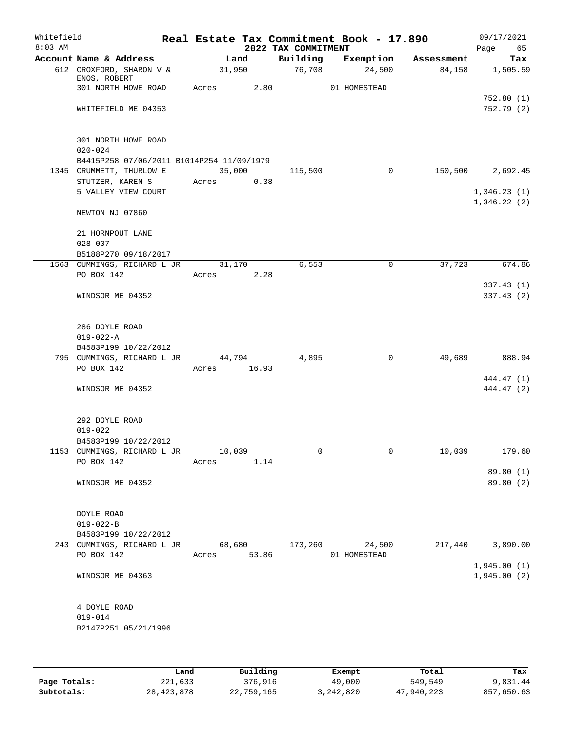| Whitefield<br>$8:03$ AM |                                              |       |                 | 2022 TAX COMMITMENT | Real Estate Tax Commitment Book - 17.890 |            | 09/17/2021<br>65<br>Page |
|-------------------------|----------------------------------------------|-------|-----------------|---------------------|------------------------------------------|------------|--------------------------|
|                         | Account Name & Address                       |       | Land            | Building            | Exemption                                | Assessment | Tax                      |
|                         | 612 CROXFORD, SHARON V &                     |       | 31,950          | 76,708              | 24,500                                   | 84,158     | 1,505.59                 |
|                         | ENOS, ROBERT<br>301 NORTH HOWE ROAD          | Acres | 2.80            |                     | 01 HOMESTEAD                             |            |                          |
|                         |                                              |       |                 |                     |                                          |            | 752.80(1)                |
|                         | WHITEFIELD ME 04353                          |       |                 |                     |                                          |            | 752.79(2)                |
|                         |                                              |       |                 |                     |                                          |            |                          |
|                         | 301 NORTH HOWE ROAD                          |       |                 |                     |                                          |            |                          |
|                         | $020 - 024$                                  |       |                 |                     |                                          |            |                          |
|                         | B4415P258 07/06/2011 B1014P254 11/09/1979    |       |                 |                     |                                          |            |                          |
|                         | 1345 CRUMMETT, THURLOW E<br>STUTZER, KAREN S | Acres | 35,000<br>0.38  | 115,500             | 0                                        | 150,500    | 2,692.45                 |
|                         | 5 VALLEY VIEW COURT                          |       |                 |                     |                                          |            | 1,346.23(1)              |
|                         |                                              |       |                 |                     |                                          |            | 1,346.22(2)              |
|                         | NEWTON NJ 07860                              |       |                 |                     |                                          |            |                          |
|                         | 21 HORNPOUT LANE                             |       |                 |                     |                                          |            |                          |
|                         | $028 - 007$                                  |       |                 |                     |                                          |            |                          |
|                         | B5188P270 09/18/2017                         |       |                 |                     |                                          |            |                          |
|                         | 1563 CUMMINGS, RICHARD L JR                  |       | 31,170          | 6,553               | 0                                        | 37,723     | 674.86                   |
|                         | PO BOX 142                                   | Acres | 2.28            |                     |                                          |            |                          |
|                         | WINDSOR ME 04352                             |       |                 |                     |                                          |            | 337.43(1)<br>337.43(2)   |
|                         |                                              |       |                 |                     |                                          |            |                          |
|                         | 286 DOYLE ROAD                               |       |                 |                     |                                          |            |                          |
|                         | $019 - 022 - A$                              |       |                 |                     |                                          |            |                          |
|                         | B4583P199 10/22/2012                         |       |                 |                     |                                          |            |                          |
|                         | 795 CUMMINGS, RICHARD L JR<br>PO BOX 142     | Acres | 44,794<br>16.93 | 4,895               | 0                                        | 49,689     | 888.94                   |
|                         |                                              |       |                 |                     |                                          |            | 444.47 (1)               |
|                         | WINDSOR ME 04352                             |       |                 |                     |                                          |            | 444.47 (2)               |
|                         |                                              |       |                 |                     |                                          |            |                          |
|                         | 292 DOYLE ROAD                               |       |                 |                     |                                          |            |                          |
|                         | $019 - 022$                                  |       |                 |                     |                                          |            |                          |
|                         | B4583P199 10/22/2012                         |       |                 |                     |                                          |            |                          |
|                         | 1153 CUMMINGS, RICHARD L JR<br>PO BOX 142    | Acres | 10,039<br>1.14  | 0                   | $\mathsf{O}$                             | 10,039     | 179.60                   |
|                         |                                              |       |                 |                     |                                          |            | 89.80 (1)                |
|                         | WINDSOR ME 04352                             |       |                 |                     |                                          |            | 89.80(2)                 |
|                         |                                              |       |                 |                     |                                          |            |                          |
|                         | DOYLE ROAD                                   |       |                 |                     |                                          |            |                          |
|                         | $019 - 022 - B$                              |       |                 |                     |                                          |            |                          |
|                         | B4583P199 10/22/2012                         |       |                 |                     |                                          |            |                          |
|                         | 243 CUMMINGS, RICHARD L JR                   |       | 68,680          | 173,260             | 24,500                                   | 217,440    | 3,890.00                 |
|                         | PO BOX 142                                   | Acres | 53.86           |                     | 01 HOMESTEAD                             |            | 1,945.00(1)              |
|                         | WINDSOR ME 04363                             |       |                 |                     |                                          |            | 1,945.00(2)              |
|                         |                                              |       |                 |                     |                                          |            |                          |
|                         | 4 DOYLE ROAD                                 |       |                 |                     |                                          |            |                          |
|                         | $019 - 014$                                  |       |                 |                     |                                          |            |                          |
|                         | B2147P251 05/21/1996                         |       |                 |                     |                                          |            |                          |
|                         |                                              |       |                 |                     |                                          |            |                          |
|                         |                                              |       |                 |                     |                                          |            |                          |
|                         |                                              |       |                 |                     |                                          |            |                          |

|              | Land         | Building   | Exempt    | Total      | Tax        |
|--------------|--------------|------------|-----------|------------|------------|
| Page Totals: | 221,633      | 376,916    | 49,000    | 549,549    | 9,831.44   |
| Subtotals:   | 28, 423, 878 | 22,759,165 | 3,242,820 | 47,940,223 | 857,650.63 |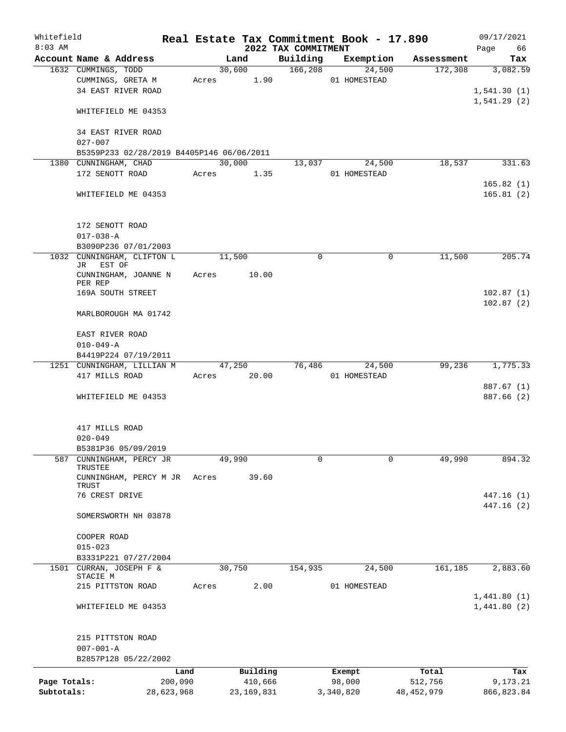| Whitefield<br>$8:03$ AM |                                            |       |              | Real Estate Tax Commitment Book - 17.890<br>2022 TAX COMMITMENT |              |             |              | 09/17/2021<br>Page<br>66   |
|-------------------------|--------------------------------------------|-------|--------------|-----------------------------------------------------------------|--------------|-------------|--------------|----------------------------|
|                         | Account Name & Address                     |       | Land         | Building                                                        |              | Exemption   | Assessment   | Tax                        |
|                         | 1632 CUMMINGS, TODD                        |       | 30,600       | 166, 208                                                        |              | 24,500      | 172,308      | 3,082.59                   |
|                         | CUMMINGS, GRETA M                          | Acres | 1.90         |                                                                 | 01 HOMESTEAD |             |              |                            |
|                         | 34 EAST RIVER ROAD                         |       |              |                                                                 |              |             |              | 1,541.30(1)                |
|                         |                                            |       |              |                                                                 |              |             |              | 1,541.29(2)                |
|                         | WHITEFIELD ME 04353                        |       |              |                                                                 |              |             |              |                            |
|                         | 34 EAST RIVER ROAD                         |       |              |                                                                 |              |             |              |                            |
|                         | $027 - 007$                                |       |              |                                                                 |              |             |              |                            |
|                         | B5359P233 02/28/2019 B4405P146 06/06/2011  |       |              |                                                                 |              |             |              |                            |
|                         | 1380 CUNNINGHAM, CHAD                      |       | 30,000       | 13,037                                                          |              | 24,500      | 18,537       | 331.63                     |
|                         | 172 SENOTT ROAD                            | Acres | 1.35         |                                                                 | 01 HOMESTEAD |             |              |                            |
|                         |                                            |       |              |                                                                 |              |             |              | 165.82(1)                  |
|                         | WHITEFIELD ME 04353                        |       |              |                                                                 |              |             |              | 165.81(2)                  |
|                         |                                            |       |              |                                                                 |              |             |              |                            |
|                         |                                            |       |              |                                                                 |              |             |              |                            |
|                         | 172 SENOTT ROAD                            |       |              |                                                                 |              |             |              |                            |
|                         | $017 - 038 - A$                            |       |              |                                                                 |              |             |              |                            |
|                         | B3090P236 07/01/2003                       |       |              | 0                                                               |              | $\mathbf 0$ |              | 205.74                     |
|                         | 1032 CUNNINGHAM, CLIFTON L<br>EST OF<br>JR |       | 11,500       |                                                                 |              |             | 11,500       |                            |
|                         | CUNNINGHAM, JOANNE N                       | Acres | 10.00        |                                                                 |              |             |              |                            |
|                         | PER REP                                    |       |              |                                                                 |              |             |              |                            |
|                         | 169A SOUTH STREET                          |       |              |                                                                 |              |             |              | 102.87(1)                  |
|                         | MARLBOROUGH MA 01742                       |       |              |                                                                 |              |             |              | 102.87(2)                  |
|                         |                                            |       |              |                                                                 |              |             |              |                            |
|                         | EAST RIVER ROAD                            |       |              |                                                                 |              |             |              |                            |
|                         | $010 - 049 - A$                            |       |              |                                                                 |              |             |              |                            |
|                         | B4419P224 07/19/2011                       |       |              |                                                                 |              |             |              |                            |
|                         | 1251 CUNNINGHAM, LILLIAN M                 |       | 47,250       | 76,486                                                          |              | 24,500      | 99,236       | 1,775.33                   |
|                         | 417 MILLS ROAD                             | Acres | 20.00        |                                                                 | 01 HOMESTEAD |             |              |                            |
|                         |                                            |       |              |                                                                 |              |             |              | 887.67 (1)                 |
|                         | WHITEFIELD ME 04353                        |       |              |                                                                 |              |             |              | 887.66 (2)                 |
|                         |                                            |       |              |                                                                 |              |             |              |                            |
|                         | 417 MILLS ROAD                             |       |              |                                                                 |              |             |              |                            |
|                         | $020 - 049$                                |       |              |                                                                 |              |             |              |                            |
|                         | B5381P36 05/09/2019                        |       |              |                                                                 |              |             |              |                            |
| 587                     | CUNNINGHAM, PERCY JR                       |       | 49,990       | 0                                                               |              | $\mathbf 0$ | 49,990       | 894.32                     |
|                         | TRUSTEE                                    |       |              |                                                                 |              |             |              |                            |
|                         | CUNNINGHAM, PERCY M JR                     | Acres | 39.60        |                                                                 |              |             |              |                            |
|                         | TRUST                                      |       |              |                                                                 |              |             |              |                            |
|                         | 76 CREST DRIVE                             |       |              |                                                                 |              |             |              | 447.16(1)                  |
|                         | SOMERSWORTH NH 03878                       |       |              |                                                                 |              |             |              | 447.16(2)                  |
|                         |                                            |       |              |                                                                 |              |             |              |                            |
|                         | COOPER ROAD                                |       |              |                                                                 |              |             |              |                            |
|                         | $015 - 023$                                |       |              |                                                                 |              |             |              |                            |
|                         | B3331P221 07/27/2004                       |       |              |                                                                 |              |             |              |                            |
| 1501                    | CURRAN, JOSEPH F &                         |       | 30,750       | 154,935                                                         |              | 24,500      | 161, 185     | 2,883.60                   |
|                         | STACIE M                                   |       |              |                                                                 |              |             |              |                            |
|                         | 215 PITTSTON ROAD                          | Acres | 2.00         |                                                                 | 01 HOMESTEAD |             |              |                            |
|                         | WHITEFIELD ME 04353                        |       |              |                                                                 |              |             |              | 1,441.80(1)<br>1,441.80(2) |
|                         |                                            |       |              |                                                                 |              |             |              |                            |
|                         |                                            |       |              |                                                                 |              |             |              |                            |
|                         | 215 PITTSTON ROAD                          |       |              |                                                                 |              |             |              |                            |
|                         | $007 - 001 - A$                            |       |              |                                                                 |              |             |              |                            |
|                         | B2857P128 05/22/2002                       |       |              |                                                                 |              |             |              |                            |
|                         |                                            | Land  | Building     |                                                                 | Exempt       |             | Total        | Tax                        |
| Page Totals:            | 200,090                                    |       | 410,666      |                                                                 | 98,000       |             | 512,756      | 9,173.21                   |
| Subtotals:              | 28,623,968                                 |       | 23, 169, 831 |                                                                 | 3,340,820    |             | 48, 452, 979 | 866, 823.84                |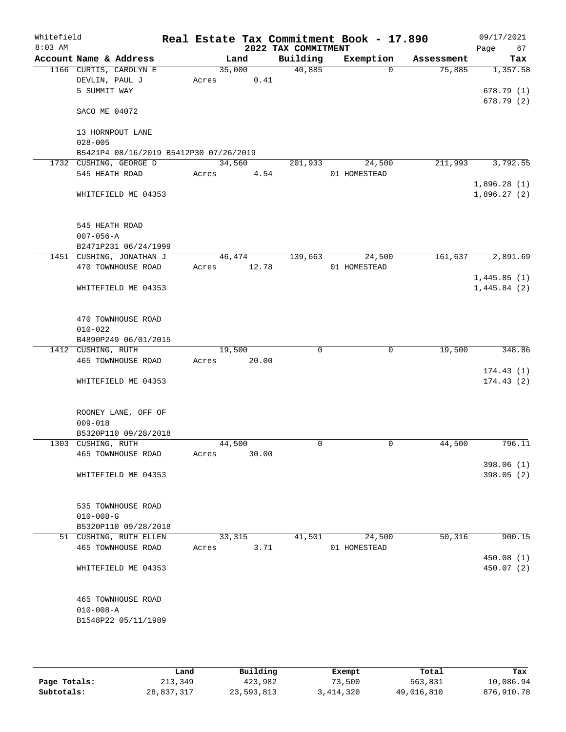| Whitefield<br>$8:03$ AM |                    |                                        |       |        | 2022 TAX COMMITMENT | Real Estate Tax Commitment Book - 17.890 |            | 09/17/2021<br>Page<br>67 |
|-------------------------|--------------------|----------------------------------------|-------|--------|---------------------|------------------------------------------|------------|--------------------------|
|                         |                    | Account Name & Address                 |       | Land   | Building            | Exemption                                | Assessment | Tax                      |
|                         |                    | 1166 CURTIS, CAROLYN E                 |       | 35,000 | 40,885              | $\Omega$                                 | 75,885     | 1,357.58                 |
|                         | DEVLIN, PAUL J     |                                        | Acres | 0.41   |                     |                                          |            |                          |
|                         | 5 SUMMIT WAY       |                                        |       |        |                     |                                          |            | 678.79(1)                |
|                         | SACO ME 04072      |                                        |       |        |                     |                                          |            | 678.79(2)                |
|                         |                    | 13 HORNPOUT LANE                       |       |        |                     |                                          |            |                          |
|                         | $028 - 005$        |                                        |       |        |                     |                                          |            |                          |
|                         |                    | B5421P4 08/16/2019 B5412P30 07/26/2019 |       |        |                     |                                          |            |                          |
|                         |                    | 1732 CUSHING, GEORGE D                 |       | 34,560 | 201,933             | 24,500                                   | 211,993    | 3,792.55                 |
|                         | 545 HEATH ROAD     |                                        | Acres | 4.54   |                     | 01 HOMESTEAD                             |            |                          |
|                         |                    |                                        |       |        |                     |                                          |            | 1,896.28(1)              |
|                         |                    | WHITEFIELD ME 04353                    |       |        |                     |                                          |            | 1,896.27(2)              |
|                         | 545 HEATH ROAD     |                                        |       |        |                     |                                          |            |                          |
|                         | $007 - 056 - A$    |                                        |       |        |                     |                                          |            |                          |
|                         |                    | B2471P231 06/24/1999                   |       |        |                     |                                          |            |                          |
|                         |                    | 1451 CUSHING, JONATHAN J               |       | 46,474 | 139,663             | 24,500                                   | 161,637    | 2,891.69                 |
|                         |                    | 470 TOWNHOUSE ROAD                     | Acres | 12.78  |                     | 01 HOMESTEAD                             |            |                          |
|                         |                    |                                        |       |        |                     |                                          |            | 1,445.85(1)              |
|                         |                    | WHITEFIELD ME 04353                    |       |        |                     |                                          |            | 1,445.84(2)              |
|                         |                    | 470 TOWNHOUSE ROAD                     |       |        |                     |                                          |            |                          |
|                         | $010 - 022$        |                                        |       |        |                     |                                          |            |                          |
|                         |                    | B4890P249 06/01/2015                   |       |        |                     |                                          |            |                          |
|                         | 1412 CUSHING, RUTH |                                        |       | 19,500 | $\Omega$            | $\mathbf 0$                              | 19,500     | 348.86                   |
|                         |                    | 465 TOWNHOUSE ROAD                     | Acres | 20.00  |                     |                                          |            |                          |
|                         |                    |                                        |       |        |                     |                                          |            | 174.43(1)                |
|                         |                    | WHITEFIELD ME 04353                    |       |        |                     |                                          |            | 174.43(2)                |
|                         |                    | ROONEY LANE, OFF OF                    |       |        |                     |                                          |            |                          |
|                         | $009 - 018$        |                                        |       |        |                     |                                          |            |                          |
|                         |                    | B5320P110 09/28/2018                   |       |        |                     |                                          |            |                          |
|                         | 1303 CUSHING, RUTH |                                        |       | 44,500 | $\mathbf 0$         | $\mathbf 0$                              | 44,500     | 796.11                   |
|                         |                    | 465 TOWNHOUSE ROAD                     | Acres | 30.00  |                     |                                          |            |                          |
|                         |                    | WHITEFIELD ME 04353                    |       |        |                     |                                          |            | 398.06(1)<br>398.05(2)   |
|                         |                    |                                        |       |        |                     |                                          |            |                          |
|                         |                    | 535 TOWNHOUSE ROAD                     |       |        |                     |                                          |            |                          |
|                         | $010 - 008 - G$    |                                        |       |        |                     |                                          |            |                          |
|                         |                    | B5320P110 09/28/2018                   |       |        |                     |                                          |            |                          |
|                         |                    | 51 CUSHING, RUTH ELLEN                 |       | 33,315 | 41,501              | 24,500                                   | 50,316     | 900.15                   |
|                         |                    | 465 TOWNHOUSE ROAD                     | Acres | 3.71   |                     | 01 HOMESTEAD                             |            |                          |
|                         |                    |                                        |       |        |                     |                                          |            | 450.08(1)<br>450.07 (2)  |
|                         |                    | WHITEFIELD ME 04353                    |       |        |                     |                                          |            |                          |
|                         |                    | 465 TOWNHOUSE ROAD                     |       |        |                     |                                          |            |                          |
|                         | $010 - 008 - A$    |                                        |       |        |                     |                                          |            |                          |
|                         |                    | B1548P22 05/11/1989                    |       |        |                     |                                          |            |                          |
|                         |                    |                                        |       |        |                     |                                          |            |                          |

|              | Land       | Building   | Exempt    | Total      | Tax        |
|--------------|------------|------------|-----------|------------|------------|
| Page Totals: | 213,349    | 423,982    | 73,500    | 563,831    | 10,086.94  |
| Subtotals:   | 28,837,317 | 23,593,813 | 3,414,320 | 49,016,810 | 876,910.78 |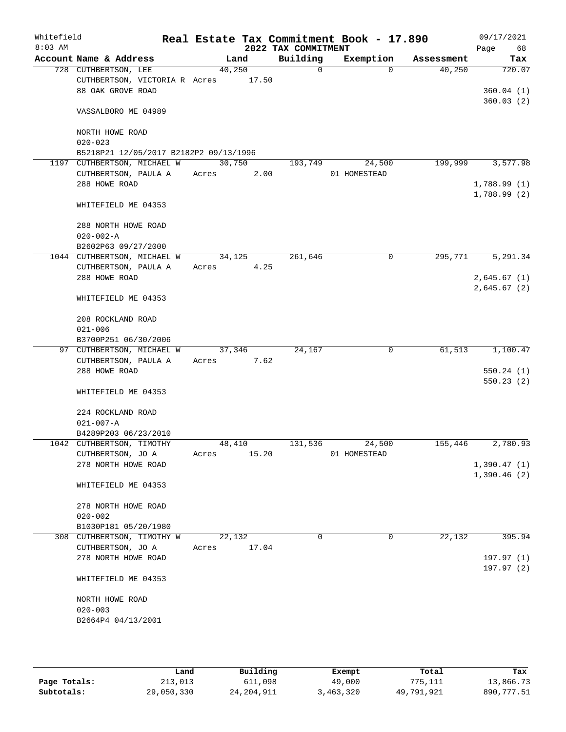| Whitefield<br>$8:03$ AM |                                        |        |        | 2022 TAX COMMITMENT | Real Estate Tax Commitment Book - 17.890 |            | 09/17/2021<br>68<br>Page |
|-------------------------|----------------------------------------|--------|--------|---------------------|------------------------------------------|------------|--------------------------|
|                         | Account Name & Address                 |        | Land   | Building            | Exemption                                | Assessment | Tax                      |
|                         | 728 CUTHBERTSON, LEE                   | 40,250 |        | $\Omega$            | $\Omega$                                 | 40,250     | 720.07                   |
|                         | CUTHBERTSON, VICTORIA R Acres 17.50    |        |        |                     |                                          |            |                          |
|                         | 88 OAK GROVE ROAD                      |        |        |                     |                                          |            | 360.04(1)                |
|                         | VASSALBORO ME 04989                    |        |        |                     |                                          |            | 360.03(2)                |
|                         | NORTH HOWE ROAD                        |        |        |                     |                                          |            |                          |
|                         | $020 - 023$                            |        |        |                     |                                          |            |                          |
|                         | B5218P21 12/05/2017 B2182P2 09/13/1996 |        |        |                     |                                          |            |                          |
|                         | 1197 CUTHBERTSON, MICHAEL W            | 30,750 |        | 193,749             | 24,500                                   | 199,999    | 3,577.98                 |
|                         | CUTHBERTSON, PAULA A                   | Acres  | 2.00   |                     | 01 HOMESTEAD                             |            |                          |
|                         | 288 HOWE ROAD                          |        |        |                     |                                          |            | 1,788.99(1)              |
|                         |                                        |        |        |                     |                                          |            | 1,788.99(2)              |
|                         | WHITEFIELD ME 04353                    |        |        |                     |                                          |            |                          |
|                         | 288 NORTH HOWE ROAD                    |        |        |                     |                                          |            |                          |
|                         | $020 - 002 - A$                        |        |        |                     |                                          |            |                          |
|                         | B2602P63 09/27/2000                    |        |        |                     |                                          |            |                          |
|                         | 1044 CUTHBERTSON, MICHAEL W            | 34,125 |        | 261,646             | 0                                        | 295,771    | 5,291.34                 |
|                         | CUTHBERTSON, PAULA A                   | Acres  | 4.25   |                     |                                          |            |                          |
|                         | 288 HOWE ROAD                          |        |        |                     |                                          |            | 2,645.67(1)              |
|                         |                                        |        |        |                     |                                          |            | 2,645.67 (2)             |
|                         | WHITEFIELD ME 04353                    |        |        |                     |                                          |            |                          |
|                         | 208 ROCKLAND ROAD                      |        |        |                     |                                          |            |                          |
|                         | $021 - 006$                            |        |        |                     |                                          |            |                          |
|                         | B3700P251 06/30/2006                   |        |        |                     |                                          |            |                          |
|                         | 97 CUTHBERTSON, MICHAEL W              |        | 37,346 | 24,167              | $\mathbf 0$                              | 61,513     | 1,100.47                 |
|                         | CUTHBERTSON, PAULA A                   | Acres  | 7.62   |                     |                                          |            |                          |
|                         | 288 HOWE ROAD                          |        |        |                     |                                          |            | 550.24(1)                |
|                         |                                        |        |        |                     |                                          |            | 550.23(2)                |
|                         | WHITEFIELD ME 04353                    |        |        |                     |                                          |            |                          |
|                         | 224 ROCKLAND ROAD                      |        |        |                     |                                          |            |                          |
|                         | $021 - 007 - A$                        |        |        |                     |                                          |            |                          |
|                         | B4289P203 06/23/2010                   |        |        |                     |                                          |            |                          |
|                         | 1042 CUTHBERTSON, TIMOTHY              | 48,410 |        | 131,536             | 24,500                                   | 155,446    | 2,780.93                 |
|                         | CUTHBERTSON, JO A                      | Acres  | 15.20  |                     | 01 HOMESTEAD                             |            |                          |
|                         | 278 NORTH HOWE ROAD                    |        |        |                     |                                          |            | 1,390.47(1)              |
|                         |                                        |        |        |                     |                                          |            | 1,390.46(2)              |
|                         | WHITEFIELD ME 04353                    |        |        |                     |                                          |            |                          |
|                         | 278 NORTH HOWE ROAD                    |        |        |                     |                                          |            |                          |
|                         | $020 - 002$                            |        |        |                     |                                          |            |                          |
|                         | B1030P181 05/20/1980                   |        |        |                     |                                          |            |                          |
|                         | 308 CUTHBERTSON, TIMOTHY W             | 22,132 |        | $\Omega$            | $\mathbf 0$                              | 22,132     | 395.94                   |
|                         | CUTHBERTSON, JO A                      | Acres  | 17.04  |                     |                                          |            |                          |
|                         | 278 NORTH HOWE ROAD                    |        |        |                     |                                          |            | 197.97(1)                |
|                         |                                        |        |        |                     |                                          |            | 197.97(2)                |
|                         | WHITEFIELD ME 04353                    |        |        |                     |                                          |            |                          |
|                         | NORTH HOWE ROAD                        |        |        |                     |                                          |            |                          |
|                         | $020 - 003$                            |        |        |                     |                                          |            |                          |
|                         | B2664P4 04/13/2001                     |        |        |                     |                                          |            |                          |
|                         |                                        |        |        |                     |                                          |            |                          |
|                         |                                        |        |        |                     |                                          |            |                          |

|              | Land       | Building     | Exempt    | Total      | Tax        |
|--------------|------------|--------------|-----------|------------|------------|
| Page Totals: | 213,013    | 611,098      | 49,000    | 775,111    | 13,866.73  |
| Subtotals:   | 29,050,330 | 24, 204, 911 | 3,463,320 | 49,791,921 | 890,777.51 |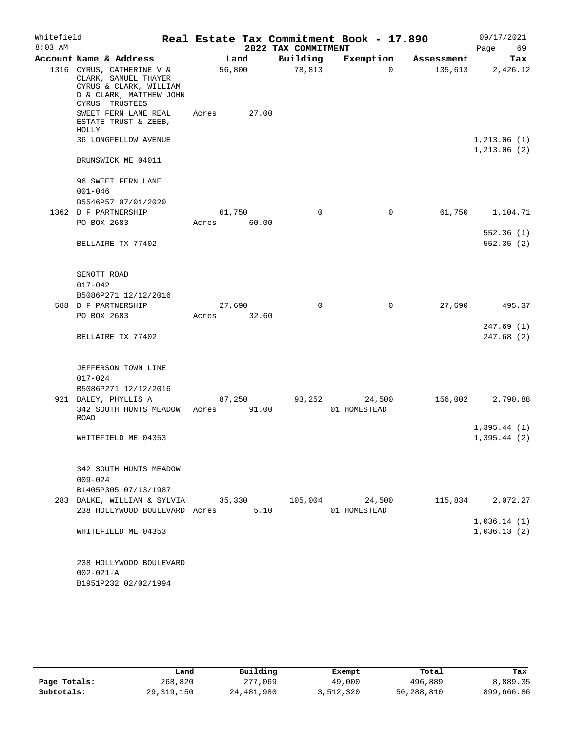| Whitefield |                                                                                                                          |        |       |                     | Real Estate Tax Commitment Book - 17.890 |            | 09/17/2021                   |
|------------|--------------------------------------------------------------------------------------------------------------------------|--------|-------|---------------------|------------------------------------------|------------|------------------------------|
| $8:03$ AM  |                                                                                                                          |        |       | 2022 TAX COMMITMENT |                                          |            | Page<br>69                   |
|            | Account Name & Address                                                                                                   |        | Land  | Building            | Exemption                                | Assessment | Tax                          |
|            | 1316 CYRUS, CATHERINE V &<br>CLARK, SAMUEL THAYER<br>CYRUS & CLARK, WILLIAM<br>D & CLARK, MATTHEW JOHN<br>CYRUS TRUSTEES | 56,800 |       | 78,813              | 0                                        | 135,613    | 2,426.12                     |
|            | SWEET FERN LANE REAL<br>ESTATE TRUST & ZEEB,<br>HOLLY                                                                    | Acres  | 27.00 |                     |                                          |            |                              |
|            | <b>36 LONGFELLOW AVENUE</b>                                                                                              |        |       |                     |                                          |            | 1, 213.06(1)<br>1, 213.06(2) |
|            | BRUNSWICK ME 04011                                                                                                       |        |       |                     |                                          |            |                              |
|            | 96 SWEET FERN LANE<br>$001 - 046$                                                                                        |        |       |                     |                                          |            |                              |
|            | B5546P57 07/01/2020                                                                                                      |        |       |                     |                                          |            |                              |
|            | 1362 D F PARTNERSHIP                                                                                                     | 61,750 |       | 0                   | $\mathbf 0$                              | 61,750     | 1,104.71                     |
|            | PO BOX 2683                                                                                                              | Acres  | 60.00 |                     |                                          |            |                              |
|            | BELLAIRE TX 77402                                                                                                        |        |       |                     |                                          |            | 552.36(1)<br>552.35(2)       |
|            | SENOTT ROAD                                                                                                              |        |       |                     |                                          |            |                              |
|            | $017 - 042$                                                                                                              |        |       |                     |                                          |            |                              |
|            | B5086P271 12/12/2016                                                                                                     |        |       |                     |                                          |            |                              |
|            | 588 D F PARTNERSHIP                                                                                                      | 27,690 |       | $\Omega$            | $\mathbf 0$                              | 27,690     | 495.37                       |
|            | PO BOX 2683                                                                                                              | Acres  | 32.60 |                     |                                          |            |                              |
|            | BELLAIRE TX 77402                                                                                                        |        |       |                     |                                          |            | 247.69(1)<br>247.68(2)       |
|            | JEFFERSON TOWN LINE                                                                                                      |        |       |                     |                                          |            |                              |
|            | $017 - 024$                                                                                                              |        |       |                     |                                          |            |                              |
|            | B5086P271 12/12/2016                                                                                                     |        |       |                     |                                          |            |                              |
|            | 921 DALEY, PHYLLIS A                                                                                                     | 87,250 |       | 93,252              | 24,500                                   | 156,002    | 2,790.88                     |
|            | 342 SOUTH HUNTS MEADOW<br>ROAD                                                                                           | Acres  | 91.00 |                     | 01 HOMESTEAD                             |            |                              |
|            |                                                                                                                          |        |       |                     |                                          |            | 1,395.44(1)                  |
|            | WHITEFIELD ME 04353                                                                                                      |        |       |                     |                                          |            | 1,395.44(2)                  |
|            | 342 SOUTH HUNTS MEADOW                                                                                                   |        |       |                     |                                          |            |                              |
|            | $009 - 024$                                                                                                              |        |       |                     |                                          |            |                              |
|            | B1405P305 07/13/1987                                                                                                     |        |       |                     |                                          |            |                              |
|            | 283 DALKE, WILLIAM & SYLVIA                                                                                              | 35,330 |       | 105,004             | 24,500                                   | 115,834    | 2,072.27                     |
|            | 238 HOLLYWOOD BOULEVARD Acres                                                                                            |        | 5.10  |                     | 01 HOMESTEAD                             |            |                              |
|            |                                                                                                                          |        |       |                     |                                          |            | 1,036.14(1)                  |
|            | WHITEFIELD ME 04353                                                                                                      |        |       |                     |                                          |            | 1,036.13(2)                  |
|            | 238 HOLLYWOOD BOULEVARD                                                                                                  |        |       |                     |                                          |            |                              |
|            | $002 - 021 - A$                                                                                                          |        |       |                     |                                          |            |                              |
|            | B1951P232 02/02/1994                                                                                                     |        |       |                     |                                          |            |                              |

|              | Land         | Building   | Exempt    | Total      | Tax        |
|--------------|--------------|------------|-----------|------------|------------|
| Page Totals: | 268,820      | 277,069    | 49,000    | 496,889    | 8,889.35   |
| Subtotals:   | 29, 319, 150 | 24,481,980 | 3,512,320 | 50,288,810 | 899,666.86 |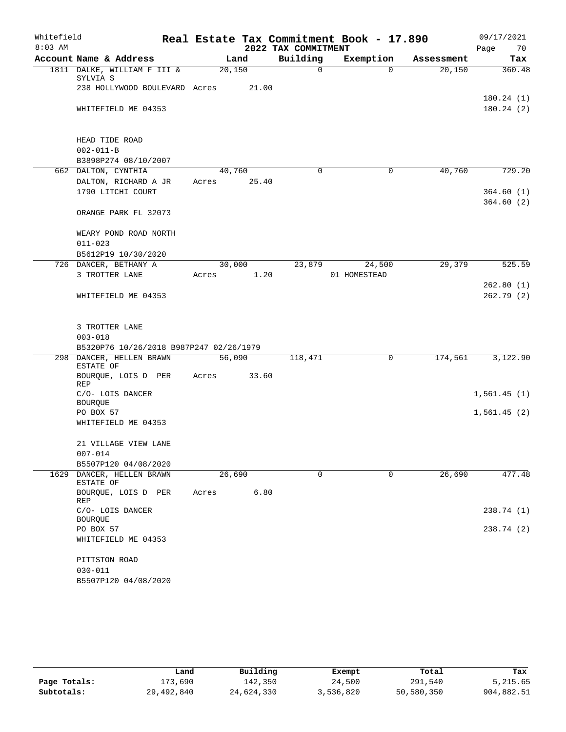| Whitefield |                                         |        |       |                     | Real Estate Tax Commitment Book - 17.890 |            | 09/17/2021             |
|------------|-----------------------------------------|--------|-------|---------------------|------------------------------------------|------------|------------------------|
| $8:03$ AM  |                                         |        |       | 2022 TAX COMMITMENT |                                          |            | Page<br>70             |
|            | Account Name & Address                  |        | Land  | Building            | Exemption                                | Assessment | Tax                    |
|            | 1811 DALKE, WILLIAM F III &<br>SYLVIA S | 20,150 |       | 0                   | $\Omega$                                 | 20,150     | 360.48                 |
|            | 238 HOLLYWOOD BOULEVARD Acres           |        | 21.00 |                     |                                          |            |                        |
|            |                                         |        |       |                     |                                          |            | 180.24(1)              |
|            | WHITEFIELD ME 04353                     |        |       |                     |                                          |            | 180.24(2)              |
|            |                                         |        |       |                     |                                          |            |                        |
|            | HEAD TIDE ROAD                          |        |       |                     |                                          |            |                        |
|            | $002 - 011 - B$                         |        |       |                     |                                          |            |                        |
|            | B3898P274 08/10/2007                    |        |       |                     |                                          |            |                        |
|            | 662 DALTON, CYNTHIA                     | 40,760 |       | $\Omega$            | 0                                        | 40,760     | 729.20                 |
|            | DALTON, RICHARD A JR                    | Acres  | 25.40 |                     |                                          |            |                        |
|            | 1790 LITCHI COURT                       |        |       |                     |                                          |            | 364.60(1)<br>364.60(2) |
|            | ORANGE PARK FL 32073                    |        |       |                     |                                          |            |                        |
|            | WEARY POND ROAD NORTH                   |        |       |                     |                                          |            |                        |
|            | $011 - 023$                             |        |       |                     |                                          |            |                        |
|            | B5612P19 10/30/2020                     |        |       |                     |                                          |            |                        |
|            | 726 DANCER, BETHANY A                   | 30,000 |       | 23,879              | 24,500                                   | 29,379     | 525.59                 |
|            | 3 TROTTER LANE                          | Acres  | 1.20  |                     | 01 HOMESTEAD                             |            |                        |
|            |                                         |        |       |                     |                                          |            | 262.80(1)              |
|            | WHITEFIELD ME 04353                     |        |       |                     |                                          |            | 262.79(2)              |
|            |                                         |        |       |                     |                                          |            |                        |
|            |                                         |        |       |                     |                                          |            |                        |
|            | 3 TROTTER LANE<br>$003 - 018$           |        |       |                     |                                          |            |                        |
|            | B5320P76 10/26/2018 B987P247 02/26/1979 |        |       |                     |                                          |            |                        |
| 298        | DANCER, HELLEN BRAWN                    | 56,090 |       | 118,471             | 0                                        | 174,561    | 3,122.90               |
|            | ESTATE OF                               |        |       |                     |                                          |            |                        |
|            | BOURQUE, LOIS D PER<br><b>REP</b>       | Acres  | 33.60 |                     |                                          |            |                        |
|            | C/O- LOIS DANCER                        |        |       |                     |                                          |            | 1,561.45(1)            |
|            | <b>BOURQUE</b>                          |        |       |                     |                                          |            |                        |
|            | PO BOX 57                               |        |       |                     |                                          |            | 1,561.45(2)            |
|            | WHITEFIELD ME 04353                     |        |       |                     |                                          |            |                        |
|            | 21 VILLAGE VIEW LANE                    |        |       |                     |                                          |            |                        |
|            | $007 - 014$                             |        |       |                     |                                          |            |                        |
|            | B5507P120 04/08/2020                    |        |       |                     |                                          |            |                        |
| 1629       | DANCER, HELLEN BRAWN<br>ESTATE OF       | 26,690 |       | 0                   | $\mathbf 0$                              | 26,690     | 477.48                 |
|            | BOURQUE, LOIS D PER<br>REP              | Acres  | 6.80  |                     |                                          |            |                        |
|            | C/O- LOIS DANCER                        |        |       |                     |                                          |            | 238.74 (1)             |
|            | <b>BOURQUE</b>                          |        |       |                     |                                          |            |                        |
|            | PO BOX 57                               |        |       |                     |                                          |            | 238.74(2)              |
|            | WHITEFIELD ME 04353                     |        |       |                     |                                          |            |                        |
|            | PITTSTON ROAD                           |        |       |                     |                                          |            |                        |
|            | $030 - 011$                             |        |       |                     |                                          |            |                        |
|            | B5507P120 04/08/2020                    |        |       |                     |                                          |            |                        |

|              | Land       | Building   | Exempt    | Total      | Tax        |
|--------------|------------|------------|-----------|------------|------------|
| Page Totals: | 173,690    | 142,350    | 24,500    | 291,540    | 5,215.65   |
| Subtotals:   | 29,492,840 | 24,624,330 | 3,536,820 | 50,580,350 | 904,882.51 |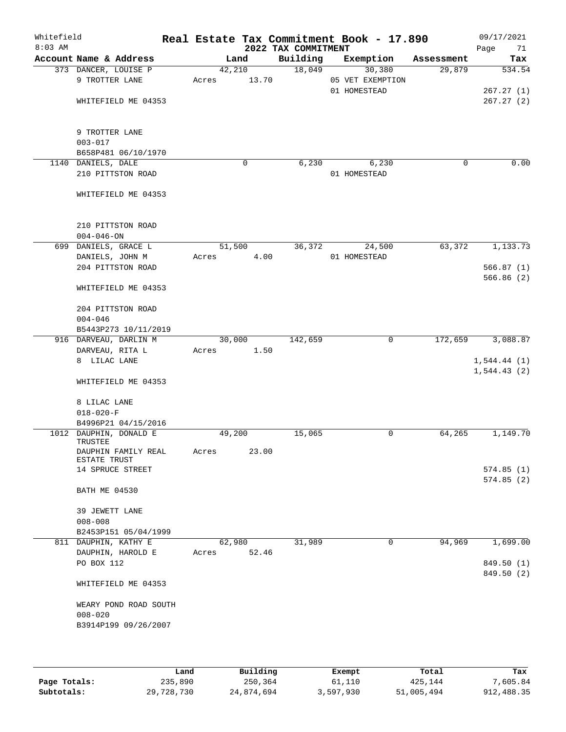| Whitefield<br>$8:03$ AM |                                                          |       |        |             | 2022 TAX COMMITMENT | Real Estate Tax Commitment Book - 17.890 |             | 09/17/2021<br>Page<br>71 |
|-------------------------|----------------------------------------------------------|-------|--------|-------------|---------------------|------------------------------------------|-------------|--------------------------|
|                         | Account Name & Address                                   |       | Land   |             | Building            | Exemption                                | Assessment  | Tax                      |
|                         | 373 DANCER, LOUISE P<br>9 TROTTER LANE                   | Acres | 42,210 | 13.70       | 18,049              | 30,380<br>05 VET EXEMPTION               | 29,879      | 534.54                   |
|                         | WHITEFIELD ME 04353                                      |       |        |             |                     | 01 HOMESTEAD                             |             | 267.27(1)<br>267.27(2)   |
|                         |                                                          |       |        |             |                     |                                          |             |                          |
|                         | 9 TROTTER LANE                                           |       |        |             |                     |                                          |             |                          |
|                         | $003 - 017$<br>B658P481 06/10/1970                       |       |        |             |                     |                                          |             |                          |
|                         | 1140 DANIELS, DALE                                       |       |        | $\mathbf 0$ | 6,230               | 6,230                                    | $\mathbf 0$ | 0.00                     |
|                         | 210 PITTSTON ROAD                                        |       |        |             |                     | 01 HOMESTEAD                             |             |                          |
|                         | WHITEFIELD ME 04353                                      |       |        |             |                     |                                          |             |                          |
|                         | 210 PITTSTON ROAD                                        |       |        |             |                     |                                          |             |                          |
|                         | $004 - 046 - ON$                                         |       |        |             |                     |                                          |             |                          |
|                         | 699 DANIELS, GRACE L                                     |       | 51,500 |             | 36,372              | 24,500                                   | 63,372      | 1,133.73                 |
|                         | DANIELS, JOHN M                                          | Acres |        | 4.00        |                     | 01 HOMESTEAD                             |             |                          |
|                         | 204 PITTSTON ROAD                                        |       |        |             |                     |                                          |             | 566.87(1)                |
|                         | WHITEFIELD ME 04353                                      |       |        |             |                     |                                          |             | 566.86(2)                |
|                         | 204 PITTSTON ROAD                                        |       |        |             |                     |                                          |             |                          |
|                         | $004 - 046$                                              |       |        |             |                     |                                          |             |                          |
|                         | B5443P273 10/11/2019                                     |       |        |             |                     |                                          |             |                          |
|                         | 916 DARVEAU, DARLIN M                                    |       | 30,000 |             | 142,659             | 0                                        | 172,659     | 3,088.87                 |
|                         | DARVEAU, RITA L<br>8 LILAC LANE                          | Acres |        | 1.50        |                     |                                          |             | 1,544.44(1)              |
|                         |                                                          |       |        |             |                     |                                          |             | 1,544.43(2)              |
|                         | WHITEFIELD ME 04353                                      |       |        |             |                     |                                          |             |                          |
|                         | 8 LILAC LANE                                             |       |        |             |                     |                                          |             |                          |
|                         | $018 - 020 - F$                                          |       |        |             |                     |                                          |             |                          |
|                         | B4996P21 04/15/2016                                      |       |        |             |                     | 0                                        | 64,265      | 1,149.70                 |
|                         | 1012 DAUPHIN, DONALD E<br>TRUSTEE<br>DAUPHIN FAMILY REAL | Acres | 49,200 | 23.00       | 15,065              |                                          |             |                          |
|                         | ESTATE TRUST                                             |       |        |             |                     |                                          |             |                          |
|                         | 14 SPRUCE STREET                                         |       |        |             |                     |                                          |             | 574.85(1)                |
|                         | <b>BATH ME 04530</b>                                     |       |        |             |                     |                                          |             | 574.85(2)                |
|                         | 39 JEWETT LANE                                           |       |        |             |                     |                                          |             |                          |
|                         | $008 - 008$                                              |       |        |             |                     |                                          |             |                          |
|                         | B2453P151 05/04/1999                                     |       |        |             |                     |                                          |             |                          |
|                         | 811 DAUPHIN, KATHY E                                     |       | 62,980 |             | 31,989              | 0                                        | 94,969      | 1,699.00                 |
|                         | DAUPHIN, HAROLD E                                        | Acres |        | 52.46       |                     |                                          |             |                          |
|                         | PO BOX 112                                               |       |        |             |                     |                                          |             | 849.50 (1)               |
|                         | WHITEFIELD ME 04353                                      |       |        |             |                     |                                          |             | 849.50 (2)               |
|                         | WEARY POND ROAD SOUTH                                    |       |        |             |                     |                                          |             |                          |
|                         | $008 - 020$                                              |       |        |             |                     |                                          |             |                          |
|                         | B3914P199 09/26/2007                                     |       |        |             |                     |                                          |             |                          |
|                         |                                                          |       |        |             |                     |                                          |             |                          |

|              | Land       | Building   | Exempt    | Total      | Tax        |
|--------------|------------|------------|-----------|------------|------------|
| Page Totals: | 235,890    | 250,364    | 61,110    | 425,144    | 7,605.84   |
| Subtotals:   | 29,728,730 | 24,874,694 | 3,597,930 | 51,005,494 | 912,488.35 |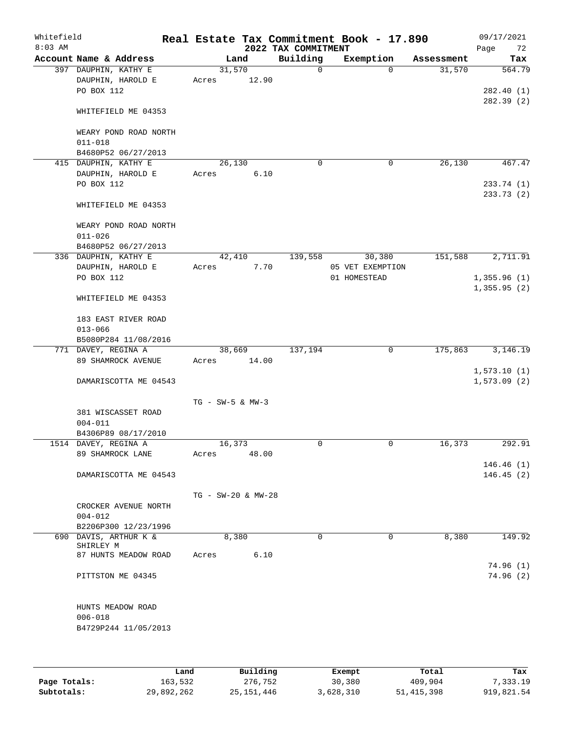| Whitefield<br>$8:03$ AM |                                                         | Real Estate Tax Commitment Book - 17.890 | 2022 TAX COMMITMENT |                  |            | 09/17/2021<br>Page<br>72 |
|-------------------------|---------------------------------------------------------|------------------------------------------|---------------------|------------------|------------|--------------------------|
|                         | Account Name & Address                                  | Land                                     | Building            | Exemption        | Assessment | Tax                      |
|                         | 397 DAUPHIN, KATHY E<br>DAUPHIN, HAROLD E<br>PO BOX 112 | 31,570<br>12.90<br>Acres                 | $\mathsf{O}$        | $\Omega$         | 31,570     | 564.79<br>282.40(1)      |
|                         | WHITEFIELD ME 04353                                     |                                          |                     |                  |            | 282.39(2)                |
|                         | WEARY POND ROAD NORTH<br>$011 - 018$                    |                                          |                     |                  |            |                          |
|                         | B4680P52 06/27/2013                                     |                                          |                     |                  |            |                          |
|                         | 415 DAUPHIN, KATHY E                                    | 26,130                                   | $\mathbf 0$         | 0                | 26,130     | 467.47                   |
|                         | DAUPHIN, HAROLD E<br>PO BOX 112                         | 6.10<br>Acres                            |                     |                  |            | 233.74 (1)<br>233.73(2)  |
|                         | WHITEFIELD ME 04353                                     |                                          |                     |                  |            |                          |
|                         | WEARY POND ROAD NORTH<br>$011 - 026$                    |                                          |                     |                  |            |                          |
|                         | B4680P52 06/27/2013<br>336 DAUPHIN, KATHY E             | 42,410                                   | 139,558             | 30,380           | 151,588    | 2,711.91                 |
|                         | DAUPHIN, HAROLD E                                       | 7.70<br>Acres                            |                     | 05 VET EXEMPTION |            |                          |
|                         | PO BOX 112                                              |                                          |                     | 01 HOMESTEAD     |            | 1,355.96(1)              |
|                         | WHITEFIELD ME 04353                                     |                                          |                     |                  |            | 1,355.95(2)              |
|                         | 183 EAST RIVER ROAD<br>$013 - 066$                      |                                          |                     |                  |            |                          |
|                         | B5080P284 11/08/2016                                    |                                          |                     |                  |            |                          |
|                         | 771 DAVEY, REGINA A                                     | 38,669                                   | 137,194             | $\mathbf 0$      | 175,863    | 3,146.19                 |
|                         | 89 SHAMROCK AVENUE                                      | 14.00<br>Acres                           |                     |                  |            | 1,573.10(1)              |
|                         | DAMARISCOTTA ME 04543                                   |                                          |                     |                  |            | 1,573.09(2)              |
|                         |                                                         | $TG - SW-5$ & $MW-3$                     |                     |                  |            |                          |
|                         | 381 WISCASSET ROAD<br>$004 - 011$                       |                                          |                     |                  |            |                          |
|                         | B4306P89 08/17/2010                                     |                                          |                     |                  |            |                          |
|                         | 1514 DAVEY, REGINA A<br>89 SHAMROCK LANE                | 16,373<br>48.00<br>Acres                 | 0                   | $\mathbf 0$      | 16,373     | 292.91                   |
|                         |                                                         |                                          |                     |                  |            | 146.46(1)                |
|                         | DAMARISCOTTA ME 04543                                   |                                          |                     |                  |            | 146.45(2)                |
|                         |                                                         | TG - SW-20 & MW-28                       |                     |                  |            |                          |
|                         | CROCKER AVENUE NORTH<br>$004 - 012$                     |                                          |                     |                  |            |                          |
|                         | B2206P300 12/23/1996                                    |                                          |                     |                  |            |                          |
|                         | 690 DAVIS, ARTHUR K &                                   | 8,380                                    | $\Omega$            | 0                | 8,380      | 149.92                   |
|                         | SHIRLEY M<br>87 HUNTS MEADOW ROAD                       | 6.10<br>Acres                            |                     |                  |            |                          |
|                         |                                                         |                                          |                     |                  |            | 74.96(1)                 |
|                         | PITTSTON ME 04345                                       |                                          |                     |                  |            | 74.96(2)                 |
|                         | HUNTS MEADOW ROAD<br>$006 - 018$                        |                                          |                     |                  |            |                          |
|                         | B4729P244 11/05/2013                                    |                                          |                     |                  |            |                          |
|                         |                                                         |                                          |                     |                  |            |                          |

|              | Land       | Building     | Exempt    | Total        | Tax        |
|--------------|------------|--------------|-----------|--------------|------------|
| Page Totals: | 163,532    | 276,752      | 30,380    | 409,904      | 7,333.19   |
| Subtotals:   | 29,892,262 | 25, 151, 446 | 3,628,310 | 51, 415, 398 | 919,821.54 |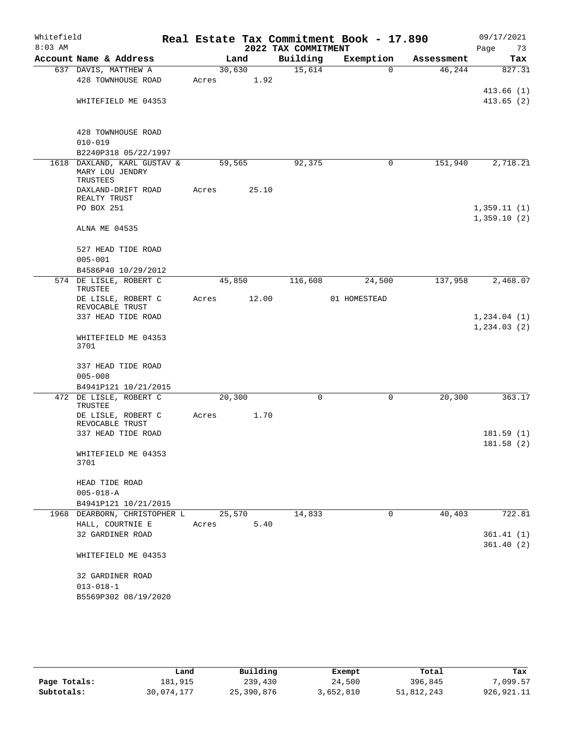| Whitefield |                                   |        |       |                     | Real Estate Tax Commitment Book - 17.890 |            | 09/17/2021    |          |
|------------|-----------------------------------|--------|-------|---------------------|------------------------------------------|------------|---------------|----------|
| $8:03$ AM  |                                   |        |       | 2022 TAX COMMITMENT |                                          |            | Page          | 73       |
|            | Account Name & Address            |        | Land  | Building            | Exemption                                | Assessment |               | Tax      |
|            | 637 DAVIS, MATTHEW A              | 30,630 |       | 15,614              | $\Omega$                                 | 46,244     |               | 827.31   |
|            | 428 TOWNHOUSE ROAD                | Acres  | 1.92  |                     |                                          |            |               |          |
|            |                                   |        |       |                     |                                          |            | 413.66(1)     |          |
|            | WHITEFIELD ME 04353               |        |       |                     |                                          |            | 413.65(2)     |          |
|            |                                   |        |       |                     |                                          |            |               |          |
|            | 428 TOWNHOUSE ROAD                |        |       |                     |                                          |            |               |          |
|            | $010 - 019$                       |        |       |                     |                                          |            |               |          |
|            | B2240P318 05/22/1997              |        |       |                     |                                          |            |               |          |
| 1618       | DAXLAND, KARL GUSTAV &            | 59,565 |       | 92,375              | 0                                        | 151,940    |               | 2,718.21 |
|            | MARY LOU JENDRY<br>TRUSTEES       |        |       |                     |                                          |            |               |          |
|            | DAXLAND-DRIFT ROAD                | Acres  | 25.10 |                     |                                          |            |               |          |
|            | REALTY TRUST                      |        |       |                     |                                          |            |               |          |
|            | PO BOX 251                        |        |       |                     |                                          |            | 1,359.11(1)   |          |
|            |                                   |        |       |                     |                                          |            | 1,359.10(2)   |          |
|            | ALNA ME 04535                     |        |       |                     |                                          |            |               |          |
|            |                                   |        |       |                     |                                          |            |               |          |
|            | 527 HEAD TIDE ROAD                |        |       |                     |                                          |            |               |          |
|            | $005 - 001$                       |        |       |                     |                                          |            |               |          |
|            | B4586P40 10/29/2012               |        |       |                     |                                          |            |               |          |
|            | 574 DE LISLE, ROBERT C<br>TRUSTEE | 45,850 |       | 116,608             | 24,500                                   | 137,958    |               | 2,468.07 |
|            | DE LISLE, ROBERT C                | Acres  | 12.00 |                     | 01 HOMESTEAD                             |            |               |          |
|            | REVOCABLE TRUST                   |        |       |                     |                                          |            |               |          |
|            | 337 HEAD TIDE ROAD                |        |       |                     |                                          |            | 1, 234.04 (1) |          |
|            |                                   |        |       |                     |                                          |            | 1, 234.03(2)  |          |
|            | WHITEFIELD ME 04353               |        |       |                     |                                          |            |               |          |
|            | 3701                              |        |       |                     |                                          |            |               |          |
|            | 337 HEAD TIDE ROAD                |        |       |                     |                                          |            |               |          |
|            | $005 - 008$                       |        |       |                     |                                          |            |               |          |
|            | B4941P121 10/21/2015              |        |       |                     |                                          |            |               |          |
|            | 472 DE LISLE, ROBERT C            | 20,300 |       | 0                   | 0                                        | 20, 300    |               | 363.17   |
|            | TRUSTEE                           |        |       |                     |                                          |            |               |          |
|            | DE LISLE, ROBERT C                | Acres  | 1.70  |                     |                                          |            |               |          |
|            | REVOCABLE TRUST                   |        |       |                     |                                          |            |               |          |
|            | 337 HEAD TIDE ROAD                |        |       |                     |                                          |            | 181.59(1)     |          |
|            |                                   |        |       |                     |                                          |            | 181.58(2)     |          |
|            | WHITEFIELD ME 04353<br>3701       |        |       |                     |                                          |            |               |          |
|            |                                   |        |       |                     |                                          |            |               |          |
|            | HEAD TIDE ROAD                    |        |       |                     |                                          |            |               |          |
|            | $005 - 018 - A$                   |        |       |                     |                                          |            |               |          |
|            | B4941P121 10/21/2015              |        |       |                     |                                          |            |               |          |
|            | 1968 DEARBORN, CHRISTOPHER L      | 25,570 |       | 14,833              | 0                                        | 40,403     |               | 722.81   |
|            | HALL, COURTNIE E                  | Acres  | 5.40  |                     |                                          |            |               |          |
|            | 32 GARDINER ROAD                  |        |       |                     |                                          |            | 361.41(1)     |          |
|            |                                   |        |       |                     |                                          |            | 361.40(2)     |          |
|            | WHITEFIELD ME 04353               |        |       |                     |                                          |            |               |          |
|            |                                   |        |       |                     |                                          |            |               |          |
|            | 32 GARDINER ROAD                  |        |       |                     |                                          |            |               |          |
|            | $013 - 018 - 1$                   |        |       |                     |                                          |            |               |          |
|            | B5569P302 08/19/2020              |        |       |                     |                                          |            |               |          |
|            |                                   |        |       |                     |                                          |            |               |          |

|              | Land       | Building   | Exempt    | Total      | Tax          |
|--------------|------------|------------|-----------|------------|--------------|
| Page Totals: | 181.915    | 239,430    | 24,500    | 396,845    | 7,099.57     |
| Subtotals:   | 30,074,177 | 25,390,876 | 3,652,810 | 51,812,243 | 926, 921. 11 |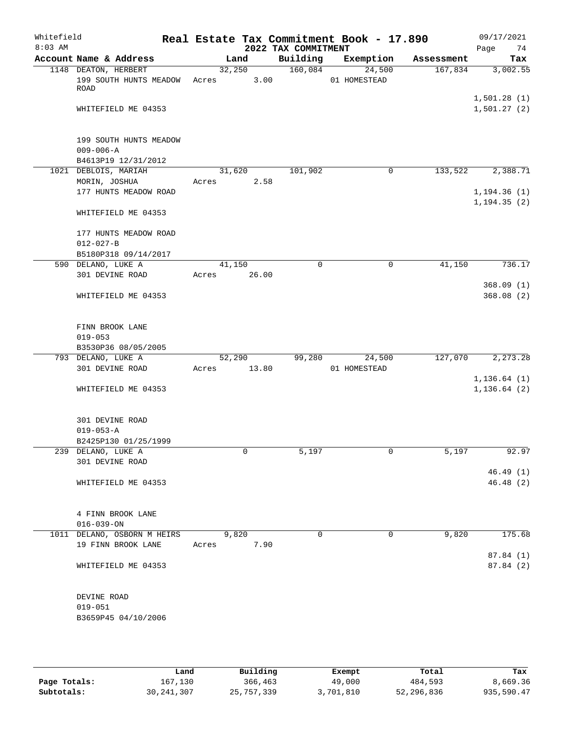| Whitefield<br>$8:03$ AM |                                                                  |                 |       | 2022 TAX COMMITMENT | Real Estate Tax Commitment Book - 17.890 |                      | 09/17/2021<br>Page<br>74     |
|-------------------------|------------------------------------------------------------------|-----------------|-------|---------------------|------------------------------------------|----------------------|------------------------------|
|                         | Account Name & Address                                           |                 | Land  | Building            | Exemption                                | Assessment           | Tax                          |
|                         | 1148 DEATON, HERBERT<br>199 SOUTH HUNTS MEADOW<br><b>ROAD</b>    | 32,250<br>Acres | 3.00  | 160,084             | 24,500<br>01 HOMESTEAD                   | 167,834              | 3,002.55                     |
|                         | WHITEFIELD ME 04353                                              |                 |       |                     |                                          |                      | 1,501.28(1)<br>1,501.27(2)   |
|                         | 199 SOUTH HUNTS MEADOW<br>$009 - 006 - A$<br>B4613P19 12/31/2012 |                 |       |                     |                                          |                      |                              |
|                         | 1021 DEBLOIS, MARIAH                                             | 31,620          |       | 101,902             | $\mathbf 0$                              | $1\overline{33,522}$ | 2,388.71                     |
|                         | MORIN, JOSHUA                                                    | Acres           | 2.58  |                     |                                          |                      |                              |
|                         | 177 HUNTS MEADOW ROAD                                            |                 |       |                     |                                          |                      | 1, 194.36(1)                 |
|                         | WHITEFIELD ME 04353                                              |                 |       |                     |                                          |                      | 1, 194.35(2)                 |
|                         | 177 HUNTS MEADOW ROAD                                            |                 |       |                     |                                          |                      |                              |
|                         | $012 - 027 - B$                                                  |                 |       |                     |                                          |                      |                              |
|                         | B5180P318 09/14/2017                                             |                 |       |                     |                                          |                      |                              |
|                         | 590 DELANO, LUKE A                                               | 41,150          |       | $\mathbf 0$         | 0                                        | 41,150               | 736.17                       |
|                         | 301 DEVINE ROAD                                                  | Acres           | 26.00 |                     |                                          |                      |                              |
|                         |                                                                  |                 |       |                     |                                          |                      | 368.09(1)                    |
|                         | WHITEFIELD ME 04353                                              |                 |       |                     |                                          |                      | 368.08(2)                    |
|                         | FINN BROOK LANE                                                  |                 |       |                     |                                          |                      |                              |
|                         | $019 - 053$                                                      |                 |       |                     |                                          |                      |                              |
|                         | B3530P36 08/05/2005                                              |                 |       |                     |                                          |                      |                              |
|                         | 793 DELANO, LUKE A                                               | 52,290          |       | 99,280              | 24,500                                   | 127,070              | 2,273.28                     |
|                         | 301 DEVINE ROAD                                                  | Acres           | 13.80 |                     | 01 HOMESTEAD                             |                      |                              |
|                         | WHITEFIELD ME 04353                                              |                 |       |                     |                                          |                      | 1, 136.64(1)<br>1, 136.64(2) |
|                         | 301 DEVINE ROAD                                                  |                 |       |                     |                                          |                      |                              |
|                         | $019 - 053 - A$                                                  |                 |       |                     |                                          |                      |                              |
|                         | B2425P130 01/25/1999                                             |                 |       |                     |                                          |                      |                              |
|                         | 239 DELANO, LUKE A                                               |                 | 0     | 5,197               | 0                                        | 5,197                | 92.97                        |
|                         | 301 DEVINE ROAD                                                  |                 |       |                     |                                          |                      |                              |
|                         |                                                                  |                 |       |                     |                                          |                      | 46.49(1)                     |
|                         | WHITEFIELD ME 04353                                              |                 |       |                     |                                          |                      | 46.48 (2)                    |
|                         | 4 FINN BROOK LANE                                                |                 |       |                     |                                          |                      |                              |
|                         | $016 - 039 - ON$                                                 |                 |       |                     |                                          |                      |                              |
|                         | 1011 DELANO, OSBORN M HEIRS                                      |                 | 9,820 | $\Omega$            | $\Omega$                                 | 9,820                | 175.68                       |
|                         | 19 FINN BROOK LANE                                               | Acres           | 7.90  |                     |                                          |                      |                              |
|                         | WHITEFIELD ME 04353                                              |                 |       |                     |                                          |                      | 87.84 (1)<br>87.84 (2)       |
|                         | DEVINE ROAD                                                      |                 |       |                     |                                          |                      |                              |
|                         | $019 - 051$                                                      |                 |       |                     |                                          |                      |                              |
|                         | B3659P45 04/10/2006                                              |                 |       |                     |                                          |                      |                              |

|              | Land         | Building   | Exempt    | Total      | Tax        |
|--------------|--------------|------------|-----------|------------|------------|
| Page Totals: | 167,130      | 366,463    | 49,000    | 484,593    | 8,669.36   |
| Subtotals:   | 30, 241, 307 | 25,757,339 | 3,701,810 | 52,296,836 | 935,590.47 |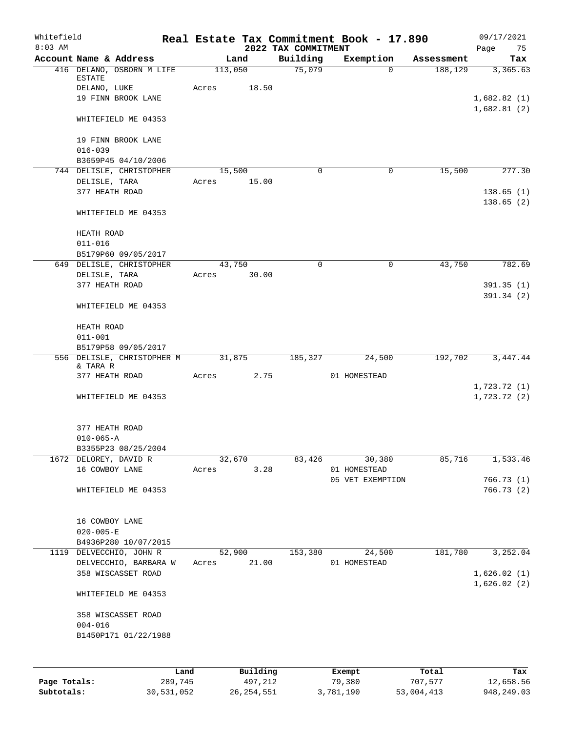| Whitefield<br>$8:03$ AM |                                 |                                                 |         |          | 2022 TAX COMMITMENT | Real Estate Tax Commitment Book - 17.890 |            | 09/17/2021<br>Page         |
|-------------------------|---------------------------------|-------------------------------------------------|---------|----------|---------------------|------------------------------------------|------------|----------------------------|
|                         | Account Name & Address          |                                                 |         | Land     | Building            | Exemption                                | Assessment | 75<br>Tax                  |
|                         |                                 | 416 DELANO, OSBORN M LIFE                       | 113,050 |          | 75,079              | $\Omega$                                 | 188,129    | 3,365.63                   |
|                         | ESTATE<br>DELANO, LUKE          |                                                 | Acres   | 18.50    |                     |                                          |            |                            |
|                         |                                 | 19 FINN BROOK LANE                              |         |          |                     |                                          |            | 1,682.82(1)                |
|                         |                                 |                                                 |         |          |                     |                                          |            | 1,682.81(2)                |
|                         |                                 | WHITEFIELD ME 04353                             |         |          |                     |                                          |            |                            |
|                         |                                 | 19 FINN BROOK LANE                              |         |          |                     |                                          |            |                            |
|                         | $016 - 039$                     |                                                 |         |          |                     |                                          |            |                            |
|                         |                                 | B3659P45 04/10/2006                             |         |          |                     |                                          |            |                            |
|                         |                                 | 744 DELISLE, CHRISTOPHER                        | 15,500  |          | $\Omega$            | 0                                        | 15,500     | 277.30                     |
|                         | DELISLE, TARA                   |                                                 | Acres   | 15.00    |                     |                                          |            |                            |
|                         | 377 HEATH ROAD                  |                                                 |         |          |                     |                                          |            | 138.65(1)                  |
|                         |                                 | WHITEFIELD ME 04353                             |         |          |                     |                                          |            | 138.65(2)                  |
|                         |                                 |                                                 |         |          |                     |                                          |            |                            |
|                         | HEATH ROAD                      |                                                 |         |          |                     |                                          |            |                            |
|                         | $011 - 016$                     |                                                 |         |          |                     |                                          |            |                            |
|                         |                                 | B5179P60 09/05/2017                             |         |          |                     |                                          |            |                            |
|                         |                                 | 649 DELISLE, CHRISTOPHER                        | 43,750  |          | $\mathbf 0$         | $\mathbf 0$                              | 43,750     | 782.69                     |
|                         | DELISLE, TARA<br>377 HEATH ROAD |                                                 | Acres   | 30.00    |                     |                                          |            | 391.35(1)                  |
|                         |                                 |                                                 |         |          |                     |                                          |            | 391.34(2)                  |
|                         |                                 | WHITEFIELD ME 04353                             |         |          |                     |                                          |            |                            |
|                         | HEATH ROAD                      |                                                 |         |          |                     |                                          |            |                            |
|                         | $011 - 001$                     |                                                 |         |          |                     |                                          |            |                            |
|                         |                                 | B5179P58 09/05/2017                             |         |          |                     |                                          |            |                            |
|                         |                                 | 556 DELISLE, CHRISTOPHER M                      | 31,875  |          | 185,327             | 24,500                                   | 192,702    | 3,447.44                   |
|                         | & TARA R                        |                                                 |         |          |                     |                                          |            |                            |
|                         | 377 HEATH ROAD                  |                                                 | Acres   | 2.75     |                     | 01 HOMESTEAD                             |            |                            |
|                         |                                 | WHITEFIELD ME 04353                             |         |          |                     |                                          |            | 1,723.72(1)<br>1,723.72(2) |
|                         |                                 |                                                 |         |          |                     |                                          |            |                            |
|                         | 377 HEATH ROAD                  |                                                 |         |          |                     |                                          |            |                            |
|                         | $010 - 065 - A$                 |                                                 |         |          |                     |                                          |            |                            |
|                         |                                 | B3355P23 08/25/2004                             |         |          |                     |                                          |            |                            |
|                         | 1672 DELOREY, DAVID R           |                                                 | 32,670  |          | 83,426              | 30,380                                   | 85,716     | 1,533.46                   |
|                         | 16 COWBOY LANE                  |                                                 | Acres   | 3.28     |                     | 01 HOMESTEAD                             |            |                            |
|                         |                                 |                                                 |         |          |                     | 05 VET EXEMPTION                         |            | 766.73(1)                  |
|                         |                                 | WHITEFIELD ME 04353                             |         |          |                     |                                          |            | 766.73 (2)                 |
|                         |                                 |                                                 |         |          |                     |                                          |            |                            |
|                         | 16 COWBOY LANE                  |                                                 |         |          |                     |                                          |            |                            |
|                         | $020 - 005 - E$                 |                                                 |         |          |                     |                                          |            |                            |
|                         |                                 | B4936P280 10/07/2015<br>1119 DELVECCHIO, JOHN R | 52,900  |          | 153,380             | 24,500                                   | 181,780    | 3,252.04                   |
|                         |                                 | DELVECCHIO, BARBARA W                           | Acres   | 21.00    |                     | 01 HOMESTEAD                             |            |                            |
|                         |                                 | 358 WISCASSET ROAD                              |         |          |                     |                                          |            | 1,626.02(1)                |
|                         |                                 |                                                 |         |          |                     |                                          |            | 1,626.02(2)                |
|                         |                                 | WHITEFIELD ME 04353                             |         |          |                     |                                          |            |                            |
|                         |                                 | 358 WISCASSET ROAD                              |         |          |                     |                                          |            |                            |
|                         | $004 - 016$                     |                                                 |         |          |                     |                                          |            |                            |
|                         |                                 | B1450P171 01/22/1988                            |         |          |                     |                                          |            |                            |
|                         |                                 |                                                 |         |          |                     |                                          |            |                            |
|                         |                                 | Land                                            |         | Building |                     |                                          | Total      | Tax                        |
| Page Totals:            |                                 | 289,745                                         |         | 497,212  |                     | Exempt<br>79,380                         | 707,577    | 12,658.56                  |

**Subtotals:** 30,531,052 26,254,551 3,781,190 53,004,413 948,249.03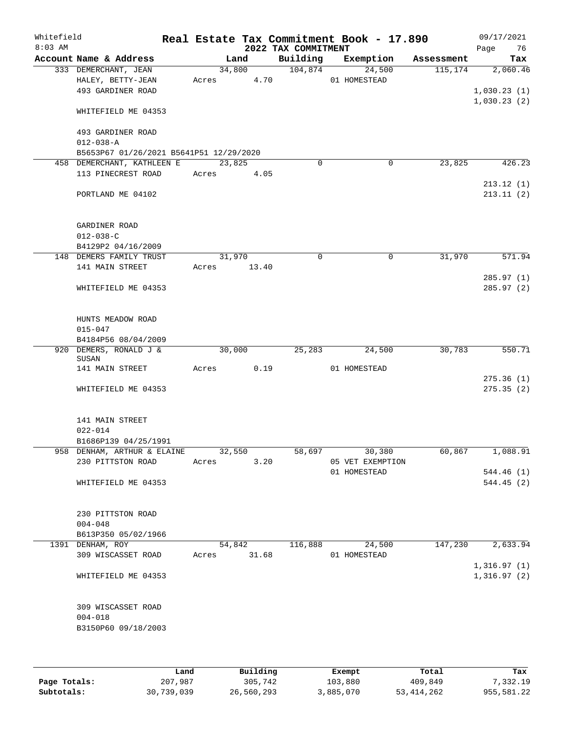| Whitefield<br>$8:03$ AM |                                                                | Real Estate Tax Commitment Book - 17.890 | 2022 TAX COMMITMENT |                        |            | 09/17/2021<br>76<br>Page   |
|-------------------------|----------------------------------------------------------------|------------------------------------------|---------------------|------------------------|------------|----------------------------|
|                         | Account Name & Address                                         | Land                                     | Building            | Exemption              | Assessment | Tax                        |
|                         | 333 DEMERCHANT, JEAN<br>HALEY, BETTY-JEAN<br>493 GARDINER ROAD | 34,800<br>4.70<br>Acres                  | 104,874             | 24,500<br>01 HOMESTEAD | 115, 174   | 2,060.46<br>1,030.23(1)    |
|                         | WHITEFIELD ME 04353                                            |                                          |                     |                        |            | 1,030.23(2)                |
|                         | 493 GARDINER ROAD<br>$012 - 038 - A$                           |                                          |                     |                        |            |                            |
|                         | B5653P67 01/26/2021 B5641P51 12/29/2020                        |                                          |                     |                        |            |                            |
|                         | 458 DEMERCHANT, KATHLEEN E<br>113 PINECREST ROAD               | 23,825<br>4.05<br>Acres                  | $\mathbf 0$         | $\mathbf 0$            | 23,825     | 426.23<br>213.12(1)        |
|                         | PORTLAND ME 04102                                              |                                          |                     |                        |            | 213.11(2)                  |
|                         | GARDINER ROAD<br>$012 - 038 - C$<br>B4129P2 04/16/2009         |                                          |                     |                        |            |                            |
|                         | 148 DEMERS FAMILY TRUST                                        | 31,970                                   | 0                   | 0                      | 31,970     | 571.94                     |
|                         | 141 MAIN STREET                                                | 13.40<br>Acres                           |                     |                        |            | 285.97(1)                  |
|                         | WHITEFIELD ME 04353                                            |                                          |                     |                        |            | 285.97(2)                  |
|                         | HUNTS MEADOW ROAD<br>$015 - 047$<br>B4184P56 08/04/2009        |                                          |                     |                        |            |                            |
|                         | 920 DEMERS, RONALD J &                                         | 30,000                                   | 25,283              | 24,500                 | 30,783     | 550.71                     |
|                         | SUSAN<br>141 MAIN STREET                                       | 0.19<br>Acres                            |                     | 01 HOMESTEAD           |            |                            |
|                         |                                                                |                                          |                     |                        |            | 275.36(1)                  |
|                         | WHITEFIELD ME 04353                                            |                                          |                     |                        |            | 275.35(2)                  |
|                         | 141 MAIN STREET<br>$022 - 014$<br>B1686P139 04/25/1991         |                                          |                     |                        |            |                            |
|                         | 958 DENHAM, ARTHUR & ELAINE                                    | 32,550                                   | 58,697              | 30,380                 | 60,867     | 1,088.91                   |
|                         | 230 PITTSTON ROAD                                              | 3.20<br>Acres                            |                     | 05 VET EXEMPTION       |            |                            |
|                         | WHITEFIELD ME 04353                                            |                                          |                     | 01 HOMESTEAD           |            | 544.46 (1)<br>544.45(2)    |
|                         | 230 PITTSTON ROAD<br>$004 - 048$                               |                                          |                     |                        |            |                            |
|                         | B613P350 05/02/1966<br>1391 DENHAM, ROY                        | 54,842                                   | 116,888             | 24,500                 | 147,230    | 2,633.94                   |
|                         | 309 WISCASSET ROAD                                             | 31.68<br>Acres                           |                     | 01 HOMESTEAD           |            |                            |
|                         | WHITEFIELD ME 04353                                            |                                          |                     |                        |            | 1,316.97(1)<br>1,316.97(2) |
|                         | 309 WISCASSET ROAD<br>$004 - 018$<br>B3150P60 09/18/2003       |                                          |                     |                        |            |                            |
|                         |                                                                |                                          |                     |                        |            |                            |

|              | Land       | Building   | Exempt    | Total      | Tax        |
|--------------|------------|------------|-----------|------------|------------|
| Page Totals: | 207,987    | 305,742    | 103,880   | 409,849    | 7,332.19   |
| Subtotals:   | 30,739,039 | 26,560,293 | 3,885,070 | 53,414,262 | 955,581.22 |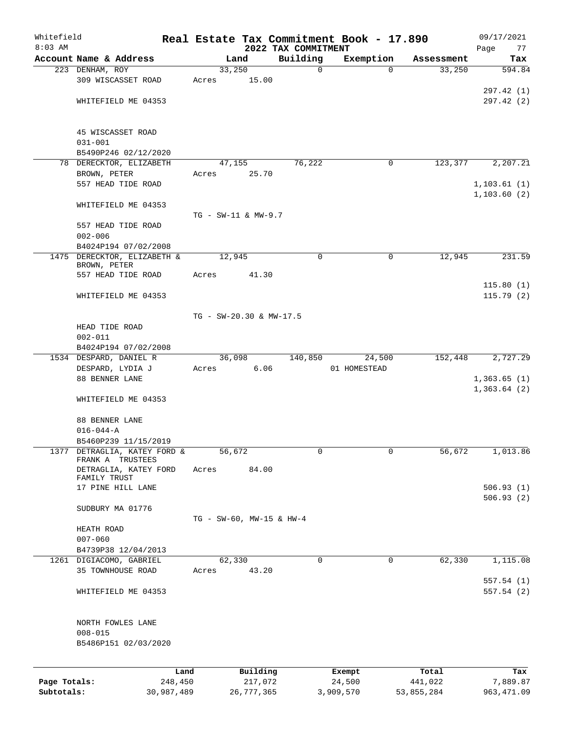| Whitefield   |                                                  |            |                                 |            |                                 | Real Estate Tax Commitment Book - 17.890 |            | 09/17/2021                 |
|--------------|--------------------------------------------------|------------|---------------------------------|------------|---------------------------------|------------------------------------------|------------|----------------------------|
| $8:03$ AM    | Account Name & Address                           |            |                                 | Land       | 2022 TAX COMMITMENT<br>Building | Exemption                                | Assessment | Page<br>77<br>Tax          |
|              | 223 DENHAM, ROY                                  |            | 33,250                          |            | $\mathbf 0$                     | $\Omega$                                 | 33,250     | 594.84                     |
|              | 309 WISCASSET ROAD                               |            | Acres                           | 15.00      |                                 |                                          |            |                            |
|              |                                                  |            |                                 |            |                                 |                                          |            | 297.42 (1)                 |
|              | WHITEFIELD ME 04353                              |            |                                 |            |                                 |                                          |            | 297.42(2)                  |
|              |                                                  |            |                                 |            |                                 |                                          |            |                            |
|              | 45 WISCASSET ROAD                                |            |                                 |            |                                 |                                          |            |                            |
|              | $031 - 001$                                      |            |                                 |            |                                 |                                          |            |                            |
|              | B5490P246 02/12/2020                             |            |                                 |            |                                 |                                          |            |                            |
|              | 78 DERECKTOR, ELIZABETH                          |            |                                 | 47,155     | 76,222                          | 0                                        | 123,377    | 2,207.21                   |
|              | BROWN, PETER                                     |            | Acres                           | 25.70      |                                 |                                          |            |                            |
|              | 557 HEAD TIDE ROAD                               |            |                                 |            |                                 |                                          |            | 1, 103.61(1)               |
|              | WHITEFIELD ME 04353                              |            |                                 |            |                                 |                                          |            | 1, 103.60(2)               |
|              |                                                  |            | TG - SW-11 & MW-9.7             |            |                                 |                                          |            |                            |
|              | 557 HEAD TIDE ROAD                               |            |                                 |            |                                 |                                          |            |                            |
|              | $002 - 006$                                      |            |                                 |            |                                 |                                          |            |                            |
|              | B4024P194 07/02/2008                             |            |                                 |            |                                 |                                          |            |                            |
|              | 1475 DERECKTOR, ELIZABETH &<br>BROWN, PETER      |            | 12,945                          |            | $\mathbf 0$                     | $\mathbf 0$                              | 12,945     | 231.59                     |
|              | 557 HEAD TIDE ROAD                               |            | Acres                           | 41.30      |                                 |                                          |            |                            |
|              |                                                  |            |                                 |            |                                 |                                          |            | 115.80(1)                  |
|              | WHITEFIELD ME 04353                              |            |                                 |            |                                 |                                          |            | 115.79(2)                  |
|              |                                                  |            |                                 |            |                                 |                                          |            |                            |
|              | HEAD TIDE ROAD                                   |            | TG - SW-20.30 & MW-17.5         |            |                                 |                                          |            |                            |
|              | $002 - 011$                                      |            |                                 |            |                                 |                                          |            |                            |
|              | B4024P194 07/02/2008                             |            |                                 |            |                                 |                                          |            |                            |
|              | 1534 DESPARD, DANIEL R                           |            |                                 | 36,098     | 140,850                         | 24,500                                   | 152,448    | 2,727.29                   |
|              | DESPARD, LYDIA J                                 |            | Acres                           | 6.06       |                                 | 01 HOMESTEAD                             |            |                            |
|              | 88 BENNER LANE                                   |            |                                 |            |                                 |                                          |            | 1,363.65(1)<br>1,363.64(2) |
|              | WHITEFIELD ME 04353                              |            |                                 |            |                                 |                                          |            |                            |
|              |                                                  |            |                                 |            |                                 |                                          |            |                            |
|              | 88 BENNER LANE                                   |            |                                 |            |                                 |                                          |            |                            |
|              | $016 - 044 - A$                                  |            |                                 |            |                                 |                                          |            |                            |
|              | B5460P239 11/15/2019                             |            |                                 |            |                                 |                                          |            |                            |
|              | 1377 DETRAGLIA, KATEY FORD &<br>FRANK A TRUSTEES |            | 56,672                          |            | 0                               | 0                                        | 56,672     | 1,013.86                   |
|              | DETRAGLIA, KATEY FORD                            |            | Acres                           | 84.00      |                                 |                                          |            |                            |
|              | FAMILY TRUST<br>17 PINE HILL LANE                |            |                                 |            |                                 |                                          |            | 506.93(1)                  |
|              |                                                  |            |                                 |            |                                 |                                          |            | 506.93(2)                  |
|              | SUDBURY MA 01776                                 |            |                                 |            |                                 |                                          |            |                            |
|              |                                                  |            | $TG - SW-60$ , $MW-15$ & $HW-4$ |            |                                 |                                          |            |                            |
|              | HEATH ROAD                                       |            |                                 |            |                                 |                                          |            |                            |
|              | $007 - 060$                                      |            |                                 |            |                                 |                                          |            |                            |
|              | B4739P38 12/04/2013<br>1261 DIGIACOMO, GABRIEL   |            | 62,330                          |            | 0                               | 0                                        | 62,330     | 1,115.08                   |
|              | 35 TOWNHOUSE ROAD                                |            | Acres                           | 43.20      |                                 |                                          |            |                            |
|              |                                                  |            |                                 |            |                                 |                                          |            | 557.54(1)                  |
|              | WHITEFIELD ME 04353                              |            |                                 |            |                                 |                                          |            | 557.54(2)                  |
|              |                                                  |            |                                 |            |                                 |                                          |            |                            |
|              | NORTH FOWLES LANE                                |            |                                 |            |                                 |                                          |            |                            |
|              | $008 - 015$<br>B5486P151 02/03/2020              |            |                                 |            |                                 |                                          |            |                            |
|              |                                                  |            |                                 |            |                                 |                                          |            |                            |
|              |                                                  | Land       |                                 | Building   |                                 |                                          | Total      | Tax                        |
| Page Totals: |                                                  | 248,450    |                                 | 217,072    |                                 | Exempt<br>24,500                         | 441,022    | 7,889.87                   |
| Subtotals:   |                                                  | 30,987,489 |                                 | 26,777,365 |                                 | 3,909,570                                | 53,855,284 | 963, 471.09                |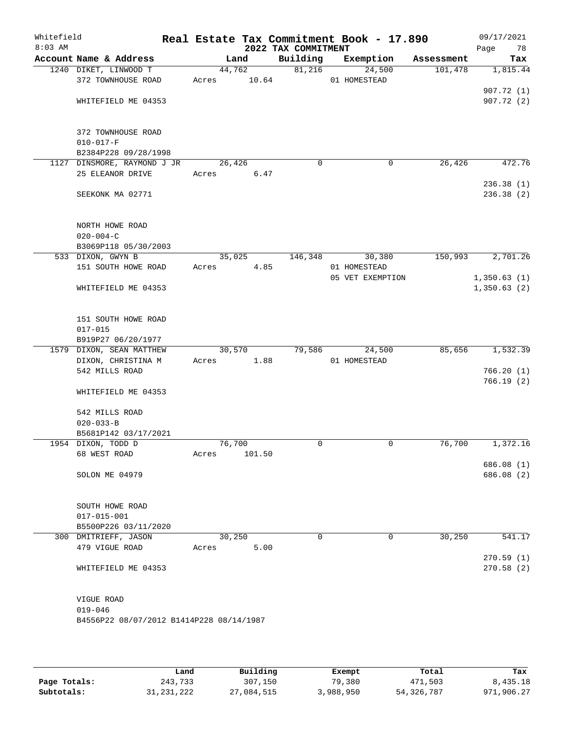| Whitefield<br>$8:03$ AM |                                          | Real Estate Tax Commitment Book - 17.890 | 2022 TAX COMMITMENT |                                  |            | 09/17/2021<br>78<br>Page |
|-------------------------|------------------------------------------|------------------------------------------|---------------------|----------------------------------|------------|--------------------------|
|                         | Account Name & Address                   | Land                                     | Building            | Exemption                        | Assessment | Tax                      |
|                         | 1240 DIKET, LINWOOD T                    | 44,762                                   | 81,216              | 24,500                           | 101,478    | 1,815.44                 |
|                         | 372 TOWNHOUSE ROAD                       | 10.64<br>Acres                           |                     | 01 HOMESTEAD                     |            |                          |
|                         |                                          |                                          |                     |                                  |            | 907.72(1)                |
|                         | WHITEFIELD ME 04353                      |                                          |                     |                                  |            | 907.72(2)                |
|                         | 372 TOWNHOUSE ROAD                       |                                          |                     |                                  |            |                          |
|                         | $010 - 017 - F$                          |                                          |                     |                                  |            |                          |
|                         | B2384P228 09/28/1998                     |                                          |                     |                                  |            |                          |
|                         | 1127 DINSMORE, RAYMOND J JR              | 26,426                                   | $\mathbf 0$         | 0                                | 26,426     | 472.76                   |
|                         | 25 ELEANOR DRIVE                         | Acres<br>6.47                            |                     |                                  |            |                          |
|                         | SEEKONK MA 02771                         |                                          |                     |                                  |            | 236.38(1)<br>236.38 (2)  |
|                         |                                          |                                          |                     |                                  |            |                          |
|                         | NORTH HOWE ROAD                          |                                          |                     |                                  |            |                          |
|                         | $020 - 004 - C$                          |                                          |                     |                                  |            |                          |
|                         | B3069P118 05/30/2003                     |                                          |                     |                                  |            |                          |
|                         | 533 DIXON, GWYN B                        | 35,025                                   | 146,348             | 30,380                           | 150,993    | 2,701.26                 |
|                         | 151 SOUTH HOWE ROAD                      | 4.85<br>Acres                            |                     | 01 HOMESTEAD<br>05 VET EXEMPTION |            | 1,350.63(1)              |
|                         | WHITEFIELD ME 04353                      |                                          |                     |                                  |            | 1,350.63(2)              |
|                         |                                          |                                          |                     |                                  |            |                          |
|                         | 151 SOUTH HOWE ROAD                      |                                          |                     |                                  |            |                          |
|                         | $017 - 015$                              |                                          |                     |                                  |            |                          |
|                         | B919P27 06/20/1977                       |                                          |                     |                                  |            |                          |
|                         | 1579 DIXON, SEAN MATTHEW                 | 30,570                                   | 79,586              | 24,500                           | 85,656     | 1,532.39                 |
|                         | DIXON, CHRISTINA M                       | 1.88<br>Acres                            |                     | 01 HOMESTEAD                     |            |                          |
|                         | 542 MILLS ROAD                           |                                          |                     |                                  |            | 766.20(1)                |
|                         | WHITEFIELD ME 04353                      |                                          |                     |                                  |            | 766.19(2)                |
|                         | 542 MILLS ROAD                           |                                          |                     |                                  |            |                          |
|                         | $020 - 033 - B$                          |                                          |                     |                                  |            |                          |
|                         | B5681P142 03/17/2021                     |                                          |                     |                                  |            |                          |
|                         | 1954 DIXON, TODD D                       | 76,700                                   | 0                   | 0                                | 76,700     | 1,372.16                 |
|                         | 68 WEST ROAD                             | 101.50<br>Acres                          |                     |                                  |            |                          |
|                         | SOLON ME 04979                           |                                          |                     |                                  |            | 686.08(1)<br>686.08 (2)  |
|                         |                                          |                                          |                     |                                  |            |                          |
|                         | SOUTH HOWE ROAD                          |                                          |                     |                                  |            |                          |
|                         | $017 - 015 - 001$                        |                                          |                     |                                  |            |                          |
|                         | B5500P226 03/11/2020                     |                                          |                     |                                  |            |                          |
|                         | 300 DMITRIEFF, JASON                     | 30,250                                   | $\Omega$            | 0                                | 30,250     | 541.17                   |
|                         | 479 VIGUE ROAD                           | 5.00<br>Acres                            |                     |                                  |            |                          |
|                         | WHITEFIELD ME 04353                      |                                          |                     |                                  |            | 270.59(1)<br>270.58(2)   |
|                         |                                          |                                          |                     |                                  |            |                          |
|                         | VIGUE ROAD                               |                                          |                     |                                  |            |                          |
|                         | $019 - 046$                              |                                          |                     |                                  |            |                          |
|                         | B4556P22 08/07/2012 B1414P228 08/14/1987 |                                          |                     |                                  |            |                          |
|                         |                                          |                                          |                     |                                  |            |                          |
|                         |                                          |                                          |                     |                                  |            |                          |

|              | Land         | Building   | Exempt    | Total        | Tax        |
|--------------|--------------|------------|-----------|--------------|------------|
| Page Totals: | 243,733      | 307,150    | 79,380    | 471,503      | 8,435.18   |
| Subtotals:   | 31, 231, 222 | 27,084,515 | 3,988,950 | 54, 326, 787 | 971,906.27 |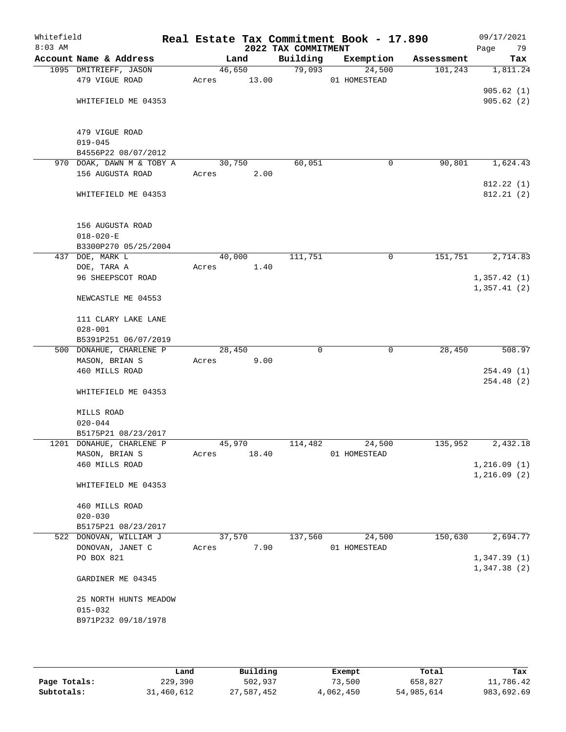| Whitefield<br>$8:03$ AM |                                                 |        |        | Real Estate Tax Commitment Book - 17.890<br>2022 TAX COMMITMENT |              |             |            | 09/17/2021<br>Page<br>79   |
|-------------------------|-------------------------------------------------|--------|--------|-----------------------------------------------------------------|--------------|-------------|------------|----------------------------|
|                         | Account Name & Address                          |        | Land   | Building                                                        | Exemption    |             | Assessment | Tax                        |
|                         | 1095 DMITRIEFF, JASON                           |        | 46,650 | 79,093                                                          |              | 24,500      | 101,243    | 1,811.24                   |
|                         | 479 VIGUE ROAD                                  | Acres  | 13.00  |                                                                 | 01 HOMESTEAD |             |            |                            |
|                         |                                                 |        |        |                                                                 |              |             |            | 905.62(1)                  |
|                         | WHITEFIELD ME 04353                             |        |        |                                                                 |              |             |            | 905.62(2)                  |
|                         | 479 VIGUE ROAD                                  |        |        |                                                                 |              |             |            |                            |
|                         | $019 - 045$                                     |        |        |                                                                 |              |             |            |                            |
|                         | B4556P22 08/07/2012                             |        |        |                                                                 |              |             |            |                            |
|                         | 970 DOAK, DAWN M & TOBY A                       |        | 30,750 | 60,051                                                          |              | 0           | 90,801     | 1,624.43                   |
|                         | 156 AUGUSTA ROAD                                | Acres  | 2.00   |                                                                 |              |             |            |                            |
|                         | WHITEFIELD ME 04353                             |        |        |                                                                 |              |             |            | 812.22(1)<br>812.21 (2)    |
|                         | 156 AUGUSTA ROAD                                |        |        |                                                                 |              |             |            |                            |
|                         | $018 - 020 - E$                                 |        |        |                                                                 |              |             |            |                            |
|                         | B3300P270 05/25/2004                            |        |        |                                                                 |              |             |            |                            |
|                         | 437 DOE, MARK L                                 |        | 40,000 | 111,751                                                         |              | $\mathbf 0$ | 151,751    | 2,714.83                   |
|                         | DOE, TARA A                                     | Acres  | 1.40   |                                                                 |              |             |            |                            |
|                         | 96 SHEEPSCOT ROAD                               |        |        |                                                                 |              |             |            | 1,357.42(1)                |
|                         | NEWCASTLE ME 04553                              |        |        |                                                                 |              |             |            | 1,357.41(2)                |
|                         |                                                 |        |        |                                                                 |              |             |            |                            |
|                         | 111 CLARY LAKE LANE                             |        |        |                                                                 |              |             |            |                            |
|                         | $028 - 001$                                     |        |        |                                                                 |              |             |            |                            |
|                         | B5391P251 06/07/2019<br>500 DONAHUE, CHARLENE P |        | 28,450 | $\Omega$                                                        |              | 0           | 28,450     | 508.97                     |
|                         | MASON, BRIAN S                                  | Acres  | 9.00   |                                                                 |              |             |            |                            |
|                         | 460 MILLS ROAD                                  |        |        |                                                                 |              |             |            | 254.49(1)                  |
|                         |                                                 |        |        |                                                                 |              |             |            | 254.48 (2)                 |
|                         | WHITEFIELD ME 04353                             |        |        |                                                                 |              |             |            |                            |
|                         | MILLS ROAD                                      |        |        |                                                                 |              |             |            |                            |
|                         | $020 - 044$                                     |        |        |                                                                 |              |             |            |                            |
|                         | B5175P21 08/23/2017                             |        |        |                                                                 |              |             |            |                            |
|                         | 1201 DONAHUE, CHARLENE P                        | 45,970 |        | 114,482                                                         |              | 24,500      | 135,952    | 2,432.18                   |
|                         | MASON, BRIAN S                                  | Acres  | 18.40  |                                                                 | 01 HOMESTEAD |             |            |                            |
|                         | 460 MILLS ROAD                                  |        |        |                                                                 |              |             |            | 1,216.09(1)<br>1,216.09(2) |
|                         | WHITEFIELD ME 04353                             |        |        |                                                                 |              |             |            |                            |
|                         | 460 MILLS ROAD                                  |        |        |                                                                 |              |             |            |                            |
|                         | $020 - 030$                                     |        |        |                                                                 |              |             |            |                            |
|                         | B5175P21 08/23/2017                             |        |        |                                                                 |              |             |            |                            |
|                         | 522 DONOVAN, WILLIAM J                          |        | 37,570 | 137,560                                                         |              | 24,500      | 150,630    | 2,694.77                   |
|                         | DONOVAN, JANET C                                | Acres  | 7.90   |                                                                 | 01 HOMESTEAD |             |            |                            |
|                         | PO BOX 821                                      |        |        |                                                                 |              |             |            | 1,347.39(1)                |
|                         | GARDINER ME 04345                               |        |        |                                                                 |              |             |            | 1,347.38(2)                |
|                         |                                                 |        |        |                                                                 |              |             |            |                            |
|                         | 25 NORTH HUNTS MEADOW                           |        |        |                                                                 |              |             |            |                            |
|                         | $015 - 032$                                     |        |        |                                                                 |              |             |            |                            |
|                         | B971P232 09/18/1978                             |        |        |                                                                 |              |             |            |                            |
|                         |                                                 |        |        |                                                                 |              |             |            |                            |
|                         |                                                 |        |        |                                                                 |              |             |            |                            |

|              | Land       | Building   | Exempt    | Total      | Tax        |
|--------------|------------|------------|-----------|------------|------------|
| Page Totals: | 229,390    | 502,937    | 73,500    | 658,827    | 11,786.42  |
| Subtotals:   | 31,460,612 | 27,587,452 | 4,062,450 | 54,985,614 | 983,692.69 |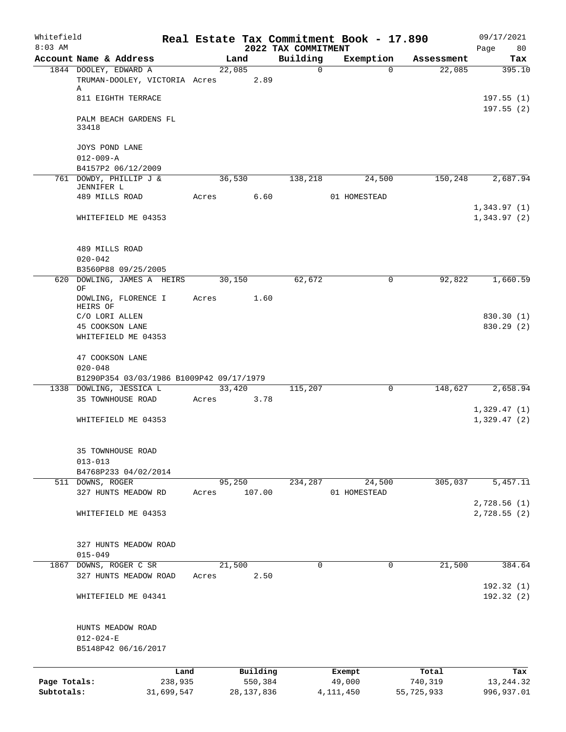| Whitefield<br>$8:03$ AM    |                                                             |       |              |         | 2022 TAX COMMITMENT | Real Estate Tax Commitment Book - 17.890 |                       | 09/17/2021                 |
|----------------------------|-------------------------------------------------------------|-------|--------------|---------|---------------------|------------------------------------------|-----------------------|----------------------------|
|                            | Account Name & Address                                      |       | Land         |         | Building            | Exemption                                | Assessment            | Page<br>80<br>Tax          |
|                            | 1844 DOOLEY, EDWARD A                                       |       | 22,085       |         | $\mathbf 0$         | $\Omega$                                 | 22,085                | 395.10                     |
|                            | TRUMAN-DOOLEY, VICTORIA Acres<br>Α                          |       |              | 2.89    |                     |                                          |                       |                            |
|                            | 811 EIGHTH TERRACE                                          |       |              |         |                     |                                          |                       | 197.55(1)<br>197.55(2)     |
|                            | PALM BEACH GARDENS FL<br>33418                              |       |              |         |                     |                                          |                       |                            |
|                            | JOYS POND LANE<br>$012 - 009 - A$                           |       |              |         |                     |                                          |                       |                            |
|                            | B4157P2 06/12/2009                                          |       |              |         |                     |                                          |                       |                            |
|                            | 761 DOWDY, PHILLIP J &<br>JENNIFER L<br>489 MILLS ROAD      | Acres | 36,530       | 6.60    | 138,218             | 24,500<br>01 HOMESTEAD                   | 150,248               | 2,687.94                   |
|                            | WHITEFIELD ME 04353                                         |       |              |         |                     |                                          |                       | 1,343.97(1)<br>1,343.97(2) |
|                            | 489 MILLS ROAD                                              |       |              |         |                     |                                          |                       |                            |
|                            | $020 - 042$<br>B3560P88 09/25/2005                          |       |              |         |                     |                                          |                       |                            |
| 620                        | DOWLING, JAMES A HEIRS<br>OF                                |       | 30,150       |         | 62,672              | 0                                        | 92,822                | 1,660.59                   |
|                            | DOWLING, FLORENCE I<br>HEIRS OF                             | Acres |              | 1.60    |                     |                                          |                       |                            |
|                            | C/O LORI ALLEN                                              |       |              |         |                     |                                          |                       | 830.30 (1)                 |
|                            | 45 COOKSON LANE<br>WHITEFIELD ME 04353                      |       |              |         |                     |                                          |                       | 830.29 (2)                 |
|                            | 47 COOKSON LANE<br>$020 - 048$                              |       |              |         |                     |                                          |                       |                            |
|                            | B1290P354 03/03/1986 B1009P42 09/17/1979                    |       |              |         |                     |                                          |                       |                            |
|                            | 1338 DOWLING, JESSICA L<br>35 TOWNHOUSE ROAD                | Acres | 33,420       | 3.78    | 115,207             | 0                                        | 148,627               | 2,658.94                   |
|                            |                                                             |       |              |         |                     |                                          |                       | 1,329.47(1)                |
|                            | WHITEFIELD ME 04353                                         |       |              |         |                     |                                          |                       | 1,329.47(2)                |
|                            | 35 TOWNHOUSE ROAD<br>$013 - 013$                            |       |              |         |                     |                                          |                       |                            |
|                            | B4768P233 04/02/2014                                        |       |              |         |                     |                                          |                       |                            |
|                            | 511 DOWNS, ROGER<br>327 HUNTS MEADOW RD                     | Acres | 95,250       | 107.00  | 234,287             | 24,500<br>01 HOMESTEAD                   | 305,037               | 5,457.11                   |
|                            | WHITEFIELD ME 04353                                         |       |              |         |                     |                                          |                       | 2,728.56(1)<br>2,728.55(2) |
|                            | 327 HUNTS MEADOW ROAD<br>$015 - 049$                        |       |              |         |                     |                                          |                       |                            |
|                            | 1867 DOWNS, ROGER C SR                                      |       | 21,500       |         | $\Omega$            | $\mathbf 0$                              | 21,500                | 384.64                     |
|                            | 327 HUNTS MEADOW ROAD                                       | Acres |              | 2.50    |                     |                                          |                       | 192.32(1)                  |
|                            | WHITEFIELD ME 04341                                         |       |              |         |                     |                                          |                       | 192.32(2)                  |
|                            | HUNTS MEADOW ROAD<br>$012 - 024 - E$<br>B5148P42 06/16/2017 |       |              |         |                     |                                          |                       |                            |
|                            |                                                             | Land  | Building     |         |                     | Exempt                                   | Total                 | Tax                        |
| Page Totals:<br>Subtotals: | 238,935<br>31,699,547                                       |       | 28, 137, 836 | 550,384 |                     | 49,000<br>4, 111, 450                    | 740,319<br>55,725,933 | 13, 244.32<br>996,937.01   |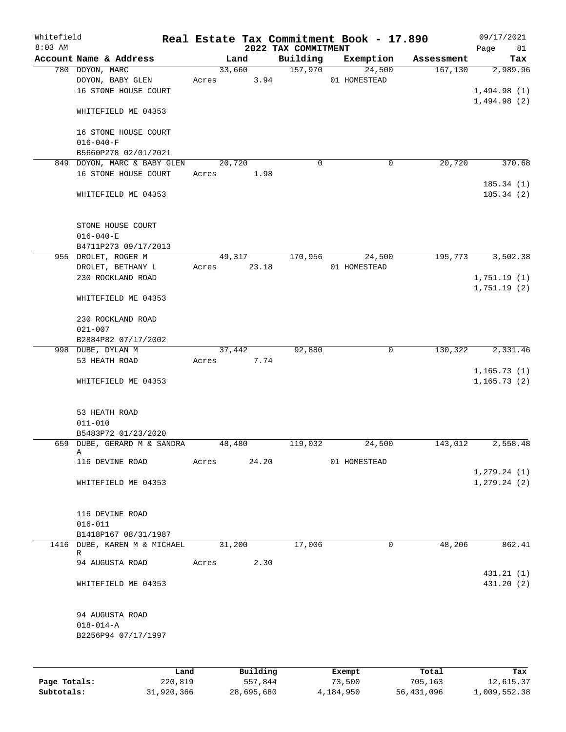| Whitefield   |                              |            |       |        |            |                                 | Real Estate Tax Commitment Book - 17.890 |                        | 09/17/2021        |
|--------------|------------------------------|------------|-------|--------|------------|---------------------------------|------------------------------------------|------------------------|-------------------|
| $8:03$ AM    | Account Name & Address       |            |       | Land   |            | 2022 TAX COMMITMENT<br>Building | Exemption                                | Assessment             | Page<br>81<br>Tax |
|              | 780 DOYON, MARC              |            |       | 33,660 |            | 157,970                         | 24,500                                   | 167, 130               | 2,989.96          |
|              | DOYON, BABY GLEN             |            | Acres |        | 3.94       |                                 | 01 HOMESTEAD                             |                        |                   |
|              | 16 STONE HOUSE COURT         |            |       |        |            |                                 |                                          |                        | 1,494.98(1)       |
|              |                              |            |       |        |            |                                 |                                          |                        | 1,494.98(2)       |
|              | WHITEFIELD ME 04353          |            |       |        |            |                                 |                                          |                        |                   |
|              | 16 STONE HOUSE COURT         |            |       |        |            |                                 |                                          |                        |                   |
|              | $016 - 040 - F$              |            |       |        |            |                                 |                                          |                        |                   |
|              | B5660P278 02/01/2021         |            |       |        |            |                                 |                                          |                        |                   |
|              | 849 DOYON, MARC & BABY GLEN  |            |       | 20,720 |            | 0                               |                                          | 20,720<br>0            | 370.68            |
|              | 16 STONE HOUSE COURT         |            | Acres |        | 1.98       |                                 |                                          |                        |                   |
|              |                              |            |       |        |            |                                 |                                          |                        | 185.34(1)         |
|              | WHITEFIELD ME 04353          |            |       |        |            |                                 |                                          |                        | 185.34(2)         |
|              | STONE HOUSE COURT            |            |       |        |            |                                 |                                          |                        |                   |
|              | $016 - 040 - E$              |            |       |        |            |                                 |                                          |                        |                   |
|              | B4711P273 09/17/2013         |            |       |        |            |                                 |                                          |                        |                   |
|              | 955 DROLET, ROGER M          |            |       | 49,317 |            | 170,956                         | 24,500                                   | 195,773                | 3,502.38          |
|              | DROLET, BETHANY L            |            | Acres |        | 23.18      |                                 | 01 HOMESTEAD                             |                        |                   |
|              | 230 ROCKLAND ROAD            |            |       |        |            |                                 |                                          |                        | 1,751.19(1)       |
|              | WHITEFIELD ME 04353          |            |       |        |            |                                 |                                          |                        | 1,751.19(2)       |
|              | 230 ROCKLAND ROAD            |            |       |        |            |                                 |                                          |                        |                   |
|              | $021 - 007$                  |            |       |        |            |                                 |                                          |                        |                   |
|              | B2884P82 07/17/2002          |            |       |        |            |                                 |                                          |                        |                   |
|              | 998 DUBE, DYLAN M            |            |       | 37,442 |            | 92,880                          |                                          | 130,322<br>$\mathbf 0$ | 2,331.46          |
|              | 53 HEATH ROAD                |            | Acres |        | 7.74       |                                 |                                          |                        |                   |
|              |                              |            |       |        |            |                                 |                                          |                        | 1, 165.73(1)      |
|              | WHITEFIELD ME 04353          |            |       |        |            |                                 |                                          |                        | 1, 165.73(2)      |
|              |                              |            |       |        |            |                                 |                                          |                        |                   |
|              | 53 HEATH ROAD                |            |       |        |            |                                 |                                          |                        |                   |
|              | $011 - 010$                  |            |       |        |            |                                 |                                          |                        |                   |
|              | B5483P72 01/23/2020          |            |       |        |            |                                 |                                          |                        |                   |
|              | 659 DUBE, GERARD M & SANDRA  |            |       | 48,480 |            | 119,032                         | 24,500                                   | 143,012                | 2,558.48          |
|              | Α                            |            |       |        |            |                                 |                                          |                        |                   |
|              | 116 DEVINE ROAD              |            | Acres |        | 24.20      |                                 | 01 HOMESTEAD                             |                        |                   |
|              |                              |            |       |        |            |                                 |                                          |                        | 1, 279.24(1)      |
|              | WHITEFIELD ME 04353          |            |       |        |            |                                 |                                          |                        | 1, 279.24(2)      |
|              | 116 DEVINE ROAD              |            |       |        |            |                                 |                                          |                        |                   |
|              | $016 - 011$                  |            |       |        |            |                                 |                                          |                        |                   |
|              | B1418P167 08/31/1987         |            |       |        |            |                                 |                                          |                        |                   |
|              | 1416 DUBE, KAREN M & MICHAEL |            |       | 31,200 |            | 17,006                          |                                          | 48,206<br>0            | 862.41            |
|              | R                            |            |       |        |            |                                 |                                          |                        |                   |
|              | 94 AUGUSTA ROAD              |            | Acres |        | 2.30       |                                 |                                          |                        | 431.21 (1)        |
|              | WHITEFIELD ME 04353          |            |       |        |            |                                 |                                          |                        | 431.20 (2)        |
|              | 94 AUGUSTA ROAD              |            |       |        |            |                                 |                                          |                        |                   |
|              | $018 - 014 - A$              |            |       |        |            |                                 |                                          |                        |                   |
|              | B2256P94 07/17/1997          |            |       |        |            |                                 |                                          |                        |                   |
|              |                              |            |       |        |            |                                 |                                          |                        |                   |
|              |                              | Land       |       |        | Building   |                                 | Exempt                                   | Total                  | Tax               |
| Page Totals: |                              | 220,819    |       |        | 557,844    |                                 | 73,500                                   | 705,163                | 12,615.37         |
| Subtotals:   |                              | 31,920,366 |       |        | 28,695,680 |                                 | 4,184,950                                | 56,431,096             | 1,009,552.38      |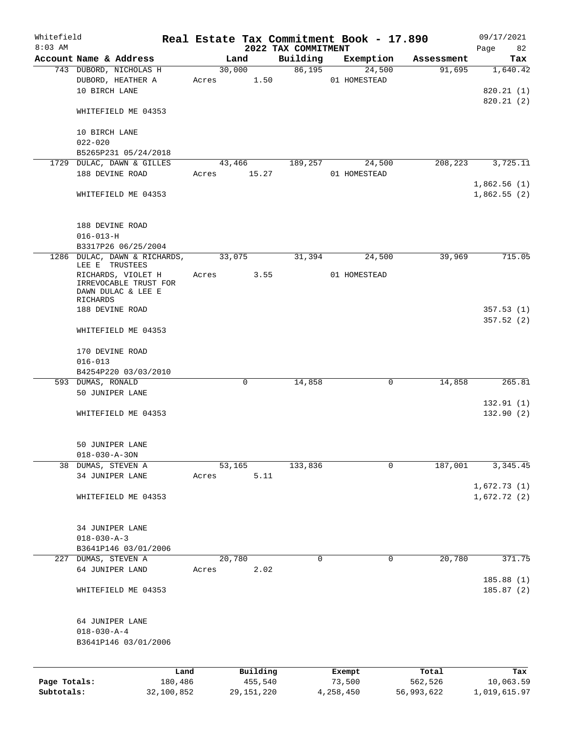| Whitefield<br>$8:03$ AM |                                                                                                                    |             |             | 2022 TAX COMMITMENT | Real Estate Tax Commitment Book - 17.890 |                      | 09/17/2021<br>Page<br>82           |
|-------------------------|--------------------------------------------------------------------------------------------------------------------|-------------|-------------|---------------------|------------------------------------------|----------------------|------------------------------------|
|                         | Account Name & Address                                                                                             |             | Land        | Building            |                                          | Exemption Assessment | Tax                                |
|                         | 743 DUBORD, NICHOLAS H<br>DUBORD, HEATHER A<br>10 BIRCH LANE                                                       | Acres 1.50  | 30,000      | 86,195              | 24,500<br>01 HOMESTEAD                   | 91,695               | 1,640.42<br>820.21(1)<br>820.21(2) |
|                         | WHITEFIELD ME 04353<br>10 BIRCH LANE                                                                               |             |             |                     |                                          |                      |                                    |
|                         | $022 - 020$                                                                                                        |             |             |                     |                                          |                      |                                    |
|                         | B5265P231 05/24/2018                                                                                               |             |             |                     |                                          |                      |                                    |
|                         | 1729 DULAC, DAWN & GILLES<br>188 DEVINE ROAD                                                                       | Acres 15.27 | 43,466      | 189,257             | 24,500<br>01 HOMESTEAD                   | 208,223              | 3,725.11                           |
|                         | WHITEFIELD ME 04353                                                                                                |             |             |                     |                                          |                      | 1,862.56(1)<br>1,862.55(2)         |
|                         | 188 DEVINE ROAD<br>$016 - 013 - H$                                                                                 |             |             |                     |                                          |                      |                                    |
|                         | B3317P26 06/25/2004<br>1286 DULAC, DAWN & RICHARDS,                                                                | 33,075      |             | 31,394              | 24,500                                   | 39,969               | 715.05                             |
|                         | LEE E TRUSTEES<br>RICHARDS, VIOLET H<br>IRREVOCABLE TRUST FOR<br>DAWN DULAC & LEE E<br>RICHARDS<br>188 DEVINE ROAD | Acres 3.55  |             |                     | 01 HOMESTEAD                             |                      |                                    |
|                         | WHITEFIELD ME 04353                                                                                                |             |             |                     |                                          |                      | 357.53(1)<br>357.52(2)             |
|                         | 170 DEVINE ROAD<br>$016 - 013$                                                                                     |             |             |                     |                                          |                      |                                    |
|                         | B4254P220 03/03/2010<br>593 DUMAS, RONALD                                                                          |             | $\mathbf 0$ | 14,858              | $\mathbf 0$                              | 14,858               | 265.81                             |
|                         | 50 JUNIPER LANE                                                                                                    |             |             |                     |                                          |                      |                                    |
|                         | WHITEFIELD ME 04353                                                                                                |             |             |                     |                                          |                      | 132.91(1)<br>132.90(2)             |
|                         | 50 JUNIPER LANE<br>$018 - 030 - A - 30N$                                                                           |             |             |                     |                                          |                      |                                    |
|                         | 38 DUMAS, STEVEN A                                                                                                 |             | 53,165      | 133,836             | 0                                        | 187,001              | 3,345.45                           |
|                         | 34 JUNIPER LANE                                                                                                    | Acres       | 5.11        |                     |                                          |                      | 1,672.73(1)                        |
|                         | WHITEFIELD ME 04353                                                                                                |             |             |                     |                                          |                      | 1,672.72(2)                        |
|                         | 34 JUNIPER LANE<br>$018 - 030 - A - 3$<br>B3641P146 03/01/2006                                                     |             |             |                     |                                          |                      |                                    |
|                         | 227 DUMAS, STEVEN A                                                                                                | 20,780      |             | 0                   | 0                                        | 20,780               | 371.75                             |
|                         | 64 JUNIPER LAND                                                                                                    | Acres       | 2.02        |                     |                                          |                      | 185.88 (1)                         |
|                         | WHITEFIELD ME 04353                                                                                                |             |             |                     |                                          |                      | 185.87 (2)                         |
|                         | 64 JUNIPER LANE<br>$018 - 030 - A - 4$<br>B3641P146 03/01/2006                                                     |             |             |                     |                                          |                      |                                    |
|                         | Land                                                                                                               |             | Building    |                     | Exempt                                   | Total                | Tax                                |
| Page Totals:            | 180,486                                                                                                            |             | 455,540     |                     | 73,500                                   | 562,526              | 10,063.59                          |

**Subtotals:** 32,100,852 29,151,220 4,258,450 56,993,622 1,019,615.97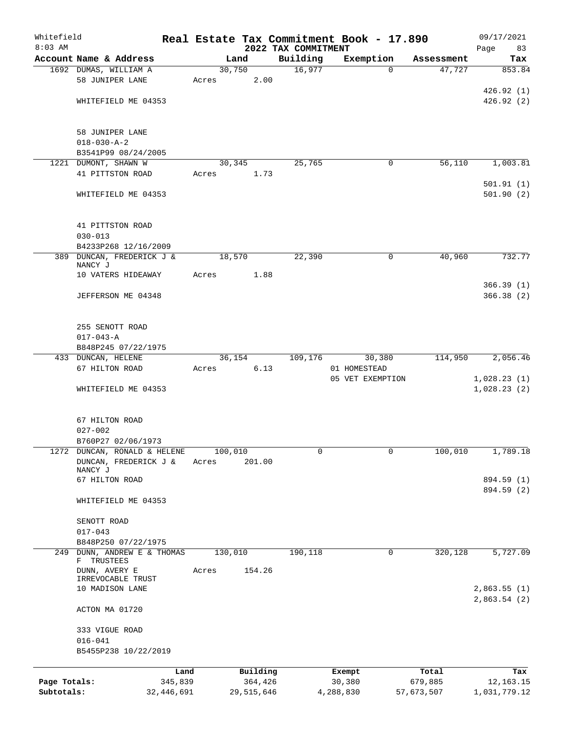| Whitefield   |                                      |         |       |                |            | Real Estate Tax Commitment Book - 17.890 |                  |          |                      | 09/17/2021               |
|--------------|--------------------------------------|---------|-------|----------------|------------|------------------------------------------|------------------|----------|----------------------|--------------------------|
| $8:03$ AM    | Account Name & Address               |         |       |                |            | 2022 TAX COMMITMENT                      |                  |          |                      | Page<br>83               |
|              | 1692 DUMAS, WILLIAM A                |         |       | Land<br>30,750 |            | Building<br>16,977                       | Exemption        | $\Omega$ | Assessment<br>47,727 | Tax<br>853.84            |
|              | 58 JUNIPER LANE                      |         | Acres |                | 2.00       |                                          |                  |          |                      |                          |
|              |                                      |         |       |                |            |                                          |                  |          |                      | 426.92(1)                |
|              | WHITEFIELD ME 04353                  |         |       |                |            |                                          |                  |          |                      | 426.92(2)                |
|              |                                      |         |       |                |            |                                          |                  |          |                      |                          |
|              | 58 JUNIPER LANE                      |         |       |                |            |                                          |                  |          |                      |                          |
|              | $018 - 030 - A - 2$                  |         |       |                |            |                                          |                  |          |                      |                          |
|              | B3541P99 08/24/2005                  |         |       |                |            |                                          |                  |          |                      |                          |
|              | 1221 DUMONT, SHAWN W                 |         |       | 30,345         |            | 25,765                                   |                  | 0        | 56,110               | 1,003.81                 |
|              | 41 PITTSTON ROAD                     |         | Acres |                | 1.73       |                                          |                  |          |                      |                          |
|              |                                      |         |       |                |            |                                          |                  |          |                      | 501.91(1)                |
|              | WHITEFIELD ME 04353                  |         |       |                |            |                                          |                  |          |                      | 501.90(2)                |
|              | 41 PITTSTON ROAD                     |         |       |                |            |                                          |                  |          |                      |                          |
|              | $030 - 013$                          |         |       |                |            |                                          |                  |          |                      |                          |
|              | B4233P268 12/16/2009                 |         |       |                |            |                                          |                  |          |                      |                          |
|              | 389 DUNCAN, FREDERICK J &<br>NANCY J |         |       | 18,570         |            | 22,390                                   |                  | 0        | 40,960               | 732.77                   |
|              | 10 VATERS HIDEAWAY                   |         | Acres |                | 1.88       |                                          |                  |          |                      |                          |
|              |                                      |         |       |                |            |                                          |                  |          |                      | 366.39(1)                |
|              | JEFFERSON ME 04348                   |         |       |                |            |                                          |                  |          |                      | 366.38(2)                |
|              | 255 SENOTT ROAD                      |         |       |                |            |                                          |                  |          |                      |                          |
|              | $017 - 043 - A$                      |         |       |                |            |                                          |                  |          |                      |                          |
|              | B848P245 07/22/1975                  |         |       |                |            |                                          |                  |          |                      |                          |
|              | 433 DUNCAN, HELENE                   |         |       | 36,154         |            | 109,176                                  |                  | 30,380   | 114,950              | 2,056.46                 |
|              | 67 HILTON ROAD                       |         | Acres |                | 6.13       |                                          | 01 HOMESTEAD     |          |                      |                          |
|              |                                      |         |       |                |            |                                          | 05 VET EXEMPTION |          |                      | 1,028.23(1)              |
|              | WHITEFIELD ME 04353                  |         |       |                |            |                                          |                  |          |                      | 1,028.23(2)              |
|              | 67 HILTON ROAD                       |         |       |                |            |                                          |                  |          |                      |                          |
|              | $027 - 002$                          |         |       |                |            |                                          |                  |          |                      |                          |
|              | B760P27 02/06/1973                   |         |       |                |            |                                          |                  |          |                      |                          |
|              | 1272 DUNCAN, RONALD & HELENE         |         |       | 100,010        |            | 0                                        |                  | 0        | 100,010              | 1,789.18                 |
|              | DUNCAN, FREDERICK J &                |         | Acres |                | 201.00     |                                          |                  |          |                      |                          |
|              | NANCY J                              |         |       |                |            |                                          |                  |          |                      |                          |
|              | 67 HILTON ROAD                       |         |       |                |            |                                          |                  |          |                      | 894.59 (1)<br>894.59 (2) |
|              | WHITEFIELD ME 04353                  |         |       |                |            |                                          |                  |          |                      |                          |
|              | SENOTT ROAD                          |         |       |                |            |                                          |                  |          |                      |                          |
|              | $017 - 043$                          |         |       |                |            |                                          |                  |          |                      |                          |
|              | B848P250 07/22/1975                  |         |       |                |            |                                          |                  |          |                      |                          |
| 249          | DUNN, ANDREW E & THOMAS              |         |       | 130,010        |            | 190,118                                  |                  | 0        | 320,128              | 5,727.09                 |
|              | F TRUSTEES<br>DUNN, AVERY E          |         | Acres |                | 154.26     |                                          |                  |          |                      |                          |
|              | IRREVOCABLE TRUST<br>10 MADISON LANE |         |       |                |            |                                          |                  |          |                      | 2,863.55(1)              |
|              | ACTON MA 01720                       |         |       |                |            |                                          |                  |          |                      | 2,863.54(2)              |
|              | 333 VIGUE ROAD                       |         |       |                |            |                                          |                  |          |                      |                          |
|              | $016 - 041$                          |         |       |                |            |                                          |                  |          |                      |                          |
|              | B5455P238 10/22/2019                 |         |       |                |            |                                          |                  |          |                      |                          |
|              |                                      | Land    |       |                | Building   |                                          | Exempt           |          | Total                | Tax                      |
| Page Totals: |                                      | 345,839 |       |                | 364,426    |                                          | 30,380           |          | 679,885              | 12, 163. 15              |
| Subtotals:   | 32,446,691                           |         |       |                | 29,515,646 |                                          | 4,288,830        |          | 57,673,507           | 1,031,779.12             |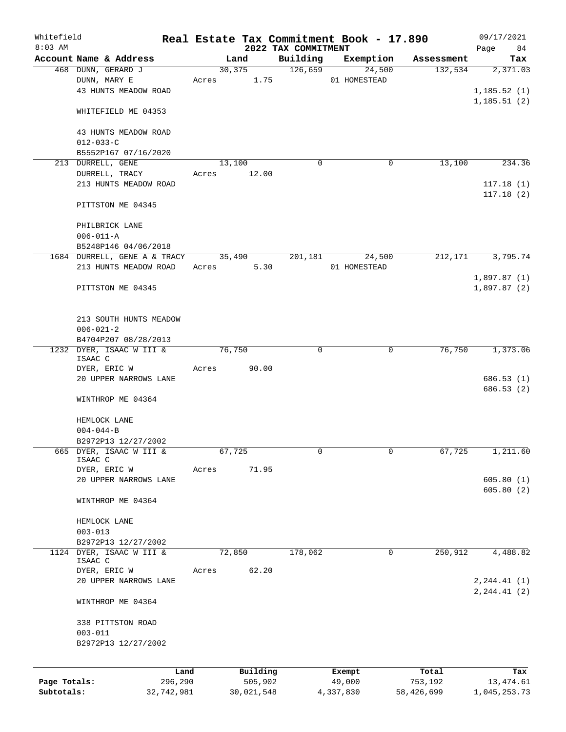| Whitefield<br>$8:03$ AM |                                       |            |       |            |                                 | Real Estate Tax Commitment Book - 17.890 |            | 09/17/2021                 |
|-------------------------|---------------------------------------|------------|-------|------------|---------------------------------|------------------------------------------|------------|----------------------------|
|                         | Account Name & Address                |            |       | Land       | 2022 TAX COMMITMENT<br>Building | Exemption                                | Assessment | 84<br>Page<br>Tax          |
|                         | 468 DUNN, GERARD J                    |            |       | 30,375     | 126,659                         | 24,500                                   | 132,534    | 2,371.03                   |
|                         | DUNN, MARY E                          |            |       | Acres 1.75 |                                 | 01 HOMESTEAD                             |            |                            |
|                         | 43 HUNTS MEADOW ROAD                  |            |       |            |                                 |                                          |            | 1, 185.52(1)               |
|                         |                                       |            |       |            |                                 |                                          |            | 1,185.51(2)                |
|                         | WHITEFIELD ME 04353                   |            |       |            |                                 |                                          |            |                            |
|                         | 43 HUNTS MEADOW ROAD                  |            |       |            |                                 |                                          |            |                            |
|                         | $012 - 033 - C$                       |            |       |            |                                 |                                          |            |                            |
|                         | B5552P167 07/16/2020                  |            |       |            |                                 |                                          |            |                            |
|                         | 213 DURRELL, GENE                     |            |       | 13,100     | $\Omega$                        | 0                                        | 13,100     | 234.36                     |
|                         | DURRELL, TRACY                        |            | Acres | 12.00      |                                 |                                          |            |                            |
|                         | 213 HUNTS MEADOW ROAD                 |            |       |            |                                 |                                          |            | 117.18(1)                  |
|                         |                                       |            |       |            |                                 |                                          |            | 117.18(2)                  |
|                         | PITTSTON ME 04345                     |            |       |            |                                 |                                          |            |                            |
|                         | PHILBRICK LANE                        |            |       |            |                                 |                                          |            |                            |
|                         | $006 - 011 - A$                       |            |       |            |                                 |                                          |            |                            |
|                         | B5248P146 04/06/2018                  |            |       |            |                                 |                                          |            |                            |
|                         | 1684 DURRELL, GENE A & TRACY 35,490   |            |       |            | 201,181                         | 24,500                                   | 212,171    | 3,795.74                   |
|                         | 213 HUNTS MEADOW ROAD                 |            |       | Acres 5.30 |                                 | 01 HOMESTEAD                             |            |                            |
|                         | PITTSTON ME 04345                     |            |       |            |                                 |                                          |            | 1,897.87(1)<br>1,897.87(2) |
|                         |                                       |            |       |            |                                 |                                          |            |                            |
|                         |                                       |            |       |            |                                 |                                          |            |                            |
|                         | 213 SOUTH HUNTS MEADOW                |            |       |            |                                 |                                          |            |                            |
|                         | $006 - 021 - 2$                       |            |       |            |                                 |                                          |            |                            |
|                         | B4704P207 08/28/2013                  |            |       |            |                                 |                                          |            |                            |
|                         | 1232 DYER, ISAAC W III &<br>ISAAC C   |            |       | 76,750     | $\Omega$                        | $\mathbf 0$                              | 76,750     | 1,373.06                   |
|                         | DYER, ERIC W                          |            | Acres | 90.00      |                                 |                                          |            |                            |
|                         | 20 UPPER NARROWS LANE                 |            |       |            |                                 |                                          |            | 686.53(1)                  |
|                         |                                       |            |       |            |                                 |                                          |            | 686.53(2)                  |
|                         | WINTHROP ME 04364                     |            |       |            |                                 |                                          |            |                            |
|                         | HEMLOCK LANE                          |            |       |            |                                 |                                          |            |                            |
|                         | $004 - 044 - B$                       |            |       |            |                                 |                                          |            |                            |
|                         | B2972P13 12/27/2002                   |            |       |            |                                 |                                          |            |                            |
|                         | 665 DYER, ISAAC W III &               |            |       | 67,725     | 0                               | $\mathbf{0}$                             | 67,725     | 1,211.60                   |
|                         | ISAAC C                               |            |       |            |                                 |                                          |            |                            |
|                         | DYER, ERIC W<br>20 UPPER NARROWS LANE |            | Acres | 71.95      |                                 |                                          |            | 605.80(1)                  |
|                         |                                       |            |       |            |                                 |                                          |            | 605.80(2)                  |
|                         | WINTHROP ME 04364                     |            |       |            |                                 |                                          |            |                            |
|                         |                                       |            |       |            |                                 |                                          |            |                            |
|                         | HEMLOCK LANE                          |            |       |            |                                 |                                          |            |                            |
|                         | $003 - 013$<br>B2972P13 12/27/2002    |            |       |            |                                 |                                          |            |                            |
|                         | 1124 DYER, ISAAC W III &              |            |       | 72,850     | 178,062                         | 0                                        | 250,912    | 4,488.82                   |
|                         | ISAAC C                               |            |       |            |                                 |                                          |            |                            |
|                         | DYER, ERIC W                          |            | Acres | 62.20      |                                 |                                          |            |                            |
|                         | 20 UPPER NARROWS LANE                 |            |       |            |                                 |                                          |            | 2, 244.41 (1)              |
|                         | WINTHROP ME 04364                     |            |       |            |                                 |                                          |            | 2, 244.41 (2)              |
|                         |                                       |            |       |            |                                 |                                          |            |                            |
|                         | 338 PITTSTON ROAD                     |            |       |            |                                 |                                          |            |                            |
|                         | $003 - 011$                           |            |       |            |                                 |                                          |            |                            |
|                         | B2972P13 12/27/2002                   |            |       |            |                                 |                                          |            |                            |
|                         |                                       |            |       |            |                                 |                                          |            |                            |
|                         |                                       | Land       |       | Building   |                                 | Exempt                                   | Total      | Tax                        |
| Page Totals:            |                                       | 296,290    |       | 505,902    |                                 | 49,000                                   | 753,192    | 13,474.61                  |
| Subtotals:              |                                       | 32,742,981 |       | 30,021,548 |                                 | 4,337,830                                | 58,426,699 | 1,045,253.73               |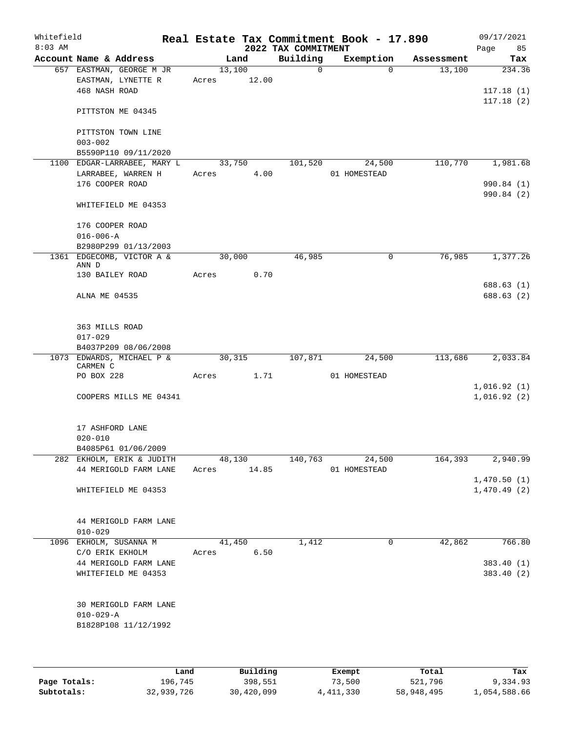| Whitefield<br>$8:03$ AM |                               |                                                   |             |        |        | 2022 TAX COMMITMENT | Real Estate Tax Commitment Book - 17.890 |            | 09/17/2021<br>85<br>Page   |
|-------------------------|-------------------------------|---------------------------------------------------|-------------|--------|--------|---------------------|------------------------------------------|------------|----------------------------|
|                         |                               | Account Name & Address                            |             | Land   |        | Building            | Exemption                                | Assessment | Tax                        |
|                         |                               | 657 EASTMAN, GEORGE M JR<br>EASTMAN, LYNETTE R    | Acres 12.00 | 13,100 |        | $\Omega$            | $\Omega$                                 | 13,100     | 234.36                     |
|                         | 468 NASH ROAD                 |                                                   |             |        |        |                     |                                          |            | 117.18(1)<br>117.18(2)     |
|                         |                               | PITTSTON ME 04345                                 |             |        |        |                     |                                          |            |                            |
|                         | $003 - 002$                   | PITTSTON TOWN LINE                                |             |        |        |                     |                                          |            |                            |
|                         |                               | B5590P110 09/11/2020                              |             |        |        |                     |                                          |            |                            |
|                         |                               | 1100 EDGAR-LARRABEE, MARY L 33,750                |             |        |        | 101,520             | 24,500                                   | 110,770    | 1,981.68                   |
|                         | 176 COOPER ROAD               | LARRABEE, WARREN H                                | Acres       |        | 4.00   |                     | 01 HOMESTEAD                             |            | 990.84 (1)                 |
|                         |                               | WHITEFIELD ME 04353                               |             |        |        |                     |                                          |            | 990.84(2)                  |
|                         | 176 COOPER ROAD               |                                                   |             |        |        |                     |                                          |            |                            |
|                         | $016 - 006 - A$               |                                                   |             |        |        |                     |                                          |            |                            |
|                         |                               | B2980P299 01/13/2003<br>1361 EDGECOMB, VICTOR A & | 30,000      |        |        | 46,985              | 0                                        | 76,985     | 1,377.26                   |
|                         | ANN D<br>130 BAILEY ROAD      |                                                   | Acres 0.70  |        |        |                     |                                          |            |                            |
|                         |                               |                                                   |             |        |        |                     |                                          |            | 688.63 (1)                 |
|                         | ALNA ME 04535                 |                                                   |             |        |        |                     |                                          |            | 688.63 (2)                 |
|                         | 363 MILLS ROAD<br>$017 - 029$ |                                                   |             |        |        |                     |                                          |            |                            |
|                         |                               | B4037P209 08/06/2008                              |             |        |        |                     |                                          |            |                            |
|                         | CARMEN C                      | 1073 EDWARDS, MICHAEL P &                         |             | 30,315 |        | 107,871             | 24,500                                   | 113,686    | 2,033.84                   |
|                         | PO BOX 228                    |                                                   | Acres       |        | 1.71   |                     | 01 HOMESTEAD                             |            |                            |
|                         |                               | COOPERS MILLS ME 04341                            |             |        |        |                     |                                          |            | 1,016.92(1)<br>1,016.92(2) |
|                         | 17 ASHFORD LANE               |                                                   |             |        |        |                     |                                          |            |                            |
|                         | $020 - 010$                   |                                                   |             |        |        |                     |                                          |            |                            |
|                         |                               | B4085P61 01/06/2009<br>282 EKHOLM, ERIK & JUDITH  |             |        | 48,130 | 140,763             | 24,500                                   |            | 164,393 2,940.99           |
|                         |                               | 44 MERIGOLD FARM LANE                             | Acres 14.85 |        |        |                     | 01 HOMESTEAD                             |            |                            |
|                         |                               |                                                   |             |        |        |                     |                                          |            | 1,470.50(1)                |
|                         |                               | WHITEFIELD ME 04353                               |             |        |        |                     |                                          |            | 1,470.49(2)                |
|                         | $010 - 029$                   | 44 MERIGOLD FARM LANE                             |             |        |        |                     |                                          |            |                            |
|                         |                               | 1096 EKHOLM, SUSANNA M                            |             | 41,450 |        | 1,412               | $\mathbf 0$                              | 42,862     | 766.80                     |
|                         |                               | C/O ERIK EKHOLM                                   | Acres 6.50  |        |        |                     |                                          |            |                            |
|                         |                               | 44 MERIGOLD FARM LANE<br>WHITEFIELD ME 04353      |             |        |        |                     |                                          |            | 383.40 (1)<br>383.40(2)    |
|                         | $010 - 029 - A$               | 30 MERIGOLD FARM LANE<br>B1828P108 11/12/1992     |             |        |        |                     |                                          |            |                            |
|                         |                               |                                                   |             |        |        |                     |                                          |            |                            |

|              | Land       | Building   | Exempt      | Total      | Tax          |
|--------------|------------|------------|-------------|------------|--------------|
| Page Totals: | 196,745    | 398,551    | 73,500      | 521,796    | 9,334.93     |
| Subtotals:   | 32,939,726 | 30,420,099 | 4, 411, 330 | 58,948,495 | 1,054,588.66 |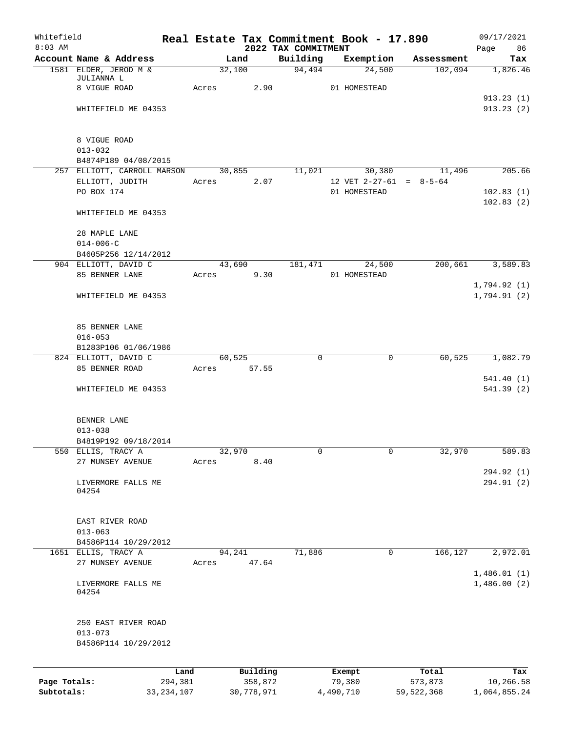| Whitefield   |                                    |         |        |            | Real Estate Tax Commitment Book - 17.890 |                  |           |                           | 09/17/2021              |
|--------------|------------------------------------|---------|--------|------------|------------------------------------------|------------------|-----------|---------------------------|-------------------------|
| $8:03$ AM    | Account Name & Address             |         | Land   |            | 2022 TAX COMMITMENT<br>Building          |                  | Exemption | Assessment                | Page<br>86<br>Tax       |
|              | 1581 ELDER, JEROD M &              |         | 32,100 |            | 94,494                                   |                  | 24,500    | 102,094                   | 1,826.46                |
|              | JULIANNA L                         |         |        |            |                                          |                  |           |                           |                         |
|              | 8 VIGUE ROAD                       | Acres   |        | 2.90       |                                          | 01 HOMESTEAD     |           |                           |                         |
|              | WHITEFIELD ME 04353                |         |        |            |                                          |                  |           |                           | 913.23(1)<br>913.23(2)  |
|              |                                    |         |        |            |                                          |                  |           |                           |                         |
|              | 8 VIGUE ROAD                       |         |        |            |                                          |                  |           |                           |                         |
|              | $013 - 032$                        |         |        |            |                                          |                  |           |                           |                         |
|              | B4874P189 04/08/2015               |         |        |            |                                          |                  |           |                           |                         |
|              | 257 ELLIOTT, CARROLL MARSON        |         | 30,855 |            | 11,021                                   |                  | 30,380    | 11,496                    | 205.66                  |
|              | ELLIOTT, JUDITH<br>PO BOX 174      | Acres   |        | 2.07       |                                          | 01 HOMESTEAD     |           | 12 VET $2-27-61 = 8-5-64$ | 102.83(1)               |
|              |                                    |         |        |            |                                          |                  |           |                           | 102.83(2)               |
|              | WHITEFIELD ME 04353                |         |        |            |                                          |                  |           |                           |                         |
|              | 28 MAPLE LANE                      |         |        |            |                                          |                  |           |                           |                         |
|              | $014 - 006 - C$                    |         |        |            |                                          |                  |           |                           |                         |
|              | B4605P256 12/14/2012               |         |        |            |                                          |                  |           |                           |                         |
|              | 904 ELLIOTT, DAVID C               |         | 43,690 |            | 181,471                                  |                  | 24,500    | 200,661                   | 3,589.83                |
|              | 85 BENNER LANE                     | Acres   |        | 9.30       |                                          | 01 HOMESTEAD     |           |                           |                         |
|              |                                    |         |        |            |                                          |                  |           |                           | 1,794.92(1)             |
|              | WHITEFIELD ME 04353                |         |        |            |                                          |                  |           |                           | 1,794.91(2)             |
|              | 85 BENNER LANE                     |         |        |            |                                          |                  |           |                           |                         |
|              | $016 - 053$                        |         |        |            |                                          |                  |           |                           |                         |
|              | B1283P106 01/06/1986               |         |        |            |                                          |                  |           |                           |                         |
|              | 824 ELLIOTT, DAVID C               |         | 60,525 |            | $\Omega$                                 |                  | 0         | 60,525                    | 1,082.79                |
|              | 85 BENNER ROAD                     | Acres   |        | 57.55      |                                          |                  |           |                           |                         |
|              | WHITEFIELD ME 04353                |         |        |            |                                          |                  |           |                           | 541.40(1)<br>541.39 (2) |
|              |                                    |         |        |            |                                          |                  |           |                           |                         |
|              | BENNER LANE<br>$013 - 038$         |         |        |            |                                          |                  |           |                           |                         |
|              | B4819P192 09/18/2014               |         |        |            |                                          |                  |           |                           |                         |
|              | 550 ELLIS, TRACY A                 |         | 32,970 |            | 0                                        |                  | 0         | 32,970                    | 589.83                  |
|              | 27 MUNSEY AVENUE                   | Acres   |        | 8.40       |                                          |                  |           |                           |                         |
|              |                                    |         |        |            |                                          |                  |           |                           | 294.92 (1)              |
|              | LIVERMORE FALLS ME<br>04254        |         |        |            |                                          |                  |           |                           | 294.91 (2)              |
|              | EAST RIVER ROAD                    |         |        |            |                                          |                  |           |                           |                         |
|              | $013 - 063$                        |         |        |            |                                          |                  |           |                           |                         |
|              | B4586P114 10/29/2012               |         |        |            |                                          |                  |           |                           |                         |
|              | 1651 ELLIS, TRACY A                |         | 94,241 |            | 71,886                                   |                  | 0         | 166,127                   | 2,972.01                |
|              | 27 MUNSEY AVENUE                   | Acres   |        | 47.64      |                                          |                  |           |                           | 1,486.01(1)             |
|              | LIVERMORE FALLS ME<br>04254        |         |        |            |                                          |                  |           |                           | 1,486.00(2)             |
|              |                                    |         |        |            |                                          |                  |           |                           |                         |
|              | 250 EAST RIVER ROAD<br>$013 - 073$ |         |        |            |                                          |                  |           |                           |                         |
|              | B4586P114 10/29/2012               |         |        |            |                                          |                  |           |                           |                         |
|              |                                    | Land    |        | Building   |                                          |                  |           | Total                     | Tax                     |
| Page Totals: |                                    | 294,381 |        | 358,872    |                                          | Exempt<br>79,380 |           | 573,873                   | 10,266.58               |
| Subtotals:   | 33, 234, 107                       |         |        | 30,778,971 |                                          | 4,490,710        |           | 59, 522, 368              | 1,064,855.24            |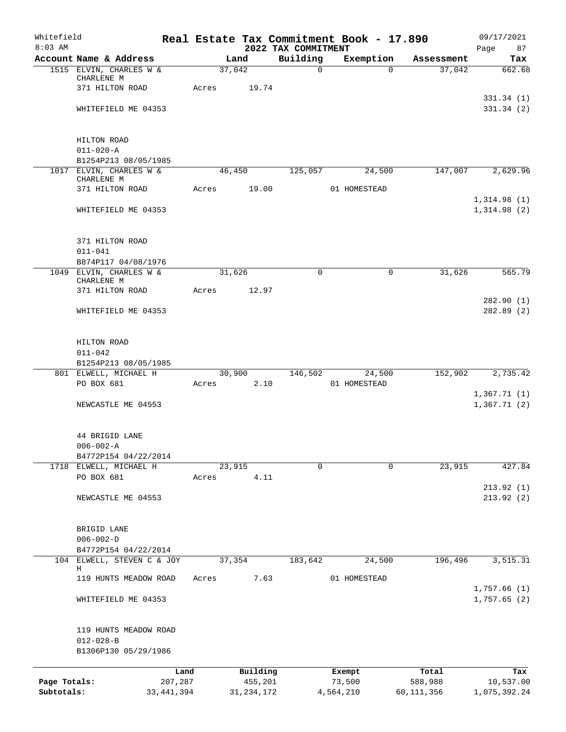| Whitefield<br>$8:03$ AM |                                                 |       |              | 2022 TAX COMMITMENT | Real Estate Tax Commitment Book - 17.890 |            | 09/17/2021<br>Page<br>87 |
|-------------------------|-------------------------------------------------|-------|--------------|---------------------|------------------------------------------|------------|--------------------------|
|                         | Account Name & Address                          |       | Land         | Building            | Exemption                                | Assessment | Tax                      |
|                         | 1515 ELVIN, CHARLES W &                         |       | 37,042       | $\mathbf 0$         | $\Omega$                                 | 37,042     | 662.68                   |
|                         | CHARLENE M<br>371 HILTON ROAD                   | Acres | 19.74        |                     |                                          |            |                          |
|                         | WHITEFIELD ME 04353                             |       |              |                     |                                          |            | 331.34(1)<br>331.34(2)   |
|                         |                                                 |       |              |                     |                                          |            |                          |
|                         | HILTON ROAD                                     |       |              |                     |                                          |            |                          |
|                         | $011 - 020 - A$                                 |       |              |                     |                                          |            |                          |
|                         | B1254P213 08/05/1985<br>1017 ELVIN, CHARLES W & |       | 46,450       | 125,057             | 24,500                                   | 147,007    | 2,629.96                 |
|                         | CHARLENE M                                      |       |              |                     |                                          |            |                          |
|                         | 371 HILTON ROAD                                 | Acres | 19.00        |                     | 01 HOMESTEAD                             |            | 1,314.98(1)              |
|                         | WHITEFIELD ME 04353                             |       |              |                     |                                          |            | 1,314.98(2)              |
|                         | 371 HILTON ROAD                                 |       |              |                     |                                          |            |                          |
|                         | $011 - 041$                                     |       |              |                     |                                          |            |                          |
|                         | B874P117 04/08/1976                             |       |              |                     |                                          |            |                          |
|                         | 1049 ELVIN, CHARLES W &<br>CHARLENE M           |       | 31,626       | $\mathbf 0$         | $\mathbf 0$                              | 31,626     | 565.79                   |
|                         | 371 HILTON ROAD                                 | Acres | 12.97        |                     |                                          |            | 282.90(1)                |
|                         | WHITEFIELD ME 04353                             |       |              |                     |                                          |            | 282.89(2)                |
|                         | HILTON ROAD                                     |       |              |                     |                                          |            |                          |
|                         | $011 - 042$                                     |       |              |                     |                                          |            |                          |
|                         | B1254P213 08/05/1985<br>801 ELWELL, MICHAEL H   |       | 30,900       | 146,502             | 24,500                                   | 152,902    | 2,735.42                 |
|                         | PO BOX 681                                      | Acres | 2.10         |                     | 01 HOMESTEAD                             |            |                          |
|                         |                                                 |       |              |                     |                                          |            | 1,367.71(1)              |
|                         | NEWCASTLE ME 04553                              |       |              |                     |                                          |            | 1,367.71(2)              |
|                         | 44 BRIGID LANE                                  |       |              |                     |                                          |            |                          |
|                         | $006 - 002 - A$                                 |       |              |                     |                                          |            |                          |
|                         | B4772P154 04/22/2014<br>1718 ELWELL, MICHAEL H  |       | 23,915       | $\Omega$            | $\Omega$                                 | 23,915     | 427.84                   |
|                         | PO BOX 681                                      | Acres | 4.11         |                     |                                          |            |                          |
|                         | NEWCASTLE ME 04553                              |       |              |                     |                                          |            | 213.92(1)<br>213.92(2)   |
|                         | BRIGID LANE                                     |       |              |                     |                                          |            |                          |
|                         | $006 - 002 - D$                                 |       |              |                     |                                          |            |                          |
|                         | B4772P154 04/22/2014                            |       |              |                     |                                          |            |                          |
|                         | 104 ELWELL, STEVEN C & JOY<br>Η                 |       | 37,354       | 183,642             | 24,500                                   | 196,496    | 3,515.31                 |
|                         | 119 HUNTS MEADOW ROAD                           | Acres | 7.63         |                     | 01 HOMESTEAD                             |            | 1,757.66(1)              |
|                         | WHITEFIELD ME 04353                             |       |              |                     |                                          |            | 1,757.65(2)              |
|                         | 119 HUNTS MEADOW ROAD                           |       |              |                     |                                          |            |                          |
|                         | $012 - 028 - B$<br>B1306P130 05/29/1986         |       |              |                     |                                          |            |                          |
|                         |                                                 | Land  | Building     |                     | Exempt                                   | Total      | Tax                      |
| Page Totals:            | 207,287                                         |       | 455,201      |                     | 73,500                                   | 588,988    | 10,537.00                |
| Subtotals:              | 33, 441, 394                                    |       | 31, 234, 172 |                     | 4,564,210                                | 60,111,356 | 1,075,392.24             |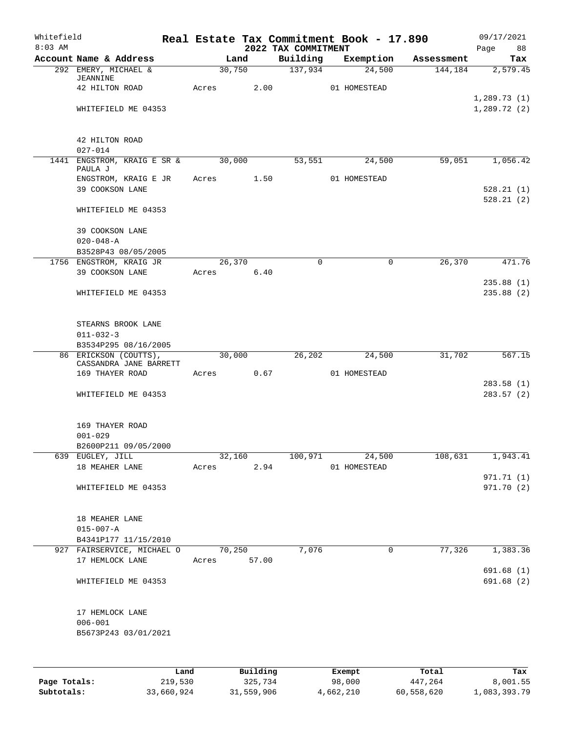| Whitefield<br>$8:03$ AM |                                                 |       |                | 2022 TAX COMMITMENT | Real Estate Tax Commitment Book - 17.890 |            | 09/17/2021<br>Page<br>88 |
|-------------------------|-------------------------------------------------|-------|----------------|---------------------|------------------------------------------|------------|--------------------------|
|                         | Account Name & Address                          |       | Land           | Building            | Exemption                                | Assessment | Tax                      |
|                         | 292 EMERY, MICHAEL &<br><b>JEANNINE</b>         |       | 30,750         | 137,934             | 24,500                                   | 144,184    | 2,579.45                 |
|                         | 42 HILTON ROAD                                  | Acres | 2.00           |                     | 01 HOMESTEAD                             |            | 1,289.73(1)              |
|                         | WHITEFIELD ME 04353                             |       |                |                     |                                          |            | 1,289.72(2)              |
|                         | 42 HILTON ROAD<br>$027 - 014$                   |       |                |                     |                                          |            |                          |
|                         | 1441 ENGSTROM, KRAIG E SR & 30,000              |       |                | 53,551              | 24,500                                   | 59,051     | 1,056.42                 |
|                         | PAULA J<br>ENGSTROM, KRAIG E JR                 |       | Acres 1.50     |                     | 01 HOMESTEAD                             |            |                          |
|                         | 39 COOKSON LANE                                 |       |                |                     |                                          |            | 528.21(1)<br>528.21(2)   |
|                         | WHITEFIELD ME 04353                             |       |                |                     |                                          |            |                          |
|                         | 39 COOKSON LANE<br>$020 - 048 - A$              |       |                |                     |                                          |            |                          |
|                         | B3528P43 08/05/2005                             |       |                |                     |                                          |            |                          |
|                         | 1756 ENGSTROM, KRAIG JR                         |       | 26,370         | $\Omega$            | $\mathbf 0$                              | 26,370     | 471.76                   |
|                         | 39 COOKSON LANE                                 | Acres | 6.40           |                     |                                          |            |                          |
|                         | WHITEFIELD ME 04353                             |       |                |                     |                                          |            | 235.88(1)<br>235.88(2)   |
|                         | STEARNS BROOK LANE<br>$011 - 032 - 3$           |       |                |                     |                                          |            |                          |
|                         | B3534P295 08/16/2005                            |       |                |                     |                                          |            |                          |
|                         | 86 ERICKSON (COUTTS),<br>CASSANDRA JANE BARRETT |       | 30,000         | 26,202              | 24,500                                   | 31,702     | 567.15                   |
|                         | 169 THAYER ROAD                                 | Acres | 0.67           |                     | 01 HOMESTEAD                             |            |                          |
|                         | WHITEFIELD ME 04353                             |       |                |                     |                                          |            | 283.58(1)<br>283.57 (2)  |
|                         |                                                 |       |                |                     |                                          |            |                          |
|                         | 169 THAYER ROAD<br>$001 - 029$                  |       |                |                     |                                          |            |                          |
|                         | B2600P211 09/05/2000                            |       |                |                     |                                          |            |                          |
|                         | 639 EUGLEY, JILL<br>18 MEAHER LANE              | Acres | 32,160<br>2.94 | 100,971             | 24,500<br>01 HOMESTEAD                   | 108,631    | 1,943.41                 |
|                         |                                                 |       |                |                     |                                          |            | 971.71 (1)               |
|                         | WHITEFIELD ME 04353                             |       |                |                     |                                          |            | 971.70 (2)               |
|                         | 18 MEAHER LANE                                  |       |                |                     |                                          |            |                          |
|                         | $015 - 007 - A$<br>B4341P177 11/15/2010         |       |                |                     |                                          |            |                          |
|                         | 927 FAIRSERVICE, MICHAEL O                      |       | 70, 250        | 7,076               | 0                                        | 77,326     | 1,383.36                 |
|                         | 17 HEMLOCK LANE                                 | Acres | 57.00          |                     |                                          |            | 691.68 (1)               |
|                         | WHITEFIELD ME 04353                             |       |                |                     |                                          |            | 691.68(2)                |
|                         | 17 HEMLOCK LANE                                 |       |                |                     |                                          |            |                          |
|                         | $006 - 001$<br>B5673P243 03/01/2021             |       |                |                     |                                          |            |                          |
|                         |                                                 |       |                |                     |                                          |            |                          |
|                         |                                                 | Land  | Building       |                     | Exempt                                   | Total      | Tax                      |

**Page Totals:** 219,530 325,734 98,000 447,264 8,001.55 **Subtotals:** 33,660,924 31,559,906 4,662,210 60,558,620 1,083,393.79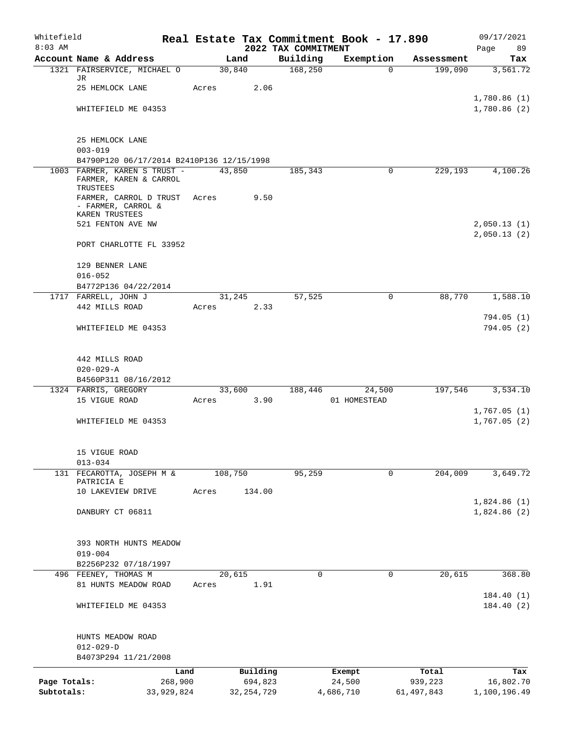| Whitefield<br>$8:03$ AM |                                                          |         |         |              |                                 | Real Estate Tax Commitment Book - 17.890 |            | 09/17/2021        |
|-------------------------|----------------------------------------------------------|---------|---------|--------------|---------------------------------|------------------------------------------|------------|-------------------|
|                         | Account Name & Address                                   |         |         | Land         | 2022 TAX COMMITMENT<br>Building | Exemption                                | Assessment | 89<br>Page<br>Tax |
|                         | 1321 FAIRSERVICE, MICHAEL O                              |         | 30,840  |              | 168, 250                        | $\Omega$                                 | 199,090    | 3,561.72          |
|                         | JR<br>25 HEMLOCK LANE                                    | Acres   |         | 2.06         |                                 |                                          |            |                   |
|                         |                                                          |         |         |              |                                 |                                          |            | 1,780.86(1)       |
|                         | WHITEFIELD ME 04353                                      |         |         |              |                                 |                                          |            | 1,780.86(2)       |
|                         |                                                          |         |         |              |                                 |                                          |            |                   |
|                         | 25 HEMLOCK LANE                                          |         |         |              |                                 |                                          |            |                   |
|                         | $003 - 019$<br>B4790P120 06/17/2014 B2410P136 12/15/1998 |         |         |              |                                 |                                          |            |                   |
|                         | 1003 FARMER, KAREN S TRUST -                             |         | 43,850  |              | 185,343                         | $\Omega$                                 | 229,193    | 4,100.26          |
|                         | FARMER, KAREN & CARROL<br>TRUSTEES                       |         |         |              |                                 |                                          |            |                   |
|                         | FARMER, CARROL D TRUST                                   | Acres   |         | 9.50         |                                 |                                          |            |                   |
|                         | - FARMER, CARROL &<br>KAREN TRUSTEES                     |         |         |              |                                 |                                          |            |                   |
|                         | 521 FENTON AVE NW                                        |         |         |              |                                 |                                          |            | 2,050.13(1)       |
|                         |                                                          |         |         |              |                                 |                                          |            | 2,050.13(2)       |
|                         | PORT CHARLOTTE FL 33952                                  |         |         |              |                                 |                                          |            |                   |
|                         | 129 BENNER LANE                                          |         |         |              |                                 |                                          |            |                   |
|                         | $016 - 052$                                              |         |         |              |                                 |                                          |            |                   |
|                         | B4772P136 04/22/2014<br>1717 FARRELL, JOHN J             |         | 31,245  |              | 57,525                          | $\mathbf 0$                              | 88,770     | 1,588.10          |
|                         | 442 MILLS ROAD                                           | Acres   |         | 2.33         |                                 |                                          |            |                   |
|                         |                                                          |         |         |              |                                 |                                          |            | 794.05 (1)        |
|                         | WHITEFIELD ME 04353                                      |         |         |              |                                 |                                          |            | 794.05(2)         |
|                         | 442 MILLS ROAD                                           |         |         |              |                                 |                                          |            |                   |
|                         | $020 - 029 - A$                                          |         |         |              |                                 |                                          |            |                   |
|                         | B4560P311 08/16/2012                                     |         |         |              |                                 |                                          |            |                   |
|                         | 1324 FARRIS, GREGORY                                     |         | 33,600  |              | 188,446                         | 24,500                                   | 197,546    | 3,534.10          |
|                         | 15 VIGUE ROAD                                            | Acres   |         | 3.90         |                                 | 01 HOMESTEAD                             |            | 1,767.05(1)       |
|                         | WHITEFIELD ME 04353                                      |         |         |              |                                 |                                          |            | 1,767.05(2)       |
|                         |                                                          |         |         |              |                                 |                                          |            |                   |
|                         | 15 VIGUE ROAD                                            |         |         |              |                                 |                                          |            |                   |
| 131                     | $013 - 034$<br>FECAROTTA, JOSEPH M &                     |         | 108,750 |              | 95,259                          | 0                                        | 204,009    | 3,649.72          |
|                         | PATRICIA E                                               |         |         |              |                                 |                                          |            |                   |
|                         | 10 LAKEVIEW DRIVE                                        | Acres   |         | 134.00       |                                 |                                          |            | 1,824.86(1)       |
|                         | DANBURY CT 06811                                         |         |         |              |                                 |                                          |            | 1,824.86(2)       |
|                         |                                                          |         |         |              |                                 |                                          |            |                   |
|                         | 393 NORTH HUNTS MEADOW                                   |         |         |              |                                 |                                          |            |                   |
|                         | $019 - 004$                                              |         |         |              |                                 |                                          |            |                   |
|                         | B2256P232 07/18/1997                                     |         |         |              |                                 |                                          |            |                   |
|                         | 496 FEENEY, THOMAS M                                     |         | 20,615  |              | $\mathbf 0$                     | 0                                        | 20,615     | 368.80            |
|                         | 81 HUNTS MEADOW ROAD                                     | Acres   |         | 1.91         |                                 |                                          |            | 184.40(1)         |
|                         | WHITEFIELD ME 04353                                      |         |         |              |                                 |                                          |            | 184.40(2)         |
|                         | HUNTS MEADOW ROAD                                        |         |         |              |                                 |                                          |            |                   |
|                         | $012 - 029 - D$                                          |         |         |              |                                 |                                          |            |                   |
|                         | B4073P294 11/21/2008                                     |         |         |              |                                 |                                          |            |                   |
|                         |                                                          | Land    |         | Building     |                                 | Exempt                                   | Total      | Tax               |
| Page Totals:            |                                                          | 268,900 |         | 694,823      |                                 | 24,500                                   | 939,223    | 16,802.70         |
| Subtotals:              | 33,929,824                                               |         |         | 32, 254, 729 |                                 | 4,686,710                                | 61,497,843 | 1,100,196.49      |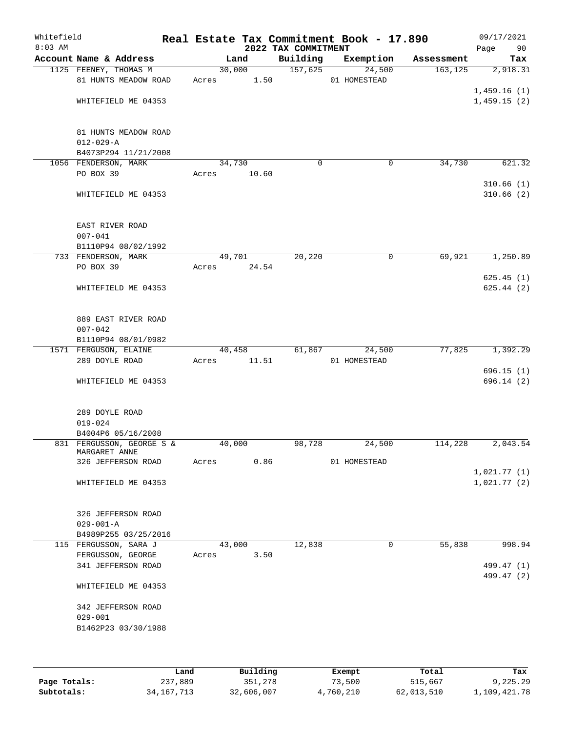| Whitefield<br>$8:03$ AM |                                                           |                 |       | 2022 TAX COMMITMENT | Real Estate Tax Commitment Book - 17.890 |            | 09/17/2021<br>Page<br>90   |
|-------------------------|-----------------------------------------------------------|-----------------|-------|---------------------|------------------------------------------|------------|----------------------------|
|                         | Account Name & Address                                    | Land            |       | Building            | Exemption                                | Assessment | Tax                        |
|                         | 1125 FEENEY, THOMAS M<br>81 HUNTS MEADOW ROAD             | 30,000<br>Acres | 1.50  | 157,625             | 24,500<br>01 HOMESTEAD                   | 163, 125   | 2,918.31                   |
|                         | WHITEFIELD ME 04353                                       |                 |       |                     |                                          |            | 1,459.16(1)<br>1,459.15(2) |
|                         | 81 HUNTS MEADOW ROAD<br>$012 - 029 - A$                   |                 |       |                     |                                          |            |                            |
|                         | B4073P294 11/21/2008<br>1056 FENDERSON, MARK              | 34,730          |       | $\mathbf 0$         | 0                                        | 34,730     | 621.32                     |
|                         | PO BOX 39                                                 | Acres           | 10.60 |                     |                                          |            | 310.66(1)                  |
|                         | WHITEFIELD ME 04353                                       |                 |       |                     |                                          |            | 310.66(2)                  |
|                         | EAST RIVER ROAD<br>$007 - 041$                            |                 |       |                     |                                          |            |                            |
|                         | B1110P94 08/02/1992<br>733 FENDERSON, MARK                | 49,701          |       | 20,220              | 0                                        | 69,921     | 1,250.89                   |
|                         | PO BOX 39                                                 | Acres           | 24.54 |                     |                                          |            |                            |
|                         | WHITEFIELD ME 04353                                       |                 |       |                     |                                          |            | 625.45(1)<br>625.44(2)     |
|                         | 889 EAST RIVER ROAD<br>$007 - 042$<br>B1110P94 08/01/0982 |                 |       |                     |                                          |            |                            |
|                         | 1571 FERGUSON, ELAINE                                     | 40,458          |       | 61,867              | 24,500                                   | 77,825     | 1,392.29                   |
|                         | 289 DOYLE ROAD                                            | Acres           | 11.51 |                     | 01 HOMESTEAD                             |            |                            |
|                         | WHITEFIELD ME 04353                                       |                 |       |                     |                                          |            | 696.15(1)<br>696.14(2)     |
|                         | 289 DOYLE ROAD<br>$019 - 024$                             |                 |       |                     |                                          |            |                            |
|                         | B4004P6 05/16/2008                                        |                 |       |                     |                                          |            |                            |
|                         | 831 FERGUSSON, GEORGE S &<br>MARGARET ANNE                | 40,000          |       | 98,728              | 24,500                                   | 114,228    | 2,043.54                   |
|                         | 326 JEFFERSON ROAD                                        | Acres           | 0.86  |                     | 01 HOMESTEAD                             |            |                            |
|                         | WHITEFIELD ME 04353                                       |                 |       |                     |                                          |            | 1,021.77(1)<br>1,021.77(2) |
|                         | 326 JEFFERSON ROAD<br>$029 - 001 - A$                     |                 |       |                     |                                          |            |                            |
|                         | B4989P255 03/25/2016                                      |                 |       |                     |                                          |            |                            |
|                         | 115 FERGUSSON, SARA J                                     | 43,000          |       | 12,838              | 0                                        | 55,838     | 998.94                     |
|                         | FERGUSSON, GEORGE                                         | Acres           | 3.50  |                     |                                          |            |                            |
|                         | 341 JEFFERSON ROAD                                        |                 |       |                     |                                          |            | 499.47 (1)<br>499.47 (2)   |
|                         | WHITEFIELD ME 04353                                       |                 |       |                     |                                          |            |                            |
|                         | 342 JEFFERSON ROAD<br>$029 - 001$                         |                 |       |                     |                                          |            |                            |
|                         | B1462P23 03/30/1988                                       |                 |       |                     |                                          |            |                            |
|                         |                                                           |                 |       |                     |                                          |            |                            |

|              | Land         | Building   | Exempt    | Total      | Tax          |
|--------------|--------------|------------|-----------|------------|--------------|
| Page Totals: | 237,889      | 351,278    | 73,500    | 515,667    | 9,225.29     |
| Subtotals:   | 34, 167, 713 | 32,606,007 | 4,760,210 | 62,013,510 | 1,109,421.78 |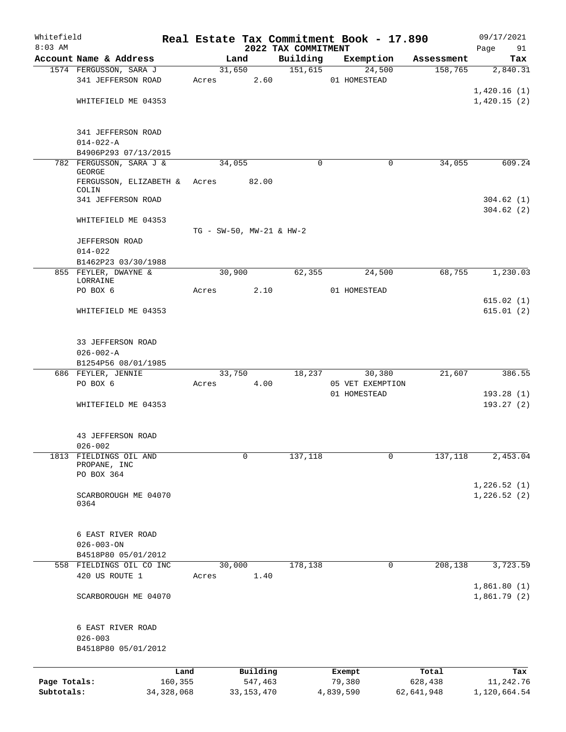| Whitefield   |                                               |              |                 |                                 | Real Estate Tax Commitment Book - 17.890 |                  |             |            | 09/17/2021                 |
|--------------|-----------------------------------------------|--------------|-----------------|---------------------------------|------------------------------------------|------------------|-------------|------------|----------------------------|
| $8:03$ AM    | Account Name & Address                        |              |                 | Land                            | 2022 TAX COMMITMENT<br>Building          | Exemption        |             | Assessment | 91<br>Page<br>Tax          |
|              | 1574 FERGUSSON, SARA J                        |              |                 | 31,650                          | 151,615                                  |                  | 24,500      | 158,765    | 2,840.31                   |
|              | 341 JEFFERSON ROAD                            |              | Acres           | 2.60                            |                                          | 01 HOMESTEAD     |             |            |                            |
|              | WHITEFIELD ME 04353                           |              |                 |                                 |                                          |                  |             |            | 1,420.16(1)<br>1,420.15(2) |
|              | 341 JEFFERSON ROAD                            |              |                 |                                 |                                          |                  |             |            |                            |
|              | $014 - 022 - A$<br>B4906P293 07/13/2015       |              |                 |                                 |                                          |                  |             |            |                            |
|              | 782 FERGUSSON, SARA J &                       |              | 34,055          |                                 | $\Omega$                                 |                  | 0           | 34,055     | 609.24                     |
|              | <b>GEORGE</b><br>FERGUSSON, ELIZABETH & Acres |              |                 | 82.00                           |                                          |                  |             |            |                            |
|              | COLIN<br>341 JEFFERSON ROAD                   |              |                 |                                 |                                          |                  |             |            | 304.62(1)                  |
|              | WHITEFIELD ME 04353                           |              |                 |                                 |                                          |                  |             |            | 304.62(2)                  |
|              |                                               |              |                 | $TG - SW-50$ , $MW-21$ & $HW-2$ |                                          |                  |             |            |                            |
|              | <b>JEFFERSON ROAD</b>                         |              |                 |                                 |                                          |                  |             |            |                            |
|              | $014 - 022$<br>B1462P23 03/30/1988            |              |                 |                                 |                                          |                  |             |            |                            |
|              | 855 FEYLER, DWAYNE &                          |              | 30,900          |                                 | 62,355                                   |                  | 24,500      | 68,755     | 1,230.03                   |
|              | LORRAINE<br>PO BOX 6                          |              | Acres           | 2.10                            |                                          | 01 HOMESTEAD     |             |            |                            |
|              |                                               |              |                 |                                 |                                          |                  |             |            | 615.02(1)                  |
|              | WHITEFIELD ME 04353                           |              |                 |                                 |                                          |                  |             |            | 615.01(2)                  |
|              | 33 JEFFERSON ROAD                             |              |                 |                                 |                                          |                  |             |            |                            |
|              | $026 - 002 - A$                               |              |                 |                                 |                                          |                  |             |            |                            |
|              | B1254P56 08/01/1985<br>686 FEYLER, JENNIE     |              |                 | 33,750                          | 18,237                                   |                  | 30,380      | 21,607     | 386.55                     |
|              | PO BOX 6                                      |              | Acres           | 4.00                            |                                          | 05 VET EXEMPTION |             |            |                            |
|              |                                               |              |                 |                                 |                                          | 01 HOMESTEAD     |             |            | 193.28(1)                  |
|              | WHITEFIELD ME 04353                           |              |                 |                                 |                                          |                  |             |            | 193.27(2)                  |
|              | 43 JEFFERSON ROAD                             |              |                 |                                 |                                          |                  |             |            |                            |
|              | $026 - 002$                                   |              |                 |                                 |                                          |                  |             |            |                            |
|              | 1813 FIELDINGS OIL AND<br>PROPANE, INC        |              |                 | 0                               | 137,118                                  |                  | $\mathbf 0$ | 137,118    | 2,453.04                   |
|              | PO BOX 364                                    |              |                 |                                 |                                          |                  |             |            | 1,226.52(1)                |
|              | SCARBOROUGH ME 04070<br>0364                  |              |                 |                                 |                                          |                  |             |            | 1,226.52(2)                |
|              | 6 EAST RIVER ROAD                             |              |                 |                                 |                                          |                  |             |            |                            |
|              | $026 - 003 - ON$                              |              |                 |                                 |                                          |                  |             |            |                            |
|              | B4518P80 05/01/2012                           |              |                 |                                 |                                          |                  |             |            |                            |
|              | 558 FIELDINGS OIL CO INC<br>420 US ROUTE 1    |              | 30,000<br>Acres | 1.40                            | 178,138                                  |                  | 0           | 208,138    | 3,723.59                   |
|              | SCARBOROUGH ME 04070                          |              |                 |                                 |                                          |                  |             |            | 1,861.80(1)<br>1,861.79(2) |
|              |                                               |              |                 |                                 |                                          |                  |             |            |                            |
|              | 6 EAST RIVER ROAD<br>$026 - 003$              |              |                 |                                 |                                          |                  |             |            |                            |
|              | B4518P80 05/01/2012                           |              |                 |                                 |                                          |                  |             |            |                            |
|              |                                               | Land         |                 | Building                        |                                          | Exempt           |             | Total      | Tax                        |
| Page Totals: |                                               | 160,355      |                 | 547,463                         |                                          | 79,380           |             | 628,438    | 11,242.76                  |
| Subtotals:   |                                               | 34, 328, 068 |                 | 33, 153, 470                    |                                          | 4,839,590        |             | 62,641,948 | 1,120,664.54               |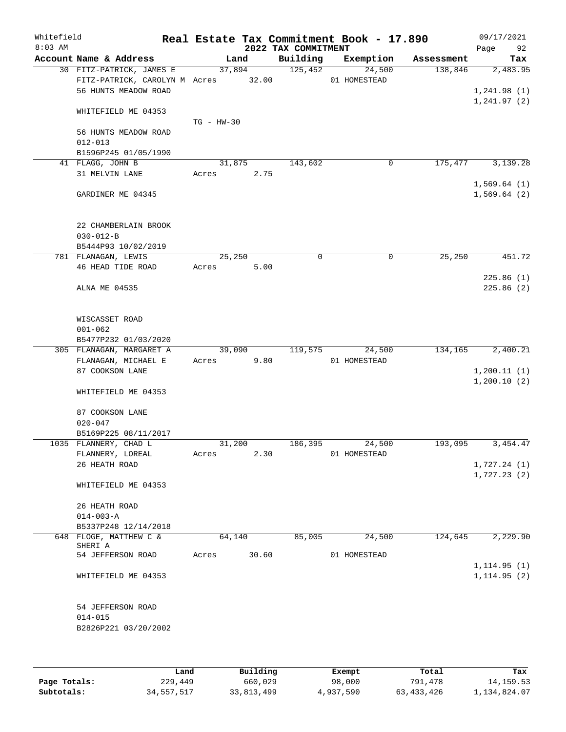| Whitefield<br>$8:03$ AM |                                                                 |              |       | 2022 TAX COMMITMENT | Real Estate Tax Commitment Book - 17.890 |            | 09/17/2021<br>92<br>Page     |
|-------------------------|-----------------------------------------------------------------|--------------|-------|---------------------|------------------------------------------|------------|------------------------------|
|                         | Account Name & Address                                          |              | Land  | Building            | Exemption                                | Assessment | Tax                          |
|                         | 30 FITZ-PATRICK, JAMES E<br>FITZ-PATRICK, CAROLYN M Acres 32.00 | 37,894       |       | 125,452             | 24,500<br>01 HOMESTEAD                   | 138,846    | 2,483.95                     |
|                         | 56 HUNTS MEADOW ROAD                                            |              |       |                     |                                          |            | 1, 241.98(1)<br>1, 241.97(2) |
|                         | WHITEFIELD ME 04353                                             | $TG - HW-30$ |       |                     |                                          |            |                              |
|                         | 56 HUNTS MEADOW ROAD<br>$012 - 013$                             |              |       |                     |                                          |            |                              |
|                         | B1596P245 01/05/1990                                            |              |       |                     |                                          |            |                              |
|                         | 41 FLAGG, JOHN B                                                | 31,875       |       | 143,602             | 0                                        | 175,477    | 3,139.28                     |
|                         | 31 MELVIN LANE                                                  | Acres        | 2.75  |                     |                                          |            | 1,569.64(1)                  |
|                         | GARDINER ME 04345                                               |              |       |                     |                                          |            | 1,569.64(2)                  |
|                         | 22 CHAMBERLAIN BROOK                                            |              |       |                     |                                          |            |                              |
|                         | $030 - 012 - B$                                                 |              |       |                     |                                          |            |                              |
|                         | B5444P93 10/02/2019                                             | 25,250       |       | 0                   | $\mathbf 0$                              | 25,250     | 451.72                       |
|                         | 781 FLANAGAN, LEWIS                                             | Acres        | 5.00  |                     |                                          |            |                              |
|                         | 46 HEAD TIDE ROAD                                               |              |       |                     |                                          |            | 225.86(1)                    |
|                         | ALNA ME 04535                                                   |              |       |                     |                                          |            | 225.86(2)                    |
|                         | WISCASSET ROAD                                                  |              |       |                     |                                          |            |                              |
|                         | $001 - 062$                                                     |              |       |                     |                                          |            |                              |
|                         | B5477P232 01/03/2020                                            |              |       |                     |                                          |            |                              |
|                         | 305 FLANAGAN, MARGARET A                                        | 39,090       |       | 119,575             | 24,500                                   | 134,165    | 2,400.21                     |
|                         | FLANAGAN, MICHAEL E                                             | Acres        | 9.80  |                     | 01 HOMESTEAD                             |            |                              |
|                         | 87 COOKSON LANE                                                 |              |       |                     |                                          |            | 1, 200.11(1)                 |
|                         | WHITEFIELD ME 04353                                             |              |       |                     |                                          |            | 1,200.10(2)                  |
|                         | 87 COOKSON LANE                                                 |              |       |                     |                                          |            |                              |
|                         | $020 - 047$<br>B5169P225 08/11/2017                             |              |       |                     |                                          |            |                              |
|                         | 1035 FLANNERY, CHAD L                                           | 31,200       |       | 186,395             | 24,500                                   | 193,095    | 3, 454.47                    |
|                         | FLANNERY, LOREAL                                                | Acres        | 2.30  |                     | 01 HOMESTEAD                             |            |                              |
|                         | 26 HEATH ROAD                                                   |              |       |                     |                                          |            | 1,727.24(1)                  |
|                         |                                                                 |              |       |                     |                                          |            | 1,727.23(2)                  |
|                         | WHITEFIELD ME 04353                                             |              |       |                     |                                          |            |                              |
|                         | 26 HEATH ROAD                                                   |              |       |                     |                                          |            |                              |
|                         | $014 - 003 - A$                                                 |              |       |                     |                                          |            |                              |
|                         | B5337P248 12/14/2018                                            |              |       |                     |                                          |            |                              |
|                         | 648 FLOGE, MATTHEW C &<br>SHERI A                               | 64,140       |       | 85,005              | 24,500                                   | 124,645    | 2,229.90                     |
|                         | 54 JEFFERSON ROAD                                               | Acres        | 30.60 |                     | 01 HOMESTEAD                             |            |                              |
|                         |                                                                 |              |       |                     |                                          |            | 1, 114.95(1)                 |
|                         | WHITEFIELD ME 04353                                             |              |       |                     |                                          |            | 1, 114.95(2)                 |
|                         | 54 JEFFERSON ROAD                                               |              |       |                     |                                          |            |                              |
|                         | $014 - 015$<br>B2826P221 03/20/2002                             |              |       |                     |                                          |            |                              |
|                         |                                                                 |              |       |                     |                                          |            |                              |

|              | Land       | Building     | Exempt    | Total        | Tax          |
|--------------|------------|--------------|-----------|--------------|--------------|
| Page Totals: | 229,449    | 660,029      | 98,000    | 791,478      | 14, 159. 53  |
| Subtotals:   | 34,557,517 | 33, 813, 499 | 4,937,590 | 63, 433, 426 | 1,134,824.07 |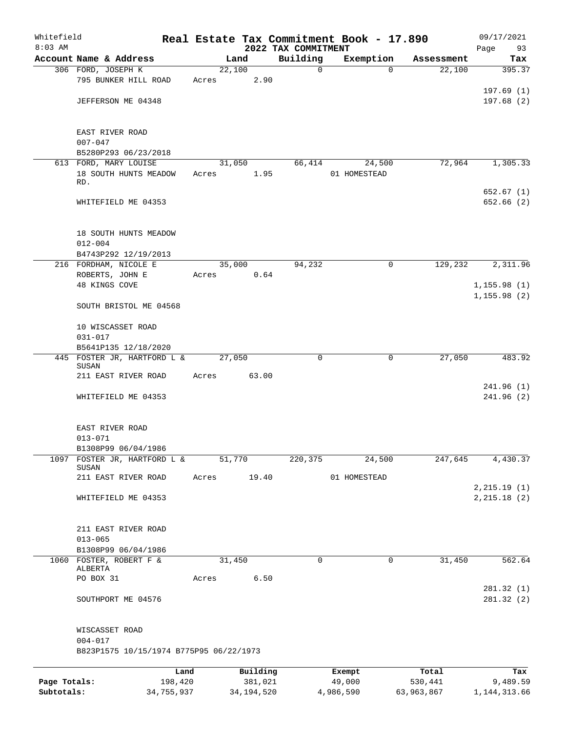| Whitefield<br>$8:03$ AM |                                         |            |       |        |              | 2022 TAX COMMITMENT | Real Estate Tax Commitment Book - 17.890 |                        | 09/17/2021                    |
|-------------------------|-----------------------------------------|------------|-------|--------|--------------|---------------------|------------------------------------------|------------------------|-------------------------------|
|                         | Account Name & Address                  |            |       | Land   |              | Building            | Exemption                                | Assessment             | Page<br>93<br>Tax             |
|                         | 306 FORD, JOSEPH K                      |            |       | 22,100 |              | $\mathbf 0$         |                                          | 22,100<br>$\Omega$     | 395.37                        |
|                         | 795 BUNKER HILL ROAD                    |            | Acres |        | 2.90         |                     |                                          |                        |                               |
|                         |                                         |            |       |        |              |                     |                                          |                        | 197.69(1)                     |
|                         | JEFFERSON ME 04348                      |            |       |        |              |                     |                                          |                        | 197.68(2)                     |
|                         | EAST RIVER ROAD                         |            |       |        |              |                     |                                          |                        |                               |
|                         | $007 - 047$                             |            |       |        |              |                     |                                          |                        |                               |
|                         | B5280P293 06/23/2018                    |            |       |        |              |                     |                                          |                        |                               |
|                         | 613 FORD, MARY LOUISE                   |            |       | 31,050 |              | 66,414              | 24,500                                   | 72,964                 | 1,305.33                      |
|                         | 18 SOUTH HUNTS MEADOW<br>RD.            |            | Acres |        | 1.95         |                     | 01 HOMESTEAD                             |                        |                               |
|                         |                                         |            |       |        |              |                     |                                          |                        | 652.67(1)                     |
|                         | WHITEFIELD ME 04353                     |            |       |        |              |                     |                                          |                        | 652.66 (2)                    |
|                         | 18 SOUTH HUNTS MEADOW                   |            |       |        |              |                     |                                          |                        |                               |
|                         | $012 - 004$                             |            |       |        |              |                     |                                          |                        |                               |
|                         | B4743P292 12/19/2013                    |            |       |        |              |                     |                                          |                        |                               |
|                         | 216 FORDHAM, NICOLE E                   |            |       | 35,000 |              | 94,232              |                                          | 129,232<br>$\mathbf 0$ | 2,311.96                      |
|                         | ROBERTS, JOHN E                         |            | Acres |        | 0.64         |                     |                                          |                        |                               |
|                         | 48 KINGS COVE                           |            |       |        |              |                     |                                          |                        | 1, 155.98(1)                  |
|                         | SOUTH BRISTOL ME 04568                  |            |       |        |              |                     |                                          |                        | 1, 155.98(2)                  |
|                         | 10 WISCASSET ROAD                       |            |       |        |              |                     |                                          |                        |                               |
|                         | $031 - 017$                             |            |       |        |              |                     |                                          |                        |                               |
|                         | B5641P135 12/18/2020                    |            |       |        |              |                     |                                          |                        |                               |
|                         | 445 FOSTER JR, HARTFORD L &<br>SUSAN    |            |       | 27,050 |              | 0                   |                                          | 27,050<br>$\mathbf 0$  | 483.92                        |
|                         | 211 EAST RIVER ROAD                     |            | Acres |        | 63.00        |                     |                                          |                        |                               |
|                         |                                         |            |       |        |              |                     |                                          |                        | 241.96 (1)                    |
|                         | WHITEFIELD ME 04353                     |            |       |        |              |                     |                                          |                        | 241.96 (2)                    |
|                         | EAST RIVER ROAD                         |            |       |        |              |                     |                                          |                        |                               |
|                         | $013 - 071$                             |            |       |        |              |                     |                                          |                        |                               |
|                         | B1308P99 06/04/1986                     |            |       |        |              |                     |                                          |                        |                               |
|                         | 1097 FOSTER JR, HARTFORD L &<br>SUSAN   |            |       | 51,770 |              | 220,375             | 24,500                                   | 247,645                | 4,430.37                      |
|                         | 211 EAST RIVER ROAD                     |            | Acres |        | 19.40        |                     | 01 HOMESTEAD                             |                        |                               |
|                         | WHITEFIELD ME 04353                     |            |       |        |              |                     |                                          |                        | 2, 215.19(1)<br>2, 215.18 (2) |
|                         |                                         |            |       |        |              |                     |                                          |                        |                               |
|                         | 211 EAST RIVER ROAD<br>$013 - 065$      |            |       |        |              |                     |                                          |                        |                               |
|                         | B1308P99 06/04/1986                     |            |       |        |              |                     |                                          |                        |                               |
|                         | 1060 FOSTER, ROBERT F &                 |            |       | 31,450 |              | 0                   |                                          | $\mathbf 0$<br>31,450  | 562.64                        |
|                         | ALBERTA                                 |            |       |        |              |                     |                                          |                        |                               |
|                         | PO BOX 31                               |            | Acres |        | 6.50         |                     |                                          |                        |                               |
|                         | SOUTHPORT ME 04576                      |            |       |        |              |                     |                                          |                        | 281.32(1)<br>281.32 (2)       |
|                         |                                         |            |       |        |              |                     |                                          |                        |                               |
|                         | WISCASSET ROAD<br>$004 - 017$           |            |       |        |              |                     |                                          |                        |                               |
|                         | B823P1575 10/15/1974 B775P95 06/22/1973 |            |       |        |              |                     |                                          |                        |                               |
|                         |                                         | Land       |       |        | Building     |                     | Exempt                                   | Total                  | Tax                           |
| Page Totals:            |                                         | 198,420    |       |        | 381,021      |                     | 49,000                                   | 530,441                | 9,489.59                      |
| Subtotals:              |                                         | 34,755,937 |       |        | 34, 194, 520 |                     | 4,986,590                                | 63,963,867             | 1, 144, 313.66                |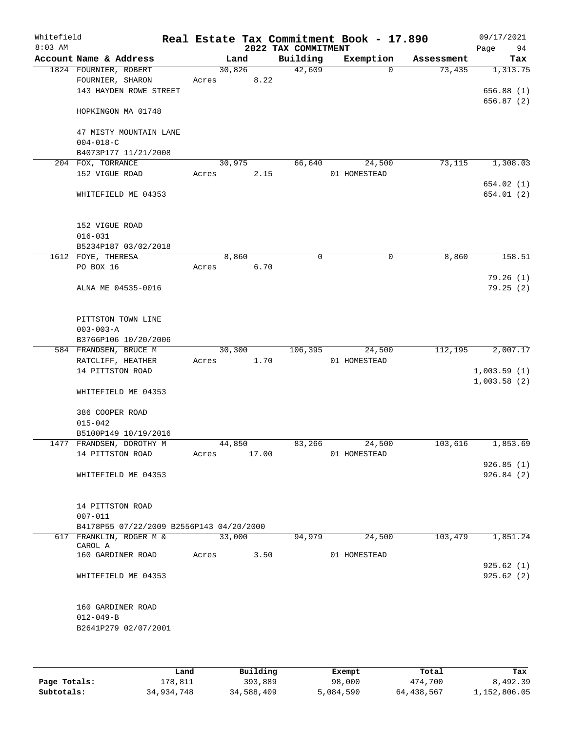| Whitefield<br>$8:03$ AM |                                                              |       |                | 2022 TAX COMMITMENT | Real Estate Tax Commitment Book - 17.890 |            | 09/17/2021<br>Page<br>94 |
|-------------------------|--------------------------------------------------------------|-------|----------------|---------------------|------------------------------------------|------------|--------------------------|
|                         | Account Name & Address                                       |       | Land           | Building            | Exemption                                | Assessment | Tax                      |
|                         | 1824 FOURNIER, ROBERT                                        |       | 30,826         | 42,609              | $\mathbf 0$                              | 73,435     | 1,313.75                 |
|                         | FOURNIER, SHARON                                             | Acres | 8.22           |                     |                                          |            |                          |
|                         | 143 HAYDEN ROWE STREET                                       |       |                |                     |                                          |            | 656.88 (1)               |
|                         | HOPKINGON MA 01748                                           |       |                |                     |                                          |            | 656.87 (2)               |
|                         | 47 MISTY MOUNTAIN LANE                                       |       |                |                     |                                          |            |                          |
|                         | $004 - 018 - C$                                              |       |                |                     |                                          |            |                          |
|                         | B4073P177 11/21/2008                                         |       |                |                     |                                          |            |                          |
|                         | 204 FOX, TORRANCE<br>152 VIGUE ROAD                          | Acres | 30,975<br>2.15 | 66,640              | 24,500<br>01 HOMESTEAD                   | 73,115     | 1,308.03                 |
|                         |                                                              |       |                |                     |                                          |            | 654.02(1)                |
|                         | WHITEFIELD ME 04353                                          |       |                |                     |                                          |            | 654.01 (2)               |
|                         | 152 VIGUE ROAD                                               |       |                |                     |                                          |            |                          |
|                         | $016 - 031$                                                  |       |                |                     |                                          |            |                          |
|                         | B5234P187 03/02/2018                                         |       |                |                     |                                          |            |                          |
|                         | 1612 FOYE, THERESA                                           |       | 8,860          | $\mathbf 0$         | 0                                        | 8,860      | 158.51                   |
|                         | PO BOX 16                                                    | Acres | 6.70           |                     |                                          |            |                          |
|                         | ALNA ME 04535-0016                                           |       |                |                     |                                          |            | 79.26(1)<br>79.25(2)     |
|                         | PITTSTON TOWN LINE<br>$003 - 003 - A$                        |       |                |                     |                                          |            |                          |
|                         | B3766P106 10/20/2006                                         |       |                |                     |                                          |            |                          |
|                         | 584 FRANDSEN, BRUCE M                                        |       | 30,300         | 106,395             | 24,500                                   | 112,195    | 2,007.17                 |
|                         | RATCLIFF, HEATHER                                            | Acres | 1.70           |                     | 01 HOMESTEAD                             |            |                          |
|                         | 14 PITTSTON ROAD                                             |       |                |                     |                                          |            | 1,003.59(1)              |
|                         |                                                              |       |                |                     |                                          |            | 1,003.58(2)              |
|                         | WHITEFIELD ME 04353                                          |       |                |                     |                                          |            |                          |
|                         | 386 COOPER ROAD                                              |       |                |                     |                                          |            |                          |
|                         | $015 - 042$                                                  |       |                |                     |                                          |            |                          |
|                         | B5100P149 10/19/2016                                         |       |                |                     |                                          |            |                          |
|                         | 1477 FRANDSEN, DOROTHY M                                     |       | 44,850         | 83,266              | 24,500                                   | 103,616    | 1,853.69                 |
|                         | 14 PITTSTON ROAD                                             | Acres | 17.00          |                     | 01 HOMESTEAD                             |            | 926.85(1)                |
|                         | WHITEFIELD ME 04353                                          |       |                |                     |                                          |            | 926.84(2)                |
|                         |                                                              |       |                |                     |                                          |            |                          |
|                         | 14 PITTSTON ROAD<br>$007 - 011$                              |       |                |                     |                                          |            |                          |
|                         | B4178P55 07/22/2009 B2556P143 04/20/2000                     |       |                |                     |                                          |            |                          |
|                         | 617 FRANKLIN, ROGER M &                                      |       | 33,000         | 94,979              | 24,500                                   | 103,479    | 1,851.24                 |
|                         | CAROL A                                                      |       |                |                     |                                          |            |                          |
|                         | 160 GARDINER ROAD                                            | Acres | 3.50           |                     | 01 HOMESTEAD                             |            |                          |
|                         | WHITEFIELD ME 04353                                          |       |                |                     |                                          |            | 925.62(1)<br>925.62(2)   |
|                         | 160 GARDINER ROAD<br>$012 - 049 - B$<br>B2641P279 02/07/2001 |       |                |                     |                                          |            |                          |
|                         |                                                              |       |                |                     |                                          |            |                          |

|              | Land       | Building   | Exempt    | Total      | Tax          |
|--------------|------------|------------|-----------|------------|--------------|
| Page Totals: | 178,811    | 393,889    | 98,000    | 474,700    | 8,492.39     |
| Subtotals:   | 34,934,748 | 34,588,409 | 5,084,590 | 64,438,567 | 1,152,806.05 |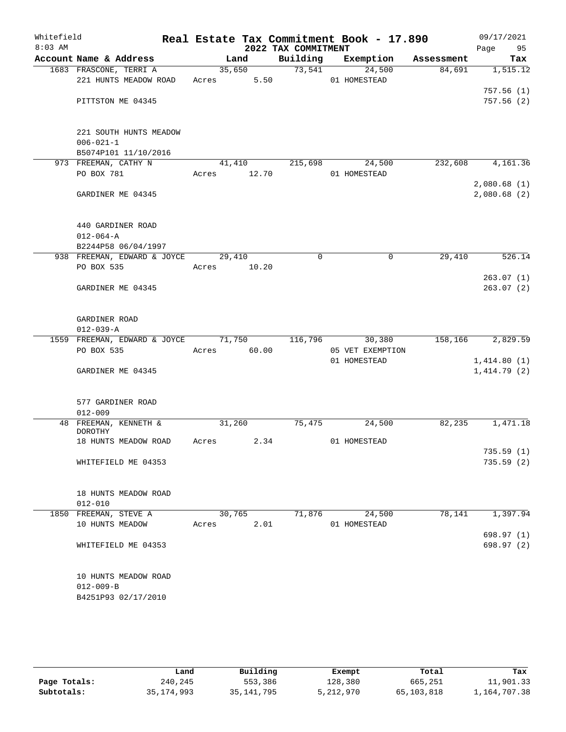| Whitefield<br>$8:03$ AM |                              |        |        | 2022 TAX COMMITMENT | Real Estate Tax Commitment Book - 17.890 |            | 09/17/2021  |            |
|-------------------------|------------------------------|--------|--------|---------------------|------------------------------------------|------------|-------------|------------|
|                         | Account Name & Address       |        | Land   |                     | Building Exemption                       | Assessment | Page        | 95<br>Tax  |
|                         | 1683 FRASCONE, TERRI A       |        | 35,650 | 73,541              | 24,500                                   | 84,691     |             | 1,515.12   |
|                         | 221 HUNTS MEADOW ROAD        | Acres  | 5.50   |                     | 01 HOMESTEAD                             |            |             |            |
|                         |                              |        |        |                     |                                          |            |             | 757.56(1)  |
|                         | PITTSTON ME 04345            |        |        |                     |                                          |            |             | 757.56(2)  |
|                         |                              |        |        |                     |                                          |            |             |            |
|                         |                              |        |        |                     |                                          |            |             |            |
|                         | 221 SOUTH HUNTS MEADOW       |        |        |                     |                                          |            |             |            |
|                         | $006 - 021 - 1$              |        |        |                     |                                          |            |             |            |
|                         | B5074P101 11/10/2016         |        |        |                     |                                          |            |             |            |
|                         | 973 FREEMAN, CATHY N         | 41,410 |        | 215,698             | 24,500                                   | 232,608    |             | 4,161.36   |
|                         | PO BOX 781                   | Acres  | 12.70  |                     | 01 HOMESTEAD                             |            |             |            |
|                         |                              |        |        |                     |                                          |            | 2,080.68(1) |            |
|                         | GARDINER ME 04345            |        |        |                     |                                          |            | 2,080.68(2) |            |
|                         |                              |        |        |                     |                                          |            |             |            |
|                         | 440 GARDINER ROAD            |        |        |                     |                                          |            |             |            |
|                         | $012 - 064 - A$              |        |        |                     |                                          |            |             |            |
|                         | B2244P58 06/04/1997          |        |        |                     |                                          |            |             |            |
|                         | 938 FREEMAN, EDWARD & JOYCE  | 29,410 |        | $\mathbf 0$         | 0                                        | 29,410     |             | 526.14     |
|                         | PO BOX 535                   | Acres  | 10.20  |                     |                                          |            |             |            |
|                         |                              |        |        |                     |                                          |            |             | 263.07(1)  |
|                         | GARDINER ME 04345            |        |        |                     |                                          |            |             | 263.07(2)  |
|                         |                              |        |        |                     |                                          |            |             |            |
|                         |                              |        |        |                     |                                          |            |             |            |
|                         | GARDINER ROAD                |        |        |                     |                                          |            |             |            |
|                         | $012 - 039 - A$              |        |        |                     |                                          |            |             |            |
|                         | 1559 FREEMAN, EDWARD & JOYCE | 71,750 |        | 116,796             | 30,380                                   | 158,166    |             | 2,829.59   |
|                         | PO BOX 535                   | Acres  | 60.00  |                     | 05 VET EXEMPTION                         |            |             |            |
|                         |                              |        |        |                     | 01 HOMESTEAD                             |            | 1,414.80(1) |            |
|                         | GARDINER ME 04345            |        |        |                     |                                          |            | 1,414.79(2) |            |
|                         |                              |        |        |                     |                                          |            |             |            |
|                         | 577 GARDINER ROAD            |        |        |                     |                                          |            |             |            |
|                         | $012 - 009$                  |        |        |                     |                                          |            |             |            |
|                         | 48 FREEMAN, KENNETH &        | 31,260 |        | 75,475              | 24,500                                   | 82,235     |             | 1,471.18   |
|                         | DOROTHY                      |        |        |                     |                                          |            |             |            |
|                         | 18 HUNTS MEADOW ROAD         | Acres  | 2.34   |                     | 01 HOMESTEAD                             |            |             |            |
|                         |                              |        |        |                     |                                          |            |             | 735.59 (1) |
|                         | WHITEFIELD ME 04353          |        |        |                     |                                          |            |             | 735.59(2)  |
|                         |                              |        |        |                     |                                          |            |             |            |
|                         |                              |        |        |                     |                                          |            |             |            |
|                         | 18 HUNTS MEADOW ROAD         |        |        |                     |                                          |            |             |            |
|                         | $012 - 010$                  |        |        |                     |                                          |            |             |            |
|                         | 1850 FREEMAN, STEVE A        | 30,765 |        | 71,876              | 24,500                                   | 78,141     |             | 1,397.94   |
|                         | 10 HUNTS MEADOW              | Acres  | 2.01   |                     | 01 HOMESTEAD                             |            |             |            |
|                         |                              |        |        |                     |                                          |            |             | 698.97 (1) |
|                         | WHITEFIELD ME 04353          |        |        |                     |                                          |            |             | 698.97 (2) |
|                         |                              |        |        |                     |                                          |            |             |            |
|                         | 10 HUNTS MEADOW ROAD         |        |        |                     |                                          |            |             |            |
|                         | $012 - 009 - B$              |        |        |                     |                                          |            |             |            |
|                         | B4251P93 02/17/2010          |        |        |                     |                                          |            |             |            |
|                         |                              |        |        |                     |                                          |            |             |            |
|                         |                              |        |        |                     |                                          |            |             |            |
|                         |                              |        |        |                     |                                          |            |             |            |

|              | Land         | Building     | Exempt    | Total      | Tax          |
|--------------|--------------|--------------|-----------|------------|--------------|
| Page Totals: | 240,245      | 553,386      | 128,380   | 665,251    | 11,901.33    |
| Subtotals:   | 35, 174, 993 | 35, 141, 795 | 5,212,970 | 65,103,818 | 1,164,707.38 |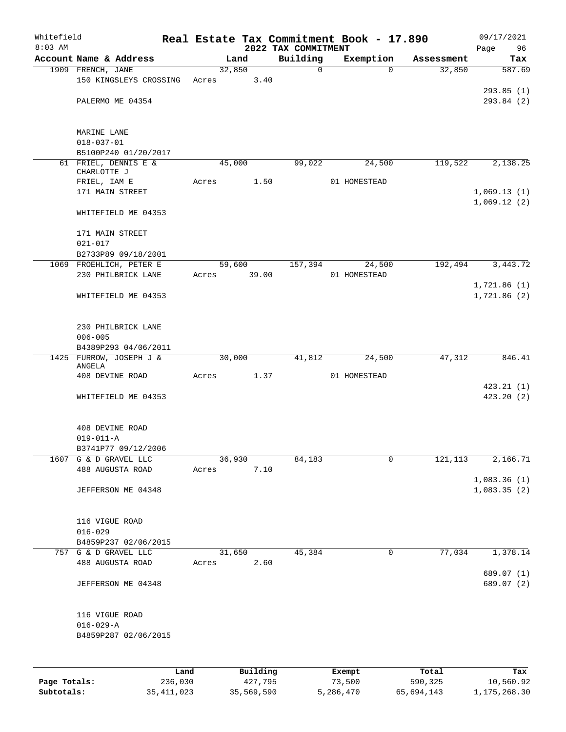| Whitefield<br>$8:03$ AM |                                     |       |          | 2022 TAX COMMITMENT | Real Estate Tax Commitment Book - 17.890 |            | 09/17/2021<br>Page<br>96   |
|-------------------------|-------------------------------------|-------|----------|---------------------|------------------------------------------|------------|----------------------------|
|                         | Account Name & Address              |       | Land     | Building            | Exemption                                | Assessment | Tax                        |
|                         | 1909 FRENCH, JANE                   |       | 32,850   | 0                   | $\Omega$                                 | 32,850     | 587.69                     |
|                         | 150 KINGSLEYS CROSSING              | Acres | 3.40     |                     |                                          |            |                            |
|                         |                                     |       |          |                     |                                          |            | 293.85(1)                  |
|                         | PALERMO ME 04354                    |       |          |                     |                                          |            | 293.84 (2)                 |
|                         | MARINE LANE                         |       |          |                     |                                          |            |                            |
|                         | $018 - 037 - 01$                    |       |          |                     |                                          |            |                            |
|                         | B5100P240 01/20/2017                |       |          |                     |                                          |            |                            |
|                         | 61 FRIEL, DENNIS E &<br>CHARLOTTE J |       | 45,000   | 99,022              | 24,500                                   | 119,522    | 2,138.25                   |
|                         | FRIEL, IAM E                        | Acres | 1.50     |                     | 01 HOMESTEAD                             |            |                            |
|                         | 171 MAIN STREET                     |       |          |                     |                                          |            | 1,069.13(1)                |
|                         | WHITEFIELD ME 04353                 |       |          |                     |                                          |            | 1,069.12(2)                |
|                         | 171 MAIN STREET                     |       |          |                     |                                          |            |                            |
|                         | $021 - 017$                         |       |          |                     |                                          |            |                            |
|                         | B2733P89 09/18/2001                 |       |          |                     |                                          |            |                            |
|                         | 1069 FROEHLICH, PETER E             |       | 59,600   | 157,394             | 24,500                                   | 192,494    | 3,443.72                   |
|                         | 230 PHILBRICK LANE                  | Acres | 39.00    |                     | 01 HOMESTEAD                             |            |                            |
|                         |                                     |       |          |                     |                                          |            | 1,721.86(1)                |
|                         | WHITEFIELD ME 04353                 |       |          |                     |                                          |            | 1,721.86(2)                |
|                         | 230 PHILBRICK LANE                  |       |          |                     |                                          |            |                            |
|                         | $006 - 005$                         |       |          |                     |                                          |            |                            |
|                         | B4389P293 04/06/2011                |       |          |                     |                                          |            |                            |
| 1425                    | FURROW, JOSEPH J &                  |       | 30,000   | 41,812              | 24,500                                   | 47,312     | 846.41                     |
|                         | ANGELA<br>408 DEVINE ROAD           | Acres | 1.37     |                     | 01 HOMESTEAD                             |            |                            |
|                         |                                     |       |          |                     |                                          |            | 423.21(1)                  |
|                         | WHITEFIELD ME 04353                 |       |          |                     |                                          |            | 423.20(2)                  |
|                         | 408 DEVINE ROAD                     |       |          |                     |                                          |            |                            |
|                         | $019 - 011 - A$                     |       |          |                     |                                          |            |                            |
|                         | B3741P77 09/12/2006                 |       |          |                     |                                          |            |                            |
| 1607                    | G & D GRAVEL LLC                    |       | 36,930   | 84,183              | 0                                        | 121, 113   | 2,166.71                   |
|                         | 488 AUGUSTA ROAD                    | Acres | 7.10     |                     |                                          |            |                            |
|                         | JEFFERSON ME 04348                  |       |          |                     |                                          |            | 1,083.36(1)<br>1,083.35(2) |
|                         | 116 VIGUE ROAD                      |       |          |                     |                                          |            |                            |
|                         | $016 - 029$                         |       |          |                     |                                          |            |                            |
|                         | B4859P237 02/06/2015                |       |          |                     |                                          |            |                            |
|                         | 757 G & D GRAVEL LLC                |       | 31,650   | 45,384              | 0                                        | 77,034     | 1,378.14                   |
|                         | 488 AUGUSTA ROAD                    | Acres | 2.60     |                     |                                          |            |                            |
|                         | JEFFERSON ME 04348                  |       |          |                     |                                          |            | 689.07 (1)<br>689.07 (2)   |
|                         |                                     |       |          |                     |                                          |            |                            |
|                         | 116 VIGUE ROAD<br>$016 - 029 - A$   |       |          |                     |                                          |            |                            |
|                         | B4859P287 02/06/2015                |       |          |                     |                                          |            |                            |
|                         |                                     |       |          |                     |                                          |            |                            |
|                         | Land                                |       | Building |                     | Exempt                                   | Total      | Tax                        |
| Page Totals:            | 236,030                             |       | 427,795  |                     | 73,500                                   | 590,325    | 10,560.92                  |

**Subtotals:** 35,411,023 35,569,590 5,286,470 65,694,143 1,175,268.30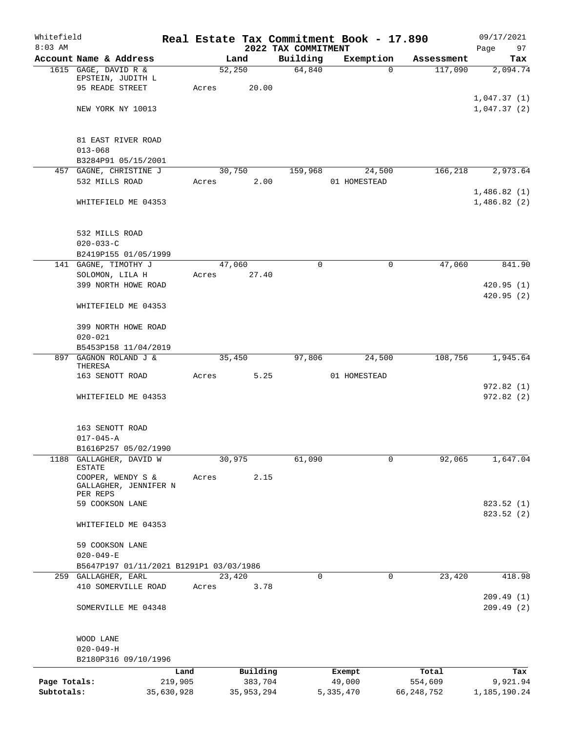| Whitefield<br>$8:03$ AM |                                         |       |            | 2022 TAX COMMITMENT | Real Estate Tax Commitment Book - 17.890 |            | 09/17/2021<br>97<br>Page |
|-------------------------|-----------------------------------------|-------|------------|---------------------|------------------------------------------|------------|--------------------------|
|                         | Account Name & Address                  |       | Land       | Building            | Exemption                                | Assessment | Tax                      |
|                         | 1615 GAGE, DAVID R &                    |       | 52,250     | 64,840              | $\Omega$                                 | 117,090    | 2,094.74                 |
|                         | EPSTEIN, JUDITH L                       |       |            |                     |                                          |            |                          |
|                         | 95 READE STREET                         | Acres | 20.00      |                     |                                          |            |                          |
|                         |                                         |       |            |                     |                                          |            | 1,047.37(1)              |
|                         | NEW YORK NY 10013                       |       |            |                     |                                          |            | 1,047.37(2)              |
|                         | 81 EAST RIVER ROAD                      |       |            |                     |                                          |            |                          |
|                         | $013 - 068$                             |       |            |                     |                                          |            |                          |
|                         | B3284P91 05/15/2001                     |       |            |                     |                                          |            |                          |
|                         | 457 GAGNE, CHRISTINE J                  |       | 30,750     | 159,968             | 24,500                                   | 166,218    | 2,973.64                 |
|                         | 532 MILLS ROAD                          | Acres | 2.00       |                     | 01 HOMESTEAD                             |            |                          |
|                         |                                         |       |            |                     |                                          |            | 1,486.82(1)              |
|                         | WHITEFIELD ME 04353                     |       |            |                     |                                          |            | 1,486.82(2)              |
|                         | 532 MILLS ROAD                          |       |            |                     |                                          |            |                          |
|                         | $020 - 033 - C$                         |       |            |                     |                                          |            |                          |
|                         | B2419P155 01/05/1999                    |       |            |                     |                                          |            |                          |
|                         | 141 GAGNE, TIMOTHY J                    |       | 47,060     | 0                   | 0                                        | 47,060     | 841.90                   |
|                         | SOLOMON, LILA H                         | Acres | 27.40      |                     |                                          |            |                          |
|                         | 399 NORTH HOWE ROAD                     |       |            |                     |                                          |            | 420.95(1)                |
|                         | WHITEFIELD ME 04353                     |       |            |                     |                                          |            | 420.95(2)                |
|                         |                                         |       |            |                     |                                          |            |                          |
|                         | 399 NORTH HOWE ROAD                     |       |            |                     |                                          |            |                          |
|                         | $020 - 021$<br>B5453P158 11/04/2019     |       |            |                     |                                          |            |                          |
| 897                     | GAGNON ROLAND J &                       |       | 35,450     | 97,806              | 24,500                                   | 108,756    | 1,945.64                 |
|                         | THERESA                                 |       |            |                     |                                          |            |                          |
|                         | 163 SENOTT ROAD                         | Acres | 5.25       |                     | 01 HOMESTEAD                             |            |                          |
|                         | WHITEFIELD ME 04353                     |       |            |                     |                                          |            | 972.82(1)<br>972.82(2)   |
|                         |                                         |       |            |                     |                                          |            |                          |
|                         | 163 SENOTT ROAD                         |       |            |                     |                                          |            |                          |
|                         | $017 - 045 - A$                         |       |            |                     |                                          |            |                          |
|                         | B1616P257 05/02/1990                    |       |            |                     |                                          |            |                          |
| 1188                    | GALLAGHER, DAVID W<br><b>ESTATE</b>     |       | 30,975     | 61,090              | 0                                        | 92,065     | 1,647.04                 |
|                         | COOPER, WENDY S &                       | Acres | 2.15       |                     |                                          |            |                          |
|                         | GALLAGHER, JENNIFER N<br>PER REPS       |       |            |                     |                                          |            |                          |
|                         | 59 COOKSON LANE                         |       |            |                     |                                          |            | 823.52 (1)               |
|                         |                                         |       |            |                     |                                          |            | 823.52 (2)               |
|                         | WHITEFIELD ME 04353                     |       |            |                     |                                          |            |                          |
|                         | 59 COOKSON LANE                         |       |            |                     |                                          |            |                          |
|                         | $020 - 049 - E$                         |       |            |                     |                                          |            |                          |
|                         | B5647P197 01/11/2021 B1291P1 03/03/1986 |       |            |                     |                                          |            |                          |
|                         | 259 GALLAGHER, EARL                     |       | 23,420     | $\Omega$            | $\Omega$                                 | 23,420     | 418.98                   |
|                         | 410 SOMERVILLE ROAD                     | Acres | 3.78       |                     |                                          |            |                          |
|                         | SOMERVILLE ME 04348                     |       |            |                     |                                          |            | 209.49(1)<br>209.49(2)   |
|                         |                                         |       |            |                     |                                          |            |                          |
|                         | WOOD LANE<br>$020 - 049 - H$            |       |            |                     |                                          |            |                          |
|                         | B2180P316 09/10/1996                    |       |            |                     |                                          |            |                          |
|                         |                                         | Land  | Building   |                     | Exempt                                   | Total      | Tax                      |
| Page Totals:            | 219,905                                 |       | 383,704    |                     | 49,000                                   | 554,609    | 9,921.94                 |
| Subtotals:              | 35,630,928                              |       | 35,953,294 |                     | 5, 335, 470                              | 66,248,752 | 1, 185, 190. 24          |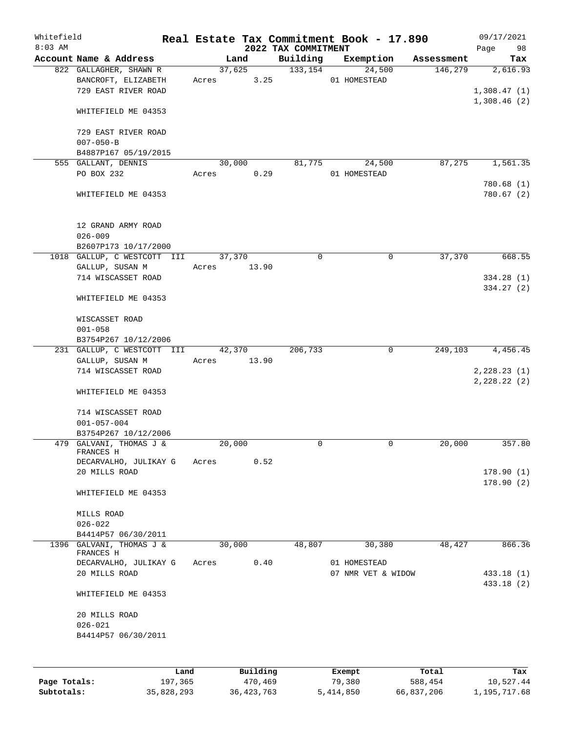| Whitefield |                                       |       |        |          |                                 |        | Real Estate Tax Commitment Book - 17.890 |            | 09/17/2021               |
|------------|---------------------------------------|-------|--------|----------|---------------------------------|--------|------------------------------------------|------------|--------------------------|
| $8:03$ AM  | Account Name & Address                |       | Land   |          | 2022 TAX COMMITMENT<br>Building |        | Exemption                                | Assessment | 98<br>Page<br>Tax        |
|            | 822 GALLAGHER, SHAWN R                |       | 37,625 |          | 133, 154                        |        | 24,500                                   | 146,279    | 2,616.93                 |
|            | BANCROFT, ELIZABETH                   | Acres |        | 3.25     |                                 |        | 01 HOMESTEAD                             |            |                          |
|            | 729 EAST RIVER ROAD                   |       |        |          |                                 |        |                                          |            | 1,308.47(1)              |
|            |                                       |       |        |          |                                 |        |                                          |            | 1,308.46(2)              |
|            | WHITEFIELD ME 04353                   |       |        |          |                                 |        |                                          |            |                          |
|            | 729 EAST RIVER ROAD                   |       |        |          |                                 |        |                                          |            |                          |
|            | $007 - 050 - B$                       |       |        |          |                                 |        |                                          |            |                          |
|            | B4887P167 05/19/2015                  |       |        |          |                                 |        |                                          |            |                          |
|            | 555 GALLANT, DENNIS                   |       | 30,000 |          | 81,775                          |        | 24,500                                   | 87,275     | 1,561.35                 |
|            | PO BOX 232                            | Acres |        | 0.29     |                                 |        | 01 HOMESTEAD                             |            |                          |
|            |                                       |       |        |          |                                 |        |                                          |            | 780.68 (1)               |
|            | WHITEFIELD ME 04353                   |       |        |          |                                 |        |                                          |            | 780.67 (2)               |
|            | 12 GRAND ARMY ROAD                    |       |        |          |                                 |        |                                          |            |                          |
|            | $026 - 009$                           |       |        |          |                                 |        |                                          |            |                          |
|            | B2607P173 10/17/2000                  |       |        |          |                                 |        |                                          |            |                          |
|            | 1018 GALLUP, C WESTCOTT III           |       | 37,370 |          | 0                               |        | 0                                        | 37,370     | 668.55                   |
|            | GALLUP, SUSAN M                       | Acres |        | 13.90    |                                 |        |                                          |            |                          |
|            | 714 WISCASSET ROAD                    |       |        |          |                                 |        |                                          |            | 334.28(1)                |
|            | WHITEFIELD ME 04353                   |       |        |          |                                 |        |                                          |            | 334.27 (2)               |
|            |                                       |       |        |          |                                 |        |                                          |            |                          |
|            | WISCASSET ROAD                        |       |        |          |                                 |        |                                          |            |                          |
|            | $001 - 058$                           |       |        |          |                                 |        |                                          |            |                          |
|            | B3754P267 10/12/2006                  |       |        |          |                                 |        |                                          |            |                          |
|            | 231 GALLUP, C WESTCOTT III            |       | 42,370 |          | 206,733                         |        | 0                                        | 249,103    | 4,456.45                 |
|            | GALLUP, SUSAN M<br>714 WISCASSET ROAD | Acres |        | 13.90    |                                 |        |                                          |            | 2,228.23(1)              |
|            |                                       |       |        |          |                                 |        |                                          |            | 2,228.22(2)              |
|            | WHITEFIELD ME 04353                   |       |        |          |                                 |        |                                          |            |                          |
|            | 714 WISCASSET ROAD                    |       |        |          |                                 |        |                                          |            |                          |
|            | $001 - 057 - 004$                     |       |        |          |                                 |        |                                          |            |                          |
|            | B3754P267 10/12/2006                  |       |        |          |                                 |        |                                          |            |                          |
|            | 479 GALVANI, THOMAS J &<br>FRANCES H  |       | 20,000 |          | 0                               |        | 0                                        | 20,000     | 357.80                   |
|            | DECARVALHO, JULIKAY G                 | Acres |        | 0.52     |                                 |        |                                          |            |                          |
|            | 20 MILLS ROAD                         |       |        |          |                                 |        |                                          |            | 178.90(1)                |
|            |                                       |       |        |          |                                 |        |                                          |            | 178.90(2)                |
|            | WHITEFIELD ME 04353                   |       |        |          |                                 |        |                                          |            |                          |
|            | MILLS ROAD                            |       |        |          |                                 |        |                                          |            |                          |
|            | $026 - 022$                           |       |        |          |                                 |        |                                          |            |                          |
|            | B4414P57 06/30/2011                   |       |        |          |                                 |        |                                          |            |                          |
|            | 1396 GALVANI, THOMAS J &<br>FRANCES H |       | 30,000 |          | 48,807                          |        | 30,380                                   | 48,427     | 866.36                   |
|            | DECARVALHO, JULIKAY G                 | Acres |        | 0.40     |                                 |        | 01 HOMESTEAD                             |            |                          |
|            | 20 MILLS ROAD                         |       |        |          |                                 |        | 07 NMR VET & WIDOW                       |            | 433.18 (1)<br>433.18 (2) |
|            | WHITEFIELD ME 04353                   |       |        |          |                                 |        |                                          |            |                          |
|            | 20 MILLS ROAD                         |       |        |          |                                 |        |                                          |            |                          |
|            | $026 - 021$                           |       |        |          |                                 |        |                                          |            |                          |
|            | B4414P57 06/30/2011                   |       |        |          |                                 |        |                                          |            |                          |
|            |                                       |       |        |          |                                 |        |                                          |            |                          |
|            | Land                                  |       |        | Building |                                 | Exempt |                                          | Total      | Tax                      |

|              | Land       | Building     | Exempt    | Total      | Tax          |
|--------------|------------|--------------|-----------|------------|--------------|
| Page Totals: | 197,365    | 470,469      | 79,380    | 588,454    | 10,527.44    |
| Subtotals:   | 35,828,293 | 36, 423, 763 | 5,414,850 | 66,837,206 | 1,195,717.68 |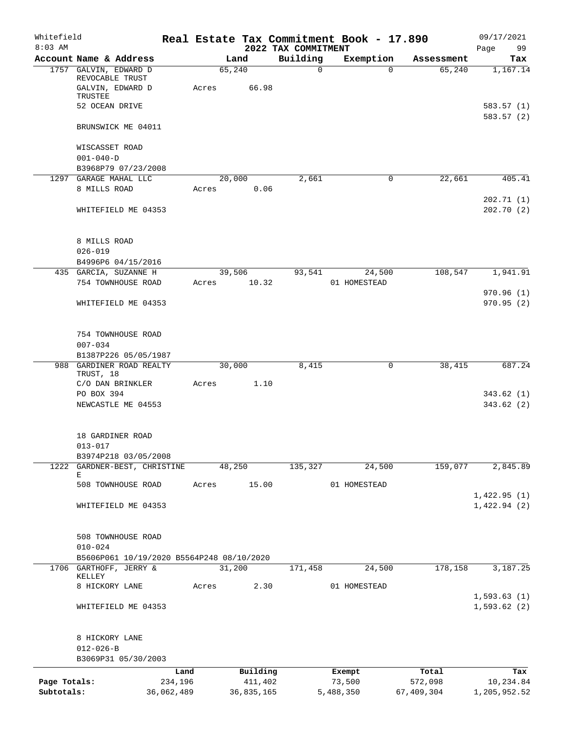| Whitefield<br>$8:03$ AM    |                                                  |                       |        |                       | 2022 TAX COMMITMENT | Real Estate Tax Commitment Book - 17.890 |                       | 09/17/2021<br>99<br>Page  |
|----------------------------|--------------------------------------------------|-----------------------|--------|-----------------------|---------------------|------------------------------------------|-----------------------|---------------------------|
|                            | Account Name & Address                           |                       | Land   |                       | Building            | Exemption                                | Assessment            | Tax                       |
|                            | 1757 GALVIN, EDWARD D                            |                       | 65,240 |                       | $\mathbf 0$         | $\Omega$                                 | 65,240                | 1,167.14                  |
|                            | REVOCABLE TRUST<br>GALVIN, EDWARD D<br>TRUSTEE   | Acres                 |        | 66.98                 |                     |                                          |                       |                           |
|                            | 52 OCEAN DRIVE                                   |                       |        |                       |                     |                                          |                       | 583.57 (1)<br>583.57(2)   |
|                            | BRUNSWICK ME 04011                               |                       |        |                       |                     |                                          |                       |                           |
|                            | WISCASSET ROAD<br>$001 - 040 - D$                |                       |        |                       |                     |                                          |                       |                           |
|                            | B3968P79 07/23/2008<br>1297 GARAGE MAHAL LLC     |                       | 20,000 |                       | 2,661               | 0                                        | 22,661                | 405.41                    |
|                            | 8 MILLS ROAD                                     | Acres                 |        | 0.06                  |                     |                                          |                       | 202.71(1)                 |
|                            | WHITEFIELD ME 04353                              |                       |        |                       |                     |                                          |                       | 202.70(2)                 |
|                            | 8 MILLS ROAD                                     |                       |        |                       |                     |                                          |                       |                           |
|                            | $026 - 019$                                      |                       |        |                       |                     |                                          |                       |                           |
|                            | B4996P6 04/15/2016<br>435 GARCIA, SUZANNE H      |                       | 39,506 |                       | 93,541              | 24,500                                   | 108,547               | 1,941.91                  |
|                            | 754 TOWNHOUSE ROAD                               | Acres                 |        | 10.32                 |                     | 01 HOMESTEAD                             |                       |                           |
|                            |                                                  |                       |        |                       |                     |                                          |                       | 970.96(1)                 |
|                            | WHITEFIELD ME 04353                              |                       |        |                       |                     |                                          |                       | 970.95(2)                 |
|                            | 754 TOWNHOUSE ROAD                               |                       |        |                       |                     |                                          |                       |                           |
|                            | $007 - 034$                                      |                       |        |                       |                     |                                          |                       |                           |
|                            | B1387P226 05/05/1987<br>988 GARDINER ROAD REALTY |                       | 30,000 |                       | 8,415               | 0                                        | 38,415                | 687.24                    |
|                            | TRUST, 18                                        |                       |        |                       |                     |                                          |                       |                           |
|                            | C/O DAN BRINKLER                                 | Acres                 |        | 1.10                  |                     |                                          |                       |                           |
|                            | PO BOX 394<br>NEWCASTLE ME 04553                 |                       |        |                       |                     |                                          |                       | 343.62(1)<br>343.62(2)    |
|                            |                                                  |                       |        |                       |                     |                                          |                       |                           |
|                            | 18 GARDINER ROAD<br>$013 - 017$                  |                       |        |                       |                     |                                          |                       |                           |
|                            | B3974P218 03/05/2008                             |                       |        |                       |                     |                                          |                       |                           |
|                            | 1222 GARDNER-BEST, CHRISTINE<br>Е                |                       | 48,250 |                       | 135,327             | 24,500                                   | 159,077               | 2,845.89                  |
|                            | 508 TOWNHOUSE ROAD                               | Acres                 |        | 15.00                 |                     | 01 HOMESTEAD                             |                       |                           |
|                            |                                                  |                       |        |                       |                     |                                          |                       | 1,422.95(1)               |
|                            | WHITEFIELD ME 04353                              |                       |        |                       |                     |                                          |                       | 1,422.94(2)               |
|                            | 508 TOWNHOUSE ROAD<br>$010 - 024$                |                       |        |                       |                     |                                          |                       |                           |
|                            | B5606P061 10/19/2020 B5564P248 08/10/2020        |                       |        |                       |                     |                                          |                       |                           |
|                            | 1706 GARTHOFF, JERRY &                           |                       | 31,200 |                       | 171,458             | 24,500                                   | 178,158               | 3,187.25                  |
|                            | KELLEY<br>8 HICKORY LANE                         | Acres                 |        | 2.30                  |                     | 01 HOMESTEAD                             |                       |                           |
|                            |                                                  |                       |        |                       |                     |                                          |                       | 1,593.63(1)               |
|                            | WHITEFIELD ME 04353                              |                       |        |                       |                     |                                          |                       | 1,593.62(2)               |
|                            | 8 HICKORY LANE                                   |                       |        |                       |                     |                                          |                       |                           |
|                            | $012 - 026 - B$                                  |                       |        |                       |                     |                                          |                       |                           |
|                            | B3069P31 05/30/2003                              |                       |        |                       |                     |                                          |                       |                           |
|                            |                                                  | Land                  |        | Building              |                     | Exempt                                   | Total                 | Tax                       |
| Page Totals:<br>Subtotals: |                                                  | 234,196<br>36,062,489 |        | 411,402<br>36,835,165 |                     | 73,500<br>5,488,350                      | 572,098<br>67,409,304 | 10,234.84<br>1,205,952.52 |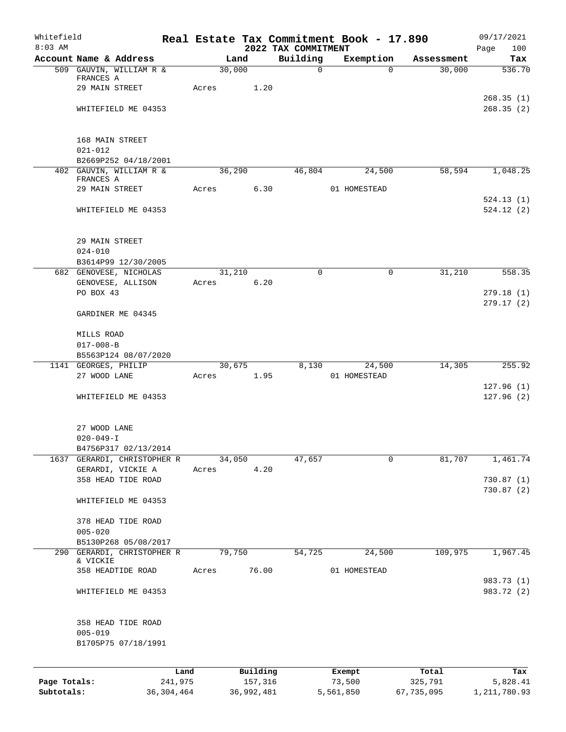| Whitefield<br>$8:03$ AM    |                                                    |         |                       |       | 2022 TAX COMMITMENT | Real Estate Tax Commitment Book - 17.890 |                       | 09/17/2021                 |
|----------------------------|----------------------------------------------------|---------|-----------------------|-------|---------------------|------------------------------------------|-----------------------|----------------------------|
|                            | Account Name & Address                             |         | Land                  |       | Building            | Exemption                                | Assessment            | Page<br>100<br>Tax         |
|                            | 509 GAUVIN, WILLIAM R &                            |         | 30,000                |       | $\Omega$            |                                          | 30,000<br>$\Omega$    | 536.70                     |
|                            | FRANCES A                                          |         |                       |       |                     |                                          |                       |                            |
|                            | 29 MAIN STREET                                     | Acres   |                       | 1.20  |                     |                                          |                       | 268.35(1)                  |
|                            | WHITEFIELD ME 04353                                |         |                       |       |                     |                                          |                       | 268.35(2)                  |
|                            |                                                    |         |                       |       |                     |                                          |                       |                            |
|                            |                                                    |         |                       |       |                     |                                          |                       |                            |
|                            | 168 MAIN STREET                                    |         |                       |       |                     |                                          |                       |                            |
|                            | $021 - 012$<br>B2669P252 04/18/2001                |         |                       |       |                     |                                          |                       |                            |
|                            | 402 GAUVIN, WILLIAM R &                            |         | 36,290                |       | 46,804              | 24,500                                   | 58,594                | 1,048.25                   |
|                            | FRANCES A                                          |         |                       |       |                     |                                          |                       |                            |
|                            | 29 MAIN STREET                                     | Acres   |                       | 6.30  |                     | 01 HOMESTEAD                             |                       | 524.13(1)                  |
|                            | WHITEFIELD ME 04353                                |         |                       |       |                     |                                          |                       | 524.12(2)                  |
|                            |                                                    |         |                       |       |                     |                                          |                       |                            |
|                            |                                                    |         |                       |       |                     |                                          |                       |                            |
|                            | 29 MAIN STREET                                     |         |                       |       |                     |                                          |                       |                            |
|                            | $024 - 010$<br>B3614P99 12/30/2005                 |         |                       |       |                     |                                          |                       |                            |
|                            | 682 GENOVESE, NICHOLAS                             |         | 31,210                |       | $\Omega$            |                                          | $\mathbf 0$<br>31,210 | 558.35                     |
|                            | GENOVESE, ALLISON                                  | Acres   |                       | 6.20  |                     |                                          |                       |                            |
|                            | PO BOX 43                                          |         |                       |       |                     |                                          |                       | 279.18(1)                  |
|                            |                                                    |         |                       |       |                     |                                          |                       | 279.17(2)                  |
|                            | GARDINER ME 04345                                  |         |                       |       |                     |                                          |                       |                            |
|                            | MILLS ROAD                                         |         |                       |       |                     |                                          |                       |                            |
|                            | $017 - 008 - B$                                    |         |                       |       |                     |                                          |                       |                            |
|                            | B5563P124 08/07/2020                               |         |                       |       |                     |                                          |                       |                            |
|                            | 1141 GEORGES, PHILIP<br>27 WOOD LANE               | Acres   | 30,675                | 1.95  | 8,130               | 24,500<br>01 HOMESTEAD                   | 14,305                | 255.92                     |
|                            |                                                    |         |                       |       |                     |                                          |                       | 127.96(1)                  |
|                            | WHITEFIELD ME 04353                                |         |                       |       |                     |                                          |                       | 127.96(2)                  |
|                            |                                                    |         |                       |       |                     |                                          |                       |                            |
|                            | 27 WOOD LANE                                       |         |                       |       |                     |                                          |                       |                            |
|                            | $020 - 049 - I$                                    |         |                       |       |                     |                                          |                       |                            |
|                            | B4756P317 02/13/2014                               |         |                       |       |                     |                                          |                       |                            |
|                            | 1637 GERARDI, CHRISTOPHER R                        |         | 34,050                |       | 47,657              |                                          | $\mathbf 0$<br>81,707 | 1,461.74                   |
|                            | GERARDI, VICKIE A                                  | Acres   |                       | 4.20  |                     |                                          |                       |                            |
|                            | 358 HEAD TIDE ROAD                                 |         |                       |       |                     |                                          |                       | 730.87(1)<br>730.87(2)     |
|                            | WHITEFIELD ME 04353                                |         |                       |       |                     |                                          |                       |                            |
|                            |                                                    |         |                       |       |                     |                                          |                       |                            |
|                            | 378 HEAD TIDE ROAD                                 |         |                       |       |                     |                                          |                       |                            |
|                            | $005 - 020$                                        |         |                       |       |                     |                                          |                       |                            |
|                            | B5130P268 05/08/2017<br>290 GERARDI, CHRISTOPHER R |         | 79,750                |       | 54,725              | 24,500                                   | 109,975               | 1,967.45                   |
|                            | & VICKIE                                           |         |                       |       |                     |                                          |                       |                            |
|                            | 358 HEADTIDE ROAD                                  | Acres   |                       | 76.00 |                     | 01 HOMESTEAD                             |                       |                            |
|                            | WHITEFIELD ME 04353                                |         |                       |       |                     |                                          |                       | 983.73 (1)<br>983.72 (2)   |
|                            |                                                    |         |                       |       |                     |                                          |                       |                            |
|                            |                                                    |         |                       |       |                     |                                          |                       |                            |
|                            | 358 HEAD TIDE ROAD                                 |         |                       |       |                     |                                          |                       |                            |
|                            | $005 - 019$                                        |         |                       |       |                     |                                          |                       |                            |
|                            | B1705P75 07/18/1991                                |         |                       |       |                     |                                          |                       |                            |
|                            |                                                    |         |                       |       |                     |                                          |                       |                            |
|                            |                                                    | Land    | Building              |       |                     | Exempt                                   | Total                 | Tax                        |
| Page Totals:<br>Subtotals: | 36, 304, 464                                       | 241,975 | 157,316<br>36,992,481 |       |                     | 73,500<br>5,561,850                      | 325,791<br>67,735,095 | 5,828.41<br>1, 211, 780.93 |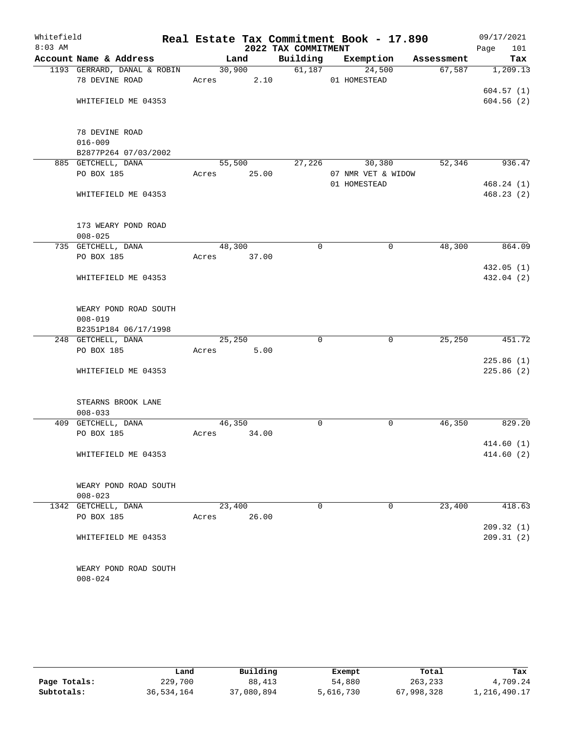| Whitefield |                                               |       |                 |                     |          | Real Estate Tax Commitment Book - 17.890 |                            | 09/17/2021             |
|------------|-----------------------------------------------|-------|-----------------|---------------------|----------|------------------------------------------|----------------------------|------------------------|
| $8:03$ AM  |                                               |       |                 | 2022 TAX COMMITMENT |          |                                          |                            | Page<br>101            |
|            | Account Name & Address                        |       | Land            |                     |          | Building Exemption                       | Assessment                 | Tax                    |
|            | 1193 GERRARD, DANAL & ROBIN<br>78 DEVINE ROAD | Acres | 30,900          | 2.10                |          | 61,187<br>24,500<br>01 HOMESTEAD         | 67,587                     | 1,209.13               |
|            | WHITEFIELD ME 04353                           |       |                 |                     |          |                                          |                            | 604.57(1)<br>604.56(2) |
|            | 78 DEVINE ROAD                                |       |                 |                     |          |                                          |                            |                        |
|            | $016 - 009$                                   |       |                 |                     |          |                                          |                            |                        |
|            | B2877P264 07/03/2002                          |       |                 |                     |          |                                          |                            |                        |
|            | 885 GETCHELL, DANA<br>PO BOX 185              | Acres | 55,500<br>25.00 | 27,226              |          | 07 NMR VET & WIDOW                       | 52,346<br>936.47<br>30,380 |                        |
|            |                                               |       |                 |                     |          | 01 HOMESTEAD                             |                            | 468.24(1)              |
|            | WHITEFIELD ME 04353                           |       |                 |                     |          |                                          |                            | 468.23(2)              |
|            | 173 WEARY POND ROAD                           |       |                 |                     |          |                                          |                            |                        |
|            | $008 - 025$                                   |       |                 |                     |          |                                          |                            |                        |
|            | 735 GETCHELL, DANA                            |       | 48,300          |                     | $\Omega$ | $\mathbf 0$                              | 48,300                     | 864.09                 |
|            | PO BOX 185                                    |       | Acres 37.00     |                     |          |                                          |                            |                        |
|            |                                               |       |                 |                     |          |                                          |                            | 432.05(1)              |
|            | WHITEFIELD ME 04353                           |       |                 |                     |          |                                          |                            | 432.04 (2)             |
|            | WEARY POND ROAD SOUTH                         |       |                 |                     |          |                                          |                            |                        |
|            | $008 - 019$                                   |       |                 |                     |          |                                          |                            |                        |
|            | B2351P184 06/17/1998                          |       |                 |                     |          |                                          |                            |                        |
|            | 248 GETCHELL, DANA                            |       | 25,250          |                     | $\Omega$ | $\mathbf 0$                              | 25, 250                    | 451.72                 |
|            | PO BOX 185                                    | Acres |                 | 5.00                |          |                                          |                            |                        |
|            |                                               |       |                 |                     |          |                                          |                            | 225.86(1)              |
|            | WHITEFIELD ME 04353                           |       |                 |                     |          |                                          |                            | 225.86(2)              |
|            | STEARNS BROOK LANE                            |       |                 |                     |          |                                          |                            |                        |
|            | $008 - 033$                                   |       |                 |                     |          |                                          |                            |                        |
|            | 409 GETCHELL, DANA                            |       | 46,350          |                     | 0        | 0                                        | 46,350                     | 829.20                 |
|            | PO BOX 185                                    | Acres | 34.00           |                     |          |                                          |                            |                        |
|            |                                               |       |                 |                     |          |                                          |                            | 414.60(1)              |
|            | WHITEFIELD ME 04353                           |       |                 |                     |          |                                          |                            | 414.60(2)              |
|            | WEARY POND ROAD SOUTH                         |       |                 |                     |          |                                          |                            |                        |
|            | $008 - 023$                                   |       |                 |                     |          |                                          |                            |                        |
|            | 1342 GETCHELL, DANA                           |       | 23,400          |                     | 0        | 0                                        | 23,400                     | 418.63                 |
|            | PO BOX 185                                    | Acres | 26.00           |                     |          |                                          |                            |                        |
|            |                                               |       |                 |                     |          |                                          |                            | 209.32(1)              |
|            | WHITEFIELD ME 04353                           |       |                 |                     |          |                                          |                            | 209.31(2)              |
|            | WEARY POND ROAD SOUTH                         |       |                 |                     |          |                                          |                            |                        |
|            | $008 - 024$                                   |       |                 |                     |          |                                          |                            |                        |

|              | Land       | Building   | Exempt    | Total      | Tax          |
|--------------|------------|------------|-----------|------------|--------------|
| Page Totals: | 229,700    | 88,413     | 54,880    | 263,233    | 4,709.24     |
| Subtotals:   | 36,534,164 | 37,080,894 | 5,616,730 | 67,998,328 | 1,216,490.17 |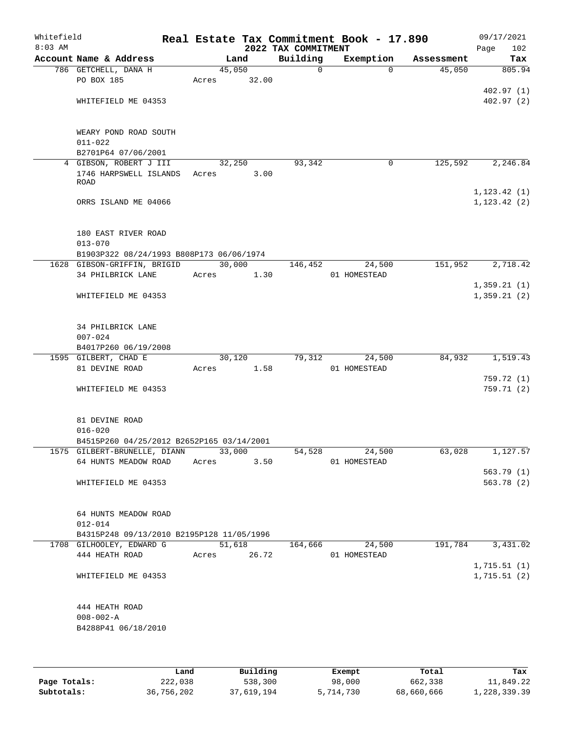| Whitefield<br>$8:03$ AM |                                           |             |       | 2022 TAX COMMITMENT | Real Estate Tax Commitment Book - 17.890 |            | 09/17/2021<br>Page<br>102 |
|-------------------------|-------------------------------------------|-------------|-------|---------------------|------------------------------------------|------------|---------------------------|
|                         | Account Name & Address                    |             | Land  | Building            | Exemption                                | Assessment | Tax                       |
|                         | 786 GETCHELL, DANA H                      | 45,050      |       | $\mathsf{O}$        | $\Omega$                                 | 45,050     | 805.94                    |
|                         | PO BOX 185                                | Acres       | 32.00 |                     |                                          |            |                           |
|                         |                                           |             |       |                     |                                          |            | 402.97(1)                 |
|                         | WHITEFIELD ME 04353                       |             |       |                     |                                          |            | 402.97(2)                 |
|                         |                                           |             |       |                     |                                          |            |                           |
|                         |                                           |             |       |                     |                                          |            |                           |
|                         | WEARY POND ROAD SOUTH                     |             |       |                     |                                          |            |                           |
|                         | $011 - 022$                               |             |       |                     |                                          |            |                           |
|                         | B2701P64 07/06/2001                       |             |       |                     |                                          |            |                           |
|                         | 4 GIBSON, ROBERT J III                    | 32,250      |       | 93,342              | 0                                        | 125,592    | 2,246.84                  |
|                         | 1746 HARPSWELL ISLANDS                    | Acres       | 3.00  |                     |                                          |            |                           |
|                         | <b>ROAD</b>                               |             |       |                     |                                          |            |                           |
|                         |                                           |             |       |                     |                                          |            | 1, 123.42(1)              |
|                         | ORRS ISLAND ME 04066                      |             |       |                     |                                          |            | 1, 123.42(2)              |
|                         |                                           |             |       |                     |                                          |            |                           |
|                         |                                           |             |       |                     |                                          |            |                           |
|                         | 180 EAST RIVER ROAD                       |             |       |                     |                                          |            |                           |
|                         | $013 - 070$                               |             |       |                     |                                          |            |                           |
|                         | B1903P322 08/24/1993 B808P173 06/06/1974  |             |       |                     |                                          |            |                           |
|                         | 1628 GIBSON-GRIFFIN, BRIGID               | 30,000      |       | 146,452             | 24,500                                   | 151,952    | 2,718.42                  |
|                         | 34 PHILBRICK LANE                         | Acres       | 1.30  |                     | 01 HOMESTEAD                             |            |                           |
|                         |                                           |             |       |                     |                                          |            | 1,359.21(1)               |
|                         | WHITEFIELD ME 04353                       |             |       |                     |                                          |            | 1,359.21(2)               |
|                         |                                           |             |       |                     |                                          |            |                           |
|                         |                                           |             |       |                     |                                          |            |                           |
|                         | 34 PHILBRICK LANE                         |             |       |                     |                                          |            |                           |
|                         | $007 - 024$                               |             |       |                     |                                          |            |                           |
|                         | B4017P260 06/19/2008                      |             |       |                     |                                          |            |                           |
|                         | 1595 GILBERT, CHAD E                      | 30,120      |       | 79,312              | 24,500                                   | 84,932     | 1,519.43                  |
|                         | 81 DEVINE ROAD                            | Acres       | 1.58  |                     | 01 HOMESTEAD                             |            |                           |
|                         |                                           |             |       |                     |                                          |            | 759.72 (1)                |
|                         | WHITEFIELD ME 04353                       |             |       |                     |                                          |            | 759.71(2)                 |
|                         |                                           |             |       |                     |                                          |            |                           |
|                         |                                           |             |       |                     |                                          |            |                           |
|                         | 81 DEVINE ROAD                            |             |       |                     |                                          |            |                           |
|                         | $016 - 020$                               |             |       |                     |                                          |            |                           |
|                         | B4515P260 04/25/2012 B2652P165 03/14/2001 |             |       |                     |                                          |            |                           |
|                         | 1575 GILBERT-BRUNELLE, DIANN              | 33,000      |       | 54,528              | 24,500                                   | 63,028     | 1,127.57                  |
|                         | 64 HUNTS MEADOW ROAD                      | Acres       | 3.50  |                     | 01 HOMESTEAD                             |            |                           |
|                         |                                           |             |       |                     |                                          |            | 563.79(1)                 |
|                         | WHITEFIELD ME 04353                       |             |       |                     |                                          |            | 563.78 (2)                |
|                         |                                           |             |       |                     |                                          |            |                           |
|                         |                                           |             |       |                     |                                          |            |                           |
|                         | 64 HUNTS MEADOW ROAD                      |             |       |                     |                                          |            |                           |
|                         | $012 - 014$                               |             |       |                     |                                          |            |                           |
|                         | B4315P248 09/13/2010 B2195P128 11/05/1996 |             |       |                     |                                          |            |                           |
|                         | 1708 GILHOOLEY, EDWARD G                  | 51,618      |       | 164,666             | 24,500                                   | 191,784    | 3,431.02                  |
|                         | 444 HEATH ROAD                            | Acres 26.72 |       |                     | 01 HOMESTEAD                             |            |                           |
|                         |                                           |             |       |                     |                                          |            | 1,715.51(1)               |
|                         |                                           |             |       |                     |                                          |            |                           |
|                         | WHITEFIELD ME 04353                       |             |       |                     |                                          |            | 1,715.51(2)               |
|                         |                                           |             |       |                     |                                          |            |                           |
|                         |                                           |             |       |                     |                                          |            |                           |
|                         | 444 HEATH ROAD                            |             |       |                     |                                          |            |                           |
|                         | $008 - 002 - A$                           |             |       |                     |                                          |            |                           |
|                         | B4288P41 06/18/2010                       |             |       |                     |                                          |            |                           |
|                         |                                           |             |       |                     |                                          |            |                           |
|                         |                                           |             |       |                     |                                          |            |                           |
|                         |                                           |             |       |                     |                                          |            |                           |

|              | Land       | Building   | Exempt    | Total      | Tax          |
|--------------|------------|------------|-----------|------------|--------------|
| Page Totals: | 222,038    | 538,300    | 98,000    | 662,338    | 11,849.22    |
| Subtotals:   | 36,756,202 | 37,619,194 | 5,714,730 | 68,660,666 | 1,228,339.39 |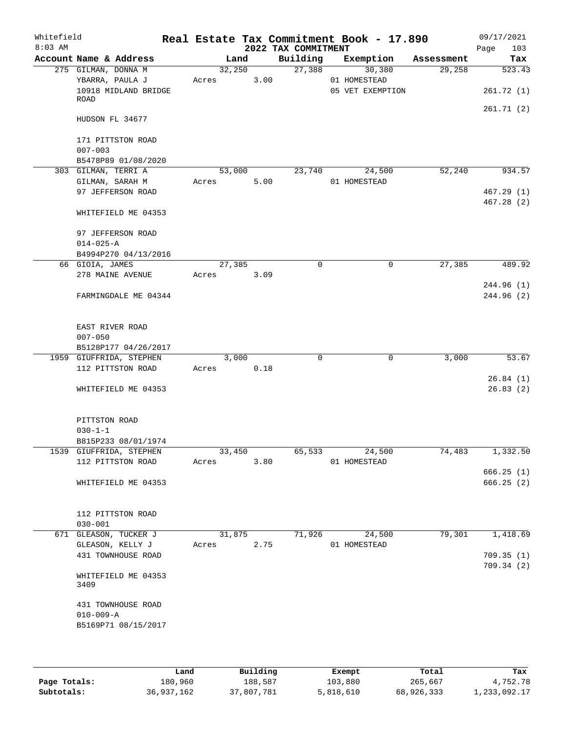| Whitefield<br>$8:03$ AM |                                                 |        |      | 2022 TAX COMMITMENT | Real Estate Tax Commitment Book - 17.890 |            | 09/17/2021<br>103<br>Page |
|-------------------------|-------------------------------------------------|--------|------|---------------------|------------------------------------------|------------|---------------------------|
|                         | Account Name & Address                          | Land   |      | Building            | Exemption                                | Assessment | Tax                       |
|                         | 275 GILMAN, DONNA M                             | 32,250 |      | 27,388              | 30,380                                   | 29,258     | 523.43                    |
|                         | YBARRA, PAULA J<br>10918 MIDLAND BRIDGE         | Acres  | 3.00 |                     | 01 HOMESTEAD<br>05 VET EXEMPTION         |            | 261.72(1)                 |
|                         | ROAD                                            |        |      |                     |                                          |            | 261.71 (2)                |
|                         | HUDSON FL 34677                                 |        |      |                     |                                          |            |                           |
|                         | 171 PITTSTON ROAD<br>$007 - 003$                |        |      |                     |                                          |            |                           |
|                         | B5478P89 01/08/2020                             |        |      |                     |                                          |            |                           |
|                         | 303 GILMAN, TERRI A                             | 53,000 |      | 23,740              | 24,500                                   | 52,240     | 934.57                    |
|                         | GILMAN, SARAH M                                 | Acres  | 5.00 |                     | 01 HOMESTEAD                             |            |                           |
|                         | 97 JEFFERSON ROAD                               |        |      |                     |                                          |            | 467.29(1)<br>467.28(2)    |
|                         | WHITEFIELD ME 04353                             |        |      |                     |                                          |            |                           |
|                         | 97 JEFFERSON ROAD                               |        |      |                     |                                          |            |                           |
|                         | $014 - 025 - A$                                 |        |      |                     |                                          |            |                           |
|                         | B4994P270 04/13/2016<br>66 GIOIA, JAMES         | 27,385 |      | 0                   | $\mathbf 0$                              | 27,385     | 489.92                    |
|                         | 278 MAINE AVENUE                                | Acres  | 3.09 |                     |                                          |            |                           |
|                         |                                                 |        |      |                     |                                          |            | 244.96(1)                 |
|                         | FARMINGDALE ME 04344                            |        |      |                     |                                          |            | 244.96 (2)                |
|                         | EAST RIVER ROAD                                 |        |      |                     |                                          |            |                           |
|                         | $007 - 050$                                     |        |      |                     |                                          |            |                           |
|                         | B5128P177 04/26/2017<br>1959 GIUFFRIDA, STEPHEN | 3,000  |      | 0                   | $\mathbf 0$                              | 3,000      | 53.67                     |
|                         | 112 PITTSTON ROAD                               | Acres  | 0.18 |                     |                                          |            |                           |
|                         |                                                 |        |      |                     |                                          |            | 26.84(1)                  |
|                         | WHITEFIELD ME 04353                             |        |      |                     |                                          |            | 26.83(2)                  |
|                         | PITTSTON ROAD                                   |        |      |                     |                                          |            |                           |
|                         | $030 - 1 - 1$                                   |        |      |                     |                                          |            |                           |
|                         | B815P233 08/01/1974                             |        |      |                     |                                          |            |                           |
|                         | 1539 GIUFFRIDA, STEPHEN                         | 33,450 |      | 65,533              | 24,500                                   | 74,483     | 1,332.50                  |
|                         | 112 PITTSTON ROAD                               | Acres  | 3.80 |                     | 01 HOMESTEAD                             |            |                           |
|                         | WHITEFIELD ME 04353                             |        |      |                     |                                          |            | 666.25(1)<br>666.25 (2)   |
|                         |                                                 |        |      |                     |                                          |            |                           |
|                         | 112 PITTSTON ROAD                               |        |      |                     |                                          |            |                           |
|                         | $030 - 001$                                     |        |      |                     |                                          |            |                           |
|                         | 671 GLEASON, TUCKER J                           | 31,875 |      | 71,926              | 24,500                                   | 79,301     | 1,418.69                  |
|                         | GLEASON, KELLY J                                | Acres  | 2.75 |                     | 01 HOMESTEAD                             |            |                           |
|                         | 431 TOWNHOUSE ROAD                              |        |      |                     |                                          |            | 709.35(1)                 |
|                         | WHITEFIELD ME 04353<br>3409                     |        |      |                     |                                          |            | 709.34 (2)                |
|                         | 431 TOWNHOUSE ROAD                              |        |      |                     |                                          |            |                           |
|                         | $010 - 009 - A$<br>B5169P71 08/15/2017          |        |      |                     |                                          |            |                           |
|                         |                                                 |        |      |                     |                                          |            |                           |

|              | Land       | Building   | Exempt    | Total      | Tax          |
|--------------|------------|------------|-----------|------------|--------------|
| Page Totals: | 180,960    | 188,587    | 103,880   | 265,667    | 4,752.78     |
| Subtotals:   | 36,937,162 | 37,807,781 | 5,818,610 | 68,926,333 | 1,233,092.17 |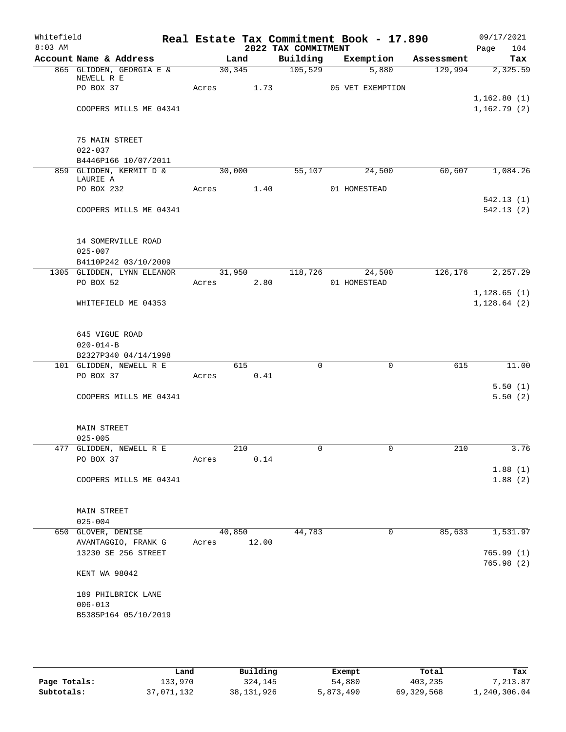| Whitefield |                                        |       |         |            |                     | Real Estate Tax Commitment Book - 17.890 |            | 09/17/2021             |
|------------|----------------------------------------|-------|---------|------------|---------------------|------------------------------------------|------------|------------------------|
| $8:03$ AM  |                                        |       |         |            | 2022 TAX COMMITMENT |                                          |            | 104<br>Page            |
|            | Account Name & Address                 |       | Land    |            | Building            | Exemption                                | Assessment | Tax                    |
|            | 865 GLIDDEN, GEORGIA E &<br>NEWELL R E |       | 30, 345 |            | $\frac{105,529}{ }$ | 5,880                                    | 129,994    | 2,325.59               |
|            | PO BOX 37                              |       |         | Acres 1.73 |                     | 05 VET EXEMPTION                         |            |                        |
|            |                                        |       |         |            |                     |                                          |            | 1,162.80(1)            |
|            | COOPERS MILLS ME 04341                 |       |         |            |                     |                                          |            | 1,162.79(2)            |
|            | 75 MAIN STREET                         |       |         |            |                     |                                          |            |                        |
|            | $022 - 037$                            |       |         |            |                     |                                          |            |                        |
|            | B4446P166 10/07/2011                   |       |         |            |                     |                                          |            |                        |
|            | 859 GLIDDEN, KERMIT D &<br>LAURIE A    |       | 30,000  |            | 55,107              | 24,500                                   | 60,607     | 1,084.26               |
|            | PO BOX 232                             |       |         | Acres 1.40 |                     | 01 HOMESTEAD                             |            |                        |
|            |                                        |       |         |            |                     |                                          |            | 542.13(1)              |
|            | COOPERS MILLS ME 04341                 |       |         |            |                     |                                          |            | 542.13(2)              |
|            | 14 SOMERVILLE ROAD                     |       |         |            |                     |                                          |            |                        |
|            | $025 - 007$                            |       |         |            |                     |                                          |            |                        |
|            | B4110P242 03/10/2009                   |       |         |            |                     |                                          |            |                        |
|            | 1305 GLIDDEN, LYNN ELEANOR             |       |         |            | 31,950 118,726      | 24,500                                   | 126,176    | 2,257.29               |
|            | PO BOX 52                              |       |         | Acres 2.80 |                     | 01 HOMESTEAD                             |            |                        |
|            |                                        |       |         |            |                     |                                          |            | 1,128.65(1)            |
|            | WHITEFIELD ME 04353                    |       |         |            |                     |                                          |            | 1, 128.64 (2)          |
|            | 645 VIGUE ROAD                         |       |         |            |                     |                                          |            |                        |
|            | $020 - 014 - B$                        |       |         |            |                     |                                          |            |                        |
|            | B2327P340 04/14/1998                   |       |         |            |                     |                                          |            |                        |
|            | 101 GLIDDEN, NEWELL R E                |       | 615     |            | $\mathbf 0$         | $\mathbf 0$                              | 615        | 11.00                  |
|            | PO BOX 37                              | Acres |         | 0.41       |                     |                                          |            |                        |
|            |                                        |       |         |            |                     |                                          |            | 5.50(1)                |
|            | COOPERS MILLS ME 04341                 |       |         |            |                     |                                          |            | 5.50(2)                |
|            | <b>MAIN STREET</b>                     |       |         |            |                     |                                          |            |                        |
|            | $025 - 005$                            |       |         |            |                     |                                          |            |                        |
|            | 477 GLIDDEN, NEWELL R E                |       | 210     |            | U                   | $\cup$                                   | 210        | 3.76                   |
|            | PO BOX 37                              | Acres |         | 0.14       |                     |                                          |            |                        |
|            |                                        |       |         |            |                     |                                          |            | 1.88(1)                |
|            | COOPERS MILLS ME 04341                 |       |         |            |                     |                                          |            | 1.88(2)                |
|            | <b>MAIN STREET</b>                     |       |         |            |                     |                                          |            |                        |
|            | $025 - 004$                            |       |         |            |                     |                                          |            |                        |
|            | 650 GLOVER, DENISE                     |       | 40,850  |            | 44,783              | $\mathbf 0$                              | 85,633     | 1,531.97               |
|            | AVANTAGGIO, FRANK G                    | Acres |         | 12.00      |                     |                                          |            |                        |
|            | 13230 SE 256 STREET                    |       |         |            |                     |                                          |            | 765.99(1)<br>765.98(2) |
|            | KENT WA 98042                          |       |         |            |                     |                                          |            |                        |
|            | 189 PHILBRICK LANE                     |       |         |            |                     |                                          |            |                        |
|            | $006 - 013$                            |       |         |            |                     |                                          |            |                        |
|            | B5385P164 05/10/2019                   |       |         |            |                     |                                          |            |                        |
|            |                                        |       |         |            |                     |                                          |            |                        |

|              | Land       | Building     | Exempt    | Total      | Tax          |
|--------------|------------|--------------|-----------|------------|--------------|
| Page Totals: | 133,970    | 324,145      | 54,880    | 403,235    | .213.87      |
| Subtotals:   | 37,071,132 | 38, 131, 926 | 5,873,490 | 69,329,568 | 1,240,306.04 |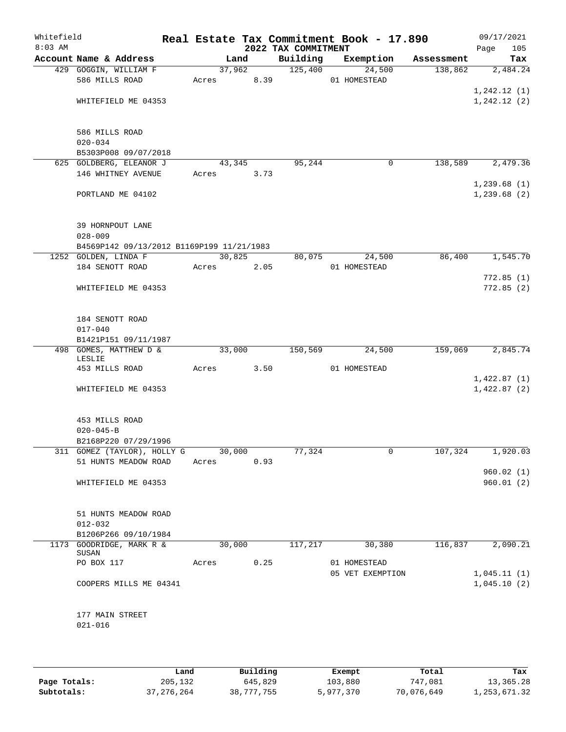| Whitefield<br>$8:03$ AM |                                                          |       |            | 2022 TAX COMMITMENT | Real Estate Tax Commitment Book - 17.890 |            | 09/17/2021<br>Page<br>105 |
|-------------------------|----------------------------------------------------------|-------|------------|---------------------|------------------------------------------|------------|---------------------------|
|                         | Account Name & Address                                   |       | Land       | Building            | Exemption                                | Assessment | Tax                       |
|                         | 429 GOGGIN, WILLIAM F                                    |       | 37,962     | 125,400             | 24,500                                   | 138,862    | 2,484.24                  |
|                         | 586 MILLS ROAD                                           |       | Acres 8.39 |                     | 01 HOMESTEAD                             |            |                           |
|                         |                                                          |       |            |                     |                                          |            | 1, 242.12(1)              |
|                         | WHITEFIELD ME 04353                                      |       |            |                     |                                          |            | 1, 242.12(2)              |
|                         |                                                          |       |            |                     |                                          |            |                           |
|                         | 586 MILLS ROAD                                           |       |            |                     |                                          |            |                           |
|                         | $020 - 034$                                              |       |            |                     |                                          |            |                           |
|                         | B5303P008 09/07/2018                                     |       |            |                     |                                          |            |                           |
|                         | 625 GOLDBERG, ELEANOR J                                  |       | 43,345     | 95,244              | 0                                        | 138,589    | 2,479.36                  |
|                         | 146 WHITNEY AVENUE                                       | Acres | 3.73       |                     |                                          |            |                           |
|                         |                                                          |       |            |                     |                                          |            | 1,239.68(1)               |
|                         | PORTLAND ME 04102                                        |       |            |                     |                                          |            | 1,239.68(2)               |
|                         |                                                          |       |            |                     |                                          |            |                           |
|                         |                                                          |       |            |                     |                                          |            |                           |
|                         | 39 HORNPOUT LANE                                         |       |            |                     |                                          |            |                           |
|                         | $028 - 009$<br>B4569P142 09/13/2012 B1169P199 11/21/1983 |       |            |                     |                                          |            |                           |
|                         | 1252 GOLDEN, LINDA F                                     |       | 30,825     | 80,075              | 24,500                                   | 86,400     | 1,545.70                  |
|                         | 184 SENOTT ROAD                                          | Acres | 2.05       |                     | 01 HOMESTEAD                             |            |                           |
|                         |                                                          |       |            |                     |                                          |            | 772.85(1)                 |
|                         | WHITEFIELD ME 04353                                      |       |            |                     |                                          |            | 772.85(2)                 |
|                         |                                                          |       |            |                     |                                          |            |                           |
|                         |                                                          |       |            |                     |                                          |            |                           |
|                         | 184 SENOTT ROAD                                          |       |            |                     |                                          |            |                           |
|                         | $017 - 040$                                              |       |            |                     |                                          |            |                           |
|                         | B1421P151 09/11/1987<br>498 GOMES, MATTHEW D &           |       | 33,000     | 150,569             | 24,500                                   | 159,069    | 2,845.74                  |
|                         | LESLIE                                                   |       |            |                     |                                          |            |                           |
|                         | 453 MILLS ROAD                                           | Acres | 3.50       |                     | 01 HOMESTEAD                             |            |                           |
|                         |                                                          |       |            |                     |                                          |            | 1,422.87(1)               |
|                         | WHITEFIELD ME 04353                                      |       |            |                     |                                          |            | 1,422.87(2)               |
|                         |                                                          |       |            |                     |                                          |            |                           |
|                         |                                                          |       |            |                     |                                          |            |                           |
|                         | 453 MILLS ROAD<br>$020 - 045 - B$                        |       |            |                     |                                          |            |                           |
|                         | B2168P220 07/29/1996                                     |       |            |                     |                                          |            |                           |
|                         | 311 GOMEZ (TAYLOR), HOLLY G                              |       | 30,000     | 77,324              | 0                                        | 107,324    | 1,920.03                  |
|                         | 51 HUNTS MEADOW ROAD                                     | Acres | 0.93       |                     |                                          |            |                           |
|                         |                                                          |       |            |                     |                                          |            | 960.02(1)                 |
|                         | WHITEFIELD ME 04353                                      |       |            |                     |                                          |            | 960.01(2)                 |
|                         |                                                          |       |            |                     |                                          |            |                           |
|                         |                                                          |       |            |                     |                                          |            |                           |
|                         | 51 HUNTS MEADOW ROAD<br>$012 - 032$                      |       |            |                     |                                          |            |                           |
|                         | B1206P266 09/10/1984                                     |       |            |                     |                                          |            |                           |
|                         | 1173 GOODRIDGE, MARK R &                                 |       | 30,000     | 117,217             | 30,380                                   | 116,837    | 2,090.21                  |
|                         | SUSAN                                                    |       |            |                     |                                          |            |                           |
|                         | PO BOX 117                                               | Acres | 0.25       |                     | 01 HOMESTEAD                             |            |                           |
|                         |                                                          |       |            |                     | 05 VET EXEMPTION                         |            | 1,045.11(1)               |
|                         | COOPERS MILLS ME 04341                                   |       |            |                     |                                          |            | 1,045.10(2)               |
|                         |                                                          |       |            |                     |                                          |            |                           |
|                         | 177 MAIN STREET                                          |       |            |                     |                                          |            |                           |
|                         | $021 - 016$                                              |       |            |                     |                                          |            |                           |
|                         |                                                          |       |            |                     |                                          |            |                           |
|                         |                                                          |       |            |                     |                                          |            |                           |
|                         |                                                          |       |            |                     |                                          |            |                           |

|              | Land       | Building   | Exempt    | Total      | Tax          |
|--------------|------------|------------|-----------|------------|--------------|
| Page Totals: | 205,132    | 645,829    | 103,880   | 747,081    | 13,365.28    |
| Subtotals:   | 37,276,264 | 38,777,755 | 5,977,370 | 70,076,649 | 1,253,671.32 |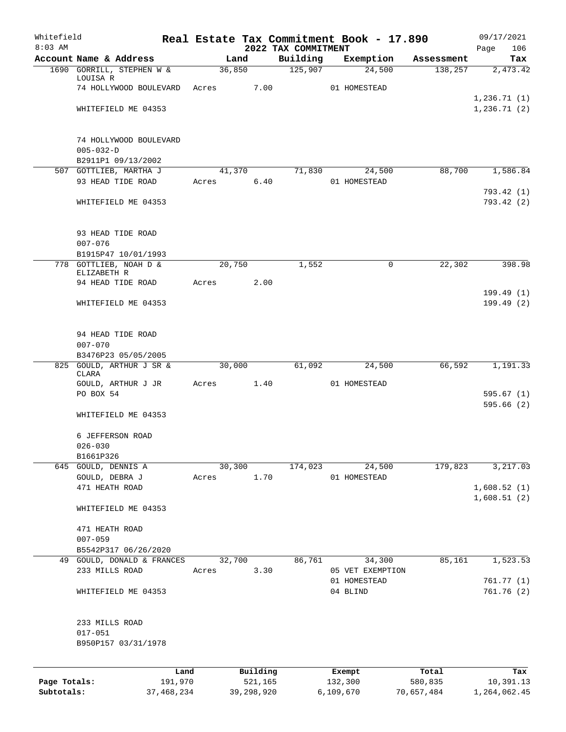| 2022 TAX COMMITMENT<br>Page<br>Account Name & Address<br>Building<br>Exemption<br>Land<br>Assessment<br>125,907<br>1690 GORRILL, STEPHEN W &<br>36,850<br>138,257<br>24,500<br>LOUISA R<br>7.00<br>74 HOLLYWOOD BOULEVARD<br>01 HOMESTEAD<br>Acres<br>WHITEFIELD ME 04353<br>74 HOLLYWOOD BOULEVARD<br>$005 - 032 - D$<br>B2911P1 09/13/2002<br>507 GOTTLIEB, MARTHA J<br>41,370<br>71,830<br>88,700<br>1,586.84<br>24,500<br>93 HEAD TIDE ROAD<br>6.40<br>01 HOMESTEAD<br>Acres<br>WHITEFIELD ME 04353<br>93 HEAD TIDE ROAD<br>$007 - 076$<br>B1915P47 10/01/1993<br>22,302<br>778 GOTTLIEB, NOAH D &<br>20,750<br>1,552<br>0<br>ELIZABETH R<br>94 HEAD TIDE ROAD<br>2.00<br>Acres<br>WHITEFIELD ME 04353<br>94 HEAD TIDE ROAD<br>$007 - 070$<br>B3476P23 05/05/2005<br>61,092<br>825 GOULD, ARTHUR J SR &<br>30,000<br>24,500<br>66,592<br>CLARA<br>GOULD, ARTHUR J JR<br>1.40<br>01 HOMESTEAD<br>Acres<br>PO BOX 54<br>WHITEFIELD ME 04353<br>6 JEFFERSON ROAD<br>$026 - 030$<br>B1661P326<br>30,300<br>645 GOULD, DENNIS A<br>174,023<br>24,500<br>179,823<br>1.70<br>GOULD, DEBRA J<br>01 HOMESTEAD<br>Acres<br>471 HEATH ROAD<br>1,608.51(2)<br>WHITEFIELD ME 04353<br>471 HEATH ROAD<br>$007 - 059$<br>B5542P317 06/26/2020<br>32,700<br>86,761<br>34,300<br>85,161<br>49 GOULD, DONALD & FRANCES<br>233 MILLS ROAD<br>3.30<br>Acres<br>05 VET EXEMPTION<br>01 HOMESTEAD<br>761.77(1)<br>04 BLIND<br>WHITEFIELD ME 04353<br>233 MILLS ROAD<br>$017 - 051$<br>B950P157 03/31/1978<br>Building<br>Land<br>Exempt<br>Total<br>Page Totals:<br>191,970<br>521,165<br>132,300<br>580,835<br>10,391.13<br>Subtotals:<br>37,468,234<br>39,298,920<br>6,109,670 | Whitefield<br>$8:03$ AM |  |  |  | Real Estate Tax Commitment Book - 17.890 |            | 09/17/2021             |
|----------------------------------------------------------------------------------------------------------------------------------------------------------------------------------------------------------------------------------------------------------------------------------------------------------------------------------------------------------------------------------------------------------------------------------------------------------------------------------------------------------------------------------------------------------------------------------------------------------------------------------------------------------------------------------------------------------------------------------------------------------------------------------------------------------------------------------------------------------------------------------------------------------------------------------------------------------------------------------------------------------------------------------------------------------------------------------------------------------------------------------------------------------------------------------------------------------------------------------------------------------------------------------------------------------------------------------------------------------------------------------------------------------------------------------------------------------------------------------------------------------------------------------------------------------------------------------------------------------------------------------------------------------------|-------------------------|--|--|--|------------------------------------------|------------|------------------------|
|                                                                                                                                                                                                                                                                                                                                                                                                                                                                                                                                                                                                                                                                                                                                                                                                                                                                                                                                                                                                                                                                                                                                                                                                                                                                                                                                                                                                                                                                                                                                                                                                                                                                |                         |  |  |  |                                          |            | 106<br>Tax             |
|                                                                                                                                                                                                                                                                                                                                                                                                                                                                                                                                                                                                                                                                                                                                                                                                                                                                                                                                                                                                                                                                                                                                                                                                                                                                                                                                                                                                                                                                                                                                                                                                                                                                |                         |  |  |  |                                          |            | 2,473.42               |
|                                                                                                                                                                                                                                                                                                                                                                                                                                                                                                                                                                                                                                                                                                                                                                                                                                                                                                                                                                                                                                                                                                                                                                                                                                                                                                                                                                                                                                                                                                                                                                                                                                                                |                         |  |  |  |                                          |            |                        |
|                                                                                                                                                                                                                                                                                                                                                                                                                                                                                                                                                                                                                                                                                                                                                                                                                                                                                                                                                                                                                                                                                                                                                                                                                                                                                                                                                                                                                                                                                                                                                                                                                                                                |                         |  |  |  |                                          |            | 1,236.71(1)            |
|                                                                                                                                                                                                                                                                                                                                                                                                                                                                                                                                                                                                                                                                                                                                                                                                                                                                                                                                                                                                                                                                                                                                                                                                                                                                                                                                                                                                                                                                                                                                                                                                                                                                |                         |  |  |  |                                          |            | 1,236.71(2)            |
|                                                                                                                                                                                                                                                                                                                                                                                                                                                                                                                                                                                                                                                                                                                                                                                                                                                                                                                                                                                                                                                                                                                                                                                                                                                                                                                                                                                                                                                                                                                                                                                                                                                                |                         |  |  |  |                                          |            |                        |
|                                                                                                                                                                                                                                                                                                                                                                                                                                                                                                                                                                                                                                                                                                                                                                                                                                                                                                                                                                                                                                                                                                                                                                                                                                                                                                                                                                                                                                                                                                                                                                                                                                                                |                         |  |  |  |                                          |            |                        |
|                                                                                                                                                                                                                                                                                                                                                                                                                                                                                                                                                                                                                                                                                                                                                                                                                                                                                                                                                                                                                                                                                                                                                                                                                                                                                                                                                                                                                                                                                                                                                                                                                                                                |                         |  |  |  |                                          |            |                        |
|                                                                                                                                                                                                                                                                                                                                                                                                                                                                                                                                                                                                                                                                                                                                                                                                                                                                                                                                                                                                                                                                                                                                                                                                                                                                                                                                                                                                                                                                                                                                                                                                                                                                |                         |  |  |  |                                          |            |                        |
|                                                                                                                                                                                                                                                                                                                                                                                                                                                                                                                                                                                                                                                                                                                                                                                                                                                                                                                                                                                                                                                                                                                                                                                                                                                                                                                                                                                                                                                                                                                                                                                                                                                                |                         |  |  |  |                                          |            | 793.42 (1)             |
|                                                                                                                                                                                                                                                                                                                                                                                                                                                                                                                                                                                                                                                                                                                                                                                                                                                                                                                                                                                                                                                                                                                                                                                                                                                                                                                                                                                                                                                                                                                                                                                                                                                                |                         |  |  |  |                                          |            | 793.42 (2)             |
|                                                                                                                                                                                                                                                                                                                                                                                                                                                                                                                                                                                                                                                                                                                                                                                                                                                                                                                                                                                                                                                                                                                                                                                                                                                                                                                                                                                                                                                                                                                                                                                                                                                                |                         |  |  |  |                                          |            |                        |
|                                                                                                                                                                                                                                                                                                                                                                                                                                                                                                                                                                                                                                                                                                                                                                                                                                                                                                                                                                                                                                                                                                                                                                                                                                                                                                                                                                                                                                                                                                                                                                                                                                                                |                         |  |  |  |                                          |            |                        |
|                                                                                                                                                                                                                                                                                                                                                                                                                                                                                                                                                                                                                                                                                                                                                                                                                                                                                                                                                                                                                                                                                                                                                                                                                                                                                                                                                                                                                                                                                                                                                                                                                                                                |                         |  |  |  |                                          |            |                        |
|                                                                                                                                                                                                                                                                                                                                                                                                                                                                                                                                                                                                                                                                                                                                                                                                                                                                                                                                                                                                                                                                                                                                                                                                                                                                                                                                                                                                                                                                                                                                                                                                                                                                |                         |  |  |  |                                          |            | 398.98                 |
|                                                                                                                                                                                                                                                                                                                                                                                                                                                                                                                                                                                                                                                                                                                                                                                                                                                                                                                                                                                                                                                                                                                                                                                                                                                                                                                                                                                                                                                                                                                                                                                                                                                                |                         |  |  |  |                                          |            |                        |
|                                                                                                                                                                                                                                                                                                                                                                                                                                                                                                                                                                                                                                                                                                                                                                                                                                                                                                                                                                                                                                                                                                                                                                                                                                                                                                                                                                                                                                                                                                                                                                                                                                                                |                         |  |  |  |                                          |            | 199.49(1)<br>199.49(2) |
|                                                                                                                                                                                                                                                                                                                                                                                                                                                                                                                                                                                                                                                                                                                                                                                                                                                                                                                                                                                                                                                                                                                                                                                                                                                                                                                                                                                                                                                                                                                                                                                                                                                                |                         |  |  |  |                                          |            |                        |
|                                                                                                                                                                                                                                                                                                                                                                                                                                                                                                                                                                                                                                                                                                                                                                                                                                                                                                                                                                                                                                                                                                                                                                                                                                                                                                                                                                                                                                                                                                                                                                                                                                                                |                         |  |  |  |                                          |            |                        |
|                                                                                                                                                                                                                                                                                                                                                                                                                                                                                                                                                                                                                                                                                                                                                                                                                                                                                                                                                                                                                                                                                                                                                                                                                                                                                                                                                                                                                                                                                                                                                                                                                                                                |                         |  |  |  |                                          |            |                        |
|                                                                                                                                                                                                                                                                                                                                                                                                                                                                                                                                                                                                                                                                                                                                                                                                                                                                                                                                                                                                                                                                                                                                                                                                                                                                                                                                                                                                                                                                                                                                                                                                                                                                |                         |  |  |  |                                          |            | 1,191.33               |
|                                                                                                                                                                                                                                                                                                                                                                                                                                                                                                                                                                                                                                                                                                                                                                                                                                                                                                                                                                                                                                                                                                                                                                                                                                                                                                                                                                                                                                                                                                                                                                                                                                                                |                         |  |  |  |                                          |            |                        |
|                                                                                                                                                                                                                                                                                                                                                                                                                                                                                                                                                                                                                                                                                                                                                                                                                                                                                                                                                                                                                                                                                                                                                                                                                                                                                                                                                                                                                                                                                                                                                                                                                                                                |                         |  |  |  |                                          |            | 595.67(1)              |
|                                                                                                                                                                                                                                                                                                                                                                                                                                                                                                                                                                                                                                                                                                                                                                                                                                                                                                                                                                                                                                                                                                                                                                                                                                                                                                                                                                                                                                                                                                                                                                                                                                                                |                         |  |  |  |                                          |            | 595.66(2)              |
|                                                                                                                                                                                                                                                                                                                                                                                                                                                                                                                                                                                                                                                                                                                                                                                                                                                                                                                                                                                                                                                                                                                                                                                                                                                                                                                                                                                                                                                                                                                                                                                                                                                                |                         |  |  |  |                                          |            |                        |
|                                                                                                                                                                                                                                                                                                                                                                                                                                                                                                                                                                                                                                                                                                                                                                                                                                                                                                                                                                                                                                                                                                                                                                                                                                                                                                                                                                                                                                                                                                                                                                                                                                                                |                         |  |  |  |                                          |            |                        |
|                                                                                                                                                                                                                                                                                                                                                                                                                                                                                                                                                                                                                                                                                                                                                                                                                                                                                                                                                                                                                                                                                                                                                                                                                                                                                                                                                                                                                                                                                                                                                                                                                                                                |                         |  |  |  |                                          |            | 3,217.03               |
|                                                                                                                                                                                                                                                                                                                                                                                                                                                                                                                                                                                                                                                                                                                                                                                                                                                                                                                                                                                                                                                                                                                                                                                                                                                                                                                                                                                                                                                                                                                                                                                                                                                                |                         |  |  |  |                                          |            |                        |
|                                                                                                                                                                                                                                                                                                                                                                                                                                                                                                                                                                                                                                                                                                                                                                                                                                                                                                                                                                                                                                                                                                                                                                                                                                                                                                                                                                                                                                                                                                                                                                                                                                                                |                         |  |  |  |                                          |            | 1,608.52(1)            |
|                                                                                                                                                                                                                                                                                                                                                                                                                                                                                                                                                                                                                                                                                                                                                                                                                                                                                                                                                                                                                                                                                                                                                                                                                                                                                                                                                                                                                                                                                                                                                                                                                                                                |                         |  |  |  |                                          |            |                        |
|                                                                                                                                                                                                                                                                                                                                                                                                                                                                                                                                                                                                                                                                                                                                                                                                                                                                                                                                                                                                                                                                                                                                                                                                                                                                                                                                                                                                                                                                                                                                                                                                                                                                |                         |  |  |  |                                          |            |                        |
|                                                                                                                                                                                                                                                                                                                                                                                                                                                                                                                                                                                                                                                                                                                                                                                                                                                                                                                                                                                                                                                                                                                                                                                                                                                                                                                                                                                                                                                                                                                                                                                                                                                                |                         |  |  |  |                                          |            |                        |
|                                                                                                                                                                                                                                                                                                                                                                                                                                                                                                                                                                                                                                                                                                                                                                                                                                                                                                                                                                                                                                                                                                                                                                                                                                                                                                                                                                                                                                                                                                                                                                                                                                                                |                         |  |  |  |                                          |            | 1,523.53               |
|                                                                                                                                                                                                                                                                                                                                                                                                                                                                                                                                                                                                                                                                                                                                                                                                                                                                                                                                                                                                                                                                                                                                                                                                                                                                                                                                                                                                                                                                                                                                                                                                                                                                |                         |  |  |  |                                          |            |                        |
|                                                                                                                                                                                                                                                                                                                                                                                                                                                                                                                                                                                                                                                                                                                                                                                                                                                                                                                                                                                                                                                                                                                                                                                                                                                                                                                                                                                                                                                                                                                                                                                                                                                                |                         |  |  |  |                                          |            | 761.76(2)              |
|                                                                                                                                                                                                                                                                                                                                                                                                                                                                                                                                                                                                                                                                                                                                                                                                                                                                                                                                                                                                                                                                                                                                                                                                                                                                                                                                                                                                                                                                                                                                                                                                                                                                |                         |  |  |  |                                          |            |                        |
|                                                                                                                                                                                                                                                                                                                                                                                                                                                                                                                                                                                                                                                                                                                                                                                                                                                                                                                                                                                                                                                                                                                                                                                                                                                                                                                                                                                                                                                                                                                                                                                                                                                                |                         |  |  |  |                                          |            |                        |
|                                                                                                                                                                                                                                                                                                                                                                                                                                                                                                                                                                                                                                                                                                                                                                                                                                                                                                                                                                                                                                                                                                                                                                                                                                                                                                                                                                                                                                                                                                                                                                                                                                                                |                         |  |  |  |                                          |            |                        |
|                                                                                                                                                                                                                                                                                                                                                                                                                                                                                                                                                                                                                                                                                                                                                                                                                                                                                                                                                                                                                                                                                                                                                                                                                                                                                                                                                                                                                                                                                                                                                                                                                                                                |                         |  |  |  |                                          |            |                        |
|                                                                                                                                                                                                                                                                                                                                                                                                                                                                                                                                                                                                                                                                                                                                                                                                                                                                                                                                                                                                                                                                                                                                                                                                                                                                                                                                                                                                                                                                                                                                                                                                                                                                |                         |  |  |  |                                          |            | Tax                    |
|                                                                                                                                                                                                                                                                                                                                                                                                                                                                                                                                                                                                                                                                                                                                                                                                                                                                                                                                                                                                                                                                                                                                                                                                                                                                                                                                                                                                                                                                                                                                                                                                                                                                |                         |  |  |  |                                          | 70,657,484 | 1,264,062.45           |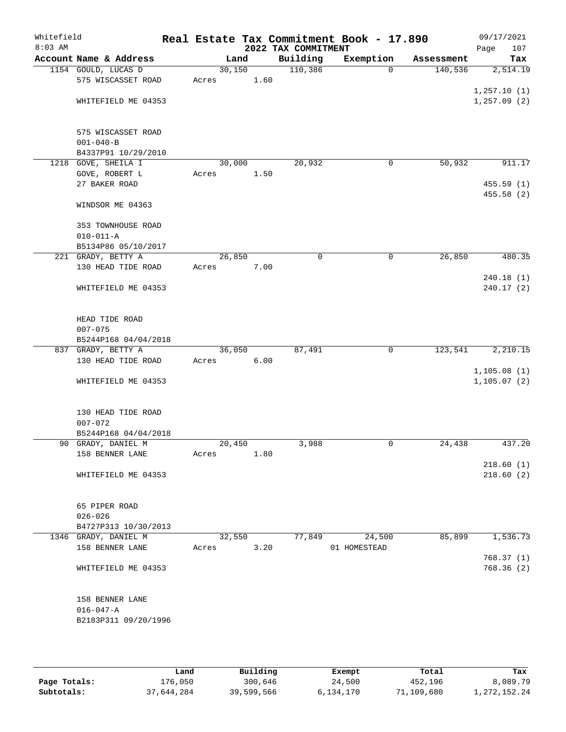| Whitefield<br>$8:03$ AM |                        |        |      | 2022 TAX COMMITMENT | Real Estate Tax Commitment Book - 17.890 |            | 09/17/2021<br>107<br>Page |
|-------------------------|------------------------|--------|------|---------------------|------------------------------------------|------------|---------------------------|
|                         | Account Name & Address | Land   |      | Building            | Exemption                                | Assessment | Tax                       |
|                         | 1154 GOULD, LUCAS D    | 30,150 |      | 110,386             | $\mathbf 0$                              | 140,536    | 2,514.19                  |
|                         | 575 WISCASSET ROAD     | Acres  | 1.60 |                     |                                          |            |                           |
|                         |                        |        |      |                     |                                          |            | 1, 257.10(1)              |
|                         | WHITEFIELD ME 04353    |        |      |                     |                                          |            | 1, 257.09(2)              |
|                         | 575 WISCASSET ROAD     |        |      |                     |                                          |            |                           |
|                         | $001 - 040 - B$        |        |      |                     |                                          |            |                           |
|                         | B4337P91 10/29/2010    |        |      |                     |                                          |            |                           |
|                         | 1218 GOVE, SHEILA I    | 30,000 |      | 20,932              | 0                                        | 50,932     | 911.17                    |
|                         | GOVE, ROBERT L         | Acres  | 1.50 |                     |                                          |            |                           |
|                         | 27 BAKER ROAD          |        |      |                     |                                          |            | 455.59(1)                 |
|                         | WINDSOR ME 04363       |        |      |                     |                                          |            | 455.58 (2)                |
|                         |                        |        |      |                     |                                          |            |                           |
|                         | 353 TOWNHOUSE ROAD     |        |      |                     |                                          |            |                           |
|                         | $010 - 011 - A$        |        |      |                     |                                          |            |                           |
|                         | B5134P86 05/10/2017    |        |      |                     |                                          |            |                           |
|                         | 221 GRADY, BETTY A     | 26,850 |      | 0                   | 0                                        | 26,850     | 480.35                    |
|                         | 130 HEAD TIDE ROAD     | Acres  | 7.00 |                     |                                          |            |                           |
|                         |                        |        |      |                     |                                          |            | 240.18(1)                 |
|                         | WHITEFIELD ME 04353    |        |      |                     |                                          |            | 240.17(2)                 |
|                         | HEAD TIDE ROAD         |        |      |                     |                                          |            |                           |
|                         | $007 - 075$            |        |      |                     |                                          |            |                           |
|                         | B5244P168 04/04/2018   |        |      |                     |                                          |            |                           |
|                         | 837 GRADY, BETTY A     | 36,050 |      | 87,491              | $\mathbf 0$                              | 123,541    | 2,210.15                  |
|                         | 130 HEAD TIDE ROAD     | Acres  | 6.00 |                     |                                          |            |                           |
|                         |                        |        |      |                     |                                          |            | 1, 105.08(1)              |
|                         | WHITEFIELD ME 04353    |        |      |                     |                                          |            | 1, 105.07(2)              |
|                         | 130 HEAD TIDE ROAD     |        |      |                     |                                          |            |                           |
|                         | $007 - 072$            |        |      |                     |                                          |            |                           |
|                         | B5244P168 04/04/2018   |        |      |                     |                                          |            |                           |
|                         | 90 GRADY, DANIEL M     | 20,450 |      | 3,988               | 0                                        | 24,438     | 437.20                    |
|                         | 158 BENNER LANE        | Acres  | 1.80 |                     |                                          |            |                           |
|                         |                        |        |      |                     |                                          |            | 218.60(1)                 |
|                         | WHITEFIELD ME 04353    |        |      |                     |                                          |            | 218.60(2)                 |
|                         | 65 PIPER ROAD          |        |      |                     |                                          |            |                           |
|                         | $026 - 026$            |        |      |                     |                                          |            |                           |
|                         | B4727P313 10/30/2013   |        |      |                     |                                          |            |                           |
|                         | 1346 GRADY, DANIEL M   | 32,550 |      | 77,849              | 24,500                                   | 85,899     | 1,536.73                  |
|                         | 158 BENNER LANE        | Acres  | 3.20 |                     | 01 HOMESTEAD                             |            |                           |
|                         |                        |        |      |                     |                                          |            | 768.37(1)                 |
|                         | WHITEFIELD ME 04353    |        |      |                     |                                          |            | 768.36 (2)                |
|                         | 158 BENNER LANE        |        |      |                     |                                          |            |                           |
|                         | $016 - 047 - A$        |        |      |                     |                                          |            |                           |
|                         | B2183P311 09/20/1996   |        |      |                     |                                          |            |                           |
|                         |                        |        |      |                     |                                          |            |                           |

|              | Land       | Building   | Exempt    | Total      | Tax             |
|--------------|------------|------------|-----------|------------|-----------------|
| Page Totals: | 176,050    | 300,646    | 24,500    | 452,196    | 8,089.79        |
| Subtotals:   | 37,644,284 | 39,599,566 | 6,134,170 | 71,109,680 | 1, 272, 152. 24 |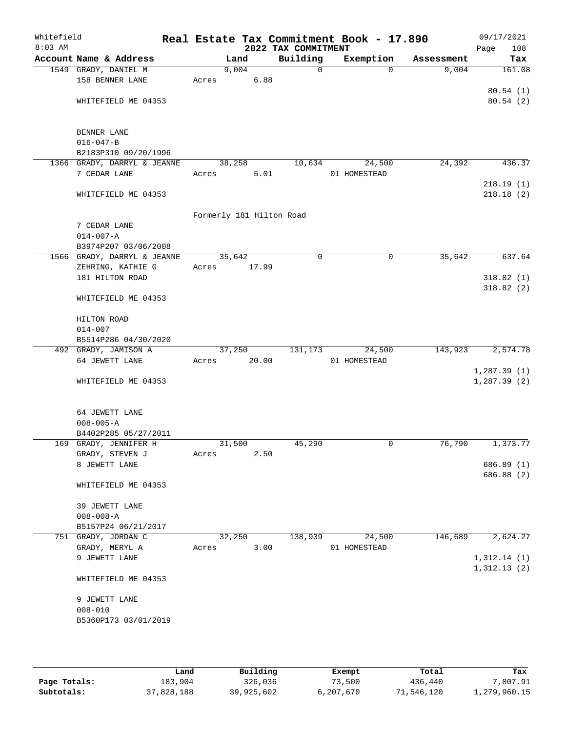| Whitefield<br>$8:03$ AM |                                            |       |        | 2022 TAX COMMITMENT      | Real Estate Tax Commitment Book - 17.890 |            | 09/17/2021<br>Page<br>108 |
|-------------------------|--------------------------------------------|-------|--------|--------------------------|------------------------------------------|------------|---------------------------|
|                         | Account Name & Address                     |       | Land   | Building                 | Exemption                                | Assessment | Tax                       |
|                         | 1549 GRADY, DANIEL M                       |       | 9,004  | $\mathbf 0$              | $\Omega$                                 | 9,004      | 161.08                    |
|                         | 158 BENNER LANE                            | Acres |        | 6.88                     |                                          |            |                           |
|                         |                                            |       |        |                          |                                          |            | 80.54(1)                  |
|                         | WHITEFIELD ME 04353                        |       |        |                          |                                          |            | 80.54(2)                  |
|                         |                                            |       |        |                          |                                          |            |                           |
|                         |                                            |       |        |                          |                                          |            |                           |
|                         | BENNER LANE                                |       |        |                          |                                          |            |                           |
|                         | $016 - 047 - B$                            |       |        |                          |                                          |            |                           |
|                         | B2183P310 09/20/1996                       |       |        |                          |                                          |            |                           |
|                         | 1366 GRADY, DARRYL & JEANNE                |       | 38,258 | 10,634                   | 24,500                                   | 24,392     | 436.37                    |
|                         | 7 CEDAR LANE                               | Acres |        | 5.01                     | 01 HOMESTEAD                             |            |                           |
|                         |                                            |       |        |                          |                                          |            | 218.19(1)                 |
|                         | WHITEFIELD ME 04353                        |       |        |                          |                                          |            | 218.18(2)                 |
|                         |                                            |       |        |                          |                                          |            |                           |
|                         |                                            |       |        | Formerly 181 Hilton Road |                                          |            |                           |
|                         | 7 CEDAR LANE                               |       |        |                          |                                          |            |                           |
|                         | $014 - 007 - A$                            |       |        |                          |                                          |            |                           |
|                         | B3974P207 03/06/2008                       |       |        |                          |                                          |            |                           |
|                         | 1566 GRADY, DARRYL & JEANNE                |       | 35,642 | $\mathbf 0$              | $\mathbf 0$                              | 35,642     | 637.64                    |
|                         | ZEHRING, KATHIE G                          | Acres | 17.99  |                          |                                          |            |                           |
|                         | 181 HILTON ROAD                            |       |        |                          |                                          |            | 318.82(1)                 |
|                         |                                            |       |        |                          |                                          |            | 318.82(2)                 |
|                         | WHITEFIELD ME 04353                        |       |        |                          |                                          |            |                           |
|                         | HILTON ROAD                                |       |        |                          |                                          |            |                           |
|                         | $014 - 007$                                |       |        |                          |                                          |            |                           |
|                         | B5514P286 04/30/2020                       |       |        |                          |                                          |            |                           |
|                         | 492 GRADY, JAMISON A                       |       | 37,250 | 131,173                  | 24,500                                   | 143,923    | 2,574.78                  |
|                         | 64 JEWETT LANE                             | Acres | 20.00  |                          | 01 HOMESTEAD                             |            |                           |
|                         |                                            |       |        |                          |                                          |            | 1,287.39(1)               |
|                         | WHITEFIELD ME 04353                        |       |        |                          |                                          |            | 1,287.39(2)               |
|                         |                                            |       |        |                          |                                          |            |                           |
|                         |                                            |       |        |                          |                                          |            |                           |
|                         | 64 JEWETT LANE                             |       |        |                          |                                          |            |                           |
|                         | $008 - 005 - A$                            |       |        |                          |                                          |            |                           |
|                         | B4402P285 05/27/2011                       |       |        |                          |                                          |            |                           |
|                         | 169 GRADY, JENNIFER H                      |       | 31,500 | 45,290                   | 0                                        | 76,790     | 1,373.77                  |
|                         | GRADY, STEVEN J                            | Acres |        | 2.50                     |                                          |            |                           |
|                         | 8 JEWETT LANE                              |       |        |                          |                                          |            | 686.89(1)                 |
|                         |                                            |       |        |                          |                                          |            | 686.88 (2)                |
|                         | WHITEFIELD ME 04353                        |       |        |                          |                                          |            |                           |
|                         |                                            |       |        |                          |                                          |            |                           |
|                         | 39 JEWETT LANE                             |       |        |                          |                                          |            |                           |
|                         | $008 - 008 - A$                            |       |        |                          |                                          |            |                           |
|                         | B5157P24 06/21/2017<br>751 GRADY, JORDAN C |       | 32,250 | 138,939                  | 24,500                                   | 146,689    | 2,624.27                  |
|                         | GRADY, MERYL A                             | Acres |        | 3.00                     | 01 HOMESTEAD                             |            |                           |
|                         | 9 JEWETT LANE                              |       |        |                          |                                          |            | 1,312.14(1)               |
|                         |                                            |       |        |                          |                                          |            | 1,312.13(2)               |
|                         | WHITEFIELD ME 04353                        |       |        |                          |                                          |            |                           |
|                         |                                            |       |        |                          |                                          |            |                           |
|                         | 9 JEWETT LANE                              |       |        |                          |                                          |            |                           |
|                         | $008 - 010$                                |       |        |                          |                                          |            |                           |
|                         | B5360P173 03/01/2019                       |       |        |                          |                                          |            |                           |
|                         |                                            |       |        |                          |                                          |            |                           |
|                         |                                            |       |        |                          |                                          |            |                           |
|                         |                                            |       |        |                          |                                          |            |                           |

|              | Land       | Building   | Exempt      | Total      | Tax          |
|--------------|------------|------------|-------------|------------|--------------|
| Page Totals: | 183,904    | 326,036    | 73,500      | 436,440    | 7,807.91     |
| Subtotals:   | 37,828,188 | 39,925,602 | 6, 207, 670 | 71,546,120 | 1,279,960.15 |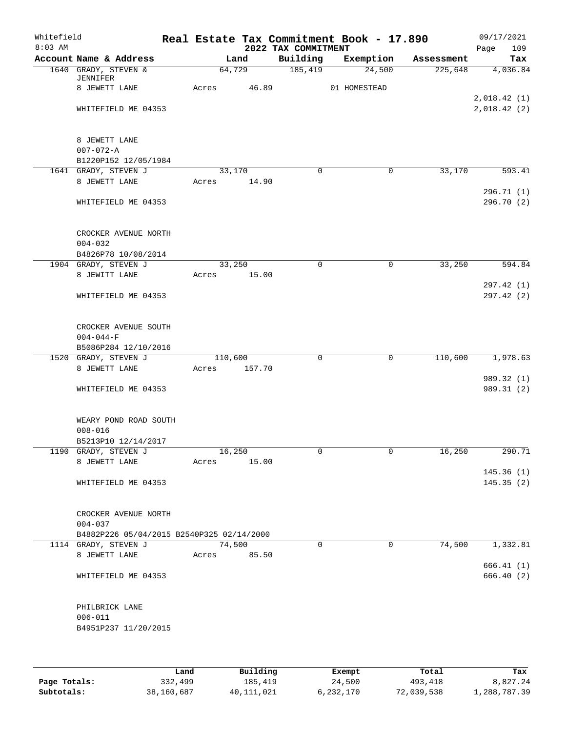| Whitefield<br>$8:03$ AM |                                           |       |         | 2022 TAX COMMITMENT | Real Estate Tax Commitment Book - 17.890 |            | 09/17/2021<br>109<br>Page |
|-------------------------|-------------------------------------------|-------|---------|---------------------|------------------------------------------|------------|---------------------------|
|                         | Account Name & Address                    |       | Land    | Building            | Exemption                                | Assessment | Tax                       |
|                         | 1640 GRADY, STEVEN &                      |       | 64,729  | 185,419             | 24,500                                   | 225,648    | 4,036.84                  |
|                         | JENNIFER                                  |       | 46.89   |                     | 01 HOMESTEAD                             |            |                           |
|                         | 8 JEWETT LANE                             | Acres |         |                     |                                          |            | 2,018.42(1)               |
|                         | WHITEFIELD ME 04353                       |       |         |                     |                                          |            | 2,018.42(2)               |
|                         |                                           |       |         |                     |                                          |            |                           |
|                         |                                           |       |         |                     |                                          |            |                           |
|                         | 8 JEWETT LANE                             |       |         |                     |                                          |            |                           |
|                         | $007 - 072 - A$                           |       |         |                     |                                          |            |                           |
|                         | B1220P152 12/05/1984                      |       |         |                     |                                          |            |                           |
|                         | 1641 GRADY, STEVEN J                      |       | 33,170  | $\Omega$            | 0                                        | 33,170     | 593.41                    |
|                         | 8 JEWETT LANE                             | Acres | 14.90   |                     |                                          |            |                           |
|                         |                                           |       |         |                     |                                          |            | 296.71(1)<br>296.70 (2)   |
|                         | WHITEFIELD ME 04353                       |       |         |                     |                                          |            |                           |
|                         | CROCKER AVENUE NORTH                      |       |         |                     |                                          |            |                           |
|                         | $004 - 032$                               |       |         |                     |                                          |            |                           |
|                         | B4826P78 10/08/2014                       |       |         |                     |                                          |            |                           |
|                         | 1904 GRADY, STEVEN J                      |       | 33,250  | 0                   | 0                                        | 33,250     | 594.84                    |
|                         | 8 JEWITT LANE                             | Acres | 15.00   |                     |                                          |            |                           |
|                         |                                           |       |         |                     |                                          |            | 297.42 (1)                |
|                         | WHITEFIELD ME 04353                       |       |         |                     |                                          |            | 297.42(2)                 |
|                         | CROCKER AVENUE SOUTH                      |       |         |                     |                                          |            |                           |
|                         | $004 - 044 - F$                           |       |         |                     |                                          |            |                           |
|                         | B5086P284 12/10/2016                      |       |         |                     |                                          |            |                           |
|                         | 1520 GRADY, STEVEN J                      |       | 110,600 | $\mathbf 0$         | $\mathbf 0$                              | 110,600    | 1,978.63                  |
|                         | 8 JEWETT LANE                             | Acres | 157.70  |                     |                                          |            |                           |
|                         |                                           |       |         |                     |                                          |            | 989.32 (1)                |
|                         | WHITEFIELD ME 04353                       |       |         |                     |                                          |            | 989.31 (2)                |
|                         | WEARY POND ROAD SOUTH                     |       |         |                     |                                          |            |                           |
|                         | $008 - 016$                               |       |         |                     |                                          |            |                           |
|                         | B5213P10 12/14/2017                       |       |         |                     |                                          |            |                           |
|                         | 1190 GRADY, STEVEN J                      |       | 16,250  | 0                   | $\overline{0}$                           | 16,250     | 290.71                    |
|                         | 8 JEWETT LANE                             | Acres | 15.00   |                     |                                          |            |                           |
|                         |                                           |       |         |                     |                                          |            | 145.36(1)                 |
|                         | WHITEFIELD ME 04353                       |       |         |                     |                                          |            | 145.35(2)                 |
|                         | CROCKER AVENUE NORTH                      |       |         |                     |                                          |            |                           |
|                         | $004 - 037$                               |       |         |                     |                                          |            |                           |
|                         | B4882P226 05/04/2015 B2540P325 02/14/2000 |       |         |                     |                                          |            |                           |
|                         | 1114 GRADY, STEVEN J                      |       | 74,500  | $\Omega$            | $\mathbf 0$                              | 74,500     | 1,332.81                  |
|                         | 8 JEWETT LANE                             | Acres | 85.50   |                     |                                          |            |                           |
|                         |                                           |       |         |                     |                                          |            | 666.41(1)                 |
|                         | WHITEFIELD ME 04353                       |       |         |                     |                                          |            | 666.40(2)                 |
|                         | PHILBRICK LANE                            |       |         |                     |                                          |            |                           |
|                         | $006 - 011$                               |       |         |                     |                                          |            |                           |
|                         | B4951P237 11/20/2015                      |       |         |                     |                                          |            |                           |
|                         |                                           |       |         |                     |                                          |            |                           |
|                         |                                           |       |         |                     |                                          |            |                           |
|                         |                                           |       |         |                     |                                          |            |                           |

|              | Land       | Building     | Exempt    | Total      | Tax          |
|--------------|------------|--------------|-----------|------------|--------------|
| Page Totals: | 332,499    | 185,419      | 24,500    | 493,418    | 8,827.24     |
| Subtotals:   | 38,160,687 | 40, 111, 021 | 6,232,170 | 72,039,538 | 1,288,787.39 |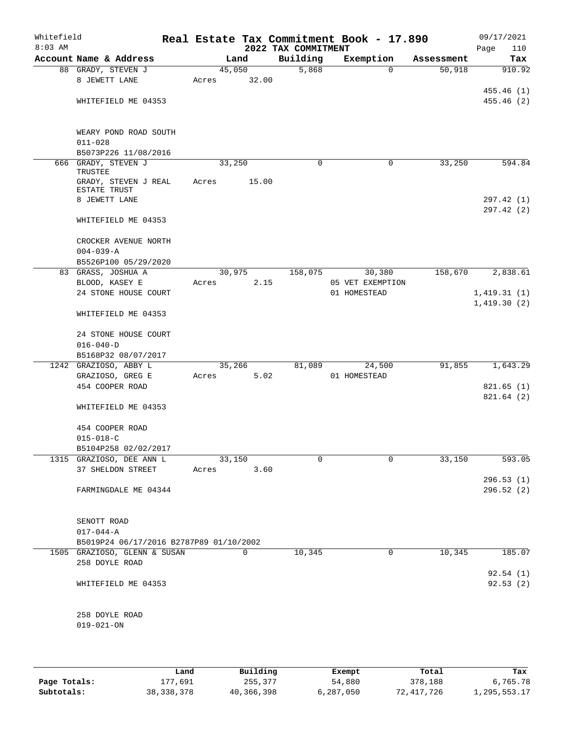| Whitefield<br>$8:03$ AM |                                         |       |        |       | 2022 TAX COMMITMENT | Real Estate Tax Commitment Book - 17.890 |            | Page        | 09/17/2021<br>110      |
|-------------------------|-----------------------------------------|-------|--------|-------|---------------------|------------------------------------------|------------|-------------|------------------------|
|                         | Account Name & Address                  |       | Land   |       | Building            | Exemption                                | Assessment |             | Tax                    |
|                         | 88 GRADY, STEVEN J                      |       | 45,050 |       | 5,868               | 0                                        | 50,918     |             | 910.92                 |
|                         | 8 JEWETT LANE                           | Acres |        | 32.00 |                     |                                          |            |             |                        |
|                         |                                         |       |        |       |                     |                                          |            |             | 455.46(1)              |
|                         | WHITEFIELD ME 04353                     |       |        |       |                     |                                          |            |             | 455.46(2)              |
|                         |                                         |       |        |       |                     |                                          |            |             |                        |
|                         | WEARY POND ROAD SOUTH<br>$011 - 028$    |       |        |       |                     |                                          |            |             |                        |
|                         | B5073P226 11/08/2016                    |       |        |       |                     |                                          |            |             |                        |
|                         | 666 GRADY, STEVEN J                     |       | 33,250 |       | 0                   | 0                                        | 33,250     |             | 594.84                 |
|                         | TRUSTEE                                 |       |        |       |                     |                                          |            |             |                        |
|                         | GRADY, STEVEN J REAL<br>ESTATE TRUST    | Acres |        | 15.00 |                     |                                          |            |             |                        |
|                         | 8 JEWETT LANE                           |       |        |       |                     |                                          |            |             | 297.42 (1)             |
|                         | WHITEFIELD ME 04353                     |       |        |       |                     |                                          |            |             | 297.42(2)              |
|                         | CROCKER AVENUE NORTH                    |       |        |       |                     |                                          |            |             |                        |
|                         | $004 - 039 - A$                         |       |        |       |                     |                                          |            |             |                        |
|                         | B5526P100 05/29/2020                    |       |        |       |                     |                                          |            |             |                        |
|                         | 83 GRASS, JOSHUA A                      |       | 30,975 |       | 158,075             | 30,380                                   | 158,670    |             | 2,838.61               |
|                         | BLOOD, KASEY E                          | Acres |        | 2.15  |                     | 05 VET EXEMPTION                         |            |             |                        |
|                         | 24 STONE HOUSE COURT                    |       |        |       |                     | 01 HOMESTEAD                             |            | 1,419.31(1) |                        |
|                         | WHITEFIELD ME 04353                     |       |        |       |                     |                                          |            | 1,419.30(2) |                        |
|                         | 24 STONE HOUSE COURT                    |       |        |       |                     |                                          |            |             |                        |
|                         | $016 - 040 - D$                         |       |        |       |                     |                                          |            |             |                        |
|                         | B5168P32 08/07/2017                     |       |        |       |                     |                                          |            |             |                        |
|                         | 1242 GRAZIOSO, ABBY L                   |       | 35,266 |       | 81,089              | 24,500                                   | 91,855     |             | 1,643.29               |
|                         | GRAZIOSO, GREG E                        | Acres |        | 5.02  |                     | 01 HOMESTEAD                             |            |             |                        |
|                         | 454 COOPER ROAD                         |       |        |       |                     |                                          |            |             | 821.65(1)<br>821.64(2) |
|                         | WHITEFIELD ME 04353                     |       |        |       |                     |                                          |            |             |                        |
|                         | 454 COOPER ROAD                         |       |        |       |                     |                                          |            |             |                        |
|                         | $015 - 018 - C$                         |       |        |       |                     |                                          |            |             |                        |
|                         | B5104P258 02/02/2017                    |       |        |       |                     |                                          |            |             |                        |
|                         | 1315 GRAZIOSO, DEE ANN L                |       | 33,150 |       | 0                   | 0                                        | 33,150     |             | 593.05                 |
|                         | 37 SHELDON STREET                       | Acres |        | 3.60  |                     |                                          |            |             | 296.53(1)              |
|                         | FARMINGDALE ME 04344                    |       |        |       |                     |                                          |            |             | 296.52(2)              |
|                         |                                         |       |        |       |                     |                                          |            |             |                        |
|                         | SENOTT ROAD                             |       |        |       |                     |                                          |            |             |                        |
|                         | $017 - 044 - A$                         |       |        |       |                     |                                          |            |             |                        |
|                         | B5019P24 06/17/2016 B2787P89 01/10/2002 |       |        |       |                     |                                          |            |             |                        |
|                         | 1505 GRAZIOSO, GLENN & SUSAN            |       |        | 0     | 10,345              | 0                                        | 10,345     |             | 185.07                 |
|                         | 258 DOYLE ROAD                          |       |        |       |                     |                                          |            |             |                        |
|                         |                                         |       |        |       |                     |                                          |            |             | 92.54(1)               |
|                         | WHITEFIELD ME 04353                     |       |        |       |                     |                                          |            |             | 92.53(2)               |
|                         | 258 DOYLE ROAD                          |       |        |       |                     |                                          |            |             |                        |
|                         | $019 - 021 - ON$                        |       |        |       |                     |                                          |            |             |                        |
|                         |                                         |       |        |       |                     |                                          |            |             |                        |
|                         |                                         |       |        |       |                     |                                          |            |             |                        |
|                         |                                         |       |        |       |                     |                                          |            |             |                        |

|              | Land         | Building   | Exempt    | Total      | Tax          |
|--------------|--------------|------------|-----------|------------|--------------|
| Page Totals: | 177,691      | 255,377    | 54,880    | 378,188    | 6,765.78     |
| Subtotals:   | 38, 338, 378 | 40,366,398 | 6,287,050 | 72,417,726 | 1,295,553.17 |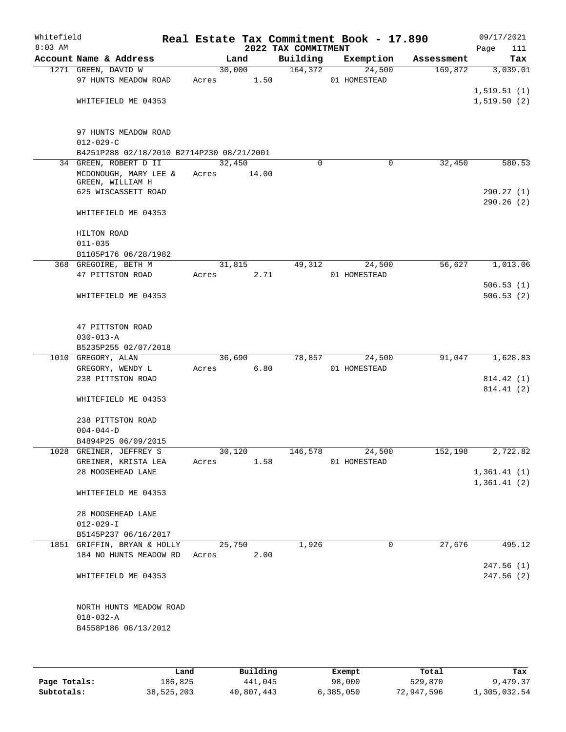| Whitefield<br>$8:03$ AM |                                                                  |       |        |       | 2022 TAX COMMITMENT | Real Estate Tax Commitment Book - 17.890 |            | 09/17/2021<br>Page  | 111 |
|-------------------------|------------------------------------------------------------------|-------|--------|-------|---------------------|------------------------------------------|------------|---------------------|-----|
|                         | Account Name & Address                                           |       | Land   |       | Building            | Exemption                                | Assessment | Tax                 |     |
|                         | 1271 GREEN, DAVID W                                              |       | 30,000 |       | 164,372             | 24,500                                   | 169,872    | 3,039.01            |     |
|                         | 97 HUNTS MEADOW ROAD                                             | Acres |        | 1.50  |                     | 01 HOMESTEAD                             |            | 1,519.51(1)         |     |
|                         | WHITEFIELD ME 04353                                              |       |        |       |                     |                                          |            | 1,519.50(2)         |     |
|                         | 97 HUNTS MEADOW ROAD<br>$012 - 029 - C$                          |       |        |       |                     |                                          |            |                     |     |
|                         | B4251P288 02/18/2010 B2714P230 08/21/2001                        |       |        |       |                     |                                          |            |                     |     |
|                         | 34 GREEN, ROBERT D II                                            |       | 32,450 |       | $\Omega$            | 0                                        | 32,450     | $\overline{580}.53$ |     |
|                         | MCDONOUGH, MARY LEE &<br>GREEN, WILLIAM H<br>625 WISCASSETT ROAD | Acres |        | 14.00 |                     |                                          |            | 290.27(1)           |     |
|                         | WHITEFIELD ME 04353                                              |       |        |       |                     |                                          |            | 290.26(2)           |     |
|                         | HILTON ROAD<br>$011 - 035$                                       |       |        |       |                     |                                          |            |                     |     |
|                         | B1105P176 06/28/1982                                             |       |        |       |                     |                                          |            |                     |     |
|                         | 368 GREGOIRE, BETH M<br>47 PITTSTON ROAD                         | Acres | 31,815 | 2.71  | 49,312              | 24,500<br>01 HOMESTEAD                   | 56,627     | 1,013.06            |     |
|                         |                                                                  |       |        |       |                     |                                          |            | 506.53(1)           |     |
|                         | WHITEFIELD ME 04353                                              |       |        |       |                     |                                          |            | 506.53(2)           |     |
|                         | 47 PITTSTON ROAD<br>$030 - 013 - A$                              |       |        |       |                     |                                          |            |                     |     |
|                         | B5235P255 02/07/2018                                             |       |        |       |                     |                                          |            |                     |     |
|                         | 1010 GREGORY, ALAN                                               |       | 36,690 |       | 78,857              | 24,500                                   | 91,047     | 1,628.83            |     |
|                         | GREGORY, WENDY L                                                 | Acres |        | 6.80  |                     | 01 HOMESTEAD                             |            |                     |     |
|                         | 238 PITTSTON ROAD                                                |       |        |       |                     |                                          |            | 814.42 (1)          |     |
|                         | WHITEFIELD ME 04353                                              |       |        |       |                     |                                          |            | 814.41 (2)          |     |
|                         | 238 PITTSTON ROAD                                                |       |        |       |                     |                                          |            |                     |     |
|                         | $004 - 044 - D$                                                  |       |        |       |                     |                                          |            |                     |     |
|                         | B4894P25 06/09/2015                                              |       |        |       |                     |                                          |            |                     |     |
|                         | 1028 GREINER, JEFFREY S                                          |       | 30,120 |       | 146,578             | 24,500                                   | 152,198    | 2,722.82            |     |
|                         | GREINER, KRISTA LEA<br>28 MOOSEHEAD LANE                         | Acres |        | 1.58  |                     | 01 HOMESTEAD                             |            | 1,361.41(1)         |     |
|                         |                                                                  |       |        |       |                     |                                          |            | 1,361.41(2)         |     |
|                         | WHITEFIELD ME 04353                                              |       |        |       |                     |                                          |            |                     |     |
|                         | 28 MOOSEHEAD LANE                                                |       |        |       |                     |                                          |            |                     |     |
|                         | $012 - 029 - I$                                                  |       |        |       |                     |                                          |            |                     |     |
|                         | B5145P237 06/16/2017                                             |       |        |       |                     |                                          |            |                     |     |
|                         | 1851 GRIFFIN, BRYAN & HOLLY<br>184 NO HUNTS MEADOW RD            | Acres | 25,750 | 2.00  | 1,926               | $\mathbf 0$                              | 27,676     | 495.12              |     |
|                         |                                                                  |       |        |       |                     |                                          |            | 247.56(1)           |     |
|                         | WHITEFIELD ME 04353                                              |       |        |       |                     |                                          |            | 247.56(2)           |     |
|                         | NORTH HUNTS MEADOW ROAD                                          |       |        |       |                     |                                          |            |                     |     |
|                         | $018 - 032 - A$                                                  |       |        |       |                     |                                          |            |                     |     |
|                         | B4558P186 08/13/2012                                             |       |        |       |                     |                                          |            |                     |     |
|                         |                                                                  |       |        |       |                     |                                          |            |                     |     |
|                         |                                                                  |       |        |       |                     |                                          |            |                     |     |

|              | Land       | Building   | Exempt    | Total      | Tax          |
|--------------|------------|------------|-----------|------------|--------------|
| Page Totals: | 186,825    | 441,045    | 98,000    | 529,870    | 9,479.37     |
| Subtotals:   | 38,525,203 | 40,807,443 | 6,385,050 | 72,947,596 | 1,305,032.54 |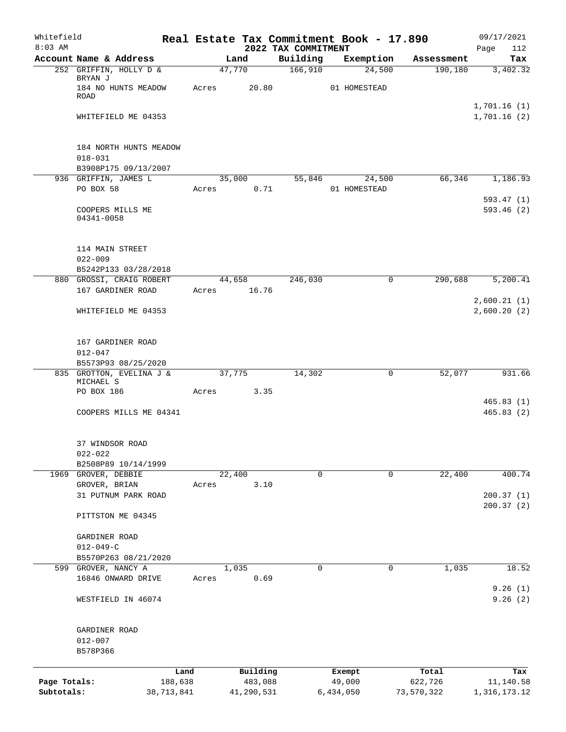| Whitefield<br>$8:03$ AM |                                        |       |                |                                 | Real Estate Tax Commitment Book - 17.890 |            | 09/17/2021                 |
|-------------------------|----------------------------------------|-------|----------------|---------------------------------|------------------------------------------|------------|----------------------------|
|                         | Account Name & Address                 |       | Land           | 2022 TAX COMMITMENT<br>Building | Exemption                                | Assessment | 112<br>Page<br>Tax         |
|                         | 252 GRIFFIN, HOLLY D &                 |       | 47,770         | 166,910                         | 24,500                                   | 190,180    | 3,402.32                   |
|                         | BRYAN J<br>184 NO HUNTS MEADOW<br>ROAD | Acres | 20.80          |                                 | 01 HOMESTEAD                             |            |                            |
|                         | WHITEFIELD ME 04353                    |       |                |                                 |                                          |            | 1,701.16(1)<br>1,701.16(2) |
|                         |                                        |       |                |                                 |                                          |            |                            |
|                         | 184 NORTH HUNTS MEADOW<br>$018 - 031$  |       |                |                                 |                                          |            |                            |
|                         | B3908P175 09/13/2007                   |       |                |                                 |                                          | 66,346     |                            |
|                         | 936 GRIFFIN, JAMES L<br>PO BOX 58      | Acres | 35,000<br>0.71 | 55,846                          | 24,500<br>01 HOMESTEAD                   |            | 1,186.93                   |
|                         |                                        |       |                |                                 |                                          |            | 593.47(1)                  |
|                         | COOPERS MILLS ME<br>04341-0058         |       |                |                                 |                                          |            | 593.46(2)                  |
|                         | 114 MAIN STREET<br>$022 - 009$         |       |                |                                 |                                          |            |                            |
|                         | B5242P133 03/28/2018                   |       |                |                                 |                                          |            |                            |
|                         | 880 GROSSI, CRAIG ROBERT               |       | 44,658         | 246,030                         | $\mathbf 0$                              | 290,688    | 5,200.41                   |
|                         | 167 GARDINER ROAD                      | Acres | 16.76          |                                 |                                          |            |                            |
|                         | WHITEFIELD ME 04353                    |       |                |                                 |                                          |            | 2,600.21(1)<br>2,600.20(2) |
|                         | 167 GARDINER ROAD                      |       |                |                                 |                                          |            |                            |
|                         | $012 - 047$                            |       |                |                                 |                                          |            |                            |
|                         | B5573P93 08/25/2020                    |       |                |                                 |                                          |            |                            |
|                         | 835 GROTTON, EVELINA J &               |       | 37,775         | 14,302                          | 0                                        | 52,077     | 931.66                     |
|                         | MICHAEL S<br>PO BOX 186                | Acres | 3.35           |                                 |                                          |            |                            |
|                         |                                        |       |                |                                 |                                          |            | 465.83(1)                  |
|                         | COOPERS MILLS ME 04341                 |       |                |                                 |                                          |            | 465.83(2)                  |
|                         | 37 WINDSOR ROAD                        |       |                |                                 |                                          |            |                            |
|                         | $022 - 022$                            |       |                |                                 |                                          |            |                            |
| 1969                    | B2508P89 10/14/1999<br>GROVER, DEBBIE  |       | 22,400         | 0                               | 0                                        | 22,400     | 400.74                     |
|                         | GROVER, BRIAN                          | Acres | 3.10           |                                 |                                          |            |                            |
|                         | 31 PUTNUM PARK ROAD                    |       |                |                                 |                                          |            | 200.37(1)                  |
|                         | PITTSTON ME 04345                      |       |                |                                 |                                          |            | 200.37(2)                  |
|                         |                                        |       |                |                                 |                                          |            |                            |
|                         | GARDINER ROAD<br>$012 - 049 - C$       |       |                |                                 |                                          |            |                            |
|                         | B5570P263 08/21/2020                   |       |                |                                 |                                          |            |                            |
| 599                     | GROVER, NANCY A                        |       | 1,035          | 0                               | 0                                        | 1,035      | 18.52                      |
|                         | 16846 ONWARD DRIVE                     | Acres | 0.69           |                                 |                                          |            |                            |
|                         | WESTFIELD IN 46074                     |       |                |                                 |                                          |            | 9.26(1)<br>9.26(2)         |
|                         |                                        |       |                |                                 |                                          |            |                            |
|                         | GARDINER ROAD                          |       |                |                                 |                                          |            |                            |
|                         | $012 - 007$<br>B578P366                |       |                |                                 |                                          |            |                            |
|                         |                                        |       | Building       |                                 |                                          | Total      |                            |
| Page Totals:            | 188,638                                | Land  | 483,088        |                                 | Exempt<br>49,000                         | 622,726    | Tax<br>11,140.58           |
| Subtotals:              | 38,713,841                             |       | 41,290,531     |                                 | 6,434,050                                | 73,570,322 | 1, 316, 173. 12            |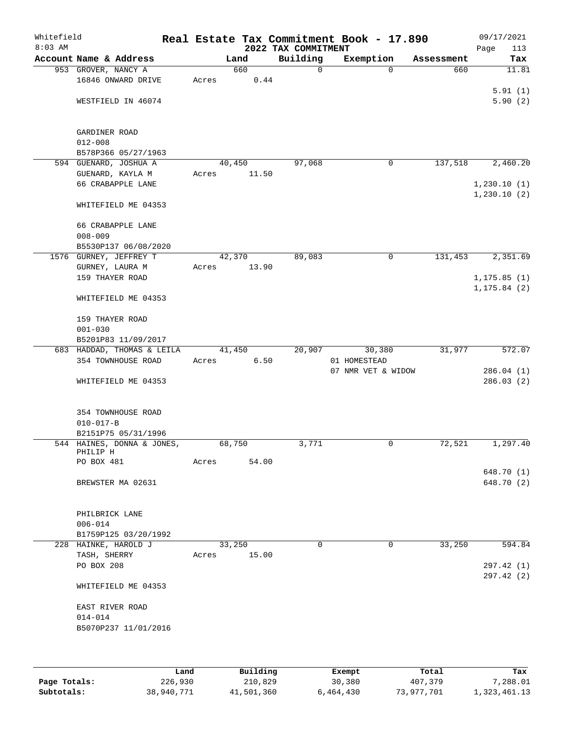| Whitefield<br>$8:03$ AM |                                              |       |          | 2022 TAX COMMITMENT | Real Estate Tax Commitment Book - 17.890 |            | 09/17/2021                 |
|-------------------------|----------------------------------------------|-------|----------|---------------------|------------------------------------------|------------|----------------------------|
|                         | Account Name & Address                       |       | Land     | Building            | Exemption                                | Assessment | Page<br>113<br>Tax         |
|                         | 953 GROVER, NANCY A                          |       | 660      | $\mathsf{O}$        | $\Omega$                                 | 660        | 11.81                      |
|                         | 16846 ONWARD DRIVE                           | Acres | 0.44     |                     |                                          |            |                            |
|                         | WESTFIELD IN 46074                           |       |          |                     |                                          |            | 5.91(1)<br>5.90(2)         |
|                         |                                              |       |          |                     |                                          |            |                            |
|                         | GARDINER ROAD                                |       |          |                     |                                          |            |                            |
|                         | $012 - 008$                                  |       |          |                     |                                          |            |                            |
|                         | B578P366 05/27/1963                          |       |          |                     |                                          |            |                            |
|                         | 594 GUENARD, JOSHUA A                        |       | 40,450   | 97,068              | 0                                        | 137,518    | 2,460.20                   |
|                         | GUENARD, KAYLA M                             | Acres | 11.50    |                     |                                          |            |                            |
|                         | 66 CRABAPPLE LANE                            |       |          |                     |                                          |            | 1,230.10(1)<br>1,230.10(2) |
|                         | WHITEFIELD ME 04353                          |       |          |                     |                                          |            |                            |
|                         | 66 CRABAPPLE LANE                            |       |          |                     |                                          |            |                            |
|                         | $008 - 009$                                  |       |          |                     |                                          |            |                            |
|                         | B5530P137 06/08/2020                         |       |          |                     |                                          |            |                            |
|                         | 1576 GURNEY, JEFFREY T                       |       | 42,370   | 89,083              | 0                                        | 131,453    | 2,351.69                   |
|                         | GURNEY, LAURA M<br>159 THAYER ROAD           | Acres | 13.90    |                     |                                          |            | 1, 175.85(1)               |
|                         |                                              |       |          |                     |                                          |            | 1, 175.84(2)               |
|                         | WHITEFIELD ME 04353                          |       |          |                     |                                          |            |                            |
|                         | 159 THAYER ROAD                              |       |          |                     |                                          |            |                            |
|                         | $001 - 030$                                  |       |          |                     |                                          |            |                            |
|                         | B5201P83 11/09/2017                          |       |          |                     |                                          |            |                            |
|                         | 683 HADDAD, THOMAS & LEILA                   |       | 41,450   | 20,907              | 30,380                                   | 31,977     | 572.07                     |
|                         | 354 TOWNHOUSE ROAD                           | Acres | 6.50     |                     | 01 HOMESTEAD                             |            |                            |
|                         | WHITEFIELD ME 04353                          |       |          |                     | 07 NMR VET & WIDOW                       |            | 286.04(1)<br>286.03(2)     |
|                         |                                              |       |          |                     |                                          |            |                            |
|                         | 354 TOWNHOUSE ROAD                           |       |          |                     |                                          |            |                            |
|                         | $010 - 017 - B$                              |       |          |                     |                                          |            |                            |
|                         | B2151P75 05/31/1996                          |       |          |                     |                                          |            |                            |
|                         | 544 HAINES, DONNA & JONES,                   |       | 68,750   | 3,771               | 0                                        | 72,521     | 1,297.40                   |
|                         | PHILIP H<br>PO BOX 481                       | Acres | 54.00    |                     |                                          |            |                            |
|                         |                                              |       |          |                     |                                          |            | 648.70 (1)                 |
|                         | BREWSTER MA 02631                            |       |          |                     |                                          |            | 648.70 (2)                 |
|                         |                                              |       |          |                     |                                          |            |                            |
|                         | PHILBRICK LANE                               |       |          |                     |                                          |            |                            |
|                         | $006 - 014$                                  |       |          |                     |                                          |            |                            |
|                         | B1759P125 03/20/1992<br>228 HAINKE, HAROLD J |       | 33,250   | $\Omega$            | 0                                        | 33,250     | 594.84                     |
|                         | TASH, SHERRY                                 | Acres | 15.00    |                     |                                          |            |                            |
|                         | PO BOX 208                                   |       |          |                     |                                          |            | 297.42 (1)                 |
|                         |                                              |       |          |                     |                                          |            | 297.42 (2)                 |
|                         | WHITEFIELD ME 04353                          |       |          |                     |                                          |            |                            |
|                         | EAST RIVER ROAD                              |       |          |                     |                                          |            |                            |
|                         | $014 - 014$                                  |       |          |                     |                                          |            |                            |
|                         | B5070P237 11/01/2016                         |       |          |                     |                                          |            |                            |
|                         |                                              |       |          |                     |                                          |            |                            |
|                         |                                              | Land  | Building |                     | <b>Exempt</b>                            | Total      | Tax                        |

|              | Land       | Building   | Exempt    | Total      | Tax          |
|--------------|------------|------------|-----------|------------|--------------|
| Page Totals: | 226,930    | 210,829    | 30,380    | 407,379    | 7,288.01     |
| Subtotals:   | 38,940,771 | 41,501,360 | 6,464,430 | 73,977,701 | 1,323,461.13 |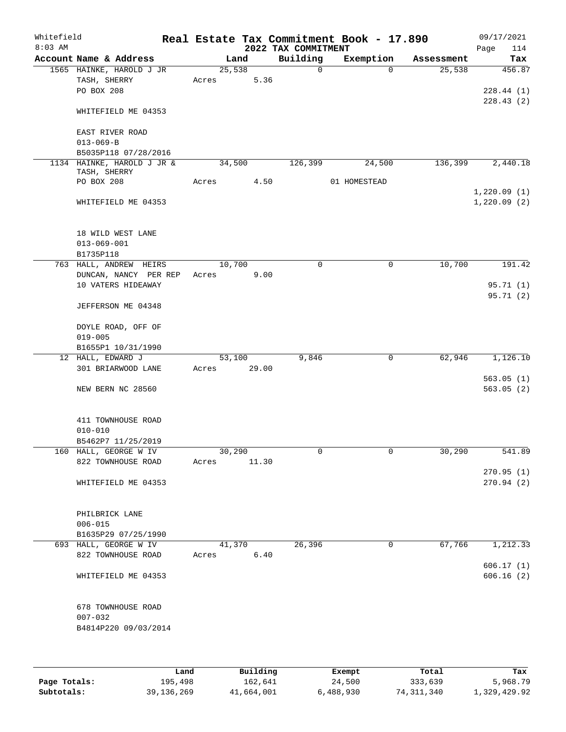| Whitefield<br>$8:03$ AM |                                             |       |        |       | 2022 TAX COMMITMENT | Real Estate Tax Commitment Book - 17.890 |            | 09/17/2021<br>114<br>Page |
|-------------------------|---------------------------------------------|-------|--------|-------|---------------------|------------------------------------------|------------|---------------------------|
|                         | Account Name & Address                      |       | Land   |       | Building            | Exemption                                | Assessment | Tax                       |
|                         | 1565 HAINKE, HAROLD J JR                    |       | 25,538 |       | $\Omega$            | $\Omega$                                 | 25,538     | 456.87                    |
|                         | TASH, SHERRY                                | Acres |        | 5.36  |                     |                                          |            |                           |
|                         | PO BOX 208                                  |       |        |       |                     |                                          |            | 228.44(1)                 |
|                         |                                             |       |        |       |                     |                                          |            | 228.43(2)                 |
|                         | WHITEFIELD ME 04353                         |       |        |       |                     |                                          |            |                           |
|                         |                                             |       |        |       |                     |                                          |            |                           |
|                         | EAST RIVER ROAD                             |       |        |       |                     |                                          |            |                           |
|                         | $013 - 069 - B$                             |       |        |       |                     |                                          |            |                           |
|                         | B5035P118 07/28/2016                        |       |        |       | 126,399             |                                          | 136,399    |                           |
|                         | 1134 HAINKE, HAROLD J JR &<br>TASH, SHERRY  |       | 34,500 |       |                     | 24,500                                   |            | 2,440.18                  |
|                         | PO BOX 208                                  | Acres |        | 4.50  |                     | 01 HOMESTEAD                             |            |                           |
|                         |                                             |       |        |       |                     |                                          |            | 1,220.09(1)               |
|                         | WHITEFIELD ME 04353                         |       |        |       |                     |                                          |            | 1,220.09(2)               |
|                         |                                             |       |        |       |                     |                                          |            |                           |
|                         |                                             |       |        |       |                     |                                          |            |                           |
|                         | 18 WILD WEST LANE                           |       |        |       |                     |                                          |            |                           |
|                         | $013 - 069 - 001$                           |       |        |       |                     |                                          |            |                           |
|                         | B1735P118                                   |       |        |       |                     |                                          |            |                           |
|                         | 763 HALL, ANDREW HEIRS                      |       | 10,700 |       | $\mathbf 0$         | $\mathbf 0$                              | 10,700     | 191.42                    |
|                         | DUNCAN, NANCY PER REP<br>10 VATERS HIDEAWAY | Acres |        | 9.00  |                     |                                          |            | 95.71 (1)                 |
|                         |                                             |       |        |       |                     |                                          |            | 95.71 (2)                 |
|                         | JEFFERSON ME 04348                          |       |        |       |                     |                                          |            |                           |
|                         |                                             |       |        |       |                     |                                          |            |                           |
|                         | DOYLE ROAD, OFF OF                          |       |        |       |                     |                                          |            |                           |
|                         | $019 - 005$                                 |       |        |       |                     |                                          |            |                           |
|                         | B1655P1 10/31/1990                          |       |        |       |                     |                                          |            |                           |
|                         | 12 HALL, EDWARD J                           |       | 53,100 |       | 9,846               | $\mathbf 0$                              | 62,946     | 1,126.10                  |
|                         | 301 BRIARWOOD LANE                          | Acres |        | 29.00 |                     |                                          |            |                           |
|                         |                                             |       |        |       |                     |                                          |            | 563.05(1)                 |
|                         | NEW BERN NC 28560                           |       |        |       |                     |                                          |            | 563.05(2)                 |
|                         |                                             |       |        |       |                     |                                          |            |                           |
|                         |                                             |       |        |       |                     |                                          |            |                           |
|                         | 411 TOWNHOUSE ROAD<br>$010 - 010$           |       |        |       |                     |                                          |            |                           |
|                         | B5462P7 11/25/2019                          |       |        |       |                     |                                          |            |                           |
|                         | 160 HALL, GEORGE W IV                       |       | 30,290 |       | 0                   | 0                                        | 30,290     | 541.89                    |
|                         | 822 TOWNHOUSE ROAD                          | Acres |        | 11.30 |                     |                                          |            |                           |
|                         |                                             |       |        |       |                     |                                          |            | 270.95(1)                 |
|                         | WHITEFIELD ME 04353                         |       |        |       |                     |                                          |            | 270.94(2)                 |
|                         |                                             |       |        |       |                     |                                          |            |                           |
|                         |                                             |       |        |       |                     |                                          |            |                           |
|                         | PHILBRICK LANE                              |       |        |       |                     |                                          |            |                           |
|                         | $006 - 015$                                 |       |        |       |                     |                                          |            |                           |
|                         | B1635P29 07/25/1990                         |       |        |       |                     |                                          |            |                           |
|                         | 693 HALL, GEORGE W IV                       |       | 41,370 |       | 26,396              | 0                                        | 67,766     | 1,212.33                  |
|                         | 822 TOWNHOUSE ROAD                          | Acres |        | 6.40  |                     |                                          |            |                           |
|                         |                                             |       |        |       |                     |                                          |            | 606.17(1)                 |
|                         | WHITEFIELD ME 04353                         |       |        |       |                     |                                          |            | 606.16(2)                 |
|                         |                                             |       |        |       |                     |                                          |            |                           |
|                         | 678 TOWNHOUSE ROAD                          |       |        |       |                     |                                          |            |                           |
|                         | $007 - 032$                                 |       |        |       |                     |                                          |            |                           |
|                         | B4814P220 09/03/2014                        |       |        |       |                     |                                          |            |                           |
|                         |                                             |       |        |       |                     |                                          |            |                           |
|                         |                                             |       |        |       |                     |                                          |            |                           |
|                         |                                             |       |        |       |                     |                                          |            |                           |

|              | Land       | Building   | Exempt    | Total      | Tax          |
|--------------|------------|------------|-----------|------------|--------------|
| Page Totals: | 195,498    | 162,641    | 24,500    | 333,639    | 5,968.79     |
| Subtotals:   | 39,136,269 | 41,664,001 | 6,488,930 | 74,311,340 | 1,329,429.92 |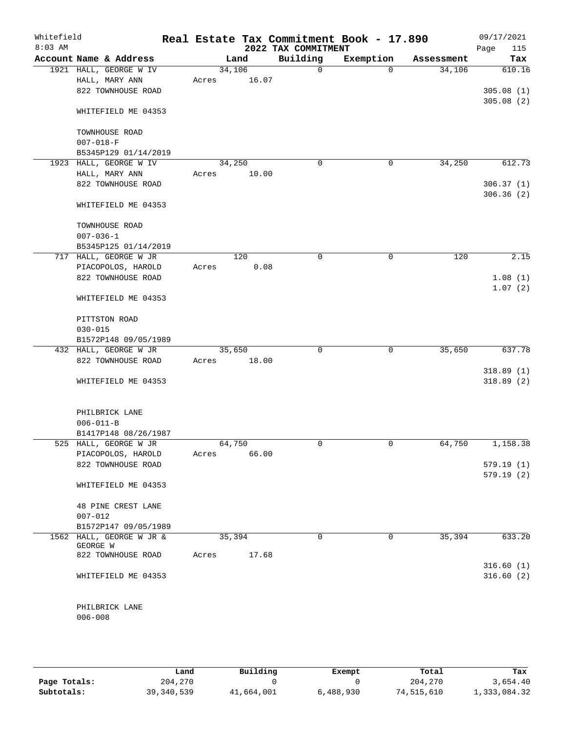| Whitefield<br>$8:03$ AM |                                   |        |       | 2022 TAX COMMITMENT | Real Estate Tax Commitment Book - 17.890 |            | 09/17/2021<br>115<br>Page |
|-------------------------|-----------------------------------|--------|-------|---------------------|------------------------------------------|------------|---------------------------|
|                         | Account Name & Address            |        | Land  | Building            | Exemption                                | Assessment | Tax                       |
|                         | 1921 HALL, GEORGE W IV            | 34,106 |       | $\mathbf 0$         | $\Omega$                                 | 34,106     | 610.16                    |
|                         | HALL, MARY ANN                    | Acres  | 16.07 |                     |                                          |            |                           |
|                         | 822 TOWNHOUSE ROAD                |        |       |                     |                                          |            | 305.08(1)                 |
|                         | WHITEFIELD ME 04353               |        |       |                     |                                          |            | 305.08(2)                 |
|                         | TOWNHOUSE ROAD<br>$007 - 018 - F$ |        |       |                     |                                          |            |                           |
|                         | B5345P129 01/14/2019              |        |       |                     |                                          |            |                           |
|                         | 1923 HALL, GEORGE W IV            | 34,250 |       | $\mathbf 0$         | 0                                        | 34,250     | 612.73                    |
|                         | HALL, MARY ANN                    | Acres  | 10.00 |                     |                                          |            |                           |
|                         | 822 TOWNHOUSE ROAD                |        |       |                     |                                          |            | 306.37(1)                 |
|                         | WHITEFIELD ME 04353               |        |       |                     |                                          |            | 306.36(2)                 |
|                         | TOWNHOUSE ROAD<br>$007 - 036 - 1$ |        |       |                     |                                          |            |                           |
|                         | B5345P125 01/14/2019              |        |       |                     |                                          |            |                           |
|                         | 717 HALL, GEORGE W JR             |        | 120   | $\mathbf 0$         | $\mathbf 0$                              | 120        | 2.15                      |
|                         | PIACOPOLOS, HAROLD                | Acres  | 0.08  |                     |                                          |            |                           |
|                         | 822 TOWNHOUSE ROAD                |        |       |                     |                                          |            | 1.08(1)                   |
|                         | WHITEFIELD ME 04353               |        |       |                     |                                          |            | 1.07(2)                   |
|                         | PITTSTON ROAD<br>$030 - 015$      |        |       |                     |                                          |            |                           |
|                         | B1572P148 09/05/1989              |        |       |                     |                                          |            |                           |
|                         | 432 HALL, GEORGE W JR             | 35,650 |       | $\mathbf 0$         | $\mathbf 0$                              | 35,650     | 637.78                    |
|                         | 822 TOWNHOUSE ROAD                | Acres  | 18.00 |                     |                                          |            |                           |
|                         |                                   |        |       |                     |                                          |            | 318.89(1)                 |
|                         | WHITEFIELD ME 04353               |        |       |                     |                                          |            | 318.89(2)                 |
|                         | PHILBRICK LANE                    |        |       |                     |                                          |            |                           |
|                         | $006 - 011 - B$                   |        |       |                     |                                          |            |                           |
|                         | B1417P148 08/26/1987              |        |       |                     |                                          |            |                           |
|                         | 525 HALL, GEORGE W JR             | 64,750 |       | $\mathbf 0$         | $\mathbf 0$                              | 64,750     | 1,158.38                  |
|                         | PIACOPOLOS, HAROLD                | Acres  | 66.00 |                     |                                          |            |                           |
|                         | 822 TOWNHOUSE ROAD                |        |       |                     |                                          |            | 579.19(1)<br>579.19(2)    |
|                         | WHITEFIELD ME 04353               |        |       |                     |                                          |            |                           |
|                         | 48 PINE CREST LANE<br>$007 - 012$ |        |       |                     |                                          |            |                           |
|                         | B1572P147 09/05/1989              |        |       |                     |                                          |            |                           |
|                         | 1562 HALL, GEORGE W JR &          | 35,394 |       | 0                   | 0                                        | 35,394     | 633.20                    |
|                         | GEORGE W                          |        |       |                     |                                          |            |                           |
|                         | 822 TOWNHOUSE ROAD                | Acres  | 17.68 |                     |                                          |            |                           |
|                         |                                   |        |       |                     |                                          |            | 316.60(1)                 |
|                         | WHITEFIELD ME 04353               |        |       |                     |                                          |            | 316.60(2)                 |
|                         | PHILBRICK LANE                    |        |       |                     |                                          |            |                           |
|                         | $006 - 008$                       |        |       |                     |                                          |            |                           |
|                         |                                   |        |       |                     |                                          |            |                           |

|              | Land         | Building   | Exempt    | Total      | Tax          |
|--------------|--------------|------------|-----------|------------|--------------|
| Page Totals: | 204,270      |            |           | 204,270    | 3,654.40     |
| Subtotals:   | 39, 340, 539 | 41,664,001 | 6,488,930 | 74,515,610 | 1,333,084.32 |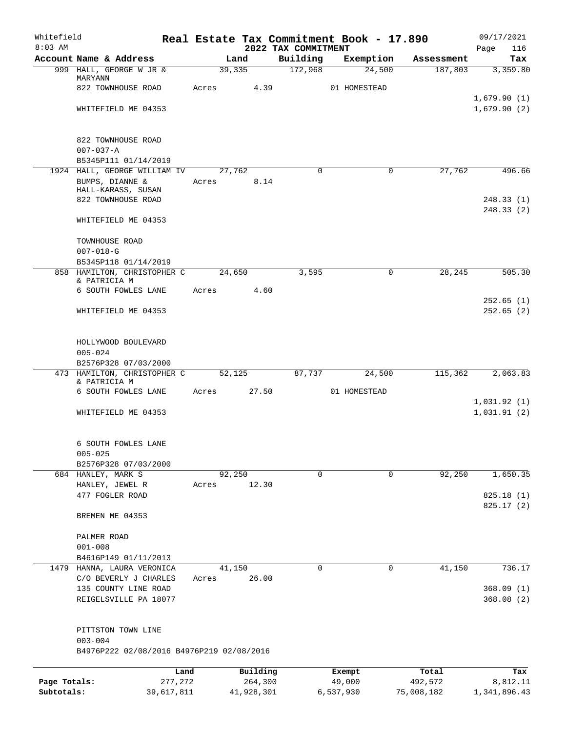| Whitefield<br>$8:03$ AM |                                                     |            |                | 2022 TAX COMMITMENT | Real Estate Tax Commitment Book - 17.890 |            | 09/17/2021<br>116          |
|-------------------------|-----------------------------------------------------|------------|----------------|---------------------|------------------------------------------|------------|----------------------------|
|                         | Account Name & Address                              |            | Land           | Building            | Exemption                                | Assessment | Page<br>Tax                |
|                         | 999 HALL, GEORGE W JR &                             |            | 39,335         | 172,968             | 24,500                                   | 187,803    | 3,359.80                   |
|                         | MARYANN                                             |            |                |                     |                                          |            |                            |
|                         | 822 TOWNHOUSE ROAD                                  | Acres      | 4.39           |                     | 01 HOMESTEAD                             |            |                            |
|                         | WHITEFIELD ME 04353                                 |            |                |                     |                                          |            | 1,679.90(1)<br>1,679.90(2) |
|                         |                                                     |            |                |                     |                                          |            |                            |
|                         | 822 TOWNHOUSE ROAD                                  |            |                |                     |                                          |            |                            |
|                         | $007 - 037 - A$                                     |            |                |                     |                                          |            |                            |
|                         | B5345P111 01/14/2019                                |            |                | $\Omega$            | $\mathbf 0$                              |            |                            |
|                         | 1924 HALL, GEORGE WILLIAM IV<br>BUMPS, DIANNE &     | Acres      | 27,762<br>8.14 |                     |                                          | 27,762     | 496.66                     |
|                         | HALL-KARASS, SUSAN                                  |            |                |                     |                                          |            |                            |
|                         | 822 TOWNHOUSE ROAD                                  |            |                |                     |                                          |            | 248.33(1)                  |
|                         | WHITEFIELD ME 04353                                 |            |                |                     |                                          |            | 248.33(2)                  |
|                         | TOWNHOUSE ROAD                                      |            |                |                     |                                          |            |                            |
|                         | $007 - 018 - G$                                     |            |                |                     |                                          |            |                            |
|                         | B5345P118 01/14/2019                                |            |                |                     |                                          |            |                            |
|                         | 858 HAMILTON, CHRISTOPHER C<br>& PATRICIA M         |            | 24,650         | 3,595               | 0                                        | 28,245     | 505.30                     |
|                         | 6 SOUTH FOWLES LANE                                 | Acres      | 4.60           |                     |                                          |            |                            |
|                         | WHITEFIELD ME 04353                                 |            |                |                     |                                          |            | 252.65(1)<br>252.65(2)     |
|                         |                                                     |            |                |                     |                                          |            |                            |
|                         | HOLLYWOOD BOULEVARD                                 |            |                |                     |                                          |            |                            |
|                         | $005 - 024$                                         |            |                |                     |                                          |            |                            |
|                         | B2576P328 07/03/2000<br>473 HAMILTON, CHRISTOPHER C |            | 52,125         | 87,737              | 24,500                                   | 115,362    | 2,063.83                   |
|                         | & PATRICIA M                                        |            |                |                     |                                          |            |                            |
|                         | 6 SOUTH FOWLES LANE                                 | Acres      | 27.50          |                     | 01 HOMESTEAD                             |            |                            |
|                         | WHITEFIELD ME 04353                                 |            |                |                     |                                          |            | 1,031.92(1)<br>1,031.91(2) |
|                         | 6 SOUTH FOWLES LANE                                 |            |                |                     |                                          |            |                            |
|                         | $005 - 025$                                         |            |                |                     |                                          |            |                            |
|                         | B2576P328 07/03/2000                                |            |                |                     |                                          |            |                            |
|                         | 684 HANLEY, MARK S                                  |            | 92,250         | 0                   | $\mathbf 0$                              | 92,250     | 1,650.35                   |
|                         | HANLEY, JEWEL R                                     | Acres      | 12.30          |                     |                                          |            |                            |
|                         | 477 FOGLER ROAD                                     |            |                |                     |                                          |            | 825.18(1)<br>825.17(2)     |
|                         | BREMEN ME 04353                                     |            |                |                     |                                          |            |                            |
|                         | PALMER ROAD                                         |            |                |                     |                                          |            |                            |
|                         | $001 - 008$                                         |            |                |                     |                                          |            |                            |
|                         | B4616P149 01/11/2013                                |            |                |                     |                                          |            |                            |
| 1479                    | HANNA, LAURA VERONICA                               |            | 41,150         | 0                   | 0                                        | 41,150     | 736.17                     |
|                         | C/O BEVERLY J CHARLES                               | Acres      | 26.00          |                     |                                          |            |                            |
|                         | 135 COUNTY LINE ROAD<br>REIGELSVILLE PA 18077       |            |                |                     |                                          |            | 368.09(1)<br>368.08(2)     |
|                         |                                                     |            |                |                     |                                          |            |                            |
|                         | PITTSTON TOWN LINE<br>$003 - 004$                   |            |                |                     |                                          |            |                            |
|                         | B4976P222 02/08/2016 B4976P219 02/08/2016           |            |                |                     |                                          |            |                            |
|                         |                                                     | Land       | Building       |                     | Exempt                                   | Total      | Tax                        |
| Page Totals:            |                                                     | 277,272    | 264,300        |                     | 49,000                                   | 492,572    | 8,812.11                   |
| Subtotals:              |                                                     | 39,617,811 | 41,928,301     |                     | 6,537,930                                | 75,008,182 | 1,341,896.43               |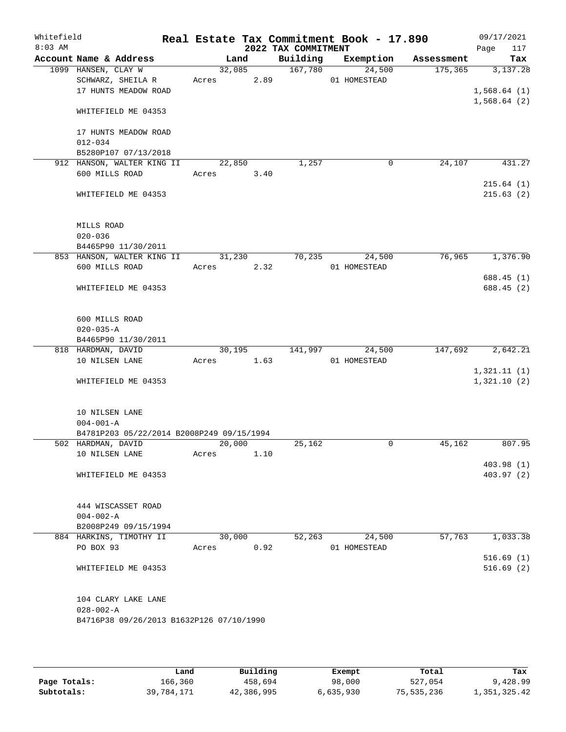| Whitefield<br>$8:03$ AM |                                                                  |                      |      | 2022 TAX COMMITMENT | Real Estate Tax Commitment Book - 17.890 |            | 09/17/2021<br>117<br>Page |
|-------------------------|------------------------------------------------------------------|----------------------|------|---------------------|------------------------------------------|------------|---------------------------|
|                         | Account Name & Address                                           | Land                 |      | Building            | Exemption                                | Assessment | Tax                       |
|                         | 1099 HANSEN, CLAY W<br>SCHWARZ, SHEILA R<br>17 HUNTS MEADOW ROAD | 32,085<br>Acres 2.89 |      | 167,780             | 24,500<br>01 HOMESTEAD                   | 175, 365   | 3,137.28<br>1,568.64(1)   |
|                         | WHITEFIELD ME 04353                                              |                      |      |                     |                                          |            | 1,568.64(2)               |
|                         | 17 HUNTS MEADOW ROAD<br>$012 - 034$<br>B5280P107 07/13/2018      |                      |      |                     |                                          |            |                           |
|                         | 912 HANSON, WALTER KING II                                       | 22,850               |      | 1,257               | $\mathbf 0$                              | 24,107     | 431.27                    |
|                         | 600 MILLS ROAD                                                   | Acres                | 3.40 |                     |                                          |            | 215.64(1)                 |
|                         | WHITEFIELD ME 04353                                              |                      |      |                     |                                          |            | 215.63(2)                 |
|                         | MILLS ROAD<br>$020 - 036$                                        |                      |      |                     |                                          |            |                           |
|                         | B4465P90 11/30/2011                                              |                      |      |                     |                                          |            |                           |
|                         | 853 HANSON, WALTER KING II<br>600 MILLS ROAD                     | 31,230<br>Acres      | 2.32 | 70,235              | 24,500<br>01 HOMESTEAD                   | 76,965     | 1,376.90                  |
|                         |                                                                  |                      |      |                     |                                          |            | 688.45 (1)                |
|                         | WHITEFIELD ME 04353                                              |                      |      |                     |                                          |            | 688.45 (2)                |
|                         | 600 MILLS ROAD                                                   |                      |      |                     |                                          |            |                           |
|                         | $020 - 035 - A$                                                  |                      |      |                     |                                          |            |                           |
|                         | B4465P90 11/30/2011<br>818 HARDMAN, DAVID                        | 30,195               |      | 141,997             | 24,500                                   | 147,692    | $\overline{2,642.21}$     |
|                         | 10 NILSEN LANE                                                   | Acres                | 1.63 |                     | 01 HOMESTEAD                             |            |                           |
|                         |                                                                  |                      |      |                     |                                          |            | 1,321.11(1)               |
|                         | WHITEFIELD ME 04353                                              |                      |      |                     |                                          |            | 1,321.10(2)               |
|                         | 10 NILSEN LANE                                                   |                      |      |                     |                                          |            |                           |
|                         | $004 - 001 - A$<br>B4781P203 05/22/2014 B2008P249 09/15/1994     |                      |      |                     |                                          |            |                           |
|                         | 502 HARDMAN, DAVID                                               | 20,000               |      | 25,162              | 0                                        | 45,162     | 807.95                    |
|                         | 10 NILSEN LANE                                                   | Acres                | 1.10 |                     |                                          |            |                           |
|                         | WHITEFIELD ME 04353                                              |                      |      |                     |                                          |            | 403.98(1)<br>403.97(2)    |
|                         |                                                                  |                      |      |                     |                                          |            |                           |
|                         | 444 WISCASSET ROAD                                               |                      |      |                     |                                          |            |                           |
|                         | $004 - 002 - A$<br>B2008P249 09/15/1994                          |                      |      |                     |                                          |            |                           |
|                         | 884 HARKINS, TIMOTHY II                                          | 30,000               |      | 52,263              | 24,500                                   | 57,763     | 1,033.38                  |
|                         | PO BOX 93                                                        | Acres                | 0.92 |                     | 01 HOMESTEAD                             |            |                           |
|                         |                                                                  |                      |      |                     |                                          |            | 516.69(1)                 |
|                         | WHITEFIELD ME 04353                                              |                      |      |                     |                                          |            | 516.69(2)                 |
|                         | 104 CLARY LAKE LANE                                              |                      |      |                     |                                          |            |                           |
|                         | $028 - 002 - A$<br>B4716P38 09/26/2013 B1632P126 07/10/1990      |                      |      |                     |                                          |            |                           |
|                         |                                                                  |                      |      |                     |                                          |            |                           |

|              | Land       | Building   | Exempt    | Total      | Tax          |
|--------------|------------|------------|-----------|------------|--------------|
| Page Totals: | 166,360    | 458,694    | 98,000    | 527,054    | 9,428.99     |
| Subtotals:   | 39,784,171 | 42,386,995 | 6,635,930 | 75,535,236 | 1,351,325.42 |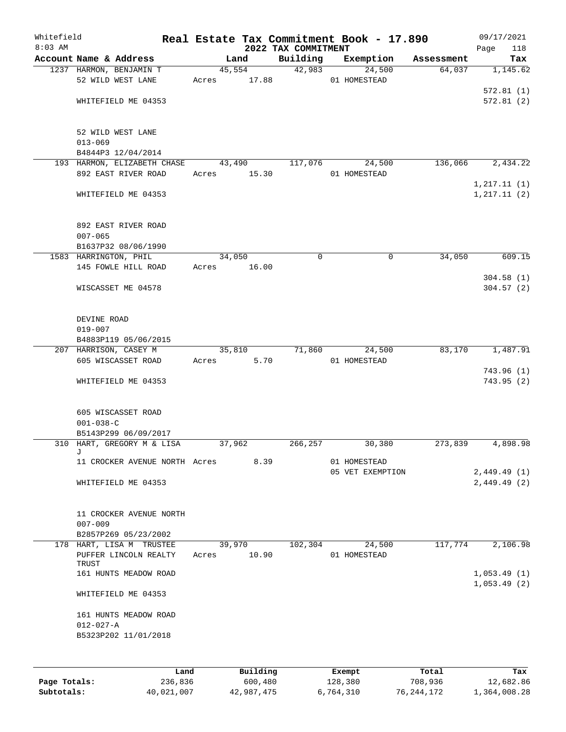| Whitefield |                                              |       |                 |                     | Real Estate Tax Commitment Book - 17.890 |            | 09/17/2021   |
|------------|----------------------------------------------|-------|-----------------|---------------------|------------------------------------------|------------|--------------|
| $8:03$ AM  |                                              |       |                 | 2022 TAX COMMITMENT |                                          |            | 118<br>Page  |
|            | Account Name & Address                       |       | Land            | Building<br>42,983  | Exemption                                | Assessment | Tax          |
|            | 1237 HARMON, BENJAMIN T<br>52 WILD WEST LANE | Acres | 45,554<br>17.88 |                     | 24,500<br>01 HOMESTEAD                   | 64,037     | 1,145.62     |
|            |                                              |       |                 |                     |                                          |            | 572.81(1)    |
|            | WHITEFIELD ME 04353                          |       |                 |                     |                                          |            | 572.81(2)    |
|            |                                              |       |                 |                     |                                          |            |              |
|            | 52 WILD WEST LANE                            |       |                 |                     |                                          |            |              |
|            | $013 - 069$                                  |       |                 |                     |                                          |            |              |
|            | B4844P3 12/04/2014                           |       |                 |                     |                                          |            |              |
|            | 193 HARMON, ELIZABETH CHASE                  |       | 43,490          | 117,076             | 24,500                                   | 136,066    | 2,434.22     |
|            | 892 EAST RIVER ROAD                          | Acres | 15.30           |                     | 01 HOMESTEAD                             |            |              |
|            |                                              |       |                 |                     |                                          |            | 1, 217.11(1) |
|            | WHITEFIELD ME 04353                          |       |                 |                     |                                          |            | 1, 217.11(2) |
|            | 892 EAST RIVER ROAD                          |       |                 |                     |                                          |            |              |
|            | $007 - 065$                                  |       |                 |                     |                                          |            |              |
|            | B1637P32 08/06/1990                          |       |                 |                     |                                          |            |              |
|            | 1583 HARRINGTON, PHIL                        |       | 34,050          | 0                   | 0                                        | 34,050     | 609.15       |
|            | 145 FOWLE HILL ROAD                          | Acres | 16.00           |                     |                                          |            |              |
|            |                                              |       |                 |                     |                                          |            | 304.58(1)    |
|            | WISCASSET ME 04578                           |       |                 |                     |                                          |            | 304.57(2)    |
|            |                                              |       |                 |                     |                                          |            |              |
|            | DEVINE ROAD<br>$019 - 007$                   |       |                 |                     |                                          |            |              |
|            | B4883P119 05/06/2015                         |       |                 |                     |                                          |            |              |
|            | 207 HARRISON, CASEY M                        |       | 35,810          | 71,860              | 24,500                                   | 83,170     | 1,487.91     |
|            | 605 WISCASSET ROAD                           | Acres | 5.70            |                     | 01 HOMESTEAD                             |            |              |
|            |                                              |       |                 |                     |                                          |            | 743.96 (1)   |
|            | WHITEFIELD ME 04353                          |       |                 |                     |                                          |            | 743.95(2)    |
|            |                                              |       |                 |                     |                                          |            |              |
|            | 605 WISCASSET ROAD                           |       |                 |                     |                                          |            |              |
|            | $001 - 038 - C$                              |       |                 |                     |                                          |            |              |
|            | B5143P299 06/09/2017                         |       |                 |                     |                                          |            |              |
|            | 310 HART, GREGORY M & LISA                   |       | 37,962          | 266,257             | 30,380                                   | 273,839    | 4,898.98     |
|            | J<br>11 CROCKER AVENUE NORTH Acres           |       | 8.39            |                     | 01 HOMESTEAD                             |            |              |
|            |                                              |       |                 |                     | 05 VET EXEMPTION                         |            | 2,449.49(1)  |
|            | WHITEFIELD ME 04353                          |       |                 |                     |                                          |            | 2,449.49(2)  |
|            |                                              |       |                 |                     |                                          |            |              |
|            | 11 CROCKER AVENUE NORTH                      |       |                 |                     |                                          |            |              |
|            | $007 - 009$                                  |       |                 |                     |                                          |            |              |
|            | B2857P269 05/23/2002                         |       |                 |                     |                                          |            |              |
|            | 178 HART, LISA M TRUSTEE                     |       | 39,970          | 102,304             | 24,500                                   | 117,774    | 2,106.98     |
|            | PUFFER LINCOLN REALTY<br>TRUST               | Acres | 10.90           |                     | 01 HOMESTEAD                             |            |              |
|            | 161 HUNTS MEADOW ROAD                        |       |                 |                     |                                          |            | 1,053.49(1)  |
|            | WHITEFIELD ME 04353                          |       |                 |                     |                                          |            | 1,053.49(2)  |
|            | 161 HUNTS MEADOW ROAD                        |       |                 |                     |                                          |            |              |
|            | $012 - 027 - A$                              |       |                 |                     |                                          |            |              |
|            | B5323P202 11/01/2018                         |       |                 |                     |                                          |            |              |
|            |                                              |       |                 |                     |                                          |            |              |
|            | Land                                         |       | Building        |                     | Exempt                                   | Total      | Tax          |

|              | Lanu       | <b>Building</b> | Lxempt    | TOLAT      | 1ax.         |
|--------------|------------|-----------------|-----------|------------|--------------|
| Page Totals: | 236,836    | 600,480         | 128,380   | 708,936    | 12,682.86    |
| Subtotals:   | 40,021,007 | 42,987,475      | 6,764,310 | 76,244,172 | 1,364,008.28 |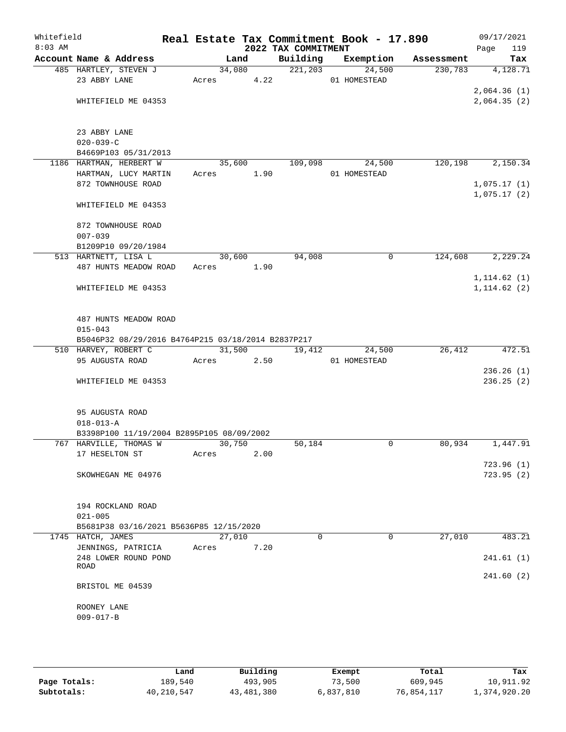| Whitefield<br>$8:03$ AM |                                                    |        |        | 2022 TAX COMMITMENT | Real Estate Tax Commitment Book - 17.890 |            | 09/17/2021<br>Page<br>119  |
|-------------------------|----------------------------------------------------|--------|--------|---------------------|------------------------------------------|------------|----------------------------|
|                         | Account Name & Address                             | Land   |        | Building            | Exemption                                | Assessment | Tax                        |
|                         | 485 HARTLEY, STEVEN J                              |        | 34,080 | 221,203             | 24,500                                   | 230,783    | 4,128.71                   |
|                         | 23 ABBY LANE                                       | Acres  | 4.22   |                     | 01 HOMESTEAD                             |            |                            |
|                         | WHITEFIELD ME 04353                                |        |        |                     |                                          |            | 2,064.36(1)<br>2,064.35(2) |
|                         |                                                    |        |        |                     |                                          |            |                            |
|                         | 23 ABBY LANE                                       |        |        |                     |                                          |            |                            |
|                         | $020 - 039 - C$                                    |        |        |                     |                                          |            |                            |
|                         | B4669P103 05/31/2013                               |        |        |                     |                                          |            |                            |
|                         | 1186 HARTMAN, HERBERT W                            | 35,600 |        | 109,098             | 24,500                                   | 120,198    | 2,150.34                   |
|                         | HARTMAN, LUCY MARTIN                               | Acres  | 1.90   |                     | 01 HOMESTEAD                             |            |                            |
|                         | 872 TOWNHOUSE ROAD                                 |        |        |                     |                                          |            | 1,075.17(1)                |
|                         | WHITEFIELD ME 04353                                |        |        |                     |                                          |            | 1,075.17(2)                |
|                         | 872 TOWNHOUSE ROAD                                 |        |        |                     |                                          |            |                            |
|                         | $007 - 039$                                        |        |        |                     |                                          |            |                            |
|                         | B1209P10 09/20/1984                                |        |        |                     |                                          |            |                            |
|                         | 513 HARTNETT, LISA L                               | 30,600 |        | 94,008              | 0                                        | 124,608    | 2,229.24                   |
|                         | 487 HUNTS MEADOW ROAD                              | Acres  | 1.90   |                     |                                          |            | 1, 114.62(1)               |
|                         | WHITEFIELD ME 04353                                |        |        |                     |                                          |            | 1, 114.62(2)               |
|                         |                                                    |        |        |                     |                                          |            |                            |
|                         | 487 HUNTS MEADOW ROAD                              |        |        |                     |                                          |            |                            |
|                         | $015 - 043$                                        |        |        |                     |                                          |            |                            |
|                         | B5046P32 08/29/2016 B4764P215 03/18/2014 B2837P217 |        |        |                     |                                          |            |                            |
|                         | 510 HARVEY, ROBERT C                               | 31,500 |        | 19,412              | 24,500                                   | 26,412     | 472.51                     |
|                         | 95 AUGUSTA ROAD                                    | Acres  | 2.50   |                     | 01 HOMESTEAD                             |            | 236.26(1)                  |
|                         | WHITEFIELD ME 04353                                |        |        |                     |                                          |            | 236.25(2)                  |
|                         |                                                    |        |        |                     |                                          |            |                            |
|                         | 95 AUGUSTA ROAD                                    |        |        |                     |                                          |            |                            |
|                         | $018 - 013 - A$                                    |        |        |                     |                                          |            |                            |
|                         | B3398P100 11/19/2004 B2895P105 08/09/2002          |        |        |                     |                                          |            |                            |
|                         | 767 HARVILLE, THOMAS W                             | 30,750 |        | 50,184              | $\mathbf 0$                              | 80,934     | 1,447.91                   |
|                         | 17 HESELTON ST                                     | Acres  | 2.00   |                     |                                          |            | 723.96(1)                  |
|                         | SKOWHEGAN ME 04976                                 |        |        |                     |                                          |            | 723.95(2)                  |
|                         |                                                    |        |        |                     |                                          |            |                            |
|                         | 194 ROCKLAND ROAD                                  |        |        |                     |                                          |            |                            |
|                         | $021 - 005$                                        |        |        |                     |                                          |            |                            |
|                         | B5681P38 03/16/2021 B5636P85 12/15/2020            |        |        |                     |                                          |            |                            |
|                         | 1745 HATCH, JAMES                                  | 27,010 |        | $\Omega$            | $\Omega$                                 | 27,010     | 483.21                     |
|                         | JENNINGS, PATRICIA                                 | Acres  | 7.20   |                     |                                          |            |                            |
|                         | 248 LOWER ROUND POND<br>ROAD                       |        |        |                     |                                          |            | 241.61(1)                  |
|                         |                                                    |        |        |                     |                                          |            | 241.60(2)                  |
|                         | BRISTOL ME 04539                                   |        |        |                     |                                          |            |                            |
|                         | ROONEY LANE                                        |        |        |                     |                                          |            |                            |
|                         | $009 - 017 - B$                                    |        |        |                     |                                          |            |                            |
|                         |                                                    |        |        |                     |                                          |            |                            |

|              | Land       | Building   | Exempt    | Total      | Tax          |
|--------------|------------|------------|-----------|------------|--------------|
| Page Totals: | 189,540    | 493,905    | 73,500    | 609,945    | 10,911.92    |
| Subtotals:   | 40,210,547 | 43,481,380 | 6,837,810 | 76,854,117 | 1,374,920.20 |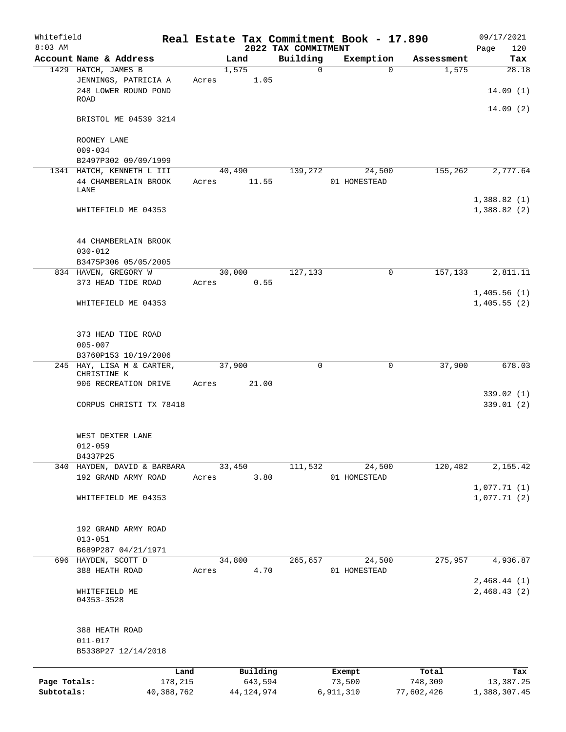| Whitefield<br>$8:03$ AM |                                                    |        |              | 2022 TAX COMMITMENT | Real Estate Tax Commitment Book - 17.890 |            | 09/17/2021<br>120<br>Page  |
|-------------------------|----------------------------------------------------|--------|--------------|---------------------|------------------------------------------|------------|----------------------------|
|                         | Account Name & Address                             | Land   |              | Building            | Exemption                                | Assessment | Tax                        |
|                         | 1429 HATCH, JAMES B                                | 1,575  |              | 0                   | $\Omega$                                 | 1,575      | 28.18                      |
|                         | JENNINGS, PATRICIA A<br>248 LOWER ROUND POND       | Acres  | 1.05         |                     |                                          |            | 14.09(1)                   |
|                         | ROAD                                               |        |              |                     |                                          |            | 14.09(2)                   |
|                         | BRISTOL ME 04539 3214                              |        |              |                     |                                          |            |                            |
|                         | ROONEY LANE                                        |        |              |                     |                                          |            |                            |
|                         | $009 - 034$<br>B2497P302 09/09/1999                |        |              |                     |                                          |            |                            |
|                         | 1341 HATCH, KENNETH L III                          | 40,490 |              | 139,272             | 24,500                                   | 155,262    | 2,777.64                   |
|                         | 44 CHAMBERLAIN BROOK<br>LANE                       | Acres  | 11.55        |                     | 01 HOMESTEAD                             |            |                            |
|                         | WHITEFIELD ME 04353                                |        |              |                     |                                          |            | 1,388.82(1)<br>1,388.82(2) |
|                         | 44 CHAMBERLAIN BROOK                               |        |              |                     |                                          |            |                            |
|                         | $030 - 012$<br>B3475P306 05/05/2005                |        |              |                     |                                          |            |                            |
|                         | 834 HAVEN, GREGORY W                               | 30,000 |              | 127,133             | 0                                        | 157,133    | 2,811.11                   |
|                         | 373 HEAD TIDE ROAD                                 | Acres  | 0.55         |                     |                                          |            |                            |
|                         | WHITEFIELD ME 04353                                |        |              |                     |                                          |            | 1,405.56(1)<br>1,405.55(2) |
|                         | 373 HEAD TIDE ROAD<br>$005 - 007$                  |        |              |                     |                                          |            |                            |
|                         | B3760P153 10/19/2006                               |        |              |                     |                                          |            |                            |
|                         | 245 HAY, LISA M & CARTER,<br>CHRISTINE K           | 37,900 |              | 0                   | 0                                        | 37,900     | 678.03                     |
|                         | 906 RECREATION DRIVE                               | Acres  | 21.00        |                     |                                          |            | 339.02(1)                  |
|                         | CORPUS CHRISTI TX 78418                            |        |              |                     |                                          |            | 339.01(2)                  |
|                         | WEST DEXTER LANE<br>$012 - 059$                    |        |              |                     |                                          |            |                            |
|                         | B4337P25                                           |        |              |                     |                                          |            |                            |
|                         | 340 HAYDEN, DAVID & BARBARA<br>192 GRAND ARMY ROAD | 33,450 | 3.80         | 111,532             | 24,500<br>01 HOMESTEAD                   | 120,482    | 2,155.42                   |
|                         | WHITEFIELD ME 04353                                | Acres  |              |                     |                                          |            | 1,077.71(1)<br>1,077.71(2) |
|                         |                                                    |        |              |                     |                                          |            |                            |
|                         | 192 GRAND ARMY ROAD<br>$013 - 051$                 |        |              |                     |                                          |            |                            |
|                         | B689P287 04/21/1971                                |        |              |                     |                                          |            |                            |
|                         | 696 HAYDEN, SCOTT D                                | 34,800 |              | 265,657             | 24,500                                   | 275,957    | 4,936.87                   |
|                         | 388 HEATH ROAD                                     | Acres  | 4.70         |                     | 01 HOMESTEAD                             |            | 2,468.44(1)                |
|                         | WHITEFIELD ME<br>04353-3528                        |        |              |                     |                                          |            | 2,468.43(2)                |
|                         | 388 HEATH ROAD                                     |        |              |                     |                                          |            |                            |
|                         | $011 - 017$                                        |        |              |                     |                                          |            |                            |
|                         | B5338P27 12/14/2018                                |        |              |                     |                                          |            |                            |
|                         | Land                                               |        | Building     |                     | Exempt                                   | Total      | Tax                        |
| Page Totals:            | 178,215                                            |        | 643,594      |                     | 73,500                                   | 748,309    | 13,387.25                  |
| Subtotals:              | 40,388,762                                         |        | 44, 124, 974 |                     | 6,911,310                                | 77,602,426 | 1,388,307.45               |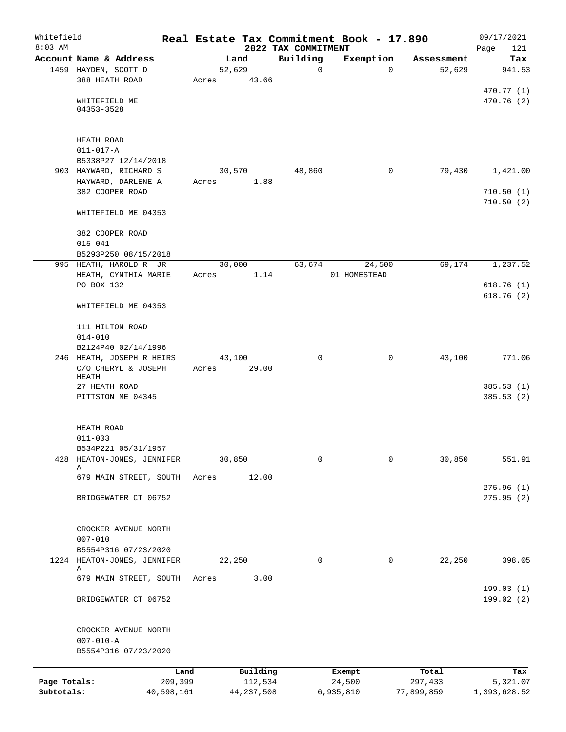| Whitefield<br>$8:03$ AM |                                     |            |       |              | 2022 TAX COMMITMENT | Real Estate Tax Commitment Book - 17.890 |            | 09/17/2021<br>Page<br>121 |
|-------------------------|-------------------------------------|------------|-------|--------------|---------------------|------------------------------------------|------------|---------------------------|
|                         | Account Name & Address              |            |       | Land         | Building            | Exemption                                | Assessment | Tax                       |
|                         | 1459 HAYDEN, SCOTT D                |            |       | 52,629       | $\mathbf 0$         | $\Omega$                                 | 52,629     | 941.53                    |
|                         | 388 HEATH ROAD                      |            | Acres | 43.66        |                     |                                          |            |                           |
|                         |                                     |            |       |              |                     |                                          |            | 470.77 (1)                |
|                         | WHITEFIELD ME                       |            |       |              |                     |                                          |            | 470.76 (2)                |
|                         | 04353-3528                          |            |       |              |                     |                                          |            |                           |
|                         |                                     |            |       |              |                     |                                          |            |                           |
|                         | HEATH ROAD                          |            |       |              |                     |                                          |            |                           |
|                         | $011 - 017 - A$                     |            |       |              |                     |                                          |            |                           |
|                         | B5338P27 12/14/2018                 |            |       |              |                     |                                          |            |                           |
|                         | 903 HAYWARD, RICHARD S              |            |       | 30,570       | 48,860              | 0                                        | 79,430     | 1,421.00                  |
|                         | HAYWARD, DARLENE A                  |            | Acres | 1.88         |                     |                                          |            |                           |
|                         | 382 COOPER ROAD                     |            |       |              |                     |                                          |            | 710.50(1)                 |
|                         |                                     |            |       |              |                     |                                          |            | 710.50(2)                 |
|                         | WHITEFIELD ME 04353                 |            |       |              |                     |                                          |            |                           |
|                         |                                     |            |       |              |                     |                                          |            |                           |
|                         | 382 COOPER ROAD                     |            |       |              |                     |                                          |            |                           |
|                         | $015 - 041$<br>B5293P250 08/15/2018 |            |       |              |                     |                                          |            |                           |
|                         | 995 HEATH, HAROLD R JR              |            |       | 30,000       | 63,674              | 24,500                                   | 69,174     | 1,237.52                  |
|                         | HEATH, CYNTHIA MARIE                |            | Acres | 1.14         |                     | 01 HOMESTEAD                             |            |                           |
|                         | PO BOX 132                          |            |       |              |                     |                                          |            | 618.76(1)                 |
|                         |                                     |            |       |              |                     |                                          |            | 618.76(2)                 |
|                         | WHITEFIELD ME 04353                 |            |       |              |                     |                                          |            |                           |
|                         |                                     |            |       |              |                     |                                          |            |                           |
|                         | 111 HILTON ROAD                     |            |       |              |                     |                                          |            |                           |
|                         | $014 - 010$                         |            |       |              |                     |                                          |            |                           |
|                         | B2124P40 02/14/1996                 |            |       |              |                     |                                          |            |                           |
|                         | 246 HEATH, JOSEPH R HEIRS           |            |       | 43,100       | $\mathbf 0$         | 0                                        | 43,100     | 771.06                    |
|                         | C/O CHERYL & JOSEPH                 |            | Acres | 29.00        |                     |                                          |            |                           |
|                         | HEATH<br>27 HEATH ROAD              |            |       |              |                     |                                          |            | 385.53(1)                 |
|                         | PITTSTON ME 04345                   |            |       |              |                     |                                          |            | 385.53(2)                 |
|                         |                                     |            |       |              |                     |                                          |            |                           |
|                         |                                     |            |       |              |                     |                                          |            |                           |
|                         | HEATH ROAD                          |            |       |              |                     |                                          |            |                           |
|                         | $011 - 003$                         |            |       |              |                     |                                          |            |                           |
|                         | B534P221 05/31/1957                 |            |       |              |                     |                                          |            |                           |
|                         | 428 HEATON-JONES, JENNIFER          |            |       | 30,850       | 0                   | 0                                        | 30,850     | 551.91                    |
|                         | Α<br>679 MAIN STREET, SOUTH         |            |       |              |                     |                                          |            |                           |
|                         |                                     |            | Acres | 12.00        |                     |                                          |            | 275.96(1)                 |
|                         | BRIDGEWATER CT 06752                |            |       |              |                     |                                          |            | 275.95(2)                 |
|                         |                                     |            |       |              |                     |                                          |            |                           |
|                         |                                     |            |       |              |                     |                                          |            |                           |
|                         | CROCKER AVENUE NORTH                |            |       |              |                     |                                          |            |                           |
|                         | $007 - 010$                         |            |       |              |                     |                                          |            |                           |
|                         | B5554P316 07/23/2020                |            |       |              |                     |                                          |            |                           |
|                         | 1224 HEATON-JONES, JENNIFER         |            |       | 22,250       | 0                   | 0                                        | 22,250     | 398.05                    |
|                         | Α                                   |            |       |              |                     |                                          |            |                           |
|                         | 679 MAIN STREET, SOUTH              |            | Acres | 3.00         |                     |                                          |            |                           |
|                         | BRIDGEWATER CT 06752                |            |       |              |                     |                                          |            | 199.03 (1)<br>199.02 (2)  |
|                         |                                     |            |       |              |                     |                                          |            |                           |
|                         |                                     |            |       |              |                     |                                          |            |                           |
|                         | CROCKER AVENUE NORTH                |            |       |              |                     |                                          |            |                           |
|                         | $007 - 010 - A$                     |            |       |              |                     |                                          |            |                           |
|                         | B5554P316 07/23/2020                |            |       |              |                     |                                          |            |                           |
|                         |                                     |            |       |              |                     |                                          |            |                           |
|                         |                                     | Land       |       | Building     |                     | Exempt                                   | Total      | Tax                       |
| Page Totals:            |                                     | 209,399    |       | 112,534      |                     | 24,500                                   | 297,433    | 5,321.07                  |
| Subtotals:              |                                     | 40,598,161 |       | 44, 237, 508 |                     | 6,935,810                                | 77,899,859 | 1,393,628.52              |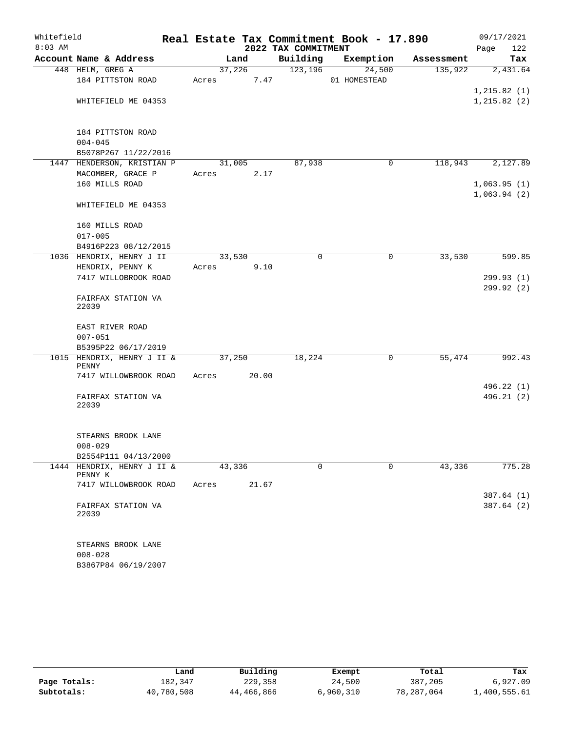| Whitefield |                                          | Real Estate Tax Commitment Book - 17.890 |                     |              |            | 09/17/2021               |
|------------|------------------------------------------|------------------------------------------|---------------------|--------------|------------|--------------------------|
| $8:03$ AM  |                                          |                                          | 2022 TAX COMMITMENT |              |            | Page<br>122              |
|            | Account Name & Address                   | Land                                     | Building            | Exemption    | Assessment | Tax                      |
|            | 448 HELM, GREG A                         | 37,226                                   | 123, 196            | 24,500       | 135,922    | 2,431.64                 |
|            | 184 PITTSTON ROAD                        | 7.47<br>Acres                            |                     | 01 HOMESTEAD |            | 1, 215.82(1)             |
|            | WHITEFIELD ME 04353                      |                                          |                     |              |            | 1, 215.82(2)             |
|            |                                          |                                          |                     |              |            |                          |
|            | 184 PITTSTON ROAD                        |                                          |                     |              |            |                          |
|            | $004 - 045$                              |                                          |                     |              |            |                          |
|            | B5078P267 11/22/2016                     |                                          |                     |              |            |                          |
|            | 1447 HENDERSON, KRISTIAN P               | 31,005                                   | 87,938              | 0            | 118,943    | 2,127.89                 |
|            | MACOMBER, GRACE P<br>160 MILLS ROAD      | 2.17<br>Acres                            |                     |              |            | 1,063.95(1)              |
|            |                                          |                                          |                     |              |            | 1,063.94(2)              |
|            | WHITEFIELD ME 04353                      |                                          |                     |              |            |                          |
|            | 160 MILLS ROAD                           |                                          |                     |              |            |                          |
|            | $017 - 005$                              |                                          |                     |              |            |                          |
|            | B4916P223 08/12/2015                     |                                          |                     |              |            |                          |
|            | 1036 HENDRIX, HENRY J II                 | 33,530                                   | 0                   | 0            | 33,530     | 599.85                   |
|            | HENDRIX, PENNY K<br>7417 WILLOBROOK ROAD | 9.10<br>Acres                            |                     |              |            | 299.93(1)                |
|            |                                          |                                          |                     |              |            | 299.92 (2)               |
|            | FAIRFAX STATION VA<br>22039              |                                          |                     |              |            |                          |
|            | EAST RIVER ROAD                          |                                          |                     |              |            |                          |
|            | $007 - 051$                              |                                          |                     |              |            |                          |
|            | B5395P22 06/17/2019                      |                                          |                     |              |            |                          |
|            | 1015 HENDRIX, HENRY J II &<br>PENNY      | 37,250                                   | 18,224              | 0            | 55,474     | 992.43                   |
|            | 7417 WILLOWBROOK ROAD                    | 20.00<br>Acres                           |                     |              |            |                          |
|            |                                          |                                          |                     |              |            | 496.22 (1)               |
|            | FAIRFAX STATION VA<br>22039              |                                          |                     |              |            | 496.21(2)                |
|            | STEARNS BROOK LANE                       |                                          |                     |              |            |                          |
|            | $008 - 029$                              |                                          |                     |              |            |                          |
|            | B2554P111 04/13/2000                     |                                          |                     |              |            |                          |
| 1444       | HENDRIX, HENRY J II &<br>PENNY K         | 43,336                                   | 0                   | 0            | 43,336     | 775.28                   |
|            | 7417 WILLOWBROOK ROAD                    | 21.67<br>Acres                           |                     |              |            |                          |
|            | FAIRFAX STATION VA                       |                                          |                     |              |            | 387.64 (1)<br>387.64 (2) |
|            | 22039                                    |                                          |                     |              |            |                          |
|            | STEARNS BROOK LANE                       |                                          |                     |              |            |                          |
|            | $008 - 028$                              |                                          |                     |              |            |                          |

|              | Land       | Building   | Exempt    | Total      | Tax          |
|--------------|------------|------------|-----------|------------|--------------|
| Page Totals: | 182.347    | 229,358    | 24,500    | 387,205    | 6.927.09     |
| Subtotals:   | 40,780,508 | 44,466,866 | 6,960,310 | 78,287,064 | 1,400,555.61 |

B3867P84 06/19/2007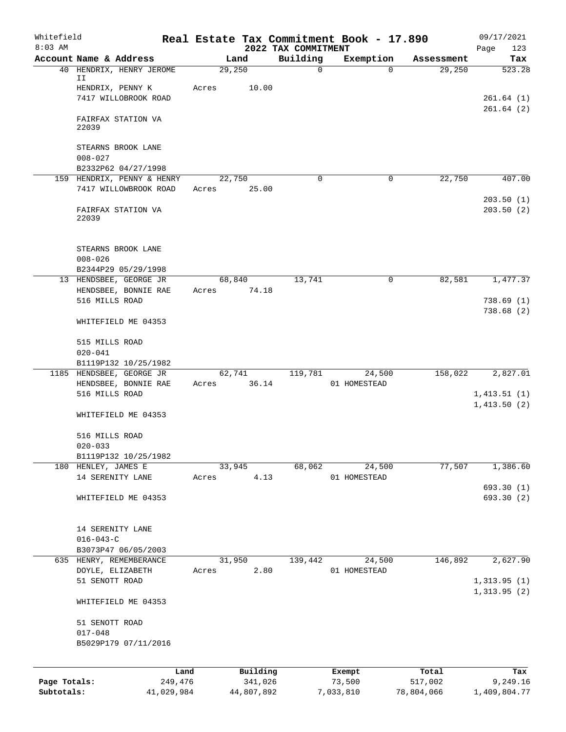| Whitefield<br>$8:03$ AM |                                                     |         |                 |                                 | Real Estate Tax Commitment Book - 17.890 |            | 09/17/2021             |
|-------------------------|-----------------------------------------------------|---------|-----------------|---------------------------------|------------------------------------------|------------|------------------------|
|                         | Account Name & Address                              |         | Land            | 2022 TAX COMMITMENT<br>Building | Exemption                                | Assessment | Page<br>123<br>Tax     |
|                         | 40 HENDRIX, HENRY JEROME<br>II.                     |         | 29,250          | $\mathbf 0$                     | $\Omega$                                 | 29,250     | 523.28                 |
|                         | HENDRIX, PENNY K                                    | Acres   | 10.00           |                                 |                                          |            |                        |
|                         | 7417 WILLOBROOK ROAD                                |         |                 |                                 |                                          |            | 261.64(1)              |
|                         | FAIRFAX STATION VA<br>22039                         |         |                 |                                 |                                          |            | 261.64(2)              |
|                         | STEARNS BROOK LANE<br>$008 - 027$                   |         |                 |                                 |                                          |            |                        |
|                         | B2332P62 04/27/1998                                 |         |                 |                                 |                                          |            |                        |
|                         | 159 HENDRIX, PENNY & HENRY<br>7417 WILLOWBROOK ROAD | Acres   | 22,750<br>25.00 | 0                               | 0                                        | 22,750     | 407.00                 |
|                         | FAIRFAX STATION VA<br>22039                         |         |                 |                                 |                                          |            | 203.50(1)<br>203.50(2) |
|                         | STEARNS BROOK LANE                                  |         |                 |                                 |                                          |            |                        |
|                         | $008 - 026$                                         |         |                 |                                 |                                          |            |                        |
|                         | B2344P29 05/29/1998<br>13 HENDSBEE, GEORGE JR       |         | 68,840          | 13,741                          | 0                                        | 82,581     | 1,477.37               |
|                         | HENDSBEE, BONNIE RAE                                | Acres   | 74.18           |                                 |                                          |            |                        |
|                         | 516 MILLS ROAD                                      |         |                 |                                 |                                          |            | 738.69(1)              |
|                         | WHITEFIELD ME 04353                                 |         |                 |                                 |                                          |            | 738.68(2)              |
|                         | 515 MILLS ROAD<br>$020 - 041$                       |         |                 |                                 |                                          |            |                        |
|                         | B1119P132 10/25/1982                                |         |                 |                                 |                                          |            |                        |
|                         | 1185 HENDSBEE, GEORGE JR                            |         | 62,741          | 119,781                         | 24,500                                   | 158,022    | 2,827.01               |
|                         | HENDSBEE, BONNIE RAE<br>516 MILLS ROAD              | Acres   | 36.14           |                                 | 01 HOMESTEAD                             |            | 1,413.51(1)            |
|                         |                                                     |         |                 |                                 |                                          |            | 1,413.50(2)            |
|                         | WHITEFIELD ME 04353                                 |         |                 |                                 |                                          |            |                        |
|                         | 516 MILLS ROAD                                      |         |                 |                                 |                                          |            |                        |
|                         | $020 - 033$                                         |         |                 |                                 |                                          |            |                        |
|                         | B1119P132 10/25/1982<br>180 HENLEY, JAMES E         |         | 33,945          | 68,062                          | 24,500                                   | 77,507     | 1,386.60               |
|                         | 14 SERENITY LANE                                    | Acres   | 4.13            |                                 | 01 HOMESTEAD                             |            |                        |
|                         |                                                     |         |                 |                                 |                                          |            | 693.30 (1)             |
|                         | WHITEFIELD ME 04353                                 |         |                 |                                 |                                          |            | 693.30 (2)             |
|                         | 14 SERENITY LANE<br>$016 - 043 - C$                 |         |                 |                                 |                                          |            |                        |
|                         | B3073P47 06/05/2003                                 |         |                 |                                 |                                          |            |                        |
|                         | 635 HENRY, REMEMBERANCE                             |         | 31,950          | 139,442                         | 24,500                                   | 146,892    | 2,627.90               |
|                         | DOYLE, ELIZABETH<br>51 SENOTT ROAD                  | Acres   | 2.80            |                                 | 01 HOMESTEAD                             |            | 1,313.95(1)            |
|                         | WHITEFIELD ME 04353                                 |         |                 |                                 |                                          |            | 1,313.95(2)            |
|                         | 51 SENOTT ROAD<br>$017 - 048$                       |         |                 |                                 |                                          |            |                        |
|                         | B5029P179 07/11/2016                                |         |                 |                                 |                                          |            |                        |
|                         |                                                     | Land    | Building        |                                 | Exempt                                   | Total      | Tax                    |
| Page Totals:            |                                                     | 249,476 | 341,026         |                                 | 73,500                                   | 517,002    | 9,249.16               |

**Subtotals:** 41,029,984 44,807,892 7,033,810 78,804,066 1,409,804.77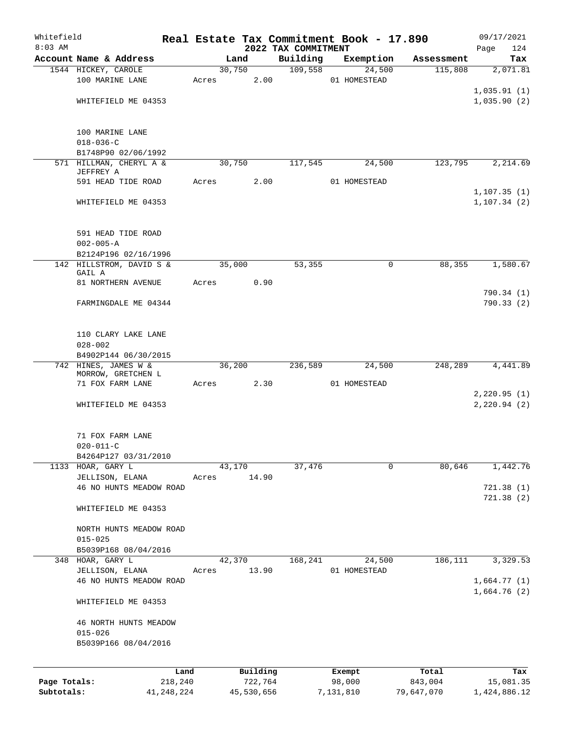| Whitefield<br>$8:03$ AM    |                                    |       |                       |                                 | Real Estate Tax Commitment Book - 17.890 |                       | 09/17/2021                |
|----------------------------|------------------------------------|-------|-----------------------|---------------------------------|------------------------------------------|-----------------------|---------------------------|
|                            | Account Name & Address             |       | Land                  | 2022 TAX COMMITMENT<br>Building | Exemption                                | Assessment            | 124<br>Page<br>Tax        |
|                            | 1544 HICKEY, CAROLE                |       | 30,750                | 109,558                         | 24,500                                   | 115,808               | 2,071.81                  |
|                            | 100 MARINE LANE                    | Acres | 2.00                  |                                 | 01 HOMESTEAD                             |                       |                           |
|                            |                                    |       |                       |                                 |                                          |                       | 1,035.91(1)               |
|                            | WHITEFIELD ME 04353                |       |                       |                                 |                                          |                       | 1,035.90(2)               |
|                            |                                    |       |                       |                                 |                                          |                       |                           |
|                            | 100 MARINE LANE<br>$018 - 036 - C$ |       |                       |                                 |                                          |                       |                           |
|                            | B1748P90 02/06/1992                |       |                       |                                 |                                          |                       |                           |
|                            | 571 HILLMAN, CHERYL A &            |       | 30,750                | 117,545                         | 24,500                                   | 123,795               | 2,214.69                  |
|                            | JEFFREY A                          |       |                       |                                 |                                          |                       |                           |
|                            | 591 HEAD TIDE ROAD                 | Acres | 2.00                  |                                 | 01 HOMESTEAD                             |                       |                           |
|                            |                                    |       |                       |                                 |                                          |                       | 1, 107.35(1)              |
|                            | WHITEFIELD ME 04353                |       |                       |                                 |                                          |                       | 1, 107.34(2)              |
|                            | 591 HEAD TIDE ROAD                 |       |                       |                                 |                                          |                       |                           |
|                            | $002 - 005 - A$                    |       |                       |                                 |                                          |                       |                           |
|                            | B2124P196 02/16/1996               |       |                       |                                 |                                          |                       |                           |
|                            | 142 HILLSTROM, DAVID S &           |       | 35,000                | 53,355                          | $\mathbf 0$                              | 88,355                | 1,580.67                  |
|                            | GAIL A                             |       |                       |                                 |                                          |                       |                           |
|                            | 81 NORTHERN AVENUE                 | Acres | 0.90                  |                                 |                                          |                       |                           |
|                            |                                    |       |                       |                                 |                                          |                       | 790.34(1)                 |
|                            | FARMINGDALE ME 04344               |       |                       |                                 |                                          |                       | 790.33(2)                 |
|                            | 110 CLARY LAKE LANE                |       |                       |                                 |                                          |                       |                           |
|                            | $028 - 002$                        |       |                       |                                 |                                          |                       |                           |
|                            | B4902P144 06/30/2015               |       |                       |                                 |                                          |                       |                           |
|                            | 742 HINES, JAMES W &               |       | 36,200                | 236,589                         | 24,500                                   | 248,289               | 4,441.89                  |
|                            | MORROW, GRETCHEN L                 |       |                       |                                 |                                          |                       |                           |
|                            | 71 FOX FARM LANE                   | Acres | 2.30                  |                                 | 01 HOMESTEAD                             |                       |                           |
|                            |                                    |       |                       |                                 |                                          |                       | 2,220.95(1)               |
|                            | WHITEFIELD ME 04353                |       |                       |                                 |                                          |                       | 2, 220.94(2)              |
|                            | 71 FOX FARM LANE                   |       |                       |                                 |                                          |                       |                           |
|                            | $020 - 011 - C$                    |       |                       |                                 |                                          |                       |                           |
|                            | B4264P127 03/31/2010               |       |                       |                                 |                                          |                       |                           |
|                            | 1133 HOAR, GARY L                  |       | 43,170                | 37,476                          | $\mathbf 0$                              | 80,646                | 1,442.76                  |
|                            | JELLISON, ELANA                    | Acres | 14.90                 |                                 |                                          |                       |                           |
|                            | 46 NO HUNTS MEADOW ROAD            |       |                       |                                 |                                          |                       | 721.38(1)                 |
|                            | WHITEFIELD ME 04353                |       |                       |                                 |                                          |                       | 721.38(2)                 |
|                            | NORTH HUNTS MEADOW ROAD            |       |                       |                                 |                                          |                       |                           |
|                            | $015 - 025$                        |       |                       |                                 |                                          |                       |                           |
|                            | B5039P168 08/04/2016               |       |                       |                                 |                                          |                       |                           |
|                            | 348 HOAR, GARY L                   |       | 42,370                | 168,241                         | 24,500                                   | 186,111               | 3,329.53                  |
|                            | JELLISON, ELANA                    | Acres | 13.90                 |                                 | 01 HOMESTEAD                             |                       |                           |
|                            | 46 NO HUNTS MEADOW ROAD            |       |                       |                                 |                                          |                       | 1,664.77(1)               |
|                            | WHITEFIELD ME 04353                |       |                       |                                 |                                          |                       | 1,664.76(2)               |
|                            | 46 NORTH HUNTS MEADOW              |       |                       |                                 |                                          |                       |                           |
|                            | $015 - 026$                        |       |                       |                                 |                                          |                       |                           |
|                            | B5039P166 08/04/2016               |       |                       |                                 |                                          |                       |                           |
|                            |                                    |       |                       |                                 |                                          |                       |                           |
|                            |                                    | Land  | Building              |                                 | Exempt                                   | Total                 | Tax                       |
| Page Totals:<br>Subtotals: | 218,240<br>41,248,224              |       | 722,764<br>45,530,656 |                                 | 98,000<br>7,131,810                      | 843,004<br>79,647,070 | 15,081.35<br>1,424,886.12 |
|                            |                                    |       |                       |                                 |                                          |                       |                           |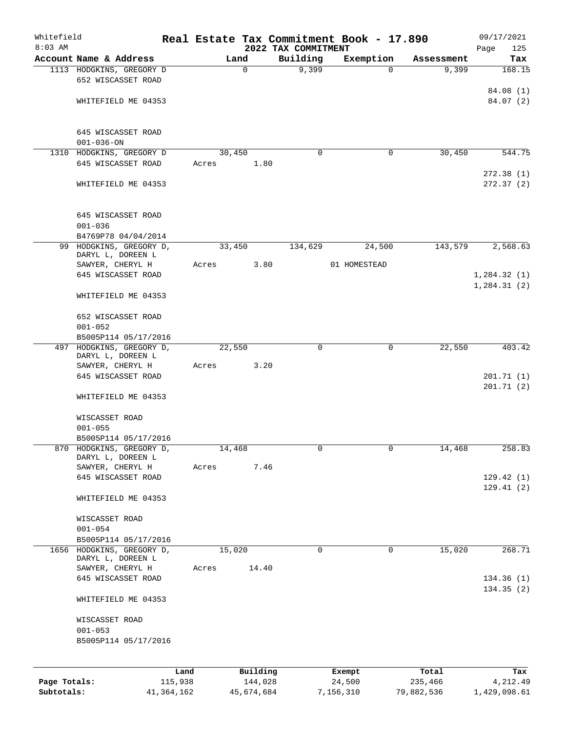| Whitefield   |                                                |              |       |             |                                 | Real Estate Tax Commitment Book - 17.890 |                     | 09/17/2021         |
|--------------|------------------------------------------------|--------------|-------|-------------|---------------------------------|------------------------------------------|---------------------|--------------------|
| $8:03$ AM    | Account Name & Address                         |              |       | Land        | 2022 TAX COMMITMENT<br>Building |                                          |                     | Page<br>125<br>Tax |
|              | 1113 HODGKINS, GREGORY D                       |              |       | $\mathbf 0$ | 9,399                           | Exemption<br>$\Omega$                    | Assessment<br>9,399 | 168.15             |
|              | 652 WISCASSET ROAD                             |              |       |             |                                 |                                          |                     |                    |
|              |                                                |              |       |             |                                 |                                          |                     | 84.08 (1)          |
|              | WHITEFIELD ME 04353                            |              |       |             |                                 |                                          |                     | 84.07(2)           |
|              |                                                |              |       |             |                                 |                                          |                     |                    |
|              |                                                |              |       |             |                                 |                                          |                     |                    |
|              | 645 WISCASSET ROAD<br>$001 - 036 - ON$         |              |       |             |                                 |                                          |                     |                    |
|              | 1310 HODGKINS, GREGORY D                       |              |       | 30,450      | $\mathbf 0$                     | 0                                        | 30,450              | 544.75             |
|              | 645 WISCASSET ROAD                             |              | Acres | 1.80        |                                 |                                          |                     |                    |
|              |                                                |              |       |             |                                 |                                          |                     | 272.38(1)          |
|              | WHITEFIELD ME 04353                            |              |       |             |                                 |                                          |                     | 272.37(2)          |
|              |                                                |              |       |             |                                 |                                          |                     |                    |
|              | 645 WISCASSET ROAD<br>$001 - 036$              |              |       |             |                                 |                                          |                     |                    |
|              | B4769P78 04/04/2014                            |              |       |             |                                 |                                          |                     |                    |
|              | 99 HODGKINS, GREGORY D,                        |              |       | 33,450      | 134,629                         | 24,500                                   | 143,579             | 2,568.63           |
|              | DARYL L, DOREEN L                              |              |       |             |                                 |                                          |                     |                    |
|              | SAWYER, CHERYL H                               |              | Acres | 3.80        |                                 | 01 HOMESTEAD                             |                     |                    |
|              | 645 WISCASSET ROAD                             |              |       |             |                                 |                                          |                     | 1,284.32(1)        |
|              | WHITEFIELD ME 04353                            |              |       |             |                                 |                                          |                     | 1, 284.31(2)       |
|              |                                                |              |       |             |                                 |                                          |                     |                    |
|              | 652 WISCASSET ROAD                             |              |       |             |                                 |                                          |                     |                    |
|              | $001 - 052$                                    |              |       |             |                                 |                                          |                     |                    |
| 497          | B5005P114 05/17/2016<br>HODGKINS, GREGORY D,   |              |       |             | $\mathbf 0$                     | $\mathbf 0$                              | 22,550              | 403.42             |
|              | DARYL L, DOREEN L                              |              |       | 22,550      |                                 |                                          |                     |                    |
|              | SAWYER, CHERYL H                               |              | Acres | 3.20        |                                 |                                          |                     |                    |
|              | 645 WISCASSET ROAD                             |              |       |             |                                 |                                          |                     | 201.71(1)          |
|              | WHITEFIELD ME 04353                            |              |       |             |                                 |                                          |                     | 201.71(2)          |
|              |                                                |              |       |             |                                 |                                          |                     |                    |
|              | WISCASSET ROAD                                 |              |       |             |                                 |                                          |                     |                    |
|              | $001 - 055$                                    |              |       |             |                                 |                                          |                     |                    |
|              | B5005P114 05/17/2016                           |              |       |             |                                 |                                          |                     |                    |
|              | 870 HODGKINS, GREGORY D,<br>DARYL L, DOREEN L  |              |       | 14,468      | 0                               |                                          | 14,468              | 258.83             |
|              | SAWYER, CHERYL H                               |              | Acres | 7.46        |                                 |                                          |                     |                    |
|              | 645 WISCASSET ROAD                             |              |       |             |                                 |                                          |                     | 129.42(1)          |
|              |                                                |              |       |             |                                 |                                          |                     | 129.41(2)          |
|              | WHITEFIELD ME 04353                            |              |       |             |                                 |                                          |                     |                    |
|              | WISCASSET ROAD                                 |              |       |             |                                 |                                          |                     |                    |
|              | $001 - 054$                                    |              |       |             |                                 |                                          |                     |                    |
|              | B5005P114 05/17/2016                           |              |       |             |                                 |                                          |                     |                    |
|              | 1656 HODGKINS, GREGORY D,<br>DARYL L, DOREEN L |              |       | 15,020      | $\mathbf 0$                     | 0                                        | 15,020              | 268.71             |
|              | SAWYER, CHERYL H                               |              | Acres | 14.40       |                                 |                                          |                     |                    |
|              | 645 WISCASSET ROAD                             |              |       |             |                                 |                                          |                     | 134.36(1)          |
|              |                                                |              |       |             |                                 |                                          |                     | 134.35(2)          |
|              | WHITEFIELD ME 04353                            |              |       |             |                                 |                                          |                     |                    |
|              | WISCASSET ROAD                                 |              |       |             |                                 |                                          |                     |                    |
|              | $001 - 053$                                    |              |       |             |                                 |                                          |                     |                    |
|              | B5005P114 05/17/2016                           |              |       |             |                                 |                                          |                     |                    |
|              |                                                |              |       |             |                                 |                                          |                     |                    |
|              |                                                | Land         |       | Building    |                                 | Exempt                                   | Total               | Tax                |
| Page Totals: |                                                | 115,938      |       | 144,028     |                                 | 24,500                                   | 235,466             | 4,212.49           |
| Subtotals:   |                                                | 41, 364, 162 |       | 45,674,684  |                                 | 7,156,310                                | 79,882,536          | 1,429,098.61       |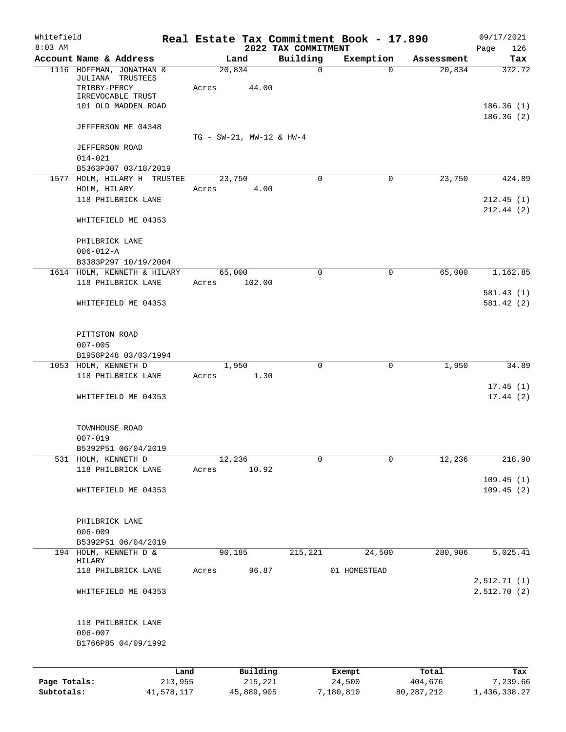| Whitefield<br>$8:03$ AM |                                                     |                               |            | 2022 TAX COMMITMENT | Real Estate Tax Commitment Book - 17.890 |              | 09/17/2021                  |
|-------------------------|-----------------------------------------------------|-------------------------------|------------|---------------------|------------------------------------------|--------------|-----------------------------|
|                         | Account Name & Address                              | Land                          |            | Building            | Exemption                                | Assessment   | Page<br>126<br>Tax          |
|                         | 1116 HOFFMAN, JONATHAN &                            | 20,834                        |            | $\mathbf 0$         | $\Omega$                                 | 20,834       | 372.72                      |
|                         | JULIANA TRUSTEES                                    |                               |            |                     |                                          |              |                             |
|                         | TRIBBY-PERCY<br>IRREVOCABLE TRUST                   | Acres                         | 44.00      |                     |                                          |              |                             |
|                         | 101 OLD MADDEN ROAD                                 |                               |            |                     |                                          |              | 186.36(1)                   |
|                         |                                                     |                               |            |                     |                                          |              | 186.36(2)                   |
|                         | JEFFERSON ME 04348                                  |                               |            |                     |                                          |              |                             |
|                         | <b>JEFFERSON ROAD</b>                               | $TG - SW-21$ , $MW-12 & HW-4$ |            |                     |                                          |              |                             |
|                         | $014 - 021$                                         |                               |            |                     |                                          |              |                             |
|                         | B5363P307 03/18/2019                                |                               |            |                     |                                          |              |                             |
|                         | 1577 HOLM, HILARY H TRUSTEE                         | 23,750                        |            | 0                   | $\mathbf 0$                              | 23,750       | 424.89                      |
|                         | HOLM, HILARY                                        | Acres                         | 4.00       |                     |                                          |              |                             |
|                         | 118 PHILBRICK LANE                                  |                               |            |                     |                                          |              | 212.45(1)                   |
|                         | WHITEFIELD ME 04353                                 |                               |            |                     |                                          |              | 212.44(2)                   |
|                         |                                                     |                               |            |                     |                                          |              |                             |
|                         | PHILBRICK LANE                                      |                               |            |                     |                                          |              |                             |
|                         | $006 - 012 - A$                                     |                               |            |                     |                                          |              |                             |
|                         | B3383P297 10/19/2004<br>1614 HOLM, KENNETH & HILARY | 65,000                        |            | $\Omega$            | $\Omega$                                 | 65,000       | 1,162.85                    |
|                         | 118 PHILBRICK LANE                                  | Acres                         | 102.00     |                     |                                          |              |                             |
|                         |                                                     |                               |            |                     |                                          |              | 581.43(1)                   |
|                         | WHITEFIELD ME 04353                                 |                               |            |                     |                                          |              | 581.42(2)                   |
|                         |                                                     |                               |            |                     |                                          |              |                             |
|                         | PITTSTON ROAD                                       |                               |            |                     |                                          |              |                             |
|                         | $007 - 005$                                         |                               |            |                     |                                          |              |                             |
|                         | B1958P248 03/03/1994<br>1053 HOLM, KENNETH D        | 1,950                         |            | 0                   | $\mathbf 0$                              | 1,950        | 34.89                       |
|                         | 118 PHILBRICK LANE                                  | Acres                         | 1.30       |                     |                                          |              |                             |
|                         |                                                     |                               |            |                     |                                          |              | 17.45(1)                    |
|                         | WHITEFIELD ME 04353                                 |                               |            |                     |                                          |              | 17.44(2)                    |
|                         |                                                     |                               |            |                     |                                          |              |                             |
|                         | TOWNHOUSE ROAD<br>$007 - 019$                       |                               |            |                     |                                          |              |                             |
|                         | B5392P51 06/04/2019                                 |                               |            |                     |                                          |              |                             |
|                         | 531 HOLM, KENNETH D                                 | 12,236                        |            | 0                   | $\mathbf 0$                              | 12,236       | 218.90                      |
|                         | 118 PHILBRICK LANE                                  | Acres                         | 10.92      |                     |                                          |              |                             |
|                         |                                                     |                               |            |                     |                                          |              | 109.45(1)                   |
|                         | WHITEFIELD ME 04353                                 |                               |            |                     |                                          |              | 109.45(2)                   |
|                         |                                                     |                               |            |                     |                                          |              |                             |
|                         | PHILBRICK LANE<br>$006 - 009$                       |                               |            |                     |                                          |              |                             |
|                         | B5392P51 06/04/2019                                 |                               |            |                     |                                          |              |                             |
|                         | 194 HOLM, KENNETH D &                               | 90, 185                       |            | 215,221             | 24,500                                   | 280,906      | 5,025.41                    |
|                         | HILARY                                              |                               |            |                     |                                          |              |                             |
|                         | 118 PHILBRICK LANE                                  | Acres                         | 96.87      |                     | 01 HOMESTEAD                             |              |                             |
|                         | WHITEFIELD ME 04353                                 |                               |            |                     |                                          |              | 2,512.71 (1)<br>2,512.70(2) |
|                         |                                                     |                               |            |                     |                                          |              |                             |
|                         | 118 PHILBRICK LANE                                  |                               |            |                     |                                          |              |                             |
|                         | $006 - 007$                                         |                               |            |                     |                                          |              |                             |
|                         | B1766P85 04/09/1992                                 |                               |            |                     |                                          |              |                             |
|                         |                                                     | Land                          | Building   |                     | Exempt                                   | Total        | Tax                         |
| Page Totals:            | 213,955                                             |                               | 215,221    |                     | 24,500                                   | 404,676      | 7,239.66                    |
| Subtotals:              | 41,578,117                                          |                               | 45,889,905 |                     | 7,180,810                                | 80, 287, 212 | 1,436,338.27                |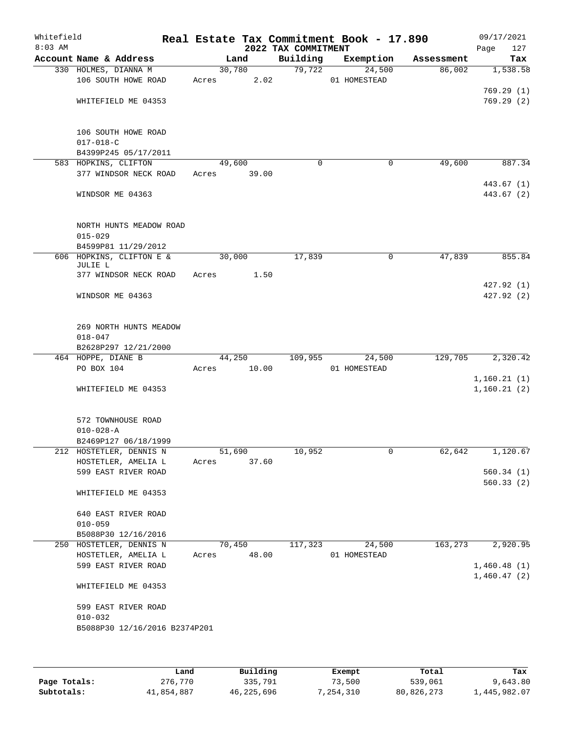| Whitefield<br>$8:03$ AM |                                                | Real Estate Tax Commitment Book - 17.890 | 2022 TAX COMMITMENT |              |            | 09/17/2021<br>127<br>Page |
|-------------------------|------------------------------------------------|------------------------------------------|---------------------|--------------|------------|---------------------------|
|                         | Account Name & Address                         | Land                                     | Building            | Exemption    | Assessment | Tax                       |
|                         | 330 HOLMES, DIANNA M                           | 30,780                                   | 79,722              | 24,500       | 86,002     | 1,538.58                  |
|                         | 106 SOUTH HOWE ROAD                            | 2.02<br>Acres                            |                     | 01 HOMESTEAD |            |                           |
|                         |                                                |                                          |                     |              |            | 769.29(1)                 |
|                         | WHITEFIELD ME 04353                            |                                          |                     |              |            | 769.29(2)                 |
|                         | 106 SOUTH HOWE ROAD                            |                                          |                     |              |            |                           |
|                         | $017 - 018 - C$                                |                                          |                     |              |            |                           |
|                         | B4399P245 05/17/2011<br>583 HOPKINS, CLIFTON   | 49,600                                   | $\mathbf 0$         | 0            | 49,600     | 887.34                    |
|                         | 377 WINDSOR NECK ROAD                          | 39.00<br>Acres                           |                     |              |            |                           |
|                         |                                                |                                          |                     |              |            | 443.67 (1)                |
|                         | WINDSOR ME 04363                               |                                          |                     |              |            | 443.67 (2)                |
|                         | NORTH HUNTS MEADOW ROAD                        |                                          |                     |              |            |                           |
|                         | $015 - 029$                                    |                                          |                     |              |            |                           |
|                         | B4599P81 11/29/2012                            |                                          |                     |              |            |                           |
|                         | 606 HOPKINS, CLIFTON E &<br>JULIE L            | 30,000                                   | 17,839              | 0            | 47,839     | 855.84                    |
|                         | 377 WINDSOR NECK ROAD                          | 1.50<br>Acres                            |                     |              |            |                           |
|                         | WINDSOR ME 04363                               |                                          |                     |              |            | 427.92 (1)<br>427.92 (2)  |
|                         |                                                |                                          |                     |              |            |                           |
|                         | 269 NORTH HUNTS MEADOW                         |                                          |                     |              |            |                           |
|                         | $018 - 047$                                    |                                          |                     |              |            |                           |
|                         | B2628P297 12/21/2000                           |                                          |                     |              |            |                           |
|                         | 464 HOPPE, DIANE B                             | 44,250                                   | 109,955             | 24,500       | 129,705    | 2,320.42                  |
|                         | PO BOX 104                                     | 10.00<br>Acres                           |                     | 01 HOMESTEAD |            | 1,160.21(1)               |
|                         | WHITEFIELD ME 04353                            |                                          |                     |              |            | 1,160.21(2)               |
|                         | 572 TOWNHOUSE ROAD                             |                                          |                     |              |            |                           |
|                         | $010 - 028 - A$                                |                                          |                     |              |            |                           |
|                         | B2469P127 06/18/1999                           |                                          |                     |              |            |                           |
|                         | 212 HOSTETLER, DENNIS N                        | 51,690                                   | 10,952              | 0            | 62,642     | 1,120.67                  |
|                         | HOSTETLER, AMELIA L                            | Acres<br>37.60                           |                     |              |            |                           |
|                         | 599 EAST RIVER ROAD                            |                                          |                     |              |            | 560.34(1)                 |
|                         | WHITEFIELD ME 04353                            |                                          |                     |              |            | 560.33(2)                 |
|                         | 640 EAST RIVER ROAD                            |                                          |                     |              |            |                           |
|                         | $010 - 059$                                    |                                          |                     |              |            |                           |
|                         | B5088P30 12/16/2016<br>250 HOSTETLER, DENNIS N | 70,450                                   | 117,323             | 24,500       | 163, 273   | 2,920.95                  |
|                         | HOSTETLER, AMELIA L                            | 48.00<br>Acres                           |                     | 01 HOMESTEAD |            |                           |
|                         | 599 EAST RIVER ROAD                            |                                          |                     |              |            | 1,460.48(1)               |
|                         | WHITEFIELD ME 04353                            |                                          |                     |              |            | 1,460.47(2)               |
|                         | 599 EAST RIVER ROAD<br>$010 - 032$             |                                          |                     |              |            |                           |
|                         | B5088P30 12/16/2016 B2374P201                  |                                          |                     |              |            |                           |
|                         |                                                |                                          |                     |              |            |                           |

|              | Land       | Building   | Exempt    | Total      | Tax          |
|--------------|------------|------------|-----------|------------|--------------|
| Page Totals: | 276,770    | 335,791    | 73,500    | 539,061    | 9,643.80     |
| Subtotals:   | 41,854,887 | 46,225,696 | 7,254,310 | 80,826,273 | 1,445,982.07 |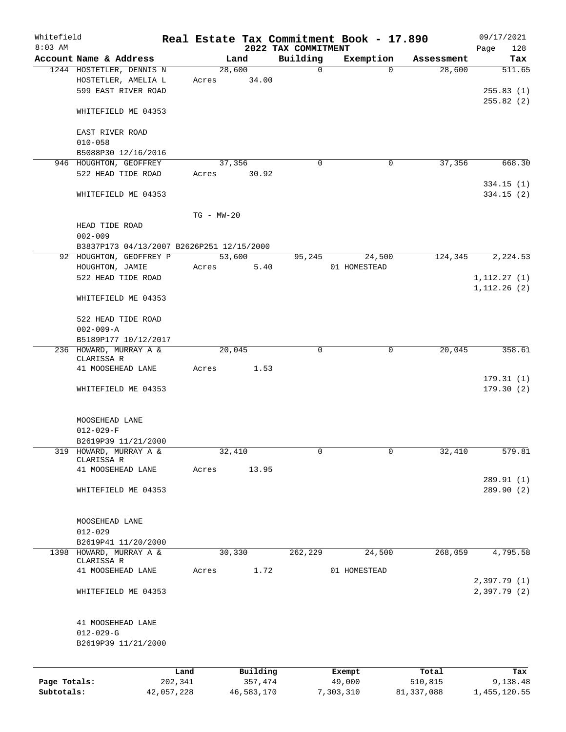| Whitefield<br>$8:03$ AM |                                                |                |          | 2022 TAX COMMITMENT | Real Estate Tax Commitment Book - 17.890 |            | 09/17/2021<br>128<br>Page   |
|-------------------------|------------------------------------------------|----------------|----------|---------------------|------------------------------------------|------------|-----------------------------|
|                         | Account Name & Address                         |                | Land     | Building            | Exemption                                | Assessment | Tax                         |
|                         | 1244 HOSTETLER, DENNIS N                       |                | 28,600   | $\mathbf 0$         | $\Omega$                                 | 28,600     | 511.65                      |
|                         | HOSTETLER, AMELIA L<br>599 EAST RIVER ROAD     | Acres          | 34.00    |                     |                                          |            | 255.83(1)                   |
|                         | WHITEFIELD ME 04353                            |                |          |                     |                                          |            | 255.82(2)                   |
|                         | EAST RIVER ROAD<br>$010 - 058$                 |                |          |                     |                                          |            |                             |
|                         | B5088P30 12/16/2016                            |                |          |                     |                                          |            |                             |
|                         | 946 HOUGHTON, GEOFFREY                         |                | 37,356   | $\Omega$            | 0                                        | 37,356     | 668.30                      |
|                         | 522 HEAD TIDE ROAD<br>WHITEFIELD ME 04353      | Acres          | 30.92    |                     |                                          |            | 334.15(1)<br>334.15(2)      |
|                         |                                                |                |          |                     |                                          |            |                             |
|                         | HEAD TIDE ROAD                                 | $TG - MW - 20$ |          |                     |                                          |            |                             |
|                         | $002 - 009$                                    |                |          |                     |                                          |            |                             |
|                         | B3837P173 04/13/2007 B2626P251 12/15/2000      |                |          |                     |                                          |            |                             |
|                         | 92 HOUGHTON, GEOFFREY P                        |                | 53,600   | 95,245              | 24,500                                   | 124,345    | 2,224.53                    |
|                         | HOUGHTON, JAMIE<br>522 HEAD TIDE ROAD          | Acres          | 5.40     |                     | 01 HOMESTEAD                             |            | 1, 112.27(1)                |
|                         | WHITEFIELD ME 04353                            |                |          |                     |                                          |            | 1, 112.26(2)                |
|                         | 522 HEAD TIDE ROAD                             |                |          |                     |                                          |            |                             |
|                         | $002 - 009 - A$                                |                |          |                     |                                          |            |                             |
|                         | B5189P177 10/12/2017<br>236 HOWARD, MURRAY A & |                | 20,045   | $\Omega$            | 0                                        | 20,045     | 358.61                      |
|                         | CLARISSA R<br>41 MOOSEHEAD LANE                | Acres          | 1.53     |                     |                                          |            |                             |
|                         | WHITEFIELD ME 04353                            |                |          |                     |                                          |            | 179.31(1)<br>179.30(2)      |
|                         |                                                |                |          |                     |                                          |            |                             |
|                         | MOOSEHEAD LANE<br>$012 - 029 - F$              |                |          |                     |                                          |            |                             |
|                         | B2619P39 11/21/2000                            |                |          |                     |                                          |            |                             |
| 319                     | HOWARD, MURRAY A &<br>CLARISSA R               |                | 32,410   | 0                   | 0                                        | 32,410     | 579.81                      |
|                         | 41 MOOSEHEAD LANE                              | Acres          | 13.95    |                     |                                          |            |                             |
|                         | WHITEFIELD ME 04353                            |                |          |                     |                                          |            | 289.91 (1)<br>289.90 (2)    |
|                         |                                                |                |          |                     |                                          |            |                             |
|                         | MOOSEHEAD LANE<br>$012 - 029$                  |                |          |                     |                                          |            |                             |
|                         | B2619P41 11/20/2000                            |                |          |                     |                                          |            |                             |
| 1398                    | HOWARD, MURRAY A &                             |                | 30,330   | 262,229             | 24,500                                   | 268,059    | 4,795.58                    |
|                         | CLARISSA R<br>41 MOOSEHEAD LANE                | Acres          | 1.72     |                     | 01 HOMESTEAD                             |            |                             |
|                         | WHITEFIELD ME 04353                            |                |          |                     |                                          |            | 2,397.79 (1)<br>2,397.79(2) |
|                         |                                                |                |          |                     |                                          |            |                             |
|                         | 41 MOOSEHEAD LANE<br>$012 - 029 - G$           |                |          |                     |                                          |            |                             |
|                         | B2619P39 11/21/2000                            |                |          |                     |                                          |            |                             |
|                         |                                                | Land           | Building |                     | Exempt                                   | Total      | Tax                         |
| Page Totals:            |                                                | 202,341        | 357,474  |                     | 49,000                                   | 510,815    | 9,138.48                    |

**Subtotals:** 42,057,228 46,583,170 7,303,310 81,337,088 1,455,120.55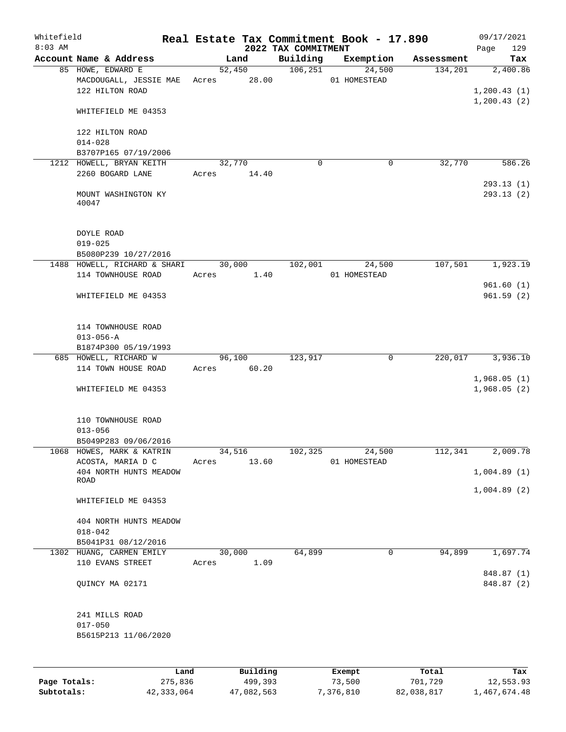| Whitefield<br>$8:03$ AM |                                |             |          |                                 | Real Estate Tax Commitment Book - 17.890 |            | 09/17/2021               |
|-------------------------|--------------------------------|-------------|----------|---------------------------------|------------------------------------------|------------|--------------------------|
|                         | Account Name & Address         |             | Land     | 2022 TAX COMMITMENT<br>Building | Exemption                                | Assessment | 129<br>Page<br>Tax       |
|                         | 85 HOWE, EDWARD E              | 52,450      |          | 106, 251                        | 24,500                                   | 134,201    | 2,400.86                 |
|                         | MACDOUGALL, JESSIE MAE         | Acres 28.00 |          |                                 | 01 HOMESTEAD                             |            |                          |
|                         | 122 HILTON ROAD                |             |          |                                 |                                          |            | 1, 200.43(1)             |
|                         |                                |             |          |                                 |                                          |            | 1,200.43(2)              |
|                         | WHITEFIELD ME 04353            |             |          |                                 |                                          |            |                          |
|                         | 122 HILTON ROAD                |             |          |                                 |                                          |            |                          |
|                         | $014 - 028$                    |             |          |                                 |                                          |            |                          |
|                         | B3707P165 07/19/2006           |             |          |                                 |                                          |            |                          |
|                         | 1212 HOWELL, BRYAN KEITH       | 32,770      |          | 0                               | 0                                        | 32,770     | 586.26                   |
|                         | 2260 BOGARD LANE               | Acres       | 14.40    |                                 |                                          |            |                          |
|                         | MOUNT WASHINGTON KY<br>40047   |             |          |                                 |                                          |            | 293.13(1)<br>293.13 (2)  |
|                         | DOYLE ROAD                     |             |          |                                 |                                          |            |                          |
|                         | $019 - 025$                    |             |          |                                 |                                          |            |                          |
|                         | B5080P239 10/27/2016           |             |          |                                 |                                          |            |                          |
|                         | 1488 HOWELL, RICHARD & SHARI   | 30,000      |          | 102,001                         | 24,500                                   | 107,501    | 1,923.19                 |
|                         | 114 TOWNHOUSE ROAD             | Acres       | 1.40     |                                 | 01 HOMESTEAD                             |            |                          |
|                         | WHITEFIELD ME 04353            |             |          |                                 |                                          |            | 961.60(1)<br>961.59(2)   |
|                         |                                |             |          |                                 |                                          |            |                          |
|                         | 114 TOWNHOUSE ROAD             |             |          |                                 |                                          |            |                          |
|                         | $013 - 056 - A$                |             |          |                                 |                                          |            |                          |
|                         | B1874P300 05/19/1993           |             |          |                                 |                                          |            |                          |
|                         | 685 HOWELL, RICHARD W          | 96,100      |          | 123,917                         | 0                                        | 220,017    | 3,936.10                 |
|                         | 114 TOWN HOUSE ROAD            | Acres       | 60.20    |                                 |                                          |            | 1,968.05(1)              |
|                         | WHITEFIELD ME 04353            |             |          |                                 |                                          |            | 1,968.05(2)              |
|                         | 110 TOWNHOUSE ROAD             |             |          |                                 |                                          |            |                          |
|                         | $013 - 056$                    |             |          |                                 |                                          |            |                          |
|                         | B5049P283 09/06/2016           |             |          |                                 |                                          |            |                          |
|                         | 1068 HOWES, MARK & KATRIN      | 34,516      |          | 102,325                         | 24,500                                   | 112,341    | 2,009.78                 |
|                         | ACOSTA, MARIA D C              | Acres       | 13.60    |                                 | 01 HOMESTEAD                             |            |                          |
|                         | 404 NORTH HUNTS MEADOW<br>ROAD |             |          |                                 |                                          |            | 1,004.89(1)              |
|                         | WHITEFIELD ME 04353            |             |          |                                 |                                          |            | 1,004.89(2)              |
|                         | 404 NORTH HUNTS MEADOW         |             |          |                                 |                                          |            |                          |
|                         | $018 - 042$                    |             |          |                                 |                                          |            |                          |
|                         | B5041P31 08/12/2016            |             |          |                                 |                                          |            |                          |
|                         | 1302 HUANG, CARMEN EMILY       | 30,000      |          | 64,899                          | $\mathbf 0$                              | 94,899     | 1,697.74                 |
|                         | 110 EVANS STREET               | Acres       | 1.09     |                                 |                                          |            |                          |
|                         | QUINCY MA 02171                |             |          |                                 |                                          |            | 848.87 (1)<br>848.87 (2) |
|                         | 241 MILLS ROAD                 |             |          |                                 |                                          |            |                          |
|                         | $017 - 050$                    |             |          |                                 |                                          |            |                          |
|                         | B5615P213 11/06/2020           |             |          |                                 |                                          |            |                          |
|                         |                                |             |          |                                 |                                          |            |                          |
|                         | Land                           |             | Building |                                 | Exempt                                   | Total      | Tax                      |

|              | ------     | ---------  | --------  | -----      | ----         |
|--------------|------------|------------|-----------|------------|--------------|
| Page Totals: | 275,836    | 499,393    | 73,500    | 701,729    | 12,553.93    |
| Subtotals:   | 42,333,064 | 47,082,563 | 7,376,810 | 82,038,817 | 1,467,674.48 |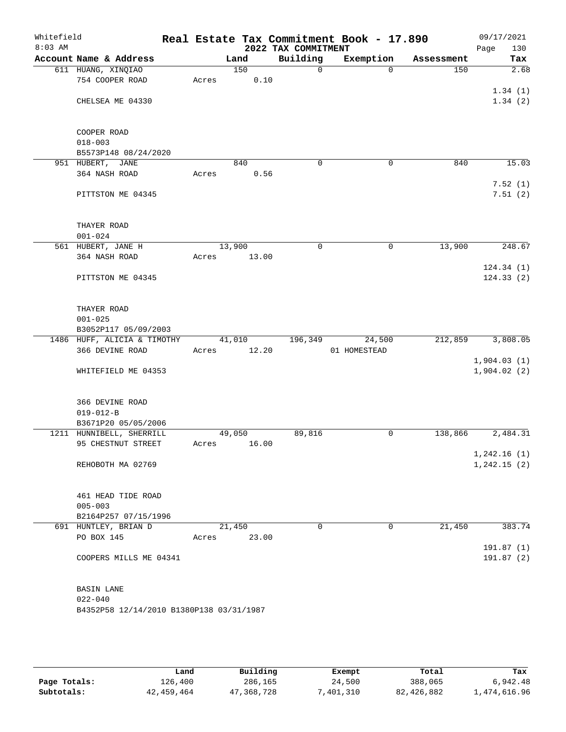| Whitefield<br>$8:03$ AM |                                          |       |        |       | 2022 TAX COMMITMENT | Real Estate Tax Commitment Book - 17.890 |            | 09/17/2021<br>Page<br>130 |
|-------------------------|------------------------------------------|-------|--------|-------|---------------------|------------------------------------------|------------|---------------------------|
|                         | Account Name & Address                   |       | Land   |       | Building            | Exemption                                | Assessment | Tax                       |
|                         | 611 HUANG, XINQIAO                       |       | 150    |       | $\mathsf{O}$        | 0                                        | 150        | $\overline{2.68}$         |
|                         | 754 COOPER ROAD                          | Acres |        | 0.10  |                     |                                          |            |                           |
|                         |                                          |       |        |       |                     |                                          |            | 1.34(1)                   |
|                         | CHELSEA ME 04330                         |       |        |       |                     |                                          |            | 1.34(2)                   |
|                         | COOPER ROAD                              |       |        |       |                     |                                          |            |                           |
|                         | $018 - 003$                              |       |        |       |                     |                                          |            |                           |
|                         | B5573P148 08/24/2020                     |       |        |       |                     |                                          |            |                           |
|                         | 951 HUBERT, JANE                         |       | 840    |       | $\mathbf 0$         | $\mathbf 0$                              | 840        | 15.03                     |
|                         | 364 NASH ROAD                            | Acres |        | 0.56  |                     |                                          |            |                           |
|                         |                                          |       |        |       |                     |                                          |            | 7.52(1)                   |
|                         | PITTSTON ME 04345                        |       |        |       |                     |                                          |            | 7.51(2)                   |
|                         | THAYER ROAD                              |       |        |       |                     |                                          |            |                           |
|                         | $001 - 024$                              |       |        |       |                     |                                          |            |                           |
|                         | 561 HUBERT, JANE H                       |       | 13,900 |       | $\mathbf 0$         | $\mathbf 0$                              | 13,900     | 248.67                    |
|                         | 364 NASH ROAD                            | Acres |        | 13.00 |                     |                                          |            |                           |
|                         |                                          |       |        |       |                     |                                          |            | 124.34(1)                 |
|                         | PITTSTON ME 04345                        |       |        |       |                     |                                          |            | 124.33(2)                 |
|                         | THAYER ROAD                              |       |        |       |                     |                                          |            |                           |
|                         | $001 - 025$                              |       |        |       |                     |                                          |            |                           |
|                         | B3052P117 05/09/2003                     |       |        |       |                     |                                          |            |                           |
|                         | 1486 HUFF, ALICIA & TIMOTHY              |       | 41,010 |       | 196,349             | 24,500                                   | 212,859    | 3,808.05                  |
|                         | 366 DEVINE ROAD                          | Acres |        | 12.20 |                     | 01 HOMESTEAD                             |            |                           |
|                         |                                          |       |        |       |                     |                                          |            | 1,904.03(1)               |
|                         | WHITEFIELD ME 04353                      |       |        |       |                     |                                          |            | 1,904.02(2)               |
|                         | 366 DEVINE ROAD                          |       |        |       |                     |                                          |            |                           |
|                         | $019 - 012 - B$                          |       |        |       |                     |                                          |            |                           |
|                         | B3671P20 05/05/2006                      |       |        |       |                     |                                          |            |                           |
|                         | 1211 HUNNIBELL, SHERRILL                 |       | 49,050 |       | 89,816              | 0                                        | 138,866    | 2,484.31                  |
|                         | 95 CHESTNUT STREET                       | Acres |        | 16.00 |                     |                                          |            |                           |
|                         |                                          |       |        |       |                     |                                          |            | 1,242.16(1)               |
|                         | REHOBOTH MA 02769                        |       |        |       |                     |                                          |            | 1, 242.15(2)              |
|                         | 461 HEAD TIDE ROAD                       |       |        |       |                     |                                          |            |                           |
|                         | $005 - 003$                              |       |        |       |                     |                                          |            |                           |
|                         | B2164P257 07/15/1996                     |       |        |       |                     |                                          |            |                           |
|                         | 691 HUNTLEY, BRIAN D                     |       | 21,450 |       | 0                   | $\mathbf{0}$                             | 21,450     | 383.74                    |
|                         | PO BOX 145                               | Acres |        | 23.00 |                     |                                          |            |                           |
|                         | COOPERS MILLS ME 04341                   |       |        |       |                     |                                          |            | 191.87(1)<br>191.87(2)    |
|                         | BASIN LANE                               |       |        |       |                     |                                          |            |                           |
|                         | $022 - 040$                              |       |        |       |                     |                                          |            |                           |
|                         | B4352P58 12/14/2010 B1380P138 03/31/1987 |       |        |       |                     |                                          |            |                           |
|                         |                                          |       |        |       |                     |                                          |            |                           |
|                         |                                          |       |        |       |                     |                                          |            |                           |

|              | Land       | Building   | Exempt   | Total      | Tax          |
|--------------|------------|------------|----------|------------|--------------|
| Page Totals: | 126,400    | 286,165    | 24,500   | 388,065    | 6,942.48     |
| Subtotals:   | 42,459,464 | 47,368,728 | ,401,310 | 82,426,882 | 1,474,616.96 |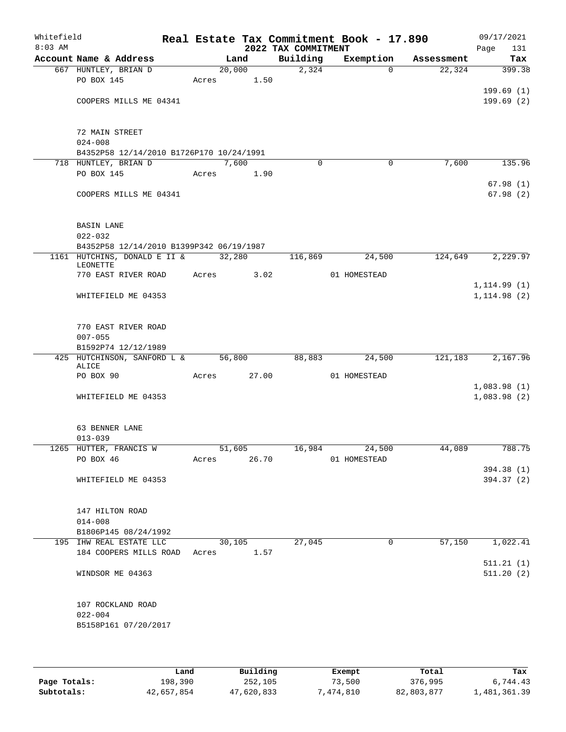| Whitefield<br>$8:03$ AM |                                          |             |        | 2022 TAX COMMITMENT | Real Estate Tax Commitment Book - 17.890 |            | 09/17/2021<br>Page<br>131 |
|-------------------------|------------------------------------------|-------------|--------|---------------------|------------------------------------------|------------|---------------------------|
|                         | Account Name & Address                   |             | Land   | Building            | Exemption                                | Assessment | Tax                       |
|                         | 667 HUNTLEY, BRIAN D                     |             | 20,000 | 2,324               | $\Omega$                                 | 22,324     | 399.38                    |
|                         | PO BOX 145                               | Acres       | 1.50   |                     |                                          |            |                           |
|                         |                                          |             |        |                     |                                          |            | 199.69(1)                 |
|                         | COOPERS MILLS ME 04341                   |             |        |                     |                                          |            | 199.69(2)                 |
|                         |                                          |             |        |                     |                                          |            |                           |
|                         | 72 MAIN STREET                           |             |        |                     |                                          |            |                           |
|                         | $024 - 008$                              |             |        |                     |                                          |            |                           |
|                         | B4352P58 12/14/2010 B1726P170 10/24/1991 |             |        |                     |                                          |            |                           |
|                         | 718 HUNTLEY, BRIAN D                     |             | 7,600  | $\Omega$            | 0                                        | 7,600      | 135.96                    |
|                         | PO BOX 145                               | Acres       | 1.90   |                     |                                          |            |                           |
|                         |                                          |             |        |                     |                                          |            | 67.98(1)                  |
|                         | COOPERS MILLS ME 04341                   |             |        |                     |                                          |            | 67.98(2)                  |
|                         |                                          |             |        |                     |                                          |            |                           |
|                         | <b>BASIN LANE</b>                        |             |        |                     |                                          |            |                           |
|                         | $022 - 032$                              |             |        |                     |                                          |            |                           |
|                         | B4352P58 12/14/2010 B1399P342 06/19/1987 |             |        |                     |                                          |            |                           |
|                         | 1161 HUTCHINS, DONALD E II &             |             | 32,280 | 116,869             | 24,500                                   | 124,649    | 2, 229.97                 |
|                         | LEONETTE                                 |             |        |                     |                                          |            |                           |
|                         | 770 EAST RIVER ROAD                      | Acres       | 3.02   |                     | 01 HOMESTEAD                             |            | 1, 114.99(1)              |
|                         | WHITEFIELD ME 04353                      |             |        |                     |                                          |            | 1, 114.98(2)              |
|                         |                                          |             |        |                     |                                          |            |                           |
|                         |                                          |             |        |                     |                                          |            |                           |
|                         | 770 EAST RIVER ROAD                      |             |        |                     |                                          |            |                           |
|                         | $007 - 055$                              |             |        |                     |                                          |            |                           |
|                         | B1592P74 12/12/1989                      |             |        |                     |                                          |            |                           |
|                         | 425 HUTCHINSON, SANFORD L &<br>ALICE     |             | 56,800 | 88,883              | 24,500                                   | 121,183    | 2,167.96                  |
|                         | PO BOX 90                                | Acres       | 27.00  |                     | 01 HOMESTEAD                             |            |                           |
|                         |                                          |             |        |                     |                                          |            | 1,083.98(1)               |
|                         | WHITEFIELD ME 04353                      |             |        |                     |                                          |            | 1,083.98(2)               |
|                         |                                          |             |        |                     |                                          |            |                           |
|                         |                                          |             |        |                     |                                          |            |                           |
|                         | 63 BENNER LANE                           |             |        |                     |                                          |            |                           |
|                         | $013 - 039$<br>1265 HUTTER, FRANCIS W    | 51,605      |        | 16,984              | 24,500                                   | 44,089     | 788.75                    |
|                         | PO BOX 46                                | Acres 26.70 |        |                     | 01 HOMESTEAD                             |            |                           |
|                         |                                          |             |        |                     |                                          |            | 394.38 (1)                |
|                         | WHITEFIELD ME 04353                      |             |        |                     |                                          |            | 394.37 (2)                |
|                         |                                          |             |        |                     |                                          |            |                           |
|                         |                                          |             |        |                     |                                          |            |                           |
|                         | 147 HILTON ROAD                          |             |        |                     |                                          |            |                           |
|                         | $014 - 008$<br>B1806P145 08/24/1992      |             |        |                     |                                          |            |                           |
|                         | 195 IHW REAL ESTATE LLC                  |             | 30,105 | 27,045              | 0                                        | 57,150     | 1,022.41                  |
|                         | 184 COOPERS MILLS ROAD                   | Acres 1.57  |        |                     |                                          |            |                           |
|                         |                                          |             |        |                     |                                          |            | 511.21(1)                 |
|                         | WINDSOR ME 04363                         |             |        |                     |                                          |            | 511.20(2)                 |
|                         |                                          |             |        |                     |                                          |            |                           |
|                         |                                          |             |        |                     |                                          |            |                           |
|                         | 107 ROCKLAND ROAD                        |             |        |                     |                                          |            |                           |
|                         | $022 - 004$                              |             |        |                     |                                          |            |                           |
|                         | B5158P161 07/20/2017                     |             |        |                     |                                          |            |                           |
|                         |                                          |             |        |                     |                                          |            |                           |

|              | Land       | Building   | Exempt    | Total      | Tax          |
|--------------|------------|------------|-----------|------------|--------------|
| Page Totals: | 198,390    | 252,105    | 73,500    | 376,995    | 6,744.43     |
| Subtotals:   | 42,657,854 | 47,620,833 | 7,474,810 | 82,803,877 | 1,481,361.39 |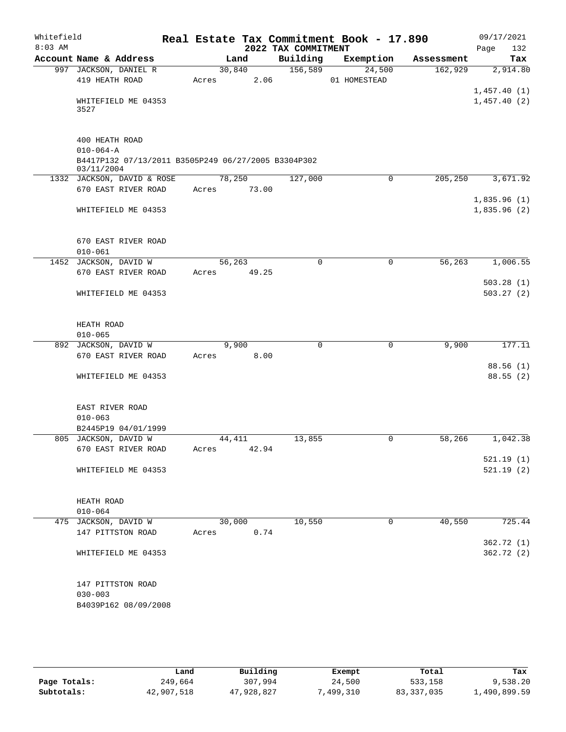| Whitefield<br>$8:03$ AM |                                                     | Real Estate Tax Commitment Book - 17.890 | 2022 TAX COMMITMENT |                |            | 09/17/2021<br>Page<br>132  |
|-------------------------|-----------------------------------------------------|------------------------------------------|---------------------|----------------|------------|----------------------------|
|                         | Account Name & Address                              | Land                                     | Building            | Exemption      | Assessment | Tax                        |
|                         | 997 JACKSON, DANIEL R                               | 30,840                                   | 156,589             | 24,500         | 162,929    | 2,914.80                   |
|                         | 419 HEATH ROAD                                      | 2.06<br>Acres                            |                     | 01 HOMESTEAD   |            |                            |
|                         | WHITEFIELD ME 04353<br>3527                         |                                          |                     |                |            | 1,457.40(1)<br>1,457.40(2) |
|                         | 400 HEATH ROAD                                      |                                          |                     |                |            |                            |
|                         | $010 - 064 - A$                                     |                                          |                     |                |            |                            |
|                         | B4417P132 07/13/2011 B3505P249 06/27/2005 B3304P302 |                                          |                     |                |            |                            |
|                         | 03/11/2004<br>1332 JACKSON, DAVID & ROSE            | 78,250                                   | 127,000             | 0              | 205,250    | 3,671.92                   |
|                         | 670 EAST RIVER ROAD                                 | 73.00<br>Acres                           |                     |                |            |                            |
|                         |                                                     |                                          |                     |                |            | 1,835.96(1)                |
|                         | WHITEFIELD ME 04353                                 |                                          |                     |                |            | 1,835.96(2)                |
|                         | 670 EAST RIVER ROAD                                 |                                          |                     |                |            |                            |
|                         | $010 - 061$                                         |                                          |                     |                |            |                            |
|                         | 1452 JACKSON, DAVID W                               | 56,263                                   | $\Omega$            | $\mathbf 0$    | 56,263     | 1,006.55                   |
|                         | 670 EAST RIVER ROAD                                 | Acres<br>49.25                           |                     |                |            |                            |
|                         |                                                     |                                          |                     |                |            | 503.28(1)                  |
|                         | WHITEFIELD ME 04353                                 |                                          |                     |                |            | 503.27(2)                  |
|                         | HEATH ROAD                                          |                                          |                     |                |            |                            |
|                         | $010 - 065$                                         |                                          |                     |                |            |                            |
|                         | 892 JACKSON, DAVID W                                | 9,900                                    | 0                   | $\mathbf 0$    | 9,900      | 177.11                     |
|                         | 670 EAST RIVER ROAD                                 | 8.00<br>Acres                            |                     |                |            |                            |
|                         | WHITEFIELD ME 04353                                 |                                          |                     |                |            | 88.56(1)<br>88.55(2)       |
|                         |                                                     |                                          |                     |                |            |                            |
|                         | EAST RIVER ROAD                                     |                                          |                     |                |            |                            |
|                         | $010 - 063$                                         |                                          |                     |                |            |                            |
|                         | B2445P19 04/01/1999                                 |                                          |                     |                |            |                            |
|                         | 805 JACKSON, DAVID W                                | 44,411                                   | 13,855              | 0              | 58,266     | 1,042.38                   |
|                         | 670 EAST RIVER ROAD                                 | Acres 42.94                              |                     |                |            |                            |
|                         |                                                     |                                          |                     |                |            | 521.19(1)                  |
|                         | WHITEFIELD ME 04353                                 |                                          |                     |                |            | 521.19(2)                  |
|                         | HEATH ROAD                                          |                                          |                     |                |            |                            |
|                         | $010 - 064$                                         |                                          |                     |                |            |                            |
|                         | 475 JACKSON, DAVID W                                | 30,000                                   | 10,550              | $\overline{0}$ | 40,550     | 725.44                     |
|                         | 147 PITTSTON ROAD                                   | 0.74<br>Acres                            |                     |                |            |                            |
|                         | WHITEFIELD ME 04353                                 |                                          |                     |                |            | 362.72 (1)<br>362.72 (2)   |
|                         |                                                     |                                          |                     |                |            |                            |
|                         | 147 PITTSTON ROAD                                   |                                          |                     |                |            |                            |
|                         | $030 - 003$                                         |                                          |                     |                |            |                            |
|                         | B4039P162 08/09/2008                                |                                          |                     |                |            |                            |
|                         |                                                     |                                          |                     |                |            |                            |

|              | Land       | Building   | Exempt    | Total        | Tax          |
|--------------|------------|------------|-----------|--------------|--------------|
| Page Totals: | 249,664    | 307,994    | 24,500    | 533,158      | 9,538.20     |
| Subtotals:   | 42,907,518 | 47,928,827 | 7,499,310 | 83, 337, 035 | 1,490,899.59 |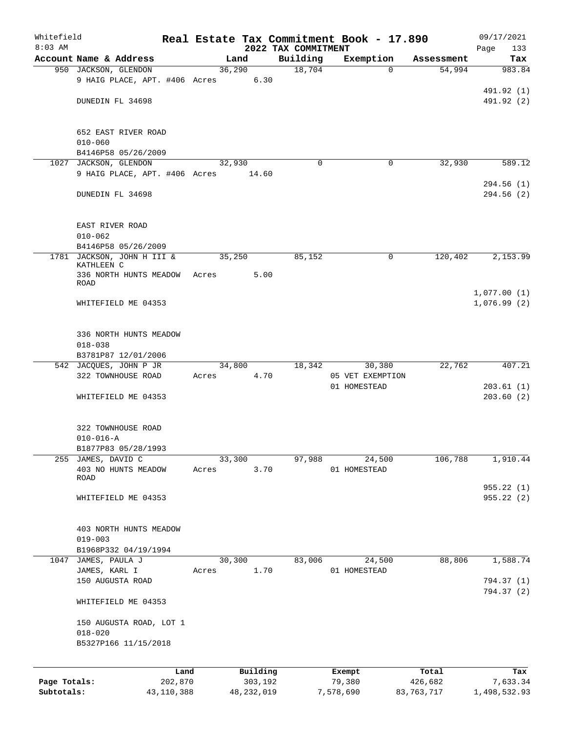| Whitefield   |                                          |       |              |      |                                 | Real Estate Tax Commitment Book - 17.890 |                      | 09/17/2021                 |
|--------------|------------------------------------------|-------|--------------|------|---------------------------------|------------------------------------------|----------------------|----------------------------|
| $8:03$ AM    | Account Name & Address                   |       | Land         |      | 2022 TAX COMMITMENT<br>Building | Exemption                                |                      | 133<br>Page<br>Tax         |
|              | 950 JACKSON, GLENDON                     |       | 36,290       |      | 18,704                          | $\Omega$                                 | Assessment<br>54,994 | 983.84                     |
|              | 9 HAIG PLACE, APT. #406 Acres 6.30       |       |              |      |                                 |                                          |                      | 491.92 (1)                 |
|              | DUNEDIN FL 34698                         |       |              |      |                                 |                                          |                      | 491.92 (2)                 |
|              | 652 EAST RIVER ROAD<br>$010 - 060$       |       |              |      |                                 |                                          |                      |                            |
|              | B4146P58 05/26/2009                      |       |              |      |                                 |                                          |                      |                            |
|              | 1027 JACKSON, GLENDON                    |       | 32,930       |      | $\Omega$                        | 0                                        | 32,930               | 589.12                     |
|              | 9 HAIG PLACE, APT. #406 Acres            |       | 14.60        |      |                                 |                                          |                      |                            |
|              | DUNEDIN FL 34698                         |       |              |      |                                 |                                          |                      | 294.56(1)<br>294.56(2)     |
|              | EAST RIVER ROAD                          |       |              |      |                                 |                                          |                      |                            |
|              | $010 - 062$<br>B4146P58 05/26/2009       |       |              |      |                                 |                                          |                      |                            |
|              | 1781 JACKSON, JOHN H III &<br>KATHLEEN C |       | 35,250       |      | 85,152                          | $\mathbf 0$                              | 120,402              | 2,153.99                   |
|              | 336 NORTH HUNTS MEADOW                   | Acres |              | 5.00 |                                 |                                          |                      |                            |
|              | <b>ROAD</b>                              |       |              |      |                                 |                                          |                      |                            |
|              | WHITEFIELD ME 04353                      |       |              |      |                                 |                                          |                      | 1,077.00(1)<br>1,076.99(2) |
|              | 336 NORTH HUNTS MEADOW<br>$018 - 038$    |       |              |      |                                 |                                          |                      |                            |
|              | B3781P87 12/01/2006                      |       |              |      |                                 |                                          |                      |                            |
|              | 542 JACQUES, JOHN P JR                   |       | 34,800       |      | 18,342                          | 30,380                                   | 22,762               | 407.21                     |
|              | 322 TOWNHOUSE ROAD                       | Acres |              | 4.70 |                                 | 05 VET EXEMPTION                         |                      |                            |
|              | WHITEFIELD ME 04353                      |       |              |      |                                 | 01 HOMESTEAD                             |                      | 203.61(1)<br>203.60(2)     |
|              | 322 TOWNHOUSE ROAD                       |       |              |      |                                 |                                          |                      |                            |
|              | $010 - 016 - A$                          |       |              |      |                                 |                                          |                      |                            |
|              | B1877P83 05/28/1993                      |       |              |      |                                 |                                          |                      |                            |
| 255          | JAMES, DAVID C                           |       | 33,300       |      | 97,988                          | 24,500                                   | 106,788              | 1,910.44                   |
|              | 403 NO HUNTS MEADOW<br>ROAD              | Acres |              | 3.70 |                                 | 01 HOMESTEAD                             |                      |                            |
|              |                                          |       |              |      |                                 |                                          |                      | 955.22(1)                  |
|              | WHITEFIELD ME 04353                      |       |              |      |                                 |                                          |                      | 955.22(2)                  |
|              | 403 NORTH HUNTS MEADOW                   |       |              |      |                                 |                                          |                      |                            |
|              | $019 - 003$<br>B1968P332 04/19/1994      |       |              |      |                                 |                                          |                      |                            |
|              | 1047 JAMES, PAULA J                      |       | 30,300       |      | 83,006                          | 24,500                                   | 88,806               | 1,588.74                   |
|              | JAMES, KARL I                            | Acres |              | 1.70 |                                 | 01 HOMESTEAD                             |                      |                            |
|              | 150 AUGUSTA ROAD                         |       |              |      |                                 |                                          |                      | 794.37 (1)<br>794.37 (2)   |
|              | WHITEFIELD ME 04353                      |       |              |      |                                 |                                          |                      |                            |
|              | 150 AUGUSTA ROAD, LOT 1                  |       |              |      |                                 |                                          |                      |                            |
|              | $018 - 020$                              |       |              |      |                                 |                                          |                      |                            |
|              | B5327P166 11/15/2018                     |       |              |      |                                 |                                          |                      |                            |
|              | Land                                     |       | Building     |      |                                 | Exempt                                   | Total                | Tax                        |
| Page Totals: | 202,870                                  |       | 303,192      |      |                                 | 79,380                                   | 426,682              | 7,633.34                   |
| Subtotals:   | 43,110,388                               |       | 48, 232, 019 |      |                                 | 7,578,690                                | 83,763,717           | 1,498,532.93               |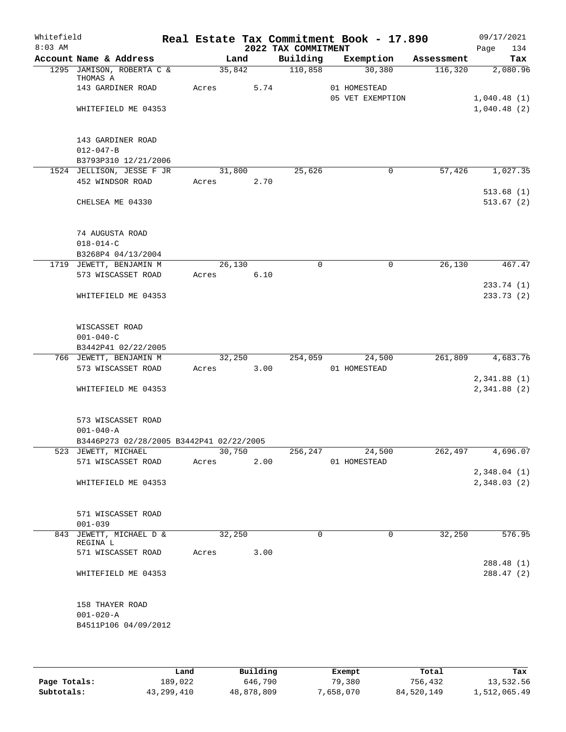| Whitefield<br>$8:03$ AM |                                                                 |                 |        | 2022 TAX COMMITMENT | Real Estate Tax Commitment Book - 17.890 |            | 09/17/2021<br>134<br>Page  |
|-------------------------|-----------------------------------------------------------------|-----------------|--------|---------------------|------------------------------------------|------------|----------------------------|
|                         | Account Name & Address                                          |                 | Land   | Building            | Exemption                                | Assessment | Tax                        |
|                         | 1295 JAMISON, ROBERTA C &                                       | 35,842          |        | 110,858             | 30,380                                   | 116,320    | 2,080.96                   |
|                         | THOMAS A<br>143 GARDINER ROAD                                   | Acres           | 5.74   |                     | 01 HOMESTEAD<br>05 VET EXEMPTION         |            | 1,040.48(1)                |
|                         | WHITEFIELD ME 04353                                             |                 |        |                     |                                          |            | 1,040.48(2)                |
|                         | 143 GARDINER ROAD<br>$012 - 047 - B$<br>B3793P310 12/21/2006    |                 |        |                     |                                          |            |                            |
|                         | 1524 JELLISON, JESSE F JR                                       |                 | 31,800 | 25,626              | $\overline{0}$                           | 57,426     | 1,027.35                   |
|                         | 452 WINDSOR ROAD                                                | Acres           | 2.70   |                     |                                          |            | 513.68(1)                  |
|                         | CHELSEA ME 04330                                                |                 |        |                     |                                          |            | 513.67(2)                  |
|                         | 74 AUGUSTA ROAD<br>$018 - 014 - C$                              |                 |        |                     |                                          |            |                            |
|                         | B3268P4 04/13/2004                                              |                 |        | $\mathbf 0$         | $\mathbf 0$                              |            |                            |
|                         | 1719 JEWETT, BENJAMIN M<br>573 WISCASSET ROAD                   | 26,130<br>Acres | 6.10   |                     |                                          | 26,130     | 467.47                     |
|                         |                                                                 |                 |        |                     |                                          |            | 233.74 (1)                 |
|                         | WHITEFIELD ME 04353                                             |                 |        |                     |                                          |            | 233.73(2)                  |
|                         | WISCASSET ROAD<br>$001 - 040 - C$                               |                 |        |                     |                                          |            |                            |
|                         | B3442P41 02/22/2005                                             |                 |        |                     |                                          |            |                            |
|                         | 766 JEWETT, BENJAMIN M                                          | 32,250          |        | 254,059             | 24,500                                   | 261,809    | 4,683.76                   |
|                         | 573 WISCASSET ROAD                                              | Acres           | 3.00   |                     | 01 HOMESTEAD                             |            |                            |
|                         | WHITEFIELD ME 04353                                             |                 |        |                     |                                          |            | 2,341.88(1)<br>2,341.88(2) |
|                         | 573 WISCASSET ROAD<br>$001 - 040 - A$                           |                 |        |                     |                                          |            |                            |
|                         | B3446P273 02/28/2005 B3442P41 02/22/2005<br>523 JEWETT, MICHAEL | 30,750          |        | 256,247             | 24,500                                   | 262,497    | 4,696.07                   |
|                         | 571 WISCASSET ROAD                                              | Acres           | 2.00   |                     | 01 HOMESTEAD                             |            |                            |
|                         |                                                                 |                 |        |                     |                                          |            | 2,348.04(1)                |
|                         | WHITEFIELD ME 04353                                             |                 |        |                     |                                          |            | 2,348.03 (2)               |
|                         | 571 WISCASSET ROAD<br>$001 - 039$                               |                 |        |                     |                                          |            |                            |
|                         | 843 JEWETT, MICHAEL D &<br>REGINA L                             | 32,250          |        | 0                   | 0                                        | 32,250     | 576.95                     |
|                         | 571 WISCASSET ROAD                                              | Acres           | 3.00   |                     |                                          |            |                            |
|                         |                                                                 |                 |        |                     |                                          |            | 288.48 (1)                 |
|                         | WHITEFIELD ME 04353                                             |                 |        |                     |                                          |            | 288.47(2)                  |
|                         | 158 THAYER ROAD<br>$001 - 020 - A$<br>B4511P106 04/09/2012      |                 |        |                     |                                          |            |                            |
|                         |                                                                 |                 |        |                     |                                          |            |                            |

|              | Land       | Building   | Exempt   | Total      | Tax          |
|--------------|------------|------------|----------|------------|--------------|
| Page Totals: | 189,022    | 646,790    | 79,380   | 756,432    | 13,532.56    |
| Subtotals:   | 43,299,410 | 48,878,809 | .658.070 | 84,520,149 | 1,512,065.49 |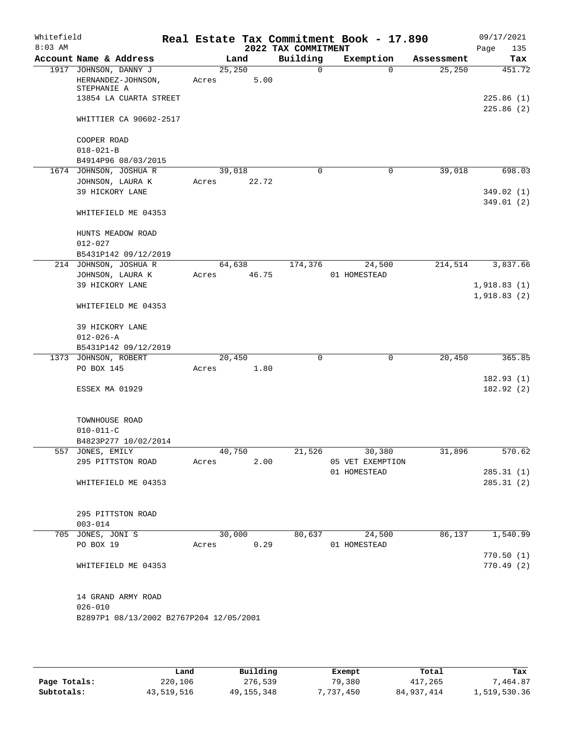| Whitefield<br>$8:03$ AM |                                                                                      |                 |       | 2022 TAX COMMITMENT | Real Estate Tax Commitment Book - 17.890 |            | 09/17/2021<br>135<br>Page  |
|-------------------------|--------------------------------------------------------------------------------------|-----------------|-------|---------------------|------------------------------------------|------------|----------------------------|
|                         | Account Name & Address                                                               | Land            |       | Building            | Exemption                                | Assessment | Tax                        |
|                         | 1917 JOHNSON, DANNY J<br>HERNANDEZ-JOHNSON,<br>STEPHANIE A<br>13854 LA CUARTA STREET | 25,250<br>Acres | 5.00  | $\Omega$            | $\Omega$                                 | 25, 250    | 451.72<br>225.86(1)        |
|                         | WHITTIER CA 90602-2517                                                               |                 |       |                     |                                          |            | 225.86(2)                  |
|                         | COOPER ROAD                                                                          |                 |       |                     |                                          |            |                            |
|                         | $018 - 021 - B$                                                                      |                 |       |                     |                                          |            |                            |
|                         | B4914P96 08/03/2015<br>1674 JOHNSON, JOSHUA R                                        | 39,018          |       | $\Omega$            | $\mathbf 0$                              | 39,018     | 698.03                     |
|                         | JOHNSON, LAURA K                                                                     | Acres           | 22.72 |                     |                                          |            |                            |
|                         | 39 HICKORY LANE                                                                      |                 |       |                     |                                          |            | 349.02 (1)<br>349.01(2)    |
|                         | WHITEFIELD ME 04353                                                                  |                 |       |                     |                                          |            |                            |
|                         | HUNTS MEADOW ROAD<br>$012 - 027$                                                     |                 |       |                     |                                          |            |                            |
|                         | B5431P142 09/12/2019                                                                 |                 |       |                     |                                          |            |                            |
|                         | 214 JOHNSON, JOSHUA R                                                                | 64,638          |       | 174,376             | 24,500                                   | 214,514    | 3,837.66                   |
|                         | JOHNSON, LAURA K                                                                     | Acres           | 46.75 |                     | 01 HOMESTEAD                             |            |                            |
|                         | 39 HICKORY LANE                                                                      |                 |       |                     |                                          |            | 1,918.83(1)<br>1,918.83(2) |
|                         | WHITEFIELD ME 04353                                                                  |                 |       |                     |                                          |            |                            |
|                         | 39 HICKORY LANE                                                                      |                 |       |                     |                                          |            |                            |
|                         | $012 - 026 - A$                                                                      |                 |       |                     |                                          |            |                            |
|                         | B5431P142 09/12/2019<br>1373 JOHNSON, ROBERT                                         | 20,450          |       | 0                   | $\mathbf 0$                              | 20,450     | 365.85                     |
|                         | PO BOX 145                                                                           | Acres           | 1.80  |                     |                                          |            |                            |
|                         |                                                                                      |                 |       |                     |                                          |            | 182.93(1)                  |
|                         | ESSEX MA 01929                                                                       |                 |       |                     |                                          |            | 182.92 (2)                 |
|                         | TOWNHOUSE ROAD<br>$010 - 011 - C$                                                    |                 |       |                     |                                          |            |                            |
|                         | B4823P277 10/02/2014                                                                 |                 |       |                     |                                          |            |                            |
|                         | 557 JONES, EMILY                                                                     | 40,750          |       | 21,526              | 30,380                                   | 31,896     | 570.62                     |
|                         | 295 PITTSTON ROAD                                                                    | Acres           | 2.00  |                     | 05 VET EXEMPTION                         |            |                            |
|                         |                                                                                      |                 |       |                     | 01 HOMESTEAD                             |            | 285.31(1)                  |
|                         | WHITEFIELD ME 04353                                                                  |                 |       |                     |                                          |            | 285.31(2)                  |
|                         | 295 PITTSTON ROAD                                                                    |                 |       |                     |                                          |            |                            |
|                         | $003 - 014$                                                                          |                 |       |                     |                                          |            |                            |
|                         | 705 JONES, JONI S<br>PO BOX 19                                                       | 30,000<br>Acres | 0.29  | 80,637              | 24,500<br>01 HOMESTEAD                   | 86,137     | 1,540.99                   |
|                         |                                                                                      |                 |       |                     |                                          |            | 770.50(1)                  |
|                         | WHITEFIELD ME 04353                                                                  |                 |       |                     |                                          |            | 770.49(2)                  |
|                         | 14 GRAND ARMY ROAD<br>$026 - 010$                                                    |                 |       |                     |                                          |            |                            |
|                         | B2897P1 08/13/2002 B2767P204 12/05/2001                                              |                 |       |                     |                                          |            |                            |
|                         |                                                                                      |                 |       |                     |                                          |            |                            |

|              | Land       | Building     | Exempt    | Total        | Tax          |
|--------------|------------|--------------|-----------|--------------|--------------|
| Page Totals: | 220,106    | 276,539      | 79,380    | 417,265      | 7.464.87     |
| Subtotals:   | 43,519,516 | 49, 155, 348 | 7,737,450 | 84, 937, 414 | 1,519,530.36 |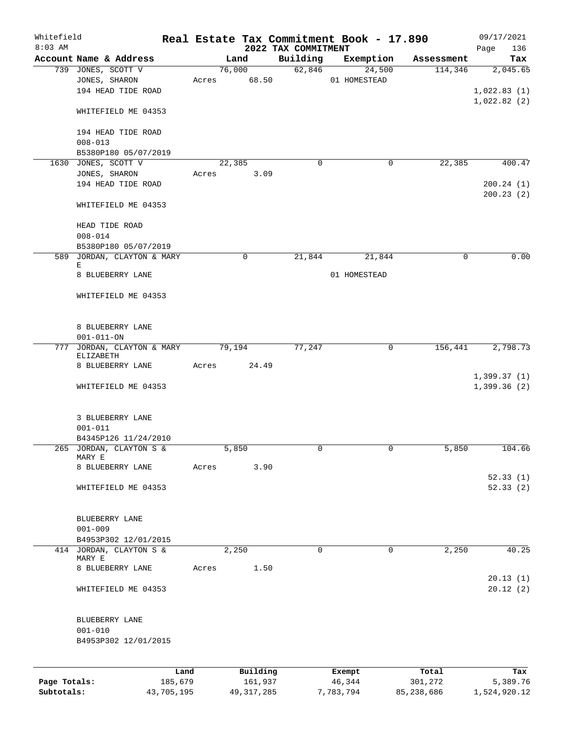| Whitefield<br>$8:03$ AM |                                                    |                 |       |                     | 2022 TAX COMMITMENT | Real Estate Tax Commitment Book - 17.890 |                  | 09/17/2021<br>136<br>Page |
|-------------------------|----------------------------------------------------|-----------------|-------|---------------------|---------------------|------------------------------------------|------------------|---------------------------|
|                         | Account Name & Address                             |                 |       | Land                | Building            | Exemption                                | Assessment       | Tax                       |
|                         | 739 JONES, SCOTT V                                 |                 |       | 76,000              |                     | 62,846<br>24,500                         | 114,346          | 2,045.65                  |
|                         | JONES, SHARON                                      |                 |       | Acres 68.50         |                     | 01 HOMESTEAD                             |                  |                           |
|                         | 194 HEAD TIDE ROAD                                 |                 |       |                     |                     |                                          |                  | 1,022.83(1)               |
|                         |                                                    |                 |       |                     |                     |                                          |                  | 1,022.82(2)               |
|                         | WHITEFIELD ME 04353                                |                 |       |                     |                     |                                          |                  |                           |
|                         |                                                    |                 |       |                     |                     |                                          |                  |                           |
|                         | 194 HEAD TIDE ROAD                                 |                 |       |                     |                     |                                          |                  |                           |
|                         | $008 - 013$                                        |                 |       |                     |                     |                                          |                  |                           |
|                         | B5380P180 05/07/2019                               |                 |       |                     |                     |                                          |                  |                           |
|                         | 1630 JONES, SCOTT V                                |                 |       | 22,385              | $\Omega$            | 0                                        | 22,385           | 400.47                    |
|                         | JONES, SHARON                                      |                 | Acres | 3.09                |                     |                                          |                  |                           |
|                         | 194 HEAD TIDE ROAD                                 |                 |       |                     |                     |                                          |                  | 200.24(1)                 |
|                         |                                                    |                 |       |                     |                     |                                          |                  | 200.23(2)                 |
|                         | WHITEFIELD ME 04353                                |                 |       |                     |                     |                                          |                  |                           |
|                         |                                                    |                 |       |                     |                     |                                          |                  |                           |
|                         | HEAD TIDE ROAD                                     |                 |       |                     |                     |                                          |                  |                           |
|                         | $008 - 014$                                        |                 |       |                     |                     |                                          |                  |                           |
|                         | B5380P180 05/07/2019<br>589 JORDAN, CLAYTON & MARY |                 |       | $\mathbf 0$         | 21,844              |                                          | $\mathbf 0$      | 0.00                      |
|                         | Е                                                  |                 |       |                     |                     | 21,844                                   |                  |                           |
|                         | 8 BLUEBERRY LANE                                   |                 |       |                     |                     | 01 HOMESTEAD                             |                  |                           |
|                         |                                                    |                 |       |                     |                     |                                          |                  |                           |
|                         | WHITEFIELD ME 04353                                |                 |       |                     |                     |                                          |                  |                           |
|                         |                                                    |                 |       |                     |                     |                                          |                  |                           |
|                         |                                                    |                 |       |                     |                     |                                          |                  |                           |
|                         | 8 BLUEBERRY LANE                                   |                 |       |                     |                     |                                          |                  |                           |
|                         | $001 - 011 - ON$                                   |                 |       |                     |                     |                                          |                  |                           |
|                         | 777 JORDAN, CLAYTON & MARY                         |                 |       | 79,194              | 77,247              | 0                                        | 156,441          | 2,798.73                  |
|                         | ELIZABETH                                          |                 |       | 24.49               |                     |                                          |                  |                           |
|                         | 8 BLUEBERRY LANE                                   |                 | Acres |                     |                     |                                          |                  | 1,399.37(1)               |
|                         | WHITEFIELD ME 04353                                |                 |       |                     |                     |                                          |                  | 1,399.36(2)               |
|                         |                                                    |                 |       |                     |                     |                                          |                  |                           |
|                         |                                                    |                 |       |                     |                     |                                          |                  |                           |
|                         | 3 BLUEBERRY LANE                                   |                 |       |                     |                     |                                          |                  |                           |
|                         | $001 - 011$                                        |                 |       |                     |                     |                                          |                  |                           |
|                         | B4345P126 11/24/2010                               |                 |       |                     |                     |                                          |                  |                           |
|                         | 265 JORDAN, CLAYTON S &                            |                 |       | 5,850               | 0                   |                                          | 5,850            | 104.66                    |
|                         | MARY E                                             |                 |       |                     |                     |                                          |                  |                           |
|                         | 8 BLUEBERRY LANE                                   |                 | Acres | 3.90                |                     |                                          |                  |                           |
|                         |                                                    |                 |       |                     |                     |                                          |                  | 52.33(1)                  |
|                         | WHITEFIELD ME 04353                                |                 |       |                     |                     |                                          |                  | 52.33(2)                  |
|                         |                                                    |                 |       |                     |                     |                                          |                  |                           |
|                         |                                                    |                 |       |                     |                     |                                          |                  |                           |
|                         | BLUEBERRY LANE                                     |                 |       |                     |                     |                                          |                  |                           |
|                         | $001 - 009$                                        |                 |       |                     |                     |                                          |                  |                           |
|                         | B4953P302 12/01/2015<br>414 JORDAN, CLAYTON S &    |                 |       | 2,250               | 0                   | 0                                        | 2,250            | 40.25                     |
|                         | MARY E                                             |                 |       |                     |                     |                                          |                  |                           |
|                         | 8 BLUEBERRY LANE                                   |                 | Acres | 1.50                |                     |                                          |                  |                           |
|                         |                                                    |                 |       |                     |                     |                                          |                  | 20.13(1)                  |
|                         | WHITEFIELD ME 04353                                |                 |       |                     |                     |                                          |                  | 20.12(2)                  |
|                         |                                                    |                 |       |                     |                     |                                          |                  |                           |
|                         |                                                    |                 |       |                     |                     |                                          |                  |                           |
|                         | BLUEBERRY LANE                                     |                 |       |                     |                     |                                          |                  |                           |
|                         | $001 - 010$                                        |                 |       |                     |                     |                                          |                  |                           |
|                         | B4953P302 12/01/2015                               |                 |       |                     |                     |                                          |                  |                           |
|                         |                                                    |                 |       |                     |                     |                                          |                  |                           |
|                         |                                                    |                 |       |                     |                     |                                          |                  |                           |
| Page Totals:            |                                                    | Land<br>185,679 |       | Building<br>161,937 |                     | Exempt<br>46,344                         | Total<br>301,272 | Tax<br>5,389.76           |
|                         |                                                    |                 |       |                     |                     |                                          |                  |                           |

**Subtotals:** 43,705,195 49,317,285 7,783,794 85,238,686 1,524,920.12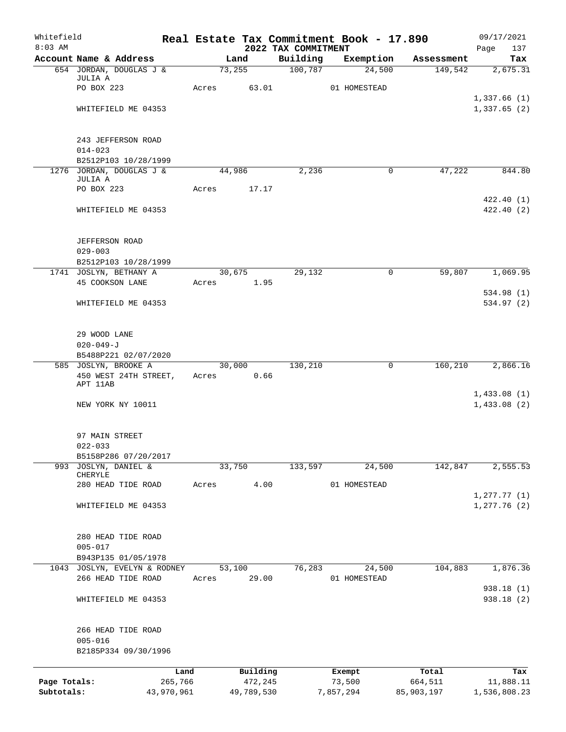| Whitefield<br>$8:03$ AM |                                      |         |            |                                 | Real Estate Tax Commitment Book - 17.890 |            | 09/17/2021                    |
|-------------------------|--------------------------------------|---------|------------|---------------------------------|------------------------------------------|------------|-------------------------------|
|                         | Account Name & Address               |         | Land       | 2022 TAX COMMITMENT<br>Building | Exemption                                | Assessment | 137<br>Page<br>Tax            |
|                         | 654 JORDAN, DOUGLAS J &              |         | 73,255     | 100,787                         | 24,500                                   | 149,542    | 2,675.31                      |
|                         | JULIA A                              |         |            |                                 |                                          |            |                               |
|                         | PO BOX 223                           | Acres   | 63.01      |                                 | 01 HOMESTEAD                             |            |                               |
|                         | WHITEFIELD ME 04353                  |         |            |                                 |                                          |            | 1,337.66(1)<br>1,337.65(2)    |
|                         |                                      |         |            |                                 |                                          |            |                               |
|                         |                                      |         |            |                                 |                                          |            |                               |
|                         | 243 JEFFERSON ROAD<br>$014 - 023$    |         |            |                                 |                                          |            |                               |
|                         | B2512P103 10/28/1999                 |         |            |                                 |                                          |            |                               |
|                         | 1276 JORDAN, DOUGLAS J &             |         | 44,986     | 2,236                           | 0                                        | 47,222     | 844.80                        |
|                         | JULIA A                              |         |            |                                 |                                          |            |                               |
|                         | PO BOX 223                           | Acres   | 17.17      |                                 |                                          |            | 422.40 (1)                    |
|                         | WHITEFIELD ME 04353                  |         |            |                                 |                                          |            | 422.40 (2)                    |
|                         |                                      |         |            |                                 |                                          |            |                               |
|                         |                                      |         |            |                                 |                                          |            |                               |
|                         | <b>JEFFERSON ROAD</b><br>$029 - 003$ |         |            |                                 |                                          |            |                               |
|                         | B2512P103 10/28/1999                 |         |            |                                 |                                          |            |                               |
|                         | 1741 JOSLYN, BETHANY A               |         | 30,675     | 29,132                          | 0                                        | 59,807     | 1,069.95                      |
|                         | 45 COOKSON LANE                      | Acres   | 1.95       |                                 |                                          |            |                               |
|                         |                                      |         |            |                                 |                                          |            | 534.98 (1)                    |
|                         | WHITEFIELD ME 04353                  |         |            |                                 |                                          |            | 534.97 (2)                    |
|                         |                                      |         |            |                                 |                                          |            |                               |
|                         | 29 WOOD LANE                         |         |            |                                 |                                          |            |                               |
|                         | $020 - 049 - J$                      |         |            |                                 |                                          |            |                               |
|                         | B5488P221 02/07/2020                 |         |            |                                 |                                          |            |                               |
|                         | 585 JOSLYN, BROOKE A                 |         | 30,000     | 130,210                         | 0                                        | 160,210    | 2,866.16                      |
|                         | 450 WEST 24TH STREET,<br>APT 11AB    |         | Acres 0.66 |                                 |                                          |            |                               |
|                         |                                      |         |            |                                 |                                          |            | 1,433.08(1)                   |
|                         | NEW YORK NY 10011                    |         |            |                                 |                                          |            | 1,433.08(2)                   |
|                         | 97 MAIN STREET                       |         |            |                                 |                                          |            |                               |
|                         | $022 - 033$                          |         |            |                                 |                                          |            |                               |
|                         | B5158P286 07/20/2017                 |         |            |                                 |                                          |            |                               |
| 993                     | JOSLYN, DANIEL &                     |         | 33,750     | 133,597                         | 24,500                                   | 142,847    | 2,555.53                      |
|                         | CHERYLE                              |         |            |                                 |                                          |            |                               |
|                         | 280 HEAD TIDE ROAD                   | Acres   | 4.00       |                                 | 01 HOMESTEAD                             |            |                               |
|                         | WHITEFIELD ME 04353                  |         |            |                                 |                                          |            | 1, 277.77(1)<br>1, 277.76 (2) |
|                         |                                      |         |            |                                 |                                          |            |                               |
|                         |                                      |         |            |                                 |                                          |            |                               |
|                         | 280 HEAD TIDE ROAD<br>$005 - 017$    |         |            |                                 |                                          |            |                               |
|                         | B943P135 01/05/1978                  |         |            |                                 |                                          |            |                               |
| 1043                    | JOSLYN, EVELYN & RODNEY              |         | 53,100     | 76,283                          | 24,500                                   | 104,883    | 1,876.36                      |
|                         | 266 HEAD TIDE ROAD                   | Acres   | 29.00      |                                 | 01 HOMESTEAD                             |            |                               |
|                         |                                      |         |            |                                 |                                          |            | 938.18 (1)                    |
|                         | WHITEFIELD ME 04353                  |         |            |                                 |                                          |            | 938.18 (2)                    |
|                         |                                      |         |            |                                 |                                          |            |                               |
|                         | 266 HEAD TIDE ROAD<br>$005 - 016$    |         |            |                                 |                                          |            |                               |
|                         | B2185P334 09/30/1996                 |         |            |                                 |                                          |            |                               |
|                         |                                      | Land    | Building   |                                 | Exempt                                   | Total      | Tax                           |
| Page Totals:            |                                      | 265,766 | 472,245    |                                 | 73,500                                   | 664,511    | 11,888.11                     |
| Subtotals:              | 43,970,961                           |         | 49,789,530 |                                 | 7,857,294                                | 85,903,197 | 1,536,808.23                  |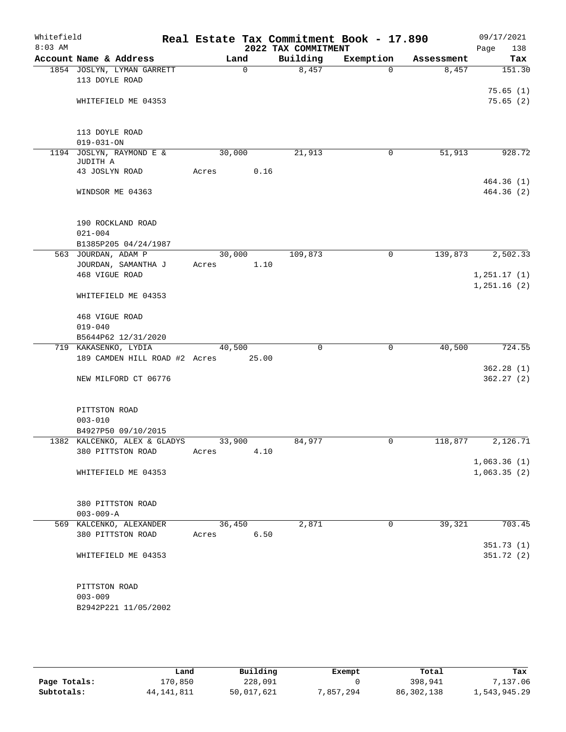| Whitefield<br>$8:03$ AM |                                              | Real Estate Tax Commitment Book - 17.890 | 2022 TAX COMMITMENT |             |            | 09/17/2021<br>138<br>Page  |
|-------------------------|----------------------------------------------|------------------------------------------|---------------------|-------------|------------|----------------------------|
|                         | Account Name & Address                       | Land                                     | Building            | Exemption   | Assessment | Tax                        |
|                         | 1854 JOSLYN, LYMAN GARRETT<br>113 DOYLE ROAD | $\mathbf 0$                              | 8,457               | $\Omega$    | 8,457      | 151.30                     |
|                         | WHITEFIELD ME 04353                          |                                          |                     |             |            | 75.65(1)<br>75.65(2)       |
|                         | 113 DOYLE ROAD<br>$019 - 031 - ON$           |                                          |                     |             |            |                            |
| 1194                    | JOSLYN, RAYMOND E &<br>JUDITH A              | 30,000                                   | 21,913              | 0           | 51,913     | 928.72                     |
|                         | 43 JOSLYN ROAD                               | 0.16<br>Acres                            |                     |             |            | 464.36(1)                  |
|                         | WINDSOR ME 04363                             |                                          |                     |             |            | 464.36(2)                  |
|                         | 190 ROCKLAND ROAD<br>$021 - 004$             |                                          |                     |             |            |                            |
|                         | B1385P205 04/24/1987                         |                                          |                     |             |            |                            |
|                         | 563 JOURDAN, ADAM P<br>JOURDAN, SAMANTHA J   | 30,000                                   | 109,873             | 0           | 139,873    | 2,502.33                   |
|                         | 468 VIGUE ROAD                               | 1.10<br>Acres                            |                     |             |            | 1,251.17(1)<br>1,251.16(2) |
|                         | WHITEFIELD ME 04353                          |                                          |                     |             |            |                            |
|                         | 468 VIGUE ROAD<br>$019 - 040$                |                                          |                     |             |            |                            |
|                         | B5644P62 12/31/2020                          |                                          |                     |             |            |                            |
|                         | 719 KAKASENKO, LYDIA                         | 40,500                                   | $\mathbf 0$         | $\mathbf 0$ | 40,500     | 724.55                     |
|                         | 189 CAMDEN HILL ROAD #2 Acres                | 25.00                                    |                     |             |            |                            |
|                         | NEW MILFORD CT 06776                         |                                          |                     |             |            | 362.28(1)<br>362.27(2)     |
|                         | PITTSTON ROAD                                |                                          |                     |             |            |                            |
|                         | $003 - 010$<br>B4927P50 09/10/2015           |                                          |                     |             |            |                            |
|                         | 1382 KALCENKO, ALEX & GLADYS                 | 33,900                                   | 84,977              | 0           | 118,877    | 2,126.71                   |
|                         | 380 PITTSTON ROAD                            | 4.10<br>Acres                            |                     |             |            |                            |
|                         | WHITEFIELD ME 04353                          |                                          |                     |             |            | 1,063.36(1)<br>1,063.35(2) |
|                         | 380 PITTSTON ROAD                            |                                          |                     |             |            |                            |
|                         | $003 - 009 - A$                              |                                          |                     |             |            |                            |
|                         | 569 KALCENKO, ALEXANDER<br>380 PITTSTON ROAD | 36,450<br>6.50<br>Acres                  | 2,871               | $\mathbf 0$ | 39,321     | 703.45                     |
|                         |                                              |                                          |                     |             |            | 351.73(1)<br>351.72 (2)    |
|                         | WHITEFIELD ME 04353                          |                                          |                     |             |            |                            |
|                         | PITTSTON ROAD<br>$003 - 009$                 |                                          |                     |             |            |                            |
|                         | B2942P221 11/05/2002                         |                                          |                     |             |            |                            |

|              | Land       | Building   | Exempt    | Total        | Tax          |
|--------------|------------|------------|-----------|--------------|--------------|
| Page Totals: | 170,850    | 228,091    |           | 398,941      | ,137.06      |
| Subtotals:   | 44,141,811 | 50,017,621 | 7,857,294 | 86, 302, 138 | 1,543,945.29 |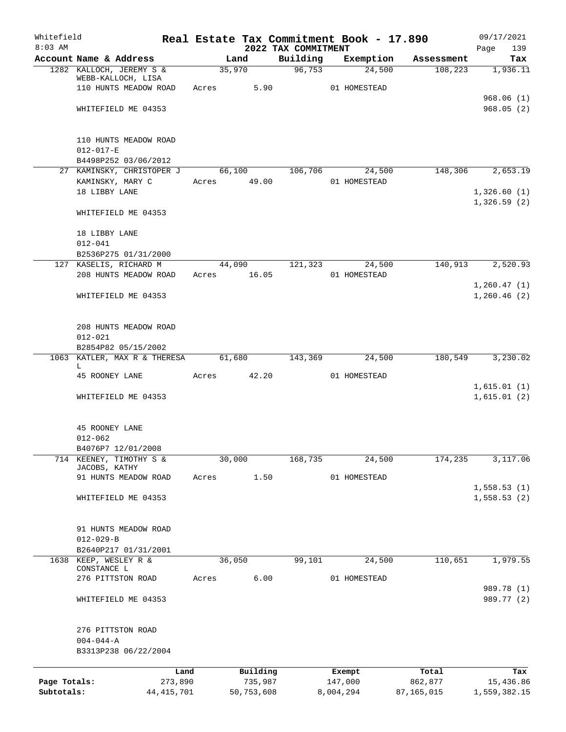| Whitefield<br>$8:03$ AM |                                                 |       |                       | 2022 TAX COMMITMENT | Real Estate Tax Commitment Book - 17.890 |            | 09/17/2021<br>139<br>Page |
|-------------------------|-------------------------------------------------|-------|-----------------------|---------------------|------------------------------------------|------------|---------------------------|
|                         | Account Name & Address                          |       | Land                  | Building            | Exemption                                | Assessment | Tax                       |
|                         | 1282 KALLOCH, JEREMY S &<br>WEBB-KALLOCH, LISA  |       | 35,970                | 96,753              | 24,500                                   | 108, 223   | 1,936.11                  |
|                         | 110 HUNTS MEADOW ROAD                           | Acres | 5.90                  |                     | 01 HOMESTEAD                             |            |                           |
|                         |                                                 |       |                       |                     |                                          |            | 968.06(1)                 |
|                         | WHITEFIELD ME 04353                             |       |                       |                     |                                          |            | 968.05(2)                 |
|                         | 110 HUNTS MEADOW ROAD                           |       |                       |                     |                                          |            |                           |
|                         | $012 - 017 - E$                                 |       |                       |                     |                                          |            |                           |
|                         | B4498P252 03/06/2012                            |       |                       |                     |                                          |            |                           |
|                         | 27 KAMINSKY, CHRISTOPER J 66,100                |       |                       | 106,706             | 24,500                                   | 148,306    | 2,653.19                  |
|                         | KAMINSKY, MARY C<br>18 LIBBY LANE               |       | Acres 49.00           |                     | 01 HOMESTEAD                             |            | 1,326.60(1)               |
|                         |                                                 |       |                       |                     |                                          |            | 1,326.59(2)               |
|                         | WHITEFIELD ME 04353                             |       |                       |                     |                                          |            |                           |
|                         | 18 LIBBY LANE                                   |       |                       |                     |                                          |            |                           |
|                         | $012 - 041$                                     |       |                       |                     |                                          |            |                           |
|                         | B2536P275 01/31/2000                            |       |                       |                     |                                          |            |                           |
|                         | 127 KASELIS, RICHARD M<br>208 HUNTS MEADOW ROAD |       | 44,090<br>Acres 16.05 | 121,323             | 24,500<br>01 HOMESTEAD                   | 140,913    | 2,520.93                  |
|                         |                                                 |       |                       |                     |                                          |            | 1,260.47(1)               |
|                         | WHITEFIELD ME 04353                             |       |                       |                     |                                          |            | 1,260.46(2)               |
|                         |                                                 |       |                       |                     |                                          |            |                           |
|                         | 208 HUNTS MEADOW ROAD                           |       |                       |                     |                                          |            |                           |
|                         | $012 - 021$                                     |       |                       |                     |                                          |            |                           |
|                         | B2854P82 05/15/2002                             |       |                       |                     |                                          |            |                           |
|                         | 1063 KATLER, MAX R & THERESA                    |       | 61,680                | 143,369             | 24,500                                   | 180,549    | 3,230.02                  |
|                         | L.<br>45 ROONEY LANE                            | Acres | 42.20                 |                     | 01 HOMESTEAD                             |            |                           |
|                         |                                                 |       |                       |                     |                                          |            | 1,615.01(1)               |
|                         | WHITEFIELD ME 04353                             |       |                       |                     |                                          |            | 1,615.01(2)               |
|                         |                                                 |       |                       |                     |                                          |            |                           |
|                         | 45 ROONEY LANE                                  |       |                       |                     |                                          |            |                           |
|                         | $012 - 062$<br>B4076P7 12/01/2008               |       |                       |                     |                                          |            |                           |
| 714                     | KEENEY, TIMOTHY S &                             |       | 30,000                | 168,735             | 24,500                                   | 174,235    | 3,117.06                  |
|                         | JACOBS, KATHY                                   |       |                       |                     |                                          |            |                           |
|                         | 91 HUNTS MEADOW ROAD                            | Acres | 1.50                  |                     | 01 HOMESTEAD                             |            | 1,558.53(1)               |
|                         | WHITEFIELD ME 04353                             |       |                       |                     |                                          |            | 1,558.53(2)               |
|                         |                                                 |       |                       |                     |                                          |            |                           |
|                         | 91 HUNTS MEADOW ROAD                            |       |                       |                     |                                          |            |                           |
|                         | $012 - 029 - B$                                 |       |                       |                     |                                          |            |                           |
|                         | B2640P217 01/31/2001                            |       |                       |                     |                                          |            |                           |
| 1638                    | KEEP, WESLEY R &<br>CONSTANCE L                 |       | 36,050                | 99,101              | 24,500                                   | 110,651    | 1,979.55                  |
|                         | 276 PITTSTON ROAD                               | Acres | 6.00                  |                     | 01 HOMESTEAD                             |            |                           |
|                         | WHITEFIELD ME 04353                             |       |                       |                     |                                          |            | 989.78 (1)<br>989.77 (2)  |
|                         |                                                 |       |                       |                     |                                          |            |                           |
|                         | 276 PITTSTON ROAD                               |       |                       |                     |                                          |            |                           |
|                         | $004 - 044 - A$                                 |       |                       |                     |                                          |            |                           |
|                         | B3313P238 06/22/2004                            |       |                       |                     |                                          |            |                           |
|                         | Land                                            |       | Building              |                     | Exempt                                   | Total      | Tax                       |
| Page Totals:            | 273,890                                         |       | 735,987               |                     | 147,000                                  | 862,877    | 15,436.86                 |
| Subtotals:              | 44, 415, 701                                    |       | 50,753,608            |                     | 8,004,294                                | 87,165,015 | 1,559,382.15              |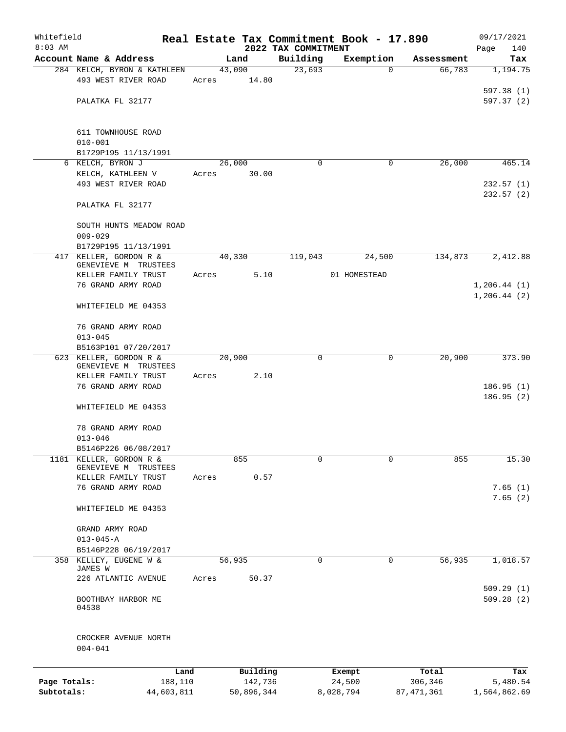| Whitefield   |                                                |       |            |                                 | Real Estate Tax Commitment Book - 17.890 |              | 09/17/2021                   |
|--------------|------------------------------------------------|-------|------------|---------------------------------|------------------------------------------|--------------|------------------------------|
| $8:03$ AM    | Account Name & Address                         |       | Land       | 2022 TAX COMMITMENT<br>Building | Exemption                                | Assessment   | Page<br>140<br>Tax           |
|              | 284 KELCH, BYRON & KATHLEEN                    |       | 43,090     | 23,693                          | $\mathbf 0$                              | 66,783       | 1,194.75                     |
|              | 493 WEST RIVER ROAD                            | Acres | 14.80      |                                 |                                          |              |                              |
|              | PALATKA FL 32177                               |       |            |                                 |                                          |              | 597.38 (1)<br>597.37 (2)     |
|              | 611 TOWNHOUSE ROAD<br>$010 - 001$              |       |            |                                 |                                          |              |                              |
|              | B1729P195 11/13/1991                           |       |            |                                 |                                          |              |                              |
|              | 6 KELCH, BYRON J                               |       | 26,000     | 0                               | 0                                        | 26,000       | 465.14                       |
|              | KELCH, KATHLEEN V                              | Acres | 30.00      |                                 |                                          |              |                              |
|              | 493 WEST RIVER ROAD                            |       |            |                                 |                                          |              | 232.57(1)<br>232.57 (2)      |
|              | PALATKA FL 32177                               |       |            |                                 |                                          |              |                              |
|              | SOUTH HUNTS MEADOW ROAD<br>$009 - 029$         |       |            |                                 |                                          |              |                              |
|              | B1729P195 11/13/1991                           |       |            |                                 |                                          |              |                              |
|              | 417 KELLER, GORDON R &<br>GENEVIEVE M TRUSTEES |       | 40,330     | 119,043                         | 24,500                                   | 134,873      | 2,412.88                     |
|              | KELLER FAMILY TRUST                            | Acres | 5.10       |                                 | 01 HOMESTEAD                             |              |                              |
|              | 76 GRAND ARMY ROAD                             |       |            |                                 |                                          |              | 1, 206.44(1)<br>1, 206.44(2) |
|              | WHITEFIELD ME 04353                            |       |            |                                 |                                          |              |                              |
|              | 76 GRAND ARMY ROAD<br>$013 - 045$              |       |            |                                 |                                          |              |                              |
|              | B5163P101 07/20/2017                           |       |            |                                 |                                          |              |                              |
|              | 623 KELLER, GORDON R &                         |       | 20,900     | 0                               | 0                                        | 20,900       | 373.90                       |
|              | GENEVIEVE M TRUSTEES                           |       | 2.10       |                                 |                                          |              |                              |
|              | KELLER FAMILY TRUST<br>76 GRAND ARMY ROAD      | Acres |            |                                 |                                          |              | 186.95(1)                    |
|              | WHITEFIELD ME 04353                            |       |            |                                 |                                          |              | 186.95 (2)                   |
|              | 78 GRAND ARMY ROAD                             |       |            |                                 |                                          |              |                              |
|              | $013 - 046$                                    |       |            |                                 |                                          |              |                              |
| 1181         | B5146P226 06/08/2017<br>KELLER, GORDON R &     |       | 855        | 0                               | 0                                        | 855          | 15.30                        |
|              | GENEVIEVE M TRUSTEES<br>KELLER FAMILY TRUST    | Acres | 0.57       |                                 |                                          |              |                              |
|              | 76 GRAND ARMY ROAD                             |       |            |                                 |                                          |              | 7.65(1)                      |
|              | WHITEFIELD ME 04353                            |       |            |                                 |                                          |              | 7.65(2)                      |
|              | GRAND ARMY ROAD                                |       |            |                                 |                                          |              |                              |
|              | $013 - 045 - A$                                |       |            |                                 |                                          |              |                              |
|              | B5146P228 06/19/2017<br>358 KELLEY, EUGENE W & |       | 56,935     | 0                               | 0                                        | 56,935       | 1,018.57                     |
|              | JAMES W                                        |       |            |                                 |                                          |              |                              |
|              | 226 ATLANTIC AVENUE                            | Acres | 50.37      |                                 |                                          |              | 509.29(1)                    |
|              | BOOTHBAY HARBOR ME<br>04538                    |       |            |                                 |                                          |              | 509.28(2)                    |
|              | CROCKER AVENUE NORTH<br>$004 - 041$            |       |            |                                 |                                          |              |                              |
|              | Land                                           |       | Building   |                                 | Exempt                                   | Total        | Tax                          |
| Page Totals: | 188,110                                        |       | 142,736    |                                 | 24,500                                   | 306,346      | 5,480.54                     |
| Subtotals:   | 44,603,811                                     |       | 50,896,344 |                                 | 8,028,794                                | 87, 471, 361 | 1,564,862.69                 |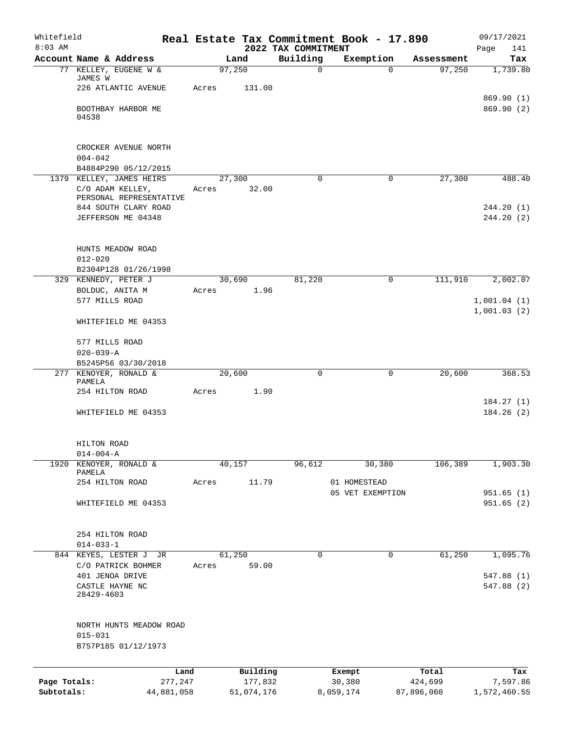| Whitefield<br>$8:03$ AM |                                                                         |       |                 | 2022 TAX COMMITMENT | Real Estate Tax Commitment Book - 17.890 |            | 09/17/2021<br>141<br>Page |
|-------------------------|-------------------------------------------------------------------------|-------|-----------------|---------------------|------------------------------------------|------------|---------------------------|
|                         | Account Name & Address                                                  |       | Land            | Building            | Exemption                                | Assessment | Tax                       |
|                         | 77 KELLEY, EUGENE W &<br>JAMES W                                        |       | 97,250          | 0                   | $\Omega$                                 | 97,250     | 1,739.80                  |
|                         | 226 ATLANTIC AVENUE                                                     | Acres | 131.00          |                     |                                          |            |                           |
|                         | BOOTHBAY HARBOR ME<br>04538                                             |       |                 |                     |                                          |            | 869.90 (1)<br>869.90(2)   |
|                         |                                                                         |       |                 |                     |                                          |            |                           |
|                         | CROCKER AVENUE NORTH<br>$004 - 042$                                     |       |                 |                     |                                          |            |                           |
|                         | B4884P290 05/12/2015                                                    |       |                 |                     |                                          |            |                           |
|                         | 1379 KELLEY, JAMES HEIRS<br>C/O ADAM KELLEY,<br>PERSONAL REPRESENTATIVE | Acres | 27,300<br>32.00 | 0                   | $\mathbf 0$                              | 27,300     | 488.40                    |
|                         | 844 SOUTH CLARY ROAD<br>JEFFERSON ME 04348                              |       |                 |                     |                                          |            | 244.20 (1)<br>244.20 (2)  |
|                         | HUNTS MEADOW ROAD<br>$012 - 020$                                        |       |                 |                     |                                          |            |                           |
|                         | B2304P128 01/26/1998                                                    |       |                 |                     |                                          |            |                           |
|                         | 329 KENNEDY, PETER J                                                    |       | 30,690          | 81,220              | 0                                        | 111,910    | 2,002.07                  |
|                         | BOLDUC, ANITA M<br>577 MILLS ROAD                                       | Acres | 1.96            |                     |                                          |            | 1,001.04(1)               |
|                         | WHITEFIELD ME 04353                                                     |       |                 |                     |                                          |            | 1,001.03(2)               |
|                         | 577 MILLS ROAD                                                          |       |                 |                     |                                          |            |                           |
|                         | $020 - 039 - A$                                                         |       |                 |                     |                                          |            |                           |
|                         | B5245P56 03/30/2018                                                     |       |                 |                     |                                          |            |                           |
|                         | 277 KENOYER, RONALD &                                                   |       | 20,600          | 0                   | $\mathbf 0$                              | 20,600     | 368.53                    |
|                         | PAMELA<br>254 HILTON ROAD                                               | Acres | 1.90            |                     |                                          |            |                           |
|                         | WHITEFIELD ME 04353                                                     |       |                 |                     |                                          |            | 184.27(1)<br>184.26(2)    |
|                         | HILTON ROAD<br>$014 - 004 - A$                                          |       |                 |                     |                                          |            |                           |
| 1920                    | KENOYER, RONALD &                                                       |       | 40,157          | 96,612              | 30,380                                   | 106,389    | 1,903.30                  |
|                         | PAMELA<br>254 HILTON ROAD                                               |       | 11.79           |                     | 01 HOMESTEAD                             |            |                           |
|                         |                                                                         | Acres |                 |                     | 05 VET EXEMPTION                         |            | 951.65(1)                 |
|                         | WHITEFIELD ME 04353                                                     |       |                 |                     |                                          |            | 951.65(2)                 |
|                         | 254 HILTON ROAD<br>$014 - 033 - 1$                                      |       |                 |                     |                                          |            |                           |
|                         | 844 KEYES, LESTER J JR                                                  |       | 61,250          | 0                   | $\mathbf 0$                              | 61,250     | 1,095.76                  |
|                         | C/O PATRICK BOHMER                                                      | Acres | 59.00           |                     |                                          |            |                           |
|                         | 401 JENOA DRIVE<br>CASTLE HAYNE NC<br>28429-4603                        |       |                 |                     |                                          |            | 547.88 (1)<br>547.88 (2)  |
|                         | NORTH HUNTS MEADOW ROAD<br>$015 - 031$<br>B757P185 01/12/1973           |       |                 |                     |                                          |            |                           |
|                         |                                                                         | Land  | Building        |                     | Exempt                                   | Total      | Tax                       |
| Page Totals:            | 277,247                                                                 |       | 177,832         |                     | 30,380                                   | 424,699    | 7,597.86                  |
| Subtotals:              | 44,881,058                                                              |       | 51,074,176      |                     | 8,059,174                                | 87,896,060 | 1,572,460.55              |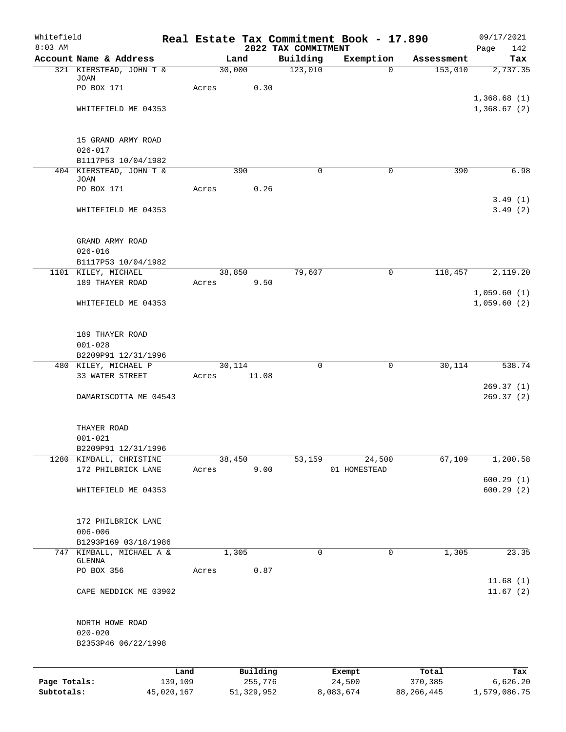| Whitefield<br>$8:03$ AM |                                               |            |       |              |                                 | Real Estate Tax Commitment Book - 17.890 |              | 09/17/2021         |
|-------------------------|-----------------------------------------------|------------|-------|--------------|---------------------------------|------------------------------------------|--------------|--------------------|
|                         | Account Name & Address                        |            |       | Land         | 2022 TAX COMMITMENT<br>Building | Exemption                                | Assessment   | Page<br>142<br>Tax |
|                         | 321 KIERSTEAD, JOHN T &                       |            |       | 30,000       | 123,010                         | $\overline{0}$                           | 153,010      | 2,737.35           |
|                         | JOAN                                          |            |       |              |                                 |                                          |              |                    |
|                         | PO BOX 171                                    |            | Acres | 0.30         |                                 |                                          |              | 1,368.68(1)        |
|                         | WHITEFIELD ME 04353                           |            |       |              |                                 |                                          |              | 1,368.67(2)        |
|                         |                                               |            |       |              |                                 |                                          |              |                    |
|                         | 15 GRAND ARMY ROAD                            |            |       |              |                                 |                                          |              |                    |
|                         | $026 - 017$                                   |            |       |              |                                 |                                          |              |                    |
|                         | B1117P53 10/04/1982                           |            |       |              |                                 |                                          |              |                    |
|                         | 404 KIERSTEAD, JOHN T &<br><b>JOAN</b>        |            |       | 390          | $\Omega$                        | 0                                        | 390          | 6.98               |
|                         | PO BOX 171                                    |            | Acres | 0.26         |                                 |                                          |              |                    |
|                         |                                               |            |       |              |                                 |                                          |              | 3.49(1)            |
|                         | WHITEFIELD ME 04353                           |            |       |              |                                 |                                          |              | 3.49(2)            |
|                         | GRAND ARMY ROAD                               |            |       |              |                                 |                                          |              |                    |
|                         | $026 - 016$                                   |            |       |              |                                 |                                          |              |                    |
|                         | B1117P53 10/04/1982                           |            |       |              |                                 |                                          |              |                    |
|                         | 1101 KILEY, MICHAEL                           |            |       | 38,850       | 79,607                          | 0                                        | 118,457      | 2,119.20           |
|                         | 189 THAYER ROAD                               |            | Acres | 9.50         |                                 |                                          |              | 1,059.60(1)        |
|                         | WHITEFIELD ME 04353                           |            |       |              |                                 |                                          |              | 1,059.60(2)        |
|                         | 189 THAYER ROAD                               |            |       |              |                                 |                                          |              |                    |
|                         | $001 - 028$                                   |            |       |              |                                 |                                          |              |                    |
|                         | B2209P91 12/31/1996                           |            |       |              |                                 |                                          |              |                    |
|                         | 480 KILEY, MICHAEL P                          |            |       | 30,114       | $\mathbf 0$                     | $\mathbf 0$                              | 30,114       | 538.74             |
|                         | 33 WATER STREET                               |            | Acres | 11.08        |                                 |                                          |              | 269.37(1)          |
|                         | DAMARISCOTTA ME 04543                         |            |       |              |                                 |                                          |              | 269.37(2)          |
|                         | THAYER ROAD                                   |            |       |              |                                 |                                          |              |                    |
|                         | $001 - 021$                                   |            |       |              |                                 |                                          |              |                    |
|                         | B2209P91 12/31/1996                           |            |       |              |                                 |                                          |              |                    |
|                         | 1280 KIMBALL, CHRISTINE<br>172 PHILBRICK LANE |            |       | 38,450       | 53,159                          | 24,500                                   | 67,109       | 1,200.58           |
|                         |                                               |            | Acres | 9.00         |                                 | 01 HOMESTEAD                             |              | 600.29(1)          |
|                         | WHITEFIELD ME 04353                           |            |       |              |                                 |                                          |              | 600.29(2)          |
|                         | 172 PHILBRICK LANE                            |            |       |              |                                 |                                          |              |                    |
|                         | $006 - 006$                                   |            |       |              |                                 |                                          |              |                    |
|                         | B1293P169 03/18/1986                          |            |       |              |                                 |                                          |              |                    |
| 747                     | KIMBALL, MICHAEL A &                          |            |       | 1,305        | $\mathbf 0$                     | $\mathbf 0$                              | 1,305        | 23.35              |
|                         | GLENNA<br>PO BOX 356                          |            | Acres | 0.87         |                                 |                                          |              |                    |
|                         |                                               |            |       |              |                                 |                                          |              | 11.68(1)           |
|                         | CAPE NEDDICK ME 03902                         |            |       |              |                                 |                                          |              | 11.67(2)           |
|                         | NORTH HOWE ROAD                               |            |       |              |                                 |                                          |              |                    |
|                         | $020 - 020$                                   |            |       |              |                                 |                                          |              |                    |
|                         | B2353P46 06/22/1998                           |            |       |              |                                 |                                          |              |                    |
|                         |                                               | Land       |       | Building     |                                 | Exempt                                   | Total        | Tax                |
| Page Totals:            |                                               | 139,109    |       | 255,776      |                                 | 24,500                                   | 370,385      | 6,626.20           |
| Subtotals:              |                                               | 45,020,167 |       | 51, 329, 952 |                                 | 8,083,674                                | 88, 266, 445 | 1,579,086.75       |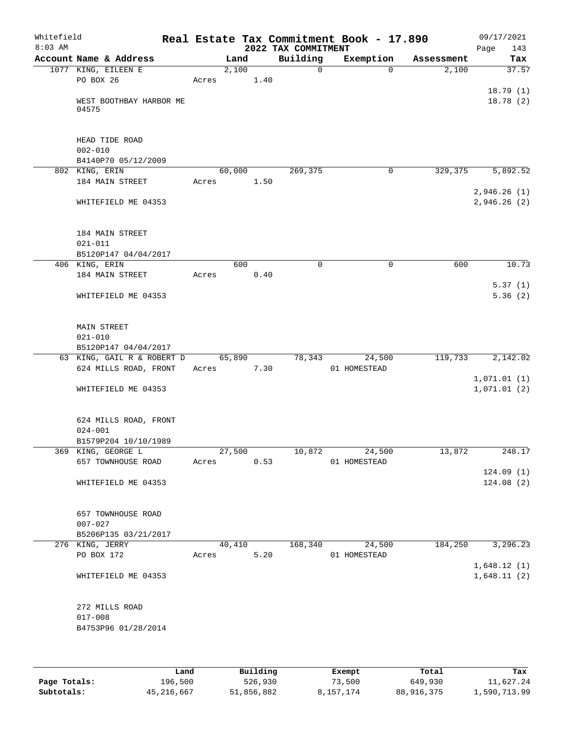| Whitefield<br>$8:03$ AM |                                         |       |        |      | 2022 TAX COMMITMENT | Real Estate Tax Commitment Book - 17.890 |            | 09/17/2021<br>143<br>Page |
|-------------------------|-----------------------------------------|-------|--------|------|---------------------|------------------------------------------|------------|---------------------------|
|                         | Account Name & Address                  |       | Land   |      | Building            | Exemption                                | Assessment | Tax                       |
|                         | 1077 KING, EILEEN E                     |       | 2,100  |      | 0                   | $\Omega$                                 | 2,100      | 37.57                     |
|                         | PO BOX 26                               | Acres |        | 1.40 |                     |                                          |            |                           |
|                         |                                         |       |        |      |                     |                                          |            | 18.79(1)                  |
|                         | WEST BOOTHBAY HARBOR ME<br>04575        |       |        |      |                     |                                          |            | 18.78(2)                  |
|                         |                                         |       |        |      |                     |                                          |            |                           |
|                         | HEAD TIDE ROAD                          |       |        |      |                     |                                          |            |                           |
|                         | $002 - 010$<br>B4140P70 05/12/2009      |       |        |      |                     |                                          |            |                           |
|                         | 802 KING, ERIN                          |       | 60,000 |      | 269,375             | 0                                        | 329,375    | 5,892.52                  |
|                         | 184 MAIN STREET                         | Acres |        | 1.50 |                     |                                          |            |                           |
|                         |                                         |       |        |      |                     |                                          |            | 2,946.26(1)               |
|                         | WHITEFIELD ME 04353                     |       |        |      |                     |                                          |            | 2,946.26(2)               |
|                         | 184 MAIN STREET                         |       |        |      |                     |                                          |            |                           |
|                         | $021 - 011$                             |       |        |      |                     |                                          |            |                           |
|                         | B5120P147 04/04/2017                    |       |        |      |                     |                                          |            |                           |
|                         | 406 KING, ERIN                          |       | 600    |      | 0                   | $\mathbf 0$                              | 600        | 10.73                     |
|                         | 184 MAIN STREET                         | Acres |        | 0.40 |                     |                                          |            |                           |
|                         |                                         |       |        |      |                     |                                          |            | 5.37(1)                   |
|                         | WHITEFIELD ME 04353                     |       |        |      |                     |                                          |            | 5.36(2)                   |
|                         | <b>MAIN STREET</b>                      |       |        |      |                     |                                          |            |                           |
|                         | $021 - 010$                             |       |        |      |                     |                                          |            |                           |
|                         | B5120P147 04/04/2017                    |       |        |      |                     |                                          |            |                           |
|                         | 63 KING, GAIL R & ROBERT D              |       | 65,890 |      | 78,343              | 24,500                                   | 119,733    | 2,142.02                  |
|                         | 624 MILLS ROAD, FRONT                   | Acres |        | 7.30 |                     | 01 HOMESTEAD                             |            |                           |
|                         |                                         |       |        |      |                     |                                          |            | 1,071.01(1)               |
|                         | WHITEFIELD ME 04353                     |       |        |      |                     |                                          |            | 1,071.01(2)               |
|                         | 624 MILLS ROAD, FRONT                   |       |        |      |                     |                                          |            |                           |
|                         | $024 - 001$                             |       |        |      |                     |                                          |            |                           |
|                         | B1579P204 10/10/1989                    |       |        |      |                     |                                          |            |                           |
|                         | 369 KING, GEORGE L                      |       | 27,500 |      | 10,872              | 24,500                                   | 13,872     | 248.17                    |
|                         | 657 TOWNHOUSE ROAD                      | Acres |        | 0.53 |                     | 01 HOMESTEAD                             |            |                           |
|                         | WHITEFIELD ME 04353                     |       |        |      |                     |                                          |            | 124.09(1)<br>124.08(2)    |
|                         |                                         |       |        |      |                     |                                          |            |                           |
|                         | 657 TOWNHOUSE ROAD                      |       |        |      |                     |                                          |            |                           |
|                         | $007 - 027$                             |       |        |      |                     |                                          |            |                           |
|                         | B5206P135 03/21/2017<br>276 KING, JERRY |       | 40,410 |      | 168,340             | 24,500                                   | 184,250    | 3,296.23                  |
|                         | PO BOX 172                              | Acres |        | 5.20 |                     | 01 HOMESTEAD                             |            |                           |
|                         |                                         |       |        |      |                     |                                          |            | 1,648.12(1)               |
|                         | WHITEFIELD ME 04353                     |       |        |      |                     |                                          |            | 1,648.11(2)               |
|                         | 272 MILLS ROAD                          |       |        |      |                     |                                          |            |                           |
|                         | $017 - 008$                             |       |        |      |                     |                                          |            |                           |
|                         | B4753P96 01/28/2014                     |       |        |      |                     |                                          |            |                           |
|                         |                                         |       |        |      |                     |                                          |            |                           |
|                         |                                         |       |        |      |                     |                                          |            |                           |
|                         |                                         |       |        |      |                     |                                          |            |                           |

|              | Land         | Building   | Exempt    | Total      | Tax          |
|--------------|--------------|------------|-----------|------------|--------------|
| Page Totals: | 196,500      | 526,930    | 73,500    | 649,930    | 11,627.24    |
| Subtotals:   | 45, 216, 667 | 51,856,882 | 8,157,174 | 88,916,375 | 1,590,713.99 |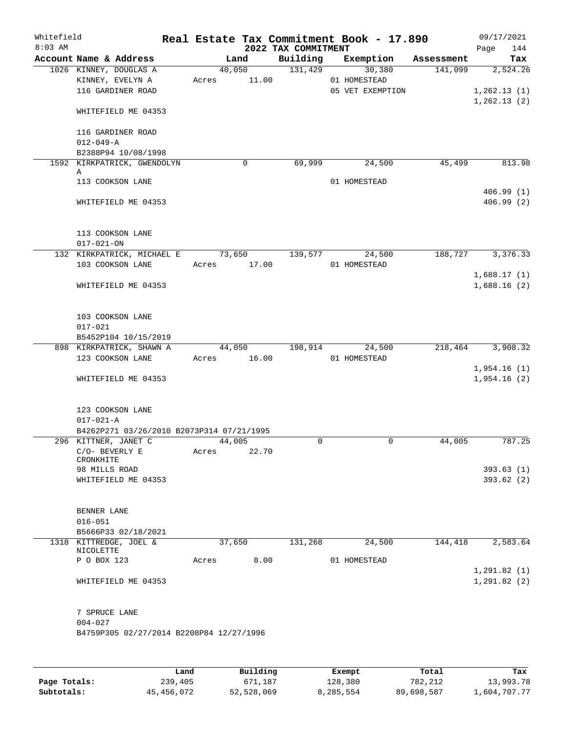| Whitefield<br>$8:03$ AM |                                                                                        |       |        |             | 2022 TAX COMMITMENT | Real Estate Tax Commitment Book - 17.890   |         | 09/17/2021<br>144<br>Page               |
|-------------------------|----------------------------------------------------------------------------------------|-------|--------|-------------|---------------------|--------------------------------------------|---------|-----------------------------------------|
|                         | Account Name & Address                                                                 |       | Land   |             |                     | Building Exemption Assessment              |         | Tax                                     |
|                         | 1026 KINNEY, DOUGLAS A<br>KINNEY, EVELYN A<br>116 GARDINER ROAD<br>WHITEFIELD ME 04353 |       | 40,050 | Acres 11.00 | 131,429             | 30,380<br>01 HOMESTEAD<br>05 VET EXEMPTION | 141,099 | 2,524.26<br>1,262.13(1)<br>1, 262.13(2) |
|                         | 116 GARDINER ROAD<br>$012 - 049 - A$<br>B2388P94 10/08/1998                            |       |        |             |                     |                                            |         |                                         |
|                         | 1592 KIRKPATRICK, GWENDOLYN<br>Α<br>113 COOKSON LANE                                   |       |        | 0           | 69,999              | 24,500<br>01 HOMESTEAD                     | 45,499  | 813.98                                  |
|                         | WHITEFIELD ME 04353                                                                    |       |        |             |                     |                                            |         | 406.99(1)<br>406.99(2)                  |
|                         | 113 COOKSON LANE<br>$017 - 021 - ON$                                                   |       |        |             |                     |                                            |         |                                         |
|                         | 132 KIRKPATRICK, MICHAEL E 73,650                                                      |       |        | Acres 17.00 | 139,577             | 24,500                                     | 188,727 | 3,376.33                                |
|                         | 103 COOKSON LANE<br>WHITEFIELD ME 04353                                                |       |        |             |                     | 01 HOMESTEAD                               |         | 1,688.17(1)<br>1,688.16(2)              |
|                         | 103 COOKSON LANE<br>$017 - 021$                                                        |       |        |             |                     |                                            |         |                                         |
|                         | B5452P104 10/15/2019<br>898 KIRKPATRICK, SHAWN A                                       |       |        |             | 44,050 198,914      | 24,500                                     | 218,464 | 3,908.32                                |
|                         | 123 COOKSON LANE                                                                       |       |        | Acres 16.00 |                     | 01 HOMESTEAD                               |         |                                         |
|                         | WHITEFIELD ME 04353                                                                    |       |        |             |                     |                                            |         | 1,954.16(1)<br>1,954.16(2)              |
|                         | 123 COOKSON LANE<br>$017 - 021 - A$<br>B4262P271 03/26/2010 B2073P314 07/21/1995       |       |        |             |                     |                                            |         |                                         |
|                         | 296 KITTNER, JANET C                                                                   |       | 44,005 |             | $\mathbf 0$         | $\mathbf 0$                                | 44,005  | 787.25                                  |
|                         | C/O- BEVERLY E<br>CRONKHITE                                                            | Acres |        | 22.70       |                     |                                            |         |                                         |
|                         | 98 MILLS ROAD<br>WHITEFIELD ME 04353                                                   |       |        |             |                     |                                            |         | 393.63(1)<br>393.62(2)                  |
|                         | BENNER LANE<br>$016 - 051$                                                             |       |        |             |                     |                                            |         |                                         |
|                         | B5666P33 02/18/2021<br>1318 KITTREDGE, JOEL &                                          |       | 37,650 |             | 131,268             | 24,500                                     | 144,418 | 2,583.64                                |
|                         | NICOLETTE<br>P O BOX 123                                                               | Acres |        | 8.00        |                     | 01 HOMESTEAD                               |         |                                         |
|                         | WHITEFIELD ME 04353                                                                    |       |        |             |                     |                                            |         | 1,291.82(1)<br>1, 291.82 (2)            |
|                         | 7 SPRUCE LANE<br>$004 - 027$<br>B4759P305 02/27/2014 B2208P84 12/27/1996               |       |        |             |                     |                                            |         |                                         |
|                         |                                                                                        | Land. |        | Building    |                     | $F$ vomnt                                  | $T0+2T$ | <b>The s</b>                            |

|              | Land       | Building   | Exempt    | Total      | Tax          |
|--------------|------------|------------|-----------|------------|--------------|
| Page Totals: | 239,405    | 671,187    | 128,380   | 782,212    | 13,993.78    |
| Subtotals:   | 45,456,072 | 52,528,069 | 8,285,554 | 89,698,587 | 1,604,707.77 |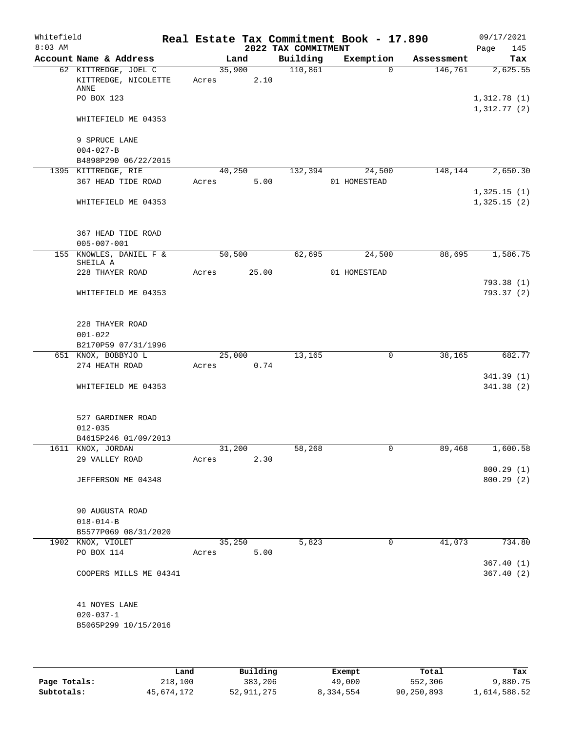| Whitefield<br>$8:03$ AM |                                                      |       |                | 2022 TAX COMMITMENT | Real Estate Tax Commitment Book - 17.890 |            | 09/17/2021<br>145<br>Page  |
|-------------------------|------------------------------------------------------|-------|----------------|---------------------|------------------------------------------|------------|----------------------------|
|                         | Account Name & Address                               |       | Land           | Building            | Exemption                                | Assessment | Tax                        |
|                         | 62 KITTREDGE, JOEL C<br>KITTREDGE, NICOLETTE<br>ANNE | Acres | 35,900<br>2.10 | 110,861             | $\Omega$                                 | 146,761    | 2,625.55                   |
|                         | PO BOX 123                                           |       |                |                     |                                          |            | 1,312.78(1)<br>1,312.77(2) |
|                         | WHITEFIELD ME 04353                                  |       |                |                     |                                          |            |                            |
|                         | 9 SPRUCE LANE<br>$004 - 027 - B$                     |       |                |                     |                                          |            |                            |
|                         | B4898P290 06/22/2015                                 |       |                |                     |                                          |            |                            |
|                         | 1395 KITTREDGE, RIE                                  |       | 40,250         | 132,394             | 24,500                                   | 148,144    | 2,650.30                   |
|                         | 367 HEAD TIDE ROAD                                   | Acres | 5.00           |                     | 01 HOMESTEAD                             |            |                            |
|                         | WHITEFIELD ME 04353                                  |       |                |                     |                                          |            | 1,325.15(1)<br>1,325.15(2) |
|                         | 367 HEAD TIDE ROAD                                   |       |                |                     |                                          |            |                            |
|                         | $005 - 007 - 001$                                    |       |                |                     |                                          |            |                            |
|                         | 155 KNOWLES, DANIEL F &<br>SHEILA A                  |       | 50,500         | 62,695              | 24,500                                   | 88,695     | 1,586.75                   |
|                         | 228 THAYER ROAD                                      | Acres | 25.00          |                     | 01 HOMESTEAD                             |            | 793.38(1)                  |
|                         | WHITEFIELD ME 04353                                  |       |                |                     |                                          |            | 793.37 (2)                 |
|                         | 228 THAYER ROAD                                      |       |                |                     |                                          |            |                            |
|                         | $001 - 022$<br>B2170P59 07/31/1996                   |       |                |                     |                                          |            |                            |
|                         | 651 KNOX, BOBBYJO L                                  |       | 25,000         | 13,165              | $\mathsf{O}$                             | 38,165     | 682.77                     |
|                         | 274 HEATH ROAD                                       | Acres | 0.74           |                     |                                          |            |                            |
|                         |                                                      |       |                |                     |                                          |            | 341.39 (1)                 |
|                         | WHITEFIELD ME 04353                                  |       |                |                     |                                          |            | 341.38(2)                  |
|                         | 527 GARDINER ROAD<br>$012 - 035$                     |       |                |                     |                                          |            |                            |
|                         | B4615P246 01/09/2013                                 |       |                |                     |                                          |            |                            |
|                         | 1611 KNOX, JORDAN                                    |       | 31,200         | 58,268              | 0                                        | 89,468     | 1,600.58                   |
|                         | 29 VALLEY ROAD                                       | Acres | 2.30           |                     |                                          |            |                            |
|                         | JEFFERSON ME 04348                                   |       |                |                     |                                          |            | 800.29(1)<br>800.29 (2)    |
|                         | 90 AUGUSTA ROAD                                      |       |                |                     |                                          |            |                            |
|                         | $018 - 014 - B$                                      |       |                |                     |                                          |            |                            |
|                         | B5577P069 08/31/2020                                 |       |                |                     |                                          |            |                            |
|                         | 1902 KNOX, VIOLET                                    |       | 35,250         | 5,823               | 0                                        | 41,073     | 734.80                     |
|                         | PO BOX 114                                           | Acres | 5.00           |                     |                                          |            |                            |
|                         | COOPERS MILLS ME 04341                               |       |                |                     |                                          |            | 367.40(1)<br>367.40(2)     |
|                         | 41 NOYES LANE                                        |       |                |                     |                                          |            |                            |
|                         | $020 - 037 - 1$<br>B5065P299 10/15/2016              |       |                |                     |                                          |            |                            |
|                         |                                                      |       |                |                     |                                          |            |                            |

|              | Land       | Building   | Exempt    | Total      | Tax          |
|--------------|------------|------------|-----------|------------|--------------|
| Page Totals: | 218,100    | 383,206    | 49,000    | 552,306    | 9,880.75     |
| Subtotals:   | 45,674,172 | 52,911,275 | 8,334,554 | 90,250,893 | 1,614,588.52 |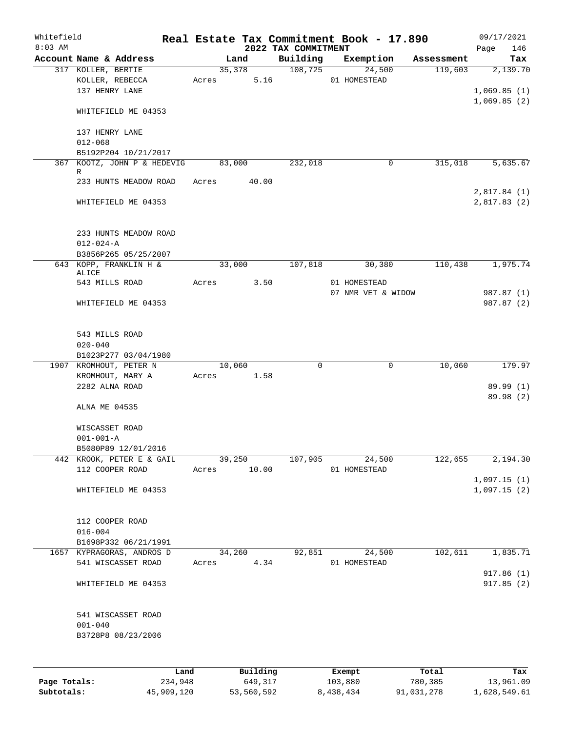| Whitefield |                                                         |      |             |                |            |                     | Real Estate Tax Commitment Book - 17.890 |            | 09/17/2021              |
|------------|---------------------------------------------------------|------|-------------|----------------|------------|---------------------|------------------------------------------|------------|-------------------------|
| $8:03$ AM  |                                                         |      |             |                |            | 2022 TAX COMMITMENT |                                          |            | 146<br>Page             |
|            | Account Name & Address<br>317 KOLLER, BERTIE            |      |             | Land<br>35,378 |            | Building<br>108,725 | Exemption<br>24,500                      | Assessment | Tax                     |
|            | KOLLER, REBECCA<br>137 HENRY LANE                       |      | Acres       |                | 5.16       |                     | 01 HOMESTEAD                             | 119,603    | 2,139.70<br>1,069.85(1) |
|            | WHITEFIELD ME 04353                                     |      |             |                |            |                     |                                          |            | 1,069.85(2)             |
|            | 137 HENRY LANE<br>$012 - 068$                           |      |             |                |            |                     |                                          |            |                         |
|            | B5192P204 10/21/2017                                    |      |             |                |            |                     |                                          |            |                         |
|            | 367 KOOTZ, JOHN P & HEDEVIG                             |      |             | 83,000         |            | 232,018             | 0                                        | 315,018    | 5,635.67                |
|            | R<br>233 HUNTS MEADOW ROAD                              |      | Acres 40.00 |                |            |                     |                                          |            | 2,817.84(1)             |
|            | WHITEFIELD ME 04353                                     |      |             |                |            |                     |                                          |            | 2,817.83(2)             |
|            | 233 HUNTS MEADOW ROAD                                   |      |             |                |            |                     |                                          |            |                         |
|            | $012 - 024 - A$                                         |      |             |                |            |                     |                                          |            |                         |
|            | B3856P265 05/25/2007<br>643 KOPP, FRANKLIN H &          |      |             | 33,000         |            | 107,818             | 30,380                                   | 110,438    | 1,975.74                |
|            | ALICE<br>543 MILLS ROAD                                 |      | Acres       |                | 3.50       |                     | 01 HOMESTEAD                             |            |                         |
|            |                                                         |      |             |                |            |                     | 07 NMR VET & WIDOW                       |            | 987.87 (1)              |
|            | WHITEFIELD ME 04353                                     |      |             |                |            |                     |                                          |            | 987.87 (2)              |
|            | 543 MILLS ROAD<br>$020 - 040$                           |      |             |                |            |                     |                                          |            |                         |
|            | B1023P277 03/04/1980                                    |      |             |                |            |                     |                                          |            |                         |
|            | 1907 KROMHOUT, PETER N                                  |      |             | 10,060         |            | 0                   | 0                                        | 10,060     | 179.97                  |
|            | KROMHOUT, MARY A<br>2282 ALNA ROAD                      |      |             |                | Acres 1.58 |                     |                                          |            | 89.99 (1)               |
|            |                                                         |      |             |                |            |                     |                                          |            | 89.98 (2)               |
|            | ALNA ME 04535                                           |      |             |                |            |                     |                                          |            |                         |
|            | WISCASSET ROAD                                          |      |             |                |            |                     |                                          |            |                         |
|            | $001 - 001 - A$                                         |      |             |                |            |                     |                                          |            |                         |
|            | B5080P89 12/01/2016<br>442 KROOK, PETER E & GAIL        |      |             | 39,250         |            | 107,905             | 24,500                                   | 122,655    | 2,194.30                |
|            | 112 COOPER ROAD                                         |      | Acres       |                | 10.00      |                     | 01 HOMESTEAD                             |            |                         |
|            |                                                         |      |             |                |            |                     |                                          |            | 1,097.15(1)             |
|            | WHITEFIELD ME 04353                                     |      |             |                |            |                     |                                          |            | 1,097.15(2)             |
|            | 112 COOPER ROAD                                         |      |             |                |            |                     |                                          |            |                         |
|            | $016 - 004$<br>B1698P332 06/21/1991                     |      |             |                |            |                     |                                          |            |                         |
|            | 1657 KYPRAGORAS, ANDROS D                               |      |             | 34,260         |            | 92,851              | 24,500                                   | 102,611    | 1,835.71                |
|            | 541 WISCASSET ROAD                                      |      | Acres       |                | 4.34       |                     | 01 HOMESTEAD                             |            | 917.86 (1)              |
|            | WHITEFIELD ME 04353                                     |      |             |                |            |                     |                                          |            | 917.85(2)               |
|            | 541 WISCASSET ROAD<br>$001 - 040$<br>B3728P8 08/23/2006 |      |             |                |            |                     |                                          |            |                         |
|            |                                                         |      |             |                |            |                     |                                          |            |                         |
|            |                                                         | Land |             |                | Building   |                     | Exempt                                   | Total      | Tax                     |

**Page Totals:** 234,948 649,317 103,880 780,385 13,961.09 **Subtotals:** 45,909,120 53,560,592 8,438,434 91,031,278 1,628,549.61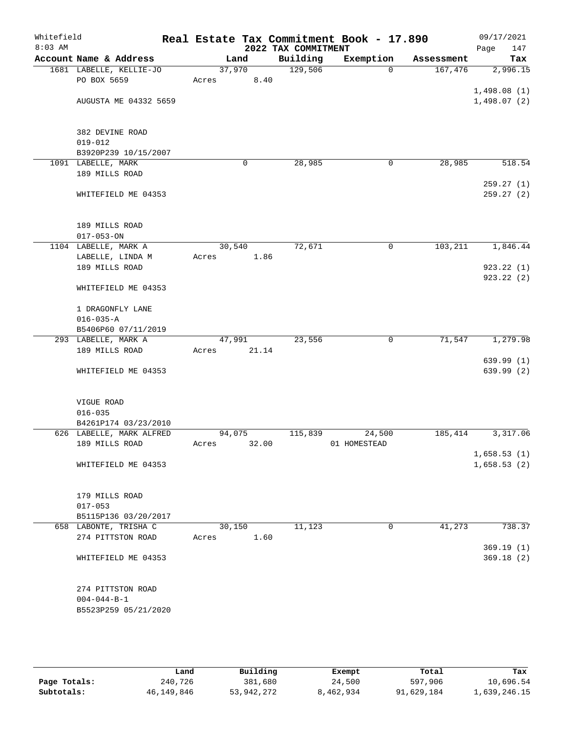| Whitefield<br>$8:03$ AM |                          |       |        | 2022 TAX COMMITMENT | Real Estate Tax Commitment Book - 17.890 |            | 09/17/2021<br>147<br>Page |
|-------------------------|--------------------------|-------|--------|---------------------|------------------------------------------|------------|---------------------------|
|                         | Account Name & Address   |       | Land   | Building            | Exemption                                | Assessment | Tax                       |
|                         | 1681 LABELLE, KELLIE-JO  |       | 37,970 | 129,506             | $\Omega$                                 | 167,476    | 2,996.15                  |
|                         | PO BOX 5659              | Acres | 8.40   |                     |                                          |            |                           |
|                         |                          |       |        |                     |                                          |            | 1,498.08(1)               |
|                         | AUGUSTA ME 04332 5659    |       |        |                     |                                          |            | 1,498.07(2)               |
|                         |                          |       |        |                     |                                          |            |                           |
|                         |                          |       |        |                     |                                          |            |                           |
|                         | 382 DEVINE ROAD          |       |        |                     |                                          |            |                           |
|                         | $019 - 012$              |       |        |                     |                                          |            |                           |
|                         | B3920P239 10/15/2007     |       |        |                     |                                          |            |                           |
|                         | 1091 LABELLE, MARK       |       | 0      | 28,985              | 0                                        | 28,985     | 518.54                    |
|                         | 189 MILLS ROAD           |       |        |                     |                                          |            |                           |
|                         |                          |       |        |                     |                                          |            | 259.27(1)                 |
|                         | WHITEFIELD ME 04353      |       |        |                     |                                          |            | 259.27 (2)                |
|                         |                          |       |        |                     |                                          |            |                           |
|                         |                          |       |        |                     |                                          |            |                           |
|                         | 189 MILLS ROAD           |       |        |                     |                                          |            |                           |
|                         | $017 - 053 - ON$         |       |        |                     |                                          |            |                           |
|                         | 1104 LABELLE, MARK A     |       | 30,540 | 72,671              | 0                                        | 103,211    | 1,846.44                  |
|                         | LABELLE, LINDA M         | Acres | 1.86   |                     |                                          |            |                           |
|                         | 189 MILLS ROAD           |       |        |                     |                                          |            | 923.22(1)                 |
|                         |                          |       |        |                     |                                          |            | 923.22(2)                 |
|                         | WHITEFIELD ME 04353      |       |        |                     |                                          |            |                           |
|                         |                          |       |        |                     |                                          |            |                           |
|                         | 1 DRAGONFLY LANE         |       |        |                     |                                          |            |                           |
|                         | $016 - 035 - A$          |       |        |                     |                                          |            |                           |
|                         | B5406P60 07/11/2019      |       |        |                     |                                          |            |                           |
|                         | 293 LABELLE, MARK A      |       | 47,991 | 23,556              | 0                                        | 71,547     | 1,279.98                  |
|                         | 189 MILLS ROAD           | Acres | 21.14  |                     |                                          |            |                           |
|                         |                          |       |        |                     |                                          |            | 639.99(1)                 |
|                         | WHITEFIELD ME 04353      |       |        |                     |                                          |            | 639.99 (2)                |
|                         |                          |       |        |                     |                                          |            |                           |
|                         |                          |       |        |                     |                                          |            |                           |
|                         | VIGUE ROAD               |       |        |                     |                                          |            |                           |
|                         | $016 - 035$              |       |        |                     |                                          |            |                           |
|                         | B4261P174 03/23/2010     |       |        |                     |                                          |            |                           |
|                         | 626 LABELLE, MARK ALFRED |       | 94,075 | 115,839             | 24,500                                   | 185,414    | 3,317.06                  |
|                         | 189 MILLS ROAD           | Acres | 32.00  |                     | 01 HOMESTEAD                             |            |                           |
|                         |                          |       |        |                     |                                          |            | 1,658.53(1)               |
|                         | WHITEFIELD ME 04353      |       |        |                     |                                          |            | 1,658.53(2)               |
|                         |                          |       |        |                     |                                          |            |                           |
|                         |                          |       |        |                     |                                          |            |                           |
|                         | 179 MILLS ROAD           |       |        |                     |                                          |            |                           |
|                         | $017 - 053$              |       |        |                     |                                          |            |                           |
|                         | B5115P136 03/20/2017     |       |        |                     |                                          |            |                           |
|                         | 658 LABONTE, TRISHA C    |       | 30,150 | 11,123              | 0                                        | 41,273     | 738.37                    |
|                         | 274 PITTSTON ROAD        | Acres | 1.60   |                     |                                          |            |                           |
|                         |                          |       |        |                     |                                          |            | 369.19(1)                 |
|                         | WHITEFIELD ME 04353      |       |        |                     |                                          |            | 369.18(2)                 |
|                         |                          |       |        |                     |                                          |            |                           |
|                         |                          |       |        |                     |                                          |            |                           |
|                         | 274 PITTSTON ROAD        |       |        |                     |                                          |            |                           |
|                         | $004 - 044 - B - 1$      |       |        |                     |                                          |            |                           |
|                         | B5523P259 05/21/2020     |       |        |                     |                                          |            |                           |
|                         |                          |       |        |                     |                                          |            |                           |

|              | Land       | Building   | Exempt    | Total      | Tax          |
|--------------|------------|------------|-----------|------------|--------------|
| Page Totals: | 240,726    | 381,680    | 24,500    | 597,906    | 10,696.54    |
| Subtotals:   | 46,149,846 | 53,942,272 | 8,462,934 | 91,629,184 | 1,639,246.15 |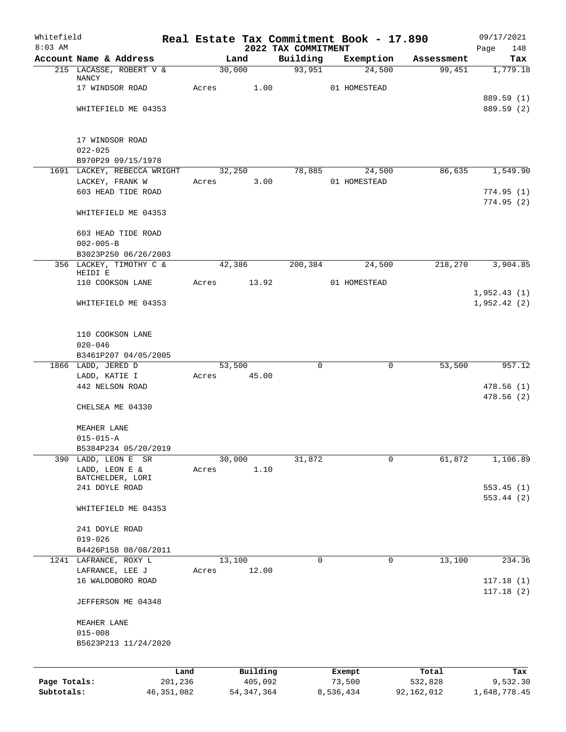| Whitefield<br>$8:03$ AM |                                    |       |                     | 2022 TAX COMMITMENT | Real Estate Tax Commitment Book - 17.890 |             |                  | 09/17/2021               |
|-------------------------|------------------------------------|-------|---------------------|---------------------|------------------------------------------|-------------|------------------|--------------------------|
|                         | Account Name & Address             |       | Land                | Building            | Exemption                                |             | Assessment       | 148<br>Page<br>Tax       |
|                         | 215 LACASSE, ROBERT V &            |       | 30,000              | 93,951              |                                          | 24,500      | 99,451           | 1,779.18                 |
|                         | NANCY                              |       |                     |                     |                                          |             |                  |                          |
|                         | 17 WINDSOR ROAD                    | Acres | 1.00                |                     | 01 HOMESTEAD                             |             |                  |                          |
|                         | WHITEFIELD ME 04353                |       |                     |                     |                                          |             |                  | 889.59 (1)<br>889.59 (2) |
|                         |                                    |       |                     |                     |                                          |             |                  |                          |
|                         | 17 WINDSOR ROAD                    |       |                     |                     |                                          |             |                  |                          |
|                         | $022 - 025$                        |       |                     |                     |                                          |             |                  |                          |
|                         | B970P29 09/15/1978                 |       |                     |                     |                                          |             |                  |                          |
|                         | 1691 LACKEY, REBECCA WRIGHT        |       | 32,250              | 78,885              |                                          | 24,500      | 86,635           | 1,549.90                 |
|                         | LACKEY, FRANK W                    | Acres | 3.00                |                     | 01 HOMESTEAD                             |             |                  |                          |
|                         | 603 HEAD TIDE ROAD                 |       |                     |                     |                                          |             |                  | 774.95(1)<br>774.95(2)   |
|                         | WHITEFIELD ME 04353                |       |                     |                     |                                          |             |                  |                          |
|                         | 603 HEAD TIDE ROAD                 |       |                     |                     |                                          |             |                  |                          |
|                         | $002 - 005 - B$                    |       |                     |                     |                                          |             |                  |                          |
|                         | B3023P250 06/26/2003               |       |                     |                     |                                          |             |                  |                          |
|                         | 356 LACKEY, TIMOTHY C &<br>HEIDI E |       | 42,386              | 200,384             |                                          | 24,500      | 218,270          | 3,904.85                 |
|                         | 110 COOKSON LANE                   | Acres | 13.92               |                     | 01 HOMESTEAD                             |             |                  |                          |
|                         |                                    |       |                     |                     |                                          |             |                  | 1,952.43(1)              |
|                         | WHITEFIELD ME 04353                |       |                     |                     |                                          |             |                  | 1,952.42(2)              |
|                         | 110 COOKSON LANE                   |       |                     |                     |                                          |             |                  |                          |
|                         | $020 - 046$                        |       |                     |                     |                                          |             |                  |                          |
|                         | B3461P207 04/05/2005               |       |                     |                     |                                          |             |                  |                          |
|                         | 1866 LADD, JERED D                 |       | 53,500              | $\mathbf 0$         |                                          | $\mathbf 0$ | 53,500           | 957.12                   |
|                         | LADD, KATIE I                      | Acres | 45.00               |                     |                                          |             |                  |                          |
|                         | 442 NELSON ROAD                    |       |                     |                     |                                          |             |                  | 478.56(1)<br>478.56(2)   |
|                         | CHELSEA ME 04330                   |       |                     |                     |                                          |             |                  |                          |
|                         | MEAHER LANE                        |       |                     |                     |                                          |             |                  |                          |
|                         | $015 - 015 - A$                    |       |                     |                     |                                          |             |                  |                          |
|                         | B5384P234 05/20/2019               |       |                     |                     |                                          |             |                  |                          |
| 390                     | LADD, LEON E<br>SR                 |       | 30,000              | 31,872              |                                          | $\mathbf 0$ | 61,872           | 1,106.89                 |
|                         | LADD, LEON E &                     | Acres | 1.10                |                     |                                          |             |                  |                          |
|                         | BATCHELDER, LORI<br>241 DOYLE ROAD |       |                     |                     |                                          |             |                  | 553.45(1)                |
|                         |                                    |       |                     |                     |                                          |             |                  | 553.44(2)                |
|                         | WHITEFIELD ME 04353                |       |                     |                     |                                          |             |                  |                          |
|                         | 241 DOYLE ROAD                     |       |                     |                     |                                          |             |                  |                          |
|                         | $019 - 026$                        |       |                     |                     |                                          |             |                  |                          |
|                         | B4426P158 08/08/2011               |       |                     |                     |                                          |             |                  |                          |
|                         | 1241 LAFRANCE, ROXY L              |       | 13,100              | 0                   |                                          | 0           | 13,100           | 234.36                   |
|                         | LAFRANCE, LEE J                    | Acres | 12.00               |                     |                                          |             |                  |                          |
|                         | 16 WALDOBORO ROAD                  |       |                     |                     |                                          |             |                  | 117.18(1)                |
|                         | JEFFERSON ME 04348                 |       |                     |                     |                                          |             |                  | 117.18(2)                |
|                         | MEAHER LANE                        |       |                     |                     |                                          |             |                  |                          |
|                         | $015 - 008$                        |       |                     |                     |                                          |             |                  |                          |
|                         | B5623P213 11/24/2020               |       |                     |                     |                                          |             |                  |                          |
|                         |                                    |       |                     |                     |                                          |             |                  |                          |
| Page Totals:            | Land<br>201,236                    |       | Building<br>405,092 |                     | Exempt<br>73,500                         |             | Total<br>532,828 | Tax<br>9,532.30          |
| Subtotals:              | 46, 351, 082                       |       | 54, 347, 364        |                     | 8,536,434                                |             | 92,162,012       | 1,648,778.45             |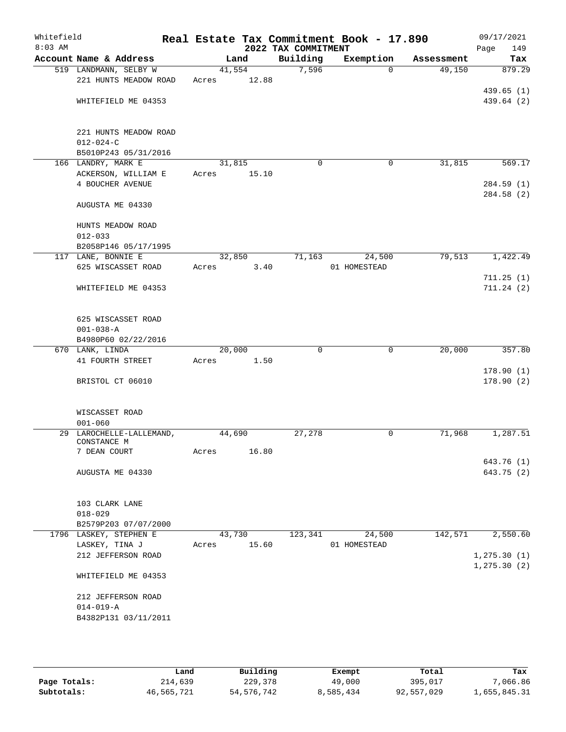| Whitefield<br>$8:03$ AM |                                      |       |                | 2022 TAX COMMITMENT | Real Estate Tax Commitment Book - 17.890 |            | 09/17/2021<br>Page<br>149 |
|-------------------------|--------------------------------------|-------|----------------|---------------------|------------------------------------------|------------|---------------------------|
|                         | Account Name & Address               |       | Land           | Building            | Exemption                                | Assessment | Tax                       |
|                         | 519 LANDMANN, SELBY W                |       | 41,554         | 7,596               | $\Omega$                                 | 49,150     | 879.29                    |
|                         | 221 HUNTS MEADOW ROAD                | Acres | 12.88          |                     |                                          |            |                           |
|                         |                                      |       |                |                     |                                          |            | 439.65(1)                 |
|                         | WHITEFIELD ME 04353                  |       |                |                     |                                          |            | 439.64 (2)                |
|                         |                                      |       |                |                     |                                          |            |                           |
|                         | 221 HUNTS MEADOW ROAD                |       |                |                     |                                          |            |                           |
|                         | $012 - 024 - C$                      |       |                |                     |                                          |            |                           |
|                         | B5010P243 05/31/2016                 |       |                |                     |                                          |            |                           |
|                         | 166 LANDRY, MARK E                   |       | 31,815         | $\mathbf 0$         | 0                                        | 31,815     | 569.17                    |
|                         | ACKERSON, WILLIAM E                  | Acres | 15.10          |                     |                                          |            |                           |
|                         | 4 BOUCHER AVENUE                     |       |                |                     |                                          |            | 284.59 (1)<br>284.58 (2)  |
|                         | AUGUSTA ME 04330                     |       |                |                     |                                          |            |                           |
|                         | HUNTS MEADOW ROAD                    |       |                |                     |                                          |            |                           |
|                         | $012 - 033$                          |       |                |                     |                                          |            |                           |
|                         | B2058P146 05/17/1995                 |       |                |                     |                                          |            |                           |
|                         | 117 LANE, BONNIE E                   |       | 32,850         | 71,163              | 24,500                                   | 79,513     | 1,422.49                  |
|                         | 625 WISCASSET ROAD                   | Acres | 3.40           |                     | 01 HOMESTEAD                             |            |                           |
|                         | WHITEFIELD ME 04353                  |       |                |                     |                                          |            | 711.25(1)<br>711.24(2)    |
|                         |                                      |       |                |                     |                                          |            |                           |
|                         | 625 WISCASSET ROAD                   |       |                |                     |                                          |            |                           |
|                         | $001 - 038 - A$                      |       |                |                     |                                          |            |                           |
|                         | B4980P60 02/22/2016                  |       |                |                     |                                          |            |                           |
|                         | 670 LANK, LINDA<br>41 FOURTH STREET  | Acres | 20,000<br>1.50 | 0                   | $\mathbf 0$                              | 20,000     | 357.80                    |
|                         |                                      |       |                |                     |                                          |            | 178.90(1)                 |
|                         | BRISTOL CT 06010                     |       |                |                     |                                          |            | 178.90(2)                 |
|                         |                                      |       |                |                     |                                          |            |                           |
|                         | WISCASSET ROAD<br>$001 - 060$        |       |                |                     |                                          |            |                           |
|                         | 29 LAROCHELLE-LALLEMAND,             |       | 44,690         | 27,278              | 0                                        | 71,968     | 1,287.51                  |
|                         | CONSTANCE M                          |       |                |                     |                                          |            |                           |
|                         | 7 DEAN COURT                         | Acres | 16.80          |                     |                                          |            |                           |
|                         |                                      |       |                |                     |                                          |            | 643.76 (1)                |
|                         | AUGUSTA ME 04330                     |       |                |                     |                                          |            | 643.75 (2)                |
|                         | 103 CLARK LANE                       |       |                |                     |                                          |            |                           |
|                         | $018 - 029$                          |       |                |                     |                                          |            |                           |
|                         | B2579P203 07/07/2000                 |       |                |                     |                                          |            |                           |
|                         | 1796 LASKEY, STEPHEN E               |       | 43,730         | 123,341             | 24,500                                   | 142,571    | 2,550.60                  |
|                         | LASKEY, TINA J<br>212 JEFFERSON ROAD | Acres | 15.60          |                     | 01 HOMESTEAD                             |            | 1, 275.30(1)              |
|                         |                                      |       |                |                     |                                          |            | 1, 275.30(2)              |
|                         | WHITEFIELD ME 04353                  |       |                |                     |                                          |            |                           |
|                         | 212 JEFFERSON ROAD                   |       |                |                     |                                          |            |                           |
|                         | $014 - 019 - A$                      |       |                |                     |                                          |            |                           |
|                         | B4382P131 03/11/2011                 |       |                |                     |                                          |            |                           |
|                         |                                      |       |                |                     |                                          |            |                           |
|                         |                                      |       |                |                     |                                          |            |                           |

|              | Land       | Building   | Exempt    | Total      | Tax          |
|--------------|------------|------------|-----------|------------|--------------|
| Page Totals: | 214,639    | 229,378    | 49,000    | 395,017    | 7,066.86     |
| Subtotals:   | 46,565,721 | 54,576,742 | 8,585,434 | 92,557,029 | l,655,845.31 |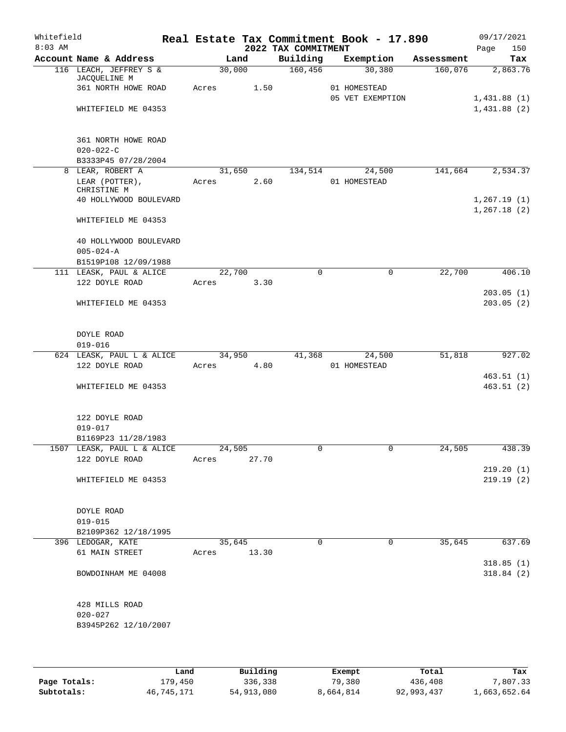| Whitefield |                                        |       |             |       |                     | Real Estate Tax Commitment Book - 17.890 |         | 09/17/2021   |
|------------|----------------------------------------|-------|-------------|-------|---------------------|------------------------------------------|---------|--------------|
| $8:03$ AM  |                                        |       |             |       | 2022 TAX COMMITMENT |                                          |         | Page<br>150  |
|            | Account Name & Address                 |       | Land        |       | Building            | Exemption Assessment                     |         | Tax          |
|            | 116 LEACH, JEFFREY S &<br>JACQUELINE M |       | 30,000      |       | 160,456             | 30,380                                   | 160,076 | 2,863.76     |
|            | 361 NORTH HOWE ROAD                    |       | Acres       | 1.50  |                     | 01 HOMESTEAD                             |         |              |
|            |                                        |       |             |       |                     | 05 VET EXEMPTION                         |         | 1,431.88(1)  |
|            | WHITEFIELD ME 04353                    |       |             |       |                     |                                          |         | 1,431.88(2)  |
|            | 361 NORTH HOWE ROAD                    |       |             |       |                     |                                          |         |              |
|            | $020 - 022 - C$                        |       |             |       |                     |                                          |         |              |
|            | B3333P45 07/28/2004                    |       |             |       |                     |                                          |         |              |
|            | 8 LEAR, ROBERT A                       |       |             |       |                     | 31,650 134,514 24,500                    | 141,664 | 2,534.37     |
|            | LEAR (POTTER),                         |       | Acres 2.60  |       |                     | 01 HOMESTEAD                             |         |              |
|            | CHRISTINE M                            |       |             |       |                     |                                          |         |              |
|            | 40 HOLLYWOOD BOULEVARD                 |       |             |       |                     |                                          |         | 1,267.19(1)  |
|            |                                        |       |             |       |                     |                                          |         | 1, 267.18(2) |
|            | WHITEFIELD ME 04353                    |       |             |       |                     |                                          |         |              |
|            | 40 HOLLYWOOD BOULEVARD                 |       |             |       |                     |                                          |         |              |
|            | $005 - 024 - A$                        |       |             |       |                     |                                          |         |              |
|            | B1519P108 12/09/1988                   |       |             |       |                     |                                          |         |              |
|            | 111 LEASK, PAUL & ALICE                |       | 22,700      |       | $\Omega$            | 0                                        | 22,700  | 406.10       |
|            | 122 DOYLE ROAD                         | Acres |             | 3.30  |                     |                                          |         |              |
|            |                                        |       |             |       |                     |                                          |         | 203.05(1)    |
|            | WHITEFIELD ME 04353                    |       |             |       |                     |                                          |         | 203.05(2)    |
|            |                                        |       |             |       |                     |                                          |         |              |
|            | DOYLE ROAD                             |       |             |       |                     |                                          |         |              |
|            | $019 - 016$                            |       |             |       |                     |                                          |         |              |
|            | 624 LEASK, PAUL L & ALICE              |       | 34,950      |       | 41,368              | 24,500                                   | 51,818  | 927.02       |
|            | 122 DOYLE ROAD                         |       | Acres 4.80  |       |                     | 01 HOMESTEAD                             |         |              |
|            |                                        |       |             |       |                     |                                          |         | 463.51(1)    |
|            | WHITEFIELD ME 04353                    |       |             |       |                     |                                          |         | 463.51(2)    |
|            |                                        |       |             |       |                     |                                          |         |              |
|            | 122 DOYLE ROAD                         |       |             |       |                     |                                          |         |              |
|            | $019 - 017$                            |       |             |       |                     |                                          |         |              |
|            | B1169P23 11/28/1983                    |       |             |       |                     |                                          |         |              |
|            | 1507 LEASK, PAUL L & ALICE             |       | 24,505      |       | 0                   |                                          | 24,505  | 438.39       |
|            | 122 DOYLE ROAD                         | Acres |             | 27.70 |                     |                                          |         |              |
|            |                                        |       |             |       |                     |                                          |         | 219.20(1)    |
|            | WHITEFIELD ME 04353                    |       |             |       |                     |                                          |         | 219.19(2)    |
|            |                                        |       |             |       |                     |                                          |         |              |
|            | DOYLE ROAD                             |       |             |       |                     |                                          |         |              |
|            | $019 - 015$                            |       |             |       |                     |                                          |         |              |
|            |                                        |       |             |       |                     |                                          |         |              |
|            | B2109P362 12/18/1995                   |       |             |       |                     |                                          |         |              |
|            | 396 LEDOGAR, KATE                      |       | 35,645      |       | $\Omega$            | $\Omega$                                 | 35,645  | 637.69       |
|            | 61 MAIN STREET                         |       | Acres 13.30 |       |                     |                                          |         |              |
|            |                                        |       |             |       |                     |                                          |         | 318.85(1)    |
|            | BOWDOINHAM ME 04008                    |       |             |       |                     |                                          |         | 318.84(2)    |
|            | 428 MILLS ROAD                         |       |             |       |                     |                                          |         |              |
|            | $020 - 027$                            |       |             |       |                     |                                          |         |              |
|            | B3945P262 12/10/2007                   |       |             |       |                     |                                          |         |              |
|            |                                        |       |             |       |                     |                                          |         |              |
|            |                                        |       |             |       |                     |                                          |         |              |
|            |                                        |       |             |       |                     |                                          |         |              |

|              | Land       | Building   | Exempt    | Total      | Tax          |
|--------------|------------|------------|-----------|------------|--------------|
| Page Totals: | 179.450    | 336,338    | 79,380    | 436,408    | 7,807.33     |
| Subtotals:   | 46,745,171 | 54,913,080 | 8,664,814 | 92,993,437 | 1,663,652.64 |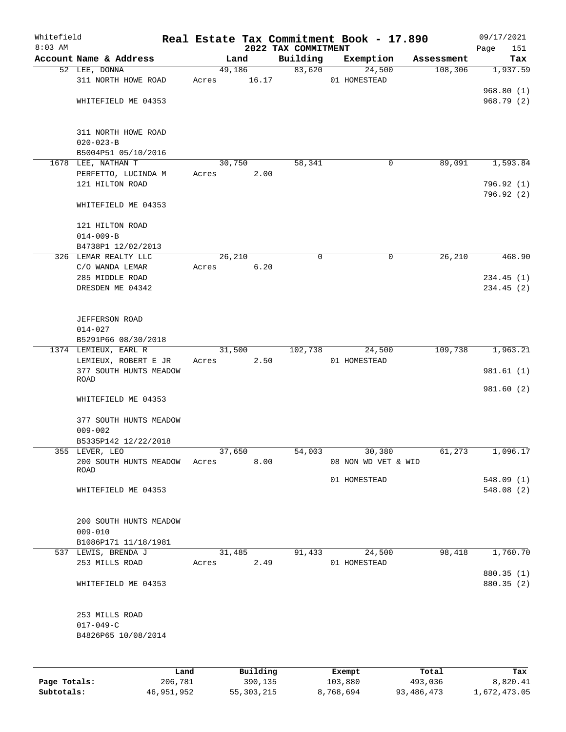| Whitefield<br>$8:03$ AM |                              |       |        |          | 2022 TAX COMMITMENT | Real Estate Tax Commitment Book - 17.890 |            | 09/17/2021<br>151<br>Page |
|-------------------------|------------------------------|-------|--------|----------|---------------------|------------------------------------------|------------|---------------------------|
|                         | Account Name & Address       |       | Land   |          | Building            | Exemption                                | Assessment | Tax                       |
|                         | 52 LEE, DONNA                |       | 49,186 |          | 83,620              | 24,500                                   | 108,306    | 1,937.59                  |
|                         | 311 NORTH HOWE ROAD          | Acres |        | 16.17    |                     | 01 HOMESTEAD                             |            |                           |
|                         |                              |       |        |          |                     |                                          |            | 968.80(1)                 |
|                         | WHITEFIELD ME 04353          |       |        |          |                     |                                          |            | 968.79 (2)                |
|                         |                              |       |        |          |                     |                                          |            |                           |
|                         |                              |       |        |          |                     |                                          |            |                           |
|                         | 311 NORTH HOWE ROAD          |       |        |          |                     |                                          |            |                           |
|                         | $020 - 023 - B$              |       |        |          |                     |                                          |            |                           |
|                         | B5004P51 05/10/2016          |       |        |          |                     |                                          |            |                           |
|                         | 1678 LEE, NATHAN T           |       | 30,750 |          | 58,341              | 0                                        | 89,091     | 1,593.84                  |
|                         | PERFETTO, LUCINDA M          | Acres |        | 2.00     |                     |                                          |            |                           |
|                         | 121 HILTON ROAD              |       |        |          |                     |                                          |            | 796.92 (1)                |
|                         |                              |       |        |          |                     |                                          |            | 796.92 (2)                |
|                         | WHITEFIELD ME 04353          |       |        |          |                     |                                          |            |                           |
|                         |                              |       |        |          |                     |                                          |            |                           |
|                         | 121 HILTON ROAD              |       |        |          |                     |                                          |            |                           |
|                         | $014 - 009 - B$              |       |        |          |                     |                                          |            |                           |
|                         | B4738P1 12/02/2013           |       |        |          |                     |                                          |            |                           |
|                         | 326 LEMAR REALTY LLC         |       | 26,210 |          | $\mathbf 0$         | 0                                        | 26,210     | 468.90                    |
|                         | C/O WANDA LEMAR              | Acres |        | 6.20     |                     |                                          |            |                           |
|                         | 285 MIDDLE ROAD              |       |        |          |                     |                                          |            | 234.45(1)                 |
|                         | DRESDEN ME 04342             |       |        |          |                     |                                          |            | 234.45(2)                 |
|                         |                              |       |        |          |                     |                                          |            |                           |
|                         |                              |       |        |          |                     |                                          |            |                           |
|                         | JEFFERSON ROAD               |       |        |          |                     |                                          |            |                           |
|                         | $014 - 027$                  |       |        |          |                     |                                          |            |                           |
|                         | B5291P66 08/30/2018          |       |        |          |                     |                                          |            |                           |
|                         | 1374 LEMIEUX, EARL R         |       | 31,500 |          | 102,738             | 24,500                                   | 109,738    | 1,963.21                  |
|                         | LEMIEUX, ROBERT E JR         | Acres |        | 2.50     |                     | 01 HOMESTEAD                             |            |                           |
|                         | 377 SOUTH HUNTS MEADOW       |       |        |          |                     |                                          |            | 981.61 (1)                |
|                         | ROAD                         |       |        |          |                     |                                          |            | 981.60 (2)                |
|                         | WHITEFIELD ME 04353          |       |        |          |                     |                                          |            |                           |
|                         |                              |       |        |          |                     |                                          |            |                           |
|                         | 377 SOUTH HUNTS MEADOW       |       |        |          |                     |                                          |            |                           |
|                         | $009 - 002$                  |       |        |          |                     |                                          |            |                           |
|                         | B5335P142 12/22/2018         |       |        |          |                     |                                          |            |                           |
|                         | 355 LEVER, LEO               |       | 37,650 |          | 54,003              | 30,380                                   | 61,273     | 1,096.17                  |
|                         | 200 SOUTH HUNTS MEADOW Acres |       |        | 8.00     |                     | 08 NON WD VET & WID                      |            |                           |
|                         | ROAD                         |       |        |          |                     |                                          |            |                           |
|                         |                              |       |        |          |                     | 01 HOMESTEAD                             |            | 548.09(1)                 |
|                         | WHITEFIELD ME 04353          |       |        |          |                     |                                          |            | 548.08 (2)                |
|                         |                              |       |        |          |                     |                                          |            |                           |
|                         |                              |       |        |          |                     |                                          |            |                           |
|                         | 200 SOUTH HUNTS MEADOW       |       |        |          |                     |                                          |            |                           |
|                         | $009 - 010$                  |       |        |          |                     |                                          |            |                           |
|                         | B1086P171 11/18/1981         |       |        |          |                     |                                          |            |                           |
|                         | 537 LEWIS, BRENDA J          |       | 31,485 |          | 91,433              | 24,500                                   | 98,418     | 1,760.70                  |
|                         | 253 MILLS ROAD               | Acres |        | 2.49     |                     | 01 HOMESTEAD                             |            |                           |
|                         |                              |       |        |          |                     |                                          |            | 880.35 (1)                |
|                         | WHITEFIELD ME 04353          |       |        |          |                     |                                          |            | 880.35 (2)                |
|                         |                              |       |        |          |                     |                                          |            |                           |
|                         |                              |       |        |          |                     |                                          |            |                           |
|                         | 253 MILLS ROAD               |       |        |          |                     |                                          |            |                           |
|                         | $017 - 049 - C$              |       |        |          |                     |                                          |            |                           |
|                         | B4826P65 10/08/2014          |       |        |          |                     |                                          |            |                           |
|                         |                              |       |        |          |                     |                                          |            |                           |
|                         |                              |       |        |          |                     |                                          |            |                           |
|                         |                              | Land  |        | Building |                     | Exempt                                   | Total      | Tax                       |
|                         |                              |       |        |          |                     |                                          |            |                           |

**Page Totals:** 206,781 390,135 103,880 493,036 8,820.41 **Subtotals:** 46,951,952 55,303,215 8,768,694 93,486,473 1,672,473.05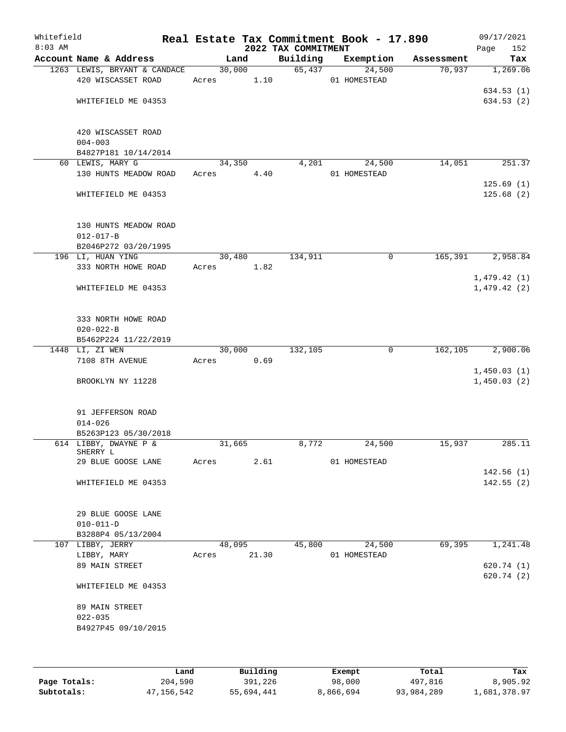| Whitefield<br>$8:03$ AM |                                         |            |       | 2022 TAX COMMITMENT | Real Estate Tax Commitment Book - 17.890 |            | 09/17/2021<br>152<br>Page  |
|-------------------------|-----------------------------------------|------------|-------|---------------------|------------------------------------------|------------|----------------------------|
|                         | Account Name & Address                  | Land       |       | Building            | Exemption                                | Assessment | Tax                        |
|                         | 1263 LEWIS, BRYANT & CANDACE            | 30,000     |       | 65,437              | 24,500                                   | 70,937     | 1,269.06                   |
|                         | 420 WISCASSET ROAD                      | Acres 1.10 |       |                     | 01 HOMESTEAD                             |            |                            |
|                         |                                         |            |       |                     |                                          |            | 634.53(1)                  |
|                         | WHITEFIELD ME 04353                     |            |       |                     |                                          |            | 634.53(2)                  |
|                         | 420 WISCASSET ROAD                      |            |       |                     |                                          |            |                            |
|                         | $004 - 003$                             |            |       |                     |                                          |            |                            |
|                         | B4827P181 10/14/2014                    |            |       |                     |                                          |            |                            |
|                         | 60 LEWIS, MARY G                        | 34,350     |       | 4,201               | 24,500                                   | 14,051     | 251.37                     |
|                         | 130 HUNTS MEADOW ROAD                   | Acres      | 4.40  |                     | 01 HOMESTEAD                             |            | 125.69(1)                  |
|                         | WHITEFIELD ME 04353                     |            |       |                     |                                          |            | 125.68(2)                  |
|                         | 130 HUNTS MEADOW ROAD                   |            |       |                     |                                          |            |                            |
|                         | $012 - 017 - B$                         |            |       |                     |                                          |            |                            |
|                         | B2046P272 03/20/1995                    |            |       |                     |                                          |            |                            |
|                         | 196 LI, HUAN YING                       | 30,480     |       | 134,911             | 0                                        | 165,391    | 2,958.84                   |
|                         | 333 NORTH HOWE ROAD                     | Acres 1.82 |       |                     |                                          |            |                            |
|                         | WHITEFIELD ME 04353                     |            |       |                     |                                          |            | 1,479.42(1)<br>1,479.42(2) |
|                         |                                         |            |       |                     |                                          |            |                            |
|                         | 333 NORTH HOWE ROAD                     |            |       |                     |                                          |            |                            |
|                         | $020 - 022 - B$                         |            |       |                     |                                          |            |                            |
|                         | B5462P224 11/22/2019<br>1448 LI, ZI WEN | 30,000     |       | 132,105             | $\mathbf 0$                              | 162,105    | 2,900.06                   |
|                         | 7108 8TH AVENUE                         | Acres      | 0.69  |                     |                                          |            |                            |
|                         |                                         |            |       |                     |                                          |            | 1,450.03(1)                |
|                         | BROOKLYN NY 11228                       |            |       |                     |                                          |            | 1,450.03(2)                |
|                         | 91 JEFFERSON ROAD                       |            |       |                     |                                          |            |                            |
|                         | $014 - 026$                             |            |       |                     |                                          |            |                            |
|                         | B5263P123 05/30/2018                    |            |       |                     |                                          |            |                            |
|                         | 614 LIBBY, DWAYNE P &                   | 31,665     |       | 8,772               | 24,500                                   | 15,937     | 285.11                     |
|                         | SHERRY L<br>29 BLUE GOOSE LANE          | Acres      | 2.61  |                     | 01 HOMESTEAD                             |            |                            |
|                         |                                         |            |       |                     |                                          |            | 142.56(1)                  |
|                         | WHITEFIELD ME 04353                     |            |       |                     |                                          |            | 142.55(2)                  |
|                         | 29 BLUE GOOSE LANE                      |            |       |                     |                                          |            |                            |
|                         | $010 - 011 - D$                         |            |       |                     |                                          |            |                            |
|                         | B3288P4 05/13/2004                      |            |       |                     |                                          |            |                            |
|                         | 107 LIBBY, JERRY                        | 48,095     |       | 45,800              | 24,500                                   | 69,395     | 1,241.48                   |
|                         | LIBBY, MARY                             | Acres      | 21.30 |                     | 01 HOMESTEAD                             |            |                            |
|                         | 89 MAIN STREET                          |            |       |                     |                                          |            | 620.74(1)                  |
|                         | WHITEFIELD ME 04353                     |            |       |                     |                                          |            | 620.74 (2)                 |
|                         | 89 MAIN STREET                          |            |       |                     |                                          |            |                            |
|                         | $022 - 035$                             |            |       |                     |                                          |            |                            |
|                         | B4927P45 09/10/2015                     |            |       |                     |                                          |            |                            |
|                         |                                         |            |       |                     |                                          |            |                            |
|                         |                                         |            |       |                     |                                          |            |                            |
|                         |                                         |            |       |                     |                                          |            |                            |

|              | Land       | Building   | Exempt    | Total      | Tax          |
|--------------|------------|------------|-----------|------------|--------------|
| Page Totals: | 204,590    | 391,226    | 98,000    | 497.816    | 8,905.92     |
| Subtotals:   | 47,156,542 | 55,694,441 | 8,866,694 | 93,984,289 | 1,681,378.97 |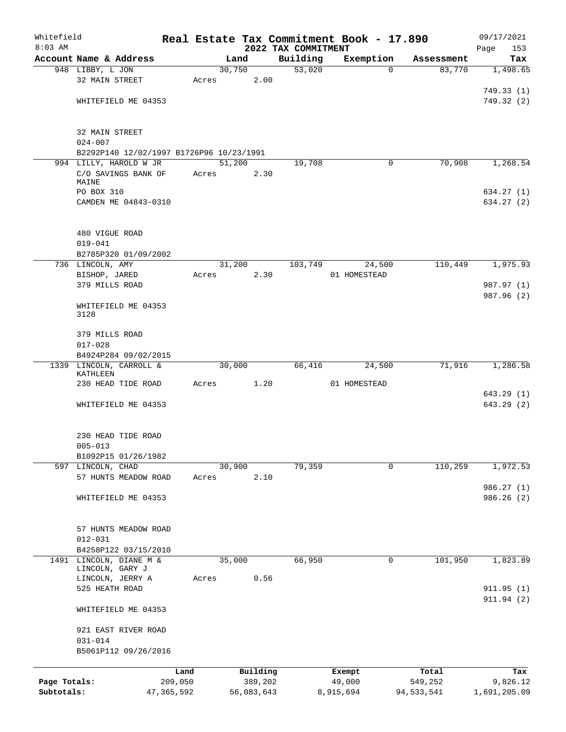| Whitefield   |                                                 |                 |       |        |                     |                                 | Real Estate Tax Commitment Book - 17.890 |                  | 09/17/2021              |
|--------------|-------------------------------------------------|-----------------|-------|--------|---------------------|---------------------------------|------------------------------------------|------------------|-------------------------|
| $8:03$ AM    | Account Name & Address                          |                 |       | Land   |                     | 2022 TAX COMMITMENT<br>Building | Exemption                                | Assessment       | 153<br>Page<br>Tax      |
|              | 948 LIBBY, L JON                                |                 |       | 30,750 |                     | 53,020                          | $\Omega$                                 | 83,770           | 1,498.65                |
|              | 32 MAIN STREET                                  |                 | Acres |        | 2.00                |                                 |                                          |                  |                         |
|              |                                                 |                 |       |        |                     |                                 |                                          |                  | 749.33(1)               |
|              | WHITEFIELD ME 04353                             |                 |       |        |                     |                                 |                                          |                  | 749.32 (2)              |
|              | 32 MAIN STREET<br>$024 - 007$                   |                 |       |        |                     |                                 |                                          |                  |                         |
|              | B2292P140 12/02/1997 B1726P96 10/23/1991        |                 |       |        |                     |                                 |                                          |                  |                         |
|              | 994 LILLY, HAROLD W JR                          |                 |       | 51,200 |                     | 19,708                          | 0                                        | 70,908           | 1,268.54                |
|              | C/O SAVINGS BANK OF<br>MAINE                    |                 | Acres |        | 2.30                |                                 |                                          |                  |                         |
|              | PO BOX 310                                      |                 |       |        |                     |                                 |                                          |                  | 634.27(1)               |
|              | CAMDEN ME 04843-0310                            |                 |       |        |                     |                                 |                                          |                  | 634.27 (2)              |
|              | 480 VIGUE ROAD<br>$019 - 041$                   |                 |       |        |                     |                                 |                                          |                  |                         |
|              | B2785P320 01/09/2002                            |                 |       |        |                     |                                 |                                          |                  |                         |
|              | 736 LINCOLN, AMY                                |                 |       | 31,200 |                     | 103,749                         | 24,500                                   | 110,449          | 1,975.93                |
|              | BISHOP, JARED                                   |                 | Acres |        | 2.30                |                                 | 01 HOMESTEAD                             |                  |                         |
|              | 379 MILLS ROAD                                  |                 |       |        |                     |                                 |                                          |                  | 987.97 (1)              |
|              | WHITEFIELD ME 04353<br>3128                     |                 |       |        |                     |                                 |                                          |                  | 987.96 (2)              |
|              | 379 MILLS ROAD                                  |                 |       |        |                     |                                 |                                          |                  |                         |
|              | $017 - 028$                                     |                 |       |        |                     |                                 |                                          |                  |                         |
|              | B4924P284 09/02/2015<br>1339 LINCOLN, CARROLL & |                 |       | 30,000 |                     | 66,416                          | 24,500                                   | 71,916           | 1,286.58                |
|              | KATHLEEN                                        |                 |       |        |                     |                                 |                                          |                  |                         |
|              | 230 HEAD TIDE ROAD                              |                 | Acres |        | 1.20                |                                 | 01 HOMESTEAD                             |                  |                         |
|              |                                                 |                 |       |        |                     |                                 |                                          |                  | 643.29(1)               |
|              | WHITEFIELD ME 04353                             |                 |       |        |                     |                                 |                                          |                  | 643.29(2)               |
|              | 230 HEAD TIDE ROAD                              |                 |       |        |                     |                                 |                                          |                  |                         |
|              | $005 - 013$                                     |                 |       |        |                     |                                 |                                          |                  |                         |
|              | B1092P15 01/26/1982<br>597 LINCOLN, CHAD        |                 |       | 30,900 |                     | 79,359                          | 0                                        | 110,259          | 1,972.53                |
|              | 57 HUNTS MEADOW ROAD                            |                 | Acres |        | 2.10                |                                 |                                          |                  |                         |
|              |                                                 |                 |       |        |                     |                                 |                                          |                  | 986.27 (1)              |
|              | WHITEFIELD ME 04353                             |                 |       |        |                     |                                 |                                          |                  | 986.26(2)               |
|              | 57 HUNTS MEADOW ROAD                            |                 |       |        |                     |                                 |                                          |                  |                         |
|              | $012 - 031$                                     |                 |       |        |                     |                                 |                                          |                  |                         |
|              | B4258P122 03/15/2010                            |                 |       |        |                     |                                 |                                          |                  |                         |
|              | 1491 LINCOLN, DIANE M &<br>LINCOLN, GARY J      |                 |       | 35,000 |                     | 66,950                          | 0                                        | 101,950          | 1,823.89                |
|              | LINCOLN, JERRY A                                |                 | Acres |        | 0.56                |                                 |                                          |                  |                         |
|              | 525 HEATH ROAD                                  |                 |       |        |                     |                                 |                                          |                  | 911.95(1)<br>911.94 (2) |
|              | WHITEFIELD ME 04353                             |                 |       |        |                     |                                 |                                          |                  |                         |
|              | 921 EAST RIVER ROAD<br>$031 - 014$              |                 |       |        |                     |                                 |                                          |                  |                         |
|              | B5061P112 09/26/2016                            |                 |       |        |                     |                                 |                                          |                  |                         |
| Page Totals: |                                                 | Land<br>209,050 |       |        | Building<br>389,202 |                                 | Exempt<br>49,000                         | Total<br>549,252 | Tax<br>9,826.12         |
| Subtotals:   |                                                 | 47,365,592      |       |        | 56,083,643          |                                 | 8,915,694                                | 94, 533, 541     | 1,691,205.09            |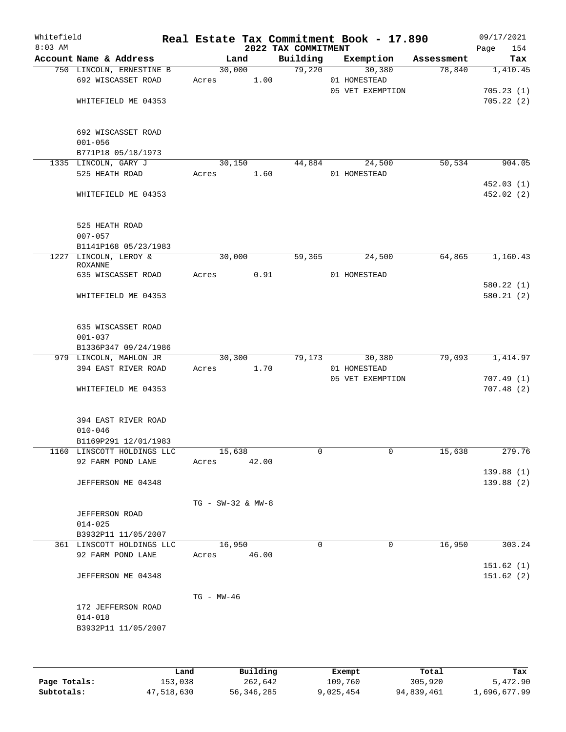| Whitefield<br>$8:03$ AM |                                                            |                       |      | 2022 TAX COMMITMENT | Real Estate Tax Commitment Book - 17.890 |            | 09/17/2021<br>154<br>Page |
|-------------------------|------------------------------------------------------------|-----------------------|------|---------------------|------------------------------------------|------------|---------------------------|
|                         | Account Name & Address                                     | Land                  |      | Building            | Exemption                                | Assessment | Tax                       |
|                         | 750 LINCOLN, ERNESTINE B<br>692 WISCASSET ROAD             | 30,000<br>Acres       | 1.00 | 79,220              | 30,380<br>01 HOMESTEAD                   | 78,840     | 1,410.45                  |
|                         | WHITEFIELD ME 04353                                        |                       |      |                     | 05 VET EXEMPTION                         |            | 705.23(1)<br>705.22(2)    |
|                         | 692 WISCASSET ROAD<br>$001 - 056$                          |                       |      |                     |                                          |            |                           |
|                         | B771P18 05/18/1973<br>1335 LINCOLN, GARY J                 | 30,150                |      | 44,884              | 24,500                                   | 50,534     | 904.05                    |
|                         | 525 HEATH ROAD                                             | Acres                 | 1.60 |                     | 01 HOMESTEAD                             |            |                           |
|                         | WHITEFIELD ME 04353                                        |                       |      |                     |                                          |            | 452.03(1)<br>452.02(2)    |
|                         | 525 HEATH ROAD<br>$007 - 057$                              |                       |      |                     |                                          |            |                           |
|                         | B1141P168 05/23/1983                                       |                       |      |                     |                                          |            |                           |
|                         | 1227 LINCOLN, LEROY &<br>ROXANNE                           | 30,000                |      | 59,365              | 24,500                                   | 64,865     | 1,160.43                  |
|                         | 635 WISCASSET ROAD                                         | Acres                 | 0.91 |                     | 01 HOMESTEAD                             |            |                           |
|                         | WHITEFIELD ME 04353                                        |                       |      |                     |                                          |            | 580.22(1)<br>580.21(2)    |
|                         | 635 WISCASSET ROAD<br>$001 - 037$<br>B1336P347 09/24/1986  |                       |      |                     |                                          |            |                           |
|                         | 979 LINCOLN, MAHLON JR                                     | 30,300                |      | 79,173              | 30,380                                   | 79,093     | 1,414.97                  |
|                         | 394 EAST RIVER ROAD                                        | Acres                 | 1.70 |                     | 01 HOMESTEAD                             |            |                           |
|                         |                                                            |                       |      |                     | 05 VET EXEMPTION                         |            | 707.49(1)                 |
|                         | WHITEFIELD ME 04353                                        |                       |      |                     |                                          |            | 707.48(2)                 |
|                         | 394 EAST RIVER ROAD<br>$010 - 046$<br>B1169P291 12/01/1983 |                       |      |                     |                                          |            |                           |
|                         | 1160 LINSCOTT HOLDINGS LLC                                 | 15,638                |      | 0                   | 0                                        | 15,638     | 279.76                    |
|                         | 92 FARM POND LANE                                          | Acres 42.00           |      |                     |                                          |            |                           |
|                         |                                                            |                       |      |                     |                                          |            | 139.88(1)                 |
|                         | JEFFERSON ME 04348                                         |                       |      |                     |                                          |            | 139.88(2)                 |
|                         |                                                            | TG - SW-32 & MW-8     |      |                     |                                          |            |                           |
|                         | <b>JEFFERSON ROAD</b>                                      |                       |      |                     |                                          |            |                           |
|                         | $014 - 025$                                                |                       |      |                     |                                          |            |                           |
|                         | B3932P11 11/05/2007                                        |                       |      |                     |                                          |            |                           |
|                         | 361 LINSCOTT HOLDINGS LLC<br>92 FARM POND LANE             | 16,950<br>Acres 46.00 |      | $\Omega$            | $\Omega$                                 | 16,950     | 303.24                    |
|                         |                                                            |                       |      |                     |                                          |            | 151.62(1)                 |
|                         | JEFFERSON ME 04348                                         |                       |      |                     |                                          |            | 151.62(2)                 |
|                         |                                                            | $TG - MW - 46$        |      |                     |                                          |            |                           |
|                         | 172 JEFFERSON ROAD                                         |                       |      |                     |                                          |            |                           |
|                         | $014 - 018$                                                |                       |      |                     |                                          |            |                           |
|                         | B3932P11 11/05/2007                                        |                       |      |                     |                                          |            |                           |
|                         |                                                            |                       |      |                     |                                          |            |                           |
|                         |                                                            |                       |      |                     |                                          |            |                           |
|                         |                                                            |                       |      |                     |                                          |            |                           |

|              | Land       | Building   | Exempt    | Total      | Tax          |
|--------------|------------|------------|-----------|------------|--------------|
| Page Totals: | 153,038    | 262,642    | 109,760   | 305,920    | 5,472.90     |
| Subtotals:   | 47,518,630 | 56,346,285 | 9,025,454 | 94,839,461 | 1,696,677.99 |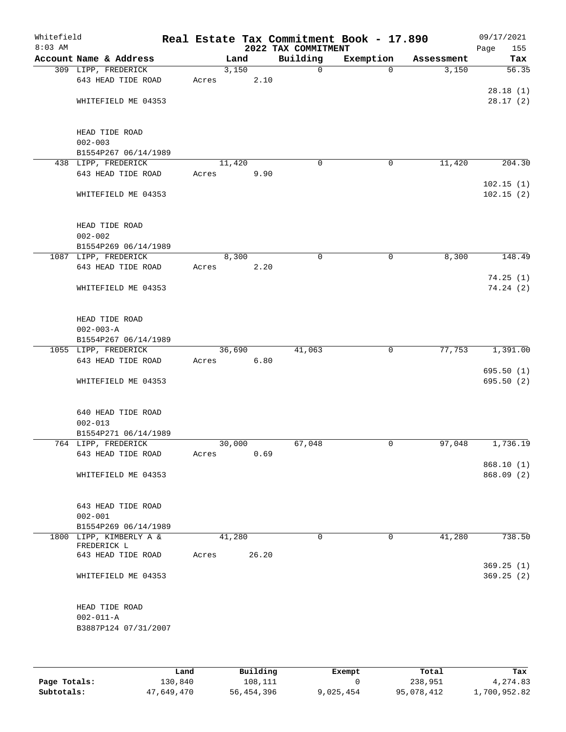| Whitefield<br>$8:03$ AM |                                             |       |        |       | 2022 TAX COMMITMENT | Real Estate Tax Commitment Book - 17.890 |            | 09/17/2021<br>155<br>Page |
|-------------------------|---------------------------------------------|-------|--------|-------|---------------------|------------------------------------------|------------|---------------------------|
|                         | Account Name & Address                      |       | Land   |       | Building            | Exemption                                | Assessment | Tax                       |
|                         | 309 LIPP, FREDERICK                         |       | 3,150  |       | $\mathsf{O}$        | $\Omega$                                 | 3,150      | 56.35                     |
|                         | 643 HEAD TIDE ROAD                          | Acres |        | 2.10  |                     |                                          |            |                           |
|                         |                                             |       |        |       |                     |                                          |            | 28.18(1)                  |
|                         | WHITEFIELD ME 04353                         |       |        |       |                     |                                          |            | 28.17(2)                  |
|                         |                                             |       |        |       |                     |                                          |            |                           |
|                         |                                             |       |        |       |                     |                                          |            |                           |
|                         | HEAD TIDE ROAD                              |       |        |       |                     |                                          |            |                           |
|                         | $002 - 003$                                 |       |        |       |                     |                                          |            |                           |
|                         | B1554P267 06/14/1989                        |       |        |       |                     |                                          |            |                           |
|                         | 438 LIPP, FREDERICK                         |       | 11,420 |       | $\mathbf 0$         | 0                                        | 11,420     | 204.30                    |
|                         | 643 HEAD TIDE ROAD                          | Acres |        | 9.90  |                     |                                          |            |                           |
|                         | WHITEFIELD ME 04353                         |       |        |       |                     |                                          |            | 102.15(1)<br>102.15(2)    |
|                         |                                             |       |        |       |                     |                                          |            |                           |
|                         |                                             |       |        |       |                     |                                          |            |                           |
|                         | HEAD TIDE ROAD                              |       |        |       |                     |                                          |            |                           |
|                         | $002 - 002$                                 |       |        |       |                     |                                          |            |                           |
|                         | B1554P269 06/14/1989                        |       |        |       |                     |                                          |            |                           |
|                         | 1087 LIPP, FREDERICK                        |       | 8,300  |       | 0                   | 0                                        | 8,300      | 148.49                    |
|                         | 643 HEAD TIDE ROAD                          | Acres |        | 2.20  |                     |                                          |            |                           |
|                         |                                             |       |        |       |                     |                                          |            | 74.25(1)                  |
|                         | WHITEFIELD ME 04353                         |       |        |       |                     |                                          |            | 74.24(2)                  |
|                         |                                             |       |        |       |                     |                                          |            |                           |
|                         |                                             |       |        |       |                     |                                          |            |                           |
|                         | HEAD TIDE ROAD                              |       |        |       |                     |                                          |            |                           |
|                         | $002 - 003 - A$                             |       |        |       |                     |                                          |            |                           |
|                         | B1554P267 06/14/1989                        |       |        |       |                     |                                          |            |                           |
|                         | 1055 LIPP, FREDERICK                        |       | 36,690 |       | 41,063              | $\mathbf 0$                              | 77,753     | 1,391.00                  |
|                         | 643 HEAD TIDE ROAD                          | Acres |        | 6.80  |                     |                                          |            |                           |
|                         |                                             |       |        |       |                     |                                          |            | 695.50(1)                 |
|                         | WHITEFIELD ME 04353                         |       |        |       |                     |                                          |            | 695.50(2)                 |
|                         |                                             |       |        |       |                     |                                          |            |                           |
|                         |                                             |       |        |       |                     |                                          |            |                           |
|                         | 640 HEAD TIDE ROAD                          |       |        |       |                     |                                          |            |                           |
|                         | $002 - 013$                                 |       |        |       |                     |                                          |            |                           |
|                         | B1554P271 06/14/1989<br>764 LIPP, FREDERICK |       |        |       |                     | 0                                        |            |                           |
|                         | 643 HEAD TIDE ROAD                          |       | 30,000 | 0.69  | 67,048              |                                          | 97,048     | 1,736.19                  |
|                         |                                             | Acres |        |       |                     |                                          |            | 868.10(1)                 |
|                         | WHITEFIELD ME 04353                         |       |        |       |                     |                                          |            | 868.09 (2)                |
|                         |                                             |       |        |       |                     |                                          |            |                           |
|                         |                                             |       |        |       |                     |                                          |            |                           |
|                         | 643 HEAD TIDE ROAD                          |       |        |       |                     |                                          |            |                           |
|                         | $002 - 001$                                 |       |        |       |                     |                                          |            |                           |
|                         | B1554P269 06/14/1989                        |       |        |       |                     |                                          |            |                           |
|                         | 1800 LIPP, KIMBERLY A &                     |       | 41,280 |       | $\Omega$            | 0                                        | 41,280     | 738.50                    |
|                         | FREDERICK L                                 |       |        |       |                     |                                          |            |                           |
|                         | 643 HEAD TIDE ROAD                          | Acres |        | 26.20 |                     |                                          |            |                           |
|                         |                                             |       |        |       |                     |                                          |            | 369.25(1)                 |
|                         | WHITEFIELD ME 04353                         |       |        |       |                     |                                          |            | 369.25(2)                 |
|                         |                                             |       |        |       |                     |                                          |            |                           |
|                         |                                             |       |        |       |                     |                                          |            |                           |
|                         | HEAD TIDE ROAD                              |       |        |       |                     |                                          |            |                           |
|                         | $002 - 011 - A$                             |       |        |       |                     |                                          |            |                           |
|                         | B3887P124 07/31/2007                        |       |        |       |                     |                                          |            |                           |
|                         |                                             |       |        |       |                     |                                          |            |                           |
|                         |                                             |       |        |       |                     |                                          |            |                           |

|              | Land       | Building   | Exempt    | Total      | Tax          |
|--------------|------------|------------|-----------|------------|--------------|
| Page Totals: | 130,840    | 108,111    |           | 238,951    | 4,274.83     |
| Subtotals:   | 47,649,470 | 56,454,396 | 9,025,454 | 95,078,412 | 1,700,952.82 |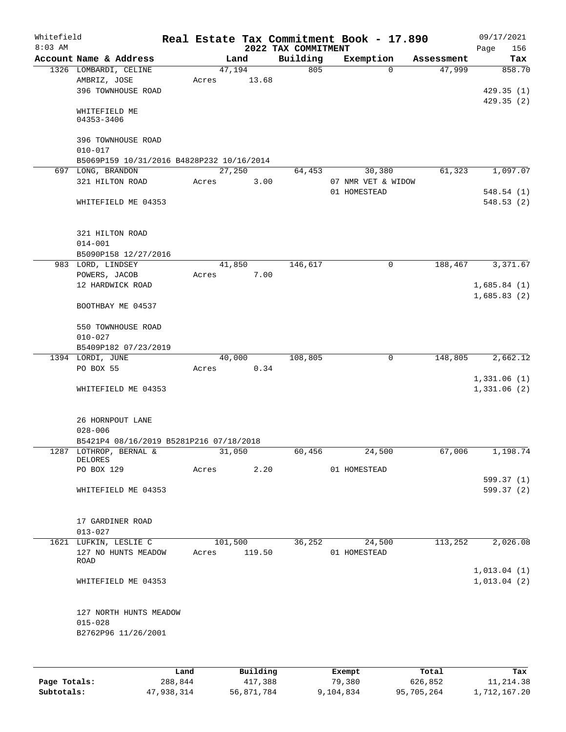| Whitefield<br>$8:03$ AM |                                                              |       |                 | 2022 TAX COMMITMENT | Real Estate Tax Commitment Book - 17.890 |            | 09/17/2021<br>156<br>Page  |
|-------------------------|--------------------------------------------------------------|-------|-----------------|---------------------|------------------------------------------|------------|----------------------------|
|                         | Account Name & Address                                       |       | Land            | Building            | Exemption                                | Assessment | Tax                        |
|                         | 1326 LOMBARDI, CELINE<br>AMBRIZ, JOSE<br>396 TOWNHOUSE ROAD  | Acres | 47,194<br>13.68 | 805                 | $\Omega$                                 | 47,999     | 858.70<br>429.35(1)        |
|                         | WHITEFIELD ME<br>04353-3406                                  |       |                 |                     |                                          |            | 429.35(2)                  |
|                         | 396 TOWNHOUSE ROAD<br>$010 - 017$                            |       |                 |                     |                                          |            |                            |
|                         | B5069P159 10/31/2016 B4828P232 10/16/2014                    |       |                 |                     |                                          |            |                            |
|                         | 697 LONG, BRANDON                                            |       | 27,250          | 64,453              | 30,380                                   | 61,323     | 1,097.07                   |
|                         | 321 HILTON ROAD                                              | Acres | 3.00            |                     | 07 NMR VET & WIDOW<br>01 HOMESTEAD       |            | 548.54(1)                  |
|                         | WHITEFIELD ME 04353                                          |       |                 |                     |                                          |            | 548.53(2)                  |
|                         | 321 HILTON ROAD<br>$014 - 001$                               |       |                 |                     |                                          |            |                            |
|                         | B5090P158 12/27/2016                                         |       |                 |                     |                                          |            |                            |
|                         | 983 LORD, LINDSEY                                            |       | 41,850          | 146,617             | 0                                        | 188,467    | 3,371.67                   |
|                         | POWERS, JACOB                                                | Acres | 7.00            |                     |                                          |            |                            |
|                         | 12 HARDWICK ROAD                                             |       |                 |                     |                                          |            | 1,685.84(1)                |
|                         | BOOTHBAY ME 04537                                            |       |                 |                     |                                          |            | 1,685.83(2)                |
|                         | 550 TOWNHOUSE ROAD<br>$010 - 027$                            |       |                 |                     |                                          |            |                            |
|                         | B5409P182 07/23/2019                                         |       |                 |                     |                                          |            |                            |
|                         | 1394 LORDI, JUNE                                             |       | 40,000          | 108,805             | $\mathbf 0$                              | 148,805    | 2,662.12                   |
|                         | PO BOX 55                                                    | Acres | 0.34            |                     |                                          |            |                            |
|                         |                                                              |       |                 |                     |                                          |            | 1,331.06(1)                |
|                         | WHITEFIELD ME 04353                                          |       |                 |                     |                                          |            | 1,331.06(2)                |
|                         | 26 HORNPOUT LANE<br>$028 - 006$                              |       |                 |                     |                                          |            |                            |
|                         | B5421P4 08/16/2019 B5281P216 07/18/2018                      |       |                 |                     |                                          |            |                            |
|                         | 1287 LOTHROP, BERNAL &                                       |       | 31,050          | 60,456              | 24,500                                   | 67,006     | 1,198.74                   |
|                         | DELORES                                                      |       |                 |                     |                                          |            |                            |
|                         | PO BOX 129                                                   | Acres | 2.20            |                     | 01 HOMESTEAD                             |            |                            |
|                         |                                                              |       |                 |                     |                                          |            | 599.37(1)                  |
|                         | WHITEFIELD ME 04353                                          |       |                 |                     |                                          |            | 599.37 (2)                 |
|                         | 17 GARDINER ROAD<br>$013 - 027$                              |       |                 |                     |                                          |            |                            |
|                         | 1621 LUFKIN, LESLIE C                                        |       | 101,500         | 36, 252             | 24,500                                   | 113,252    | 2,026.08                   |
|                         | 127 NO HUNTS MEADOW<br>ROAD                                  | Acres | 119.50          |                     | 01 HOMESTEAD                             |            |                            |
|                         | WHITEFIELD ME 04353                                          |       |                 |                     |                                          |            | 1,013.04(1)<br>1,013.04(2) |
|                         | 127 NORTH HUNTS MEADOW<br>$015 - 028$<br>B2762P96 11/26/2001 |       |                 |                     |                                          |            |                            |
|                         |                                                              |       |                 |                     |                                          |            |                            |

|              | Land       | Building   | Exempt    | Total      | Tax          |
|--------------|------------|------------|-----------|------------|--------------|
| Page Totals: | 288,844    | 417,388    | 79,380    | 626,852    | 11,214.38    |
| Subtotals:   | 47,938,314 | 56,871,784 | 9,104,834 | 95,705,264 | 1,712,167.20 |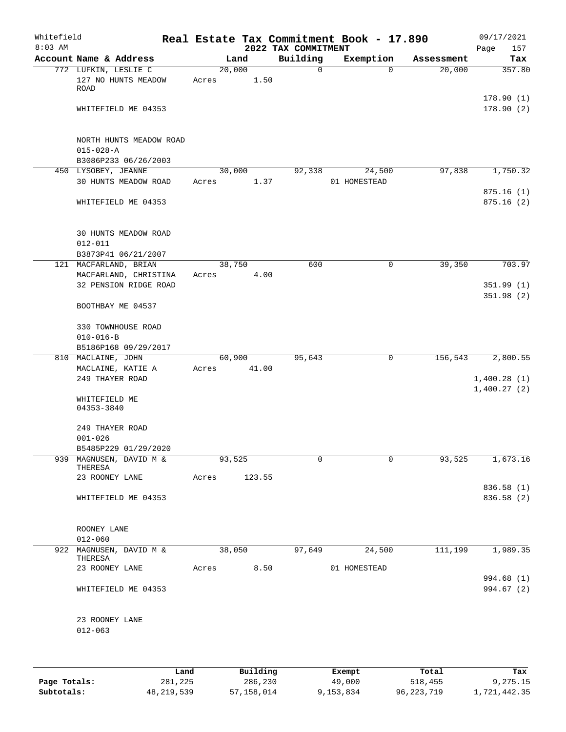| Whitefield<br>$8:03$ AM |                                                                    |                 |        | 2022 TAX COMMITMENT | Real Estate Tax Commitment Book - 17.890 |            | 09/17/2021<br>Page<br>157  |
|-------------------------|--------------------------------------------------------------------|-----------------|--------|---------------------|------------------------------------------|------------|----------------------------|
|                         | Account Name & Address                                             |                 | Land   | Building            | Exemption                                | Assessment | Tax                        |
|                         | 772 LUFKIN, LESLIE C<br>127 NO HUNTS MEADOW<br>ROAD                | 20,000<br>Acres | 1.50   | 0                   | $\Omega$                                 | 20,000     | 357.80                     |
|                         | WHITEFIELD ME 04353                                                |                 |        |                     |                                          |            | 178.90(1)<br>178.90(2)     |
|                         | NORTH HUNTS MEADOW ROAD<br>$015 - 028 - A$<br>B3086P233 06/26/2003 |                 |        |                     |                                          |            |                            |
|                         | 450 LYSOBEY, JEANNE                                                | 30,000          |        | 92,338              | 24,500                                   | 97,838     | 1,750.32                   |
|                         | 30 HUNTS MEADOW ROAD<br>WHITEFIELD ME 04353                        | Acres           | 1.37   |                     | 01 HOMESTEAD                             |            | 875.16(1)<br>875.16(2)     |
|                         | <b>30 HUNTS MEADOW ROAD</b><br>$012 - 011$                         |                 |        |                     |                                          |            |                            |
|                         | B3873P41 06/21/2007<br>121 MACFARLAND, BRIAN                       | 38,750          |        | 600                 | 0                                        | 39,350     | 703.97                     |
|                         | MACFARLAND, CHRISTINA                                              | Acres           | 4.00   |                     |                                          |            |                            |
|                         | 32 PENSION RIDGE ROAD                                              |                 |        |                     |                                          |            | 351.99(1)<br>351.98(2)     |
|                         | BOOTHBAY ME 04537                                                  |                 |        |                     |                                          |            |                            |
|                         | 330 TOWNHOUSE ROAD                                                 |                 |        |                     |                                          |            |                            |
|                         | $010 - 016 - B$<br>B5186P168 09/29/2017                            |                 |        |                     |                                          |            |                            |
|                         | 810 MACLAINE, JOHN                                                 | 60,900          |        | 95,643              | 0                                        | 156,543    | 2,800.55                   |
|                         | MACLAINE, KATIE A                                                  | Acres           | 41.00  |                     |                                          |            |                            |
|                         | 249 THAYER ROAD                                                    |                 |        |                     |                                          |            | 1,400.28(1)<br>1,400.27(2) |
|                         | WHITEFIELD ME<br>04353-3840                                        |                 |        |                     |                                          |            |                            |
|                         | 249 THAYER ROAD<br>$001 - 026$                                     |                 |        |                     |                                          |            |                            |
|                         | B5485P229 01/29/2020                                               |                 |        |                     |                                          |            |                            |
|                         | 939 MAGNUSEN, DAVID M &<br>THERESA<br>23 ROONEY LANE               | 93,525<br>Acres | 123.55 | 0                   | 0                                        | 93,525     | 1,673.16                   |
|                         |                                                                    |                 |        |                     |                                          |            | 836.58 (1)                 |
|                         | WHITEFIELD ME 04353                                                |                 |        |                     |                                          |            | 836.58 (2)                 |
|                         | ROONEY LANE<br>$012 - 060$                                         |                 |        |                     |                                          |            |                            |
|                         | 922 MAGNUSEN, DAVID M &<br>THERESA                                 | 38,050          |        | 97,649              | 24,500                                   | 111,199    | 1,989.35                   |
|                         | 23 ROONEY LANE                                                     | Acres           | 8.50   |                     | 01 HOMESTEAD                             |            |                            |
|                         | WHITEFIELD ME 04353                                                |                 |        |                     |                                          |            | 994.68 (1)<br>994.67 (2)   |
|                         | 23 ROONEY LANE<br>$012 - 063$                                      |                 |        |                     |                                          |            |                            |
|                         |                                                                    |                 |        |                     |                                          |            |                            |

|              | Land       | Building   | Exempt    | Total        | Tax          |
|--------------|------------|------------|-----------|--------------|--------------|
| Page Totals: | 281,225    | 286,230    | 49,000    | 518,455      | 9,275.15     |
| Subtotals:   | 48,219,539 | 57,158,014 | 9,153,834 | 96, 223, 719 | 1,721,442.35 |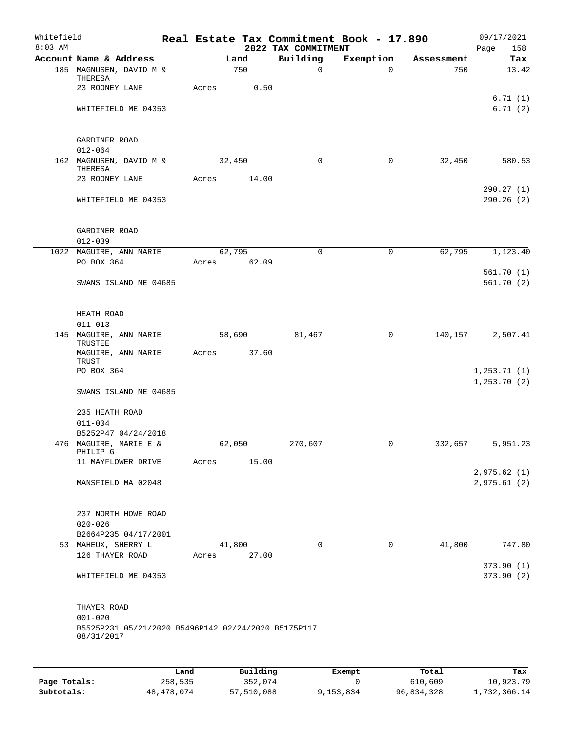| Whitefield<br>$8:03$ AM |                                                                   |         |       |        |          |                                 |             | Real Estate Tax Commitment Book - 17.890 |            | 09/17/2021             |
|-------------------------|-------------------------------------------------------------------|---------|-------|--------|----------|---------------------------------|-------------|------------------------------------------|------------|------------------------|
|                         | Account Name & Address                                            |         |       | Land   |          | 2022 TAX COMMITMENT<br>Building |             | Exemption                                | Assessment | Page<br>158<br>Tax     |
|                         | 185 MAGNUSEN, DAVID M &                                           |         |       | 750    |          |                                 | $\mathbf 0$ | $\Omega$                                 | 750        | 13.42                  |
|                         | THERESA                                                           |         |       |        |          |                                 |             |                                          |            |                        |
|                         | 23 ROONEY LANE                                                    |         | Acres |        | 0.50     |                                 |             |                                          |            | 6.71(1)                |
|                         | WHITEFIELD ME 04353                                               |         |       |        |          |                                 |             |                                          |            | 6.71(2)                |
|                         |                                                                   |         |       |        |          |                                 |             |                                          |            |                        |
|                         |                                                                   |         |       |        |          |                                 |             |                                          |            |                        |
|                         | GARDINER ROAD                                                     |         |       |        |          |                                 |             |                                          |            |                        |
|                         | $012 - 064$<br>162 MAGNUSEN, DAVID M &                            |         |       | 32,450 |          |                                 | $\mathbf 0$ | $\mathbf 0$                              | 32,450     | 580.53                 |
|                         | THERESA                                                           |         |       |        |          |                                 |             |                                          |            |                        |
|                         | 23 ROONEY LANE                                                    |         | Acres |        | 14.00    |                                 |             |                                          |            |                        |
|                         |                                                                   |         |       |        |          |                                 |             |                                          |            | 290.27(1)              |
|                         | WHITEFIELD ME 04353                                               |         |       |        |          |                                 |             |                                          |            | 290.26(2)              |
|                         |                                                                   |         |       |        |          |                                 |             |                                          |            |                        |
|                         | GARDINER ROAD                                                     |         |       |        |          |                                 |             |                                          |            |                        |
|                         | $012 - 039$                                                       |         |       |        |          |                                 |             |                                          |            |                        |
|                         | 1022 MAGUIRE, ANN MARIE                                           |         |       | 62,795 |          |                                 | $\mathbf 0$ | $\mathbf 0$                              | 62,795     | 1,123.40               |
|                         | PO BOX 364                                                        |         | Acres |        | 62.09    |                                 |             |                                          |            |                        |
|                         | SWANS ISLAND ME 04685                                             |         |       |        |          |                                 |             |                                          |            | 561.70(1)<br>561.70(2) |
|                         |                                                                   |         |       |        |          |                                 |             |                                          |            |                        |
|                         |                                                                   |         |       |        |          |                                 |             |                                          |            |                        |
|                         | HEATH ROAD                                                        |         |       |        |          |                                 |             |                                          |            |                        |
|                         | $011 - 013$<br>145 MAGUIRE, ANN MARIE                             |         |       | 58,690 |          |                                 | 81,467      | 0                                        | 140, 157   | 2,507.41               |
|                         | TRUSTEE                                                           |         |       |        |          |                                 |             |                                          |            |                        |
|                         | MAGUIRE, ANN MARIE                                                |         | Acres |        | 37.60    |                                 |             |                                          |            |                        |
|                         | TRUST<br>PO BOX 364                                               |         |       |        |          |                                 |             |                                          |            | 1, 253.71(1)           |
|                         |                                                                   |         |       |        |          |                                 |             |                                          |            | 1, 253.70(2)           |
|                         | SWANS ISLAND ME 04685                                             |         |       |        |          |                                 |             |                                          |            |                        |
|                         |                                                                   |         |       |        |          |                                 |             |                                          |            |                        |
|                         | 235 HEATH ROAD<br>$011 - 004$                                     |         |       |        |          |                                 |             |                                          |            |                        |
|                         | B5252P47 04/24/2018                                               |         |       |        |          |                                 |             |                                          |            |                        |
|                         | 476 MAGUIRE, MARIE E &                                            |         |       | 62,050 |          | 270,607                         |             | 0                                        | 332,657    | 5,951.23               |
|                         | PHILIP G                                                          |         |       |        |          |                                 |             |                                          |            |                        |
|                         | 11 MAYFLOWER DRIVE                                                |         | Acres |        | 15.00    |                                 |             |                                          |            | 2,975.62(1)            |
|                         | MANSFIELD MA 02048                                                |         |       |        |          |                                 |             |                                          |            | 2,975.61(2)            |
|                         |                                                                   |         |       |        |          |                                 |             |                                          |            |                        |
|                         |                                                                   |         |       |        |          |                                 |             |                                          |            |                        |
|                         | 237 NORTH HOWE ROAD<br>$020 - 026$                                |         |       |        |          |                                 |             |                                          |            |                        |
|                         | B2664P235 04/17/2001                                              |         |       |        |          |                                 |             |                                          |            |                        |
|                         | 53 MAHEUX, SHERRY L                                               |         |       | 41,800 |          |                                 | $\Omega$    | $\mathbf 0$                              | 41,800     | 747.80                 |
|                         | 126 THAYER ROAD                                                   |         | Acres |        | 27.00    |                                 |             |                                          |            |                        |
|                         |                                                                   |         |       |        |          |                                 |             |                                          |            | 373.90(1)              |
|                         | WHITEFIELD ME 04353                                               |         |       |        |          |                                 |             |                                          |            | 373.90 (2)             |
|                         |                                                                   |         |       |        |          |                                 |             |                                          |            |                        |
|                         | THAYER ROAD                                                       |         |       |        |          |                                 |             |                                          |            |                        |
|                         | $001 - 020$                                                       |         |       |        |          |                                 |             |                                          |            |                        |
|                         | B5525P231 05/21/2020 B5496P142 02/24/2020 B5175P117<br>08/31/2017 |         |       |        |          |                                 |             |                                          |            |                        |
|                         |                                                                   |         |       |        |          |                                 |             |                                          |            |                        |
|                         |                                                                   |         |       |        |          |                                 |             |                                          |            |                        |
|                         |                                                                   | Land    |       |        | Building |                                 |             | Exempt                                   | Total      | Tax                    |
| Page Totals:            |                                                                   | 258,535 |       |        | 352,074  |                                 |             | 0                                        | 610,609    | 10,923.79              |

**Subtotals:** 48,478,074 57,510,088 9,153,834 96,834,328 1,732,366.14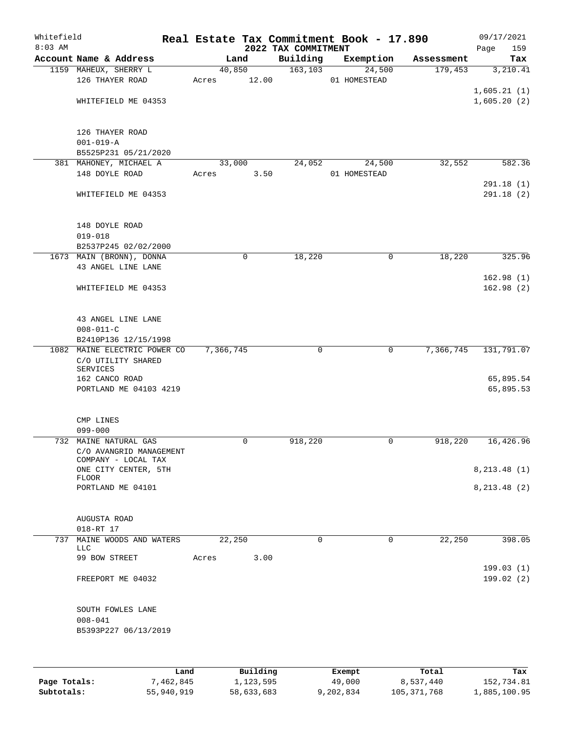| Whitefield<br>$8:03$ AM |                                             |           |            | 2022 TAX COMMITMENT | Real Estate Tax Commitment Book - 17.890 |                        | 09/17/2021         |
|-------------------------|---------------------------------------------|-----------|------------|---------------------|------------------------------------------|------------------------|--------------------|
|                         | Account Name & Address                      |           | Land       | Building            | Exemption                                | Assessment             | Page<br>159<br>Tax |
|                         | 1159 MAHEUX, SHERRY L                       |           | 40,850     | 163, 103            | 24,500                                   | 179,453                | 3,210.41           |
|                         | 126 THAYER ROAD                             | Acres     | 12.00      |                     | 01 HOMESTEAD                             |                        |                    |
|                         |                                             |           |            |                     |                                          |                        | 1,605.21(1)        |
|                         | WHITEFIELD ME 04353                         |           |            |                     |                                          |                        | 1,605.20(2)        |
|                         |                                             |           |            |                     |                                          |                        |                    |
|                         | 126 THAYER ROAD                             |           |            |                     |                                          |                        |                    |
|                         | $001 - 019 - A$                             |           |            |                     |                                          |                        |                    |
|                         | B5525P231 05/21/2020                        |           |            |                     |                                          |                        |                    |
|                         | 381 MAHONEY, MICHAEL A                      |           | 33,000     | 24,052              | 24,500                                   | 32,552                 | 582.36             |
|                         | 148 DOYLE ROAD                              | Acres     | 3.50       |                     | 01 HOMESTEAD                             |                        |                    |
|                         |                                             |           |            |                     |                                          |                        | 291.18(1)          |
|                         | WHITEFIELD ME 04353                         |           |            |                     |                                          |                        | 291.18(2)          |
|                         | 148 DOYLE ROAD                              |           |            |                     |                                          |                        |                    |
|                         | $019 - 018$                                 |           |            |                     |                                          |                        |                    |
|                         | B2537P245 02/02/2000                        |           |            |                     |                                          |                        |                    |
|                         | 1673 MAIN (BRONN), DONNA                    |           | 0          | 18,220              |                                          | 18,220<br>0            | 325.96             |
|                         | 43 ANGEL LINE LANE                          |           |            |                     |                                          |                        |                    |
|                         |                                             |           |            |                     |                                          |                        | 162.98(1)          |
|                         | WHITEFIELD ME 04353                         |           |            |                     |                                          |                        | 162.98(2)          |
|                         | 43 ANGEL LINE LANE                          |           |            |                     |                                          |                        |                    |
|                         | $008 - 011 - C$                             |           |            |                     |                                          |                        |                    |
|                         | B2410P136 12/15/1998                        |           |            |                     |                                          |                        |                    |
|                         | 1082 MAINE ELECTRIC POWER CO                | 7,366,745 |            | 0                   |                                          | 7,366,745<br>0         | 131,791.07         |
|                         | C/O UTILITY SHARED                          |           |            |                     |                                          |                        |                    |
|                         | <b>SERVICES</b>                             |           |            |                     |                                          |                        |                    |
|                         | 162 CANCO ROAD                              |           |            |                     |                                          |                        | 65,895.54          |
|                         | PORTLAND ME 04103 4219                      |           |            |                     |                                          |                        | 65,895.53          |
|                         |                                             |           |            |                     |                                          |                        |                    |
|                         | CMP LINES                                   |           |            |                     |                                          |                        |                    |
|                         | $099 - 000$                                 |           |            |                     |                                          |                        |                    |
|                         | 732 MAINE NATURAL GAS                       |           | 0          | 918,220             |                                          | $\mathbf 0$<br>918,220 | 16,426.96          |
|                         | C/O AVANGRID MANAGEMENT                     |           |            |                     |                                          |                        |                    |
|                         | COMPANY - LOCAL TAX<br>ONE CITY CENTER, 5TH |           |            |                     |                                          |                        | 8, 213.48(1)       |
|                         | <b>FLOOR</b>                                |           |            |                     |                                          |                        |                    |
|                         | PORTLAND ME 04101                           |           |            |                     |                                          |                        | 8, 213.48 (2)      |
|                         |                                             |           |            |                     |                                          |                        |                    |
|                         | AUGUSTA ROAD                                |           |            |                     |                                          |                        |                    |
|                         | 018-RT 17                                   |           |            |                     |                                          |                        |                    |
| 737                     | MAINE WOODS AND WATERS                      |           | 22,250     | 0                   |                                          | 22,250<br>0            | 398.05             |
|                         | LLC<br>99 BOW STREET                        | Acres     | 3.00       |                     |                                          |                        |                    |
|                         |                                             |           |            |                     |                                          |                        | 199.03(1)          |
|                         | FREEPORT ME 04032                           |           |            |                     |                                          |                        | 199.02(2)          |
|                         | SOUTH FOWLES LANE                           |           |            |                     |                                          |                        |                    |
|                         | $008 - 041$                                 |           |            |                     |                                          |                        |                    |
|                         | B5393P227 06/13/2019                        |           |            |                     |                                          |                        |                    |
|                         |                                             |           |            |                     |                                          |                        |                    |
|                         | Land                                        |           | Building   |                     | Exempt                                   | Total                  | Tax                |
| Page Totals:            | 7,462,845                                   |           | 1,123,595  |                     | 49,000                                   | 8,537,440              | 152,734.81         |
| Subtotals:              | 55,940,919                                  |           | 58,633,683 |                     | 9,202,834                                | 105, 371, 768          | 1,885,100.95       |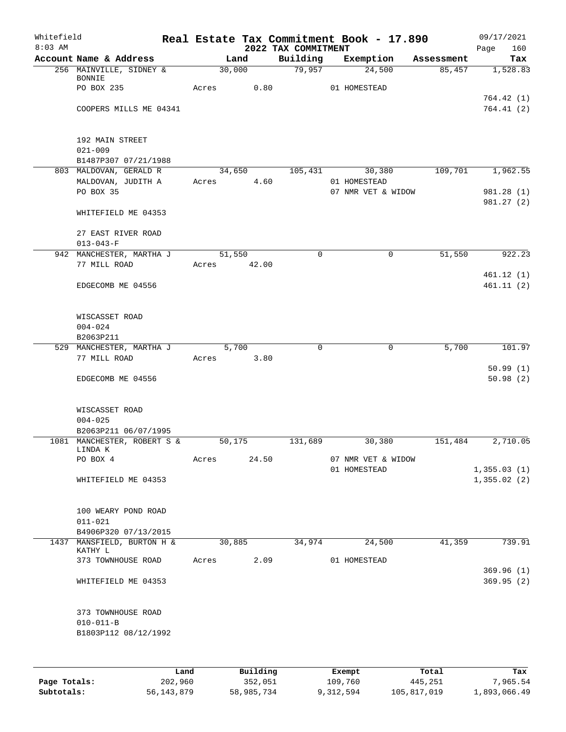| Whitefield |                                          |      |       |        |             |                                 | Real Estate Tax Commitment Book - 17.890 |            | 09/17/2021             |
|------------|------------------------------------------|------|-------|--------|-------------|---------------------------------|------------------------------------------|------------|------------------------|
| $8:03$ AM  | Account Name & Address                   |      |       | Land   |             | 2022 TAX COMMITMENT<br>Building | Exemption                                | Assessment | Page<br>160<br>Tax     |
|            | 256 MAINVILLE, SIDNEY &                  |      |       | 30,000 |             | 79,957                          | 24,500                                   | 85,457     | 1,528.83               |
|            | <b>BONNIE</b>                            |      |       |        |             |                                 |                                          |            |                        |
|            | PO BOX 235                               |      | Acres |        | 0.80        |                                 | 01 HOMESTEAD                             |            |                        |
|            |                                          |      |       |        |             |                                 |                                          |            | 764.42 (1)             |
|            | COOPERS MILLS ME 04341                   |      |       |        |             |                                 |                                          |            | 764.41(2)              |
|            | 192 MAIN STREET                          |      |       |        |             |                                 |                                          |            |                        |
|            | $021 - 009$                              |      |       |        |             |                                 |                                          |            |                        |
|            | B1487P307 07/21/1988                     |      |       |        |             |                                 |                                          |            |                        |
|            | 803 MALDOVAN, GERALD R                   |      |       | 34,650 |             | 105,431                         | 30,380                                   | 109,701    | 1,962.55               |
|            | MALDOVAN, JUDITH A                       |      | Acres |        | 4.60        |                                 | 01 HOMESTEAD                             |            |                        |
|            | PO BOX 35                                |      |       |        |             |                                 | 07 NMR VET & WIDOW                       |            | 981.28 (1)             |
|            | WHITEFIELD ME 04353                      |      |       |        |             |                                 |                                          |            | 981.27 (2)             |
|            | 27 EAST RIVER ROAD                       |      |       |        |             |                                 |                                          |            |                        |
|            | $013 - 043 - F$                          |      |       |        |             |                                 |                                          |            |                        |
|            | 942 MANCHESTER, MARTHA J                 |      |       | 51,550 |             | 0                               | $\mathbf 0$                              | 51,550     | 922.23                 |
|            | 77 MILL ROAD                             |      |       |        | Acres 42.00 |                                 |                                          |            |                        |
|            | EDGECOMB ME 04556                        |      |       |        |             |                                 |                                          |            | 461.12(1)<br>461.11(2) |
|            |                                          |      |       |        |             |                                 |                                          |            |                        |
|            | WISCASSET ROAD                           |      |       |        |             |                                 |                                          |            |                        |
|            | $004 - 024$                              |      |       |        |             |                                 |                                          |            |                        |
|            | B2063P211                                |      |       |        |             |                                 |                                          |            |                        |
|            | 529 MANCHESTER, MARTHA J<br>77 MILL ROAD |      | Acres | 5,700  | 3.80        | $\Omega$                        | $\mathbf 0$                              | 5,700      | 101.97                 |
|            |                                          |      |       |        |             |                                 |                                          |            | 50.99(1)               |
|            | EDGECOMB ME 04556                        |      |       |        |             |                                 |                                          |            | 50.98(2)               |
|            | WISCASSET ROAD                           |      |       |        |             |                                 |                                          |            |                        |
|            | $004 - 025$                              |      |       |        |             |                                 |                                          |            |                        |
|            | B2063P211 06/07/1995                     |      |       |        |             |                                 |                                          |            |                        |
|            | 1081 MANCHESTER, ROBERT S &              |      |       | 50,175 |             | 131,689                         | 30,380                                   | 151,484    | 2,710.05               |
|            | LINDA K<br>PO BOX 4                      |      |       |        | 24.50       |                                 |                                          |            |                        |
|            |                                          |      | Acres |        |             |                                 | 07 NMR VET & WIDOW<br>01 HOMESTEAD       |            | 1,355.03(1)            |
|            | WHITEFIELD ME 04353                      |      |       |        |             |                                 |                                          |            | 1,355.02(2)            |
|            | 100 WEARY POND ROAD                      |      |       |        |             |                                 |                                          |            |                        |
|            | $011 - 021$                              |      |       |        |             |                                 |                                          |            |                        |
|            | B4906P320 07/13/2015                     |      |       |        |             |                                 |                                          |            |                        |
|            | 1437 MANSFIELD, BURTON H &               |      |       | 30,885 |             | 34,974                          | 24,500                                   | 41,359     | 739.91                 |
|            | KATHY L                                  |      |       |        |             |                                 |                                          |            |                        |
|            | 373 TOWNHOUSE ROAD                       |      | Acres |        | 2.09        |                                 | 01 HOMESTEAD                             |            | 369.96(1)              |
|            | WHITEFIELD ME 04353                      |      |       |        |             |                                 |                                          |            | 369.95(2)              |
|            | 373 TOWNHOUSE ROAD                       |      |       |        |             |                                 |                                          |            |                        |
|            | $010 - 011 - B$                          |      |       |        |             |                                 |                                          |            |                        |
|            | B1803P112 08/12/1992                     |      |       |        |             |                                 |                                          |            |                        |
|            |                                          |      |       |        |             |                                 |                                          |            |                        |
|            |                                          | Land |       |        | Building    |                                 | Exempt                                   | Total      | Tax                    |

|              | uanu.      | <b>DUITOTII</b> | LACINUL   | TOLAT       | ias.         |
|--------------|------------|-----------------|-----------|-------------|--------------|
| Page Totals: | 202,960    | 352,051         | 109,760   | 445,251     | 7,965.54     |
| Subtotals:   | 56,143,879 | 58,985,734      | 9,312,594 | 105,817,019 | 1,893,066.49 |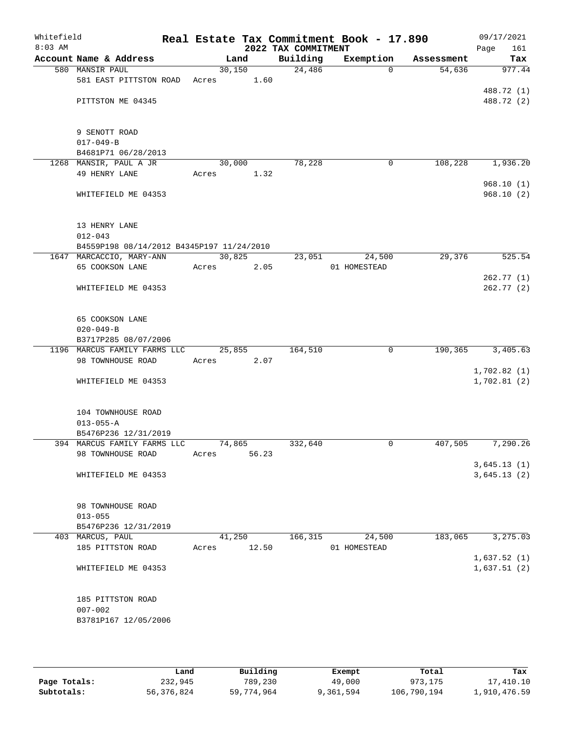| Whitefield<br>$8:03$ AM |                                           |       |        | 2022 TAX COMMITMENT | Real Estate Tax Commitment Book - 17.890 |            | 09/17/2021<br>Page<br>161  |
|-------------------------|-------------------------------------------|-------|--------|---------------------|------------------------------------------|------------|----------------------------|
|                         | Account Name & Address                    |       | Land   | Building            | Exemption                                | Assessment | Tax                        |
|                         | 580 MANSIR PAUL                           |       | 30,150 | 24,486              | $\Omega$                                 | 54,636     | 977.44                     |
|                         | 581 EAST PITTSTON ROAD                    | Acres | 1.60   |                     |                                          |            |                            |
|                         |                                           |       |        |                     |                                          |            | 488.72 (1)                 |
|                         | PITTSTON ME 04345                         |       |        |                     |                                          |            | 488.72 (2)                 |
|                         |                                           |       |        |                     |                                          |            |                            |
|                         |                                           |       |        |                     |                                          |            |                            |
|                         | 9 SENOTT ROAD<br>$017 - 049 - B$          |       |        |                     |                                          |            |                            |
|                         | B4681P71 06/28/2013                       |       |        |                     |                                          |            |                            |
|                         | 1268 MANSIR, PAUL A JR                    |       | 30,000 | 78,228              | 0                                        | 108,228    | 1,936.20                   |
|                         | 49 HENRY LANE                             | Acres | 1.32   |                     |                                          |            |                            |
|                         |                                           |       |        |                     |                                          |            | 968.10(1)                  |
|                         | WHITEFIELD ME 04353                       |       |        |                     |                                          |            | 968.10(2)                  |
|                         |                                           |       |        |                     |                                          |            |                            |
|                         |                                           |       |        |                     |                                          |            |                            |
|                         | 13 HENRY LANE                             |       |        |                     |                                          |            |                            |
|                         | $012 - 043$                               |       |        |                     |                                          |            |                            |
|                         | B4559P198 08/14/2012 B4345P197 11/24/2010 |       |        |                     |                                          |            |                            |
|                         | 1647 MARCACCIO, MARY-ANN                  |       | 30,825 | 23,051              | 24,500                                   | 29,376     | 525.54                     |
|                         | 65 COOKSON LANE                           | Acres | 2.05   |                     | 01 HOMESTEAD                             |            |                            |
|                         |                                           |       |        |                     |                                          |            | 262.77(1)                  |
|                         | WHITEFIELD ME 04353                       |       |        |                     |                                          |            | 262.77 (2)                 |
|                         |                                           |       |        |                     |                                          |            |                            |
|                         | 65 COOKSON LANE                           |       |        |                     |                                          |            |                            |
|                         | $020 - 049 - B$                           |       |        |                     |                                          |            |                            |
|                         | B3717P285 08/07/2006                      |       |        |                     |                                          |            |                            |
|                         | 1196 MARCUS FAMILY FARMS LLC              |       | 25,855 | 164,510             | $\mathbf 0$                              | 190, 365   | 3,405.63                   |
|                         | 98 TOWNHOUSE ROAD                         | Acres | 2.07   |                     |                                          |            |                            |
|                         |                                           |       |        |                     |                                          |            | 1,702.82(1)                |
|                         | WHITEFIELD ME 04353                       |       |        |                     |                                          |            | 1,702.81(2)                |
|                         |                                           |       |        |                     |                                          |            |                            |
|                         |                                           |       |        |                     |                                          |            |                            |
|                         | 104 TOWNHOUSE ROAD                        |       |        |                     |                                          |            |                            |
|                         | $013 - 055 - A$                           |       |        |                     |                                          |            |                            |
|                         | B5476P236 12/31/2019                      |       |        |                     |                                          |            |                            |
|                         | 394 MARCUS FAMILY FARMS LLC               |       | 74,865 | 332,640             | 0                                        | 407,505    | 7,290.26                   |
|                         | 98 TOWNHOUSE ROAD                         | Acres | 56.23  |                     |                                          |            |                            |
|                         | WHITEFIELD ME 04353                       |       |        |                     |                                          |            | 3,645.13(1)<br>3,645.13(2) |
|                         |                                           |       |        |                     |                                          |            |                            |
|                         |                                           |       |        |                     |                                          |            |                            |
|                         | 98 TOWNHOUSE ROAD                         |       |        |                     |                                          |            |                            |
|                         | $013 - 055$                               |       |        |                     |                                          |            |                            |
|                         | B5476P236 12/31/2019                      |       |        |                     |                                          |            |                            |
|                         | 403 MARCUS, PAUL                          |       | 41,250 | 166,315             | 24,500                                   | 183,065    | 3,275.03                   |
|                         | 185 PITTSTON ROAD                         | Acres | 12.50  |                     | 01 HOMESTEAD                             |            |                            |
|                         |                                           |       |        |                     |                                          |            | 1,637.52(1)                |
|                         | WHITEFIELD ME 04353                       |       |        |                     |                                          |            | 1,637.51(2)                |
|                         |                                           |       |        |                     |                                          |            |                            |
|                         |                                           |       |        |                     |                                          |            |                            |
|                         | 185 PITTSTON ROAD                         |       |        |                     |                                          |            |                            |
|                         | $007 - 002$                               |       |        |                     |                                          |            |                            |
|                         | B3781P167 12/05/2006                      |       |        |                     |                                          |            |                            |
|                         |                                           |       |        |                     |                                          |            |                            |
|                         |                                           |       |        |                     |                                          |            |                            |

|              | Land       | Building   | Exempt    | Total       | Tax          |
|--------------|------------|------------|-----------|-------------|--------------|
| Page Totals: | 232,945    | 789,230    | 49,000    | 973,175     | 17,410.10    |
| Subtotals:   | 56,376,824 | 59,774,964 | 9,361,594 | 106,790,194 | 1,910,476.59 |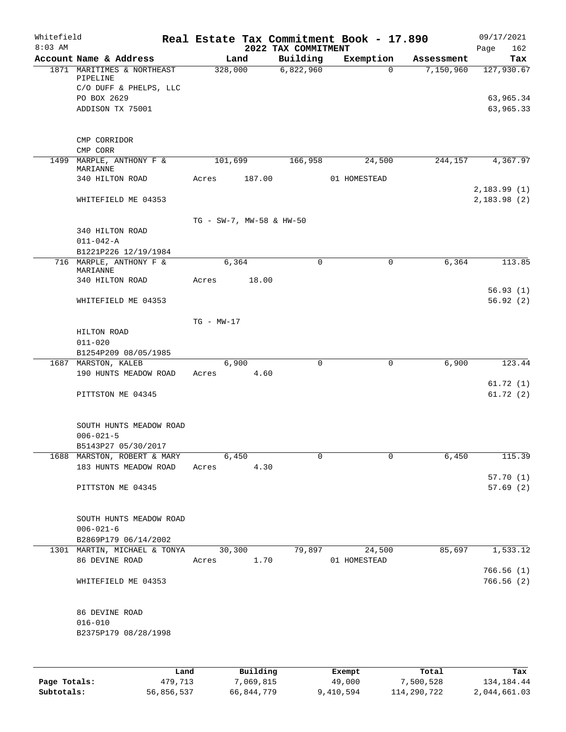| Whitefield<br>$8:03$ AM |                                                                                 |                          |        | 2022 TAX COMMITMENT | Real Estate Tax Commitment Book - 17.890 |            | Page | 09/17/2021<br>162       |
|-------------------------|---------------------------------------------------------------------------------|--------------------------|--------|---------------------|------------------------------------------|------------|------|-------------------------|
|                         | Account Name & Address                                                          | Land                     |        | Building            | Exemption                                | Assessment |      | Tax                     |
|                         | 1871 MARITIMES & NORTHEAST<br>PIPELINE<br>C/O DUFF & PHELPS, LLC<br>PO BOX 2629 | 328,000                  |        | 6,822,960           | $\Omega$                                 | 7,150,960  |      | 127,930.67<br>63,965.34 |
|                         | ADDISON TX 75001                                                                |                          |        |                     |                                          |            |      | 63,965.33               |
|                         | CMP CORRIDOR<br>CMP CORR                                                        |                          |        |                     |                                          |            |      |                         |
|                         | 1499 MARPLE, ANTHONY F &<br>MARIANNE                                            | 101,699                  |        | 166,958             | 24,500                                   | 244,157    |      | 4,367.97                |
|                         | 340 HILTON ROAD                                                                 | Acres                    | 187.00 |                     | 01 HOMESTEAD                             |            |      | 2,183.99(1)             |
|                         | WHITEFIELD ME 04353                                                             |                          |        |                     |                                          |            |      | 2,183.98(2)             |
|                         |                                                                                 | TG - SW-7, MW-58 & HW-50 |        |                     |                                          |            |      |                         |
|                         | 340 HILTON ROAD<br>$011 - 042 - A$                                              |                          |        |                     |                                          |            |      |                         |
|                         | B1221P226 12/19/1984<br>716 MARPLE, ANTHONY F &                                 | 6,364                    |        | 0                   | 0                                        | 6,364      |      | 113.85                  |
|                         | MARIANNE<br>340 HILTON ROAD                                                     | Acres                    | 18.00  |                     |                                          |            |      |                         |
|                         | WHITEFIELD ME 04353                                                             |                          |        |                     |                                          |            |      | 56.93(1)<br>56.92(2)    |
|                         |                                                                                 | $TG - MW-17$             |        |                     |                                          |            |      |                         |
|                         | HILTON ROAD                                                                     |                          |        |                     |                                          |            |      |                         |
|                         | $011 - 020$<br>B1254P209 08/05/1985                                             |                          |        |                     |                                          |            |      |                         |
|                         | 1687 MARSTON, KALEB<br>190 HUNTS MEADOW ROAD                                    | 6,900<br>Acres           | 4.60   | $\mathbf 0$         | 0                                        | 6,900      |      | 123.44                  |
|                         | PITTSTON ME 04345                                                               |                          |        |                     |                                          |            |      | 61.72(1)<br>61.72(2)    |
|                         | SOUTH HUNTS MEADOW ROAD<br>$006 - 021 - 5$<br>B5143P27 05/30/2017               |                          |        |                     |                                          |            |      |                         |
|                         | 1688 MARSTON, ROBERT & MARY                                                     | 6,450                    |        | 0                   | 0                                        | 6,450      |      | 115.39                  |
|                         | 183 HUNTS MEADOW ROAD                                                           | Acres                    | 4.30   |                     |                                          |            |      |                         |
|                         | PITTSTON ME 04345                                                               |                          |        |                     |                                          |            |      | 57.70(1)<br>57.69(2)    |
|                         | SOUTH HUNTS MEADOW ROAD<br>$006 - 021 - 6$                                      |                          |        |                     |                                          |            |      |                         |
|                         | B2869P179 06/14/2002                                                            |                          |        |                     |                                          |            |      |                         |
|                         | 1301 MARTIN, MICHAEL & TONYA 30,300<br>86 DEVINE ROAD                           | Acres                    | 1.70   |                     | 79,897<br>24,500<br>01 HOMESTEAD         | 85,697     |      | 1,533.12                |
|                         | WHITEFIELD ME 04353                                                             |                          |        |                     |                                          |            |      | 766.56(1)<br>766.56(2)  |
|                         | 86 DEVINE ROAD<br>$016 - 010$<br>B2375P179 08/28/1998                           |                          |        |                     |                                          |            |      |                         |
|                         |                                                                                 |                          |        |                     |                                          |            |      |                         |

|              | Land       | Building   | Exempt    | Total       | Tax          |
|--------------|------------|------------|-----------|-------------|--------------|
| Page Totals: | 479,713    | 7,069,815  | 49,000    | 7,500,528   | 134,184.44   |
| Subtotals:   | 56,856,537 | 66,844,779 | 9,410,594 | 114,290,722 | 2,044,661.03 |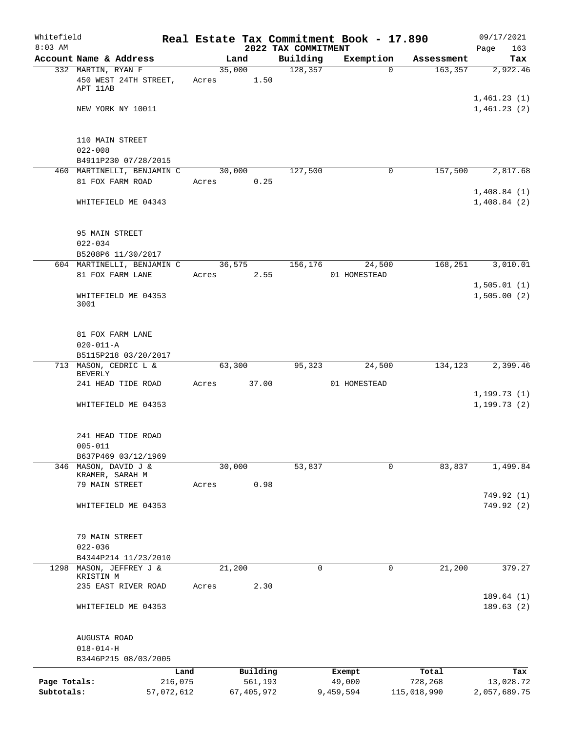| Whitefield<br>$8:03$ AM |                                             |       |                     | 2022 TAX COMMITMENT | Real Estate Tax Commitment Book - 17.890 |                  | 09/17/2021<br>163<br>Page |
|-------------------------|---------------------------------------------|-------|---------------------|---------------------|------------------------------------------|------------------|---------------------------|
|                         | Account Name & Address                      |       | Land                | Building            | Exemption                                | Assessment       | Tax                       |
|                         | 332 MARTIN, RYAN F<br>450 WEST 24TH STREET, | Acres | 35,000<br>1.50      | 128,357             | $\Omega$                                 | 163, 357         | 2,922.46                  |
|                         | APT 11AB                                    |       |                     |                     |                                          |                  | 1,461.23(1)               |
|                         | NEW YORK NY 10011                           |       |                     |                     |                                          |                  | 1,461.23(2)               |
|                         | 110 MAIN STREET                             |       |                     |                     |                                          |                  |                           |
|                         | $022 - 008$<br>B4911P230 07/28/2015         |       |                     |                     |                                          |                  |                           |
|                         | 460 MARTINELLI, BENJAMIN C                  |       | 30,000              | 127,500             | 0                                        | 157,500          | 2,817.68                  |
|                         | 81 FOX FARM ROAD                            | Acres | 0.25                |                     |                                          |                  | 1,408.84(1)               |
|                         | WHITEFIELD ME 04343                         |       |                     |                     |                                          |                  | 1,408.84(2)               |
|                         | 95 MAIN STREET<br>$022 - 034$               |       |                     |                     |                                          |                  |                           |
|                         | B5208P6 11/30/2017                          |       |                     |                     |                                          |                  |                           |
|                         | 604 MARTINELLI, BENJAMIN C                  |       | 36,575              | 156,176             | 24,500                                   | 168,251          | 3,010.01                  |
|                         | 81 FOX FARM LANE                            | Acres | 2.55                |                     | 01 HOMESTEAD                             |                  |                           |
|                         |                                             |       |                     |                     |                                          |                  | 1,505.01(1)               |
|                         | WHITEFIELD ME 04353<br>3001                 |       |                     |                     |                                          |                  | 1,505.00(2)               |
|                         | 81 FOX FARM LANE                            |       |                     |                     |                                          |                  |                           |
|                         | $020 - 011 - A$<br>B5115P218 03/20/2017     |       |                     |                     |                                          |                  |                           |
|                         | 713 MASON, CEDRIC L &                       |       | 63,300              | 95,323              | 24,500                                   | 134,123          | 2,399.46                  |
|                         | <b>BEVERLY</b>                              |       |                     |                     |                                          |                  |                           |
|                         | 241 HEAD TIDE ROAD                          | Acres | 37.00               |                     | 01 HOMESTEAD                             |                  | 1,199.73(1)               |
|                         | WHITEFIELD ME 04353                         |       |                     |                     |                                          |                  | 1, 199.73(2)              |
|                         | 241 HEAD TIDE ROAD                          |       |                     |                     |                                          |                  |                           |
|                         | $005 - 011$                                 |       |                     |                     |                                          |                  |                           |
|                         | B637P469 03/12/1969<br>346 MASON, DAVID J & |       | 30,000              | 53,837              | $\mathbf 0$                              | 83,837           | 1,499.84                  |
|                         | KRAMER, SARAH M                             |       |                     |                     |                                          |                  |                           |
|                         | 79 MAIN STREET                              | Acres | 0.98                |                     |                                          |                  |                           |
|                         | WHITEFIELD ME 04353                         |       |                     |                     |                                          |                  | 749.92 (1)<br>749.92 (2)  |
|                         | 79 MAIN STREET<br>$022 - 036$               |       |                     |                     |                                          |                  |                           |
|                         | B4344P214 11/23/2010                        |       |                     |                     |                                          |                  |                           |
| 1298                    | MASON, JEFFREY J &                          |       | 21,200              | 0                   | 0                                        | 21,200           | 379.27                    |
|                         | KRISTIN M                                   |       |                     |                     |                                          |                  |                           |
|                         | 235 EAST RIVER ROAD                         | Acres | 2.30                |                     |                                          |                  | 189.64(1)                 |
|                         | WHITEFIELD ME 04353                         |       |                     |                     |                                          |                  | 189.63(2)                 |
|                         | AUGUSTA ROAD                                |       |                     |                     |                                          |                  |                           |
|                         | $018 - 014 - H$<br>B3446P215 08/03/2005     |       |                     |                     |                                          |                  |                           |
|                         |                                             |       |                     |                     |                                          |                  |                           |
| Page Totals:            | 216,075                                     | Land  | Building<br>561,193 |                     | Exempt<br>49,000                         | Total<br>728,268 | Tax<br>13,028.72          |
| Subtotals:              | 57,072,612                                  |       | 67, 405, 972        |                     | 9,459,594                                | 115,018,990      | 2,057,689.75              |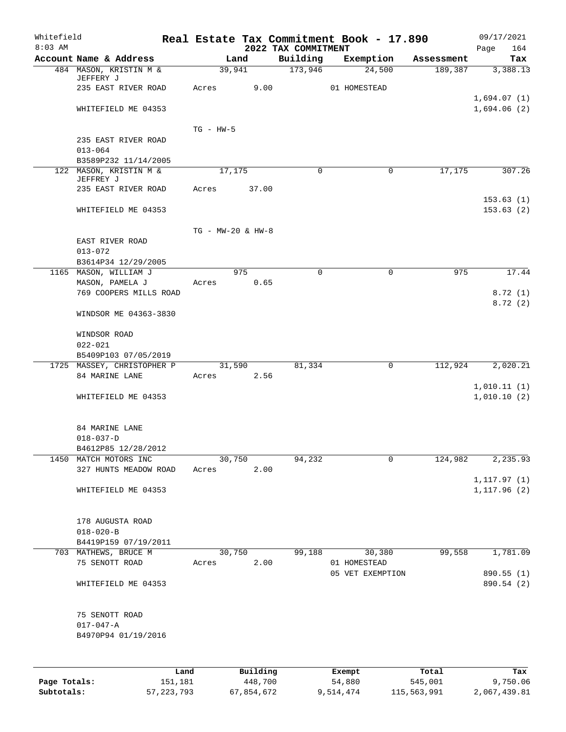| Whitefield<br>$8:03$ AM |                                              |                   |                                     | 2022 TAX COMMITMENT | Real Estate Tax Commitment Book - 17.890 |            | 09/17/2021<br>164<br>Page  |
|-------------------------|----------------------------------------------|-------------------|-------------------------------------|---------------------|------------------------------------------|------------|----------------------------|
|                         | Account Name & Address                       |                   | Land                                | Building            | Exemption                                | Assessment | Tax                        |
|                         | 484 MASON, KRISTIN M &                       | 39,941            |                                     | 173,946             | 24,500                                   | 189,387    | 3,388.13                   |
|                         | JEFFERY J                                    |                   |                                     |                     |                                          |            |                            |
|                         | 235 EAST RIVER ROAD                          | Acres             | 9.00                                |                     | 01 HOMESTEAD                             |            |                            |
|                         | WHITEFIELD ME 04353                          |                   |                                     |                     |                                          |            | 1,694.07(1)<br>1,694.06(2) |
|                         |                                              |                   |                                     |                     |                                          |            |                            |
|                         |                                              | $TG - HW-5$       |                                     |                     |                                          |            |                            |
|                         | 235 EAST RIVER ROAD                          |                   |                                     |                     |                                          |            |                            |
|                         | $013 - 064$                                  |                   |                                     |                     |                                          |            |                            |
|                         | B3589P232 11/14/2005                         |                   |                                     |                     |                                          |            |                            |
|                         | 122 MASON, KRISTIN M &<br>JEFFREY J          | 17,175            |                                     | $\mathbf 0$         | $\mathbf 0$                              | 17,175     | 307.26                     |
|                         | 235 EAST RIVER ROAD                          | Acres             | 37.00                               |                     |                                          |            |                            |
|                         |                                              |                   |                                     |                     |                                          |            | 153.63(1)                  |
|                         | WHITEFIELD ME 04353                          |                   |                                     |                     |                                          |            | 153.63(2)                  |
|                         |                                              |                   |                                     |                     |                                          |            |                            |
|                         |                                              | TG - MW-20 & HW-8 |                                     |                     |                                          |            |                            |
|                         | EAST RIVER ROAD                              |                   |                                     |                     |                                          |            |                            |
|                         | $013 - 072$<br>B3614P34 12/29/2005           |                   |                                     |                     |                                          |            |                            |
|                         | 1165 MASON, WILLIAM J                        |                   | 975                                 | $\Omega$            | $\Omega$                                 | 975        | 17.44                      |
|                         | MASON, PAMELA J                              | Acres             | 0.65                                |                     |                                          |            |                            |
|                         | 769 COOPERS MILLS ROAD                       |                   |                                     |                     |                                          |            | 8.72(1)                    |
|                         |                                              |                   |                                     |                     |                                          |            | 8.72(2)                    |
|                         | WINDSOR ME 04363-3830                        |                   |                                     |                     |                                          |            |                            |
|                         |                                              |                   |                                     |                     |                                          |            |                            |
|                         | WINDSOR ROAD<br>$022 - 021$                  |                   |                                     |                     |                                          |            |                            |
|                         | B5409P103 07/05/2019                         |                   |                                     |                     |                                          |            |                            |
|                         | 1725 MASSEY, CHRISTOPHER P                   | 31,590            |                                     | 81,334              | 0                                        | 112,924    | 2,020.21                   |
|                         | 84 MARINE LANE                               | Acres             | 2.56                                |                     |                                          |            |                            |
|                         |                                              |                   |                                     |                     |                                          |            | 1,010.11(1)                |
|                         | WHITEFIELD ME 04353                          |                   |                                     |                     |                                          |            | 1,010.10(2)                |
|                         |                                              |                   |                                     |                     |                                          |            |                            |
|                         | 84 MARINE LANE                               |                   |                                     |                     |                                          |            |                            |
|                         | $018 - 037 - D$                              |                   |                                     |                     |                                          |            |                            |
|                         | B4612P85 12/28/2012<br>1450 MATCH MOTORS INC | 30,750            |                                     | 94,232              | 0                                        | 124,982    | 2, 235.93                  |
|                         | 327 HUNTS MEADOW ROAD                        | Acres             | 2.00                                |                     |                                          |            |                            |
|                         |                                              |                   |                                     |                     |                                          |            | 1, 117.97(1)               |
|                         | WHITEFIELD ME 04353                          |                   |                                     |                     |                                          |            | 1, 117.96(2)               |
|                         |                                              |                   |                                     |                     |                                          |            |                            |
|                         | 178 AUGUSTA ROAD                             |                   |                                     |                     |                                          |            |                            |
|                         | $018 - 020 - B$                              |                   |                                     |                     |                                          |            |                            |
|                         | B4419P159 07/19/2011                         |                   |                                     |                     |                                          |            |                            |
|                         | 703 MATHEWS, BRUCE M                         | 30,750            |                                     |                     | 99,188<br>30,380                         | 99,558     | 1,781.09                   |
|                         | 75 SENOTT ROAD                               | Acres             | 2.00                                |                     | 01 HOMESTEAD                             |            |                            |
|                         |                                              |                   |                                     |                     | 05 VET EXEMPTION                         |            | 890.55 (1)                 |
|                         | WHITEFIELD ME 04353                          |                   |                                     |                     |                                          |            | 890.54 (2)                 |
|                         | 75 SENOTT ROAD                               |                   |                                     |                     |                                          |            |                            |
|                         | $017 - 047 - A$                              |                   |                                     |                     |                                          |            |                            |
|                         | B4970P94 01/19/2016                          |                   |                                     |                     |                                          |            |                            |
|                         |                                              |                   |                                     |                     |                                          |            |                            |
|                         |                                              |                   |                                     |                     |                                          |            |                            |
|                         | <b>TAMA</b>                                  |                   | $D_{\text{rel}}$ is a set of $\sim$ |                     | $P$ -- $\sim$ m $\sim$ +                 | $T - + -1$ | m.,                        |

|              | Land         | Building   | Exempt    | Total       | Tax          |
|--------------|--------------|------------|-----------|-------------|--------------|
| Page Totals: | 151.181      | 448,700    | 54,880    | 545,001     | 9,750.06     |
| Subtotals:   | 57, 223, 793 | 67,854,672 | 9,514,474 | 115,563,991 | 2,067,439.81 |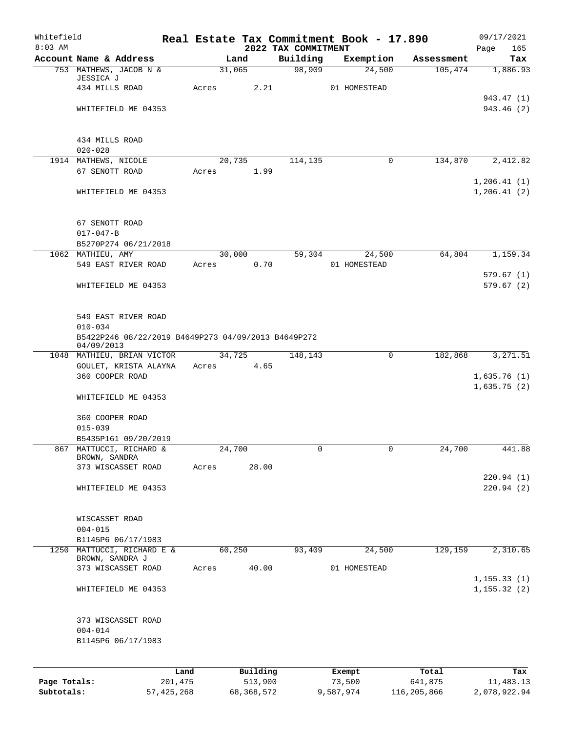| 2022 TAX COMMITMENT<br>Account Name & Address<br>Building<br>Land<br>Exemption<br>Assessment<br>Tax<br>98,909<br>31,065<br>24,500<br>753 MATHEWS, JACOB N &<br>105,474<br>1,886.93<br>JESSICA J<br>2.21<br>434 MILLS ROAD<br>Acres<br>01 HOMESTEAD<br>943.47 (1)<br>943.46 (2)<br>WHITEFIELD ME 04353<br>434 MILLS ROAD<br>$020 - 028$<br>134,870<br>2,412.82<br>1914 MATHEWS, NICOLE<br>20,735<br>114,135<br>0<br>67 SENOTT ROAD<br>1.99<br>Acres<br>1, 206.41(1)<br>WHITEFIELD ME 04353<br>1,206.41(2)<br>67 SENOTT ROAD<br>$017 - 047 - B$<br>B5270P274 06/21/2018<br>30,000<br>59,304<br>64,804<br>1,159.34<br>1062 MATHIEU, AMY<br>24,500<br>0.70<br>549 EAST RIVER ROAD<br>Acres<br>01 HOMESTEAD<br>579.67(1)<br>WHITEFIELD ME 04353<br>579.67(2)<br>549 EAST RIVER ROAD<br>$010 - 034$<br>B5422P246 08/22/2019 B4649P273 04/09/2013 B4649P272<br>04/09/2013<br>0<br>3, 271.51<br>34,725<br>148,143<br>182,868<br>1048 MATHIEU, BRIAN VICTOR<br>GOULET, KRISTA ALAYNA<br>4.65<br>Acres<br>360 COOPER ROAD<br>1,635.76(1)<br>1,635.75(2)<br>WHITEFIELD ME 04353<br>360 COOPER ROAD<br>$015 - 039$<br>B5435P161 09/20/2019<br>867 MATTUCCI, RICHARD &<br>24,700<br>24,700<br>441.88<br>0<br>0<br>BROWN, SANDRA<br>28.00<br>373 WISCASSET ROAD<br>Acres<br>220.94(1)<br>220.94(2)<br>WHITEFIELD ME 04353<br>WISCASSET ROAD<br>$004 - 015$<br>B1145P6 06/17/1983<br>1250 MATTUCCI, RICHARD E &<br>60,250<br>93,409<br>129,159<br>2,310.65<br>24,500<br>BROWN, SANDRA J<br>40.00<br>373 WISCASSET ROAD<br>01 HOMESTEAD<br>Acres<br>1, 155.33(1)<br>1, 155.32(2)<br>WHITEFIELD ME 04353<br>373 WISCASSET ROAD<br>$004 - 014$<br>B1145P6 06/17/1983<br>Building<br>Total<br>Land<br>Exempt<br>Tax<br>513,900<br>Page Totals:<br>201,475<br>73,500<br>641,875<br>11,483.13 | Whitefield |  |  | Real Estate Tax Commitment Book - 17.890 | 09/17/2021  |
|--------------------------------------------------------------------------------------------------------------------------------------------------------------------------------------------------------------------------------------------------------------------------------------------------------------------------------------------------------------------------------------------------------------------------------------------------------------------------------------------------------------------------------------------------------------------------------------------------------------------------------------------------------------------------------------------------------------------------------------------------------------------------------------------------------------------------------------------------------------------------------------------------------------------------------------------------------------------------------------------------------------------------------------------------------------------------------------------------------------------------------------------------------------------------------------------------------------------------------------------------------------------------------------------------------------------------------------------------------------------------------------------------------------------------------------------------------------------------------------------------------------------------------------------------------------------------------------------------------------------------------------------------------------------------------------------------------------------------------------------------------------------------|------------|--|--|------------------------------------------|-------------|
|                                                                                                                                                                                                                                                                                                                                                                                                                                                                                                                                                                                                                                                                                                                                                                                                                                                                                                                                                                                                                                                                                                                                                                                                                                                                                                                                                                                                                                                                                                                                                                                                                                                                                                                                                                          | $8:03$ AM  |  |  |                                          | 165<br>Page |
|                                                                                                                                                                                                                                                                                                                                                                                                                                                                                                                                                                                                                                                                                                                                                                                                                                                                                                                                                                                                                                                                                                                                                                                                                                                                                                                                                                                                                                                                                                                                                                                                                                                                                                                                                                          |            |  |  |                                          |             |
|                                                                                                                                                                                                                                                                                                                                                                                                                                                                                                                                                                                                                                                                                                                                                                                                                                                                                                                                                                                                                                                                                                                                                                                                                                                                                                                                                                                                                                                                                                                                                                                                                                                                                                                                                                          |            |  |  |                                          |             |
|                                                                                                                                                                                                                                                                                                                                                                                                                                                                                                                                                                                                                                                                                                                                                                                                                                                                                                                                                                                                                                                                                                                                                                                                                                                                                                                                                                                                                                                                                                                                                                                                                                                                                                                                                                          |            |  |  |                                          |             |
|                                                                                                                                                                                                                                                                                                                                                                                                                                                                                                                                                                                                                                                                                                                                                                                                                                                                                                                                                                                                                                                                                                                                                                                                                                                                                                                                                                                                                                                                                                                                                                                                                                                                                                                                                                          |            |  |  |                                          |             |
|                                                                                                                                                                                                                                                                                                                                                                                                                                                                                                                                                                                                                                                                                                                                                                                                                                                                                                                                                                                                                                                                                                                                                                                                                                                                                                                                                                                                                                                                                                                                                                                                                                                                                                                                                                          |            |  |  |                                          |             |
|                                                                                                                                                                                                                                                                                                                                                                                                                                                                                                                                                                                                                                                                                                                                                                                                                                                                                                                                                                                                                                                                                                                                                                                                                                                                                                                                                                                                                                                                                                                                                                                                                                                                                                                                                                          |            |  |  |                                          |             |
|                                                                                                                                                                                                                                                                                                                                                                                                                                                                                                                                                                                                                                                                                                                                                                                                                                                                                                                                                                                                                                                                                                                                                                                                                                                                                                                                                                                                                                                                                                                                                                                                                                                                                                                                                                          |            |  |  |                                          |             |
|                                                                                                                                                                                                                                                                                                                                                                                                                                                                                                                                                                                                                                                                                                                                                                                                                                                                                                                                                                                                                                                                                                                                                                                                                                                                                                                                                                                                                                                                                                                                                                                                                                                                                                                                                                          |            |  |  |                                          |             |
|                                                                                                                                                                                                                                                                                                                                                                                                                                                                                                                                                                                                                                                                                                                                                                                                                                                                                                                                                                                                                                                                                                                                                                                                                                                                                                                                                                                                                                                                                                                                                                                                                                                                                                                                                                          |            |  |  |                                          |             |
|                                                                                                                                                                                                                                                                                                                                                                                                                                                                                                                                                                                                                                                                                                                                                                                                                                                                                                                                                                                                                                                                                                                                                                                                                                                                                                                                                                                                                                                                                                                                                                                                                                                                                                                                                                          |            |  |  |                                          |             |
|                                                                                                                                                                                                                                                                                                                                                                                                                                                                                                                                                                                                                                                                                                                                                                                                                                                                                                                                                                                                                                                                                                                                                                                                                                                                                                                                                                                                                                                                                                                                                                                                                                                                                                                                                                          |            |  |  |                                          |             |
|                                                                                                                                                                                                                                                                                                                                                                                                                                                                                                                                                                                                                                                                                                                                                                                                                                                                                                                                                                                                                                                                                                                                                                                                                                                                                                                                                                                                                                                                                                                                                                                                                                                                                                                                                                          |            |  |  |                                          |             |
|                                                                                                                                                                                                                                                                                                                                                                                                                                                                                                                                                                                                                                                                                                                                                                                                                                                                                                                                                                                                                                                                                                                                                                                                                                                                                                                                                                                                                                                                                                                                                                                                                                                                                                                                                                          |            |  |  |                                          |             |
|                                                                                                                                                                                                                                                                                                                                                                                                                                                                                                                                                                                                                                                                                                                                                                                                                                                                                                                                                                                                                                                                                                                                                                                                                                                                                                                                                                                                                                                                                                                                                                                                                                                                                                                                                                          |            |  |  |                                          |             |
|                                                                                                                                                                                                                                                                                                                                                                                                                                                                                                                                                                                                                                                                                                                                                                                                                                                                                                                                                                                                                                                                                                                                                                                                                                                                                                                                                                                                                                                                                                                                                                                                                                                                                                                                                                          |            |  |  |                                          |             |
|                                                                                                                                                                                                                                                                                                                                                                                                                                                                                                                                                                                                                                                                                                                                                                                                                                                                                                                                                                                                                                                                                                                                                                                                                                                                                                                                                                                                                                                                                                                                                                                                                                                                                                                                                                          |            |  |  |                                          |             |
|                                                                                                                                                                                                                                                                                                                                                                                                                                                                                                                                                                                                                                                                                                                                                                                                                                                                                                                                                                                                                                                                                                                                                                                                                                                                                                                                                                                                                                                                                                                                                                                                                                                                                                                                                                          |            |  |  |                                          |             |
|                                                                                                                                                                                                                                                                                                                                                                                                                                                                                                                                                                                                                                                                                                                                                                                                                                                                                                                                                                                                                                                                                                                                                                                                                                                                                                                                                                                                                                                                                                                                                                                                                                                                                                                                                                          |            |  |  |                                          |             |
|                                                                                                                                                                                                                                                                                                                                                                                                                                                                                                                                                                                                                                                                                                                                                                                                                                                                                                                                                                                                                                                                                                                                                                                                                                                                                                                                                                                                                                                                                                                                                                                                                                                                                                                                                                          |            |  |  |                                          |             |
|                                                                                                                                                                                                                                                                                                                                                                                                                                                                                                                                                                                                                                                                                                                                                                                                                                                                                                                                                                                                                                                                                                                                                                                                                                                                                                                                                                                                                                                                                                                                                                                                                                                                                                                                                                          |            |  |  |                                          |             |
|                                                                                                                                                                                                                                                                                                                                                                                                                                                                                                                                                                                                                                                                                                                                                                                                                                                                                                                                                                                                                                                                                                                                                                                                                                                                                                                                                                                                                                                                                                                                                                                                                                                                                                                                                                          |            |  |  |                                          |             |
|                                                                                                                                                                                                                                                                                                                                                                                                                                                                                                                                                                                                                                                                                                                                                                                                                                                                                                                                                                                                                                                                                                                                                                                                                                                                                                                                                                                                                                                                                                                                                                                                                                                                                                                                                                          |            |  |  |                                          |             |
|                                                                                                                                                                                                                                                                                                                                                                                                                                                                                                                                                                                                                                                                                                                                                                                                                                                                                                                                                                                                                                                                                                                                                                                                                                                                                                                                                                                                                                                                                                                                                                                                                                                                                                                                                                          |            |  |  |                                          |             |
|                                                                                                                                                                                                                                                                                                                                                                                                                                                                                                                                                                                                                                                                                                                                                                                                                                                                                                                                                                                                                                                                                                                                                                                                                                                                                                                                                                                                                                                                                                                                                                                                                                                                                                                                                                          |            |  |  |                                          |             |
|                                                                                                                                                                                                                                                                                                                                                                                                                                                                                                                                                                                                                                                                                                                                                                                                                                                                                                                                                                                                                                                                                                                                                                                                                                                                                                                                                                                                                                                                                                                                                                                                                                                                                                                                                                          |            |  |  |                                          |             |
|                                                                                                                                                                                                                                                                                                                                                                                                                                                                                                                                                                                                                                                                                                                                                                                                                                                                                                                                                                                                                                                                                                                                                                                                                                                                                                                                                                                                                                                                                                                                                                                                                                                                                                                                                                          |            |  |  |                                          |             |
|                                                                                                                                                                                                                                                                                                                                                                                                                                                                                                                                                                                                                                                                                                                                                                                                                                                                                                                                                                                                                                                                                                                                                                                                                                                                                                                                                                                                                                                                                                                                                                                                                                                                                                                                                                          |            |  |  |                                          |             |
|                                                                                                                                                                                                                                                                                                                                                                                                                                                                                                                                                                                                                                                                                                                                                                                                                                                                                                                                                                                                                                                                                                                                                                                                                                                                                                                                                                                                                                                                                                                                                                                                                                                                                                                                                                          |            |  |  |                                          |             |
|                                                                                                                                                                                                                                                                                                                                                                                                                                                                                                                                                                                                                                                                                                                                                                                                                                                                                                                                                                                                                                                                                                                                                                                                                                                                                                                                                                                                                                                                                                                                                                                                                                                                                                                                                                          |            |  |  |                                          |             |
|                                                                                                                                                                                                                                                                                                                                                                                                                                                                                                                                                                                                                                                                                                                                                                                                                                                                                                                                                                                                                                                                                                                                                                                                                                                                                                                                                                                                                                                                                                                                                                                                                                                                                                                                                                          |            |  |  |                                          |             |
|                                                                                                                                                                                                                                                                                                                                                                                                                                                                                                                                                                                                                                                                                                                                                                                                                                                                                                                                                                                                                                                                                                                                                                                                                                                                                                                                                                                                                                                                                                                                                                                                                                                                                                                                                                          |            |  |  |                                          |             |
|                                                                                                                                                                                                                                                                                                                                                                                                                                                                                                                                                                                                                                                                                                                                                                                                                                                                                                                                                                                                                                                                                                                                                                                                                                                                                                                                                                                                                                                                                                                                                                                                                                                                                                                                                                          |            |  |  |                                          |             |
|                                                                                                                                                                                                                                                                                                                                                                                                                                                                                                                                                                                                                                                                                                                                                                                                                                                                                                                                                                                                                                                                                                                                                                                                                                                                                                                                                                                                                                                                                                                                                                                                                                                                                                                                                                          |            |  |  |                                          |             |
|                                                                                                                                                                                                                                                                                                                                                                                                                                                                                                                                                                                                                                                                                                                                                                                                                                                                                                                                                                                                                                                                                                                                                                                                                                                                                                                                                                                                                                                                                                                                                                                                                                                                                                                                                                          |            |  |  |                                          |             |
|                                                                                                                                                                                                                                                                                                                                                                                                                                                                                                                                                                                                                                                                                                                                                                                                                                                                                                                                                                                                                                                                                                                                                                                                                                                                                                                                                                                                                                                                                                                                                                                                                                                                                                                                                                          |            |  |  |                                          |             |
|                                                                                                                                                                                                                                                                                                                                                                                                                                                                                                                                                                                                                                                                                                                                                                                                                                                                                                                                                                                                                                                                                                                                                                                                                                                                                                                                                                                                                                                                                                                                                                                                                                                                                                                                                                          |            |  |  |                                          |             |
|                                                                                                                                                                                                                                                                                                                                                                                                                                                                                                                                                                                                                                                                                                                                                                                                                                                                                                                                                                                                                                                                                                                                                                                                                                                                                                                                                                                                                                                                                                                                                                                                                                                                                                                                                                          |            |  |  |                                          |             |
|                                                                                                                                                                                                                                                                                                                                                                                                                                                                                                                                                                                                                                                                                                                                                                                                                                                                                                                                                                                                                                                                                                                                                                                                                                                                                                                                                                                                                                                                                                                                                                                                                                                                                                                                                                          |            |  |  |                                          |             |
|                                                                                                                                                                                                                                                                                                                                                                                                                                                                                                                                                                                                                                                                                                                                                                                                                                                                                                                                                                                                                                                                                                                                                                                                                                                                                                                                                                                                                                                                                                                                                                                                                                                                                                                                                                          |            |  |  |                                          |             |
|                                                                                                                                                                                                                                                                                                                                                                                                                                                                                                                                                                                                                                                                                                                                                                                                                                                                                                                                                                                                                                                                                                                                                                                                                                                                                                                                                                                                                                                                                                                                                                                                                                                                                                                                                                          |            |  |  |                                          |             |
|                                                                                                                                                                                                                                                                                                                                                                                                                                                                                                                                                                                                                                                                                                                                                                                                                                                                                                                                                                                                                                                                                                                                                                                                                                                                                                                                                                                                                                                                                                                                                                                                                                                                                                                                                                          |            |  |  |                                          |             |
|                                                                                                                                                                                                                                                                                                                                                                                                                                                                                                                                                                                                                                                                                                                                                                                                                                                                                                                                                                                                                                                                                                                                                                                                                                                                                                                                                                                                                                                                                                                                                                                                                                                                                                                                                                          |            |  |  |                                          |             |
|                                                                                                                                                                                                                                                                                                                                                                                                                                                                                                                                                                                                                                                                                                                                                                                                                                                                                                                                                                                                                                                                                                                                                                                                                                                                                                                                                                                                                                                                                                                                                                                                                                                                                                                                                                          |            |  |  |                                          |             |

**Subtotals:** 57,425,268 68,368,572 9,587,974 116,205,866 2,078,922.94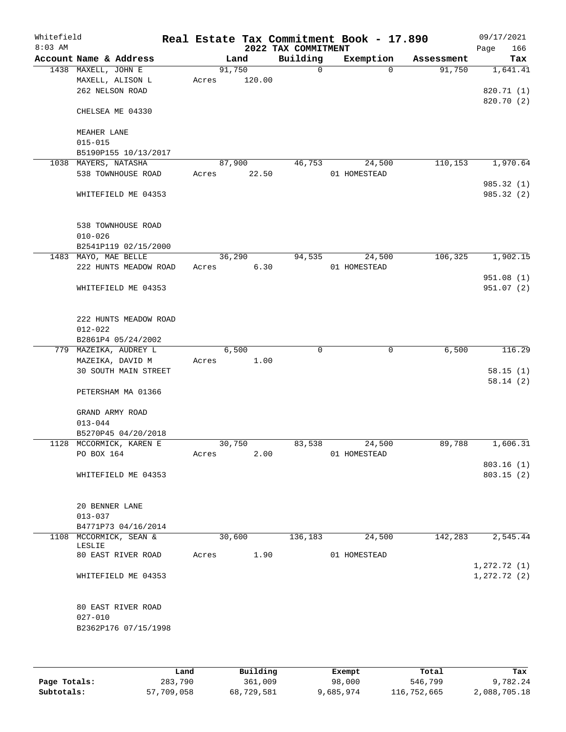| Whitefield<br>$8:03$ AM |                                              |       |        | 2022 TAX COMMITMENT | Real Estate Tax Commitment Book - 17.890 |            | 09/17/2021<br>166<br>Page |
|-------------------------|----------------------------------------------|-------|--------|---------------------|------------------------------------------|------------|---------------------------|
|                         | Account Name & Address                       |       | Land   | Building            | Exemption                                | Assessment | Tax                       |
|                         | 1438 MAXELL, JOHN E                          |       | 91,750 | $\mathsf{O}$        | $\Omega$                                 | 91,750     | 1,641.41                  |
|                         | MAXELL, ALISON L                             | Acres | 120.00 |                     |                                          |            |                           |
|                         | 262 NELSON ROAD                              |       |        |                     |                                          |            | 820.71 (1)                |
|                         | CHELSEA ME 04330                             |       |        |                     |                                          |            | 820.70 (2)                |
|                         |                                              |       |        |                     |                                          |            |                           |
|                         | MEAHER LANE                                  |       |        |                     |                                          |            |                           |
|                         | $015 - 015$                                  |       |        |                     |                                          |            |                           |
|                         | B5190P155 10/13/2017<br>1038 MAYERS, NATASHA |       | 87,900 | 46,753              | 24,500                                   | 110,153    | 1,970.64                  |
|                         | 538 TOWNHOUSE ROAD                           | Acres | 22.50  |                     | 01 HOMESTEAD                             |            |                           |
|                         |                                              |       |        |                     |                                          |            | 985.32 (1)                |
|                         | WHITEFIELD ME 04353                          |       |        |                     |                                          |            | 985.32 (2)                |
|                         |                                              |       |        |                     |                                          |            |                           |
|                         |                                              |       |        |                     |                                          |            |                           |
|                         | 538 TOWNHOUSE ROAD<br>$010 - 026$            |       |        |                     |                                          |            |                           |
|                         | B2541P119 02/15/2000                         |       |        |                     |                                          |            |                           |
|                         | 1483 MAYO, MAE BELLE                         |       | 36,290 | 94,535              | 24,500                                   | 106,325    | 1,902.15                  |
|                         | 222 HUNTS MEADOW ROAD                        | Acres | 6.30   |                     | 01 HOMESTEAD                             |            |                           |
|                         |                                              |       |        |                     |                                          |            | 951.08(1)                 |
|                         | WHITEFIELD ME 04353                          |       |        |                     |                                          |            | 951.07(2)                 |
|                         |                                              |       |        |                     |                                          |            |                           |
|                         |                                              |       |        |                     |                                          |            |                           |
|                         | 222 HUNTS MEADOW ROAD<br>$012 - 022$         |       |        |                     |                                          |            |                           |
|                         | B2861P4 05/24/2002                           |       |        |                     |                                          |            |                           |
|                         | 779 MAZEIKA, AUDREY L                        |       | 6,500  | $\mathbf 0$         | $\mathbf 0$                              | 6,500      | 116.29                    |
|                         | MAZEIKA, DAVID M                             | Acres | 1.00   |                     |                                          |            |                           |
|                         | <b>30 SOUTH MAIN STREET</b>                  |       |        |                     |                                          |            | 58.15(1)                  |
|                         |                                              |       |        |                     |                                          |            | 58.14(2)                  |
|                         | PETERSHAM MA 01366                           |       |        |                     |                                          |            |                           |
|                         | GRAND ARMY ROAD                              |       |        |                     |                                          |            |                           |
|                         | $013 - 044$                                  |       |        |                     |                                          |            |                           |
|                         | B5270P45 04/20/2018                          |       |        |                     |                                          |            |                           |
|                         | 1128 MCCORMICK, KAREN E                      |       | 30,750 | 83,538              | 24,500                                   | 89,788     | 1,606.31                  |
|                         | PO BOX 164                                   | Acres | 2.00   |                     | 01 HOMESTEAD                             |            |                           |
|                         |                                              |       |        |                     |                                          |            | 803.16(1)                 |
|                         | WHITEFIELD ME 04353                          |       |        |                     |                                          |            | 803.15(2)                 |
|                         |                                              |       |        |                     |                                          |            |                           |
|                         | 20 BENNER LANE                               |       |        |                     |                                          |            |                           |
|                         | $013 - 037$                                  |       |        |                     |                                          |            |                           |
|                         | B4771P73 04/16/2014                          |       |        |                     |                                          |            |                           |
|                         | 1108 MCCORMICK, SEAN &                       |       | 30,600 | 136,183             | 24,500                                   | 142,283    | 2,545.44                  |
|                         | LESLIE<br>80 EAST RIVER ROAD                 | Acres | 1.90   |                     | 01 HOMESTEAD                             |            |                           |
|                         |                                              |       |        |                     |                                          |            | 1, 272.72(1)              |
|                         | WHITEFIELD ME 04353                          |       |        |                     |                                          |            | $1, 272.72$ (2)           |
|                         |                                              |       |        |                     |                                          |            |                           |
|                         |                                              |       |        |                     |                                          |            |                           |
|                         | 80 EAST RIVER ROAD<br>$027 - 010$            |       |        |                     |                                          |            |                           |
|                         | B2362P176 07/15/1998                         |       |        |                     |                                          |            |                           |
|                         |                                              |       |        |                     |                                          |            |                           |
|                         |                                              |       |        |                     |                                          |            |                           |
|                         |                                              |       |        |                     |                                          |            |                           |

|              | Land       | Building   | Exempt    | Total       | Tax          |
|--------------|------------|------------|-----------|-------------|--------------|
| Page Totals: | 283,790    | 361,009    | 98,000    | 546,799     | 9,782.24     |
| Subtotals:   | 57,709,058 | 68,729,581 | 9,685,974 | 116,752,665 | 2,088,705.18 |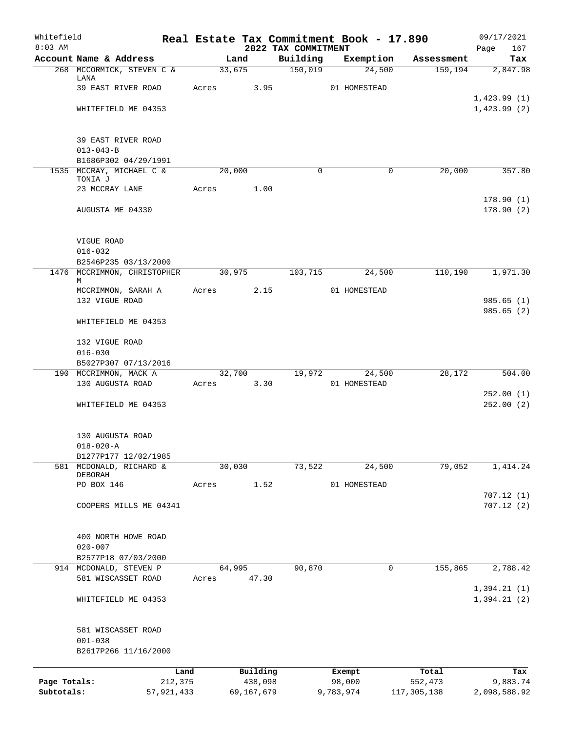| Whitefield<br>$8:03$ AM |                                                  |         |        |            |                                 | Real Estate Tax Commitment Book - 17.890 |              | 09/17/2021             |
|-------------------------|--------------------------------------------------|---------|--------|------------|---------------------------------|------------------------------------------|--------------|------------------------|
|                         | Account Name & Address                           |         | Land   |            | 2022 TAX COMMITMENT<br>Building | Exemption                                | Assessment   | Page<br>167<br>Tax     |
|                         | 268 MCCORMICK, STEVEN C &                        |         | 33,675 |            | 150,019                         | 24,500                                   | 159,194      | 2,847.98               |
|                         | LANA<br>39 EAST RIVER ROAD                       | Acres   |        | 3.95       |                                 | 01 HOMESTEAD                             |              |                        |
|                         |                                                  |         |        |            |                                 |                                          |              | 1,423.99(1)            |
|                         | WHITEFIELD ME 04353                              |         |        |            |                                 |                                          |              | 1,423.99(2)            |
|                         | 39 EAST RIVER ROAD                               |         |        |            |                                 |                                          |              |                        |
|                         | $013 - 043 - B$                                  |         |        |            |                                 |                                          |              |                        |
|                         | B1686P302 04/29/1991<br>1535 MCCRAY, MICHAEL C & |         | 20,000 |            | $\Omega$                        |                                          | 20,000<br>0  | 357.80                 |
|                         | TONIA J                                          |         |        |            |                                 |                                          |              |                        |
|                         | 23 MCCRAY LANE                                   | Acres   |        | 1.00       |                                 |                                          |              | 178.90(1)              |
|                         | AUGUSTA ME 04330                                 |         |        |            |                                 |                                          |              | 178.90(2)              |
|                         | VIGUE ROAD                                       |         |        |            |                                 |                                          |              |                        |
|                         | $016 - 032$                                      |         |        |            |                                 |                                          |              |                        |
|                         | B2546P235 03/13/2000                             |         |        |            |                                 |                                          |              |                        |
|                         | 1476 MCCRIMMON, CHRISTOPHER<br>М                 |         | 30,975 |            | 103,715                         | 24,500                                   | 110, 190     | 1,971.30               |
|                         | MCCRIMMON, SARAH A                               | Acres   |        | 2.15       |                                 | 01 HOMESTEAD                             |              |                        |
|                         | 132 VIGUE ROAD                                   |         |        |            |                                 |                                          |              | 985.65(1)<br>985.65(2) |
|                         | WHITEFIELD ME 04353                              |         |        |            |                                 |                                          |              |                        |
|                         | 132 VIGUE ROAD                                   |         |        |            |                                 |                                          |              |                        |
|                         | $016 - 030$                                      |         |        |            |                                 |                                          |              |                        |
|                         | B5027P307 07/13/2016                             |         |        |            |                                 |                                          |              |                        |
|                         | 190 MCCRIMMON, MACK A<br>130 AUGUSTA ROAD        | Acres   | 32,700 | 3.30       | 19,972                          | 24,500<br>01 HOMESTEAD                   | 28,172       | 504.00                 |
|                         |                                                  |         |        |            |                                 |                                          |              | 252.00(1)              |
|                         | WHITEFIELD ME 04353                              |         |        |            |                                 |                                          |              | 252.00(2)              |
|                         | 130 AUGUSTA ROAD                                 |         |        |            |                                 |                                          |              |                        |
|                         | $018 - 020 - A$                                  |         |        |            |                                 |                                          |              |                        |
|                         | B1277P177 12/02/1985                             |         |        |            |                                 |                                          |              |                        |
|                         | 581 MCDONALD, RICHARD &<br>DEBORAH               |         | 30,030 |            | 73,522                          | 24,500                                   | 79,052       | 1,414.24               |
|                         | PO BOX 146                                       | Acres   |        | 1.52       |                                 | 01 HOMESTEAD                             |              |                        |
|                         | COOPERS MILLS ME 04341                           |         |        |            |                                 |                                          |              | 707.12(1)<br>707.12(2) |
|                         |                                                  |         |        |            |                                 |                                          |              |                        |
|                         | 400 NORTH HOWE ROAD                              |         |        |            |                                 |                                          |              |                        |
|                         | $020 - 007$                                      |         |        |            |                                 |                                          |              |                        |
|                         | B2577P18 07/03/2000                              |         |        |            |                                 |                                          |              |                        |
|                         | 914 MCDONALD, STEVEN P<br>581 WISCASSET ROAD     | Acres   | 64,995 | 47.30      | 90,870                          |                                          | 155,865<br>0 | 2,788.42               |
|                         |                                                  |         |        |            |                                 |                                          |              | 1,394.21(1)            |
|                         | WHITEFIELD ME 04353                              |         |        |            |                                 |                                          |              | 1,394.21(2)            |
|                         | 581 WISCASSET ROAD                               |         |        |            |                                 |                                          |              |                        |
|                         | $001 - 038$<br>B2617P266 11/16/2000              |         |        |            |                                 |                                          |              |                        |
|                         |                                                  | Land    |        | Building   |                                 | Exempt                                   | Total        | Tax                    |
| Page Totals:            |                                                  | 212,375 |        | 438,098    |                                 | 98,000                                   | 552,473      | 9,883.74               |
| Subtotals:              | 57,921,433                                       |         |        | 69,167,679 |                                 | 9,783,974                                | 117,305,138  | 2,098,588.92           |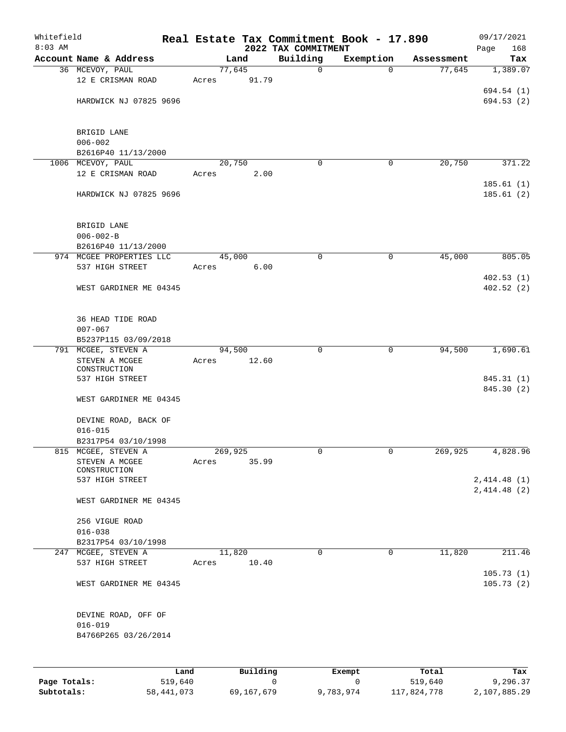| Whitefield   |                                     |         |         |          |                                 | Real Estate Tax Commitment Book - 17.890 |            | 09/17/2021               |
|--------------|-------------------------------------|---------|---------|----------|---------------------------------|------------------------------------------|------------|--------------------------|
| $8:03$ AM    | Account Name & Address              |         |         | Land     | 2022 TAX COMMITMENT<br>Building | Exemption                                | Assessment | 168<br>Page<br>Tax       |
|              | 36 MCEVOY, PAUL                     |         |         | 77,645   | $\mathbf 0$                     | $\mathbf 0$                              | 77,645     | 1,389.07                 |
|              | 12 E CRISMAN ROAD                   |         | Acres   | 91.79    |                                 |                                          |            |                          |
|              |                                     |         |         |          |                                 |                                          |            | 694.54 (1)               |
|              | HARDWICK NJ 07825 9696              |         |         |          |                                 |                                          |            | 694.53 (2)               |
|              |                                     |         |         |          |                                 |                                          |            |                          |
|              |                                     |         |         |          |                                 |                                          |            |                          |
|              | BRIGID LANE                         |         |         |          |                                 |                                          |            |                          |
|              | $006 - 002$<br>B2616P40 11/13/2000  |         |         |          |                                 |                                          |            |                          |
|              | 1006 MCEVOY, PAUL                   |         |         | 20,750   | $\Omega$                        | 0                                        | 20,750     | 371.22                   |
|              | 12 E CRISMAN ROAD                   |         | Acres   | 2.00     |                                 |                                          |            |                          |
|              |                                     |         |         |          |                                 |                                          |            | 185.61(1)                |
|              | HARDWICK NJ 07825 9696              |         |         |          |                                 |                                          |            | 185.61 (2)               |
|              |                                     |         |         |          |                                 |                                          |            |                          |
|              |                                     |         |         |          |                                 |                                          |            |                          |
|              | BRIGID LANE<br>$006 - 002 - B$      |         |         |          |                                 |                                          |            |                          |
|              | B2616P40 11/13/2000                 |         |         |          |                                 |                                          |            |                          |
|              | 974 MCGEE PROPERTIES LLC            |         |         | 45,000   | 0                               | $\mathbf 0$                              | 45,000     | 805.05                   |
|              | 537 HIGH STREET                     |         | Acres   | 6.00     |                                 |                                          |            |                          |
|              |                                     |         |         |          |                                 |                                          |            | 402.53(1)                |
|              | WEST GARDINER ME 04345              |         |         |          |                                 |                                          |            | 402.52(2)                |
|              |                                     |         |         |          |                                 |                                          |            |                          |
|              |                                     |         |         |          |                                 |                                          |            |                          |
|              | 36 HEAD TIDE ROAD<br>$007 - 067$    |         |         |          |                                 |                                          |            |                          |
|              | B5237P115 03/09/2018                |         |         |          |                                 |                                          |            |                          |
|              | 791 MCGEE, STEVEN A                 |         |         | 94,500   | $\Omega$                        | $\mathbf 0$                              | 94,500     | 1,690.61                 |
|              | STEVEN A MCGEE                      |         | Acres   | 12.60    |                                 |                                          |            |                          |
|              | CONSTRUCTION                        |         |         |          |                                 |                                          |            |                          |
|              | 537 HIGH STREET                     |         |         |          |                                 |                                          |            | 845.31 (1)<br>845.30 (2) |
|              | WEST GARDINER ME 04345              |         |         |          |                                 |                                          |            |                          |
|              |                                     |         |         |          |                                 |                                          |            |                          |
|              | DEVINE ROAD, BACK OF                |         |         |          |                                 |                                          |            |                          |
|              | $016 - 015$                         |         |         |          |                                 |                                          |            |                          |
|              | B2317P54 03/10/1998                 |         |         |          |                                 |                                          |            |                          |
|              | 815 MCGEE, STEVEN A                 |         | 269,925 |          | 0                               | $\mathbf{0}$                             | 269,925    | 4,828.96                 |
|              | STEVEN A MCGEE<br>CONSTRUCTION      |         | Acres   | 35.99    |                                 |                                          |            |                          |
|              | 537 HIGH STREET                     |         |         |          |                                 |                                          |            | 2,414.48(1)              |
|              |                                     |         |         |          |                                 |                                          |            | 2,414.48 (2)             |
|              | WEST GARDINER ME 04345              |         |         |          |                                 |                                          |            |                          |
|              |                                     |         |         |          |                                 |                                          |            |                          |
|              | 256 VIGUE ROAD                      |         |         |          |                                 |                                          |            |                          |
|              | $016 - 038$<br>B2317P54 03/10/1998  |         |         |          |                                 |                                          |            |                          |
|              | 247 MCGEE, STEVEN A                 |         |         | 11,820   | $\mathbf 0$                     | $\mathbf 0$                              | 11,820     | 211.46                   |
|              | 537 HIGH STREET                     |         | Acres   | 10.40    |                                 |                                          |            |                          |
|              |                                     |         |         |          |                                 |                                          |            | 105.73(1)                |
|              | WEST GARDINER ME 04345              |         |         |          |                                 |                                          |            | 105.73(2)                |
|              |                                     |         |         |          |                                 |                                          |            |                          |
|              |                                     |         |         |          |                                 |                                          |            |                          |
|              | DEVINE ROAD, OFF OF                 |         |         |          |                                 |                                          |            |                          |
|              | $016 - 019$<br>B4766P265 03/26/2014 |         |         |          |                                 |                                          |            |                          |
|              |                                     |         |         |          |                                 |                                          |            |                          |
|              |                                     |         |         |          |                                 |                                          |            |                          |
|              |                                     | Land    |         | Building |                                 | Exempt                                   | Total      | Tax                      |
| Page Totals: |                                     | 519,640 |         |          | $\mathsf{O}$                    | 0                                        | 519,640    | 9,296.37                 |
|              |                                     |         |         |          |                                 |                                          |            |                          |

**Subtotals:** 58,441,073 69,167,679 9,783,974 117,824,778 2,107,885.29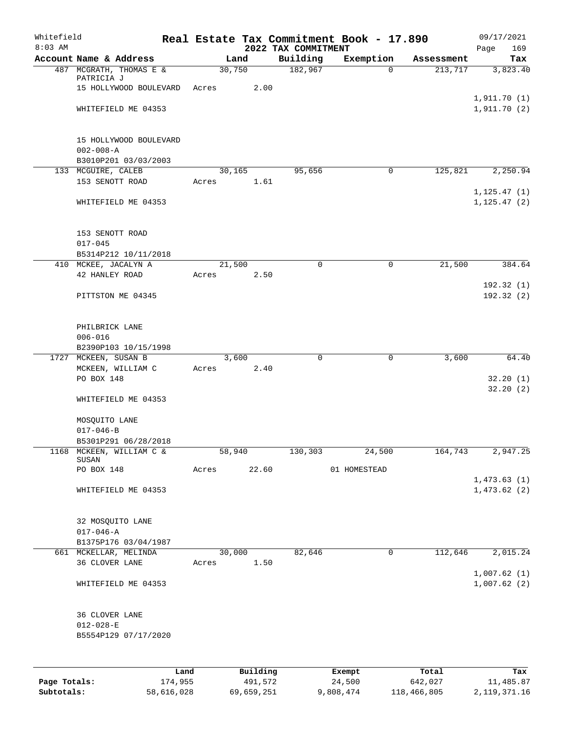| Whitefield<br>$8:03$ AM |                                         |       |          | 2022 TAX COMMITMENT | Real Estate Tax Commitment Book - 17.890 |            | 09/17/2021<br>169<br>Page |
|-------------------------|-----------------------------------------|-------|----------|---------------------|------------------------------------------|------------|---------------------------|
|                         | Account Name & Address                  |       | Land     | Building            | Exemption                                | Assessment | Tax                       |
|                         | 487 MCGRATH, THOMAS E &                 |       | 30,750   | 182,967             | $\mathbf 0$                              | 213,717    | 3,823.40                  |
|                         | PATRICIA J<br>15 HOLLYWOOD BOULEVARD    | Acres | 2.00     |                     |                                          |            |                           |
|                         |                                         |       |          |                     |                                          |            | 1,911.70(1)               |
|                         | WHITEFIELD ME 04353                     |       |          |                     |                                          |            | 1,911.70(2)               |
|                         |                                         |       |          |                     |                                          |            |                           |
|                         |                                         |       |          |                     |                                          |            |                           |
|                         | 15 HOLLYWOOD BOULEVARD                  |       |          |                     |                                          |            |                           |
|                         | $002 - 008 - A$<br>B3010P201 03/03/2003 |       |          |                     |                                          |            |                           |
|                         | 133 MCGUIRE, CALEB                      |       | 30,165   | 95,656              | 0                                        | 125,821    | 2,250.94                  |
|                         | 153 SENOTT ROAD                         | Acres | 1.61     |                     |                                          |            |                           |
|                         |                                         |       |          |                     |                                          |            | 1, 125.47(1)              |
|                         | WHITEFIELD ME 04353                     |       |          |                     |                                          |            | 1, 125.47(2)              |
|                         |                                         |       |          |                     |                                          |            |                           |
|                         | 153 SENOTT ROAD                         |       |          |                     |                                          |            |                           |
|                         | $017 - 045$                             |       |          |                     |                                          |            |                           |
|                         | B5314P212 10/11/2018                    |       |          |                     |                                          |            |                           |
|                         | 410 MCKEE, JACALYN A                    |       | 21,500   | $\mathbf 0$         | 0                                        | 21,500     | 384.64                    |
|                         | 42 HANLEY ROAD                          | Acres | 2.50     |                     |                                          |            |                           |
|                         |                                         |       |          |                     |                                          |            | 192.32(1)                 |
|                         | PITTSTON ME 04345                       |       |          |                     |                                          |            | 192.32(2)                 |
|                         |                                         |       |          |                     |                                          |            |                           |
|                         | PHILBRICK LANE                          |       |          |                     |                                          |            |                           |
|                         | $006 - 016$                             |       |          |                     |                                          |            |                           |
|                         | B2390P103 10/15/1998                    |       |          |                     |                                          |            |                           |
|                         | 1727 MCKEEN, SUSAN B                    |       | 3,600    | $\mathbf 0$         | 0                                        | 3,600      | 64.40                     |
|                         | MCKEEN, WILLIAM C<br>PO BOX 148         | Acres | 2.40     |                     |                                          |            |                           |
|                         |                                         |       |          |                     |                                          |            | 32.20(1)<br>32.20(2)      |
|                         | WHITEFIELD ME 04353                     |       |          |                     |                                          |            |                           |
|                         |                                         |       |          |                     |                                          |            |                           |
|                         | MOSQUITO LANE                           |       |          |                     |                                          |            |                           |
|                         | $017 - 046 - B$                         |       |          |                     |                                          |            |                           |
|                         | B5301P291 06/28/2018                    |       |          |                     |                                          | 164,743    |                           |
|                         | 1168 MCKEEN, WILLIAM C &<br>SUSAN       |       | 58,940   | 130,303             | 24,500                                   |            | 2,947.25                  |
|                         | PO BOX 148                              | Acres | 22.60    |                     | 01 HOMESTEAD                             |            |                           |
|                         |                                         |       |          |                     |                                          |            | 1,473.63(1)               |
|                         | WHITEFIELD ME 04353                     |       |          |                     |                                          |            | 1,473.62(2)               |
|                         |                                         |       |          |                     |                                          |            |                           |
|                         | 32 MOSQUITO LANE                        |       |          |                     |                                          |            |                           |
|                         | $017 - 046 - A$                         |       |          |                     |                                          |            |                           |
|                         | B1375P176 03/04/1987                    |       |          |                     |                                          |            |                           |
|                         | 661 MCKELLAR, MELINDA                   |       | 30,000   | 82,646              | $\mathbf 0$                              | 112,646    | 2,015.24                  |
|                         | 36 CLOVER LANE                          | Acres | 1.50     |                     |                                          |            | 1,007.62(1)               |
|                         | WHITEFIELD ME 04353                     |       |          |                     |                                          |            | 1,007.62(2)               |
|                         |                                         |       |          |                     |                                          |            |                           |
|                         |                                         |       |          |                     |                                          |            |                           |
|                         | 36 CLOVER LANE                          |       |          |                     |                                          |            |                           |
|                         | $012 - 028 - E$                         |       |          |                     |                                          |            |                           |
|                         | B5554P129 07/17/2020                    |       |          |                     |                                          |            |                           |
|                         |                                         |       |          |                     |                                          |            |                           |
|                         | Land                                    |       | Building |                     | Exempt                                   | Total      | Tax                       |
| Page Totals:            | 174,955                                 |       | 491,572  |                     | 24,500                                   | 642,027    | 11,485.87                 |

**Subtotals:** 58,616,028 69,659,251 9,808,474 118,466,805 2,119,371.16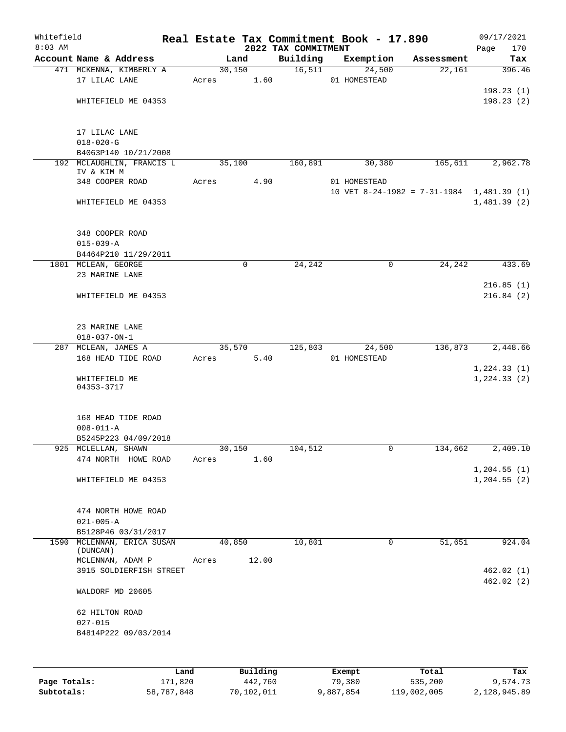| Whitefield<br>$8:03$ AM |                                             |      |       |             |          | Real Estate Tax Commitment Book - 17.890<br>2022 TAX COMMITMENT |              |             |                                             | Page | 09/17/2021<br>170 |
|-------------------------|---------------------------------------------|------|-------|-------------|----------|-----------------------------------------------------------------|--------------|-------------|---------------------------------------------|------|-------------------|
|                         | Account Name & Address                      |      |       | Land        |          | Building                                                        | Exemption    |             | Assessment                                  |      | Tax               |
|                         | 471 MCKENNA, KIMBERLY A                     |      |       | 30,150      |          | 16,511                                                          |              | 24,500      | 22,161                                      |      | 396.46            |
|                         | 17 LILAC LANE                               |      | Acres |             | 1.60     |                                                                 | 01 HOMESTEAD |             |                                             |      |                   |
|                         |                                             |      |       |             |          |                                                                 |              |             |                                             |      | 198.23(1)         |
|                         | WHITEFIELD ME 04353                         |      |       |             |          |                                                                 |              |             |                                             |      | 198.23(2)         |
|                         |                                             |      |       |             |          |                                                                 |              |             |                                             |      |                   |
|                         |                                             |      |       |             |          |                                                                 |              |             |                                             |      |                   |
|                         | 17 LILAC LANE                               |      |       |             |          |                                                                 |              |             |                                             |      |                   |
|                         | $018 - 020 - G$<br>B4063P140 10/21/2008     |      |       |             |          |                                                                 |              |             |                                             |      |                   |
|                         | 192 MCLAUGHLIN, FRANCIS L                   |      |       | 35,100      |          | 160,891                                                         |              | 30,380      | 165,611                                     |      | 2,962.78          |
|                         | IV & KIM M                                  |      |       |             |          |                                                                 |              |             |                                             |      |                   |
|                         | 348 COOPER ROAD                             |      | Acres |             | 4.90     |                                                                 | 01 HOMESTEAD |             |                                             |      |                   |
|                         |                                             |      |       |             |          |                                                                 |              |             | 10 VET 8-24-1982 = $7-31-1984$ 1,481.39 (1) |      |                   |
|                         | WHITEFIELD ME 04353                         |      |       |             |          |                                                                 |              |             |                                             |      | 1,481.39(2)       |
|                         |                                             |      |       |             |          |                                                                 |              |             |                                             |      |                   |
|                         | 348 COOPER ROAD                             |      |       |             |          |                                                                 |              |             |                                             |      |                   |
|                         | $015 - 039 - A$                             |      |       |             |          |                                                                 |              |             |                                             |      |                   |
|                         | B4464P210 11/29/2011                        |      |       |             |          |                                                                 |              |             |                                             |      |                   |
|                         | 1801 MCLEAN, GEORGE                         |      |       | $\mathbf 0$ |          | 24,242                                                          |              | $\mathbf 0$ | 24,242                                      |      | 433.69            |
|                         | 23 MARINE LANE                              |      |       |             |          |                                                                 |              |             |                                             |      |                   |
|                         |                                             |      |       |             |          |                                                                 |              |             |                                             |      | 216.85(1)         |
|                         | WHITEFIELD ME 04353                         |      |       |             |          |                                                                 |              |             |                                             |      | 216.84(2)         |
|                         |                                             |      |       |             |          |                                                                 |              |             |                                             |      |                   |
|                         |                                             |      |       |             |          |                                                                 |              |             |                                             |      |                   |
|                         | 23 MARINE LANE                              |      |       |             |          |                                                                 |              |             |                                             |      |                   |
|                         | $018 - 037 - ON - 1$<br>287 MCLEAN, JAMES A |      |       | 35,570      |          | 125,803                                                         |              | 24,500      | 136,873                                     |      | 2,448.66          |
|                         | 168 HEAD TIDE ROAD                          |      | Acres |             | 5.40     |                                                                 | 01 HOMESTEAD |             |                                             |      |                   |
|                         |                                             |      |       |             |          |                                                                 |              |             |                                             |      | 1, 224.33(1)      |
|                         | WHITEFIELD ME                               |      |       |             |          |                                                                 |              |             |                                             |      | 1, 224.33(2)      |
|                         | 04353-3717                                  |      |       |             |          |                                                                 |              |             |                                             |      |                   |
|                         |                                             |      |       |             |          |                                                                 |              |             |                                             |      |                   |
|                         | 168 HEAD TIDE ROAD                          |      |       |             |          |                                                                 |              |             |                                             |      |                   |
|                         | $008 - 011 - A$                             |      |       |             |          |                                                                 |              |             |                                             |      |                   |
|                         | B5245P223 04/09/2018                        |      |       |             |          |                                                                 |              |             |                                             |      |                   |
|                         | 925 MCLELLAN, SHAWN                         |      |       | 30,150      |          | 104,512                                                         |              | 0           | 134,662                                     |      | 2,409.10          |
|                         | 474 NORTH HOWE ROAD                         |      | Acres |             | 1.60     |                                                                 |              |             |                                             |      |                   |
|                         |                                             |      |       |             |          |                                                                 |              |             |                                             |      | 1, 204.55(1)      |
|                         | WHITEFIELD ME 04353                         |      |       |             |          |                                                                 |              |             |                                             |      | 1, 204.55(2)      |
|                         |                                             |      |       |             |          |                                                                 |              |             |                                             |      |                   |
|                         |                                             |      |       |             |          |                                                                 |              |             |                                             |      |                   |
|                         | 474 NORTH HOWE ROAD                         |      |       |             |          |                                                                 |              |             |                                             |      |                   |
|                         | $021 - 005 - A$<br>B5128P46 03/31/2017      |      |       |             |          |                                                                 |              |             |                                             |      |                   |
|                         | 1590 MCLENNAN, ERICA SUSAN                  |      |       | 40,850      |          | 10,801                                                          |              | $\mathbf 0$ | 51,651                                      |      | 924.04            |
|                         | (DUNCAN)                                    |      |       |             |          |                                                                 |              |             |                                             |      |                   |
|                         | MCLENNAN, ADAM P                            |      | Acres |             | 12.00    |                                                                 |              |             |                                             |      |                   |
|                         | 3915 SOLDIERFISH STREET                     |      |       |             |          |                                                                 |              |             |                                             |      | 462.02(1)         |
|                         |                                             |      |       |             |          |                                                                 |              |             |                                             |      | 462.02(2)         |
|                         | WALDORF MD 20605                            |      |       |             |          |                                                                 |              |             |                                             |      |                   |
|                         | 62 HILTON ROAD                              |      |       |             |          |                                                                 |              |             |                                             |      |                   |
|                         | $027 - 015$                                 |      |       |             |          |                                                                 |              |             |                                             |      |                   |
|                         | B4814P222 09/03/2014                        |      |       |             |          |                                                                 |              |             |                                             |      |                   |
|                         |                                             |      |       |             |          |                                                                 |              |             |                                             |      |                   |
|                         |                                             |      |       |             |          |                                                                 |              |             |                                             |      |                   |
|                         |                                             | Land |       |             | Building |                                                                 | Exempt       |             | Total                                       |      | Tax               |
|                         |                                             |      |       |             |          |                                                                 |              |             |                                             |      |                   |

|              | ⊥and       | Building   | Exempt    | тосат       | тах          |
|--------------|------------|------------|-----------|-------------|--------------|
| Page Totals: | 171,820    | 442,760    | 79,380    | 535,200     | 9,574.73     |
| Subtotals:   | 58,787,848 | 70,102,011 | 9,887,854 | 119,002,005 | 2,128,945.89 |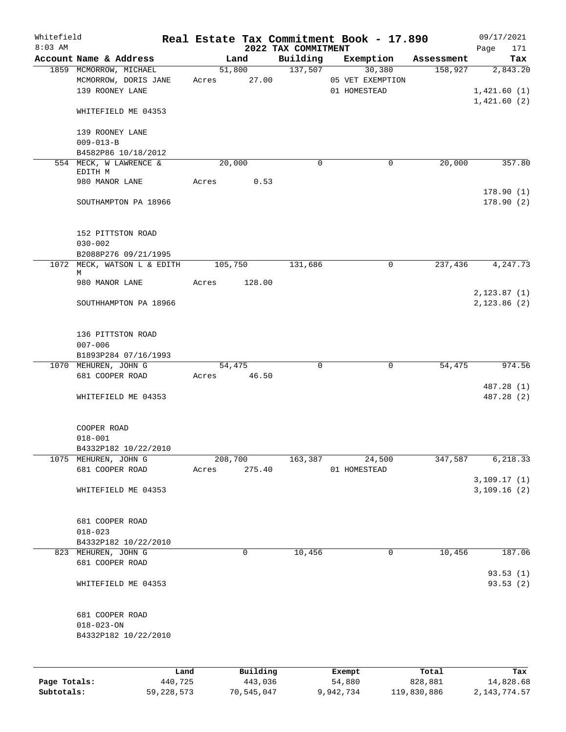| Whitefield<br>$8:03$ AM |                                                                   |                  |                     | 2022 TAX COMMITMENT | Real Estate Tax Commitment Book - 17.890   |                  | 09/17/2021<br>171<br>Page              |
|-------------------------|-------------------------------------------------------------------|------------------|---------------------|---------------------|--------------------------------------------|------------------|----------------------------------------|
|                         | Account Name & Address                                            |                  | Land                | Building            | Exemption                                  | Assessment       | Tax                                    |
|                         | 1859 MCMORROW, MICHAEL<br>MCMORROW, DORIS JANE<br>139 ROONEY LANE | Acres 27.00      | 51,800              | 137,507             | 30,380<br>05 VET EXEMPTION<br>01 HOMESTEAD | 158,927          | 2,843.20<br>1,421.60(1)<br>1,421.60(2) |
|                         | WHITEFIELD ME 04353                                               |                  |                     |                     |                                            |                  |                                        |
|                         | 139 ROONEY LANE<br>$009 - 013 - B$                                |                  |                     |                     |                                            |                  |                                        |
|                         | B4582P86 10/18/2012                                               |                  |                     |                     |                                            |                  |                                        |
|                         | 554 MECK, W LAWRENCE &                                            |                  | 20,000              | $\mathbf 0$         | 0                                          | 20,000           | 357.80                                 |
|                         | EDITH M<br>980 MANOR LANE                                         | Acres            | 0.53                |                     |                                            |                  |                                        |
|                         |                                                                   |                  |                     |                     |                                            |                  | 178.90(1)                              |
|                         | SOUTHAMPTON PA 18966                                              |                  |                     |                     |                                            |                  | 178.90(2)                              |
|                         | 152 PITTSTON ROAD<br>$030 - 002$                                  |                  |                     |                     |                                            |                  |                                        |
|                         | B2088P276 09/21/1995                                              |                  |                     |                     |                                            |                  |                                        |
|                         | 1072 MECK, WATSON L & EDITH 105,750                               |                  |                     | 131,686             | 0                                          | 237,436          | 4,247.73                               |
|                         | М<br>980 MANOR LANE                                               | Acres            | 128.00              |                     |                                            |                  | 2,123.87(1)                            |
|                         | SOUTHHAMPTON PA 18966                                             |                  |                     |                     |                                            |                  | 2,123.86(2)                            |
|                         | 136 PITTSTON ROAD<br>$007 - 006$                                  |                  |                     |                     |                                            |                  |                                        |
|                         | B1893P284 07/16/1993                                              |                  |                     |                     |                                            |                  |                                        |
|                         | 1070 MEHUREN, JOHN G                                              |                  | 54,475              | $\mathbf 0$         | 0                                          | 54,475           | 974.56                                 |
|                         | 681 COOPER ROAD                                                   | Acres 46.50      |                     |                     |                                            |                  | 487.28 (1)                             |
|                         | WHITEFIELD ME 04353                                               |                  |                     |                     |                                            |                  | 487.28 (2)                             |
|                         | COOPER ROAD                                                       |                  |                     |                     |                                            |                  |                                        |
|                         | $018 - 001$                                                       |                  |                     |                     |                                            |                  |                                        |
|                         | B4332P182 10/22/2010                                              |                  |                     |                     |                                            |                  |                                        |
|                         | 1075 MEHUREN, JOHN G<br>681 COOPER ROAD                           | 208,700<br>Acres | 275.40              | 163,387             | 24,500<br>01 HOMESTEAD                     | 347,587          | 6,218.33                               |
|                         |                                                                   |                  |                     |                     |                                            |                  | 3,109.17(1)                            |
|                         | WHITEFIELD ME 04353                                               |                  |                     |                     |                                            |                  | 3,109.16(2)                            |
|                         | 681 COOPER ROAD                                                   |                  |                     |                     |                                            |                  |                                        |
|                         | $018 - 023$                                                       |                  |                     |                     |                                            |                  |                                        |
|                         | B4332P182 10/22/2010<br>823 MEHUREN, JOHN G                       |                  | 0                   | 10,456              | 0                                          | 10,456           | 187.06                                 |
|                         | 681 COOPER ROAD                                                   |                  |                     |                     |                                            |                  | 93.53(1)                               |
|                         | WHITEFIELD ME 04353                                               |                  |                     |                     |                                            |                  | 93.53 (2)                              |
|                         | 681 COOPER ROAD<br>$018 - 023 - ON$<br>B4332P182 10/22/2010       |                  |                     |                     |                                            |                  |                                        |
|                         |                                                                   |                  |                     |                     |                                            |                  |                                        |
| Page Totals:            | Land<br>440,725                                                   |                  | Building<br>443,036 |                     | Exempt<br>54,880                           | Total<br>828,881 | Tax<br>14,828.68                       |

**Subtotals:** 59,228,573 70,545,047 9,942,734 119,830,886 2,143,774.57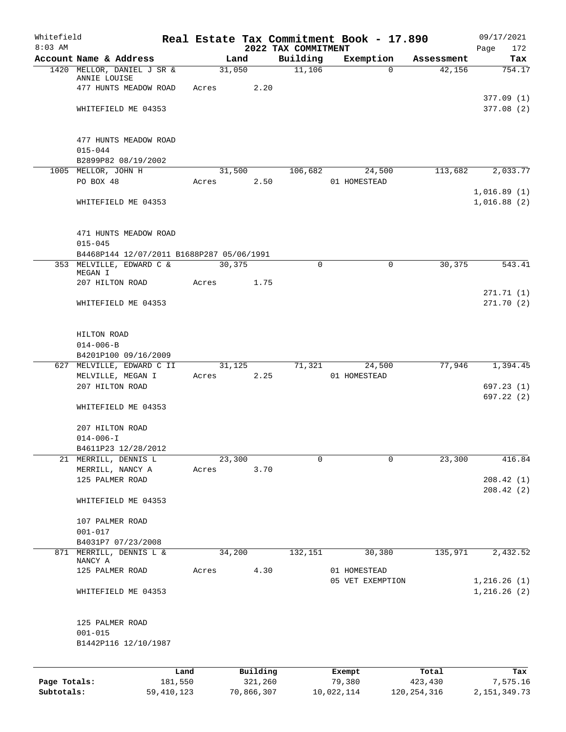| Whitefield<br>$8:03$ AM |                                           |         |       |          | 2022 TAX COMMITMENT | Real Estate Tax Commitment Book - 17.890 |            | 09/17/2021<br>172<br>Page  |
|-------------------------|-------------------------------------------|---------|-------|----------|---------------------|------------------------------------------|------------|----------------------------|
|                         | Account Name & Address                    |         |       | Land     | Building            | Exemption                                | Assessment | Tax                        |
|                         | 1420 MELLOR, DANIEL J SR &                |         |       | 31,050   | 11,106              | $\Omega$                                 | 42,156     | 754.17                     |
|                         | ANNIE LOUISE                              |         |       |          |                     |                                          |            |                            |
|                         | 477 HUNTS MEADOW ROAD                     |         | Acres | 2.20     |                     |                                          |            |                            |
|                         | WHITEFIELD ME 04353                       |         |       |          |                     |                                          |            | 377.09(1)<br>377.08(2)     |
|                         |                                           |         |       |          |                     |                                          |            |                            |
|                         |                                           |         |       |          |                     |                                          |            |                            |
|                         | 477 HUNTS MEADOW ROAD                     |         |       |          |                     |                                          |            |                            |
|                         | $015 - 044$                               |         |       |          |                     |                                          |            |                            |
|                         | B2899P82 08/19/2002                       |         |       |          |                     |                                          |            |                            |
|                         | 1005 MELLOR, JOHN H                       |         |       | 31,500   | 106,682             | 24,500                                   | 113,682    | 2,033.77                   |
|                         | PO BOX 48                                 |         | Acres | 2.50     |                     | 01 HOMESTEAD                             |            |                            |
|                         | WHITEFIELD ME 04353                       |         |       |          |                     |                                          |            | 1,016.89(1)<br>1,016.88(2) |
|                         |                                           |         |       |          |                     |                                          |            |                            |
|                         |                                           |         |       |          |                     |                                          |            |                            |
|                         | 471 HUNTS MEADOW ROAD                     |         |       |          |                     |                                          |            |                            |
|                         | $015 - 045$                               |         |       |          |                     |                                          |            |                            |
|                         | B4468P144 12/07/2011 B1688P287 05/06/1991 |         |       |          |                     |                                          |            |                            |
|                         | 353 MELVILLE, EDWARD C &                  |         |       | 30,375   | 0                   | $\mathbf 0$                              | 30,375     | 543.41                     |
|                         | MEGAN I<br>207 HILTON ROAD                |         | Acres | 1.75     |                     |                                          |            |                            |
|                         |                                           |         |       |          |                     |                                          |            | 271.71(1)                  |
|                         | WHITEFIELD ME 04353                       |         |       |          |                     |                                          |            | 271.70(2)                  |
|                         |                                           |         |       |          |                     |                                          |            |                            |
|                         |                                           |         |       |          |                     |                                          |            |                            |
|                         | HILTON ROAD                               |         |       |          |                     |                                          |            |                            |
|                         | $014 - 006 - B$                           |         |       |          |                     |                                          |            |                            |
|                         | B4201P100 09/16/2009                      |         |       |          |                     |                                          |            |                            |
|                         | 627 MELVILLE, EDWARD C II                 |         |       | 31,125   | 71,321              | 24,500                                   | 77,946     | 1,394.45                   |
|                         | MELVILLE, MEGAN I                         |         | Acres | 2.25     |                     | 01 HOMESTEAD                             |            |                            |
|                         | 207 HILTON ROAD                           |         |       |          |                     |                                          |            | 697.23(1)<br>697.22(2)     |
|                         | WHITEFIELD ME 04353                       |         |       |          |                     |                                          |            |                            |
|                         |                                           |         |       |          |                     |                                          |            |                            |
|                         | 207 HILTON ROAD                           |         |       |          |                     |                                          |            |                            |
|                         | $014 - 006 - I$                           |         |       |          |                     |                                          |            |                            |
|                         | B4611P23 12/28/2012                       |         |       |          |                     |                                          |            |                            |
|                         | 21 MERRILL, DENNIS L                      |         |       | 23,300   | 0                   | 0                                        | 23,300     | 416.84                     |
|                         | MERRILL, NANCY A                          |         | Acres | 3.70     |                     |                                          |            |                            |
|                         | 125 PALMER ROAD                           |         |       |          |                     |                                          |            | 208.42(1)                  |
|                         | WHITEFIELD ME 04353                       |         |       |          |                     |                                          |            | 208.42(2)                  |
|                         |                                           |         |       |          |                     |                                          |            |                            |
|                         | 107 PALMER ROAD                           |         |       |          |                     |                                          |            |                            |
|                         | $001 - 017$                               |         |       |          |                     |                                          |            |                            |
|                         | B4031P7 07/23/2008                        |         |       |          |                     |                                          |            |                            |
| 871                     | MERRILL, DENNIS L &                       |         |       | 34,200   | 132,151             | 30,380                                   | 135,971    | 2,432.52                   |
|                         | NANCY A<br>125 PALMER ROAD                |         | Acres | 4.30     |                     | 01 HOMESTEAD                             |            |                            |
|                         |                                           |         |       |          |                     | 05 VET EXEMPTION                         |            | 1,216.26(1)                |
|                         | WHITEFIELD ME 04353                       |         |       |          |                     |                                          |            | 1,216.26(2)                |
|                         |                                           |         |       |          |                     |                                          |            |                            |
|                         |                                           |         |       |          |                     |                                          |            |                            |
|                         | 125 PALMER ROAD                           |         |       |          |                     |                                          |            |                            |
|                         | $001 - 015$                               |         |       |          |                     |                                          |            |                            |
|                         | B1442P116 12/10/1987                      |         |       |          |                     |                                          |            |                            |
|                         |                                           |         |       |          |                     |                                          |            |                            |
|                         |                                           | Land    |       | Building |                     | Exempt                                   | Total      | Tax                        |
| Page Totals:            |                                           | 181,550 |       | 321,260  |                     | 79,380                                   | 423,430    | 7,575.16                   |

**Subtotals:** 59,410,123 70,866,307 10,022,114 120,254,316 2,151,349.73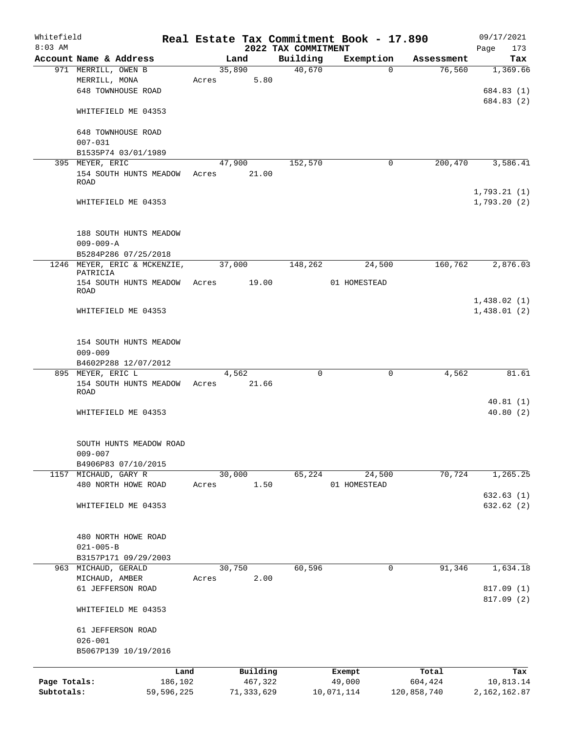| Whitefield<br>$8:03$ AM |                                         |            |       |              | 2022 TAX COMMITMENT | Real Estate Tax Commitment Book - 17.890 |             | 09/17/2021<br>Page<br>173 |
|-------------------------|-----------------------------------------|------------|-------|--------------|---------------------|------------------------------------------|-------------|---------------------------|
|                         | Account Name & Address                  |            |       | Land         | Building            | Exemption                                | Assessment  | Tax                       |
|                         | 971 MERRILL, OWEN B                     |            |       | 35,890       | 40,670              | $\Omega$                                 | 76,560      | 1,369.66                  |
|                         | MERRILL, MONA                           |            | Acres | 5.80         |                     |                                          |             |                           |
|                         | <b>648 TOWNHOUSE ROAD</b>               |            |       |              |                     |                                          |             | 684.83 (1)                |
|                         |                                         |            |       |              |                     |                                          |             | 684.83 (2)                |
|                         | WHITEFIELD ME 04353                     |            |       |              |                     |                                          |             |                           |
|                         |                                         |            |       |              |                     |                                          |             |                           |
|                         | 648 TOWNHOUSE ROAD                      |            |       |              |                     |                                          |             |                           |
|                         | $007 - 031$                             |            |       |              |                     |                                          |             |                           |
|                         | B1535P74 03/01/1989                     |            |       |              |                     |                                          |             |                           |
|                         | 395 MEYER, ERIC                         |            |       | 47,900       | 152,570             | 0                                        | 200,470     | 3,586.41                  |
|                         | 154 SOUTH HUNTS MEADOW<br>ROAD          |            | Acres | 21.00        |                     |                                          |             |                           |
|                         |                                         |            |       |              |                     |                                          |             | 1,793.21(1)               |
|                         | WHITEFIELD ME 04353                     |            |       |              |                     |                                          |             | 1,793.20(2)               |
|                         |                                         |            |       |              |                     |                                          |             |                           |
|                         |                                         |            |       |              |                     |                                          |             |                           |
|                         | 188 SOUTH HUNTS MEADOW                  |            |       |              |                     |                                          |             |                           |
|                         | $009 - 009 - A$                         |            |       |              |                     |                                          |             |                           |
|                         | B5284P286 07/25/2018                    |            |       |              |                     |                                          |             |                           |
|                         | 1246 MEYER, ERIC & MCKENZIE,            |            |       | 37,000       | 148,262             | 24,500                                   | 160,762     | 2,876.03                  |
|                         | PATRICIA                                |            |       |              |                     |                                          |             |                           |
|                         | 154 SOUTH HUNTS MEADOW Acres<br>ROAD    |            |       | 19.00        |                     | 01 HOMESTEAD                             |             |                           |
|                         |                                         |            |       |              |                     |                                          |             | 1,438.02(1)               |
|                         | WHITEFIELD ME 04353                     |            |       |              |                     |                                          |             | 1,438.01(2)               |
|                         |                                         |            |       |              |                     |                                          |             |                           |
|                         |                                         |            |       |              |                     |                                          |             |                           |
|                         | 154 SOUTH HUNTS MEADOW                  |            |       |              |                     |                                          |             |                           |
|                         | $009 - 009$                             |            |       |              |                     |                                          |             |                           |
|                         | B4602P288 12/07/2012                    |            |       |              |                     |                                          |             |                           |
|                         | 895 MEYER, ERIC L                       |            |       | 4,562        | $\mathbf 0$         | 0                                        | 4,562       | 81.61                     |
|                         | 154 SOUTH HUNTS MEADOW Acres            |            |       | 21.66        |                     |                                          |             |                           |
|                         | <b>ROAD</b>                             |            |       |              |                     |                                          |             |                           |
|                         | WHITEFIELD ME 04353                     |            |       |              |                     |                                          |             | 40.81(1)<br>40.80(2)      |
|                         |                                         |            |       |              |                     |                                          |             |                           |
|                         |                                         |            |       |              |                     |                                          |             |                           |
|                         | SOUTH HUNTS MEADOW ROAD                 |            |       |              |                     |                                          |             |                           |
|                         | $009 - 007$                             |            |       |              |                     |                                          |             |                           |
|                         | B4906P83 07/10/2015                     |            |       |              |                     |                                          |             |                           |
|                         | 1157 MICHAUD, GARY R                    |            |       | 30,000       | 65,224              | 24,500                                   | 70,724      | 1,265.25                  |
|                         | 480 NORTH HOWE ROAD                     |            | Acres | 1.50         |                     | 01 HOMESTEAD                             |             |                           |
|                         |                                         |            |       |              |                     |                                          |             | 632.63(1)                 |
|                         | WHITEFIELD ME 04353                     |            |       |              |                     |                                          |             | 632.62(2)                 |
|                         |                                         |            |       |              |                     |                                          |             |                           |
|                         |                                         |            |       |              |                     |                                          |             |                           |
|                         | 480 NORTH HOWE ROAD                     |            |       |              |                     |                                          |             |                           |
|                         | $021 - 005 - B$                         |            |       |              |                     |                                          |             |                           |
| 963                     | B3157P171 09/29/2003<br>MICHAUD, GERALD |            |       | 30,750       | 60,596              | 0                                        | 91,346      | 1,634.18                  |
|                         | MICHAUD, AMBER                          |            | Acres | 2.00         |                     |                                          |             |                           |
|                         | 61 JEFFERSON ROAD                       |            |       |              |                     |                                          |             | 817.09 (1)                |
|                         |                                         |            |       |              |                     |                                          |             | 817.09 (2)                |
|                         | WHITEFIELD ME 04353                     |            |       |              |                     |                                          |             |                           |
|                         | 61 JEFFERSON ROAD                       |            |       |              |                     |                                          |             |                           |
|                         | $026 - 001$                             |            |       |              |                     |                                          |             |                           |
|                         | B5067P139 10/19/2016                    |            |       |              |                     |                                          |             |                           |
|                         |                                         |            |       |              |                     |                                          |             |                           |
|                         |                                         | Land       |       | Building     |                     | Exempt                                   | Total       | Tax                       |
| Page Totals:            |                                         | 186,102    |       | 467,322      |                     | 49,000                                   | 604,424     | 10,813.14                 |
| Subtotals:              |                                         | 59,596,225 |       | 71, 333, 629 |                     | 10,071,114                               | 120,858,740 | 2, 162, 162.87            |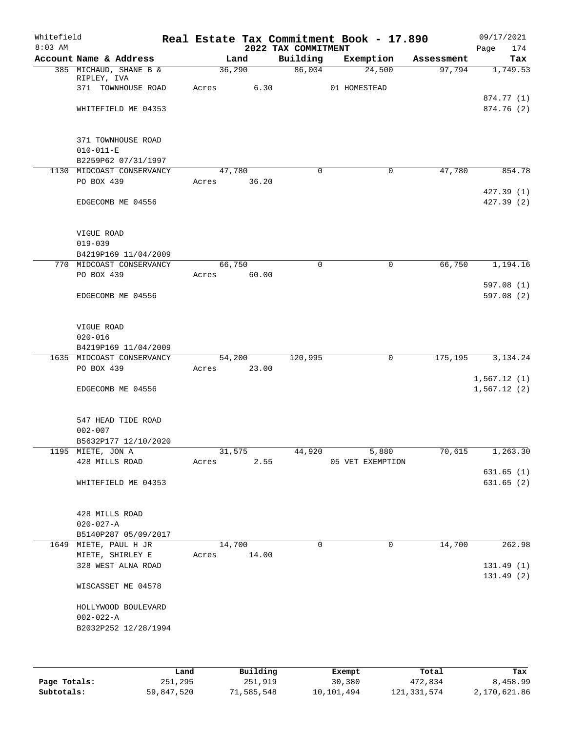| Whitefield<br>$8:03$ AM |                                                             |       |                | 2022 TAX COMMITMENT | Real Estate Tax Commitment Book - 17.890 |            | 09/17/2021<br>174<br>Page |
|-------------------------|-------------------------------------------------------------|-------|----------------|---------------------|------------------------------------------|------------|---------------------------|
|                         | Account Name & Address                                      |       | Land           | Building            | Exemption                                | Assessment | Tax                       |
|                         | 385 MICHAUD, SHANE B &<br>RIPLEY, IVA<br>371 TOWNHOUSE ROAD |       | 36,290<br>6.30 | 86,004              | 24,500                                   | 97,794     | 1,749.53                  |
|                         |                                                             | Acres |                |                     | 01 HOMESTEAD                             |            | 874.77 (1)                |
|                         | WHITEFIELD ME 04353                                         |       |                |                     |                                          |            | 874.76 (2)                |
|                         | 371 TOWNHOUSE ROAD<br>$010 - 011 - E$                       |       |                |                     |                                          |            |                           |
|                         | B2259P62 07/31/1997                                         |       |                |                     |                                          |            |                           |
|                         | 1130 MIDCOAST CONSERVANCY                                   |       | 47,780         | $\Omega$            | 0                                        | 47,780     | 854.78                    |
|                         | PO BOX 439                                                  | Acres | 36.20          |                     |                                          |            | 427.39(1)                 |
|                         | EDGECOMB ME 04556                                           |       |                |                     |                                          |            | 427.39 (2)                |
|                         | VIGUE ROAD                                                  |       |                |                     |                                          |            |                           |
|                         | $019 - 039$                                                 |       |                |                     |                                          |            |                           |
|                         | B4219P169 11/04/2009                                        |       |                |                     |                                          |            |                           |
|                         | 770 MIDCOAST CONSERVANCY                                    |       | 66,750         | 0                   | 0                                        | 66,750     | 1,194.16                  |
|                         | PO BOX 439                                                  | Acres | 60.00          |                     |                                          |            |                           |
|                         | EDGECOMB ME 04556                                           |       |                |                     |                                          |            | 597.08(1)<br>597.08(2)    |
|                         | VIGUE ROAD                                                  |       |                |                     |                                          |            |                           |
|                         | $020 - 016$                                                 |       |                |                     |                                          |            |                           |
|                         | B4219P169 11/04/2009                                        |       |                |                     |                                          |            |                           |
|                         | 1635 MIDCOAST CONSERVANCY                                   |       | 54,200         | 120,995             | 0                                        | 175,195    | 3,134.24                  |
|                         | PO BOX 439                                                  | Acres | 23.00          |                     |                                          |            | 1,567.12(1)               |
|                         | EDGECOMB ME 04556                                           |       |                |                     |                                          |            | 1,567.12(2)               |
|                         | 547 HEAD TIDE ROAD                                          |       |                |                     |                                          |            |                           |
|                         | $002 - 007$                                                 |       |                |                     |                                          |            |                           |
|                         | B5632P177 12/10/2020                                        |       |                |                     |                                          |            |                           |
|                         | 1195 MIETE, JON A                                           |       | 31,575         | 44,920              | 5,880                                    | 70,615     | 1,263.30                  |
|                         | 428 MILLS ROAD                                              | Acres | 2.55           |                     | 05 VET EXEMPTION                         |            | 631.65(1)                 |
|                         | WHITEFIELD ME 04353                                         |       |                |                     |                                          |            | 631.65(2)                 |
|                         | 428 MILLS ROAD                                              |       |                |                     |                                          |            |                           |
|                         | $020 - 027 - A$                                             |       |                |                     |                                          |            |                           |
|                         | B5140P287 05/09/2017                                        |       |                |                     |                                          |            |                           |
|                         | 1649 MIETE, PAUL H JR                                       |       | 14,700         | $\Omega$            | $\mathbf 0$                              | 14,700     | 262.98                    |
|                         | MIETE, SHIRLEY E<br>328 WEST ALNA ROAD                      | Acres | 14.00          |                     |                                          |            |                           |
|                         |                                                             |       |                |                     |                                          |            | 131.49(1)<br>131.49(2)    |
|                         | WISCASSET ME 04578                                          |       |                |                     |                                          |            |                           |
|                         | HOLLYWOOD BOULEVARD                                         |       |                |                     |                                          |            |                           |
|                         | $002 - 022 - A$                                             |       |                |                     |                                          |            |                           |
|                         | B2032P252 12/28/1994                                        |       |                |                     |                                          |            |                           |
|                         |                                                             |       |                |                     |                                          |            |                           |
|                         |                                                             | Land  | Building       |                     | Exempt                                   | Total      | Tax                       |

**Page Totals:** 251,295 251,919 30,380 472,834 8,458.99 **Subtotals:** 59,847,520 71,585,548 10,101,494 121,331,574 2,170,621.86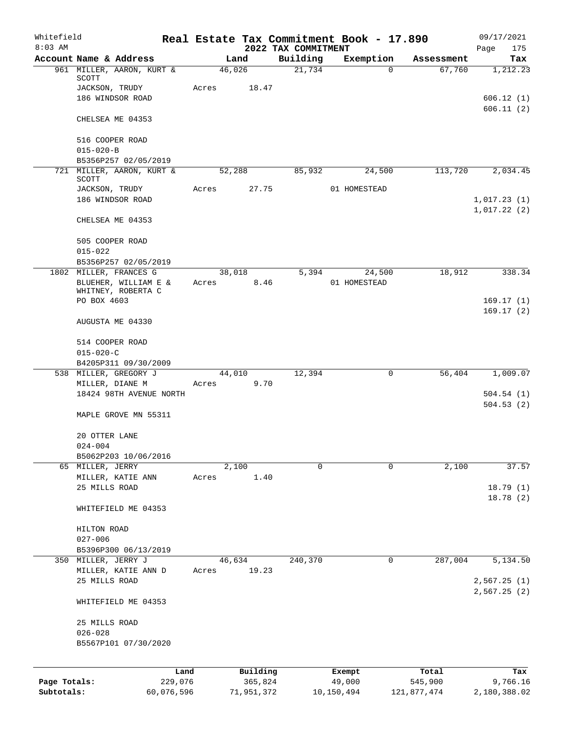| Whitefield<br>$8:03$ AM |                                            |                 |                     |                                 | Real Estate Tax Commitment Book - 17.890 |                  | 09/17/2021                 |
|-------------------------|--------------------------------------------|-----------------|---------------------|---------------------------------|------------------------------------------|------------------|----------------------------|
|                         | Account Name & Address                     |                 | Land                | 2022 TAX COMMITMENT<br>Building | Exemption                                | Assessment       | 175<br>Page<br>Tax         |
|                         | 961 MILLER, AARON, KURT &                  |                 | 46,026              | 21,734                          | $\Omega$                                 | 67,760           | 1,212.23                   |
|                         | SCOTT<br>JACKSON, TRUDY                    | Acres           | 18.47               |                                 |                                          |                  |                            |
|                         | 186 WINDSOR ROAD                           |                 |                     |                                 |                                          |                  | 606.12(1)                  |
|                         |                                            |                 |                     |                                 |                                          |                  | 606.11(2)                  |
|                         | CHELSEA ME 04353                           |                 |                     |                                 |                                          |                  |                            |
|                         | 516 COOPER ROAD                            |                 |                     |                                 |                                          |                  |                            |
|                         | $015 - 020 - B$                            |                 |                     |                                 |                                          |                  |                            |
|                         | B5356P257 02/05/2019                       |                 |                     |                                 |                                          |                  |                            |
|                         | 721 MILLER, AARON, KURT &<br>SCOTT         |                 | 52,288              | 85,932                          | 24,500                                   | 113,720          | 2,034.45                   |
|                         | JACKSON, TRUDY                             | Acres           | 27.75               |                                 | 01 HOMESTEAD                             |                  |                            |
|                         | 186 WINDSOR ROAD                           |                 |                     |                                 |                                          |                  | 1,017.23(1)                |
|                         | CHELSEA ME 04353                           |                 |                     |                                 |                                          |                  | 1,017.22(2)                |
|                         |                                            |                 |                     |                                 |                                          |                  |                            |
|                         | 505 COOPER ROAD<br>$015 - 022$             |                 |                     |                                 |                                          |                  |                            |
|                         | B5356P257 02/05/2019                       |                 |                     |                                 |                                          |                  |                            |
|                         | 1802 MILLER, FRANCES G                     |                 | 38,018              | 5,394                           | 24,500                                   | 18,912           | 338.34                     |
|                         | BLUEHER, WILLIAM E &                       | Acres           | 8.46                |                                 | 01 HOMESTEAD                             |                  |                            |
|                         | WHITNEY, ROBERTA C                         |                 |                     |                                 |                                          |                  |                            |
|                         | PO BOX 4603                                |                 |                     |                                 |                                          |                  | 169.17(1)<br>169.17(2)     |
|                         | AUGUSTA ME 04330                           |                 |                     |                                 |                                          |                  |                            |
|                         | 514 COOPER ROAD                            |                 |                     |                                 |                                          |                  |                            |
|                         | $015 - 020 - C$                            |                 |                     |                                 |                                          |                  |                            |
|                         | B4205P311 09/30/2009                       |                 |                     |                                 |                                          |                  |                            |
|                         | 538 MILLER, GREGORY J                      |                 | 44,010              | 12,394                          | $\mathbf 0$                              | 56,404           | 1,009.07                   |
|                         | MILLER, DIANE M<br>18424 98TH AVENUE NORTH | Acres           | 9.70                |                                 |                                          |                  | 504.54(1)                  |
|                         |                                            |                 |                     |                                 |                                          |                  | 504.53(2)                  |
|                         | MAPLE GROVE MN 55311                       |                 |                     |                                 |                                          |                  |                            |
|                         | 20 OTTER LANE                              |                 |                     |                                 |                                          |                  |                            |
|                         | $024 - 004$                                |                 |                     |                                 |                                          |                  |                            |
|                         | B5062P203 10/06/2016                       |                 |                     |                                 |                                          |                  |                            |
|                         | 65 MILLER, JERRY                           |                 | 2,100               | $\mathbf 0$                     | 0                                        | 2,100            | 37.57                      |
|                         | MILLER, KATIE ANN<br>25 MILLS ROAD         | Acres           | 1.40                |                                 |                                          |                  | 18.79(1)                   |
|                         |                                            |                 |                     |                                 |                                          |                  | 18.78 (2)                  |
|                         | WHITEFIELD ME 04353                        |                 |                     |                                 |                                          |                  |                            |
|                         | HILTON ROAD                                |                 |                     |                                 |                                          |                  |                            |
|                         | $027 - 006$                                |                 |                     |                                 |                                          |                  |                            |
|                         | B5396P300 06/13/2019                       |                 |                     |                                 |                                          |                  |                            |
|                         | 350 MILLER, JERRY J                        |                 | 46,634              | 240,370                         | 0                                        | 287,004          | 5,134.50                   |
|                         | MILLER, KATIE ANN D                        | Acres           | 19.23               |                                 |                                          |                  |                            |
|                         | 25 MILLS ROAD                              |                 |                     |                                 |                                          |                  | 2,567.25(1)<br>2,567.25(2) |
|                         | WHITEFIELD ME 04353                        |                 |                     |                                 |                                          |                  |                            |
|                         | 25 MILLS ROAD                              |                 |                     |                                 |                                          |                  |                            |
|                         | $026 - 028$                                |                 |                     |                                 |                                          |                  |                            |
|                         | B5567P101 07/30/2020                       |                 |                     |                                 |                                          |                  |                            |
|                         |                                            |                 |                     |                                 |                                          |                  |                            |
| Page Totals:            |                                            | Land<br>229,076 | Building<br>365,824 |                                 | Exempt<br>49,000                         | Total<br>545,900 | Tax<br>9,766.16            |
| Subtotals:              |                                            | 60,076,596      | 71,951,372          |                                 | 10,150,494                               | 121,877,474      | 2,180,388.02               |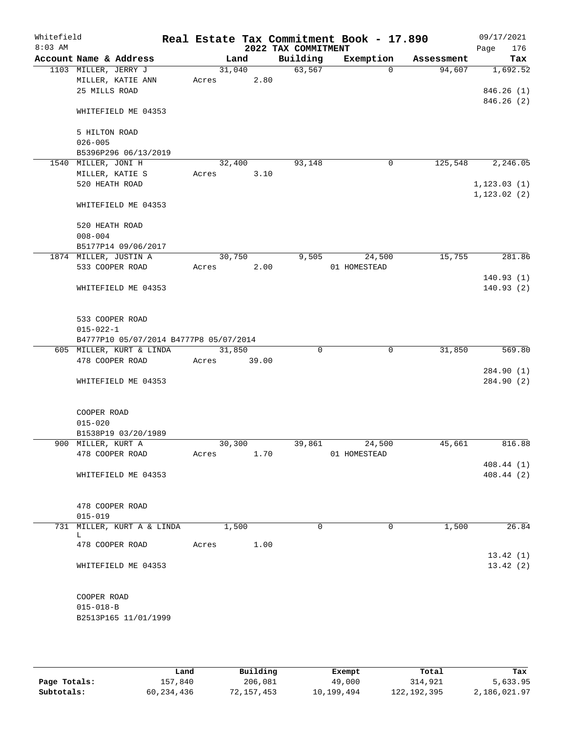| $8:03$ AM | Whitefield                         |                                        |        |       | 2022 TAX COMMITMENT | Real Estate Tax Commitment Book - 17.890 |            | 09/17/2021<br>176<br>Page |
|-----------|------------------------------------|----------------------------------------|--------|-------|---------------------|------------------------------------------|------------|---------------------------|
|           | Account Name & Address             |                                        | Land   |       | Building            | Exemption                                | Assessment | Tax                       |
|           | 1103 MILLER, JERRY J               |                                        | 31,040 |       | 63,567              | $\Omega$                                 | 94,607     | 1,692.52                  |
|           | MILLER, KATIE ANN                  |                                        | Acres  | 2.80  |                     |                                          |            |                           |
|           | 25 MILLS ROAD                      |                                        |        |       |                     |                                          |            | 846.26(1)                 |
|           |                                    | WHITEFIELD ME 04353                    |        |       |                     |                                          |            | 846.26(2)                 |
|           | 5 HILTON ROAD                      |                                        |        |       |                     |                                          |            |                           |
|           | $026 - 005$                        |                                        |        |       |                     |                                          |            |                           |
|           |                                    | B5396P296 06/13/2019                   |        |       |                     |                                          |            |                           |
|           | 1540 MILLER, JONI H                |                                        | 32,400 |       | 93,148              | 0                                        | 125,548    | 2,246.05                  |
|           | MILLER, KATIE S                    |                                        | Acres  | 3.10  |                     |                                          |            |                           |
|           | 520 HEATH ROAD                     |                                        |        |       |                     |                                          |            | 1, 123.03(1)              |
|           |                                    | WHITEFIELD ME 04353                    |        |       |                     |                                          |            | 1, 123.02(2)              |
|           | 520 HEATH ROAD                     |                                        |        |       |                     |                                          |            |                           |
|           | $008 - 004$                        |                                        |        |       |                     |                                          |            |                           |
|           |                                    | B5177P14 09/06/2017                    |        |       |                     |                                          |            |                           |
|           | 1874 MILLER, JUSTIN A              |                                        | 30,750 |       | 9,505               | 24,500                                   | 15,755     | 281.86                    |
|           | 533 COOPER ROAD                    |                                        | Acres  | 2.00  |                     | 01 HOMESTEAD                             |            |                           |
|           |                                    |                                        |        |       |                     |                                          |            | 140.93(1)                 |
|           |                                    | WHITEFIELD ME 04353                    |        |       |                     |                                          |            | 140.93(2)                 |
|           | 533 COOPER ROAD<br>$015 - 022 - 1$ |                                        |        |       |                     |                                          |            |                           |
|           |                                    | B4777P10 05/07/2014 B4777P8 05/07/2014 |        |       |                     |                                          |            |                           |
|           |                                    | 605 MILLER, KURT & LINDA               | 31,850 |       | $\Omega$            | $\mathbf 0$                              | 31,850     | 569.80                    |
|           | 478 COOPER ROAD                    |                                        | Acres  | 39.00 |                     |                                          |            | 284.90 (1)                |
|           |                                    | WHITEFIELD ME 04353                    |        |       |                     |                                          |            | 284.90 (2)                |
|           | COOPER ROAD<br>$015 - 020$         | B1538P19 03/20/1989                    |        |       |                     |                                          |            |                           |
|           | 900 MILLER, KURT A                 |                                        | 30,300 |       | 39,861              | 24,500                                   | 45,661     | 816.88                    |
|           | 478 COOPER ROAD                    |                                        | Acres  | 1.70  |                     | 01 HOMESTEAD                             |            |                           |
|           |                                    |                                        |        |       |                     |                                          |            | 408.44(1)                 |
|           |                                    | WHITEFIELD ME 04353                    |        |       |                     |                                          |            | 408.44 (2)                |
|           | 478 COOPER ROAD                    |                                        |        |       |                     |                                          |            |                           |
|           | $015 - 019$                        |                                        |        |       |                     |                                          |            |                           |
|           |                                    | 731 MILLER, KURT A & LINDA             | 1,500  |       | $\mathbf 0$         | 0                                        | 1,500      | 26.84                     |
|           | L<br>478 COOPER ROAD               |                                        |        |       |                     |                                          |            |                           |
|           |                                    |                                        | Acres  | 1.00  |                     |                                          |            |                           |
|           |                                    | WHITEFIELD ME 04353                    |        |       |                     |                                          |            | 13.42(1)<br>13.42(2)      |
|           | COOPER ROAD<br>$015 - 018 - B$     | B2513P165 11/01/1999                   |        |       |                     |                                          |            |                           |

|              | Land       | Building   | Exempt     | Total       | Tax          |
|--------------|------------|------------|------------|-------------|--------------|
| Page Totals: | 157,840    | 206,081    | 49,000     | 314,921     | 5,633.95     |
| Subtotals:   | 60,234,436 | 72,157,453 | 10,199,494 | 122,192,395 | 2,186,021.97 |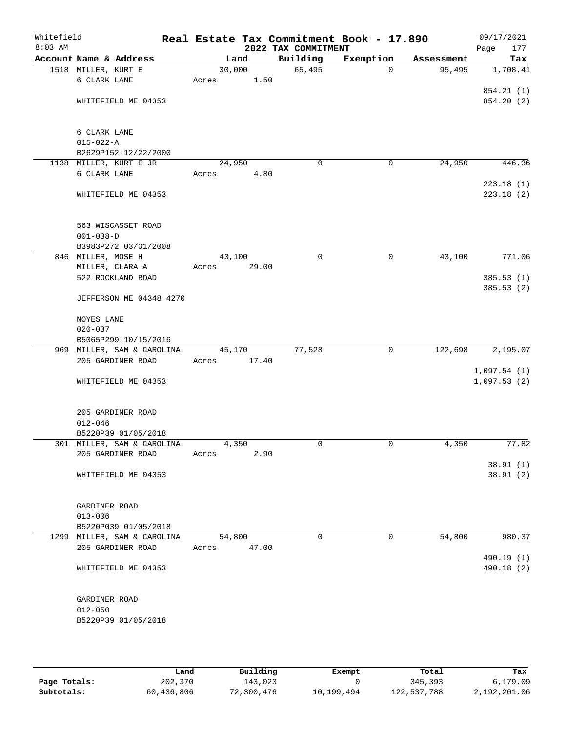| Whitefield<br>$8:03$ AM |                                  |       |        | 2022 TAX COMMITMENT | Real Estate Tax Commitment Book - 17.890 |            | 09/17/2021<br>Page<br>177 |
|-------------------------|----------------------------------|-------|--------|---------------------|------------------------------------------|------------|---------------------------|
|                         | Account Name & Address           |       | Land   | Building            | Exemption                                | Assessment | Tax                       |
|                         | 1518 MILLER, KURT E              |       | 30,000 | 65,495              | $\Omega$                                 | 95,495     | 1,708.41                  |
|                         | 6 CLARK LANE                     | Acres | 1.50   |                     |                                          |            |                           |
|                         |                                  |       |        |                     |                                          |            | 854.21 (1)                |
|                         | WHITEFIELD ME 04353              |       |        |                     |                                          |            | 854.20 (2)                |
|                         | 6 CLARK LANE                     |       |        |                     |                                          |            |                           |
|                         | $015 - 022 - A$                  |       |        |                     |                                          |            |                           |
|                         | B2629P152 12/22/2000             |       |        |                     |                                          |            |                           |
|                         | 1138 MILLER, KURT E JR           |       | 24,950 | $\mathbf 0$         | 0                                        | 24,950     | 446.36                    |
|                         | 6 CLARK LANE                     | Acres | 4.80   |                     |                                          |            |                           |
|                         |                                  |       |        |                     |                                          |            | 223.18(1)                 |
|                         | WHITEFIELD ME 04353              |       |        |                     |                                          |            | 223.18(2)                 |
|                         | 563 WISCASSET ROAD               |       |        |                     |                                          |            |                           |
|                         | $001 - 038 - D$                  |       |        |                     |                                          |            |                           |
|                         | B3983P272 03/31/2008             |       |        |                     |                                          |            |                           |
|                         | 846 MILLER, MOSE H               |       | 43,100 | $\mathbf 0$         | 0                                        | 43,100     | 771.06                    |
|                         | MILLER, CLARA A                  | Acres | 29.00  |                     |                                          |            |                           |
|                         | 522 ROCKLAND ROAD                |       |        |                     |                                          |            | 385.53(1)                 |
|                         | JEFFERSON ME 04348 4270          |       |        |                     |                                          |            | 385.53(2)                 |
|                         | NOYES LANE                       |       |        |                     |                                          |            |                           |
|                         | $020 - 037$                      |       |        |                     |                                          |            |                           |
|                         | B5065P299 10/15/2016             |       |        |                     |                                          |            |                           |
|                         | 969 MILLER, SAM & CAROLINA       |       | 45,170 | 77,528              | 0                                        | 122,698    | 2,195.07                  |
|                         | 205 GARDINER ROAD                | Acres | 17.40  |                     |                                          |            | 1,097.54(1)               |
|                         | WHITEFIELD ME 04353              |       |        |                     |                                          |            | 1,097.53(2)               |
|                         |                                  |       |        |                     |                                          |            |                           |
|                         | 205 GARDINER ROAD<br>$012 - 046$ |       |        |                     |                                          |            |                           |
|                         | B5220P39 01/05/2018              |       |        |                     |                                          |            |                           |
|                         | 301 MILLER, SAM & CAROLINA       |       | 4,350  | 0                   | 0                                        | 4,350      | 77.82                     |
|                         | 205 GARDINER ROAD                | Acres | 2.90   |                     |                                          |            |                           |
|                         |                                  |       |        |                     |                                          |            | 38.91(1)                  |
|                         | WHITEFIELD ME 04353              |       |        |                     |                                          |            | 38.91(2)                  |
|                         | GARDINER ROAD                    |       |        |                     |                                          |            |                           |
|                         | $013 - 006$                      |       |        |                     |                                          |            |                           |
|                         | B5220P039 01/05/2018             |       |        |                     |                                          |            |                           |
|                         | 1299 MILLER, SAM & CAROLINA      |       | 54,800 | 0                   | $\Omega$                                 | 54,800     | 980.37                    |
|                         | 205 GARDINER ROAD                | Acres | 47.00  |                     |                                          |            |                           |
|                         | WHITEFIELD ME 04353              |       |        |                     |                                          |            | 490.19 (1)<br>490.18 (2)  |
|                         |                                  |       |        |                     |                                          |            |                           |
|                         | GARDINER ROAD                    |       |        |                     |                                          |            |                           |
|                         | $012 - 050$                      |       |        |                     |                                          |            |                           |
|                         | B5220P39 01/05/2018              |       |        |                     |                                          |            |                           |
|                         |                                  |       |        |                     |                                          |            |                           |

|              | Land       | Building   | Exempt     | Total       | Tax          |
|--------------|------------|------------|------------|-------------|--------------|
| Page Totals: | 202,370    | 143,023    |            | 345,393     | 6.179.09     |
| Subtotals:   | 60,436,806 | 72,300,476 | 10,199,494 | 122,537,788 | 2,192,201.06 |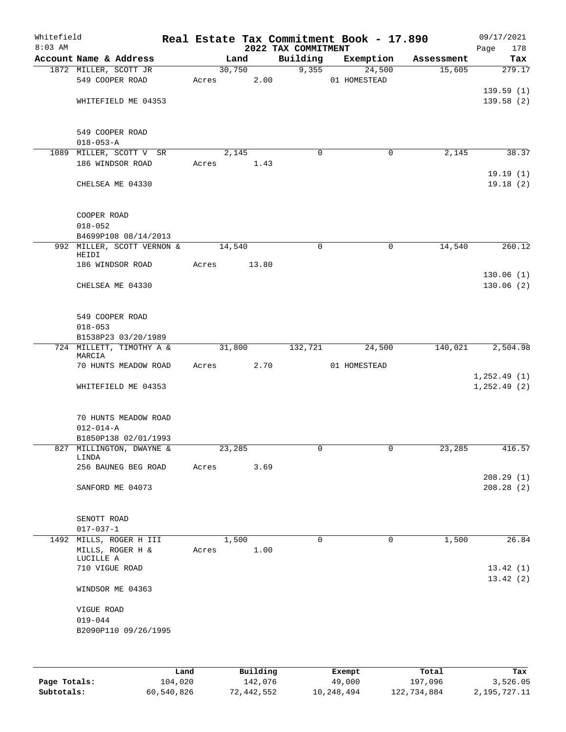| 09/17/2021<br>178<br>Page |            | Real Estate Tax Commitment Book - 17.890 | 2022 TAX COMMITMENT |                      |       |                                                                 | Whitefield<br>$8:03$ AM |
|---------------------------|------------|------------------------------------------|---------------------|----------------------|-------|-----------------------------------------------------------------|-------------------------|
| Tax                       | Assessment | Exemption                                | Building            | Land                 |       | Account Name & Address                                          |                         |
| 279.17                    | 15,605     | 24,500<br>01 HOMESTEAD                   | 9,355               | 30,750<br>Acres 2.00 |       | 1872 MILLER, SCOTT JR<br>549 COOPER ROAD                        |                         |
| 139.59(1)<br>139.58(2)    |            |                                          |                     |                      |       | WHITEFIELD ME 04353                                             |                         |
|                           |            |                                          |                     |                      |       | 549 COOPER ROAD<br>$018 - 053 - A$                              |                         |
| 38.37                     | 2,145      | 0                                        | $\mathbf 0$         | 2,145                |       | 1089 MILLER, SCOTT V SR                                         |                         |
|                           |            |                                          |                     | 1.43                 | Acres | 186 WINDSOR ROAD                                                |                         |
| 19.19(1)<br>19.18(2)      |            |                                          |                     |                      |       | CHELSEA ME 04330                                                |                         |
|                           |            |                                          |                     |                      |       | COOPER ROAD<br>$018 - 052$                                      |                         |
| 260.12                    | 14,540     | $\mathbf 0$                              | $\mathbf 0$         | 14,540               |       | B4699P108 08/14/2013<br>992 MILLER, SCOTT VERNON &              |                         |
|                           |            |                                          |                     |                      |       | HEIDI                                                           |                         |
|                           |            |                                          |                     | 13.80                | Acres | 186 WINDSOR ROAD                                                |                         |
| 130.06(1)<br>130.06(2)    |            |                                          |                     |                      |       | CHELSEA ME 04330                                                |                         |
|                           |            |                                          |                     |                      |       | 549 COOPER ROAD<br>$018 - 053$                                  |                         |
|                           |            |                                          |                     |                      |       | B1538P23 03/20/1989                                             |                         |
| 2,504.98                  | 140,021    | 24,500                                   | 132,721             | 31,800               |       | 724 MILLETT, TIMOTHY A &<br>MARCIA                              |                         |
|                           |            | 01 HOMESTEAD                             |                     | 2.70<br>Acres        |       | 70 HUNTS MEADOW ROAD                                            |                         |
| 1, 252.49(1)              |            |                                          |                     |                      |       |                                                                 |                         |
| 1, 252.49(2)              |            |                                          |                     |                      |       | WHITEFIELD ME 04353                                             |                         |
|                           |            |                                          |                     |                      |       | 70 HUNTS MEADOW ROAD<br>$012 - 014 - A$<br>B1850P138 02/01/1993 |                         |
| 416.57                    | 23,285     | 0                                        | 0                   | 23,285               |       | 827 MILLINGTON, DWAYNE &                                        |                         |
|                           |            |                                          |                     |                      |       | LINDA                                                           |                         |
|                           |            |                                          |                     | Acres 3.69           |       | 256 BAUNEG BEG ROAD                                             |                         |
| 208.29(1)<br>208.28 (2)   |            |                                          |                     |                      |       | SANFORD ME 04073                                                |                         |
|                           |            |                                          |                     |                      |       | SENOTT ROAD<br>$017 - 037 - 1$                                  |                         |
| 26.84                     | 1,500      | 0                                        | 0                   | 1,500                |       | 1492 MILLS, ROGER H III                                         |                         |
|                           |            |                                          |                     | 1.00                 | Acres | MILLS, ROGER H &<br>LUCILLE A                                   |                         |
| 13.42(1)<br>13.42(2)      |            |                                          |                     |                      |       | 710 VIGUE ROAD                                                  |                         |
|                           |            |                                          |                     |                      |       | WINDSOR ME 04363                                                |                         |
|                           |            |                                          |                     |                      |       | VIGUE ROAD                                                      |                         |
|                           |            |                                          |                     |                      |       |                                                                 |                         |

|              | Land       | Building   | Exempt     | Total       | Tax          |
|--------------|------------|------------|------------|-------------|--------------|
| Page Totals: | 104,020    | 142,076    | 49,000     | 197,096     | 3,526.05     |
| Subtotals:   | 60,540,826 | 72,442,552 | 10,248,494 | 122,734,884 | 2,195,727.11 |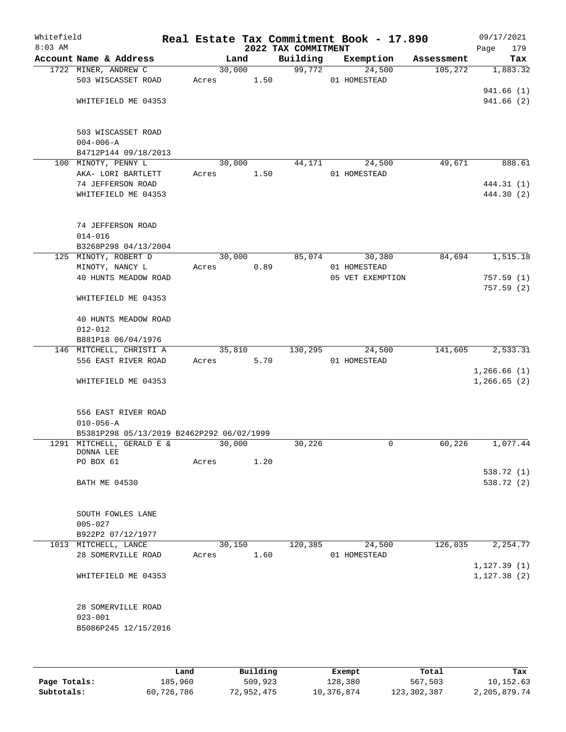| Whitefield<br>$8:03$ AM |                                           |       |        |      | 2022 TAX COMMITMENT | Real Estate Tax Commitment Book - 17.890 |            | 09/17/2021<br>Page<br>179 |
|-------------------------|-------------------------------------------|-------|--------|------|---------------------|------------------------------------------|------------|---------------------------|
|                         | Account Name & Address                    |       | Land   |      | Building            | Exemption                                | Assessment | Tax                       |
|                         | 1722 MINER, ANDREW C                      |       | 30,000 |      | 99,772              | 24,500                                   | 105,272    | 1,883.32                  |
|                         | 503 WISCASSET ROAD                        | Acres |        | 1.50 |                     | 01 HOMESTEAD                             |            |                           |
|                         |                                           |       |        |      |                     |                                          |            | 941.66(1)                 |
|                         | WHITEFIELD ME 04353                       |       |        |      |                     |                                          |            | 941.66(2)                 |
|                         |                                           |       |        |      |                     |                                          |            |                           |
|                         |                                           |       |        |      |                     |                                          |            |                           |
|                         | 503 WISCASSET ROAD                        |       |        |      |                     |                                          |            |                           |
|                         | $004 - 006 - A$                           |       |        |      |                     |                                          |            |                           |
|                         | B4712P144 09/18/2013                      |       |        |      |                     |                                          |            |                           |
|                         | 100 MINOTY, PENNY L                       |       | 30,000 |      | 44,171              | 24,500                                   | 49,671     | 888.61                    |
|                         | AKA- LORI BARTLETT                        | Acres |        | 1.50 |                     | 01 HOMESTEAD                             |            |                           |
|                         | 74 JEFFERSON ROAD                         |       |        |      |                     |                                          |            | 444.31 (1)                |
|                         | WHITEFIELD ME 04353                       |       |        |      |                     |                                          |            | 444.30 (2)                |
|                         |                                           |       |        |      |                     |                                          |            |                           |
|                         |                                           |       |        |      |                     |                                          |            |                           |
|                         | 74 JEFFERSON ROAD                         |       |        |      |                     |                                          |            |                           |
|                         | $014 - 016$                               |       |        |      |                     |                                          |            |                           |
|                         | B3268P298 04/13/2004                      |       |        |      |                     |                                          |            |                           |
|                         | 125 MINOTY, ROBERT D                      |       | 30,000 |      | 85,074              | 30,380                                   | 84,694     | 1,515.18                  |
|                         | MINOTY, NANCY L                           | Acres |        | 0.89 |                     | 01 HOMESTEAD                             |            |                           |
|                         | 40 HUNTS MEADOW ROAD                      |       |        |      |                     | 05 VET EXEMPTION                         |            | 757.59(1)                 |
|                         |                                           |       |        |      |                     |                                          |            | 757.59(2)                 |
|                         | WHITEFIELD ME 04353                       |       |        |      |                     |                                          |            |                           |
|                         |                                           |       |        |      |                     |                                          |            |                           |
|                         | 40 HUNTS MEADOW ROAD                      |       |        |      |                     |                                          |            |                           |
|                         | $012 - 012$                               |       |        |      |                     |                                          |            |                           |
|                         | B881P18 06/04/1976                        |       |        |      |                     |                                          |            |                           |
|                         | 146 MITCHELL, CHRISTI A                   |       | 35,810 |      | 130,295             | 24,500                                   | 141,605    | 2,533.31                  |
|                         | 556 EAST RIVER ROAD                       | Acres |        | 5.70 |                     | 01 HOMESTEAD                             |            |                           |
|                         |                                           |       |        |      |                     |                                          |            | 1,266.66(1)               |
|                         | WHITEFIELD ME 04353                       |       |        |      |                     |                                          |            | 1, 266.65(2)              |
|                         |                                           |       |        |      |                     |                                          |            |                           |
|                         |                                           |       |        |      |                     |                                          |            |                           |
|                         | 556 EAST RIVER ROAD                       |       |        |      |                     |                                          |            |                           |
|                         | $010 - 056 - A$                           |       |        |      |                     |                                          |            |                           |
|                         | B5381P298 05/13/2019 B2462P292 06/02/1999 |       | 30,000 |      |                     | 0                                        | 60,226     | 1,077.44                  |
|                         | 1291 MITCHELL, GERALD E &<br>DONNA LEE    |       |        |      | 30,226              |                                          |            |                           |
|                         | PO BOX 61                                 | Acres |        | 1.20 |                     |                                          |            |                           |
|                         |                                           |       |        |      |                     |                                          |            | 538.72 (1)                |
|                         | <b>BATH ME 04530</b>                      |       |        |      |                     |                                          |            | 538.72 (2)                |
|                         |                                           |       |        |      |                     |                                          |            |                           |
|                         |                                           |       |        |      |                     |                                          |            |                           |
|                         | SOUTH FOWLES LANE                         |       |        |      |                     |                                          |            |                           |
|                         | $005 - 027$                               |       |        |      |                     |                                          |            |                           |
|                         | B922P2 07/12/1977                         |       |        |      |                     |                                          |            |                           |
|                         | 1013 MITCHELL, LANCE                      |       | 30,150 |      | 120,385             | 24,500                                   | 126,035    | 2,254.77                  |
|                         | 28 SOMERVILLE ROAD                        | Acres |        | 1.60 |                     | 01 HOMESTEAD                             |            |                           |
|                         |                                           |       |        |      |                     |                                          |            | 1, 127.39(1)              |
|                         | WHITEFIELD ME 04353                       |       |        |      |                     |                                          |            | 1, 127.38(2)              |
|                         |                                           |       |        |      |                     |                                          |            |                           |
|                         |                                           |       |        |      |                     |                                          |            |                           |
|                         | 28 SOMERVILLE ROAD                        |       |        |      |                     |                                          |            |                           |
|                         | $023 - 001$                               |       |        |      |                     |                                          |            |                           |
|                         | B5086P245 12/15/2016                      |       |        |      |                     |                                          |            |                           |
|                         |                                           |       |        |      |                     |                                          |            |                           |
|                         |                                           |       |        |      |                     |                                          |            |                           |
|                         |                                           |       |        |      |                     |                                          |            |                           |

|              | Land       | Building   | Exempt     | Total       | Tax          |
|--------------|------------|------------|------------|-------------|--------------|
| Page Totals: | 185,960    | 509,923    | 128,380    | 567,503     | 10,152.63    |
| Subtotals:   | 60,726,786 | 72,952,475 | 10,376,874 | 123,302,387 | 2,205,879.74 |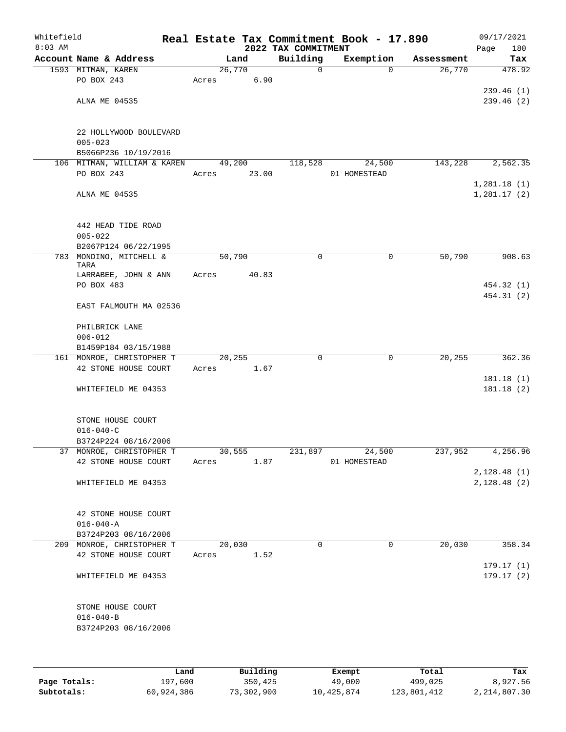| Whitefield<br>$8:03$ AM |                                 |        |        | 2022 TAX COMMITMENT | Real Estate Tax Commitment Book - 17.890 |            | Page | 09/17/2021<br>180 |
|-------------------------|---------------------------------|--------|--------|---------------------|------------------------------------------|------------|------|-------------------|
|                         | Account Name & Address          |        | Land   | Building            | Exemption                                | Assessment |      | Tax               |
|                         | 1593 MITMAN, KAREN              | 26,770 |        | $\mathsf{O}$        | $\Omega$                                 | 26,770     |      | 478.92            |
|                         | PO BOX 243                      | Acres  | 6.90   |                     |                                          |            |      |                   |
|                         |                                 |        |        |                     |                                          |            |      | 239.46(1)         |
|                         | ALNA ME 04535                   |        |        |                     |                                          |            |      | 239.46(2)         |
|                         |                                 |        |        |                     |                                          |            |      |                   |
|                         |                                 |        |        |                     |                                          |            |      |                   |
|                         | 22 HOLLYWOOD BOULEVARD          |        |        |                     |                                          |            |      |                   |
|                         | $005 - 023$                     |        |        |                     |                                          |            |      |                   |
|                         | B5066P236 10/19/2016            |        |        |                     |                                          |            |      |                   |
|                         | 106 MITMAN, WILLIAM & KAREN     |        | 49,200 | 118,528             | 24,500                                   | 143,228    |      | 2,562.35          |
|                         | PO BOX 243                      | Acres  | 23.00  |                     | 01 HOMESTEAD                             |            |      |                   |
|                         |                                 |        |        |                     |                                          |            |      | 1,281.18(1)       |
|                         | ALNA ME 04535                   |        |        |                     |                                          |            |      | 1,281.17(2)       |
|                         |                                 |        |        |                     |                                          |            |      |                   |
|                         |                                 |        |        |                     |                                          |            |      |                   |
|                         | 442 HEAD TIDE ROAD              |        |        |                     |                                          |            |      |                   |
|                         | $005 - 022$                     |        |        |                     |                                          |            |      |                   |
|                         | B2067P124 06/22/1995            |        |        |                     |                                          |            |      |                   |
|                         | 783 MONDINO, MITCHELL &<br>TARA | 50,790 |        | 0                   | 0                                        | 50,790     |      | 908.63            |
|                         | LARRABEE, JOHN & ANN            | Acres  | 40.83  |                     |                                          |            |      |                   |
|                         | PO BOX 483                      |        |        |                     |                                          |            |      | 454.32 (1)        |
|                         |                                 |        |        |                     |                                          |            |      | 454.31 (2)        |
|                         | EAST FALMOUTH MA 02536          |        |        |                     |                                          |            |      |                   |
|                         |                                 |        |        |                     |                                          |            |      |                   |
|                         | PHILBRICK LANE                  |        |        |                     |                                          |            |      |                   |
|                         | $006 - 012$                     |        |        |                     |                                          |            |      |                   |
|                         | B1459P184 03/15/1988            |        |        |                     |                                          |            |      |                   |
|                         | 161 MONROE, CHRISTOPHER T       | 20,255 |        | $\mathbf 0$         | $\mathbf 0$                              | 20,255     |      | 362.36            |
|                         | 42 STONE HOUSE COURT            | Acres  | 1.67   |                     |                                          |            |      |                   |
|                         |                                 |        |        |                     |                                          |            |      | 181.18(1)         |
|                         | WHITEFIELD ME 04353             |        |        |                     |                                          |            |      | 181.18(2)         |
|                         |                                 |        |        |                     |                                          |            |      |                   |
|                         |                                 |        |        |                     |                                          |            |      |                   |
|                         | STONE HOUSE COURT               |        |        |                     |                                          |            |      |                   |
|                         | $016 - 040 - C$                 |        |        |                     |                                          |            |      |                   |
|                         | B3724P224 08/16/2006            |        |        |                     |                                          |            |      |                   |
|                         | 37 MONROE, CHRISTOPHER T        | 30,555 |        | 231,897             | 24,500                                   | 237,952    |      | 4,256.96          |
|                         | 42 STONE HOUSE COURT            | Acres  | 1.87   |                     | 01 HOMESTEAD                             |            |      |                   |
|                         |                                 |        |        |                     |                                          |            |      | 2,128.48(1)       |
|                         | WHITEFIELD ME 04353             |        |        |                     |                                          |            |      | 2,128.48(2)       |
|                         |                                 |        |        |                     |                                          |            |      |                   |
|                         |                                 |        |        |                     |                                          |            |      |                   |
|                         | 42 STONE HOUSE COURT            |        |        |                     |                                          |            |      |                   |
|                         | $016 - 040 - A$                 |        |        |                     |                                          |            |      |                   |
|                         | B3724P203 08/16/2006            |        |        |                     |                                          |            |      |                   |
|                         | 209 MONROE, CHRISTOPHER T       |        | 20,030 | $\Omega$            | 0                                        | 20,030     |      | 358.34            |
|                         | 42 STONE HOUSE COURT            | Acres  | 1.52   |                     |                                          |            |      |                   |
|                         |                                 |        |        |                     |                                          |            |      | 179.17 (1)        |
|                         | WHITEFIELD ME 04353             |        |        |                     |                                          |            |      | 179.17(2)         |
|                         |                                 |        |        |                     |                                          |            |      |                   |
|                         |                                 |        |        |                     |                                          |            |      |                   |
|                         | STONE HOUSE COURT               |        |        |                     |                                          |            |      |                   |
|                         | $016 - 040 - B$                 |        |        |                     |                                          |            |      |                   |
|                         | B3724P203 08/16/2006            |        |        |                     |                                          |            |      |                   |
|                         |                                 |        |        |                     |                                          |            |      |                   |
|                         |                                 |        |        |                     |                                          |            |      |                   |
|                         |                                 |        |        |                     |                                          |            |      |                   |

|              | Land       | Building   | Exempt     | Total       | Tax          |
|--------------|------------|------------|------------|-------------|--------------|
| Page Totals: | 197,600    | 350,425    | 49,000     | 499,025     | 8,927.56     |
| Subtotals:   | 60,924,386 | 73,302,900 | 10,425,874 | 123,801,412 | 2,214,807.30 |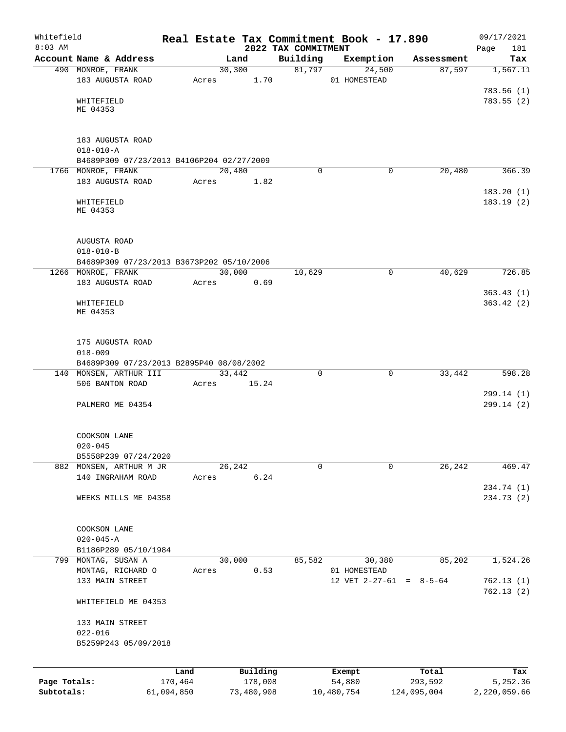| Whitefield<br>$8:03$ AM    |                                                 |                       |                       |                                 | Real Estate Tax Commitment Book - 17.890 |                        | 09/17/2021<br>181        |
|----------------------------|-------------------------------------------------|-----------------------|-----------------------|---------------------------------|------------------------------------------|------------------------|--------------------------|
|                            | Account Name & Address                          |                       | Land                  | 2022 TAX COMMITMENT<br>Building | Exemption                                | Assessment             | Page<br>Tax              |
|                            | 490 MONROE, FRANK                               |                       | 30,300                | 81,797                          | 24,500                                   | 87,597                 | 1,567.11                 |
|                            | 183 AUGUSTA ROAD                                | Acres                 | 1.70                  |                                 | 01 HOMESTEAD                             |                        |                          |
|                            |                                                 |                       |                       |                                 |                                          |                        | 783.56(1)                |
|                            | WHITEFIELD                                      |                       |                       |                                 |                                          |                        | 783.55(2)                |
|                            | ME 04353                                        |                       |                       |                                 |                                          |                        |                          |
|                            |                                                 |                       |                       |                                 |                                          |                        |                          |
|                            | 183 AUGUSTA ROAD                                |                       |                       |                                 |                                          |                        |                          |
|                            | $018 - 010 - A$                                 |                       |                       |                                 |                                          |                        |                          |
|                            | B4689P309 07/23/2013 B4106P204 02/27/2009       |                       |                       |                                 |                                          |                        |                          |
|                            | 1766 MONROE, FRANK                              |                       | 20,480                | 0                               | $\mathbf 0$                              | 20,480                 | 366.39                   |
|                            | 183 AUGUSTA ROAD                                | Acres                 | 1.82                  |                                 |                                          |                        |                          |
|                            |                                                 |                       |                       |                                 |                                          |                        | 183.20(1)                |
|                            | WHITEFIELD                                      |                       |                       |                                 |                                          |                        | 183.19(2)                |
|                            | ME 04353                                        |                       |                       |                                 |                                          |                        |                          |
|                            |                                                 |                       |                       |                                 |                                          |                        |                          |
|                            | AUGUSTA ROAD                                    |                       |                       |                                 |                                          |                        |                          |
|                            | $018 - 010 - B$                                 |                       |                       |                                 |                                          |                        |                          |
|                            | B4689P309 07/23/2013 B3673P202 05/10/2006       |                       |                       |                                 |                                          |                        |                          |
|                            | 1266 MONROE, FRANK                              |                       | 30,000                | 10,629                          | 0                                        | 40,629                 | 726.85                   |
|                            | 183 AUGUSTA ROAD                                | Acres                 | 0.69                  |                                 |                                          |                        |                          |
|                            |                                                 |                       |                       |                                 |                                          |                        | 363.43(1)                |
|                            | WHITEFIELD                                      |                       |                       |                                 |                                          |                        | 363.42(2)                |
|                            | ME 04353                                        |                       |                       |                                 |                                          |                        |                          |
|                            |                                                 |                       |                       |                                 |                                          |                        |                          |
|                            | 175 AUGUSTA ROAD                                |                       |                       |                                 |                                          |                        |                          |
|                            | $018 - 009$                                     |                       |                       |                                 |                                          |                        |                          |
|                            | B4689P309 07/23/2013 B2895P40 08/08/2002        |                       |                       |                                 |                                          |                        |                          |
|                            | 140 MONSEN, ARTHUR III                          |                       | 33,442                | $\Omega$                        | $\mathbf 0$                              | 33,442                 | 598.28                   |
|                            | 506 BANTON ROAD                                 | Acres                 | 15.24                 |                                 |                                          |                        |                          |
|                            |                                                 |                       |                       |                                 |                                          |                        | 299.14(1)                |
|                            | PALMERO ME 04354                                |                       |                       |                                 |                                          |                        | 299.14(2)                |
|                            |                                                 |                       |                       |                                 |                                          |                        |                          |
|                            |                                                 |                       |                       |                                 |                                          |                        |                          |
|                            | COOKSON LANE                                    |                       |                       |                                 |                                          |                        |                          |
|                            | $020 - 045$                                     |                       |                       |                                 |                                          |                        |                          |
|                            | B5558P239 07/24/2020<br>882 MONSEN, ARTHUR M JR |                       | 26,242                | $\mathbf 0$                     | 0                                        | 26,242                 | 469.47                   |
|                            | 140 INGRAHAM ROAD                               | Acres                 | 6.24                  |                                 |                                          |                        |                          |
|                            |                                                 |                       |                       |                                 |                                          |                        | 234.74 (1)               |
|                            | WEEKS MILLS ME 04358                            |                       |                       |                                 |                                          |                        | 234.73 (2)               |
|                            |                                                 |                       |                       |                                 |                                          |                        |                          |
|                            |                                                 |                       |                       |                                 |                                          |                        |                          |
|                            | COOKSON LANE                                    |                       |                       |                                 |                                          |                        |                          |
|                            | $020 - 045 - A$                                 |                       |                       |                                 |                                          |                        |                          |
|                            | B1186P289 05/10/1984                            |                       |                       |                                 |                                          |                        |                          |
|                            | 799 MONTAG, SUSAN A                             |                       | 30,000                | 85,582                          | 30,380                                   | 85,202                 | 1,524.26                 |
|                            | MONTAG, RICHARD O                               | Acres                 | 0.53                  |                                 | 01 HOMESTEAD                             |                        |                          |
|                            | 133 MAIN STREET                                 |                       |                       |                                 | 12 VET $2-27-61 = 8-5-64$                |                        | 762.13(1)<br>762.13(2)   |
|                            |                                                 |                       |                       |                                 |                                          |                        |                          |
|                            | WHITEFIELD ME 04353                             |                       |                       |                                 |                                          |                        |                          |
|                            | 133 MAIN STREET                                 |                       |                       |                                 |                                          |                        |                          |
|                            | $022 - 016$                                     |                       |                       |                                 |                                          |                        |                          |
|                            | B5259P243 05/09/2018                            |                       |                       |                                 |                                          |                        |                          |
|                            |                                                 |                       |                       |                                 |                                          |                        |                          |
|                            |                                                 |                       |                       |                                 |                                          |                        |                          |
|                            |                                                 | Land                  | Building              |                                 | Exempt                                   | Total                  | Tax                      |
| Page Totals:<br>Subtotals: |                                                 | 170,464<br>61,094,850 | 178,008<br>73,480,908 |                                 | 54,880<br>10,480,754                     | 293,592<br>124,095,004 | 5,252.36<br>2,220,059.66 |
|                            |                                                 |                       |                       |                                 |                                          |                        |                          |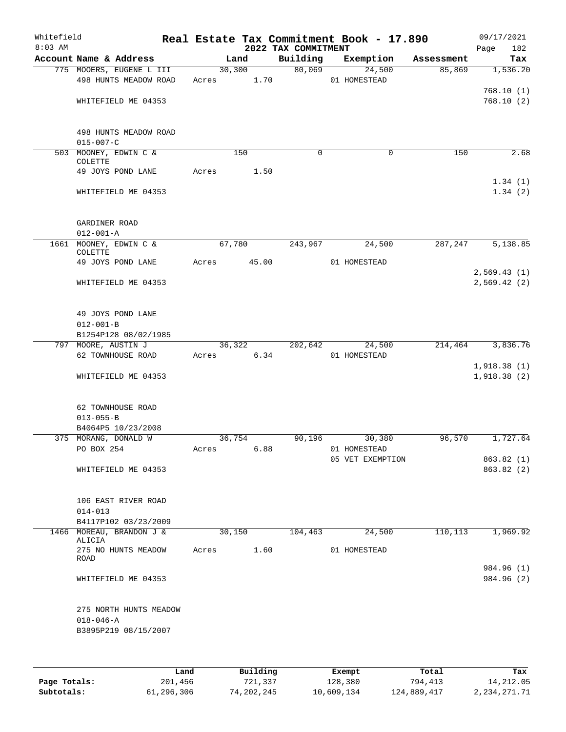| Whitefield<br>$8:03$ AM |                                                                   |            |        | 2022 TAX COMMITMENT | Real Estate Tax Commitment Book - 17.890 |            | 09/17/2021<br>Page<br>182  |
|-------------------------|-------------------------------------------------------------------|------------|--------|---------------------|------------------------------------------|------------|----------------------------|
|                         | Account Name & Address                                            |            | Land   | Building            | Exemption                                | Assessment | Tax                        |
|                         | 775 MOOERS, EUGENE L III<br>498 HUNTS MEADOW ROAD                 | Acres      | 30,300 | 80,069<br>1.70      | 24,500<br>01 HOMESTEAD                   | 85,869     | 1,536.20                   |
|                         | WHITEFIELD ME 04353                                               |            |        |                     |                                          |            | 768.10(1)<br>768.10(2)     |
|                         | 498 HUNTS MEADOW ROAD<br>$015 - 007 - C$                          |            |        |                     |                                          |            |                            |
|                         | 503 MOONEY, EDWIN C &<br>COLETTE                                  |            | 150    |                     | $\Omega$<br>$\Omega$                     | 150        | 2.68                       |
|                         | 49 JOYS POND LANE                                                 | Acres      |        | 1.50                |                                          |            |                            |
|                         | WHITEFIELD ME 04353                                               |            |        |                     |                                          |            | 1.34(1)<br>1.34(2)         |
|                         | GARDINER ROAD<br>$012 - 001 - A$                                  |            |        |                     |                                          |            |                            |
|                         | 1661 MOONEY, EDWIN C &<br><b>COLETTE</b>                          |            | 67,780 | 243,967             | 24,500                                   | 287,247    | 5,138.85                   |
|                         | 49 JOYS POND LANE                                                 | Acres      | 45.00  |                     | 01 HOMESTEAD                             |            |                            |
|                         | WHITEFIELD ME 04353                                               |            |        |                     |                                          |            | 2,569.43(1)<br>2,569.42(2) |
|                         | 49 JOYS POND LANE<br>$012 - 001 - B$                              |            |        |                     |                                          |            |                            |
|                         | B1254P128 08/02/1985<br>797 MOORE, AUSTIN J                       |            | 36,322 | 202,642             | 24,500                                   | 214,464    | 3,836.76                   |
|                         | 62 TOWNHOUSE ROAD                                                 | Acres      |        | 6.34                | 01 HOMESTEAD                             |            |                            |
|                         | WHITEFIELD ME 04353                                               |            |        |                     |                                          |            | 1,918.38(1)<br>1,918.38(2) |
|                         | 62 TOWNHOUSE ROAD<br>$013 - 055 - B$                              |            |        |                     |                                          |            |                            |
|                         | B4064P5 10/23/2008                                                |            |        |                     |                                          |            |                            |
|                         | 375 MORANG, DONALD W<br>PO BOX 254                                |            | 36,754 | 90,196              | 30,380<br>Acres 6.88 01 HOMESTEAD        | 96,570     | 1,727.64                   |
|                         |                                                                   |            |        |                     | 05 VET EXEMPTION                         |            | 863.82 (1)                 |
|                         | WHITEFIELD ME 04353                                               |            |        |                     |                                          |            | 863.82 (2)                 |
|                         | 106 EAST RIVER ROAD<br>$014 - 013$                                |            |        |                     |                                          |            |                            |
|                         | B4117P102 03/23/2009                                              |            |        |                     |                                          |            |                            |
|                         | 1466 MOREAU, BRANDON J &<br>ALICIA                                |            |        |                     | 30,150 104,463 24,500                    | 110,113    | 1,969.92                   |
|                         | 275 NO HUNTS MEADOW<br>ROAD                                       | Acres 1.60 |        |                     | 01 HOMESTEAD                             |            |                            |
|                         | WHITEFIELD ME 04353                                               |            |        |                     |                                          |            | 984.96 (1)<br>984.96 (2)   |
|                         | 275 NORTH HUNTS MEADOW<br>$018 - 046 - A$<br>B3895P219 08/15/2007 |            |        |                     |                                          |            |                            |
|                         |                                                                   |            |        |                     |                                          |            |                            |

|              | Land       | Building   | Exempt     | Total       | Tax          |
|--------------|------------|------------|------------|-------------|--------------|
| Page Totals: | 201,456    | 721,337    | 128,380    | 794,413     | 14,212.05    |
| Subtotals:   | 61,296,306 | 74,202,245 | 10,609,134 | 124,889,417 | 2,234,271.71 |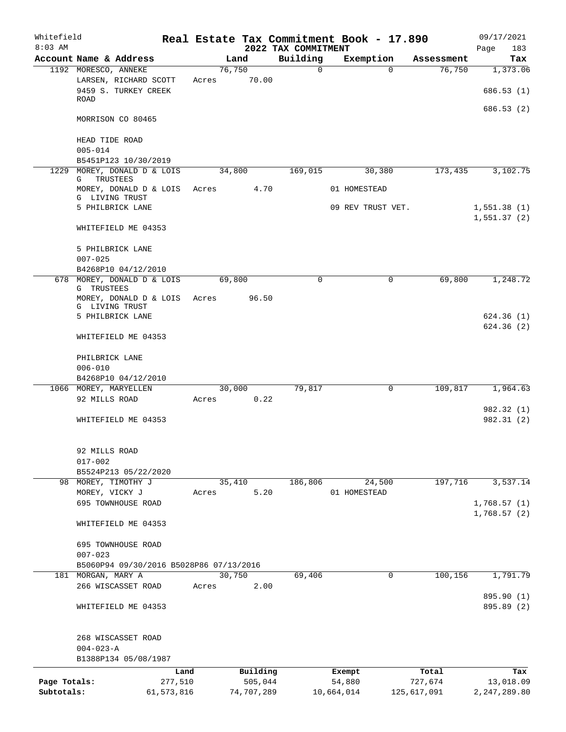| Whitefield   |                                                              |            |       |        |            |                                 | Real Estate Tax Commitment Book - 17.890 |                    | 09/17/2021                 |
|--------------|--------------------------------------------------------------|------------|-------|--------|------------|---------------------------------|------------------------------------------|--------------------|----------------------------|
| $8:03$ AM    | Account Name & Address                                       |            |       | Land   |            | 2022 TAX COMMITMENT<br>Building | Exemption                                | Assessment         | 183<br>Page<br>Tax         |
|              | 1192 MORESCO, ANNEKE                                         |            |       | 76,750 |            | 0                               |                                          | 76,750<br>$\Omega$ | 1,373.06                   |
|              | LARSEN, RICHARD SCOTT<br>9459 S. TURKEY CREEK<br><b>ROAD</b> |            | Acres |        | 70.00      |                                 |                                          |                    | 686.53(1)                  |
|              | MORRISON CO 80465                                            |            |       |        |            |                                 |                                          |                    | 686.53(2)                  |
|              |                                                              |            |       |        |            |                                 |                                          |                    |                            |
|              | HEAD TIDE ROAD<br>$005 - 014$                                |            |       |        |            |                                 |                                          |                    |                            |
|              | B5451P123 10/30/2019                                         |            |       |        |            |                                 |                                          |                    |                            |
| 1229         | MOREY, DONALD D & LOIS<br>TRUSTEES<br>G                      |            |       | 34,800 |            | 169,015                         | 30,380                                   | 173,435            | 3,102.75                   |
|              | MOREY, DONALD D & LOIS<br>G LIVING TRUST                     |            | Acres |        | 4.70       |                                 | 01 HOMESTEAD                             |                    |                            |
|              | 5 PHILBRICK LANE                                             |            |       |        |            |                                 | 09 REV TRUST VET.                        |                    | 1,551.38(1)<br>1,551.37(2) |
|              | WHITEFIELD ME 04353                                          |            |       |        |            |                                 |                                          |                    |                            |
|              | 5 PHILBRICK LANE<br>$007 - 025$                              |            |       |        |            |                                 |                                          |                    |                            |
|              | B4268P10 04/12/2010                                          |            |       |        |            |                                 |                                          |                    |                            |
|              | 678 MOREY, DONALD D & LOIS<br>G TRUSTEES                     |            |       | 69,800 |            | 0                               |                                          | 69,800<br>0        | 1,248.72                   |
|              | MOREY, DONALD D & LOIS<br>G LIVING TRUST                     |            | Acres |        | 96.50      |                                 |                                          |                    |                            |
|              | 5 PHILBRICK LANE                                             |            |       |        |            |                                 |                                          |                    | 624.36(1)<br>624.36(2)     |
|              | WHITEFIELD ME 04353                                          |            |       |        |            |                                 |                                          |                    |                            |
|              | PHILBRICK LANE                                               |            |       |        |            |                                 |                                          |                    |                            |
|              | $006 - 010$                                                  |            |       |        |            |                                 |                                          |                    |                            |
|              | B4268P10 04/12/2010<br>1066 MOREY, MARYELLEN                 |            |       | 30,000 |            | 79,817                          |                                          | 0<br>109,817       | 1,964.63                   |
|              | 92 MILLS ROAD                                                |            | Acres |        | 0.22       |                                 |                                          |                    |                            |
|              |                                                              |            |       |        |            |                                 |                                          |                    | 982.32 (1)                 |
|              | WHITEFIELD ME 04353                                          |            |       |        |            |                                 |                                          |                    | 982.31(2)                  |
|              | 92 MILLS ROAD                                                |            |       |        |            |                                 |                                          |                    |                            |
|              | $017 - 002$                                                  |            |       |        |            |                                 |                                          |                    |                            |
|              | B5524P213 05/22/2020                                         |            |       |        |            |                                 |                                          |                    |                            |
|              | 98 MOREY, TIMOTHY J                                          |            |       | 35,410 |            | 186,806                         | 24,500                                   | 197,716            | 3,537.14                   |
|              | MOREY, VICKY J                                               |            | Acres |        | 5.20       |                                 | 01 HOMESTEAD                             |                    |                            |
|              | 695 TOWNHOUSE ROAD                                           |            |       |        |            |                                 |                                          |                    | 1,768.57(1)<br>1,768.57(2) |
|              | WHITEFIELD ME 04353                                          |            |       |        |            |                                 |                                          |                    |                            |
|              | 695 TOWNHOUSE ROAD                                           |            |       |        |            |                                 |                                          |                    |                            |
|              | $007 - 023$                                                  |            |       |        |            |                                 |                                          |                    |                            |
|              | B5060P94 09/30/2016 B5028P86 07/13/2016                      |            |       |        |            |                                 |                                          |                    |                            |
|              | 181 MORGAN, MARY A                                           |            |       | 30,750 |            | 69,406                          |                                          | 100, 156<br>0      | 1,791.79                   |
|              | 266 WISCASSET ROAD                                           |            | Acres |        | 2.00       |                                 |                                          |                    | 895.90 (1)                 |
|              | WHITEFIELD ME 04353                                          |            |       |        |            |                                 |                                          |                    | 895.89 (2)                 |
|              | 268 WISCASSET ROAD                                           |            |       |        |            |                                 |                                          |                    |                            |
|              | $004 - 023 - A$                                              |            |       |        |            |                                 |                                          |                    |                            |
|              | B1388P134 05/08/1987                                         |            |       |        |            |                                 |                                          |                    |                            |
|              |                                                              | Land       |       |        | Building   |                                 | Exempt                                   | Total              | Tax                        |
| Page Totals: |                                                              | 277,510    |       |        | 505,044    |                                 | 54,880                                   | 727,674            | 13,018.09                  |
| Subtotals:   |                                                              | 61,573,816 |       |        | 74,707,289 |                                 | 10,664,014                               | 125,617,091        | 2, 247, 289.80             |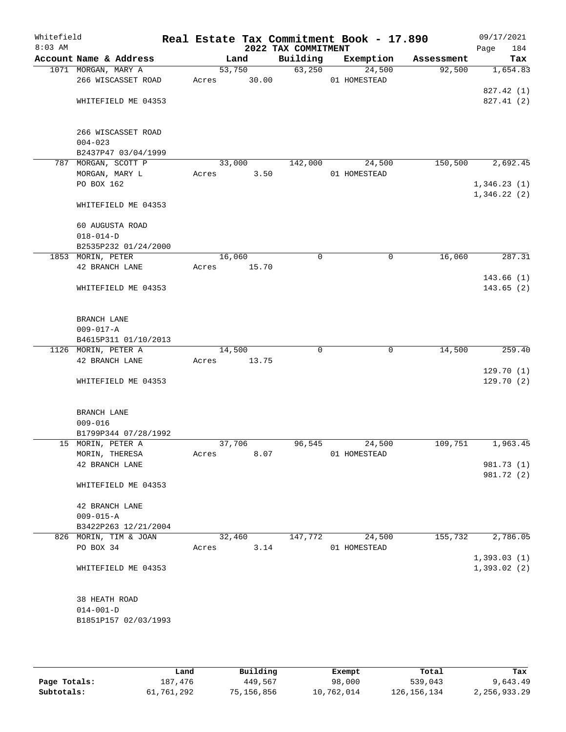| Whitefield<br>$8:03$ AM |                        |        |        | 2022 TAX COMMITMENT | Real Estate Tax Commitment Book - 17.890 |            | 09/17/2021<br>Page<br>184  |
|-------------------------|------------------------|--------|--------|---------------------|------------------------------------------|------------|----------------------------|
|                         | Account Name & Address |        | Land   | Building            | Exemption                                | Assessment | Tax                        |
|                         | 1071 MORGAN, MARY A    |        | 53,750 | 63,250              | 24,500                                   | 92,500     | 1,654.83                   |
|                         | 266 WISCASSET ROAD     | Acres  | 30.00  |                     | 01 HOMESTEAD                             |            |                            |
|                         |                        |        |        |                     |                                          |            | 827.42 (1)                 |
|                         | WHITEFIELD ME 04353    |        |        |                     |                                          |            | 827.41 (2)                 |
|                         | 266 WISCASSET ROAD     |        |        |                     |                                          |            |                            |
|                         | $004 - 023$            |        |        |                     |                                          |            |                            |
|                         | B2437P47 03/04/1999    |        |        |                     |                                          |            |                            |
|                         | 787 MORGAN, SCOTT P    |        | 33,000 | 142,000             | 24,500                                   | 150,500    | 2,692.45                   |
|                         | MORGAN, MARY L         | Acres  | 3.50   |                     | 01 HOMESTEAD                             |            |                            |
|                         | PO BOX 162             |        |        |                     |                                          |            | 1,346.23(1)                |
|                         | WHITEFIELD ME 04353    |        |        |                     |                                          |            | 1,346.22(2)                |
|                         | 60 AUGUSTA ROAD        |        |        |                     |                                          |            |                            |
|                         | $018 - 014 - D$        |        |        |                     |                                          |            |                            |
|                         | B2535P232 01/24/2000   |        |        |                     |                                          |            |                            |
|                         | 1853 MORIN, PETER      | 16,060 |        | 0                   | 0                                        | 16,060     | 287.31                     |
|                         | 42 BRANCH LANE         | Acres  | 15.70  |                     |                                          |            |                            |
|                         |                        |        |        |                     |                                          |            | 143.66(1)                  |
|                         | WHITEFIELD ME 04353    |        |        |                     |                                          |            | 143.65(2)                  |
|                         | BRANCH LANE            |        |        |                     |                                          |            |                            |
|                         | $009 - 017 - A$        |        |        |                     |                                          |            |                            |
|                         | B4615P311 01/10/2013   |        |        |                     |                                          |            |                            |
|                         | 1126 MORIN, PETER A    | 14,500 |        | 0                   | $\mathbf 0$                              | 14,500     | 259.40                     |
|                         | 42 BRANCH LANE         | Acres  | 13.75  |                     |                                          |            |                            |
|                         |                        |        |        |                     |                                          |            | 129.70(1)                  |
|                         | WHITEFIELD ME 04353    |        |        |                     |                                          |            | 129.70(2)                  |
|                         | BRANCH LANE            |        |        |                     |                                          |            |                            |
|                         | $009 - 016$            |        |        |                     |                                          |            |                            |
|                         | B1799P344 07/28/1992   |        |        |                     |                                          |            |                            |
|                         | 15 MORIN, PETER A      | 37,706 |        | 96,545              | 24,500                                   | 109,751    | 1,963.45                   |
|                         | MORIN, THERESA         | Acres  | 8.07   |                     | 01 HOMESTEAD                             |            |                            |
|                         | 42 BRANCH LANE         |        |        |                     |                                          |            | 981.73 (1)                 |
|                         | WHITEFIELD ME 04353    |        |        |                     |                                          |            | 981.72 (2)                 |
|                         | 42 BRANCH LANE         |        |        |                     |                                          |            |                            |
|                         | $009 - 015 - A$        |        |        |                     |                                          |            |                            |
|                         | B3422P263 12/21/2004   |        |        |                     |                                          |            |                            |
|                         | 826 MORIN, TIM & JOAN  |        | 32,460 | 147,772             | 24,500                                   | 155,732    | 2,786.05                   |
|                         | PO BOX 34              | Acres  | 3.14   |                     | 01 HOMESTEAD                             |            |                            |
|                         | WHITEFIELD ME 04353    |        |        |                     |                                          |            | 1,393.03(1)<br>1,393.02(2) |
|                         |                        |        |        |                     |                                          |            |                            |
|                         | 38 HEATH ROAD          |        |        |                     |                                          |            |                            |
|                         | $014 - 001 - D$        |        |        |                     |                                          |            |                            |
|                         | B1851P157 02/03/1993   |        |        |                     |                                          |            |                            |
|                         |                        |        |        |                     |                                          |            |                            |
|                         |                        |        |        |                     |                                          |            |                            |

|              | Land       | Building   | Exempt     | Total         | Tax          |
|--------------|------------|------------|------------|---------------|--------------|
| Page Totals: | 187,476    | 449,567    | 98,000     | 539,043       | 9,643.49     |
| Subtotals:   | 61,761,292 | 75,156,856 | 10,762,014 | 126, 156, 134 | 2,256,933.29 |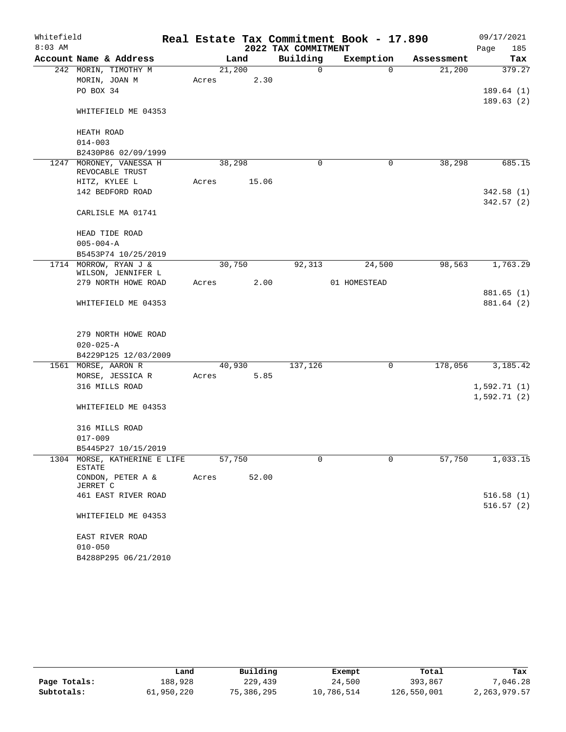| Whitefield |                                             |       |        |       |                     | Real Estate Tax Commitment Book - 17.890 |            | 09/17/2021  |
|------------|---------------------------------------------|-------|--------|-------|---------------------|------------------------------------------|------------|-------------|
| $8:03$ AM  |                                             |       |        |       | 2022 TAX COMMITMENT |                                          |            | Page<br>185 |
|            | Account Name & Address                      |       | Land   |       | Building            | Exemption                                | Assessment | Tax         |
|            | 242 MORIN, TIMOTHY M                        |       | 21,200 |       | $\mathbf 0$         | $\Omega$                                 | 21,200     | 379.27      |
|            | MORIN, JOAN M                               | Acres |        | 2.30  |                     |                                          |            |             |
|            | PO BOX 34                                   |       |        |       |                     |                                          |            | 189.64(1)   |
|            | WHITEFIELD ME 04353                         |       |        |       |                     |                                          |            | 189.63(2)   |
|            | HEATH ROAD                                  |       |        |       |                     |                                          |            |             |
|            | $014 - 003$                                 |       |        |       |                     |                                          |            |             |
|            | B2430P86 02/09/1999                         |       |        |       |                     |                                          |            |             |
| 1247       | MORONEY, VANESSA H<br>REVOCABLE TRUST       |       | 38,298 |       | $\mathbf 0$         | 0                                        | 38,298     | 685.15      |
|            | HITZ, KYLEE L                               | Acres |        | 15.06 |                     |                                          |            |             |
|            | 142 BEDFORD ROAD                            |       |        |       |                     |                                          |            | 342.58(1)   |
|            | CARLISLE MA 01741                           |       |        |       |                     |                                          |            | 342.57(2)   |
|            | HEAD TIDE ROAD                              |       |        |       |                     |                                          |            |             |
|            | $005 - 004 - A$                             |       |        |       |                     |                                          |            |             |
|            | B5453P74 10/25/2019                         |       |        |       |                     |                                          |            |             |
|            | 1714 MORROW, RYAN J &<br>WILSON, JENNIFER L |       | 30,750 |       | 92,313              | 24,500                                   | 98,563     | 1,763.29    |
|            | 279 NORTH HOWE ROAD                         | Acres |        | 2.00  |                     | 01 HOMESTEAD                             |            |             |
|            |                                             |       |        |       |                     |                                          |            | 881.65(1)   |
|            | WHITEFIELD ME 04353                         |       |        |       |                     |                                          |            | 881.64 (2)  |
|            | 279 NORTH HOWE ROAD                         |       |        |       |                     |                                          |            |             |
|            | $020 - 025 - A$                             |       |        |       |                     |                                          |            |             |
|            | B4229P125 12/03/2009                        |       |        |       |                     |                                          |            |             |
|            | 1561 MORSE, AARON R                         |       | 40,930 |       | 137,126             | $\mathsf{O}$                             | 178,056    | 3,185.42    |
|            | MORSE, JESSICA R                            | Acres |        | 5.85  |                     |                                          |            |             |
|            | 316 MILLS ROAD                              |       |        |       |                     |                                          |            | 1,592.71(1) |
|            | WHITEFIELD ME 04353                         |       |        |       |                     |                                          |            | 1,592.71(2) |
|            | 316 MILLS ROAD                              |       |        |       |                     |                                          |            |             |
|            | $017 - 009$                                 |       |        |       |                     |                                          |            |             |
|            | B5445P27 10/15/2019                         |       |        |       |                     |                                          |            |             |
|            | 1304 MORSE, KATHERINE E LIFE<br>ESTATE      |       | 57,750 |       | 0                   | 0                                        | 57,750     | 1,033.15    |
|            | CONDON, PETER A &<br>JERRET C               | Acres |        | 52.00 |                     |                                          |            |             |
|            | 461 EAST RIVER ROAD                         |       |        |       |                     |                                          |            | 516.58(1)   |
|            | WHITEFIELD ME 04353                         |       |        |       |                     |                                          |            | 516.57(2)   |
|            | EAST RIVER ROAD                             |       |        |       |                     |                                          |            |             |
|            | $010 - 050$                                 |       |        |       |                     |                                          |            |             |
|            | B4288P295 06/21/2010                        |       |        |       |                     |                                          |            |             |

|              | Land       | Building   | Exempt     | Total       | Tax            |
|--------------|------------|------------|------------|-------------|----------------|
| Page Totals: | 188,928    | 229,439    | 24,500     | 393,867     | ,046.28        |
| Subtotals:   | 61,950,220 | 75,386,295 | 10,786,514 | 126,550,001 | 2, 263, 979.57 |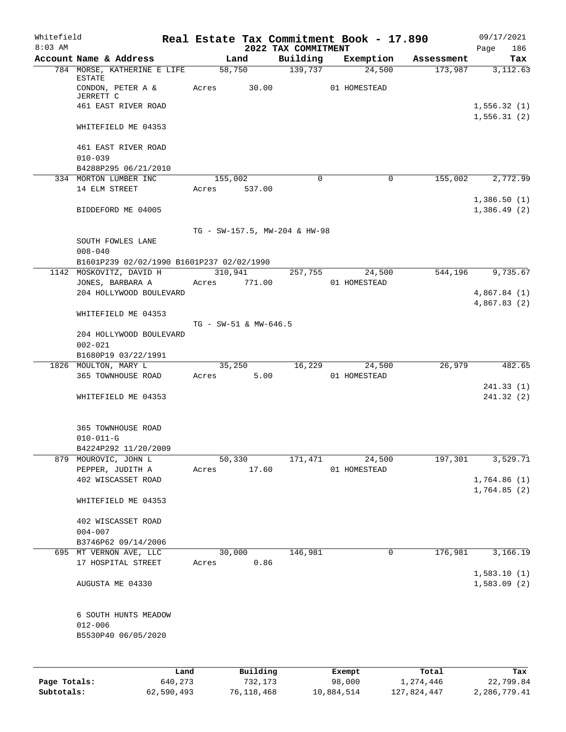| Whitefield<br>$8:03$ AM |                                                            |                       |                 | 2022 TAX COMMITMENT | Real Estate Tax Commitment Book - 17.890 |            | 09/17/2021<br>186<br>Page  |  |  |
|-------------------------|------------------------------------------------------------|-----------------------|-----------------|---------------------|------------------------------------------|------------|----------------------------|--|--|
|                         | Account Name & Address                                     |                       | Land            | Building            | Exemption                                | Assessment | Tax                        |  |  |
|                         | 784 MORSE, KATHERINE E LIFE<br>ESTATE<br>CONDON, PETER A & | Acres                 | 58,750<br>30.00 | 139,737             | 24,500<br>01 HOMESTEAD                   | 173,987    | 3,112.63                   |  |  |
|                         | JERRETT C<br>461 EAST RIVER ROAD                           |                       |                 |                     |                                          |            | 1,556.32(1)                |  |  |
|                         |                                                            |                       |                 |                     |                                          |            | 1,556.31(2)                |  |  |
|                         | WHITEFIELD ME 04353                                        |                       |                 |                     |                                          |            |                            |  |  |
|                         | 461 EAST RIVER ROAD<br>$010 - 039$                         |                       |                 |                     |                                          |            |                            |  |  |
|                         | B4288P295 06/21/2010                                       |                       |                 |                     |                                          |            |                            |  |  |
|                         | 334 MORTON LUMBER INC                                      | 155,002               |                 | 0                   | 0                                        | 155,002    | 2,772.99                   |  |  |
|                         | 14 ELM STREET                                              | Acres                 | 537.00          |                     |                                          |            |                            |  |  |
|                         | BIDDEFORD ME 04005                                         |                       |                 |                     |                                          |            | 1,386.50(1)<br>1,386.49(2) |  |  |
|                         | TG - SW-157.5, MW-204 & HW-98                              |                       |                 |                     |                                          |            |                            |  |  |
|                         | SOUTH FOWLES LANE<br>$008 - 040$                           |                       |                 |                     |                                          |            |                            |  |  |
|                         | B1601P239 02/02/1990 B1601P237 02/02/1990                  |                       |                 |                     |                                          |            |                            |  |  |
|                         | 1142 MOSKOVITZ, DAVID H<br>JONES, BARBARA A                | 310,941<br>Acres      | 771.00          | 257,755             | 24,500<br>01 HOMESTEAD                   | 544,196    | 9,735.67                   |  |  |
|                         | 204 HOLLYWOOD BOULEVARD                                    |                       |                 |                     |                                          |            | 4,867.84(1)                |  |  |
|                         |                                                            |                       |                 |                     |                                          |            | 4,867.83 (2)               |  |  |
|                         | WHITEFIELD ME 04353                                        | TG - SW-51 & MW-646.5 |                 |                     |                                          |            |                            |  |  |
|                         | 204 HOLLYWOOD BOULEVARD                                    |                       |                 |                     |                                          |            |                            |  |  |
|                         | $002 - 021$                                                |                       |                 |                     |                                          |            |                            |  |  |
|                         | B1680P19 03/22/1991<br>1826 MOULTON, MARY L                |                       | 35,250          |                     | 16,229 24,500                            | 26,979     | 482.65                     |  |  |
|                         | 365 TOWNHOUSE ROAD                                         | Acres                 | 5.00            |                     | 01 HOMESTEAD                             |            |                            |  |  |
|                         |                                                            |                       |                 |                     |                                          |            | 241.33(1)                  |  |  |
|                         | WHITEFIELD ME 04353                                        |                       |                 |                     |                                          |            | 241.32(2)                  |  |  |
|                         | 365 TOWNHOUSE ROAD                                         |                       |                 |                     |                                          |            |                            |  |  |
|                         | $010 - 011 - G$                                            |                       |                 |                     |                                          |            |                            |  |  |
|                         | B4224P292 11/20/2009                                       |                       |                 |                     |                                          |            |                            |  |  |
|                         | 879 MOUROVIC, JOHN L                                       | 50,330                |                 | 171,471             | 24,500                                   | 197,301    | 3,529.71                   |  |  |
|                         | PEPPER, JUDITH A                                           | Acres                 | 17.60           |                     | 01 HOMESTEAD                             |            |                            |  |  |
|                         | 402 WISCASSET ROAD                                         |                       |                 |                     |                                          |            | 1,764.86(1)<br>1,764.85(2) |  |  |
|                         | WHITEFIELD ME 04353                                        |                       |                 |                     |                                          |            |                            |  |  |
|                         | 402 WISCASSET ROAD                                         |                       |                 |                     |                                          |            |                            |  |  |
|                         | $004 - 007$                                                |                       |                 |                     |                                          |            |                            |  |  |
|                         | B3746P62 09/14/2006                                        | 30,000                |                 |                     | $\mathbf 0$                              |            |                            |  |  |
|                         | 695 MT VERNON AVE, LLC<br>17 HOSPITAL STREET               | Acres                 | 0.86            | 146,981             |                                          | 176,981    | 3,166.19                   |  |  |
|                         | AUGUSTA ME 04330                                           |                       |                 |                     |                                          |            | 1,583.10(1)<br>1,583.09(2) |  |  |
|                         | 6 SOUTH HUNTS MEADOW                                       |                       |                 |                     |                                          |            |                            |  |  |
|                         | $012 - 006$                                                |                       |                 |                     |                                          |            |                            |  |  |
|                         | B5530P40 06/05/2020                                        |                       |                 |                     |                                          |            |                            |  |  |
|                         |                                                            |                       |                 |                     |                                          |            |                            |  |  |
|                         | Land                                                       |                       | Building        |                     | Exempt                                   | Total      | Tax                        |  |  |
| Page Totals:            | 640,273                                                    |                       | 732,173         |                     | 98,000                                   | 1,274,446  | 22,799.84                  |  |  |

**Subtotals:** 62,590,493 76,118,468 10,884,514 127,824,447 2,286,779.41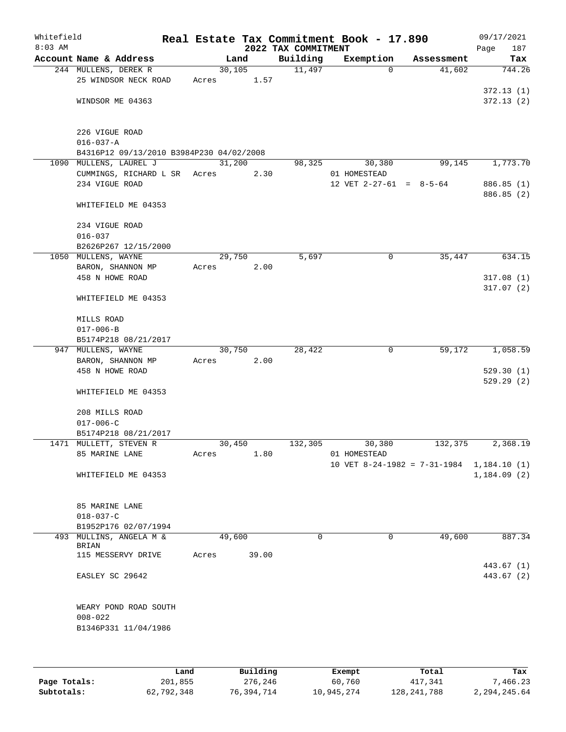| Whitefield<br>$8:03$ AM |                                                                    |        |        | 2022 TAX COMMITMENT | Real Estate Tax Commitment Book - 17.890 |                                           | 09/17/2021<br>187<br>Page |
|-------------------------|--------------------------------------------------------------------|--------|--------|---------------------|------------------------------------------|-------------------------------------------|---------------------------|
|                         | Account Name & Address                                             |        | Land   | Building            | Exemption                                | Assessment                                | Tax                       |
|                         | 244 MULLENS, DEREK R                                               | 30,105 |        | 11,497              | $\Omega$                                 | 41,602                                    | 744.26                    |
|                         | 25 WINDSOR NECK ROAD                                               | Acres  | 1.57   |                     |                                          |                                           |                           |
|                         |                                                                    |        |        |                     |                                          |                                           | 372.13(1)                 |
|                         | WINDSOR ME 04363                                                   |        |        |                     |                                          |                                           | 372.13(2)                 |
|                         |                                                                    |        |        |                     |                                          |                                           |                           |
|                         |                                                                    |        |        |                     |                                          |                                           |                           |
|                         | 226 VIGUE ROAD                                                     |        |        |                     |                                          |                                           |                           |
|                         | $016 - 037 - A$                                                    |        |        |                     |                                          |                                           |                           |
|                         | B4316P12 09/13/2010 B3984P230 04/02/2008<br>1090 MULLENS, LAUREL J | 31,200 |        | 98,325              | 30,380                                   | 99,145                                    | 1,773.70                  |
|                         | CUMMINGS, RICHARD L SR Acres                                       |        | 2.30   |                     | 01 HOMESTEAD                             |                                           |                           |
|                         | 234 VIGUE ROAD                                                     |        |        |                     | 12 VET $2-27-61 = 8-5-64$                |                                           | 886.85 (1)                |
|                         |                                                                    |        |        |                     |                                          |                                           | 886.85 (2)                |
|                         | WHITEFIELD ME 04353                                                |        |        |                     |                                          |                                           |                           |
|                         |                                                                    |        |        |                     |                                          |                                           |                           |
|                         | 234 VIGUE ROAD                                                     |        |        |                     |                                          |                                           |                           |
|                         | $016 - 037$                                                        |        |        |                     |                                          |                                           |                           |
|                         | B2626P267 12/15/2000                                               |        |        |                     |                                          |                                           |                           |
|                         | 1050 MULLENS, WAYNE                                                | 29,750 |        | 5,697               | 0                                        | 35,447                                    | 634.15                    |
|                         | BARON, SHANNON MP                                                  | Acres  | 2.00   |                     |                                          |                                           |                           |
|                         | 458 N HOWE ROAD                                                    |        |        |                     |                                          |                                           | 317.08(1)                 |
|                         |                                                                    |        |        |                     |                                          |                                           | 317.07(2)                 |
|                         | WHITEFIELD ME 04353                                                |        |        |                     |                                          |                                           |                           |
|                         |                                                                    |        |        |                     |                                          |                                           |                           |
|                         | MILLS ROAD<br>$017 - 006 - B$                                      |        |        |                     |                                          |                                           |                           |
|                         | B5174P218 08/21/2017                                               |        |        |                     |                                          |                                           |                           |
|                         | 947 MULLENS, WAYNE                                                 |        | 30,750 | 28,422              | $\mathbf 0$                              | 59,172                                    | 1,058.59                  |
|                         | BARON, SHANNON MP                                                  | Acres  | 2.00   |                     |                                          |                                           |                           |
|                         | 458 N HOWE ROAD                                                    |        |        |                     |                                          |                                           | 529.30(1)                 |
|                         |                                                                    |        |        |                     |                                          |                                           | 529.29(2)                 |
|                         | WHITEFIELD ME 04353                                                |        |        |                     |                                          |                                           |                           |
|                         |                                                                    |        |        |                     |                                          |                                           |                           |
|                         | 208 MILLS ROAD                                                     |        |        |                     |                                          |                                           |                           |
|                         | $017 - 006 - C$                                                    |        |        |                     |                                          |                                           |                           |
|                         | B5174P218 08/21/2017                                               |        |        |                     |                                          |                                           |                           |
|                         | 1471 MULLETT, STEVEN R                                             | 30,450 |        | 132,305             | 30,380                                   | 132,375                                   | 2,368.19                  |
|                         | 85 MARINE LANE                                                     | Acres  | 1.80   |                     | 01 HOMESTEAD                             | 10 VET 8-24-1982 = 7-31-1984 1,184.10 (1) |                           |
|                         | WHITEFIELD ME 04353                                                |        |        |                     |                                          |                                           | 1,184.09(2)               |
|                         |                                                                    |        |        |                     |                                          |                                           |                           |
|                         |                                                                    |        |        |                     |                                          |                                           |                           |
|                         | 85 MARINE LANE                                                     |        |        |                     |                                          |                                           |                           |
|                         | $018 - 037 - C$                                                    |        |        |                     |                                          |                                           |                           |
|                         | B1952P176 02/07/1994                                               |        |        |                     |                                          |                                           |                           |
|                         | 493 MULLINS, ANGELA M &                                            | 49,600 |        | $\Omega$            | $\mathbf 0$                              | 49,600                                    | 887.34                    |
|                         | BRIAN<br>115 MESSERVY DRIVE                                        |        | 39.00  |                     |                                          |                                           |                           |
|                         |                                                                    | Acres  |        |                     |                                          |                                           | 443.67 (1)                |
|                         | EASLEY SC 29642                                                    |        |        |                     |                                          |                                           | 443.67 (2)                |
|                         |                                                                    |        |        |                     |                                          |                                           |                           |
|                         |                                                                    |        |        |                     |                                          |                                           |                           |
|                         | WEARY POND ROAD SOUTH                                              |        |        |                     |                                          |                                           |                           |
|                         | $008 - 022$                                                        |        |        |                     |                                          |                                           |                           |
|                         | B1346P331 11/04/1986                                               |        |        |                     |                                          |                                           |                           |
|                         |                                                                    |        |        |                     |                                          |                                           |                           |
|                         |                                                                    |        |        |                     |                                          |                                           |                           |
|                         |                                                                    |        |        |                     |                                          |                                           |                           |

|              | Land       | Building   | Exempt     | Total       | Tax          |
|--------------|------------|------------|------------|-------------|--------------|
| Page Totals: | 201,855    | 276,246    | 60,760     | 417,341     | 7,466.23     |
| Subtotals:   | 62,792,348 | 76,394,714 | 10,945,274 | 128,241,788 | 2,294,245.64 |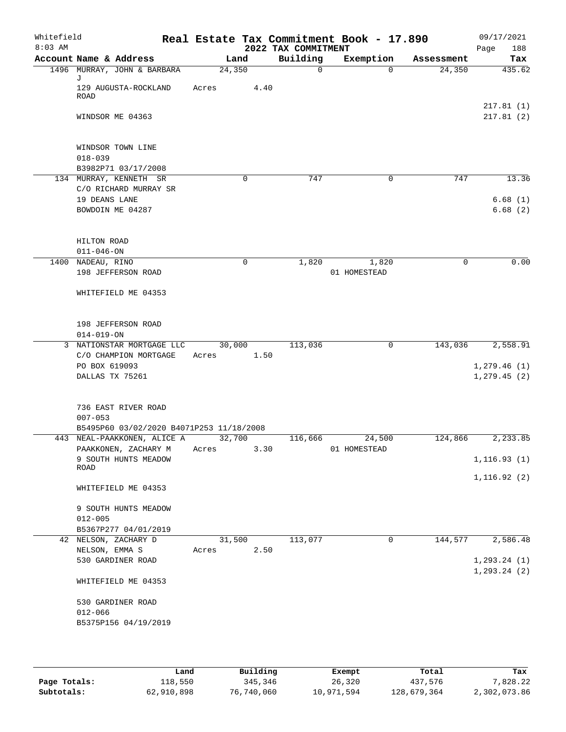| Whitefield<br>$8:03$ AM |                                  |                                                                         |        |          | 2022 TAX COMMITMENT | Real Estate Tax Commitment Book - 17.890 |            | 09/17/2021<br>Page<br>188    |
|-------------------------|----------------------------------|-------------------------------------------------------------------------|--------|----------|---------------------|------------------------------------------|------------|------------------------------|
|                         |                                  | Account Name & Address                                                  | Land   |          | Building            | Exemption                                | Assessment | Tax                          |
|                         |                                  | 1496 MURRAY, JOHN & BARBARA                                             | 24,350 |          | $\mathbf 0$         | $\Omega$                                 | 24,350     | 435.62                       |
|                         | J<br><b>ROAD</b>                 | 129 AUGUSTA-ROCKLAND                                                    | Acres  | 4.40     |                     |                                          |            |                              |
|                         |                                  | WINDSOR ME 04363                                                        |        |          |                     |                                          |            | 217.81(1)<br>217.81(2)       |
|                         | $018 - 039$                      | WINDSOR TOWN LINE                                                       |        |          |                     |                                          |            |                              |
|                         |                                  | B3982P71 03/17/2008                                                     |        |          |                     |                                          |            |                              |
|                         |                                  | 134 MURRAY, KENNETH SR                                                  |        | 0        | 747                 | 0                                        | 747        | 13.36                        |
|                         |                                  | C/O RICHARD MURRAY SR                                                   |        |          |                     |                                          |            |                              |
|                         | 19 DEANS LANE                    |                                                                         |        |          |                     |                                          |            | 6.68(1)                      |
|                         |                                  | BOWDOIN ME 04287                                                        |        |          |                     |                                          |            | 6.68(2)                      |
|                         | HILTON ROAD<br>$011 - 046 - ON$  |                                                                         |        |          |                     |                                          |            |                              |
|                         | 1400 NADEAU, RINO                |                                                                         |        | $\Omega$ | 1,820               | 1,820                                    | $\Omega$   | 0.00                         |
|                         |                                  | 198 JEFFERSON ROAD                                                      |        |          |                     | 01 HOMESTEAD                             |            |                              |
|                         |                                  | WHITEFIELD ME 04353                                                     |        |          |                     |                                          |            |                              |
|                         | $014 - 019 - ON$                 | 198 JEFFERSON ROAD                                                      |        |          |                     |                                          |            |                              |
|                         |                                  | 3 NATIONSTAR MORTGAGE LLC                                               |        | 30,000   | 113,036             | 0                                        | 143,036    | 2,558.91                     |
|                         |                                  | C/O CHAMPION MORTGAGE                                                   | Acres  | 1.50     |                     |                                          |            |                              |
|                         | PO BOX 619093<br>DALLAS TX 75261 |                                                                         |        |          |                     |                                          |            | 1, 279.46(1)<br>1, 279.45(2) |
|                         |                                  |                                                                         |        |          |                     |                                          |            |                              |
|                         | $007 - 053$                      | 736 EAST RIVER ROAD                                                     |        |          |                     |                                          |            |                              |
|                         |                                  | B5495P60 03/02/2020 B4071P253 11/18/2008<br>443 NEAL-PAAKKONEN, ALICE A | 32,700 |          |                     | 24,500                                   | 124,866    | 2,233.85                     |
|                         |                                  | PAAKKONEN, ZACHARY M                                                    | Acres  | 3.30     | 116,666             | 01 HOMESTEAD                             |            |                              |
|                         |                                  | 9 SOUTH HUNTS MEADOW                                                    |        |          |                     |                                          |            | 1, 116.93(1)                 |
|                         | ROAD                             |                                                                         |        |          |                     |                                          |            | 1, 116.92(2)                 |
|                         |                                  | WHITEFIELD ME 04353                                                     |        |          |                     |                                          |            |                              |
|                         |                                  | 9 SOUTH HUNTS MEADOW                                                    |        |          |                     |                                          |            |                              |
|                         | $012 - 005$                      | B5367P277 04/01/2019                                                    |        |          |                     |                                          |            |                              |
|                         |                                  | 42 NELSON, ZACHARY D                                                    | 31,500 |          | 113,077             | $\mathbf 0$                              | 144,577    | 2,586.48                     |
|                         | NELSON, EMMA S                   |                                                                         | Acres  | 2.50     |                     |                                          |            |                              |
|                         |                                  | 530 GARDINER ROAD                                                       |        |          |                     |                                          |            | 1, 293.24 (1)                |
|                         |                                  | WHITEFIELD ME 04353                                                     |        |          |                     |                                          |            | 1, 293.24 (2)                |
|                         |                                  |                                                                         |        |          |                     |                                          |            |                              |
|                         | $012 - 066$                      | 530 GARDINER ROAD                                                       |        |          |                     |                                          |            |                              |
|                         |                                  | B5375P156 04/19/2019                                                    |        |          |                     |                                          |            |                              |
|                         |                                  |                                                                         |        |          |                     |                                          |            |                              |
|                         |                                  |                                                                         |        |          |                     |                                          |            |                              |

|              | Land       | Building   | Exempt     | Total       | Tax          |
|--------------|------------|------------|------------|-------------|--------------|
| Page Totals: | 118,550    | 345,346    | 26,320     | 437,576     | 7,828.22     |
| Subtotals:   | 62,910,898 | 76,740,060 | 10,971,594 | 128,679,364 | 2,302,073.86 |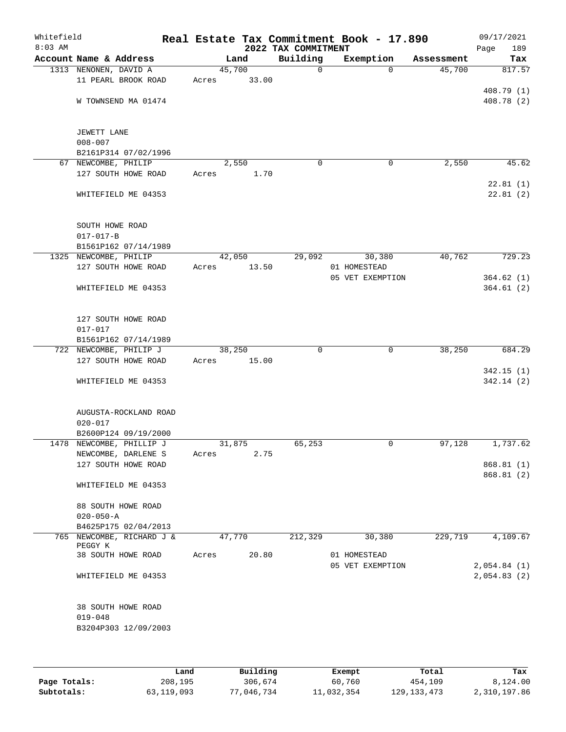| Whitefield<br>$8:03$ AM |                           |       |        |       | 2022 TAX COMMITMENT | Real Estate Tax Commitment Book - 17.890 |            | 09/17/2021<br>Page<br>189 |
|-------------------------|---------------------------|-------|--------|-------|---------------------|------------------------------------------|------------|---------------------------|
|                         | Account Name & Address    |       | Land   |       | Building            | Exemption                                | Assessment | Tax                       |
|                         | 1313 NENONEN, DAVID A     |       | 45,700 |       | $\mathbf 0$         | $\Omega$                                 | 45,700     | 817.57                    |
|                         | 11 PEARL BROOK ROAD       | Acres |        | 33.00 |                     |                                          |            |                           |
|                         |                           |       |        |       |                     |                                          |            | 408.79 (1)                |
|                         | W TOWNSEND MA 01474       |       |        |       |                     |                                          |            | 408.78 (2)                |
|                         |                           |       |        |       |                     |                                          |            |                           |
|                         |                           |       |        |       |                     |                                          |            |                           |
|                         | JEWETT LANE               |       |        |       |                     |                                          |            |                           |
|                         | $008 - 007$               |       |        |       |                     |                                          |            |                           |
|                         | B2161P314 07/02/1996      |       |        |       |                     |                                          |            |                           |
|                         | 67 NEWCOMBE, PHILIP       |       | 2,550  |       | $\Omega$            | 0                                        | 2,550      | 45.62                     |
|                         | 127 SOUTH HOWE ROAD       | Acres |        | 1.70  |                     |                                          |            |                           |
|                         |                           |       |        |       |                     |                                          |            | 22.81(1)                  |
|                         | WHITEFIELD ME 04353       |       |        |       |                     |                                          |            | 22.81(2)                  |
|                         |                           |       |        |       |                     |                                          |            |                           |
|                         |                           |       |        |       |                     |                                          |            |                           |
|                         | SOUTH HOWE ROAD           |       |        |       |                     |                                          |            |                           |
|                         | $017 - 017 - B$           |       |        |       |                     |                                          |            |                           |
|                         | B1561P162 07/14/1989      |       |        |       |                     |                                          |            |                           |
|                         | 1325 NEWCOMBE, PHILIP     |       | 42,050 |       | 29,092              | 30,380                                   | 40,762     | 729.23                    |
|                         | 127 SOUTH HOWE ROAD       | Acres |        | 13.50 |                     | 01 HOMESTEAD                             |            |                           |
|                         |                           |       |        |       |                     | 05 VET EXEMPTION                         |            | 364.62(1)                 |
|                         | WHITEFIELD ME 04353       |       |        |       |                     |                                          |            | 364.61(2)                 |
|                         |                           |       |        |       |                     |                                          |            |                           |
|                         |                           |       |        |       |                     |                                          |            |                           |
|                         | 127 SOUTH HOWE ROAD       |       |        |       |                     |                                          |            |                           |
|                         | $017 - 017$               |       |        |       |                     |                                          |            |                           |
|                         | B1561P162 07/14/1989      |       |        |       |                     |                                          |            |                           |
|                         | 722 NEWCOMBE, PHILIP J    |       | 38,250 |       | $\mathbf 0$         | $\mathbf 0$                              | 38,250     | 684.29                    |
|                         | 127 SOUTH HOWE ROAD       | Acres |        | 15.00 |                     |                                          |            |                           |
|                         |                           |       |        |       |                     |                                          |            | 342.15(1)                 |
|                         | WHITEFIELD ME 04353       |       |        |       |                     |                                          |            | 342.14(2)                 |
|                         |                           |       |        |       |                     |                                          |            |                           |
|                         |                           |       |        |       |                     |                                          |            |                           |
|                         | AUGUSTA-ROCKLAND ROAD     |       |        |       |                     |                                          |            |                           |
|                         | $020 - 017$               |       |        |       |                     |                                          |            |                           |
|                         | B2600P124 09/19/2000      |       |        |       |                     |                                          |            |                           |
|                         | 1478 NEWCOMBE, PHILLIP J  |       | 31,875 |       | 65,253              | 0                                        | 97,128     | 1,737.62                  |
|                         | NEWCOMBE, DARLENE S       | Acres |        | 2.75  |                     |                                          |            |                           |
|                         | 127 SOUTH HOWE ROAD       |       |        |       |                     |                                          |            | 868.81 (1)                |
|                         |                           |       |        |       |                     |                                          |            | 868.81 (2)                |
|                         | WHITEFIELD ME 04353       |       |        |       |                     |                                          |            |                           |
|                         |                           |       |        |       |                     |                                          |            |                           |
|                         | 88 SOUTH HOWE ROAD        |       |        |       |                     |                                          |            |                           |
|                         | $020 - 050 - A$           |       |        |       |                     |                                          |            |                           |
|                         | B4625P175 02/04/2013      |       |        |       |                     |                                          |            |                           |
|                         | 765 NEWCOMBE, RICHARD J & |       | 47,770 |       | 212,329             | 30,380                                   | 229,719    | 4,109.67                  |
|                         | PEGGY K                   |       |        |       |                     |                                          |            |                           |
|                         | 38 SOUTH HOWE ROAD        | Acres |        | 20.80 |                     | 01 HOMESTEAD                             |            |                           |
|                         |                           |       |        |       |                     | 05 VET EXEMPTION                         |            | 2,054.84(1)               |
|                         | WHITEFIELD ME 04353       |       |        |       |                     |                                          |            | 2,054.83(2)               |
|                         |                           |       |        |       |                     |                                          |            |                           |
|                         |                           |       |        |       |                     |                                          |            |                           |
|                         | 38 SOUTH HOWE ROAD        |       |        |       |                     |                                          |            |                           |
|                         | $019 - 048$               |       |        |       |                     |                                          |            |                           |
|                         | B3204P303 12/09/2003      |       |        |       |                     |                                          |            |                           |
|                         |                           |       |        |       |                     |                                          |            |                           |
|                         |                           |       |        |       |                     |                                          |            |                           |

|              | Land       | Building   | Exempt     | Total         | Tax          |
|--------------|------------|------------|------------|---------------|--------------|
| Page Totals: | 208,195    | 306,674    | 60,760     | 454,109       | 8,124.00     |
| Subtotals:   | 63,119,093 | 77,046,734 | 11,032,354 | 129, 133, 473 | 2,310,197.86 |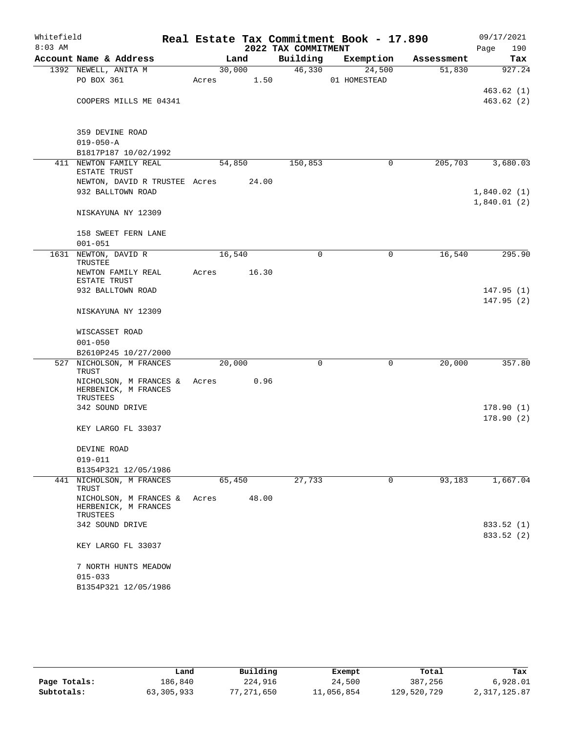| Whitefield |                                                            |            |        |                     | Real Estate Tax Commitment Book - 17.890 |            | 09/17/2021               |
|------------|------------------------------------------------------------|------------|--------|---------------------|------------------------------------------|------------|--------------------------|
| $8:03$ AM  |                                                            |            |        | 2022 TAX COMMITMENT |                                          |            | 190<br>Page              |
|            | Account Name & Address                                     |            | Land   |                     | Building Exemption                       | Assessment | Tax                      |
|            | 1392 NEWELL, ANITA M<br>PO BOX 361                         | Acres 1.50 | 30,000 | 46,330              | 24,500<br>01 HOMESTEAD                   | 51,830     | 927.24                   |
|            |                                                            |            |        |                     |                                          |            | 463.62(1)                |
|            | COOPERS MILLS ME 04341                                     |            |        |                     |                                          |            | 463.62(2)                |
|            |                                                            |            |        |                     |                                          |            |                          |
|            | 359 DEVINE ROAD                                            |            |        |                     |                                          |            |                          |
|            | $019 - 050 - A$                                            |            |        |                     |                                          |            |                          |
|            | B1817P187 10/02/1992<br>411 NEWTON FAMILY REAL             | 54,850     |        | 150,853             | 0                                        | 205, 703   | 3,680.03                 |
|            | ESTATE TRUST                                               |            |        |                     |                                          |            |                          |
|            | NEWTON, DAVID R TRUSTEE Acres 24.00                        |            |        |                     |                                          |            |                          |
|            | 932 BALLTOWN ROAD                                          |            |        |                     |                                          |            | 1,840.02(1)              |
|            | NISKAYUNA NY 12309                                         |            |        |                     |                                          |            | 1,840.01(2)              |
|            | 158 SWEET FERN LANE                                        |            |        |                     |                                          |            |                          |
|            | $001 - 051$                                                |            |        |                     |                                          |            |                          |
|            | 1631 NEWTON, DAVID R<br>TRUSTEE                            | 16,540     |        | 0                   | 0                                        | 16,540     | 295.90                   |
|            | NEWTON FAMILY REAL<br>ESTATE TRUST                         | Acres      | 16.30  |                     |                                          |            |                          |
|            | 932 BALLTOWN ROAD                                          |            |        |                     |                                          |            | 147.95(1)                |
|            | NISKAYUNA NY 12309                                         |            |        |                     |                                          |            | 147.95(2)                |
|            | WISCASSET ROAD                                             |            |        |                     |                                          |            |                          |
|            | $001 - 050$                                                |            |        |                     |                                          |            |                          |
|            | B2610P245 10/27/2000                                       |            |        |                     |                                          |            |                          |
|            | 527 NICHOLSON, M FRANCES<br>TRUST                          | 20,000     |        | $\mathbf 0$         | 0                                        | 20,000     | 357.80                   |
|            | NICHOLSON, M FRANCES &<br>HERBENICK, M FRANCES             | Acres      | 0.96   |                     |                                          |            |                          |
|            | TRUSTEES                                                   |            |        |                     |                                          |            |                          |
|            | 342 SOUND DRIVE                                            |            |        |                     |                                          |            | 178.90(1)                |
|            | KEY LARGO FL 33037                                         |            |        |                     |                                          |            | 178.90(2)                |
|            |                                                            |            |        |                     |                                          |            |                          |
|            | DEVINE ROAD                                                |            |        |                     |                                          |            |                          |
|            | $019 - 011$<br>B1354P321 12/05/1986                        |            |        |                     |                                          |            |                          |
|            | 441 NICHOLSON, M FRANCES<br>TRUST                          | 65,450     |        | 27,733              | 0                                        | 93,183     | 1,667.04                 |
|            | NICHOLSON, M FRANCES &<br>HERBENICK, M FRANCES<br>TRUSTEES | Acres      | 48.00  |                     |                                          |            |                          |
|            | 342 SOUND DRIVE                                            |            |        |                     |                                          |            | 833.52 (1)<br>833.52 (2) |
|            | KEY LARGO FL 33037                                         |            |        |                     |                                          |            |                          |
|            | 7 NORTH HUNTS MEADOW                                       |            |        |                     |                                          |            |                          |
|            | $015 - 033$                                                |            |        |                     |                                          |            |                          |
|            | B1354P321 12/05/1986                                       |            |        |                     |                                          |            |                          |

|              | Land       | Building   | Exempt     | Total       | Tax          |
|--------------|------------|------------|------------|-------------|--------------|
| Page Totals: | 186,840    | 224,916    | 24,500     | 387,256     | 6,928.01     |
| Subtotals:   | 63,305,933 | 77,271,650 | 11,056,854 | 129,520,729 | 2,317,125.87 |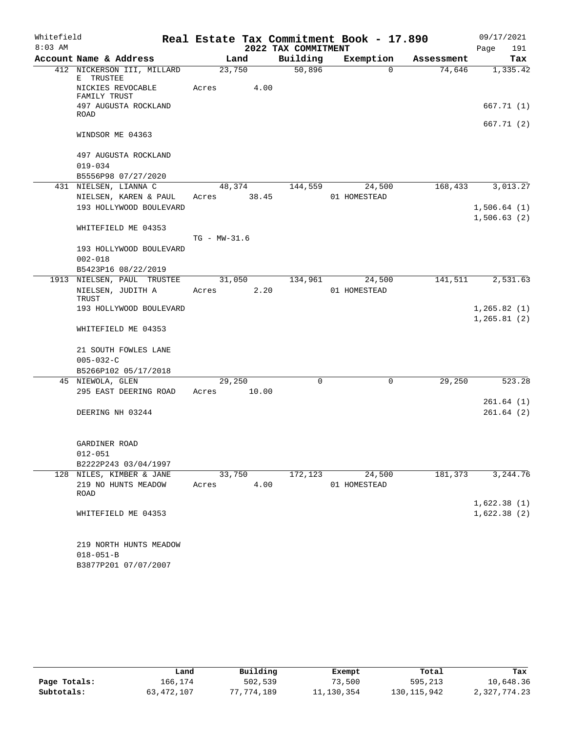| 2022 TAX COMMITMENT<br>Page<br>191<br>Account Name & Address<br>Building<br>Exemption<br>Land<br>Assessment<br>Tax<br>23,750<br>50,896<br>412 NICKERSON III, MILLARD<br>74,646<br>0<br>E TRUSTEE<br>NICKIES REVOCABLE<br>4.00<br>Acres<br>FAMILY TRUST<br>497 AUGUSTA ROCKLAND<br>ROAD<br>WINDSOR ME 04363<br>497 AUGUSTA ROCKLAND<br>$019 - 034$<br>B5556P98 07/27/2020<br>431 NIELSEN, LIANNA C<br>48,374<br>24,500<br>168,433<br>144,559<br>NIELSEN, KAREN & PAUL<br>38.45<br>01 HOMESTEAD<br>Acres<br>193 HOLLYWOOD BOULEVARD<br>WHITEFIELD ME 04353<br>$TG - MW - 31.6$<br>193 HOLLYWOOD BOULEVARD<br>$002 - 018$<br>B5423P16 08/22/2019<br>1913 NIELSEN, PAUL TRUSTEE<br>31,050<br>134,961<br>24,500<br>141,511<br>NIELSEN, JUDITH A<br>2.20<br>01 HOMESTEAD<br>Acres<br>TRUST<br>193 HOLLYWOOD BOULEVARD<br>WHITEFIELD ME 04353<br>21 SOUTH FOWLES LANE<br>$005 - 032 - C$<br>B5266P102 05/17/2018<br>$\mathbf 0$<br>29,250<br>45 NIEWOLA, GLEN<br>29,250<br>0<br>295 EAST DEERING ROAD<br>10.00<br>Acres<br>DEERING NH 03244<br>GARDINER ROAD<br>$012 - 051$<br>B2222P243 03/04/1997<br>172,123<br>24,500<br>181,373<br>128 NILES, KIMBER & JANE<br>33,750<br>219 NO HUNTS MEADOW<br>4.00<br>01 HOMESTEAD<br>Acres<br>ROAD<br>WHITEFIELD ME 04353<br>219 NORTH HUNTS MEADOW<br>$018 - 051 - B$ | Whitefield |                      |  | Real Estate Tax Commitment Book - 17.890 | 09/17/2021 |
|--------------------------------------------------------------------------------------------------------------------------------------------------------------------------------------------------------------------------------------------------------------------------------------------------------------------------------------------------------------------------------------------------------------------------------------------------------------------------------------------------------------------------------------------------------------------------------------------------------------------------------------------------------------------------------------------------------------------------------------------------------------------------------------------------------------------------------------------------------------------------------------------------------------------------------------------------------------------------------------------------------------------------------------------------------------------------------------------------------------------------------------------------------------------------------------------------------------------------------------------------------------------------------------------------------|------------|----------------------|--|------------------------------------------|------------|
|                                                                                                                                                                                                                                                                                                                                                                                                                                                                                                                                                                                                                                                                                                                                                                                                                                                                                                                                                                                                                                                                                                                                                                                                                                                                                                        | $8:03$ AM  |                      |  |                                          |            |
|                                                                                                                                                                                                                                                                                                                                                                                                                                                                                                                                                                                                                                                                                                                                                                                                                                                                                                                                                                                                                                                                                                                                                                                                                                                                                                        |            |                      |  |                                          |            |
|                                                                                                                                                                                                                                                                                                                                                                                                                                                                                                                                                                                                                                                                                                                                                                                                                                                                                                                                                                                                                                                                                                                                                                                                                                                                                                        |            |                      |  |                                          | 1,335.42   |
|                                                                                                                                                                                                                                                                                                                                                                                                                                                                                                                                                                                                                                                                                                                                                                                                                                                                                                                                                                                                                                                                                                                                                                                                                                                                                                        |            |                      |  |                                          |            |
| 667.71 (2)                                                                                                                                                                                                                                                                                                                                                                                                                                                                                                                                                                                                                                                                                                                                                                                                                                                                                                                                                                                                                                                                                                                                                                                                                                                                                             |            |                      |  |                                          | 667.71 (1) |
|                                                                                                                                                                                                                                                                                                                                                                                                                                                                                                                                                                                                                                                                                                                                                                                                                                                                                                                                                                                                                                                                                                                                                                                                                                                                                                        |            |                      |  |                                          |            |
| 3,013.27                                                                                                                                                                                                                                                                                                                                                                                                                                                                                                                                                                                                                                                                                                                                                                                                                                                                                                                                                                                                                                                                                                                                                                                                                                                                                               |            |                      |  |                                          |            |
|                                                                                                                                                                                                                                                                                                                                                                                                                                                                                                                                                                                                                                                                                                                                                                                                                                                                                                                                                                                                                                                                                                                                                                                                                                                                                                        |            |                      |  |                                          |            |
|                                                                                                                                                                                                                                                                                                                                                                                                                                                                                                                                                                                                                                                                                                                                                                                                                                                                                                                                                                                                                                                                                                                                                                                                                                                                                                        |            |                      |  |                                          |            |
| 1,506.64(1)<br>1,506.63(2)<br>2,531.63<br>1, 265.82(1)<br>1, 265.81(2)<br>523.28                                                                                                                                                                                                                                                                                                                                                                                                                                                                                                                                                                                                                                                                                                                                                                                                                                                                                                                                                                                                                                                                                                                                                                                                                       |            |                      |  |                                          |            |
|                                                                                                                                                                                                                                                                                                                                                                                                                                                                                                                                                                                                                                                                                                                                                                                                                                                                                                                                                                                                                                                                                                                                                                                                                                                                                                        |            |                      |  |                                          |            |
|                                                                                                                                                                                                                                                                                                                                                                                                                                                                                                                                                                                                                                                                                                                                                                                                                                                                                                                                                                                                                                                                                                                                                                                                                                                                                                        |            |                      |  |                                          |            |
|                                                                                                                                                                                                                                                                                                                                                                                                                                                                                                                                                                                                                                                                                                                                                                                                                                                                                                                                                                                                                                                                                                                                                                                                                                                                                                        |            |                      |  |                                          |            |
|                                                                                                                                                                                                                                                                                                                                                                                                                                                                                                                                                                                                                                                                                                                                                                                                                                                                                                                                                                                                                                                                                                                                                                                                                                                                                                        |            |                      |  |                                          |            |
|                                                                                                                                                                                                                                                                                                                                                                                                                                                                                                                                                                                                                                                                                                                                                                                                                                                                                                                                                                                                                                                                                                                                                                                                                                                                                                        |            |                      |  |                                          |            |
|                                                                                                                                                                                                                                                                                                                                                                                                                                                                                                                                                                                                                                                                                                                                                                                                                                                                                                                                                                                                                                                                                                                                                                                                                                                                                                        |            |                      |  |                                          |            |
|                                                                                                                                                                                                                                                                                                                                                                                                                                                                                                                                                                                                                                                                                                                                                                                                                                                                                                                                                                                                                                                                                                                                                                                                                                                                                                        |            |                      |  |                                          |            |
|                                                                                                                                                                                                                                                                                                                                                                                                                                                                                                                                                                                                                                                                                                                                                                                                                                                                                                                                                                                                                                                                                                                                                                                                                                                                                                        |            |                      |  |                                          |            |
|                                                                                                                                                                                                                                                                                                                                                                                                                                                                                                                                                                                                                                                                                                                                                                                                                                                                                                                                                                                                                                                                                                                                                                                                                                                                                                        |            |                      |  |                                          |            |
|                                                                                                                                                                                                                                                                                                                                                                                                                                                                                                                                                                                                                                                                                                                                                                                                                                                                                                                                                                                                                                                                                                                                                                                                                                                                                                        |            |                      |  |                                          |            |
|                                                                                                                                                                                                                                                                                                                                                                                                                                                                                                                                                                                                                                                                                                                                                                                                                                                                                                                                                                                                                                                                                                                                                                                                                                                                                                        |            |                      |  |                                          |            |
|                                                                                                                                                                                                                                                                                                                                                                                                                                                                                                                                                                                                                                                                                                                                                                                                                                                                                                                                                                                                                                                                                                                                                                                                                                                                                                        |            |                      |  |                                          |            |
|                                                                                                                                                                                                                                                                                                                                                                                                                                                                                                                                                                                                                                                                                                                                                                                                                                                                                                                                                                                                                                                                                                                                                                                                                                                                                                        |            |                      |  |                                          |            |
|                                                                                                                                                                                                                                                                                                                                                                                                                                                                                                                                                                                                                                                                                                                                                                                                                                                                                                                                                                                                                                                                                                                                                                                                                                                                                                        |            |                      |  |                                          |            |
|                                                                                                                                                                                                                                                                                                                                                                                                                                                                                                                                                                                                                                                                                                                                                                                                                                                                                                                                                                                                                                                                                                                                                                                                                                                                                                        |            |                      |  |                                          |            |
| 261.64(1)<br>261.64(2)<br>3,244.76<br>1,622.38(1)<br>1,622.38(2)                                                                                                                                                                                                                                                                                                                                                                                                                                                                                                                                                                                                                                                                                                                                                                                                                                                                                                                                                                                                                                                                                                                                                                                                                                       |            |                      |  |                                          |            |
|                                                                                                                                                                                                                                                                                                                                                                                                                                                                                                                                                                                                                                                                                                                                                                                                                                                                                                                                                                                                                                                                                                                                                                                                                                                                                                        |            |                      |  |                                          |            |
|                                                                                                                                                                                                                                                                                                                                                                                                                                                                                                                                                                                                                                                                                                                                                                                                                                                                                                                                                                                                                                                                                                                                                                                                                                                                                                        |            |                      |  |                                          |            |
|                                                                                                                                                                                                                                                                                                                                                                                                                                                                                                                                                                                                                                                                                                                                                                                                                                                                                                                                                                                                                                                                                                                                                                                                                                                                                                        |            |                      |  |                                          |            |
|                                                                                                                                                                                                                                                                                                                                                                                                                                                                                                                                                                                                                                                                                                                                                                                                                                                                                                                                                                                                                                                                                                                                                                                                                                                                                                        |            |                      |  |                                          |            |
|                                                                                                                                                                                                                                                                                                                                                                                                                                                                                                                                                                                                                                                                                                                                                                                                                                                                                                                                                                                                                                                                                                                                                                                                                                                                                                        |            |                      |  |                                          |            |
|                                                                                                                                                                                                                                                                                                                                                                                                                                                                                                                                                                                                                                                                                                                                                                                                                                                                                                                                                                                                                                                                                                                                                                                                                                                                                                        |            |                      |  |                                          |            |
|                                                                                                                                                                                                                                                                                                                                                                                                                                                                                                                                                                                                                                                                                                                                                                                                                                                                                                                                                                                                                                                                                                                                                                                                                                                                                                        |            |                      |  |                                          |            |
|                                                                                                                                                                                                                                                                                                                                                                                                                                                                                                                                                                                                                                                                                                                                                                                                                                                                                                                                                                                                                                                                                                                                                                                                                                                                                                        |            |                      |  |                                          |            |
|                                                                                                                                                                                                                                                                                                                                                                                                                                                                                                                                                                                                                                                                                                                                                                                                                                                                                                                                                                                                                                                                                                                                                                                                                                                                                                        |            |                      |  |                                          |            |
|                                                                                                                                                                                                                                                                                                                                                                                                                                                                                                                                                                                                                                                                                                                                                                                                                                                                                                                                                                                                                                                                                                                                                                                                                                                                                                        |            |                      |  |                                          |            |
|                                                                                                                                                                                                                                                                                                                                                                                                                                                                                                                                                                                                                                                                                                                                                                                                                                                                                                                                                                                                                                                                                                                                                                                                                                                                                                        |            |                      |  |                                          |            |
|                                                                                                                                                                                                                                                                                                                                                                                                                                                                                                                                                                                                                                                                                                                                                                                                                                                                                                                                                                                                                                                                                                                                                                                                                                                                                                        |            |                      |  |                                          |            |
|                                                                                                                                                                                                                                                                                                                                                                                                                                                                                                                                                                                                                                                                                                                                                                                                                                                                                                                                                                                                                                                                                                                                                                                                                                                                                                        |            | B3877P201 07/07/2007 |  |                                          |            |

|              | Land       | Building   | Exempt     | Total         | Tax          |
|--------------|------------|------------|------------|---------------|--------------|
| Page Totals: | 166,174    | 502,539    | 73,500     | 595,213       | 10,648.36    |
| Subtotals:   | 63,472,107 | 77,774,189 | 11,130,354 | 130, 115, 942 | 2,327,774.23 |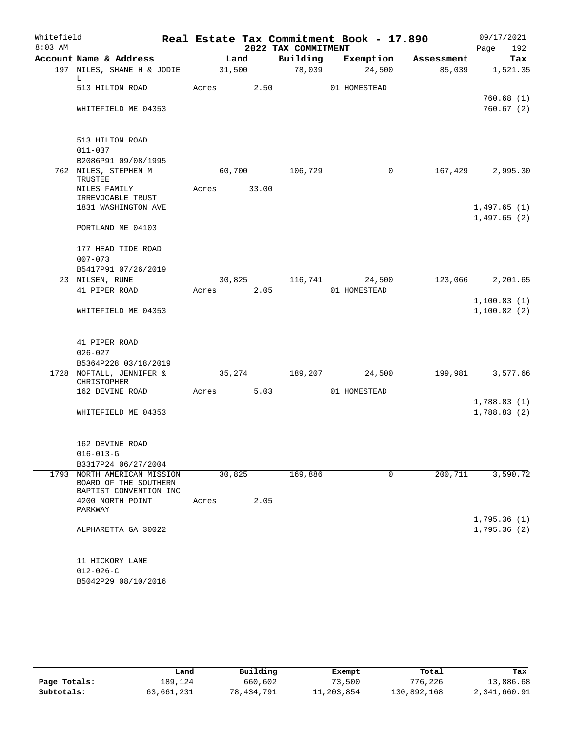| Whitefield<br>$8:03$ AM |                                                                           |       |                | 2022 TAX COMMITMENT | Real Estate Tax Commitment Book - 17.890 |            | 09/17/2021<br>192<br>Page  |
|-------------------------|---------------------------------------------------------------------------|-------|----------------|---------------------|------------------------------------------|------------|----------------------------|
|                         | Account Name & Address                                                    |       | Land           | Building            | Exemption                                | Assessment | Tax                        |
|                         | 197 NILES, SHANE H & JODIE                                                |       | 31,500         | 78,039              | 24,500                                   | 85,039     | 1,521.35                   |
|                         | L<br>513 HILTON ROAD                                                      | Acres | 2.50           |                     | 01 HOMESTEAD                             |            |                            |
|                         |                                                                           |       |                |                     |                                          |            | 760.68(1)                  |
|                         | WHITEFIELD ME 04353                                                       |       |                |                     |                                          |            | 760.67(2)                  |
|                         | 513 HILTON ROAD                                                           |       |                |                     |                                          |            |                            |
|                         | $011 - 037$                                                               |       |                |                     |                                          |            |                            |
|                         | B2086P91 09/08/1995                                                       |       |                |                     |                                          |            |                            |
|                         | 762 NILES, STEPHEN M<br>TRUSTEE                                           |       | 60,700         | 106,729             | 0                                        | 167,429    | 2,995.30                   |
|                         | NILES FAMILY<br>IRREVOCABLE TRUST                                         | Acres | 33.00          |                     |                                          |            |                            |
|                         | 1831 WASHINGTON AVE                                                       |       |                |                     |                                          |            | 1,497.65(1)<br>1,497.65(2) |
|                         | PORTLAND ME 04103                                                         |       |                |                     |                                          |            |                            |
|                         | 177 HEAD TIDE ROAD                                                        |       |                |                     |                                          |            |                            |
|                         | $007 - 073$                                                               |       |                |                     |                                          |            |                            |
|                         | B5417P91 07/26/2019                                                       |       |                |                     |                                          |            |                            |
|                         | 23 NILSEN, RUNE<br>41 PIPER ROAD                                          | Acres | 30,825<br>2.05 | 116,741             | 24,500<br>01 HOMESTEAD                   | 123,066    | 2,201.65                   |
|                         |                                                                           |       |                |                     |                                          |            | 1,100.83(1)                |
|                         | WHITEFIELD ME 04353                                                       |       |                |                     |                                          |            | 1,100.82(2)                |
|                         |                                                                           |       |                |                     |                                          |            |                            |
|                         | 41 PIPER ROAD<br>$026 - 027$                                              |       |                |                     |                                          |            |                            |
|                         | B5364P228 03/18/2019                                                      |       |                |                     |                                          |            |                            |
| 1728                    | NOFTALL, JENNIFER &                                                       |       | 35,274         | 189,207             | 24,500                                   | 199,981    | 3,577.66                   |
|                         | CHRISTOPHER                                                               |       |                |                     |                                          |            |                            |
|                         | 162 DEVINE ROAD                                                           | Acres | 5.03           |                     | 01 HOMESTEAD                             |            |                            |
|                         |                                                                           |       |                |                     |                                          |            | 1,788.83(1)<br>1,788.83(2) |
|                         | WHITEFIELD ME 04353                                                       |       |                |                     |                                          |            |                            |
|                         | 162 DEVINE ROAD                                                           |       |                |                     |                                          |            |                            |
|                         | $016 - 013 - G$                                                           |       |                |                     |                                          |            |                            |
|                         | B3317P24 06/27/2004                                                       |       |                |                     |                                          |            |                            |
| 1793                    | NORTH AMERICAN MISSION<br>BOARD OF THE SOUTHERN<br>BAPTIST CONVENTION INC |       | 30,825         | 169,886             | 0                                        | 200,711    | 3,590.72                   |
|                         | 4200 NORTH POINT                                                          | Acres | 2.05           |                     |                                          |            |                            |
|                         | PARKWAY                                                                   |       |                |                     |                                          |            | 1,795.36(1)                |
|                         | ALPHARETTA GA 30022                                                       |       |                |                     |                                          |            | 1,795.36(2)                |
|                         | 11 HICKORY LANE                                                           |       |                |                     |                                          |            |                            |
|                         | $012 - 026 - C$                                                           |       |                |                     |                                          |            |                            |
|                         | B5042P29 08/10/2016                                                       |       |                |                     |                                          |            |                            |

|              | Land       | Building   | Exempt     | Total       | Tax          |
|--------------|------------|------------|------------|-------------|--------------|
| Page Totals: | 189,124    | 660,602    | 73,500     | 776,226     | 13,886.68    |
| Subtotals:   | 63,661,231 | 78,434,791 | 11,203,854 | 130,892,168 | 2,341,660.91 |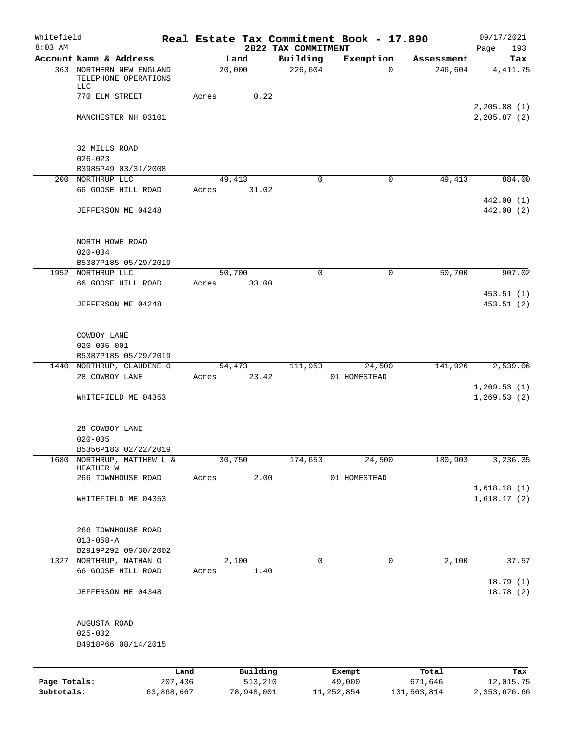| Whitefield<br>$8:03$ AM |                                                  |            |        |            |                                 | Real Estate Tax Commitment Book - 17.890 |             | 09/17/2021                   |
|-------------------------|--------------------------------------------------|------------|--------|------------|---------------------------------|------------------------------------------|-------------|------------------------------|
|                         | Account Name & Address                           |            | Land   |            | 2022 TAX COMMITMENT<br>Building | Exemption                                | Assessment  | Page<br>193<br>Tax           |
|                         | 363 NORTHERN NEW ENGLAND<br>TELEPHONE OPERATIONS |            | 20,000 |            | 226,604                         | $\Omega$                                 | 246,604     | 4,411.75                     |
|                         | LLC<br>770 ELM STREET                            | Acres      |        | 0.22       |                                 |                                          |             |                              |
|                         | MANCHESTER NH 03101                              |            |        |            |                                 |                                          |             | 2, 205.88(1)<br>2, 205.87(2) |
|                         | 32 MILLS ROAD<br>$026 - 023$                     |            |        |            |                                 |                                          |             |                              |
|                         | B3985P49 03/31/2008                              |            |        |            |                                 |                                          |             |                              |
|                         | 200 NORTHRUP LLC<br>66 GOOSE HILL ROAD           | Acres      | 49,413 | 31.02      | 0                               | 0                                        | 49,413      | 884.00                       |
|                         | JEFFERSON ME 04248                               |            |        |            |                                 |                                          |             | 442.00 (1)<br>442.00 (2)     |
|                         | NORTH HOWE ROAD                                  |            |        |            |                                 |                                          |             |                              |
|                         | $020 - 004$<br>B5387P185 05/29/2019              |            |        |            |                                 |                                          |             |                              |
|                         | 1952 NORTHRUP LLC                                |            | 50,700 |            | $\Omega$                        | $\mathbf 0$                              | 50,700      | 907.02                       |
|                         | 66 GOOSE HILL ROAD                               | Acres      |        | 33.00      |                                 |                                          |             | 453.51(1)                    |
|                         | JEFFERSON ME 04248                               |            |        |            |                                 |                                          |             | 453.51(2)                    |
|                         | COWBOY LANE                                      |            |        |            |                                 |                                          |             |                              |
|                         | $020 - 005 - 001$<br>B5387P185 05/29/2019        |            |        |            |                                 |                                          |             |                              |
|                         | 1440 NORTHRUP, CLAUDENE O                        |            | 54,473 |            | 111,953                         | 24,500                                   | 141,926     | 2,539.06                     |
|                         | 28 COWBOY LANE                                   | Acres      |        | 23.42      |                                 | 01 HOMESTEAD                             |             | 1, 269.53(1)                 |
|                         | WHITEFIELD ME 04353                              |            |        |            |                                 |                                          |             | 1, 269.53(2)                 |
|                         | 28 COWBOY LANE                                   |            |        |            |                                 |                                          |             |                              |
|                         | $020 - 005$<br>B5356P183 02/22/2019              |            |        |            |                                 |                                          |             |                              |
| 1680                    | NORTHRUP, MATTHEW L &<br>HEATHER W               |            | 30,750 |            | 174,653                         | 24,500                                   | 180,903     | 3,236.35                     |
|                         | 266 TOWNHOUSE ROAD                               | Acres      |        | 2.00       |                                 | 01 HOMESTEAD                             |             |                              |
|                         | WHITEFIELD ME 04353                              |            |        |            |                                 |                                          |             | 1,618.18(1)<br>1,618.17(2)   |
|                         | 266 TOWNHOUSE ROAD                               |            |        |            |                                 |                                          |             |                              |
|                         | $013 - 058 - A$<br>B2919P292 09/30/2002          |            |        |            |                                 |                                          |             |                              |
|                         | 1327 NORTHRUP, NATHAN O                          |            | 2,100  |            | 0                               | 0                                        | 2,100       | 37.57                        |
|                         | 66 GOOSE HILL ROAD                               | Acres      |        | 1.40       |                                 |                                          |             |                              |
|                         | JEFFERSON ME 04348                               |            |        |            |                                 |                                          |             | 18.79(1)<br>18.78 (2)        |
|                         | AUGUSTA ROAD                                     |            |        |            |                                 |                                          |             |                              |
|                         | $025 - 002$<br>B4918P66 08/14/2015               |            |        |            |                                 |                                          |             |                              |
|                         |                                                  | Land       |        | Building   |                                 | Exempt                                   | Total       | Tax                          |
| Page Totals:            |                                                  | 207,436    |        | 513,210    |                                 | 49,000                                   | 671,646     | 12,015.75                    |
| Subtotals:              |                                                  | 63,868,667 |        | 78,948,001 |                                 | 11,252,854                               | 131,563,814 | 2,353,676.66                 |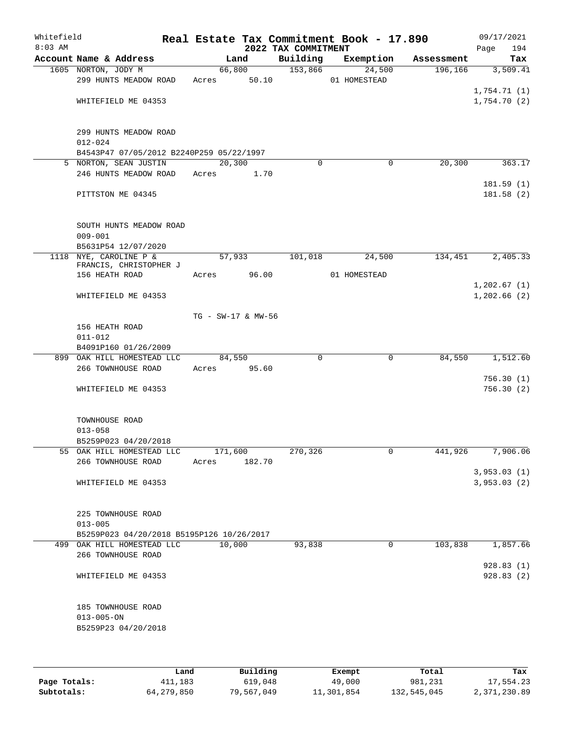| Whitefield<br>$8:03$ AM |                                                                         |                    |        | 2022 TAX COMMITMENT | Real Estate Tax Commitment Book - 17.890 |            | Page        | 09/17/2021<br>194 |
|-------------------------|-------------------------------------------------------------------------|--------------------|--------|---------------------|------------------------------------------|------------|-------------|-------------------|
|                         | Account Name & Address                                                  |                    | Land   | Building            | Exemption                                | Assessment |             | Tax               |
|                         | 1605 NORTON, JODY M                                                     |                    | 66,800 | 153,866             | 24,500                                   | 196,166    |             | 3,509.41          |
|                         | 299 HUNTS MEADOW ROAD                                                   | Acres              | 50.10  |                     | 01 HOMESTEAD                             |            |             |                   |
|                         |                                                                         |                    |        |                     |                                          |            | 1,754.71(1) |                   |
|                         | WHITEFIELD ME 04353                                                     |                    |        |                     |                                          |            | 1,754.70(2) |                   |
|                         |                                                                         |                    |        |                     |                                          |            |             |                   |
|                         | 299 HUNTS MEADOW ROAD                                                   |                    |        |                     |                                          |            |             |                   |
|                         | $012 - 024$                                                             |                    |        |                     |                                          |            |             |                   |
|                         | B4543P47 07/05/2012 B2240P259 05/22/1997                                |                    |        |                     |                                          |            |             |                   |
|                         | 5 NORTON, SEAN JUSTIN                                                   | 20,300             |        | 0                   | 0                                        | 20, 300    |             | 363.17            |
|                         | 246 HUNTS MEADOW ROAD                                                   | Acres              | 1.70   |                     |                                          |            |             |                   |
|                         |                                                                         |                    |        |                     |                                          |            |             | 181.59(1)         |
|                         | PITTSTON ME 04345                                                       |                    |        |                     |                                          |            |             | 181.58(2)         |
|                         |                                                                         |                    |        |                     |                                          |            |             |                   |
|                         |                                                                         |                    |        |                     |                                          |            |             |                   |
|                         | SOUTH HUNTS MEADOW ROAD                                                 |                    |        |                     |                                          |            |             |                   |
|                         | $009 - 001$<br>B5631P54 12/07/2020                                      |                    |        |                     |                                          |            |             |                   |
|                         | 1118 NYE, CAROLINE P &                                                  |                    | 57,933 | 101,018             | 24,500                                   | 134,451    |             | 2,405.33          |
|                         | FRANCIS, CHRISTOPHER J                                                  |                    |        |                     |                                          |            |             |                   |
|                         | 156 HEATH ROAD                                                          | Acres              | 96.00  |                     | 01 HOMESTEAD                             |            |             |                   |
|                         |                                                                         |                    |        |                     |                                          |            | 1,202.67(1) |                   |
|                         | WHITEFIELD ME 04353                                                     |                    |        |                     |                                          |            | 1,202.66(2) |                   |
|                         |                                                                         |                    |        |                     |                                          |            |             |                   |
|                         | 156 HEATH ROAD                                                          | TG - SW-17 & MW-56 |        |                     |                                          |            |             |                   |
|                         | $011 - 012$                                                             |                    |        |                     |                                          |            |             |                   |
|                         | B4091P160 01/26/2009                                                    |                    |        |                     |                                          |            |             |                   |
|                         | 899 OAK HILL HOMESTEAD LLC                                              | 84,550             |        | 0                   | $\mathbf 0$                              | 84,550     |             | 1,512.60          |
|                         | 266 TOWNHOUSE ROAD                                                      | Acres              | 95.60  |                     |                                          |            |             |                   |
|                         |                                                                         |                    |        |                     |                                          |            |             | 756.30(1)         |
|                         | WHITEFIELD ME 04353                                                     |                    |        |                     |                                          |            |             | 756.30(2)         |
|                         |                                                                         |                    |        |                     |                                          |            |             |                   |
|                         |                                                                         |                    |        |                     |                                          |            |             |                   |
|                         | TOWNHOUSE ROAD<br>$013 - 058$                                           |                    |        |                     |                                          |            |             |                   |
|                         | B5259P023 04/20/2018                                                    |                    |        |                     |                                          |            |             |                   |
|                         | 55 OAK HILL HOMESTEAD LLC                                               | 171,600            |        | 270,326             | 0                                        | 441,926    |             | 7,906.06          |
|                         | 266 TOWNHOUSE ROAD                                                      | Acres              | 182.70 |                     |                                          |            |             |                   |
|                         |                                                                         |                    |        |                     |                                          |            | 3,953.03(1) |                   |
|                         | WHITEFIELD ME 04353                                                     |                    |        |                     |                                          |            | 3,953.03(2) |                   |
|                         |                                                                         |                    |        |                     |                                          |            |             |                   |
|                         |                                                                         |                    |        |                     |                                          |            |             |                   |
|                         | 225 TOWNHOUSE ROAD                                                      |                    |        |                     |                                          |            |             |                   |
|                         | $013 - 005$                                                             |                    |        |                     |                                          |            |             |                   |
|                         | B5259P023 04/20/2018 B5195P126 10/26/2017<br>499 OAK HILL HOMESTEAD LLC | 10,000             |        | 93,838              | 0                                        | 103,838    |             | 1,857.66          |
|                         | 266 TOWNHOUSE ROAD                                                      |                    |        |                     |                                          |            |             |                   |
|                         |                                                                         |                    |        |                     |                                          |            |             | 928.83(1)         |
|                         | WHITEFIELD ME 04353                                                     |                    |        |                     |                                          |            |             | 928.83(2)         |
|                         |                                                                         |                    |        |                     |                                          |            |             |                   |
|                         |                                                                         |                    |        |                     |                                          |            |             |                   |
|                         | 185 TOWNHOUSE ROAD                                                      |                    |        |                     |                                          |            |             |                   |
|                         | $013 - 005 - ON$                                                        |                    |        |                     |                                          |            |             |                   |
|                         | B5259P23 04/20/2018                                                     |                    |        |                     |                                          |            |             |                   |
|                         |                                                                         |                    |        |                     |                                          |            |             |                   |
|                         |                                                                         |                    |        |                     |                                          |            |             |                   |
|                         |                                                                         |                    |        |                     |                                          |            |             |                   |

|              | Land       | Building   | Exempt     | Total       | Tax          |
|--------------|------------|------------|------------|-------------|--------------|
| Page Totals: | 411,183    | 619,048    | 49,000     | 981,231     | 17,554.23    |
| Subtotals:   | 64,279,850 | 79,567,049 | 11,301,854 | 132,545,045 | 2,371,230.89 |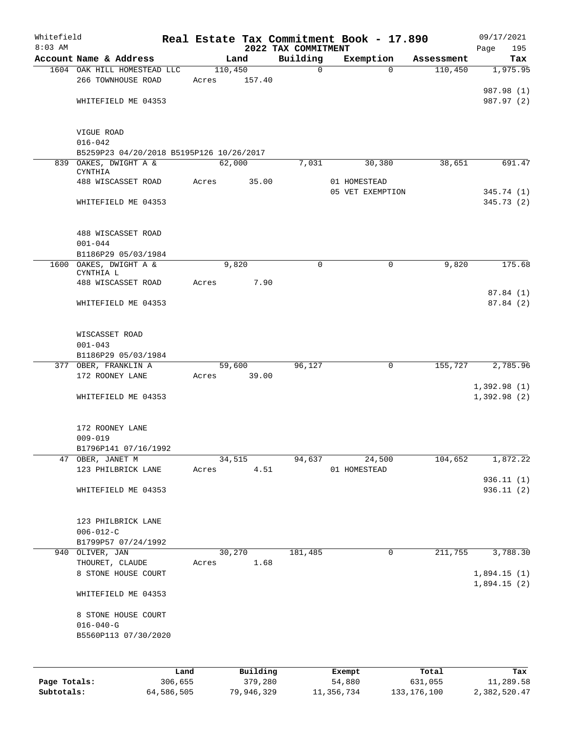| Whitefield<br>$8:03$ AM |                                                              |         |          |                                 | Real Estate Tax Commitment Book - 17.890 |            | 09/17/2021              |
|-------------------------|--------------------------------------------------------------|---------|----------|---------------------------------|------------------------------------------|------------|-------------------------|
|                         | Account Name & Address                                       |         | Land     | 2022 TAX COMMITMENT<br>Building | Exemption                                | Assessment | 195<br>Page<br>Tax      |
|                         | 1604 OAK HILL HOMESTEAD LLC                                  | 110,450 |          | $\mathbf 0$                     | $\Omega$                                 | 110,450    | 1,975.95                |
|                         | 266 TOWNHOUSE ROAD                                           | Acres   | 157.40   |                                 |                                          |            | 987.98 (1)              |
|                         | WHITEFIELD ME 04353                                          |         |          |                                 |                                          |            | 987.97 (2)              |
|                         | VIGUE ROAD                                                   |         |          |                                 |                                          |            |                         |
|                         | $016 - 042$<br>B5259P23 04/20/2018 B5195P126 10/26/2017      |         |          |                                 |                                          |            |                         |
|                         | 839 OAKES, DWIGHT A &                                        | 62,000  |          | 7,031                           | 30,380                                   | 38,651     | 691.47                  |
|                         | <b>CYNTHIA</b>                                               |         |          |                                 |                                          |            |                         |
|                         | 488 WISCASSET ROAD                                           | Acres   | 35.00    |                                 | 01 HOMESTEAD<br>05 VET EXEMPTION         |            | 345.74 (1)              |
|                         | WHITEFIELD ME 04353                                          |         |          |                                 |                                          |            | 345.73(2)               |
|                         | 488 WISCASSET ROAD<br>$001 - 044$                            |         |          |                                 |                                          |            |                         |
|                         | B1186P29 05/03/1984                                          |         |          |                                 |                                          |            |                         |
|                         | 1600 OAKES, DWIGHT A &<br>CYNTHIA L                          |         | 9,820    | $\mathbf 0$                     | 0                                        | 9,820      | 175.68                  |
|                         | 488 WISCASSET ROAD                                           | Acres   | 7.90     |                                 |                                          |            | 87.84 (1)               |
|                         | WHITEFIELD ME 04353                                          |         |          |                                 |                                          |            | 87.84(2)                |
|                         | WISCASSET ROAD<br>$001 - 043$                                |         |          |                                 |                                          |            |                         |
|                         | B1186P29 05/03/1984                                          |         |          |                                 |                                          |            |                         |
|                         | 377 OBER, FRANKLIN A                                         |         | 59,600   | 96,127                          | 0                                        | 155,727    | 2,785.96                |
|                         | 172 ROONEY LANE                                              | Acres   | 39.00    |                                 |                                          |            | 1,392.98(1)             |
|                         | WHITEFIELD ME 04353                                          |         |          |                                 |                                          |            | 1,392.98(2)             |
|                         | 172 ROONEY LANE                                              |         |          |                                 |                                          |            |                         |
|                         | $009 - 019$                                                  |         |          |                                 |                                          |            |                         |
|                         | B1796P141 07/16/1992<br>47 OBER, JANET M                     |         | 34,515   | 94,637                          | 24,500                                   | 104,652    | 1,872.22                |
|                         | 123 PHILBRICK LANE                                           | Acres   | 4.51     |                                 | 01 HOMESTEAD                             |            |                         |
|                         | WHITEFIELD ME 04353                                          |         |          |                                 |                                          |            | 936.11 (1)<br>936.11(2) |
|                         |                                                              |         |          |                                 |                                          |            |                         |
|                         | 123 PHILBRICK LANE<br>$006 - 012 - C$<br>B1799P57 07/24/1992 |         |          |                                 |                                          |            |                         |
|                         | 940 OLIVER, JAN                                              |         | 30,270   | 181,485                         | 0                                        | 211,755    | 3,788.30                |
|                         | THOURET, CLAUDE<br>8 STONE HOUSE COURT                       | Acres   | 1.68     |                                 |                                          |            | 1,894.15(1)             |
|                         |                                                              |         |          |                                 |                                          |            | 1,894.15(2)             |
|                         | WHITEFIELD ME 04353                                          |         |          |                                 |                                          |            |                         |
|                         | 8 STONE HOUSE COURT                                          |         |          |                                 |                                          |            |                         |
|                         | $016 - 040 - G$                                              |         |          |                                 |                                          |            |                         |
|                         | B5560P113 07/30/2020                                         |         |          |                                 |                                          |            |                         |
|                         |                                                              |         |          |                                 |                                          |            |                         |
|                         |                                                              | Land    | Building |                                 | Exempt                                   | Total      | Tax                     |
| Page Totals:            | 306,655                                                      |         | 379,280  |                                 | 54,880                                   | 631,055    | 11,289.58               |

**Subtotals:** 64,586,505 79,946,329 11,356,734 133,176,100 2,382,520.47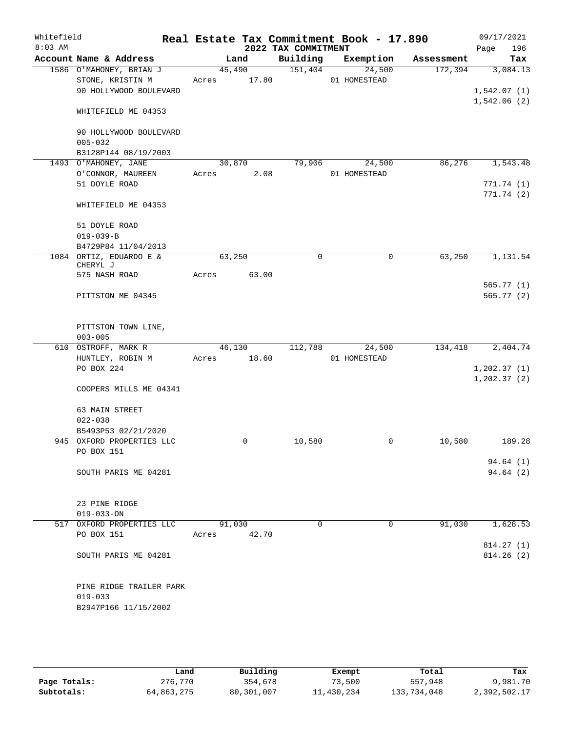| Whitefield<br>$8:03$ AM |                                             |        |                 | 2022 TAX COMMITMENT | Real Estate Tax Commitment Book - 17.890 |            | 09/17/2021<br>196<br>Page    |
|-------------------------|---------------------------------------------|--------|-----------------|---------------------|------------------------------------------|------------|------------------------------|
|                         | Account Name & Address                      |        | Land            | Building            | Exemption                                | Assessment | Tax                          |
|                         | 1586 O'MAHONEY, BRIAN J<br>STONE, KRISTIN M | Acres  | 45,490<br>17.80 | 151,404             | 24,500<br>01 HOMESTEAD                   | 172,394    | 3,084.13                     |
|                         | 90 HOLLYWOOD BOULEVARD                      |        |                 |                     |                                          |            | 1,542.07(1)<br>1,542.06(2)   |
|                         | WHITEFIELD ME 04353                         |        |                 |                     |                                          |            |                              |
|                         | 90 HOLLYWOOD BOULEVARD<br>$005 - 032$       |        |                 |                     |                                          |            |                              |
|                         | B3128P144 08/19/2003                        |        |                 |                     |                                          |            |                              |
|                         | 1493 O'MAHONEY, JANE                        | 30,870 |                 | 79,906              | 24,500                                   | 86,276     | 1,543.48                     |
|                         | O'CONNOR, MAUREEN                           | Acres  | 2.08            |                     | 01 HOMESTEAD                             |            |                              |
|                         | 51 DOYLE ROAD                               |        |                 |                     |                                          |            | 771.74(1)                    |
|                         | WHITEFIELD ME 04353                         |        |                 |                     |                                          |            | 771.74(2)                    |
|                         | 51 DOYLE ROAD<br>$019 - 039 - B$            |        |                 |                     |                                          |            |                              |
|                         | B4729P84 11/04/2013                         |        |                 |                     |                                          |            |                              |
|                         | 1084 ORTIZ, EDUARDO E &<br>CHERYL J         | 63,250 |                 | $\mathbf 0$         | 0                                        | 63,250     | 1,131.54                     |
|                         | 575 NASH ROAD                               | Acres  | 63.00           |                     |                                          |            |                              |
|                         |                                             |        |                 |                     |                                          |            | 565.77 (1)                   |
|                         | PITTSTON ME 04345                           |        |                 |                     |                                          |            | 565.77(2)                    |
|                         | PITTSTON TOWN LINE,<br>$003 - 005$          |        |                 |                     |                                          |            |                              |
|                         | 610 OSTROFF, MARK R                         |        | 46,130          | 112,788             | 24,500                                   | 134,418    | 2,404.74                     |
|                         | HUNTLEY, ROBIN M                            | Acres  | 18.60           |                     | 01 HOMESTEAD                             |            |                              |
|                         | PO BOX 224                                  |        |                 |                     |                                          |            | 1, 202.37(1)<br>1, 202.37(2) |
|                         | COOPERS MILLS ME 04341                      |        |                 |                     |                                          |            |                              |
|                         | 63 MAIN STREET                              |        |                 |                     |                                          |            |                              |
|                         | $022 - 038$                                 |        |                 |                     |                                          |            |                              |
|                         | B5493P53 02/21/2020                         |        |                 |                     |                                          |            |                              |
|                         | 945 OXFORD PROPERTIES LLC                   |        | $\mathbf 0$     | 10,580              | $\mathbf 0$                              | 10,580     | 189.28                       |
|                         | PO BOX 151                                  |        |                 |                     |                                          |            |                              |
|                         | SOUTH PARIS ME 04281                        |        |                 |                     |                                          |            | 94.64(1)<br>94.64(2)         |
|                         | 23 PINE RIDGE                               |        |                 |                     |                                          |            |                              |
|                         | $019 - 033 - ON$                            |        |                 |                     |                                          |            |                              |
|                         | 517 OXFORD PROPERTIES LLC<br>PO BOX 151     | 91,030 |                 | 0                   | 0                                        | 91,030     | 1,628.53                     |
|                         |                                             | Acres  | 42.70           |                     |                                          |            | 814.27(1)                    |
|                         | SOUTH PARIS ME 04281                        |        |                 |                     |                                          |            | 814.26(2)                    |
|                         | PINE RIDGE TRAILER PARK                     |        |                 |                     |                                          |            |                              |
|                         | $019 - 033$                                 |        |                 |                     |                                          |            |                              |
|                         | B2947P166 11/15/2002                        |        |                 |                     |                                          |            |                              |
|                         |                                             |        |                 |                     |                                          |            |                              |

|              | Land       | Building   | Exempt     | Total       | Tax          |
|--------------|------------|------------|------------|-------------|--------------|
| Page Totals: | 276,770    | 354,678    | 73,500     | 557,948     | 9,981.70     |
| Subtotals:   | 64,863,275 | 80,301,007 | 11,430,234 | 133,734,048 | 2,392,502.17 |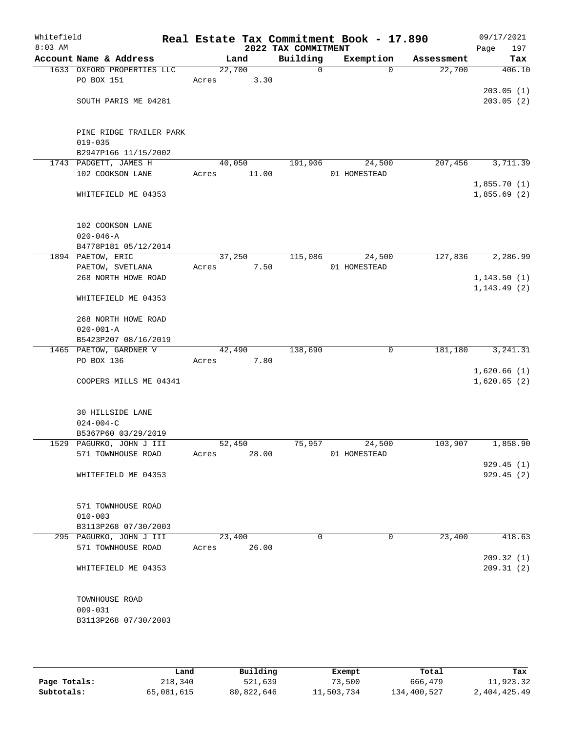| Whitefield<br>$8:03$ AM |                                                 |        |        | 2022 TAX COMMITMENT | Real Estate Tax Commitment Book - 17.890 |            | 09/17/2021<br>197<br>Page    |
|-------------------------|-------------------------------------------------|--------|--------|---------------------|------------------------------------------|------------|------------------------------|
|                         | Account Name & Address                          |        | Land   | Building            | Exemption                                | Assessment | Tax                          |
|                         | 1633 OXFORD PROPERTIES LLC                      | 22,700 |        | $\mathsf{O}$        | $\Omega$                                 | 22,700     | 406.10                       |
|                         | PO BOX 151                                      | Acres  | 3.30   |                     |                                          |            |                              |
|                         |                                                 |        |        |                     |                                          |            | 203.05(1)                    |
|                         | SOUTH PARIS ME 04281                            |        |        |                     |                                          |            | 203.05(2)                    |
|                         |                                                 |        |        |                     |                                          |            |                              |
|                         |                                                 |        |        |                     |                                          |            |                              |
|                         | PINE RIDGE TRAILER PARK                         |        |        |                     |                                          |            |                              |
|                         | $019 - 035$                                     |        |        |                     |                                          |            |                              |
|                         | B2947P166 11/15/2002                            |        |        |                     |                                          |            |                              |
|                         | 1743 PADGETT, JAMES H                           | 40,050 |        | 191,906             | 24,500                                   | 207,456    | 3,711.39                     |
|                         | 102 COOKSON LANE                                | Acres  | 11.00  |                     | 01 HOMESTEAD                             |            |                              |
|                         |                                                 |        |        |                     |                                          |            | 1,855.70(1)                  |
|                         | WHITEFIELD ME 04353                             |        |        |                     |                                          |            | 1,855.69(2)                  |
|                         |                                                 |        |        |                     |                                          |            |                              |
|                         |                                                 |        |        |                     |                                          |            |                              |
|                         | 102 COOKSON LANE                                |        |        |                     |                                          |            |                              |
|                         | $020 - 046 - A$                                 |        |        |                     |                                          |            |                              |
|                         | B4778P181 05/12/2014                            |        |        |                     |                                          |            |                              |
|                         | 1894 PAETOW, ERIC                               | 37,250 |        | 115,086             | 24,500                                   | 127,836    | 2,286.99                     |
|                         | PAETOW, SVETLANA                                | Acres  | 7.50   |                     | 01 HOMESTEAD                             |            |                              |
|                         | 268 NORTH HOWE ROAD                             |        |        |                     |                                          |            | 1, 143.50(1)<br>1, 143.49(2) |
|                         | WHITEFIELD ME 04353                             |        |        |                     |                                          |            |                              |
|                         |                                                 |        |        |                     |                                          |            |                              |
|                         | 268 NORTH HOWE ROAD                             |        |        |                     |                                          |            |                              |
|                         | $020 - 001 - A$                                 |        |        |                     |                                          |            |                              |
|                         | B5423P207 08/16/2019                            |        |        |                     |                                          |            |                              |
|                         | 1465 PAETOW, GARDNER V                          |        | 42,490 | 138,690             | 0                                        | 181,180    | 3, 241.31                    |
|                         | PO BOX 136                                      | Acres  | 7.80   |                     |                                          |            |                              |
|                         |                                                 |        |        |                     |                                          |            | 1,620.66(1)                  |
|                         | COOPERS MILLS ME 04341                          |        |        |                     |                                          |            | 1,620.65(2)                  |
|                         |                                                 |        |        |                     |                                          |            |                              |
|                         |                                                 |        |        |                     |                                          |            |                              |
|                         | <b>30 HILLSIDE LANE</b>                         |        |        |                     |                                          |            |                              |
|                         | $024 - 004 - C$                                 |        |        |                     |                                          |            |                              |
|                         | B5367P60 03/29/2019                             |        |        |                     |                                          |            |                              |
|                         | 1529 PAGURKO, JOHN J III                        | 52,450 |        | 75,957              | 24,500                                   | 103,907    | 1,858.90                     |
|                         | 571 TOWNHOUSE ROAD                              | Acres  | 28.00  |                     | 01 HOMESTEAD                             |            |                              |
|                         |                                                 |        |        |                     |                                          |            | 929.45(1)                    |
|                         | WHITEFIELD ME 04353                             |        |        |                     |                                          |            | 929.45(2)                    |
|                         |                                                 |        |        |                     |                                          |            |                              |
|                         |                                                 |        |        |                     |                                          |            |                              |
|                         | 571 TOWNHOUSE ROAD                              |        |        |                     |                                          |            |                              |
|                         | $010 - 003$                                     |        |        |                     |                                          |            |                              |
|                         | B3113P268 07/30/2003<br>295 PAGURKO, JOHN J III | 23,400 |        | $\Omega$            | 0                                        | 23,400     | 418.63                       |
|                         | 571 TOWNHOUSE ROAD                              | Acres  | 26.00  |                     |                                          |            |                              |
|                         |                                                 |        |        |                     |                                          |            | 209.32(1)                    |
|                         | WHITEFIELD ME 04353                             |        |        |                     |                                          |            | 209.31(2)                    |
|                         |                                                 |        |        |                     |                                          |            |                              |
|                         |                                                 |        |        |                     |                                          |            |                              |
|                         | TOWNHOUSE ROAD                                  |        |        |                     |                                          |            |                              |
|                         | $009 - 031$                                     |        |        |                     |                                          |            |                              |
|                         | B3113P268 07/30/2003                            |        |        |                     |                                          |            |                              |
|                         |                                                 |        |        |                     |                                          |            |                              |
|                         |                                                 |        |        |                     |                                          |            |                              |

|              | Land       | Building   | Exempt     | Total       | Tax          |
|--------------|------------|------------|------------|-------------|--------------|
| Page Totals: | 218,340    | 521,639    | 73,500     | 666,479     | 11,923.32    |
| Subtotals:   | 65,081,615 | 80,822,646 | 11,503,734 | 134,400,527 | 2,404,425.49 |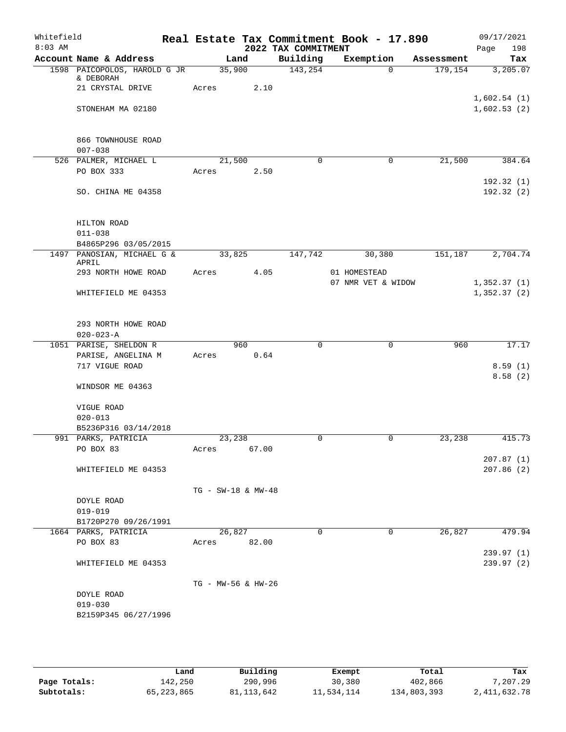| Whitefield<br>$8:03$ AM |                                              |                        |        | 2022 TAX COMMITMENT | Real Estate Tax Commitment Book - 17.890 |            | 09/17/2021<br>198<br>Page |
|-------------------------|----------------------------------------------|------------------------|--------|---------------------|------------------------------------------|------------|---------------------------|
|                         | Account Name & Address                       |                        | Land   | Building            | Exemption                                | Assessment | Tax                       |
|                         | 1598 PAICOPOLOS, HAROLD G JR<br>& DEBORAH    | 35,900                 |        | 143,254             | $\Omega$                                 | 179,154    | 3,205.07                  |
|                         | 21 CRYSTAL DRIVE                             | Acres                  | 2.10   |                     |                                          |            | 1,602.54(1)               |
|                         | STONEHAM MA 02180                            |                        |        |                     |                                          |            | 1,602.53(2)               |
|                         | 866 TOWNHOUSE ROAD<br>$007 - 038$            |                        |        |                     |                                          |            |                           |
|                         | 526 PALMER, MICHAEL L                        | 21,500                 |        | $\Omega$            | $\mathbf 0$                              | 21,500     | 384.64                    |
|                         | PO BOX 333                                   | Acres                  | 2.50   |                     |                                          |            | 192.32 (1)                |
|                         | SO. CHINA ME 04358                           |                        |        |                     |                                          |            | 192.32(2)                 |
|                         | HILTON ROAD                                  |                        |        |                     |                                          |            |                           |
|                         | $011 - 038$<br>B4865P296 03/05/2015          |                        |        |                     |                                          |            |                           |
|                         | 1497 PANOSIAN, MICHAEL G &                   | 33,825                 |        | 147,742             | 30,380                                   | 151,187    | 2,704.74                  |
|                         | APRIL                                        |                        |        |                     |                                          |            |                           |
|                         | 293 NORTH HOWE ROAD                          | Acres                  | 4.05   |                     | 01 HOMESTEAD<br>07 NMR VET & WIDOW       |            | 1,352.37(1)               |
|                         | WHITEFIELD ME 04353                          |                        |        |                     |                                          |            | 1,352.37(2)               |
|                         | 293 NORTH HOWE ROAD<br>$020 - 023 - A$       |                        |        |                     |                                          |            |                           |
|                         | 1051 PARISE, SHELDON R                       |                        | 960    | $\mathbf 0$         | $\mathbf 0$                              | 960        | 17.17                     |
|                         | PARISE, ANGELINA M<br>717 VIGUE ROAD         | Acres                  | 0.64   |                     |                                          |            | 8.59(1)                   |
|                         |                                              |                        |        |                     |                                          |            | 8.58(2)                   |
|                         | WINDSOR ME 04363                             |                        |        |                     |                                          |            |                           |
|                         | VIGUE ROAD                                   |                        |        |                     |                                          |            |                           |
|                         | $020 - 013$                                  |                        |        |                     |                                          |            |                           |
|                         | B5236P316 03/14/2018<br>991 PARKS, PATRICIA  | 23,238                 |        | 0                   | 0                                        | 23,238     | 415.73                    |
|                         | PO BOX 83                                    | Acres                  | 67.00  |                     |                                          |            |                           |
|                         | WHITEFIELD ME 04353                          |                        |        |                     |                                          |            | 207.87(1)<br>207.86(2)    |
|                         |                                              | $TG - SW-18$ & $MW-48$ |        |                     |                                          |            |                           |
|                         | DOYLE ROAD                                   |                        |        |                     |                                          |            |                           |
|                         | $019 - 019$                                  |                        |        |                     |                                          |            |                           |
|                         | B1720P270 09/26/1991<br>1664 PARKS, PATRICIA |                        | 26,827 | $\Omega$            | $\mathbf 0$                              | 26,827     | 479.94                    |
|                         | PO BOX 83                                    | Acres 82.00            |        |                     |                                          |            |                           |
|                         |                                              |                        |        |                     |                                          |            | 239.97 (1)                |
|                         | WHITEFIELD ME 04353                          |                        |        |                     |                                          |            | 239.97 (2)                |
|                         |                                              | TG - MW-56 & HW-26     |        |                     |                                          |            |                           |
|                         | DOYLE ROAD                                   |                        |        |                     |                                          |            |                           |
|                         | $019 - 030$                                  |                        |        |                     |                                          |            |                           |
|                         | B2159P345 06/27/1996                         |                        |        |                     |                                          |            |                           |
|                         |                                              |                        |        |                     |                                          |            |                           |

|              | Land         | Building   | Exempt     | Total       | Tax            |
|--------------|--------------|------------|------------|-------------|----------------|
|              |              |            |            |             |                |
| Page Totals: | 142,250      | 290,996    | 30,380     | 402,866     | 7,207.29       |
| Subtotals:   | 65, 223, 865 | 81,113,642 | 11,534,114 | 134,803,393 | 2, 411, 632.78 |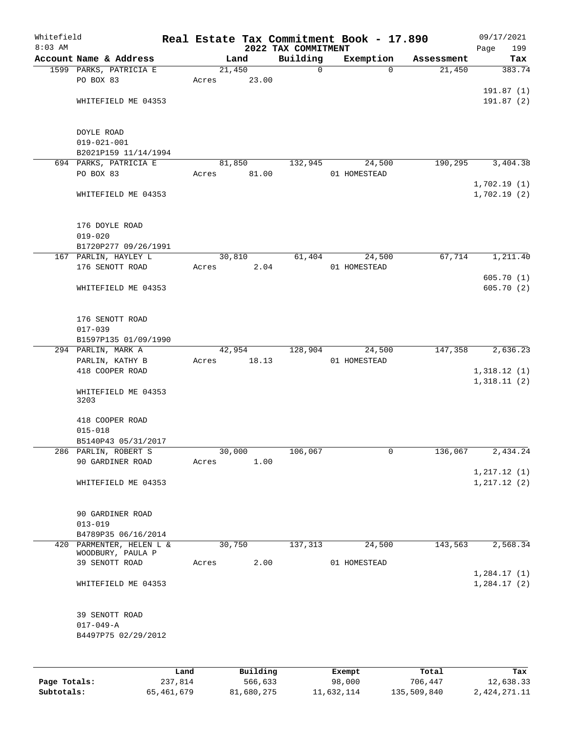| Whitefield<br>$8:03$ AM |                                    |      |       |                 | 2022 TAX COMMITMENT | Real Estate Tax Commitment Book - 17.890 |            | 09/17/2021<br>Page<br>199 |
|-------------------------|------------------------------------|------|-------|-----------------|---------------------|------------------------------------------|------------|---------------------------|
|                         | Account Name & Address             |      |       | Land            | Building            | Exemption                                | Assessment | Tax                       |
|                         | 1599 PARKS, PATRICIA E             |      |       | 21,450          | 0                   | $\Omega$                                 | 21,450     | 383.74                    |
|                         | PO BOX 83                          |      | Acres | 23.00           |                     |                                          |            |                           |
|                         |                                    |      |       |                 |                     |                                          |            | 191.87(1)                 |
|                         | WHITEFIELD ME 04353                |      |       |                 |                     |                                          |            | 191.87(2)                 |
|                         |                                    |      |       |                 |                     |                                          |            |                           |
|                         |                                    |      |       |                 |                     |                                          |            |                           |
|                         | DOYLE ROAD                         |      |       |                 |                     |                                          |            |                           |
|                         | $019 - 021 - 001$                  |      |       |                 |                     |                                          |            |                           |
|                         | B2021P159 11/14/1994               |      |       |                 |                     |                                          |            |                           |
|                         | 694 PARKS, PATRICIA E<br>PO BOX 83 |      | Acres | 81,850<br>81.00 | 132,945             | 24,500<br>01 HOMESTEAD                   | 190,295    | 3,404.38                  |
|                         |                                    |      |       |                 |                     |                                          |            | 1,702.19(1)               |
|                         | WHITEFIELD ME 04353                |      |       |                 |                     |                                          |            | 1,702.19(2)               |
|                         |                                    |      |       |                 |                     |                                          |            |                           |
|                         |                                    |      |       |                 |                     |                                          |            |                           |
|                         | 176 DOYLE ROAD                     |      |       |                 |                     |                                          |            |                           |
|                         | $019 - 020$                        |      |       |                 |                     |                                          |            |                           |
|                         | B1720P277 09/26/1991               |      |       |                 |                     |                                          |            |                           |
|                         | 167 PARLIN, HAYLEY L               |      |       | 30,810          | 61,404              | 24,500                                   | 67,714     | 1,211.40                  |
|                         | 176 SENOTT ROAD                    |      | Acres | 2.04            |                     | 01 HOMESTEAD                             |            |                           |
|                         |                                    |      |       |                 |                     |                                          |            | 605.70(1)                 |
|                         | WHITEFIELD ME 04353                |      |       |                 |                     |                                          |            | 605.70(2)                 |
|                         |                                    |      |       |                 |                     |                                          |            |                           |
|                         |                                    |      |       |                 |                     |                                          |            |                           |
|                         | 176 SENOTT ROAD                    |      |       |                 |                     |                                          |            |                           |
|                         | $017 - 039$                        |      |       |                 |                     |                                          |            |                           |
|                         | B1597P135 01/09/1990               |      |       |                 |                     |                                          |            |                           |
|                         | 294 PARLIN, MARK A                 |      |       | 42,954<br>18.13 | 128,904             | 24,500                                   | 147,358    | 2,636.23                  |
|                         | PARLIN, KATHY B<br>418 COOPER ROAD |      | Acres |                 |                     | 01 HOMESTEAD                             |            | 1,318.12(1)               |
|                         |                                    |      |       |                 |                     |                                          |            | 1,318.11(2)               |
|                         | WHITEFIELD ME 04353                |      |       |                 |                     |                                          |            |                           |
|                         | 3203                               |      |       |                 |                     |                                          |            |                           |
|                         |                                    |      |       |                 |                     |                                          |            |                           |
|                         | 418 COOPER ROAD                    |      |       |                 |                     |                                          |            |                           |
|                         | $015 - 018$                        |      |       |                 |                     |                                          |            |                           |
|                         | B5140P43 05/31/2017                |      |       |                 |                     |                                          |            |                           |
|                         | 286 PARLIN, ROBERT S               |      |       | 30,000          | 106,067             | 0                                        | 136,067    | 2,434.24                  |
|                         | 90 GARDINER ROAD                   |      | Acres | 1.00            |                     |                                          |            |                           |
|                         |                                    |      |       |                 |                     |                                          |            | 1, 217.12(1)              |
|                         | WHITEFIELD ME 04353                |      |       |                 |                     |                                          |            | 1, 217.12(2)              |
|                         |                                    |      |       |                 |                     |                                          |            |                           |
|                         | 90 GARDINER ROAD                   |      |       |                 |                     |                                          |            |                           |
|                         | $013 - 019$                        |      |       |                 |                     |                                          |            |                           |
|                         | B4789P35 06/16/2014                |      |       |                 |                     |                                          |            |                           |
|                         | 420 PARMENTER, HELEN L &           |      |       | 30,750          | 137,313             | 24,500                                   | 143,563    | 2,568.34                  |
|                         | WOODBURY, PAULA P                  |      |       |                 |                     |                                          |            |                           |
|                         | 39 SENOTT ROAD                     |      | Acres | 2.00            |                     | 01 HOMESTEAD                             |            |                           |
|                         |                                    |      |       |                 |                     |                                          |            | 1,284.17(1)               |
|                         | WHITEFIELD ME 04353                |      |       |                 |                     |                                          |            | 1,284.17(2)               |
|                         |                                    |      |       |                 |                     |                                          |            |                           |
|                         |                                    |      |       |                 |                     |                                          |            |                           |
|                         | 39 SENOTT ROAD                     |      |       |                 |                     |                                          |            |                           |
|                         | $017 - 049 - A$                    |      |       |                 |                     |                                          |            |                           |
|                         | B4497P75 02/29/2012                |      |       |                 |                     |                                          |            |                           |
|                         |                                    |      |       |                 |                     |                                          |            |                           |
|                         |                                    |      |       |                 |                     |                                          |            |                           |
|                         |                                    | Land |       | Building        |                     | Exempt                                   | Total      | Tax                       |

|              | Land       | Building   | Exempt     | Total       | Tax          |
|--------------|------------|------------|------------|-------------|--------------|
| Page Totals: | 237,814    | 566,633    | 98,000     | 706,447     | 12,638.33    |
| Subtotals:   | 65,461,679 | 81,680,275 | 11,632,114 | 135,509,840 | 2,424,271.11 |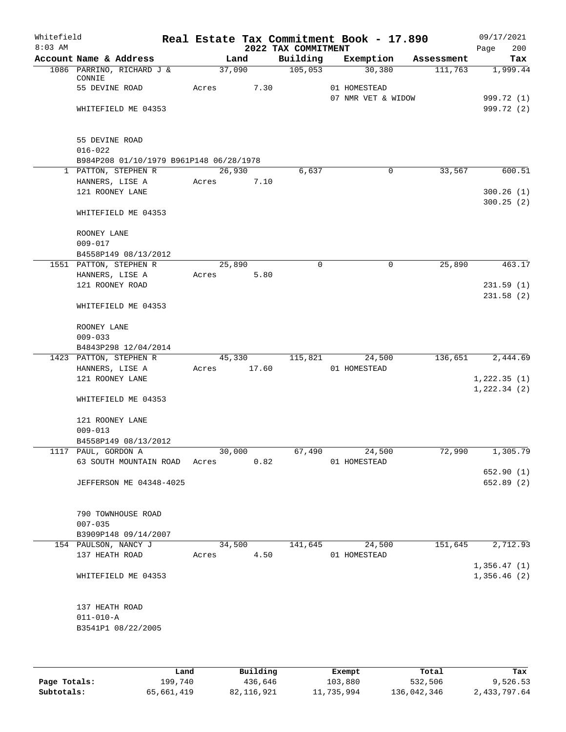| Whitefield<br>$8:03$ AM |                                         |       |        |       | 2022 TAX COMMITMENT | Real Estate Tax Commitment Book - 17.890 |            | 09/17/2021<br>200<br>Page |
|-------------------------|-----------------------------------------|-------|--------|-------|---------------------|------------------------------------------|------------|---------------------------|
|                         | Account Name & Address                  |       | Land   |       | Building            | Exemption                                | Assessment | Tax                       |
|                         | 1086 PARRINO, RICHARD J &               |       | 37,090 |       | 105,053             | 30,380                                   | 111,763    | 1,999.44                  |
|                         | CONNIE                                  |       |        |       |                     |                                          |            |                           |
|                         | 55 DEVINE ROAD                          | Acres |        | 7.30  |                     | 01 HOMESTEAD                             |            |                           |
|                         |                                         |       |        |       |                     | 07 NMR VET & WIDOW                       |            | 999.72 (1)                |
|                         | WHITEFIELD ME 04353                     |       |        |       |                     |                                          |            | 999.72 (2)                |
|                         | 55 DEVINE ROAD<br>$016 - 022$           |       |        |       |                     |                                          |            |                           |
|                         | B984P208 01/10/1979 B961P148 06/28/1978 |       |        |       |                     |                                          |            |                           |
|                         | 1 PATTON, STEPHEN R                     |       | 26,930 |       | 6,637               | 0                                        | 33,567     | 600.51                    |
|                         | HANNERS, LISE A                         | Acres |        | 7.10  |                     |                                          |            |                           |
|                         | 121 ROONEY LANE                         |       |        |       |                     |                                          |            | 300.26(1)                 |
|                         | WHITEFIELD ME 04353                     |       |        |       |                     |                                          |            | 300.25(2)                 |
|                         | ROONEY LANE                             |       |        |       |                     |                                          |            |                           |
|                         | $009 - 017$                             |       |        |       |                     |                                          |            |                           |
|                         | B4558P149 08/13/2012                    |       |        |       |                     |                                          |            |                           |
|                         | 1551 PATTON, STEPHEN R                  |       | 25,890 |       | $\mathbf 0$         | 0                                        | 25,890     | 463.17                    |
|                         | HANNERS, LISE A                         | Acres |        | 5.80  |                     |                                          |            |                           |
|                         | 121 ROONEY ROAD                         |       |        |       |                     |                                          |            | 231.59(1)<br>231.58(2)    |
|                         | WHITEFIELD ME 04353                     |       |        |       |                     |                                          |            |                           |
|                         | ROONEY LANE<br>$009 - 033$              |       |        |       |                     |                                          |            |                           |
|                         | B4843P298 12/04/2014                    |       |        |       |                     |                                          |            |                           |
|                         | 1423 PATTON, STEPHEN R                  |       | 45,330 |       | 115,821             | 24,500                                   | 136,651    | 2,444.69                  |
|                         | HANNERS, LISE A                         | Acres |        | 17.60 |                     | 01 HOMESTEAD                             |            |                           |
|                         | 121 ROONEY LANE                         |       |        |       |                     |                                          |            | 1,222.35(1)               |
|                         |                                         |       |        |       |                     |                                          |            | 1, 222.34 (2)             |
|                         | WHITEFIELD ME 04353                     |       |        |       |                     |                                          |            |                           |
|                         | 121 ROONEY LANE                         |       |        |       |                     |                                          |            |                           |
|                         | $009 - 013$                             |       |        |       |                     |                                          |            |                           |
|                         | B4558P149 08/13/2012                    |       |        |       |                     |                                          |            |                           |
|                         | 1117 PAUL, GORDON A                     |       | 30,000 |       | 67,490              | 24,500                                   | 72,990     | 1,305.79                  |
|                         | 63 SOUTH MOUNTAIN ROAD                  | Acres |        | 0.82  |                     | 01 HOMESTEAD                             |            |                           |
|                         |                                         |       |        |       |                     |                                          |            | 652.90(1)                 |
|                         | <b>JEFFERSON ME 04348-4025</b>          |       |        |       |                     |                                          |            | 652.89 (2)                |
|                         | 790 TOWNHOUSE ROAD                      |       |        |       |                     |                                          |            |                           |
|                         | $007 - 035$                             |       |        |       |                     |                                          |            |                           |
|                         | B3909P148 09/14/2007                    |       |        |       |                     |                                          |            |                           |
|                         | 154 PAULSON, NANCY J                    |       | 34,500 |       | 141,645             | 24,500                                   | 151,645    | 2,712.93                  |
|                         | 137 HEATH ROAD                          | Acres |        | 4.50  |                     | 01 HOMESTEAD                             |            |                           |
|                         |                                         |       |        |       |                     |                                          |            | 1,356.47(1)               |
|                         | WHITEFIELD ME 04353                     |       |        |       |                     |                                          |            | 1,356.46(2)               |
|                         | 137 HEATH ROAD                          |       |        |       |                     |                                          |            |                           |
|                         | $011 - 010 - A$                         |       |        |       |                     |                                          |            |                           |
|                         | B3541P1 08/22/2005                      |       |        |       |                     |                                          |            |                           |
|                         |                                         |       |        |       |                     |                                          |            |                           |
|                         |                                         |       |        |       |                     |                                          |            |                           |
|                         |                                         |       |        |       |                     |                                          |            |                           |

|              | Land       | Building   | Exempt     | Total       | Tax          |
|--------------|------------|------------|------------|-------------|--------------|
| Page Totals: | 199,740    | 436,646    | 103,880    | 532,506     | 9,526.53     |
| Subtotals:   | 65,661,419 | 82,116,921 | 11,735,994 | 136,042,346 | 2,433,797.64 |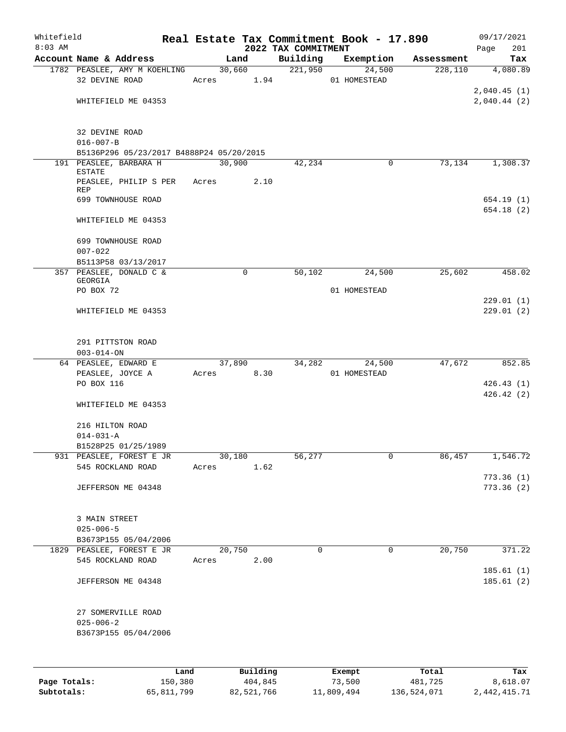| Whitefield   |                                                |            |        |          |                                 | Real Estate Tax Commitment Book - 17.890 |            | 09/17/2021             |
|--------------|------------------------------------------------|------------|--------|----------|---------------------------------|------------------------------------------|------------|------------------------|
| $8:03$ AM    | Account Name & Address                         |            | Land   |          | 2022 TAX COMMITMENT<br>Building | Exemption                                | Assessment | 201<br>Page<br>Tax     |
|              | 1782 PEASLEE, AMY M KOEHLING                   |            | 30,660 |          | 221,950                         | 24,500                                   | 228,110    | 4,080.89               |
|              | 32 DEVINE ROAD                                 | Acres 1.94 |        |          |                                 | 01 HOMESTEAD                             |            |                        |
|              |                                                |            |        |          |                                 |                                          |            | 2,040.45(1)            |
|              | WHITEFIELD ME 04353                            |            |        |          |                                 |                                          |            | 2,040.44(2)            |
|              | 32 DEVINE ROAD<br>$016 - 007 - B$              |            |        |          |                                 |                                          |            |                        |
|              | B5136P296 05/23/2017 B4888P24 05/20/2015       |            |        |          |                                 |                                          |            |                        |
|              | 191 PEASLEE, BARBARA H<br><b>ESTATE</b>        |            | 30,900 |          | 42,234                          | 0                                        | 73,134     | 1,308.37               |
|              | PEASLEE, PHILIP S PER<br>REP                   | Acres      |        | 2.10     |                                 |                                          |            |                        |
|              | 699 TOWNHOUSE ROAD                             |            |        |          |                                 |                                          |            | 654.19(1)<br>654.18(2) |
|              | WHITEFIELD ME 04353                            |            |        |          |                                 |                                          |            |                        |
|              | 699 TOWNHOUSE ROAD                             |            |        |          |                                 |                                          |            |                        |
|              | $007 - 022$                                    |            |        |          |                                 |                                          |            |                        |
|              | B5113P58 03/13/2017                            |            |        |          |                                 |                                          |            |                        |
|              | 357 PEASLEE, DONALD C &<br>GEORGIA             |            | 0      |          | 50,102                          | 24,500                                   | 25,602     | 458.02                 |
|              | PO BOX 72                                      |            |        |          |                                 | 01 HOMESTEAD                             |            |                        |
|              | WHITEFIELD ME 04353                            |            |        |          |                                 |                                          |            | 229.01(1)<br>229.01(2) |
|              | 291 PITTSTON ROAD<br>$003 - 014 - ON$          |            |        |          |                                 |                                          |            |                        |
|              | 64 PEASLEE, EDWARD E<br>PEASLEE, JOYCE A       | Acres      | 37,890 | 8.30     | 34,282                          | 24,500<br>01 HOMESTEAD                   | 47,672     | 852.85                 |
|              | PO BOX 116                                     |            |        |          |                                 |                                          |            | 426.43(1)              |
|              | WHITEFIELD ME 04353                            |            |        |          |                                 |                                          |            | 426.42(2)              |
|              | 216 HILTON ROAD                                |            |        |          |                                 |                                          |            |                        |
|              | $014 - 031 - A$                                |            |        |          |                                 |                                          |            |                        |
|              | B1528P25 01/25/1989                            |            |        |          |                                 |                                          |            |                        |
|              | 931 PEASLEE, FOREST E JR                       |            | 30,180 |          | 56,277                          | $\mathbf 0$                              | 86,457     | 1,546.72               |
|              | 545 ROCKLAND ROAD                              | Acres      |        | 1.62     |                                 |                                          |            | 773.36(1)              |
|              | JEFFERSON ME 04348                             |            |        |          |                                 |                                          |            | 773.36(2)              |
|              | 3 MAIN STREET                                  |            |        |          |                                 |                                          |            |                        |
|              | $025 - 006 - 5$                                |            |        |          |                                 |                                          |            |                        |
|              | B3673P155 05/04/2006                           |            |        |          |                                 |                                          |            |                        |
|              | 1829 PEASLEE, FOREST E JR<br>545 ROCKLAND ROAD | Acres      | 20,750 | 2.00     | 0                               | 0                                        | 20,750     | 371.22                 |
|              | JEFFERSON ME 04348                             |            |        |          |                                 |                                          |            | 185.61(1)<br>185.61(2) |
|              |                                                |            |        |          |                                 |                                          |            |                        |
|              | 27 SOMERVILLE ROAD<br>$025 - 006 - 2$          |            |        |          |                                 |                                          |            |                        |
|              | B3673P155 05/04/2006                           |            |        |          |                                 |                                          |            |                        |
|              |                                                |            |        |          |                                 |                                          |            |                        |
|              | Land                                           |            |        | Building |                                 | Exempt                                   | Total      | Tax                    |
| Page Totals: | 150,380                                        |            |        | 404,845  |                                 | 73,500                                   | 481,725    | 8,618.07               |

**Subtotals:** 65,811,799 82,521,766 11,809,494 136,524,071 2,442,415.71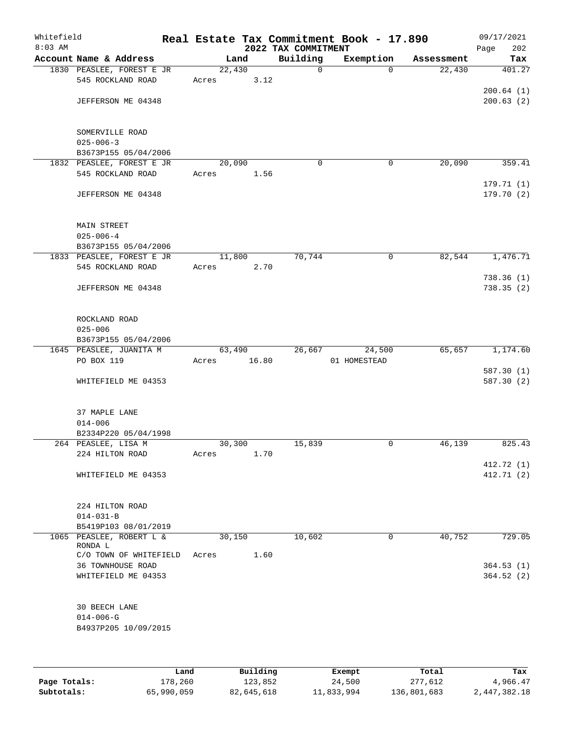| Whitefield<br>$8:03$ AM |                                                   |        |       | 2022 TAX COMMITMENT | Real Estate Tax Commitment Book - 17.890 |            | 09/17/2021<br>Page<br>202 |
|-------------------------|---------------------------------------------------|--------|-------|---------------------|------------------------------------------|------------|---------------------------|
|                         | Account Name & Address                            | Land   |       | Building            | Exemption                                | Assessment | Tax                       |
|                         | 1830 PEASLEE, FOREST E JR                         | 22,430 |       | $\mathbf 0$         | $\Omega$                                 | 22,430     | 401.27                    |
|                         | 545 ROCKLAND ROAD                                 | Acres  | 3.12  |                     |                                          |            |                           |
|                         |                                                   |        |       |                     |                                          |            | 200.64(1)                 |
|                         | JEFFERSON ME 04348                                |        |       |                     |                                          |            | 200.63(2)                 |
|                         |                                                   |        |       |                     |                                          |            |                           |
|                         | SOMERVILLE ROAD                                   |        |       |                     |                                          |            |                           |
|                         | $025 - 006 - 3$                                   |        |       |                     |                                          |            |                           |
|                         | B3673P155 05/04/2006<br>1832 PEASLEE, FOREST E JR | 20,090 |       | $\mathbf 0$         | 0                                        | 20,090     | 359.41                    |
|                         | 545 ROCKLAND ROAD                                 | Acres  | 1.56  |                     |                                          |            |                           |
|                         |                                                   |        |       |                     |                                          |            | 179.71(1)                 |
|                         | JEFFERSON ME 04348                                |        |       |                     |                                          |            | 179.70 (2)                |
|                         |                                                   |        |       |                     |                                          |            |                           |
|                         | MAIN STREET<br>$025 - 006 - 4$                    |        |       |                     |                                          |            |                           |
|                         | B3673P155 05/04/2006                              |        |       |                     |                                          |            |                           |
|                         | 1833 PEASLEE, FOREST E JR                         | 11,800 |       | 70,744              | 0                                        | 82,544     | 1,476.71                  |
|                         | 545 ROCKLAND ROAD                                 | Acres  | 2.70  |                     |                                          |            |                           |
|                         |                                                   |        |       |                     |                                          |            | 738.36(1)                 |
|                         | JEFFERSON ME 04348                                |        |       |                     |                                          |            | 738.35(2)                 |
|                         | ROCKLAND ROAD                                     |        |       |                     |                                          |            |                           |
|                         | $025 - 006$                                       |        |       |                     |                                          |            |                           |
|                         | B3673P155 05/04/2006                              |        |       |                     |                                          |            |                           |
|                         | 1645 PEASLEE, JUANITA M                           | 63,490 |       | 26,667              | 24,500                                   | 65,657     | 1,174.60                  |
|                         | PO BOX 119                                        | Acres  | 16.80 |                     | 01 HOMESTEAD                             |            |                           |
|                         |                                                   |        |       |                     |                                          |            | 587.30(1)                 |
|                         | WHITEFIELD ME 04353                               |        |       |                     |                                          |            | 587.30(2)                 |
|                         | 37 MAPLE LANE                                     |        |       |                     |                                          |            |                           |
|                         | $014 - 006$                                       |        |       |                     |                                          |            |                           |
|                         | B2334P220 05/04/1998                              |        |       |                     |                                          |            |                           |
|                         | 264 PEASLEE, LISA M                               | 30,300 |       | 15,839              | 0                                        | 46,139     | 825.43                    |
|                         | 224 HILTON ROAD                                   | Acres  | 1.70  |                     |                                          |            |                           |
|                         | WHITEFIELD ME 04353                               |        |       |                     |                                          |            | 412.72 (1)<br>412.71 (2)  |
|                         |                                                   |        |       |                     |                                          |            |                           |
|                         | 224 HILTON ROAD                                   |        |       |                     |                                          |            |                           |
|                         | $014 - 031 - B$                                   |        |       |                     |                                          |            |                           |
|                         | B5419P103 08/01/2019                              |        |       |                     |                                          |            |                           |
|                         | 1065 PEASLEE, ROBERT L &<br>RONDA L               | 30,150 |       | 10,602              | 0                                        | 40,752     | 729.05                    |
|                         | C/O TOWN OF WHITEFIELD                            | Acres  | 1.60  |                     |                                          |            |                           |
|                         | 36 TOWNHOUSE ROAD                                 |        |       |                     |                                          |            | 364.53(1)                 |
|                         | WHITEFIELD ME 04353                               |        |       |                     |                                          |            | 364.52(2)                 |
|                         | 30 BEECH LANE                                     |        |       |                     |                                          |            |                           |
|                         | $014 - 006 - G$                                   |        |       |                     |                                          |            |                           |
|                         | B4937P205 10/09/2015                              |        |       |                     |                                          |            |                           |
|                         |                                                   |        |       |                     |                                          |            |                           |
|                         |                                                   |        |       |                     |                                          |            |                           |
|                         |                                                   |        |       |                     |                                          |            |                           |

|              | Land       | Building   | Exempt     | Total       | Tax          |
|--------------|------------|------------|------------|-------------|--------------|
| Page Totals: | 178,260    | 123,852    | 24,500     | 277,612     | 4,966.47     |
| Subtotals:   | 65,990,059 | 82,645,618 | 11,833,994 | 136,801,683 | 2,447,382.18 |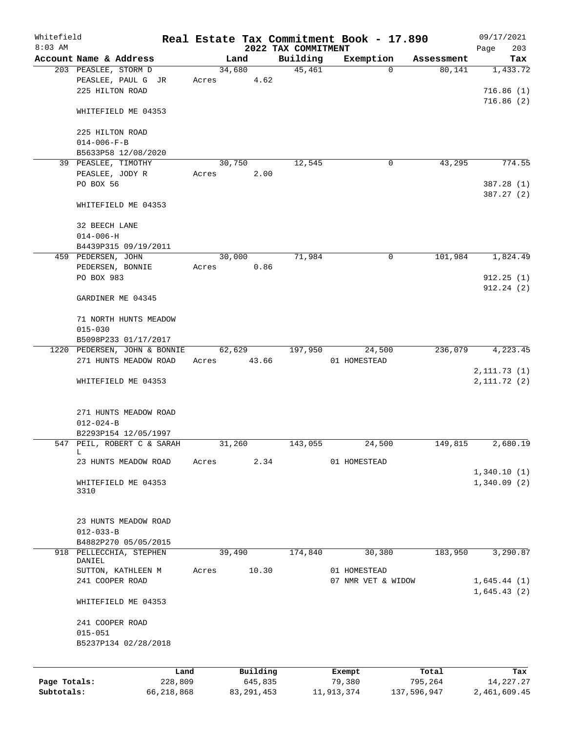| Whitefield<br>$8:03$ AM |                        |                              |       |              | 2022 TAX COMMITMENT | Real Estate Tax Commitment Book - 17.890 |             | 09/17/2021<br>203<br>Page |
|-------------------------|------------------------|------------------------------|-------|--------------|---------------------|------------------------------------------|-------------|---------------------------|
|                         | Account Name & Address |                              |       | Land         | Building            | Exemption                                | Assessment  | Tax                       |
|                         | 203 PEASLEE, STORM D   |                              |       | 34,680       | 45,461              | $\Omega$                                 | 80,141      | 1,433.72                  |
|                         |                        | PEASLEE, PAUL G JR           | Acres | 4.62         |                     |                                          |             |                           |
|                         | 225 HILTON ROAD        |                              |       |              |                     |                                          |             | 716.86(1)                 |
|                         |                        |                              |       |              |                     |                                          |             | 716.86(2)                 |
|                         |                        | WHITEFIELD ME 04353          |       |              |                     |                                          |             |                           |
|                         |                        |                              |       |              |                     |                                          |             |                           |
|                         | 225 HILTON ROAD        |                              |       |              |                     |                                          |             |                           |
|                         | $014 - 006 - F - B$    |                              |       |              |                     |                                          |             |                           |
|                         |                        | B5633P58 12/08/2020          |       |              |                     |                                          |             |                           |
|                         |                        |                              |       |              |                     |                                          |             | 774.55                    |
|                         | 39 PEASLEE, TIMOTHY    |                              |       | 30,750       | 12,545              | 0                                        | 43,295      |                           |
|                         | PEASLEE, JODY R        |                              | Acres | 2.00         |                     |                                          |             |                           |
|                         | PO BOX 56              |                              |       |              |                     |                                          |             | 387.28 (1)                |
|                         |                        |                              |       |              |                     |                                          |             | 387.27 (2)                |
|                         |                        | WHITEFIELD ME 04353          |       |              |                     |                                          |             |                           |
|                         |                        |                              |       |              |                     |                                          |             |                           |
|                         | 32 BEECH LANE          |                              |       |              |                     |                                          |             |                           |
|                         | $014 - 006 - H$        |                              |       |              |                     |                                          |             |                           |
|                         |                        | B4439P315 09/19/2011         |       |              |                     |                                          |             |                           |
|                         | 459 PEDERSEN, JOHN     |                              |       | 30,000       | 71,984              | 0                                        | 101,984     | 1,824.49                  |
|                         | PEDERSEN, BONNIE       |                              | Acres | 0.86         |                     |                                          |             |                           |
|                         | PO BOX 983             |                              |       |              |                     |                                          |             | 912.25(1)                 |
|                         |                        |                              |       |              |                     |                                          |             | 912.24(2)                 |
|                         | GARDINER ME 04345      |                              |       |              |                     |                                          |             |                           |
|                         |                        |                              |       |              |                     |                                          |             |                           |
|                         |                        | 71 NORTH HUNTS MEADOW        |       |              |                     |                                          |             |                           |
|                         | $015 - 030$            |                              |       |              |                     |                                          |             |                           |
|                         |                        | B5098P233 01/17/2017         |       |              |                     |                                          |             |                           |
|                         |                        | 1220 PEDERSEN, JOHN & BONNIE |       | 62,629       | 197,950             | 24,500                                   | 236,079     | 4,223.45                  |
|                         |                        | 271 HUNTS MEADOW ROAD        | Acres | 43.66        |                     | 01 HOMESTEAD                             |             |                           |
|                         |                        |                              |       |              |                     |                                          |             | 2, 111.73(1)              |
|                         |                        | WHITEFIELD ME 04353          |       |              |                     |                                          |             | 2,111.72(2)               |
|                         |                        |                              |       |              |                     |                                          |             |                           |
|                         |                        |                              |       |              |                     |                                          |             |                           |
|                         |                        | 271 HUNTS MEADOW ROAD        |       |              |                     |                                          |             |                           |
|                         | $012 - 024 - B$        |                              |       |              |                     |                                          |             |                           |
|                         |                        | B2293P154 12/05/1997         |       |              |                     |                                          |             |                           |
|                         |                        | 547 PEIL, ROBERT C & SARAH   |       | 31,260       | 143,055             | 24,500                                   | 149,815     | 2,680.19                  |
|                         | L                      |                              |       |              |                     |                                          |             |                           |
|                         |                        | 23 HUNTS MEADOW ROAD         | Acres | 2.34         |                     | 01 HOMESTEAD                             |             |                           |
|                         |                        |                              |       |              |                     |                                          |             | 1,340.10(1)               |
|                         |                        | WHITEFIELD ME 04353          |       |              |                     |                                          |             | 1,340.09(2)               |
|                         | 3310                   |                              |       |              |                     |                                          |             |                           |
|                         |                        |                              |       |              |                     |                                          |             |                           |
|                         |                        |                              |       |              |                     |                                          |             |                           |
|                         |                        | 23 HUNTS MEADOW ROAD         |       |              |                     |                                          |             |                           |
|                         | $012 - 033 - B$        |                              |       |              |                     |                                          |             |                           |
|                         |                        | B4882P270 05/05/2015         |       |              |                     |                                          |             |                           |
| 918                     |                        | PELLECCHIA, STEPHEN          |       | 39,490       | 174,840             | 30,380                                   | 183,950     | 3,290.87                  |
|                         | DANIEL                 |                              |       |              |                     |                                          |             |                           |
|                         |                        | SUTTON, KATHLEEN M           | Acres | 10.30        |                     | 01 HOMESTEAD                             |             |                           |
|                         | 241 COOPER ROAD        |                              |       |              |                     | 07 NMR VET & WIDOW                       |             | 1,645.44(1)               |
|                         |                        |                              |       |              |                     |                                          |             | 1,645.43(2)               |
|                         |                        | WHITEFIELD ME 04353          |       |              |                     |                                          |             |                           |
|                         |                        |                              |       |              |                     |                                          |             |                           |
|                         | 241 COOPER ROAD        |                              |       |              |                     |                                          |             |                           |
|                         | $015 - 051$            |                              |       |              |                     |                                          |             |                           |
|                         |                        | B5237P134 02/28/2018         |       |              |                     |                                          |             |                           |
|                         |                        |                              |       |              |                     |                                          |             |                           |
|                         |                        |                              |       |              |                     |                                          |             |                           |
|                         |                        | Land                         |       | Building     |                     | Exempt                                   | Total       | Tax                       |
| Page Totals:            |                        | 228,809                      |       | 645,835      |                     | 79,380                                   | 795,264     | 14,227.27                 |
| Subtotals:              |                        | 66,218,868                   |       | 83, 291, 453 |                     | 11,913,374                               | 137,596,947 | 2,461,609.45              |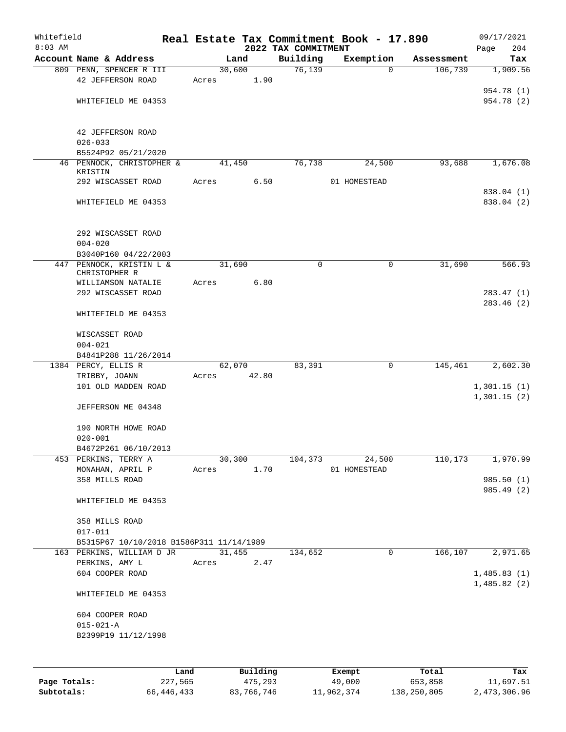| Whitefield   |                                          |         |       |                |          |                     | Real Estate Tax Commitment Book - 17.890 |                       | 09/17/2021               |
|--------------|------------------------------------------|---------|-------|----------------|----------|---------------------|------------------------------------------|-----------------------|--------------------------|
| $8:03$ AM    | Account Name & Address                   |         |       |                |          | 2022 TAX COMMITMENT |                                          |                       | 204<br>Page              |
|              | 809 PENN, SPENCER R III                  |         |       | Land<br>30,600 |          | Building<br>76, 139 | Exemption<br>$\Omega$                    | Assessment<br>106,739 | Tax<br>1,909.56          |
|              | 42 JEFFERSON ROAD                        |         | Acres |                | 1.90     |                     |                                          |                       |                          |
|              |                                          |         |       |                |          |                     |                                          |                       | 954.78 (1)               |
|              | WHITEFIELD ME 04353                      |         |       |                |          |                     |                                          |                       | 954.78 (2)               |
|              |                                          |         |       |                |          |                     |                                          |                       |                          |
|              | 42 JEFFERSON ROAD                        |         |       |                |          |                     |                                          |                       |                          |
|              | $026 - 033$                              |         |       |                |          |                     |                                          |                       |                          |
|              | B5524P92 05/21/2020                      |         |       |                |          |                     |                                          |                       |                          |
|              | 46 PENNOCK, CHRISTOPHER &                |         |       | 41,450         |          | 76,738              | 24,500                                   | 93,688                | 1,676.08                 |
|              | KRISTIN                                  |         |       |                |          |                     |                                          |                       |                          |
|              | 292 WISCASSET ROAD                       |         | Acres |                | 6.50     |                     | 01 HOMESTEAD                             |                       |                          |
|              | WHITEFIELD ME 04353                      |         |       |                |          |                     |                                          |                       | 838.04 (1)<br>838.04 (2) |
|              |                                          |         |       |                |          |                     |                                          |                       |                          |
|              | 292 WISCASSET ROAD                       |         |       |                |          |                     |                                          |                       |                          |
|              | $004 - 020$                              |         |       |                |          |                     |                                          |                       |                          |
|              | B3040P160 04/22/2003                     |         |       |                |          |                     |                                          |                       |                          |
| 447          | PENNOCK, KRISTIN L &<br>CHRISTOPHER R    |         |       | 31,690         |          | $\mathbf 0$         | 0                                        | 31,690                | 566.93                   |
|              | WILLIAMSON NATALIE                       |         | Acres |                | 6.80     |                     |                                          |                       |                          |
|              | 292 WISCASSET ROAD                       |         |       |                |          |                     |                                          |                       | 283.47(1)                |
|              | WHITEFIELD ME 04353                      |         |       |                |          |                     |                                          |                       | 283.46(2)                |
|              |                                          |         |       |                |          |                     |                                          |                       |                          |
|              | WISCASSET ROAD                           |         |       |                |          |                     |                                          |                       |                          |
|              | $004 - 021$<br>B4841P288 11/26/2014      |         |       |                |          |                     |                                          |                       |                          |
|              | 1384 PERCY, ELLIS R                      |         |       | 62,070         |          | 83,391              | 0                                        | 145,461               | 2,602.30                 |
|              | TRIBBY, JOANN                            |         | Acres |                | 42.80    |                     |                                          |                       |                          |
|              | 101 OLD MADDEN ROAD                      |         |       |                |          |                     |                                          |                       | 1,301.15(1)              |
|              |                                          |         |       |                |          |                     |                                          |                       | 1,301.15(2)              |
|              | JEFFERSON ME 04348                       |         |       |                |          |                     |                                          |                       |                          |
|              | 190 NORTH HOWE ROAD                      |         |       |                |          |                     |                                          |                       |                          |
|              | $020 - 001$                              |         |       |                |          |                     |                                          |                       |                          |
|              | B4672P261 06/10/2013                     |         |       |                |          |                     |                                          |                       |                          |
|              | 453 PERKINS, TERRY A                     |         |       | 30,300         |          | 104,373             | 24,500                                   | 110, 173              | 1,970.99                 |
|              | MONAHAN, APRIL P                         |         | Acres |                | 1.70     |                     | 01 HOMESTEAD                             |                       |                          |
|              | 358 MILLS ROAD                           |         |       |                |          |                     |                                          |                       | 985.50 (1)               |
|              | WHITEFIELD ME 04353                      |         |       |                |          |                     |                                          |                       | 985.49 (2)               |
|              | 358 MILLS ROAD                           |         |       |                |          |                     |                                          |                       |                          |
|              | $017 - 011$                              |         |       |                |          |                     |                                          |                       |                          |
|              | B5315P67 10/10/2018 B1586P311 11/14/1989 |         |       |                |          |                     |                                          |                       |                          |
|              | 163 PERKINS, WILLIAM D JR                |         |       | 31,455         |          | 134,652             | 0                                        | 166,107               | 2,971.65                 |
|              | PERKINS, AMY L                           |         | Acres |                | 2.47     |                     |                                          |                       |                          |
|              | 604 COOPER ROAD                          |         |       |                |          |                     |                                          |                       | 1,485.83(1)              |
|              | WHITEFIELD ME 04353                      |         |       |                |          |                     |                                          |                       | 1,485.82(2)              |
|              | 604 COOPER ROAD                          |         |       |                |          |                     |                                          |                       |                          |
|              | $015 - 021 - A$                          |         |       |                |          |                     |                                          |                       |                          |
|              | B2399P19 11/12/1998                      |         |       |                |          |                     |                                          |                       |                          |
|              |                                          |         |       |                |          |                     |                                          |                       |                          |
|              |                                          |         |       |                |          |                     |                                          |                       |                          |
|              |                                          | Land    |       |                | Building |                     | Exempt                                   | Total                 | Tax                      |
| Page Totals: |                                          | 227,565 |       |                | 475,293  |                     | 49,000                                   | 653,858               | 11,697.51                |

**Subtotals:** 66,446,433 83,766,746 11,962,374 138,250,805 2,473,306.96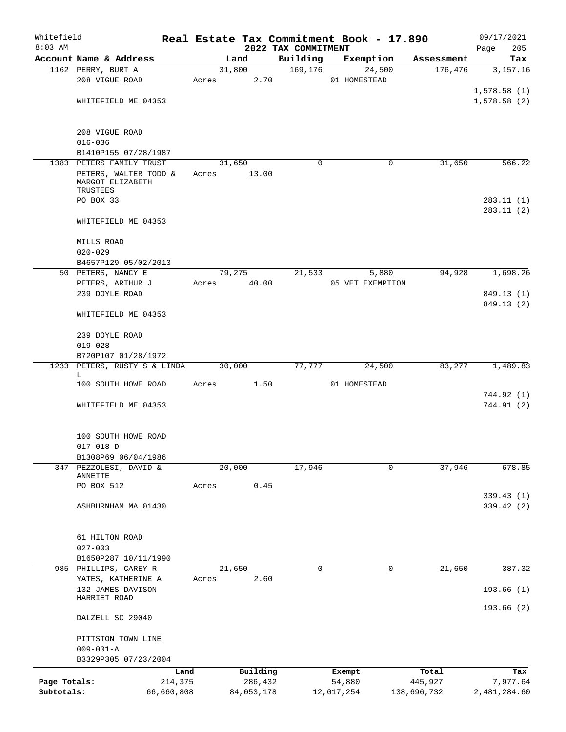| Whitefield   |                                                  |            |            | Real Estate Tax Commitment Book - 17.890 |              |                  |                       | 09/17/2021      |
|--------------|--------------------------------------------------|------------|------------|------------------------------------------|--------------|------------------|-----------------------|-----------------|
| $8:03$ AM    | Account Name & Address                           |            | Land       | 2022 TAX COMMITMENT<br>Building          |              | Exemption        |                       | 205<br>Page     |
|              | 1162 PERRY, BURT A                               |            | 31,800     | 169, 176                                 |              | 24,500           | Assessment<br>176,476 | Tax<br>3,157.16 |
|              | 208 VIGUE ROAD                                   | Acres      | 2.70       |                                          | 01 HOMESTEAD |                  |                       |                 |
|              |                                                  |            |            |                                          |              |                  |                       | 1,578.58(1)     |
|              | WHITEFIELD ME 04353                              |            |            |                                          |              |                  |                       | 1,578.58(2)     |
|              |                                                  |            |            |                                          |              |                  |                       |                 |
|              |                                                  |            |            |                                          |              |                  |                       |                 |
|              | 208 VIGUE ROAD                                   |            |            |                                          |              |                  |                       |                 |
|              | $016 - 036$                                      |            |            |                                          |              |                  |                       |                 |
|              | B1410P155 07/28/1987<br>1383 PETERS FAMILY TRUST |            | 31,650     | $\Omega$                                 |              | 0                | 31,650                | 566.22          |
|              | PETERS, WALTER TODD &                            | Acres      | 13.00      |                                          |              |                  |                       |                 |
|              | MARGOT ELIZABETH                                 |            |            |                                          |              |                  |                       |                 |
|              | TRUSTEES                                         |            |            |                                          |              |                  |                       |                 |
|              | PO BOX 33                                        |            |            |                                          |              |                  |                       | 283.11(1)       |
|              |                                                  |            |            |                                          |              |                  |                       | 283.11(2)       |
|              | WHITEFIELD ME 04353                              |            |            |                                          |              |                  |                       |                 |
|              | MILLS ROAD                                       |            |            |                                          |              |                  |                       |                 |
|              | $020 - 029$                                      |            |            |                                          |              |                  |                       |                 |
|              | B4657P129 05/02/2013                             |            |            |                                          |              |                  |                       |                 |
|              | 50 PETERS, NANCY E                               |            | 79,275     | 21,533                                   |              | 5,880            | 94,928                | 1,698.26        |
|              | PETERS, ARTHUR J                                 | Acres      | 40.00      |                                          |              | 05 VET EXEMPTION |                       |                 |
|              | 239 DOYLE ROAD                                   |            |            |                                          |              |                  |                       | 849.13 (1)      |
|              |                                                  |            |            |                                          |              |                  |                       | 849.13 (2)      |
|              | WHITEFIELD ME 04353                              |            |            |                                          |              |                  |                       |                 |
|              |                                                  |            |            |                                          |              |                  |                       |                 |
|              | 239 DOYLE ROAD                                   |            |            |                                          |              |                  |                       |                 |
|              | $019 - 028$                                      |            |            |                                          |              |                  |                       |                 |
|              | B720P107 01/28/1972                              |            |            |                                          |              |                  |                       |                 |
|              | 1233 PETERS, RUSTY S & LINDA<br>L                |            | 30,000     | 77,777                                   |              | 24,500           | 83,277                | 1,489.83        |
|              | 100 SOUTH HOWE ROAD                              | Acres      | 1.50       |                                          | 01 HOMESTEAD |                  |                       |                 |
|              |                                                  |            |            |                                          |              |                  |                       | 744.92 (1)      |
|              | WHITEFIELD ME 04353                              |            |            |                                          |              |                  |                       | 744.91 (2)      |
|              |                                                  |            |            |                                          |              |                  |                       |                 |
|              |                                                  |            |            |                                          |              |                  |                       |                 |
|              | 100 SOUTH HOWE ROAD                              |            |            |                                          |              |                  |                       |                 |
|              | $017 - 018 - D$                                  |            |            |                                          |              |                  |                       |                 |
|              | B1308P69 06/04/1986                              |            |            |                                          |              |                  |                       |                 |
|              | 347 PEZZOLESI, DAVID &<br>ANNETTE                |            | 20,000     | 17,946                                   |              | $\mathbf 0$      | 37,946                | 678.85          |
|              | PO BOX 512                                       | Acres      | 0.45       |                                          |              |                  |                       |                 |
|              |                                                  |            |            |                                          |              |                  |                       | 339.43(1)       |
|              | ASHBURNHAM MA 01430                              |            |            |                                          |              |                  |                       | 339.42 (2)      |
|              |                                                  |            |            |                                          |              |                  |                       |                 |
|              |                                                  |            |            |                                          |              |                  |                       |                 |
|              | 61 HILTON ROAD                                   |            |            |                                          |              |                  |                       |                 |
|              | $027 - 003$                                      |            |            |                                          |              |                  |                       |                 |
|              | B1650P287 10/11/1990                             |            |            |                                          |              |                  |                       |                 |
|              | 985 PHILLIPS, CAREY R                            |            | 21,650     | 0                                        |              | 0                | 21,650                | 387.32          |
|              | YATES, KATHERINE A                               | Acres      | 2.60       |                                          |              |                  |                       |                 |
|              | 132 JAMES DAVISON<br>HARRIET ROAD                |            |            |                                          |              |                  |                       | 193.66(1)       |
|              |                                                  |            |            |                                          |              |                  |                       | 193.66(2)       |
|              | DALZELL SC 29040                                 |            |            |                                          |              |                  |                       |                 |
|              |                                                  |            |            |                                          |              |                  |                       |                 |
|              | PITTSTON TOWN LINE                               |            |            |                                          |              |                  |                       |                 |
|              | $009 - 001 - A$                                  |            |            |                                          |              |                  |                       |                 |
|              | B3329P305 07/23/2004                             |            |            |                                          |              |                  |                       |                 |
|              |                                                  | Land       | Building   |                                          | Exempt       |                  | Total                 | Tax             |
| Page Totals: |                                                  | 214,375    | 286,432    |                                          | 54,880       |                  | 445,927               | 7,977.64        |
| Subtotals:   |                                                  | 66,660,808 | 84,053,178 |                                          | 12,017,254   |                  | 138,696,732           | 2,481,284.60    |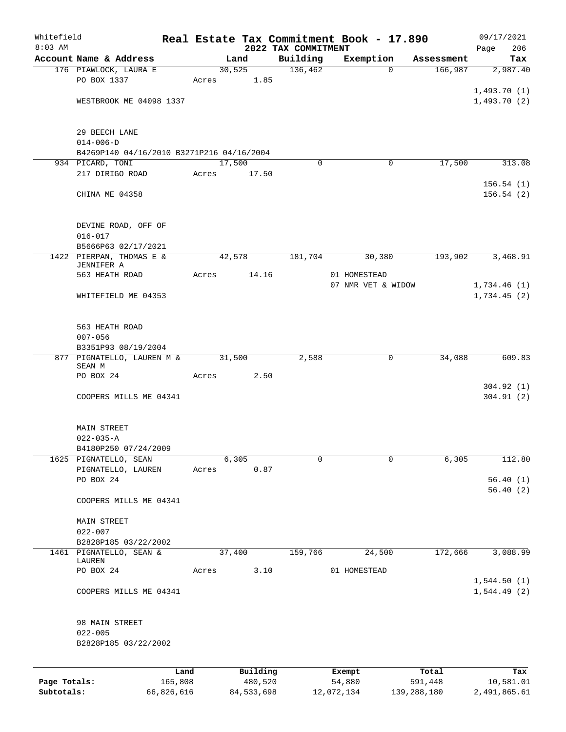| Whitefield   |                                           |       |              |                                 | Real Estate Tax Commitment Book - 17.890 |             | 09/17/2021                 |
|--------------|-------------------------------------------|-------|--------------|---------------------------------|------------------------------------------|-------------|----------------------------|
| $8:03$ AM    | Account Name & Address                    |       | Land         | 2022 TAX COMMITMENT<br>Building | Exemption                                | Assessment  | 206<br>Page<br>Tax         |
|              | 176 PIAWLOCK, LAURA E                     |       | 30,525       | 136,462                         | $\mathbf 0$                              | 166,987     | 2,987.40                   |
|              | PO BOX 1337                               | Acres | 1.85         |                                 |                                          |             |                            |
|              |                                           |       |              |                                 |                                          |             | 1,493.70(1)                |
|              | WESTBROOK ME 04098 1337                   |       |              |                                 |                                          |             | 1,493.70(2)                |
|              | 29 BEECH LANE                             |       |              |                                 |                                          |             |                            |
|              | $014 - 006 - D$                           |       |              |                                 |                                          |             |                            |
|              | B4269P140 04/16/2010 B3271P216 04/16/2004 |       |              |                                 |                                          |             |                            |
|              | 934 PICARD, TONI                          |       | 17,500       | $\Omega$                        | 0                                        | 17,500      | 313.08                     |
|              | 217 DIRIGO ROAD                           | Acres | 17.50        |                                 |                                          |             | 156.54(1)                  |
|              | CHINA ME 04358                            |       |              |                                 |                                          |             | 156.54(2)                  |
|              | DEVINE ROAD, OFF OF                       |       |              |                                 |                                          |             |                            |
|              | $016 - 017$                               |       |              |                                 |                                          |             |                            |
|              | B5666P63 02/17/2021                       |       |              |                                 |                                          |             |                            |
|              | 1422 PIERPAN, THOMAS E &<br>JENNIFER A    |       | 42,578       | 181,704                         | 30,380                                   | 193,902     | 3,468.91                   |
|              | 563 HEATH ROAD                            | Acres | 14.16        |                                 | 01 HOMESTEAD                             |             |                            |
|              |                                           |       |              |                                 | 07 NMR VET & WIDOW                       |             | 1,734.46(1)                |
|              | WHITEFIELD ME 04353                       |       |              |                                 |                                          |             | 1,734.45(2)                |
|              | 563 HEATH ROAD                            |       |              |                                 |                                          |             |                            |
|              | $007 - 056$                               |       |              |                                 |                                          |             |                            |
|              | B3351P93 08/19/2004                       |       |              |                                 |                                          |             |                            |
|              | 877 PIGNATELLO, LAUREN M &<br>SEAN M      |       | 31,500       | 2,588                           | 0                                        | 34,088      | 609.83                     |
|              | PO BOX 24                                 | Acres | 2.50         |                                 |                                          |             |                            |
|              |                                           |       |              |                                 |                                          |             | 304.92(1)                  |
|              | COOPERS MILLS ME 04341                    |       |              |                                 |                                          |             | 304.91(2)                  |
|              | MAIN STREET                               |       |              |                                 |                                          |             |                            |
|              | $022 - 035 - A$                           |       |              |                                 |                                          |             |                            |
|              | B4180P250 07/24/2009                      |       |              |                                 |                                          |             |                            |
|              | 1625 PIGNATELLO, SEAN                     |       | 6,305        | 0                               | 0                                        | 6,305       | 112.80                     |
|              | PIGNATELLO, LAUREN<br>PO BOX 24           | Acres | 0.87         |                                 |                                          |             | 56.40(1)                   |
|              |                                           |       |              |                                 |                                          |             | 56.40(2)                   |
|              | COOPERS MILLS ME 04341                    |       |              |                                 |                                          |             |                            |
|              | <b>MAIN STREET</b>                        |       |              |                                 |                                          |             |                            |
|              | $022 - 007$                               |       |              |                                 |                                          |             |                            |
|              | B2828P185 03/22/2002                      |       |              |                                 |                                          |             |                            |
|              | 1461 PIGNATELLO, SEAN &<br>LAUREN         |       | 37,400       | 159,766                         | 24,500                                   | 172,666     | 3,088.99                   |
|              | PO BOX 24                                 | Acres | 3.10         |                                 | 01 HOMESTEAD                             |             |                            |
|              | COOPERS MILLS ME 04341                    |       |              |                                 |                                          |             | 1,544.50(1)<br>1,544.49(2) |
|              |                                           |       |              |                                 |                                          |             |                            |
|              | 98 MAIN STREET                            |       |              |                                 |                                          |             |                            |
|              | $022 - 005$                               |       |              |                                 |                                          |             |                            |
|              | B2828P185 03/22/2002                      |       |              |                                 |                                          |             |                            |
|              |                                           | Land  | Building     |                                 | Exempt                                   | Total       | Tax                        |
| Page Totals: | 165,808                                   |       | 480,520      |                                 | 54,880                                   | 591,448     | 10,581.01                  |
| Subtotals:   | 66,826,616                                |       | 84, 533, 698 |                                 | 12,072,134                               | 139,288,180 | 2,491,865.61               |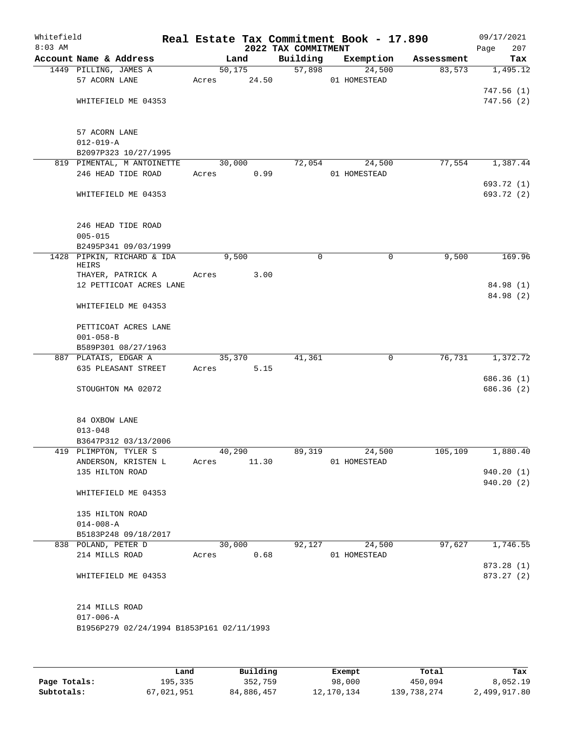| Whitefield<br>$8:03$ AM |                                                  |                 |         | Real Estate Tax Commitment Book - 17.890<br>2022 TAX COMMITMENT |                        |            | 09/17/2021<br>Page<br>207 |
|-------------------------|--------------------------------------------------|-----------------|---------|-----------------------------------------------------------------|------------------------|------------|---------------------------|
|                         | Account Name & Address                           |                 | Land    | Building                                                        | Exemption              | Assessment | Tax                       |
|                         | 1449 PILLING, JAMES A                            |                 | 50, 175 | 57,898                                                          | 24,500                 | 83,573     | 1,495.12                  |
|                         | 57 ACORN LANE                                    | Acres           | 24.50   |                                                                 | 01 HOMESTEAD           |            |                           |
|                         |                                                  |                 |         |                                                                 |                        |            | 747.56(1)                 |
|                         | WHITEFIELD ME 04353                              |                 |         |                                                                 |                        |            | 747.56 (2)                |
|                         |                                                  |                 |         |                                                                 |                        |            |                           |
|                         | 57 ACORN LANE                                    |                 |         |                                                                 |                        |            |                           |
|                         | $012 - 019 - A$                                  |                 |         |                                                                 |                        |            |                           |
|                         | B2097P323 10/27/1995                             |                 |         |                                                                 |                        |            |                           |
|                         | 819 PIMENTAL, M ANTOINETTE<br>246 HEAD TIDE ROAD | 30,000<br>Acres | 0.99    | 72,054                                                          | 24,500<br>01 HOMESTEAD | 77,554     | 1,387.44                  |
|                         |                                                  |                 |         |                                                                 |                        |            | 693.72 (1)                |
|                         | WHITEFIELD ME 04353                              |                 |         |                                                                 |                        |            | 693.72 (2)                |
|                         |                                                  |                 |         |                                                                 |                        |            |                           |
|                         |                                                  |                 |         |                                                                 |                        |            |                           |
|                         | 246 HEAD TIDE ROAD<br>$005 - 015$                |                 |         |                                                                 |                        |            |                           |
|                         | B2495P341 09/03/1999                             |                 |         |                                                                 |                        |            |                           |
|                         | 1428 PIPKIN, RICHARD & IDA                       |                 | 9,500   | $\mathbf 0$                                                     | 0                      | 9,500      | 169.96                    |
|                         | HEIRS                                            |                 |         |                                                                 |                        |            |                           |
|                         | THAYER, PATRICK A                                | Acres           | 3.00    |                                                                 |                        |            |                           |
|                         | 12 PETTICOAT ACRES LANE                          |                 |         |                                                                 |                        |            | 84.98 (1)<br>84.98 (2)    |
|                         | WHITEFIELD ME 04353                              |                 |         |                                                                 |                        |            |                           |
|                         |                                                  |                 |         |                                                                 |                        |            |                           |
|                         | PETTICOAT ACRES LANE                             |                 |         |                                                                 |                        |            |                           |
|                         | $001 - 058 - B$                                  |                 |         |                                                                 |                        |            |                           |
|                         | B589P301 08/27/1963                              |                 |         |                                                                 |                        |            |                           |
|                         | 887 PLATAIS, EDGAR A<br>635 PLEASANT STREET      | 35,370          | 5.15    | 41,361                                                          | 0                      | 76,731     | 1,372.72                  |
|                         |                                                  | Acres           |         |                                                                 |                        |            | 686.36 (1)                |
|                         | STOUGHTON MA 02072                               |                 |         |                                                                 |                        |            | 686.36 (2)                |
|                         |                                                  |                 |         |                                                                 |                        |            |                           |
|                         |                                                  |                 |         |                                                                 |                        |            |                           |
|                         | 84 OXBOW LANE<br>$013 - 048$                     |                 |         |                                                                 |                        |            |                           |
|                         | B3647P312 03/13/2006                             |                 |         |                                                                 |                        |            |                           |
|                         | 419 PLIMPTON, TYLER S                            | 40,290          |         | 89,319                                                          | 24,500                 | 105,109    | 1,880.40                  |
|                         | ANDERSON, KRISTEN L                              | Acres           | 11.30   |                                                                 | 01 HOMESTEAD           |            |                           |
|                         | 135 HILTON ROAD                                  |                 |         |                                                                 |                        |            | 940.20 (1)                |
|                         |                                                  |                 |         |                                                                 |                        |            | 940.20 (2)                |
|                         | WHITEFIELD ME 04353                              |                 |         |                                                                 |                        |            |                           |
|                         | 135 HILTON ROAD                                  |                 |         |                                                                 |                        |            |                           |
|                         | $014 - 008 - A$                                  |                 |         |                                                                 |                        |            |                           |
|                         | B5183P248 09/18/2017                             |                 |         |                                                                 |                        |            |                           |
|                         | 838 POLAND, PETER D                              | 30,000          |         | 92,127                                                          | 24,500                 | 97,627     | 1,746.55                  |
|                         | 214 MILLS ROAD                                   | Acres           | 0.68    |                                                                 | 01 HOMESTEAD           |            |                           |
|                         |                                                  |                 |         |                                                                 |                        |            | 873.28 (1)                |
|                         | WHITEFIELD ME 04353                              |                 |         |                                                                 |                        |            | 873.27 (2)                |
|                         |                                                  |                 |         |                                                                 |                        |            |                           |
|                         | 214 MILLS ROAD                                   |                 |         |                                                                 |                        |            |                           |
|                         | $017 - 006 - A$                                  |                 |         |                                                                 |                        |            |                           |
|                         | B1956P279 02/24/1994 B1853P161 02/11/1993        |                 |         |                                                                 |                        |            |                           |
|                         |                                                  |                 |         |                                                                 |                        |            |                           |
|                         |                                                  |                 |         |                                                                 |                        |            |                           |

|              | Land       | Building   | Exempt     | Total       | Tax          |
|--------------|------------|------------|------------|-------------|--------------|
| Page Totals: | 195,335    | 352,759    | 98,000     | 450,094     | 8,052.19     |
| Subtotals:   | 67,021,951 | 84,886,457 | 12,170,134 | 139,738,274 | 2,499,917.80 |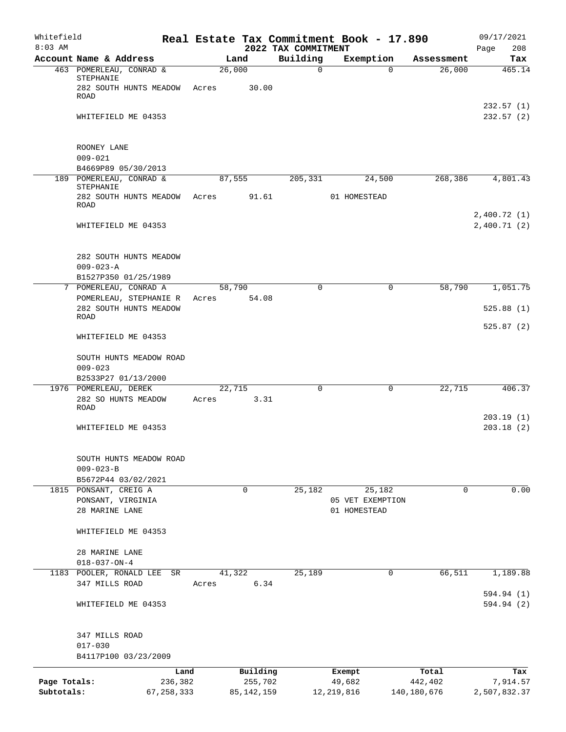| Whitefield                 |                                                                   |                         |        |                         |                                 | Real Estate Tax Commitment Book - 17.890 |                        | 09/17/2021                 |
|----------------------------|-------------------------------------------------------------------|-------------------------|--------|-------------------------|---------------------------------|------------------------------------------|------------------------|----------------------------|
| $8:03$ AM                  | Account Name & Address                                            |                         | Land   |                         | 2022 TAX COMMITMENT<br>Building | Exemption                                | Assessment             | 208<br>Page<br>Tax         |
|                            | 463 POMERLEAU, CONRAD &<br>STEPHANIE                              |                         | 26,000 |                         | $\mathbf 0$                     | $\Omega$                                 | 26,000                 | 465.14                     |
|                            | 282 SOUTH HUNTS MEADOW<br>ROAD                                    | Acres                   |        | 30.00                   |                                 |                                          |                        | 232.57(1)                  |
|                            | WHITEFIELD ME 04353                                               |                         |        |                         |                                 |                                          |                        | 232.57 (2)                 |
|                            | ROONEY LANE<br>$009 - 021$                                        |                         |        |                         |                                 |                                          |                        |                            |
|                            | B4669P89 05/30/2013<br>189 POMERLEAU, CONRAD &                    |                         | 87,555 |                         | 205,331                         | 24,500                                   | 268,386                | 4,801.43                   |
|                            | STEPHANIE<br>282 SOUTH HUNTS MEADOW<br>ROAD                       | Acres                   |        | 91.61                   |                                 | 01 HOMESTEAD                             |                        |                            |
|                            | WHITEFIELD ME 04353                                               |                         |        |                         |                                 |                                          |                        | 2,400.72(1)<br>2,400.71(2) |
|                            | 282 SOUTH HUNTS MEADOW<br>$009 - 023 - A$                         |                         |        |                         |                                 |                                          |                        |                            |
|                            | B1527P350 01/25/1989<br>7 POMERLEAU, CONRAD A                     |                         | 58,790 |                         | 0                               | $\mathbf 0$                              | 58,790                 | 1,051.75                   |
|                            | POMERLEAU, STEPHANIE R<br>282 SOUTH HUNTS MEADOW                  | Acres                   |        | 54.08                   |                                 |                                          |                        | 525.88(1)                  |
|                            | <b>ROAD</b>                                                       |                         |        |                         |                                 |                                          |                        | 525.87(2)                  |
|                            | WHITEFIELD ME 04353                                               |                         |        |                         |                                 |                                          |                        |                            |
|                            | SOUTH HUNTS MEADOW ROAD<br>$009 - 023$<br>B2533P27 01/13/2000     |                         |        |                         |                                 |                                          |                        |                            |
|                            | 1976 POMERLEAU, DEREK                                             |                         | 22,715 |                         | 0                               | 0                                        | 22,715                 | 406.37                     |
|                            | 282 SO HUNTS MEADOW<br>ROAD                                       | Acres                   |        | 3.31                    |                                 |                                          |                        |                            |
|                            | WHITEFIELD ME 04353                                               |                         |        |                         |                                 |                                          |                        | 203.19(1)<br>203.18(2)     |
|                            | SOUTH HUNTS MEADOW ROAD<br>$009 - 023 - B$<br>B5672P44 03/02/2021 |                         |        |                         |                                 |                                          |                        |                            |
|                            | 1815 PONSANT, CREIG A                                             |                         |        | 0                       | 25,182                          | 25,182                                   | $\mathbf 0$            | 0.00                       |
|                            | PONSANT, VIRGINIA<br>28 MARINE LANE                               |                         |        |                         |                                 | 05 VET EXEMPTION<br>01 HOMESTEAD         |                        |                            |
|                            | WHITEFIELD ME 04353                                               |                         |        |                         |                                 |                                          |                        |                            |
|                            | 28 MARINE LANE<br>$018 - 037 - ON - 4$                            |                         |        |                         |                                 |                                          |                        |                            |
|                            | 1183 POOLER, RONALD LEE<br>347 MILLS ROAD                         | SR<br>Acres             | 41,322 | 6.34                    | 25,189                          | 0                                        | 66,511                 | 1,189.88                   |
|                            | WHITEFIELD ME 04353                                               |                         |        |                         |                                 |                                          |                        | 594.94 (1)<br>594.94 (2)   |
|                            | 347 MILLS ROAD<br>$017 - 030$                                     |                         |        |                         |                                 |                                          |                        |                            |
|                            | B4117P100 03/23/2009                                              |                         |        |                         |                                 |                                          |                        |                            |
|                            |                                                                   | Land                    |        | Building                |                                 | Exempt                                   | Total                  | Tax                        |
| Page Totals:<br>Subtotals: |                                                                   | 236,382<br>67, 258, 333 |        | 255,702<br>85, 142, 159 |                                 | 49,682<br>12, 219, 816                   | 442,402<br>140,180,676 | 7,914.57<br>2,507,832.37   |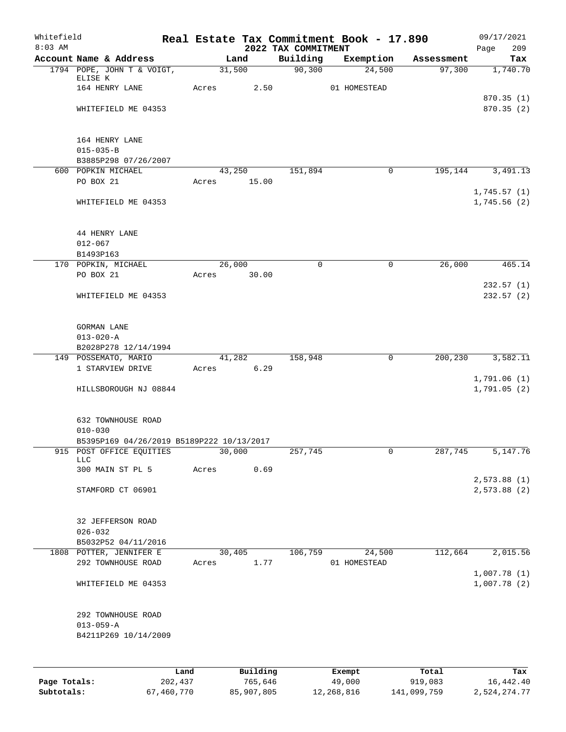| Whitefield<br>$8:03$ AM |                                                               |       |          | 2022 TAX COMMITMENT | Real Estate Tax Commitment Book - 17.890 |            | 09/17/2021<br>209<br>Page  |
|-------------------------|---------------------------------------------------------------|-------|----------|---------------------|------------------------------------------|------------|----------------------------|
|                         | Account Name & Address                                        |       | Land     | Building            | Exemption                                | Assessment | Tax                        |
|                         | 1794 POPE, JOHN T & VOIGT,<br>ELISE K                         |       | 31,500   | 90,300              | 24,500                                   | 97,300     | 1,740.70                   |
|                         | 164 HENRY LANE                                                | Acres | 2.50     |                     | 01 HOMESTEAD                             |            | 870.35(1)                  |
|                         | WHITEFIELD ME 04353                                           |       |          |                     |                                          |            | 870.35 (2)                 |
|                         | 164 HENRY LANE                                                |       |          |                     |                                          |            |                            |
|                         | $015 - 035 - B$<br>B3885P298 07/26/2007                       |       |          |                     |                                          |            |                            |
|                         | 600 POPKIN MICHAEL                                            |       | 43,250   | 151,894             | 0                                        | 195,144    | 3,491.13                   |
|                         | PO BOX 21                                                     | Acres | 15.00    |                     |                                          |            | 1,745.57(1)                |
|                         | WHITEFIELD ME 04353                                           |       |          |                     |                                          |            | 1,745.56(2)                |
|                         | 44 HENRY LANE                                                 |       |          |                     |                                          |            |                            |
|                         | $012 - 067$                                                   |       |          |                     |                                          |            |                            |
|                         | B1493P163<br>170 POPKIN, MICHAEL                              |       | 26,000   | 0                   | 0                                        | 26,000     | 465.14                     |
|                         | PO BOX 21                                                     | Acres | 30.00    |                     |                                          |            |                            |
|                         | WHITEFIELD ME 04353                                           |       |          |                     |                                          |            | 232.57(1)<br>232.57(2)     |
|                         | <b>GORMAN LANE</b>                                            |       |          |                     |                                          |            |                            |
|                         | $013 - 020 - A$                                               |       |          |                     |                                          |            |                            |
|                         | B2028P278 12/14/1994<br>149 POSSEMATO, MARIO                  |       | 41,282   | 158,948             | $\mathbf 0$                              | 200,230    | 3,582.11                   |
|                         | 1 STARVIEW DRIVE                                              | Acres | 6.29     |                     |                                          |            |                            |
|                         | HILLSBOROUGH NJ 08844                                         |       |          |                     |                                          |            | 1,791.06(1)<br>1,791.05(2) |
|                         | 632 TOWNHOUSE ROAD                                            |       |          |                     |                                          |            |                            |
|                         | $010 - 030$<br>B5395P169 04/26/2019 B5189P222 10/13/2017      |       |          |                     |                                          |            |                            |
|                         | 915 POST OFFICE EQUITIES                                      |       | 30,000   | 257,745             | 0                                        | 287,745    | 5,147.76                   |
|                         | <b>LLC</b><br>300 MAIN ST PL 5                                | Acres | 0.69     |                     |                                          |            |                            |
|                         | STAMFORD CT 06901                                             |       |          |                     |                                          |            | 2,573.88(1)<br>2,573.88(2) |
|                         | 32 JEFFERSON ROAD                                             |       |          |                     |                                          |            |                            |
|                         | $026 - 032$                                                   |       |          |                     |                                          |            |                            |
|                         | B5032P52 04/11/2016<br>1808 POTTER, JENNIFER E                |       | 30,405   | 106,759             | 24,500                                   | 112,664    | 2,015.56                   |
|                         | 292 TOWNHOUSE ROAD                                            | Acres | 1.77     |                     | 01 HOMESTEAD                             |            |                            |
|                         | WHITEFIELD ME 04353                                           |       |          |                     |                                          |            | 1,007.78(1)<br>1,007.78(2) |
|                         | 292 TOWNHOUSE ROAD<br>$013 - 059 - A$<br>B4211P269 10/14/2009 |       |          |                     |                                          |            |                            |
|                         |                                                               |       |          |                     |                                          |            |                            |
|                         |                                                               | Land  | Building |                     | Exempt                                   | Total      | Tax                        |

**Page Totals:** 202,437 765,646 49,000 919,083 16,442.40 **Subtotals:** 67,460,770 85,907,805 12,268,816 141,099,759 2,524,274.77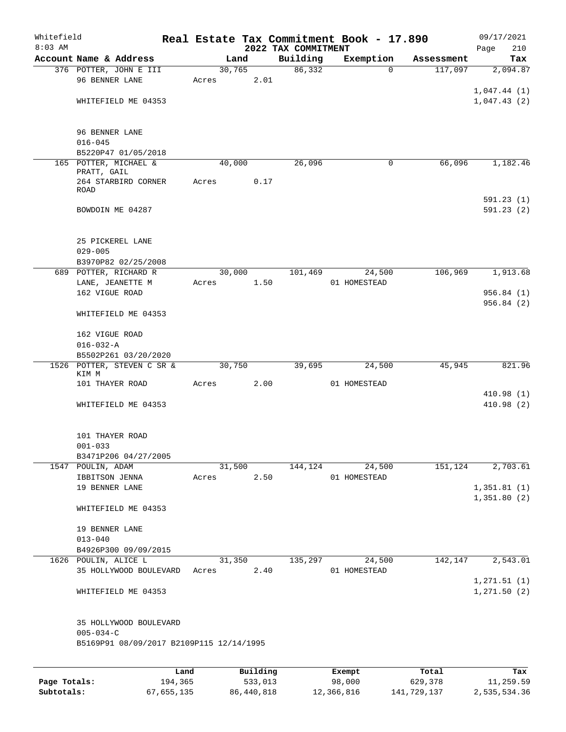| Whitefield   |                                           |       |        |          |                                 | Real Estate Tax Commitment Book - 17.890 |            | 09/17/2021                   |
|--------------|-------------------------------------------|-------|--------|----------|---------------------------------|------------------------------------------|------------|------------------------------|
| $8:03$ AM    | Account Name & Address                    |       | Land   |          | 2022 TAX COMMITMENT<br>Building | Exemption                                | Assessment | 210<br>Page<br>Tax           |
|              | 376 POTTER, JOHN E III                    |       | 30,765 |          | 86,332                          | $\Omega$                                 | 117,097    | 2,094.87                     |
|              | 96 BENNER LANE                            | Acres |        | 2.01     |                                 |                                          |            |                              |
|              |                                           |       |        |          |                                 |                                          |            | 1,047.44(1)                  |
|              | WHITEFIELD ME 04353                       |       |        |          |                                 |                                          |            | 1,047.43(2)                  |
|              | 96 BENNER LANE<br>$016 - 045$             |       |        |          |                                 |                                          |            |                              |
|              | B5220P47 01/05/2018                       |       |        |          |                                 |                                          |            |                              |
|              | 165 POTTER, MICHAEL &<br>PRATT, GAIL      |       | 40,000 |          | 26,096                          | 0                                        | 66,096     | 1,182.46                     |
|              | 264 STARBIRD CORNER<br>ROAD               | Acres |        | 0.17     |                                 |                                          |            |                              |
|              | BOWDOIN ME 04287                          |       |        |          |                                 |                                          |            | 591.23(1)<br>591.23(2)       |
|              | 25 PICKEREL LANE                          |       |        |          |                                 |                                          |            |                              |
|              | $029 - 005$                               |       |        |          |                                 |                                          |            |                              |
|              | B3970P82 02/25/2008                       |       |        |          |                                 |                                          |            |                              |
|              | 689 POTTER, RICHARD R                     |       | 30,000 |          | 101,469                         | 24,500                                   | 106,969    | 1,913.68                     |
|              | LANE, JEANETTE M<br>162 VIGUE ROAD        | Acres |        | 1.50     |                                 | 01 HOMESTEAD                             |            | 956.84(1)                    |
|              |                                           |       |        |          |                                 |                                          |            | 956.84(2)                    |
|              | WHITEFIELD ME 04353                       |       |        |          |                                 |                                          |            |                              |
|              | 162 VIGUE ROAD<br>$016 - 032 - A$         |       |        |          |                                 |                                          |            |                              |
|              | B5502P261 03/20/2020                      |       |        |          |                                 |                                          |            |                              |
|              | 1526 POTTER, STEVEN C SR &                |       | 30,750 |          | 39,695                          | 24,500                                   | 45,945     | 821.96                       |
|              | KIM M                                     |       |        |          |                                 |                                          |            |                              |
|              | 101 THAYER ROAD                           | Acres |        | 2.00     |                                 | 01 HOMESTEAD                             |            |                              |
|              | WHITEFIELD ME 04353                       |       |        |          |                                 |                                          |            | 410.98(1)<br>410.98(2)       |
|              | 101 THAYER ROAD                           |       |        |          |                                 |                                          |            |                              |
|              | $001 - 033$                               |       |        |          |                                 |                                          |            |                              |
|              | B3471P206 04/27/2005<br>1547 POULIN, ADAM |       | 31,500 |          | 144,124                         | 24,500                                   | 151,124    | 2,703.61                     |
|              | IBBITSON JENNA                            | Acres |        | 2.50     |                                 | 01 HOMESTEAD                             |            |                              |
|              | 19 BENNER LANE                            |       |        |          |                                 |                                          |            | 1,351.81(1)                  |
|              | WHITEFIELD ME 04353                       |       |        |          |                                 |                                          |            | 1,351.80(2)                  |
|              |                                           |       |        |          |                                 |                                          |            |                              |
|              | 19 BENNER LANE                            |       |        |          |                                 |                                          |            |                              |
|              | $013 - 040$                               |       |        |          |                                 |                                          |            |                              |
|              | B4926P300 09/09/2015                      |       |        |          |                                 |                                          |            |                              |
|              | 1626 POULIN, ALICE L                      |       | 31,350 |          | 135,297                         | 24,500                                   | 142,147    | 2,543.01                     |
|              | 35 HOLLYWOOD BOULEVARD                    | Acres |        | 2.40     |                                 | 01 HOMESTEAD                             |            |                              |
|              | WHITEFIELD ME 04353                       |       |        |          |                                 |                                          |            | 1, 271.51 (1)<br>1,271.50(2) |
|              | 35 HOLLYWOOD BOULEVARD<br>$005 - 034 - C$ |       |        |          |                                 |                                          |            |                              |
|              | B5169P91 08/09/2017 B2109P115 12/14/1995  |       |        |          |                                 |                                          |            |                              |
|              |                                           | Land  |        | Building |                                 | Exempt                                   | Total      | Tax                          |
| Page Totals: | 194,365                                   |       |        | 533,013  |                                 | 98,000                                   | 629,378    | 11,259.59                    |

**Subtotals:** 67,655,135 86,440,818 12,366,816 141,729,137 2,535,534.36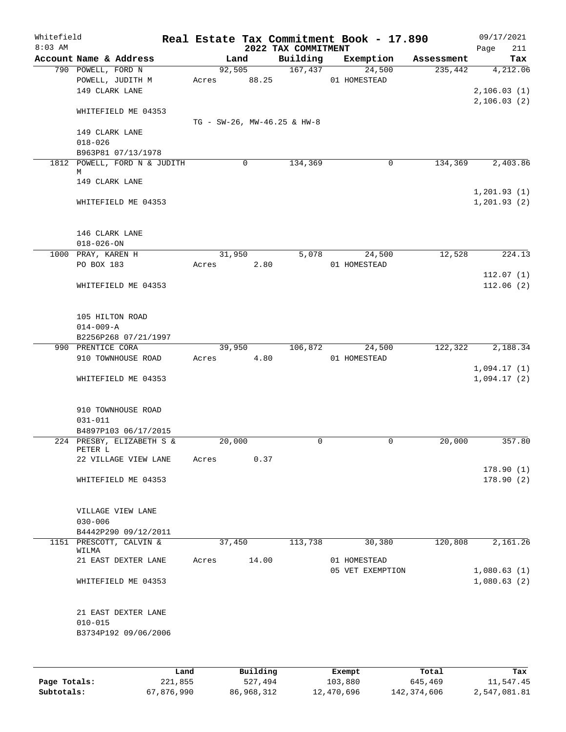| Whitefield<br>$8:03$ AM |                                    |        |          | 2022 TAX COMMITMENT         | Real Estate Tax Commitment Book - 17.890 |            | 09/17/2021<br>211<br>Page |
|-------------------------|------------------------------------|--------|----------|-----------------------------|------------------------------------------|------------|---------------------------|
|                         | Account Name & Address             |        | Land     | Building                    | Exemption                                | Assessment | Tax                       |
|                         | 790 POWELL, FORD N                 |        | 92,505   | 167,437                     | 24,500                                   | 235,442    | 4,212.06                  |
|                         | POWELL, JUDITH M                   | Acres  | 88.25    |                             | 01 HOMESTEAD                             |            |                           |
|                         | 149 CLARK LANE                     |        |          |                             |                                          |            | 2,106.03(1)               |
|                         |                                    |        |          |                             |                                          |            | 2, 106.03(2)              |
|                         | WHITEFIELD ME 04353                |        |          |                             |                                          |            |                           |
|                         |                                    |        |          | TG - SW-26, MW-46.25 & HW-8 |                                          |            |                           |
|                         | 149 CLARK LANE                     |        |          |                             |                                          |            |                           |
|                         | $018 - 026$                        |        |          |                             |                                          |            |                           |
|                         | B963P81 07/13/1978                 |        |          |                             |                                          |            |                           |
|                         | 1812 POWELL, FORD N & JUDITH       |        | 0        | 134,369                     | $\mathbf 0$                              | 134,369    | 2,403.86                  |
|                         | М                                  |        |          |                             |                                          |            |                           |
|                         | 149 CLARK LANE                     |        |          |                             |                                          |            |                           |
|                         |                                    |        |          |                             |                                          |            | 1, 201.93(1)              |
|                         | WHITEFIELD ME 04353                |        |          |                             |                                          |            | 1, 201.93(2)              |
|                         |                                    |        |          |                             |                                          |            |                           |
|                         |                                    |        |          |                             |                                          |            |                           |
|                         | 146 CLARK LANE                     |        |          |                             |                                          |            |                           |
|                         | $018 - 026 - ON$                   |        |          |                             |                                          |            |                           |
|                         | 1000 PRAY, KAREN H                 |        | 31,950   | 5,078                       | 24,500                                   | 12,528     | 224.13                    |
|                         | PO BOX 183                         | Acres  | 2.80     |                             | 01 HOMESTEAD                             |            |                           |
|                         |                                    |        |          |                             |                                          |            | 112.07(1)                 |
|                         | WHITEFIELD ME 04353                |        |          |                             |                                          |            | 112.06(2)                 |
|                         |                                    |        |          |                             |                                          |            |                           |
|                         |                                    |        |          |                             |                                          |            |                           |
|                         | 105 HILTON ROAD                    |        |          |                             |                                          |            |                           |
|                         | $014 - 009 - A$                    |        |          |                             |                                          |            |                           |
|                         | B2256P268 07/21/1997               |        |          |                             |                                          |            |                           |
|                         | 990 PRENTICE CORA                  |        | 39,950   | 106,872                     | 24,500                                   | 122,322    | 2,188.34                  |
|                         | 910 TOWNHOUSE ROAD                 | Acres  | 4.80     |                             | 01 HOMESTEAD                             |            |                           |
|                         |                                    |        |          |                             |                                          |            | 1,094.17(1)               |
|                         | WHITEFIELD ME 04353                |        |          |                             |                                          |            | 1,094.17(2)               |
|                         |                                    |        |          |                             |                                          |            |                           |
|                         |                                    |        |          |                             |                                          |            |                           |
|                         | 910 TOWNHOUSE ROAD<br>$031 - 011$  |        |          |                             |                                          |            |                           |
|                         | B4897P103 06/17/2015               |        |          |                             |                                          |            |                           |
|                         | 224 PRESBY, ELIZABETH S &          | 20,000 |          | 0                           | 0                                        | 20,000     | 357.80                    |
|                         | PETER L                            |        |          |                             |                                          |            |                           |
|                         | 22 VILLAGE VIEW LANE               | Acres  | 0.37     |                             |                                          |            |                           |
|                         |                                    |        |          |                             |                                          |            | 178.90(1)                 |
|                         | WHITEFIELD ME 04353                |        |          |                             |                                          |            | 178.90(2)                 |
|                         |                                    |        |          |                             |                                          |            |                           |
|                         |                                    |        |          |                             |                                          |            |                           |
|                         | VILLAGE VIEW LANE                  |        |          |                             |                                          |            |                           |
|                         | $030 - 006$                        |        |          |                             |                                          |            |                           |
|                         | B4442P290 09/12/2011               |        |          |                             |                                          |            |                           |
|                         | 1151 PRESCOTT, CALVIN &            | 37,450 |          | 113,738                     | 30,380                                   | 120,808    | 2,161.26                  |
|                         | WILMA                              |        |          |                             |                                          |            |                           |
|                         | 21 EAST DEXTER LANE                | Acres  | 14.00    |                             | 01 HOMESTEAD                             |            |                           |
|                         |                                    |        |          |                             | 05 VET EXEMPTION                         |            | 1,080.63(1)               |
|                         | WHITEFIELD ME 04353                |        |          |                             |                                          |            | 1,080.63(2)               |
|                         |                                    |        |          |                             |                                          |            |                           |
|                         |                                    |        |          |                             |                                          |            |                           |
|                         | 21 EAST DEXTER LANE<br>$010 - 015$ |        |          |                             |                                          |            |                           |
|                         | B3734P192 09/06/2006               |        |          |                             |                                          |            |                           |
|                         |                                    |        |          |                             |                                          |            |                           |
|                         |                                    |        |          |                             |                                          |            |                           |
|                         |                                    |        |          |                             |                                          |            |                           |
|                         |                                    | Land   | Building |                             | Exempt                                   | Total      | Tax                       |
| Page Totals:            | 221,855                            |        | 527,494  |                             | 103,880                                  | 645,469    | 11,547.45                 |

**Subtotals:** 67,876,990 86,968,312 12,470,696 142,374,606 2,547,081.81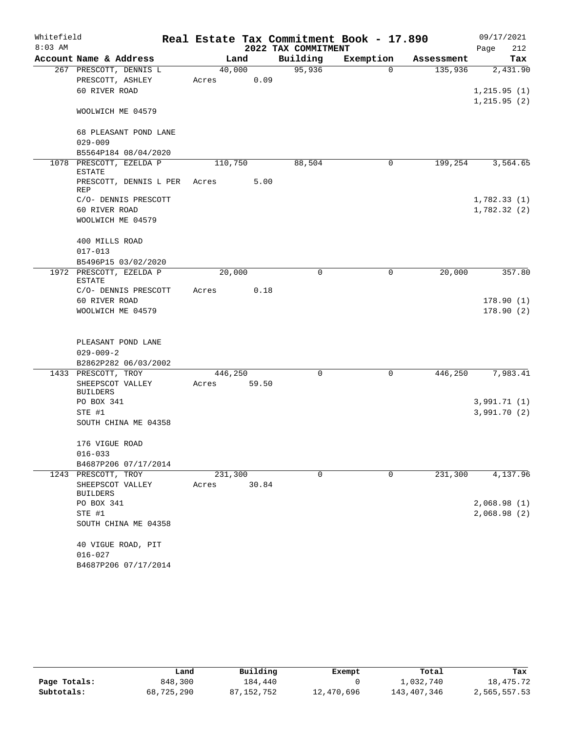| Whitefield |                                          |                  |        |                     | Real Estate Tax Commitment Book - 17.890 |            | 09/17/2021   |
|------------|------------------------------------------|------------------|--------|---------------------|------------------------------------------|------------|--------------|
| $8:03$ AM  |                                          |                  |        | 2022 TAX COMMITMENT |                                          |            | 212<br>Page  |
|            | Account Name & Address                   |                  | Land   | Building            | Exemption                                | Assessment | Tax          |
|            | 267 PRESCOTT, DENNIS L                   |                  | 40,000 | 95,936              | $\Omega$                                 | 135,936    | 2,431.90     |
|            | PRESCOTT, ASHLEY                         | Acres            | 0.09   |                     |                                          |            |              |
|            | 60 RIVER ROAD                            |                  |        |                     |                                          |            | 1, 215.95(1) |
|            | WOOLWICH ME 04579                        |                  |        |                     |                                          |            | 1, 215.95(2) |
|            | 68 PLEASANT POND LANE                    |                  |        |                     |                                          |            |              |
|            | $029 - 009$                              |                  |        |                     |                                          |            |              |
|            | B5564P184 08/04/2020                     |                  |        |                     |                                          |            |              |
|            | 1078 PRESCOTT, EZELDA P<br><b>ESTATE</b> | 110,750          |        | 88,504              | 0                                        | 199,254    | 3,564.65     |
|            | PRESCOTT, DENNIS L PER<br><b>REP</b>     | Acres            | 5.00   |                     |                                          |            |              |
|            | C/O- DENNIS PRESCOTT                     |                  |        |                     |                                          |            | 1,782.33(1)  |
|            | 60 RIVER ROAD                            |                  |        |                     |                                          |            | 1,782.32(2)  |
|            | WOOLWICH ME 04579                        |                  |        |                     |                                          |            |              |
|            | 400 MILLS ROAD                           |                  |        |                     |                                          |            |              |
|            | $017 - 013$                              |                  |        |                     |                                          |            |              |
|            | B5496P15 03/02/2020                      |                  |        |                     |                                          |            |              |
|            | 1972 PRESCOTT, EZELDA P<br><b>ESTATE</b> | 20,000           |        | 0                   | 0                                        | 20,000     | 357.80       |
|            | C/O- DENNIS PRESCOTT                     | Acres            | 0.18   |                     |                                          |            |              |
|            | 60 RIVER ROAD                            |                  |        |                     |                                          |            | 178.90(1)    |
|            | WOOLWICH ME 04579                        |                  |        |                     |                                          |            | 178.90(2)    |
|            | PLEASANT POND LANE                       |                  |        |                     |                                          |            |              |
|            | $029 - 009 - 2$                          |                  |        |                     |                                          |            |              |
|            | B2862P282 06/03/2002                     |                  |        |                     |                                          |            |              |
|            | 1433 PRESCOTT, TROY                      | 446,250          |        | $\mathbf 0$         | 0                                        | 446,250    | 7,983.41     |
|            | SHEEPSCOT VALLEY<br><b>BUILDERS</b>      | Acres            | 59.50  |                     |                                          |            |              |
|            | PO BOX 341                               |                  |        |                     |                                          |            | 3,991.71(1)  |
|            | STE #1                                   |                  |        |                     |                                          |            | 3,991.70(2)  |
|            | SOUTH CHINA ME 04358                     |                  |        |                     |                                          |            |              |
|            | 176 VIGUE ROAD                           |                  |        |                     |                                          |            |              |
|            | $016 - 033$                              |                  |        |                     |                                          |            |              |
|            | B4687P206 07/17/2014                     |                  |        |                     |                                          |            |              |
|            | 1243 PRESCOTT, TROY<br>SHEEPSCOT VALLEY  | 231,300<br>Acres | 30.84  | $\mathbf 0$         | $\mathbf 0$                              | 231,300    | 4,137.96     |
|            | BUILDERS                                 |                  |        |                     |                                          |            |              |
|            | PO BOX 341                               |                  |        |                     |                                          |            | 2,068.98(1)  |
|            | STE #1<br>SOUTH CHINA ME 04358           |                  |        |                     |                                          |            | 2,068.98(2)  |
|            | 40 VIGUE ROAD, PIT                       |                  |        |                     |                                          |            |              |
|            | $016 - 027$                              |                  |        |                     |                                          |            |              |
|            | B4687P206 07/17/2014                     |                  |        |                     |                                          |            |              |

|              | Land       | Building   | Exempt     | Total       | Tax          |
|--------------|------------|------------|------------|-------------|--------------|
| Page Totals: | 848,300    | 184,440    |            | 1,032,740   | 18,475.72    |
| Subtotals:   | 68,725,290 | 87,152,752 | 12,470,696 | 143,407,346 | 2,565,557.53 |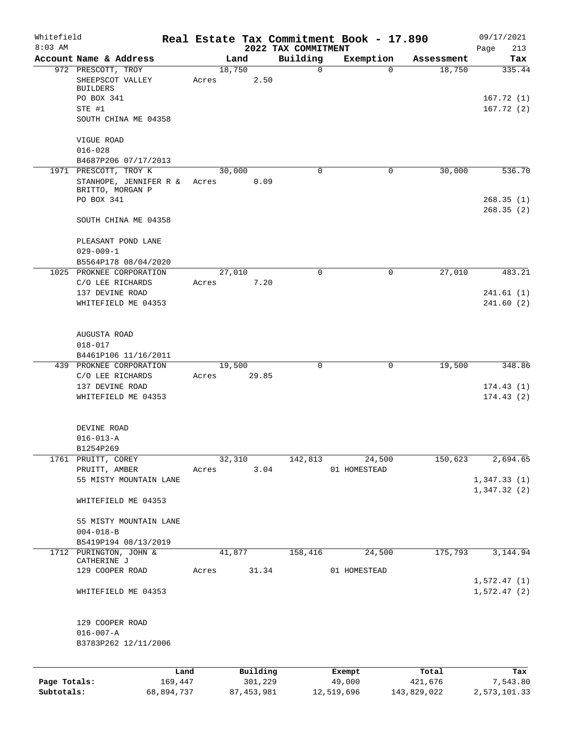| Whitefield<br>$8:03$ AM |                                     |            |       |        |              | 2022 TAX COMMITMENT | Real Estate Tax Commitment Book - 17.890 |             | 09/17/2021<br>Page<br>213 |
|-------------------------|-------------------------------------|------------|-------|--------|--------------|---------------------|------------------------------------------|-------------|---------------------------|
|                         | Account Name & Address              |            |       | Land   |              | Building            | Exemption                                | Assessment  | Tax                       |
|                         | 972 PRESCOTT, TROY                  |            |       | 18,750 |              | 0                   | $\mathbf 0$                              | 18,750      | 335.44                    |
|                         | SHEEPSCOT VALLEY                    |            | Acres |        | 2.50         |                     |                                          |             |                           |
|                         | <b>BUILDERS</b>                     |            |       |        |              |                     |                                          |             |                           |
|                         | PO BOX 341                          |            |       |        |              |                     |                                          |             | 167.72(1)                 |
|                         | STE #1<br>SOUTH CHINA ME 04358      |            |       |        |              |                     |                                          |             | 167.72(2)                 |
|                         |                                     |            |       |        |              |                     |                                          |             |                           |
|                         | VIGUE ROAD                          |            |       |        |              |                     |                                          |             |                           |
|                         | $016 - 028$                         |            |       |        |              |                     |                                          |             |                           |
|                         | B4687P206 07/17/2013                |            |       |        |              |                     |                                          |             |                           |
|                         | 1971 PRESCOTT, TROY K               |            |       | 30,000 |              | $\Omega$            | 0                                        | 30,000      | 536.70                    |
|                         | STANHOPE, JENNIFER R &              |            | Acres |        | 0.09         |                     |                                          |             |                           |
|                         | BRITTO, MORGAN P                    |            |       |        |              |                     |                                          |             |                           |
|                         | PO BOX 341                          |            |       |        |              |                     |                                          |             | 268.35(1)                 |
|                         | SOUTH CHINA ME 04358                |            |       |        |              |                     |                                          |             | 268.35(2)                 |
|                         |                                     |            |       |        |              |                     |                                          |             |                           |
|                         | PLEASANT POND LANE                  |            |       |        |              |                     |                                          |             |                           |
|                         | $029 - 009 - 1$                     |            |       |        |              |                     |                                          |             |                           |
|                         | B5564P178 08/04/2020                |            |       |        |              |                     |                                          |             |                           |
|                         | 1025 PROKNEE CORPORATION            |            |       | 27,010 |              | 0                   | 0                                        | 27,010      | 483.21                    |
|                         | C/O LEE RICHARDS                    |            | Acres |        | 7.20         |                     |                                          |             |                           |
|                         | 137 DEVINE ROAD                     |            |       |        |              |                     |                                          |             | 241.61(1)                 |
|                         | WHITEFIELD ME 04353                 |            |       |        |              |                     |                                          |             | 241.60(2)                 |
|                         |                                     |            |       |        |              |                     |                                          |             |                           |
|                         |                                     |            |       |        |              |                     |                                          |             |                           |
|                         | AUGUSTA ROAD                        |            |       |        |              |                     |                                          |             |                           |
|                         | $018 - 017$<br>B4461P106 11/16/2011 |            |       |        |              |                     |                                          |             |                           |
|                         | 439 PROKNEE CORPORATION             |            |       | 19,500 |              | 0                   | $\mathbf 0$                              | 19,500      | 348.86                    |
|                         | C/O LEE RICHARDS                    |            | Acres |        | 29.85        |                     |                                          |             |                           |
|                         | 137 DEVINE ROAD                     |            |       |        |              |                     |                                          |             | 174.43(1)                 |
|                         | WHITEFIELD ME 04353                 |            |       |        |              |                     |                                          |             | 174.43(2)                 |
|                         |                                     |            |       |        |              |                     |                                          |             |                           |
|                         |                                     |            |       |        |              |                     |                                          |             |                           |
|                         | DEVINE ROAD                         |            |       |        |              |                     |                                          |             |                           |
|                         | $016 - 013 - A$                     |            |       |        |              |                     |                                          |             |                           |
|                         | B1254P269                           |            |       |        |              |                     |                                          |             |                           |
|                         | 1761 PRUITT, COREY<br>PRUITT, AMBER |            | Acres | 32,310 | 3.04         | 142,813             | 24,500<br>01 HOMESTEAD                   | 150,623     | 2,694.65                  |
|                         | 55 MISTY MOUNTAIN LANE              |            |       |        |              |                     |                                          |             | 1,347.33(1)               |
|                         |                                     |            |       |        |              |                     |                                          |             | 1,347.32(2)               |
|                         | WHITEFIELD ME 04353                 |            |       |        |              |                     |                                          |             |                           |
|                         |                                     |            |       |        |              |                     |                                          |             |                           |
|                         | 55 MISTY MOUNTAIN LANE              |            |       |        |              |                     |                                          |             |                           |
|                         | $004 - 018 - B$                     |            |       |        |              |                     |                                          |             |                           |
|                         | B5419P194 08/13/2019                |            |       |        |              |                     |                                          |             |                           |
|                         | 1712 PURINGTON, JOHN &              |            |       | 41,877 |              | 158,416             | 24,500                                   | 175,793     | 3,144.94                  |
|                         | CATHERINE J<br>129 COOPER ROAD      |            | Acres |        | 31.34        |                     | 01 HOMESTEAD                             |             |                           |
|                         |                                     |            |       |        |              |                     |                                          |             | 1,572.47(1)               |
|                         | WHITEFIELD ME 04353                 |            |       |        |              |                     |                                          |             | 1,572.47(2)               |
|                         |                                     |            |       |        |              |                     |                                          |             |                           |
|                         |                                     |            |       |        |              |                     |                                          |             |                           |
|                         | 129 COOPER ROAD                     |            |       |        |              |                     |                                          |             |                           |
|                         | $016 - 007 - A$                     |            |       |        |              |                     |                                          |             |                           |
|                         | B3783P262 12/11/2006                |            |       |        |              |                     |                                          |             |                           |
|                         |                                     |            |       |        |              |                     |                                          |             |                           |
|                         |                                     | Land       |       |        | Building     |                     | Exempt                                   | Total       | Tax                       |
| Page Totals:            |                                     | 169,447    |       |        | 301,229      |                     | 49,000                                   | 421,676     | 7,543.80                  |
| Subtotals:              |                                     | 68,894,737 |       |        | 87, 453, 981 |                     | 12,519,696                               | 143,829,022 | 2,573,101.33              |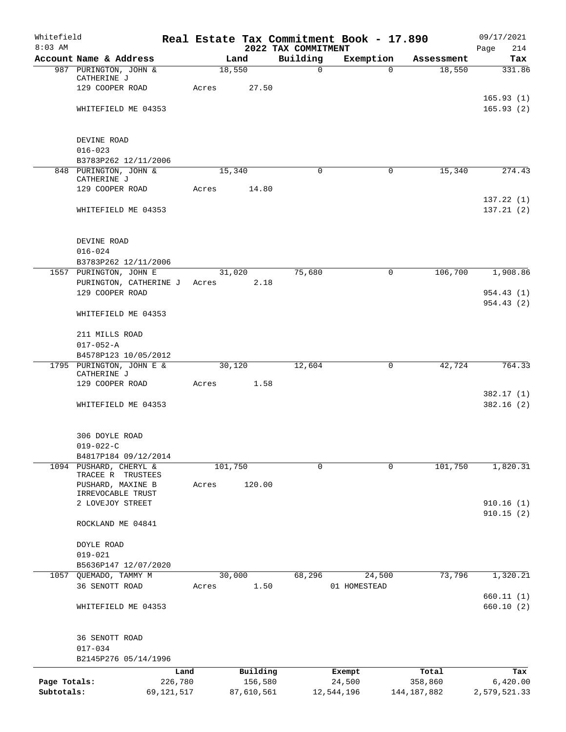| Whitefield<br>$8:03$ AM |                                                  |         |                | 2022 TAX COMMITMENT | Real Estate Tax Commitment Book - 17.890 |               | 09/17/2021<br>214<br>Page |
|-------------------------|--------------------------------------------------|---------|----------------|---------------------|------------------------------------------|---------------|---------------------------|
|                         | Account Name & Address                           |         | Land           | Building            | Exemption                                | Assessment    | Tax                       |
|                         | 987 PURINGTON, JOHN &                            |         | 18,550         | $\mathsf{O}$        | $\Omega$                                 | 18,550        | 331.86                    |
|                         | CATHERINE J                                      |         |                |                     |                                          |               |                           |
|                         | 129 COOPER ROAD                                  | Acres   | 27.50          |                     |                                          |               |                           |
|                         |                                                  |         |                |                     |                                          |               | 165.93(1)                 |
|                         | WHITEFIELD ME 04353                              |         |                |                     |                                          |               | 165.93(2)                 |
|                         | DEVINE ROAD                                      |         |                |                     |                                          |               |                           |
|                         | $016 - 023$                                      |         |                |                     |                                          |               |                           |
|                         | B3783P262 12/11/2006                             |         |                |                     |                                          |               |                           |
|                         | 848 PURINGTON, JOHN &                            |         | 15,340         | $\Omega$            | 0                                        | 15,340        | 274.43                    |
|                         | CATHERINE J<br>129 COOPER ROAD                   | Acres   | 14.80          |                     |                                          |               |                           |
|                         |                                                  |         |                |                     |                                          |               | 137.22(1)                 |
|                         | WHITEFIELD ME 04353                              |         |                |                     |                                          |               | 137.21(2)                 |
|                         |                                                  |         |                |                     |                                          |               |                           |
|                         | DEVINE ROAD                                      |         |                |                     |                                          |               |                           |
|                         | $016 - 024$                                      |         |                |                     |                                          |               |                           |
|                         | B3783P262 12/11/2006                             |         |                |                     |                                          |               |                           |
|                         | 1557 PURINGTON, JOHN E<br>PURINGTON, CATHERINE J |         | 31,020<br>2.18 | 75,680              | 0                                        | 106,700       | 1,908.86                  |
|                         | 129 COOPER ROAD                                  | Acres   |                |                     |                                          |               | 954.43(1)                 |
|                         |                                                  |         |                |                     |                                          |               | 954.43(2)                 |
|                         | WHITEFIELD ME 04353                              |         |                |                     |                                          |               |                           |
|                         | 211 MILLS ROAD                                   |         |                |                     |                                          |               |                           |
|                         | $017 - 052 - A$                                  |         |                |                     |                                          |               |                           |
|                         | B4578P123 10/05/2012                             |         |                |                     |                                          |               |                           |
|                         | 1795 PURINGTON, JOHN E &                         |         | 30,120         | 12,604              | $\mathbf 0$                              | 42,724        | 764.33                    |
|                         | CATHERINE J                                      |         |                |                     |                                          |               |                           |
|                         | 129 COOPER ROAD                                  | Acres   | 1.58           |                     |                                          |               |                           |
|                         | WHITEFIELD ME 04353                              |         |                |                     |                                          |               | 382.17(1)<br>382.16(2)    |
|                         |                                                  |         |                |                     |                                          |               |                           |
|                         | 306 DOYLE ROAD                                   |         |                |                     |                                          |               |                           |
|                         | $019 - 022 - C$                                  |         |                |                     |                                          |               |                           |
|                         | B4817P184 09/12/2014                             |         |                |                     |                                          |               |                           |
|                         | 1094 PUSHARD, CHERYL &                           | 101,750 |                | $\mathbf 0$         | $\mathbf 0$                              | 101,750       | 1,820.31                  |
|                         | TRACEE R TRUSTEES<br>PUSHARD, MAXINE B           | Acres   | 120.00         |                     |                                          |               |                           |
|                         | IRREVOCABLE TRUST                                |         |                |                     |                                          |               |                           |
|                         | 2 LOVEJOY STREET                                 |         |                |                     |                                          |               | 910.16(1)                 |
|                         |                                                  |         |                |                     |                                          |               | 910.15(2)                 |
|                         | ROCKLAND ME 04841                                |         |                |                     |                                          |               |                           |
|                         | DOYLE ROAD                                       |         |                |                     |                                          |               |                           |
|                         | $019 - 021$                                      |         |                |                     |                                          |               |                           |
|                         | B5636P147 12/07/2020                             |         |                |                     |                                          |               |                           |
|                         | 1057 QUEMADO, TAMMY M                            |         | 30,000         | 68,296              | 24,500                                   | 73,796        | 1,320.21                  |
|                         | 36 SENOTT ROAD                                   | Acres   | 1.50           |                     | 01 HOMESTEAD                             |               |                           |
|                         |                                                  |         |                |                     |                                          |               | 660.11(1)                 |
|                         | WHITEFIELD ME 04353                              |         |                |                     |                                          |               | 660.10(2)                 |
|                         |                                                  |         |                |                     |                                          |               |                           |
|                         | 36 SENOTT ROAD<br>$017 - 034$                    |         |                |                     |                                          |               |                           |
|                         | B2145P276 05/14/1996                             |         |                |                     |                                          |               |                           |
|                         |                                                  | Land    | Building       |                     | Exempt                                   | Total         | Tax                       |
| Page Totals:            | 226,780                                          |         | 156,580        |                     | 24,500                                   | 358,860       | 6,420.00                  |
| Subtotals:              | 69,121,517                                       |         | 87,610,561     |                     | 12,544,196                               | 144, 187, 882 | 2,579,521.33              |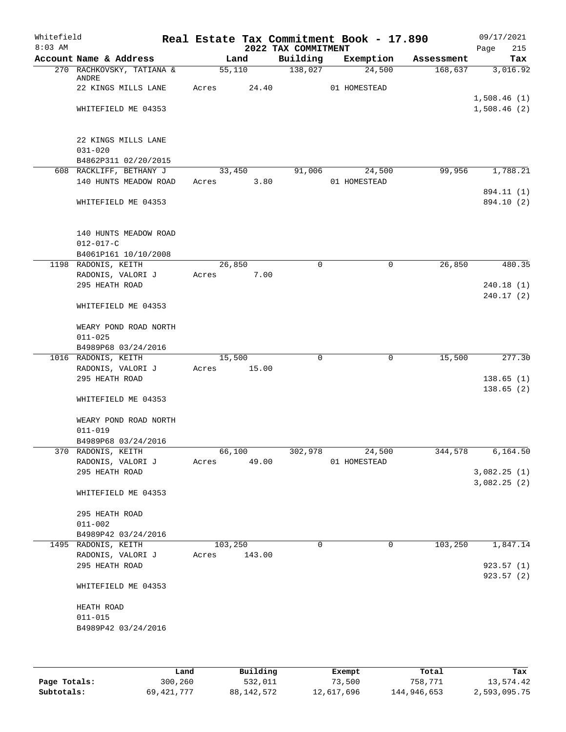| Whitefield<br>$8:03$ AM |                                                            |       |         | 2022 TAX COMMITMENT | Real Estate Tax Commitment Book - 17.890 |            | 09/17/2021<br>215<br>Page |
|-------------------------|------------------------------------------------------------|-------|---------|---------------------|------------------------------------------|------------|---------------------------|
|                         | Account Name & Address                                     |       | Land    | Building            | Exemption                                | Assessment | Tax                       |
|                         | 270 RACHKOVSKY, TATIANA &<br>ANDRE                         |       | 55,110  | 138,027             | 24,500                                   | 168,637    | 3,016.92                  |
|                         | 22 KINGS MILLS LANE                                        | Acres | 24.40   |                     | 01 HOMESTEAD                             |            | 1,508.46(1)               |
|                         | WHITEFIELD ME 04353                                        |       |         |                     |                                          |            | 1,508.46(2)               |
|                         | 22 KINGS MILLS LANE<br>$031 - 020$<br>B4862P311 02/20/2015 |       |         |                     |                                          |            |                           |
|                         | 608 RACKLIFF, BETHANY J                                    |       | 33,450  | 91,006              | 24,500                                   | 99,956     | 1,788.21                  |
|                         | 140 HUNTS MEADOW ROAD                                      | Acres | 3.80    |                     | 01 HOMESTEAD                             |            |                           |
|                         | WHITEFIELD ME 04353                                        |       |         |                     |                                          |            | 894.11 (1)<br>894.10 (2)  |
|                         | 140 HUNTS MEADOW ROAD<br>$012 - 017 - C$                   |       |         |                     |                                          |            |                           |
|                         | B4061P161 10/10/2008                                       |       |         |                     |                                          |            |                           |
|                         | 1198 RADONIS, KEITH                                        |       | 26,850  | 0                   | $\mathsf{O}$                             | 26,850     | 480.35                    |
|                         | RADONIS, VALORI J                                          | Acres | 7.00    |                     |                                          |            |                           |
|                         | 295 HEATH ROAD                                             |       |         |                     |                                          |            | 240.18(1)                 |
|                         | WHITEFIELD ME 04353                                        |       |         |                     |                                          |            | 240.17 (2)                |
|                         | WEARY POND ROAD NORTH<br>$011 - 025$                       |       |         |                     |                                          |            |                           |
|                         | B4989P68 03/24/2016                                        |       |         |                     |                                          |            |                           |
|                         | 1016 RADONIS, KEITH                                        |       | 15,500  | 0                   | 0                                        | 15,500     | 277.30                    |
|                         | RADONIS, VALORI J                                          | Acres | 15.00   |                     |                                          |            |                           |
|                         | 295 HEATH ROAD                                             |       |         |                     |                                          |            | 138.65(1)                 |
|                         | WHITEFIELD ME 04353                                        |       |         |                     |                                          |            | 138.65(2)                 |
|                         | WEARY POND ROAD NORTH<br>$011 - 019$                       |       |         |                     |                                          |            |                           |
|                         | B4989P68 03/24/2016                                        |       |         |                     |                                          |            |                           |
|                         | 370 RADONIS, KEITH                                         |       | 66,100  | 302,978             | 24,500                                   | 344,578    | 6,164.50                  |
|                         | RADONIS, VALORI J                                          | Acres | 49.00   |                     | 01 HOMESTEAD                             |            |                           |
|                         | 295 HEATH ROAD                                             |       |         |                     |                                          |            | 3,082.25(1)               |
|                         | WHITEFIELD ME 04353                                        |       |         |                     |                                          |            | 3,082.25(2)               |
|                         |                                                            |       |         |                     |                                          |            |                           |
|                         | 295 HEATH ROAD                                             |       |         |                     |                                          |            |                           |
|                         | $011 - 002$                                                |       |         |                     |                                          |            |                           |
|                         | B4989P42 03/24/2016                                        |       |         | $\Omega$            |                                          |            |                           |
|                         | 1495 RADONIS, KEITH                                        |       | 103,250 |                     | 0                                        | 103,250    | 1,847.14                  |
|                         | RADONIS, VALORI J                                          | Acres | 143.00  |                     |                                          |            |                           |
|                         | 295 HEATH ROAD                                             |       |         |                     |                                          |            | 923.57(1)                 |
|                         | WHITEFIELD ME 04353                                        |       |         |                     |                                          |            | 923.57(2)                 |
|                         | HEATH ROAD                                                 |       |         |                     |                                          |            |                           |
|                         | $011 - 015$                                                |       |         |                     |                                          |            |                           |
|                         | B4989P42 03/24/2016                                        |       |         |                     |                                          |            |                           |
|                         |                                                            |       |         |                     |                                          |            |                           |
|                         |                                                            |       |         |                     |                                          |            |                           |
|                         |                                                            |       |         |                     |                                          |            |                           |
|                         |                                                            |       |         |                     |                                          |            |                           |

|              | Land       | Building   | Exempt     | Total       | Tax          |
|--------------|------------|------------|------------|-------------|--------------|
| Page Totals: | 300,260    | 532,011    | 73,500     | 758,771     | 13,574.42    |
| Subtotals:   | 69,421,777 | 88,142,572 | 12,617,696 | 144,946,653 | 2,593,095.75 |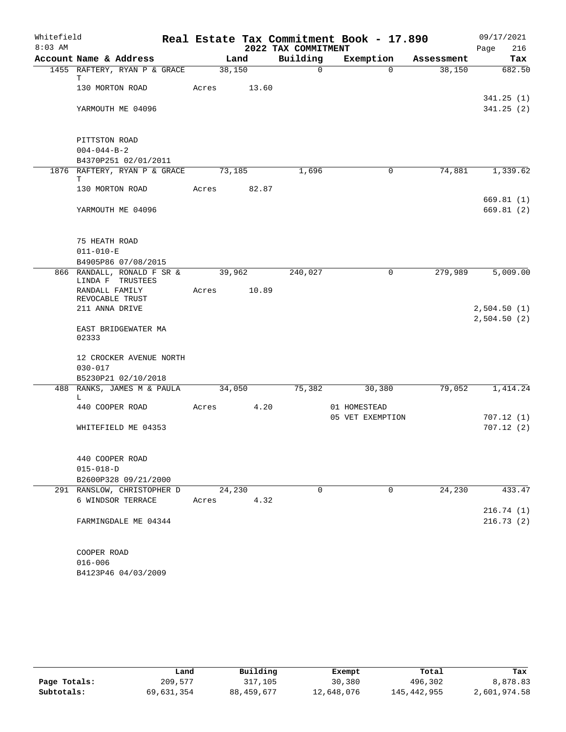| Whitefield<br>$8:03$ AM |                                                |        |       | 2022 TAX COMMITMENT | Real Estate Tax Commitment Book - 17.890 |            | 09/17/2021<br>216<br>Page |
|-------------------------|------------------------------------------------|--------|-------|---------------------|------------------------------------------|------------|---------------------------|
|                         | Account Name & Address                         |        | Land  | Building            | Exemption                                | Assessment | Tax                       |
|                         | 1455 RAFTERY, RYAN P & GRACE                   | 38,150 |       | $\mathsf{O}$        | $\Omega$                                 | 38,150     | 682.50                    |
|                         | т<br>130 MORTON ROAD                           | Acres  | 13.60 |                     |                                          |            |                           |
|                         |                                                |        |       |                     |                                          |            | 341.25(1)                 |
|                         | YARMOUTH ME 04096                              |        |       |                     |                                          |            | 341.25(2)                 |
|                         |                                                |        |       |                     |                                          |            |                           |
|                         | PITTSTON ROAD                                  |        |       |                     |                                          |            |                           |
|                         | $004 - 044 - B - 2$                            |        |       |                     |                                          |            |                           |
|                         | B4370P251 02/01/2011                           |        |       |                     |                                          |            |                           |
|                         | 1876 RAFTERY, RYAN P & GRACE<br>Т              | 73,185 |       | 1,696               | 0                                        | 74,881     | 1,339.62                  |
|                         | 130 MORTON ROAD                                | Acres  | 82.87 |                     |                                          |            |                           |
|                         |                                                |        |       |                     |                                          |            | 669.81(1)                 |
|                         | YARMOUTH ME 04096                              |        |       |                     |                                          |            | 669.81(2)                 |
|                         |                                                |        |       |                     |                                          |            |                           |
|                         | 75 HEATH ROAD                                  |        |       |                     |                                          |            |                           |
|                         | $011 - 010 - E$                                |        |       |                     |                                          |            |                           |
|                         | B4905P86 07/08/2015                            |        |       |                     |                                          |            |                           |
|                         | 866 RANDALL, RONALD F SR &<br>LINDA F TRUSTEES | 39,962 |       | 240,027             | 0                                        | 279,989    | 5,009.00                  |
|                         | RANDALL FAMILY                                 | Acres  | 10.89 |                     |                                          |            |                           |
|                         | REVOCABLE TRUST<br>211 ANNA DRIVE              |        |       |                     |                                          |            | 2,504.50(1)               |
|                         |                                                |        |       |                     |                                          |            | 2,504.50(2)               |
|                         | EAST BRIDGEWATER MA<br>02333                   |        |       |                     |                                          |            |                           |
|                         |                                                |        |       |                     |                                          |            |                           |
|                         | 12 CROCKER AVENUE NORTH<br>$030 - 017$         |        |       |                     |                                          |            |                           |
|                         | B5230P21 02/10/2018                            |        |       |                     |                                          |            |                           |
|                         | 488 RANKS, JAMES M & PAULA                     | 34,050 |       | 75,382              | 30,380                                   | 79,052     | 1,414.24                  |
|                         | L                                              |        |       |                     |                                          |            |                           |
|                         | 440 COOPER ROAD                                | Acres  | 4.20  |                     | 01 HOMESTEAD                             |            |                           |
|                         |                                                |        |       |                     | 05 VET EXEMPTION                         |            | 707.12(1)                 |
|                         | WHITEFIELD ME 04353                            |        |       |                     |                                          |            | 707.12(2)                 |
|                         | 440 COOPER ROAD                                |        |       |                     |                                          |            |                           |
|                         | $015 - 018 - D$                                |        |       |                     |                                          |            |                           |
|                         | B2600P328 09/21/2000                           |        |       |                     |                                          |            |                           |
|                         | 291 RANSLOW, CHRISTOPHER D                     | 24,230 |       | $\Omega$            | 0                                        | 24,230     | 433.47                    |
|                         | 6 WINDSOR TERRACE                              | Acres  | 4.32  |                     |                                          |            |                           |
|                         |                                                |        |       |                     |                                          |            | 216.74(1)                 |
|                         | FARMINGDALE ME 04344                           |        |       |                     |                                          |            | 216.73(2)                 |
|                         | COOPER ROAD                                    |        |       |                     |                                          |            |                           |
|                         | $016 - 006$                                    |        |       |                     |                                          |            |                           |
|                         | B4123P46 04/03/2009                            |        |       |                     |                                          |            |                           |

|              | Land       | Building     | Exempt     | Total       | Tax          |
|--------------|------------|--------------|------------|-------------|--------------|
| Page Totals: | 209,577    | 317,105      | 30,380     | 496,302     | 8,878.83     |
| Subtotals:   | 69,631,354 | 88, 459, 677 | 12,648,076 | 145,442,955 | 2,601,974.58 |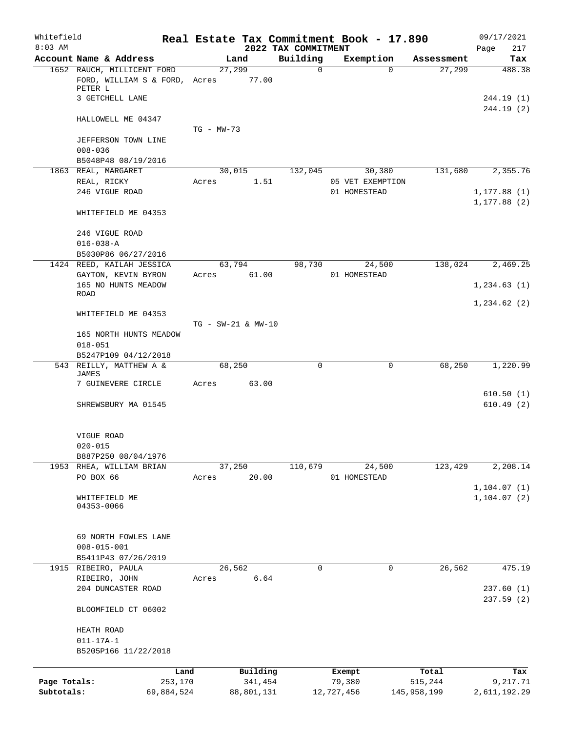| Whitefield<br>$8:03$ AM |                                                  |                 |                    |                     | 2022 TAX COMMITMENT | Real Estate Tax Commitment Book - 17.890 |                    | 09/17/2021                   |
|-------------------------|--------------------------------------------------|-----------------|--------------------|---------------------|---------------------|------------------------------------------|--------------------|------------------------------|
|                         | Account Name & Address                           |                 |                    | Land                | Building            | Exemption                                | Assessment         | 217<br>Page<br>Tax           |
|                         | 1652 RAUCH, MILLICENT FORD                       |                 | 27,299             |                     | $\mathbf 0$         |                                          | 27,299<br>$\Omega$ | 488.38                       |
|                         | FORD, WILLIAM S & FORD, Acres<br>PETER L         |                 |                    | 77.00               |                     |                                          |                    |                              |
|                         | 3 GETCHELL LANE                                  |                 |                    |                     |                     |                                          |                    | 244.19 (1)<br>244.19(2)      |
|                         | HALLOWELL ME 04347                               |                 | $TG - MW-73$       |                     |                     |                                          |                    |                              |
|                         | JEFFERSON TOWN LINE                              |                 |                    |                     |                     |                                          |                    |                              |
|                         | $008 - 036$<br>B5048P48 08/19/2016               |                 |                    |                     |                     |                                          |                    |                              |
|                         | 1863 REAL, MARGARET                              |                 | 30,015             |                     | 132,045             | 30,380                                   | 131,680            | 2,355.76                     |
|                         | REAL, RICKY                                      |                 | Acres              | 1.51                |                     | 05 VET EXEMPTION                         |                    |                              |
|                         | 246 VIGUE ROAD                                   |                 |                    |                     |                     | 01 HOMESTEAD                             |                    | 1, 177.88(1)<br>1, 177.88(2) |
|                         | WHITEFIELD ME 04353                              |                 |                    |                     |                     |                                          |                    |                              |
|                         | 246 VIGUE ROAD                                   |                 |                    |                     |                     |                                          |                    |                              |
|                         | $016 - 038 - A$                                  |                 |                    |                     |                     |                                          |                    |                              |
|                         | B5030P86 06/27/2016<br>1424 REED, KAILAH JESSICA |                 | 63,794             |                     | 98,730              | 24,500                                   | 138,024            | 2,469.25                     |
|                         | GAYTON, KEVIN BYRON                              |                 | Acres              | 61.00               |                     | 01 HOMESTEAD                             |                    |                              |
|                         | 165 NO HUNTS MEADOW<br><b>ROAD</b>               |                 |                    |                     |                     |                                          |                    | 1, 234.63(1)                 |
|                         |                                                  |                 |                    |                     |                     |                                          |                    | 1,234.62(2)                  |
|                         | WHITEFIELD ME 04353                              |                 | TG - SW-21 & MW-10 |                     |                     |                                          |                    |                              |
|                         | 165 NORTH HUNTS MEADOW                           |                 |                    |                     |                     |                                          |                    |                              |
|                         | $018 - 051$                                      |                 |                    |                     |                     |                                          |                    |                              |
|                         | B5247P109 04/12/2018<br>543 REILLY, MATTHEW A &  |                 | 68,250             |                     | 0                   |                                          | 68,250<br>0        | 1,220.99                     |
|                         | JAMES                                            |                 |                    |                     |                     |                                          |                    |                              |
|                         | 7 GUINEVERE CIRCLE                               |                 | Acres              | 63.00               |                     |                                          |                    | 610.50(1)                    |
|                         | SHREWSBURY MA 01545                              |                 |                    |                     |                     |                                          |                    | 610.49(2)                    |
|                         | VIGUE ROAD                                       |                 |                    |                     |                     |                                          |                    |                              |
|                         | $020 - 015$                                      |                 |                    |                     |                     |                                          |                    |                              |
|                         | B887P250 08/04/1976                              |                 |                    |                     |                     |                                          |                    |                              |
|                         | 1953 RHEA, WILLIAM BRIAN<br>PO BOX 66            |                 | 37,250<br>Acres    | 20.00               | 110,679             | 24,500<br>01 HOMESTEAD                   | 123,429            | 2,208.14                     |
|                         |                                                  |                 |                    |                     |                     |                                          |                    | 1, 104.07(1)                 |
|                         | WHITEFIELD ME<br>04353-0066                      |                 |                    |                     |                     |                                          |                    | 1, 104.07(2)                 |
|                         | 69 NORTH FOWLES LANE                             |                 |                    |                     |                     |                                          |                    |                              |
|                         | $008 - 015 - 001$                                |                 |                    |                     |                     |                                          |                    |                              |
|                         | B5411P43 07/26/2019                              |                 |                    |                     |                     |                                          |                    |                              |
|                         | 1915 RIBEIRO, PAULA                              |                 | 26,562             |                     | 0                   |                                          | 26,562<br>0        | 475.19                       |
|                         | RIBEIRO, JOHN                                    |                 | Acres              | 6.64                |                     |                                          |                    |                              |
|                         | 204 DUNCASTER ROAD                               |                 |                    |                     |                     |                                          |                    | 237.60(1)<br>237.59(2)       |
|                         | BLOOMFIELD CT 06002                              |                 |                    |                     |                     |                                          |                    |                              |
|                         | HEATH ROAD                                       |                 |                    |                     |                     |                                          |                    |                              |
|                         | $011 - 17A - 1$<br>B5205P166 11/22/2018          |                 |                    |                     |                     |                                          |                    |                              |
|                         |                                                  |                 |                    |                     |                     |                                          |                    |                              |
| Page Totals:            |                                                  | Land<br>253,170 |                    | Building<br>341,454 |                     | Exempt<br>79,380                         | Total<br>515,244   | Tax<br>9,217.71              |
| Subtotals:              |                                                  | 69,884,524      |                    | 88,801,131          |                     | 12,727,456                               | 145,958,199        | 2,611,192.29                 |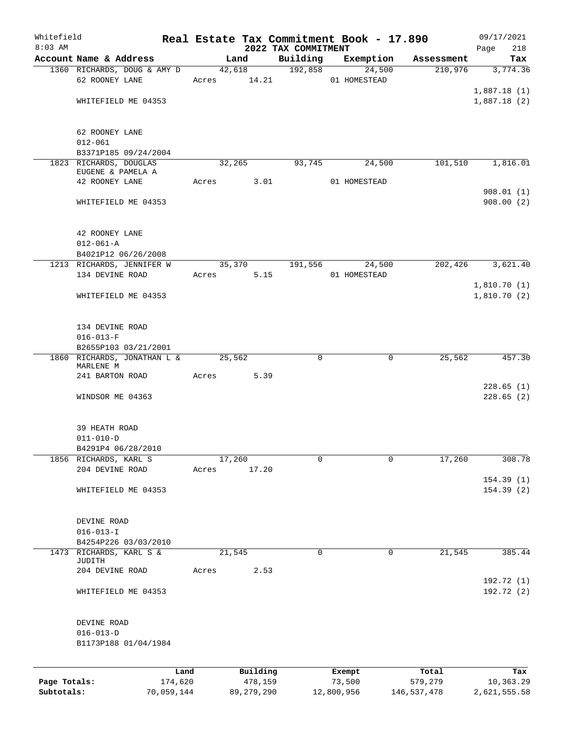| Whitefield   |                                          |            |       |                 |                                 | Real Estate Tax Commitment Book - 17.890 |             | 09/17/2021             |
|--------------|------------------------------------------|------------|-------|-----------------|---------------------------------|------------------------------------------|-------------|------------------------|
| $8:03$ AM    | Account Name & Address                   |            |       | Land            | 2022 TAX COMMITMENT<br>Building | Exemption                                | Assessment  | 218<br>Page<br>Tax     |
|              | 1360 RICHARDS, DOUG & AMY D              |            |       | 42,618          | 192,858                         | 24,500                                   | 210,976     | 3,774.36               |
|              | 62 ROONEY LANE                           |            |       | Acres 14.21     |                                 | 01 HOMESTEAD                             |             |                        |
|              |                                          |            |       |                 |                                 |                                          |             | 1,887.18(1)            |
|              | WHITEFIELD ME 04353                      |            |       |                 |                                 |                                          |             | 1,887.18(2)            |
|              |                                          |            |       |                 |                                 |                                          |             |                        |
|              | 62 ROONEY LANE                           |            |       |                 |                                 |                                          |             |                        |
|              | $012 - 061$                              |            |       |                 |                                 |                                          |             |                        |
|              | B3371P185 09/24/2004                     |            |       |                 |                                 |                                          |             |                        |
|              | 1823 RICHARDS, DOUGLAS                   |            |       | 32,265          | 93,745                          | 24,500                                   | 101,510     | 1,816.01               |
|              | EUGENE & PAMELA A                        |            |       |                 |                                 |                                          |             |                        |
|              | 42 ROONEY LANE                           |            | Acres | 3.01            |                                 | 01 HOMESTEAD                             |             |                        |
|              |                                          |            |       |                 |                                 |                                          |             | 908.01(1)<br>908.00(2) |
|              | WHITEFIELD ME 04353                      |            |       |                 |                                 |                                          |             |                        |
|              | 42 ROONEY LANE                           |            |       |                 |                                 |                                          |             |                        |
|              | $012 - 061 - A$                          |            |       |                 |                                 |                                          |             |                        |
|              | B4021P12 06/26/2008                      |            |       |                 |                                 |                                          |             |                        |
|              | 1213 RICHARDS, JENNIFER W                |            |       | 35,370          | 191,556                         | 24,500                                   | 202,426     | 3,621.40               |
|              | 134 DEVINE ROAD                          |            | Acres | 5.15            |                                 | 01 HOMESTEAD                             |             |                        |
|              |                                          |            |       |                 |                                 |                                          |             | 1,810.70(1)            |
|              | WHITEFIELD ME 04353                      |            |       |                 |                                 |                                          |             | 1,810.70(2)            |
|              |                                          |            |       |                 |                                 |                                          |             |                        |
|              |                                          |            |       |                 |                                 |                                          |             |                        |
|              | 134 DEVINE ROAD                          |            |       |                 |                                 |                                          |             |                        |
|              | $016 - 013 - F$                          |            |       |                 |                                 |                                          |             |                        |
|              | B2655P103 03/21/2001                     |            |       |                 |                                 |                                          |             |                        |
|              | 1860 RICHARDS, JONATHAN L &<br>MARLENE M |            |       | 25,562          | 0                               | 0                                        | 25,562      | 457.30                 |
|              | 241 BARTON ROAD                          |            | Acres | 5.39            |                                 |                                          |             |                        |
|              |                                          |            |       |                 |                                 |                                          |             | 228.65(1)              |
|              | WINDSOR ME 04363                         |            |       |                 |                                 |                                          |             | 228.65(2)              |
|              |                                          |            |       |                 |                                 |                                          |             |                        |
|              | 39 HEATH ROAD                            |            |       |                 |                                 |                                          |             |                        |
|              | $011 - 010 - D$                          |            |       |                 |                                 |                                          |             |                        |
|              | B4291P4 06/28/2010                       |            |       |                 |                                 |                                          |             |                        |
|              | 1856 RICHARDS, KARL S<br>204 DEVINE ROAD |            |       | 17,260<br>17.20 | 0                               | 0                                        | 17,260      | 308.78                 |
|              |                                          |            | Acres |                 |                                 |                                          |             | 154.39(1)              |
|              | WHITEFIELD ME 04353                      |            |       |                 |                                 |                                          |             | 154.39 (2)             |
|              |                                          |            |       |                 |                                 |                                          |             |                        |
|              |                                          |            |       |                 |                                 |                                          |             |                        |
|              | DEVINE ROAD                              |            |       |                 |                                 |                                          |             |                        |
|              | $016 - 013 - I$<br>B4254P226 03/03/2010  |            |       |                 |                                 |                                          |             |                        |
| 1473         | RICHARDS, KARL S &                       |            |       | 21,545          | $\mathbf 0$                     | $\mathbf 0$                              | 21,545      | 385.44                 |
|              | JUDITH                                   |            |       |                 |                                 |                                          |             |                        |
|              | 204 DEVINE ROAD                          |            | Acres | 2.53            |                                 |                                          |             |                        |
|              |                                          |            |       |                 |                                 |                                          |             | 192.72 (1)             |
|              | WHITEFIELD ME 04353                      |            |       |                 |                                 |                                          |             | 192.72 (2)             |
|              |                                          |            |       |                 |                                 |                                          |             |                        |
|              | DEVINE ROAD                              |            |       |                 |                                 |                                          |             |                        |
|              | $016 - 013 - D$                          |            |       |                 |                                 |                                          |             |                        |
|              | B1173P188 01/04/1984                     |            |       |                 |                                 |                                          |             |                        |
|              |                                          | Land       |       | Building        |                                 | Exempt                                   | Total       | Tax                    |
| Page Totals: |                                          | 174,620    |       | 478,159         |                                 | 73,500                                   | 579,279     | 10,363.29              |
| Subtotals:   |                                          | 70,059,144 |       | 89, 279, 290    |                                 | 12,800,956                               | 146,537,478 | 2,621,555.58           |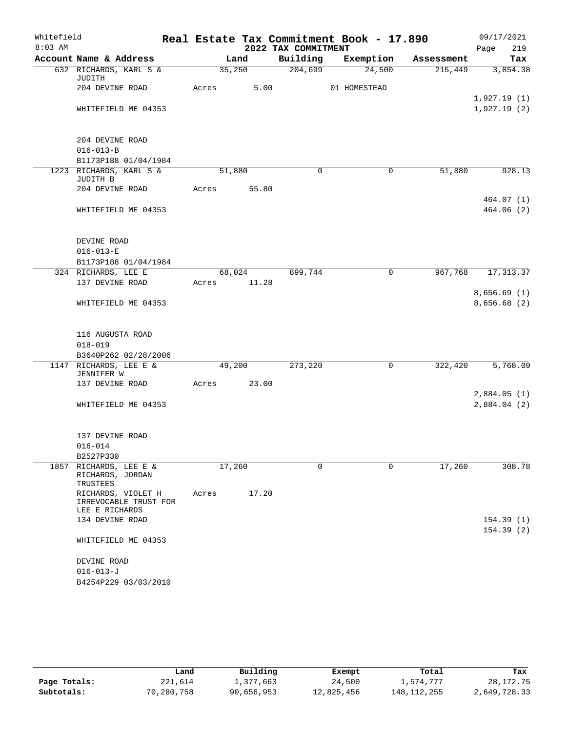| Whitefield<br>$8:03$ AM |                                         |       |        | 2022 TAX COMMITMENT | Real Estate Tax Commitment Book - 17.890 |            | 09/17/2021<br>219<br>Page   |
|-------------------------|-----------------------------------------|-------|--------|---------------------|------------------------------------------|------------|-----------------------------|
|                         | Account Name & Address                  |       | Land   | Building            | Exemption                                | Assessment | Tax                         |
|                         | 632 RICHARDS, KARL S &<br>JUDITH        |       | 35,250 | 204,699             | 24,500                                   | 215,449    | 3,854.38                    |
|                         | 204 DEVINE ROAD                         | Acres | 5.00   |                     | 01 HOMESTEAD                             |            |                             |
|                         |                                         |       |        |                     |                                          |            | 1,927.19(1)                 |
|                         | WHITEFIELD ME 04353                     |       |        |                     |                                          |            | 1,927.19(2)                 |
|                         | 204 DEVINE ROAD                         |       |        |                     |                                          |            |                             |
|                         | $016 - 013 - B$                         |       |        |                     |                                          |            |                             |
|                         | B1173P188 01/04/1984                    |       |        |                     |                                          |            |                             |
|                         | 1223 RICHARDS, KARL S &<br>JUDITH B     |       | 51,880 | $\Omega$            | 0                                        | 51,880     | 928.13                      |
|                         | 204 DEVINE ROAD                         | Acres | 55.80  |                     |                                          |            |                             |
|                         |                                         |       |        |                     |                                          |            | 464.07(1)                   |
|                         | WHITEFIELD ME 04353                     |       |        |                     |                                          |            | 464.06 (2)                  |
|                         | DEVINE ROAD                             |       |        |                     |                                          |            |                             |
|                         | $016 - 013 - E$                         |       |        |                     |                                          |            |                             |
|                         | B1173P188 01/04/1984                    |       |        |                     |                                          |            |                             |
|                         | 324 RICHARDS, LEE E                     |       | 68,024 | 899,744             | $\mathbf 0$                              | 967,768    | 17, 313.37                  |
|                         | 137 DEVINE ROAD                         | Acres | 11.28  |                     |                                          |            |                             |
|                         |                                         |       |        |                     |                                          |            | 8,656.69(1)                 |
|                         | WHITEFIELD ME 04353                     |       |        |                     |                                          |            | 8,656.68 (2)                |
|                         | 116 AUGUSTA ROAD                        |       |        |                     |                                          |            |                             |
|                         | $018 - 019$                             |       |        |                     |                                          |            |                             |
|                         | B3640P262 02/28/2006                    |       |        |                     |                                          |            |                             |
|                         | 1147 RICHARDS, LEE E &                  |       | 49,200 | 273,220             | 0                                        | 322,420    | 5,768.09                    |
|                         | JENNIFER W                              |       |        |                     |                                          |            |                             |
|                         | 137 DEVINE ROAD                         | Acres | 23.00  |                     |                                          |            |                             |
|                         | WHITEFIELD ME 04353                     |       |        |                     |                                          |            | 2,884.05(1)<br>2,884.04 (2) |
|                         | 137 DEVINE ROAD                         |       |        |                     |                                          |            |                             |
|                         | $016 - 014$                             |       |        |                     |                                          |            |                             |
|                         | B2527P330                               |       |        |                     |                                          |            |                             |
| 1857                    | RICHARDS, LEE E &<br>RICHARDS, JORDAN   |       | 17,260 | $\Omega$            | 0                                        | 17,260     | 308.78                      |
|                         | TRUSTEES<br>RICHARDS, VIOLET H          | Acres | 17.20  |                     |                                          |            |                             |
|                         | IRREVOCABLE TRUST FOR<br>LEE E RICHARDS |       |        |                     |                                          |            |                             |
|                         | 134 DEVINE ROAD                         |       |        |                     |                                          |            | 154.39(1)                   |
|                         |                                         |       |        |                     |                                          |            | 154.39(2)                   |
|                         | WHITEFIELD ME 04353                     |       |        |                     |                                          |            |                             |
|                         | DEVINE ROAD                             |       |        |                     |                                          |            |                             |
|                         | $016 - 013 - J$                         |       |        |                     |                                          |            |                             |
|                         | B4254P229 03/03/2010                    |       |        |                     |                                          |            |                             |
|                         |                                         |       |        |                     |                                          |            |                             |

|              | Land       | Building   | Exempt     | Total       | Tax          |
|--------------|------------|------------|------------|-------------|--------------|
| Page Totals: | 221,614    | 1,377,663  | 24,500     | 1,574,777   | 28,172.75    |
| Subtotals:   | 70,280,758 | 90,656,953 | 12,825,456 | 148,112,255 | 2,649,728.33 |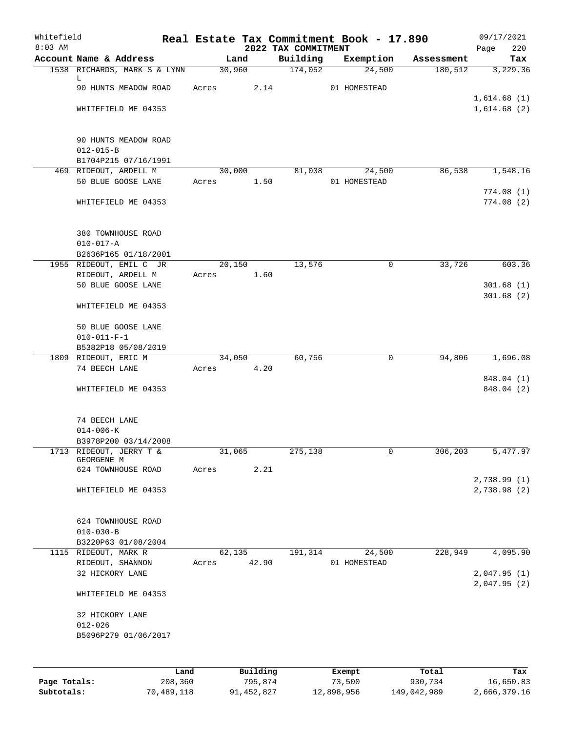| Whitefield<br>$8:03$ AM |                                         |       |                 |          | 2022 TAX COMMITMENT | Real Estate Tax Commitment Book - 17.890 |            | 09/17/2021<br>220<br>Page  |
|-------------------------|-----------------------------------------|-------|-----------------|----------|---------------------|------------------------------------------|------------|----------------------------|
|                         | Account Name & Address                  |       | Land            |          | Building            | Exemption                                | Assessment | Tax                        |
|                         | 1538 RICHARDS, MARK S & LYNN            |       | 30,960          |          | 174,052             | 24,500                                   | 180,512    | 3,229.36                   |
|                         | L.                                      |       |                 |          |                     |                                          |            |                            |
|                         | 90 HUNTS MEADOW ROAD                    | Acres |                 | 2.14     |                     | 01 HOMESTEAD                             |            |                            |
|                         | WHITEFIELD ME 04353                     |       |                 |          |                     |                                          |            | 1,614.68(1)<br>1,614.68(2) |
|                         |                                         |       |                 |          |                     |                                          |            |                            |
|                         |                                         |       |                 |          |                     |                                          |            |                            |
|                         | 90 HUNTS MEADOW ROAD<br>$012 - 015 - B$ |       |                 |          |                     |                                          |            |                            |
|                         | B1704P215 07/16/1991                    |       |                 |          |                     |                                          |            |                            |
|                         | 469 RIDEOUT, ARDELL M                   |       | 30,000          |          | 81,038              | 24,500                                   | 86,538     | 1,548.16                   |
|                         | 50 BLUE GOOSE LANE                      |       | Acres           | 1.50     |                     | 01 HOMESTEAD                             |            |                            |
|                         |                                         |       |                 |          |                     |                                          |            | 774.08(1)                  |
|                         | WHITEFIELD ME 04353                     |       |                 |          |                     |                                          |            | 774.08(2)                  |
|                         | 380 TOWNHOUSE ROAD                      |       |                 |          |                     |                                          |            |                            |
|                         | $010 - 017 - A$                         |       |                 |          |                     |                                          |            |                            |
|                         | B2636P165 01/18/2001                    |       |                 |          |                     |                                          |            |                            |
|                         | 1955 RIDEOUT, EMIL C JR                 |       | 20,150          |          | 13,576              | 0                                        | 33,726     | 603.36                     |
|                         | RIDEOUT, ARDELL M                       |       | Acres           | 1.60     |                     |                                          |            |                            |
|                         | 50 BLUE GOOSE LANE                      |       |                 |          |                     |                                          |            | 301.68(1)                  |
|                         | WHITEFIELD ME 04353                     |       |                 |          |                     |                                          |            | 301.68(2)                  |
|                         | 50 BLUE GOOSE LANE                      |       |                 |          |                     |                                          |            |                            |
|                         | $010 - 011 - F - 1$                     |       |                 |          |                     |                                          |            |                            |
|                         | B5382P18 05/08/2019                     |       |                 |          |                     |                                          |            |                            |
|                         | 1809 RIDEOUT, ERIC M                    |       | 34,050          |          | 60,756              | 0                                        | 94,806     | 1,696.08                   |
|                         | 74 BEECH LANE                           |       | Acres           | 4.20     |                     |                                          |            | 848.04 (1)                 |
|                         | WHITEFIELD ME 04353                     |       |                 |          |                     |                                          |            | 848.04 (2)                 |
|                         |                                         |       |                 |          |                     |                                          |            |                            |
|                         | 74 BEECH LANE<br>$014 - 006 - K$        |       |                 |          |                     |                                          |            |                            |
|                         | B3978P200 03/14/2008                    |       |                 |          |                     |                                          |            |                            |
|                         | 1713 RIDEOUT, JERRY T &                 |       | 31,065          |          | 275,138             | 0                                        | 306,203    | 5,477.97                   |
|                         | GEORGENE M                              |       |                 |          |                     |                                          |            |                            |
|                         | 624 TOWNHOUSE ROAD                      |       | Acres           | 2.21     |                     |                                          |            |                            |
|                         | WHITEFIELD ME 04353                     |       |                 |          |                     |                                          |            | 2,738.99(1)<br>2,738.98(2) |
|                         |                                         |       |                 |          |                     |                                          |            |                            |
|                         | 624 TOWNHOUSE ROAD                      |       |                 |          |                     |                                          |            |                            |
|                         | $010 - 030 - B$                         |       |                 |          |                     |                                          |            |                            |
|                         | B3220P63 01/08/2004                     |       |                 |          |                     |                                          |            |                            |
|                         | 1115 RIDEOUT, MARK R                    |       | 62,135<br>Acres | 42.90    | 191,314             | 24,500<br>01 HOMESTEAD                   | 228,949    | 4,095.90                   |
|                         | RIDEOUT, SHANNON<br>32 HICKORY LANE     |       |                 |          |                     |                                          |            | 2,047.95(1)                |
|                         |                                         |       |                 |          |                     |                                          |            | 2,047.95(2)                |
|                         | WHITEFIELD ME 04353                     |       |                 |          |                     |                                          |            |                            |
|                         | 32 HICKORY LANE                         |       |                 |          |                     |                                          |            |                            |
|                         | $012 - 026$                             |       |                 |          |                     |                                          |            |                            |
|                         | B5096P279 01/06/2017                    |       |                 |          |                     |                                          |            |                            |
|                         |                                         |       |                 |          |                     |                                          |            |                            |
|                         |                                         | Land  |                 | Building |                     | Exempt                                   | Total      | Tax                        |

**Page Totals:** 208,360 795,874 73,500 930,734 16,650.83 **Subtotals:** 70,489,118 91,452,827 12,898,956 149,042,989 2,666,379.16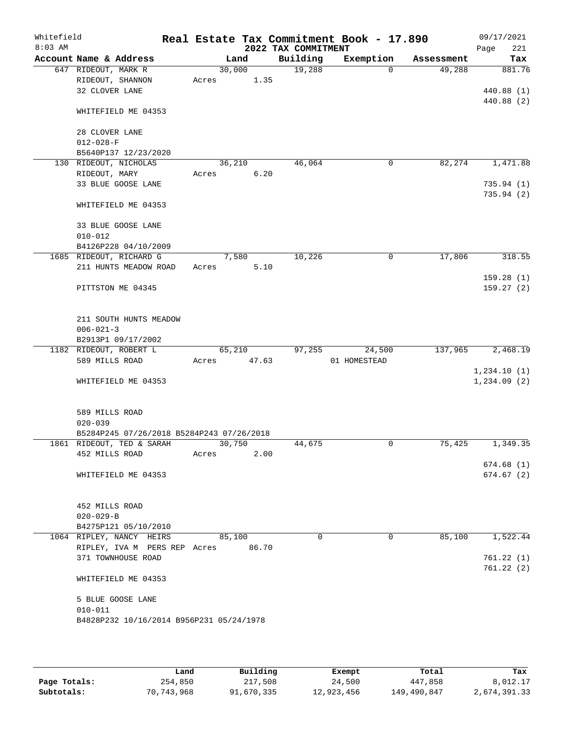| Whitefield<br>$8:03$ AM |                                                  |        |       | 2022 TAX COMMITMENT | Real Estate Tax Commitment Book - 17.890 |            | 09/17/2021<br>221<br>Page |
|-------------------------|--------------------------------------------------|--------|-------|---------------------|------------------------------------------|------------|---------------------------|
|                         | Account Name & Address                           | Land   |       | Building            | Exemption                                | Assessment | Tax                       |
|                         | 647 RIDEOUT, MARK R                              | 30,000 |       | 19,288              | $\Omega$                                 | 49,288     | 881.76                    |
|                         | RIDEOUT, SHANNON                                 | Acres  | 1.35  |                     |                                          |            |                           |
|                         | 32 CLOVER LANE                                   |        |       |                     |                                          |            | 440.88 (1)                |
|                         |                                                  |        |       |                     |                                          |            | 440.88 (2)                |
|                         | WHITEFIELD ME 04353                              |        |       |                     |                                          |            |                           |
|                         |                                                  |        |       |                     |                                          |            |                           |
|                         | 28 CLOVER LANE                                   |        |       |                     |                                          |            |                           |
|                         | $012 - 028 - F$                                  |        |       |                     |                                          |            |                           |
|                         | B5640P137 12/23/2020                             |        |       |                     |                                          |            |                           |
|                         | 130 RIDEOUT, NICHOLAS                            | 36,210 |       | 46,064              | 0                                        | 82,274     | 1,471.88                  |
|                         | RIDEOUT, MARY                                    | Acres  | 6.20  |                     |                                          |            |                           |
|                         | 33 BLUE GOOSE LANE                               |        |       |                     |                                          |            | 735.94(1)                 |
|                         | WHITEFIELD ME 04353                              |        |       |                     |                                          |            | 735.94(2)                 |
|                         |                                                  |        |       |                     |                                          |            |                           |
|                         | 33 BLUE GOOSE LANE                               |        |       |                     |                                          |            |                           |
|                         | $010 - 012$                                      |        |       |                     |                                          |            |                           |
|                         | B4126P228 04/10/2009                             |        |       |                     |                                          |            |                           |
|                         | 1685 RIDEOUT, RICHARD G                          | 7,580  |       | 10,226              | 0                                        | 17,806     | 318.55                    |
|                         | 211 HUNTS MEADOW ROAD                            | Acres  | 5.10  |                     |                                          |            |                           |
|                         |                                                  |        |       |                     |                                          |            | 159.28(1)                 |
|                         | PITTSTON ME 04345                                |        |       |                     |                                          |            | 159.27(2)                 |
|                         |                                                  |        |       |                     |                                          |            |                           |
|                         |                                                  |        |       |                     |                                          |            |                           |
|                         | 211 SOUTH HUNTS MEADOW                           |        |       |                     |                                          |            |                           |
|                         | $006 - 021 - 3$                                  |        |       |                     |                                          |            |                           |
|                         | B2913P1 09/17/2002                               |        |       |                     |                                          |            |                           |
|                         | 1182 RIDEOUT, ROBERT L                           | 65,210 |       | 97,255              | 24,500                                   | 137,965    | 2,468.19                  |
|                         | 589 MILLS ROAD                                   | Acres  | 47.63 |                     | 01 HOMESTEAD                             |            |                           |
|                         |                                                  |        |       |                     |                                          |            | 1,234.10(1)               |
|                         | WHITEFIELD ME 04353                              |        |       |                     |                                          |            | 1, 234.09(2)              |
|                         |                                                  |        |       |                     |                                          |            |                           |
|                         | 589 MILLS ROAD                                   |        |       |                     |                                          |            |                           |
|                         | $020 - 039$                                      |        |       |                     |                                          |            |                           |
|                         | B5284P245 07/26/2018 B5284P243 07/26/2018        |        |       |                     |                                          |            |                           |
|                         | 1861 RIDEOUT, TED & SARAH                        | 30,750 |       | 44,675              | $\mathbf 0$                              | 75,425     | 1,349.35                  |
|                         | 452 MILLS ROAD                                   | Acres  | 2.00  |                     |                                          |            |                           |
|                         |                                                  |        |       |                     |                                          |            | 674.68(1)                 |
|                         | WHITEFIELD ME 04353                              |        |       |                     |                                          |            | 674.67(2)                 |
|                         |                                                  |        |       |                     |                                          |            |                           |
|                         |                                                  |        |       |                     |                                          |            |                           |
|                         | 452 MILLS ROAD                                   |        |       |                     |                                          |            |                           |
|                         | $020 - 029 - B$                                  |        |       |                     |                                          |            |                           |
|                         | B4275P121 05/10/2010<br>1064 RIPLEY, NANCY HEIRS | 85,100 |       | $\Omega$            | $\mathbf{0}$                             | 85,100     | 1,522.44                  |
|                         | RIPLEY, IVA M PERS REP Acres 86.70               |        |       |                     |                                          |            |                           |
|                         | 371 TOWNHOUSE ROAD                               |        |       |                     |                                          |            | 761.22(1)                 |
|                         |                                                  |        |       |                     |                                          |            | 761.22(2)                 |
|                         | WHITEFIELD ME 04353                              |        |       |                     |                                          |            |                           |
|                         |                                                  |        |       |                     |                                          |            |                           |
|                         | 5 BLUE GOOSE LANE                                |        |       |                     |                                          |            |                           |
|                         | $010 - 011$                                      |        |       |                     |                                          |            |                           |
|                         | B4828P232 10/16/2014 B956P231 05/24/1978         |        |       |                     |                                          |            |                           |
|                         |                                                  |        |       |                     |                                          |            |                           |
|                         |                                                  |        |       |                     |                                          |            |                           |

|              | Land         | Building   | Exempt     | Total       | Tax          |
|--------------|--------------|------------|------------|-------------|--------------|
| Page Totals: | 254,850      | 217,508    | 24,500     | 447,858     | 8,012.17     |
| Subtotals:   | 70, 743, 968 | 91,670,335 | 12,923,456 | 149,490,847 | 2,674,391.33 |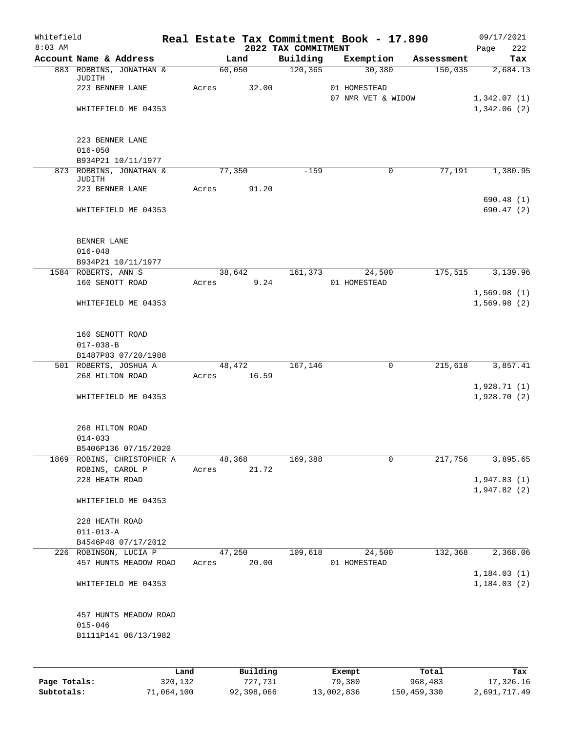| Whitefield<br>$8:03$ AM |                                               |      |       |        |             | 2022 TAX COMMITMENT | Real Estate Tax Commitment Book - 17.890 |            | 09/17/2021<br>222<br>Page |
|-------------------------|-----------------------------------------------|------|-------|--------|-------------|---------------------|------------------------------------------|------------|---------------------------|
|                         | Account Name & Address                        |      |       | Land   |             | Building            | Exemption                                | Assessment | Tax                       |
|                         | 883 ROBBINS, JONATHAN &<br>JUDITH             |      |       | 60,050 |             | 120, 365            | 30,380                                   | 150,035    | 2,684.13                  |
|                         | 223 BENNER LANE                               |      | Acres |        | 32.00       |                     | 01 HOMESTEAD<br>07 NMR VET & WIDOW       |            | 1,342.07(1)               |
|                         | WHITEFIELD ME 04353                           |      |       |        |             |                     |                                          |            | 1,342.06(2)               |
|                         | 223 BENNER LANE                               |      |       |        |             |                     |                                          |            |                           |
|                         | $016 - 050$<br>B934P21 10/11/1977             |      |       |        |             |                     |                                          |            |                           |
|                         | 873 ROBBINS, JONATHAN &                       |      |       | 77,350 |             | $-159$              | 0                                        | 77,191     | 1,380.95                  |
|                         | <b>JUDITH</b><br>223 BENNER LANE              |      | Acres |        | 91.20       |                     |                                          |            |                           |
|                         | WHITEFIELD ME 04353                           |      |       |        |             |                     |                                          |            | 690.48(1)<br>690.47(2)    |
|                         | BENNER LANE                                   |      |       |        |             |                     |                                          |            |                           |
|                         | $016 - 048$<br>B934P21 10/11/1977             |      |       |        |             |                     |                                          |            |                           |
|                         | 1584 ROBERTS, ANN S                           |      |       |        | 38,642      | 161,373             | 24,500                                   | 175,515    | 3,139.96                  |
|                         | 160 SENOTT ROAD                               |      | Acres |        | 9.24        |                     | 01 HOMESTEAD                             |            | 1,569.98(1)               |
|                         | WHITEFIELD ME 04353                           |      |       |        |             |                     |                                          |            | 1,569.98(2)               |
|                         | 160 SENOTT ROAD<br>$017 - 038 - B$            |      |       |        |             |                     |                                          |            |                           |
|                         | B1487P83 07/20/1988                           |      |       |        |             |                     |                                          |            |                           |
|                         | 501 ROBERTS, JOSHUA A                         |      |       | 48,472 |             | 167,146             | 0                                        | 215,618    | 3,857.41                  |
|                         | 268 HILTON ROAD                               |      |       |        | Acres 16.59 |                     |                                          |            | 1,928.71(1)               |
|                         | WHITEFIELD ME 04353                           |      |       |        |             |                     |                                          |            | 1,928.70(2)               |
|                         | 268 HILTON ROAD<br>$014 - 033$                |      |       |        |             |                     |                                          |            |                           |
|                         | B5406P136 07/15/2020                          |      |       |        |             |                     |                                          |            |                           |
|                         | 1869 ROBINS, CHRISTOPHER A<br>ROBINS, CAROL P |      | Acres | 48,368 | 21.72       | 169,388             | 0                                        | 217,756    | 3,895.65                  |
|                         | 228 HEATH ROAD                                |      |       |        |             |                     |                                          |            | 1,947.83(1)               |
|                         | WHITEFIELD ME 04353                           |      |       |        |             |                     |                                          |            | 1,947.82(2)               |
|                         |                                               |      |       |        |             |                     |                                          |            |                           |
|                         | 228 HEATH ROAD                                |      |       |        |             |                     |                                          |            |                           |
|                         | $011 - 013 - A$<br>B4546P48 07/17/2012        |      |       |        |             |                     |                                          |            |                           |
|                         | 226 ROBINSON, LUCIA P                         |      |       | 47,250 |             | 109,618             | 24,500                                   | 132,368    | 2,368.06                  |
|                         | 457 HUNTS MEADOW ROAD                         |      | Acres |        | 20.00       |                     | 01 HOMESTEAD                             |            | 1, 184.03(1)              |
|                         | WHITEFIELD ME 04353                           |      |       |        |             |                     |                                          |            | 1,184.03(2)               |
|                         | 457 HUNTS MEADOW ROAD                         |      |       |        |             |                     |                                          |            |                           |
|                         | $015 - 046$<br>B1111P141 08/13/1982           |      |       |        |             |                     |                                          |            |                           |
|                         |                                               |      |       |        |             |                     |                                          |            |                           |
|                         |                                               | Land |       |        | Building    |                     | Exempt                                   | Total      | Tax                       |

|              | ------     | ---------  | --------   | -----       | ----         |
|--------------|------------|------------|------------|-------------|--------------|
| Page Totals: | 320,132    | 727.731    | 79,380     | 968,483     | 17,326.16    |
| Subtotals:   | 71,064,100 | 92,398,066 | 13,002,836 | 150,459,330 | 2,691,717.49 |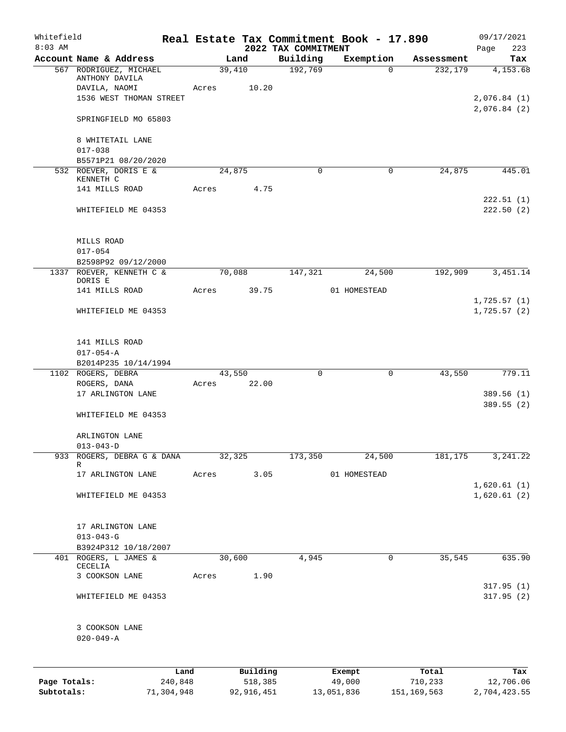| Whitefield                 |                                           |       |                         |                                 | Real Estate Tax Commitment Book - 17.890 |                        | 09/17/2021                 |
|----------------------------|-------------------------------------------|-------|-------------------------|---------------------------------|------------------------------------------|------------------------|----------------------------|
| $8:03$ AM                  | Account Name & Address                    |       | Land                    | 2022 TAX COMMITMENT<br>Building | Exemption                                | Assessment             | 223<br>Page<br>Tax         |
|                            | 567 RODRIGUEZ, MICHAEL<br>ANTHONY DAVILA  |       | 39,410                  | 192,769                         | $\mathbf 0$                              | 232,179                | 4,153.68                   |
|                            | DAVILA, NAOMI                             | Acres | 10.20                   |                                 |                                          |                        |                            |
|                            | 1536 WEST THOMAN STREET                   |       |                         |                                 |                                          |                        | 2,076.84(1)<br>2,076.84(2) |
|                            | SPRINGFIELD MO 65803                      |       |                         |                                 |                                          |                        |                            |
|                            | 8 WHITETAIL LANE<br>$017 - 038$           |       |                         |                                 |                                          |                        |                            |
|                            | B5571P21 08/20/2020                       |       |                         |                                 |                                          |                        |                            |
|                            | 532 ROEVER, DORIS E &<br>KENNETH C        |       | 24,875                  | $\Omega$                        | 0                                        | 24,875                 | 445.01                     |
|                            | 141 MILLS ROAD                            | Acres | 4.75                    |                                 |                                          |                        |                            |
|                            | WHITEFIELD ME 04353                       |       |                         |                                 |                                          |                        | 222.51(1)<br>222.50(2)     |
|                            | MILLS ROAD                                |       |                         |                                 |                                          |                        |                            |
|                            | $017 - 054$                               |       |                         |                                 |                                          |                        |                            |
|                            | B2598P92 09/12/2000                       |       |                         |                                 |                                          |                        |                            |
|                            | 1337 ROEVER, KENNETH C &<br>DORIS E       |       | 70,088                  | 147,321                         | 24,500                                   | 192,909                | 3,451.14                   |
|                            | 141 MILLS ROAD                            | Acres | 39.75                   |                                 | 01 HOMESTEAD                             |                        |                            |
|                            | WHITEFIELD ME 04353                       |       |                         |                                 |                                          |                        | 1,725.57(1)<br>1,725.57(2) |
|                            | 141 MILLS ROAD<br>$017 - 054 - A$         |       |                         |                                 |                                          |                        |                            |
|                            | B2014P235 10/14/1994                      |       |                         |                                 |                                          |                        |                            |
|                            | 1102 ROGERS, DEBRA<br>ROGERS, DANA        | Acres | 43,550<br>22.00         | 0                               | 0                                        | 43,550                 | 779.11                     |
|                            | 17 ARLINGTON LANE                         |       |                         |                                 |                                          |                        | 389.56 (1)                 |
|                            | WHITEFIELD ME 04353                       |       |                         |                                 |                                          |                        | 389.55 (2)                 |
|                            | ARLINGTON LANE<br>$013 - 043 - D$         |       |                         |                                 |                                          |                        |                            |
| 933                        | ROGERS, DEBRA G & DANA<br>R               |       | 32,325                  | 173,350                         | 24,500                                   | 181,175                | 3, 241.22                  |
|                            | 17 ARLINGTON LANE                         | Acres | 3.05                    |                                 | 01 HOMESTEAD                             |                        |                            |
|                            | WHITEFIELD ME 04353                       |       |                         |                                 |                                          |                        | 1,620.61(1)<br>1,620.61(2) |
|                            | 17 ARLINGTON LANE                         |       |                         |                                 |                                          |                        |                            |
|                            | $013 - 043 - G$                           |       |                         |                                 |                                          |                        |                            |
| 401                        | B3924P312 10/18/2007<br>ROGERS, L JAMES & |       | 30,600                  | 4,945                           | 0                                        | 35,545                 | 635.90                     |
|                            | CECELIA<br>3 COOKSON LANE                 | Acres | 1.90                    |                                 |                                          |                        |                            |
|                            |                                           |       |                         |                                 |                                          |                        | 317.95(1)                  |
|                            | WHITEFIELD ME 04353                       |       |                         |                                 |                                          |                        | 317.95(2)                  |
|                            | 3 COOKSON LANE<br>$020 - 049 - A$         |       |                         |                                 |                                          |                        |                            |
|                            | Land                                      |       | Building                |                                 | Exempt                                   | Total                  | Tax                        |
| Page Totals:<br>Subtotals: | 240,848<br>71,304,948                     |       | 518,385<br>92, 916, 451 |                                 | 49,000<br>13,051,836                     | 710,233<br>151,169,563 | 12,706.06<br>2,704,423.55  |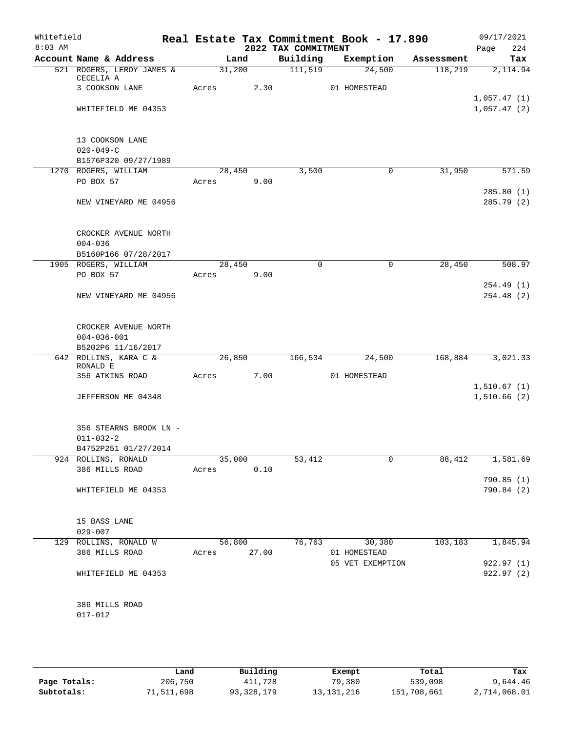| Whitefield<br>$8:03$ AM |                                        |             |        | 2022 TAX COMMITMENT | Real Estate Tax Commitment Book - 17.890 |            | 09/17/2021<br>224<br>Page  |
|-------------------------|----------------------------------------|-------------|--------|---------------------|------------------------------------------|------------|----------------------------|
|                         | Account Name & Address                 |             | Land   |                     | Building Exemption                       | Assessment | Tax                        |
|                         | 521 ROGERS, LEROY JAMES &<br>CECELIA A |             | 31,200 | 111,519             | 24,500                                   | 118,219    | 2,114.94                   |
|                         | 3 COOKSON LANE                         | Acres       | 2.30   |                     | 01 HOMESTEAD                             |            |                            |
|                         |                                        |             |        |                     |                                          |            | 1,057.47(1)                |
|                         | WHITEFIELD ME 04353                    |             |        |                     |                                          |            | 1,057.47(2)                |
|                         | 13 COOKSON LANE                        |             |        |                     |                                          |            |                            |
|                         | $020 - 049 - C$                        |             |        |                     |                                          |            |                            |
|                         | B1576P320 09/27/1989                   |             |        |                     |                                          |            |                            |
|                         | 1270 ROGERS, WILLIAM                   |             | 28,450 | 3,500               | 0                                        | 31,950     | 571.59                     |
|                         | PO BOX 57                              | Acres 9.00  |        |                     |                                          |            |                            |
|                         |                                        |             |        |                     |                                          |            | 285.80 (1)                 |
|                         | NEW VINEYARD ME 04956                  |             |        |                     |                                          |            | 285.79 (2)                 |
|                         | CROCKER AVENUE NORTH                   |             |        |                     |                                          |            |                            |
|                         | $004 - 036$<br>B5160P166 07/28/2017    |             |        |                     |                                          |            |                            |
|                         | 1905 ROGERS, WILLIAM                   |             | 28,450 | $\Omega$            | $\mathbf 0$                              | 28,450     | 508.97                     |
|                         | PO BOX 57                              | Acres       | 9.00   |                     |                                          |            |                            |
|                         |                                        |             |        |                     |                                          |            | 254.49(1)                  |
|                         | NEW VINEYARD ME 04956                  |             |        |                     |                                          |            | 254.48 (2)                 |
|                         | CROCKER AVENUE NORTH                   |             |        |                     |                                          |            |                            |
|                         | $004 - 036 - 001$                      |             |        |                     |                                          |            |                            |
|                         | B5202P6 11/16/2017                     |             |        |                     |                                          |            |                            |
|                         | 642 ROLLINS, KARA C &                  |             | 26,850 | 166,534             | 24,500                                   | 168,884    | 3,021.33                   |
|                         | RONALD E                               |             |        |                     |                                          |            |                            |
|                         | 356 ATKINS ROAD                        | Acres       | 7.00   |                     | 01 HOMESTEAD                             |            |                            |
|                         | JEFFERSON ME 04348                     |             |        |                     |                                          |            | 1,510.67(1)<br>1,510.66(2) |
|                         |                                        |             |        |                     |                                          |            |                            |
|                         | 356 STEARNS BROOK LN -                 |             |        |                     |                                          |            |                            |
|                         | $011 - 032 - 2$                        |             |        |                     |                                          |            |                            |
|                         | B4752P251 01/27/2014                   |             |        |                     |                                          |            |                            |
|                         | 924 ROLLINS, RONALD                    | Acres 0.10  | 35,000 | 53,412              | 0                                        | 88,412     | 1,581.69                   |
|                         | 386 MILLS ROAD                         |             |        |                     |                                          |            | 790.85 (1)                 |
|                         | WHITEFIELD ME 04353                    |             |        |                     |                                          |            | 790.84 (2)                 |
|                         |                                        |             |        |                     |                                          |            |                            |
|                         | 15 BASS LANE<br>$029 - 007$            |             |        |                     |                                          |            |                            |
|                         | 129 ROLLINS, RONALD W                  |             | 56,800 | 76, 763             | 30,380                                   | 103,183    | 1,845.94                   |
|                         | 386 MILLS ROAD                         | Acres 27.00 |        |                     | 01 HOMESTEAD                             |            |                            |
|                         |                                        |             |        |                     | 05 VET EXEMPTION                         |            | 922.97(1)                  |
|                         | WHITEFIELD ME 04353                    |             |        |                     |                                          |            | 922.97(2)                  |
|                         | 386 MILLS ROAD                         |             |        |                     |                                          |            |                            |
|                         | 017-012                                |             |        |                     |                                          |            |                            |
|                         |                                        |             |        |                     |                                          |            |                            |

|              | Land       | Building     | Exempt       | Total       | Tax          |
|--------------|------------|--------------|--------------|-------------|--------------|
| Page Totals: | 206,750    | 411,728      | 79,380       | 539,098     | 9,644.46     |
| Subtotals:   | 71,511,698 | 93, 328, 179 | 13, 131, 216 | 151,708,661 | 2,714,068.01 |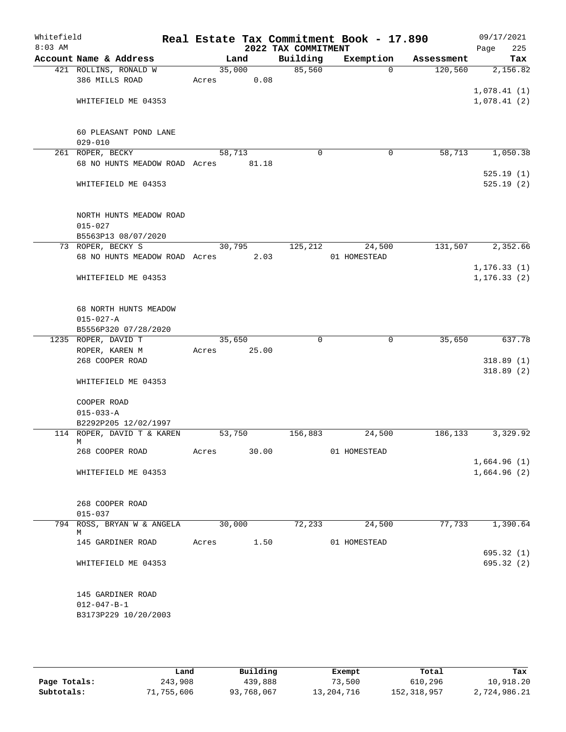| Whitefield<br>$8:03$ AM |                                          |        |       | 2022 TAX COMMITMENT | Real Estate Tax Commitment Book - 17.890 |            | 09/17/2021<br>Page<br>225 |
|-------------------------|------------------------------------------|--------|-------|---------------------|------------------------------------------|------------|---------------------------|
|                         | Account Name & Address                   |        | Land  | Building            | Exemption                                | Assessment | Tax                       |
|                         | 421 ROLLINS, RONALD W                    | 35,000 |       | 85,560              | $\Omega$                                 | 120,560    | 2,156.82                  |
|                         | 386 MILLS ROAD                           | Acres  | 0.08  |                     |                                          |            |                           |
|                         |                                          |        |       |                     |                                          |            | 1,078.41(1)               |
|                         | WHITEFIELD ME 04353                      |        |       |                     |                                          |            | 1,078.41(2)               |
|                         |                                          |        |       |                     |                                          |            |                           |
|                         |                                          |        |       |                     |                                          |            |                           |
|                         | 60 PLEASANT POND LANE                    |        |       |                     |                                          |            |                           |
|                         | $029 - 010$                              |        |       |                     |                                          |            |                           |
|                         | 261 ROPER, BECKY                         | 58,713 |       | $\mathbf 0$         | 0                                        | 58,713     | 1,050.38                  |
|                         | 68 NO HUNTS MEADOW ROAD Acres 81.18      |        |       |                     |                                          |            |                           |
|                         |                                          |        |       |                     |                                          |            | 525.19(1)                 |
|                         | WHITEFIELD ME 04353                      |        |       |                     |                                          |            | 525.19(2)                 |
|                         |                                          |        |       |                     |                                          |            |                           |
|                         |                                          |        |       |                     |                                          |            |                           |
|                         | NORTH HUNTS MEADOW ROAD                  |        |       |                     |                                          |            |                           |
|                         | $015 - 027$                              |        |       |                     |                                          |            |                           |
|                         | B5563P13 08/07/2020<br>73 ROPER, BECKY S | 30,795 |       | 125, 212            | 24,500                                   | 131,507    | 2,352.66                  |
|                         | 68 NO HUNTS MEADOW ROAD Acres            |        | 2.03  |                     | 01 HOMESTEAD                             |            |                           |
|                         |                                          |        |       |                     |                                          |            | 1, 176.33(1)              |
|                         | WHITEFIELD ME 04353                      |        |       |                     |                                          |            | 1, 176.33(2)              |
|                         |                                          |        |       |                     |                                          |            |                           |
|                         |                                          |        |       |                     |                                          |            |                           |
|                         | 68 NORTH HUNTS MEADOW                    |        |       |                     |                                          |            |                           |
|                         | $015 - 027 - A$                          |        |       |                     |                                          |            |                           |
|                         | B5556P320 07/28/2020                     |        |       |                     |                                          |            |                           |
|                         | 1235 ROPER, DAVID T                      | 35,650 |       | $\Omega$            | $\mathbf 0$                              | 35,650     | 637.78                    |
|                         | ROPER, KAREN M                           | Acres  | 25.00 |                     |                                          |            |                           |
|                         | 268 COOPER ROAD                          |        |       |                     |                                          |            | 318.89(1)                 |
|                         |                                          |        |       |                     |                                          |            | 318.89(2)                 |
|                         | WHITEFIELD ME 04353                      |        |       |                     |                                          |            |                           |
|                         |                                          |        |       |                     |                                          |            |                           |
|                         | COOPER ROAD                              |        |       |                     |                                          |            |                           |
|                         | $015 - 033 - A$                          |        |       |                     |                                          |            |                           |
|                         | B2292P205 12/02/1997                     |        |       |                     |                                          |            |                           |
|                         | 114 ROPER, DAVID T & KAREN<br>М          | 53,750 |       | 156,883             | 24,500                                   | 186,133    | 3,329.92                  |
|                         | 268 COOPER ROAD                          | Acres  | 30.00 |                     | 01 HOMESTEAD                             |            |                           |
|                         |                                          |        |       |                     |                                          |            | 1,664.96(1)               |
|                         | WHITEFIELD ME 04353                      |        |       |                     |                                          |            | 1,664.96(2)               |
|                         |                                          |        |       |                     |                                          |            |                           |
|                         |                                          |        |       |                     |                                          |            |                           |
|                         | 268 COOPER ROAD                          |        |       |                     |                                          |            |                           |
|                         | $015 - 037$                              |        |       |                     |                                          |            |                           |
|                         | 794 ROSS, BRYAN W & ANGELA               | 30,000 |       | 72,233              | 24,500                                   | 77,733     | 1,390.64                  |
|                         | М                                        |        |       |                     |                                          |            |                           |
|                         | 145 GARDINER ROAD                        | Acres  | 1.50  |                     | 01 HOMESTEAD                             |            |                           |
|                         |                                          |        |       |                     |                                          |            | 695.32(1)                 |
|                         | WHITEFIELD ME 04353                      |        |       |                     |                                          |            | 695.32(2)                 |
|                         |                                          |        |       |                     |                                          |            |                           |
|                         | 145 GARDINER ROAD                        |        |       |                     |                                          |            |                           |
|                         | $012 - 047 - B - 1$                      |        |       |                     |                                          |            |                           |
|                         | B3173P229 10/20/2003                     |        |       |                     |                                          |            |                           |
|                         |                                          |        |       |                     |                                          |            |                           |
|                         |                                          |        |       |                     |                                          |            |                           |

|              | Land       | Building   | Exempt     | Total       | Tax          |
|--------------|------------|------------|------------|-------------|--------------|
| Page Totals: | 243,908    | 439,888    | 73,500     | 610,296     | 10,918.20    |
| Subtotals:   | 71,755,606 | 93,768,067 | 13,204,716 | 152,318,957 | 2,724,986.21 |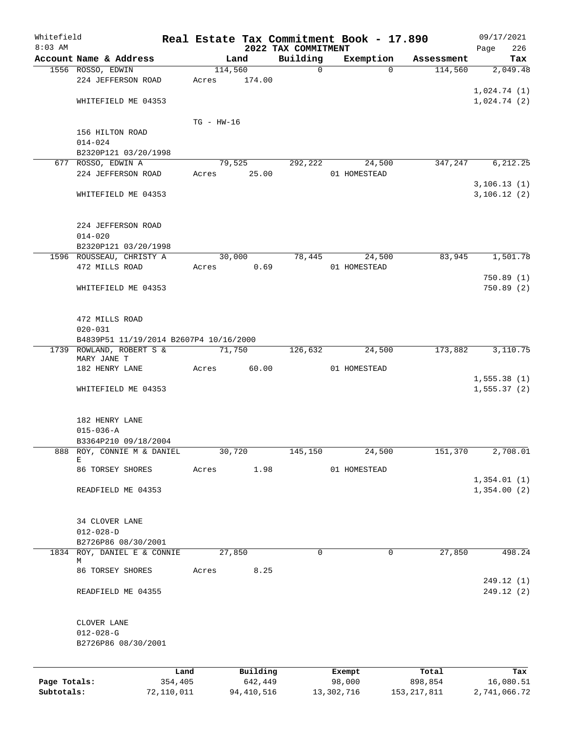| Whitefield                 |                                        |                       |                |                       |                                 | Real Estate Tax Commitment Book - 17.890 |                          | 09/17/2021                |
|----------------------------|----------------------------------------|-----------------------|----------------|-----------------------|---------------------------------|------------------------------------------|--------------------------|---------------------------|
| $8:03$ AM                  | Account Name & Address                 |                       |                | Land                  | 2022 TAX COMMITMENT<br>Building | Exemption                                |                          | 226<br>Page<br>Tax        |
|                            | 1556 ROSSO, EDWIN                      |                       | 114,560        |                       | 0                               | $\Omega$                                 | Assessment<br>114,560    | 2,049.48                  |
|                            | 224 JEFFERSON ROAD                     |                       | Acres          | 174.00                |                                 |                                          |                          |                           |
|                            |                                        |                       |                |                       |                                 |                                          |                          | 1,024.74(1)               |
|                            | WHITEFIELD ME 04353                    |                       |                |                       |                                 |                                          |                          | 1,024.74(2)               |
|                            |                                        |                       |                |                       |                                 |                                          |                          |                           |
|                            |                                        |                       | $TG$ - $HW-16$ |                       |                                 |                                          |                          |                           |
|                            | 156 HILTON ROAD                        |                       |                |                       |                                 |                                          |                          |                           |
|                            | $014 - 024$                            |                       |                |                       |                                 |                                          |                          |                           |
|                            | B2320P121 03/20/1998                   |                       |                |                       |                                 |                                          |                          |                           |
|                            | 677 ROSSO, EDWIN A                     |                       |                | 79,525                | 292,222                         | 24,500                                   | 347,247                  | 6,212.25                  |
|                            | 224 JEFFERSON ROAD                     |                       | Acres          | 25.00                 |                                 | 01 HOMESTEAD                             |                          |                           |
|                            |                                        |                       |                |                       |                                 |                                          |                          | 3, 106.13(1)              |
|                            | WHITEFIELD ME 04353                    |                       |                |                       |                                 |                                          |                          | 3,106.12(2)               |
|                            |                                        |                       |                |                       |                                 |                                          |                          |                           |
|                            |                                        |                       |                |                       |                                 |                                          |                          |                           |
|                            | 224 JEFFERSON ROAD                     |                       |                |                       |                                 |                                          |                          |                           |
|                            | $014 - 020$                            |                       |                |                       |                                 |                                          |                          |                           |
|                            | B2320P121 03/20/1998                   |                       |                |                       |                                 |                                          |                          |                           |
|                            | 1596 ROUSSEAU, CHRISTY A               |                       |                | 30,000                | 78,445                          | 24,500                                   | 83,945                   | 1,501.78                  |
|                            | 472 MILLS ROAD                         |                       | Acres          | 0.69                  |                                 | 01 HOMESTEAD                             |                          |                           |
|                            |                                        |                       |                |                       |                                 |                                          |                          | 750.89(1)                 |
|                            | WHITEFIELD ME 04353                    |                       |                |                       |                                 |                                          |                          | 750.89(2)                 |
|                            |                                        |                       |                |                       |                                 |                                          |                          |                           |
|                            | 472 MILLS ROAD                         |                       |                |                       |                                 |                                          |                          |                           |
|                            | $020 - 031$                            |                       |                |                       |                                 |                                          |                          |                           |
|                            | B4839P51 11/19/2014 B2607P4 10/16/2000 |                       |                |                       |                                 |                                          |                          |                           |
|                            | 1739 ROWLAND, ROBERT S &               |                       |                | 71,750                | 126,632                         | 24,500                                   | 173,882                  | 3,110.75                  |
|                            | MARY JANE T                            |                       |                |                       |                                 |                                          |                          |                           |
|                            | 182 HENRY LANE                         |                       | Acres          | 60.00                 |                                 | 01 HOMESTEAD                             |                          |                           |
|                            |                                        |                       |                |                       |                                 |                                          |                          | 1,555.38(1)               |
|                            | WHITEFIELD ME 04353                    |                       |                |                       |                                 |                                          |                          | 1,555.37(2)               |
|                            |                                        |                       |                |                       |                                 |                                          |                          |                           |
|                            |                                        |                       |                |                       |                                 |                                          |                          |                           |
|                            | 182 HENRY LANE                         |                       |                |                       |                                 |                                          |                          |                           |
|                            | $015 - 036 - A$                        |                       |                |                       |                                 |                                          |                          |                           |
|                            | B3364P210 09/18/2004                   |                       |                |                       |                                 |                                          |                          |                           |
|                            | 888 ROY, CONNIE M & DANIEL<br>Е        |                       |                | 30,720                | 145,150                         | 24,500                                   | 151,370                  | 2,708.01                  |
|                            | 86 TORSEY SHORES                       |                       | Acres          | 1.98                  |                                 | 01 HOMESTEAD                             |                          |                           |
|                            |                                        |                       |                |                       |                                 |                                          |                          | 1,354.01(1)               |
|                            | READFIELD ME 04353                     |                       |                |                       |                                 |                                          |                          | 1,354.00(2)               |
|                            |                                        |                       |                |                       |                                 |                                          |                          |                           |
|                            |                                        |                       |                |                       |                                 |                                          |                          |                           |
|                            | 34 CLOVER LANE                         |                       |                |                       |                                 |                                          |                          |                           |
|                            | $012 - 028 - D$                        |                       |                |                       |                                 |                                          |                          |                           |
|                            | B2726P86 08/30/2001                    |                       |                |                       |                                 |                                          |                          |                           |
|                            | 1834 ROY, DANIEL E & CONNIE            |                       |                | 27,850                | $\mathbf 0$                     | 0                                        | 27,850                   | 498.24                    |
|                            | М                                      |                       |                |                       |                                 |                                          |                          |                           |
|                            | 86 TORSEY SHORES                       |                       | Acres          | 8.25                  |                                 |                                          |                          | 249.12 (1)                |
|                            | READFIELD ME 04355                     |                       |                |                       |                                 |                                          |                          | 249.12 (2)                |
|                            |                                        |                       |                |                       |                                 |                                          |                          |                           |
|                            |                                        |                       |                |                       |                                 |                                          |                          |                           |
|                            | CLOVER LANE                            |                       |                |                       |                                 |                                          |                          |                           |
|                            | $012 - 028 - G$                        |                       |                |                       |                                 |                                          |                          |                           |
|                            | B2726P86 08/30/2001                    |                       |                |                       |                                 |                                          |                          |                           |
|                            |                                        |                       |                |                       |                                 |                                          |                          |                           |
|                            |                                        |                       |                |                       |                                 |                                          |                          |                           |
|                            |                                        | Land                  |                | Building              |                                 | Exempt                                   | Total                    | Tax                       |
| Page Totals:<br>Subtotals: |                                        | 354,405<br>72,110,011 |                | 642,449<br>94,410,516 |                                 | 98,000<br>13,302,716                     | 898,854<br>153, 217, 811 | 16,080.51<br>2,741,066.72 |
|                            |                                        |                       |                |                       |                                 |                                          |                          |                           |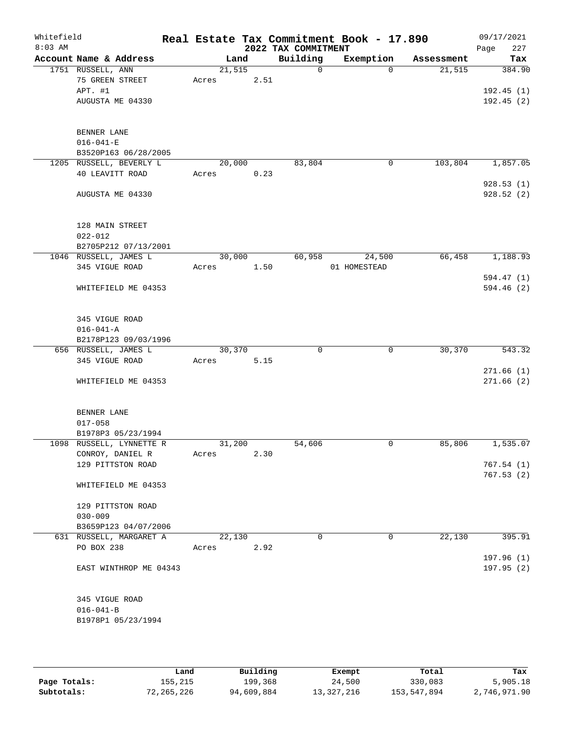| Whitefield<br>$8:03$ AM |                          |        |      |      | 2022 TAX COMMITMENT | Real Estate Tax Commitment Book - 17.890 |            | 09/17/2021<br>227<br>Page |
|-------------------------|--------------------------|--------|------|------|---------------------|------------------------------------------|------------|---------------------------|
|                         | Account Name & Address   |        | Land |      | Building            | Exemption                                | Assessment | Tax                       |
|                         | 1751 RUSSELL, ANN        | 21,515 |      |      | $\mathbf 0$         | $\Omega$                                 | 21,515     | 384.90                    |
|                         | 75 GREEN STREET          | Acres  |      | 2.51 |                     |                                          |            |                           |
|                         | APT. #1                  |        |      |      |                     |                                          |            | 192.45(1)                 |
|                         | AUGUSTA ME 04330         |        |      |      |                     |                                          |            | 192.45(2)                 |
|                         | BENNER LANE              |        |      |      |                     |                                          |            |                           |
|                         | $016 - 041 - E$          |        |      |      |                     |                                          |            |                           |
|                         | B3520P163 06/28/2005     |        |      |      |                     |                                          |            |                           |
|                         | 1205 RUSSELL, BEVERLY L  | 20,000 |      |      | 83,804              | 0                                        | 103,804    | 1,857.05                  |
|                         | 40 LEAVITT ROAD          | Acres  |      | 0.23 |                     |                                          |            | 928.53(1)                 |
|                         | AUGUSTA ME 04330         |        |      |      |                     |                                          |            | 928.52 (2)                |
|                         | 128 MAIN STREET          |        |      |      |                     |                                          |            |                           |
|                         | $022 - 012$              |        |      |      |                     |                                          |            |                           |
|                         | B2705P212 07/13/2001     |        |      |      |                     |                                          |            |                           |
|                         | 1046 RUSSELL, JAMES L    | 30,000 |      |      | 60,958              | 24,500                                   | 66,458     | 1,188.93                  |
|                         | 345 VIGUE ROAD           | Acres  |      | 1.50 |                     | 01 HOMESTEAD                             |            |                           |
|                         |                          |        |      |      |                     |                                          |            | 594.47 (1)                |
|                         | WHITEFIELD ME 04353      |        |      |      |                     |                                          |            | 594.46(2)                 |
|                         | 345 VIGUE ROAD           |        |      |      |                     |                                          |            |                           |
|                         | $016 - 041 - A$          |        |      |      |                     |                                          |            |                           |
|                         | B2178P123 09/03/1996     |        |      |      |                     |                                          |            |                           |
|                         | 656 RUSSELL, JAMES L     | 30,370 |      |      | 0                   | 0                                        | 30,370     | 543.32                    |
|                         | 345 VIGUE ROAD           | Acres  |      | 5.15 |                     |                                          |            |                           |
|                         | WHITEFIELD ME 04353      |        |      |      |                     |                                          |            | 271.66(1)<br>271.66(2)    |
|                         | BENNER LANE              |        |      |      |                     |                                          |            |                           |
|                         | $017 - 058$              |        |      |      |                     |                                          |            |                           |
|                         | B1978P3 05/23/1994       |        |      |      |                     |                                          |            |                           |
|                         | 1098 RUSSELL, LYNNETTE R | 31,200 |      |      | 54,606              | 0                                        | 85,806     | 1,535.07                  |
|                         | CONROY, DANIEL R         | Acres  |      | 2.30 |                     |                                          |            |                           |
|                         | 129 PITTSTON ROAD        |        |      |      |                     |                                          |            | 767.54(1)                 |
|                         | WHITEFIELD ME 04353      |        |      |      |                     |                                          |            | 767.53(2)                 |
|                         | 129 PITTSTON ROAD        |        |      |      |                     |                                          |            |                           |
|                         | $030 - 009$              |        |      |      |                     |                                          |            |                           |
|                         | B3659P123 04/07/2006     |        |      |      |                     |                                          |            |                           |
|                         | 631 RUSSELL, MARGARET A  | 22,130 |      |      | $\Omega$            | $\mathbf 0$                              | 22,130     | 395.91                    |
|                         | PO BOX 238               | Acres  |      | 2.92 |                     |                                          |            |                           |
|                         |                          |        |      |      |                     |                                          |            | 197.96 (1)                |
|                         | EAST WINTHROP ME 04343   |        |      |      |                     |                                          |            | 197.95 (2)                |
|                         | 345 VIGUE ROAD           |        |      |      |                     |                                          |            |                           |
|                         | $016 - 041 - B$          |        |      |      |                     |                                          |            |                           |
|                         | B1978P1 05/23/1994       |        |      |      |                     |                                          |            |                           |
|                         |                          |        |      |      |                     |                                          |            |                           |

|              | Land       | Building   | Exempt     | Total       | Tax          |
|--------------|------------|------------|------------|-------------|--------------|
| Page Totals: | 155,215    | 199,368    | 24,500     | 330,083     | 5,905.18     |
| Subtotals:   | 72,265,226 | 94,609,884 | 13,327,216 | 153,547,894 | 2,746,971.90 |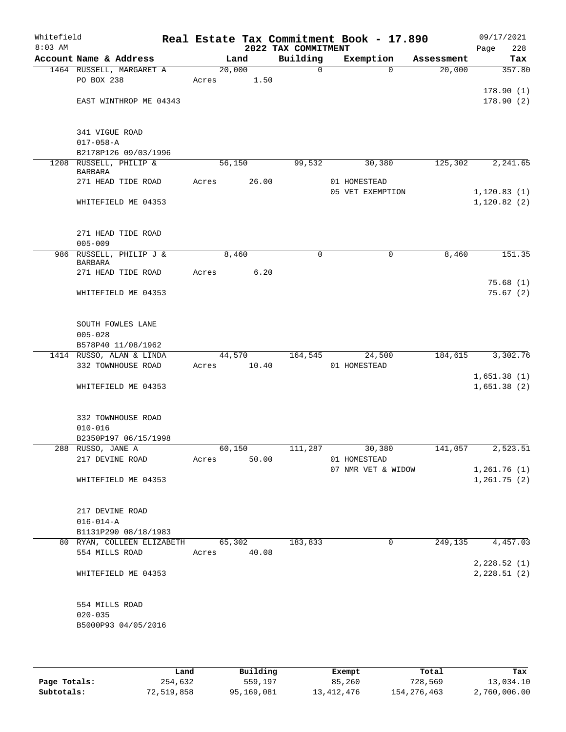| Whitefield<br>$8:03$ AM |                                                     |       |        |             | 2022 TAX COMMITMENT | Real Estate Tax Commitment Book - 17.890 |            | 09/17/2021<br>228<br>Page |
|-------------------------|-----------------------------------------------------|-------|--------|-------------|---------------------|------------------------------------------|------------|---------------------------|
|                         | Account Name & Address                              |       | Land   |             | Building            | Exemption                                | Assessment | Tax                       |
|                         | 1464 RUSSELL, MARGARET A                            |       | 20,000 |             | $\mathbf 0$         | $\Omega$                                 | 20,000     | 357.80                    |
|                         | PO BOX 238                                          | Acres |        | 1.50        |                     |                                          |            |                           |
|                         |                                                     |       |        |             |                     |                                          |            | 178.90(1)                 |
|                         | EAST WINTHROP ME 04343                              |       |        |             |                     |                                          |            | 178.90(2)                 |
|                         |                                                     |       |        |             |                     |                                          |            |                           |
|                         | 341 VIGUE ROAD                                      |       |        |             |                     |                                          |            |                           |
|                         | $017 - 058 - A$                                     |       |        |             |                     |                                          |            |                           |
|                         | B2178P126 09/03/1996                                |       |        |             |                     |                                          |            |                           |
|                         | 1208 RUSSELL, PHILIP &<br><b>BARBARA</b>            |       | 56,150 |             | 99,532              | 30,380                                   | 125,302    | 2,241.65                  |
|                         | 271 HEAD TIDE ROAD                                  | Acres |        | 26.00       |                     | 01 HOMESTEAD                             |            |                           |
|                         |                                                     |       |        |             |                     | 05 VET EXEMPTION                         |            | 1, 120.83(1)              |
|                         | WHITEFIELD ME 04353                                 |       |        |             |                     |                                          |            | 1, 120.82(2)              |
|                         |                                                     |       |        |             |                     |                                          |            |                           |
|                         | 271 HEAD TIDE ROAD                                  |       |        |             |                     |                                          |            |                           |
|                         | $005 - 009$                                         |       |        |             |                     |                                          |            |                           |
|                         | 986 RUSSELL, PHILIP J &                             |       | 8,460  |             | 0                   | 0                                        | 8,460      | 151.35                    |
|                         | <b>BARBARA</b>                                      |       |        |             |                     |                                          |            |                           |
|                         | 271 HEAD TIDE ROAD                                  | Acres |        | 6.20        |                     |                                          |            | 75.68(1)                  |
|                         | WHITEFIELD ME 04353                                 |       |        |             |                     |                                          |            | 75.67(2)                  |
|                         |                                                     |       |        |             |                     |                                          |            |                           |
|                         |                                                     |       |        |             |                     |                                          |            |                           |
|                         | SOUTH FOWLES LANE                                   |       |        |             |                     |                                          |            |                           |
|                         | $005 - 028$                                         |       |        |             |                     |                                          |            |                           |
|                         | B578P40 11/08/1962<br>1414 RUSSO, ALAN & LINDA      |       | 44,570 |             | 164,545             | 24,500                                   | 184,615    | 3,302.76                  |
|                         | 332 TOWNHOUSE ROAD                                  | Acres |        | 10.40       |                     | 01 HOMESTEAD                             |            |                           |
|                         |                                                     |       |        |             |                     |                                          |            | 1,651.38(1)               |
|                         | WHITEFIELD ME 04353                                 |       |        |             |                     |                                          |            | 1,651.38(2)               |
|                         |                                                     |       |        |             |                     |                                          |            |                           |
|                         | 332 TOWNHOUSE ROAD                                  |       |        |             |                     |                                          |            |                           |
|                         | $010 - 016$                                         |       |        |             |                     |                                          |            |                           |
|                         | B2350P197 06/15/1998                                |       |        |             |                     |                                          |            |                           |
|                         | 288 RUSSO, JANE A                                   |       |        |             |                     | 60,150 111,287 30,380                    | 141,057    | 2,523.51                  |
|                         | 217 DEVINE ROAD                                     |       | Acres  | 50.00       |                     | 01 HOMESTEAD                             |            |                           |
|                         |                                                     |       |        |             |                     | 07 NMR VET & WIDOW                       |            | 1,261.76(1)               |
|                         | WHITEFIELD ME 04353                                 |       |        |             |                     |                                          |            | 1,261.75(2)               |
|                         |                                                     |       |        |             |                     |                                          |            |                           |
|                         | 217 DEVINE ROAD                                     |       |        |             |                     |                                          |            |                           |
|                         | $016 - 014 - A$                                     |       |        |             |                     |                                          |            |                           |
|                         | B1131P290 08/18/1983                                |       |        |             |                     |                                          |            |                           |
|                         | 80 RYAN, COLLEEN ELIZABETH 65,302<br>554 MILLS ROAD |       |        | Acres 40.08 | 183,833             | 0                                        |            | 249, 135 4, 457.03        |
|                         |                                                     |       |        |             |                     |                                          |            | 2,228.52(1)               |
|                         | WHITEFIELD ME 04353                                 |       |        |             |                     |                                          |            | 2,228.51(2)               |
|                         |                                                     |       |        |             |                     |                                          |            |                           |
|                         |                                                     |       |        |             |                     |                                          |            |                           |
|                         | 554 MILLS ROAD                                      |       |        |             |                     |                                          |            |                           |
|                         | $020 - 035$<br>B5000P93 04/05/2016                  |       |        |             |                     |                                          |            |                           |
|                         |                                                     |       |        |             |                     |                                          |            |                           |
|                         |                                                     |       |        |             |                     |                                          |            |                           |

|              | Land       | Building   | Exempt     | Total         | Tax          |
|--------------|------------|------------|------------|---------------|--------------|
| Page Totals: | 254,632    | 559,197    | 85,260     | 728,569       | 13,034.10    |
| Subtotals:   | 72,519,858 | 95,169,081 | 13,412,476 | 154, 276, 463 | 2,760,006.00 |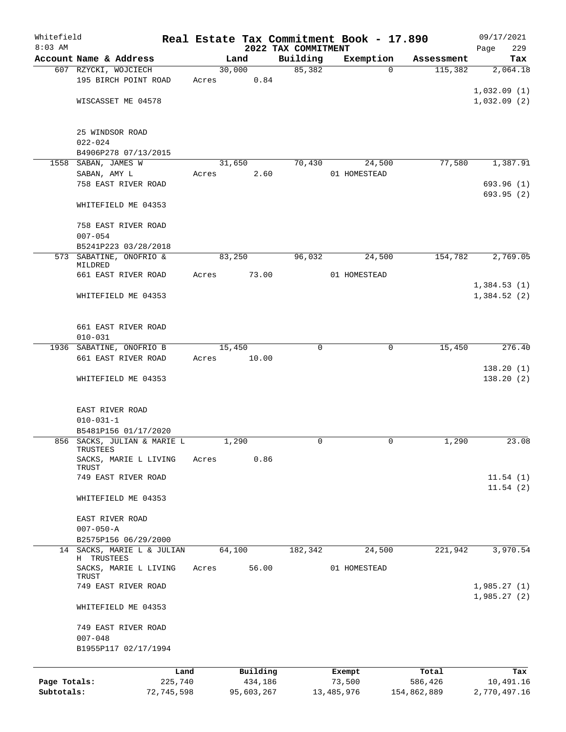| Whitefield   |                                         |       |        |            |                                 | Real Estate Tax Commitment Book - 17.890 |             | 09/17/2021         |
|--------------|-----------------------------------------|-------|--------|------------|---------------------------------|------------------------------------------|-------------|--------------------|
| $8:03$ AM    | Account Name & Address                  |       | Land   |            | 2022 TAX COMMITMENT<br>Building | Exemption                                | Assessment  | 229<br>Page<br>Tax |
|              | 607 RZYCKI, WOJCIECH                    |       | 30,000 |            | 85,382                          | $\Omega$                                 | 115,382     | 2,064.18           |
|              | 195 BIRCH POINT ROAD                    | Acres |        | 0.84       |                                 |                                          |             |                    |
|              |                                         |       |        |            |                                 |                                          |             | 1,032.09(1)        |
|              | WISCASSET ME 04578                      |       |        |            |                                 |                                          |             | 1,032.09(2)        |
|              |                                         |       |        |            |                                 |                                          |             |                    |
|              | 25 WINDSOR ROAD                         |       |        |            |                                 |                                          |             |                    |
|              | $022 - 024$                             |       |        |            |                                 |                                          |             |                    |
|              | B4906P278 07/13/2015                    |       |        |            |                                 |                                          |             |                    |
|              | 1558 SABAN, JAMES W                     |       | 31,650 |            | 70,430                          | 24,500                                   | 77,580      | 1,387.91           |
|              | SABAN, AMY L                            | Acres |        | 2.60       |                                 | 01 HOMESTEAD                             |             |                    |
|              | 758 EAST RIVER ROAD                     |       |        |            |                                 |                                          |             | 693.96(1)          |
|              |                                         |       |        |            |                                 |                                          |             | 693.95 (2)         |
|              | WHITEFIELD ME 04353                     |       |        |            |                                 |                                          |             |                    |
|              | 758 EAST RIVER ROAD                     |       |        |            |                                 |                                          |             |                    |
|              | $007 - 054$                             |       |        |            |                                 |                                          |             |                    |
|              | B5241P223 03/28/2018                    |       |        |            |                                 |                                          |             |                    |
|              | 573 SABATINE, ONOFRIO &<br>MILDRED      |       | 83,250 |            | 96,032                          | 24,500                                   | 154,782     | 2,769.05           |
|              | 661 EAST RIVER ROAD                     | Acres |        | 73.00      |                                 | 01 HOMESTEAD                             |             |                    |
|              |                                         |       |        |            |                                 |                                          |             | 1,384.53(1)        |
|              | WHITEFIELD ME 04353                     |       |        |            |                                 |                                          |             | 1,384.52(2)        |
|              |                                         |       |        |            |                                 |                                          |             |                    |
|              |                                         |       |        |            |                                 |                                          |             |                    |
|              | 661 EAST RIVER ROAD                     |       |        |            |                                 |                                          |             |                    |
|              | $010 - 031$<br>1936 SABATINE, ONOFRIO B |       |        |            | $\Omega$                        | $\mathbf 0$                              | 15,450      | 276.40             |
|              | 661 EAST RIVER ROAD                     | Acres | 15,450 | 10.00      |                                 |                                          |             |                    |
|              |                                         |       |        |            |                                 |                                          |             | 138.20(1)          |
|              | WHITEFIELD ME 04353                     |       |        |            |                                 |                                          |             | 138.20(2)          |
|              |                                         |       |        |            |                                 |                                          |             |                    |
|              | EAST RIVER ROAD                         |       |        |            |                                 |                                          |             |                    |
|              | $010 - 031 - 1$                         |       |        |            |                                 |                                          |             |                    |
|              | B5481P156 01/17/2020                    |       |        |            |                                 |                                          |             |                    |
|              | 856 SACKS, JULIAN & MARIE L             |       | 1,290  |            | 0                               | 0                                        | 1,290       | 23.08              |
|              | TRUSTEES                                |       |        |            |                                 |                                          |             |                    |
|              | SACKS, MARIE L LIVING                   | Acres |        | 0.86       |                                 |                                          |             |                    |
|              | TRUST<br>749 EAST RIVER ROAD            |       |        |            |                                 |                                          |             | 11.54(1)           |
|              |                                         |       |        |            |                                 |                                          |             | 11.54(2)           |
|              | WHITEFIELD ME 04353                     |       |        |            |                                 |                                          |             |                    |
|              | EAST RIVER ROAD                         |       |        |            |                                 |                                          |             |                    |
|              | $007 - 050 - A$                         |       |        |            |                                 |                                          |             |                    |
|              | B2575P156 06/29/2000                    |       |        |            |                                 |                                          |             |                    |
|              | 14 SACKS, MARIE L & JULIAN              |       | 64,100 |            | 182,342                         | 24,500                                   | 221,942     | 3,970.54           |
|              | H TRUSTEES                              |       |        |            |                                 |                                          |             |                    |
|              | SACKS, MARIE L LIVING<br>TRUST          | Acres |        | 56.00      |                                 | 01 HOMESTEAD                             |             |                    |
|              | 749 EAST RIVER ROAD                     |       |        |            |                                 |                                          |             | 1,985.27(1)        |
|              |                                         |       |        |            |                                 |                                          |             | 1,985.27(2)        |
|              | WHITEFIELD ME 04353                     |       |        |            |                                 |                                          |             |                    |
|              | 749 EAST RIVER ROAD                     |       |        |            |                                 |                                          |             |                    |
|              | $007 - 048$                             |       |        |            |                                 |                                          |             |                    |
|              | B1955P117 02/17/1994                    |       |        |            |                                 |                                          |             |                    |
|              |                                         | Land  |        | Building   |                                 | Exempt                                   | Total       | Tax                |
| Page Totals: | 225,740                                 |       |        | 434,186    |                                 | 73,500                                   | 586,426     | 10,491.16          |
| Subtotals:   | 72,745,598                              |       |        | 95,603,267 |                                 | 13, 485, 976                             | 154,862,889 | 2,770,497.16       |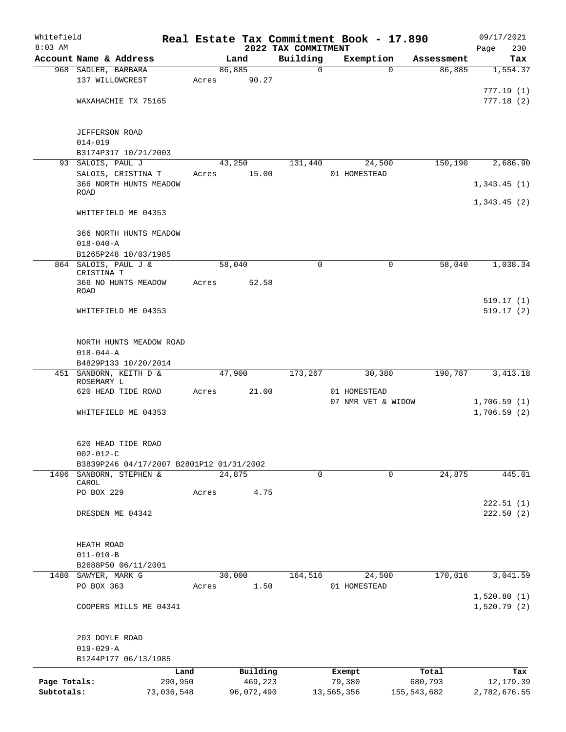| Whitefield<br>$8:03$ AM |                                          |            |       |        |            | 2022 TAX COMMITMENT | Real Estate Tax Commitment Book - 17.890 |             |               | Page | 09/17/2021<br>230 |
|-------------------------|------------------------------------------|------------|-------|--------|------------|---------------------|------------------------------------------|-------------|---------------|------|-------------------|
|                         | Account Name & Address                   |            |       | Land   |            | Building            | Exemption                                |             | Assessment    |      | Tax               |
|                         | 968 SADLER, BARBARA                      |            |       | 86,885 |            | $\mathsf{O}$        |                                          | $\Omega$    | 86,885        |      | 1,554.37          |
|                         | 137 WILLOWCREST                          |            | Acres |        | 90.27      |                     |                                          |             |               |      |                   |
|                         |                                          |            |       |        |            |                     |                                          |             |               |      | 777.19(1)         |
|                         | WAXAHACHIE TX 75165                      |            |       |        |            |                     |                                          |             |               |      | 777.18(2)         |
|                         |                                          |            |       |        |            |                     |                                          |             |               |      |                   |
|                         | <b>JEFFERSON ROAD</b>                    |            |       |        |            |                     |                                          |             |               |      |                   |
|                         | $014 - 019$                              |            |       |        |            |                     |                                          |             |               |      |                   |
|                         | B3174P317 10/21/2003                     |            |       |        |            |                     |                                          |             |               |      |                   |
|                         | 93 SALOIS, PAUL J                        |            |       | 43,250 |            | 131,440             |                                          | 24,500      | 150,190       |      | 2,686.90          |
|                         | SALOIS, CRISTINA T                       |            | Acres |        | 15.00      |                     | 01 HOMESTEAD                             |             |               |      |                   |
|                         | 366 NORTH HUNTS MEADOW                   |            |       |        |            |                     |                                          |             |               |      | 1,343.45(1)       |
|                         | <b>ROAD</b>                              |            |       |        |            |                     |                                          |             |               |      |                   |
|                         |                                          |            |       |        |            |                     |                                          |             |               |      | 1,343.45(2)       |
|                         | WHITEFIELD ME 04353                      |            |       |        |            |                     |                                          |             |               |      |                   |
|                         | 366 NORTH HUNTS MEADOW                   |            |       |        |            |                     |                                          |             |               |      |                   |
|                         | $018 - 040 - A$                          |            |       |        |            |                     |                                          |             |               |      |                   |
|                         | B1265P248 10/03/1985                     |            |       |        |            |                     |                                          |             |               |      |                   |
|                         | 864 SALOIS, PAUL J &                     |            |       | 58,040 |            | 0                   |                                          | $\mathbf 0$ | 58,040        |      | 1,038.34          |
|                         | CRISTINA T                               |            |       |        |            |                     |                                          |             |               |      |                   |
|                         | 366 NO HUNTS MEADOW<br>ROAD              |            | Acres |        | 52.58      |                     |                                          |             |               |      |                   |
|                         |                                          |            |       |        |            |                     |                                          |             |               |      | 519.17(1)         |
|                         | WHITEFIELD ME 04353                      |            |       |        |            |                     |                                          |             |               |      | 519.17(2)         |
|                         |                                          |            |       |        |            |                     |                                          |             |               |      |                   |
|                         |                                          |            |       |        |            |                     |                                          |             |               |      |                   |
|                         | NORTH HUNTS MEADOW ROAD                  |            |       |        |            |                     |                                          |             |               |      |                   |
|                         | $018 - 044 - A$                          |            |       |        |            |                     |                                          |             |               |      |                   |
|                         | B4829P133 10/20/2014                     |            |       |        |            |                     |                                          |             |               |      |                   |
|                         | 451 SANBORN, KEITH D &                   |            |       | 47,900 |            | 173,267             |                                          | 30,380      | 190,787       |      | 3, 413.18         |
|                         | ROSEMARY L<br>620 HEAD TIDE ROAD         |            | Acres |        | 21.00      |                     | 01 HOMESTEAD                             |             |               |      |                   |
|                         |                                          |            |       |        |            |                     | 07 NMR VET & WIDOW                       |             |               |      | 1,706.59(1)       |
|                         | WHITEFIELD ME 04353                      |            |       |        |            |                     |                                          |             |               |      | 1,706.59(2)       |
|                         |                                          |            |       |        |            |                     |                                          |             |               |      |                   |
|                         |                                          |            |       |        |            |                     |                                          |             |               |      |                   |
|                         | 620 HEAD TIDE ROAD                       |            |       |        |            |                     |                                          |             |               |      |                   |
|                         | $002 - 012 - C$                          |            |       |        |            |                     |                                          |             |               |      |                   |
|                         | B3839P246 04/17/2007 B2801P12 01/31/2002 |            |       |        |            |                     |                                          |             |               |      |                   |
| 1406                    | SANBORN, STEPHEN &<br>CAROL              |            |       | 24,875 |            | 0                   |                                          | $\mathbf 0$ | 24,875        |      | 445.01            |
|                         | PO BOX 229                               |            | Acres |        | 4.75       |                     |                                          |             |               |      |                   |
|                         |                                          |            |       |        |            |                     |                                          |             |               |      | 222.51(1)         |
|                         | DRESDEN ME 04342                         |            |       |        |            |                     |                                          |             |               |      | 222.50(2)         |
|                         |                                          |            |       |        |            |                     |                                          |             |               |      |                   |
|                         |                                          |            |       |        |            |                     |                                          |             |               |      |                   |
|                         | HEATH ROAD                               |            |       |        |            |                     |                                          |             |               |      |                   |
|                         | $011 - 010 - B$                          |            |       |        |            |                     |                                          |             |               |      |                   |
|                         | B2688P50 06/11/2001                      |            |       |        |            |                     |                                          |             |               |      |                   |
|                         | 1480 SAWYER, MARK G<br>PO BOX 363        |            | Acres | 30,000 | 1.50       | 164,516             | 01 HOMESTEAD                             | 24,500      | 170,016       |      | 3,041.59          |
|                         |                                          |            |       |        |            |                     |                                          |             |               |      | 1,520.80(1)       |
|                         | COOPERS MILLS ME 04341                   |            |       |        |            |                     |                                          |             |               |      | 1,520.79(2)       |
|                         |                                          |            |       |        |            |                     |                                          |             |               |      |                   |
|                         |                                          |            |       |        |            |                     |                                          |             |               |      |                   |
|                         | 203 DOYLE ROAD                           |            |       |        |            |                     |                                          |             |               |      |                   |
|                         | $019 - 029 - A$                          |            |       |        |            |                     |                                          |             |               |      |                   |
|                         | B1244P177 06/13/1985                     |            |       |        |            |                     |                                          |             |               |      |                   |
|                         |                                          | Land       |       |        | Building   |                     | Exempt                                   |             | Total         |      | Tax               |
| Page Totals:            |                                          | 290,950    |       |        | 469,223    |                     | 79,380                                   |             | 680,793       |      | 12, 179.39        |
| Subtotals:              |                                          | 73,036,548 |       |        | 96,072,490 |                     | 13,565,356                               |             | 155, 543, 682 |      | 2,782,676.55      |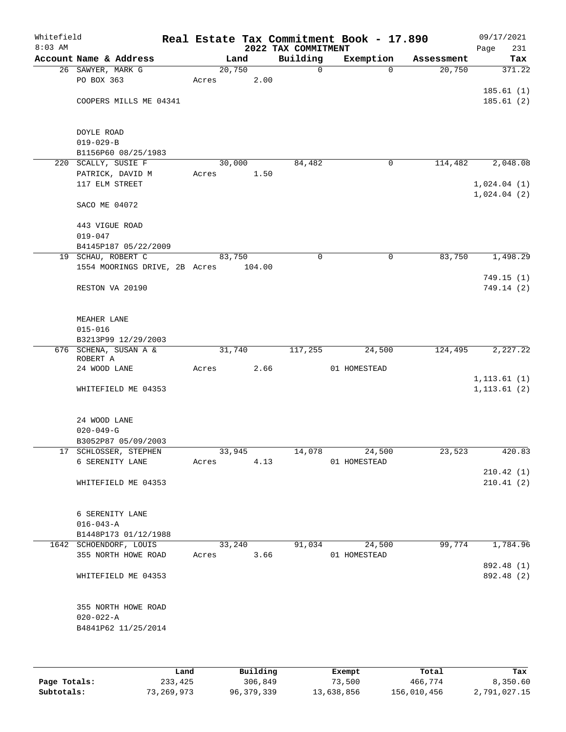| Whitefield<br>$8:03$ AM |                                   |            |        | 2022 TAX COMMITMENT | Real Estate Tax Commitment Book - 17.890 |            | 09/17/2021<br>Page<br>231 |
|-------------------------|-----------------------------------|------------|--------|---------------------|------------------------------------------|------------|---------------------------|
|                         | Account Name & Address            |            | Land   | Building            | Exemption                                | Assessment | Tax                       |
|                         | 26 SAWYER, MARK G                 |            | 20,750 | $\mathsf{O}$        | $\Omega$                                 | 20,750     | 371.22                    |
|                         | PO BOX 363                        | Acres      | 2.00   |                     |                                          |            |                           |
|                         |                                   |            |        |                     |                                          |            | 185.61(1)                 |
|                         | COOPERS MILLS ME 04341            |            |        |                     |                                          |            | 185.61(2)                 |
|                         |                                   |            |        |                     |                                          |            |                           |
|                         |                                   |            |        |                     |                                          |            |                           |
|                         | DOYLE ROAD                        |            |        |                     |                                          |            |                           |
|                         | $019 - 029 - B$                   |            |        |                     |                                          |            |                           |
|                         | B1156P60 08/25/1983               |            |        |                     |                                          |            |                           |
|                         | 220 SCALLY, SUSIE F               |            | 30,000 | 84,482              | $\mathbf 0$                              | 114,482    | 2,048.08                  |
|                         | PATRICK, DAVID M                  | Acres      | 1.50   |                     |                                          |            |                           |
|                         | 117 ELM STREET                    |            |        |                     |                                          |            | 1,024.04(1)               |
|                         |                                   |            |        |                     |                                          |            | 1,024.04(2)               |
|                         | SACO ME 04072                     |            |        |                     |                                          |            |                           |
|                         |                                   |            |        |                     |                                          |            |                           |
|                         | 443 VIGUE ROAD                    |            |        |                     |                                          |            |                           |
|                         | $019 - 047$                       |            |        |                     |                                          |            |                           |
|                         | B4145P187 05/22/2009              |            |        |                     |                                          |            |                           |
|                         | 19 SCHAU, ROBERT C                |            | 83,750 | 0                   | $\mathbf 0$                              | 83,750     | 1,498.29                  |
|                         | 1554 MOORINGS DRIVE, 2B Acres     |            | 104.00 |                     |                                          |            |                           |
|                         |                                   |            |        |                     |                                          |            | 749.15(1)                 |
|                         | RESTON VA 20190                   |            |        |                     |                                          |            | 749.14 (2)                |
|                         |                                   |            |        |                     |                                          |            |                           |
|                         |                                   |            |        |                     |                                          |            |                           |
|                         | MEAHER LANE                       |            |        |                     |                                          |            |                           |
|                         | $015 - 016$                       |            |        |                     |                                          |            |                           |
|                         | B3213P99 12/29/2003               |            |        |                     |                                          |            |                           |
|                         | 676 SCHENA, SUSAN A &<br>ROBERT A |            | 31,740 | 117,255             | 24,500                                   | 124,495    | 2,227.22                  |
|                         | 24 WOOD LANE                      | Acres      | 2.66   |                     | 01 HOMESTEAD                             |            |                           |
|                         |                                   |            |        |                     |                                          |            | 1, 113.61(1)              |
|                         | WHITEFIELD ME 04353               |            |        |                     |                                          |            | 1, 113.61(2)              |
|                         |                                   |            |        |                     |                                          |            |                           |
|                         |                                   |            |        |                     |                                          |            |                           |
|                         | 24 WOOD LANE                      |            |        |                     |                                          |            |                           |
|                         | $020 - 049 - G$                   |            |        |                     |                                          |            |                           |
|                         | B3052P87 05/09/2003               |            |        |                     |                                          |            |                           |
|                         | 17 SCHLOSSER, STEPHEN             |            | 33,945 | 14,078              | 24,500                                   | 23,523     | 420.83                    |
|                         | 6 SERENITY LANE                   | Acres      | 4.13   |                     | 01 HOMESTEAD                             |            |                           |
|                         |                                   |            |        |                     |                                          |            | 210.42(1)                 |
|                         | WHITEFIELD ME 04353               |            |        |                     |                                          |            | 210.41(2)                 |
|                         |                                   |            |        |                     |                                          |            |                           |
|                         |                                   |            |        |                     |                                          |            |                           |
|                         | 6 SERENITY LANE                   |            |        |                     |                                          |            |                           |
|                         | $016 - 043 - A$                   |            |        |                     |                                          |            |                           |
|                         | B1448P173 01/12/1988              |            |        |                     |                                          |            |                           |
|                         | 1642 SCHOENDORF, LOUIS            |            | 33,240 | 91,034              | 24,500                                   | 99,774     | 1,784.96                  |
|                         | 355 NORTH HOWE ROAD               | Acres 3.66 |        |                     | 01 HOMESTEAD                             |            |                           |
|                         |                                   |            |        |                     |                                          |            | 892.48 (1)                |
|                         | WHITEFIELD ME 04353               |            |        |                     |                                          |            | 892.48 (2)                |
|                         |                                   |            |        |                     |                                          |            |                           |
|                         |                                   |            |        |                     |                                          |            |                           |
|                         | 355 NORTH HOWE ROAD               |            |        |                     |                                          |            |                           |
|                         | $020 - 022 - A$                   |            |        |                     |                                          |            |                           |
|                         | B4841P62 11/25/2014               |            |        |                     |                                          |            |                           |
|                         |                                   |            |        |                     |                                          |            |                           |
|                         |                                   |            |        |                     |                                          |            |                           |

|              | Land       | Building     | Exempt     | Total       | Tax          |
|--------------|------------|--------------|------------|-------------|--------------|
| Page Totals: | 233,425    | 306,849      | 73,500     | 466,774     | 8,350.60     |
| Subtotals:   | 73,269,973 | 96, 379, 339 | 13,638,856 | 156,010,456 | 2,791,027.15 |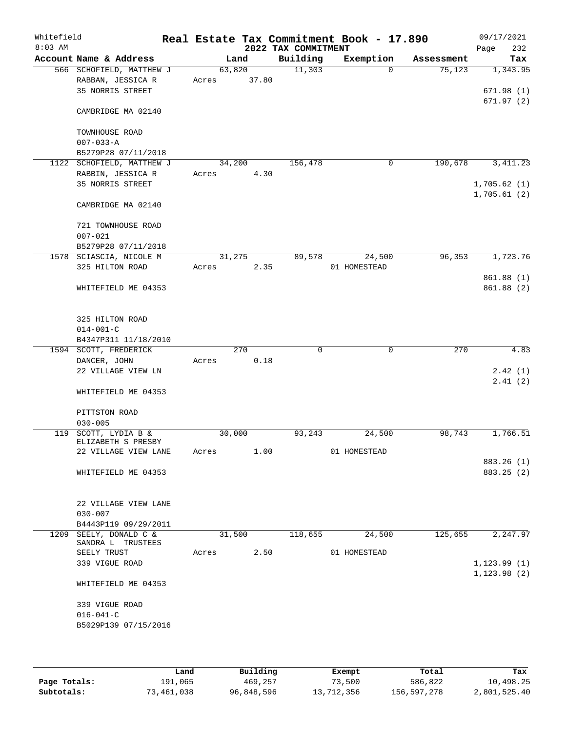| Whitefield<br>$8:03$ AM |                                               |       |        | 2022 TAX COMMITMENT | Real Estate Tax Commitment Book - 17.890 |            | 09/17/2021<br>232<br>Page    |
|-------------------------|-----------------------------------------------|-------|--------|---------------------|------------------------------------------|------------|------------------------------|
|                         | Account Name & Address                        |       | Land   | Building            | Exemption                                | Assessment | Tax                          |
|                         | 566 SCHOFIELD, MATTHEW J                      |       | 63,820 | 11,303              | $\Omega$                                 | 75, 123    | 1,343.95                     |
|                         | RABBAN, JESSICA R                             | Acres | 37.80  |                     |                                          |            |                              |
|                         | 35 NORRIS STREET                              |       |        |                     |                                          |            | 671.98(1)                    |
|                         |                                               |       |        |                     |                                          |            | 671.97(2)                    |
|                         | CAMBRIDGE MA 02140                            |       |        |                     |                                          |            |                              |
|                         |                                               |       |        |                     |                                          |            |                              |
|                         | TOWNHOUSE ROAD                                |       |        |                     |                                          |            |                              |
|                         | $007 - 033 - A$                               |       |        |                     |                                          |            |                              |
|                         | B5279P28 07/11/2018                           |       |        |                     |                                          |            |                              |
|                         | 1122 SCHOFIELD, MATTHEW J                     |       | 34,200 | 156,478             | 0                                        | 190,678    | 3, 411.23                    |
|                         | RABBIN, JESSICA R<br>35 NORRIS STREET         | Acres | 4.30   |                     |                                          |            | 1,705.62(1)                  |
|                         |                                               |       |        |                     |                                          |            | 1,705.61(2)                  |
|                         | CAMBRIDGE MA 02140                            |       |        |                     |                                          |            |                              |
|                         |                                               |       |        |                     |                                          |            |                              |
|                         | 721 TOWNHOUSE ROAD                            |       |        |                     |                                          |            |                              |
|                         | $007 - 021$                                   |       |        |                     |                                          |            |                              |
|                         | B5279P28 07/11/2018                           |       |        |                     |                                          |            |                              |
|                         | 1578 SCIASCIA, NICOLE M                       |       | 31,275 | 89,578              | 24,500                                   | 96,353     | 1,723.76                     |
|                         | 325 HILTON ROAD                               | Acres | 2.35   |                     | 01 HOMESTEAD                             |            |                              |
|                         |                                               |       |        |                     |                                          |            | 861.88 (1)                   |
|                         | WHITEFIELD ME 04353                           |       |        |                     |                                          |            | 861.88 (2)                   |
|                         |                                               |       |        |                     |                                          |            |                              |
|                         |                                               |       |        |                     |                                          |            |                              |
|                         | 325 HILTON ROAD                               |       |        |                     |                                          |            |                              |
|                         | $014 - 001 - C$                               |       |        |                     |                                          |            |                              |
|                         | B4347P311 11/18/2010<br>1594 SCOTT, FREDERICK |       | 270    | $\mathbf 0$         | $\mathbf 0$                              | 270        | 4.83                         |
|                         | DANCER, JOHN                                  | Acres | 0.18   |                     |                                          |            |                              |
|                         | 22 VILLAGE VIEW LN                            |       |        |                     |                                          |            | 2.42(1)                      |
|                         |                                               |       |        |                     |                                          |            | 2.41(2)                      |
|                         | WHITEFIELD ME 04353                           |       |        |                     |                                          |            |                              |
|                         |                                               |       |        |                     |                                          |            |                              |
|                         | PITTSTON ROAD                                 |       |        |                     |                                          |            |                              |
|                         | $030 - 005$                                   |       |        |                     |                                          |            |                              |
| 119                     | SCOTT, LYDIA B &                              |       | 30,000 | 93,243              | 24,500                                   | 98,743     | 1,766.51                     |
|                         | ELIZABETH S PRESBY                            |       |        |                     |                                          |            |                              |
|                         | 22 VILLAGE VIEW LANE                          | Acres | 1.00   |                     | 01 HOMESTEAD                             |            | 883.26 (1)                   |
|                         | WHITEFIELD ME 04353                           |       |        |                     |                                          |            | 883.25 (2)                   |
|                         |                                               |       |        |                     |                                          |            |                              |
|                         |                                               |       |        |                     |                                          |            |                              |
|                         | 22 VILLAGE VIEW LANE                          |       |        |                     |                                          |            |                              |
|                         | $030 - 007$                                   |       |        |                     |                                          |            |                              |
|                         | B4443P119 09/29/2011                          |       |        |                     |                                          |            |                              |
|                         | 1209 SEELY, DONALD C &                        |       | 31,500 | 118,655             | 24,500                                   | 125,655    | 2,247.97                     |
|                         | SANDRA L TRUSTEES                             |       |        |                     |                                          |            |                              |
|                         | SEELY TRUST                                   | Acres | 2.50   |                     | 01 HOMESTEAD                             |            |                              |
|                         | 339 VIGUE ROAD                                |       |        |                     |                                          |            | 1, 123.99(1)<br>1, 123.98(2) |
|                         | WHITEFIELD ME 04353                           |       |        |                     |                                          |            |                              |
|                         |                                               |       |        |                     |                                          |            |                              |
|                         | 339 VIGUE ROAD                                |       |        |                     |                                          |            |                              |
|                         | $016 - 041 - C$                               |       |        |                     |                                          |            |                              |
|                         | B5029P139 07/15/2016                          |       |        |                     |                                          |            |                              |
|                         |                                               |       |        |                     |                                          |            |                              |
|                         |                                               |       |        |                     |                                          |            |                              |

|              | Land       | Building   | Exempt     | Total       | Tax          |
|--------------|------------|------------|------------|-------------|--------------|
| Page Totals: | 191,065    | 469,257    | 73,500     | 586,822     | 10,498.25    |
| Subtotals:   | 73,461,038 | 96,848,596 | 13,712,356 | 156,597,278 | 2,801,525.40 |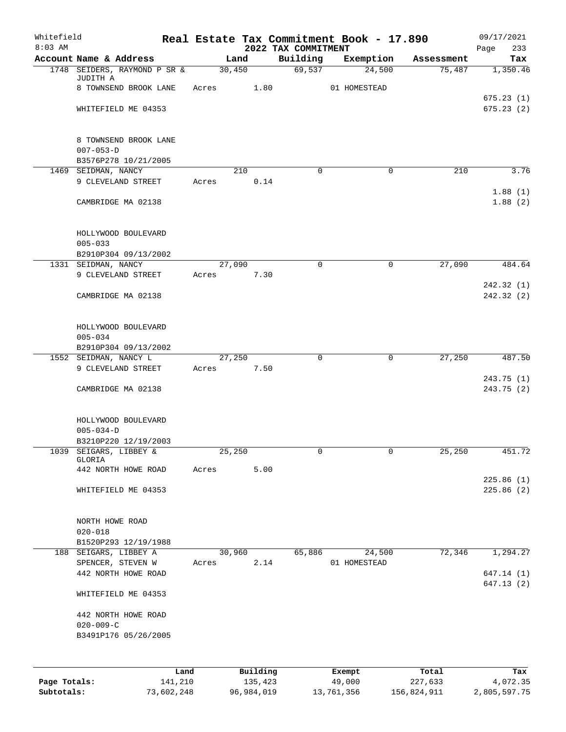| Whitefield<br>$8:03$ AM |                                             |        |                     | 2022 TAX COMMITMENT | Real Estate Tax Commitment Book - 17.890 |                  | 09/17/2021<br>233<br>Page |
|-------------------------|---------------------------------------------|--------|---------------------|---------------------|------------------------------------------|------------------|---------------------------|
|                         | Account Name & Address                      | Land   |                     | Building            | Exemption                                | Assessment       | Tax                       |
|                         | 1748 SEIDERS, RAYMOND P SR &                | 30,450 |                     | 69,537              | 24,500                                   | 75,487           | 1,350.46                  |
|                         | JUDITH A<br>8 TOWNSEND BROOK LANE           |        | 1.80                |                     |                                          |                  |                           |
|                         |                                             | Acres  |                     |                     | 01 HOMESTEAD                             |                  | 675.23(1)                 |
|                         | WHITEFIELD ME 04353                         |        |                     |                     |                                          |                  | 675.23(2)                 |
|                         |                                             |        |                     |                     |                                          |                  |                           |
|                         |                                             |        |                     |                     |                                          |                  |                           |
|                         | 8 TOWNSEND BROOK LANE<br>$007 - 053 - D$    |        |                     |                     |                                          |                  |                           |
|                         | B3576P278 10/21/2005                        |        |                     |                     |                                          |                  |                           |
|                         | 1469 SEIDMAN, NANCY                         | 210    |                     | $\mathbf 0$         | $\mathbf 0$                              | 210              | 3.76                      |
|                         | 9 CLEVELAND STREET                          | Acres  | 0.14                |                     |                                          |                  |                           |
|                         | CAMBRIDGE MA 02138                          |        |                     |                     |                                          |                  | 1.88(1)<br>1.88(2)        |
|                         |                                             |        |                     |                     |                                          |                  |                           |
|                         |                                             |        |                     |                     |                                          |                  |                           |
|                         | HOLLYWOOD BOULEVARD                         |        |                     |                     |                                          |                  |                           |
|                         | $005 - 033$                                 |        |                     |                     |                                          |                  |                           |
|                         | B2910P304 09/13/2002<br>1331 SEIDMAN, NANCY | 27,090 |                     | $\mathbf 0$         | $\mathsf{O}$                             | 27,090           | 484.64                    |
|                         | 9 CLEVELAND STREET                          | Acres  | 7.30                |                     |                                          |                  |                           |
|                         |                                             |        |                     |                     |                                          |                  | 242.32(1)                 |
|                         | CAMBRIDGE MA 02138                          |        |                     |                     |                                          |                  | 242.32(2)                 |
|                         |                                             |        |                     |                     |                                          |                  |                           |
|                         | HOLLYWOOD BOULEVARD                         |        |                     |                     |                                          |                  |                           |
|                         | $005 - 034$                                 |        |                     |                     |                                          |                  |                           |
|                         | B2910P304 09/13/2002                        |        |                     |                     |                                          |                  |                           |
|                         | 1552 SEIDMAN, NANCY L                       | 27,250 |                     | $\mathbf 0$         | $\mathbf 0$                              | 27,250           | 487.50                    |
|                         | 9 CLEVELAND STREET                          | Acres  | 7.50                |                     |                                          |                  | 243.75(1)                 |
|                         | CAMBRIDGE MA 02138                          |        |                     |                     |                                          |                  | 243.75(2)                 |
|                         |                                             |        |                     |                     |                                          |                  |                           |
|                         |                                             |        |                     |                     |                                          |                  |                           |
|                         | HOLLYWOOD BOULEVARD                         |        |                     |                     |                                          |                  |                           |
|                         | $005 - 034 - D$<br>B3210P220 12/19/2003     |        |                     |                     |                                          |                  |                           |
| 1039                    | SEIGARS, LIBBEY &                           | 25,250 |                     | 0                   | 0                                        | 25,250           | 451.72                    |
|                         | GLORIA                                      |        |                     |                     |                                          |                  |                           |
|                         | 442 NORTH HOWE ROAD                         | Acres  | 5.00                |                     |                                          |                  | 225.86(1)                 |
|                         | WHITEFIELD ME 04353                         |        |                     |                     |                                          |                  | 225.86(2)                 |
|                         |                                             |        |                     |                     |                                          |                  |                           |
|                         |                                             |        |                     |                     |                                          |                  |                           |
|                         | NORTH HOWE ROAD                             |        |                     |                     |                                          |                  |                           |
|                         | $020 - 018$<br>B1520P293 12/19/1988         |        |                     |                     |                                          |                  |                           |
|                         | 188 SEIGARS, LIBBEY A                       | 30,960 |                     | 65,886              | 24,500                                   | 72,346           | 1,294.27                  |
|                         | SPENCER, STEVEN W                           | Acres  | 2.14                |                     | 01 HOMESTEAD                             |                  |                           |
|                         | 442 NORTH HOWE ROAD                         |        |                     |                     |                                          |                  | 647.14(1)                 |
|                         |                                             |        |                     |                     |                                          |                  | 647.13(2)                 |
|                         | WHITEFIELD ME 04353                         |        |                     |                     |                                          |                  |                           |
|                         | 442 NORTH HOWE ROAD                         |        |                     |                     |                                          |                  |                           |
|                         | $020 - 009 - C$                             |        |                     |                     |                                          |                  |                           |
|                         | B3491P176 05/26/2005                        |        |                     |                     |                                          |                  |                           |
|                         |                                             |        |                     |                     |                                          |                  |                           |
|                         |                                             |        |                     |                     |                                          |                  |                           |
| Page Totals:            | Land<br>141,210                             |        | Building<br>135,423 |                     | Exempt<br>49,000                         | Total<br>227,633 | Tax<br>4,072.35           |
|                         |                                             |        |                     |                     |                                          |                  |                           |

**Subtotals:** 73,602,248 96,984,019 13,761,356 156,824,911 2,805,597.75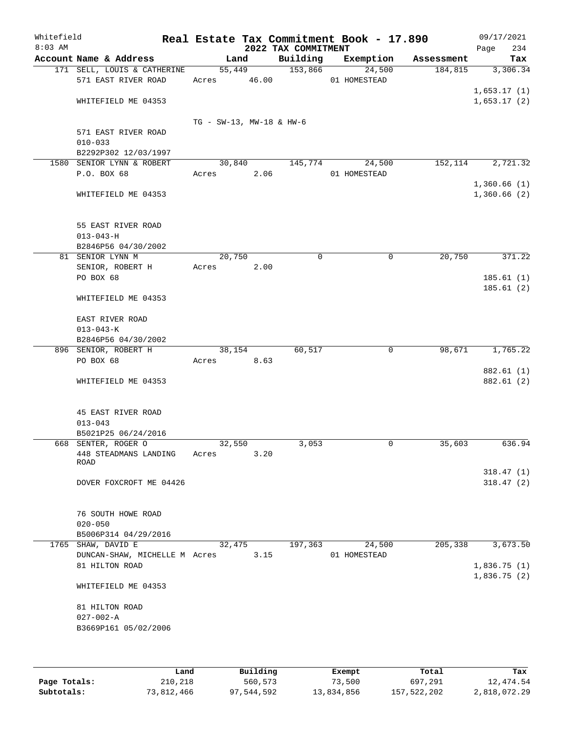| 09/17/2021<br>234<br>Page  |            | Real Estate Tax Commitment Book - 17.890 | 2022 TAX COMMITMENT |                          |                                                              | Whitefield<br>$8:03$ AM |
|----------------------------|------------|------------------------------------------|---------------------|--------------------------|--------------------------------------------------------------|-------------------------|
| Tax                        | Assessment | Exemption                                | Building            | Land                     | Account Name & Address                                       |                         |
| 3,306.34<br>1,653.17(1)    | 184,815    | 24,500<br>01 HOMESTEAD                   | 153,866             | 55,449<br>Acres 46.00    | 171 SELL, LOUIS & CATHERINE<br>571 EAST RIVER ROAD           |                         |
| 1,653.17(2)                |            |                                          |                     |                          | WHITEFIELD ME 04353                                          |                         |
|                            |            |                                          |                     | TG - SW-13, MW-18 & HW-6 | 571 EAST RIVER ROAD                                          |                         |
|                            |            |                                          |                     |                          | $010 - 033$<br>B2292P302 12/03/1997                          |                         |
| 2,721.32                   | 152,114    | 24,500                                   | 145,774             | 30,840                   | 1580 SENIOR LYNN & ROBERT                                    |                         |
| 1,360.66(1)                |            | 01 HOMESTEAD                             |                     | Acres<br>2.06            | P.O. BOX 68                                                  |                         |
| 1,360.66(2)                |            |                                          |                     |                          | WHITEFIELD ME 04353                                          |                         |
|                            |            |                                          |                     |                          | 55 EAST RIVER ROAD<br>$013 - 043 - H$<br>B2846P56 04/30/2002 |                         |
| 371.22                     | 20,750     | $\mathbf 0$                              | $\mathbf 0$         | 20,750                   | 81 SENIOR LYNN M                                             |                         |
| 185.61(1)                  |            |                                          |                     | 2.00<br>Acres            | SENIOR, ROBERT H<br>PO BOX 68                                |                         |
| 185.61(2)                  |            |                                          |                     |                          | WHITEFIELD ME 04353                                          |                         |
|                            |            |                                          |                     |                          | EAST RIVER ROAD                                              |                         |
|                            |            |                                          |                     |                          | $013 - 043 - K$                                              |                         |
| 1,765.22                   | 98,671     | 0                                        | 60,517              |                          | B2846P56 04/30/2002<br>896 SENIOR, ROBERT H                  |                         |
|                            |            |                                          |                     | 38,154<br>8.63<br>Acres  | PO BOX 68                                                    |                         |
| 882.61 (1)<br>882.61 (2)   |            |                                          |                     |                          | WHITEFIELD ME 04353                                          |                         |
|                            |            |                                          |                     |                          | 45 EAST RIVER ROAD<br>$013 - 043$                            |                         |
|                            |            |                                          |                     |                          | B5021P25 06/24/2016                                          |                         |
| 636.94                     | 35,603     | 0                                        | 3,053               | 32,550                   | 668 SENTER, ROGER O                                          |                         |
|                            |            |                                          |                     | 3.20<br>Acres            | 448 STEADMANS LANDING<br>ROAD                                |                         |
| 318.47(1)<br>318.47(2)     |            |                                          |                     |                          | DOVER FOXCROFT ME 04426                                      |                         |
|                            |            |                                          |                     |                          | 76 SOUTH HOWE ROAD<br>$020 - 050$<br>B5006P314 04/29/2016    |                         |
| 3,673.50                   | 205,338    | 24,500                                   | 197,363             | 32,475                   | 1765 SHAW, DAVID E                                           |                         |
|                            |            | 01 HOMESTEAD                             |                     | 3.15                     | DUNCAN-SHAW, MICHELLE M Acres                                |                         |
| 1,836.75(1)<br>1,836.75(2) |            |                                          |                     |                          | 81 HILTON ROAD                                               |                         |
|                            |            |                                          |                     |                          | WHITEFIELD ME 04353                                          |                         |
|                            |            |                                          |                     |                          | 81 HILTON ROAD                                               |                         |

|              | Land       | Building   | Exempt     | Total       | Tax          |
|--------------|------------|------------|------------|-------------|--------------|
| Page Totals: | 210,218    | 560,573    | 73,500     | 697,291     | 12,474.54    |
| Subtotals:   | 73,812,466 | 97,544,592 | 13,834,856 | 157,522,202 | 2,818,072.29 |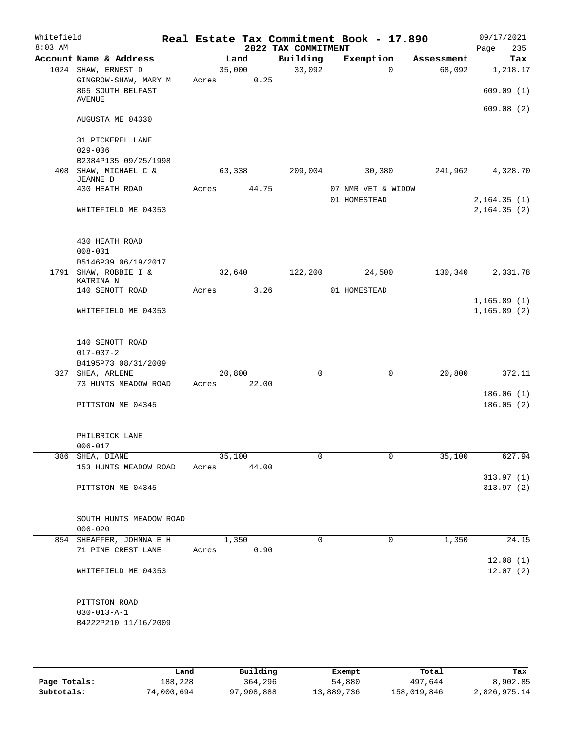| Whitefield<br>$8:03$ AM |                                              |             |        | 2022 TAX COMMITMENT | Real Estate Tax Commitment Book - 17.890 |            | 09/17/2021<br>Page<br>235 |
|-------------------------|----------------------------------------------|-------------|--------|---------------------|------------------------------------------|------------|---------------------------|
|                         | Account Name & Address                       |             | Land   | Building            | Exemption                                | Assessment | Tax                       |
|                         | 1024 SHAW, ERNEST D                          |             | 35,000 | 33,092              | $\Omega$                                 | 68,092     | 1,218.17                  |
|                         | GINGROW-SHAW, MARY M                         | Acres       | 0.25   |                     |                                          |            |                           |
|                         | 865 SOUTH BELFAST                            |             |        |                     |                                          |            | 609.09(1)                 |
|                         | AVENUE                                       |             |        |                     |                                          |            | 609.08(2)                 |
|                         | AUGUSTA ME 04330                             |             |        |                     |                                          |            |                           |
|                         |                                              |             |        |                     |                                          |            |                           |
|                         | 31 PICKEREL LANE                             |             |        |                     |                                          |            |                           |
|                         | $029 - 006$                                  |             |        |                     |                                          |            |                           |
|                         | B2384P135 09/25/1998                         |             |        |                     |                                          |            |                           |
|                         | 408 SHAW, MICHAEL C &<br>JEANNE D            |             | 63,338 | 209,004             | 30,380                                   | 241,962    | 4,328.70                  |
|                         | 430 HEATH ROAD                               | Acres       | 44.75  |                     | 07 NMR VET & WIDOW                       |            |                           |
|                         |                                              |             |        |                     | 01 HOMESTEAD                             |            | 2, 164.35(1)              |
|                         | WHITEFIELD ME 04353                          |             |        |                     |                                          |            | 2,164.35(2)               |
|                         |                                              |             |        |                     |                                          |            |                           |
|                         |                                              |             |        |                     |                                          |            |                           |
|                         | 430 HEATH ROAD                               |             |        |                     |                                          |            |                           |
|                         | $008 - 001$                                  |             |        |                     |                                          |            |                           |
|                         | B5146P39 06/19/2017<br>1791 SHAW, ROBBIE I & | 32,640      |        | 122,200             | 24,500                                   | 130,340    | 2,331.78                  |
|                         | KATRINA N                                    |             |        |                     |                                          |            |                           |
|                         | 140 SENOTT ROAD                              | Acres       | 3.26   |                     | 01 HOMESTEAD                             |            |                           |
|                         |                                              |             |        |                     |                                          |            | 1, 165.89(1)              |
|                         | WHITEFIELD ME 04353                          |             |        |                     |                                          |            | 1, 165.89(2)              |
|                         |                                              |             |        |                     |                                          |            |                           |
|                         | 140 SENOTT ROAD                              |             |        |                     |                                          |            |                           |
|                         | $017 - 037 - 2$                              |             |        |                     |                                          |            |                           |
|                         | B4195P73 08/31/2009                          |             |        |                     |                                          |            |                           |
|                         | 327 SHEA, ARLENE                             | 20,800      |        | $\mathbf 0$         | $\mathbf 0$                              | 20,800     | 372.11                    |
|                         | 73 HUNTS MEADOW ROAD                         | Acres 22.00 |        |                     |                                          |            |                           |
|                         |                                              |             |        |                     |                                          |            | 186.06(1)                 |
|                         | PITTSTON ME 04345                            |             |        |                     |                                          |            | 186.05(2)                 |
|                         |                                              |             |        |                     |                                          |            |                           |
|                         |                                              |             |        |                     |                                          |            |                           |
|                         | PHILBRICK LANE                               |             |        |                     |                                          |            |                           |
| 386                     | $006 - 017$<br>SHEA, DIANE                   | 35,100      |        | $\Omega$            | 0                                        | 35,100     | 627.94                    |
|                         | 153 HUNTS MEADOW ROAD                        | Acres 44.00 |        |                     |                                          |            |                           |
|                         |                                              |             |        |                     |                                          |            | 313.97(1)                 |
|                         | PITTSTON ME 04345                            |             |        |                     |                                          |            | 313.97(2)                 |
|                         |                                              |             |        |                     |                                          |            |                           |
|                         |                                              |             |        |                     |                                          |            |                           |
|                         | SOUTH HUNTS MEADOW ROAD                      |             |        |                     |                                          |            |                           |
|                         | $006 - 020$<br>854 SHEAFFER, JOHNNA E H      |             | 1,350  | 0                   | 0                                        | 1,350      | 24.15                     |
|                         | 71 PINE CREST LANE                           | Acres       | 0.90   |                     |                                          |            |                           |
|                         |                                              |             |        |                     |                                          |            | 12.08(1)                  |
|                         | WHITEFIELD ME 04353                          |             |        |                     |                                          |            | 12.07(2)                  |
|                         |                                              |             |        |                     |                                          |            |                           |
|                         |                                              |             |        |                     |                                          |            |                           |
|                         | PITTSTON ROAD                                |             |        |                     |                                          |            |                           |
|                         | $030 - 013 - A - 1$                          |             |        |                     |                                          |            |                           |
|                         | B4222P210 11/16/2009                         |             |        |                     |                                          |            |                           |
|                         |                                              |             |        |                     |                                          |            |                           |

|              | Land       | Building   | Exempt     | Total       | Tax          |
|--------------|------------|------------|------------|-------------|--------------|
| Page Totals: | 188,228    | 364,296    | 54,880     | 497,644     | 8,902.85     |
| Subtotals:   | 74,000,694 | 97,908,888 | 13,889,736 | 158,019,846 | 2,826,975.14 |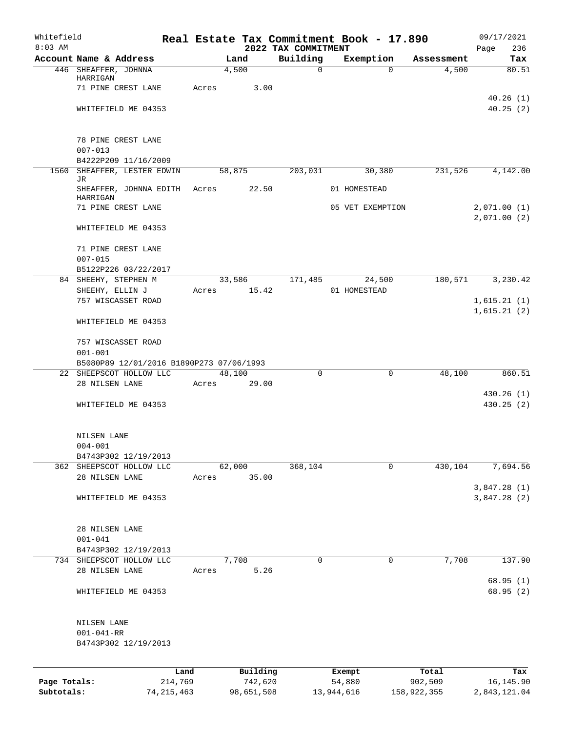| Whitefield<br>$8:03$ AM |                                                  |       |                 |                                 | Real Estate Tax Commitment Book - 17.890 |            | 09/17/2021         |
|-------------------------|--------------------------------------------------|-------|-----------------|---------------------------------|------------------------------------------|------------|--------------------|
|                         | Account Name & Address                           |       | Land            | 2022 TAX COMMITMENT<br>Building | Exemption                                | Assessment | 236<br>Page<br>Tax |
|                         | 446 SHEAFFER, JOHNNA                             |       | 4,500           | $\mathbf 0$                     | $\Omega$                                 | 4,500      | 80.51              |
|                         | HARRIGAN<br>71 PINE CREST LANE                   |       |                 |                                 |                                          |            |                    |
|                         |                                                  | Acres | 3.00            |                                 |                                          |            | 40.26(1)           |
|                         | WHITEFIELD ME 04353                              |       |                 |                                 |                                          |            | 40.25(2)           |
|                         |                                                  |       |                 |                                 |                                          |            |                    |
|                         | 78 PINE CREST LANE                               |       |                 |                                 |                                          |            |                    |
|                         | $007 - 013$                                      |       |                 |                                 |                                          |            |                    |
|                         | B4222P209 11/16/2009                             |       |                 |                                 |                                          |            |                    |
|                         | 1560 SHEAFFER, LESTER EDWIN<br>JR                |       | 58,875          | 203,031                         | 30,380                                   | 231,526    | 4,142.00           |
|                         | SHEAFFER, JOHNNA EDITH Acres                     |       | 22.50           |                                 | 01 HOMESTEAD                             |            |                    |
|                         | HARRIGAN<br>71 PINE CREST LANE                   |       |                 |                                 | 05 VET EXEMPTION                         |            | 2,071.00(1)        |
|                         |                                                  |       |                 |                                 |                                          |            | 2,071.00(2)        |
|                         | WHITEFIELD ME 04353                              |       |                 |                                 |                                          |            |                    |
|                         | 71 PINE CREST LANE                               |       |                 |                                 |                                          |            |                    |
|                         | $007 - 015$                                      |       |                 |                                 |                                          |            |                    |
|                         | B5122P226 03/22/2017                             |       |                 |                                 |                                          |            |                    |
|                         | 84 SHEEHY, STEPHEN M<br>SHEEHY, ELLIN J          | Acres | 33,586<br>15.42 | 171,485                         | 24,500<br>01 HOMESTEAD                   | 180,571    | 3,230.42           |
|                         | 757 WISCASSET ROAD                               |       |                 |                                 |                                          |            | 1,615.21(1)        |
|                         |                                                  |       |                 |                                 |                                          |            | 1,615.21(2)        |
|                         | WHITEFIELD ME 04353                              |       |                 |                                 |                                          |            |                    |
|                         | 757 WISCASSET ROAD                               |       |                 |                                 |                                          |            |                    |
|                         | $001 - 001$                                      |       |                 |                                 |                                          |            |                    |
|                         | B5080P89 12/01/2016 B1890P273 07/06/1993         |       |                 |                                 |                                          |            |                    |
|                         | 22 SHEEPSCOT HOLLOW LLC<br>28 NILSEN LANE        | Acres | 48,100<br>29.00 | $\Omega$                        | $\mathbf 0$                              | 48,100     | 860.51             |
|                         |                                                  |       |                 |                                 |                                          |            | 430.26(1)          |
|                         | WHITEFIELD ME 04353                              |       |                 |                                 |                                          |            | 430.25(2)          |
|                         |                                                  |       |                 |                                 |                                          |            |                    |
|                         | NILSEN LANE                                      |       |                 |                                 |                                          |            |                    |
|                         | $004 - 001$                                      |       |                 |                                 |                                          |            |                    |
|                         | B4743P302 12/19/2013<br>362 SHEEPSCOT HOLLOW LLC |       | 62,000          | 368,104                         | $\mathbf 0$                              | 430,104    | 7,694.56           |
|                         | 28 NILSEN LANE                                   | Acres | 35.00           |                                 |                                          |            |                    |
|                         |                                                  |       |                 |                                 |                                          |            | 3,847.28(1)        |
|                         | WHITEFIELD ME 04353                              |       |                 |                                 |                                          |            | 3,847.28(2)        |
|                         |                                                  |       |                 |                                 |                                          |            |                    |
|                         | 28 NILSEN LANE                                   |       |                 |                                 |                                          |            |                    |
|                         | $001 - 041$<br>B4743P302 12/19/2013              |       |                 |                                 |                                          |            |                    |
|                         | 734 SHEEPSCOT HOLLOW LLC                         |       | 7,708           | 0                               | 0                                        | 7,708      | 137.90             |
|                         | 28 NILSEN LANE                                   | Acres | 5.26            |                                 |                                          |            |                    |
|                         |                                                  |       |                 |                                 |                                          |            | 68.95(1)           |
|                         | WHITEFIELD ME 04353                              |       |                 |                                 |                                          |            | 68.95 (2)          |
|                         | NILSEN LANE                                      |       |                 |                                 |                                          |            |                    |
|                         | $001 - 041 - RR$                                 |       |                 |                                 |                                          |            |                    |
|                         | B4743P302 12/19/2013                             |       |                 |                                 |                                          |            |                    |
|                         |                                                  |       |                 |                                 |                                          |            |                    |
|                         |                                                  | Land  | Building        |                                 | Exempt                                   | Total      | Tax                |
| Page Totals:            | 214,769                                          |       | 742,620         |                                 | 54,880                                   | 902,509    | 16, 145.90         |

**Subtotals:** 74,215,463 98,651,508 13,944,616 158,922,355 2,843,121.04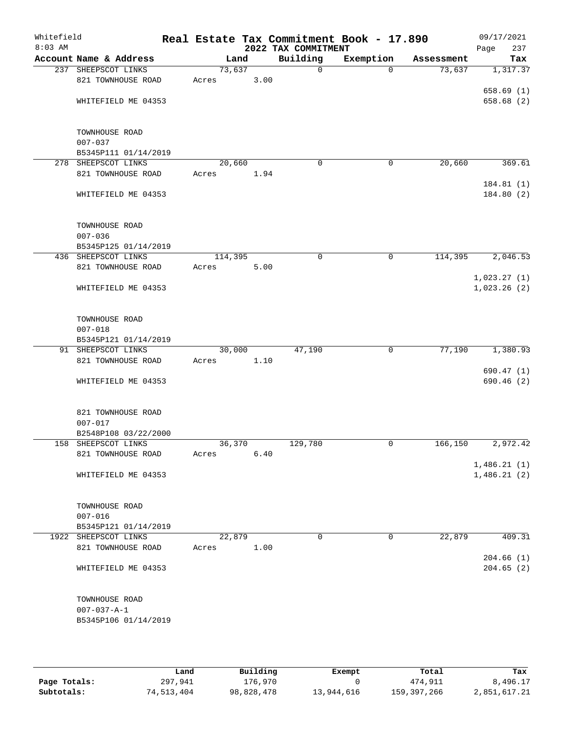| Whitefield<br>$8:03$ AM |                                             |         |      | 2022 TAX COMMITMENT | Real Estate Tax Commitment Book - 17.890 |            | 09/17/2021<br>Page<br>237 |
|-------------------------|---------------------------------------------|---------|------|---------------------|------------------------------------------|------------|---------------------------|
|                         | Account Name & Address                      | Land    |      | Building            | Exemption                                | Assessment | Tax                       |
|                         | 237 SHEEPSCOT LINKS                         | 73,637  |      | $\mathbf 0$         | $\Omega$                                 | 73,637     | 1,317.37                  |
|                         | 821 TOWNHOUSE ROAD                          | Acres   | 3.00 |                     |                                          |            |                           |
|                         |                                             |         |      |                     |                                          |            | 658.69(1)                 |
|                         | WHITEFIELD ME 04353                         |         |      |                     |                                          |            | 658.68 (2)                |
|                         |                                             |         |      |                     |                                          |            |                           |
|                         | TOWNHOUSE ROAD                              |         |      |                     |                                          |            |                           |
|                         | $007 - 037$                                 |         |      |                     |                                          |            |                           |
|                         | B5345P111 01/14/2019<br>278 SHEEPSCOT LINKS | 20,660  |      | $\mathbf 0$         | 0                                        | 20,660     | 369.61                    |
|                         | 821 TOWNHOUSE ROAD                          | Acres   | 1.94 |                     |                                          |            |                           |
|                         |                                             |         |      |                     |                                          |            | 184.81 (1)                |
|                         | WHITEFIELD ME 04353                         |         |      |                     |                                          |            | 184.80(2)                 |
|                         | TOWNHOUSE ROAD                              |         |      |                     |                                          |            |                           |
|                         | $007 - 036$                                 |         |      |                     |                                          |            |                           |
|                         | B5345P125 01/14/2019                        |         |      |                     |                                          |            |                           |
|                         | 436 SHEEPSCOT LINKS                         | 114,395 |      | 0                   | 0                                        | 114,395    | 2,046.53                  |
|                         | 821 TOWNHOUSE ROAD                          | Acres   | 5.00 |                     |                                          |            |                           |
|                         |                                             |         |      |                     |                                          |            | 1,023.27(1)               |
|                         | WHITEFIELD ME 04353                         |         |      |                     |                                          |            | 1,023.26(2)               |
|                         | TOWNHOUSE ROAD                              |         |      |                     |                                          |            |                           |
|                         | $007 - 018$                                 |         |      |                     |                                          |            |                           |
|                         | B5345P121 01/14/2019                        |         |      |                     |                                          |            |                           |
|                         | 91 SHEEPSCOT LINKS                          | 30,000  |      | 47,190              | $\mathbf 0$                              | 77,190     | 1,380.93                  |
|                         | 821 TOWNHOUSE ROAD                          | Acres   | 1.10 |                     |                                          |            |                           |
|                         | WHITEFIELD ME 04353                         |         |      |                     |                                          |            | 690.47(1)<br>690.46(2)    |
|                         |                                             |         |      |                     |                                          |            |                           |
|                         | 821 TOWNHOUSE ROAD<br>$007 - 017$           |         |      |                     |                                          |            |                           |
|                         | B2548P108 03/22/2000                        |         |      |                     |                                          |            |                           |
|                         | 158 SHEEPSCOT LINKS                         | 36,370  |      | 129,780             | 0                                        | 166,150    | 2,972.42                  |
|                         | 821 TOWNHOUSE ROAD                          | Acres   | 6.40 |                     |                                          |            |                           |
|                         |                                             |         |      |                     |                                          |            | 1,486.21(1)               |
|                         | WHITEFIELD ME 04353                         |         |      |                     |                                          |            | 1,486.21(2)               |
|                         | TOWNHOUSE ROAD                              |         |      |                     |                                          |            |                           |
|                         | $007 - 016$                                 |         |      |                     |                                          |            |                           |
|                         | B5345P121 01/14/2019                        |         |      |                     |                                          |            |                           |
|                         | 1922 SHEEPSCOT LINKS                        | 22,879  |      | $\Omega$            | 0                                        | 22,879     | 409.31                    |
|                         | 821 TOWNHOUSE ROAD                          | Acres   | 1.00 |                     |                                          |            |                           |
|                         |                                             |         |      |                     |                                          |            | 204.66(1)                 |
|                         | WHITEFIELD ME 04353                         |         |      |                     |                                          |            | 204.65(2)                 |
|                         | TOWNHOUSE ROAD                              |         |      |                     |                                          |            |                           |
|                         | $007 - 037 - A - 1$                         |         |      |                     |                                          |            |                           |
|                         | B5345P106 01/14/2019                        |         |      |                     |                                          |            |                           |
|                         |                                             |         |      |                     |                                          |            |                           |

|              | Land       | Building   | Exempt     | Total       | Tax          |
|--------------|------------|------------|------------|-------------|--------------|
| Page Totals: | 297,941    | 176,970    |            | 474,911     | 8,496.17     |
| Subtotals:   | 74,513,404 | 98,828,478 | 13,944,616 | 159,397,266 | 2,851,617.21 |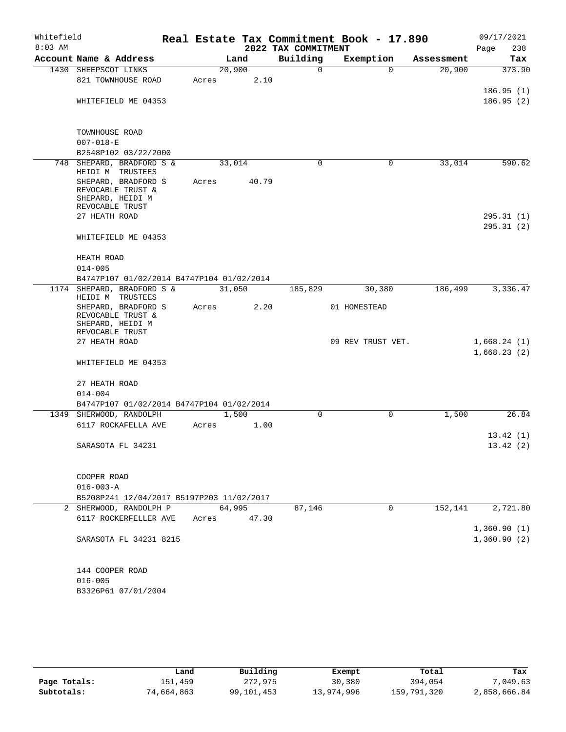| Whitefield<br>$8:03$ AM |                                           |        |       | 2022 TAX COMMITMENT | Real Estate Tax Commitment Book - 17.890 |            | 09/17/2021<br>238<br>Page |
|-------------------------|-------------------------------------------|--------|-------|---------------------|------------------------------------------|------------|---------------------------|
|                         | Account Name & Address                    |        | Land  | Building            | Exemption                                | Assessment | Tax                       |
|                         | 1430 SHEEPSCOT LINKS                      | 20,900 |       | 0                   | $\Omega$                                 | 20,900     | 373.90                    |
|                         | 821 TOWNHOUSE ROAD                        | Acres  | 2.10  |                     |                                          |            |                           |
|                         |                                           |        |       |                     |                                          |            | 186.95(1)                 |
|                         | WHITEFIELD ME 04353                       |        |       |                     |                                          |            | 186.95(2)                 |
|                         |                                           |        |       |                     |                                          |            |                           |
|                         | TOWNHOUSE ROAD                            |        |       |                     |                                          |            |                           |
|                         | $007 - 018 - E$                           |        |       |                     |                                          |            |                           |
|                         | B2548P102 03/22/2000                      |        |       |                     |                                          |            |                           |
|                         | 748 SHEPARD, BRADFORD S &                 | 33,014 |       | $\Omega$            | 0                                        | 33,014     | 590.62                    |
|                         | HEIDI M TRUSTEES                          |        |       |                     |                                          |            |                           |
|                         | SHEPARD, BRADFORD S                       | Acres  | 40.79 |                     |                                          |            |                           |
|                         | REVOCABLE TRUST &                         |        |       |                     |                                          |            |                           |
|                         | SHEPARD, HEIDI M<br>REVOCABLE TRUST       |        |       |                     |                                          |            |                           |
|                         | 27 HEATH ROAD                             |        |       |                     |                                          |            | 295.31(1)                 |
|                         |                                           |        |       |                     |                                          |            | 295.31(2)                 |
|                         | WHITEFIELD ME 04353                       |        |       |                     |                                          |            |                           |
|                         |                                           |        |       |                     |                                          |            |                           |
|                         | HEATH ROAD                                |        |       |                     |                                          |            |                           |
|                         | $014 - 005$                               |        |       |                     |                                          |            |                           |
|                         | B4747P107 01/02/2014 B4747P104 01/02/2014 |        |       |                     |                                          |            |                           |
|                         | 1174 SHEPARD, BRADFORD S &                | 31,050 |       | 185,829             | 30,380                                   | 186,499    | 3,336.47                  |
|                         | HEIDI M TRUSTEES                          |        |       |                     |                                          |            |                           |
|                         | SHEPARD, BRADFORD S                       | Acres  | 2.20  |                     | 01 HOMESTEAD                             |            |                           |
|                         | REVOCABLE TRUST &                         |        |       |                     |                                          |            |                           |
|                         | SHEPARD, HEIDI M<br>REVOCABLE TRUST       |        |       |                     |                                          |            |                           |
|                         | 27 HEATH ROAD                             |        |       |                     | 09 REV TRUST VET.                        |            | 1,668.24(1)               |
|                         |                                           |        |       |                     |                                          |            | 1,668.23(2)               |
|                         | WHITEFIELD ME 04353                       |        |       |                     |                                          |            |                           |
|                         |                                           |        |       |                     |                                          |            |                           |
|                         | 27 HEATH ROAD                             |        |       |                     |                                          |            |                           |
|                         | $014 - 004$                               |        |       |                     |                                          |            |                           |
|                         | B4747P107 01/02/2014 B4747P104 01/02/2014 |        |       |                     |                                          |            |                           |
|                         | 1349 SHERWOOD, RANDOLPH                   | 1,500  |       | 0                   | $\mathbf 0$                              | 1,500      | 26.84                     |
|                         | 6117 ROCKAFELLA AVE                       | Acres  | 1.00  |                     |                                          |            |                           |
|                         |                                           |        |       |                     |                                          |            | 13.42(1)                  |
|                         | SARASOTA FL 34231                         |        |       |                     |                                          |            | 13.42(2)                  |
|                         |                                           |        |       |                     |                                          |            |                           |
|                         |                                           |        |       |                     |                                          |            |                           |
|                         | COOPER ROAD                               |        |       |                     |                                          |            |                           |
|                         | $016 - 003 - A$                           |        |       |                     |                                          |            |                           |
|                         | B5208P241 12/04/2017 B5197P203 11/02/2017 |        |       |                     |                                          |            |                           |
|                         | 2 SHERWOOD, RANDOLPH P                    | 64,995 |       | 87,146              | 0                                        | 152,141    | 2,721.80                  |
|                         | 6117 ROCKERFELLER AVE                     | Acres  | 47.30 |                     |                                          |            |                           |
|                         |                                           |        |       |                     |                                          |            | 1,360.90(1)               |
|                         | SARASOTA FL 34231 8215                    |        |       |                     |                                          |            | 1,360.90(2)               |
|                         |                                           |        |       |                     |                                          |            |                           |
|                         | 144 COOPER ROAD                           |        |       |                     |                                          |            |                           |
|                         | $016 - 005$                               |        |       |                     |                                          |            |                           |
|                         | B3326P61 07/01/2004                       |        |       |                     |                                          |            |                           |
|                         |                                           |        |       |                     |                                          |            |                           |

|              | Land       | Building   | Exempt     | Total       | Tax          |
|--------------|------------|------------|------------|-------------|--------------|
| Page Totals: | 151,459    | 272,975    | 30,380     | 394,054     | 7,049.63     |
| Subtotals:   | 74,664,863 | 99,101,453 | 13,974,996 | 159,791,320 | 2,858,666.84 |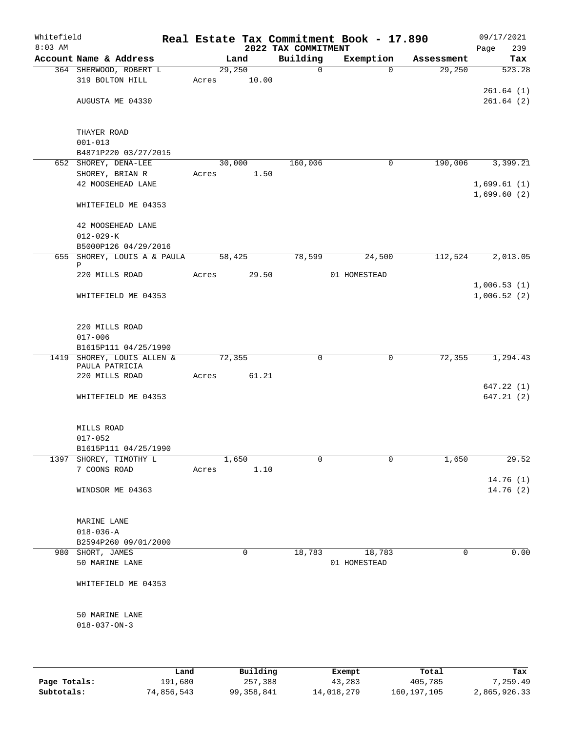| Whitefield |                                        |       |        |             |                                 | Real Estate Tax Commitment Book - 17.890 |            | 09/17/2021                 |
|------------|----------------------------------------|-------|--------|-------------|---------------------------------|------------------------------------------|------------|----------------------------|
| $8:03$ AM  | Account Name & Address                 |       | Land   |             | 2022 TAX COMMITMENT<br>Building | Exemption                                | Assessment | Page<br>239<br>Tax         |
|            | 364 SHERWOOD, ROBERT L                 |       | 29,250 |             | $\mathbf 0$                     | $\Omega$                                 | 29,250     | 523.28                     |
|            | 319 BOLTON HILL                        | Acres |        | 10.00       |                                 |                                          |            |                            |
|            |                                        |       |        |             |                                 |                                          |            | 261.64(1)                  |
|            | AUGUSTA ME 04330                       |       |        |             |                                 |                                          |            | 261.64(2)                  |
|            | THAYER ROAD                            |       |        |             |                                 |                                          |            |                            |
|            | $001 - 013$                            |       |        |             |                                 |                                          |            |                            |
|            | B4871P220 03/27/2015                   |       |        |             |                                 |                                          |            |                            |
|            | 652 SHOREY, DENA-LEE                   |       | 30,000 |             | 160,006                         | 0                                        | 190,006    | 3,399.21                   |
|            | SHOREY, BRIAN R<br>42 MOOSEHEAD LANE   | Acres |        | 1.50        |                                 |                                          |            | 1,699.61(1)                |
|            |                                        |       |        |             |                                 |                                          |            | 1,699.60(2)                |
|            | WHITEFIELD ME 04353                    |       |        |             |                                 |                                          |            |                            |
|            | 42 MOOSEHEAD LANE<br>$012 - 029 - K$   |       |        |             |                                 |                                          |            |                            |
|            | B5000P126 04/29/2016                   |       |        |             |                                 |                                          |            |                            |
|            | 655 SHOREY, LOUIS A & PAULA            |       | 58,425 |             | 78,599                          | 24,500                                   | 112,524    | 2,013.05                   |
| Ρ          |                                        |       |        |             |                                 |                                          |            |                            |
|            | 220 MILLS ROAD                         | Acres |        | 29.50       |                                 | 01 HOMESTEAD                             |            |                            |
|            | WHITEFIELD ME 04353                    |       |        |             |                                 |                                          |            | 1,006.53(1)<br>1,006.52(2) |
|            |                                        |       |        |             |                                 |                                          |            |                            |
|            | 220 MILLS ROAD                         |       |        |             |                                 |                                          |            |                            |
|            | $017 - 006$                            |       |        |             |                                 |                                          |            |                            |
|            | B1615P111 04/25/1990                   |       |        |             |                                 |                                          |            |                            |
|            | 1419 SHOREY, LOUIS ALLEN &             |       | 72,355 |             | 0                               | 0                                        | 72,355     | 1,294.43                   |
|            | PAULA PATRICIA<br>220 MILLS ROAD       |       |        | Acres 61.21 |                                 |                                          |            |                            |
|            |                                        |       |        |             |                                 |                                          |            | 647.22(1)                  |
|            | WHITEFIELD ME 04353                    |       |        |             |                                 |                                          |            | 647.21(2)                  |
|            | MILLS ROAD                             |       |        |             |                                 |                                          |            |                            |
|            | $017 - 052$                            |       |        |             |                                 |                                          |            |                            |
|            | B1615P111 04/25/1990                   |       |        |             |                                 |                                          |            |                            |
|            | 1397 SHOREY, TIMOTHY L                 |       | 1,650  |             | $\mathbf 0$                     | 0                                        | 1,650      | 29.52                      |
|            | 7 COONS ROAD                           | Acres |        | 1.10        |                                 |                                          |            |                            |
|            |                                        |       |        |             |                                 |                                          |            | 14.76(1)                   |
|            | WINDSOR ME 04363                       |       |        |             |                                 |                                          |            | 14.76(2)                   |
|            | MARINE LANE                            |       |        |             |                                 |                                          |            |                            |
|            | $018 - 036 - A$                        |       |        |             |                                 |                                          |            |                            |
|            | B2594P260 09/01/2000                   |       |        |             |                                 |                                          |            |                            |
|            | 980 SHORT, JAMES                       |       |        | 0           | 18,783                          | 18,783                                   | 0          | 0.00                       |
|            | 50 MARINE LANE                         |       |        |             |                                 | 01 HOMESTEAD                             |            |                            |
|            | WHITEFIELD ME 04353                    |       |        |             |                                 |                                          |            |                            |
|            |                                        |       |        |             |                                 |                                          |            |                            |
|            | 50 MARINE LANE<br>$018 - 037 - ON - 3$ |       |        |             |                                 |                                          |            |                            |
|            |                                        |       |        |             |                                 |                                          |            |                            |
|            |                                        |       |        |             |                                 |                                          |            |                            |
|            | Land                                   |       |        | Building    |                                 | Exempt                                   | Total      | Tax                        |

|              | Land       | Building   | Exempt     | Total         | Tax          |
|--------------|------------|------------|------------|---------------|--------------|
| Page Totals: | 191,680    | 257,388    | 43,283     | 405,785       | 7,259.49     |
| Subtotals:   | 74,856,543 | 99,358,841 | 14,018,279 | 160, 197, 105 | 2,865,926.33 |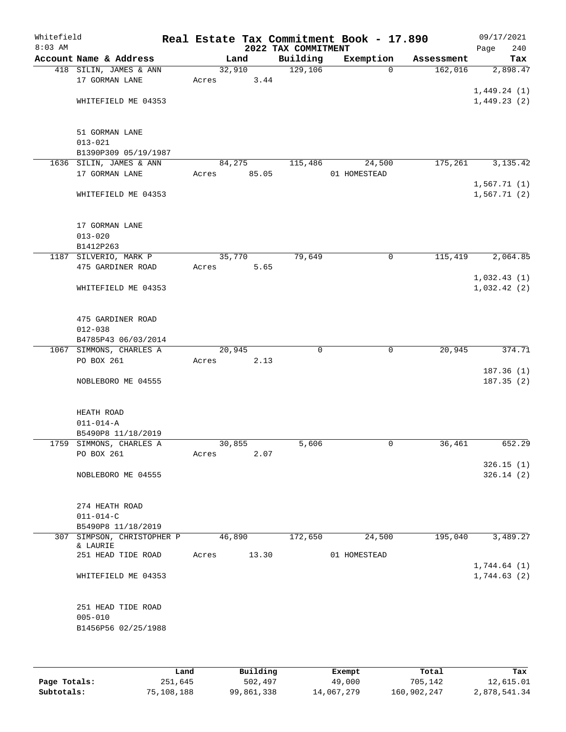| Whitefield<br>$8:03$ AM |                                                          | Real Estate Tax Commitment Book - 17.890 | 2022 TAX COMMITMENT |                        |            | 09/17/2021<br>240<br>Page  |
|-------------------------|----------------------------------------------------------|------------------------------------------|---------------------|------------------------|------------|----------------------------|
|                         | Account Name & Address                                   | Land                                     | Building            | Exemption              | Assessment | Tax                        |
|                         | 418 SILIN, JAMES & ANN<br>17 GORMAN LANE                 | 32,910<br>3.44<br>Acres                  | 129,106             | 0                      | 162,016    | 2,898.47                   |
|                         | WHITEFIELD ME 04353                                      |                                          |                     |                        |            | 1,449.24(1)<br>1,449.23(2) |
|                         | 51 GORMAN LANE<br>$013 - 021$                            |                                          |                     |                        |            |                            |
|                         | B1390P309 05/19/1987                                     |                                          |                     |                        |            |                            |
|                         | 1636 SILIN, JAMES & ANN<br>17 GORMAN LANE                | 84,275<br>85.05<br>Acres                 | 115,486             | 24,500<br>01 HOMESTEAD | 175,261    | 3, 135.42                  |
|                         | WHITEFIELD ME 04353                                      |                                          |                     |                        |            | 1,567.71(1)<br>1,567.71(2) |
|                         | 17 GORMAN LANE<br>$013 - 020$<br>B1412P263               |                                          |                     |                        |            |                            |
|                         | 1187 SILVERIO, MARK P                                    | 35,770                                   | 79,649              | 0                      | 115,419    | 2,064.85                   |
|                         | 475 GARDINER ROAD                                        | Acres<br>5.65                            |                     |                        |            |                            |
|                         | WHITEFIELD ME 04353                                      |                                          |                     |                        |            | 1,032.43(1)<br>1,032.42(2) |
|                         | 475 GARDINER ROAD<br>$012 - 038$<br>B4785P43 06/03/2014  |                                          |                     |                        |            |                            |
|                         | 1067 SIMMONS, CHARLES A                                  | 20,945                                   | $\Omega$            | $\mathbf 0$            | 20,945     | 374.71                     |
|                         | PO BOX 261                                               | 2.13<br>Acres                            |                     |                        |            |                            |
|                         | NOBLEBORO ME 04555                                       |                                          |                     |                        |            | 187.36(1)<br>187.35(2)     |
|                         | HEATH ROAD<br>$011 - 014 - A$                            |                                          |                     |                        |            |                            |
|                         | B5490P8 11/18/2019                                       |                                          |                     |                        |            |                            |
|                         | 1759 SIMMONS, CHARLES A<br>PO BOX 261                    | 30,855<br>2.07<br>Acres                  | 5,606               | 0                      | 36,461     | 652.29                     |
|                         | NOBLEBORO ME 04555                                       |                                          |                     |                        |            | 326.15(1)<br>326.14(2)     |
|                         | 274 HEATH ROAD<br>$011 - 014 - C$                        |                                          |                     |                        |            |                            |
|                         | B5490P8 11/18/2019                                       |                                          |                     |                        |            |                            |
|                         | 307 SIMPSON, CHRISTOPHER P                               | 46,890                                   | 172,650             | 24,500                 | 195,040    | 3,489.27                   |
|                         | & LAURIE<br>251 HEAD TIDE ROAD                           | 13.30<br>Acres                           |                     | 01 HOMESTEAD           |            | 1,744.64(1)                |
|                         | WHITEFIELD ME 04353                                      |                                          |                     |                        |            | 1,744.63(2)                |
|                         | 251 HEAD TIDE ROAD<br>$005 - 010$<br>B1456P56 02/25/1988 |                                          |                     |                        |            |                            |
|                         |                                                          |                                          |                     |                        |            |                            |

|              | Land       | Building   | Exempt     | Total       | Tax          |
|--------------|------------|------------|------------|-------------|--------------|
| Page Totals: | 251,645    | 502,497    | 49,000     | 705,142     | 12,615.01    |
| Subtotals:   | 75,108,188 | 99,861,338 | 14,067,279 | 160,902,247 | 2,878,541.34 |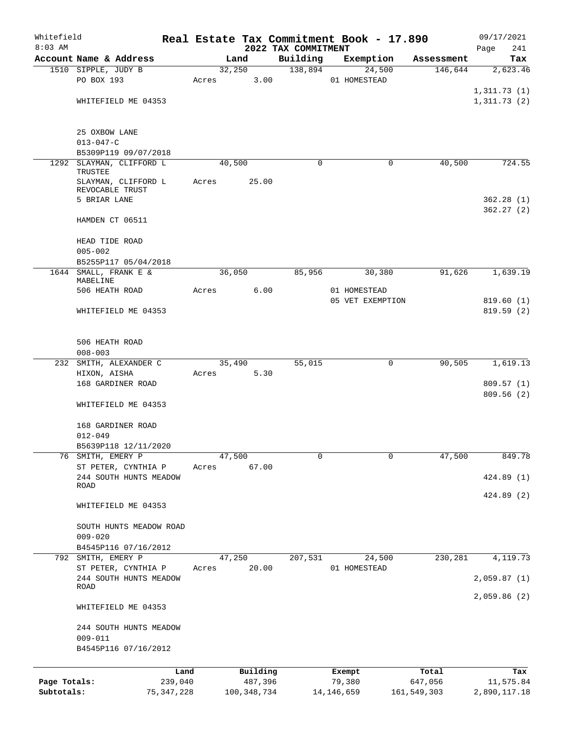| Whitefield   |                                        |              |       |                |             |                     | Real Estate Tax Commitment Book - 17.890 |                       | 09/17/2021               |
|--------------|----------------------------------------|--------------|-------|----------------|-------------|---------------------|------------------------------------------|-----------------------|--------------------------|
| $8:03$ AM    | Account Name & Address                 |              |       |                |             | 2022 TAX COMMITMENT |                                          |                       | 241<br>Page              |
|              | 1510 SIPPLE, JUDY B                    |              |       | Land<br>32,250 |             | Building<br>138,894 | Exemption<br>24,500                      | Assessment<br>146,644 | Tax<br>2,623.46          |
|              | PO BOX 193                             |              | Acres |                | 3.00        |                     | 01 HOMESTEAD                             |                       |                          |
|              |                                        |              |       |                |             |                     |                                          |                       | 1,311.73(1)              |
|              | WHITEFIELD ME 04353                    |              |       |                |             |                     |                                          |                       | 1,311.73(2)              |
|              |                                        |              |       |                |             |                     |                                          |                       |                          |
|              | 25 OXBOW LANE                          |              |       |                |             |                     |                                          |                       |                          |
|              | $013 - 047 - C$                        |              |       |                |             |                     |                                          |                       |                          |
|              | B5309P119 09/07/2018                   |              |       |                |             |                     |                                          |                       |                          |
|              | 1292 SLAYMAN, CLIFFORD L<br>TRUSTEE    |              |       | 40,500         |             | $\Omega$            | $\mathbf 0$                              | 40,500                | 724.55                   |
|              | SLAYMAN, CLIFFORD L                    |              | Acres |                | 25.00       |                     |                                          |                       |                          |
|              | REVOCABLE TRUST                        |              |       |                |             |                     |                                          |                       |                          |
|              | 5 BRIAR LANE                           |              |       |                |             |                     |                                          |                       | 362.28(1)                |
|              | HAMDEN CT 06511                        |              |       |                |             |                     |                                          |                       | 362.27(2)                |
|              | HEAD TIDE ROAD                         |              |       |                |             |                     |                                          |                       |                          |
|              | $005 - 002$                            |              |       |                |             |                     |                                          |                       |                          |
|              | B5255P117 05/04/2018                   |              |       |                |             |                     |                                          |                       |                          |
|              | 1644 SMALL, FRANK E &                  |              |       | 36,050         |             | 85,956              | 30,380                                   | 91,626                | 1,639.19                 |
|              | MABELINE<br>506 HEATH ROAD             |              | Acres |                | 6.00        |                     | 01 HOMESTEAD                             |                       |                          |
|              |                                        |              |       |                |             |                     | 05 VET EXEMPTION                         |                       | 819.60(1)                |
|              | WHITEFIELD ME 04353                    |              |       |                |             |                     |                                          |                       | 819.59(2)                |
|              |                                        |              |       |                |             |                     |                                          |                       |                          |
|              | 506 HEATH ROAD                         |              |       |                |             |                     |                                          |                       |                          |
|              | $008 - 003$                            |              |       |                |             |                     |                                          |                       |                          |
|              | 232 SMITH, ALEXANDER C                 |              |       | 35,490         |             | 55,015              | $\mathbf 0$                              | 90,505                | 1,619.13                 |
|              | HIXON, AISHA                           |              | Acres |                | 5.30        |                     |                                          |                       |                          |
|              | 168 GARDINER ROAD                      |              |       |                |             |                     |                                          |                       | 809.57 (1)<br>809.56 (2) |
|              | WHITEFIELD ME 04353                    |              |       |                |             |                     |                                          |                       |                          |
|              |                                        |              |       |                |             |                     |                                          |                       |                          |
|              | 168 GARDINER ROAD<br>$012 - 049$       |              |       |                |             |                     |                                          |                       |                          |
|              | B5639P118 12/11/2020                   |              |       |                |             |                     |                                          |                       |                          |
|              | 76 SMITH, EMERY P                      |              |       | 47,500         |             | $\mathbf 0$         | $\mathbf 0$                              | 47,500                | 849.78                   |
|              | ST PETER, CYNTHIA P                    |              | Acres |                | 67.00       |                     |                                          |                       |                          |
|              | 244 SOUTH HUNTS MEADOW                 |              |       |                |             |                     |                                          |                       | 424.89 (1)               |
|              | ROAD                                   |              |       |                |             |                     |                                          |                       | 424.89 (2)               |
|              | WHITEFIELD ME 04353                    |              |       |                |             |                     |                                          |                       |                          |
|              |                                        |              |       |                |             |                     |                                          |                       |                          |
|              | SOUTH HUNTS MEADOW ROAD<br>$009 - 020$ |              |       |                |             |                     |                                          |                       |                          |
|              | B4545P116 07/16/2012                   |              |       |                |             |                     |                                          |                       |                          |
|              | 792 SMITH, EMERY P                     |              |       | 47,250         |             | 207,531             | 24,500                                   | 230,281               | 4, 119.73                |
|              | ST PETER, CYNTHIA P                    |              | Acres |                | 20.00       |                     | 01 HOMESTEAD                             |                       |                          |
|              | 244 SOUTH HUNTS MEADOW<br>ROAD         |              |       |                |             |                     |                                          |                       | 2,059.87(1)              |
|              |                                        |              |       |                |             |                     |                                          |                       | 2,059.86(2)              |
|              | WHITEFIELD ME 04353                    |              |       |                |             |                     |                                          |                       |                          |
|              | 244 SOUTH HUNTS MEADOW                 |              |       |                |             |                     |                                          |                       |                          |
|              | $009 - 011$                            |              |       |                |             |                     |                                          |                       |                          |
|              | B4545P116 07/16/2012                   |              |       |                |             |                     |                                          |                       |                          |
|              |                                        | Land         |       |                | Building    |                     | Exempt                                   | Total                 | Tax                      |
| Page Totals: |                                        | 239,040      |       |                | 487,396     |                     | 79,380                                   | 647,056               | 11,575.84                |
| Subtotals:   |                                        | 75, 347, 228 |       |                | 100,348,734 |                     | 14, 146, 659                             | 161,549,303           | 2,890,117.18             |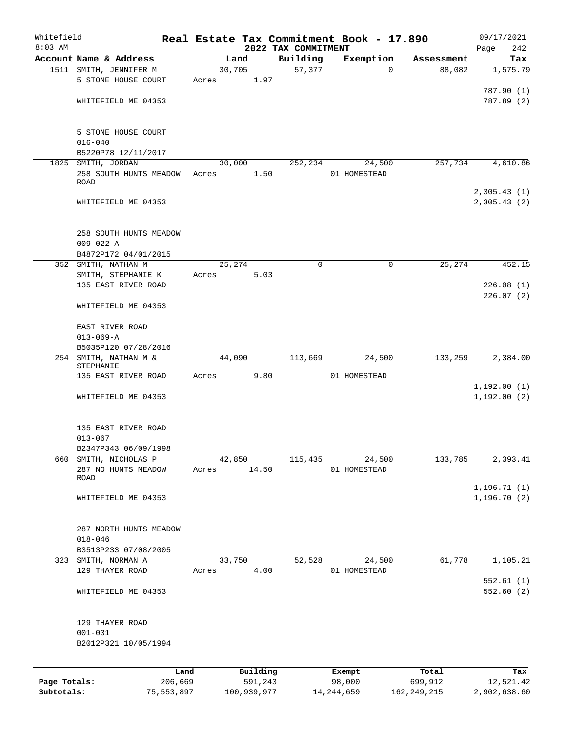| Whitefield<br>$8:03$ AM |                                           |         |        |          | 2022 TAX COMMITMENT | Real Estate Tax Commitment Book - 17.890 |            | 09/17/2021<br>242<br>Page |
|-------------------------|-------------------------------------------|---------|--------|----------|---------------------|------------------------------------------|------------|---------------------------|
|                         | Account Name & Address                    |         | Land   |          | Building            | Exemption                                | Assessment | Tax                       |
|                         | 1511 SMITH, JENNIFER M                    |         | 30,705 |          | 57,377              | $\Omega$                                 | 88,082     | 1,575.79                  |
|                         | 5 STONE HOUSE COURT                       | Acres   |        | 1.97     |                     |                                          |            |                           |
|                         |                                           |         |        |          |                     |                                          |            | 787.90 (1)                |
|                         | WHITEFIELD ME 04353                       |         |        |          |                     |                                          |            | 787.89 (2)                |
|                         |                                           |         |        |          |                     |                                          |            |                           |
|                         |                                           |         |        |          |                     |                                          |            |                           |
|                         | 5 STONE HOUSE COURT<br>$016 - 040$        |         |        |          |                     |                                          |            |                           |
|                         | B5220P78 12/11/2017                       |         |        |          |                     |                                          |            |                           |
|                         | 1825 SMITH, JORDAN                        |         | 30,000 |          | 252,234             | 24,500                                   | 257,734    | 4,610.86                  |
|                         | 258 SOUTH HUNTS MEADOW                    | Acres   |        | 1.50     |                     | 01 HOMESTEAD                             |            |                           |
|                         | ROAD                                      |         |        |          |                     |                                          |            |                           |
|                         |                                           |         |        |          |                     |                                          |            | 2,305.43(1)               |
|                         | WHITEFIELD ME 04353                       |         |        |          |                     |                                          |            | 2,305.43 (2)              |
|                         |                                           |         |        |          |                     |                                          |            |                           |
|                         |                                           |         |        |          |                     |                                          |            |                           |
|                         | 258 SOUTH HUNTS MEADOW<br>$009 - 022 - A$ |         |        |          |                     |                                          |            |                           |
|                         | B4872P172 04/01/2015                      |         |        |          |                     |                                          |            |                           |
|                         | 352 SMITH, NATHAN M                       |         | 25,274 |          | $\mathbf 0$         | $\mathbf 0$                              | 25,274     | 452.15                    |
|                         | SMITH, STEPHANIE K                        | Acres   |        | 5.03     |                     |                                          |            |                           |
|                         | 135 EAST RIVER ROAD                       |         |        |          |                     |                                          |            | 226.08(1)                 |
|                         |                                           |         |        |          |                     |                                          |            | 226.07(2)                 |
|                         | WHITEFIELD ME 04353                       |         |        |          |                     |                                          |            |                           |
|                         |                                           |         |        |          |                     |                                          |            |                           |
|                         | EAST RIVER ROAD                           |         |        |          |                     |                                          |            |                           |
|                         | $013 - 069 - A$                           |         |        |          |                     |                                          |            |                           |
| 254                     | B5035P120 07/28/2016<br>SMITH, NATHAN M & |         | 44,090 |          | 113,669             | 24,500                                   | 133,259    | 2,384.00                  |
|                         | STEPHANIE                                 |         |        |          |                     |                                          |            |                           |
|                         | 135 EAST RIVER ROAD                       | Acres   |        | 9.80     |                     | 01 HOMESTEAD                             |            |                           |
|                         |                                           |         |        |          |                     |                                          |            | 1,192.00(1)               |
|                         | WHITEFIELD ME 04353                       |         |        |          |                     |                                          |            | 1,192.00(2)               |
|                         |                                           |         |        |          |                     |                                          |            |                           |
|                         | 135 EAST RIVER ROAD                       |         |        |          |                     |                                          |            |                           |
|                         | $013 - 067$                               |         |        |          |                     |                                          |            |                           |
|                         | B2347P343 06/09/1998                      |         |        |          |                     |                                          |            |                           |
|                         | 660 SMITH, NICHOLAS P                     |         | 42,850 |          | 115,435             | 24,500                                   | 133,785    | 2,393.41                  |
|                         | 287 NO HUNTS MEADOW                       |         | Acres  | 14.50    |                     | 01 HOMESTEAD                             |            |                           |
|                         | ROAD                                      |         |        |          |                     |                                          |            |                           |
|                         |                                           |         |        |          |                     |                                          |            | 1,196.71(1)               |
|                         | WHITEFIELD ME 04353                       |         |        |          |                     |                                          |            | 1, 196.70(2)              |
|                         |                                           |         |        |          |                     |                                          |            |                           |
|                         | 287 NORTH HUNTS MEADOW                    |         |        |          |                     |                                          |            |                           |
|                         | $018 - 046$                               |         |        |          |                     |                                          |            |                           |
|                         | B3513P233 07/08/2005                      |         |        |          |                     |                                          |            |                           |
|                         | 323 SMITH, NORMAN A                       |         | 33,750 |          | 52,528              | 24,500                                   | 61,778     | 1,105.21                  |
|                         | 129 THAYER ROAD                           | Acres   |        | 4.00     |                     | 01 HOMESTEAD                             |            |                           |
|                         |                                           |         |        |          |                     |                                          |            | 552.61(1)                 |
|                         | WHITEFIELD ME 04353                       |         |        |          |                     |                                          |            | 552.60(2)                 |
|                         |                                           |         |        |          |                     |                                          |            |                           |
|                         | 129 THAYER ROAD                           |         |        |          |                     |                                          |            |                           |
|                         | $001 - 031$                               |         |        |          |                     |                                          |            |                           |
|                         | B2012P321 10/05/1994                      |         |        |          |                     |                                          |            |                           |
|                         |                                           |         |        |          |                     |                                          |            |                           |
|                         |                                           |         |        |          |                     |                                          |            |                           |
|                         |                                           | Land    |        | Building |                     | Exempt                                   | Total      | Tax                       |
| Page Totals:            |                                           | 206,669 |        | 591,243  |                     | 98,000                                   | 699,912    | 12,521.42                 |

**Subtotals:** 75,553,897 100,939,977 14,244,659 162,249,215 2,902,638.60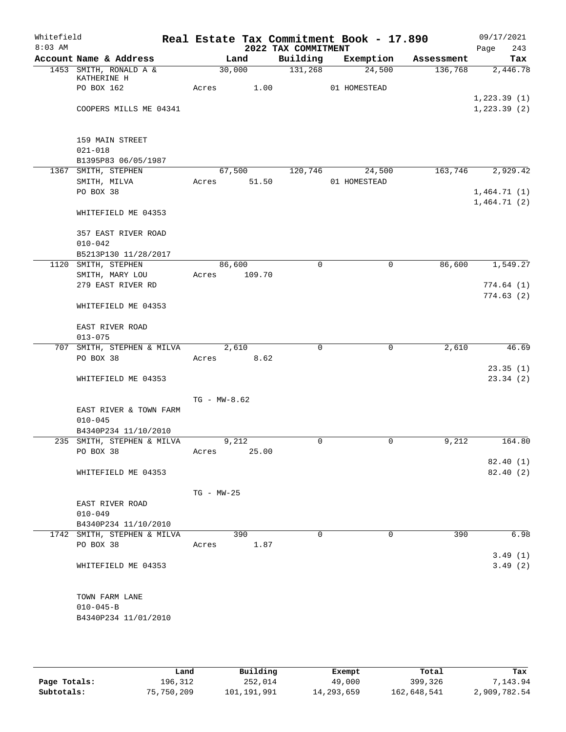| Whitefield<br>$8:03$ AM |                                | Real Estate Tax Commitment Book - 17.890 | 2022 TAX COMMITMENT |              |            | 09/17/2021<br>243<br>Page |
|-------------------------|--------------------------------|------------------------------------------|---------------------|--------------|------------|---------------------------|
|                         | Account Name & Address         | Land                                     | Building            | Exemption    | Assessment | Tax                       |
|                         | 1453 SMITH, RONALD A &         | 30,000                                   | 131,268             | 24,500       | 136,768    | 2,446.78                  |
|                         | KATHERINE H<br>PO BOX 162      | 1.00<br>Acres                            |                     | 01 HOMESTEAD |            |                           |
|                         |                                |                                          |                     |              |            | 1, 223.39(1)              |
|                         | COOPERS MILLS ME 04341         |                                          |                     |              |            | 1, 223.39(2)              |
|                         |                                |                                          |                     |              |            |                           |
|                         |                                |                                          |                     |              |            |                           |
|                         | 159 MAIN STREET<br>$021 - 018$ |                                          |                     |              |            |                           |
|                         | B1395P83 06/05/1987            |                                          |                     |              |            |                           |
|                         | 1367 SMITH, STEPHEN            | 67,500                                   | 120,746             | 24,500       | 163,746    | 2,929.42                  |
|                         | SMITH, MILVA                   | 51.50<br>Acres                           |                     | 01 HOMESTEAD |            |                           |
|                         | PO BOX 38                      |                                          |                     |              |            | 1,464.71(1)               |
|                         |                                |                                          |                     |              |            | 1,464.71(2)               |
|                         | WHITEFIELD ME 04353            |                                          |                     |              |            |                           |
|                         | 357 EAST RIVER ROAD            |                                          |                     |              |            |                           |
|                         | $010 - 042$                    |                                          |                     |              |            |                           |
|                         | B5213P130 11/28/2017           |                                          |                     |              |            |                           |
|                         | 1120 SMITH, STEPHEN            | 86,600                                   | $\mathbf 0$         | 0            | 86,600     | 1,549.27                  |
|                         | SMITH, MARY LOU                | 109.70<br>Acres                          |                     |              |            |                           |
|                         | 279 EAST RIVER RD              |                                          |                     |              |            | 774.64(1)                 |
|                         | WHITEFIELD ME 04353            |                                          |                     |              |            | 774.63(2)                 |
|                         |                                |                                          |                     |              |            |                           |
|                         | EAST RIVER ROAD                |                                          |                     |              |            |                           |
|                         | $013 - 075$                    |                                          |                     |              |            |                           |
|                         | 707 SMITH, STEPHEN & MILVA     | 2,610                                    | 0                   | $\Omega$     | 2,610      | 46.69                     |
|                         | PO BOX 38                      | 8.62<br>Acres                            |                     |              |            |                           |
|                         |                                |                                          |                     |              |            | 23.35(1)                  |
|                         | WHITEFIELD ME 04353            |                                          |                     |              |            | 23.34(2)                  |
|                         |                                | $TG - MW - 8.62$                         |                     |              |            |                           |
|                         | EAST RIVER & TOWN FARM         |                                          |                     |              |            |                           |
|                         | $010 - 045$                    |                                          |                     |              |            |                           |
|                         | B4340P234 11/10/2010           |                                          |                     |              |            |                           |
|                         | 235 SMITH, STEPHEN & MILVA     | 9,212                                    | 0                   | 0            | 9,212      | 164.80                    |
|                         | PO BOX 38                      | 25.00<br>Acres                           |                     |              |            |                           |
|                         |                                |                                          |                     |              |            | 82.40(1)                  |
|                         | WHITEFIELD ME 04353            |                                          |                     |              |            | 82.40(2)                  |
|                         |                                |                                          |                     |              |            |                           |
|                         |                                | $TG - MW - 25$                           |                     |              |            |                           |
|                         | EAST RIVER ROAD<br>$010 - 049$ |                                          |                     |              |            |                           |
|                         | B4340P234 11/10/2010           |                                          |                     |              |            |                           |
|                         | 1742 SMITH, STEPHEN & MILVA    | 390                                      | 0                   | $\Omega$     | 390        | 6.98                      |
|                         | PO BOX 38                      | 1.87<br>Acres                            |                     |              |            |                           |
|                         |                                |                                          |                     |              |            | 3.49(1)                   |
|                         | WHITEFIELD ME 04353            |                                          |                     |              |            | 3.49(2)                   |
|                         |                                |                                          |                     |              |            |                           |
|                         | TOWN FARM LANE                 |                                          |                     |              |            |                           |
|                         | $010 - 045 - B$                |                                          |                     |              |            |                           |
|                         | B4340P234 11/01/2010           |                                          |                     |              |            |                           |
|                         |                                |                                          |                     |              |            |                           |
|                         |                                |                                          |                     |              |            |                           |

|              | Land       | Building    | Exempt     | Total       | Tax          |
|--------------|------------|-------------|------------|-------------|--------------|
| Page Totals: | 196,312    | 252,014     | 49,000     | 399,326     | 7.143.94     |
| Subtotals:   | 75,750,209 | 101,191,991 | 14,293,659 | 162,648,541 | 2,909,782.54 |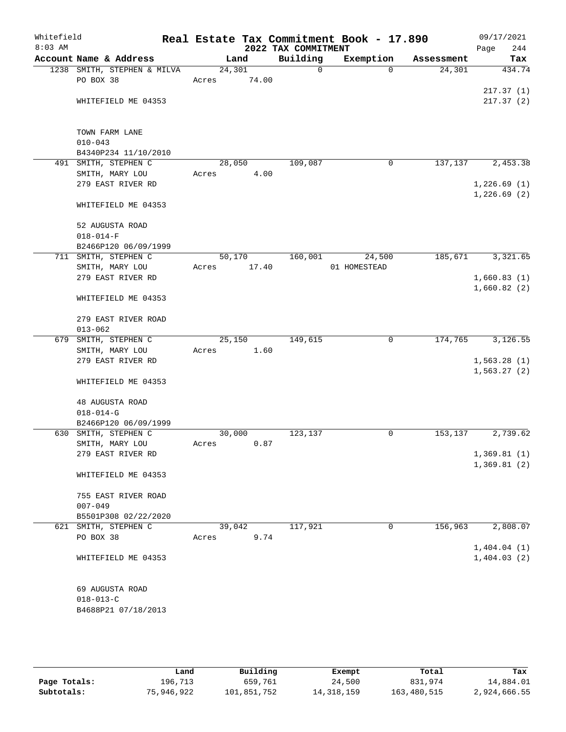| Whitefield<br>$8:03$ AM |                                         |        |       | 2022 TAX COMMITMENT | Real Estate Tax Commitment Book - 17.890 |            | 09/17/2021<br>Page<br>244  |
|-------------------------|-----------------------------------------|--------|-------|---------------------|------------------------------------------|------------|----------------------------|
|                         | Account Name & Address                  |        | Land  | Building            | Exemption                                | Assessment | Tax                        |
|                         | 1238 SMITH, STEPHEN & MILVA             | 24,301 |       | $\mathbf 0$         | $\Omega$                                 | 24,301     | 434.74                     |
|                         | PO BOX 38                               | Acres  | 74.00 |                     |                                          |            |                            |
|                         |                                         |        |       |                     |                                          |            | 217.37(1)                  |
|                         | WHITEFIELD ME 04353                     |        |       |                     |                                          |            | 217.37(2)                  |
|                         | TOWN FARM LANE                          |        |       |                     |                                          |            |                            |
|                         | $010 - 043$                             |        |       |                     |                                          |            |                            |
|                         | B4340P234 11/10/2010                    |        |       |                     |                                          |            |                            |
|                         | 491 SMITH, STEPHEN C                    | 28,050 |       | 109,087             | 0                                        | 137,137    | 2,453.38                   |
|                         | SMITH, MARY LOU                         | Acres  | 4.00  |                     |                                          |            |                            |
|                         | 279 EAST RIVER RD                       |        |       |                     |                                          |            | 1,226.69(1)                |
| $018 - 014 - F$         |                                         |        |       |                     |                                          |            | 1,226.69(2)                |
|                         | WHITEFIELD ME 04353                     |        |       |                     |                                          |            |                            |
|                         | 52 AUGUSTA ROAD                         |        |       |                     |                                          |            |                            |
|                         |                                         |        |       |                     |                                          |            |                            |
|                         | B2466P120 06/09/1999                    |        |       |                     |                                          |            |                            |
|                         | 711 SMITH, STEPHEN C<br>SMITH, MARY LOU | 50,170 | 17.40 | 160,001             | 24,500<br>01 HOMESTEAD                   | 185,671    | 3,321.65                   |
|                         | 279 EAST RIVER RD                       | Acres  |       |                     |                                          |            | 1,660.83(1)                |
|                         |                                         |        |       |                     |                                          |            | 1,660.82(2)                |
|                         | WHITEFIELD ME 04353                     |        |       |                     |                                          |            |                            |
|                         | 279 EAST RIVER ROAD                     |        |       |                     |                                          |            |                            |
|                         | $013 - 062$                             |        |       |                     |                                          |            |                            |
|                         | 679 SMITH, STEPHEN C                    | 25,150 |       | 149,615             | 0                                        | 174,765    | 3,126.55                   |
|                         | SMITH, MARY LOU                         | Acres  | 1.60  |                     |                                          |            |                            |
|                         | 279 EAST RIVER RD                       |        |       |                     |                                          |            | 1,563.28(1)                |
|                         |                                         |        |       |                     |                                          |            | 1,563.27(2)                |
|                         | WHITEFIELD ME 04353                     |        |       |                     |                                          |            |                            |
|                         | 48 AUGUSTA ROAD                         |        |       |                     |                                          |            |                            |
|                         | $018 - 014 - G$                         |        |       |                     |                                          |            |                            |
|                         | B2466P120 06/09/1999                    |        |       |                     |                                          |            |                            |
|                         | 630 SMITH, STEPHEN C                    | 30,000 |       | 123,137             | 0                                        | 153,137    | 2,739.62                   |
|                         | SMITH, MARY LOU<br>279 EAST RIVER RD    | Acres  | 0.87  |                     |                                          |            |                            |
|                         |                                         |        |       |                     |                                          |            | 1,369.81(1)<br>1,369.81(2) |
|                         | WHITEFIELD ME 04353                     |        |       |                     |                                          |            |                            |
|                         | 755 EAST RIVER ROAD                     |        |       |                     |                                          |            |                            |
|                         | $007 - 049$                             |        |       |                     |                                          |            |                            |
|                         | B5501P308 02/22/2020                    |        |       |                     |                                          |            |                            |
|                         | 621 SMITH, STEPHEN C                    | 39,042 |       | 117,921             | 0                                        | 156,963    | 2,808.07                   |
|                         | PO BOX 38                               | Acres  | 9.74  |                     |                                          |            |                            |
|                         |                                         |        |       |                     |                                          |            | 1,404.04(1)                |
|                         | WHITEFIELD ME 04353                     |        |       |                     |                                          |            | 1,404.03(2)                |
|                         |                                         |        |       |                     |                                          |            |                            |
|                         | 69 AUGUSTA ROAD<br>$018 - 013 - C$      |        |       |                     |                                          |            |                            |
|                         | B4688P21 07/18/2013                     |        |       |                     |                                          |            |                            |
|                         |                                         |        |       |                     |                                          |            |                            |

|              | Land       | Building    | Exempt       | Total       | Tax          |
|--------------|------------|-------------|--------------|-------------|--------------|
| Page Totals: | 196,713    | 659,761     | 24,500       | 831,974     | 14,884.01    |
| Subtotals:   | 75,946,922 | 101,851,752 | 14, 318, 159 | 163,480,515 | 2,924,666.55 |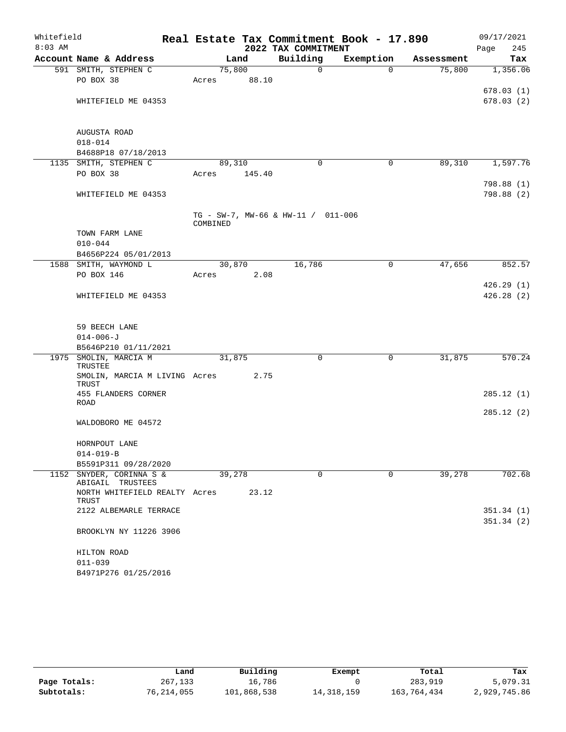| Whitefield<br>$8:03$ AM |                                         |          |        | 2022 TAX COMMITMENT                | Real Estate Tax Commitment Book - 17.890 |            | 09/17/2021<br>245<br>Page |
|-------------------------|-----------------------------------------|----------|--------|------------------------------------|------------------------------------------|------------|---------------------------|
|                         | Account Name & Address                  |          | Land   | Building                           | Exemption                                | Assessment | Tax                       |
|                         | 591 SMITH, STEPHEN C                    | 75,800   |        | $\mathbf 0$                        | $\Omega$                                 | 75,800     | 1,356.06                  |
|                         | PO BOX 38                               | Acres    | 88.10  |                                    |                                          |            |                           |
|                         |                                         |          |        |                                    |                                          |            | 678.03(1)                 |
|                         | WHITEFIELD ME 04353                     |          |        |                                    |                                          |            | 678.03(2)                 |
|                         |                                         |          |        |                                    |                                          |            |                           |
|                         | AUGUSTA ROAD                            |          |        |                                    |                                          |            |                           |
|                         | $018 - 014$                             |          |        |                                    |                                          |            |                           |
|                         | B4688P18 07/18/2013                     |          |        |                                    |                                          |            |                           |
|                         | 1135 SMITH, STEPHEN C                   | 89,310   |        | 0                                  | $\mathbf 0$                              | 89,310     | 1,597.76                  |
|                         | PO BOX 38                               | Acres    | 145.40 |                                    |                                          |            |                           |
|                         |                                         |          |        |                                    |                                          |            | 798.88 (1)                |
|                         | WHITEFIELD ME 04353                     |          |        |                                    |                                          |            | 798.88 (2)                |
|                         |                                         |          |        |                                    |                                          |            |                           |
|                         |                                         | COMBINED |        | TG - SW-7, MW-66 & HW-11 / 011-006 |                                          |            |                           |
|                         | TOWN FARM LANE                          |          |        |                                    |                                          |            |                           |
|                         | $010 - 044$                             |          |        |                                    |                                          |            |                           |
|                         | B4656P224 05/01/2013                    |          |        |                                    |                                          |            |                           |
|                         | 1588 SMITH, WAYMOND L                   | 30,870   |        | 16,786                             | 0                                        | 47,656     | 852.57                    |
|                         | PO BOX 146                              | Acres    | 2.08   |                                    |                                          |            |                           |
|                         |                                         |          |        |                                    |                                          |            | 426.29(1)                 |
|                         | WHITEFIELD ME 04353                     |          |        |                                    |                                          |            | 426.28(2)                 |
|                         |                                         |          |        |                                    |                                          |            |                           |
|                         |                                         |          |        |                                    |                                          |            |                           |
|                         | 59 BEECH LANE                           |          |        |                                    |                                          |            |                           |
|                         | $014 - 006 - J$<br>B5646P210 01/11/2021 |          |        |                                    |                                          |            |                           |
| 1975                    | SMOLIN, MARCIA M                        | 31,875   |        | 0                                  | 0                                        | 31,875     | 570.24                    |
|                         | TRUSTEE                                 |          |        |                                    |                                          |            |                           |
|                         | SMOLIN, MARCIA M LIVING Acres           |          | 2.75   |                                    |                                          |            |                           |
|                         | TRUST                                   |          |        |                                    |                                          |            |                           |
|                         | 455 FLANDERS CORNER<br>ROAD             |          |        |                                    |                                          |            | 285.12(1)                 |
|                         |                                         |          |        |                                    |                                          |            | 285.12(2)                 |
|                         | WALDOBORO ME 04572                      |          |        |                                    |                                          |            |                           |
|                         |                                         |          |        |                                    |                                          |            |                           |
|                         | HORNPOUT LANE                           |          |        |                                    |                                          |            |                           |
|                         | $014 - 019 - B$                         |          |        |                                    |                                          |            |                           |
|                         | B5591P311 09/28/2020                    |          |        |                                    |                                          |            |                           |
|                         | 1152 SNYDER, CORINNA S &                | 39,278   |        | 0                                  | 0                                        | 39,278     | 702.68                    |
|                         | ABIGAIL TRUSTEES                        |          |        |                                    |                                          |            |                           |
|                         | NORTH WHITEFIELD REALTY Acres<br>TRUST  |          | 23.12  |                                    |                                          |            |                           |
|                         | 2122 ALBEMARLE TERRACE                  |          |        |                                    |                                          |            | 351.34(1)                 |
|                         |                                         |          |        |                                    |                                          |            | 351.34(2)                 |
|                         | BROOKLYN NY 11226 3906                  |          |        |                                    |                                          |            |                           |
|                         | HILTON ROAD                             |          |        |                                    |                                          |            |                           |
|                         | $011 - 039$                             |          |        |                                    |                                          |            |                           |
|                         | B4971P276 01/25/2016                    |          |        |                                    |                                          |            |                           |
|                         |                                         |          |        |                                    |                                          |            |                           |

|              | Land       | Building    | Exempt       | Total       | Tax          |
|--------------|------------|-------------|--------------|-------------|--------------|
| Page Totals: | 267,133    | 16,786      |              | 283,919     | 5,079.31     |
|              |            |             |              |             |              |
| Subtotals:   | 76,214,055 | 101,868,538 | 14, 318, 159 | 163,764,434 | 2,929,745.86 |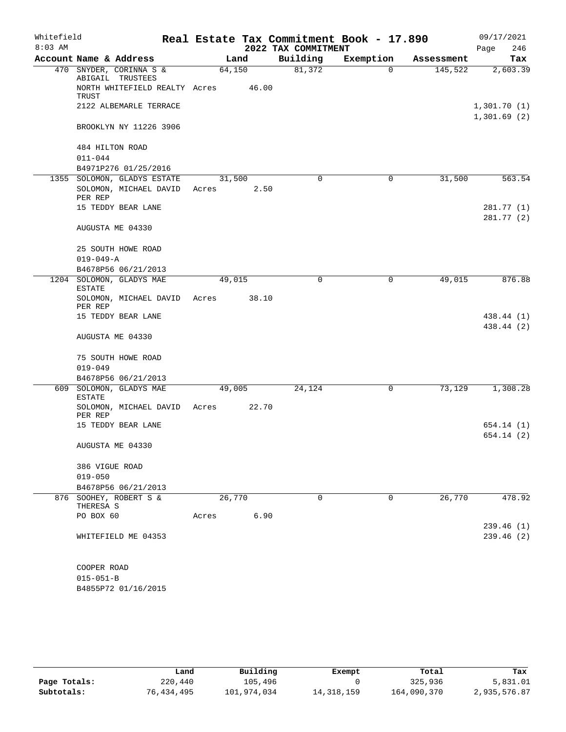| Whitefield<br>$8:03$ AM |                        |                               |        |       | 2022 TAX COMMITMENT | Real Estate Tax Commitment Book - 17.890 |            | 09/17/2021<br>246<br>Page  |
|-------------------------|------------------------|-------------------------------|--------|-------|---------------------|------------------------------------------|------------|----------------------------|
|                         | Account Name & Address |                               |        | Land  | Building            | Exemption                                | Assessment | Tax                        |
|                         |                        | 470 SNYDER, CORINNA S &       | 64,150 |       | 81,372              | 0                                        | 145,522    | 2,603.39                   |
|                         | ABIGAIL TRUSTEES       | NORTH WHITEFIELD REALTY Acres |        | 46.00 |                     |                                          |            |                            |
|                         | TRUST                  |                               |        |       |                     |                                          |            |                            |
|                         |                        | 2122 ALBEMARLE TERRACE        |        |       |                     |                                          |            | 1,301.70(1)<br>1,301.69(2) |
|                         |                        | BROOKLYN NY 11226 3906        |        |       |                     |                                          |            |                            |
|                         | 484 HILTON ROAD        |                               |        |       |                     |                                          |            |                            |
|                         | $011 - 044$            |                               |        |       |                     |                                          |            |                            |
|                         |                        | B4971P276 01/25/2016          |        |       |                     |                                          |            |                            |
|                         |                        | 1355 SOLOMON, GLADYS ESTATE   | 31,500 |       | $\mathbf 0$         | 0                                        | 31,500     | 563.54                     |
|                         | PER REP                | SOLOMON, MICHAEL DAVID        | Acres  | 2.50  |                     |                                          |            |                            |
|                         |                        | 15 TEDDY BEAR LANE            |        |       |                     |                                          |            | 281.77 (1)                 |
|                         |                        |                               |        |       |                     |                                          |            | 281.77 (2)                 |
|                         | AUGUSTA ME 04330       |                               |        |       |                     |                                          |            |                            |
|                         |                        | 25 SOUTH HOWE ROAD            |        |       |                     |                                          |            |                            |
|                         | $019 - 049 - A$        |                               |        |       |                     |                                          |            |                            |
|                         |                        | B4678P56 06/21/2013           |        |       |                     |                                          |            |                            |
|                         | <b>ESTATE</b>          | 1204 SOLOMON, GLADYS MAE      | 49,015 |       | $\mathbf 0$         | 0                                        | 49,015     | 876.88                     |
|                         | PER REP                | SOLOMON, MICHAEL DAVID Acres  |        | 38.10 |                     |                                          |            |                            |
|                         |                        | 15 TEDDY BEAR LANE            |        |       |                     |                                          |            | 438.44 (1)                 |
|                         |                        |                               |        |       |                     |                                          |            | 438.44 (2)                 |
|                         | AUGUSTA ME 04330       |                               |        |       |                     |                                          |            |                            |
|                         |                        | 75 SOUTH HOWE ROAD            |        |       |                     |                                          |            |                            |
|                         | $019 - 049$            |                               |        |       |                     |                                          |            |                            |
|                         |                        | B4678P56 06/21/2013           |        |       |                     |                                          |            |                            |
|                         | <b>ESTATE</b>          | 609 SOLOMON, GLADYS MAE       | 49,005 |       | 24,124              | 0                                        | 73,129     | 1,308.28                   |
|                         | PER REP                | SOLOMON, MICHAEL DAVID Acres  |        | 22.70 |                     |                                          |            |                            |
|                         |                        | 15 TEDDY BEAR LANE            |        |       |                     |                                          |            | 654.14 (1)                 |
|                         |                        |                               |        |       |                     |                                          |            | 654.14 (2)                 |
|                         | AUGUSTA ME 04330       |                               |        |       |                     |                                          |            |                            |
|                         | 386 VIGUE ROAD         |                               |        |       |                     |                                          |            |                            |
|                         | $019 - 050$            |                               |        |       |                     |                                          |            |                            |
|                         |                        | B4678P56 06/21/2013           |        |       |                     |                                          |            |                            |
|                         | THERESA S              | 876 SOOHEY, ROBERT S &        | 26,770 |       | 0                   | 0                                        | 26,770     | 478.92                     |
|                         | PO BOX 60              |                               | Acres  | 6.90  |                     |                                          |            |                            |
|                         |                        |                               |        |       |                     |                                          |            | 239.46(1)                  |
|                         |                        | WHITEFIELD ME 04353           |        |       |                     |                                          |            | 239.46(2)                  |
|                         |                        |                               |        |       |                     |                                          |            |                            |
|                         | COOPER ROAD            |                               |        |       |                     |                                          |            |                            |
|                         | $015 - 051 - B$        |                               |        |       |                     |                                          |            |                            |

B4855P72 01/16/2015

|              | Land       | Building    | Exempt     | Total       | Tax          |
|--------------|------------|-------------|------------|-------------|--------------|
| Page Totals: | 220,440    | 105,496     |            | 325,936     | 5,831.01     |
| Subtotals:   | 76,434,495 | 101,974,034 | 14,318,159 | 164,090,370 | 2,935,576.87 |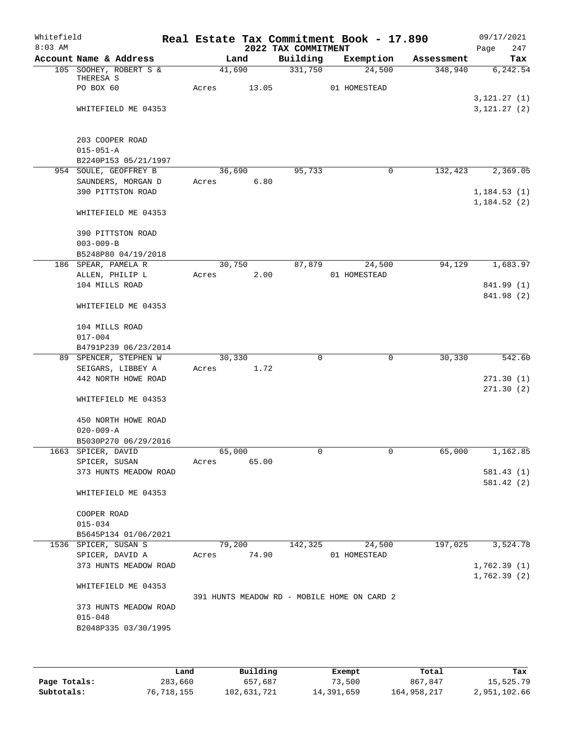| Whitefield<br>$8:03$ AM |                                                              |       |        |       | 2022 TAX COMMITMENT | Real Estate Tax Commitment Book - 17.890    |            | 09/17/2021<br>247<br>Page      |
|-------------------------|--------------------------------------------------------------|-------|--------|-------|---------------------|---------------------------------------------|------------|--------------------------------|
|                         | Account Name & Address                                       |       | Land   |       | Building            | Exemption                                   | Assessment | Tax                            |
|                         | 105 SOOHEY, ROBERT S &<br>THERESA S<br>PO BOX 60             | Acres | 41,690 | 13.05 | 331,750             | 24,500<br>01 HOMESTEAD                      | 348,940    | 6,242.54                       |
|                         | WHITEFIELD ME 04353                                          |       |        |       |                     |                                             |            | 3, 121.27 (1)<br>3, 121.27 (2) |
|                         | 203 COOPER ROAD<br>$015 - 051 - A$<br>B2240P153 05/21/1997   |       |        |       |                     |                                             |            |                                |
|                         | 954 SOULE, GEOFFREY B                                        |       | 36,690 |       | 95,733              | $\mathbf 0$                                 | 132,423    | 2,369.05                       |
|                         | SAUNDERS, MORGAN D<br>390 PITTSTON ROAD                      | Acres |        | 6.80  |                     |                                             |            | 1, 184.53(1)<br>1,184.52(2)    |
|                         | WHITEFIELD ME 04353                                          |       |        |       |                     |                                             |            |                                |
|                         | 390 PITTSTON ROAD<br>$003 - 009 - B$<br>B5248P80 04/19/2018  |       |        |       |                     |                                             |            |                                |
|                         | 186 SPEAR, PAMELA R                                          |       | 30,750 |       | 87,879              | 24,500                                      | 94,129     | 1,683.97                       |
|                         | ALLEN, PHILIP L                                              | Acres |        | 2.00  |                     | 01 HOMESTEAD                                |            |                                |
|                         | 104 MILLS ROAD                                               |       |        |       |                     |                                             |            | 841.99 (1)<br>841.98 (2)       |
|                         | WHITEFIELD ME 04353                                          |       |        |       |                     |                                             |            |                                |
|                         | 104 MILLS ROAD<br>$017 - 004$                                |       |        |       |                     |                                             |            |                                |
|                         | B4791P239 06/23/2014                                         |       |        |       |                     |                                             |            |                                |
|                         | 89 SPENCER, STEPHEN W                                        |       | 30,330 |       | 0                   | $\mathbf 0$                                 | 30,330     | 542.60                         |
|                         | SEIGARS, LIBBEY A                                            | Acres |        | 1.72  |                     |                                             |            |                                |
|                         | 442 NORTH HOWE ROAD                                          |       |        |       |                     |                                             |            | 271.30(1)<br>271.30(2)         |
|                         | WHITEFIELD ME 04353                                          |       |        |       |                     |                                             |            |                                |
|                         | 450 NORTH HOWE ROAD<br>$020 - 009 - A$                       |       |        |       |                     |                                             |            |                                |
|                         | B5030P270 06/29/2016                                         |       |        |       |                     |                                             |            |                                |
|                         | 1663 SPICER, DAVID                                           |       | 65,000 |       | 0                   | $\mathbf 0$                                 | 65,000     | 1,162.85                       |
|                         | SPICER, SUSAN                                                | Acres |        | 65.00 |                     |                                             |            |                                |
|                         | 373 HUNTS MEADOW ROAD                                        |       |        |       |                     |                                             |            | 581.43(1)                      |
|                         | WHITEFIELD ME 04353                                          |       |        |       |                     |                                             |            | 581.42(2)                      |
|                         | COOPER ROAD                                                  |       |        |       |                     |                                             |            |                                |
|                         | $015 - 034$                                                  |       |        |       |                     |                                             |            |                                |
|                         | B5645P134 01/06/2021<br>1536 SPICER, SUSAN S                 |       | 79,200 |       | 142,325             | 24,500                                      | 197,025    | 3,524.78                       |
|                         | SPICER, DAVID A                                              | Acres |        | 74.90 |                     | 01 HOMESTEAD                                |            |                                |
|                         | 373 HUNTS MEADOW ROAD                                        |       |        |       |                     |                                             |            | 1,762.39(1)                    |
|                         | WHITEFIELD ME 04353                                          |       |        |       |                     |                                             |            | 1,762.39(2)                    |
|                         | 373 HUNTS MEADOW ROAD<br>$015 - 048$<br>B2048P335 03/30/1995 |       |        |       |                     | 391 HUNTS MEADOW RD - MOBILE HOME ON CARD 2 |            |                                |

|              | Land       | Building    | Exempt     | Total       | Tax          |
|--------------|------------|-------------|------------|-------------|--------------|
| Page Totals: | 283,660    | 657,687     | 73,500     | 867,847     | 15,525.79    |
| Subtotals:   | 76,718,155 | 102,631,721 | 14,391,659 | 164,958,217 | 2,951,102.66 |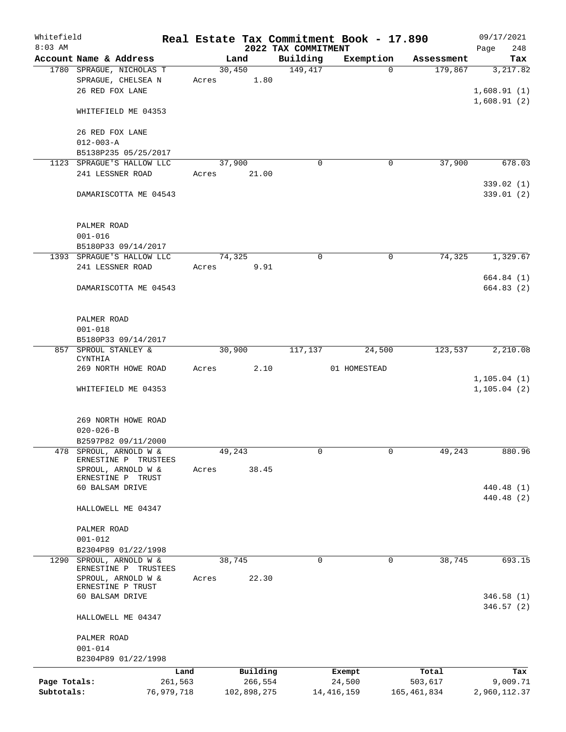| Whitefield   |                                                    |            |                |             |                      | Real Estate Tax Commitment Book - 17.890 |                       | 09/17/2021                 |
|--------------|----------------------------------------------------|------------|----------------|-------------|----------------------|------------------------------------------|-----------------------|----------------------------|
| $8:03$ AM    |                                                    |            |                |             | 2022 TAX COMMITMENT  |                                          |                       | 248<br>Page                |
|              | Account Name & Address<br>1780 SPRAGUE, NICHOLAS T |            | Land<br>30,450 |             | Building<br>149, 417 | Exemption<br>$\Omega$                    | Assessment<br>179,867 | Tax<br>3,217.82            |
|              | SPRAGUE, CHELSEA N<br>26 RED FOX LANE              | Acres      |                | 1.80        |                      |                                          |                       | 1,608.91(1)<br>1,608.91(2) |
|              | WHITEFIELD ME 04353                                |            |                |             |                      |                                          |                       |                            |
|              | 26 RED FOX LANE<br>$012 - 003 - A$                 |            |                |             |                      |                                          |                       |                            |
|              | B5138P235 05/25/2017                               |            |                |             |                      |                                          |                       |                            |
|              | 1123 SPRAGUE'S HALLOW LLC                          |            | 37,900         |             | $\mathbf 0$          | 0                                        | 37,900                | 678.03                     |
|              | 241 LESSNER ROAD                                   | Acres      |                | 21.00       |                      |                                          |                       |                            |
|              | DAMARISCOTTA ME 04543                              |            |                |             |                      |                                          |                       | 339.02(1)<br>339.01 (2)    |
|              | PALMER ROAD                                        |            |                |             |                      |                                          |                       |                            |
|              | $001 - 016$                                        |            |                |             |                      |                                          |                       |                            |
|              | B5180P33 09/14/2017<br>1393 SPRAGUE'S HALLOW LLC   |            | 74,325         |             | 0                    | 0                                        | 74,325                | 1,329.67                   |
|              | 241 LESSNER ROAD                                   | Acres      |                | 9.91        |                      |                                          |                       |                            |
|              |                                                    |            |                |             |                      |                                          |                       | 664.84 (1)                 |
|              | DAMARISCOTTA ME 04543                              |            |                |             |                      |                                          |                       | 664.83(2)                  |
|              | PALMER ROAD<br>$001 - 018$                         |            |                |             |                      |                                          |                       |                            |
|              | B5180P33 09/14/2017                                |            |                |             |                      |                                          |                       |                            |
|              | 857 SPROUL STANLEY &                               |            | 30,900         |             | 117,137              | 24,500                                   | 123,537               | 2,210.08                   |
|              | CYNTHIA                                            |            |                |             |                      |                                          |                       |                            |
|              | 269 NORTH HOWE ROAD                                | Acres      |                | 2.10        |                      | 01 HOMESTEAD                             |                       | 1, 105.04(1)               |
|              | WHITEFIELD ME 04353                                |            |                |             |                      |                                          |                       | 1, 105.04(2)               |
|              | 269 NORTH HOWE ROAD                                |            |                |             |                      |                                          |                       |                            |
|              | $020 - 026 - B$                                    |            |                |             |                      |                                          |                       |                            |
|              | B2597P82 09/11/2000                                |            |                |             |                      |                                          |                       |                            |
|              | 478 SPROUL, ARNOLD W &                             |            | 49,243         |             | 0                    | 0                                        | 49,243                | 880.96                     |
|              | ERNESTINE P TRUSTEES<br>SPROUL, ARNOLD W &         | Acres      |                | 38.45       |                      |                                          |                       |                            |
|              | ERNESTINE P TRUST                                  |            |                |             |                      |                                          |                       |                            |
|              | 60 BALSAM DRIVE                                    |            |                |             |                      |                                          |                       | 440.48 (1)                 |
|              | HALLOWELL ME 04347                                 |            |                |             |                      |                                          |                       | 440.48 (2)                 |
|              | PALMER ROAD                                        |            |                |             |                      |                                          |                       |                            |
|              | $001 - 012$                                        |            |                |             |                      |                                          |                       |                            |
| 1290         | B2304P89 01/22/1998<br>SPROUL, ARNOLD W &          |            | 38,745         |             | 0                    | 0                                        | 38,745                | 693.15                     |
|              | ERNESTINE P TRUSTEES                               |            |                |             |                      |                                          |                       |                            |
|              | SPROUL, ARNOLD W &                                 | Acres      |                | 22.30       |                      |                                          |                       |                            |
|              | ERNESTINE P TRUST<br>60 BALSAM DRIVE               |            |                |             |                      |                                          |                       | 346.58(1)                  |
|              |                                                    |            |                |             |                      |                                          |                       | 346.57(2)                  |
|              | HALLOWELL ME 04347                                 |            |                |             |                      |                                          |                       |                            |
|              | PALMER ROAD                                        |            |                |             |                      |                                          |                       |                            |
|              | $001 - 014$                                        |            |                |             |                      |                                          |                       |                            |
|              | B2304P89 01/22/1998                                |            |                |             |                      |                                          |                       |                            |
|              |                                                    | Land       |                | Building    |                      | Exempt                                   | Total                 | Tax                        |
| Page Totals: |                                                    | 261,563    |                | 266,554     |                      | 24,500                                   | 503,617               | 9,009.71                   |
| Subtotals:   |                                                    | 76,979,718 |                | 102,898,275 |                      | 14, 416, 159                             | 165,461,834           | 2,960,112.37               |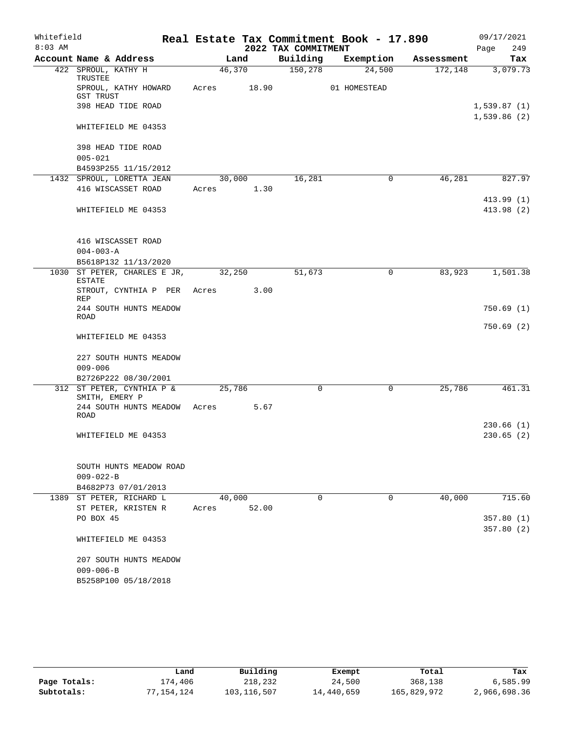| Whitefield |                                               |        |       |                     | Real Estate Tax Commitment Book - 17.890 |            | 09/17/2021                 |
|------------|-----------------------------------------------|--------|-------|---------------------|------------------------------------------|------------|----------------------------|
| $8:03$ AM  |                                               |        |       | 2022 TAX COMMITMENT |                                          |            | 249<br>Page                |
|            | Account Name & Address                        |        | Land  | Building            | Exemption                                | Assessment | Tax                        |
|            | 422 SPROUL, KATHY H<br>TRUSTEE                | 46,370 |       | 150, 278            | 24,500                                   | 172,148    | 3,079.73                   |
|            | SPROUL, KATHY HOWARD<br><b>GST TRUST</b>      | Acres  | 18.90 |                     | 01 HOMESTEAD                             |            |                            |
|            | 398 HEAD TIDE ROAD                            |        |       |                     |                                          |            | 1,539.87(1)<br>1,539.86(2) |
|            | WHITEFIELD ME 04353                           |        |       |                     |                                          |            |                            |
|            | 398 HEAD TIDE ROAD<br>$005 - 021$             |        |       |                     |                                          |            |                            |
|            | B4593P255 11/15/2012                          |        |       |                     |                                          |            |                            |
|            | 1432 SPROUL, LORETTA JEAN                     | 30,000 |       | 16,281              | 0                                        | 46,281     | 827.97                     |
|            | 416 WISCASSET ROAD                            | Acres  | 1.30  |                     |                                          |            |                            |
|            |                                               |        |       |                     |                                          |            | 413.99 (1)                 |
|            | WHITEFIELD ME 04353                           |        |       |                     |                                          |            | 413.98 (2)                 |
|            | 416 WISCASSET ROAD                            |        |       |                     |                                          |            |                            |
|            | $004 - 003 - A$                               |        |       |                     |                                          |            |                            |
|            | B5618P132 11/13/2020                          |        |       |                     |                                          |            |                            |
|            | 1030 ST PETER, CHARLES E JR,<br><b>ESTATE</b> | 32,250 |       | 51,673              | $\mathbf 0$                              | 83,923     | 1,501.38                   |
|            | STROUT, CYNTHIA P PER<br>REP                  | Acres  | 3.00  |                     |                                          |            |                            |
|            | 244 SOUTH HUNTS MEADOW<br><b>ROAD</b>         |        |       |                     |                                          |            | 750.69(1)                  |
|            | WHITEFIELD ME 04353                           |        |       |                     |                                          |            | 750.69(2)                  |
|            | 227 SOUTH HUNTS MEADOW<br>$009 - 006$         |        |       |                     |                                          |            |                            |
|            | B2726P222 08/30/2001                          |        |       |                     |                                          |            |                            |
|            | 312 ST PETER, CYNTHIA P &<br>SMITH, EMERY P   | 25,786 |       | $\mathbf 0$         | $\mathbf 0$                              | 25,786     | 461.31                     |
|            | 244 SOUTH HUNTS MEADOW<br><b>ROAD</b>         | Acres  | 5.67  |                     |                                          |            |                            |
|            |                                               |        |       |                     |                                          |            | 230.66(1)                  |
|            | WHITEFIELD ME 04353                           |        |       |                     |                                          |            | 230.65(2)                  |
|            | SOUTH HUNTS MEADOW ROAD<br>$009 - 022 - B$    |        |       |                     |                                          |            |                            |
|            | B4682P73 07/01/2013                           |        |       |                     |                                          |            |                            |
|            | 1389 ST PETER, RICHARD L                      | 40,000 |       | $\Omega$            | $\Omega$                                 | 40,000     | 715.60                     |
|            | ST PETER, KRISTEN R                           | Acres  | 52.00 |                     |                                          |            |                            |
|            | PO BOX 45                                     |        |       |                     |                                          |            | 357.80(1)                  |
|            |                                               |        |       |                     |                                          |            | 357.80(2)                  |
|            | WHITEFIELD ME 04353                           |        |       |                     |                                          |            |                            |
|            | 207 SOUTH HUNTS MEADOW                        |        |       |                     |                                          |            |                            |
|            | $009 - 006 - B$                               |        |       |                     |                                          |            |                            |
|            | B5258P100 05/18/2018                          |        |       |                     |                                          |            |                            |

|              | Land       | Building    | Exempt     | Total       | Tax          |
|--------------|------------|-------------|------------|-------------|--------------|
| Page Totals: | 174,406    | 218,232     | 24,500     | 368,138     | 6,585.99     |
| Subtotals:   | 77,154,124 | 103,116,507 | 14,440,659 | 165,829,972 | 2,966,698.36 |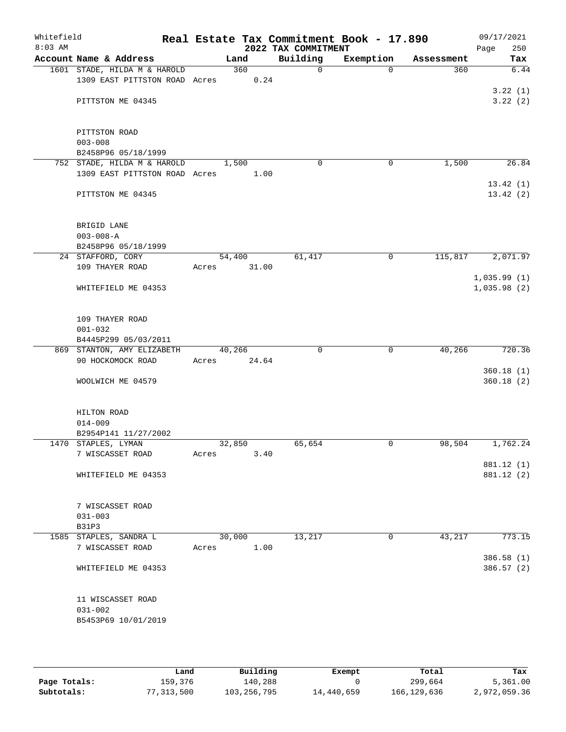| Whitefield<br>$8:03$ AM |                                                 |       |                 | 2022 TAX COMMITMENT | Real Estate Tax Commitment Book - 17.890 |            | 09/17/2021<br>Page<br>250 |
|-------------------------|-------------------------------------------------|-------|-----------------|---------------------|------------------------------------------|------------|---------------------------|
|                         | Account Name & Address                          |       | Land            | Building            | Exemption                                | Assessment | Tax                       |
|                         | 1601 STADE, HILDA M & HAROLD                    |       | 360             | $\mathbf 0$         | $\Omega$                                 | 360        | 6.44                      |
|                         | 1309 EAST PITTSTON ROAD Acres                   |       | 0.24            |                     |                                          |            |                           |
|                         | PITTSTON ME 04345                               |       |                 |                     |                                          |            | 3.22(1)<br>3.22(2)        |
|                         |                                                 |       |                 |                     |                                          |            |                           |
|                         | PITTSTON ROAD                                   |       |                 |                     |                                          |            |                           |
|                         | $003 - 008$                                     |       |                 |                     |                                          |            |                           |
|                         | B2458P96 05/18/1999                             |       |                 |                     |                                          |            |                           |
|                         | 752 STADE, HILDA M & HAROLD                     |       | 1,500           | $\mathbf 0$         | 0                                        | 1,500      | 26.84                     |
|                         | 1309 EAST PITTSTON ROAD Acres                   |       | 1.00            |                     |                                          |            |                           |
|                         | PITTSTON ME 04345                               |       |                 |                     |                                          |            | 13.42(1)<br>13.42(2)      |
|                         |                                                 |       |                 |                     |                                          |            |                           |
|                         | BRIGID LANE<br>$003 - 008 - A$                  |       |                 |                     |                                          |            |                           |
|                         | B2458P96 05/18/1999                             |       |                 |                     |                                          |            |                           |
|                         | 24 STAFFORD, CORY                               |       | 54,400          | 61,417              | 0                                        | 115,817    | 2,071.97                  |
|                         | 109 THAYER ROAD                                 | Acres | 31.00           |                     |                                          |            |                           |
|                         |                                                 |       |                 |                     |                                          |            | 1,035.99(1)               |
|                         | WHITEFIELD ME 04353                             |       |                 |                     |                                          |            | 1,035.98(2)               |
|                         | 109 THAYER ROAD                                 |       |                 |                     |                                          |            |                           |
|                         | $001 - 032$                                     |       |                 |                     |                                          |            |                           |
|                         | B4445P299 05/03/2011                            |       |                 |                     |                                          |            |                           |
|                         | 869 STANTON, AMY ELIZABETH<br>90 HOCKOMOCK ROAD | Acres | 40,266<br>24.64 | $\Omega$            | $\mathbf 0$                              | 40,266     | 720.36                    |
|                         |                                                 |       |                 |                     |                                          |            | 360.18(1)                 |
|                         | WOOLWICH ME 04579                               |       |                 |                     |                                          |            | 360.18(2)                 |
|                         | HILTON ROAD                                     |       |                 |                     |                                          |            |                           |
|                         | $014 - 009$                                     |       |                 |                     |                                          |            |                           |
|                         | B2954P141 11/27/2002                            |       |                 |                     |                                          |            |                           |
|                         | 1470 STAPLES, LYMAN                             |       | 32,850          | 65,654              | $\mathbf 0$                              | 98,504     | 1,762.24                  |
|                         | 7 WISCASSET ROAD                                | Acres | 3.40            |                     |                                          |            |                           |
|                         | WHITEFIELD ME 04353                             |       |                 |                     |                                          |            | 881.12 (1)<br>881.12 (2)  |
|                         |                                                 |       |                 |                     |                                          |            |                           |
|                         | 7 WISCASSET ROAD                                |       |                 |                     |                                          |            |                           |
|                         | $031 - 003$                                     |       |                 |                     |                                          |            |                           |
|                         | B31P3                                           |       |                 |                     |                                          |            |                           |
|                         | 1585 STAPLES, SANDRA L                          |       | 30,000          | 13,217              | $\mathbf{0}$                             | 43,217     | 773.15                    |
|                         | 7 WISCASSET ROAD                                | Acres | 1.00            |                     |                                          |            |                           |
|                         | WHITEFIELD ME 04353                             |       |                 |                     |                                          |            | 386.58 (1)<br>386.57(2)   |
|                         |                                                 |       |                 |                     |                                          |            |                           |
|                         | 11 WISCASSET ROAD                               |       |                 |                     |                                          |            |                           |
|                         | $031 - 002$                                     |       |                 |                     |                                          |            |                           |
|                         | B5453P69 10/01/2019                             |       |                 |                     |                                          |            |                           |
|                         |                                                 |       |                 |                     |                                          |            |                           |

|              | Land       | Building    | Exempt     | Total         | Tax          |
|--------------|------------|-------------|------------|---------------|--------------|
| Page Totals: | 159,376    | 140,288     |            | 299,664       | 5,361.00     |
| Subtotals:   | 77,313,500 | 103,256,795 | 14,440,659 | 166, 129, 636 | 2,972,059.36 |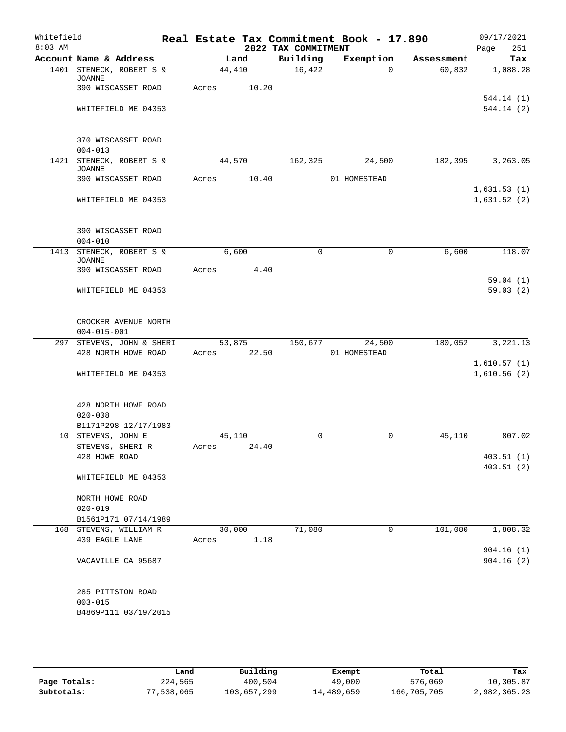| Whitefield<br>$8:03$ AM |                                                            |             |       | 2022 TAX COMMITMENT | Real Estate Tax Commitment Book - 17.890 |            | 09/17/2021<br>251<br>Page  |
|-------------------------|------------------------------------------------------------|-------------|-------|---------------------|------------------------------------------|------------|----------------------------|
|                         | Account Name & Address                                     |             | Land  | Building            | Exemption                                | Assessment | Tax                        |
|                         | 1401 STENECK, ROBERT S &<br><b>JOANNE</b>                  | 44,410      |       | 16,422              | $\Omega$                                 | 60,832     | 1,088.28                   |
|                         | 390 WISCASSET ROAD                                         | Acres       | 10.20 |                     |                                          |            |                            |
|                         | WHITEFIELD ME 04353                                        |             |       |                     |                                          |            | 544.14 (1)<br>544.14 (2)   |
|                         | 370 WISCASSET ROAD<br>$004 - 013$                          |             |       |                     |                                          |            |                            |
|                         | 1421 STENECK, ROBERT S &                                   | 44,570      |       | 162,325             | 24,500                                   | 182,395    | 3, 263.05                  |
|                         | <b>JOANNE</b><br>390 WISCASSET ROAD                        | Acres       | 10.40 |                     | 01 HOMESTEAD                             |            |                            |
|                         | WHITEFIELD ME 04353                                        |             |       |                     |                                          |            | 1,631.53(1)<br>1,631.52(2) |
|                         | 390 WISCASSET ROAD                                         |             |       |                     |                                          |            |                            |
|                         | $004 - 010$                                                |             |       |                     |                                          |            |                            |
|                         | 1413 STENECK, ROBERT S &<br><b>JOANNE</b>                  | 6,600       |       | $\mathbf 0$         | $\mathbf 0$                              | 6,600      | 118.07                     |
|                         | 390 WISCASSET ROAD                                         | Acres       | 4.40  |                     |                                          |            |                            |
|                         | WHITEFIELD ME 04353                                        |             |       |                     |                                          |            | 59.04(1)<br>59.03(2)       |
|                         | CROCKER AVENUE NORTH<br>$004 - 015 - 001$                  |             |       |                     |                                          |            |                            |
|                         | 297 STEVENS, JOHN & SHERI                                  | 53,875      |       | 150,677             | 24,500                                   | 180,052    | 3,221.13                   |
|                         | 428 NORTH HOWE ROAD                                        | Acres       | 22.50 |                     | 01 HOMESTEAD                             |            |                            |
|                         | WHITEFIELD ME 04353                                        |             |       |                     |                                          |            | 1,610.57(1)<br>1,610.56(2) |
|                         | 428 NORTH HOWE ROAD<br>$020 - 008$<br>B1171P298 12/17/1983 |             |       |                     |                                          |            |                            |
|                         | 10 STEVENS, JOHN E                                         | 45,110      |       | $\Omega$            | 0                                        | 45,110     | 807.02                     |
|                         | STEVENS, SHERI R<br>428 HOWE ROAD                          | Acres 24.40 |       |                     |                                          |            | 403.51(1)                  |
|                         | WHITEFIELD ME 04353                                        |             |       |                     |                                          |            | 403.51(2)                  |
|                         | NORTH HOWE ROAD<br>$020 - 019$                             |             |       |                     |                                          |            |                            |
|                         | B1561P171 07/14/1989                                       |             |       |                     |                                          |            |                            |
|                         | 168 STEVENS, WILLIAM R                                     | 30,000      |       | 71,080              | $\mathbf 0$                              | 101,080    | 1,808.32                   |
|                         | 439 EAGLE LANE                                             | Acres       | 1.18  |                     |                                          |            |                            |
|                         | VACAVILLE CA 95687                                         |             |       |                     |                                          |            | 904.16(1)<br>904.16(2)     |
|                         | 285 PITTSTON ROAD<br>$003 - 015$<br>B4869P111 03/19/2015   |             |       |                     |                                          |            |                            |

|              | Land       | Building    | Exempt     | Total       | Tax          |
|--------------|------------|-------------|------------|-------------|--------------|
| Page Totals: | 224,565    | 400,504     | 49,000     | 576,069     | 10,305.87    |
| Subtotals:   | 77,538,065 | 103,657,299 | 14,489,659 | 166,705,705 | 2,982,365.23 |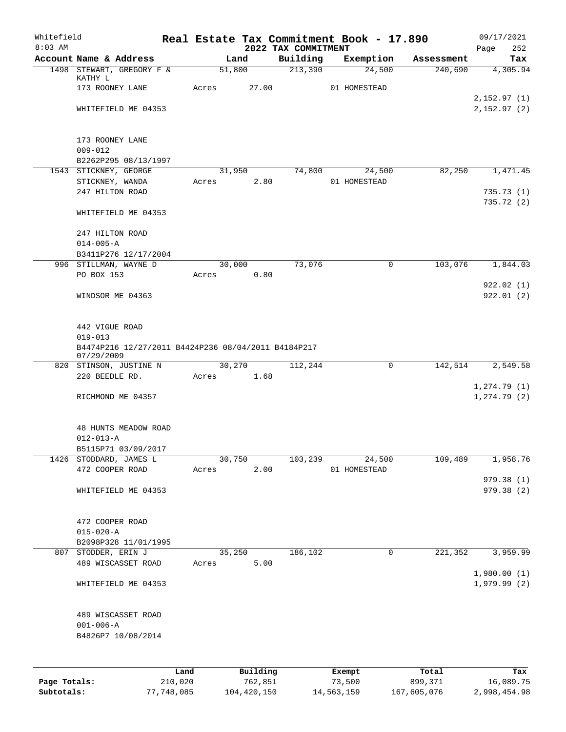| Whitefield<br>$8:03$ AM |                                                                   |            |          |                                 | Real Estate Tax Commitment Book - 17.890 |            | 09/17/2021               |
|-------------------------|-------------------------------------------------------------------|------------|----------|---------------------------------|------------------------------------------|------------|--------------------------|
|                         | Account Name & Address                                            | Land       |          | 2022 TAX COMMITMENT<br>Building | Exemption                                | Assessment | 252<br>Page<br>Tax       |
|                         | 1498 STEWART, GREGORY F &                                         | 51,800     |          | 213,390                         | 24,500                                   | 240,690    | 4,305.94                 |
|                         | KATHY L                                                           |            | 27.00    |                                 | 01 HOMESTEAD                             |            |                          |
|                         | 173 ROONEY LANE                                                   | Acres      |          |                                 |                                          |            | 2,152.97(1)              |
|                         | WHITEFIELD ME 04353                                               |            |          |                                 |                                          |            | 2,152.97(2)              |
|                         |                                                                   |            |          |                                 |                                          |            |                          |
|                         | 173 ROONEY LANE                                                   |            |          |                                 |                                          |            |                          |
|                         | $009 - 012$                                                       |            |          |                                 |                                          |            |                          |
|                         | B2262P295 08/13/1997                                              |            |          |                                 |                                          |            |                          |
|                         | 1543 STICKNEY, GEORGE                                             | 31,950     | 2.80     | 74,800                          | 24,500<br>01 HOMESTEAD                   | 82,250     | 1,471.45                 |
|                         | STICKNEY, WANDA<br>247 HILTON ROAD                                | Acres      |          |                                 |                                          |            | 735.73(1)                |
|                         |                                                                   |            |          |                                 |                                          |            | 735.72(2)                |
|                         | WHITEFIELD ME 04353                                               |            |          |                                 |                                          |            |                          |
|                         | 247 HILTON ROAD                                                   |            |          |                                 |                                          |            |                          |
|                         | $014 - 005 - A$                                                   |            |          |                                 |                                          |            |                          |
|                         | B3411P276 12/17/2004                                              |            |          |                                 |                                          |            |                          |
|                         | 996 STILLMAN, WAYNE D                                             | 30,000     |          | 73,076                          | $\mathbf 0$                              | 103,076    | 1,844.03                 |
|                         | PO BOX 153                                                        | Acres      | 0.80     |                                 |                                          |            |                          |
|                         |                                                                   |            |          |                                 |                                          |            | 922.02(1)                |
|                         | WINDSOR ME 04363                                                  |            |          |                                 |                                          |            | 922.01(2)                |
|                         | 442 VIGUE ROAD                                                    |            |          |                                 |                                          |            |                          |
|                         | $019 - 013$                                                       |            |          |                                 |                                          |            |                          |
|                         | B4474P216 12/27/2011 B4424P236 08/04/2011 B4184P217<br>07/29/2009 |            |          |                                 |                                          |            |                          |
|                         | 820 STINSON, JUSTINE N                                            | 30,270     |          | 112,244                         | $\mathbf 0$                              | 142,514    | 2,549.58                 |
|                         | 220 BEEDLE RD.                                                    | Acres 1.68 |          |                                 |                                          |            |                          |
|                         |                                                                   |            |          |                                 |                                          |            | 1, 274.79(1)             |
|                         | RICHMOND ME 04357                                                 |            |          |                                 |                                          |            | 1, 274.79(2)             |
|                         | <b>48 HUNTS MEADOW ROAD</b>                                       |            |          |                                 |                                          |            |                          |
|                         | $012 - 013 - A$                                                   |            |          |                                 |                                          |            |                          |
|                         | B5115P71 03/09/2017                                               |            |          |                                 |                                          |            |                          |
|                         | 1426 STODDARD, JAMES L                                            | 30,750     |          | 103,239                         | 24,500                                   | 109,489    | 1,958.76                 |
|                         | 472 COOPER ROAD                                                   | Acres      | 2.00     |                                 | 01 HOMESTEAD                             |            |                          |
|                         | WHITEFIELD ME 04353                                               |            |          |                                 |                                          |            | 979.38 (1)<br>979.38 (2) |
|                         |                                                                   |            |          |                                 |                                          |            |                          |
|                         | 472 COOPER ROAD                                                   |            |          |                                 |                                          |            |                          |
|                         | $015 - 020 - A$                                                   |            |          |                                 |                                          |            |                          |
|                         | B2098P328 11/01/1995                                              |            |          |                                 |                                          |            |                          |
|                         | 807 STODDER, ERIN J                                               | 35,250     |          | 186,102                         | 0                                        | 221,352    | 3,959.99                 |
|                         | 489 WISCASSET ROAD                                                | Acres      | 5.00     |                                 |                                          |            | 1,980.00(1)              |
|                         | WHITEFIELD ME 04353                                               |            |          |                                 |                                          |            | 1,979.99(2)              |
|                         |                                                                   |            |          |                                 |                                          |            |                          |
|                         | 489 WISCASSET ROAD                                                |            |          |                                 |                                          |            |                          |
|                         | $001 - 006 - A$                                                   |            |          |                                 |                                          |            |                          |
|                         | B4826P7 10/08/2014                                                |            |          |                                 |                                          |            |                          |
|                         |                                                                   |            |          |                                 |                                          |            |                          |
|                         |                                                                   | Land       | Building |                                 | Exempt                                   | Total      | Tax                      |
| Page Totals:            | 210,020                                                           |            | 762,851  |                                 | 73,500                                   | 899,371    | 16,089.75                |

**Subtotals:** 77,748,085 104,420,150 14,563,159 167,605,076 2,998,454.98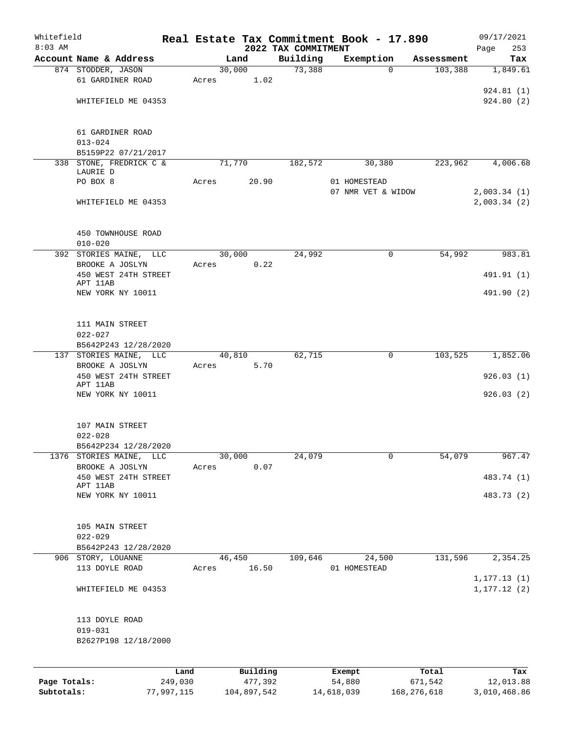| Whitefield |                                                |      |       |          |                                 | Real Estate Tax Commitment Book - 17.890 |            | 09/17/2021         |
|------------|------------------------------------------------|------|-------|----------|---------------------------------|------------------------------------------|------------|--------------------|
| $8:03$ AM  | Account Name & Address                         |      |       | Land     | 2022 TAX COMMITMENT<br>Building | Exemption                                | Assessment | 253<br>Page<br>Tax |
|            | 874 STODDER, JASON                             |      |       | 30,000   | 73,388                          | $\mathbf 0$                              | 103,388    | 1,849.61           |
|            | 61 GARDINER ROAD                               |      | Acres | 1.02     |                                 |                                          |            |                    |
|            |                                                |      |       |          |                                 |                                          |            | 924.81(1)          |
|            | WHITEFIELD ME 04353                            |      |       |          |                                 |                                          |            | 924.80(2)          |
|            |                                                |      |       |          |                                 |                                          |            |                    |
|            |                                                |      |       |          |                                 |                                          |            |                    |
|            | 61 GARDINER ROAD                               |      |       |          |                                 |                                          |            |                    |
|            | $013 - 024$                                    |      |       |          |                                 |                                          |            |                    |
|            | B5159P22 07/21/2017                            |      |       |          |                                 |                                          |            |                    |
|            | 338 STONE, FREDRICK C &<br>LAURIE D            |      |       | 71,770   | 182,572                         | 30,380                                   | 223,962    | 4,006.68           |
|            | PO BOX 8                                       |      | Acres | 20.90    |                                 | 01 HOMESTEAD                             |            |                    |
|            |                                                |      |       |          |                                 | 07 NMR VET & WIDOW                       |            | 2,003.34(1)        |
|            | WHITEFIELD ME 04353                            |      |       |          |                                 |                                          |            | 2,003.34(2)        |
|            |                                                |      |       |          |                                 |                                          |            |                    |
|            |                                                |      |       |          |                                 |                                          |            |                    |
|            | 450 TOWNHOUSE ROAD                             |      |       |          |                                 |                                          |            |                    |
|            | $010 - 020$                                    |      |       | 30,000   | 24,992                          |                                          | 54,992     |                    |
|            | 392 STORIES MAINE,<br>LLC<br>BROOKE A JOSLYN   |      | Acres | 0.22     |                                 | 0                                        |            | 983.81             |
|            | 450 WEST 24TH STREET                           |      |       |          |                                 |                                          |            | 491.91 (1)         |
|            | APT 11AB                                       |      |       |          |                                 |                                          |            |                    |
|            | NEW YORK NY 10011                              |      |       |          |                                 |                                          |            | 491.90 (2)         |
|            |                                                |      |       |          |                                 |                                          |            |                    |
|            |                                                |      |       |          |                                 |                                          |            |                    |
|            | 111 MAIN STREET                                |      |       |          |                                 |                                          |            |                    |
|            | $022 - 027$                                    |      |       |          |                                 |                                          |            |                    |
|            | B5642P243 12/28/2020<br>137 STORIES MAINE, LLC |      |       | 40,810   | 62,715                          | 0                                        | 103,525    | 1,852.06           |
|            | BROOKE A JOSLYN                                |      | Acres | 5.70     |                                 |                                          |            |                    |
|            | 450 WEST 24TH STREET                           |      |       |          |                                 |                                          |            | 926.03(1)          |
|            | APT 11AB                                       |      |       |          |                                 |                                          |            |                    |
|            | NEW YORK NY 10011                              |      |       |          |                                 |                                          |            | 926.03(2)          |
|            |                                                |      |       |          |                                 |                                          |            |                    |
|            | 107 MAIN STREET                                |      |       |          |                                 |                                          |            |                    |
|            | $022 - 028$                                    |      |       |          |                                 |                                          |            |                    |
|            | B5642P234 12/28/2020                           |      |       |          |                                 |                                          |            |                    |
|            | 1376 STORIES MAINE, LLC                        |      |       | 30,000   | 24,079                          | 0                                        | 54,079     | 967.47             |
|            | BROOKE A JOSLYN                                |      | Acres | 0.07     |                                 |                                          |            |                    |
|            | 450 WEST 24TH STREET                           |      |       |          |                                 |                                          |            | 483.74 (1)         |
|            | APT 11AB                                       |      |       |          |                                 |                                          |            |                    |
|            | NEW YORK NY 10011                              |      |       |          |                                 |                                          |            | 483.73 (2)         |
|            |                                                |      |       |          |                                 |                                          |            |                    |
|            | 105 MAIN STREET                                |      |       |          |                                 |                                          |            |                    |
|            | $022 - 029$                                    |      |       |          |                                 |                                          |            |                    |
|            | B5642P243 12/28/2020                           |      |       |          |                                 |                                          |            |                    |
|            | 906 STORY, LOUANNE                             |      |       | 46,450   | 109,646                         | 24,500                                   | 131,596    | 2,354.25           |
|            | 113 DOYLE ROAD                                 |      | Acres | 16.50    |                                 | 01 HOMESTEAD                             |            |                    |
|            |                                                |      |       |          |                                 |                                          |            | 1, 177.13(1)       |
|            | WHITEFIELD ME 04353                            |      |       |          |                                 |                                          |            | 1, 177.12(2)       |
|            |                                                |      |       |          |                                 |                                          |            |                    |
|            | 113 DOYLE ROAD                                 |      |       |          |                                 |                                          |            |                    |
|            | $019 - 031$                                    |      |       |          |                                 |                                          |            |                    |
|            | B2627P198 12/18/2000                           |      |       |          |                                 |                                          |            |                    |
|            |                                                |      |       |          |                                 |                                          |            |                    |
|            |                                                |      |       |          |                                 |                                          |            |                    |
|            |                                                | Land |       | Building |                                 | Exempt                                   | Total      | Tax                |

| Page Totals: | 249,030    | 477,392     | 54,880     | 671,542     | 12,013.88    |
|--------------|------------|-------------|------------|-------------|--------------|
| Subtotals:   | 77,997,115 | 104,897,542 | 14,618,039 | 168,276,618 | 3,010,468.86 |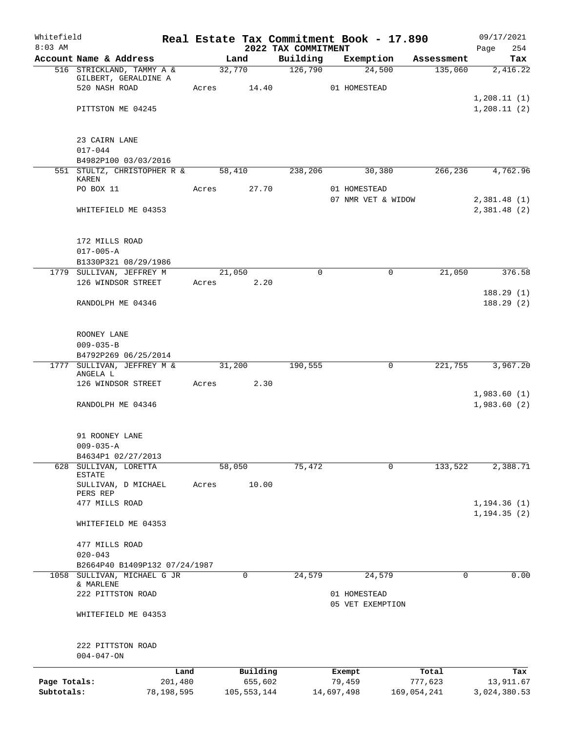| Whitefield<br>$8:03$ AM    |                                                                    |                       |                          | 2022 TAX COMMITMENT |                      | Real Estate Tax Commitment Book - 17.890 |            | 09/17/2021<br>254<br>Page   |
|----------------------------|--------------------------------------------------------------------|-----------------------|--------------------------|---------------------|----------------------|------------------------------------------|------------|-----------------------------|
|                            | Account Name & Address                                             |                       | Land                     | Building            |                      | Exemption                                | Assessment | Tax                         |
|                            | 516 STRICKLAND, TAMMY A &<br>GILBERT, GERALDINE A<br>520 NASH ROAD | Acres                 | 32,770                   | 126,790<br>14.40    |                      | 24,500<br>01 HOMESTEAD                   | 135,060    | 2,416.22                    |
|                            | PITTSTON ME 04245                                                  |                       |                          |                     |                      |                                          |            | 1, 208.11(1)<br>1,208.11(2) |
|                            | 23 CAIRN LANE<br>$017 - 044$                                       |                       |                          |                     |                      |                                          |            |                             |
|                            | B4982P100 03/03/2016                                               |                       |                          |                     |                      |                                          |            |                             |
|                            | 551 STULTZ, CHRISTOPHER R & 58,410<br>KAREN                        |                       |                          | 238,206             |                      | 30,380                                   | 266,236    | 4,762.96                    |
|                            | PO BOX 11                                                          | Acres                 | 27.70                    |                     |                      | 01 HOMESTEAD<br>07 NMR VET & WIDOW       |            | 2,381.48(1)                 |
|                            | WHITEFIELD ME 04353                                                |                       |                          |                     |                      |                                          |            | 2,381.48 (2)                |
|                            | 172 MILLS ROAD<br>$017 - 005 - A$                                  |                       |                          |                     |                      |                                          |            |                             |
|                            | B1330P321 08/29/1986                                               |                       |                          |                     |                      |                                          |            |                             |
|                            | 1779 SULLIVAN, JEFFREY M                                           |                       | 21,050                   | $\Omega$            |                      | 0                                        | 21,050     | 376.58                      |
|                            | 126 WINDSOR STREET                                                 |                       | Acres 2.20               |                     |                      |                                          |            | 188.29(1)<br>188.29(2)      |
|                            | RANDOLPH ME 04346                                                  |                       |                          |                     |                      |                                          |            |                             |
|                            | ROONEY LANE<br>$009 - 035 - B$                                     |                       |                          |                     |                      |                                          |            |                             |
|                            | B4792P269 06/25/2014<br>1777 SULLIVAN, JEFFREY M &                 | 31,200                |                          | 190,555             |                      | $\mathbf 0$                              | 221,755    | 3,967.20                    |
|                            | ANGELA L<br>126 WINDSOR STREET                                     | Acres                 |                          | 2.30                |                      |                                          |            |                             |
|                            | RANDOLPH ME 04346                                                  |                       |                          |                     |                      |                                          |            | 1,983.60(1)<br>1,983.60(2)  |
|                            | 91 ROONEY LANE                                                     |                       |                          |                     |                      |                                          |            |                             |
|                            | $009 - 035 - A$<br>B4634P1 02/27/2013                              |                       |                          |                     |                      |                                          |            |                             |
|                            | 628 SULLIVAN, LORETTA<br><b>ESTATE</b>                             |                       | 58,050                   | 75,472              |                      | 0                                        | 133,522    | 2,388.71                    |
|                            | SULLIVAN, D MICHAEL<br>PERS REP<br>477 MILLS ROAD                  | Acres                 | 10.00                    |                     |                      |                                          |            | 1, 194.36(1)                |
|                            | WHITEFIELD ME 04353                                                |                       |                          |                     |                      |                                          |            | 1, 194.35(2)                |
|                            | 477 MILLS ROAD<br>$020 - 043$                                      |                       |                          |                     |                      |                                          |            |                             |
|                            | B2664P40 B1409P132 07/24/1987                                      |                       |                          |                     |                      |                                          |            |                             |
| 1058                       | SULLIVAN, MICHAEL G JR<br>& MARLENE                                |                       | 0                        | 24,579              |                      | 24,579                                   | 0          | 0.00                        |
|                            | 222 PITTSTON ROAD                                                  |                       |                          |                     |                      | 01 HOMESTEAD<br>05 VET EXEMPTION         |            |                             |
|                            | WHITEFIELD ME 04353                                                |                       |                          |                     |                      |                                          |            |                             |
|                            | 222 PITTSTON ROAD<br>$004 - 047 - ON$                              |                       |                          |                     |                      |                                          |            |                             |
|                            |                                                                    | Land                  | Building                 |                     | Exempt               |                                          | Total      | Tax                         |
| Page Totals:<br>Subtotals: |                                                                    | 201,480<br>78,198,595 | 655,602<br>105, 553, 144 |                     | 79,459<br>14,697,498 | 169,054,241                              | 777,623    | 13,911.67<br>3,024,380.53   |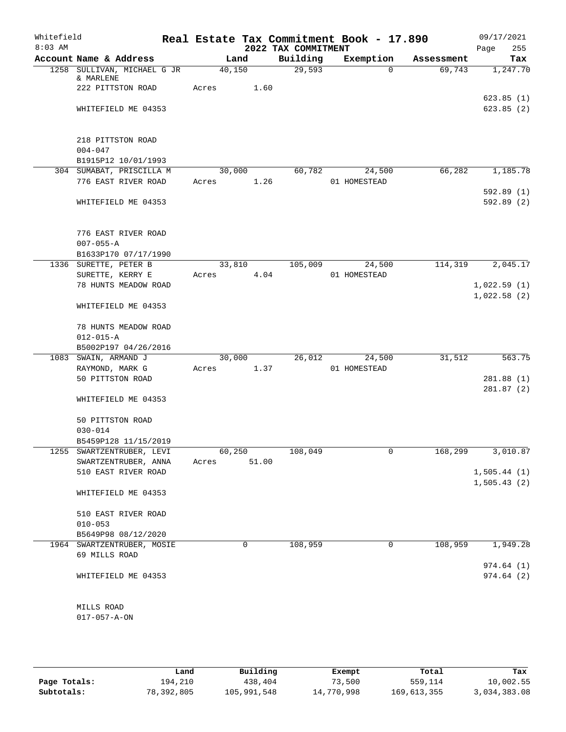| Whitefield<br>$8:03$ AM |                                                   |                 |             | 2022 TAX COMMITMENT | Real Estate Tax Commitment Book - 17.890 |            | 09/17/2021<br>255<br>Page  |
|-------------------------|---------------------------------------------------|-----------------|-------------|---------------------|------------------------------------------|------------|----------------------------|
|                         | Account Name & Address                            |                 | Land        | Building            | Exemption                                | Assessment | Tax                        |
|                         | 1258 SULLIVAN, MICHAEL G JR                       | 40,150          |             | 29,593              | $\Omega$                                 | 69,743     | 1,247.70                   |
|                         | & MARLENE<br>222 PITTSTON ROAD                    | Acres           | 1.60        |                     |                                          |            |                            |
|                         | WHITEFIELD ME 04353                               |                 |             |                     |                                          |            | 623.85(1)<br>623.85(2)     |
|                         |                                                   |                 |             |                     |                                          |            |                            |
|                         | 218 PITTSTON ROAD                                 |                 |             |                     |                                          |            |                            |
|                         | $004 - 047$<br>B1915P12 10/01/1993                |                 |             |                     |                                          |            |                            |
|                         | 304 SUMABAT, PRISCILLA M                          | 30,000          |             | 60,782              | 24,500                                   | 66,282     | 1,185.78                   |
|                         | 776 EAST RIVER ROAD                               | Acres           | 1.26        |                     | 01 HOMESTEAD                             |            |                            |
|                         | WHITEFIELD ME 04353                               |                 |             |                     |                                          |            | 592.89(1)<br>592.89(2)     |
|                         | 776 EAST RIVER ROAD                               |                 |             |                     |                                          |            |                            |
|                         | $007 - 055 - A$                                   |                 |             |                     |                                          |            |                            |
|                         | B1633P170 07/17/1990                              |                 |             |                     |                                          |            |                            |
|                         | 1336 SURETTE, PETER B                             | 33,810          |             | 105,009             | 24,500                                   | 114,319    | 2,045.17                   |
|                         | SURETTE, KERRY E                                  | Acres           | 4.04        |                     | 01 HOMESTEAD                             |            |                            |
|                         | 78 HUNTS MEADOW ROAD                              |                 |             |                     |                                          |            | 1,022.59(1)<br>1,022.58(2) |
|                         | WHITEFIELD ME 04353                               |                 |             |                     |                                          |            |                            |
|                         | 78 HUNTS MEADOW ROAD                              |                 |             |                     |                                          |            |                            |
|                         | $012 - 015 - A$                                   |                 |             |                     |                                          |            |                            |
|                         | B5002P197 04/26/2016                              |                 |             |                     |                                          |            |                            |
|                         | 1083 SWAIN, ARMAND J                              | 30,000          |             | 26,012              | 24,500                                   | 31,512     | 563.75                     |
|                         | RAYMOND, MARK G<br>50 PITTSTON ROAD               | Acres           | 1.37        |                     | 01 HOMESTEAD                             |            |                            |
|                         |                                                   |                 |             |                     |                                          |            | 281.88(1)<br>281.87(2)     |
|                         | WHITEFIELD ME 04353                               |                 |             |                     |                                          |            |                            |
|                         | 50 PITTSTON ROAD                                  |                 |             |                     |                                          |            |                            |
|                         | $030 - 014$                                       |                 |             |                     |                                          |            |                            |
|                         | B5459P128 11/15/2019                              |                 |             |                     |                                          |            |                            |
|                         | 1255 SWARTZENTRUBER, LEVI<br>SWARTZENTRUBER, ANNA | 60,250<br>Acres | 51.00       | 108,049             | 0                                        | 168,299    | 3,010.87                   |
|                         | 510 EAST RIVER ROAD                               |                 |             |                     |                                          |            | 1,505.44(1)                |
|                         |                                                   |                 |             |                     |                                          |            | 1,505.43(2)                |
|                         | WHITEFIELD ME 04353                               |                 |             |                     |                                          |            |                            |
|                         | 510 EAST RIVER ROAD                               |                 |             |                     |                                          |            |                            |
|                         | $010 - 053$                                       |                 |             |                     |                                          |            |                            |
|                         | B5649P98 08/12/2020                               |                 |             |                     |                                          |            |                            |
|                         | 1964 SWARTZENTRUBER, MOSIE<br>69 MILLS ROAD       |                 | $\mathbf 0$ | 108,959             | 0                                        | 108,959    | 1,949.28                   |
|                         |                                                   |                 |             |                     |                                          |            | 974.64(1)                  |
|                         | WHITEFIELD ME 04353                               |                 |             |                     |                                          |            | 974.64(2)                  |
|                         | MILLS ROAD                                        |                 |             |                     |                                          |            |                            |
|                         | $017 - 057 - A - ON$                              |                 |             |                     |                                          |            |                            |
|                         |                                                   |                 |             |                     |                                          |            |                            |

|              | Land       | Building    | Exempt     | Total       | Tax          |
|--------------|------------|-------------|------------|-------------|--------------|
| Page Totals: | 194,210    | 438,404     | 73,500     | 559,114     | 10,002.55    |
| Subtotals:   | 78,392,805 | 105,991,548 | 14,770,998 | 169,613,355 | 3,034,383.08 |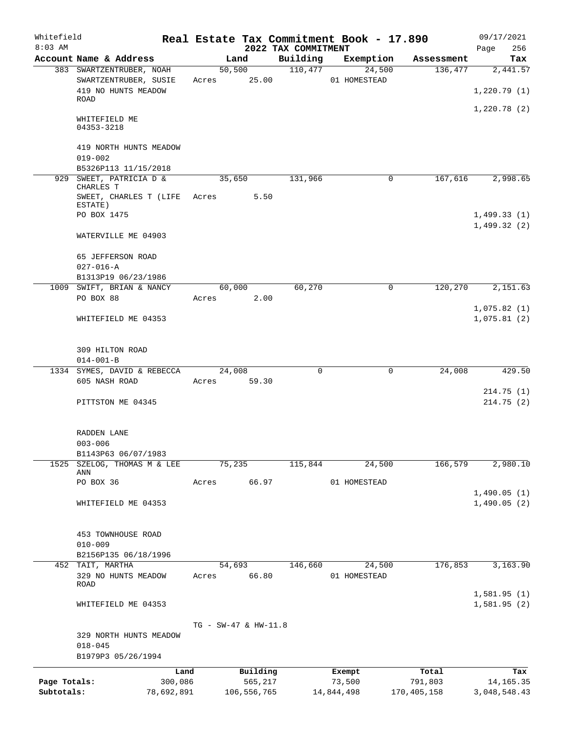| Whitefield                 |                                                                      |                      |                                      |                     | Real Estate Tax Commitment Book - 17.890 |                                 | 09/17/2021                         |
|----------------------------|----------------------------------------------------------------------|----------------------|--------------------------------------|---------------------|------------------------------------------|---------------------------------|------------------------------------|
| $8:03$ AM                  |                                                                      |                      |                                      | 2022 TAX COMMITMENT |                                          |                                 | 256<br>Page                        |
|                            | Account Name & Address                                               |                      | Land                                 | Building<br>110,477 | Exemption                                | Assessment                      | Tax                                |
|                            | 383 SWARTZENTRUBER, NOAH<br>SWARTZENTRUBER, SUSIE                    | 50, 500<br>Acres     | 25.00                                |                     | 24,500<br>01 HOMESTEAD                   | 136,477                         | 2,441.57                           |
|                            | 419 NO HUNTS MEADOW<br>ROAD                                          |                      |                                      |                     |                                          |                                 | 1,220.79(1)                        |
|                            | WHITEFIELD ME<br>04353-3218                                          |                      |                                      |                     |                                          |                                 | 1,220.78(2)                        |
|                            | 419 NORTH HUNTS MEADOW<br>$019 - 002$                                |                      |                                      |                     |                                          |                                 |                                    |
|                            | B5326P113 11/15/2018                                                 |                      |                                      |                     |                                          |                                 |                                    |
|                            | 929 SWEET, PATRICIA D &<br>CHARLES T<br>SWEET, CHARLES T (LIFE Acres | 35,650               | 5.50                                 | 131,966             |                                          | $\mathbf 0$<br>167,616          | 2,998.65                           |
|                            | ESTATE)<br>PO BOX 1475                                               |                      |                                      |                     |                                          |                                 | 1,499.33(1)                        |
|                            | WATERVILLE ME 04903                                                  |                      |                                      |                     |                                          |                                 | 1,499.32(2)                        |
|                            | 65 JEFFERSON ROAD<br>$027 - 016 - A$                                 |                      |                                      |                     |                                          |                                 |                                    |
|                            | B1313P19 06/23/1986                                                  |                      |                                      |                     |                                          |                                 |                                    |
|                            | 1009 SWIFT, BRIAN & NANCY                                            | 60,000               |                                      | 60,270              |                                          | 120,270<br>0                    | 2,151.63                           |
|                            | PO BOX 88                                                            | Acres                | 2.00                                 |                     |                                          |                                 | 1,075.82(1)                        |
|                            | WHITEFIELD ME 04353                                                  |                      |                                      |                     |                                          |                                 | 1,075.81(2)                        |
|                            | 309 HILTON ROAD                                                      |                      |                                      |                     |                                          |                                 |                                    |
|                            | $014 - 001 - B$<br>1334 SYMES, DAVID & REBECCA                       | 24,008               |                                      | $\Omega$            |                                          | 24,008<br>0                     | 429.50                             |
|                            | 605 NASH ROAD                                                        | Acres                | 59.30                                |                     |                                          |                                 |                                    |
|                            |                                                                      |                      |                                      |                     |                                          |                                 | 214.75(1)                          |
|                            | PITTSTON ME 04345                                                    |                      |                                      |                     |                                          |                                 | 214.75(2)                          |
|                            | RADDEN LANE                                                          |                      |                                      |                     |                                          |                                 |                                    |
|                            | $003 - 006$                                                          |                      |                                      |                     |                                          |                                 |                                    |
| 1525                       | B1143P63 06/07/1983<br>SZELOG, THOMAS M & LEE<br>ANN                 | 75,235               |                                      | 115,844             | 24,500                                   | 166,579                         | 2,980.10                           |
|                            | PO BOX 36                                                            | Acres                | 66.97                                |                     | 01 HOMESTEAD                             |                                 |                                    |
|                            |                                                                      |                      |                                      |                     |                                          |                                 | 1,490.05(1)                        |
|                            | WHITEFIELD ME 04353                                                  |                      |                                      |                     |                                          |                                 | 1,490.05(2)                        |
|                            | 453 TOWNHOUSE ROAD<br>$010 - 009$                                    |                      |                                      |                     |                                          |                                 |                                    |
|                            | B2156P135 06/18/1996                                                 |                      |                                      |                     |                                          |                                 |                                    |
|                            | 452 TAIT, MARTHA                                                     | 54,693               |                                      | 146,660             | 24,500                                   | 176,853                         | 3,163.90                           |
|                            | 329 NO HUNTS MEADOW<br>ROAD                                          | Acres                | 66.80                                |                     | 01 HOMESTEAD                             |                                 | 1,581.95(1)                        |
|                            | WHITEFIELD ME 04353                                                  |                      |                                      |                     |                                          |                                 | 1,581.95(2)                        |
|                            | 329 NORTH HUNTS MEADOW<br>$018 - 045$                                | TG - SW-47 & HW-11.8 |                                      |                     |                                          |                                 |                                    |
|                            | B1979P3 05/26/1994                                                   |                      |                                      |                     |                                          |                                 |                                    |
| Page Totals:<br>Subtotals: | Land<br>300,086<br>78,692,891                                        |                      | Building<br>565,217<br>106, 556, 765 |                     | Exempt<br>73,500<br>14,844,498           | Total<br>791,803<br>170,405,158 | Tax<br>14, 165. 35<br>3,048,548.43 |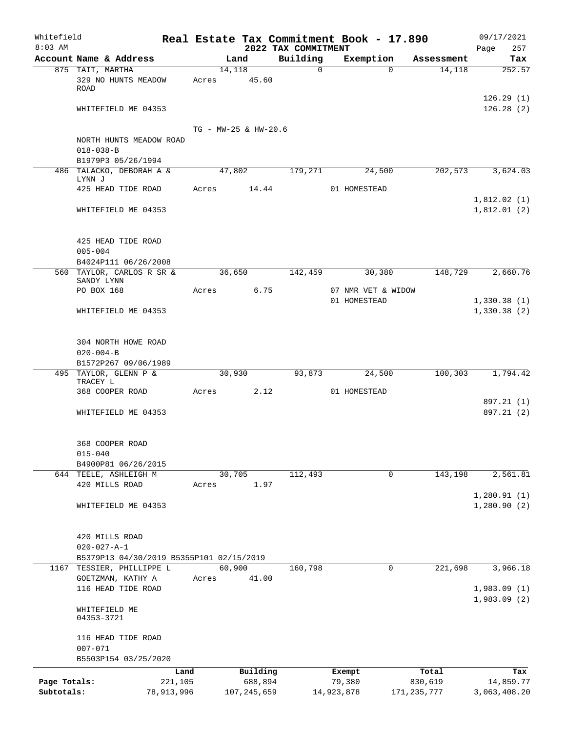| Whitefield   |                                          |                 |       |                      |       |                                 | Real Estate Tax Commitment Book - 17.890 |                      | 09/17/2021                 |
|--------------|------------------------------------------|-----------------|-------|----------------------|-------|---------------------------------|------------------------------------------|----------------------|----------------------------|
| $8:03$ AM    | Account Name & Address                   |                 |       | Land                 |       | 2022 TAX COMMITMENT<br>Building | Exemption                                |                      | 257<br>Page<br>Tax         |
|              | 875 TAIT, MARTHA                         |                 |       | 14,118               |       | $\Omega$                        | $\Omega$                                 | Assessment<br>14,118 | 252.57                     |
|              | 329 NO HUNTS MEADOW                      |                 | Acres | 45.60                |       |                                 |                                          |                      |                            |
|              | ROAD                                     |                 |       |                      |       |                                 |                                          |                      |                            |
|              |                                          |                 |       |                      |       |                                 |                                          |                      | 126.29(1)                  |
|              | WHITEFIELD ME 04353                      |                 |       |                      |       |                                 |                                          |                      | 126.28(2)                  |
|              |                                          |                 |       |                      |       |                                 |                                          |                      |                            |
|              | NORTH HUNTS MEADOW ROAD                  |                 |       | TG - MW-25 & HW-20.6 |       |                                 |                                          |                      |                            |
|              | $018 - 038 - B$                          |                 |       |                      |       |                                 |                                          |                      |                            |
|              | B1979P3 05/26/1994                       |                 |       |                      |       |                                 |                                          |                      |                            |
|              | 486 TALACKO, DEBORAH A &                 |                 |       | 47,802               |       | 179,271                         | 24,500                                   | 202,573              | 3,624.03                   |
|              | LYNN J                                   |                 |       |                      |       |                                 |                                          |                      |                            |
|              | 425 HEAD TIDE ROAD                       |                 | Acres |                      | 14.44 |                                 | 01 HOMESTEAD                             |                      | 1,812.02(1)                |
|              | WHITEFIELD ME 04353                      |                 |       |                      |       |                                 |                                          |                      | 1,812.01(2)                |
|              |                                          |                 |       |                      |       |                                 |                                          |                      |                            |
|              |                                          |                 |       |                      |       |                                 |                                          |                      |                            |
|              | 425 HEAD TIDE ROAD                       |                 |       |                      |       |                                 |                                          |                      |                            |
|              | $005 - 004$                              |                 |       |                      |       |                                 |                                          |                      |                            |
|              | B4024P111 06/26/2008                     |                 |       |                      |       |                                 |                                          |                      |                            |
|              | 560 TAYLOR, CARLOS R SR &<br>SANDY LYNN  |                 |       | 36,650               |       | 142,459                         | 30,380                                   | 148,729              | 2,660.76                   |
|              | PO BOX 168                               |                 | Acres |                      | 6.75  |                                 | 07 NMR VET & WIDOW                       |                      |                            |
|              |                                          |                 |       |                      |       |                                 | 01 HOMESTEAD                             |                      | 1,330.38(1)                |
|              | WHITEFIELD ME 04353                      |                 |       |                      |       |                                 |                                          |                      | 1,330.38(2)                |
|              |                                          |                 |       |                      |       |                                 |                                          |                      |                            |
|              |                                          |                 |       |                      |       |                                 |                                          |                      |                            |
|              | 304 NORTH HOWE ROAD                      |                 |       |                      |       |                                 |                                          |                      |                            |
|              | $020 - 004 - B$<br>B1572P267 09/06/1989  |                 |       |                      |       |                                 |                                          |                      |                            |
|              | 495 TAYLOR, GLENN P &                    |                 |       | 30,930               |       | 93,873                          | 24,500                                   | 100,303              | 1,794.42                   |
|              | TRACEY L                                 |                 |       |                      |       |                                 |                                          |                      |                            |
|              | 368 COOPER ROAD                          |                 | Acres |                      | 2.12  |                                 | 01 HOMESTEAD                             |                      |                            |
|              |                                          |                 |       |                      |       |                                 |                                          |                      | 897.21 (1)<br>897.21 (2)   |
|              | WHITEFIELD ME 04353                      |                 |       |                      |       |                                 |                                          |                      |                            |
|              |                                          |                 |       |                      |       |                                 |                                          |                      |                            |
|              | 368 COOPER ROAD                          |                 |       |                      |       |                                 |                                          |                      |                            |
|              | $015 - 040$                              |                 |       |                      |       |                                 |                                          |                      |                            |
|              | B4900P81 06/26/2015                      |                 |       |                      |       |                                 |                                          |                      |                            |
|              | 644 TEELE, ASHLEIGH M                    |                 |       | 30,705               |       | 112,493                         | $\mathbf 0$                              | 143,198              | 2,561.81                   |
|              | 420 MILLS ROAD                           |                 | Acres |                      | 1.97  |                                 |                                          |                      |                            |
|              | WHITEFIELD ME 04353                      |                 |       |                      |       |                                 |                                          |                      | 1,280.91(1)<br>1,280.90(2) |
|              |                                          |                 |       |                      |       |                                 |                                          |                      |                            |
|              |                                          |                 |       |                      |       |                                 |                                          |                      |                            |
|              | 420 MILLS ROAD                           |                 |       |                      |       |                                 |                                          |                      |                            |
|              | $020 - 027 - A - 1$                      |                 |       |                      |       |                                 |                                          |                      |                            |
|              | B5379P13 04/30/2019 B5355P101 02/15/2019 |                 |       |                      |       |                                 |                                          |                      |                            |
|              | 1167 TESSIER, PHILLIPPE L                |                 |       | 60,900               |       | 160,798                         | 0                                        | 221,698              | 3,966.18                   |
|              | GOETZMAN, KATHY A                        |                 | Acres |                      | 41.00 |                                 |                                          |                      |                            |
|              | 116 HEAD TIDE ROAD                       |                 |       |                      |       |                                 |                                          |                      | 1,983.09(1)<br>1,983.09(2) |
|              | WHITEFIELD ME                            |                 |       |                      |       |                                 |                                          |                      |                            |
|              | 04353-3721                               |                 |       |                      |       |                                 |                                          |                      |                            |
|              |                                          |                 |       |                      |       |                                 |                                          |                      |                            |
|              | 116 HEAD TIDE ROAD                       |                 |       |                      |       |                                 |                                          |                      |                            |
|              | $007 - 071$                              |                 |       |                      |       |                                 |                                          |                      |                            |
|              | B5503P154 03/25/2020                     |                 |       |                      |       |                                 |                                          |                      |                            |
| Page Totals: |                                          | Land<br>221,105 |       | Building<br>688,894  |       |                                 | Exempt<br>79,380                         | Total<br>830,619     | Tax<br>14,859.77           |
| Subtotals:   |                                          | 78,913,996      |       | 107, 245, 659        |       |                                 | 14,923,878                               | 171, 235, 777        | 3,063,408.20               |
|              |                                          |                 |       |                      |       |                                 |                                          |                      |                            |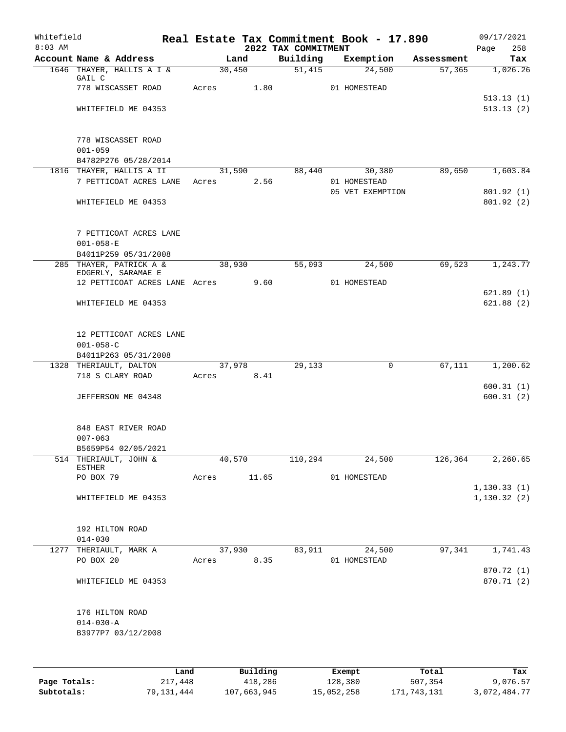| Whitefield<br>$8:03$ AM |                                               |       |            |          | 2022 TAX COMMITMENT | Real Estate Tax Commitment Book - 17.890 |            | 09/17/2021<br>Page<br>258 |
|-------------------------|-----------------------------------------------|-------|------------|----------|---------------------|------------------------------------------|------------|---------------------------|
|                         | Account Name & Address                        |       | Land       |          | Building            | Exemption                                | Assessment | Tax                       |
|                         | 1646 THAYER, HALLIS A I &<br>GAIL C           |       | 30,450     |          | 51,415              | 24,500                                   | 57, 365    | 1,026.26                  |
|                         | 778 WISCASSET ROAD                            | Acres |            | 1.80     |                     | 01 HOMESTEAD                             |            | 513.13(1)                 |
|                         | WHITEFIELD ME 04353                           |       |            |          |                     |                                          |            | 513.13(2)                 |
|                         | 778 WISCASSET ROAD                            |       |            |          |                     |                                          |            |                           |
|                         | $001 - 059$<br>B4782P276 05/28/2014           |       |            |          |                     |                                          |            |                           |
|                         | 1816 THAYER, HALLIS A II                      |       | 31,590     |          | 88,440              | 30,380                                   | 89,650     | 1,603.84                  |
|                         | 7 PETTICOAT ACRES LANE                        |       | Acres      | 2.56     |                     | 01 HOMESTEAD<br>05 VET EXEMPTION         |            | 801.92(1)                 |
|                         | WHITEFIELD ME 04353                           |       |            |          |                     |                                          |            | 801.92(2)                 |
|                         | 7 PETTICOAT ACRES LANE<br>$001 - 058 - E$     |       |            |          |                     |                                          |            |                           |
|                         | B4011P259 05/31/2008                          |       |            |          |                     |                                          |            |                           |
|                         | 285 THAYER, PATRICK A &<br>EDGERLY, SARAMAE E |       | 38,930     |          | 55,093              | 24,500                                   | 69,523     | 1,243.77                  |
|                         | 12 PETTICOAT ACRES LANE Acres                 |       |            | 9.60     |                     | 01 HOMESTEAD                             |            |                           |
|                         | WHITEFIELD ME 04353                           |       |            |          |                     |                                          |            | 621.89(1)<br>621.88(2)    |
|                         | 12 PETTICOAT ACRES LANE                       |       |            |          |                     |                                          |            |                           |
|                         | $001 - 058 - C$<br>B4011P263 05/31/2008       |       |            |          |                     |                                          |            |                           |
|                         | 1328 THERIAULT, DALTON                        |       | 37,978     |          | 29,133              | $\mathbf 0$                              | 67,111     | 1,200.62                  |
|                         | 718 S CLARY ROAD                              |       | Acres 8.41 |          |                     |                                          |            | 600.31(1)                 |
|                         | JEFFERSON ME 04348                            |       |            |          |                     |                                          |            | 600.31(2)                 |
|                         | 848 EAST RIVER ROAD<br>$007 - 063$            |       |            |          |                     |                                          |            |                           |
|                         | B5659P54 02/05/2021                           |       |            |          |                     |                                          |            |                           |
|                         | 514 THERIAULT, JOHN &                         |       | 40,570     |          | 110,294             | 24,500                                   | 126,364    | 2,260.65                  |
|                         | <b>ESTHER</b><br>PO BOX 79                    | Acres |            | 11.65    |                     | 01 HOMESTEAD                             |            |                           |
|                         |                                               |       |            |          |                     |                                          |            | 1, 130.33(1)              |
|                         | WHITEFIELD ME 04353                           |       |            |          |                     |                                          |            | 1, 130.32(2)              |
|                         | 192 HILTON ROAD                               |       |            |          |                     |                                          |            |                           |
|                         | $014 - 030$                                   |       |            |          |                     |                                          |            |                           |
|                         | 1277 THERIAULT, MARK A<br>PO BOX 20           | Acres | 37,930     | 8.35     | 83,911              | 24,500<br>01 HOMESTEAD                   | 97,341     | 1,741.43                  |
|                         | WHITEFIELD ME 04353                           |       |            |          |                     |                                          |            | 870.72 (1)<br>870.71 (2)  |
|                         | 176 HILTON ROAD                               |       |            |          |                     |                                          |            |                           |
|                         | $014 - 030 - A$<br>B3977P7 03/12/2008         |       |            |          |                     |                                          |            |                           |
|                         |                                               |       |            |          |                     |                                          |            |                           |
|                         |                                               | Land  |            | Building |                     | Exempt                                   | Total      | Tax                       |

**Page Totals:** 217,448 418,286 128,380 507,354 9,076.57 **Subtotals:** 79,131,444 107,663,945 15,052,258 171,743,131 3,072,484.77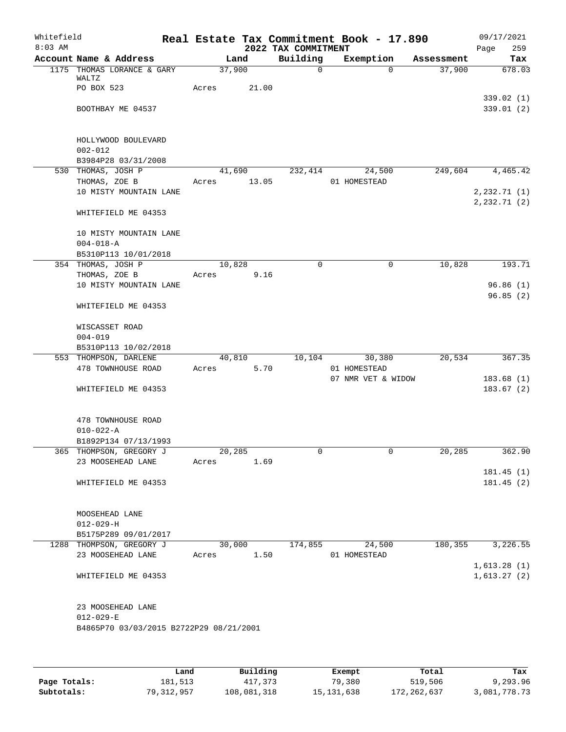| Whitefield<br>$8:03$ AM |                                         |       |        | 2022 TAX COMMITMENT | Real Estate Tax Commitment Book - 17.890 |            | 09/17/2021<br>259<br>Page |
|-------------------------|-----------------------------------------|-------|--------|---------------------|------------------------------------------|------------|---------------------------|
|                         | Account Name & Address                  |       | Land   | Building            | Exemption                                | Assessment | Tax                       |
|                         | 1175 THOMAS LORANCE & GARY              |       | 37,900 | $\mathbf 0$         | $\Omega$                                 | 37,900     | 678.03                    |
|                         | WALTZ<br>PO BOX 523                     | Acres | 21.00  |                     |                                          |            |                           |
|                         |                                         |       |        |                     |                                          |            | 339.02(1)                 |
|                         | BOOTHBAY ME 04537                       |       |        |                     |                                          |            | 339.01(2)                 |
|                         |                                         |       |        |                     |                                          |            |                           |
|                         |                                         |       |        |                     |                                          |            |                           |
|                         | HOLLYWOOD BOULEVARD                     |       |        |                     |                                          |            |                           |
|                         | $002 - 012$                             |       |        |                     |                                          |            |                           |
|                         | B3984P28 03/31/2008                     |       |        |                     |                                          |            |                           |
|                         | 530 THOMAS, JOSH P                      |       | 41,690 | 232,414             | 24,500                                   | 249,604    | 4,465.42                  |
|                         | THOMAS, ZOE B<br>10 MISTY MOUNTAIN LANE | Acres | 13.05  |                     | 01 HOMESTEAD                             |            | 2,232.71(1)               |
|                         |                                         |       |        |                     |                                          |            | 2, 232.71(2)              |
|                         | WHITEFIELD ME 04353                     |       |        |                     |                                          |            |                           |
|                         |                                         |       |        |                     |                                          |            |                           |
|                         | 10 MISTY MOUNTAIN LANE                  |       |        |                     |                                          |            |                           |
|                         | $004 - 018 - A$                         |       |        |                     |                                          |            |                           |
|                         | B5310P113 10/01/2018                    |       |        |                     |                                          |            |                           |
|                         | 354 THOMAS, JOSH P                      |       | 10,828 | 0                   | 0                                        | 10,828     | 193.71                    |
|                         | THOMAS, ZOE B                           | Acres | 9.16   |                     |                                          |            |                           |
|                         | 10 MISTY MOUNTAIN LANE                  |       |        |                     |                                          |            | 96.86(1)<br>96.85(2)      |
|                         | WHITEFIELD ME 04353                     |       |        |                     |                                          |            |                           |
|                         |                                         |       |        |                     |                                          |            |                           |
|                         | WISCASSET ROAD                          |       |        |                     |                                          |            |                           |
|                         | $004 - 019$                             |       |        |                     |                                          |            |                           |
|                         | B5310P113 10/02/2018                    |       |        |                     |                                          |            |                           |
|                         | 553 THOMPSON, DARLENE                   |       | 40,810 | 10,104              | 30,380                                   | 20,534     | 367.35                    |
|                         | 478 TOWNHOUSE ROAD                      | Acres | 5.70   |                     | 01 HOMESTEAD                             |            |                           |
|                         |                                         |       |        |                     | 07 NMR VET & WIDOW                       |            | 183.68(1)                 |
|                         | WHITEFIELD ME 04353                     |       |        |                     |                                          |            | 183.67(2)                 |
|                         |                                         |       |        |                     |                                          |            |                           |
|                         | 478 TOWNHOUSE ROAD                      |       |        |                     |                                          |            |                           |
|                         | $010 - 022 - A$                         |       |        |                     |                                          |            |                           |
|                         | B1892P134 07/13/1993                    |       |        |                     |                                          |            |                           |
|                         | 365 THOMPSON, GREGORY J                 |       | 20,285 | 0                   | 0                                        | 20,285     | 362.90                    |
|                         | 23 MOOSEHEAD LANE                       | Acres | 1.69   |                     |                                          |            |                           |
|                         |                                         |       |        |                     |                                          |            | 181.45(1)                 |
|                         | WHITEFIELD ME 04353                     |       |        |                     |                                          |            | 181.45(2)                 |
|                         |                                         |       |        |                     |                                          |            |                           |
|                         | MOOSEHEAD LANE                          |       |        |                     |                                          |            |                           |
|                         | $012 - 029 - H$                         |       |        |                     |                                          |            |                           |
|                         | B5175P289 09/01/2017                    |       |        |                     |                                          |            |                           |
|                         | 1288 THOMPSON, GREGORY J                |       | 30,000 | 174,855             | 24,500                                   | 180,355    | 3,226.55                  |
|                         | 23 MOOSEHEAD LANE                       | Acres | 1.50   |                     | 01 HOMESTEAD                             |            |                           |
|                         |                                         |       |        |                     |                                          |            | 1,613.28(1)               |
|                         | WHITEFIELD ME 04353                     |       |        |                     |                                          |            | 1,613.27(2)               |
|                         |                                         |       |        |                     |                                          |            |                           |
|                         | 23 MOOSEHEAD LANE                       |       |        |                     |                                          |            |                           |
|                         | $012 - 029 - E$                         |       |        |                     |                                          |            |                           |
|                         | B4865P70 03/03/2015 B2722P29 08/21/2001 |       |        |                     |                                          |            |                           |
|                         |                                         |       |        |                     |                                          |            |                           |
|                         |                                         |       |        |                     |                                          |            |                           |

|              | Land         | Building    | Exempt     | Total         | Tax          |
|--------------|--------------|-------------|------------|---------------|--------------|
| Page Totals: | 181,513      | 417,373     | 79,380     | 519,506       | 9,293.96     |
| Subtotals:   | 79, 312, 957 | 108,081,318 | 15,131,638 | 172, 262, 637 | 3,081,778.73 |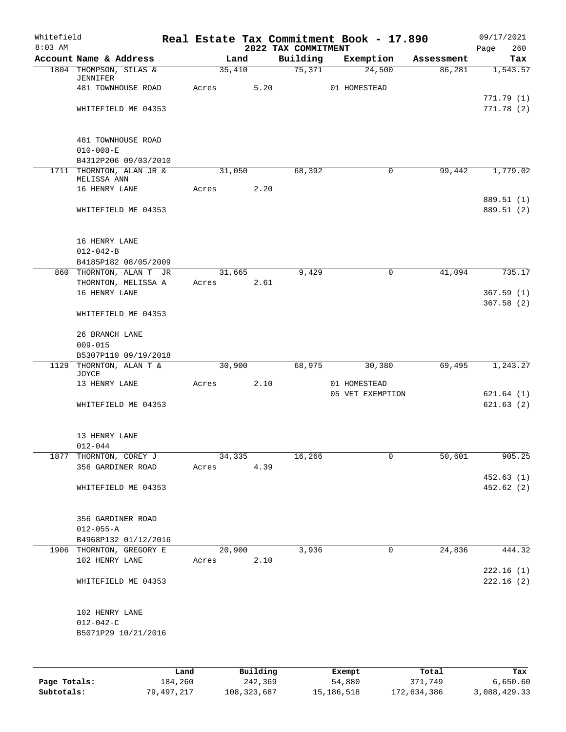| Whitefield<br>$8:03$ AM |                                                 |       |        |          |                                 | Real Estate Tax Commitment Book - 17.890 |            | 09/17/2021             |
|-------------------------|-------------------------------------------------|-------|--------|----------|---------------------------------|------------------------------------------|------------|------------------------|
|                         | Account Name & Address                          |       | Land   |          | 2022 TAX COMMITMENT<br>Building | Exemption                                | Assessment | Page<br>260<br>Tax     |
|                         | 1804 THOMPSON, SILAS &                          |       | 35,410 |          | 75,371                          | 24,500                                   | 86,281     | 1,543.57               |
|                         | JENNIFER                                        |       |        |          |                                 |                                          |            |                        |
|                         | 481 TOWNHOUSE ROAD                              | Acres |        | 5.20     |                                 | 01 HOMESTEAD                             |            | 771.79(1)              |
|                         | WHITEFIELD ME 04353                             |       |        |          |                                 |                                          |            | 771.78(2)              |
|                         |                                                 |       |        |          |                                 |                                          |            |                        |
|                         |                                                 |       |        |          |                                 |                                          |            |                        |
|                         | 481 TOWNHOUSE ROAD<br>$010 - 008 - E$           |       |        |          |                                 |                                          |            |                        |
|                         | B4312P206 09/03/2010                            |       |        |          |                                 |                                          |            |                        |
|                         | 1711 THORNTON, ALAN JR &                        |       | 31,050 |          | 68,392                          | 0                                        | 99,442     | 1,779.02               |
|                         | MELISSA ANN<br>16 HENRY LANE                    | Acres |        | 2.20     |                                 |                                          |            |                        |
|                         |                                                 |       |        |          |                                 |                                          |            | 889.51 (1)             |
|                         | WHITEFIELD ME 04353                             |       |        |          |                                 |                                          |            | 889.51 (2)             |
|                         | 16 HENRY LANE                                   |       |        |          |                                 |                                          |            |                        |
|                         | $012 - 042 - B$                                 |       |        |          |                                 |                                          |            |                        |
|                         | B4185P182 08/05/2009                            |       |        |          |                                 |                                          |            |                        |
|                         | 860 THORNTON, ALAN T JR<br>THORNTON, MELISSA A  | Acres | 31,665 | 2.61     | 9,429                           | 0                                        | 41,094     | 735.17                 |
|                         | 16 HENRY LANE                                   |       |        |          |                                 |                                          |            | 367.59(1)              |
|                         |                                                 |       |        |          |                                 |                                          |            | 367.58(2)              |
|                         | WHITEFIELD ME 04353                             |       |        |          |                                 |                                          |            |                        |
|                         | 26 BRANCH LANE                                  |       |        |          |                                 |                                          |            |                        |
|                         | $009 - 015$                                     |       |        |          |                                 |                                          |            |                        |
|                         | B5307P110 09/19/2018<br>1129 THORNTON, ALAN T & |       | 30,900 |          | 68,975                          | 30,380                                   | 69,495     | 1,243.27               |
|                         | JOYCE                                           |       |        |          |                                 |                                          |            |                        |
|                         | 13 HENRY LANE                                   | Acres |        | 2.10     |                                 | 01 HOMESTEAD                             |            |                        |
|                         | WHITEFIELD ME 04353                             |       |        |          |                                 | 05 VET EXEMPTION                         |            | 621.64(1)<br>621.63(2) |
|                         |                                                 |       |        |          |                                 |                                          |            |                        |
|                         | 13 HENRY LANE                                   |       |        |          |                                 |                                          |            |                        |
|                         | $012 - 044$                                     |       |        |          |                                 |                                          |            |                        |
|                         | 1877 THORNTON, COREY J<br>356 GARDINER ROAD     | Acres | 34,335 | 4.39     | 16,266                          | 0                                        | 50,601     | 905.25                 |
|                         |                                                 |       |        |          |                                 |                                          |            | 452.63(1)              |
|                         | WHITEFIELD ME 04353                             |       |        |          |                                 |                                          |            | 452.62 (2)             |
|                         |                                                 |       |        |          |                                 |                                          |            |                        |
|                         | 356 GARDINER ROAD<br>$012 - 055 - A$            |       |        |          |                                 |                                          |            |                        |
|                         | B4968P132 01/12/2016                            |       |        |          |                                 |                                          |            |                        |
|                         | 1906 THORNTON, GREGORY E                        |       | 20,900 |          | 3,936                           | 0                                        | 24,836     | 444.32                 |
|                         | 102 HENRY LANE                                  | Acres |        | 2.10     |                                 |                                          |            |                        |
|                         | WHITEFIELD ME 04353                             |       |        |          |                                 |                                          |            | 222.16(1)<br>222.16(2) |
|                         |                                                 |       |        |          |                                 |                                          |            |                        |
|                         | 102 HENRY LANE                                  |       |        |          |                                 |                                          |            |                        |
|                         | $012 - 042 - C$                                 |       |        |          |                                 |                                          |            |                        |
|                         | B5071P29 10/21/2016                             |       |        |          |                                 |                                          |            |                        |
|                         |                                                 |       |        |          |                                 |                                          |            |                        |
|                         |                                                 | Land  |        | Building |                                 | Exempt                                   | Total      | Tax                    |

|              | ⊥and       | Building    | Exempt     | Total       | тах          |
|--------------|------------|-------------|------------|-------------|--------------|
| Page Totals: | 184,260    | 242,369     | 54,880     | 371,749     | 6,650.60     |
| Subtotals:   | 79,497,217 | 108,323,687 | 15,186,518 | 172,634,386 | 3,088,429.33 |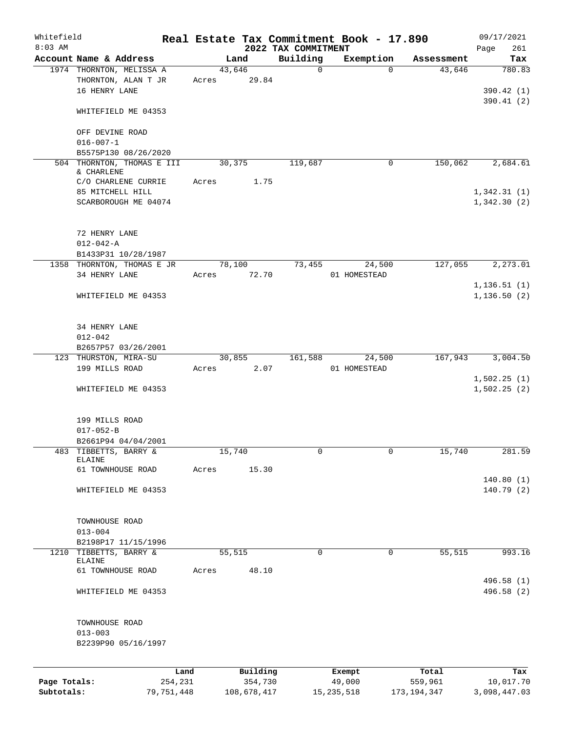| Whitefield<br>$8:03$ AM |                                                          |       |             |          | 2022 TAX COMMITMENT | Real Estate Tax Commitment Book - 17.890 |               | 09/17/2021                 |
|-------------------------|----------------------------------------------------------|-------|-------------|----------|---------------------|------------------------------------------|---------------|----------------------------|
|                         | Account Name & Address                                   |       | Land        |          | Building            | Exemption                                | Assessment    | 261<br>Page<br>Tax         |
|                         | 1974 THORNTON, MELISSA A                                 |       | 43,646      |          | 0                   | $\Omega$                                 | 43,646        | 780.83                     |
|                         | THORNTON, ALAN T JR<br>16 HENRY LANE                     | Acres |             | 29.84    |                     |                                          |               | 390.42 (1)<br>390.41(2)    |
|                         | WHITEFIELD ME 04353                                      |       |             |          |                     |                                          |               |                            |
|                         | OFF DEVINE ROAD<br>$016 - 007 - 1$                       |       |             |          |                     |                                          |               |                            |
|                         | B5575P130 08/26/2020                                     |       |             |          |                     |                                          |               |                            |
|                         | 504 THORNTON, THOMAS E III<br>& CHARLENE                 |       | 30,375      |          | 119,687             | 0                                        | 150,062       | 2,684.61                   |
|                         | C/O CHARLENE CURRIE                                      | Acres |             | 1.75     |                     |                                          |               |                            |
|                         | 85 MITCHELL HILL<br>SCARBOROUGH ME 04074                 |       |             |          |                     |                                          |               | 1,342.31(1)<br>1,342.30(2) |
|                         | 72 HENRY LANE<br>$012 - 042 - A$                         |       |             |          |                     |                                          |               |                            |
|                         | B1433P31 10/28/1987                                      |       |             |          |                     |                                          |               |                            |
|                         | 1358 THORNTON, THOMAS E JR<br>34 HENRY LANE              | Acres | 78,100      | 72.70    | 73,455              | 24,500<br>01 HOMESTEAD                   | 127,055       | 2,273.01                   |
|                         |                                                          |       |             |          |                     |                                          |               | 1, 136.51(1)               |
|                         | WHITEFIELD ME 04353                                      |       |             |          |                     |                                          |               | 1, 136.50(2)               |
|                         | 34 HENRY LANE                                            |       |             |          |                     |                                          |               |                            |
|                         | $012 - 042$                                              |       |             |          |                     |                                          |               |                            |
|                         | B2657P57 03/26/2001                                      |       |             |          |                     |                                          |               |                            |
|                         | 123 THURSTON, MIRA-SU<br>199 MILLS ROAD                  | Acres | 30,855      | 2.07     | 161,588             | 24,500<br>01 HOMESTEAD                   | 167,943       | 3,004.50                   |
|                         | WHITEFIELD ME 04353                                      |       |             |          |                     |                                          |               | 1,502.25(1)<br>1,502.25(2) |
|                         | 199 MILLS ROAD<br>$017 - 052 - B$<br>B2661P94 04/04/2001 |       |             |          |                     |                                          |               |                            |
|                         | 483 TIBBETTS, BARRY &                                    |       | 15,740      |          | 0                   | 0                                        | 15,740        | 281.59                     |
|                         | ELAINE<br>61 TOWNHOUSE ROAD                              | Acres |             | 15.30    |                     |                                          |               |                            |
|                         | WHITEFIELD ME 04353                                      |       |             |          |                     |                                          |               | 140.80(1)<br>140.79(2)     |
|                         | TOWNHOUSE ROAD                                           |       |             |          |                     |                                          |               |                            |
|                         | $013 - 004$                                              |       |             |          |                     |                                          |               |                            |
|                         | B2198P17 11/15/1996                                      |       |             |          |                     |                                          |               |                            |
| 1210                    | TIBBETTS, BARRY &<br>ELAINE                              |       | 55,515      |          | 0                   | $\mathbf 0$                              | 55,515        | 993.16                     |
|                         | 61 TOWNHOUSE ROAD                                        | Acres |             | 48.10    |                     |                                          |               |                            |
|                         | WHITEFIELD ME 04353                                      |       |             |          |                     |                                          |               | 496.58 (1)<br>496.58 (2)   |
|                         |                                                          |       |             |          |                     |                                          |               |                            |
|                         | TOWNHOUSE ROAD<br>$013 - 003$                            |       |             |          |                     |                                          |               |                            |
|                         | B2239P90 05/16/1997                                      |       |             |          |                     |                                          |               |                            |
|                         | Land                                                     |       |             | Building |                     | Exempt                                   | Total         | Tax                        |
| Page Totals:            | 254,231                                                  |       |             | 354,730  |                     | 49,000                                   | 559,961       | 10,017.70                  |
| Subtotals:              | 79,751,448                                               |       | 108,678,417 |          |                     | 15, 235, 518                             | 173, 194, 347 | 3,098,447.03               |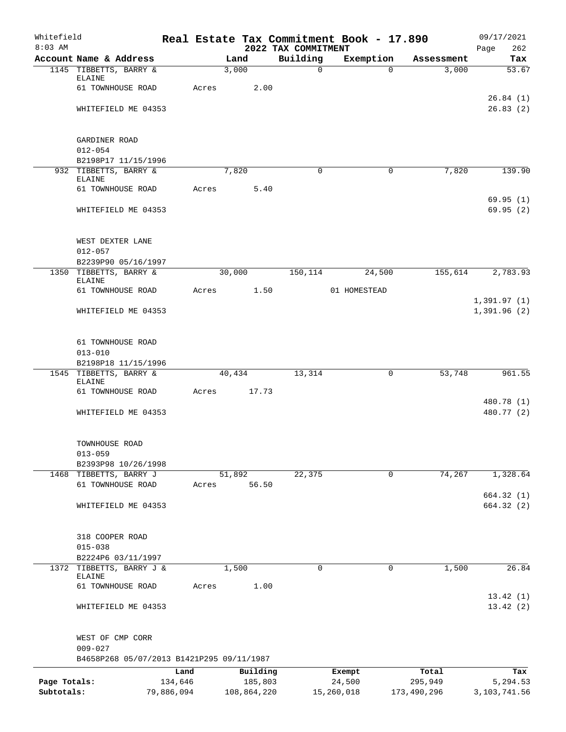| Whitefield<br>$8:03$ AM |                                                          |            |                 | 2022 TAX COMMITMENT | Real Estate Tax Commitment Book - 17.890 |             | 09/17/2021<br>262<br>Page  |
|-------------------------|----------------------------------------------------------|------------|-----------------|---------------------|------------------------------------------|-------------|----------------------------|
|                         | Account Name & Address                                   |            | Land            | Building            | Exemption                                | Assessment  | Tax                        |
|                         | 1145 TIBBETTS, BARRY &                                   |            | 3,000           | $\mathsf{O}$        | $\Omega$                                 | 3,000       | 53.67                      |
|                         | ELAINE                                                   |            |                 |                     |                                          |             |                            |
|                         | 61 TOWNHOUSE ROAD                                        | Acres      | 2.00            |                     |                                          |             | 26.84(1)                   |
|                         | WHITEFIELD ME 04353                                      |            |                 |                     |                                          |             | 26.83(2)                   |
|                         |                                                          |            |                 |                     |                                          |             |                            |
|                         |                                                          |            |                 |                     |                                          |             |                            |
|                         | GARDINER ROAD                                            |            |                 |                     |                                          |             |                            |
|                         | $012 - 054$<br>B2198P17 11/15/1996                       |            |                 |                     |                                          |             |                            |
|                         | 932 TIBBETTS, BARRY &                                    |            | 7,820           | $\Omega$            | 0                                        | 7,820       | 139.90                     |
|                         | <b>ELAINE</b>                                            |            |                 |                     |                                          |             |                            |
|                         | 61 TOWNHOUSE ROAD                                        | Acres      | 5.40            |                     |                                          |             |                            |
|                         | WHITEFIELD ME 04353                                      |            |                 |                     |                                          |             | 69.95(1)<br>69.95(2)       |
|                         |                                                          |            |                 |                     |                                          |             |                            |
|                         |                                                          |            |                 |                     |                                          |             |                            |
|                         | WEST DEXTER LANE                                         |            |                 |                     |                                          |             |                            |
|                         | $012 - 057$<br>B2239P90 05/16/1997                       |            |                 |                     |                                          |             |                            |
|                         | 1350 TIBBETTS, BARRY &                                   |            | 30,000          | 150,114             | 24,500                                   | 155,614     | 2,783.93                   |
|                         | <b>ELAINE</b>                                            |            |                 |                     |                                          |             |                            |
|                         | 61 TOWNHOUSE ROAD                                        | Acres      | 1.50            |                     | 01 HOMESTEAD                             |             |                            |
|                         | WHITEFIELD ME 04353                                      |            |                 |                     |                                          |             | 1,391.97(1)<br>1,391.96(2) |
|                         |                                                          |            |                 |                     |                                          |             |                            |
|                         |                                                          |            |                 |                     |                                          |             |                            |
|                         | 61 TOWNHOUSE ROAD                                        |            |                 |                     |                                          |             |                            |
|                         | $013 - 010$                                              |            |                 |                     |                                          |             |                            |
|                         | B2198P18 11/15/1996<br>1545 TIBBETTS, BARRY &            |            | 40,434          | 13,314              | 0                                        | 53,748      | 961.55                     |
|                         | ELAINE                                                   |            |                 |                     |                                          |             |                            |
|                         | 61 TOWNHOUSE ROAD                                        | Acres      | 17.73           |                     |                                          |             |                            |
|                         |                                                          |            |                 |                     |                                          |             | 480.78 (1)                 |
|                         | WHITEFIELD ME 04353                                      |            |                 |                     |                                          |             | 480.77 (2)                 |
|                         |                                                          |            |                 |                     |                                          |             |                            |
|                         | TOWNHOUSE ROAD                                           |            |                 |                     |                                          |             |                            |
|                         | $013 - 059$                                              |            |                 |                     |                                          |             |                            |
|                         | B2393P98 10/26/1998                                      |            |                 |                     |                                          |             |                            |
|                         | 1468 TIBBETTS, BARRY J<br>61 TOWNHOUSE ROAD              | Acres      | 51,892<br>56.50 | 22,375              | 0                                        | 74,267      | 1,328.64                   |
|                         |                                                          |            |                 |                     |                                          |             | 664.32 (1)                 |
|                         | WHITEFIELD ME 04353                                      |            |                 |                     |                                          |             | 664.32(2)                  |
|                         |                                                          |            |                 |                     |                                          |             |                            |
|                         |                                                          |            |                 |                     |                                          |             |                            |
|                         | 318 COOPER ROAD<br>$015 - 038$                           |            |                 |                     |                                          |             |                            |
|                         | B2224P6 03/11/1997                                       |            |                 |                     |                                          |             |                            |
|                         | 1372 TIBBETTS, BARRY J &                                 |            | 1,500           | 0                   | 0                                        | 1,500       | 26.84                      |
|                         | ELAINE                                                   |            |                 |                     |                                          |             |                            |
|                         | 61 TOWNHOUSE ROAD                                        | Acres      | 1.00            |                     |                                          |             | 13.42(1)                   |
|                         | WHITEFIELD ME 04353                                      |            |                 |                     |                                          |             | 13.42(2)                   |
|                         |                                                          |            |                 |                     |                                          |             |                            |
|                         |                                                          |            |                 |                     |                                          |             |                            |
|                         | WEST OF CMP CORR                                         |            |                 |                     |                                          |             |                            |
|                         | $009 - 027$<br>B4658P268 05/07/2013 B1421P295 09/11/1987 |            |                 |                     |                                          |             |                            |
|                         |                                                          | Land       | Building        |                     | Exempt                                   | Total       |                            |
| Page Totals:            |                                                          | 134,646    | 185,803         |                     | 24,500                                   | 295,949     | Tax<br>5,294.53            |
| Subtotals:              |                                                          | 79,886,094 | 108,864,220     |                     | 15,260,018                               | 173,490,296 | 3, 103, 741.56             |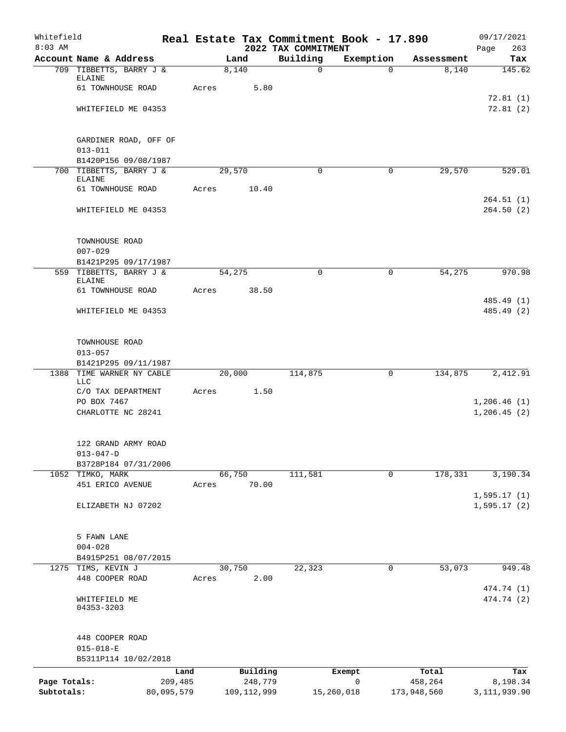| Whitefield<br>$8:03$ AM    |                                         |                       |        |                          | Real Estate Tax Commitment Book - 17.890<br>2022 TAX COMMITMENT |                 |             |                        | 09/17/2021<br>Page<br>263    |
|----------------------------|-----------------------------------------|-----------------------|--------|--------------------------|-----------------------------------------------------------------|-----------------|-------------|------------------------|------------------------------|
|                            | Account Name & Address                  |                       | Land   |                          | Building                                                        | Exemption       |             | Assessment             | Tax                          |
|                            | 709 TIBBETTS, BARRY J &                 |                       | 8,140  |                          | $\mathbf 0$                                                     |                 | $\Omega$    | 8,140                  | 145.62                       |
|                            | ELAINE                                  |                       |        |                          |                                                                 |                 |             |                        |                              |
|                            | 61 TOWNHOUSE ROAD                       | Acres                 |        | 5.80                     |                                                                 |                 |             |                        | 72.81(1)                     |
|                            | WHITEFIELD ME 04353                     |                       |        |                          |                                                                 |                 |             |                        | 72.81(2)                     |
|                            |                                         |                       |        |                          |                                                                 |                 |             |                        |                              |
|                            |                                         |                       |        |                          |                                                                 |                 |             |                        |                              |
|                            | GARDINER ROAD, OFF OF                   |                       |        |                          |                                                                 |                 |             |                        |                              |
|                            | $013 - 011$<br>B1420P156 09/08/1987     |                       |        |                          |                                                                 |                 |             |                        |                              |
|                            | 700 TIBBETTS, BARRY J &                 |                       | 29,570 |                          | 0                                                               |                 | $\mathbf 0$ | 29,570                 | 529.01                       |
|                            | <b>ELAINE</b>                           |                       |        |                          |                                                                 |                 |             |                        |                              |
|                            | 61 TOWNHOUSE ROAD                       | Acres                 |        | 10.40                    |                                                                 |                 |             |                        | 264.51(1)                    |
|                            | WHITEFIELD ME 04353                     |                       |        |                          |                                                                 |                 |             |                        | 264.50(2)                    |
|                            |                                         |                       |        |                          |                                                                 |                 |             |                        |                              |
|                            |                                         |                       |        |                          |                                                                 |                 |             |                        |                              |
|                            | TOWNHOUSE ROAD                          |                       |        |                          |                                                                 |                 |             |                        |                              |
|                            | $007 - 029$<br>B1421P295 09/17/1987     |                       |        |                          |                                                                 |                 |             |                        |                              |
|                            | 559 TIBBETTS, BARRY J &                 |                       | 54,275 |                          | $\Omega$                                                        |                 | 0           | 54,275                 | 970.98                       |
|                            | <b>ELAINE</b>                           |                       |        |                          |                                                                 |                 |             |                        |                              |
|                            | 61 TOWNHOUSE ROAD                       | Acres                 |        | 38.50                    |                                                                 |                 |             |                        | 485.49 (1)                   |
|                            | WHITEFIELD ME 04353                     |                       |        |                          |                                                                 |                 |             |                        | 485.49 (2)                   |
|                            |                                         |                       |        |                          |                                                                 |                 |             |                        |                              |
|                            |                                         |                       |        |                          |                                                                 |                 |             |                        |                              |
|                            | TOWNHOUSE ROAD                          |                       |        |                          |                                                                 |                 |             |                        |                              |
|                            | $013 - 057$<br>B1421P295 09/11/1987     |                       |        |                          |                                                                 |                 |             |                        |                              |
|                            | 1388 TIME WARNER NY CABLE               |                       | 20,000 |                          | 114,875                                                         |                 | 0           | 134,875                | 2,412.91                     |
|                            | LLC                                     |                       |        |                          |                                                                 |                 |             |                        |                              |
|                            | C/O TAX DEPARTMENT                      | Acres                 |        | 1.50                     |                                                                 |                 |             |                        |                              |
|                            | PO BOX 7467<br>CHARLOTTE NC 28241       |                       |        |                          |                                                                 |                 |             |                        | 1, 206.46(1)<br>1, 206.45(2) |
|                            |                                         |                       |        |                          |                                                                 |                 |             |                        |                              |
|                            |                                         |                       |        |                          |                                                                 |                 |             |                        |                              |
|                            | 122 GRAND ARMY ROAD                     |                       |        |                          |                                                                 |                 |             |                        |                              |
|                            | $013 - 047 - D$<br>B3728P184 07/31/2006 |                       |        |                          |                                                                 |                 |             |                        |                              |
|                            | 1052 TIMKO, MARK                        |                       | 66,750 |                          | 111,581                                                         |                 | 0           | 178,331                | 3,190.34                     |
|                            | 451 ERICO AVENUE                        | Acres                 |        | 70.00                    |                                                                 |                 |             |                        |                              |
|                            |                                         |                       |        |                          |                                                                 |                 |             |                        | 1,595.17(1)                  |
|                            | ELIZABETH NJ 07202                      |                       |        |                          |                                                                 |                 |             |                        | 1, 595.17(2)                 |
|                            |                                         |                       |        |                          |                                                                 |                 |             |                        |                              |
|                            | 5 FAWN LANE                             |                       |        |                          |                                                                 |                 |             |                        |                              |
|                            | $004 - 028$                             |                       |        |                          |                                                                 |                 |             |                        |                              |
|                            | B4915P251 08/07/2015                    |                       |        |                          |                                                                 |                 |             |                        |                              |
| 1275                       | TIMS, KEVIN J<br>448 COOPER ROAD        | Acres                 | 30,750 | 2.00                     | 22,323                                                          |                 | 0           | 53,073                 | 949.48                       |
|                            |                                         |                       |        |                          |                                                                 |                 |             |                        | 474.74 (1)                   |
|                            | WHITEFIELD ME                           |                       |        |                          |                                                                 |                 |             |                        | 474.74 (2)                   |
|                            | 04353-3203                              |                       |        |                          |                                                                 |                 |             |                        |                              |
|                            |                                         |                       |        |                          |                                                                 |                 |             |                        |                              |
|                            | 448 COOPER ROAD                         |                       |        |                          |                                                                 |                 |             |                        |                              |
|                            | $015 - 018 - E$                         |                       |        |                          |                                                                 |                 |             |                        |                              |
|                            | B5311P114 10/02/2018                    |                       |        |                          |                                                                 |                 |             |                        |                              |
|                            |                                         | Land                  |        | Building                 |                                                                 | Exempt          |             | Total                  | Tax                          |
| Page Totals:<br>Subtotals: |                                         | 209,485<br>80,095,579 |        | 248,779<br>109, 112, 999 |                                                                 | 0<br>15,260,018 |             | 458,264<br>173,948,560 | 8,198.34<br>3, 111, 939.90   |
|                            |                                         |                       |        |                          |                                                                 |                 |             |                        |                              |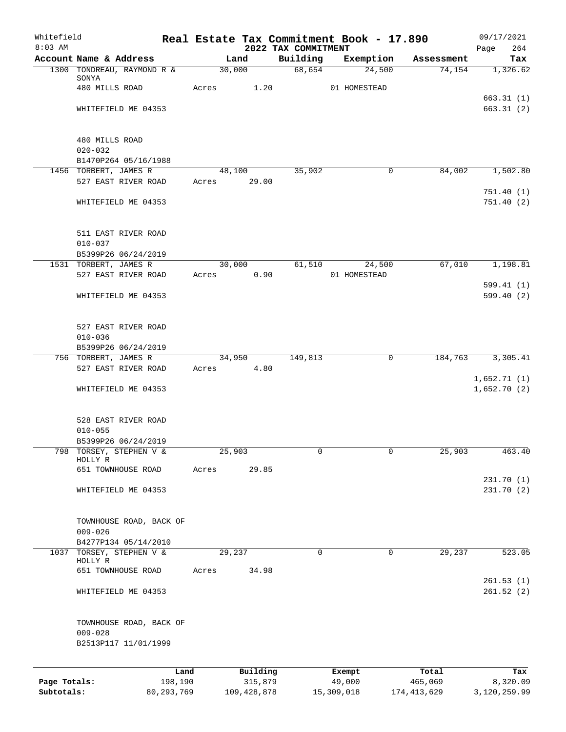| Whitefield                 |                                              |       |                        |                                 | Real Estate Tax Commitment Book - 17.890 |                        | 09/17/2021               |
|----------------------------|----------------------------------------------|-------|------------------------|---------------------------------|------------------------------------------|------------------------|--------------------------|
| $8:03$ AM                  | Account Name & Address                       |       | Land                   | 2022 TAX COMMITMENT<br>Building | Exemption                                | Assessment             | 264<br>Page<br>Tax       |
|                            | 1300 TONDREAU, RAYMOND R &                   |       | 30,000                 | 68,654                          | 24,500                                   | 74,154                 | 1,326.62                 |
|                            | SONYA                                        |       |                        |                                 |                                          |                        |                          |
|                            | 480 MILLS ROAD                               | Acres | 1.20                   |                                 | 01 HOMESTEAD                             |                        |                          |
|                            | WHITEFIELD ME 04353                          |       |                        |                                 |                                          |                        | 663.31(1)<br>663.31(2)   |
|                            |                                              |       |                        |                                 |                                          |                        |                          |
|                            | 480 MILLS ROAD                               |       |                        |                                 |                                          |                        |                          |
|                            | $020 - 032$                                  |       |                        |                                 |                                          |                        |                          |
|                            | B1470P264 05/16/1988                         |       |                        |                                 |                                          |                        |                          |
|                            | 1456 TORBERT, JAMES R                        |       | 48,100                 | 35,902                          |                                          | 0<br>84,002            | 1,502.80                 |
|                            | 527 EAST RIVER ROAD                          | Acres | 29.00                  |                                 |                                          |                        |                          |
|                            | WHITEFIELD ME 04353                          |       |                        |                                 |                                          |                        | 751.40(1)<br>751.40(2)   |
|                            |                                              |       |                        |                                 |                                          |                        |                          |
|                            | 511 EAST RIVER ROAD                          |       |                        |                                 |                                          |                        |                          |
|                            | $010 - 037$                                  |       |                        |                                 |                                          |                        |                          |
|                            | B5399P26 06/24/2019                          |       |                        |                                 |                                          |                        |                          |
|                            | 1531 TORBERT, JAMES R<br>527 EAST RIVER ROAD | Acres | 30,000<br>0.90         | 61,510                          | 24,500<br>01 HOMESTEAD                   | 67,010                 | 1,198.81                 |
|                            |                                              |       |                        |                                 |                                          |                        | 599.41(1)                |
|                            | WHITEFIELD ME 04353                          |       |                        |                                 |                                          |                        | 599.40(2)                |
|                            |                                              |       |                        |                                 |                                          |                        |                          |
|                            | 527 EAST RIVER ROAD                          |       |                        |                                 |                                          |                        |                          |
|                            | $010 - 036$                                  |       |                        |                                 |                                          |                        |                          |
|                            | B5399P26 06/24/2019                          |       |                        |                                 |                                          |                        |                          |
|                            | 756 TORBERT, JAMES R                         |       | 34,950                 | 149,813                         |                                          | $\mathbf 0$<br>184,763 | 3,305.41                 |
|                            | 527 EAST RIVER ROAD                          | Acres | 4.80                   |                                 |                                          |                        |                          |
|                            |                                              |       |                        |                                 |                                          |                        | 1,652.71(1)              |
|                            | WHITEFIELD ME 04353                          |       |                        |                                 |                                          |                        | 1,652.70(2)              |
|                            | 528 EAST RIVER ROAD                          |       |                        |                                 |                                          |                        |                          |
|                            | $010 - 055$                                  |       |                        |                                 |                                          |                        |                          |
|                            | B5399P26 06/24/2019                          |       |                        |                                 |                                          |                        |                          |
| 798                        | TORSEY, STEPHEN V &                          |       | 25,903                 | 0                               |                                          | 0<br>25,903            | 463.40                   |
|                            | HOLLY R<br>651 TOWNHOUSE ROAD                | Acres | 29.85                  |                                 |                                          |                        |                          |
|                            |                                              |       |                        |                                 |                                          |                        | 231.70(1)                |
|                            | WHITEFIELD ME 04353                          |       |                        |                                 |                                          |                        | 231.70(2)                |
|                            |                                              |       |                        |                                 |                                          |                        |                          |
|                            | TOWNHOUSE ROAD, BACK OF                      |       |                        |                                 |                                          |                        |                          |
|                            | $009 - 026$                                  |       |                        |                                 |                                          |                        |                          |
|                            | B4277P134 05/14/2010                         |       |                        |                                 |                                          |                        |                          |
| 1037                       | TORSEY, STEPHEN V &                          |       | 29,237                 | $\mathbf 0$                     |                                          | $\mathbf 0$<br>29,237  | 523.05                   |
|                            | HOLLY R<br>651 TOWNHOUSE ROAD                | Acres | 34.98                  |                                 |                                          |                        |                          |
|                            |                                              |       |                        |                                 |                                          |                        | 261.53(1)                |
|                            | WHITEFIELD ME 04353                          |       |                        |                                 |                                          |                        | 261.52(2)                |
|                            |                                              |       |                        |                                 |                                          |                        |                          |
|                            | TOWNHOUSE ROAD, BACK OF<br>$009 - 028$       |       |                        |                                 |                                          |                        |                          |
|                            | B2513P117 11/01/1999                         |       |                        |                                 |                                          |                        |                          |
|                            |                                              |       |                        |                                 |                                          |                        |                          |
|                            | Land                                         |       | Building               |                                 | Exempt                                   | Total                  | Tax                      |
| Page Totals:<br>Subtotals: | 198,190<br>80, 293, 769                      |       | 315,879<br>109,428,878 |                                 | 49,000<br>15,309,018                     | 465,069<br>174,413,629 | 8,320.09<br>3,120,259.99 |
|                            |                                              |       |                        |                                 |                                          |                        |                          |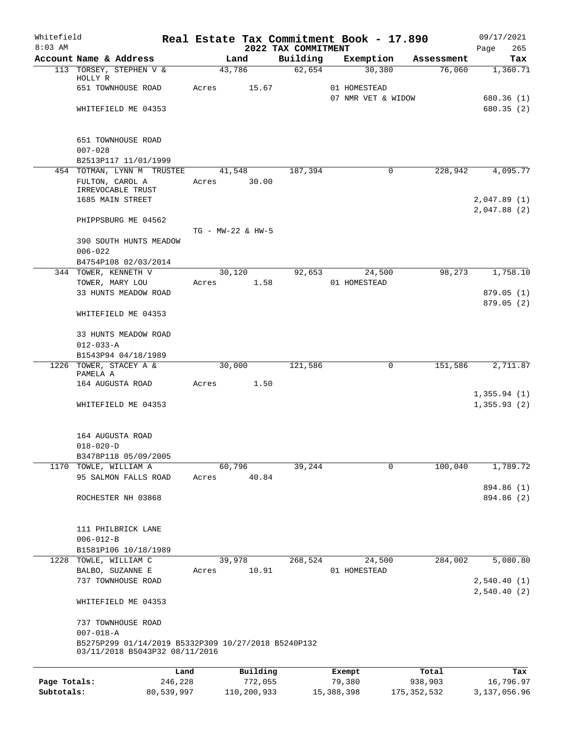| Whitefield<br>$8:03$ AM |                                                                        |                   |          | 2022 TAX COMMITMENT | Real Estate Tax Commitment Book - 17.890 |              | 09/17/2021<br>265<br>Page |
|-------------------------|------------------------------------------------------------------------|-------------------|----------|---------------------|------------------------------------------|--------------|---------------------------|
|                         | Account Name & Address                                                 |                   | Land     | Building            | Exemption                                | Assessment   | Tax                       |
|                         | 113 TORSEY, STEPHEN V &                                                | 43,786            |          | 62,654              | 30,380                                   | 76,060       | 1,360.71                  |
|                         | HOLLY R<br>651 TOWNHOUSE ROAD                                          | Acres             | 15.67    |                     | 01 HOMESTEAD                             |              |                           |
|                         |                                                                        |                   |          |                     | 07 NMR VET & WIDOW                       |              | 680.36 (1)                |
|                         | WHITEFIELD ME 04353                                                    |                   |          |                     |                                          |              | 680.35(2)                 |
|                         | 651 TOWNHOUSE ROAD                                                     |                   |          |                     |                                          |              |                           |
|                         | $007 - 028$                                                            |                   |          |                     |                                          |              |                           |
|                         | B2513P117 11/01/1999                                                   |                   |          |                     |                                          |              |                           |
|                         | 454 TOTMAN, LYNN M TRUSTEE                                             | 41,548            |          | 187,394             |                                          | 228,942<br>0 | 4,095.77                  |
|                         | FULTON, CAROL A<br>IRREVOCABLE TRUST                                   | Acres             | 30.00    |                     |                                          |              |                           |
|                         | 1685 MAIN STREET                                                       |                   |          |                     |                                          |              | 2,047.89(1)               |
|                         |                                                                        |                   |          |                     |                                          |              | 2,047.88 (2)              |
|                         | PHIPPSBURG ME 04562                                                    |                   |          |                     |                                          |              |                           |
|                         |                                                                        | TG - MW-22 & HW-5 |          |                     |                                          |              |                           |
|                         | 390 SOUTH HUNTS MEADOW                                                 |                   |          |                     |                                          |              |                           |
|                         | $006 - 022$<br>B4754P108 02/03/2014                                    |                   |          |                     |                                          |              |                           |
|                         | 344 TOWER, KENNETH V                                                   | 30,120            |          | 92,653              | 24,500                                   | 98,273       | 1,758.10                  |
|                         | TOWER, MARY LOU                                                        | Acres             | 1.58     |                     | 01 HOMESTEAD                             |              |                           |
|                         | 33 HUNTS MEADOW ROAD                                                   |                   |          |                     |                                          |              | 879.05 (1)                |
|                         | WHITEFIELD ME 04353                                                    |                   |          |                     |                                          |              | 879.05(2)                 |
|                         | 33 HUNTS MEADOW ROAD                                                   |                   |          |                     |                                          |              |                           |
|                         | $012 - 033 - A$                                                        |                   |          |                     |                                          |              |                           |
|                         | B1543P94 04/18/1989                                                    |                   |          |                     |                                          |              |                           |
|                         | 1226 TOWER, STACEY A &                                                 | 30,000            |          | 121,586             |                                          | 151,586<br>0 | 2,711.87                  |
|                         | PAMELA A                                                               |                   |          |                     |                                          |              |                           |
|                         | 164 AUGUSTA ROAD                                                       | Acres             | 1.50     |                     |                                          |              | 1,355.94(1)               |
|                         | WHITEFIELD ME 04353                                                    |                   |          |                     |                                          |              | 1, 355.93(2)              |
|                         | 164 AUGUSTA ROAD                                                       |                   |          |                     |                                          |              |                           |
|                         | $018 - 020 - D$                                                        |                   |          |                     |                                          |              |                           |
|                         | B3478P118 05/09/2005                                                   |                   |          |                     |                                          |              |                           |
|                         | 1170 TOWLE, WILLIAM A                                                  | 60,796            |          | 39,244              |                                          | 100,040<br>0 | 1,789.72                  |
|                         | 95 SALMON FALLS ROAD                                                   | Acres             | 40.84    |                     |                                          |              |                           |
|                         |                                                                        |                   |          |                     |                                          |              | 894.86 (1)                |
|                         | ROCHESTER NH 03868                                                     |                   |          |                     |                                          |              | 894.86 (2)                |
|                         | 111 PHILBRICK LANE                                                     |                   |          |                     |                                          |              |                           |
|                         | $006 - 012 - B$                                                        |                   |          |                     |                                          |              |                           |
|                         | B1581P106 10/18/1989                                                   |                   |          |                     |                                          |              |                           |
|                         | 1228 TOWLE, WILLIAM C                                                  | 39,978            |          | 268,524             | 24,500                                   | 284,002      | 5,080.80                  |
|                         | BALBO, SUZANNE E                                                       | Acres             | 10.91    |                     | 01 HOMESTEAD                             |              |                           |
|                         | 737 TOWNHOUSE ROAD                                                     |                   |          |                     |                                          |              | 2,540.40(1)               |
|                         | WHITEFIELD ME 04353                                                    |                   |          |                     |                                          |              | 2,540.40(2)               |
|                         | 737 TOWNHOUSE ROAD                                                     |                   |          |                     |                                          |              |                           |
|                         | $007 - 018 - A$<br>B5275P299 01/14/2019 B5332P309 10/27/2018 B5240P132 |                   |          |                     |                                          |              |                           |
|                         | 03/11/2018 B5043P32 08/11/2016                                         |                   |          |                     |                                          |              |                           |
|                         |                                                                        | Land              | Building |                     | Exempt                                   | Total        | Tax                       |
| Page Totals:            | 246,228                                                                |                   | 772,055  |                     | 79,380                                   | 938,903      | 16,796.97                 |

**Subtotals:** 80,539,997 110,200,933 15,388,398 175,352,532 3,137,056.96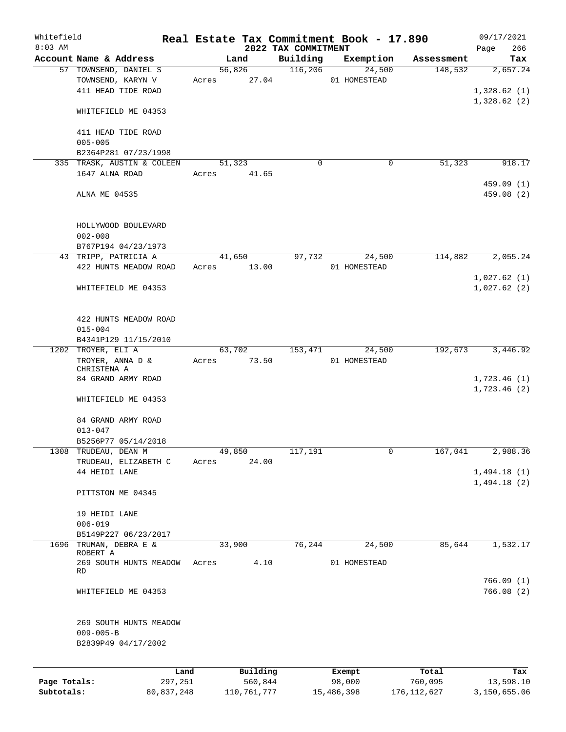| Whitefield   |                                      |       |             |                                 | Real Estate Tax Commitment Book - 17.890 |               | 09/17/2021         |
|--------------|--------------------------------------|-------|-------------|---------------------------------|------------------------------------------|---------------|--------------------|
| $8:03$ AM    | Account Name & Address               |       | Land        | 2022 TAX COMMITMENT<br>Building | Exemption                                | Assessment    | 266<br>Page<br>Tax |
|              | 57 TOWNSEND, DANIEL S                |       | 56,826      | 116,206                         | 24,500                                   | 148,532       | 2,657.24           |
|              | TOWNSEND, KARYN V                    | Acres | 27.04       |                                 | 01 HOMESTEAD                             |               |                    |
|              | 411 HEAD TIDE ROAD                   |       |             |                                 |                                          |               | 1,328.62(1)        |
|              |                                      |       |             |                                 |                                          |               | 1,328.62(2)        |
|              | WHITEFIELD ME 04353                  |       |             |                                 |                                          |               |                    |
|              | 411 HEAD TIDE ROAD                   |       |             |                                 |                                          |               |                    |
|              | $005 - 005$                          |       |             |                                 |                                          |               |                    |
|              | B2364P281 07/23/1998                 |       |             |                                 |                                          |               |                    |
|              | 335 TRASK, AUSTIN & COLEEN           |       | 51,323      | $\Omega$                        | 0                                        | 51,323        | 918.17             |
|              | 1647 ALNA ROAD                       | Acres | 41.65       |                                 |                                          |               |                    |
|              |                                      |       |             |                                 |                                          |               | 459.09 (1)         |
|              | ALNA ME 04535                        |       |             |                                 |                                          |               | 459.08 (2)         |
|              |                                      |       |             |                                 |                                          |               |                    |
|              |                                      |       |             |                                 |                                          |               |                    |
|              | HOLLYWOOD BOULEVARD                  |       |             |                                 |                                          |               |                    |
|              | $002 - 008$                          |       |             |                                 |                                          |               |                    |
|              | B767P194 04/23/1973                  |       |             |                                 |                                          |               |                    |
|              | 43 TRIPP, PATRICIA A                 |       | 41,650      | 97,732                          | 24,500                                   | 114,882       | 2,055.24           |
|              | 422 HUNTS MEADOW ROAD                | Acres | 13.00       |                                 | 01 HOMESTEAD                             |               |                    |
|              |                                      |       |             |                                 |                                          |               | 1,027.62(1)        |
|              | WHITEFIELD ME 04353                  |       |             |                                 |                                          |               | 1,027.62(2)        |
|              |                                      |       |             |                                 |                                          |               |                    |
|              |                                      |       |             |                                 |                                          |               |                    |
|              | 422 HUNTS MEADOW ROAD<br>$015 - 004$ |       |             |                                 |                                          |               |                    |
|              | B4341P129 11/15/2010                 |       |             |                                 |                                          |               |                    |
|              | 1202 TROYER, ELI A                   |       | 63,702      | 153,471                         | 24,500                                   | 192,673       | 3,446.92           |
|              | TROYER, ANNA D &                     | Acres | 73.50       |                                 | 01 HOMESTEAD                             |               |                    |
|              | CHRISTENA A                          |       |             |                                 |                                          |               |                    |
|              | 84 GRAND ARMY ROAD                   |       |             |                                 |                                          |               | 1,723.46(1)        |
|              |                                      |       |             |                                 |                                          |               | 1,723.46(2)        |
|              | WHITEFIELD ME 04353                  |       |             |                                 |                                          |               |                    |
|              |                                      |       |             |                                 |                                          |               |                    |
|              | 84 GRAND ARMY ROAD                   |       |             |                                 |                                          |               |                    |
|              | $013 - 047$                          |       |             |                                 |                                          |               |                    |
|              | B5256P77 05/14/2018                  |       |             |                                 |                                          |               |                    |
| 1308         | TRUDEAU, DEAN M                      |       | 49,850      | 117,191                         | 0                                        | 167,041       | 2,988.36           |
|              | TRUDEAU, ELIZABETH C                 | Acres | 24.00       |                                 |                                          |               |                    |
|              | 44 HEIDI LANE                        |       |             |                                 |                                          |               | 1,494.18(1)        |
|              |                                      |       |             |                                 |                                          |               | 1,494.18(2)        |
|              | PITTSTON ME 04345                    |       |             |                                 |                                          |               |                    |
|              |                                      |       |             |                                 |                                          |               |                    |
|              | 19 HEIDI LANE                        |       |             |                                 |                                          |               |                    |
|              | $006 - 019$                          |       |             |                                 |                                          |               |                    |
|              | B5149P227 06/23/2017                 |       |             |                                 |                                          |               |                    |
|              | 1696 TRUMAN, DEBRA E &<br>ROBERT A   |       | 33,900      | 76,244                          | 24,500                                   | 85,644        | 1,532.17           |
|              | 269 SOUTH HUNTS MEADOW               | Acres | 4.10        |                                 | 01 HOMESTEAD                             |               |                    |
|              | RD                                   |       |             |                                 |                                          |               |                    |
|              |                                      |       |             |                                 |                                          |               | 766.09(1)          |
|              | WHITEFIELD ME 04353                  |       |             |                                 |                                          |               | 766.08(2)          |
|              |                                      |       |             |                                 |                                          |               |                    |
|              |                                      |       |             |                                 |                                          |               |                    |
|              | 269 SOUTH HUNTS MEADOW               |       |             |                                 |                                          |               |                    |
|              | $009 - 005 - B$                      |       |             |                                 |                                          |               |                    |
|              | B2839P49 04/17/2002                  |       |             |                                 |                                          |               |                    |
|              |                                      |       |             |                                 |                                          |               |                    |
|              |                                      | Land  | Building    |                                 | Exempt                                   | Total         | Tax                |
| Page Totals: | 297,251                              |       | 560,844     |                                 | 98,000                                   | 760,095       | 13,598.10          |
| Subtotals:   | 80,837,248                           |       | 110,761,777 |                                 | 15,486,398                               | 176, 112, 627 | 3,150,655.06       |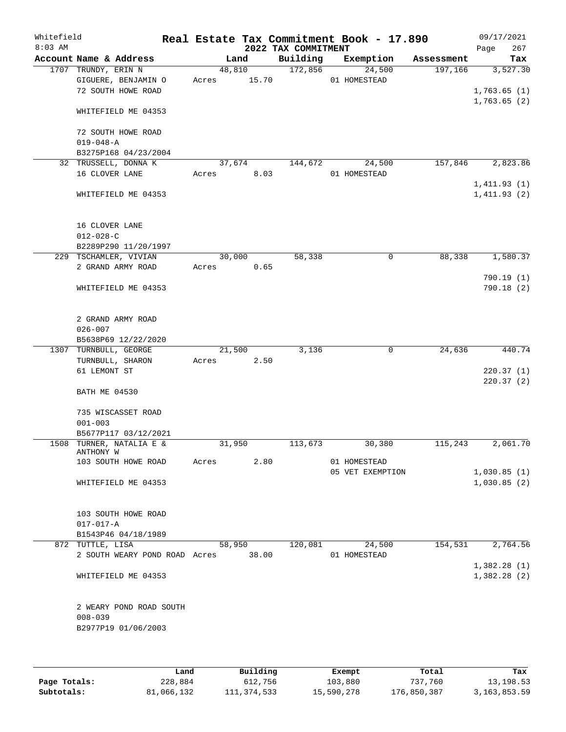| Whitefield<br>$8:03$ AM |                               |        |        | 2022 TAX COMMITMENT | Real Estate Tax Commitment Book - 17.890 |            | 09/17/2021<br>267<br>Page |
|-------------------------|-------------------------------|--------|--------|---------------------|------------------------------------------|------------|---------------------------|
|                         | Account Name & Address        |        | Land   | Building            | Exemption                                | Assessment | Tax                       |
|                         | 1707 TRUNDY, ERIN N           |        | 48,810 | 172,856             | 24,500                                   | 197,166    | 3,527.30                  |
|                         | GIGUERE, BENJAMIN O           | Acres  | 15.70  |                     | 01 HOMESTEAD                             |            |                           |
|                         | 72 SOUTH HOWE ROAD            |        |        |                     |                                          |            | 1,763.65(1)               |
|                         |                               |        |        |                     |                                          |            | 1,763.65(2)               |
|                         | WHITEFIELD ME 04353           |        |        |                     |                                          |            |                           |
|                         | 72 SOUTH HOWE ROAD            |        |        |                     |                                          |            |                           |
|                         | $019 - 048 - A$               |        |        |                     |                                          |            |                           |
|                         | B3275P168 04/23/2004          |        |        |                     |                                          |            |                           |
|                         | 32 TRUSSELL, DONNA K          |        | 37,674 | 144,672             | 24,500                                   | 157,846    | 2,823.86                  |
|                         | 16 CLOVER LANE                | Acres  | 8.03   |                     | 01 HOMESTEAD                             |            |                           |
|                         |                               |        |        |                     |                                          |            | 1,411.93(1)               |
|                         | WHITEFIELD ME 04353           |        |        |                     |                                          |            | 1,411.93(2)               |
|                         |                               |        |        |                     |                                          |            |                           |
|                         | 16 CLOVER LANE                |        |        |                     |                                          |            |                           |
|                         | $012 - 028 - C$               |        |        |                     |                                          |            |                           |
|                         | B2289P290 11/20/1997          |        |        |                     |                                          |            |                           |
|                         | 229 TSCHAMLER, VIVIAN         |        | 30,000 | 58,338              | 0                                        | 88,338     | 1,580.37                  |
|                         | 2 GRAND ARMY ROAD             | Acres  | 0.65   |                     |                                          |            |                           |
|                         |                               |        |        |                     |                                          |            | 790.19(1)                 |
|                         | WHITEFIELD ME 04353           |        |        |                     |                                          |            | 790.18(2)                 |
|                         |                               |        |        |                     |                                          |            |                           |
|                         |                               |        |        |                     |                                          |            |                           |
|                         | 2 GRAND ARMY ROAD             |        |        |                     |                                          |            |                           |
|                         | $026 - 007$                   |        |        |                     |                                          |            |                           |
|                         | B5638P69 12/22/2020           |        |        |                     |                                          |            |                           |
|                         | 1307 TURNBULL, GEORGE         |        | 21,500 | 3,136               | $\mathbf 0$                              | 24,636     | 440.74                    |
|                         | TURNBULL, SHARON              | Acres  | 2.50   |                     |                                          |            |                           |
|                         | 61 LEMONT ST                  |        |        |                     |                                          |            | 220.37(1)                 |
|                         |                               |        |        |                     |                                          |            | 220.37(2)                 |
|                         | <b>BATH ME 04530</b>          |        |        |                     |                                          |            |                           |
|                         | 735 WISCASSET ROAD            |        |        |                     |                                          |            |                           |
|                         | $001 - 003$                   |        |        |                     |                                          |            |                           |
|                         | B5677P117 03/12/2021          |        |        |                     |                                          |            |                           |
|                         | 1508 TURNER, NATALIA E &      | 31,950 |        | 113,673             | 30,380                                   | 115,243    | 2,061.70                  |
|                         | ANTHONY W                     |        |        |                     |                                          |            |                           |
|                         | 103 SOUTH HOWE ROAD           | Acres  | 2.80   |                     | 01 HOMESTEAD                             |            |                           |
|                         |                               |        |        |                     | 05 VET EXEMPTION                         |            | 1,030.85(1)               |
|                         | WHITEFIELD ME 04353           |        |        |                     |                                          |            | 1,030.85(2)               |
|                         |                               |        |        |                     |                                          |            |                           |
|                         |                               |        |        |                     |                                          |            |                           |
|                         | 103 SOUTH HOWE ROAD           |        |        |                     |                                          |            |                           |
|                         | $017 - 017 - A$               |        |        |                     |                                          |            |                           |
|                         | B1543P46 04/18/1989           |        |        |                     |                                          |            |                           |
|                         | 872 TUTTLE, LISA              |        | 58,950 | 120,081             | 24,500                                   | 154,531    | 2,764.56                  |
|                         | 2 SOUTH WEARY POND ROAD Acres |        | 38.00  |                     | 01 HOMESTEAD                             |            |                           |
|                         |                               |        |        |                     |                                          |            | 1,382.28(1)               |
|                         | WHITEFIELD ME 04353           |        |        |                     |                                          |            | 1,382.28(2)               |
|                         |                               |        |        |                     |                                          |            |                           |
|                         | 2 WEARY POND ROAD SOUTH       |        |        |                     |                                          |            |                           |
|                         | $008 - 039$                   |        |        |                     |                                          |            |                           |
|                         | B2977P19 01/06/2003           |        |        |                     |                                          |            |                           |
|                         |                               |        |        |                     |                                          |            |                           |
|                         |                               |        |        |                     |                                          |            |                           |
|                         |                               |        |        |                     |                                          |            |                           |

|              | Land       | Building    | Exempt     | Total       | Tax             |
|--------------|------------|-------------|------------|-------------|-----------------|
| Page Totals: | 228,884    | 612,756     | 103,880    | 737,760     | 13,198.53       |
| Subtotals:   | 81,066,132 | 111,374,533 | 15,590,278 | 176,850,387 | 3, 163, 853. 59 |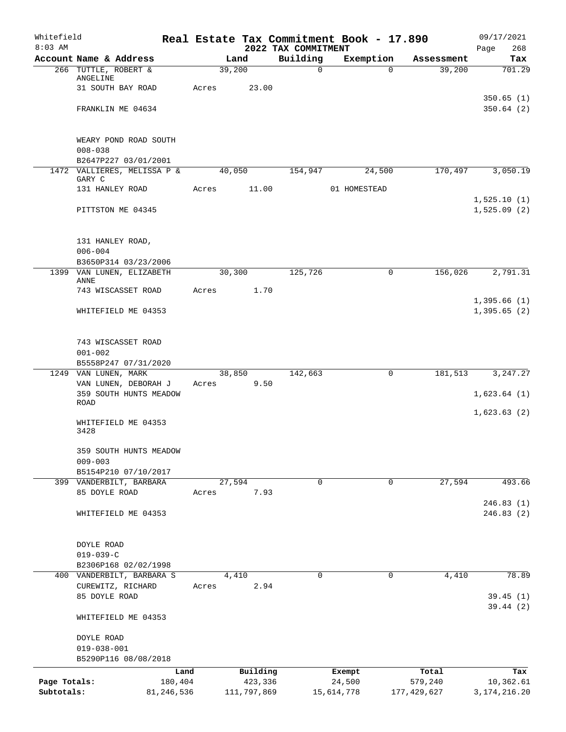| Whitefield<br>$8:03$ AM |                                                 |       |                | 2022 TAX COMMITMENT | Real Estate Tax Commitment Book - 17.890 |             | 09/17/2021<br>268<br>Page |
|-------------------------|-------------------------------------------------|-------|----------------|---------------------|------------------------------------------|-------------|---------------------------|
|                         | Account Name & Address                          |       | Land           | Building            | Exemption                                | Assessment  | Tax                       |
|                         | 266 TUTTLE, ROBERT &                            |       | 39,200         | $\mathbf 0$         | $\Omega$                                 | 39,200      | 701.29                    |
|                         | ANGELINE                                        |       |                |                     |                                          |             |                           |
|                         | 31 SOUTH BAY ROAD                               | Acres | 23.00          |                     |                                          |             |                           |
|                         | FRANKLIN ME 04634                               |       |                |                     |                                          |             | 350.65(1)<br>350.64(2)    |
|                         |                                                 |       |                |                     |                                          |             |                           |
|                         | WEARY POND ROAD SOUTH                           |       |                |                     |                                          |             |                           |
|                         | $008 - 038$                                     |       |                |                     |                                          |             |                           |
|                         | B2647P227 03/01/2001                            |       |                |                     |                                          |             |                           |
|                         | 1472 VALLIERES, MELISSA P &<br>GARY C           |       | 40,050         | 154,947             | 24,500                                   | 170,497     | 3,050.19                  |
|                         | 131 HANLEY ROAD                                 | Acres | 11.00          |                     | 01 HOMESTEAD                             |             |                           |
|                         |                                                 |       |                |                     |                                          |             | 1,525.10(1)               |
|                         | PITTSTON ME 04345                               |       |                |                     |                                          |             | 1,525.09(2)               |
|                         | 131 HANLEY ROAD,                                |       |                |                     |                                          |             |                           |
|                         | $006 - 004$                                     |       |                |                     |                                          |             |                           |
|                         | B3650P314 03/23/2006                            |       |                |                     |                                          |             |                           |
|                         | 1399 VAN LUNEN, ELIZABETH                       |       | 30,300         | 125,726             | 0                                        | 156,026     | 2,791.31                  |
|                         | ANNE<br>743 WISCASSET ROAD                      | Acres | 1.70           |                     |                                          |             |                           |
|                         |                                                 |       |                |                     |                                          |             | 1,395.66(1)               |
|                         | WHITEFIELD ME 04353                             |       |                |                     |                                          |             | 1,395.65(2)               |
|                         |                                                 |       |                |                     |                                          |             |                           |
|                         | 743 WISCASSET ROAD                              |       |                |                     |                                          |             |                           |
|                         | $001 - 002$                                     |       |                |                     |                                          |             |                           |
|                         | B5558P247 07/31/2020                            |       |                |                     |                                          |             |                           |
|                         | 1249 VAN LUNEN, MARK<br>VAN LUNEN, DEBORAH J    | Acres | 38,850<br>9.50 | 142,663             | $\mathbf 0$                              | 181,513     | 3, 247.27                 |
|                         | 359 SOUTH HUNTS MEADOW                          |       |                |                     |                                          |             | 1,623.64(1)               |
|                         | ROAD                                            |       |                |                     |                                          |             |                           |
|                         | WHITEFIELD ME 04353<br>3428                     |       |                |                     |                                          |             | 1,623.63(2)               |
|                         |                                                 |       |                |                     |                                          |             |                           |
|                         | 359 SOUTH HUNTS MEADOW                          |       |                |                     |                                          |             |                           |
|                         | $009 - 003$                                     |       |                |                     |                                          |             |                           |
|                         | B5154P210 07/10/2017<br>399 VANDERBILT, BARBARA |       |                | 0                   | 0                                        | 27,594      | 493.66                    |
|                         | 85 DOYLE ROAD                                   | Acres | 27,594<br>7.93 |                     |                                          |             |                           |
|                         |                                                 |       |                |                     |                                          |             | 246.83(1)                 |
|                         | WHITEFIELD ME 04353                             |       |                |                     |                                          |             | 246.83(2)                 |
|                         | DOYLE ROAD                                      |       |                |                     |                                          |             |                           |
|                         | $019 - 039 - C$                                 |       |                |                     |                                          |             |                           |
|                         | B2306P168 02/02/1998                            |       |                |                     |                                          |             |                           |
|                         | 400 VANDERBILT, BARBARA S                       |       | 4,410          | 0                   | $\mathbf 0$                              | 4,410       | 78.89                     |
|                         | CUREWITZ, RICHARD                               | Acres | 2.94           |                     |                                          |             |                           |
|                         | 85 DOYLE ROAD                                   |       |                |                     |                                          |             | 39.45(1)                  |
|                         | WHITEFIELD ME 04353                             |       |                |                     |                                          |             | 39.44(2)                  |
|                         | DOYLE ROAD                                      |       |                |                     |                                          |             |                           |
|                         | $019 - 038 - 001$                               |       |                |                     |                                          |             |                           |
|                         | B5290P116 08/08/2018                            |       |                |                     |                                          |             |                           |
|                         |                                                 | Land  | Building       |                     | Exempt                                   | Total       | Tax                       |
| Page Totals:            | 180,404                                         |       | 423,336        |                     | 24,500                                   | 579,240     | 10,362.61                 |
| Subtotals:              | 81,246,536                                      |       | 111,797,869    |                     | 15,614,778                               | 177,429,627 | 3, 174, 216. 20           |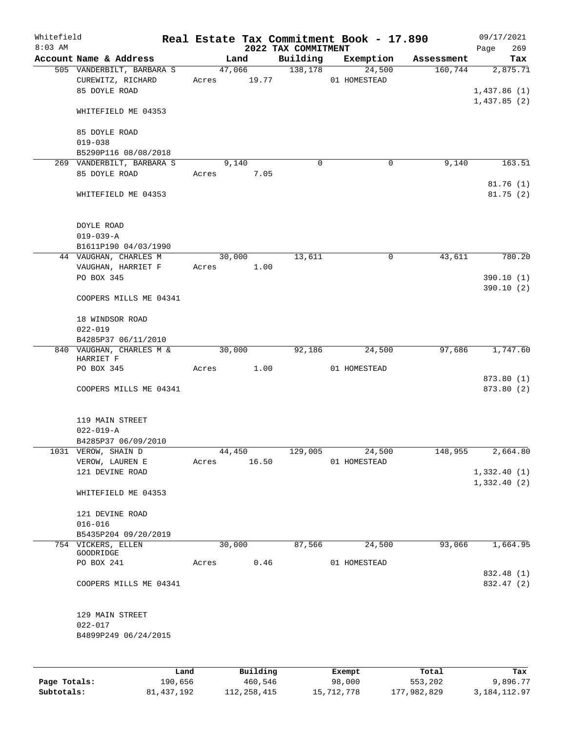| Whitefield<br>$8:03$ AM |                                                                 |       |                       | 2022 TAX COMMITMENT | Real Estate Tax Commitment Book - 17.890 |            | 09/17/2021<br>269<br>Page |
|-------------------------|-----------------------------------------------------------------|-------|-----------------------|---------------------|------------------------------------------|------------|---------------------------|
|                         | Account Name & Address                                          |       | Land                  | Building            | Exemption                                | Assessment | Tax                       |
|                         | 505 VANDERBILT, BARBARA S<br>CUREWITZ, RICHARD<br>85 DOYLE ROAD |       | 47,066<br>Acres 19.77 | 138,178             | 24,500<br>01 HOMESTEAD                   | 160,744    | 2,875.71<br>1,437.86(1)   |
|                         | WHITEFIELD ME 04353                                             |       |                       |                     |                                          |            | 1,437.85(2)               |
|                         | 85 DOYLE ROAD<br>$019 - 038$                                    |       |                       |                     |                                          |            |                           |
|                         | B5290P116 08/08/2018                                            |       |                       |                     |                                          |            |                           |
|                         | 269 VANDERBILT, BARBARA S<br>85 DOYLE ROAD                      | Acres | 9,140<br>7.05         | $\mathbf 0$         | $\mathbf 0$                              | 9,140      | 163.51                    |
|                         | WHITEFIELD ME 04353                                             |       |                       |                     |                                          |            | 81.76(1)<br>81.75(2)      |
|                         | DOYLE ROAD<br>$019 - 039 - A$<br>B1611P190 04/03/1990           |       |                       |                     |                                          |            |                           |
|                         | 44 VAUGHAN, CHARLES M                                           |       | 30,000                | 13,611              | 0                                        | 43,611     | 780.20                    |
|                         | VAUGHAN, HARRIET F                                              |       | Acres 1.00            |                     |                                          |            |                           |
|                         | PO BOX 345                                                      |       |                       |                     |                                          |            | 390.10(1)                 |
|                         | COOPERS MILLS ME 04341                                          |       |                       |                     |                                          |            | 390.10(2)                 |
|                         | 18 WINDSOR ROAD                                                 |       |                       |                     |                                          |            |                           |
|                         | $022 - 019$                                                     |       |                       |                     |                                          |            |                           |
|                         | B4285P37 06/11/2010<br>840 VAUGHAN, CHARLES M &                 |       | 30,000                | 92,186              | 24,500                                   | 97,686     | 1,747.60                  |
|                         | HARRIET F                                                       |       |                       |                     |                                          |            |                           |
|                         | PO BOX 345                                                      | Acres | 1.00                  |                     | 01 HOMESTEAD                             |            |                           |
|                         | COOPERS MILLS ME 04341                                          |       |                       |                     |                                          |            | 873.80 (1)<br>873.80 (2)  |
|                         | 119 MAIN STREET<br>$022 - 019 - A$                              |       |                       |                     |                                          |            |                           |
|                         | B4285P37 06/09/2010                                             |       |                       |                     |                                          |            |                           |
|                         | 1031 VEROW, SHAIN D<br>VEROW, LAUREN E                          | Acres | 44,450<br>16.50       | 129,005             | 24,500<br>01 HOMESTEAD                   | 148,955    | 2,664.80                  |
|                         | 121 DEVINE ROAD                                                 |       |                       |                     |                                          |            | 1,332.40(1)               |
|                         | WHITEFIELD ME 04353                                             |       |                       |                     |                                          |            | 1,332.40(2)               |
|                         | 121 DEVINE ROAD                                                 |       |                       |                     |                                          |            |                           |
|                         | $016 - 016$                                                     |       |                       |                     |                                          |            |                           |
|                         | B5435P204 09/20/2019                                            |       |                       |                     |                                          |            |                           |
|                         | 754 VICKERS, ELLEN                                              |       | 30,000                | 87,566              | 24,500                                   | 93,066     | 1,664.95                  |
|                         | GOODRIDGE<br>PO BOX 241                                         | Acres | 0.46                  |                     | 01 HOMESTEAD                             |            |                           |
|                         |                                                                 |       |                       |                     |                                          |            | 832.48 (1)                |
|                         | COOPERS MILLS ME 04341                                          |       |                       |                     |                                          |            | 832.47 (2)                |
|                         | 129 MAIN STREET<br>$022 - 017$<br>B4899P249 06/24/2015          |       |                       |                     |                                          |            |                           |
|                         |                                                                 |       |                       |                     |                                          |            |                           |
|                         |                                                                 |       |                       |                     |                                          |            |                           |

|              | Land       | Building    | Exempt     | Total       | Tax          |
|--------------|------------|-------------|------------|-------------|--------------|
| Page Totals: | 190,656    | 460,546     | 98,000     | 553,202     | 9,896.77     |
| Subtotals:   | 81,437,192 | 112,258,415 | 15,712,778 | 177,982,829 | 3,184,112.97 |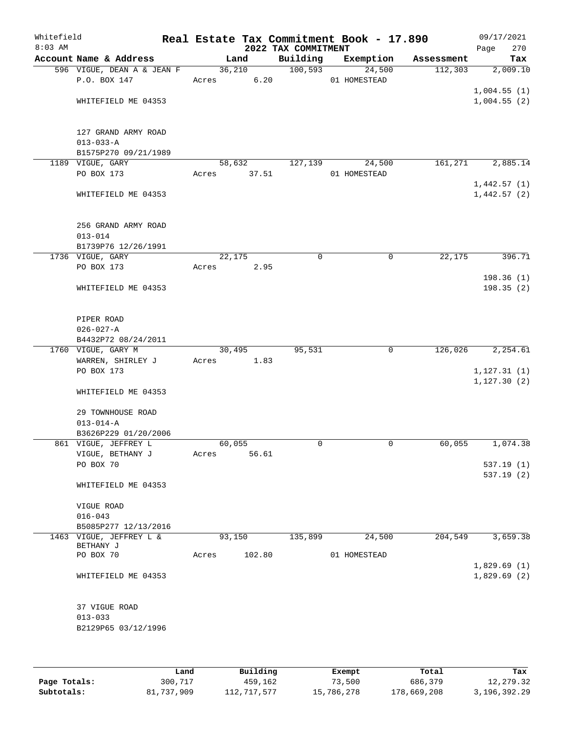| Whitefield<br>$8:03$ AM |                                      |            |        | 2022 TAX COMMITMENT | Real Estate Tax Commitment Book - 17.890 |            | 09/17/2021<br>Page<br>270 |
|-------------------------|--------------------------------------|------------|--------|---------------------|------------------------------------------|------------|---------------------------|
|                         | Account Name & Address               | Land       |        | Building            | Exemption                                | Assessment | Tax                       |
|                         | 596 VIGUE, DEAN A & JEAN F           |            | 36,210 | 100,593             | 24,500                                   | 112,303    | 2,009.10                  |
|                         | P.O. BOX 147                         | Acres 6.20 |        |                     | 01 HOMESTEAD                             |            |                           |
|                         |                                      |            |        |                     |                                          |            | 1,004.55(1)               |
|                         | WHITEFIELD ME 04353                  |            |        |                     |                                          |            | 1,004.55(2)               |
|                         | 127 GRAND ARMY ROAD                  |            |        |                     |                                          |            |                           |
|                         | $013 - 033 - A$                      |            |        |                     |                                          |            |                           |
|                         | B1575P270 09/21/1989                 |            |        |                     |                                          |            |                           |
|                         | 1189 VIGUE, GARY                     | 58,632     |        | 127,139             | 24,500                                   | 161,271    | 2,885.14                  |
|                         | PO BOX 173                           | Acres      | 37.51  |                     | 01 HOMESTEAD                             |            |                           |
|                         |                                      |            |        |                     |                                          |            | 1,442.57(1)               |
|                         | WHITEFIELD ME 04353                  |            |        |                     |                                          |            | 1,442.57(2)               |
|                         | 256 GRAND ARMY ROAD                  |            |        |                     |                                          |            |                           |
|                         | $013 - 014$                          |            |        |                     |                                          |            |                           |
|                         | B1739P76 12/26/1991                  |            |        |                     |                                          |            |                           |
|                         | 1736 VIGUE, GARY                     | 22,175     |        | 0                   | $\mathbf 0$                              | 22,175     | 396.71                    |
|                         | PO BOX 173                           | Acres      | 2.95   |                     |                                          |            |                           |
|                         | WHITEFIELD ME 04353                  |            |        |                     |                                          |            | 198.36 (1)<br>198.35(2)   |
|                         | PIPER ROAD                           |            |        |                     |                                          |            |                           |
|                         | $026 - 027 - A$                      |            |        |                     |                                          |            |                           |
|                         | B4432P72 08/24/2011                  |            |        |                     |                                          |            |                           |
|                         | 1760 VIGUE, GARY M                   | 30,495     |        | 95,531              | $\mathbf 0$                              | 126,026    | 2,254.61                  |
|                         | WARREN, SHIRLEY J                    | Acres 1.83 |        |                     |                                          |            |                           |
|                         | PO BOX 173                           |            |        |                     |                                          |            | 1, 127.31(1)              |
|                         | WHITEFIELD ME 04353                  |            |        |                     |                                          |            | 1, 127.30(2)              |
|                         | 29 TOWNHOUSE ROAD<br>$013 - 014 - A$ |            |        |                     |                                          |            |                           |
|                         | B3626P229 01/20/2006                 |            |        |                     |                                          |            |                           |
|                         | 861 VIGUE, JEFFREY L                 | 60,055     |        | 0                   | 0                                        | 60,055     | 1,074.38                  |
|                         | VIGUE, BETHANY J                     | Acres      | 56.61  |                     |                                          |            |                           |
|                         | PO BOX 70                            |            |        |                     |                                          |            | 537.19 (1)                |
|                         |                                      |            |        |                     |                                          |            | 537.19(2)                 |
|                         | WHITEFIELD ME 04353                  |            |        |                     |                                          |            |                           |
|                         | VIGUE ROAD                           |            |        |                     |                                          |            |                           |
|                         | $016 - 043$                          |            |        |                     |                                          |            |                           |
|                         | B5085P277 12/13/2016                 |            |        |                     |                                          |            |                           |
|                         | 1463 VIGUE, JEFFREY L &<br>BETHANY J | 93,150     |        | 135,899             | 24,500                                   | 204,549    | 3,659.38                  |
|                         | PO BOX 70                            | Acres      | 102.80 |                     | 01 HOMESTEAD                             |            |                           |
|                         |                                      |            |        |                     |                                          |            | 1,829.69(1)               |
|                         | WHITEFIELD ME 04353                  |            |        |                     |                                          |            | 1,829.69(2)               |
|                         | 37 VIGUE ROAD                        |            |        |                     |                                          |            |                           |
|                         | $013 - 033$                          |            |        |                     |                                          |            |                           |
|                         | B2129P65 03/12/1996                  |            |        |                     |                                          |            |                           |
|                         |                                      |            |        |                     |                                          |            |                           |
|                         |                                      |            |        |                     |                                          |            |                           |
|                         |                                      |            |        |                     |                                          |            |                           |

|              | Land       | Building    | Exempt     | Total       | Tax          |
|--------------|------------|-------------|------------|-------------|--------------|
| Page Totals: | 300,717    | 459,162     | 73,500     | 686,379     | 12,279.32    |
| Subtotals:   | 81,737,909 | 112,717,577 | 15,786,278 | 178,669,208 | 3,196,392.29 |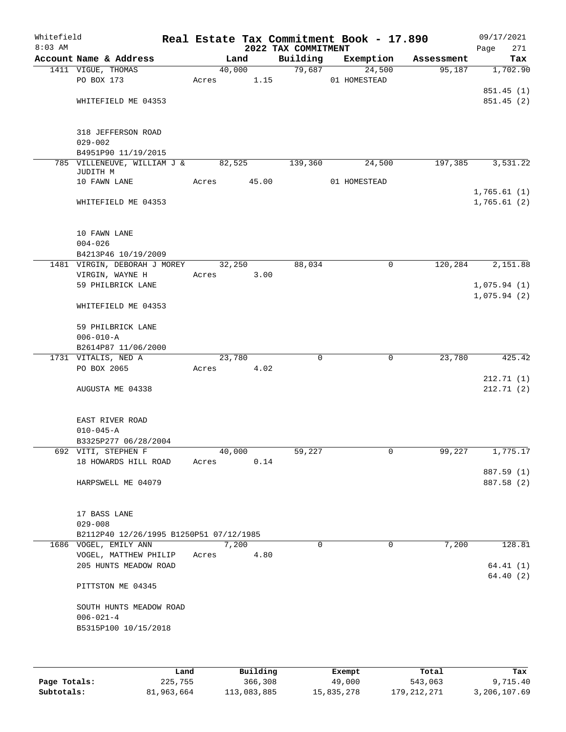| Whitefield<br>$8:03$ AM |                                                          |       |                | 2022 TAX COMMITMENT | Real Estate Tax Commitment Book - 17.890 |            | 09/17/2021<br>271<br>Page  |
|-------------------------|----------------------------------------------------------|-------|----------------|---------------------|------------------------------------------|------------|----------------------------|
|                         | Account Name & Address                                   |       | Land           | Building            | Exemption                                | Assessment | Tax                        |
|                         | 1411 VIGUE, THOMAS<br>PO BOX 173                         | Acres | 40,000<br>1.15 | 79,687              | 24,500<br>01 HOMESTEAD                   | 95,187     | 1,702.90                   |
|                         | WHITEFIELD ME 04353                                      |       |                |                     |                                          |            | 851.45 (1)<br>851.45 (2)   |
|                         | 318 JEFFERSON ROAD<br>$029 - 002$<br>B4951P90 11/19/2015 |       |                |                     |                                          |            |                            |
|                         | 785 VILLENEUVE, WILLIAM J &                              |       | 82,525         | 139,360             | 24,500                                   | 197,385    | 3,531.22                   |
|                         | JUDITH M                                                 |       |                |                     |                                          |            |                            |
|                         | 10 FAWN LANE                                             | Acres | 45.00          |                     | 01 HOMESTEAD                             |            |                            |
|                         | WHITEFIELD ME 04353                                      |       |                |                     |                                          |            | 1,765.61(1)<br>1,765.61(2) |
|                         | 10 FAWN LANE<br>$004 - 026$<br>B4213P46 10/19/2009       |       |                |                     |                                          |            |                            |
|                         | 1481 VIRGIN, DEBORAH J MOREY                             |       | 32,250         | 88,034              | 0                                        | 120,284    | 2,151.88                   |
|                         | VIRGIN, WAYNE H                                          | Acres | 3.00           |                     |                                          |            |                            |
|                         | 59 PHILBRICK LANE                                        |       |                |                     |                                          |            | 1,075.94(1)                |
|                         | WHITEFIELD ME 04353                                      |       |                |                     |                                          |            | 1,075.94(2)                |
|                         | 59 PHILBRICK LANE                                        |       |                |                     |                                          |            |                            |
|                         | $006 - 010 - A$                                          |       |                |                     |                                          |            |                            |
|                         | B2614P87 11/06/2000                                      |       |                |                     |                                          |            |                            |
|                         | 1731 VITALIS, NED A                                      |       | 23,780         | $\mathbf 0$         | $\mathbf 0$                              | 23,780     | 425.42                     |
|                         | PO BOX 2065                                              | Acres | 4.02           |                     |                                          |            |                            |
|                         |                                                          |       |                |                     |                                          |            | 212.71(1)                  |
|                         | AUGUSTA ME 04338                                         |       |                |                     |                                          |            | 212.71(2)                  |
|                         | EAST RIVER ROAD<br>$010 - 045 - A$                       |       |                |                     |                                          |            |                            |
|                         | B3325P277 06/28/2004                                     |       |                |                     |                                          |            |                            |
|                         | 692 VITI, STEPHEN F                                      |       | 40,000         | 59,227              | 0                                        | 99,227     | 1,775.17                   |
|                         | 18 HOWARDS HILL ROAD                                     | Acres | 0.14           |                     |                                          |            |                            |
|                         |                                                          |       |                |                     |                                          |            | 887.59 (1)                 |
|                         | HARPSWELL ME 04079                                       |       |                |                     |                                          |            | 887.58 (2)                 |
|                         | 17 BASS LANE                                             |       |                |                     |                                          |            |                            |
|                         | $029 - 008$                                              |       |                |                     |                                          |            |                            |
|                         | B2112P40 12/26/1995 B1250P51 07/12/1985                  |       |                |                     |                                          |            |                            |
|                         | 1686 VOGEL, EMILY ANN                                    |       | 7,200          | $\Omega$            | $\Omega$                                 | 7,200      | 128.81                     |
|                         | VOGEL, MATTHEW PHILIP                                    | Acres | 4.80           |                     |                                          |            |                            |
|                         | 205 HUNTS MEADOW ROAD                                    |       |                |                     |                                          |            | 64.41(1)                   |
|                         | PITTSTON ME 04345                                        |       |                |                     |                                          |            | 64.40(2)                   |
|                         | SOUTH HUNTS MEADOW ROAD                                  |       |                |                     |                                          |            |                            |
|                         | $006 - 021 - 4$                                          |       |                |                     |                                          |            |                            |
|                         | B5315P100 10/15/2018                                     |       |                |                     |                                          |            |                            |
|                         |                                                          |       |                |                     |                                          |            |                            |
|                         |                                                          |       |                |                     |                                          |            |                            |
|                         |                                                          |       |                |                     |                                          |            |                            |

|              | Land       | Building    | Exempt     | Total         | Tax          |
|--------------|------------|-------------|------------|---------------|--------------|
| Page Totals: | 225,755    | 366,308     | 49,000     | 543,063       | 9,715.40     |
| Subtotals:   | 81,963,664 | 113,083,885 | 15,835,278 | 179, 212, 271 | 3,206,107.69 |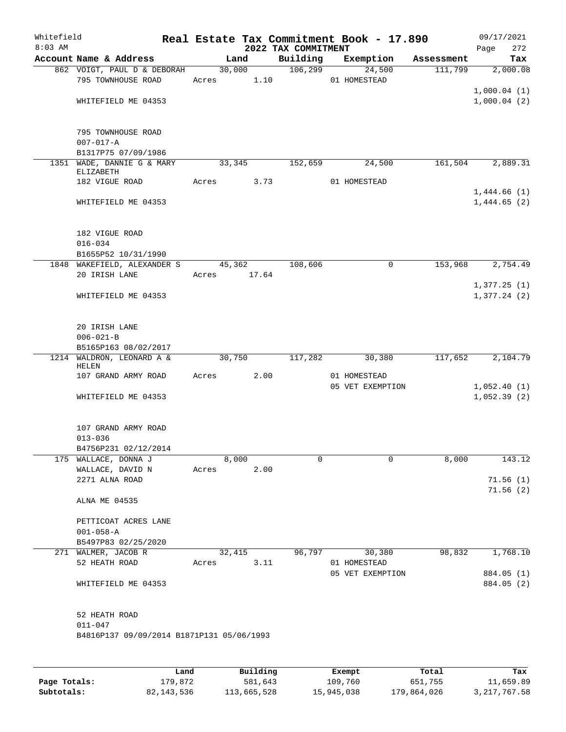| Whitefield<br>$8:03$ AM |                                                   |       |        |       | 2022 TAX COMMITMENT | Real Estate Tax Commitment Book - 17.890 |            | 09/17/2021<br>272<br>Page |
|-------------------------|---------------------------------------------------|-------|--------|-------|---------------------|------------------------------------------|------------|---------------------------|
|                         | Account Name & Address                            |       | Land   |       | Building            | Exemption                                | Assessment | Tax                       |
|                         | 862 VOIGT, PAUL D & DEBORAH<br>795 TOWNHOUSE ROAD | Acres | 30,000 | 1.10  | 106, 299            | 24,500<br>01 HOMESTEAD                   | 111,799    | 2,000.08                  |
|                         |                                                   |       |        |       |                     |                                          |            | 1,000.04(1)               |
|                         | WHITEFIELD ME 04353                               |       |        |       |                     |                                          |            | 1,000.04(2)               |
|                         | 795 TOWNHOUSE ROAD                                |       |        |       |                     |                                          |            |                           |
|                         | $007 - 017 - A$<br>B1317P75 07/09/1986            |       |        |       |                     |                                          |            |                           |
|                         | 1351 WADE, DANNIE G & MARY                        |       | 33,345 |       | 152,659             | 24,500                                   | 161,504    | 2,889.31                  |
|                         | ELIZABETH                                         |       |        |       |                     |                                          |            |                           |
|                         | 182 VIGUE ROAD                                    | Acres |        | 3.73  |                     | 01 HOMESTEAD                             |            |                           |
|                         |                                                   |       |        |       |                     |                                          |            | 1,444.66(1)               |
|                         | WHITEFIELD ME 04353                               |       |        |       |                     |                                          |            | 1,444.65(2)               |
|                         | 182 VIGUE ROAD                                    |       |        |       |                     |                                          |            |                           |
|                         | $016 - 034$                                       |       |        |       |                     |                                          |            |                           |
|                         | B1655P52 10/31/1990                               |       |        |       |                     |                                          |            |                           |
|                         | 1848 WAKEFIELD, ALEXANDER S<br>20 IRISH LANE      | Acres | 45,362 | 17.64 | 108,606             | $\mathbf 0$                              | 153,968    | 2,754.49                  |
|                         |                                                   |       |        |       |                     |                                          |            | 1,377.25(1)               |
|                         | WHITEFIELD ME 04353                               |       |        |       |                     |                                          |            | 1,377.24(2)               |
|                         | 20 IRISH LANE                                     |       |        |       |                     |                                          |            |                           |
|                         | $006 - 021 - B$                                   |       |        |       |                     |                                          |            |                           |
|                         | B5165P163 08/02/2017                              |       |        |       |                     |                                          |            |                           |
|                         | 1214 WALDRON, LEONARD A &<br>HELEN                |       | 30,750 |       | 117,282             | 30,380                                   | 117,652    | 2,104.79                  |
|                         | 107 GRAND ARMY ROAD                               | Acres |        | 2.00  |                     | 01 HOMESTEAD<br>05 VET EXEMPTION         |            | 1,052.40(1)               |
|                         | WHITEFIELD ME 04353                               |       |        |       |                     |                                          |            | 1,052.39(2)               |
|                         | 107 GRAND ARMY ROAD                               |       |        |       |                     |                                          |            |                           |
|                         | $013 - 036$                                       |       |        |       |                     |                                          |            |                           |
|                         | B4756P231 02/12/2014<br>175 WALLACE, DONNA J      |       | 8,000  |       | 0                   | 0                                        | 8,000      | 143.12                    |
|                         | WALLACE, DAVID N                                  | Acres |        | 2.00  |                     |                                          |            |                           |
|                         | 2271 ALNA ROAD                                    |       |        |       |                     |                                          |            | 71.56(1)                  |
|                         | ALNA ME 04535                                     |       |        |       |                     |                                          |            | 71.56(2)                  |
|                         | PETTICOAT ACRES LANE                              |       |        |       |                     |                                          |            |                           |
|                         | $001 - 058 - A$                                   |       |        |       |                     |                                          |            |                           |
|                         | B5497P83 02/25/2020<br>271 WALMER, JACOB R        |       | 32,415 |       | 96,797              | 30,380                                   | 98,832     | 1,768.10                  |
|                         | 52 HEATH ROAD                                     | Acres |        | 3.11  |                     | 01 HOMESTEAD                             |            |                           |
|                         |                                                   |       |        |       |                     | 05 VET EXEMPTION                         |            | 884.05 (1)                |
|                         | WHITEFIELD ME 04353                               |       |        |       |                     |                                          |            | 884.05 (2)                |
|                         | 52 HEATH ROAD                                     |       |        |       |                     |                                          |            |                           |
|                         | $011 - 047$                                       |       |        |       |                     |                                          |            |                           |
|                         | B4816P137 09/09/2014 B1871P131 05/06/1993         |       |        |       |                     |                                          |            |                           |
|                         |                                                   |       |        |       |                     |                                          |            |                           |

|              | Land       | Building    | Exempt     | Total       | Tax          |
|--------------|------------|-------------|------------|-------------|--------------|
| Page Totals: | 179.872    | 581,643     | 109,760    | 651,755     | 11,659.89    |
| Subtotals:   | 82,143,536 | 113,665,528 | 15,945,038 | 179,864,026 | 3,217,767.58 |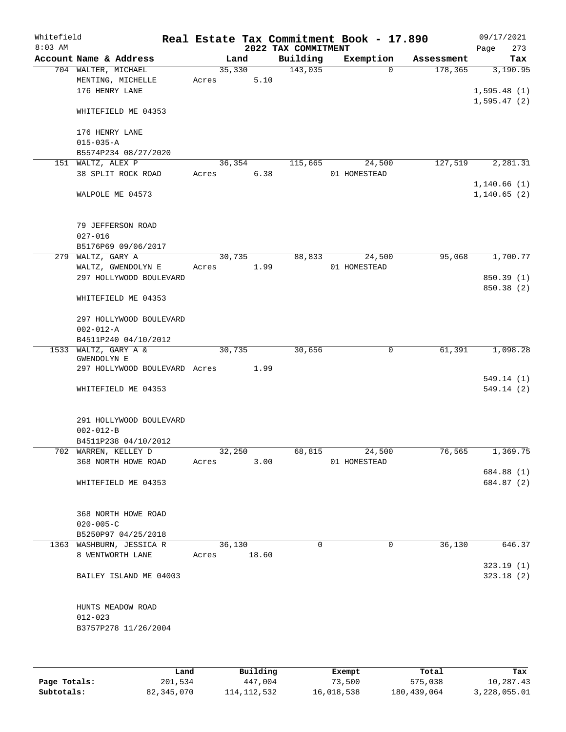| Whitefield<br>$8:03$ AM |                                                                    |       |        |       | 2022 TAX COMMITMENT | Real Estate Tax Commitment Book - 17.890 |            | 09/17/2021<br>273<br>Page   |
|-------------------------|--------------------------------------------------------------------|-------|--------|-------|---------------------|------------------------------------------|------------|-----------------------------|
|                         | Account Name & Address                                             |       | Land   |       | Building            | Exemption                                | Assessment | Tax                         |
|                         | 704 WALTER, MICHAEL<br>MENTING, MICHELLE<br>176 HENRY LANE         | Acres | 35,330 | 5.10  | 143,035             | $\Omega$                                 | 178,365    | 3,190.95<br>1,595.48(1)     |
|                         | WHITEFIELD ME 04353                                                |       |        |       |                     |                                          |            | 1,595.47(2)                 |
|                         | 176 HENRY LANE<br>$015 - 035 - A$                                  |       |        |       |                     |                                          |            |                             |
|                         | B5574P234 08/27/2020                                               |       |        |       |                     |                                          |            |                             |
|                         | 151 WALTZ, ALEX P<br>38 SPLIT ROCK ROAD                            | Acres | 36,354 | 6.38  | 115,665             | 24,500<br>01 HOMESTEAD                   | 127,519    | 2,281.31                    |
|                         | WALPOLE ME 04573                                                   |       |        |       |                     |                                          |            | 1,140.66(1)<br>1, 140.65(2) |
|                         | 79 JEFFERSON ROAD<br>$027 - 016$<br>B5176P69 09/06/2017            |       |        |       |                     |                                          |            |                             |
|                         | 279 WALTZ, GARY A                                                  |       | 30,735 |       | 88,833              | 24,500                                   | 95,068     | 1,700.77                    |
|                         | WALTZ, GWENDOLYN E                                                 | Acres |        | 1.99  |                     | 01 HOMESTEAD                             |            |                             |
|                         | 297 HOLLYWOOD BOULEVARD                                            |       |        |       |                     |                                          |            | 850.39 (1)<br>850.38 (2)    |
|                         | WHITEFIELD ME 04353                                                |       |        |       |                     |                                          |            |                             |
|                         | 297 HOLLYWOOD BOULEVARD<br>$002 - 012 - A$                         |       |        |       |                     |                                          |            |                             |
|                         | B4511P240 04/10/2012<br>1533 WALTZ, GARY A &                       |       | 30,735 |       | 30,656              | 0                                        | 61,391     | 1,098.28                    |
|                         | <b>GWENDOLYN E</b><br>297 HOLLYWOOD BOULEVARD Acres                |       |        | 1.99  |                     |                                          |            |                             |
|                         |                                                                    |       |        |       |                     |                                          |            | 549.14(1)                   |
|                         | WHITEFIELD ME 04353                                                |       |        |       |                     |                                          |            | 549.14 (2)                  |
|                         | 291 HOLLYWOOD BOULEVARD<br>$002 - 012 - B$<br>B4511P238 04/10/2012 |       |        |       |                     |                                          |            |                             |
|                         | 702 WARREN, KELLEY D                                               |       | 32,250 |       | 68,815              | 24,500                                   | 76,565     | 1,369.75                    |
|                         | 368 NORTH HOWE ROAD                                                | Acres |        | 3.00  |                     | 01 HOMESTEAD                             |            |                             |
|                         |                                                                    |       |        |       |                     |                                          |            | 684.88 (1)                  |
|                         | WHITEFIELD ME 04353                                                |       |        |       |                     |                                          |            | 684.87 (2)                  |
|                         | 368 NORTH HOWE ROAD                                                |       |        |       |                     |                                          |            |                             |
|                         | $020 - 005 - C$<br>B5250P97 04/25/2018                             |       |        |       |                     |                                          |            |                             |
|                         | 1363 WASHBURN, JESSICA R                                           |       | 36,130 |       | $\Omega$            | 0                                        | 36,130     | 646.37                      |
|                         | 8 WENTWORTH LANE                                                   | Acres |        | 18.60 |                     |                                          |            | 323.19 (1)                  |
|                         | BAILEY ISLAND ME 04003                                             |       |        |       |                     |                                          |            | 323.18(2)                   |
|                         | HUNTS MEADOW ROAD<br>$012 - 023$                                   |       |        |       |                     |                                          |            |                             |
|                         | B3757P278 11/26/2004                                               |       |        |       |                     |                                          |            |                             |
|                         |                                                                    |       |        |       |                     |                                          |            |                             |

|              | Land       | Building    | Exempt     | Total       | Tax          |
|--------------|------------|-------------|------------|-------------|--------------|
| Page Totals: | 201,534    | 447,004     | 73,500     | 575,038     | 10,287.43    |
| Subtotals:   | 82,345,070 | 114,112,532 | 16,018,538 | 180,439,064 | 3,228,055.01 |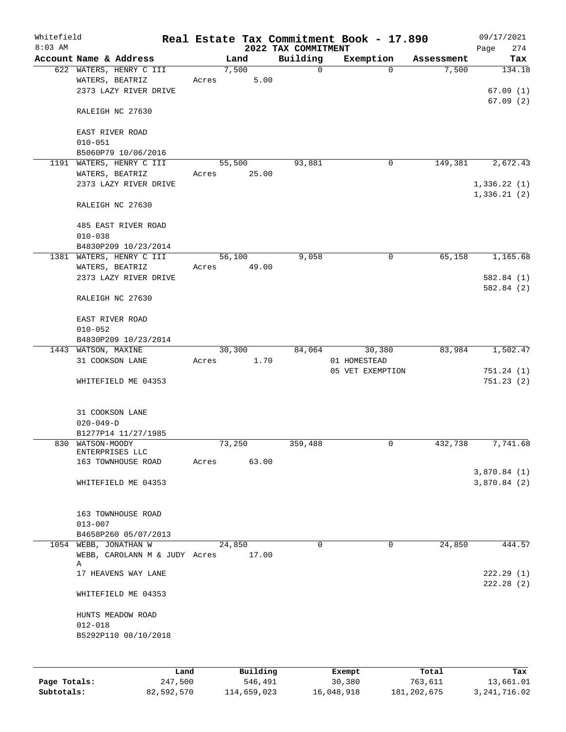| Whitefield |                                        |       |        |          |                                 | Real Estate Tax Commitment Book - 17.890 |            | 09/17/2021         |
|------------|----------------------------------------|-------|--------|----------|---------------------------------|------------------------------------------|------------|--------------------|
| $8:03$ AM  | Account Name & Address                 |       | Land   |          | 2022 TAX COMMITMENT<br>Building | Exemption                                | Assessment | 274<br>Page<br>Tax |
|            | 622 WATERS, HENRY C III                |       | 7,500  |          | $\mathsf{O}$                    | $\Omega$                                 | 7,500      | 134.18             |
|            | WATERS, BEATRIZ                        | Acres |        | 5.00     |                                 |                                          |            |                    |
|            | 2373 LAZY RIVER DRIVE                  |       |        |          |                                 |                                          |            | 67.09(1)           |
|            |                                        |       |        |          |                                 |                                          |            | 67.09(2)           |
|            | RALEIGH NC 27630                       |       |        |          |                                 |                                          |            |                    |
|            |                                        |       |        |          |                                 |                                          |            |                    |
|            | EAST RIVER ROAD                        |       |        |          |                                 |                                          |            |                    |
|            | $010 - 051$                            |       |        |          |                                 |                                          |            |                    |
|            | B5060P79 10/06/2016                    |       |        |          |                                 |                                          |            |                    |
|            | 1191 WATERS, HENRY C III               |       | 55,500 |          | 93,881                          | 0                                        | 149,381    | 2,672.43           |
|            | WATERS, BEATRIZ                        | Acres |        | 25.00    |                                 |                                          |            |                    |
|            | 2373 LAZY RIVER DRIVE                  |       |        |          |                                 |                                          |            | 1,336.22(1)        |
|            |                                        |       |        |          |                                 |                                          |            | 1,336.21(2)        |
|            | RALEIGH NC 27630                       |       |        |          |                                 |                                          |            |                    |
|            | 485 EAST RIVER ROAD                    |       |        |          |                                 |                                          |            |                    |
|            | $010 - 038$                            |       |        |          |                                 |                                          |            |                    |
|            | B4830P209 10/23/2014                   |       |        |          |                                 |                                          |            |                    |
|            | 1381 WATERS, HENRY C III               |       | 56,100 |          | 9,058                           | 0                                        | 65,158     | 1,165.68           |
|            | WATERS, BEATRIZ                        | Acres |        | 49.00    |                                 |                                          |            |                    |
|            | 2373 LAZY RIVER DRIVE                  |       |        |          |                                 |                                          |            | 582.84(1)          |
|            |                                        |       |        |          |                                 |                                          |            | 582.84 (2)         |
|            | RALEIGH NC 27630                       |       |        |          |                                 |                                          |            |                    |
|            |                                        |       |        |          |                                 |                                          |            |                    |
|            | EAST RIVER ROAD                        |       |        |          |                                 |                                          |            |                    |
|            | $010 - 052$                            |       |        |          |                                 |                                          |            |                    |
|            | B4830P209 10/23/2014                   |       | 30,300 |          | 84,064                          |                                          | 83,984     | 1,502.47           |
|            | 1443 WATSON, MAXINE<br>31 COOKSON LANE | Acres |        | 1.70     |                                 | 30,380<br>01 HOMESTEAD                   |            |                    |
|            |                                        |       |        |          |                                 | 05 VET EXEMPTION                         |            | 751.24(1)          |
|            | WHITEFIELD ME 04353                    |       |        |          |                                 |                                          |            | 751.23(2)          |
|            |                                        |       |        |          |                                 |                                          |            |                    |
|            |                                        |       |        |          |                                 |                                          |            |                    |
|            | 31 COOKSON LANE                        |       |        |          |                                 |                                          |            |                    |
|            | $020 - 049 - D$                        |       |        |          |                                 |                                          |            |                    |
|            | B1277P14 11/27/1985                    |       |        |          |                                 |                                          |            |                    |
|            | 830 WATSON-MOODY                       |       | 73,250 |          | 359,488                         | 0                                        | 432,738    | 7,741.68           |
|            | ENTERPRISES LLC<br>163 TOWNHOUSE ROAD  | Acres |        | 63.00    |                                 |                                          |            |                    |
|            |                                        |       |        |          |                                 |                                          |            | 3,870.84 (1)       |
|            | WHITEFIELD ME 04353                    |       |        |          |                                 |                                          |            | 3,870.84(2)        |
|            |                                        |       |        |          |                                 |                                          |            |                    |
|            |                                        |       |        |          |                                 |                                          |            |                    |
|            | 163 TOWNHOUSE ROAD                     |       |        |          |                                 |                                          |            |                    |
|            | $013 - 007$                            |       |        |          |                                 |                                          |            |                    |
|            | B4658P260 05/07/2013                   |       |        |          |                                 |                                          |            |                    |
|            | 1054 WEBB, JONATHAN W                  |       | 24,850 |          | $\Omega$                        | 0                                        | 24,850     | 444.57             |
|            | WEBB, CAROLANN M & JUDY Acres<br>Α     |       |        | 17.00    |                                 |                                          |            |                    |
|            | 17 HEAVENS WAY LANE                    |       |        |          |                                 |                                          |            | 222.29(1)          |
|            |                                        |       |        |          |                                 |                                          |            | 222.28(2)          |
|            | WHITEFIELD ME 04353                    |       |        |          |                                 |                                          |            |                    |
|            | HUNTS MEADOW ROAD                      |       |        |          |                                 |                                          |            |                    |
|            | $012 - 018$                            |       |        |          |                                 |                                          |            |                    |
|            | B5292P110 08/10/2018                   |       |        |          |                                 |                                          |            |                    |
|            |                                        |       |        |          |                                 |                                          |            |                    |
|            |                                        |       |        |          |                                 |                                          |            |                    |
|            |                                        | Land  |        | Building |                                 | Exempt                                   | Total      | Tax                |

|              | Land       | Building    | Exempt     | Total         | Tax            |
|--------------|------------|-------------|------------|---------------|----------------|
| Page Totals: | 247,500    | 546,491     | 30,380     | 763,611       | 13,661.01      |
| Subtotals:   | 82,592,570 | 114,659,023 | 16,048,918 | 181, 202, 675 | 3, 241, 716.02 |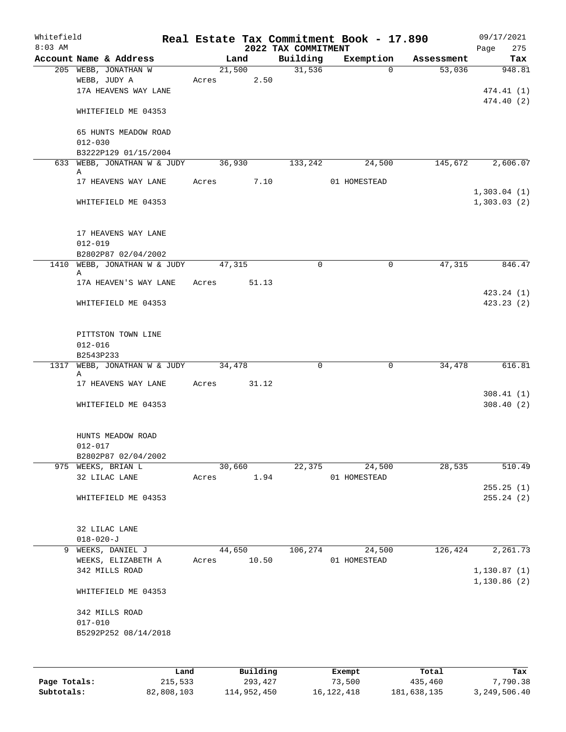| Whitefield<br>$8:03$ AM |                          |                              |       |          |                                 | Real Estate Tax Commitment Book - 17.890 |            | 09/17/2021                 |
|-------------------------|--------------------------|------------------------------|-------|----------|---------------------------------|------------------------------------------|------------|----------------------------|
|                         | Account Name & Address   |                              |       | Land     | 2022 TAX COMMITMENT<br>Building | Exemption                                | Assessment | Page<br>275<br>Tax         |
|                         | 205 WEBB, JONATHAN W     |                              |       | 21,500   | 31,536                          | $\Omega$                                 | 53,036     | 948.81                     |
|                         | WEBB, JUDY A             |                              | Acres | 2.50     |                                 |                                          |            |                            |
|                         | 17A HEAVENS WAY LANE     |                              |       |          |                                 |                                          |            | 474.41 (1)                 |
|                         |                          |                              |       |          |                                 |                                          |            | 474.40 (2)                 |
|                         | WHITEFIELD ME 04353      |                              |       |          |                                 |                                          |            |                            |
|                         | 65 HUNTS MEADOW ROAD     |                              |       |          |                                 |                                          |            |                            |
|                         | $012 - 030$              |                              |       |          |                                 |                                          |            |                            |
|                         | B3222P129 01/15/2004     |                              |       |          |                                 |                                          |            |                            |
|                         |                          | 633 WEBB, JONATHAN W & JUDY  |       | 36,930   | 133,242                         | 24,500                                   | 145,672    | 2,606.07                   |
|                         | Α                        |                              |       |          |                                 |                                          |            |                            |
|                         | 17 HEAVENS WAY LANE      |                              | Acres | 7.10     |                                 | 01 HOMESTEAD                             |            |                            |
|                         | WHITEFIELD ME 04353      |                              |       |          |                                 |                                          |            | 1,303.04(1)<br>1,303.03(2) |
|                         |                          |                              |       |          |                                 |                                          |            |                            |
|                         | 17 HEAVENS WAY LANE      |                              |       |          |                                 |                                          |            |                            |
|                         | $012 - 019$              |                              |       |          |                                 |                                          |            |                            |
|                         | B2802P87 02/04/2002      |                              |       |          |                                 |                                          |            |                            |
|                         |                          | 1410 WEBB, JONATHAN W & JUDY |       | 47,315   | $\mathbf 0$                     | $\mathbf 0$                              | 47,315     | 846.47                     |
|                         | Α                        | 17A HEAVEN'S WAY LANE        | Acres | 51.13    |                                 |                                          |            |                            |
|                         |                          |                              |       |          |                                 |                                          |            | 423.24 (1)                 |
|                         | WHITEFIELD ME 04353      |                              |       |          |                                 |                                          |            | 423.23(2)                  |
|                         |                          |                              |       |          |                                 |                                          |            |                            |
|                         | PITTSTON TOWN LINE       |                              |       |          |                                 |                                          |            |                            |
|                         | $012 - 016$              |                              |       |          |                                 |                                          |            |                            |
|                         | B2543P233                |                              |       |          |                                 |                                          |            |                            |
|                         |                          | 1317 WEBB, JONATHAN W & JUDY |       | 34,478   | 0                               | $\mathbf 0$                              | 34,478     | 616.81                     |
|                         | Α<br>17 HEAVENS WAY LANE |                              | Acres | 31.12    |                                 |                                          |            |                            |
|                         |                          |                              |       |          |                                 |                                          |            | 308.41(1)                  |
|                         | WHITEFIELD ME 04353      |                              |       |          |                                 |                                          |            | 308.40(2)                  |
|                         |                          |                              |       |          |                                 |                                          |            |                            |
|                         | HUNTS MEADOW ROAD        |                              |       |          |                                 |                                          |            |                            |
|                         | $012 - 017$              |                              |       |          |                                 |                                          |            |                            |
|                         | B2802P87 02/04/2002      |                              |       |          |                                 |                                          |            |                            |
|                         | 975 WEEKS, BRIAN L       |                              |       | 30,660   | 22,375                          | 24,500                                   | 28,535     | 510.49                     |
|                         | 32 LILAC LANE            |                              | Acres | 1.94     |                                 | 01 HOMESTEAD                             |            |                            |
|                         | WHITEFIELD ME 04353      |                              |       |          |                                 |                                          |            | 255.25(1)<br>255.24(2)     |
|                         |                          |                              |       |          |                                 |                                          |            |                            |
|                         | 32 LILAC LANE            |                              |       |          |                                 |                                          |            |                            |
|                         | $018 - 020 - J$          |                              |       |          |                                 |                                          |            |                            |
|                         | 9 WEEKS, DANIEL J        |                              |       | 44,650   | 106,274                         | 24,500                                   | 126,424    | 2,261.73                   |
|                         | WEEKS, ELIZABETH A       |                              | Acres | 10.50    |                                 | 01 HOMESTEAD                             |            |                            |
|                         | 342 MILLS ROAD           |                              |       |          |                                 |                                          |            | 1, 130.87(1)               |
|                         | WHITEFIELD ME 04353      |                              |       |          |                                 |                                          |            | 1,130.86(2)                |
|                         |                          |                              |       |          |                                 |                                          |            |                            |
|                         | 342 MILLS ROAD           |                              |       |          |                                 |                                          |            |                            |
|                         | $017 - 010$              |                              |       |          |                                 |                                          |            |                            |
|                         | B5292P252 08/14/2018     |                              |       |          |                                 |                                          |            |                            |
|                         |                          |                              |       |          |                                 |                                          |            |                            |
|                         |                          |                              | Land  | Building |                                 | Exempt                                   | Total      | Tax                        |

|              | ------     | ---------   | --------   | -----       | ----         |
|--------------|------------|-------------|------------|-------------|--------------|
| Page Totals: | 215,533    | 293,427     | 73,500     | 435,460     | 7,790.38     |
| Subtotals:   | 82,808,103 | 114,952,450 | 16,122,418 | 181,638,135 | 3,249,506.40 |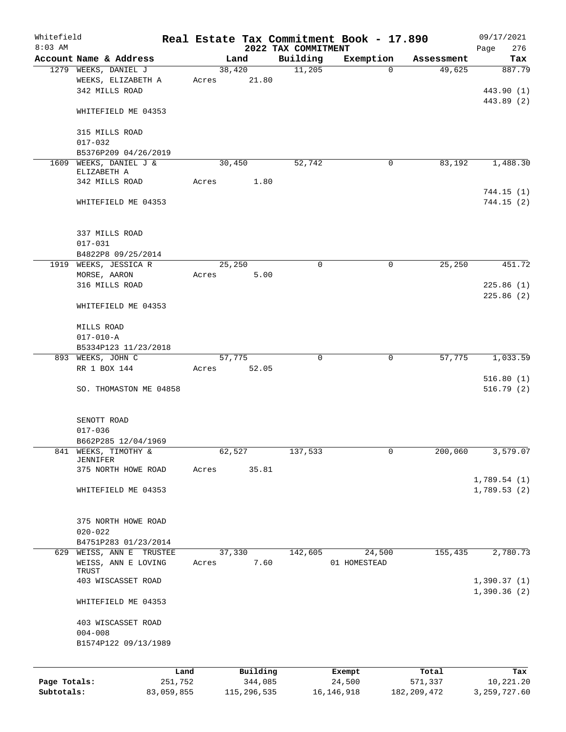| Whitefield<br>$8:03$ AM |                                       |                       |       |                     | 2022 TAX COMMITMENT | Real Estate Tax Commitment Book - 17.890 |                  | 09/17/2021<br>276<br>Page   |
|-------------------------|---------------------------------------|-----------------------|-------|---------------------|---------------------|------------------------------------------|------------------|-----------------------------|
|                         | Account Name & Address                |                       |       | Land                | Building            | Exemption                                | Assessment       | Tax                         |
|                         | 1279 WEEKS, DANIEL J                  |                       |       | 38,420              | 11,205              | $\Omega$                                 | 49,625           | 887.79                      |
|                         | WEEKS, ELIZABETH A                    |                       | Acres | 21.80               |                     |                                          |                  |                             |
|                         | 342 MILLS ROAD                        |                       |       |                     |                     |                                          |                  | 443.90 (1)                  |
|                         |                                       |                       |       |                     |                     |                                          |                  | 443.89 (2)                  |
|                         | WHITEFIELD ME 04353                   |                       |       |                     |                     |                                          |                  |                             |
|                         |                                       |                       |       |                     |                     |                                          |                  |                             |
|                         | 315 MILLS ROAD                        |                       |       |                     |                     |                                          |                  |                             |
|                         | $017 - 032$                           |                       |       |                     |                     |                                          |                  |                             |
|                         | B5376P209 04/26/2019                  |                       |       |                     |                     |                                          |                  |                             |
|                         | 1609 WEEKS, DANIEL J &<br>ELIZABETH A |                       |       | 30,450              | 52,742              | 0                                        | 83,192           | 1,488.30                    |
|                         | 342 MILLS ROAD                        |                       | Acres | 1.80                |                     |                                          |                  |                             |
|                         |                                       |                       |       |                     |                     |                                          |                  | 744.15(1)                   |
|                         | WHITEFIELD ME 04353                   |                       |       |                     |                     |                                          |                  | 744.15(2)                   |
|                         |                                       |                       |       |                     |                     |                                          |                  |                             |
|                         |                                       |                       |       |                     |                     |                                          |                  |                             |
|                         | 337 MILLS ROAD                        |                       |       |                     |                     |                                          |                  |                             |
|                         | $017 - 031$                           |                       |       |                     |                     |                                          |                  |                             |
|                         | B4822P8 09/25/2014                    |                       |       |                     |                     |                                          |                  |                             |
|                         | 1919 WEEKS, JESSICA R                 |                       |       | 25,250              | 0                   | 0                                        | 25,250           | 451.72                      |
|                         | MORSE, AARON                          |                       | Acres | 5.00                |                     |                                          |                  |                             |
|                         | 316 MILLS ROAD                        |                       |       |                     |                     |                                          |                  | 225.86(1)                   |
|                         |                                       |                       |       |                     |                     |                                          |                  | 225.86(2)                   |
|                         | WHITEFIELD ME 04353                   |                       |       |                     |                     |                                          |                  |                             |
|                         | MILLS ROAD                            |                       |       |                     |                     |                                          |                  |                             |
|                         | $017 - 010 - A$                       |                       |       |                     |                     |                                          |                  |                             |
|                         | B5334P123 11/23/2018                  |                       |       |                     |                     |                                          |                  |                             |
|                         | 893 WEEKS, JOHN C                     |                       |       | 57,775              | $\mathbf 0$         | $\mathbf 0$                              | 57,775           | 1,033.59                    |
|                         | RR 1 BOX 144                          |                       | Acres | 52.05               |                     |                                          |                  |                             |
|                         |                                       |                       |       |                     |                     |                                          |                  | 516.80(1)                   |
|                         | SO. THOMASTON ME 04858                |                       |       |                     |                     |                                          |                  | 516.79(2)                   |
|                         |                                       |                       |       |                     |                     |                                          |                  |                             |
|                         |                                       |                       |       |                     |                     |                                          |                  |                             |
|                         | SENOTT ROAD                           |                       |       |                     |                     |                                          |                  |                             |
|                         | $017 - 036$                           |                       |       |                     |                     |                                          |                  |                             |
|                         | B662P285 12/04/1969                   |                       |       |                     |                     |                                          |                  |                             |
|                         | 841 WEEKS, TIMOTHY &                  |                       |       | 62,527              | 137,533             | 0                                        | 200,060          | $3,579.\overline{07}$       |
|                         | JENNIFER<br>375 NORTH HOWE ROAD       |                       |       | 35.81               |                     |                                          |                  |                             |
|                         |                                       |                       | Acres |                     |                     |                                          |                  | 1,789.54(1)                 |
|                         | WHITEFIELD ME 04353                   |                       |       |                     |                     |                                          |                  | 1,789.53(2)                 |
|                         |                                       |                       |       |                     |                     |                                          |                  |                             |
|                         |                                       |                       |       |                     |                     |                                          |                  |                             |
|                         | 375 NORTH HOWE ROAD                   |                       |       |                     |                     |                                          |                  |                             |
|                         | $020 - 022$                           |                       |       |                     |                     |                                          |                  |                             |
|                         | B4751P283 01/23/2014                  |                       |       |                     |                     |                                          |                  |                             |
|                         | 629 WEISS, ANN E TRUSTEE              |                       |       | 37,330              | 142,605             | 24,500                                   | 155,435          | 2,780.73                    |
|                         | WEISS, ANN E LOVING                   |                       | Acres | 7.60                |                     | 01 HOMESTEAD                             |                  |                             |
|                         | TRUST                                 |                       |       |                     |                     |                                          |                  |                             |
|                         | 403 WISCASSET ROAD                    |                       |       |                     |                     |                                          |                  | 1,390.37(1)                 |
|                         |                                       |                       |       |                     |                     |                                          |                  | 1,390.36(2)                 |
|                         | WHITEFIELD ME 04353                   |                       |       |                     |                     |                                          |                  |                             |
|                         | 403 WISCASSET ROAD                    |                       |       |                     |                     |                                          |                  |                             |
|                         | $004 - 008$                           |                       |       |                     |                     |                                          |                  |                             |
|                         | B1574P122 09/13/1989                  |                       |       |                     |                     |                                          |                  |                             |
|                         |                                       |                       |       |                     |                     |                                          |                  |                             |
|                         |                                       |                       |       |                     |                     |                                          |                  |                             |
| Page Totals:            |                                       | Land                  |       | Building<br>344,085 |                     | Exempt<br>24,500                         | Total<br>571,337 | Tax                         |
| Subtotals:              |                                       | 251,752<br>83,059,855 |       | 115,296,535         |                     | 16, 146, 918                             | 182, 209, 472    | 10,221.20<br>3, 259, 727.60 |
|                         |                                       |                       |       |                     |                     |                                          |                  |                             |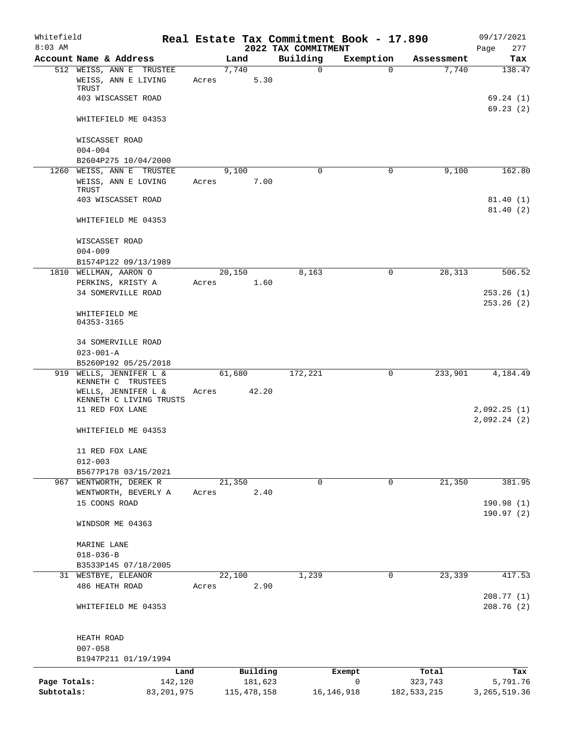| Whitefield<br>$8:03$ AM    |                                           |       |                          | 2022 TAX COMMITMENT | Real Estate Tax Commitment Book - 17.890 |                          | 09/17/2021<br>Page<br>277  |
|----------------------------|-------------------------------------------|-------|--------------------------|---------------------|------------------------------------------|--------------------------|----------------------------|
|                            | Account Name & Address                    |       | Land                     | Building            | Exemption                                | Assessment               | Tax                        |
|                            | 512 WEISS, ANN E TRUSTEE                  |       | 7,740                    | 0                   | 0                                        | 7,740                    | 138.47                     |
|                            | WEISS, ANN E LIVING<br>TRUST              | Acres | 5.30                     |                     |                                          |                          |                            |
|                            | 403 WISCASSET ROAD                        |       |                          |                     |                                          |                          | 69.24(1)<br>69.23(2)       |
|                            | WHITEFIELD ME 04353                       |       |                          |                     |                                          |                          |                            |
|                            | WISCASSET ROAD<br>$004 - 004$             |       |                          |                     |                                          |                          |                            |
|                            | B2604P275 10/04/2000                      |       |                          |                     |                                          |                          |                            |
|                            | 1260 WEISS, ANN E TRUSTEE                 |       | 9,100                    | 0                   | $\mathbf 0$                              | 9,100                    | 162.80                     |
|                            | WEISS, ANN E LOVING<br>TRUST              | Acres | 7.00                     |                     |                                          |                          |                            |
|                            | 403 WISCASSET ROAD                        |       |                          |                     |                                          |                          | 81.40(1)<br>81.40(2)       |
|                            | WHITEFIELD ME 04353                       |       |                          |                     |                                          |                          |                            |
|                            | WISCASSET ROAD<br>$004 - 009$             |       |                          |                     |                                          |                          |                            |
|                            | B1574P122 09/13/1989                      |       |                          |                     |                                          |                          |                            |
|                            | 1810 WELLMAN, AARON O                     |       | 20,150                   | 8,163               | 0                                        | 28,313                   | 506.52                     |
|                            | PERKINS, KRISTY A                         | Acres | 1.60                     |                     |                                          |                          |                            |
|                            | <b>34 SOMERVILLE ROAD</b>                 |       |                          |                     |                                          |                          | 253.26(1)<br>253.26(2)     |
|                            | WHITEFIELD ME<br>04353-3165               |       |                          |                     |                                          |                          |                            |
|                            | <b>34 SOMERVILLE ROAD</b>                 |       |                          |                     |                                          |                          |                            |
|                            | $023 - 001 - A$<br>B5260P192 05/25/2018   |       |                          |                     |                                          |                          |                            |
|                            | 919 WELLS, JENNIFER L &                   |       | 61,680                   | 172,221             | 0                                        | 233,901                  | 4,184.49                   |
|                            | KENNETH C TRUSTEES<br>WELLS, JENNIFER L & | Acres | 42.20                    |                     |                                          |                          |                            |
|                            | KENNETH C LIVING TRUSTS                   |       |                          |                     |                                          |                          |                            |
|                            | 11 RED FOX LANE                           |       |                          |                     |                                          |                          | 2,092.25(1)<br>2,092.24(2) |
|                            | WHITEFIELD ME 04353                       |       |                          |                     |                                          |                          |                            |
|                            | 11 RED FOX LANE<br>$012 - 003$            |       |                          |                     |                                          |                          |                            |
|                            | B5677P178 03/15/2021                      |       |                          |                     |                                          |                          |                            |
|                            | 967 WENTWORTH, DEREK R                    |       | 21,350                   | 0                   | 0                                        | 21,350                   | 381.95                     |
|                            | WENTWORTH, BEVERLY A                      | Acres | 2.40                     |                     |                                          |                          |                            |
|                            | 15 COONS ROAD                             |       |                          |                     |                                          |                          | 190.98(1)<br>190.97(2)     |
|                            | WINDSOR ME 04363                          |       |                          |                     |                                          |                          |                            |
|                            | MARINE LANE                               |       |                          |                     |                                          |                          |                            |
|                            | $018 - 036 - B$                           |       |                          |                     |                                          |                          |                            |
|                            | B3533P145 07/18/2005                      |       |                          |                     |                                          |                          |                            |
|                            | 31 WESTBYE, ELEANOR                       |       | 22,100                   | 1,239               | $\mathbf 0$                              | 23,339                   | 417.53                     |
|                            | 486 HEATH ROAD                            | Acres | 2.90                     |                     |                                          |                          | 208.77(1)                  |
|                            | WHITEFIELD ME 04353                       |       |                          |                     |                                          |                          | 208.76(2)                  |
|                            | HEATH ROAD                                |       |                          |                     |                                          |                          |                            |
|                            | $007 - 058$                               |       |                          |                     |                                          |                          |                            |
|                            | B1947P211 01/19/1994                      |       |                          |                     |                                          |                          |                            |
|                            | Land                                      |       | Building                 |                     | Exempt<br>0                              | Total                    | Tax                        |
| Page Totals:<br>Subtotals: | 142,120<br>83, 201, 975                   |       | 181,623<br>115, 478, 158 |                     | 16, 146, 918                             | 323,743<br>182, 533, 215 | 5,791.76<br>3, 265, 519.36 |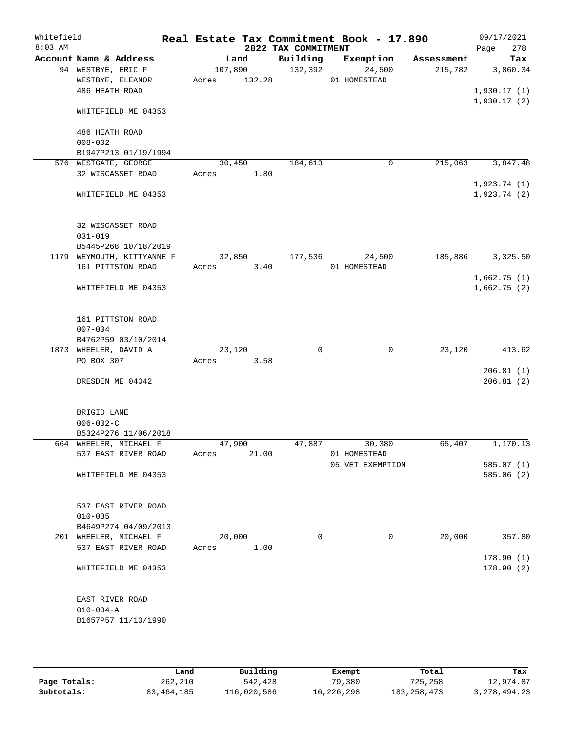| Whitefield<br>$8:03$ AM |                                                 |                      |        | 2022 TAX COMMITMENT | Real Estate Tax Commitment Book - 17.890 |            | 09/17/2021<br>278<br>Page  |
|-------------------------|-------------------------------------------------|----------------------|--------|---------------------|------------------------------------------|------------|----------------------------|
|                         | Account Name & Address                          |                      | Land   | Building            | Exemption                                | Assessment | Tax                        |
|                         | 94 WESTBYE, ERIC F                              | 107,890              |        | 132,392             | 24,500                                   | 215,782    | 3,860.34                   |
|                         | WESTBYE, ELEANOR                                | Acres                | 132.28 |                     | 01 HOMESTEAD                             |            |                            |
|                         | 486 HEATH ROAD                                  |                      |        |                     |                                          |            | 1,930.17(1)                |
|                         | WHITEFIELD ME 04353                             |                      |        |                     |                                          |            | 1,930.17(2)                |
|                         | 486 HEATH ROAD                                  |                      |        |                     |                                          |            |                            |
|                         | $008 - 002$                                     |                      |        |                     |                                          |            |                            |
|                         | B1947P213 01/19/1994                            |                      |        |                     |                                          |            |                            |
|                         | 576 WESTGATE, GEORGE                            | 30,450               |        | 184,613             | $\mathbf 0$                              | 215,063    | 3,847.48                   |
|                         | 32 WISCASSET ROAD                               | Acres                | 1.80   |                     |                                          |            |                            |
|                         | WHITEFIELD ME 04353                             |                      |        |                     |                                          |            | 1,923.74(1)<br>1,923.74(2) |
|                         |                                                 |                      |        |                     |                                          |            |                            |
|                         | 32 WISCASSET ROAD                               |                      |        |                     |                                          |            |                            |
|                         | $031 - 019$                                     |                      |        |                     |                                          |            |                            |
|                         | B5445P268 10/18/2019                            |                      |        |                     |                                          |            |                            |
|                         | 1179 WEYMOUTH, KITTYANNE F<br>161 PITTSTON ROAD | 32,850<br>Acres 3.40 |        | 177,536             | 24,500<br>01 HOMESTEAD                   | 185,886    | 3,325.50                   |
|                         |                                                 |                      |        |                     |                                          |            | 1,662.75(1)                |
|                         | WHITEFIELD ME 04353                             |                      |        |                     |                                          |            | 1,662.75(2)                |
|                         | 161 PITTSTON ROAD                               |                      |        |                     |                                          |            |                            |
|                         | $007 - 004$                                     |                      |        |                     |                                          |            |                            |
|                         | B4762P59 03/10/2014                             |                      |        |                     |                                          |            |                            |
|                         | 1873 WHEELER, DAVID A                           | 23,120               |        | 0                   | 0                                        | 23,120     | 413.62                     |
|                         | PO BOX 307                                      | Acres                | 3.58   |                     |                                          |            |                            |
|                         | DRESDEN ME 04342                                |                      |        |                     |                                          |            | 206.81(1)<br>206.81(2)     |
|                         |                                                 |                      |        |                     |                                          |            |                            |
|                         | BRIGID LANE                                     |                      |        |                     |                                          |            |                            |
|                         | $006 - 002 - C$                                 |                      |        |                     |                                          |            |                            |
|                         | B5324P276 11/06/2018                            |                      |        |                     |                                          |            |                            |
|                         | 664 WHEELER, MICHAEL F<br>537 EAST RIVER ROAD   | 47,900<br>Acres      | 21.00  | 47,887              | 30,380<br>01 HOMESTEAD                   | 65,407     | 1,170.13                   |
|                         |                                                 |                      |        |                     | 05 VET EXEMPTION                         |            | 585.07(1)                  |
|                         | WHITEFIELD ME 04353                             |                      |        |                     |                                          |            | 585.06(2)                  |
|                         |                                                 |                      |        |                     |                                          |            |                            |
|                         | 537 EAST RIVER ROAD                             |                      |        |                     |                                          |            |                            |
|                         | $010 - 035$                                     |                      |        |                     |                                          |            |                            |
|                         | B4649P274 04/09/2013                            |                      |        |                     | $\mathbf{0}$                             |            |                            |
|                         | 201 WHEELER, MICHAEL F<br>537 EAST RIVER ROAD   | 20,000<br>Acres      | 1.00   | 0                   |                                          | 20,000     | 357.80                     |
|                         |                                                 |                      |        |                     |                                          |            | 178.90(1)                  |
|                         | WHITEFIELD ME 04353                             |                      |        |                     |                                          |            | 178.90(2)                  |
|                         |                                                 |                      |        |                     |                                          |            |                            |
|                         | EAST RIVER ROAD                                 |                      |        |                     |                                          |            |                            |
|                         | $010 - 034 - A$                                 |                      |        |                     |                                          |            |                            |
|                         | B1657P57 11/13/1990                             |                      |        |                     |                                          |            |                            |
|                         |                                                 |                      |        |                     |                                          |            |                            |

|              | Land       | Building    | Exempt     | Total         | Tax             |
|--------------|------------|-------------|------------|---------------|-----------------|
| Page Totals: | 262,210    | 542,428     | 79,380     | 725,258       | 12,974.87       |
| Subtotals:   | 83,464,185 | 116,020,586 | 16,226,298 | 183, 258, 473 | 3, 278, 494. 23 |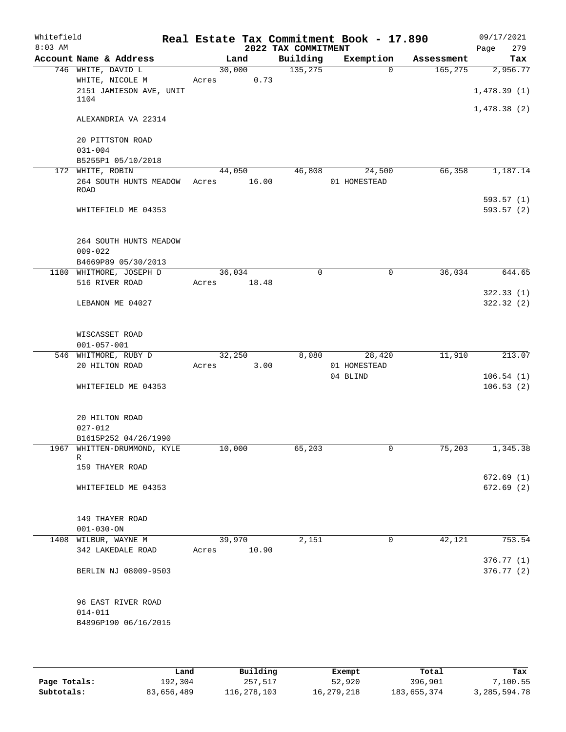| Whitefield<br>$8:03$ AM |                                 | Real Estate Tax Commitment Book - 17.890 | 2022 TAX COMMITMENT |              |            | 09/17/2021<br>Page<br>279 |
|-------------------------|---------------------------------|------------------------------------------|---------------------|--------------|------------|---------------------------|
|                         | Account Name & Address          | Land                                     | Building            | Exemption    | Assessment | Tax                       |
|                         | 746 WHITE, DAVID L              | 30,000                                   | 135,275             | $\Omega$     | 165, 275   | 2,956.77                  |
|                         | WHITE, NICOLE M                 | 0.73<br>Acres                            |                     |              |            |                           |
|                         | 2151 JAMIESON AVE, UNIT<br>1104 |                                          |                     |              |            | 1,478.39(1)               |
|                         |                                 |                                          |                     |              |            | 1,478.38(2)               |
|                         | ALEXANDRIA VA 22314             |                                          |                     |              |            |                           |
|                         | 20 PITTSTON ROAD                |                                          |                     |              |            |                           |
|                         | $031 - 004$                     |                                          |                     |              |            |                           |
|                         | B5255P1 05/10/2018              |                                          |                     |              |            |                           |
|                         | 172 WHITE, ROBIN                | 44,050                                   | 46,808              | 24,500       | 66,358     | 1,187.14                  |
|                         | 264 SOUTH HUNTS MEADOW          | 16.00<br>Acres                           |                     | 01 HOMESTEAD |            |                           |
|                         | ROAD                            |                                          |                     |              |            | 593.57(1)                 |
|                         | WHITEFIELD ME 04353             |                                          |                     |              |            | 593.57 (2)                |
|                         |                                 |                                          |                     |              |            |                           |
|                         | 264 SOUTH HUNTS MEADOW          |                                          |                     |              |            |                           |
|                         | $009 - 022$                     |                                          |                     |              |            |                           |
|                         | B4669P89 05/30/2013             |                                          |                     |              |            |                           |
|                         | 1180 WHITMORE, JOSEPH D         | 36,034                                   | $\Omega$            | $\mathbf 0$  | 36,034     | 644.65                    |
|                         | 516 RIVER ROAD                  | Acres<br>18.48                           |                     |              |            |                           |
|                         |                                 |                                          |                     |              |            | 322.33(1)                 |
|                         | LEBANON ME 04027                |                                          |                     |              |            | 322.32 (2)                |
|                         | WISCASSET ROAD                  |                                          |                     |              |            |                           |
|                         | $001 - 057 - 001$               |                                          |                     |              |            |                           |
|                         | 546 WHITMORE, RUBY D            | 32,250                                   | 8,080               | 28,420       | 11,910     | 213.07                    |
|                         | 20 HILTON ROAD                  | 3.00<br>Acres                            |                     | 01 HOMESTEAD |            |                           |
|                         |                                 |                                          |                     | 04 BLIND     |            | 106.54(1)                 |
|                         | WHITEFIELD ME 04353             |                                          |                     |              |            | 106.53(2)                 |
|                         |                                 |                                          |                     |              |            |                           |
|                         | 20 HILTON ROAD                  |                                          |                     |              |            |                           |
|                         | $027 - 012$                     |                                          |                     |              |            |                           |
|                         | B1615P252 04/26/1990            |                                          |                     |              |            |                           |
|                         | 1967 WHITTEN-DRUMMOND, KYLE     | 10,000                                   | 65,203              |              | 75,203     | 1,345.38                  |
|                         | R<br>159 THAYER ROAD            |                                          |                     |              |            |                           |
|                         |                                 |                                          |                     |              |            | 672.69(1)                 |
|                         | WHITEFIELD ME 04353             |                                          |                     |              |            | 672.69(2)                 |
|                         |                                 |                                          |                     |              |            |                           |
|                         | 149 THAYER ROAD                 |                                          |                     |              |            |                           |
|                         | $001 - 030 - ON$                |                                          |                     |              |            |                           |
|                         | 1408 WILBUR, WAYNE M            | 39,970                                   | 2,151               | 0            | 42,121     | 753.54                    |
|                         | 342 LAKEDALE ROAD               | 10.90<br>Acres                           |                     |              |            |                           |
|                         | BERLIN NJ 08009-9503            |                                          |                     |              |            | 376.77 (1)<br>376.77(2)   |
|                         |                                 |                                          |                     |              |            |                           |
|                         | 96 EAST RIVER ROAD              |                                          |                     |              |            |                           |
|                         | $014 - 011$                     |                                          |                     |              |            |                           |
|                         | B4896P190 06/16/2015            |                                          |                     |              |            |                           |
|                         |                                 |                                          |                     |              |            |                           |

|              | Land       | Building    | Exempt       | Total       | Tax             |
|--------------|------------|-------------|--------------|-------------|-----------------|
| Page Totals: | 192,304    | 257,517     | 52,920       | 396,901     | $'$ ,100.55     |
| Subtotals:   | 83,656,489 | 116,278,103 | 16, 279, 218 | 183,655,374 | 3, 285, 594. 78 |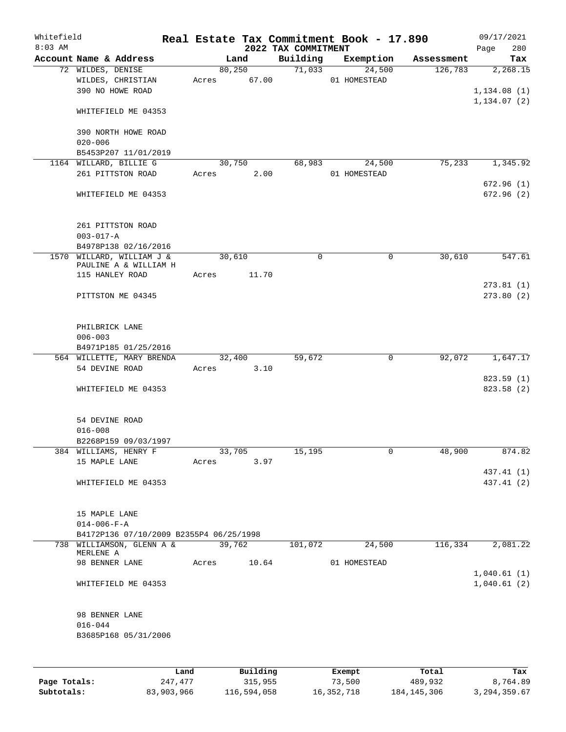| Whitefield<br>$8:03$ AM |                                                                      |       |       |         |          | Real Estate Tax Commitment Book - 17.890<br>2022 TAX COMMITMENT |               |                        |            | 09/17/2021<br>280<br>Page               |
|-------------------------|----------------------------------------------------------------------|-------|-------|---------|----------|-----------------------------------------------------------------|---------------|------------------------|------------|-----------------------------------------|
|                         | Account Name & Address                                               |       |       | Land    |          | Building                                                        |               | Exemption              | Assessment | Tax                                     |
|                         | 72 WILDES, DENISE<br>WILDES, CHRISTIAN<br>390 NO HOWE ROAD           |       | Acres | 80, 250 | 67.00    | 71,033                                                          |               | 24,500<br>01 HOMESTEAD | 126,783    | 2,268.15<br>1,134.08(1)<br>1,134.07 (2) |
|                         | WHITEFIELD ME 04353                                                  |       |       |         |          |                                                                 |               |                        |            |                                         |
|                         | 390 NORTH HOWE ROAD<br>$020 - 006$                                   |       |       |         |          |                                                                 |               |                        |            |                                         |
|                         | B5453P207 11/01/2019                                                 |       |       |         |          |                                                                 |               |                        |            |                                         |
|                         | 1164 WILLARD, BILLIE G<br>261 PITTSTON ROAD                          |       | Acres | 30,750  | 2.00     | 68,983                                                          |               | 24,500<br>01 HOMESTEAD | 75,233     | 1,345.92                                |
|                         | WHITEFIELD ME 04353                                                  |       |       |         |          |                                                                 |               |                        |            | 672.96(1)<br>672.96 (2)                 |
|                         | 261 PITTSTON ROAD<br>$003 - 017 - A$<br>B4978P138 02/16/2016         |       |       |         |          |                                                                 |               |                        |            |                                         |
|                         | 1570 WILLARD, WILLIAM J &                                            |       |       | 30,610  |          | $\mathbf 0$                                                     |               | 0                      | 30,610     | 547.61                                  |
|                         | PAULINE A & WILLIAM H<br>115 HANLEY ROAD                             |       | Acres |         | 11.70    |                                                                 |               |                        |            |                                         |
|                         | PITTSTON ME 04345                                                    |       |       |         |          |                                                                 |               |                        |            | 273.81 (1)<br>273.80(2)                 |
|                         | PHILBRICK LANE<br>$006 - 003$<br>B4971P185 01/25/2016                |       |       |         |          |                                                                 |               |                        |            |                                         |
|                         | 564 WILLETTE, MARY BRENDA                                            |       |       | 32,400  |          | 59,672                                                          |               | 0                      | 92,072     | 1,647.17                                |
|                         | 54 DEVINE ROAD                                                       |       | Acres |         | 3.10     |                                                                 |               |                        |            |                                         |
|                         | WHITEFIELD ME 04353                                                  |       |       |         |          |                                                                 |               |                        |            | 823.59(1)<br>823.58(2)                  |
|                         | 54 DEVINE ROAD<br>$016 - 008$                                        |       |       |         |          |                                                                 |               |                        |            |                                         |
|                         | B2268P159 09/03/1997                                                 |       |       |         |          |                                                                 |               |                        |            |                                         |
|                         | 384 WILLIAMS, HENRY F                                                |       |       | 33,705  |          | 15,195                                                          |               | 0                      | 48,900     | 874.82                                  |
|                         | 15 MAPLE LANE                                                        |       | Acres |         | 3.97     |                                                                 |               |                        |            | 437.41 (1)                              |
|                         | WHITEFIELD ME 04353                                                  |       |       |         |          |                                                                 |               |                        |            | 437.41 (2)                              |
|                         | 15 MAPLE LANE<br>$014 - 006 - F - A$                                 |       |       |         |          |                                                                 |               |                        |            |                                         |
|                         | B4172P136 07/10/2009 B2355P4 06/25/1998<br>738 WILLIAMSON, GLENN A & |       |       | 39,762  |          | 101,072                                                         |               | 24,500                 | 116,334    | 2,081.22                                |
|                         | MERLENE A                                                            |       |       |         |          |                                                                 |               |                        |            |                                         |
|                         | 98 BENNER LANE                                                       |       | Acres |         | 10.64    |                                                                 |               | 01 HOMESTEAD           |            | 1,040.61(1)                             |
|                         | WHITEFIELD ME 04353                                                  |       |       |         |          |                                                                 |               |                        |            | 1,040.61(2)                             |
|                         | 98 BENNER LANE<br>$016 - 044$<br>B3685P168 05/31/2006                |       |       |         |          |                                                                 |               |                        |            |                                         |
|                         |                                                                      | Land. |       |         | Building |                                                                 | <b>Fromnt</b> |                        | $T$ ctal   | Tov                                     |

|              | Land       | Building    | Exempt     | Total         | Tax            |
|--------------|------------|-------------|------------|---------------|----------------|
| Page Totals: | 247,477    | 315,955     | 73,500     | 489,932       | 8,764.89       |
| Subtotals:   | 83,903,966 | 116,594,058 | 16,352,718 | 184, 145, 306 | 3, 294, 359.67 |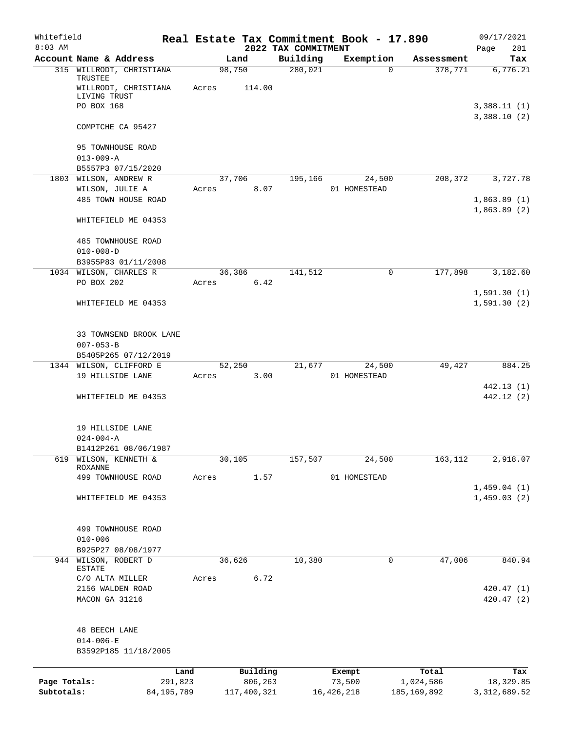| Whitefield<br>$8:03$ AM |                                               |              |             | 2022 TAX COMMITMENT | Real Estate Tax Commitment Book - 17.890 |               | 09/17/2021<br>281<br>Page  |
|-------------------------|-----------------------------------------------|--------------|-------------|---------------------|------------------------------------------|---------------|----------------------------|
|                         | Account Name & Address                        |              | Land        | Building            | Exemption                                | Assessment    | Tax                        |
|                         | 315 WILLRODT, CHRISTIANA                      |              | 98,750      | 280,021             | $\Omega$                                 | 378,771       | 6,776.21                   |
|                         | TRUSTEE<br>WILLRODT, CHRISTIANA               | Acres        | 114.00      |                     |                                          |               |                            |
|                         | LIVING TRUST<br>PO BOX 168                    |              |             |                     |                                          |               | 3,388.11(1)                |
|                         |                                               |              |             |                     |                                          |               | 3,388.10(2)                |
|                         | COMPTCHE CA 95427                             |              |             |                     |                                          |               |                            |
|                         | 95 TOWNHOUSE ROAD<br>$013 - 009 - A$          |              |             |                     |                                          |               |                            |
|                         | B5557P3 07/15/2020                            |              |             |                     |                                          |               |                            |
|                         | 1803 WILSON, ANDREW R                         |              | 37,706      | 195,166             | 24,500                                   | 208,372       | 3,727.78                   |
|                         | WILSON, JULIE A                               | Acres        | 8.07        |                     | 01 HOMESTEAD                             |               |                            |
|                         | 485 TOWN HOUSE ROAD                           |              |             |                     |                                          |               | 1,863.89(1)<br>1,863.89(2) |
|                         | WHITEFIELD ME 04353                           |              |             |                     |                                          |               |                            |
|                         | 485 TOWNHOUSE ROAD                            |              |             |                     |                                          |               |                            |
|                         | $010 - 008 - D$                               |              |             |                     |                                          |               |                            |
|                         | B3955P83 01/11/2008<br>1034 WILSON, CHARLES R |              | 36,386      | 141,512             | $\mathbf 0$                              | 177,898       | 3,182.60                   |
|                         | PO BOX 202                                    | Acres        | 6.42        |                     |                                          |               |                            |
|                         |                                               |              |             |                     |                                          |               | 1,591.30(1)                |
|                         | WHITEFIELD ME 04353                           |              |             |                     |                                          |               | 1,591.30(2)                |
|                         | 33 TOWNSEND BROOK LANE                        |              |             |                     |                                          |               |                            |
|                         | $007 - 053 - B$                               |              |             |                     |                                          |               |                            |
|                         | B5405P265 07/12/2019                          |              |             |                     |                                          |               |                            |
|                         | 1344 WILSON, CLIFFORD E                       |              | 52,250      | 21,677              | 24,500                                   | 49,427        | 884.25                     |
|                         | 19 HILLSIDE LANE                              | Acres        | 3.00        |                     | 01 HOMESTEAD                             |               | 442.13 (1)                 |
|                         | WHITEFIELD ME 04353                           |              |             |                     |                                          |               | 442.12 (2)                 |
|                         |                                               |              |             |                     |                                          |               |                            |
|                         | 19 HILLSIDE LANE                              |              |             |                     |                                          |               |                            |
|                         | $024 - 004 - A$                               |              |             |                     |                                          |               |                            |
| 619                     | B1412P261 08/06/1987<br>WILSON, KENNETH &     |              | 30,105      | 157,507             | 24,500                                   | 163,112       | 2,918.07                   |
|                         | <b>ROXANNE</b>                                |              |             |                     |                                          |               |                            |
|                         | 499 TOWNHOUSE ROAD                            | Acres        | 1.57        |                     | 01 HOMESTEAD                             |               |                            |
|                         | WHITEFIELD ME 04353                           |              |             |                     |                                          |               | 1,459.04(1)<br>1,459.03(2) |
|                         |                                               |              |             |                     |                                          |               |                            |
|                         | 499 TOWNHOUSE ROAD                            |              |             |                     |                                          |               |                            |
|                         | $010 - 006$                                   |              |             |                     |                                          |               |                            |
|                         | B925P27 08/08/1977                            |              |             |                     |                                          |               |                            |
| 944                     | WILSON, ROBERT D<br>ESTATE                    |              | 36,626      | 10,380              | 0                                        | 47,006        | 840.94                     |
|                         | C/O ALTA MILLER                               | Acres        | 6.72        |                     |                                          |               |                            |
|                         | 2156 WALDEN ROAD                              |              |             |                     |                                          |               | 420.47(1)                  |
|                         | MACON GA 31216                                |              |             |                     |                                          |               | 420.47(2)                  |
|                         | 48 BEECH LANE                                 |              |             |                     |                                          |               |                            |
|                         | $014 - 006 - E$                               |              |             |                     |                                          |               |                            |
|                         | B3592P185 11/18/2005                          |              |             |                     |                                          |               |                            |
|                         |                                               | Land         | Building    |                     | Exempt                                   | Total         | Tax                        |
| Page Totals:            |                                               | 291,823      | 806,263     |                     | 73,500                                   | 1,024,586     | 18,329.85                  |
| Subtotals:              |                                               | 84, 195, 789 | 117,400,321 |                     | 16, 426, 218                             | 185, 169, 892 | 3, 312, 689.52             |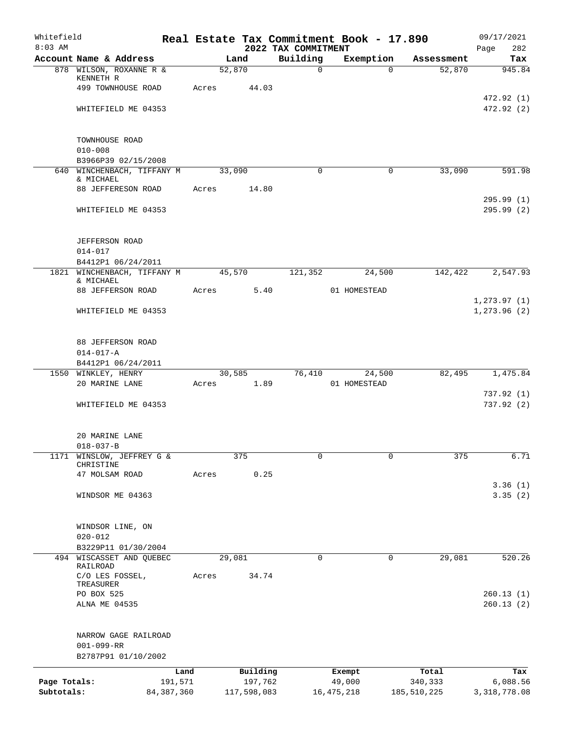| Whitefield<br>$8:03$ AM    |                                                                 |                 |                        | 2022 TAX COMMITMENT | Real Estate Tax Commitment Book - 17.890 |                        | 09/17/2021<br>282<br>Page    |
|----------------------------|-----------------------------------------------------------------|-----------------|------------------------|---------------------|------------------------------------------|------------------------|------------------------------|
|                            | Account Name & Address                                          |                 | Land                   | Building            | Exemption                                | Assessment             | Tax                          |
|                            | 878 WILSON, ROXANNE R &<br>KENNETH R<br>499 TOWNHOUSE ROAD      | 52,870<br>Acres | 44.03                  | $\mathbf 0$         | $\Omega$                                 | 52,870                 | 945.84                       |
|                            | WHITEFIELD ME 04353                                             |                 |                        |                     |                                          |                        | 472.92 (1)<br>472.92(2)      |
|                            | TOWNHOUSE ROAD                                                  |                 |                        |                     |                                          |                        |                              |
|                            | $010 - 008$<br>B3966P39 02/15/2008                              |                 |                        |                     |                                          |                        |                              |
|                            | 640 WINCHENBACH, TIFFANY M                                      | 33,090          |                        | $\Omega$            | $\Omega$                                 | 33,090                 | 591.98                       |
|                            | & MICHAEL<br>88 JEFFERESON ROAD                                 | Acres           | 14.80                  |                     |                                          |                        |                              |
|                            | WHITEFIELD ME 04353                                             |                 |                        |                     |                                          |                        | 295.99(1)<br>295.99(2)       |
|                            | <b>JEFFERSON ROAD</b>                                           |                 |                        |                     |                                          |                        |                              |
|                            | $014 - 017$<br>B4412P1 06/24/2011                               |                 |                        |                     |                                          |                        |                              |
|                            | 1821 WINCHENBACH, TIFFANY M<br>& MICHAEL                        | 45,570          |                        | 121,352             | 24,500                                   | 142,422                | 2,547.93                     |
|                            | 88 JEFFERSON ROAD                                               | Acres           | 5.40                   |                     | 01 HOMESTEAD                             |                        |                              |
|                            | WHITEFIELD ME 04353                                             |                 |                        |                     |                                          |                        | 1, 273.97(1)<br>1, 273.96(2) |
|                            | 88 JEFFERSON ROAD<br>$014 - 017 - A$                            |                 |                        |                     |                                          |                        |                              |
|                            | B4412P1 06/24/2011                                              |                 |                        |                     |                                          |                        |                              |
|                            | 1550 WINKLEY, HENRY                                             | 30,585          |                        | 76,410              | 24,500                                   | 82,495                 | 1,475.84                     |
|                            | 20 MARINE LANE                                                  | Acres           | 1.89                   |                     | 01 HOMESTEAD                             |                        | 737.92(1)                    |
|                            | WHITEFIELD ME 04353                                             |                 |                        |                     |                                          |                        | 737.92(2)                    |
|                            | 20 MARINE LANE<br>$018 - 037 - B$                               |                 |                        |                     |                                          |                        |                              |
|                            | 1171 WINSLOW, JEFFREY G &<br>CHRISTINE                          |                 | 375                    | $\mathbf 0$         | $\mathbf 0$                              | 375                    | 6.71                         |
|                            | 47 MOLSAM ROAD                                                  | Acres           | 0.25                   |                     |                                          |                        |                              |
|                            | WINDSOR ME 04363                                                |                 |                        |                     |                                          |                        | 3.36(1)<br>3.35(2)           |
|                            | WINDSOR LINE, ON<br>$020 - 012$                                 |                 |                        |                     |                                          |                        |                              |
|                            | B3229P11 01/30/2004                                             |                 |                        |                     |                                          |                        |                              |
|                            | 494 WISCASSET AND QUEBEC<br>RAILROAD                            | 29,081          |                        | $\mathbf 0$         | $\mathbf 0$                              | 29,081                 | 520.26                       |
|                            | C/O LES FOSSEL,<br>TREASURER                                    | Acres           | 34.74                  |                     |                                          |                        |                              |
|                            | PO BOX 525<br>ALNA ME 04535                                     |                 |                        |                     |                                          |                        | 260.13(1)<br>260.13(2)       |
|                            | NARROW GAGE RAILROAD<br>$001 - 099 - RR$<br>B2787P91 01/10/2002 |                 |                        |                     |                                          |                        |                              |
|                            | Land                                                            |                 | Building               |                     | Exempt                                   | Total                  | Tax                          |
| Page Totals:<br>Subtotals: | 191,571<br>84, 387, 360                                         |                 | 197,762<br>117,598,083 |                     | 49,000<br>16, 475, 218                   | 340,333<br>185,510,225 | 6,088.56<br>3, 318, 778.08   |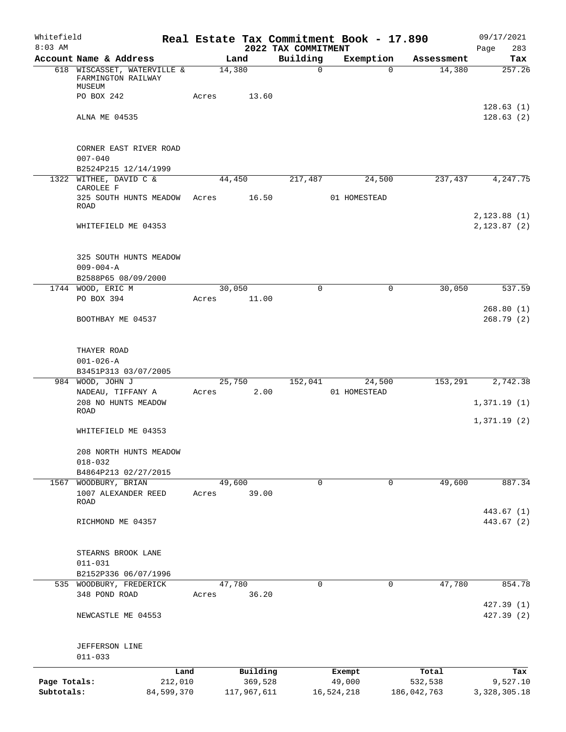| Whitefield<br>$8:03$ AM    |                                                               |       |                        | 2022 TAX COMMITMENT | Real Estate Tax Commitment Book - 17.890 |                        | 09/17/2021<br>283<br>Page     |
|----------------------------|---------------------------------------------------------------|-------|------------------------|---------------------|------------------------------------------|------------------------|-------------------------------|
|                            | Account Name & Address                                        |       | Land                   | Building            | Exemption                                | Assessment             | Tax                           |
|                            | 618 WISCASSET, WATERVILLE &<br>FARMINGTON RAILWAY<br>MUSEUM   |       | 14,380                 | $\mathbf 0$         | $\Omega$                                 | 14,380                 | 257.26                        |
|                            | PO BOX 242                                                    | Acres | 13.60                  |                     |                                          |                        |                               |
|                            | ALNA ME 04535                                                 |       |                        |                     |                                          |                        | 128.63(1)<br>128.63(2)        |
|                            | CORNER EAST RIVER ROAD<br>$007 - 040$<br>B2524P215 12/14/1999 |       |                        |                     |                                          |                        |                               |
| 1322                       | WITHEE, DAVID C &                                             |       | 44,450                 | 217,487             | 24,500                                   | 237,437                | 4,247.75                      |
|                            | CAROLEE F<br>325 SOUTH HUNTS MEADOW<br>ROAD                   | Acres | 16.50                  |                     | 01 HOMESTEAD                             |                        |                               |
|                            | WHITEFIELD ME 04353                                           |       |                        |                     |                                          |                        | 2, 123.88(1)<br>2, 123.87 (2) |
|                            | 325 SOUTH HUNTS MEADOW<br>$009 - 004 - A$                     |       |                        |                     |                                          |                        |                               |
|                            | B2588P65 08/09/2000<br>1744 WOOD, ERIC M                      |       | 30,050                 | $\mathbf 0$         | 0                                        | 30,050                 | 537.59                        |
|                            | PO BOX 394                                                    | Acres | 11.00                  |                     |                                          |                        |                               |
|                            | BOOTHBAY ME 04537                                             |       |                        |                     |                                          |                        | 268.80(1)<br>268.79(2)        |
|                            | THAYER ROAD<br>$001 - 026 - A$                                |       |                        |                     |                                          |                        |                               |
|                            | B3451P313 03/07/2005                                          |       |                        |                     |                                          |                        |                               |
|                            | 984 WOOD, JOHN J<br>NADEAU, TIFFANY A<br>208 NO HUNTS MEADOW  | Acres | 25,750<br>2.00         | 152,041             | 24,500<br>01 HOMESTEAD                   | 153,291                | 2,742.38                      |
|                            | ROAD                                                          |       |                        |                     |                                          |                        | 1,371.19(1)                   |
|                            | WHITEFIELD ME 04353                                           |       |                        |                     |                                          |                        | 1,371.19(2)                   |
|                            | 208 NORTH HUNTS MEADOW<br>$018 - 032$                         |       |                        |                     |                                          |                        |                               |
|                            | B4864P213 02/27/2015                                          |       |                        |                     |                                          |                        |                               |
|                            | 1567 WOODBURY, BRIAN<br>1007 ALEXANDER REED<br>ROAD           | Acres | 49,600<br>39.00        | 0                   | 0                                        | 49,600                 | 887.34                        |
|                            | RICHMOND ME 04357                                             |       |                        |                     |                                          |                        | 443.67 (1)<br>443.67 (2)      |
|                            | STEARNS BROOK LANE<br>$011 - 031$                             |       |                        |                     |                                          |                        |                               |
|                            | B2152P336 06/07/1996                                          |       |                        |                     |                                          |                        |                               |
|                            | 535 WOODBURY, FREDERICK<br>348 POND ROAD                      | Acres | 47,780<br>36.20        | 0                   | 0                                        | 47,780                 | 854.78                        |
|                            | NEWCASTLE ME 04553                                            |       |                        |                     |                                          |                        | 427.39(1)<br>427.39 (2)       |
|                            | JEFFERSON LINE<br>$011 - 033$                                 |       |                        |                     |                                          |                        |                               |
|                            | Land                                                          |       | Building               |                     | Exempt                                   | Total                  | Tax                           |
| Page Totals:<br>Subtotals: | 212,010<br>84,599,370                                         |       | 369,528<br>117,967,611 |                     | 49,000<br>16,524,218                     | 532,538<br>186,042,763 | 9,527.10<br>3,328,305.18      |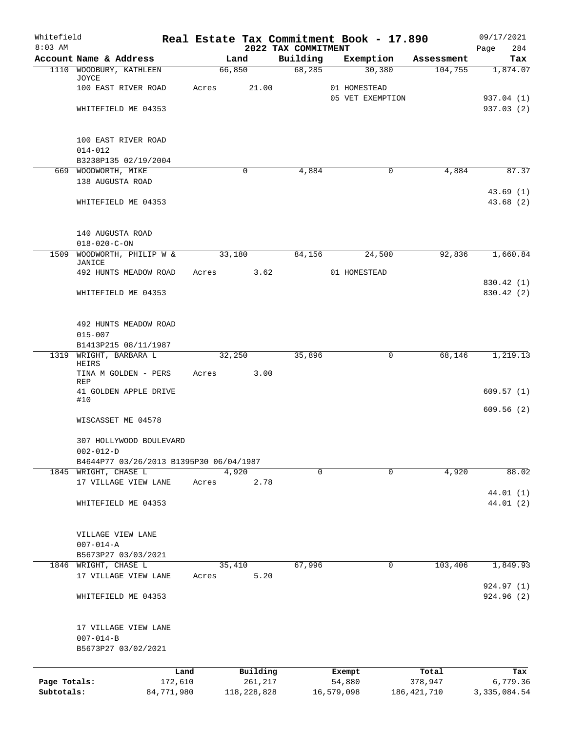| Whitefield<br>$8:03$ AM    |                                                                |       |                          | 2022 TAX COMMITMENT | Real Estate Tax Commitment Book - 17.890 |                        | 09/17/2021<br>284          |
|----------------------------|----------------------------------------------------------------|-------|--------------------------|---------------------|------------------------------------------|------------------------|----------------------------|
|                            | Account Name & Address                                         |       | Land                     | Building            | Exemption                                | Assessment             | Page<br>Tax                |
|                            | 1110 WOODBURY, KATHLEEN                                        |       | 66,850                   | 68,285              | 30,380                                   | 104,755                | 1,874.07                   |
|                            | JOYCE<br>100 EAST RIVER ROAD                                   | Acres | 21.00                    |                     | 01 HOMESTEAD                             |                        |                            |
|                            | WHITEFIELD ME 04353                                            |       |                          |                     | 05 VET EXEMPTION                         |                        | 937.04 (1)<br>937.03 (2)   |
|                            | 100 EAST RIVER ROAD                                            |       |                          |                     |                                          |                        |                            |
|                            | $014 - 012$<br>B3238P135 02/19/2004                            |       |                          |                     |                                          |                        |                            |
|                            | 669 WOODWORTH, MIKE                                            |       | 0                        | 4,884               |                                          | 0<br>4,884             | 87.37                      |
|                            | 138 AUGUSTA ROAD                                               |       |                          |                     |                                          |                        |                            |
|                            | WHITEFIELD ME 04353                                            |       |                          |                     |                                          |                        | 43.69(1)<br>43.68(2)       |
|                            | 140 AUGUSTA ROAD                                               |       |                          |                     |                                          |                        |                            |
| 1509                       | $018 - 020 - C - ON$<br>WOODWORTH, PHILIP W &                  |       | 33,180                   | 84,156              | 24,500                                   | 92,836                 | 1,660.84                   |
|                            | JANICE                                                         |       |                          |                     |                                          |                        |                            |
|                            | 492 HUNTS MEADOW ROAD                                          | Acres | 3.62                     |                     | 01 HOMESTEAD                             |                        | 830.42 (1)                 |
|                            | WHITEFIELD ME 04353                                            |       |                          |                     |                                          |                        | 830.42 (2)                 |
|                            | 492 HUNTS MEADOW ROAD<br>$015 - 007$                           |       |                          |                     |                                          |                        |                            |
|                            | B1413P215 08/11/1987                                           |       |                          |                     |                                          |                        |                            |
| 1319                       | WRIGHT, BARBARA L<br>HEIRS                                     |       | 32,250                   | 35,896              |                                          | 0<br>68,146            | 1,219.13                   |
|                            | TINA M GOLDEN - PERS<br>REP                                    | Acres | 3.00                     |                     |                                          |                        |                            |
|                            | 41 GOLDEN APPLE DRIVE<br>#10                                   |       |                          |                     |                                          |                        | 609.57(1)                  |
|                            | WISCASSET ME 04578                                             |       |                          |                     |                                          |                        | 609.56(2)                  |
|                            | 307 HOLLYWOOD BOULEVARD<br>$002 - 012 - D$                     |       |                          |                     |                                          |                        |                            |
|                            | B4644P77 03/26/2013 B1395P30 06/04/1987                        |       |                          |                     |                                          |                        |                            |
|                            | 1845 WRIGHT, CHASE L                                           |       | $\overline{4,920}$       | $\mathbf 0$         |                                          | 0<br>4,920             | 88.02                      |
|                            | 17 VILLAGE VIEW LANE                                           | Acres | 2.78                     |                     |                                          |                        | 44.01 (1)                  |
|                            | WHITEFIELD ME 04353                                            |       |                          |                     |                                          |                        | 44.01 (2)                  |
|                            | VILLAGE VIEW LANE<br>$007 - 014 - A$                           |       |                          |                     |                                          |                        |                            |
|                            | B5673P27 03/03/2021                                            |       |                          |                     |                                          |                        |                            |
|                            | 1846 WRIGHT, CHASE L<br>17 VILLAGE VIEW LANE                   | Acres | 35,410<br>5.20           | 67,996              |                                          | 103,406<br>0           | 1,849.93                   |
|                            | WHITEFIELD ME 04353                                            |       |                          |                     |                                          |                        | 924.97 (1)<br>924.96(2)    |
|                            | 17 VILLAGE VIEW LANE<br>$007 - 014 - B$<br>B5673P27 03/02/2021 |       |                          |                     |                                          |                        |                            |
|                            |                                                                | Land  | Building                 |                     | Exempt                                   | Total                  | Tax                        |
| Page Totals:<br>Subtotals: | 172,610<br>84,771,980                                          |       | 261,217<br>118, 228, 828 |                     | 54,880<br>16,579,098                     | 378,947<br>186,421,710 | 6,779.36<br>3, 335, 084.54 |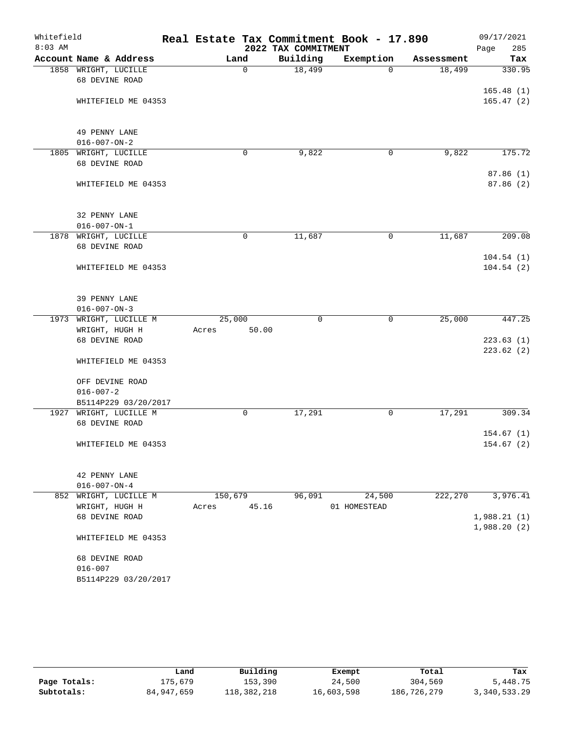| Whitefield |                                                |         |             |                     | Real Estate Tax Commitment Book - 17.890 |            | 09/17/2021  |
|------------|------------------------------------------------|---------|-------------|---------------------|------------------------------------------|------------|-------------|
| $8:03$ AM  |                                                |         |             | 2022 TAX COMMITMENT |                                          |            | Page<br>285 |
|            | Account Name & Address                         |         | Land        | Building            | Exemption                                | Assessment | Tax         |
|            | 1858 WRIGHT, LUCILLE                           |         | 0           | 18,499              | $\Omega$                                 | 18,499     | 330.95      |
|            | 68 DEVINE ROAD                                 |         |             |                     |                                          |            |             |
|            |                                                |         |             |                     |                                          |            | 165.48(1)   |
|            | WHITEFIELD ME 04353                            |         |             |                     |                                          |            | 165.47(2)   |
|            |                                                |         |             |                     |                                          |            |             |
|            | 49 PENNY LANE                                  |         |             |                     |                                          |            |             |
|            | $016 - 007 - ON - 2$                           |         |             |                     |                                          |            |             |
|            | 1805 WRIGHT, LUCILLE                           |         | 0           | 9,822               | 0                                        | 9,822      | 175.72      |
|            | 68 DEVINE ROAD                                 |         |             |                     |                                          |            |             |
|            |                                                |         |             |                     |                                          |            | 87.86(1)    |
|            | WHITEFIELD ME 04353                            |         |             |                     |                                          |            | 87.86 (2)   |
|            |                                                |         |             |                     |                                          |            |             |
|            | 32 PENNY LANE                                  |         |             |                     |                                          |            |             |
|            | $016 - 007 - ON - 1$                           |         |             |                     |                                          |            |             |
|            | 1878 WRIGHT, LUCILLE                           |         | $\mathbf 0$ | 11,687              | 0                                        | 11,687     | 209.08      |
|            | 68 DEVINE ROAD                                 |         |             |                     |                                          |            |             |
|            |                                                |         |             |                     |                                          |            | 104.54(1)   |
|            | WHITEFIELD ME 04353                            |         |             |                     |                                          |            | 104.54(2)   |
|            |                                                |         |             |                     |                                          |            |             |
|            |                                                |         |             |                     |                                          |            |             |
|            | 39 PENNY LANE                                  |         |             |                     |                                          |            |             |
|            | $016 - 007 - ON - 3$<br>1973 WRIGHT, LUCILLE M | 25,000  |             | 0                   | 0                                        | 25,000     | 447.25      |
|            | WRIGHT, HUGH H                                 | Acres   | 50.00       |                     |                                          |            |             |
|            | 68 DEVINE ROAD                                 |         |             |                     |                                          |            | 223.63(1)   |
|            |                                                |         |             |                     |                                          |            | 223.62(2)   |
|            | WHITEFIELD ME 04353                            |         |             |                     |                                          |            |             |
|            |                                                |         |             |                     |                                          |            |             |
|            | OFF DEVINE ROAD                                |         |             |                     |                                          |            |             |
|            | $016 - 007 - 2$                                |         |             |                     |                                          |            |             |
|            | B5114P229 03/20/2017                           |         |             |                     |                                          |            |             |
| 1927       | WRIGHT, LUCILLE M                              |         | 0           | 17,291              | 0                                        | 17,291     | 309.34      |
|            | 68 DEVINE ROAD                                 |         |             |                     |                                          |            |             |
|            |                                                |         |             |                     |                                          |            | 154.67(1)   |
|            | WHITEFIELD ME 04353                            |         |             |                     |                                          |            | 154.67(2)   |
|            |                                                |         |             |                     |                                          |            |             |
|            | 42 PENNY LANE                                  |         |             |                     |                                          |            |             |
|            | $016 - 007 - ON - 4$                           |         |             |                     |                                          |            |             |
| 852        | WRIGHT, LUCILLE M                              | 150,679 |             | 96,091              | 24,500                                   | 222,270    | 3,976.41    |
|            | WRIGHT, HUGH H                                 | Acres   | 45.16       |                     | 01 HOMESTEAD                             |            |             |
|            | 68 DEVINE ROAD                                 |         |             |                     |                                          |            | 1,988.21(1) |
|            |                                                |         |             |                     |                                          |            | 1,988.20(2) |
|            | WHITEFIELD ME 04353                            |         |             |                     |                                          |            |             |
|            | 68 DEVINE ROAD                                 |         |             |                     |                                          |            |             |
|            | $016 - 007$                                    |         |             |                     |                                          |            |             |
|            | B5114P229 03/20/2017                           |         |             |                     |                                          |            |             |
|            |                                                |         |             |                     |                                          |            |             |

|              | Land       | Building    | Exempt     | Total       | Tax          |
|--------------|------------|-------------|------------|-------------|--------------|
| Page Totals: | 175,679    | 153,390     | 24,500     | 304,569     | 5,448.75     |
| Subtotals:   | 84,947,659 | 118,382,218 | 16,603,598 | 186,726,279 | 3,340,533.29 |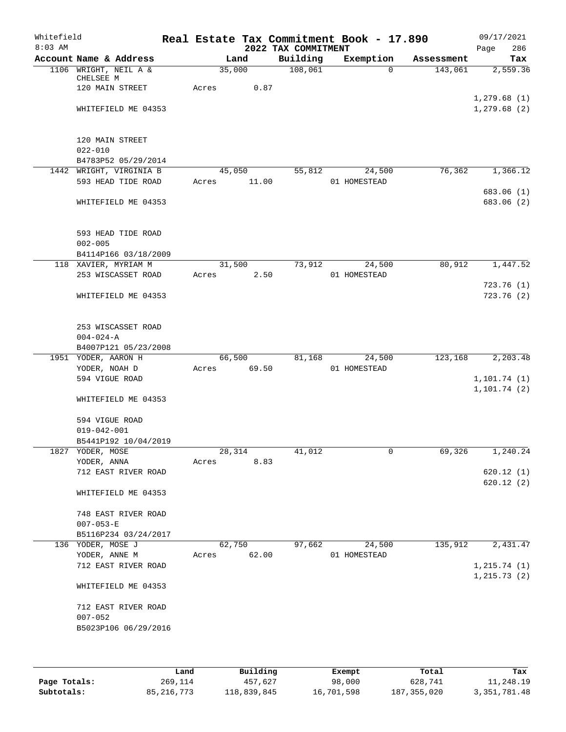| Whitefield<br>$8:03$ AM |                                                            |       |                 | 2022 TAX COMMITMENT | Real Estate Tax Commitment Book - 17.890 |            | 09/17/2021<br>286<br>Page  |
|-------------------------|------------------------------------------------------------|-------|-----------------|---------------------|------------------------------------------|------------|----------------------------|
|                         | Account Name & Address                                     |       | Land            | Building            | Exemption                                | Assessment | Tax                        |
|                         | 1106 WRIGHT, NEIL A &                                      |       | 35,000          | 108,061             | $\Omega$                                 | 143,061    | 2,559.36                   |
|                         | CHELSEE M<br>120 MAIN STREET                               | Acres | 0.87            |                     |                                          |            |                            |
|                         | WHITEFIELD ME 04353                                        |       |                 |                     |                                          |            | 1,279.68(1)<br>1,279.68(2) |
|                         | 120 MAIN STREET                                            |       |                 |                     |                                          |            |                            |
|                         | $022 - 010$<br>B4783P52 05/29/2014                         |       |                 |                     |                                          |            |                            |
|                         | 1442 WRIGHT, VIRGINIA B                                    |       | 45,050          | 55,812              | 24,500                                   | 76,362     | 1,366.12                   |
|                         | 593 HEAD TIDE ROAD                                         | Acres | 11.00           |                     | 01 HOMESTEAD                             |            | 683.06 (1)                 |
|                         | WHITEFIELD ME 04353                                        |       |                 |                     |                                          |            | 683.06 (2)                 |
|                         | 593 HEAD TIDE ROAD                                         |       |                 |                     |                                          |            |                            |
|                         | $002 - 005$<br>B4114P166 03/18/2009                        |       |                 |                     |                                          |            |                            |
|                         | 118 XAVIER, MYRIAM M<br>253 WISCASSET ROAD                 | Acres | 31,500<br>2.50  | 73,912              | 24,500<br>01 HOMESTEAD                   | 80,912     | 1,447.52                   |
|                         |                                                            |       |                 |                     |                                          |            | 723.76(1)                  |
|                         | WHITEFIELD ME 04353                                        |       |                 |                     |                                          |            | 723.76(2)                  |
|                         | 253 WISCASSET ROAD<br>$004 - 024 - A$                      |       |                 |                     |                                          |            |                            |
|                         | B4007P121 05/23/2008                                       |       |                 |                     |                                          |            |                            |
|                         | 1951 YODER, AARON H                                        |       | 66,500          | 81,168              | 24,500                                   | 123,168    | 2,203.48                   |
|                         | YODER, NOAH D                                              | Acres | 69.50           |                     | 01 HOMESTEAD                             |            |                            |
|                         | 594 VIGUE ROAD                                             |       |                 |                     |                                          |            | 1, 101.74(1)               |
|                         | WHITEFIELD ME 04353                                        |       |                 |                     |                                          |            | 1, 101.74(2)               |
|                         | 594 VIGUE ROAD                                             |       |                 |                     |                                          |            |                            |
|                         | 019-042-001<br>B5441P192 10/04/2019                        |       |                 |                     |                                          |            |                            |
|                         | 1827 YODER, MOSE                                           |       | 28,314          | 41,012              | $\mathsf{O}$                             | 69,326     | 1,240.24                   |
|                         | YODER, ANNA                                                | Acres | 8.83            |                     |                                          |            |                            |
|                         | 712 EAST RIVER ROAD                                        |       |                 |                     |                                          |            | 620.12(1)<br>620.12(2)     |
|                         | WHITEFIELD ME 04353                                        |       |                 |                     |                                          |            |                            |
|                         | 748 EAST RIVER ROAD                                        |       |                 |                     |                                          |            |                            |
|                         | $007 - 053 - E$                                            |       |                 |                     |                                          |            |                            |
|                         | B5116P234 03/24/2017                                       |       |                 |                     |                                          |            |                            |
|                         | 136 YODER, MOSE J<br>YODER, ANNE M                         | Acres | 62,750<br>62.00 | 97,662              | 24,500<br>01 HOMESTEAD                   | 135,912    | 2,431.47                   |
|                         | 712 EAST RIVER ROAD                                        |       |                 |                     |                                          |            | 1, 215.74(1)               |
|                         | WHITEFIELD ME 04353                                        |       |                 |                     |                                          |            | 1, 215.73(2)               |
|                         |                                                            |       |                 |                     |                                          |            |                            |
|                         | 712 EAST RIVER ROAD<br>$007 - 052$<br>B5023P106 06/29/2016 |       |                 |                     |                                          |            |                            |
|                         |                                                            |       |                 |                     |                                          |            |                            |

|              | Land       | Building    | Exempt     | Total         | Tax            |
|--------------|------------|-------------|------------|---------------|----------------|
| Page Totals: | 269,114    | 457.627     | 98,000     | 628,741       | 11,248.19      |
| Subtotals:   | 85,216,773 | 118,839,845 | 16,701,598 | 187, 355, 020 | 3, 351, 781.48 |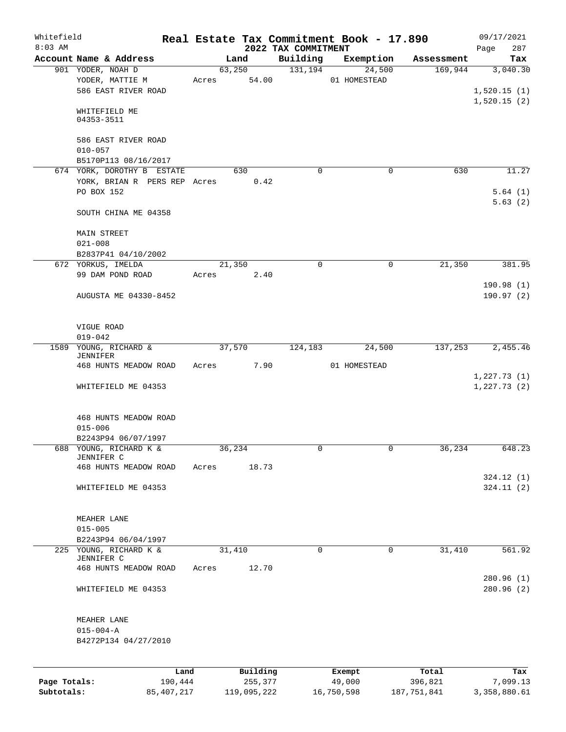|           |                                                                          |                         |                                 | Real Estate Tax Commitment Book - 17.890 |            |                            |
|-----------|--------------------------------------------------------------------------|-------------------------|---------------------------------|------------------------------------------|------------|----------------------------|
| $8:03$ AM | Account Name & Address                                                   | Land                    | 2022 TAX COMMITMENT<br>Building | Exemption                                | Assessment | 287<br>Page<br>Tax         |
|           | 901 YODER, NOAH D                                                        | 63,250                  | 131,194                         | 24,500                                   | 169,944    | 3,040.30                   |
|           | YODER, MATTIE M<br>586 EAST RIVER ROAD                                   | 54.00<br>Acres          |                                 | 01 HOMESTEAD                             |            | 1,520.15(1)                |
|           | WHITEFIELD ME<br>04353-3511                                              |                         |                                 |                                          |            | 1,520.15(2)                |
|           | 586 EAST RIVER ROAD<br>$010 - 057$                                       |                         |                                 |                                          |            |                            |
|           | B5170P113 08/16/2017                                                     | 630                     | $\Omega$                        | $\mathbf 0$                              | 630        | 11.27                      |
|           | 674 YORK, DOROTHY B ESTATE<br>YORK, BRIAN R PERS REP Acres<br>PO BOX 152 | 0.42                    |                                 |                                          |            | 5.64(1)                    |
|           | SOUTH CHINA ME 04358                                                     |                         |                                 |                                          |            | 5.63(2)                    |
|           | <b>MAIN STREET</b><br>$021 - 008$                                        |                         |                                 |                                          |            |                            |
|           | B2837P41 04/10/2002                                                      |                         |                                 |                                          |            |                            |
|           | 672 YORKUS, IMELDA<br>99 DAM POND ROAD                                   | 21,350<br>2.40<br>Acres | $\mathbf 0$                     | $\mathsf{O}$                             | 21,350     | 381.95                     |
|           | AUGUSTA ME 04330-8452                                                    |                         |                                 |                                          |            | 190.98(1)<br>190.97(2)     |
|           | VIGUE ROAD<br>$019 - 042$                                                |                         |                                 |                                          |            |                            |
| 1589      | YOUNG, RICHARD &<br>JENNIFER                                             | 37,570                  | 124,183                         | 24,500                                   | 137,253    | 2,455.46                   |
|           | 468 HUNTS MEADOW ROAD                                                    | 7.90<br>Acres           |                                 | 01 HOMESTEAD                             |            |                            |
|           | WHITEFIELD ME 04353                                                      |                         |                                 |                                          |            | 1,227.73(1)<br>1,227.73(2) |
|           | 468 HUNTS MEADOW ROAD<br>$015 - 006$<br>B2243P94 06/07/1997              |                         |                                 |                                          |            |                            |
|           | 688 YOUNG, RICHARD K &                                                   | 36,234                  | 0                               | 0                                        | 36,234     | 648.23                     |
|           | JENNIFER C                                                               |                         |                                 |                                          |            |                            |
|           | 468 HUNTS MEADOW ROAD                                                    | Acres<br>18.73          |                                 |                                          |            | 324.12 (1)                 |
|           | WHITEFIELD ME 04353                                                      |                         |                                 |                                          |            | 324.11(2)                  |
|           | MEAHER LANE<br>$015 - 005$                                               |                         |                                 |                                          |            |                            |
|           | B2243P94 06/04/1997                                                      |                         |                                 |                                          |            |                            |
|           | 225 YOUNG, RICHARD K &<br>JENNIFER C                                     | 31,410                  | 0                               | $\mathbf 0$                              | 31,410     | 561.92                     |
|           | 468 HUNTS MEADOW ROAD                                                    | 12.70<br>Acres          |                                 |                                          |            | 280.96 (1)                 |
|           | WHITEFIELD ME 04353                                                      |                         |                                 |                                          |            | 280.96(2)                  |
|           | MEAHER LANE<br>$015 - 004 - A$                                           |                         |                                 |                                          |            |                            |
|           | B4272P134 04/27/2010                                                     |                         |                                 |                                          |            |                            |
|           |                                                                          |                         |                                 |                                          |            |                            |
|           | Land                                                                     | Building                |                                 | Exempt                                   | Total      | Tax                        |

**Subtotals:** 85,407,217 119,095,222 16,750,598 187,751,841 3,358,880.61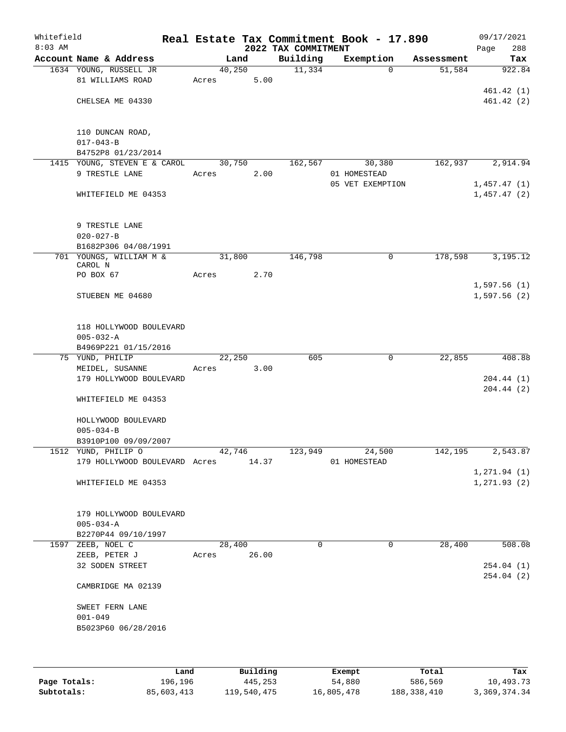| Whitefield<br>$8:03$ AM |                                                            |       |        | 2022 TAX COMMITMENT | Real Estate Tax Commitment Book - 17.890 |            | 09/17/2021<br>288<br>Page |
|-------------------------|------------------------------------------------------------|-------|--------|---------------------|------------------------------------------|------------|---------------------------|
|                         | Account Name & Address                                     |       | Land   | Building            | Exemption                                | Assessment | Tax                       |
|                         | 1634 YOUNG, RUSSELL JR                                     |       | 40,250 | 11,334              | $\Omega$                                 | 51,584     | 922.84                    |
|                         | 81 WILLIAMS ROAD                                           | Acres | 5.00   |                     |                                          |            |                           |
|                         |                                                            |       |        |                     |                                          |            | 461.42(1)                 |
|                         | CHELSEA ME 04330                                           |       |        |                     |                                          |            | 461.42(2)                 |
|                         |                                                            |       |        |                     |                                          |            |                           |
|                         | 110 DUNCAN ROAD,                                           |       |        |                     |                                          |            |                           |
|                         | $017 - 043 - B$                                            |       |        |                     |                                          |            |                           |
|                         | B4752P8 01/23/2014<br>1415 YOUNG, STEVEN E & CAROL         |       | 30,750 | 162,567             | 30,380                                   | 162,937    | 2,914.94                  |
|                         | 9 TRESTLE LANE                                             | Acres | 2.00   |                     | 01 HOMESTEAD                             |            |                           |
|                         |                                                            |       |        |                     | 05 VET EXEMPTION                         |            | 1,457.47(1)               |
|                         | WHITEFIELD ME 04353                                        |       |        |                     |                                          |            | 1,457.47(2)               |
|                         |                                                            |       |        |                     |                                          |            |                           |
|                         | 9 TRESTLE LANE                                             |       |        |                     |                                          |            |                           |
|                         | $020 - 027 - B$                                            |       |        |                     |                                          |            |                           |
|                         | B1682P306 04/08/1991                                       |       |        |                     |                                          |            |                           |
|                         | 701 YOUNGS, WILLIAM M &                                    |       | 31,800 | 146,798             | 0                                        | 178,598    | 3,195.12                  |
|                         | CAROL N<br>PO BOX 67                                       | Acres | 2.70   |                     |                                          |            |                           |
|                         |                                                            |       |        |                     |                                          |            | 1,597.56(1)               |
|                         | STUEBEN ME 04680                                           |       |        |                     |                                          |            | 1,597.56(2)               |
|                         |                                                            |       |        |                     |                                          |            |                           |
|                         |                                                            |       |        |                     |                                          |            |                           |
|                         | 118 HOLLYWOOD BOULEVARD<br>$005 - 032 - A$                 |       |        |                     |                                          |            |                           |
|                         | B4969P221 01/15/2016                                       |       |        |                     |                                          |            |                           |
|                         | 75 YUND, PHILIP                                            |       | 22,250 | 605                 | 0                                        | 22,855     | 408.88                    |
|                         | MEIDEL, SUSANNE                                            | Acres | 3.00   |                     |                                          |            |                           |
|                         | 179 HOLLYWOOD BOULEVARD                                    |       |        |                     |                                          |            | 204.44(1)                 |
|                         | WHITEFIELD ME 04353                                        |       |        |                     |                                          |            | 204.44(2)                 |
|                         |                                                            |       |        |                     |                                          |            |                           |
|                         | HOLLYWOOD BOULEVARD                                        |       |        |                     |                                          |            |                           |
|                         | $005 - 034 - B$                                            |       |        |                     |                                          |            |                           |
|                         | B3910P100 09/09/2007                                       |       |        |                     |                                          |            |                           |
|                         | 1512 YUND, PHILIP O<br>179 HOLLYWOOD BOULEVARD Acres 14.37 |       | 42,746 | 123,949             | 24,500<br>01 HOMESTEAD                   | 142,195    | 2,543.87                  |
|                         |                                                            |       |        |                     |                                          |            | 1,271.94(1)               |
|                         | WHITEFIELD ME 04353                                        |       |        |                     |                                          |            | 1, 271.93(2)              |
|                         |                                                            |       |        |                     |                                          |            |                           |
|                         |                                                            |       |        |                     |                                          |            |                           |
|                         | 179 HOLLYWOOD BOULEVARD<br>$005 - 034 - A$                 |       |        |                     |                                          |            |                           |
|                         | B2270P44 09/10/1997                                        |       |        |                     |                                          |            |                           |
|                         | 1597 ZEEB, NOEL C                                          |       | 28,400 | $\Omega$            | $\Omega$                                 | 28,400     | 508.08                    |
|                         | ZEEB, PETER J                                              | Acres | 26.00  |                     |                                          |            |                           |
|                         | 32 SODEN STREET                                            |       |        |                     |                                          |            | 254.04(1)                 |
|                         | CAMBRIDGE MA 02139                                         |       |        |                     |                                          |            | 254.04(2)                 |
|                         |                                                            |       |        |                     |                                          |            |                           |
|                         | SWEET FERN LANE<br>$001 - 049$                             |       |        |                     |                                          |            |                           |
|                         | B5023P60 06/28/2016                                        |       |        |                     |                                          |            |                           |
|                         |                                                            |       |        |                     |                                          |            |                           |
|                         |                                                            |       |        |                     |                                          |            |                           |
|                         |                                                            |       |        |                     |                                          |            |                           |

|              | Land       | Building    | Exempt     | Total       | Tax          |
|--------------|------------|-------------|------------|-------------|--------------|
| Page Totals: | 196,196    | 445,253     | 54,880     | 586,569     | 10,493.73    |
| Subtotals:   | 85,603,413 | 119,540,475 | 16,805,478 | 188,338,410 | 3,369,374.34 |